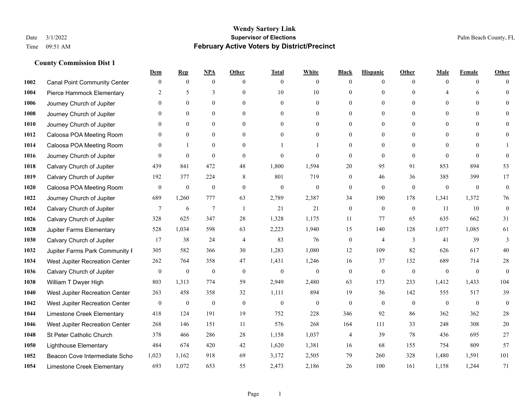|      |                                     | Dem              | <b>Rep</b>       | NPA              | <b>Other</b>     | <b>Total</b>     | <b>White</b>     | <b>Black</b>     | <b>Hispanic</b>  | <b>Other</b> | <b>Male</b>    | <b>Female</b>    | <b>Other</b>     |
|------|-------------------------------------|------------------|------------------|------------------|------------------|------------------|------------------|------------------|------------------|--------------|----------------|------------------|------------------|
| 1002 | <b>Canal Point Community Center</b> | $\mathbf{0}$     | $\mathbf{0}$     | $\mathbf{0}$     | $\Omega$         | $\theta$         | $\overline{0}$   | $\theta$         | $\mathbf{0}$     | $\theta$     | $\theta$       | $\theta$         | $\Omega$         |
| 1004 | Pierce Hammock Elementary           | 2                | 5                | 3                | $\Omega$         | 10               | $10\,$           | $\theta$         | $\mathbf{0}$     | $\theta$     | 4              | 6                | $\theta$         |
| 1006 | Journey Church of Jupiter           | $\Omega$         | $\theta$         | $\theta$         | $\Omega$         | $\theta$         | $\theta$         | $\Omega$         | $\theta$         | $\Omega$     | $\Omega$       | $\Omega$         | $\Omega$         |
| 1008 | Journey Church of Jupiter           | $\mathbf{0}$     | $\mathbf{0}$     | $\mathbf{0}$     | $\overline{0}$   | $\mathbf{0}$     | $\boldsymbol{0}$ | $\mathbf{0}$     | $\mathbf{0}$     | $\mathbf{0}$ | $\mathbf{0}$   | $\Omega$         | $\theta$         |
| 1010 | Journey Church of Jupiter           | $\theta$         | $\mathbf{0}$     | $\mathbf{0}$     | $\theta$         | $\theta$         | $\mathbf{0}$     | $\mathbf{0}$     | $\mathbf{0}$     | $\theta$     | $\theta$       | $\Omega$         | $\theta$         |
| 1012 | Caloosa POA Meeting Room            | $\mathbf{0}$     | $\mathbf{0}$     | $\mathbf{0}$     | $\Omega$         | $\Omega$         | $\mathbf{0}$     | $\Omega$         | $\mathbf{0}$     | $\theta$     | $\overline{0}$ | $\Omega$         | $\mathbf{0}$     |
| 1014 | Caloosa POA Meeting Room            | $\mathbf{0}$     | $\mathbf{1}$     | $\mathbf{0}$     | $\overline{0}$   |                  | 1                | $\mathbf{0}$     | $\mathbf{0}$     | $\theta$     | $\mathbf{0}$   | $\Omega$         |                  |
| 1016 | Journey Church of Jupiter           | $\theta$         | $\mathbf{0}$     | $\theta$         | $\Omega$         | $\theta$         | $\theta$         | $\mathbf{0}$     | $\theta$         | $\theta$     | $\Omega$       | $\Omega$         | $\theta$         |
| 1018 | Calvary Church of Jupiter           | 439              | 841              | 472              | 48               | 1,800            | 1,594            | $20\,$           | 95               | 91           | 853            | 894              | 53               |
| 1019 | Calvary Church of Jupiter           | 192              | 377              | 224              | 8                | 801              | 719              | $\mathbf{0}$     | 46               | 36           | 385            | 399              | 17               |
| 1020 | Caloosa POA Meeting Room            | $\mathbf{0}$     | $\boldsymbol{0}$ | $\boldsymbol{0}$ | $\theta$         | $\mathbf{0}$     | $\boldsymbol{0}$ | $\boldsymbol{0}$ | $\mathbf{0}$     | $\theta$     | $\overline{0}$ | $\mathbf{0}$     | $\mathbf{0}$     |
| 1022 | Journey Church of Jupiter           | 689              | 1,260            | 777              | 63               | 2,789            | 2,387            | 34               | 190              | 178          | 1,341          | 1,372            | 76               |
| 1024 | Calvary Church of Jupiter           | 7                | 6                | 7                | $\overline{1}$   | 21               | 21               | $\boldsymbol{0}$ | $\mathbf{0}$     | $\theta$     | 11             | 10               | $\boldsymbol{0}$ |
| 1026 | Calvary Church of Jupiter           | 328              | 625              | 347              | 28               | 1,328            | 1,175            | 11               | 77               | 65           | 635            | 662              | 31               |
| 1028 | Jupiter Farms Elementary            | 528              | 1,034            | 598              | 63               | 2,223            | 1,940            | 15               | 140              | 128          | 1,077          | 1,085            | 61               |
| 1030 | Calvary Church of Jupiter           | 17               | 38               | 24               | 4                | 83               | 76               | $\boldsymbol{0}$ | $\overline{4}$   | 3            | 41             | 39               | 3                |
| 1032 | Jupiter Farms Park Community I      | 305              | 582              | 366              | 30               | 1,283            | 1,080            | 12               | 109              | 82           | 626            | 617              | 40               |
| 1034 | West Jupiter Recreation Center      | 262              | 764              | 358              | 47               | 1,431            | 1,246            | 16               | 37               | 132          | 689            | 714              | $28\,$           |
| 1036 | Calvary Church of Jupiter           | $\mathbf{0}$     | $\boldsymbol{0}$ | $\boldsymbol{0}$ | $\mathbf{0}$     | $\mathbf{0}$     | $\boldsymbol{0}$ | $\boldsymbol{0}$ | $\mathbf{0}$     | $\mathbf{0}$ | $\overline{0}$ | $\mathbf{0}$     | $\mathbf{0}$     |
| 1038 | William T Dwyer High                | 803              | 1,313            | 774              | 59               | 2,949            | 2,480            | 63               | 173              | 233          | 1,412          | 1,433            | 104              |
| 1040 | West Jupiter Recreation Center      | 263              | 458              | 358              | 32               | 1,111            | 894              | 19               | 56               | 142          | 555            | 517              | 39               |
| 1042 | West Jupiter Recreation Center      | $\boldsymbol{0}$ | $\boldsymbol{0}$ | $\boldsymbol{0}$ | $\boldsymbol{0}$ | $\boldsymbol{0}$ | $\boldsymbol{0}$ | $\boldsymbol{0}$ | $\boldsymbol{0}$ | $\mathbf{0}$ | $\overline{0}$ | $\boldsymbol{0}$ | $\boldsymbol{0}$ |
| 1044 | Limestone Creek Elementary          | 418              | 124              | 191              | 19               | 752              | 228              | 346              | 92               | 86           | 362            | 362              | $28\,$           |
| 1046 | West Jupiter Recreation Center      | 268              | 146              | 151              | 11               | 576              | 268              | 164              | 111              | 33           | 248            | 308              | $20\,$           |
| 1048 | St Peter Catholic Church            | 378              | 466              | 286              | $28\,$           | 1,158            | 1,037            | $\overline{4}$   | 39               | 78           | 436            | 695              | 27               |
| 1050 | <b>Lighthouse Elementary</b>        | 484              | 674              | 420              | 42               | 1,620            | 1,381            | 16               | 68               | 155          | 754            | 809              | 57               |
| 1052 | Beacon Cove Intermediate Scho       | 1,023            | 1,162            | 918              | 69               | 3,172            | 2,505            | 79               | 260              | 328          | 1,480          | 1,591            | 101              |
| 1054 | Limestone Creek Elementary          | 693              | 1,072            | 653              | 55               | 2,473            | 2,186            | 26               | 100              | 161          | 1,158          | 1,244            | 71               |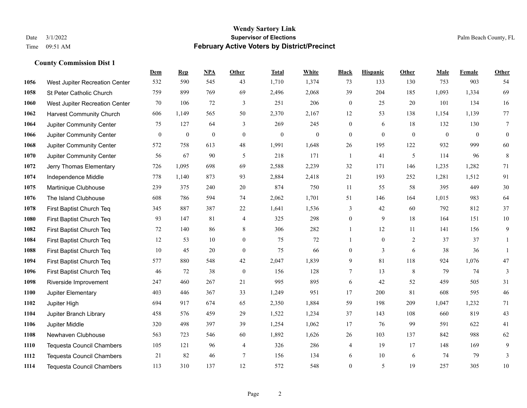**County Commission Dist 1**

#### **Wendy Sartory Link** Date 3/1/2022 **Supervisor of Elections** Palm Beach County, FL Time 09:51 AM **February Active Voters by District/Precinct**

# **Dem Rep NPA Other Total White Black Hispanic Other Male Female Other** West Jupiter Recreation Center 532 590 545 43 1,710 1,374 73 133 130 753 903 54 St Peter Catholic Church 759 899 769 69 2,496 2,068 39 204 185 1,093 1,334 69 West Jupiter Recreation Center 70 106 72 3 251 206 0 25 20 101 134 16 Harvest Community Church 606 1,149 565 50 2,370 2,167 12 53 138 1,154 1,139 77 Jupiter Community Center 75 127 64 3 269 245 0 6 18 132 130 7 Jupiter Community Center 0 0 0 0 0 0 0 0 0 0 0 0 Jupiter Community Center 572 758 613 48 1,991 1,648 26 195 122 932 999 60 Jupiter Community Center 56 67 90 5 218 171 1 41 5 114 96 8 Jerry Thomas Elementary 726 1,095 698 69 2,588 2,239 32 171 146 1,235 1,282 71 Independence Middle 778 1,140 873 93 2,884 2,418 21 193 252 1,281 1,512 91 Martinique Clubhouse 239 375 240 20 874 750 11 55 58 395 449 30 The Island Clubhouse 608 786 594 74 2,062 1,701 51 146 164 1,015 983 64 First Baptist Church Teq 345 887 387 22 1,641 1,536 3 42 60 792 812 37 First Baptist Church Teq 93 147 81 4 325 298 0 9 18 164 151 10 First Baptist Church Teq 72 140 86 8 306 282 1 12 11 141 156 9 First Baptist Church Teq 12 53 10 0 75 72 1 0 2 37 37 1 First Baptist Church Teq **10** 45 20 0 75 66 0 3 6 38 36 1 First Baptist Church Teq 577 880 548 42 2,047 1,839 9 81 118 924 1,076 47 First Baptist Church Teq 46 72 38 0 156 128 7 13 8 79 74 3 Riverside Improvement 247 460 267 21 995 895 6 42 52 459 505 31 Jupiter Elementary 403 446 367 33 1,249 951 17 200 81 608 595 46 Jupiter High 694 917 674 65 2,350 1,884 59 198 209 1,047 1,232 71 Jupiter Branch Library 458 576 459 29 1,522 1,234 37 143 108 660 819 43 Jupiter Middle 320 498 397 39 1,254 1,062 17 76 99 591 622 41 Newhaven Clubhouse 563 723 546 60 1,892 1,626 26 103 137 842 988 62 Tequesta Council Chambers 105 121 96 4 326 286 4 19 17 148 169 9 Tequesta Council Chambers 21 82 46 7 156 134 6 10 6 74 79 3 Tequesta Council Chambers 113 310 137 12 572 548 0 5 19 257 305 10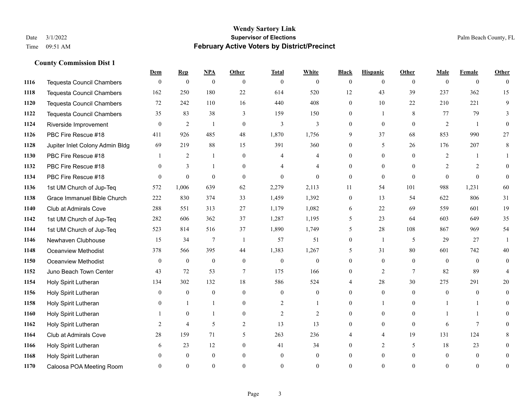**County Commission Dist 1**

### **Wendy Sartory Link** Date 3/1/2022 **Supervisor of Elections** Palm Beach County, FL Time 09:51 AM **February Active Voters by District/Precinct**

|      |                                  | Dem              | <b>Rep</b>     | NPA              | Other          | <b>Total</b>   | White          | <b>Black</b>   | <b>Hispanic</b> | Other          | Male           | Female         | Other    |
|------|----------------------------------|------------------|----------------|------------------|----------------|----------------|----------------|----------------|-----------------|----------------|----------------|----------------|----------|
| 1116 | Tequesta Council Chambers        | $\theta$         | $\overline{0}$ | $\mathbf{0}$     | $\Omega$       | $\mathbf{0}$   | $\theta$       | $\mathbf{0}$   | $\Omega$        | $\theta$       | $\theta$       | $\theta$       | $\theta$ |
| 1118 | <b>Tequesta Council Chambers</b> | 162              | 250            | 180              | 22             | 614            | 520            | 12             | 43              | 39             | 237            | 362            | 15       |
| 1120 | <b>Tequesta Council Chambers</b> | 72               | 242            | 110              | 16             | 440            | 408            | $\overline{0}$ | 10              | 22             | 210            | 221            | 9        |
| 1122 | Tequesta Council Chambers        | 35               | 83             | 38               | 3              | 159            | 150            | $\theta$       | $\mathbf{1}$    | 8              | 77             | 79             | 3        |
| 1124 | Riverside Improvement            | $\boldsymbol{0}$ | 2              | $\overline{1}$   | $\mathbf{0}$   | 3              | 3              | $\overline{0}$ | $\overline{0}$  | $\mathbf{0}$   | 2              | -1             | $\Omega$ |
| 1126 | PBC Fire Rescue #18              | 411              | 926            | 485              | 48             | 1,870          | 1,756          | 9              | 37              | 68             | 853            | 990            | 27       |
| 1128 | Jupiter Inlet Colony Admin Bldg  | 69               | 219            | 88               | 15             | 391            | 360            | 0              | 5               | 26             | 176            | 207            | $\,8\,$  |
| 1130 | PBC Fire Rescue #18              |                  | 2              | 1                | $\mathbf{0}$   | $\overline{4}$ | 4              | 0              | $\overline{0}$  | $\theta$       | 2              | -1             |          |
| 1132 | PBC Fire Rescue #18              | $\Omega$         | 3              | $\mathbf{1}$     | $\Omega$       | 4              | $\overline{4}$ | $\Omega$       | $\Omega$        | $\Omega$       | $\overline{2}$ | 2              | $\Omega$ |
| 1134 | PBC Fire Rescue #18              | $\overline{0}$   | $\overline{0}$ | $\mathbf{0}$     | $\mathbf{0}$   | $\mathbf{0}$   | $\mathbf{0}$   | $\overline{0}$ | $\overline{0}$  | $\theta$       | $\theta$       | $\mathbf{0}$   | $\Omega$ |
| 1136 | 1st UM Church of Jup-Teq         | 572              | 1,006          | 639              | 62             | 2,279          | 2,113          | 11             | 54              | 101            | 988            | 1,231          | 60       |
| 1138 | Grace Immanuel Bible Church      | 222              | 830            | 374              | 33             | 1,459          | 1,392          | 0              | 13              | 54             | 622            | 806            | 31       |
| 1140 | Club at Admirals Cove            | 288              | 551            | 313              | 27             | 1,179          | 1,082          | 6              | 22              | 69             | 559            | 601            | 19       |
| 1142 | 1st UM Church of Jup-Teq         | 282              | 606            | 362              | 37             | 1,287          | 1,195          | 5              | 23              | 64             | 603            | 649            | 35       |
| 1144 | 1st UM Church of Jup-Teq         | 523              | 814            | 516              | 37             | 1,890          | 1,749          | 5              | 28              | 108            | 867            | 969            | 54       |
| 1146 | Newhaven Clubhouse               | 15               | 34             | $\tau$           | $\overline{1}$ | 57             | 51             | $\overline{0}$ | $\mathbf{1}$    | 5              | 29             | 27             |          |
| 1148 | Oceanview Methodist              | 378              | 566            | 395              | 44             | 1,383          | 1,267          | 5              | 31              | 80             | 601            | 742            | 40       |
| 1150 | Oceanview Methodist              | $\theta$         | $\mathbf{0}$   | $\mathbf{0}$     | $\mathbf{0}$   | $\mathbf{0}$   | $\overline{0}$ | $\Omega$       | $\mathbf{0}$    | $\theta$       | $\theta$       | $\theta$       | $\Omega$ |
| 1152 | Juno Beach Town Center           | 43               | 72             | 53               | 7              | 175            | 166            | 0              | $\overline{2}$  | $\overline{7}$ | 82             | 89             |          |
| 1154 | Holy Spirit Lutheran             | 134              | 302            | 132              | 18             | 586            | 524            | 4              | 28              | 30             | 275            | 291            | 20       |
| 1156 | Holy Spirit Lutheran             | $\mathbf{0}$     | 0              | $\boldsymbol{0}$ | $\mathbf{0}$   | $\mathbf{0}$   | $\overline{0}$ | $\overline{0}$ | $\overline{0}$  | $\Omega$       | $\mathbf{0}$   | $\overline{0}$ | $\Omega$ |
| 1158 | Holy Spirit Lutheran             | $\Omega$         | $\mathbf{1}$   | 1                | $\mathbf{0}$   | 2              |                | 0              | $\mathbf{1}$    | $\theta$       | $\mathbf{1}$   | 1              | $\Omega$ |
| 1160 | Holy Spirit Lutheran             |                  | $\Omega$       | $\mathbf{1}$     | $\mathbf{0}$   | 2              | 2              | $\theta$       | $\Omega$        | $\theta$       | $\mathbf{1}$   | 1              |          |
| 1162 | Holy Spirit Lutheran             | 2                | $\overline{4}$ | 5                | $\overline{2}$ | 13             | 13             | $\theta$       | $\overline{0}$  | $\mathbf{0}$   | 6              | 7              |          |
| 1164 | Club at Admirals Cove            | 28               | 159            | 71               | 5              | 263            | 236            |                | 4               | 19             | 131            | 124            |          |
| 1166 | Holy Spirit Lutheran             | 6                | 23             | 12               | $\mathbf{0}$   | 41             | 34             | 0              | $\overline{2}$  | 5              | 18             | 23             | $\Omega$ |
| 1168 | Holy Spirit Lutheran             |                  | 0              | $\theta$         | $\theta$       | $\theta$       | $\theta$       | 0              | $\theta$        | $\Omega$       | $\theta$       | $\theta$       |          |
| 1170 | Caloosa POA Meeting Room         | 0                | $\overline{0}$ | $\Omega$         | $\Omega$       | $\Omega$       | $\Omega$       | $\Omega$       | $\Omega$        | $\Omega$       | $\Omega$       | $\theta$       | $\theta$ |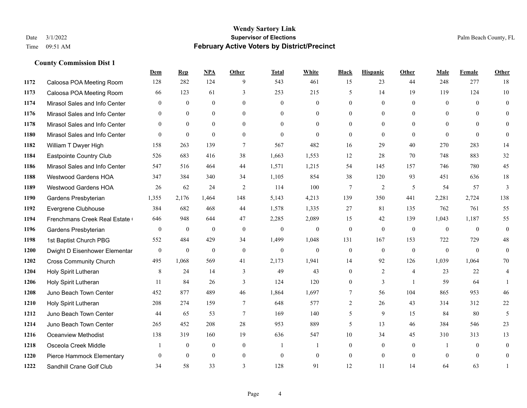|      |                                | Dem              | <b>Rep</b>     | NPA          | <b>Other</b>   | <b>Total</b> | <b>White</b>     | <b>Black</b>     | <b>Hispanic</b> | <b>Other</b>   | <b>Male</b>    | Female       | <b>Other</b>     |
|------|--------------------------------|------------------|----------------|--------------|----------------|--------------|------------------|------------------|-----------------|----------------|----------------|--------------|------------------|
| 1172 | Caloosa POA Meeting Room       | 128              | 282            | 124          | 9              | 543          | 461              | 15               | 23              | 44             | 248            | 277          | 18               |
| 1173 | Caloosa POA Meeting Room       | 66               | 123            | 61           | 3              | 253          | 215              | 5                | 14              | 19             | 119            | 124          | 10               |
| 1174 | Mirasol Sales and Info Center  | $\theta$         | $\overline{0}$ | $\mathbf{0}$ | $\theta$       | $\mathbf{0}$ | $\overline{0}$   | $\mathbf{0}$     | $\mathbf{0}$    | $\theta$       | $\overline{0}$ | $\theta$     | $\mathbf{0}$     |
| 1176 | Mirasol Sales and Info Center  | $\mathbf{0}$     | $\mathbf{0}$   | $\mathbf{0}$ | $\overline{0}$ | $\theta$     | $\overline{0}$   | $\mathbf{0}$     | $\mathbf{0}$    | $\theta$       | $\theta$       | $\theta$     | $\theta$         |
| 1178 | Mirasol Sales and Info Center  | $\theta$         | $\theta$       | $\theta$     | $\Omega$       | $\Omega$     | $\Omega$         | $\theta$         | $\theta$        | $\Omega$       | $\theta$       | $\Omega$     | $\theta$         |
| 1180 | Mirasol Sales and Info Center  | $\overline{0}$   | $\mathbf{0}$   | $\mathbf{0}$ | $\theta$       | $\mathbf{0}$ | $\overline{0}$   | $\overline{0}$   | $\mathbf{0}$    | $\theta$       | $\Omega$       | $\theta$     | $\mathbf{0}$     |
| 1182 | William T Dwyer High           | 158              | 263            | 139          | $\tau$         | 567          | 482              | 16               | 29              | 40             | 270            | 283          | 14               |
| 1184 | <b>Eastpointe Country Club</b> | 526              | 683            | 416          | 38             | 1,663        | 1,553            | 12               | 28              | 70             | 748            | 883          | 32               |
| 1186 | Mirasol Sales and Info Center  | 547              | 516            | 464          | 44             | 1,571        | 1,215            | 54               | 145             | 157            | 746            | 780          | 45               |
| 1188 | Westwood Gardens HOA           | 347              | 384            | 340          | 34             | 1,105        | 854              | 38               | 120             | 93             | 451            | 636          | 18               |
| 1189 | <b>Westwood Gardens HOA</b>    | 26               | 62             | 24           | 2              | 114          | 100              | $\tau$           | $\overline{2}$  | 5              | 54             | 57           | $\overline{3}$   |
| 1190 | Gardens Presbyterian           | 1,355            | 2,176          | 1,464        | 148            | 5,143        | 4,213            | 139              | 350             | 441            | 2,281          | 2,724        | 138              |
| 1192 | Evergrene Clubhouse            | 384              | 682            | 468          | 44             | 1,578        | 1,335            | 27               | 81              | 135            | 762            | 761          | 55               |
| 1194 | Frenchmans Creek Real Estate   | 646              | 948            | 644          | 47             | 2,285        | 2,089            | 15               | 42              | 139            | 1,043          | 1,187        | 55               |
| 1196 | Gardens Presbyterian           | $\overline{0}$   | $\mathbf{0}$   | $\mathbf{0}$ | $\mathbf{0}$   | $\mathbf{0}$ | $\overline{0}$   | $\mathbf{0}$     | $\mathbf{0}$    | $\mathbf{0}$   | $\overline{0}$ | $\theta$     | $\boldsymbol{0}$ |
| 1198 | 1st Baptist Church PBG         | 552              | 484            | 429          | 34             | 1,499        | 1,048            | 131              | 167             | 153            | 722            | 729          | 48               |
| 1200 | Dwight D Eisenhower Elementar  | $\boldsymbol{0}$ | $\mathbf{0}$   | $\mathbf{0}$ | $\mathbf{0}$   | $\mathbf{0}$ | $\boldsymbol{0}$ | $\boldsymbol{0}$ | $\mathbf{0}$    | $\mathbf{0}$   | $\mathbf{0}$   | $\mathbf{0}$ | $\mathbf{0}$     |
| 1202 | <b>Cross Community Church</b>  | 495              | 1.068          | 569          | 41             | 2,173        | 1,941            | 14               | 92              | 126            | 1,039          | 1,064        | 70               |
| 1204 | Holy Spirit Lutheran           | $\,$ 8 $\,$      | 24             | 14           | 3              | 49           | 43               | $\mathbf{0}$     | $\overline{2}$  | $\overline{4}$ | 23             | 22           | 4                |
| 1206 | Holy Spirit Lutheran           | 11               | 84             | 26           | 3              | 124          | 120              | $\boldsymbol{0}$ | $\overline{3}$  | $\overline{1}$ | 59             | 64           |                  |
| 1208 | Juno Beach Town Center         | 452              | 877            | 489          | 46             | 1,864        | 1,697            | $\tau$           | 56              | 104            | 865            | 953          | 46               |
| 1210 | Holy Spirit Lutheran           | 208              | 274            | 159          | $\tau$         | 648          | 577              | 2                | 26              | 43             | 314            | 312          | $22\,$           |
| 1212 | Juno Beach Town Center         | 44               | 65             | 53           | $\tau$         | 169          | 140              | 5                | 9               | 15             | 84             | 80           | 5                |
| 1214 | Juno Beach Town Center         | 265              | 452            | 208          | 28             | 953          | 889              | 5                | 13              | 46             | 384            | 546          | 23               |
| 1216 | <b>Oceanview Methodist</b>     | 138              | 319            | 160          | 19             | 636          | 547              | 10               | 34              | 45             | 310            | 313          | 13               |
| 1218 | Osceola Creek Middle           |                  | $\mathbf{0}$   | $\mathbf{0}$ | $\mathbf{0}$   | -1           | 1                | $\mathbf{0}$     | $\mathbf{0}$    | $\theta$       | -1             | $\theta$     | $\mathbf{0}$     |
| 1220 | Pierce Hammock Elementary      | $\theta$         | $\theta$       | $\mathbf{0}$ | $\mathbf{0}$   | $\theta$     | $\mathbf{0}$     | $\mathbf{0}$     | $\theta$        | $\theta$       | $\theta$       | $\theta$     | $\mathbf{0}$     |
| 1222 | Sandhill Crane Golf Club       | 34               | 58             | 33           | 3              | 128          | 91               | 12               | 11              | 14             | 64             | 63           |                  |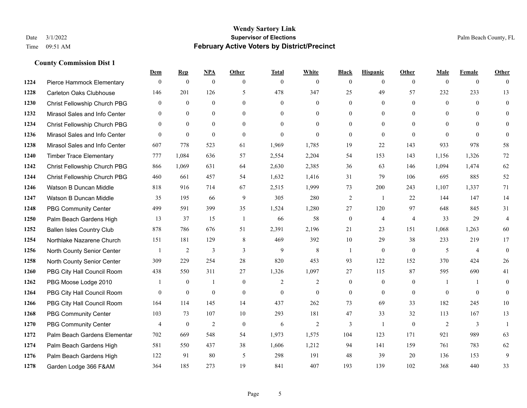|      |                                  | Dem            | <b>Rep</b>     | NPA              | <b>Other</b>   | <b>Total</b>   | <b>White</b>   | <b>Black</b>     | <b>Hispanic</b> | <b>Other</b>   | <b>Male</b>  | <b>Female</b>  | <b>Other</b>            |
|------|----------------------------------|----------------|----------------|------------------|----------------|----------------|----------------|------------------|-----------------|----------------|--------------|----------------|-------------------------|
| 1224 | Pierce Hammock Elementary        | $\mathbf{0}$   | $\theta$       | $\boldsymbol{0}$ | $\theta$       | $\mathbf{0}$   | $\overline{0}$ | $\mathbf{0}$     | $\mathbf{0}$    | $\theta$       | $\theta$     | $\overline{0}$ | $\Omega$                |
| 1228 | Carleton Oaks Clubhouse          | 146            | 201            | 126              | 5              | 478            | 347            | 25               | 49              | 57             | 232          | 233            | 13                      |
| 1230 | Christ Fellowship Church PBG     | $\theta$       | $\mathbf{0}$   | $\theta$         | $\Omega$       | $\theta$       | $\Omega$       | $\theta$         | $\theta$        | $\Omega$       | $\Omega$     | $\Omega$       | $\theta$                |
| 1232 | Mirasol Sales and Info Center    | $\overline{0}$ | $\mathbf{0}$   | $\mathbf{0}$     | $\overline{0}$ | $\mathbf{0}$   | $\overline{0}$ | $\boldsymbol{0}$ | $\mathbf{0}$    | $\overline{0}$ | $\mathbf{0}$ | $\mathbf{0}$   | $\Omega$                |
| 1234 | Christ Fellowship Church PBG     | $\theta$       | $\mathbf{0}$   | $\Omega$         | $\theta$       | $\Omega$       | $\overline{0}$ | $\mathbf{0}$     | $\mathbf{0}$    | $\theta$       | $\theta$     | $\theta$       | $\theta$                |
| 1236 | Mirasol Sales and Info Center    | $\theta$       | $\mathbf{0}$   | $\mathbf{0}$     | $\theta$       | $\theta$       | $\Omega$       | $\mathbf{0}$     | $\theta$        | $\Omega$       | $\Omega$     | $\theta$       | $\theta$                |
| 1238 | Mirasol Sales and Info Center    | 607            | 778            | 523              | 61             | 1,969          | 1,785          | 19               | 22              | 143            | 933          | 978            | 58                      |
| 1240 | <b>Timber Trace Elementary</b>   | 777            | 1,084          | 636              | 57             | 2,554          | 2,204          | 54               | 153             | 143            | 1,156        | 1,326          | 72                      |
| 1242 | Christ Fellowship Church PBG     | 866            | 1,069          | 631              | 64             | 2,630          | 2,385          | 36               | 63              | 146            | 1,094        | 1,474          | 62                      |
| 1244 | Christ Fellowship Church PBG     | 460            | 661            | 457              | 54             | 1,632          | 1,416          | 31               | 79              | 106            | 695          | 885            | 52                      |
| 1246 | Watson B Duncan Middle           | 818            | 916            | 714              | 67             | 2,515          | 1,999          | 73               | 200             | 243            | 1,107        | 1,337          | 71                      |
| 1247 | Watson B Duncan Middle           | 35             | 195            | 66               | 9              | 305            | 280            | $\overline{c}$   | 1               | 22             | 144          | 147            | 14                      |
| 1248 | <b>PBG Community Center</b>      | 499            | 591            | 399              | 35             | 1,524          | 1,280          | 27               | 120             | 97             | 648          | 845            | 31                      |
| 1250 | Palm Beach Gardens High          | 13             | 37             | 15               | -1             | 66             | 58             | $\boldsymbol{0}$ | 4               | $\overline{4}$ | 33           | 29             | $\overline{\mathbf{4}}$ |
| 1252 | <b>Ballen Isles Country Club</b> | 878            | 786            | 676              | 51             | 2,391          | 2,196          | 21               | 23              | 151            | 1,068        | 1,263          | 60                      |
| 1254 | Northlake Nazarene Church        | 151            | 181            | 129              | 8              | 469            | 392            | 10               | 29              | 38             | 233          | 219            | 17                      |
| 1256 | North County Senior Center       |                | $\overline{2}$ | $\overline{3}$   | 3              | 9              | 8              | 1                | $\mathbf{0}$    | $\theta$       | 5            | $\overline{4}$ | $\mathbf{0}$            |
| 1258 | North County Senior Center       | 309            | 229            | 254              | 28             | 820            | 453            | 93               | 122             | 152            | 370          | 424            | 26                      |
| 1260 | PBG City Hall Council Room       | 438            | 550            | 311              | 27             | 1,326          | 1,097          | 27               | 115             | 87             | 595          | 690            | 41                      |
| 1262 | PBG Moose Lodge 2010             |                | $\mathbf{0}$   | 1                | $\mathbf{0}$   | $\overline{2}$ | $\overline{2}$ | $\mathbf{0}$     | $\mathbf{0}$    | $\theta$       |              | $\overline{1}$ | $\theta$                |
| 1264 | PBG City Hall Council Room       | $\Omega$       | $\mathbf{0}$   | $\theta$         | $\Omega$       | $\theta$       | $\overline{0}$ | $\mathbf{0}$     | $\theta$        | $\theta$       | $\Omega$     | $\theta$       | $\theta$                |
| 1266 | PBG City Hall Council Room       | 164            | 114            | 145              | 14             | 437            | 262            | 73               | 69              | 33             | 182          | 245            | 10                      |
| 1268 | <b>PBG Community Center</b>      | 103            | 73             | 107              | 10             | 293            | 181            | 47               | 33              | 32             | 113          | 167            | 13                      |
| 1270 | <b>PBG Community Center</b>      | $\overline{4}$ | $\mathbf{0}$   | 2                | $\theta$       | 6              | $\overline{2}$ | 3                | $\mathbf{1}$    | $\theta$       | 2            | 3              | $\mathbf{1}$            |
| 1272 | Palm Beach Gardens Elementar     | 702            | 669            | 548              | 54             | 1,973          | 1,575          | 104              | 123             | 171            | 921          | 989            | 63                      |
| 1274 | Palm Beach Gardens High          | 581            | 550            | 437              | 38             | 1,606          | 1,212          | 94               | 141             | 159            | 761          | 783            | 62                      |
| 1276 | Palm Beach Gardens High          | 122            | 91             | 80               | 5              | 298            | 191            | 48               | 39              | 20             | 136          | 153            | 9                       |
| 1278 | Garden Lodge 366 F&AM            | 364            | 185            | 273              | 19             | 841            | 407            | 193              | 139             | 102            | 368          | 440            | 33                      |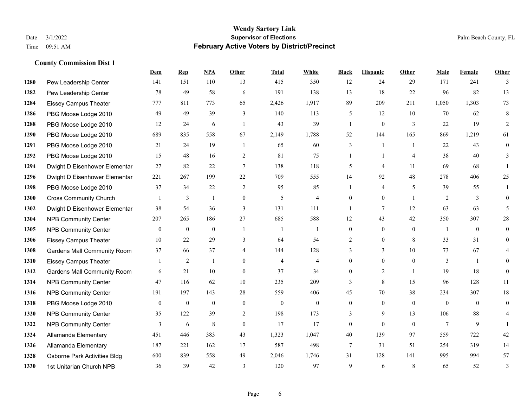|      |                                    | Dem            | <b>Rep</b>       | NPA          | <b>Other</b>   | <b>Total</b>   | <b>White</b>   | <b>Black</b>   | <b>Hispanic</b> | <b>Other</b>   | <b>Male</b>  | Female       | <b>Other</b>   |
|------|------------------------------------|----------------|------------------|--------------|----------------|----------------|----------------|----------------|-----------------|----------------|--------------|--------------|----------------|
| 1280 | Pew Leadership Center              | 141            | 151              | 110          | 13             | 415            | 350            | 12             | 24              | 29             | 171          | 241          | 3              |
| 1282 | Pew Leadership Center              | 78             | 49               | 58           | 6              | 191            | 138            | 13             | 18              | 22             | 96           | 82           | 13             |
| 1284 | <b>Eissey Campus Theater</b>       | 777            | 811              | 773          | 65             | 2,426          | 1,917          | 89             | 209             | 211            | 1,050        | 1,303        | 73             |
| 1286 | PBG Moose Lodge 2010               | 49             | 49               | 39           | 3              | 140            | 113            | 5              | 12              | 10             | 70           | 62           | 8              |
| 1288 | PBG Moose Lodge 2010               | 12             | 24               | 6            | $\overline{1}$ | 43             | 39             | $\mathbf{1}$   | $\overline{0}$  | 3              | 22           | 19           | 2              |
| 1290 | PBG Moose Lodge 2010               | 689            | 835              | 558          | 67             | 2,149          | 1,788          | 52             | 144             | 165            | 869          | 1,219        | 61             |
| 1291 | PBG Moose Lodge 2010               | 21             | 24               | 19           | -1             | 65             | 60             | 3              | $\mathbf{1}$    | $\overline{1}$ | 22           | 43           | $\overline{0}$ |
| 1292 | PBG Moose Lodge 2010               | 15             | 48               | 16           | 2              | 81             | 75             | $\mathbf{1}$   | $\mathbf{1}$    | $\overline{4}$ | 38           | 40           | 3              |
| 1294 | Dwight D Eisenhower Elementar      | 27             | 82               | 22           | $\tau$         | 138            | 118            | 5              | 4               | 11             | 69           | 68           |                |
| 1296 | Dwight D Eisenhower Elementar      | 221            | 267              | 199          | 22             | 709            | 555            | 14             | 92              | 48             | 278          | 406          | 25             |
| 1298 | PBG Moose Lodge 2010               | 37             | 34               | 22           | 2              | 95             | 85             | $\mathbf{1}$   | 4               | 5              | 39           | 55           | $\mathbf{1}$   |
| 1300 | <b>Cross Community Church</b>      |                | 3                | $\mathbf{1}$ | $\mathbf{0}$   | 5              | $\overline{4}$ | $\overline{0}$ | $\overline{0}$  | $\mathbf{1}$   | 2            | 3            | $\Omega$       |
| 1302 | Dwight D Eisenhower Elementar      | 38             | 54               | 36           | 3              | 131            | 111            | $\mathbf{1}$   | 7               | 12             | 63           | 63           | 5              |
| 1304 | <b>NPB Community Center</b>        | 207            | 265              | 186          | 27             | 685            | 588            | 12             | 43              | 42             | 350          | 307          | $28\,$         |
| 1305 | <b>NPB Community Center</b>        | $\overline{0}$ | $\mathbf{0}$     | $\mathbf{0}$ | $\overline{1}$ | -1             | 1              | $\overline{0}$ | $\overline{0}$  | $\theta$       | $\mathbf{1}$ | $\theta$     | $\overline{0}$ |
| 1306 | <b>Eissey Campus Theater</b>       | 10             | 22               | 29           | 3              | 64             | 54             | 2              | $\overline{0}$  | 8              | 33           | 31           | $\overline{0}$ |
| 1308 | <b>Gardens Mall Community Room</b> | 37             | 66               | 37           | $\overline{4}$ | 144            | 128            | 3              | 3               | $10\,$         | 73           | 67           | 4              |
| 1310 | <b>Eissey Campus Theater</b>       |                | $\overline{2}$   |              | $\theta$       | $\overline{4}$ | $\overline{4}$ | $\overline{0}$ | $\overline{0}$  | $\theta$       | 3            | $\mathbf{1}$ | $\overline{0}$ |
| 1312 | <b>Gardens Mall Community Room</b> | 6              | 21               | 10           | $\theta$       | 37             | 34             | $\Omega$       | $\overline{2}$  | $\overline{1}$ | 19           | 18           | $\overline{0}$ |
| 1314 | NPB Community Center               | 47             | 116              | 62           | 10             | 235            | 209            | $\overline{3}$ | 8               | 15             | 96           | 128          | 11             |
| 1316 | <b>NPB Community Center</b>        | 191            | 197              | 143          | 28             | 559            | 406            | 45             | 70              | 38             | 234          | 307          | $18\,$         |
| 1318 | PBG Moose Lodge 2010               | $\overline{0}$ | $\boldsymbol{0}$ | $\mathbf{0}$ | $\mathbf{0}$   | $\mathbf{0}$   | $\mathbf{0}$   | $\overline{0}$ | $\mathbf{0}$    | $\theta$       | $\mathbf{0}$ | $\theta$     | $\overline{0}$ |
| 1320 | <b>NPB Community Center</b>        | 35             | 122              | 39           | 2              | 198            | 173            | 3              | 9               | 13             | 106          | 88           | 4              |
| 1322 | <b>NPB Community Center</b>        | 3              | 6                | $\,$ 8 $\,$  | $\mathbf{0}$   | 17             | 17             | $\overline{0}$ | $\overline{0}$  | $\theta$       | 7            | 9            |                |
| 1324 | Allamanda Elementary               | 451            | 446              | 383          | 43             | 1,323          | 1,047          | 40             | 139             | 97             | 559          | 722          | 42             |
| 1326 | Allamanda Elementary               | 187            | 221              | 162          | 17             | 587            | 498            | 7              | 31              | 51             | 254          | 319          | 14             |
| 1328 | Osborne Park Activities Bldg       | 600            | 839              | 558          | 49             | 2,046          | 1,746          | 31             | 128             | 141            | 995          | 994          | 57             |
| 1330 | 1st Unitarian Church NPB           | 36             | 39               | 42           | 3              | 120            | 97             | 9              | 6               | 8              | 65           | 52           | 3              |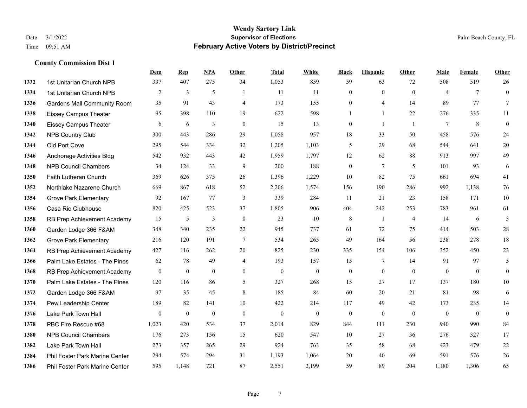|      |                                    | Dem          | <b>Rep</b>       | NPA              | <b>Other</b>     | <b>Total</b>     | <b>White</b>     | <b>Black</b>     | <b>Hispanic</b> | <b>Other</b>             | <b>Male</b>    | Female       | <b>Other</b>     |
|------|------------------------------------|--------------|------------------|------------------|------------------|------------------|------------------|------------------|-----------------|--------------------------|----------------|--------------|------------------|
| 1332 | 1st Unitarian Church NPB           | 337          | 407              | 275              | 34               | 1,053            | 859              | 59               | 63              | 72                       | 508            | 519          | 26               |
| 1334 | 1st Unitarian Church NPB           | 2            | 3                | 5                |                  | 11               | 11               | $\mathbf{0}$     | $\mathbf{0}$    | $\theta$                 | $\overline{4}$ | $\tau$       | $\boldsymbol{0}$ |
| 1336 | <b>Gardens Mall Community Room</b> | 35           | 91               | 43               | $\overline{4}$   | 173              | 155              | $\theta$         | $\overline{4}$  | 14                       | 89             | 77           | $\tau$           |
| 1338 | <b>Eissey Campus Theater</b>       | 95           | 398              | 110              | 19               | 622              | 598              |                  | 1               | 22                       | 276            | 335          | 11               |
| 1340 | <b>Eissey Campus Theater</b>       | 6            | 6                | 3                | $\mathbf{0}$     | 15               | 13               | $\boldsymbol{0}$ | $\mathbf{1}$    | $\overline{\phantom{a}}$ | $\tau$         | 8            | $\boldsymbol{0}$ |
| 1342 | <b>NPB Country Club</b>            | 300          | 443              | 286              | 29               | 1,058            | 957              | 18               | 33              | 50                       | 458            | 576          | 24               |
| 1344 | Old Port Cove                      | 295          | 544              | 334              | 32               | 1,205            | 1,103            | 5                | 29              | 68                       | 544            | 641          | 20               |
| 1346 | Anchorage Activities Bldg          | 542          | 932              | 443              | 42               | 1,959            | 1,797            | 12               | 62              | 88                       | 913            | 997          | 49               |
| 1348 | <b>NPB Council Chambers</b>        | 34           | 124              | 33               | 9                | 200              | 188              | $\boldsymbol{0}$ | 7               | 5                        | 101            | 93           | 6                |
| 1350 | Faith Lutheran Church              | 369          | 626              | 375              | 26               | 1,396            | 1,229            | 10               | 82              | 75                       | 661            | 694          | 41               |
| 1352 | Northlake Nazarene Church          | 669          | 867              | 618              | 52               | 2,206            | 1,574            | 156              | 190             | 286                      | 992            | 1,138        | 76               |
| 1354 | <b>Grove Park Elementary</b>       | 92           | 167              | 77               | 3                | 339              | 284              | 11               | 21              | 23                       | 158            | 171          | $10\,$           |
| 1356 | Casa Rio Clubhouse                 | 820          | 425              | 523              | 37               | 1,805            | 906              | 404              | 242             | 253                      | 783            | 961          | 61               |
| 1358 | RB Prep Achievement Academy        | 15           | 5                | 3                | $\boldsymbol{0}$ | 23               | 10               | $\,$ 8 $\,$      | 1               | $\overline{4}$           | 14             | 6            | $\mathfrak{Z}$   |
| 1360 | Garden Lodge 366 F&AM              | 348          | 340              | 235              | 22               | 945              | 737              | 61               | 72              | 75                       | 414            | 503          | 28               |
| 1362 | <b>Grove Park Elementary</b>       | 216          | 120              | 191              | $\tau$           | 534              | 265              | 49               | 164             | 56                       | 238            | 278          | 18               |
| 1364 | RB Prep Achievement Academy        | 427          | 116              | 262              | 20               | 825              | 230              | 335              | 154             | 106                      | 352            | 450          | 23               |
| 1366 | Palm Lake Estates - The Pines      | 62           | 78               | 49               | $\overline{4}$   | 193              | 157              | 15               | 7               | 14                       | 91             | 97           | 5                |
| 1368 | RB Prep Achievement Academy        | $\mathbf{0}$ | $\boldsymbol{0}$ | $\overline{0}$   | $\mathbf{0}$     | $\boldsymbol{0}$ | $\boldsymbol{0}$ | $\boldsymbol{0}$ | $\mathbf{0}$    | $\overline{0}$           | $\overline{0}$ | $\mathbf{0}$ | $\boldsymbol{0}$ |
| 1370 | Palm Lake Estates - The Pines      | 120          | 116              | 86               | 5                | 327              | 268              | 15               | 27              | 17                       | 137            | 180          | $10\,$           |
| 1372 | Garden Lodge 366 F&AM              | 97           | 35               | 45               | 8                | 185              | 84               | 60               | 20              | 21                       | 81             | 98           | 6                |
| 1374 | Pew Leadership Center              | 189          | 82               | 141              | 10               | 422              | 214              | 117              | 49              | 42                       | 173            | 235          | 14               |
| 1376 | Lake Park Town Hall                | $\mathbf{0}$ | $\boldsymbol{0}$ | $\boldsymbol{0}$ | $\mathbf{0}$     | $\theta$         | $\mathbf{0}$     | $\boldsymbol{0}$ | $\mathbf{0}$    | $\theta$                 | $\mathbf{0}$   | $\mathbf{0}$ | $\boldsymbol{0}$ |
| 1378 | PBC Fire Rescue #68                | 1,023        | 420              | 534              | 37               | 2,014            | 829              | 844              | 111             | 230                      | 940            | 990          | 84               |
| 1380 | <b>NPB Council Chambers</b>        | 176          | 273              | 156              | 15               | 620              | 547              | 10               | 27              | 36                       | 276            | 327          | 17               |
| 1382 | Lake Park Town Hall                | 273          | 357              | 265              | 29               | 924              | 763              | 35               | 58              | 68                       | 423            | 479          | 22               |
| 1384 | Phil Foster Park Marine Center     | 294          | 574              | 294              | 31               | 1,193            | 1,064            | 20               | 40              | 69                       | 591            | 576          | 26               |
| 1386 | Phil Foster Park Marine Center     | 595          | 1,148            | 721              | 87               | 2,551            | 2,199            | 59               | 89              | 204                      | 1,180          | 1,306        | 65               |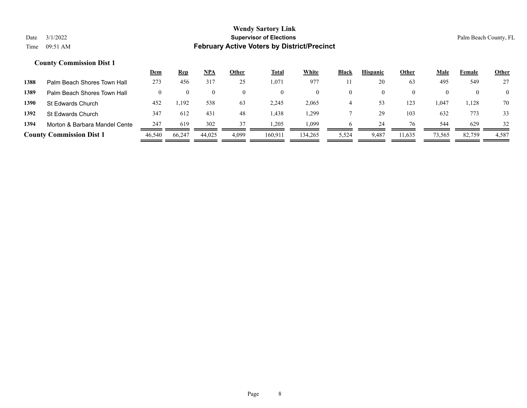|      |                                 | <u>Dem</u> | <u>Rep</u> | NPA    | Other | Total   | White    | Black | <b>Hispanic</b> | Other    | Male   | Female | <b>Other</b>   |
|------|---------------------------------|------------|------------|--------|-------|---------|----------|-------|-----------------|----------|--------|--------|----------------|
| 1388 | Palm Beach Shores Town Hall     | 273        | 456        | 317    | 25    | 1,071   | 977      |       | 20              | 63       | 495    | 549    | 27             |
| 1389 | Palm Beach Shores Town Hall     |            |            |        |       |         | $\theta$ |       |                 | $\theta$ |        |        | $\overline{0}$ |
| 1390 | St Edwards Church               | 452        | 1,192      | 538    | 63    | 2,245   | 2,065    |       | 53              | 123      | 1,047  | 1,128  | 70             |
| 1392 | St Edwards Church               | 347        | 612        | 431    | 48    | .438    | .299     |       | 29              | 103      | 632    | 773    | 33             |
| 1394 | Morton & Barbara Mandel Cente   | 247        | 619        | 302    | 37    | .205    | 1,099    |       | 24              | 76       | 544    | 629    | 32             |
|      | <b>County Commission Dist 1</b> | 46,540     | 66,247     | 44,025 | 4,099 | 160.911 | 134.265  | 5,524 | 9,487           | 11,635   | 73,565 | 82,759 | 4,587          |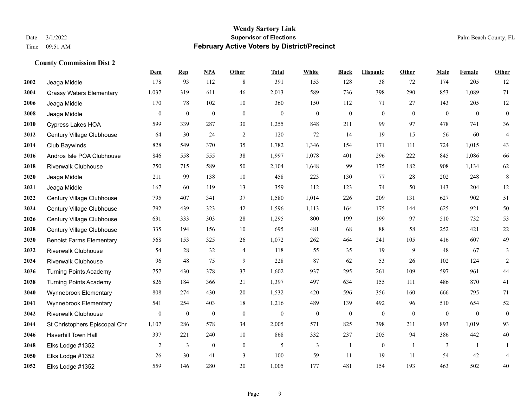|      |                                 | Dem            | <b>Rep</b>       | NPA              | <b>Other</b>     | <b>Total</b> | <b>White</b>     | <b>Black</b>     | <b>Hispanic</b>  | <b>Other</b> | <b>Male</b>  | <b>Female</b> | <b>Other</b>     |
|------|---------------------------------|----------------|------------------|------------------|------------------|--------------|------------------|------------------|------------------|--------------|--------------|---------------|------------------|
| 2002 | Jeaga Middle                    | 178            | 93               | 112              | 8                | 391          | 153              | 128              | 38               | 72           | 174          | 205           | 12               |
| 2004 | <b>Grassy Waters Elementary</b> | 1,037          | 319              | 611              | 46               | 2,013        | 589              | 736              | 398              | 290          | 853          | 1,089         | 71               |
| 2006 | Jeaga Middle                    | 170            | 78               | 102              | 10               | 360          | 150              | 112              | 71               | 27           | 143          | 205           | 12               |
| 2008 | Jeaga Middle                    | $\mathbf{0}$   | $\boldsymbol{0}$ | $\boldsymbol{0}$ | $\mathbf{0}$     | $\mathbf{0}$ | $\boldsymbol{0}$ | $\boldsymbol{0}$ | $\mathbf{0}$     | $\mathbf{0}$ | $\mathbf{0}$ | $\mathbf{0}$  | $\boldsymbol{0}$ |
| 2010 | Cypress Lakes HOA               | 599            | 339              | 287              | 30               | 1,255        | 848              | 211              | 99               | 97           | 478          | 741           | 36               |
| 2012 | Century Village Clubhouse       | 64             | 30               | 24               | 2                | 120          | 72               | 14               | 19               | 15           | 56           | 60            | $\overline{4}$   |
| 2014 | Club Baywinds                   | 828            | 549              | 370              | 35               | 1,782        | 1,346            | 154              | 171              | 111          | 724          | 1,015         | 43               |
| 2016 | Andros Isle POA Clubhouse       | 846            | 558              | 555              | 38               | 1,997        | 1,078            | 401              | 296              | 222          | 845          | 1,086         | 66               |
| 2018 | <b>Riverwalk Clubhouse</b>      | 750            | 715              | 589              | 50               | 2,104        | 1,648            | 99               | 175              | 182          | 908          | 1,134         | 62               |
| 2020 | Jeaga Middle                    | 211            | 99               | 138              | $10\,$           | 458          | 223              | 130              | 77               | 28           | 202          | 248           | $\,8\,$          |
| 2021 | Jeaga Middle                    | 167            | 60               | 119              | 13               | 359          | 112              | 123              | 74               | 50           | 143          | 204           | 12               |
| 2022 | Century Village Clubhouse       | 795            | 407              | 341              | 37               | 1,580        | 1,014            | 226              | 209              | 131          | 627          | 902           | 51               |
| 2024 | Century Village Clubhouse       | 792            | 439              | 323              | 42               | 1,596        | 1,113            | 164              | 175              | 144          | 625          | 921           | $50\,$           |
| 2026 | Century Village Clubhouse       | 631            | 333              | 303              | 28               | 1,295        | 800              | 199              | 199              | 97           | 510          | 732           | 53               |
| 2028 | Century Village Clubhouse       | 335            | 194              | 156              | 10               | 695          | 481              | 68               | 88               | 58           | 252          | 421           | $22\,$           |
| 2030 | <b>Benoist Farms Elementary</b> | 568            | 153              | 325              | 26               | 1,072        | 262              | 464              | 241              | 105          | 416          | 607           | 49               |
| 2032 | <b>Riverwalk Clubhouse</b>      | 54             | 28               | 32               | 4                | 118          | 55               | 35               | 19               | 9            | 48           | 67            | 3                |
| 2034 | <b>Riverwalk Clubhouse</b>      | 96             | 48               | 75               | 9                | 228          | 87               | 62               | 53               | 26           | 102          | 124           | $\sqrt{2}$       |
| 2036 | <b>Turning Points Academy</b>   | 757            | 430              | 378              | 37               | 1,602        | 937              | 295              | 261              | 109          | 597          | 961           | $44\,$           |
| 2038 | <b>Turning Points Academy</b>   | 826            | 184              | 366              | 21               | 1,397        | 497              | 634              | 155              | 111          | 486          | 870           | 41               |
| 2040 | Wynnebrook Elementary           | 808            | 274              | 430              | 20               | 1,532        | 420              | 596              | 356              | 160          | 666          | 795           | 71               |
| 2041 | Wynnebrook Elementary           | 541            | 254              | 403              | 18               | 1,216        | 489              | 139              | 492              | 96           | 510          | 654           | 52               |
| 2042 | <b>Riverwalk Clubhouse</b>      | $\mathbf{0}$   | $\boldsymbol{0}$ | $\mathbf{0}$     | $\mathbf{0}$     | $\mathbf{0}$ | $\mathbf{0}$     | $\boldsymbol{0}$ | $\mathbf{0}$     | $\theta$     | $\mathbf{0}$ | $\theta$      | $\boldsymbol{0}$ |
| 2044 | St Christophers Episcopal Chr   | 1,107          | 286              | 578              | 34               | 2,005        | 571              | 825              | 398              | 211          | 893          | 1,019         | 93               |
| 2046 | Haverhill Town Hall             | 397            | 221              | 240              | 10               | 868          | 332              | 237              | 205              | 94           | 386          | 442           | 40               |
| 2048 | Elks Lodge #1352                | $\overline{c}$ | 3                | $\boldsymbol{0}$ | $\boldsymbol{0}$ | 5            | 3                | 1                | $\boldsymbol{0}$ | $\mathbf{1}$ | 3            | -1            | 1                |
| 2050 | Elks Lodge #1352                | 26             | 30               | 41               | 3                | 100          | 59               | 11               | 19               | 11           | 54           | 42            | $\overline{4}$   |
| 2052 | Elks Lodge #1352                | 559            | 146              | 280              | 20               | 1,005        | 177              | 481              | 154              | 193          | 463          | 502           | 40               |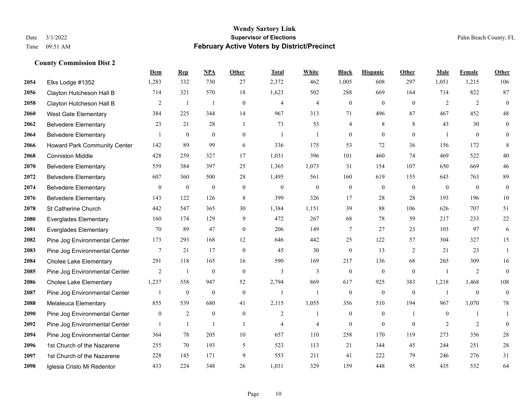|      |                                     | Dem              | <b>Rep</b>       | NPA              | <b>Other</b>   | <b>Total</b>   | <b>White</b>     | <b>Black</b>     | <b>Hispanic</b> | <b>Other</b> | <b>Male</b>    | <b>Female</b>  | <b>Other</b>     |
|------|-------------------------------------|------------------|------------------|------------------|----------------|----------------|------------------|------------------|-----------------|--------------|----------------|----------------|------------------|
| 2054 | Elks Lodge #1352                    | 1,283            | 332              | 730              | 27             | 2,372          | 462              | 1,005            | 608             | 297          | 1,051          | 1,215          | 106              |
| 2056 | Clayton Hutcheson Hall B            | 714              | 321              | 570              | 18             | 1,623          | 502              | 288              | 669             | 164          | 714            | 822            | 87               |
| 2058 | Clayton Hutcheson Hall B            | 2                | $\mathbf{1}$     | $\mathbf{1}$     | $\theta$       | $\overline{4}$ | $\overline{4}$   | $\mathbf{0}$     | $\mathbf{0}$    | $\theta$     | 2              | 2              | $\theta$         |
| 2060 | <b>West Gate Elementary</b>         | 384              | 225              | 344              | 14             | 967            | 313              | 71               | 496             | 87           | 467            | 452            | $48\,$           |
| 2062 | <b>Belvedere Elementary</b>         | 23               | 21               | 28               | $\overline{1}$ | 73             | 53               | 4                | 8               | 8            | 43             | 30             | $\boldsymbol{0}$ |
| 2064 | <b>Belvedere Elementary</b>         | $\mathbf{1}$     | $\mathbf{0}$     | $\overline{0}$   | $\Omega$       | $\overline{1}$ | $\mathbf{1}$     | $\boldsymbol{0}$ | $\mathbf{0}$    | $\theta$     | $\overline{1}$ | $\mathbf{0}$   | $\mathbf{0}$     |
| 2066 | <b>Howard Park Community Center</b> | 142              | 89               | 99               | 6              | 336            | 175              | 53               | 72              | 36           | 156            | 172            | 8                |
| 2068 | <b>Conniston Middle</b>             | 428              | 259              | 327              | 17             | 1,031          | 396              | 101              | 460             | 74           | 469            | 522            | 40               |
| 2070 | <b>Belvedere Elementary</b>         | 559              | 384              | 397              | 25             | 1,365          | 1,073            | 31               | 154             | 107          | 650            | 669            | 46               |
| 2072 | <b>Belvedere Elementary</b>         | 607              | 360              | 500              | 28             | 1,495          | 561              | 160              | 619             | 155          | 643            | 763            | 89               |
| 2074 | <b>Belvedere Elementary</b>         | $\mathbf{0}$     | $\bf{0}$         | $\boldsymbol{0}$ | $\overline{0}$ | $\mathbf{0}$   | $\boldsymbol{0}$ | $\boldsymbol{0}$ | $\mathbf{0}$    | $\theta$     | $\mathbf{0}$   | $\overline{0}$ | $\boldsymbol{0}$ |
| 2076 | <b>Belvedere Elementary</b>         | 143              | 122              | 126              | 8              | 399            | 326              | 17               | 28              | 28           | 193            | 196            | 10               |
| 2078 | St Catherine Church                 | 442              | 547              | 365              | 30             | 1,384          | 1,151            | 39               | 88              | 106          | 626            | 707            | 51               |
| 2080 | <b>Everglades Elementary</b>        | 160              | 174              | 129              | 9              | 472            | 267              | 68               | 78              | 59           | 217            | 233            | $22\,$           |
| 2081 | <b>Everglades Elementary</b>        | 70               | 89               | 47               | $\overline{0}$ | 206            | 149              | 7                | 27              | 23           | 103            | 97             | 6                |
| 2082 | Pine Jog Environmental Center       | 173              | 293              | 168              | 12             | 646            | 442              | 25               | 122             | 57           | 304            | 327            | 15               |
| 2083 | Pine Jog Environmental Center       | $\tau$           | 21               | 17               | $\theta$       | 45             | 30               | $\mathbf{0}$     | 13              | 2            | 21             | 23             | $\mathbf{1}$     |
| 2084 | <b>Cholee Lake Elementary</b>       | 291              | 118              | 165              | 16             | 590            | 169              | 217              | 136             | 68           | 265            | 309            | 16               |
| 2085 | Pine Jog Environmental Center       | 2                | 1                | $\boldsymbol{0}$ | $\mathbf{0}$   | 3              | 3                | $\boldsymbol{0}$ | $\mathbf{0}$    | $\theta$     | $\overline{1}$ | 2              | $\mathbf{0}$     |
| 2086 | <b>Cholee Lake Elementary</b>       | 1,237            | 558              | 947              | 52             | 2,794          | 869              | 617              | 925             | 383          | 1,218          | 1,468          | 108              |
| 2087 | Pine Jog Environmental Center       | 1                | $\boldsymbol{0}$ | $\mathbf{0}$     | $\theta$       | $\mathbf{1}$   | $\mathbf{1}$     | $\mathbf{0}$     | $\mathbf{0}$    | $\theta$     |                | $\theta$       | $\boldsymbol{0}$ |
| 2088 | Melaleuca Elementary                | 855              | 539              | 680              | 41             | 2,115          | 1,055            | 356              | 510             | 194          | 967            | 1,070          | 78               |
| 2090 | Pine Jog Environmental Center       | $\boldsymbol{0}$ | 2                | $\mathbf{0}$     | $\mathbf{0}$   | 2              | $\mathbf{1}$     | $\mathbf{0}$     | $\mathbf{0}$    |              | $\overline{0}$ | $\mathbf{1}$   | 1                |
| 2092 | Pine Jog Environmental Center       |                  | $\mathbf{1}$     | $\mathbf{1}$     | $\overline{1}$ | $\overline{4}$ | $\overline{4}$   | $\mathbf{0}$     | $\theta$        | $\theta$     | 2              | 2              | $\theta$         |
| 2094 | Pine Jog Environmental Center       | 364              | 78               | 205              | $10\,$         | 657            | 110              | 258              | 170             | 119          | 273            | 356            | $28\,$           |
| 2096 | 1st Church of the Nazarene          | 255              | 70               | 193              | 5              | 523            | 113              | 21               | 344             | 45           | 244            | 251            | $28\,$           |
| 2097 | 1st Church of the Nazarene          | 228              | 145              | 171              | 9              | 553            | 211              | 41               | 222             | 79           | 246            | 276            | 31               |
| 2098 | Iglesia Cristo Mi Redentor          | 433              | 224              | 348              | 26             | 1,031          | 329              | 159              | 448             | 95           | 435            | 532            | 64               |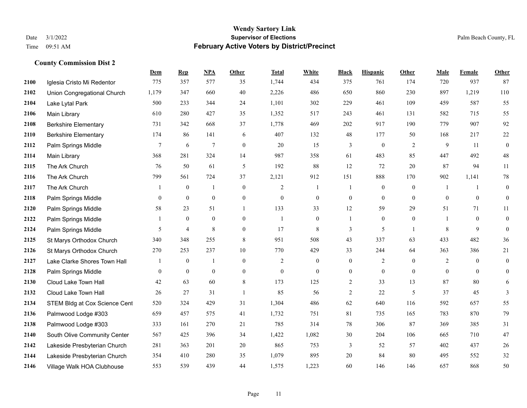|      |                               | Dem            | <b>Rep</b>     | NPA            | <b>Other</b>     | <b>Total</b>     | <b>White</b>   | <b>Black</b>     | <b>Hispanic</b>  | <b>Other</b>   | <b>Male</b>    | Female       | Other            |
|------|-------------------------------|----------------|----------------|----------------|------------------|------------------|----------------|------------------|------------------|----------------|----------------|--------------|------------------|
| 2100 | Iglesia Cristo Mi Redentor    | 775            | 357            | 577            | 35               | 1,744            | 434            | 375              | 761              | 174            | 720            | 937          | 87               |
| 2102 | Union Congregational Church   | 1,179          | 347            | 660            | 40               | 2,226            | 486            | 650              | 860              | 230            | 897            | 1,219        | 110              |
| 2104 | Lake Lytal Park               | 500            | 233            | 344            | 24               | 1,101            | 302            | 229              | 461              | 109            | 459            | 587          | 55               |
| 2106 | Main Library                  | 610            | 280            | 427            | 35               | 1,352            | 517            | 243              | 461              | 131            | 582            | 715          | 55               |
| 2108 | <b>Berkshire Elementary</b>   | 731            | 342            | 668            | 37               | 1,778            | 469            | 202              | 917              | 190            | 779            | 907          | 92               |
| 2110 | <b>Berkshire Elementary</b>   | 174            | 86             | 141            | 6                | 407              | 132            | 48               | 177              | 50             | 168            | 217          | $22\,$           |
| 2112 | Palm Springs Middle           | 7              | 6              | $\overline{7}$ | $\boldsymbol{0}$ | 20               | 15             | 3                | $\boldsymbol{0}$ | $\overline{2}$ | 9              | 11           | $\boldsymbol{0}$ |
| 2114 | Main Library                  | 368            | 281            | 324            | 14               | 987              | 358            | 61               | 483              | 85             | 447            | 492          | $48\,$           |
| 2115 | The Ark Church                | 76             | 50             | 61             | 5                | 192              | 88             | 12               | 72               | 20             | 87             | 94           | 11               |
| 2116 | The Ark Church                | 799            | 561            | 724            | 37               | 2,121            | 912            | 151              | 888              | 170            | 902            | 1,141        | $78\,$           |
| 2117 | The Ark Church                |                | $\mathbf{0}$   | $\mathbf{1}$   | $\boldsymbol{0}$ | $\overline{2}$   | $\mathbf{1}$   | $\mathbf{1}$     | $\boldsymbol{0}$ | $\mathbf{0}$   |                | 1            | $\boldsymbol{0}$ |
| 2118 | Palm Springs Middle           | $\overline{0}$ | $\mathbf{0}$   | $\mathbf{0}$   | $\boldsymbol{0}$ | $\overline{0}$   | $\overline{0}$ | $\boldsymbol{0}$ | $\mathbf{0}$     | $\overline{0}$ | $\mathbf{0}$   | $\mathbf{0}$ | $\boldsymbol{0}$ |
| 2120 | Palm Springs Middle           | 58             | 23             | 51             | $\mathbf{1}$     | 133              | 33             | 12               | 59               | 29             | 51             | 71           | 11               |
| 2122 | Palm Springs Middle           |                | $\mathbf{0}$   | $\mathbf{0}$   | $\boldsymbol{0}$ | $\overline{1}$   | $\overline{0}$ | $\mathbf{1}$     | $\mathbf{0}$     | $\mathbf{0}$   |                | $\mathbf{0}$ | $\boldsymbol{0}$ |
| 2124 | Palm Springs Middle           | 5              | $\overline{4}$ | 8              | $\overline{0}$   | 17               | 8              | 3                | 5                | $\overline{1}$ | 8              | 9            | $\mathbf{0}$     |
| 2125 | St Marys Orthodox Church      | 340            | 348            | 255            | 8                | 951              | 508            | 43               | 337              | 63             | 433            | 482          | 36               |
| 2126 | St Marys Orthodox Church      | 270            | 253            | 237            | 10               | 770              | 429            | 33               | 244              | 64             | 363            | 386          | 21               |
| 2127 | Lake Clarke Shores Town Hall  |                | $\mathbf{0}$   | $\mathbf{1}$   | $\overline{0}$   | $\overline{2}$   | $\overline{0}$ | $\boldsymbol{0}$ | $\overline{c}$   | $\theta$       | $\overline{2}$ | $\theta$     | $\boldsymbol{0}$ |
| 2128 | Palm Springs Middle           | $\overline{0}$ | $\mathbf{0}$   | $\mathbf{0}$   | $\mathbf{0}$     | $\boldsymbol{0}$ | $\overline{0}$ | $\boldsymbol{0}$ | $\mathbf{0}$     | $\mathbf{0}$   | $\mathbf{0}$   | $\theta$     | $\overline{0}$   |
| 2130 | Cloud Lake Town Hall          | 42             | 63             | 60             | 8                | 173              | 125            | 2                | 33               | 13             | 87             | 80           | 6                |
| 2132 | Cloud Lake Town Hall          | 26             | 27             | 31             | $\mathbf{1}$     | 85               | 56             | $\overline{c}$   | 22               | 5              | 37             | 45           | 3                |
| 2134 | STEM Bldg at Cox Science Cent | 520            | 324            | 429            | 31               | 1,304            | 486            | 62               | 640              | 116            | 592            | 657          | 55               |
| 2136 | Palmwood Lodge #303           | 659            | 457            | 575            | 41               | 1,732            | 751            | 81               | 735              | 165            | 783            | 870          | 79               |
| 2138 | Palmwood Lodge #303           | 333            | 161            | 270            | 21               | 785              | 314            | 78               | 306              | 87             | 369            | 385          | $31\,$           |
| 2140 | South Olive Community Center  | 567            | 425            | 396            | 34               | 1,422            | 1,082          | 30               | 204              | 106            | 665            | 710          | 47               |
| 2142 | Lakeside Presbyterian Church  | 281            | 363            | 201            | 20               | 865              | 753            | 3                | 52               | 57             | 402            | 437          | $26\,$           |
| 2144 | Lakeside Presbyterian Church  | 354            | 410            | 280            | 35               | 1,079            | 895            | 20               | 84               | 80             | 495            | 552          | $32\,$           |
| 2146 | Village Walk HOA Clubhouse    | 553            | 539            | 439            | 44               | 1,575            | 1,223          | 60               | 146              | 146            | 657            | 868          | 50               |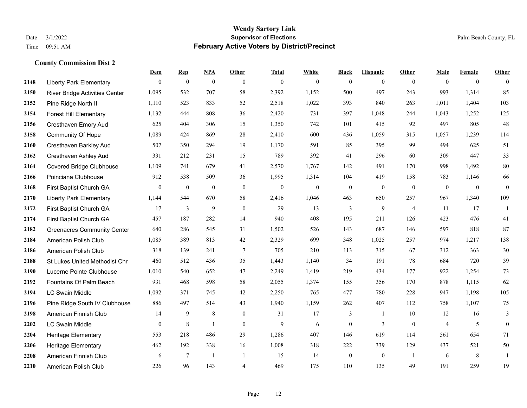|      |                                    | Dem          | <b>Rep</b>       | NPA              | <b>Other</b>     | <b>Total</b> | <b>White</b>     | <b>Black</b>     | <b>Hispanic</b> | Other          | <b>Male</b>      | <b>Female</b>  | <b>Other</b>     |
|------|------------------------------------|--------------|------------------|------------------|------------------|--------------|------------------|------------------|-----------------|----------------|------------------|----------------|------------------|
| 2148 | <b>Liberty Park Elementary</b>     | $\mathbf{0}$ | $\boldsymbol{0}$ | $\boldsymbol{0}$ | $\mathbf{0}$     | $\Omega$     | $\overline{0}$   | $\theta$         | $\mathbf{0}$    | $\theta$       | $\theta$         | $\overline{0}$ | $\theta$         |
| 2150 | River Bridge Activities Center     | 1,095        | 532              | 707              | 58               | 2,392        | 1,152            | 500              | 497             | 243            | 993              | 1,314          | 85               |
| 2152 | Pine Ridge North II                | 1,110        | 523              | 833              | 52               | 2,518        | 1,022            | 393              | 840             | 263            | 1,011            | 1,404          | 103              |
| 2154 | <b>Forest Hill Elementary</b>      | 1,132        | 444              | 808              | 36               | 2,420        | 731              | 397              | 1,048           | 244            | 1,043            | 1,252          | 125              |
| 2156 | Cresthaven Emory Aud               | 625          | 404              | 306              | 15               | 1,350        | 742              | 101              | 415             | 92             | 497              | 805            | 48               |
| 2158 | Community Of Hope                  | 1,089        | 424              | 869              | 28               | 2,410        | 600              | 436              | 1,059           | 315            | 1,057            | 1,239          | 114              |
| 2160 | Cresthaven Barkley Aud             | 507          | 350              | 294              | 19               | 1,170        | 591              | 85               | 395             | 99             | 494              | 625            | 51               |
| 2162 | Cresthaven Ashley Aud              | 331          | 212              | 231              | 15               | 789          | 392              | 41               | 296             | 60             | 309              | 447            | 33               |
| 2164 | <b>Covered Bridge Clubhouse</b>    | 1,109        | 741              | 679              | 41               | 2,570        | 1,767            | 142              | 491             | 170            | 998              | 1,492          | 80               |
| 2166 | Poinciana Clubhouse                | 912          | 538              | 509              | 36               | 1,995        | 1,314            | 104              | 419             | 158            | 783              | 1,146          | 66               |
| 2168 | First Baptist Church GA            | $\mathbf{0}$ | $\boldsymbol{0}$ | $\boldsymbol{0}$ | $\boldsymbol{0}$ | $\theta$     | $\boldsymbol{0}$ | $\boldsymbol{0}$ | $\mathbf{0}$    | $\overline{0}$ | $\boldsymbol{0}$ | $\mathbf{0}$   | $\boldsymbol{0}$ |
| 2170 | <b>Liberty Park Elementary</b>     | 1,144        | 544              | 670              | 58               | 2,416        | 1,046            | 463              | 650             | 257            | 967              | 1,340          | 109              |
| 2172 | First Baptist Church GA            | 17           | 3                | 9                | $\mathbf{0}$     | 29           | 13               | 3                | 9               | $\overline{4}$ | 11               | 17             | -1               |
| 2174 | First Baptist Church GA            | 457          | 187              | 282              | 14               | 940          | 408              | 195              | 211             | 126            | 423              | 476            | 41               |
| 2182 | <b>Greenacres Community Center</b> | 640          | 286              | 545              | 31               | 1,502        | 526              | 143              | 687             | 146            | 597              | 818            | 87               |
| 2184 | American Polish Club               | 1,085        | 389              | 813              | 42               | 2,329        | 699              | 348              | 1,025           | 257            | 974              | 1,217          | 138              |
| 2186 | American Polish Club               | 318          | 139              | 241              | $7\phantom{.0}$  | 705          | 210              | 113              | 315             | 67             | 312              | 363            | 30               |
| 2188 | St Lukes United Methodist Chr      | 460          | 512              | 436              | 35               | 1,443        | 1,140            | 34               | 191             | 78             | 684              | 720            | 39               |
| 2190 | Lucerne Pointe Clubhouse           | 1,010        | 540              | 652              | 47               | 2,249        | 1,419            | 219              | 434             | 177            | 922              | 1,254          | 73               |
| 2192 | Fountains Of Palm Beach            | 931          | 468              | 598              | 58               | 2,055        | 1,374            | 155              | 356             | 170            | 878              | 1,115          | 62               |
| 2194 | <b>LC Swain Middle</b>             | 1,092        | 371              | 745              | 42               | 2,250        | 765              | 477              | 780             | 228            | 947              | 1,198          | 105              |
| 2196 | Pine Ridge South IV Clubhouse      | 886          | 497              | 514              | 43               | 1,940        | 1,159            | 262              | 407             | 112            | 758              | 1,107          | 75               |
| 2198 | American Finnish Club              | 14           | 9                | 8                | $\boldsymbol{0}$ | 31           | 17               | 3                | -1              | 10             | 12               | 16             | 3                |
| 2202 | <b>LC Swain Middle</b>             | $\mathbf{0}$ | 8                | $\mathbf{1}$     | $\mathbf{0}$     | 9            | 6                | $\boldsymbol{0}$ | 3               | $\theta$       | $\overline{4}$   | 5              | $\mathbf{0}$     |
| 2204 | Heritage Elementary                | 553          | 218              | 486              | 29               | 1,286        | 407              | 146              | 619             | 114            | 561              | 654            | 71               |
| 2206 | Heritage Elementary                | 462          | 192              | 338              | 16               | 1,008        | 318              | 222              | 339             | 129            | 437              | 521            | 50               |
| 2208 | American Finnish Club              | 6            | 7                | $\overline{1}$   | $\overline{1}$   | 15           | 14               | $\boldsymbol{0}$ | $\theta$        | - 1            | 6                | 8              |                  |
| 2210 | American Polish Club               | 226          | 96               | 143              | $\overline{4}$   | 469          | 175              | 110              | 135             | 49             | 191              | 259            | 19               |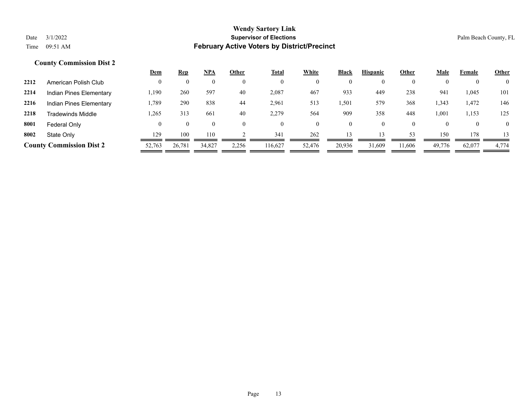|      |                                 | <u>Dem</u> | <b>Rep</b> | NPA     | Other | <b>Total</b> | White  | Black          | <b>Hispanic</b> | Other    | <u>Male</u> | Female | <b>Other</b>   |
|------|---------------------------------|------------|------------|---------|-------|--------------|--------|----------------|-----------------|----------|-------------|--------|----------------|
| 2212 | American Polish Club            |            |            | 0       |       | $\mathbf{0}$ |        | $\mathbf{0}$   | $\mathbf{0}$    | $\Omega$ |             |        | $\overline{0}$ |
| 2214 | Indian Pines Elementary         | 1,190      | 260        | 597     | 40    | 2,087        | 467    | 933            | 449             | 238      | 941         | 1,045  | 101            |
| 2216 | Indian Pines Elementary         | .789       | 290        | 838     | 44    | 2,961        | 513    | 1,501          | 579             | 368      | .343        | 1,472  | 146            |
| 2218 | Tradewinds Middle               | .265       | 313        | 661     | 40    | 2,279        | 564    | 909            | 358             | 448      | .001        | 1,153  | 125            |
| 8001 | Federal Only                    |            | $_{0}$     | $^{()}$ |       | $\theta$     |        | $\overline{0}$ | $\overline{0}$  | $\Omega$ |             |        | $\overline{0}$ |
| 8002 | State Only                      | 129        | 100        | 110     |       | 341          | 262    | 13             | 13              | 53       | 150         | 178    | 13             |
|      | <b>County Commission Dist 2</b> | 52,763     | 26,781     | 34,827  | 2,256 | 116,627      | 52,476 | 20,936         | 31,609          | 11,606   | 49,776      | 62,077 | 4,774          |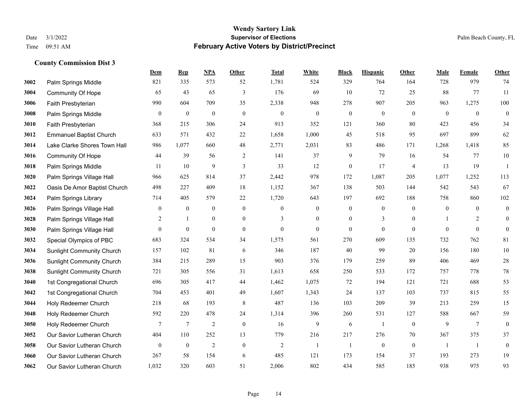|      |                                  | <b>Dem</b>     | <b>Rep</b>       | NPA              | <b>Other</b>     | <b>Total</b>     | <b>White</b>     | <b>Black</b>     | <b>Hispanic</b>  | <b>Other</b> | <b>Male</b>    | <b>Female</b>    | Other            |
|------|----------------------------------|----------------|------------------|------------------|------------------|------------------|------------------|------------------|------------------|--------------|----------------|------------------|------------------|
| 3002 | Palm Springs Middle              | 821            | 335              | 573              | 52               | 1,781            | 524              | 329              | 764              | 164          | 728            | 979              | 74               |
| 3004 | Community Of Hope                | 65             | 43               | 65               | 3                | 176              | 69               | 10               | 72               | 25           | 88             | 77               | 11               |
| 3006 | Faith Presbyterian               | 990            | 604              | 709              | 35               | 2,338            | 948              | 278              | 907              | 205          | 963            | 1,275            | 100              |
| 3008 | Palm Springs Middle              | $\mathbf{0}$   | $\boldsymbol{0}$ | $\boldsymbol{0}$ | $\boldsymbol{0}$ | $\boldsymbol{0}$ | $\boldsymbol{0}$ | $\boldsymbol{0}$ | $\boldsymbol{0}$ | $\mathbf{0}$ | $\overline{0}$ | $\boldsymbol{0}$ | $\boldsymbol{0}$ |
| 3010 | Faith Presbyterian               | 368            | 215              | 306              | 24               | 913              | 352              | 121              | 360              | 80           | 423            | 456              | 34               |
| 3012 | <b>Emmanuel Baptist Church</b>   | 633            | 571              | 432              | 22               | 1,658            | 1,000            | 45               | 518              | 95           | 697            | 899              | 62               |
| 3014 | Lake Clarke Shores Town Hall     | 986            | 1,077            | 660              | 48               | 2,771            | 2,031            | 83               | 486              | 171          | 1,268          | 1,418            | 85               |
| 3016 | <b>Community Of Hope</b>         | 44             | 39               | 56               | 2                | 141              | 37               | 9                | 79               | 16           | 54             | 77               | 10               |
| 3018 | Palm Springs Middle              | 11             | 10               | 9                | 3                | 33               | 12               | $\boldsymbol{0}$ | 17               | 4            | 13             | 19               | $\overline{1}$   |
| 3020 | Palm Springs Village Hall        | 966            | 625              | 814              | 37               | 2,442            | 978              | 172              | 1,087            | 205          | 1,077          | 1,252            | 113              |
| 3022 | Oasis De Amor Baptist Church     | 498            | 227              | 409              | 18               | 1,152            | 367              | 138              | 503              | 144          | 542            | 543              | 67               |
| 3024 | Palm Springs Library             | 714            | 405              | 579              | 22               | 1,720            | 643              | 197              | 692              | 188          | 758            | 860              | 102              |
| 3026 | Palm Springs Village Hall        | $\overline{0}$ | $\boldsymbol{0}$ | $\boldsymbol{0}$ | $\mathbf{0}$     | $\theta$         | $\boldsymbol{0}$ | $\mathbf{0}$     | $\mathbf{0}$     | $\mathbf{0}$ | $\mathbf{0}$   | $\mathbf{0}$     | $\boldsymbol{0}$ |
| 3028 | Palm Springs Village Hall        | 2              | 1                | $\boldsymbol{0}$ | $\boldsymbol{0}$ | 3                | $\boldsymbol{0}$ | $\boldsymbol{0}$ | 3                | $\mathbf{0}$ |                | $\overline{c}$   | $\boldsymbol{0}$ |
| 3030 | Palm Springs Village Hall        | $\overline{0}$ | $\boldsymbol{0}$ | $\mathbf{0}$     | $\mathbf{0}$     | $\theta$         | $\mathbf{0}$     | $\mathbf{0}$     | $\mathbf{0}$     | $\theta$     | $\overline{0}$ | $\mathbf{0}$     | $\mathbf{0}$     |
| 3032 | Special Olympics of PBC          | 683            | 324              | 534              | 34               | 1,575            | 561              | 270              | 609              | 135          | 732            | 762              | 81               |
| 3034 | <b>Sunlight Community Church</b> | 157            | 102              | 81               | 6                | 346              | 187              | 40               | 99               | 20           | 156            | 180              | 10               |
| 3036 | <b>Sunlight Community Church</b> | 384            | 215              | 289              | 15               | 903              | 376              | 179              | 259              | 89           | 406            | 469              | $28\,$           |
| 3038 | <b>Sunlight Community Church</b> | 721            | 305              | 556              | 31               | 1,613            | 658              | 250              | 533              | 172          | 757            | 778              | 78               |
| 3040 | 1st Congregational Church        | 696            | 305              | 417              | 44               | 1,462            | 1,075            | 72               | 194              | 121          | 721            | 688              | 53               |
| 3042 | 1st Congregational Church        | 704            | 453              | 401              | 49               | 1,607            | 1,343            | 24               | 137              | 103          | 737            | 815              | 55               |
| 3044 | Holy Redeemer Church             | 218            | 68               | 193              | 8                | 487              | 136              | 103              | 209              | 39           | 213            | 259              | 15               |
| 3048 | Holy Redeemer Church             | 592            | 220              | 478              | 24               | 1,314            | 396              | 260              | 531              | 127          | 588            | 667              | 59               |
| 3050 | Holy Redeemer Church             | 7              | $\tau$           | 2                | $\boldsymbol{0}$ | 16               | 9                | 6                | -1               | $\mathbf{0}$ | 9              | $7\phantom{.0}$  | $\mathbf{0}$     |
| 3052 | Our Savior Lutheran Church       | 404            | 110              | 252              | 13               | 779              | 216              | 217              | 276              | 70           | 367            | 375              | 37               |
| 3058 | Our Savior Lutheran Church       | $\mathbf{0}$   | $\boldsymbol{0}$ | $\overline{2}$   | $\mathbf{0}$     | $\overline{2}$   | $\mathbf{1}$     | $\overline{1}$   | $\mathbf{0}$     | $\mathbf{0}$ | $\overline{1}$ | -1               | $\boldsymbol{0}$ |
| 3060 | Our Savior Lutheran Church       | 267            | 58               | 154              | 6                | 485              | 121              | 173              | 154              | 37           | 193            | 273              | 19               |
| 3062 | Our Savior Lutheran Church       | 1,032          | 320              | 603              | 51               | 2,006            | 802              | 434              | 585              | 185          | 938            | 975              | 93               |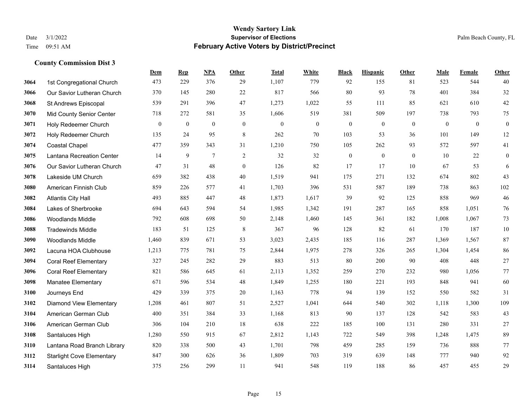|      |                                  | Dem          | <b>Rep</b>       | NPA            | <b>Other</b>   | <b>Total</b> | <b>White</b>     | <b>Black</b>     | <b>Hispanic</b> | <b>Other</b>   | <b>Male</b>  | Female       | <b>Other</b>     |
|------|----------------------------------|--------------|------------------|----------------|----------------|--------------|------------------|------------------|-----------------|----------------|--------------|--------------|------------------|
| 3064 | 1st Congregational Church        | 473          | 229              | 376            | 29             | 1,107        | 779              | 92               | 155             | 81             | 523          | 544          | 40               |
| 3066 | Our Savior Lutheran Church       | 370          | 145              | 280            | 22             | 817          | 566              | 80               | 93              | 78             | 401          | 384          | 32               |
| 3068 | St Andrews Episcopal             | 539          | 291              | 396            | 47             | 1,273        | 1,022            | 55               | 111             | 85             | 621          | 610          | $42\,$           |
| 3070 | Mid County Senior Center         | 718          | 272              | 581            | 35             | 1,606        | 519              | 381              | 509             | 197            | 738          | 793          | 75               |
| 3071 | Holy Redeemer Church             | $\mathbf{0}$ | $\boldsymbol{0}$ | $\overline{0}$ | $\mathbf{0}$   | $\mathbf{0}$ | $\boldsymbol{0}$ | $\boldsymbol{0}$ | $\mathbf{0}$    | $\overline{0}$ | $\mathbf{0}$ | $\mathbf{0}$ | $\boldsymbol{0}$ |
| 3072 | Holy Redeemer Church             | 135          | 24               | 95             | 8              | 262          | 70               | 103              | 53              | 36             | 101          | 149          | 12               |
| 3074 | <b>Coastal Chapel</b>            | 477          | 359              | 343            | 31             | 1,210        | 750              | 105              | 262             | 93             | 572          | 597          | 41               |
| 3075 | Lantana Recreation Center        | 14           | 9                | $\tau$         | 2              | 32           | 32               | $\boldsymbol{0}$ | $\mathbf{0}$    | $\theta$       | 10           | 22           | $\boldsymbol{0}$ |
| 3076 | Our Savior Lutheran Church       | 47           | 31               | 48             | $\overline{0}$ | 126          | 82               | 17               | 17              | 10             | 67           | 53           | 6                |
| 3078 | Lakeside UM Church               | 659          | 382              | 438            | 40             | 1,519        | 941              | 175              | 271             | 132            | 674          | 802          | 43               |
| 3080 | American Finnish Club            | 859          | 226              | 577            | 41             | 1,703        | 396              | 531              | 587             | 189            | 738          | 863          | 102              |
| 3082 | <b>Atlantis City Hall</b>        | 493          | 885              | 447            | 48             | 1,873        | 1,617            | 39               | 92              | 125            | 858          | 969          | 46               |
| 3084 | Lakes of Sherbrooke              | 694          | 643              | 594            | 54             | 1,985        | 1,342            | 191              | 287             | 165            | 858          | 1,051        | $76\,$           |
| 3086 | <b>Woodlands Middle</b>          | 792          | 608              | 698            | 50             | 2,148        | 1,460            | 145              | 361             | 182            | 1,008        | 1,067        | $73\,$           |
| 3088 | <b>Tradewinds Middle</b>         | 183          | 51               | 125            | 8              | 367          | 96               | 128              | 82              | 61             | 170          | 187          | $10\,$           |
| 3090 | <b>Woodlands Middle</b>          | 1,460        | 839              | 671            | 53             | 3,023        | 2,435            | 185              | 116             | 287            | 1,369        | 1,567        | 87               |
| 3092 | Lacuna HOA Clubhouse             | 1,213        | 775              | 781            | 75             | 2,844        | 1,975            | 278              | 326             | 265            | 1,304        | 1,454        | 86               |
| 3094 | <b>Coral Reef Elementary</b>     | 327          | 245              | 282            | 29             | 883          | 513              | 80               | 200             | 90             | 408          | 448          | 27               |
| 3096 | <b>Coral Reef Elementary</b>     | 821          | 586              | 645            | 61             | 2,113        | 1,352            | 259              | 270             | 232            | 980          | 1,056        | $77\,$           |
| 3098 | Manatee Elementary               | 671          | 596              | 534            | 48             | 1,849        | 1,255            | 180              | 221             | 193            | 848          | 941          | 60               |
| 3100 | Journeys End                     | 429          | 339              | 375            | 20             | 1,163        | 778              | 94               | 139             | 152            | 550          | 582          | 31               |
| 3102 | <b>Diamond View Elementary</b>   | 1,208        | 461              | 807            | 51             | 2,527        | 1,041            | 644              | 540             | 302            | 1,118        | 1,300        | 109              |
| 3104 | American German Club             | 400          | 351              | 384            | 33             | 1,168        | 813              | 90               | 137             | 128            | 542          | 583          | 43               |
| 3106 | American German Club             | 306          | 104              | 210            | 18             | 638          | 222              | 185              | 100             | 131            | 280          | 331          | $27\,$           |
| 3108 | Santaluces High                  | 1,280        | 550              | 915            | 67             | 2,812        | 1,143            | 722              | 549             | 398            | 1,248        | 1,475        | 89               |
| 3110 | Lantana Road Branch Library      | 820          | 338              | 500            | 43             | 1,701        | 798              | 459              | 285             | 159            | 736          | 888          | $77\,$           |
| 3112 | <b>Starlight Cove Elementary</b> | 847          | 300              | 626            | 36             | 1,809        | 703              | 319              | 639             | 148            | 777          | 940          | 92               |
| 3114 | Santaluces High                  | 375          | 256              | 299            | 11             | 941          | 548              | 119              | 188             | 86             | 457          | 455          | 29               |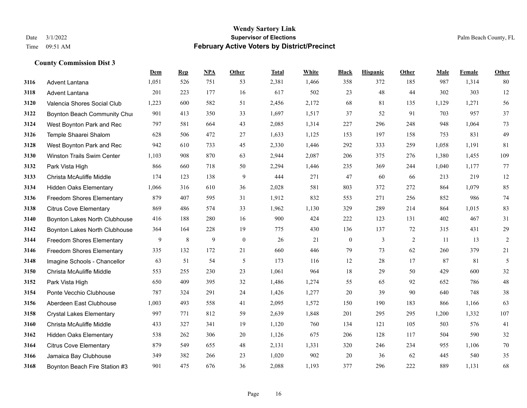|      |                                  | Dem   | $\mathbf{Rep}$ | NPA | <b>Other</b> | <b>Total</b> | <b>White</b> | <b>Black</b> | <b>Hispanic</b> | <b>Other</b> | <b>Male</b> | Female | <b>Other</b>   |
|------|----------------------------------|-------|----------------|-----|--------------|--------------|--------------|--------------|-----------------|--------------|-------------|--------|----------------|
| 3116 | Advent Lantana                   | 1,051 | 526            | 751 | 53           | 2,381        | 1,466        | 358          | 372             | 185          | 987         | 1,314  | 80             |
| 3118 | Advent Lantana                   | 201   | 223            | 177 | 16           | 617          | 502          | 23           | 48              | 44           | 302         | 303    | 12             |
| 3120 | Valencia Shores Social Club      | 1,223 | 600            | 582 | 51           | 2,456        | 2,172        | 68           | 81              | 135          | 1,129       | 1,271  | 56             |
| 3122 | Boynton Beach Community Chur     | 901   | 413            | 350 | 33           | 1,697        | 1,517        | 37           | 52              | 91           | 703         | 957    | 37             |
| 3124 | West Boynton Park and Rec        | 797   | 581            | 664 | 43           | 2,085        | 1,314        | 227          | 296             | 248          | 948         | 1.064  | 73             |
| 3126 | Temple Shaarei Shalom            | 628   | 506            | 472 | 27           | 1,633        | 1,125        | 153          | 197             | 158          | 753         | 831    | 49             |
| 3128 | West Boynton Park and Rec        | 942   | 610            | 733 | 45           | 2,330        | 1,446        | 292          | 333             | 259          | 1,058       | 1,191  | 81             |
| 3130 | Winston Trails Swim Center       | 1,103 | 908            | 870 | 63           | 2,944        | 2,087        | 206          | 375             | 276          | 1,380       | 1,455  | 109            |
| 3132 | Park Vista High                  | 866   | 660            | 718 | 50           | 2,294        | 1,446        | 235          | 369             | 244          | 1,040       | 1,177  | 77             |
| 3133 | Christa McAuliffe Middle         | 174   | 123            | 138 | 9            | 444          | 271          | 47           | 60              | 66           | 213         | 219    | $12\,$         |
| 3134 | <b>Hidden Oaks Elementary</b>    | 1,066 | 316            | 610 | 36           | 2,028        | 581          | 803          | 372             | 272          | 864         | 1.079  | 85             |
| 3136 | Freedom Shores Elementary        | 879   | 407            | 595 | 31           | 1,912        | 832          | 553          | 271             | 256          | 852         | 986    | 74             |
| 3138 | <b>Citrus Cove Elementary</b>    | 869   | 486            | 574 | 33           | 1,962        | 1,130        | 329          | 289             | 214          | 864         | 1,015  | 83             |
| 3140 | Boynton Lakes North Clubhouse    | 416   | 188            | 280 | 16           | 900          | 424          | 222          | 123             | 131          | 402         | 467    | 31             |
| 3142 | Boynton Lakes North Clubhouse    | 364   | 164            | 228 | 19           | 775          | 430          | 136          | 137             | 72           | 315         | 431    | 29             |
| 3144 | <b>Freedom Shores Elementary</b> | 9     | 8              | 9   | $\mathbf{0}$ | 26           | 21           | $\mathbf{0}$ | 3               | 2            | 11          | 13     | $\mathfrak{2}$ |
| 3146 | <b>Freedom Shores Elementary</b> | 335   | 132            | 172 | 21           | 660          | 446          | 79           | 73              | 62           | 260         | 379    | $21\,$         |
| 3148 | Imagine Schools - Chancellor     | 63    | 51             | 54  | 5            | 173          | 116          | 12           | 28              | 17           | 87          | 81     | 5              |
| 3150 | Christa McAuliffe Middle         | 553   | 255            | 230 | 23           | 1,061        | 964          | $18\,$       | 29              | 50           | 429         | 600    | 32             |
| 3152 | Park Vista High                  | 650   | 409            | 395 | 32           | 1,486        | 1,274        | 55           | 65              | 92           | 652         | 786    | $48\,$         |
| 3154 | Ponte Vecchio Clubhouse          | 787   | 324            | 291 | 24           | 1,426        | 1,277        | 20           | 39              | 90           | 640         | 748    | 38             |
| 3156 | Aberdeen East Clubhouse          | 1,003 | 493            | 558 | 41           | 2,095        | 1,572        | 150          | 190             | 183          | 866         | 1,166  | 63             |
| 3158 | <b>Crystal Lakes Elementary</b>  | 997   | 771            | 812 | 59           | 2,639        | 1,848        | 201          | 295             | 295          | 1,200       | 1,332  | 107            |
| 3160 | Christa McAuliffe Middle         | 433   | 327            | 341 | 19           | 1,120        | 760          | 134          | 121             | 105          | 503         | 576    | 41             |
| 3162 | <b>Hidden Oaks Elementary</b>    | 538   | 262            | 306 | 20           | 1,126        | 675          | 206          | 128             | 117          | 504         | 590    | 32             |
| 3164 | <b>Citrus Cove Elementary</b>    | 879   | 549            | 655 | 48           | 2,131        | 1,331        | 320          | 246             | 234          | 955         | 1,106  | $70\,$         |
| 3166 | Jamaica Bay Clubhouse            | 349   | 382            | 266 | 23           | 1,020        | 902          | 20           | 36              | 62           | 445         | 540    | 35             |
| 3168 | Boynton Beach Fire Station #3    | 901   | 475            | 676 | 36           | 2,088        | 1,193        | 377          | 296             | 222          | 889         | 1,131  | 68             |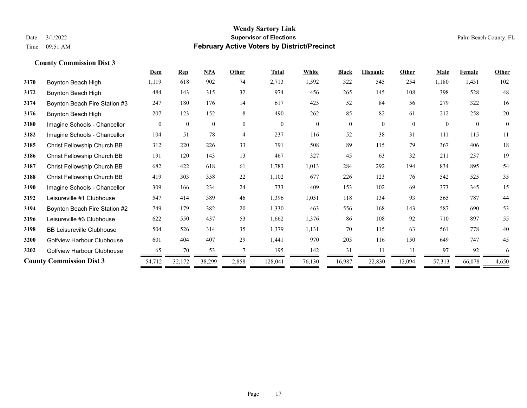|      |                                  | Dem      | <b>Rep</b>   | NPA      | Other          | <b>Total</b> | White    | <b>Black</b> | <b>Hispanic</b> | Other    | <b>Male</b> | Female   | Other        |
|------|----------------------------------|----------|--------------|----------|----------------|--------------|----------|--------------|-----------------|----------|-------------|----------|--------------|
| 3170 | Boynton Beach High               | 1,119    | 618          | 902      | 74             | 2,713        | 1,592    | 322          | 545             | 254      | 1,180       | 1,431    | 102          |
| 3172 | Boynton Beach High               | 484      | 143          | 315      | 32             | 974          | 456      | 265          | 145             | 108      | 398         | 528      | 48           |
| 3174 | Boynton Beach Fire Station #3    | 247      | 180          | 176      | 14             | 617          | 425      | 52           | 84              | 56       | 279         | 322      | 16           |
| 3176 | Boynton Beach High               | 207      | 123          | 152      | 8              | 490          | 262      | 85           | 82              | 61       | 212         | 258      | 20           |
| 3180 | Imagine Schools - Chancellor     | $\theta$ | $\mathbf{0}$ | $\theta$ | $\theta$       | $\theta$     | $\theta$ | $\mathbf{0}$ | $\theta$        | $\theta$ | $\theta$    | $\theta$ | $\mathbf{0}$ |
| 3182 | Imagine Schools - Chancellor     | 104      | 51           | 78       | $\overline{4}$ | 237          | 116      | 52           | 38              | 31       | 111         | 115      | 11           |
| 3185 | Christ Fellowship Church BB      | 312      | 220          | 226      | 33             | 791          | 508      | 89           | 115             | 79       | 367         | 406      | 18           |
| 3186 | Christ Fellowship Church BB      | 191      | 120          | 143      | 13             | 467          | 327      | 45           | 63              | 32       | 211         | 237      | 19           |
| 3187 | Christ Fellowship Church BB      | 682      | 422          | 618      | 61             | 1,783        | 1,013    | 284          | 292             | 194      | 834         | 895      | 54           |
| 3188 | Christ Fellowship Church BB      | 419      | 303          | 358      | 22             | 1,102        | 677      | 226          | 123             | 76       | 542         | 525      | 35           |
| 3190 | Imagine Schools - Chancellor     | 309      | 166          | 234      | 24             | 733          | 409      | 153          | 102             | 69       | 373         | 345      | 15           |
| 3192 | Leisureville #1 Clubhouse        | 547      | 414          | 389      | 46             | 1,396        | 1,051    | 118          | 134             | 93       | 565         | 787      | 44           |
| 3194 | Boynton Beach Fire Station #2    | 749      | 179          | 382      | 20             | 1,330        | 463      | 556          | 168             | 143      | 587         | 690      | 53           |
| 3196 | Leisureville #3 Clubhouse        | 622      | 550          | 437      | 53             | 1,662        | 1,376    | 86           | 108             | 92       | 710         | 897      | 55           |
| 3198 | <b>BB Leisureville Clubhouse</b> | 504      | 526          | 314      | 35             | 1,379        | 1,131    | 70           | 115             | 63       | 561         | 778      | 40           |
| 3200 | Golfview Harbour Clubhouse       | 601      | 404          | 407      | 29             | 1,441        | 970      | 205          | 116             | 150      | 649         | 747      | 45           |
| 3202 | Golfview Harbour Clubhouse       | 65       | 70           | 53       |                | 195          | 142      | 31           | 11              | 11       | 97          | 92       | 6            |
|      | <b>County Commission Dist 3</b>  | 54,712   | 32,172       | 38,299   | 2,858          | 128,041      | 76,130   | 16,987       | 22,830          | 12,094   | 57,313      | 66,078   | 4,650        |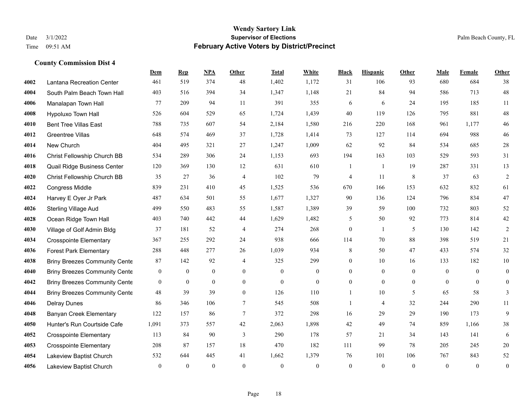|      |                                      | Dem              | <b>Rep</b>       | NPA              | <b>Other</b>   | <b>Total</b>     | White            | <b>Black</b>     | <b>Hispanic</b>  | <b>Other</b>   | <b>Male</b>    | Female       | <b>Other</b>     |
|------|--------------------------------------|------------------|------------------|------------------|----------------|------------------|------------------|------------------|------------------|----------------|----------------|--------------|------------------|
| 4002 | Lantana Recreation Center            | 461              | 519              | 374              | 48             | 1,402            | 1,172            | 31               | 106              | 93             | 680            | 684          | 38               |
| 4004 | South Palm Beach Town Hall           | 403              | 516              | 394              | 34             | 1,347            | 1,148            | 21               | 84               | 94             | 586            | 713          | $48\,$           |
| 4006 | Manalapan Town Hall                  | 77               | 209              | 94               | 11             | 391              | 355              | 6                | 6                | 24             | 195            | 185          | 11               |
| 4008 | <b>Hypoluxo Town Hall</b>            | 526              | 604              | 529              | 65             | 1,724            | 1,439            | 40               | 119              | 126            | 795            | 881          | $48\,$           |
| 4010 | <b>Bent Tree Villas East</b>         | 788              | 735              | 607              | 54             | 2,184            | 1,580            | 216              | 220              | 168            | 961            | 1,177        | $46\,$           |
| 4012 | <b>Greentree Villas</b>              | 648              | 574              | 469              | 37             | 1,728            | 1,414            | 73               | 127              | 114            | 694            | 988          | $46\,$           |
| 4014 | New Church                           | 404              | 495              | 321              | 27             | 1,247            | 1,009            | 62               | 92               | 84             | 534            | 685          | $28\,$           |
| 4016 | Christ Fellowship Church BB          | 534              | 289              | 306              | 24             | 1,153            | 693              | 194              | 163              | 103            | 529            | 593          | 31               |
| 4018 | Quail Ridge Business Center          | 120              | 369              | 130              | 12             | 631              | 610              | $\mathbf{1}$     | 1                | 19             | 287            | 331          | 13               |
| 4020 | Christ Fellowship Church BB          | 35               | 27               | 36               | 4              | 102              | 79               | 4                | 11               | 8              | 37             | 63           | $\sqrt{2}$       |
| 4022 | <b>Congress Middle</b>               | 839              | 231              | 410              | 45             | 1,525            | 536              | 670              | 166              | 153            | 632            | 832          | 61               |
| 4024 | Harvey E Oyer Jr Park                | 487              | 634              | 501              | 55             | 1,677            | 1,327            | 90               | 136              | 124            | 796            | 834          | 47               |
| 4026 | <b>Sterling Village Aud</b>          | 499              | 550              | 483              | 55             | 1,587            | 1,389            | 39               | 59               | 100            | 732            | 803          | $52\,$           |
| 4028 | Ocean Ridge Town Hall                | 403              | 740              | 442              | 44             | 1,629            | 1,482            | 5                | 50               | 92             | 773            | 814          | 42               |
| 4030 | Village of Golf Admin Bldg           | 37               | 181              | 52               | 4              | 274              | 268              | $\boldsymbol{0}$ | $\mathbf{1}$     | 5              | 130            | 142          | $\sqrt{2}$       |
| 4034 | <b>Crosspointe Elementary</b>        | 367              | 255              | 292              | 24             | 938              | 666              | 114              | 70               | 88             | 398            | 519          | 21               |
| 4036 | <b>Forest Park Elementary</b>        | 288              | 448              | 277              | 26             | 1,039            | 934              | 8                | 50               | 47             | 433            | 574          | $32\,$           |
| 4038 | <b>Briny Breezes Community Cente</b> | 87               | 142              | 92               | $\overline{4}$ | 325              | 299              | $\boldsymbol{0}$ | 10               | 16             | 133            | 182          | $10\,$           |
| 4040 | <b>Briny Breezes Community Cente</b> | $\boldsymbol{0}$ | $\boldsymbol{0}$ | $\boldsymbol{0}$ | $\overline{0}$ | $\boldsymbol{0}$ | $\boldsymbol{0}$ | $\boldsymbol{0}$ | $\boldsymbol{0}$ | $\mathbf{0}$   | $\mathbf{0}$   | $\mathbf{0}$ | $\boldsymbol{0}$ |
| 4042 | <b>Briny Breezes Community Cente</b> | $\mathbf{0}$     | $\mathbf{0}$     | $\overline{0}$   | $\overline{0}$ | $\mathbf{0}$     | $\mathbf{0}$     | $\boldsymbol{0}$ | $\mathbf{0}$     | $\overline{0}$ | $\overline{0}$ | $\theta$     | $\boldsymbol{0}$ |
| 4044 | <b>Briny Breezes Community Cente</b> | 48               | 39               | 39               | $\Omega$       | 126              | 110              | 1                | 10               | 5              | 65             | 58           | $\overline{3}$   |
| 4046 | <b>Delray Dunes</b>                  | 86               | 346              | 106              | $\tau$         | 545              | 508              | 1                | $\overline{4}$   | 32             | 244            | 290          | 11               |
| 4048 | <b>Banyan Creek Elementary</b>       | 122              | 157              | 86               | $\tau$         | 372              | 298              | 16               | 29               | 29             | 190            | 173          | 9                |
| 4050 | Hunter's Run Courtside Cafe          | 1,091            | 373              | 557              | 42             | 2,063            | 1,898            | 42               | 49               | 74             | 859            | 1,166        | 38               |
| 4052 | <b>Crosspointe Elementary</b>        | 113              | 84               | 90               | 3              | 290              | 178              | 57               | 21               | 34             | 143            | 141          | 6                |
| 4053 | <b>Crosspointe Elementary</b>        | 208              | 87               | 157              | 18             | 470              | 182              | 111              | 99               | 78             | 205            | 245          | $20\,$           |
| 4054 | Lakeview Baptist Church              | 532              | 644              | 445              | 41             | 1,662            | 1,379            | 76               | 101              | 106            | 767            | 843          | 52               |
| 4056 | Lakeview Baptist Church              | $\mathbf{0}$     | $\mathbf{0}$     | $\theta$         | $\theta$       | $\Omega$         | $\mathbf{0}$     | $\mathbf{0}$     | $\mathbf{0}$     | $\theta$       | $\theta$       | $\mathbf{0}$ | $\boldsymbol{0}$ |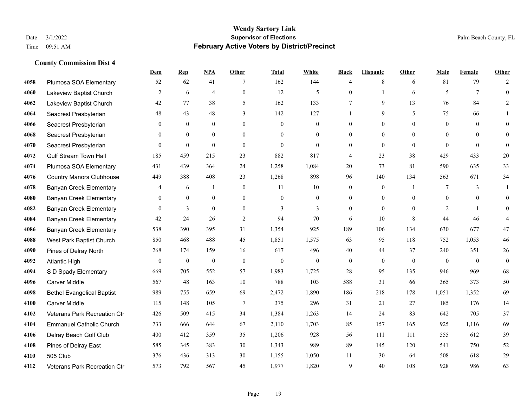|      |                                   | Dem              | <b>Rep</b>       | NPA              | <b>Other</b>   | <b>Total</b> | <b>White</b>   | <b>Black</b>     | <b>Hispanic</b>  | <b>Other</b>   | <b>Male</b>    | <b>Female</b>   | <b>Other</b>     |
|------|-----------------------------------|------------------|------------------|------------------|----------------|--------------|----------------|------------------|------------------|----------------|----------------|-----------------|------------------|
| 4058 | Plumosa SOA Elementary            | 52               | 62               | 41               | 7              | 162          | 144            | $\overline{4}$   | 8                | 6              | 81             | 79              | $\overline{2}$   |
| 4060 | Lakeview Baptist Church           | 2                | 6                | $\overline{4}$   | $\overline{0}$ | 12           | 5              | $\mathbf{0}$     | $\mathbf{1}$     | 6              | 5              | $7\phantom{.0}$ | $\mathbf{0}$     |
| 4062 | Lakeview Baptist Church           | 42               | 77               | 38               | 5              | 162          | 133            | $7\phantom{.0}$  | 9                | 13             | 76             | 84              | $\overline{2}$   |
| 4064 | Seacrest Presbyterian             | 48               | 43               | 48               | 3              | 142          | 127            |                  | 9                | 5              | 75             | 66              |                  |
| 4066 | Seacrest Presbyterian             | $\theta$         | $\overline{0}$   | $\theta$         | $\Omega$       | $\theta$     | $\overline{0}$ | $\mathbf{0}$     | $\overline{0}$   | $\theta$       | $\theta$       | $\theta$        | $\mathbf{0}$     |
| 4068 | Seacrest Presbyterian             | $\boldsymbol{0}$ | $\boldsymbol{0}$ | $\boldsymbol{0}$ | $\overline{0}$ | $\theta$     | $\mathbf{0}$   | $\boldsymbol{0}$ | $\boldsymbol{0}$ | $\theta$       | $\overline{0}$ | $\mathbf{0}$    | $\mathbf{0}$     |
| 4070 | Seacrest Presbyterian             | $\mathbf{0}$     | $\mathbf{0}$     | $\mathbf{0}$     | $\overline{0}$ | $\mathbf{0}$ | $\overline{0}$ | $\boldsymbol{0}$ | $\mathbf{0}$     | $\theta$       | $\theta$       | $\theta$        | $\boldsymbol{0}$ |
| 4072 | <b>Gulf Stream Town Hall</b>      | 185              | 459              | 215              | 23             | 882          | 817            | 4                | 23               | 38             | 429            | 433             | $20\,$           |
| 4074 | Plumosa SOA Elementary            | 431              | 439              | 364              | 24             | 1,258        | 1,084          | 20               | 73               | 81             | 590            | 635             | 33               |
| 4076 | <b>Country Manors Clubhouse</b>   | 449              | 388              | 408              | 23             | 1,268        | 898            | 96               | 140              | 134            | 563            | 671             | 34               |
| 4078 | <b>Banyan Creek Elementary</b>    | 4                | 6                | -1               | $\mathbf{0}$   | 11           | 10             | $\boldsymbol{0}$ | $\mathbf{0}$     | $\overline{1}$ | 7              | 3               | 1                |
| 4080 | <b>Banyan Creek Elementary</b>    | $\theta$         | $\mathbf{0}$     | $\mathbf{0}$     | $\Omega$       | $\theta$     | $\mathbf{0}$   | $\mathbf{0}$     | $\theta$         | $\theta$       | $\theta$       | $\theta$        | $\theta$         |
| 4082 | <b>Banyan Creek Elementary</b>    | $\mathbf{0}$     | 3                | $\mathbf{0}$     | $\overline{0}$ | 3            | 3              | $\overline{0}$   | $\mathbf{0}$     | $\theta$       | 2              | -1              | $\Omega$         |
| 4084 | <b>Banyan Creek Elementary</b>    | 42               | 24               | 26               | $\mathfrak{2}$ | 94           | 70             | 6                | 10               | 8              | 44             | 46              | $\overline{4}$   |
| 4086 | <b>Banyan Creek Elementary</b>    | 538              | 390              | 395              | 31             | 1,354        | 925            | 189              | 106              | 134            | 630            | 677             | 47               |
| 4088 | West Park Baptist Church          | 850              | 468              | 488              | 45             | 1,851        | 1,575          | 63               | 95               | 118            | 752            | 1,053           | 46               |
| 4090 | Pines of Delray North             | 268              | 174              | 159              | 16             | 617          | 496            | 40               | 44               | 37             | 240            | 351             | $26\,$           |
| 4092 | <b>Atlantic High</b>              | $\theta$         | $\boldsymbol{0}$ | $\mathbf{0}$     | $\theta$       | $\mathbf{0}$ | $\overline{0}$ | $\mathbf{0}$     | $\overline{0}$   | $\theta$       | $\theta$       | $\theta$        | $\mathbf{0}$     |
| 4094 | S D Spady Elementary              | 669              | 705              | 552              | 57             | 1,983        | 1,725          | 28               | 95               | 135            | 946            | 969             | 68               |
| 4096 | Carver Middle                     | 567              | 48               | 163              | 10             | 788          | 103            | 588              | 31               | 66             | 365            | 373             | 50               |
| 4098 | <b>Bethel Evangelical Baptist</b> | 989              | 755              | 659              | 69             | 2,472        | 1,890          | 186              | 218              | 178            | 1,051          | 1,352           | 69               |
| 4100 | <b>Carver Middle</b>              | 115              | 148              | 105              | $\overline{7}$ | 375          | 296            | 31               | 21               | 27             | 185            | 176             | 14               |
| 4102 | Veterans Park Recreation Ctr      | 426              | 509              | 415              | 34             | 1,384        | 1,263          | 14               | 24               | 83             | 642            | 705             | 37               |
| 4104 | <b>Emmanuel Catholic Church</b>   | 733              | 666              | 644              | 67             | 2,110        | 1,703          | 85               | 157              | 165            | 925            | 1,116           | 69               |
| 4106 | Delray Beach Golf Club            | 400              | 412              | 359              | 35             | 1,206        | 928            | 56               | 111              | 111            | 555            | 612             | 39               |
| 4108 | Pines of Delray East              | 585              | 345              | 383              | 30             | 1,343        | 989            | 89               | 145              | 120            | 541            | 750             | 52               |
| 4110 | 505 Club                          | 376              | 436              | 313              | 30             | 1,155        | 1,050          | 11               | 30               | 64             | 508            | 618             | 29               |
| 4112 | Veterans Park Recreation Ctr      | 573              | 792              | 567              | 45             | 1,977        | 1,820          | 9                | 40               | 108            | 928            | 986             | 63               |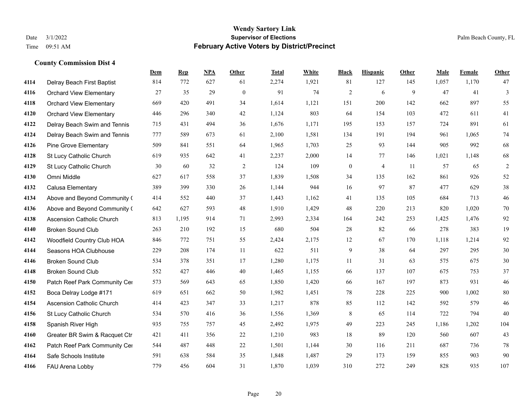|      |                                  | Dem | <b>Rep</b> | NPA | <b>Other</b> | <b>Total</b> | White | <b>Black</b>     | <b>Hispanic</b> | <b>Other</b> | <b>Male</b> | Female | <b>Other</b>   |
|------|----------------------------------|-----|------------|-----|--------------|--------------|-------|------------------|-----------------|--------------|-------------|--------|----------------|
| 4114 | Delray Beach First Baptist       | 814 | 772        | 627 | 61           | 2,274        | 1,921 | 81               | 127             | 145          | 1,057       | 1,170  | 47             |
| 4116 | <b>Orchard View Elementary</b>   | 27  | 35         | 29  | $\mathbf{0}$ | 91           | 74    | $\overline{2}$   | 6               | 9            | 47          | 41     | 3              |
| 4118 | <b>Orchard View Elementary</b>   | 669 | 420        | 491 | 34           | 1,614        | 1,121 | 151              | 200             | 142          | 662         | 897    | 55             |
| 4120 | <b>Orchard View Elementary</b>   | 446 | 296        | 340 | 42           | 1,124        | 803   | 64               | 154             | 103          | 472         | 611    | 41             |
| 4122 | Delray Beach Swim and Tennis     | 715 | 431        | 494 | 36           | 1,676        | 1,171 | 195              | 153             | 157          | 724         | 891    | 61             |
| 4124 | Delray Beach Swim and Tennis     | 777 | 589        | 673 | 61           | 2,100        | 1,581 | 134              | 191             | 194          | 961         | 1,065  | 74             |
| 4126 | <b>Pine Grove Elementary</b>     | 509 | 841        | 551 | 64           | 1,965        | 1,703 | 25               | 93              | 144          | 905         | 992    | 68             |
| 4128 | St Lucy Catholic Church          | 619 | 935        | 642 | 41           | 2,237        | 2,000 | 14               | 77              | 146          | 1,021       | 1,148  | 68             |
| 4129 | St Lucy Catholic Church          | 30  | 60         | 32  | 2            | 124          | 109   | $\boldsymbol{0}$ | $\overline{4}$  | 11           | 57          | 65     | $\overline{2}$ |
| 4130 | Omni Middle                      | 627 | 617        | 558 | 37           | 1,839        | 1,508 | 34               | 135             | 162          | 861         | 926    | 52             |
| 4132 | Calusa Elementary                | 389 | 399        | 330 | 26           | 1,144        | 944   | 16               | 97              | 87           | 477         | 629    | 38             |
| 4134 | Above and Beyond Community (     | 414 | 552        | 440 | 37           | 1,443        | 1,162 | 41               | 135             | 105          | 684         | 713    | $46\,$         |
| 4136 | Above and Beyond Community (     | 642 | 627        | 593 | 48           | 1,910        | 1,429 | 48               | 220             | 213          | 820         | 1,020  | 70             |
| 4138 | <b>Ascension Catholic Church</b> | 813 | 1,195      | 914 | 71           | 2,993        | 2,334 | 164              | 242             | 253          | 1,425       | 1,476  | 92             |
| 4140 | <b>Broken Sound Club</b>         | 263 | 210        | 192 | 15           | 680          | 504   | 28               | 82              | 66           | 278         | 383    | 19             |
| 4142 | Woodfield Country Club HOA       | 846 | 772        | 751 | 55           | 2,424        | 2,175 | 12               | 67              | 170          | 1,118       | 1,214  | 92             |
| 4144 | Seasons HOA Clubhouse            | 229 | 208        | 174 | $11\,$       | 622          | 511   | 9                | 38              | 64           | 297         | 295    | 30             |
| 4146 | <b>Broken Sound Club</b>         | 534 | 378        | 351 | 17           | 1,280        | 1,175 | 11               | 31              | 63           | 575         | 675    | 30             |
| 4148 | <b>Broken Sound Club</b>         | 552 | 427        | 446 | 40           | 1,465        | 1,155 | 66               | 137             | 107          | 675         | 753    | 37             |
| 4150 | Patch Reef Park Community Cer    | 573 | 569        | 643 | 65           | 1,850        | 1,420 | 66               | 167             | 197          | 873         | 931    | 46             |
| 4152 | Boca Delray Lodge #171           | 619 | 651        | 662 | 50           | 1,982        | 1,451 | 78               | 228             | 225          | 900         | 1,002  | 80             |
| 4154 | <b>Ascension Catholic Church</b> | 414 | 423        | 347 | 33           | 1,217        | 878   | 85               | 112             | 142          | 592         | 579    | 46             |
| 4156 | St Lucy Catholic Church          | 534 | 570        | 416 | 36           | 1,556        | 1,369 | 8                | 65              | 114          | 722         | 794    | 40             |
| 4158 | Spanish River High               | 935 | 755        | 757 | 45           | 2,492        | 1,975 | 49               | 223             | 245          | 1,186       | 1,202  | 104            |
| 4160 | Greater BR Swim & Racquet Ctr    | 421 | 411        | 356 | 22           | 1,210        | 983   | 18               | 89              | 120          | 560         | 607    | 43             |
| 4162 | Patch Reef Park Community Cer    | 544 | 487        | 448 | $22\,$       | 1,501        | 1,144 | 30               | 116             | 211          | 687         | 736    | 78             |
| 4164 | Safe Schools Institute           | 591 | 638        | 584 | 35           | 1,848        | 1,487 | 29               | 173             | 159          | 855         | 903    | 90             |
| 4166 | FAU Arena Lobby                  | 779 | 456        | 604 | 31           | 1,870        | 1,039 | 310              | 272             | 249          | 828         | 935    | 107            |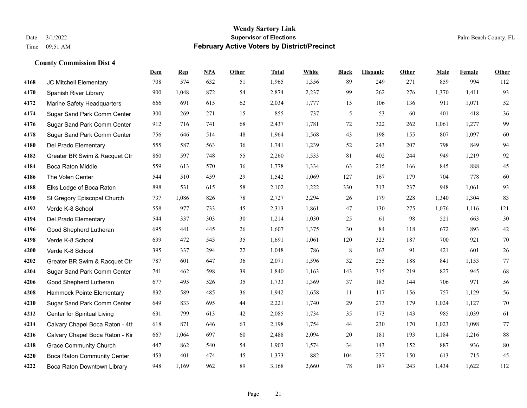|      |                                 | Dem | <b>Rep</b> | NPA | <b>Other</b> | <b>Total</b> | <b>White</b> | <b>Black</b> | <b>Hispanic</b> | <b>Other</b> | <b>Male</b> | <b>Female</b> | <b>Other</b> |
|------|---------------------------------|-----|------------|-----|--------------|--------------|--------------|--------------|-----------------|--------------|-------------|---------------|--------------|
| 4168 | JC Mitchell Elementary          | 708 | 574        | 632 | 51           | 1,965        | 1,356        | 89           | 249             | 271          | 859         | 994           | 112          |
| 4170 | Spanish River Library           | 900 | 1,048      | 872 | 54           | 2,874        | 2,237        | 99           | 262             | 276          | 1,370       | 1,411         | 93           |
| 4172 | Marine Safety Headquarters      | 666 | 691        | 615 | 62           | 2,034        | 1,777        | 15           | 106             | 136          | 911         | 1,071         | 52           |
| 4174 | Sugar Sand Park Comm Center     | 300 | 269        | 271 | 15           | 855          | 737          | 5            | 53              | 60           | 401         | 418           | 36           |
| 4176 | Sugar Sand Park Comm Center     | 912 | 716        | 741 | 68           | 2,437        | 1,781        | 72           | 322             | 262          | 1,061       | 1,277         | 99           |
| 4178 | Sugar Sand Park Comm Center     | 756 | 646        | 514 | 48           | 1,964        | 1,568        | 43           | 198             | 155          | 807         | 1,097         | 60           |
| 4180 | Del Prado Elementary            | 555 | 587        | 563 | 36           | 1,741        | 1,239        | 52           | 243             | 207          | 798         | 849           | 94           |
| 4182 | Greater BR Swim & Racquet Ctr   | 860 | 597        | 748 | 55           | 2,260        | 1,533        | 81           | 402             | 244          | 949         | 1,219         | 92           |
| 4184 | <b>Boca Raton Middle</b>        | 559 | 613        | 570 | 36           | 1,778        | 1,334        | 63           | 215             | 166          | 845         | 888           | 45           |
| 4186 | The Volen Center                | 544 | 510        | 459 | 29           | 1,542        | 1,069        | 127          | 167             | 179          | 704         | 778           | 60           |
| 4188 | Elks Lodge of Boca Raton        | 898 | 531        | 615 | 58           | 2,102        | 1,222        | 330          | 313             | 237          | 948         | 1,061         | 93           |
| 4190 | St Gregory Episcopal Church     | 737 | 1,086      | 826 | 78           | 2,727        | 2,294        | 26           | 179             | 228          | 1,340       | 1,304         | 83           |
| 4192 | Verde K-8 School                | 558 | 977        | 733 | 45           | 2,313        | 1,861        | 47           | 130             | 275          | 1,076       | 1,116         | 121          |
| 4194 | Del Prado Elementary            | 544 | 337        | 303 | 30           | 1,214        | 1,030        | 25           | 61              | 98           | 521         | 663           | 30           |
| 4196 | Good Shepherd Lutheran          | 695 | 441        | 445 | 26           | 1,607        | 1,375        | 30           | 84              | 118          | 672         | 893           | $42\,$       |
| 4198 | Verde K-8 School                | 639 | 472        | 545 | 35           | 1,691        | 1,061        | 120          | 323             | 187          | 700         | 921           | $70\,$       |
| 4200 | Verde K-8 School                | 395 | 337        | 294 | 22           | 1,048        | 786          | 8            | 163             | 91           | 421         | 601           | $26\,$       |
| 4202 | Greater BR Swim & Racquet Ctr   | 787 | 601        | 647 | 36           | 2,071        | 1,596        | 32           | 255             | 188          | 841         | 1.153         | $77\,$       |
| 4204 | Sugar Sand Park Comm Center     | 741 | 462        | 598 | 39           | 1,840        | 1,163        | 143          | 315             | 219          | 827         | 945           | 68           |
| 4206 | Good Shepherd Lutheran          | 677 | 495        | 526 | 35           | 1,733        | 1,369        | 37           | 183             | 144          | 706         | 971           | 56           |
| 4208 | Hammock Pointe Elementary       | 832 | 589        | 485 | 36           | 1,942        | 1,658        | 11           | 117             | 156          | 757         | 1,129         | 56           |
| 4210 | Sugar Sand Park Comm Center     | 649 | 833        | 695 | 44           | 2,221        | 1,740        | 29           | 273             | 179          | 1,024       | 1,127         | $70\,$       |
| 4212 | Center for Spiritual Living     | 631 | 799        | 613 | 42           | 2,085        | 1,734        | 35           | 173             | 143          | 985         | 1,039         | 61           |
| 4214 | Calvary Chapel Boca Raton - 4th | 618 | 871        | 646 | 63           | 2,198        | 1,754        | 44           | 230             | 170          | 1,023       | 1,098         | 77           |
| 4216 | Calvary Chapel Boca Raton - Kir | 667 | 1,064      | 697 | 60           | 2,488        | 2,094        | 20           | 181             | 193          | 1,184       | 1,216         | $88\,$       |
| 4218 | <b>Grace Community Church</b>   | 447 | 862        | 540 | 54           | 1,903        | 1,574        | 34           | 143             | 152          | 887         | 936           | $80\,$       |
| 4220 | Boca Raton Community Center     | 453 | 401        | 474 | 45           | 1,373        | 882          | 104          | 237             | 150          | 613         | 715           | 45           |
| 4222 | Boca Raton Downtown Library     | 948 | 1,169      | 962 | 89           | 3,168        | 2,660        | 78           | 187             | 243          | 1,434       | 1,622         | 112          |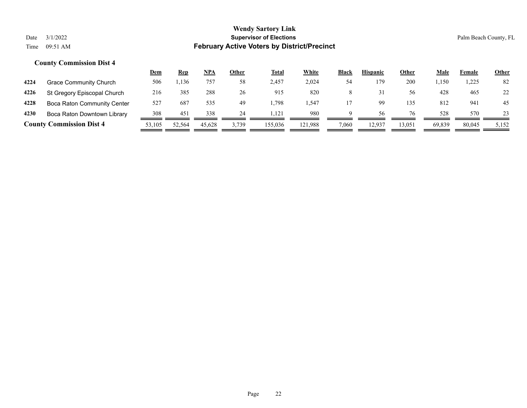|      |                                 | <u>Dem</u> | <b>Rep</b> | NPA    | <u>Other</u> | <u>Total</u> | White   | <b>Black</b> | <b>Hispanic</b> | <b>Other</b> | <u>Male</u> | Female | <b>Other</b> |
|------|---------------------------------|------------|------------|--------|--------------|--------------|---------|--------------|-----------------|--------------|-------------|--------|--------------|
| 4224 | Grace Community Church          | 506        | .,136      | 757    | 58           | 2.457        | 2.024   | 54           | 179             | 200          | .,150       | 1,225  | 82           |
| 4226 | St Gregory Episcopal Church     | 216        | 385        | 288    | 26           | 915          | 820     | 8            |                 | 56           | 428         | 465    | 22           |
| 4228 | Boca Raton Community Center     | 527        | 687        | 535    | 49           | .798         | . . 547 |              |                 | 135          | 812         | 941    | 45           |
| 4230 | Boca Raton Downtown Library     | 308        | 451        | 338    | 24           | 121          | 980     | a            | 56              | 76           | 528         | 570    | 23           |
|      | <b>County Commission Dist 4</b> | 53.105     | 52,564     | 45.628 | 3,739        | 155,036      | 121.988 | 7,060        | 12,937          | 13,051       | 69.839      | 80,045 | 5,152        |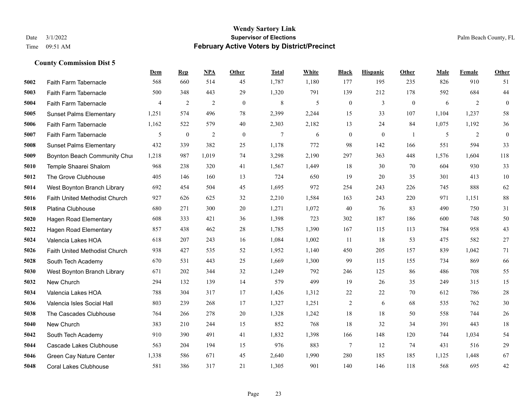|      |                                      | Dem            | <b>Rep</b>     | NPA            | <b>Other</b> | <b>Total</b>    | White | <b>Black</b>     | <b>Hispanic</b> | <b>Other</b>   | <b>Male</b> | Female | Other          |
|------|--------------------------------------|----------------|----------------|----------------|--------------|-----------------|-------|------------------|-----------------|----------------|-------------|--------|----------------|
| 5002 | Faith Farm Tabernacle                | 568            | 660            | 514            | 45           | 1,787           | 1,180 | 177              | 195             | 235            | 826         | 910    | 51             |
| 5003 | Faith Farm Tabernacle                | 500            | 348            | 443            | 29           | 1,320           | 791   | 139              | 212             | 178            | 592         | 684    | 44             |
| 5004 | Faith Farm Tabernacle                | $\overline{4}$ | $\overline{2}$ | $\overline{2}$ | $\theta$     | 8               | 5     | $\mathbf{0}$     | $\overline{3}$  | $\theta$       | 6           | 2      | $\mathbf{0}$   |
| 5005 | <b>Sunset Palms Elementary</b>       | 1,251          | 574            | 496            | 78           | 2,399           | 2,244 | 15               | 33              | 107            | 1,104       | 1,237  | 58             |
| 5006 | Faith Farm Tabernacle                | 1,162          | 522            | 579            | 40           | 2,303           | 2,182 | 13               | 24              | 84             | 1,075       | 1,192  | $36\,$         |
| 5007 | <b>Faith Farm Tabernacle</b>         | 5              | $\bf{0}$       | 2              | $\mathbf{0}$ | $7\phantom{.0}$ | 6     | $\boldsymbol{0}$ | $\mathbf{0}$    | $\overline{1}$ | 5           | 2      | $\overline{0}$ |
| 5008 | <b>Sunset Palms Elementary</b>       | 432            | 339            | 382            | 25           | 1,178           | 772   | 98               | 142             | 166            | 551         | 594    | 33             |
| 5009 | Boynton Beach Community Chur         | 1,218          | 987            | 1,019          | 74           | 3,298           | 2,190 | 297              | 363             | 448            | 1,576       | 1,604  | 118            |
| 5010 | Temple Shaarei Shalom                | 968            | 238            | 320            | 41           | 1,567           | 1,449 | 18               | 30              | 70             | 604         | 930    | 33             |
| 5012 | The Grove Clubhouse                  | 405            | 146            | 160            | 13           | 724             | 650   | 19               | 20              | 35             | 301         | 413    | 10             |
| 5014 | West Boynton Branch Library          | 692            | 454            | 504            | 45           | 1,695           | 972   | 254              | 243             | 226            | 745         | 888    | 62             |
| 5016 | <b>Faith United Methodist Church</b> | 927            | 626            | 625            | 32           | 2,210           | 1,584 | 163              | 243             | 220            | 971         | 1,151  | 88             |
| 5018 | Platina Clubhouse                    | 680            | 271            | 300            | 20           | 1,271           | 1,072 | 40               | 76              | 83             | 490         | 750    | 31             |
| 5020 | <b>Hagen Road Elementary</b>         | 608            | 333            | 421            | 36           | 1,398           | 723   | 302              | 187             | 186            | 600         | 748    | 50             |
| 5022 | <b>Hagen Road Elementary</b>         | 857            | 438            | 462            | 28           | 1,785           | 1,390 | 167              | 115             | 113            | 784         | 958    | 43             |
| 5024 | Valencia Lakes HOA                   | 618            | 207            | 243            | 16           | 1,084           | 1,002 | 11               | 18              | 53             | 475         | 582    | 27             |
| 5026 | <b>Faith United Methodist Church</b> | 938            | 427            | 535            | 52           | 1,952           | 1,140 | 450              | 205             | 157            | 839         | 1.042  | 71             |
| 5028 | South Tech Academy                   | 670            | 531            | 443            | 25           | 1,669           | 1,300 | 99               | 115             | 155            | 734         | 869    | 66             |
| 5030 | West Boynton Branch Library          | 671            | 202            | 344            | 32           | 1,249           | 792   | 246              | 125             | 86             | 486         | 708    | 55             |
| 5032 | New Church                           | 294            | 132            | 139            | 14           | 579             | 499   | 19               | 26              | 35             | 249         | 315    | 15             |
| 5034 | Valencia Lakes HOA                   | 788            | 304            | 317            | 17           | 1,426           | 1,312 | 22               | 22              | 70             | 612         | 786    | $28\,$         |
| 5036 | Valencia Isles Social Hall           | 803            | 239            | 268            | 17           | 1,327           | 1,251 | $\overline{c}$   | $\sqrt{6}$      | 68             | 535         | 762    | $30\,$         |
| 5038 | The Cascades Clubhouse               | 764            | 266            | 278            | 20           | 1,328           | 1,242 | 18               | 18              | 50             | 558         | 744    | 26             |
| 5040 | New Church                           | 383            | 210            | 244            | 15           | 852             | 768   | 18               | 32              | 34             | 391         | 443    | 18             |
| 5042 | South Tech Academy                   | 910            | 390            | 491            | 41           | 1,832           | 1,398 | 166              | 148             | 120            | 744         | 1,034  | 54             |
| 5044 | Cascade Lakes Clubhouse              | 563            | 204            | 194            | 15           | 976             | 883   | $\tau$           | 12              | 74             | 431         | 516    | 29             |
| 5046 | Green Cay Nature Center              | 1,338          | 586            | 671            | 45           | 2,640           | 1,990 | 280              | 185             | 185            | 1,125       | 1,448  | 67             |
| 5048 | <b>Coral Lakes Clubhouse</b>         | 581            | 386            | 317            | 21           | 1,305           | 901   | 140              | 146             | 118            | 568         | 695    | 42             |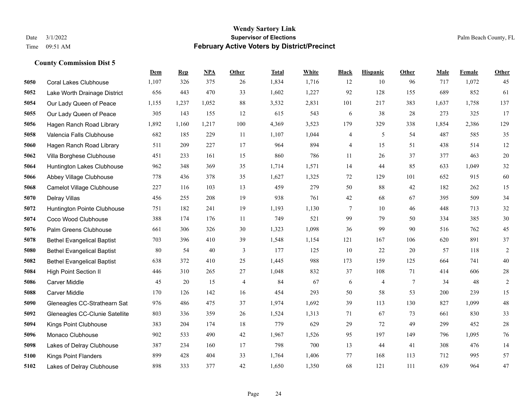|      |                                   | Dem   | <b>Rep</b> | NPA   | <b>Other</b>             | <b>Total</b> | <b>White</b> | <b>Black</b> | <b>Hispanic</b> | <b>Other</b>   | <b>Male</b> | Female | <b>Other</b>   |
|------|-----------------------------------|-------|------------|-------|--------------------------|--------------|--------------|--------------|-----------------|----------------|-------------|--------|----------------|
| 5050 | <b>Coral Lakes Clubhouse</b>      | 1,107 | 326        | 375   | 26                       | 1,834        | 1,716        | 12           | 10              | 96             | 717         | 1,072  | 45             |
| 5052 | Lake Worth Drainage District      | 656   | 443        | 470   | 33                       | 1,602        | 1,227        | 92           | 128             | 155            | 689         | 852    | 61             |
| 5054 | Our Lady Queen of Peace           | 1,155 | 1,237      | 1,052 | 88                       | 3,532        | 2,831        | 101          | 217             | 383            | 1,637       | 1,758  | 137            |
| 5055 | Our Lady Queen of Peace           | 305   | 143        | 155   | 12                       | 615          | 543          | 6            | 38              | 28             | 273         | 325    | 17             |
| 5056 | Hagen Ranch Road Library          | 1,892 | 1,160      | 1,217 | 100                      | 4,369        | 3,523        | 179          | 329             | 338            | 1,854       | 2,386  | 129            |
| 5058 | Valencia Falls Clubhouse          | 682   | 185        | 229   | 11                       | 1,107        | 1,044        | 4            | 5               | 54             | 487         | 585    | 35             |
| 5060 | Hagen Ranch Road Library          | 511   | 209        | 227   | 17                       | 964          | 894          | 4            | 15              | 51             | 438         | 514    | 12             |
| 5062 | Villa Borghese Clubhouse          | 451   | 233        | 161   | 15                       | 860          | 786          | 11           | 26              | 37             | 377         | 463    | $20\,$         |
| 5064 | Huntington Lakes Clubhouse        | 962   | 348        | 369   | 35                       | 1,714        | 1,571        | 14           | 44              | 85             | 633         | 1,049  | $32\,$         |
| 5066 | Abbey Village Clubhouse           | 778   | 436        | 378   | 35                       | 1,627        | 1,325        | 72           | 129             | 101            | 652         | 915    | 60             |
| 5068 | Camelot Village Clubhouse         | 227   | 116        | 103   | 13                       | 459          | 279          | 50           | 88              | 42             | 182         | 262    | 15             |
| 5070 | Delray Villas                     | 456   | 255        | 208   | 19                       | 938          | 761          | 42           | 68              | 67             | 395         | 509    | 34             |
| 5072 | Huntington Pointe Clubhouse       | 751   | 182        | 241   | 19                       | 1,193        | 1,130        | 7            | 10              | 46             | 448         | 713    | $32\,$         |
| 5074 | Coco Wood Clubhouse               | 388   | 174        | 176   | 11                       | 749          | 521          | 99           | 79              | 50             | 334         | 385    | $30\,$         |
| 5076 | Palm Greens Clubhouse             | 661   | 306        | 326   | 30                       | 1,323        | 1,098        | 36           | 99              | 90             | 516         | 762    | 45             |
| 5078 | <b>Bethel Evangelical Baptist</b> | 703   | 396        | 410   | 39                       | 1,548        | 1,154        | 121          | 167             | 106            | 620         | 891    | 37             |
| 5080 | <b>Bethel Evangelical Baptist</b> | 80    | 54         | 40    | 3                        | 177          | 125          | 10           | 22              | 20             | 57          | 118    | $\mathfrak{2}$ |
| 5082 | <b>Bethel Evangelical Baptist</b> | 638   | 372        | 410   | 25                       | 1,445        | 988          | 173          | 159             | 125            | 664         | 741    | $40\,$         |
| 5084 | <b>High Point Section II</b>      | 446   | 310        | 265   | 27                       | 1,048        | 832          | 37           | 108             | 71             | 414         | 606    | $28\,$         |
| 5086 | <b>Carver Middle</b>              | 45    | 20         | 15    | $\overline{\mathcal{L}}$ | 84           | 67           | 6            | $\overline{4}$  | $\overline{7}$ | 34          | 48     | $\overline{c}$ |
| 5088 | <b>Carver Middle</b>              | 170   | 126        | 142   | 16                       | 454          | 293          | 50           | 58              | 53             | 200         | 239    | 15             |
| 5090 | Gleneagles CC-Strathearn Sat      | 976   | 486        | 475   | 37                       | 1,974        | 1,692        | 39           | 113             | 130            | 827         | 1,099  | $48\,$         |
| 5092 | Gleneagles CC-Clunie Satellite    | 803   | 336        | 359   | 26                       | 1,524        | 1,313        | 71           | 67              | 73             | 661         | 830    | 33             |
| 5094 | Kings Point Clubhouse             | 383   | 204        | 174   | 18                       | 779          | 629          | 29           | 72              | 49             | 299         | 452    | 28             |
| 5096 | Monaco Clubhouse                  | 902   | 533        | 490   | 42                       | 1,967        | 1,526        | 95           | 197             | 149            | 796         | 1.095  | 76             |
| 5098 | Lakes of Delray Clubhouse         | 387   | 234        | 160   | 17                       | 798          | 700          | 13           | 44              | 41             | 308         | 476    | 14             |
| 5100 | <b>Kings Point Flanders</b>       | 899   | 428        | 404   | 33                       | 1,764        | 1,406        | 77           | 168             | 113            | 712         | 995    | 57             |
| 5102 | Lakes of Delray Clubhouse         | 898   | 333        | 377   | 42                       | 1,650        | 1,350        | 68           | 121             | 111            | 639         | 964    | 47             |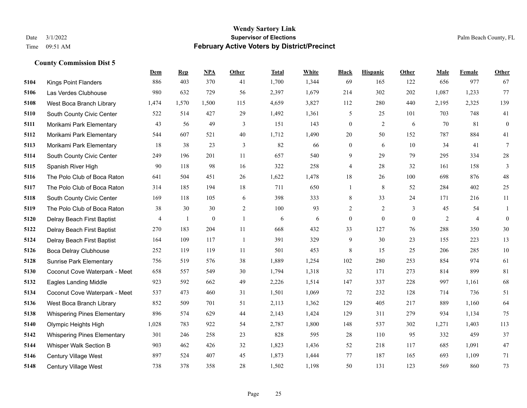|      |                                    | Dem   | <b>Rep</b>   | NPA              | <b>Other</b>   | <b>Total</b> | <b>White</b> | <b>Black</b>     | <b>Hispanic</b>  | <b>Other</b>     | <b>Male</b> | Female         | <b>Other</b>     |
|------|------------------------------------|-------|--------------|------------------|----------------|--------------|--------------|------------------|------------------|------------------|-------------|----------------|------------------|
| 5104 | <b>Kings Point Flanders</b>        | 886   | 403          | 370              | 41             | 1,700        | 1,344        | 69               | 165              | 122              | 656         | 977            | 67               |
| 5106 | Las Verdes Clubhouse               | 980   | 632          | 729              | 56             | 2,397        | 1,679        | 214              | 302              | 202              | 1,087       | 1,233          | 77               |
| 5108 | West Boca Branch Library           | 1,474 | 1,570        | 1,500            | 115            | 4,659        | 3,827        | 112              | 280              | 440              | 2,195       | 2,325          | 139              |
| 5110 | South County Civic Center          | 522   | 514          | 427              | 29             | 1,492        | 1,361        | 5                | 25               | 101              | 703         | 748            | 41               |
| 5111 | Morikami Park Elementary           | 43    | 56           | 49               | 3              | 151          | 143          | $\boldsymbol{0}$ | $\overline{2}$   | 6                | 70          | 81             | $\overline{0}$   |
| 5112 | Morikami Park Elementary           | 544   | 607          | 521              | 40             | 1,712        | 1,490        | 20               | 50               | 152              | 787         | 884            | 41               |
| 5113 | Morikami Park Elementary           | 18    | 38           | 23               | 3              | 82           | 66           | $\boldsymbol{0}$ | 6                | 10               | 34          | 41             | $\overline{7}$   |
| 5114 | South County Civic Center          | 249   | 196          | 201              | 11             | 657          | 540          | 9                | 29               | 79               | 295         | 334            | 28               |
| 5115 | Spanish River High                 | 90    | 118          | 98               | 16             | 322          | 258          | $\overline{4}$   | 28               | 32               | 161         | 158            | 3                |
| 5116 | The Polo Club of Boca Raton        | 641   | 504          | 451              | 26             | 1,622        | 1,478        | 18               | 26               | 100              | 698         | 876            | $48\,$           |
| 5117 | The Polo Club of Boca Raton        | 314   | 185          | 194              | 18             | 711          | 650          | 1                | 8                | 52               | 284         | 402            | 25               |
| 5118 | South County Civic Center          | 169   | 118          | 105              | 6              | 398          | 333          | 8                | 33               | 24               | 171         | 216            | 11               |
| 5119 | The Polo Club of Boca Raton        | 38    | 30           | 30               | $\overline{2}$ | 100          | 93           | 2                | 2                | 3                | 45          | 54             | 1                |
| 5120 | Delray Beach First Baptist         | 4     | $\mathbf{1}$ | $\boldsymbol{0}$ | $\mathbf{1}$   | 6            | 6            | $\boldsymbol{0}$ | $\boldsymbol{0}$ | $\boldsymbol{0}$ | 2           | $\overline{4}$ | $\boldsymbol{0}$ |
| 5122 | Delray Beach First Baptist         | 270   | 183          | 204              | 11             | 668          | 432          | 33               | 127              | 76               | 288         | 350            | $30\,$           |
| 5124 | Delray Beach First Baptist         | 164   | 109          | 117              | $\overline{1}$ | 391          | 329          | 9                | 30               | 23               | 155         | 223            | 13               |
| 5126 | Boca Delray Clubhouse              | 252   | 119          | 119              | 11             | 501          | 453          | 8                | 15               | 25               | 206         | 285            | 10               |
| 5128 | <b>Sunrise Park Elementary</b>     | 756   | 519          | 576              | 38             | 1,889        | 1,254        | 102              | 280              | 253              | 854         | 974            | 61               |
| 5130 | Coconut Cove Waterpark - Meet      | 658   | 557          | 549              | 30             | 1,794        | 1,318        | 32               | 171              | 273              | 814         | 899            | 81               |
| 5132 | Eagles Landing Middle              | 923   | 592          | 662              | 49             | 2,226        | 1,514        | 147              | 337              | 228              | 997         | 1,161          | 68               |
| 5134 | Coconut Cove Waterpark - Meet      | 537   | 473          | 460              | 31             | 1,501        | 1,069        | 72               | 232              | 128              | 714         | 736            | 51               |
| 5136 | West Boca Branch Library           | 852   | 509          | 701              | 51             | 2,113        | 1,362        | 129              | 405              | 217              | 889         | 1,160          | 64               |
| 5138 | <b>Whispering Pines Elementary</b> | 896   | 574          | 629              | 44             | 2,143        | 1,424        | 129              | 311              | 279              | 934         | 1,134          | 75               |
| 5140 | Olympic Heights High               | 1,028 | 783          | 922              | 54             | 2,787        | 1,800        | 148              | 537              | 302              | 1,271       | 1,403          | 113              |
| 5142 | <b>Whispering Pines Elementary</b> | 301   | 246          | 258              | 23             | 828          | 595          | 28               | 110              | 95               | 332         | 459            | 37               |
| 5144 | Whisper Walk Section B             | 903   | 462          | 426              | 32             | 1,823        | 1,436        | 52               | 218              | 117              | 685         | 1,091          | 47               |
| 5146 | Century Village West               | 897   | 524          | 407              | 45             | 1,873        | 1,444        | 77               | 187              | 165              | 693         | 1,109          | 71               |
| 5148 | <b>Century Village West</b>        | 738   | 378          | 358              | 28             | 1,502        | 1,198        | 50               | 131              | 123              | 569         | 860            | 73               |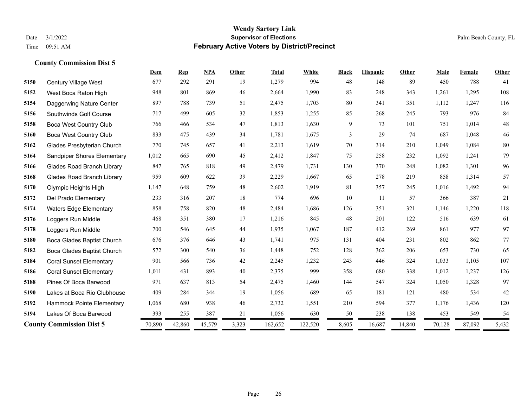|      |                                   | Dem    | <b>Rep</b> | NPA    | Other | <b>Total</b> | White   | <b>Black</b> | <b>Hispanic</b> | Other  | Male   | Female | <b>Other</b> |
|------|-----------------------------------|--------|------------|--------|-------|--------------|---------|--------------|-----------------|--------|--------|--------|--------------|
| 5150 | Century Village West              | 677    | 292        | 291    | 19    | 1,279        | 994     | 48           | 148             | 89     | 450    | 788    | 41           |
| 5152 | West Boca Raton High              | 948    | 801        | 869    | 46    | 2,664        | 1,990   | 83           | 248             | 343    | 1,261  | 1,295  | 108          |
| 5154 | Daggerwing Nature Center          | 897    | 788        | 739    | 51    | 2,475        | 1,703   | 80           | 341             | 351    | 1,112  | 1,247  | 116          |
| 5156 | Southwinds Golf Course            | 717    | 499        | 605    | 32    | 1,853        | 1,255   | 85           | 268             | 245    | 793    | 976    | 84           |
| 5158 | <b>Boca West Country Club</b>     | 766    | 466        | 534    | 47    | 1,813        | 1,630   | 9            | 73              | 101    | 751    | 1,014  | $48\,$       |
| 5160 | Boca West Country Club            | 833    | 475        | 439    | 34    | 1,781        | 1,675   | 3            | 29              | 74     | 687    | 1,048  | $46\,$       |
| 5162 | Glades Presbyterian Church        | 770    | 745        | 657    | 41    | 2,213        | 1,619   | 70           | 314             | 210    | 1,049  | 1,084  | $80\,$       |
| 5164 | Sandpiper Shores Elementary       | 1,012  | 665        | 690    | 45    | 2,412        | 1,847   | 75           | 258             | 232    | 1,092  | 1,241  | 79           |
| 5166 | <b>Glades Road Branch Library</b> | 847    | 765        | 818    | 49    | 2,479        | 1,731   | 130          | 370             | 248    | 1,082  | 1,301  | 96           |
| 5168 | <b>Glades Road Branch Library</b> | 959    | 609        | 622    | 39    | 2,229        | 1,667   | 65           | 278             | 219    | 858    | 1,314  | 57           |
| 5170 | Olympic Heights High              | 1,147  | 648        | 759    | 48    | 2,602        | 1,919   | 81           | 357             | 245    | 1,016  | 1,492  | 94           |
| 5172 | Del Prado Elementary              | 233    | 316        | 207    | 18    | 774          | 696     | 10           | 11              | 57     | 366    | 387    | 21           |
| 5174 | <b>Waters Edge Elementary</b>     | 858    | 758        | 820    | 48    | 2,484        | 1,686   | 126          | 351             | 321    | 1,146  | 1,220  | 118          |
| 5176 | Loggers Run Middle                | 468    | 351        | 380    | 17    | 1,216        | 845     | 48           | 201             | 122    | 516    | 639    | 61           |
| 5178 | Loggers Run Middle                | 700    | 546        | 645    | 44    | 1,935        | 1,067   | 187          | 412             | 269    | 861    | 977    | 97           |
| 5180 | Boca Glades Baptist Church        | 676    | 376        | 646    | 43    | 1,741        | 975     | 131          | 404             | 231    | 802    | 862    | 77           |
| 5182 | Boca Glades Baptist Church        | 572    | 300        | 540    | 36    | 1,448        | 752     | 128          | 362             | 206    | 653    | 730    | 65           |
| 5184 | <b>Coral Sunset Elementary</b>    | 901    | 566        | 736    | 42    | 2,245        | 1,232   | 243          | 446             | 324    | 1,033  | 1,105  | 107          |
| 5186 | <b>Coral Sunset Elementary</b>    | 1,011  | 431        | 893    | 40    | 2,375        | 999     | 358          | 680             | 338    | 1,012  | 1,237  | 126          |
| 5188 | Pines Of Boca Barwood             | 971    | 637        | 813    | 54    | 2,475        | 1,460   | 144          | 547             | 324    | 1,050  | 1,328  | 97           |
| 5190 | Lakes at Boca Rio Clubhouse       | 409    | 284        | 344    | 19    | 1,056        | 689     | 65           | 181             | 121    | 480    | 534    | 42           |
| 5192 | Hammock Pointe Elementary         | 1,068  | 680        | 938    | 46    | 2,732        | 1,551   | 210          | 594             | 377    | 1,176  | 1,436  | 120          |
| 5194 | Lakes Of Boca Barwood             | 393    | 255        | 387    | 21    | 1,056        | 630     | 50           | 238             | 138    | 453    | 549    | 54           |
|      | <b>County Commission Dist 5</b>   | 70,890 | 42,860     | 45,579 | 3,323 | 162,652      | 122,520 | 8,605        | 16,687          | 14,840 | 70,128 | 87,092 | 5,432        |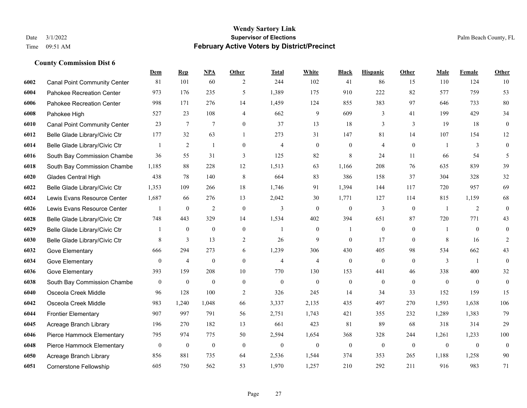|      |                                     | Dem              | <b>Rep</b>       | NPA              | <b>Other</b>   | <b>Total</b>   | <b>White</b>     | <b>Black</b>     | <b>Hispanic</b>  | <b>Other</b> | <b>Male</b>    | Female         | <b>Other</b>     |
|------|-------------------------------------|------------------|------------------|------------------|----------------|----------------|------------------|------------------|------------------|--------------|----------------|----------------|------------------|
| 6002 | <b>Canal Point Community Center</b> | 81               | 101              | 60               | 2              | 244            | 102              | 41               | 86               | 15           | 110            | 124            | 10               |
| 6004 | Pahokee Recreation Center           | 973              | 176              | 235              | 5              | 1,389          | 175              | 910              | 222              | 82           | 577            | 759            | 53               |
| 6006 | Pahokee Recreation Center           | 998              | 171              | 276              | 14             | 1,459          | 124              | 855              | 383              | 97           | 646            | 733            | $80\,$           |
| 6008 | Pahokee High                        | 527              | 23               | 108              | $\overline{4}$ | 662            | 9                | 609              | 3                | 41           | 199            | 429            | 34               |
| 6010 | <b>Canal Point Community Center</b> | 23               | $\tau$           | $\overline{7}$   | $\Omega$       | 37             | 13               | 18               | 3                | 3            | 19             | 18             | $\mathbf{0}$     |
| 6012 | Belle Glade Library/Civic Ctr       | 177              | 32               | 63               | $\overline{1}$ | 273            | 31               | 147              | 81               | 14           | 107            | 154            | 12               |
| 6014 | Belle Glade Library/Civic Ctr       | $\mathbf{1}$     | 2                | $\overline{1}$   | $\overline{0}$ | $\overline{4}$ | $\overline{0}$   | $\boldsymbol{0}$ | $\overline{4}$   | $\mathbf{0}$ | $\overline{1}$ | 3              | $\boldsymbol{0}$ |
| 6016 | South Bay Commission Chambe         | 36               | 55               | 31               | 3              | 125            | 82               | 8                | 24               | 11           | 66             | 54             | 5                |
| 6018 | South Bay Commission Chambe         | 1,185            | 88               | 228              | 12             | 1,513          | 63               | 1,166            | 208              | 76           | 635            | 839            | 39               |
| 6020 | <b>Glades Central High</b>          | 438              | 78               | 140              | 8              | 664            | 83               | 386              | 158              | 37           | 304            | 328            | 32               |
| 6022 | Belle Glade Library/Civic Ctr       | 1,353            | 109              | 266              | 18             | 1,746          | 91               | 1,394            | 144              | 117          | 720            | 957            | 69               |
| 6024 | Lewis Evans Resource Center         | 1,687            | 66               | 276              | 13             | 2,042          | 30               | 1,771            | 127              | 114          | 815            | 1,159          | 68               |
| 6026 | Lewis Evans Resource Center         |                  | $\bf{0}$         | $\overline{2}$   | $\mathbf{0}$   | 3              | $\overline{0}$   | $\mathbf{0}$     | 3                | $\theta$     | $\overline{1}$ | 2              | $\mathbf{0}$     |
| 6028 | Belle Glade Library/Civic Ctr       | 748              | 443              | 329              | 14             | 1,534          | 402              | 394              | 651              | 87           | 720            | 771            | 43               |
| 6029 | Belle Glade Library/Civic Ctr       |                  | $\mathbf{0}$     | $\mathbf{0}$     | $\overline{0}$ |                | $\overline{0}$   | 1                | $\mathbf{0}$     | $\theta$     | -1             | $\theta$       | $\mathbf{0}$     |
| 6030 | Belle Glade Library/Civic Ctr       | 8                | $\overline{3}$   | 13               | $\overline{2}$ | 26             | 9                | $\mathbf{0}$     | 17               | $\theta$     | 8              | 16             | 2                |
| 6032 | Gove Elementary                     | 666              | 294              | 273              | 6              | 1,239          | 306              | 430              | 405              | 98           | 534            | 662            | 43               |
| 6034 | Gove Elementary                     | $\overline{0}$   | $\overline{4}$   | $\boldsymbol{0}$ | $\Omega$       | $\overline{4}$ | $\overline{4}$   | $\boldsymbol{0}$ | $\mathbf{0}$     | $\theta$     | 3              | $\overline{1}$ | $\mathbf{0}$     |
| 6036 | Gove Elementary                     | 393              | 159              | 208              | 10             | 770            | 130              | 153              | 441              | 46           | 338            | 400            | 32               |
| 6038 | South Bay Commission Chambe         | $\mathbf{0}$     | $\boldsymbol{0}$ | $\overline{0}$   | $\overline{0}$ | $\mathbf{0}$   | $\mathbf{0}$     | $\boldsymbol{0}$ | $\boldsymbol{0}$ | $\mathbf{0}$ | $\mathbf{0}$   | $\mathbf{0}$   | $\boldsymbol{0}$ |
| 6040 | Osceola Creek Middle                | 96               | 128              | 100              | 2              | 326            | 245              | 14               | 34               | 33           | 152            | 159            | 15               |
| 6042 | Osceola Creek Middle                | 983              | 1,240            | 1,048            | 66             | 3,337          | 2,135            | 435              | 497              | 270          | 1,593          | 1,638          | 106              |
| 6044 | <b>Frontier Elementary</b>          | 907              | 997              | 791              | 56             | 2,751          | 1,743            | 421              | 355              | 232          | 1,289          | 1,383          | 79               |
| 6045 | Acreage Branch Library              | 196              | 270              | 182              | 13             | 661            | 423              | 81               | 89               | 68           | 318            | 314            | 29               |
| 6046 | Pierce Hammock Elementary           | 795              | 974              | 775              | 50             | 2,594          | 1,654            | 368              | 328              | 244          | 1,261          | 1,233          | 100              |
| 6048 | Pierce Hammock Elementary           | $\boldsymbol{0}$ | $\boldsymbol{0}$ | $\boldsymbol{0}$ | $\mathbf{0}$   | $\mathbf{0}$   | $\boldsymbol{0}$ | $\boldsymbol{0}$ | $\mathbf{0}$     | $\theta$     | $\overline{0}$ | $\mathbf{0}$   | $\boldsymbol{0}$ |
| 6050 | Acreage Branch Library              | 856              | 881              | 735              | 64             | 2,536          | 1,544            | 374              | 353              | 265          | 1,188          | 1,258          | 90               |
| 6051 | <b>Cornerstone Fellowship</b>       | 605              | 750              | 562              | 53             | 1,970          | 1,257            | 210              | 292              | 211          | 916            | 983            | 71               |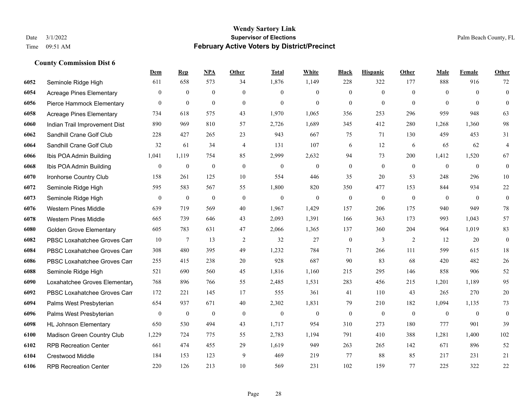|      |                                 | Dem              | <b>Rep</b>       | NPA              | <b>Other</b>     | <b>Total</b>     | White            | <b>Black</b>     | <b>Hispanic</b>  | <b>Other</b> | <b>Male</b>  | Female       | <b>Other</b>     |
|------|---------------------------------|------------------|------------------|------------------|------------------|------------------|------------------|------------------|------------------|--------------|--------------|--------------|------------------|
| 6052 | Seminole Ridge High             | 611              | 658              | 573              | 34               | 1,876            | 1,149            | 228              | 322              | 177          | 888          | 916          | 72               |
| 6054 | Acreage Pines Elementary        | $\mathbf{0}$     | $\mathbf{0}$     | $\overline{0}$   | $\Omega$         | $\theta$         | $\overline{0}$   | $\mathbf{0}$     | $\mathbf{0}$     | $\theta$     | $\Omega$     | $\theta$     | $\mathbf{0}$     |
| 6056 | Pierce Hammock Elementary       | $\mathbf{0}$     | $\mathbf{0}$     | $\mathbf{0}$     | $\theta$         | $\theta$         | $\Omega$         | $\theta$         | $\mathbf{0}$     | $\theta$     | $\theta$     | $\Omega$     | $\theta$         |
| 6058 | <b>Acreage Pines Elementary</b> | 734              | 618              | 575              | 43               | 1,970            | 1,065            | 356              | 253              | 296          | 959          | 948          | 63               |
| 6060 | Indian Trail Improvement Dist   | 890              | 969              | 810              | 57               | 2,726            | 1,689            | 345              | 412              | 280          | 1,268        | 1,360        | 98               |
| 6062 | Sandhill Crane Golf Club        | 228              | 427              | 265              | 23               | 943              | 667              | 75               | 71               | 130          | 459          | 453          | 31               |
| 6064 | Sandhill Crane Golf Club        | 32               | 61               | 34               | $\overline{4}$   | 131              | 107              | 6                | 12               | 6            | 65           | 62           | $\overline{4}$   |
| 6066 | Ibis POA Admin Building         | 1,041            | 1,119            | 754              | 85               | 2,999            | 2,632            | 94               | 73               | 200          | 1,412        | 1,520        | 67               |
| 6068 | Ibis POA Admin Building         | $\boldsymbol{0}$ | $\boldsymbol{0}$ | $\boldsymbol{0}$ | $\mathbf{0}$     | $\boldsymbol{0}$ | $\boldsymbol{0}$ | $\boldsymbol{0}$ | $\boldsymbol{0}$ | $\mathbf{0}$ | $\mathbf{0}$ | $\mathbf{0}$ | $\boldsymbol{0}$ |
| 6070 | Ironhorse Country Club          | 158              | 261              | 125              | 10               | 554              | 446              | 35               | 20               | 53           | 248          | 296          | $10\,$           |
| 6072 | Seminole Ridge High             | 595              | 583              | 567              | 55               | 1,800            | 820              | 350              | 477              | 153          | 844          | 934          | $22\,$           |
| 6073 | Seminole Ridge High             | $\overline{0}$   | $\boldsymbol{0}$ | $\boldsymbol{0}$ | $\boldsymbol{0}$ | $\boldsymbol{0}$ | $\boldsymbol{0}$ | $\boldsymbol{0}$ | $\boldsymbol{0}$ | $\mathbf{0}$ | $\mathbf{0}$ | $\mathbf{0}$ | $\boldsymbol{0}$ |
| 6076 | <b>Western Pines Middle</b>     | 639              | 719              | 569              | 40               | 1,967            | 1,429            | 157              | 206              | 175          | 940          | 949          | $78\,$           |
| 6078 | <b>Western Pines Middle</b>     | 665              | 739              | 646              | 43               | 2,093            | 1,391            | 166              | 363              | 173          | 993          | 1,043        | 57               |
| 6080 | <b>Golden Grove Elementary</b>  | 605              | 783              | 631              | 47               | 2,066            | 1,365            | 137              | 360              | 204          | 964          | 1,019        | 83               |
| 6082 | PBSC Loxahatchee Groves Can     | 10               | $\tau$           | 13               | $\sqrt{2}$       | 32               | 27               | $\boldsymbol{0}$ | 3                | 2            | 12           | 20           | $\boldsymbol{0}$ |
| 6084 | PBSC Loxahatchee Groves Can     | 308              | 480              | 395              | 49               | 1,232            | 784              | 71               | 266              | 111          | 599          | 615          | $18\,$           |
| 6086 | PBSC Loxahatchee Groves Can     | 255              | 415              | 238              | 20               | 928              | 687              | 90               | 83               | 68           | 420          | 482          | $26\,$           |
| 6088 | Seminole Ridge High             | 521              | 690              | 560              | 45               | 1,816            | 1,160            | 215              | 295              | 146          | 858          | 906          | 52               |
| 6090 | Loxahatchee Groves Elementary   | 768              | 896              | 766              | 55               | 2,485            | 1,531            | 283              | 456              | 215          | 1,201        | 1,189        | 95               |
| 6092 | PBSC Loxahatchee Groves Can     | 172              | 221              | 145              | 17               | 555              | 361              | 41               | 110              | 43           | 265          | 270          | $20\,$           |
| 6094 | Palms West Presbyterian         | 654              | 937              | 671              | 40               | 2,302            | 1,831            | 79               | 210              | 182          | 1,094        | 1,135        | 73               |
| 6096 | Palms West Presbyterian         | $\overline{0}$   | $\boldsymbol{0}$ | $\overline{0}$   | $\mathbf{0}$     | $\mathbf{0}$     | $\overline{0}$   | $\boldsymbol{0}$ | $\mathbf{0}$     | $\theta$     | $\theta$     | $\mathbf{0}$ | $\boldsymbol{0}$ |
| 6098 | <b>HL Johnson Elementary</b>    | 650              | 530              | 494              | 43               | 1,717            | 954              | 310              | 273              | 180          | 777          | 901          | 39               |
| 6100 | Madison Green Country Club      | 1,229            | 724              | 775              | 55               | 2,783            | 1,194            | 791              | 410              | 388          | 1,281        | 1,400        | 102              |
| 6102 | <b>RPB Recreation Center</b>    | 661              | 474              | 455              | 29               | 1,619            | 949              | 263              | 265              | 142          | 671          | 896          | 52               |
| 6104 | <b>Crestwood Middle</b>         | 184              | 153              | 123              | 9                | 469              | 219              | 77               | 88               | 85           | 217          | 231          | 21               |
| 6106 | <b>RPB Recreation Center</b>    | 220              | 126              | 213              | 10               | 569              | 231              | 102              | 159              | 77           | 225          | 322          | 22               |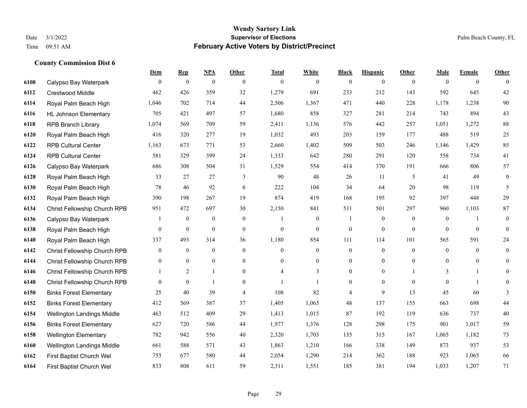|      |                                | Dem            | <b>Rep</b>       | NPA              | <b>Other</b>   | <b>Total</b> | <b>White</b>     | <b>Black</b>     | <b>Hispanic</b>  | <b>Other</b>     | <b>Male</b>      | <b>Female</b>  | <b>Other</b>     |
|------|--------------------------------|----------------|------------------|------------------|----------------|--------------|------------------|------------------|------------------|------------------|------------------|----------------|------------------|
| 6108 | Calypso Bay Waterpark          | $\overline{0}$ | $\boldsymbol{0}$ | $\boldsymbol{0}$ | $\theta$       | $\mathbf{0}$ | $\overline{0}$   | $\overline{0}$   | $\overline{0}$   | $\theta$         | $\theta$         | $\overline{0}$ | $\Omega$         |
| 6112 | <b>Crestwood Middle</b>        | 462            | 426              | 359              | 32             | 1,279        | 691              | 233              | 212              | 143              | 592              | 645            | 42               |
| 6114 | Royal Palm Beach High          | 1,046          | 702              | 714              | 44             | 2,506        | 1,367            | 471              | 440              | 228              | 1,178            | 1,238          | 90               |
| 6116 | <b>HL Johnson Elementary</b>   | 705            | 421              | 497              | 57             | 1,680        | 858              | 327              | 281              | 214              | 743              | 894            | $43$             |
| 6118 | <b>RPB Branch Library</b>      | 1,074          | 569              | 709              | 59             | 2,411        | 1,136            | 576              | 442              | 257              | 1,051            | 1,272          | 88               |
| 6120 | Royal Palm Beach High          | 416            | 320              | 277              | 19             | 1,032        | 493              | 203              | 159              | 177              | 488              | 519            | 25               |
| 6122 | <b>RPB Cultural Center</b>     | 1,163          | 673              | 771              | 53             | 2,660        | 1,402            | 509              | 503              | 246              | 1,146            | 1,429          | 85               |
| 6124 | <b>RPB Cultural Center</b>     | 581            | 329              | 399              | 24             | 1,333        | 642              | 280              | 291              | 120              | 558              | 734            | 41               |
| 6126 | Calypso Bay Waterpark          | 686            | 308              | 504              | 31             | 1,529        | 554              | 414              | 370              | 191              | 666              | 806            | 57               |
| 6128 | Royal Palm Beach High          | 33             | 27               | 27               | 3              | 90           | 48               | 26               | 11               | 5                | 41               | 49             | $\overline{0}$   |
| 6130 | Royal Palm Beach High          | 78             | 46               | 92               | 6              | 222          | 104              | 34               | 64               | 20               | 98               | 119            | 5                |
| 6132 | Royal Palm Beach High          | 390            | 198              | 267              | 19             | 874          | 419              | 168              | 195              | 92               | 397              | 448            | 29               |
| 6134 | Christ Fellowship Church RPB   | 951            | 472              | 697              | 30             | 2,150        | 841              | 511              | 501              | 297              | 960              | 1,103          | 87               |
| 6136 | Calypso Bay Waterpark          |                | $\boldsymbol{0}$ | $\boldsymbol{0}$ | $\mathbf{0}$   | 1            | $\boldsymbol{0}$ |                  | $\boldsymbol{0}$ | $\boldsymbol{0}$ | $\boldsymbol{0}$ |                | $\overline{0}$   |
| 6138 | Royal Palm Beach High          | $\overline{0}$ | $\mathbf{0}$     | $\mathbf{0}$     | $\mathbf{0}$   | $\mathbf{0}$ | $\boldsymbol{0}$ | $\boldsymbol{0}$ | $\overline{0}$   | $\mathbf{0}$     | $\mathbf{0}$     | $\mathbf{0}$   | $\mathbf{0}$     |
| 6140 | Royal Palm Beach High          | 337            | 493              | 314              | 36             | 1,180        | 854              | 111              | 114              | 101              | 565              | 591            | 24               |
| 6142 | Christ Fellowship Church RPB   | $\mathbf{0}$   | $\mathbf{0}$     | $\mathbf{0}$     | $\mathbf{0}$   | $\mathbf{0}$ | $\mathbf{0}$     | $\overline{0}$   | $\mathbf{0}$     | $\mathbf{0}$     | $\mathbf{0}$     | $\theta$       | $\overline{0}$   |
| 6144 | Christ Fellowship Church RPB   | $\overline{0}$ | $\overline{0}$   | $\mathbf{0}$     | $\mathbf{0}$   | $\Omega$     | $\mathbf{0}$     | $\boldsymbol{0}$ | $\boldsymbol{0}$ | $\theta$         | $\overline{0}$   | $\theta$       | $\boldsymbol{0}$ |
| 6146 | Christ Fellowship Church RPB   |                | 2                | -1               | $\overline{0}$ | 4            | 3                | $\overline{0}$   | $\overline{0}$   |                  | 3                |                | $\overline{0}$   |
| 6148 | Christ Fellowship Church RPB   | $\theta$       | $\theta$         | $\mathbf{1}$     | $\theta$       | $\mathbf{1}$ | $\mathbf{1}$     | $\overline{0}$   | $\Omega$         | $\theta$         | $\theta$         | $\overline{1}$ | $\Omega$         |
| 6150 | <b>Binks Forest Elementary</b> | 25             | 40               | 39               | $\overline{4}$ | 108          | 82               | 4                | 9                | 13               | 45               | 60             | 3                |
| 6152 | <b>Binks Forest Elementary</b> | 412            | 569              | 387              | 37             | 1,405        | 1,065            | 48               | 137              | 155              | 663              | 698            | 44               |
| 6154 | Wellington Landings Middle     | 463            | 512              | 409              | 29             | 1,413        | 1,015            | 87               | 192              | 119              | 636              | 737            | 40               |
| 6156 | <b>Binks Forest Elementary</b> | 627            | 720              | 586              | 44             | 1,977        | 1,376            | 128              | 298              | 175              | 901              | 1,017          | 59               |
| 6158 | <b>Wellington Elementary</b>   | 782            | 942              | 556              | 40             | 2,320        | 1,703            | 135              | 315              | 167              | 1,065            | 1,182          | 73               |
| 6160 | Wellington Landings Middle     | 661            | 588              | 571              | 43             | 1,863        | 1,210            | 166              | 338              | 149              | 873              | 937            | 53               |
| 6162 | First Baptist Church Wel       | 753            | 677              | 580              | 44             | 2,054        | 1,290            | 214              | 362              | 188              | 923              | 1,065          | 66               |
| 6164 | First Baptist Church Wel       | 833            | 808              | 611              | 59             | 2,311        | 1,551            | 185              | 381              | 194              | 1,033            | 1,207          | 71               |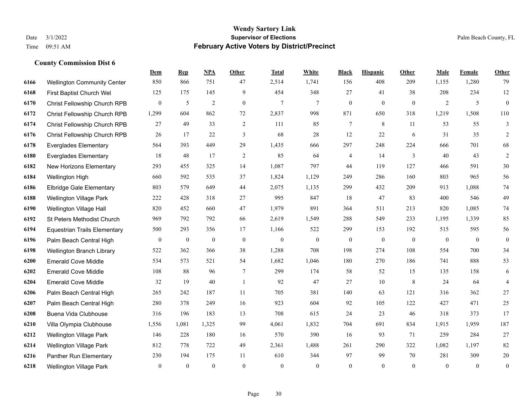|      |                                     | Dem            | <b>Rep</b>       | NPA            | <b>Other</b>   | <b>Total</b>   | White        | <b>Black</b>     | <b>Hispanic</b> | <b>Other</b>    | <b>Male</b>    | Female       | <b>Other</b>     |
|------|-------------------------------------|----------------|------------------|----------------|----------------|----------------|--------------|------------------|-----------------|-----------------|----------------|--------------|------------------|
| 6166 | <b>Wellington Community Center</b>  | 850            | 866              | 751            | 47             | 2,514          | 1,741        | 156              | 408             | 209             | 1,155          | 1,280        | 79               |
| 6168 | First Baptist Church Wel            | 125            | 175              | 145            | 9              | 454            | 348          | 27               | 41              | 38              | 208            | 234          | $12\,$           |
| 6170 | Christ Fellowship Church RPB        | $\overline{0}$ | 5                | $\overline{2}$ | $\overline{0}$ | $\overline{7}$ | $\tau$       | $\boldsymbol{0}$ | $\mathbf{0}$    | $\overline{0}$  | 2              | 5            | $\overline{0}$   |
| 6172 | Christ Fellowship Church RPB        | 1,299          | 604              | 862            | 72             | 2,837          | 998          | 871              | 650             | 318             | 1,219          | 1,508        | 110              |
| 6174 | <b>Christ Fellowship Church RPB</b> | 27             | 49               | 33             | 2              | 111            | 85           | 7                | 8               | 11              | 53             | 55           | 3                |
| 6176 | Christ Fellowship Church RPB        | 26             | 17               | 22             | 3              | 68             | $28\,$       | 12               | 22              | 6               | 31             | 35           | 2                |
| 6178 | <b>Everglades Elementary</b>        | 564            | 393              | 449            | 29             | 1,435          | 666          | 297              | 248             | 224             | 666            | 701          | 68               |
| 6180 | <b>Everglades Elementary</b>        | 18             | 48               | 17             | 2              | 85             | 64           | 4                | 14              | 3               | 40             | 43           | $\overline{2}$   |
| 6182 | New Horizons Elementary             | 293            | 455              | 325            | 14             | 1,087          | 797          | 44               | 119             | 127             | 466            | 591          | $30\,$           |
| 6184 | Wellington High                     | 660            | 592              | 535            | 37             | 1,824          | 1,129        | 249              | 286             | 160             | 803            | 965          | 56               |
| 6186 | <b>Elbridge Gale Elementary</b>     | 803            | 579              | 649            | 44             | 2,075          | 1,135        | 299              | 432             | 209             | 913            | 1.088        | 74               |
| 6188 | <b>Wellington Village Park</b>      | 222            | 428              | 318            | 27             | 995            | 847          | 18               | 47              | 83              | 400            | 546          | 49               |
| 6190 | Wellington Village Hall             | 820            | 452              | 660            | 47             | 1,979          | 891          | 364              | 511             | 213             | 820            | 1,085        | 74               |
| 6192 | St Peters Methodist Church          | 969            | 792              | 792            | 66             | 2,619          | 1,549        | 288              | 549             | 233             | 1,195          | 1,339        | 85               |
| 6194 | <b>Equestrian Trails Elementary</b> | 500            | 293              | 356            | 17             | 1,166          | 522          | 299              | 153             | 192             | 515            | 595          | 56               |
| 6196 | Palm Beach Central High             | $\mathbf{0}$   | $\boldsymbol{0}$ | $\mathbf{0}$   | $\mathbf{0}$   | $\mathbf{0}$   | $\mathbf{0}$ | $\boldsymbol{0}$ | $\mathbf{0}$    | $\overline{0}$  | $\overline{0}$ | $\mathbf{0}$ | $\overline{0}$   |
| 6198 | Wellington Branch Library           | 522            | 362              | 366            | 38             | 1,288          | 708          | 198              | 274             | 108             | 554            | 700          | 34               |
| 6200 | <b>Emerald Cove Middle</b>          | 534            | 573              | 521            | 54             | 1,682          | 1,046        | 180              | 270             | 186             | 741            | 888          | 53               |
| 6202 | <b>Emerald Cove Middle</b>          | 108            | 88               | 96             | 7              | 299            | 174          | 58               | 52              | 15              | 135            | 158          | 6                |
| 6204 | <b>Emerald Cove Middle</b>          | 32             | 19               | 40             | $\overline{1}$ | 92             | 47           | 27               | 10              | $8\phantom{.0}$ | 24             | 64           | $\overline{4}$   |
| 6206 | Palm Beach Central High             | 265            | 242              | 187            | 11             | 705            | 381          | 140              | 63              | 121             | 316            | 362          | 27               |
| 6207 | Palm Beach Central High             | 280            | 378              | 249            | 16             | 923            | 604          | 92               | 105             | 122             | 427            | 471          | 25               |
| 6208 | Buena Vida Clubhouse                | 316            | 196              | 183            | 13             | 708            | 615          | 24               | 23              | 46              | 318            | 373          | 17               |
| 6210 | Villa Olympia Clubhouse             | 1,556          | 1,081            | 1,325          | 99             | 4,061          | 1,832        | 704              | 691             | 834             | 1,915          | 1,959        | 187              |
| 6212 | <b>Wellington Village Park</b>      | 146            | 228              | 180            | 16             | 570            | 390          | 16               | 93              | 71              | 259            | 284          | 27               |
| 6214 | <b>Wellington Village Park</b>      | 812            | 778              | 722            | 49             | 2,361          | 1,488        | 261              | 290             | 322             | 1,082          | 1,197        | 82               |
| 6216 | Panther Run Elementary              | 230            | 194              | 175            | 11             | 610            | 344          | 97               | 99              | 70              | 281            | 309          | $20\,$           |
| 6218 | Wellington Village Park             | $\mathbf{0}$   | $\theta$         | $\mathbf{0}$   | $\Omega$       | $\theta$       | $\theta$     | $\mathbf{0}$     | $\theta$        | $\Omega$        | $\theta$       | $\theta$     | $\boldsymbol{0}$ |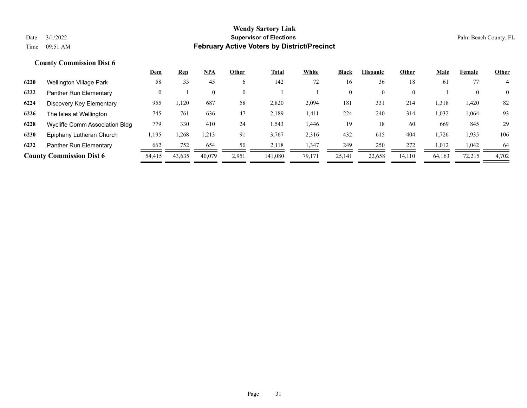|      |                                 | <u>Dem</u> | <u>Rep</u> | $NPA$          | Other          | <b>Total</b> | White  | <b>Black</b> | <b>Hispanic</b> | Other    | <u>Male</u> | Female   | <b>Other</b>   |
|------|---------------------------------|------------|------------|----------------|----------------|--------------|--------|--------------|-----------------|----------|-------------|----------|----------------|
| 6220 | Wellington Village Park         | 58         | 33         | 45             | 6              | 142          | 72     | 16           | 36              | 18       | 61          | 77       | 4              |
| 6222 | Panther Run Elementary          | 0          |            | $\overline{0}$ | $\overline{0}$ |              |        | $\mathbf{0}$ | $\Omega$        | $\theta$ |             | $\theta$ | $\overline{0}$ |
| 6224 | Discovery Key Elementary        | 955        | 1,120      | 687            | 58             | 2,820        | 2,094  | 181          | 331             | 214      | 1,318       | 1,420    | 82             |
| 6226 | The Isles at Wellington         | 745        | 761        | 636            | 47             | 2,189        | 1,411  | 224          | 240             | 314      | 1,032       | 1,064    | 93             |
| 6228 | Wycliffe Comm Association Bldg  | 779        | 330        | 410            | 24             | 1,543        | 1,446  | 19           | 18              | 60       | 669         | 845      | 29             |
| 6230 | Epiphany Lutheran Church        | 1,195      | .268       | 1,213          | 91             | 3,767        | 2,316  | 432          | 615             | 404      | 1,726       | 1,935    | 106            |
| 6232 | Panther Run Elementary          | 662        | 752        | 654            | 50             | 2,118        | 1,347  | 249          | 250             | 272      | 1,012       | 1,042    | -64            |
|      | <b>County Commission Dist 6</b> | 54,415     | 43,635     | 40,079         | 2,951          | 141.080      | 79.171 | 25,141       | 22,658          | 14,110   | 64,163      | 72,215   | 4,702          |
|      |                                 |            |            |                |                |              |        |              |                 |          |             |          |                |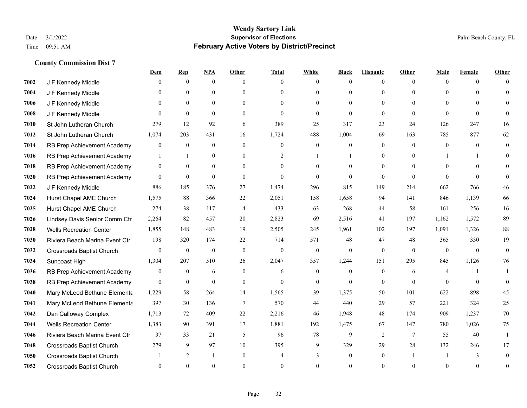|      |                                  | <u>Dem</u>       | <b>Rep</b>       | NPA              | <b>Other</b>   | <b>Total</b> | <b>White</b>     | <b>Black</b> | <b>Hispanic</b> | <b>Other</b>   | <b>Male</b>  | <b>Female</b> | <b>Other</b> |
|------|----------------------------------|------------------|------------------|------------------|----------------|--------------|------------------|--------------|-----------------|----------------|--------------|---------------|--------------|
| 7002 | J F Kennedy Middle               | 0                | $\overline{0}$   | $\overline{0}$   | $\Omega$       | $\theta$     | $\mathbf{0}$     | $\theta$     | $\overline{0}$  | $\theta$       | $\theta$     | $\theta$      | $\Omega$     |
| 7004 | J F Kennedy Middle               | 0                | $\theta$         | $\theta$         | $\theta$       | $\Omega$     | $\theta$         | $\theta$     | $\theta$        | $\Omega$       | $\theta$     | $\Omega$      | $\Omega$     |
| 7006 | J F Kennedy Middle               | 0                | $\Omega$         | $\theta$         | $\Omega$       | $\Omega$     | $\theta$         | $\Omega$     | $\Omega$        | $\Omega$       | $\Omega$     | $\Omega$      | $\Omega$     |
| 7008 | J F Kennedy Middle               | $\theta$         | $\mathbf{0}$     | $\mathbf{0}$     | $\overline{0}$ | $\mathbf{0}$ | $\mathbf{0}$     | $\mathbf{0}$ | $\mathbf{0}$    | $\mathbf{0}$   | $\theta$     | $\theta$      | $\Omega$     |
| 7010 | St John Lutheran Church          | 279              | 12               | 92               | 6              | 389          | 25               | 317          | 23              | 24             | 126          | 247           | 16           |
| 7012 | St John Lutheran Church          | 1,074            | 203              | 431              | 16             | 1,724        | 488              | 1,004        | 69              | 163            | 785          | 877           | 62           |
| 7014 | RB Prep Achievement Academy      | $\boldsymbol{0}$ | $\mathbf{0}$     | $\boldsymbol{0}$ | $\overline{0}$ | $\mathbf{0}$ | $\boldsymbol{0}$ | $\mathbf{0}$ | $\overline{0}$  | $\mathbf{0}$   | $\mathbf{0}$ | $\mathbf{0}$  | $\mathbf{0}$ |
| 7016 | RB Prep Achievement Academy      | 1                | $\mathbf{1}$     | $\mathbf{0}$     | $\theta$       | 2            | $\mathbf{1}$     |              | $\theta$        | $\Omega$       |              | 1             | $\Omega$     |
| 7018 | RB Prep Achievement Academy      | $\overline{0}$   | $\mathbf{0}$     | $\overline{0}$   | $\overline{0}$ | $\theta$     | $\mathbf{0}$     | $\theta$     | $\mathbf{0}$    | $\Omega$       | $\theta$     | $\Omega$      | $\Omega$     |
| 7020 | RB Prep Achievement Academy      | $\overline{0}$   | $\mathbf{0}$     | $\theta$         | $\theta$       | $\theta$     | $\theta$         | $\theta$     | $\theta$        | $\Omega$       | $\Omega$     | $\Omega$      | $\Omega$     |
| 7022 | J F Kennedy Middle               | 886              | 185              | 376              | 27             | 1,474        | 296              | 815          | 149             | 214            | 662          | 766           | 46           |
| 7024 | Hurst Chapel AME Church          | 1,575            | 88               | 366              | 22             | 2,051        | 158              | 1,658        | 94              | 141            | 846          | 1,139         | 66           |
| 7025 | Hurst Chapel AME Church          | 274              | 38               | 117              | $\overline{4}$ | 433          | 63               | 268          | 44              | 58             | 161          | 256           | 16           |
| 7026 | Lindsey Davis Senior Comm Ctr    | 2,264            | 82               | 457              | 20             | 2,823        | 69               | 2,516        | 41              | 197            | 1,162        | 1,572         | 89           |
| 7028 | <b>Wells Recreation Center</b>   | 1,855            | 148              | 483              | 19             | 2,505        | 245              | 1,961        | 102             | 197            | 1,091        | 1,326         | 88           |
| 7030 | Riviera Beach Marina Event Ctr   | 198              | 320              | 174              | 22             | 714          | 571              | 48           | 47              | 48             | 365          | 330           | 19           |
| 7032 | <b>Crossroads Baptist Church</b> | $\overline{0}$   | $\mathbf{0}$     | $\mathbf{0}$     | $\mathbf{0}$   | $\mathbf{0}$ | $\mathbf{0}$     | $\mathbf{0}$ | $\mathbf{0}$    | $\theta$       | $\mathbf{0}$ | $\theta$      | $\theta$     |
| 7034 | Suncoast High                    | 1,304            | 207              | 510              | 26             | 2,047        | 357              | 1,244        | 151             | 295            | 845          | 1,126         | 76           |
| 7036 | RB Prep Achievement Academy      | 0                | $\boldsymbol{0}$ | 6                | $\overline{0}$ | 6            | $\mathbf{0}$     | $\mathbf{0}$ | $\mathbf{0}$    | 6              | 4            |               |              |
| 7038 | RB Prep Achievement Academy      | $\Omega$         | $\mathbf{0}$     | $\mathbf{0}$     | $\overline{0}$ | $\theta$     | $\overline{0}$   | $\theta$     | $\theta$        | $\theta$       | $\theta$     | $\theta$      | $\Omega$     |
| 7040 | Mary McLeod Bethune Elementa     | 1,229            | 58               | 264              | 14             | 1,565        | 39               | 1,375        | 50              | 101            | 622          | 898           | 45           |
| 7041 | Mary McLeod Bethune Elementa     | 397              | 30               | 136              | 7              | 570          | 44               | 440          | 29              | 57             | 221          | 324           | 25           |
| 7042 | Dan Calloway Complex             | 1,713            | 72               | 409              | 22             | 2,216        | 46               | 1,948        | 48              | 174            | 909          | 1,237         | 70           |
| 7044 | <b>Wells Recreation Center</b>   | 1,383            | 90               | 391              | 17             | 1,881        | 192              | 1,475        | 67              | 147            | 780          | 1,026         | 75           |
| 7046 | Riviera Beach Marina Event Ctr   | 37               | 33               | 21               | 5              | 96           | 78               | 9            | $\overline{2}$  | $\overline{7}$ | 55           | 40            |              |
| 7048 | Crossroads Baptist Church        | 279              | 9                | 97               | 10             | 395          | 9                | 329          | 29              | 28             | 132          | 246           | 17           |
| 7050 | <b>Crossroads Baptist Church</b> |                  | $\overline{2}$   | $\mathbf{1}$     | $\Omega$       | 4            | 3                | $\mathbf{0}$ | $\mathbf{0}$    |                |              | 3             | $\Omega$     |
| 7052 | <b>Crossroads Baptist Church</b> | $\theta$         | $\Omega$         | $\Omega$         | $\Omega$       | $\Omega$     | $\Omega$         | $\Omega$     | $\Omega$        | $\Omega$       | $\Omega$     | $\theta$      | $\mathbf{0}$ |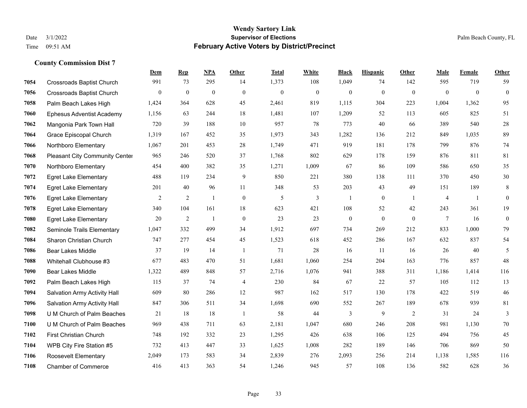|      |                                     | <b>Dem</b>     | <b>Rep</b>   | NPA          | <b>Other</b>     | <b>Total</b> | <b>White</b>     | <b>Black</b>     | <b>Hispanic</b> | <b>Other</b> | <b>Male</b>    | Female       | <b>Other</b>     |
|------|-------------------------------------|----------------|--------------|--------------|------------------|--------------|------------------|------------------|-----------------|--------------|----------------|--------------|------------------|
| 7054 | Crossroads Baptist Church           | 991            | 73           | 295          | 14               | 1,373        | 108              | 1,049            | 74              | 142          | 595            | 719          | 59               |
| 7056 | <b>Crossroads Baptist Church</b>    | $\overline{0}$ | $\mathbf{0}$ | $\mathbf{0}$ | $\mathbf{0}$     | $\mathbf{0}$ | $\boldsymbol{0}$ | $\boldsymbol{0}$ | $\overline{0}$  | $\mathbf{0}$ | $\mathbf{0}$   | $\mathbf{0}$ | $\overline{0}$   |
| 7058 | Palm Beach Lakes High               | 1,424          | 364          | 628          | 45               | 2,461        | 819              | 1,115            | 304             | 223          | 1,004          | 1,362        | 95               |
| 7060 | <b>Ephesus Adventist Academy</b>    | 1,156          | 63           | 244          | 18               | 1,481        | 107              | 1,209            | 52              | 113          | 605            | 825          | 51               |
| 7062 | Mangonia Park Town Hall             | 720            | 39           | 188          | 10               | 957          | 78               | 773              | 40              | 66           | 389            | 540          | 28               |
| 7064 | Grace Episcopal Church              | 1,319          | 167          | 452          | 35               | 1,973        | 343              | 1,282            | 136             | 212          | 849            | 1,035        | 89               |
| 7066 | Northboro Elementary                | 1,067          | 201          | 453          | 28               | 1,749        | 471              | 919              | 181             | 178          | 799            | 876          | 74               |
| 7068 | Pleasant City Community Center      | 965            | 246          | 520          | 37               | 1,768        | 802              | 629              | 178             | 159          | 876            | 811          | 81               |
| 7070 | Northboro Elementary                | 454            | 400          | 382          | 35               | 1,271        | 1,009            | 67               | 86              | 109          | 586            | 650          | 35               |
| 7072 | <b>Egret Lake Elementary</b>        | 488            | 119          | 234          | 9                | 850          | 221              | 380              | 138             | 111          | 370            | 450          | 30               |
| 7074 | <b>Egret Lake Elementary</b>        | 201            | 40           | 96           | 11               | 348          | 53               | 203              | 43              | 49           | 151            | 189          | 8                |
| 7076 | <b>Egret Lake Elementary</b>        | $\overline{2}$ | 2            | $\mathbf{1}$ | $\mathbf{0}$     | 5            | 3                | $\mathbf{1}$     | $\overline{0}$  | -1           | $\overline{4}$ | -1           | $\mathbf{0}$     |
| 7078 | <b>Egret Lake Elementary</b>        | 340            | 104          | 161          | 18               | 623          | 421              | 108              | 52              | 42           | 243            | 361          | 19               |
| 7080 | <b>Egret Lake Elementary</b>        | 20             | $\sqrt{2}$   | 1            | $\boldsymbol{0}$ | 23           | 23               | $\boldsymbol{0}$ | $\overline{0}$  | $\theta$     | $\tau$         | 16           | $\boldsymbol{0}$ |
| 7082 | Seminole Trails Elementary          | 1,047          | 332          | 499          | 34               | 1,912        | 697              | 734              | 269             | 212          | 833            | 1,000        | 79               |
| 7084 | Sharon Christian Church             | 747            | 277          | 454          | 45               | 1,523        | 618              | 452              | 286             | 167          | 632            | 837          | 54               |
| 7086 | <b>Bear Lakes Middle</b>            | 37             | 19           | 14           | $\overline{1}$   | 71           | 28               | 16               | 11              | 16           | 26             | 40           | 5                |
| 7088 | Whitehall Clubhouse #3              | 677            | 483          | 470          | 51               | 1,681        | 1,060            | 254              | 204             | 163          | 776            | 857          | 48               |
| 7090 | <b>Bear Lakes Middle</b>            | 1,322          | 489          | 848          | 57               | 2,716        | 1,076            | 941              | 388             | 311          | 1,186          | 1,414        | 116              |
| 7092 | Palm Beach Lakes High               | 115            | 37           | 74           | $\overline{4}$   | 230          | 84               | 67               | 22              | 57           | 105            | 112          | 13               |
| 7094 | <b>Salvation Army Activity Hall</b> | 609            | 80           | 286          | 12               | 987          | 162              | 517              | 130             | 178          | 422            | 519          | 46               |
| 7096 | Salvation Army Activity Hall        | 847            | 306          | 511          | 34               | 1,698        | 690              | 552              | 267             | 189          | 678            | 939          | 81               |
| 7098 | U M Church of Palm Beaches          | 21             | 18           | 18           | -1               | 58           | 44               | 3                | 9               | 2            | 31             | 24           | 3                |
| 7100 | U M Church of Palm Beaches          | 969            | 438          | 711          | 63               | 2,181        | 1,047            | 680              | 246             | 208          | 981            | 1,130        | 70               |
| 7102 | <b>First Christian Church</b>       | 748            | 192          | 332          | 23               | 1,295        | 426              | 638              | 106             | 125          | 494            | 756          | 45               |
| 7104 | WPB City Fire Station #5            | 732            | 413          | 447          | 33               | 1,625        | 1,008            | 282              | 189             | 146          | 706            | 869          | 50               |
| 7106 | <b>Roosevelt Elementary</b>         | 2,049          | 173          | 583          | 34               | 2,839        | 276              | 2,093            | 256             | 214          | 1,138          | 1,585        | 116              |
| 7108 | <b>Chamber of Commerce</b>          | 416            | 413          | 363          | 54               | 1,246        | 945              | 57               | 108             | 136          | 582            | 628          | 36               |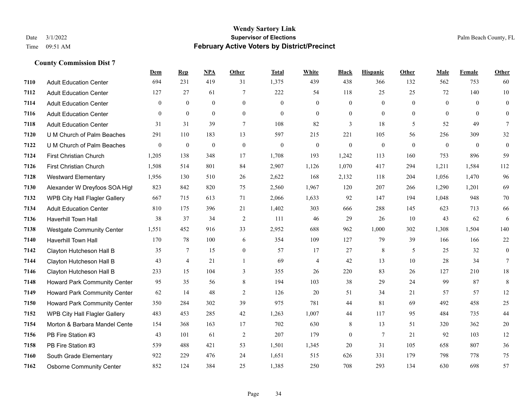|      |                                     | Dem            | <b>Rep</b>     | NPA              | <b>Other</b>     | <b>Total</b> | <b>White</b>   | <b>Black</b>     | <b>Hispanic</b> | <b>Other</b>   | <b>Male</b>    | Female         | <b>Other</b>     |
|------|-------------------------------------|----------------|----------------|------------------|------------------|--------------|----------------|------------------|-----------------|----------------|----------------|----------------|------------------|
| 7110 | <b>Adult Education Center</b>       | 694            | 231            | 419              | 31               | 1,375        | 439            | 438              | 366             | 132            | 562            | 753            | 60               |
| 7112 | <b>Adult Education Center</b>       | 127            | 27             | 61               | 7                | 222          | 54             | 118              | 25              | 25             | 72             | 140            | $10\,$           |
| 7114 | <b>Adult Education Center</b>       | $\overline{0}$ | $\mathbf{0}$   | $\mathbf{0}$     | $\overline{0}$   | $\theta$     | $\mathbf{0}$   | $\mathbf{0}$     | $\overline{0}$  | $\theta$       | $\overline{0}$ | $\theta$       | $\mathbf{0}$     |
| 7116 | <b>Adult Education Center</b>       | $\overline{0}$ | $\mathbf{0}$   | $\overline{0}$   | $\boldsymbol{0}$ | $\mathbf{0}$ | $\mathbf{0}$   | $\mathbf{0}$     | $\mathbf{0}$    | $\overline{0}$ | $\overline{0}$ | $\theta$       | $\overline{0}$   |
| 7118 | <b>Adult Education Center</b>       | 31             | 31             | 39               | 7                | 108          | 82             | 3                | 18              | 5              | 52             | 49             | $\tau$           |
| 7120 | U M Church of Palm Beaches          | 291            | 110            | 183              | 13               | 597          | 215            | 221              | 105             | 56             | 256            | 309            | $32\,$           |
| 7122 | U M Church of Palm Beaches          | 0              | $\mathbf{0}$   | $\boldsymbol{0}$ | $\boldsymbol{0}$ | $\mathbf{0}$ | $\mathbf{0}$   | $\boldsymbol{0}$ | $\mathbf{0}$    | $\mathbf{0}$   | $\overline{0}$ | $\overline{0}$ | $\boldsymbol{0}$ |
| 7124 | <b>First Christian Church</b>       | 1,205          | 138            | 348              | 17               | 1,708        | 193            | 1,242            | 113             | 160            | 753            | 896            | 59               |
| 7126 | <b>First Christian Church</b>       | 1,508          | 514            | 801              | 84               | 2,907        | 1,126          | 1,070            | 417             | 294            | 1,211          | 1,584          | 112              |
| 7128 | <b>Westward Elementary</b>          | 1,956          | 130            | 510              | 26               | 2,622        | 168            | 2,132            | 118             | 204            | 1,056          | 1,470          | 96               |
| 7130 | Alexander W Dreyfoos SOA High       | 823            | 842            | 820              | 75               | 2,560        | 1,967          | 120              | 207             | 266            | 1,290          | 1,201          | 69               |
| 7132 | WPB City Hall Flagler Gallery       | 667            | 715            | 613              | 71               | 2,066        | 1,633          | 92               | 147             | 194            | 1,048          | 948            | $70\,$           |
| 7134 | <b>Adult Education Center</b>       | 810            | 175            | 396              | 21               | 1,402        | 303            | 666              | 288             | 145            | 623            | 713            | 66               |
| 7136 | <b>Haverhill Town Hall</b>          | 38             | 37             | 34               | $\overline{2}$   | 111          | 46             | 29               | 26              | 10             | 43             | 62             | 6                |
| 7138 | <b>Westgate Community Center</b>    | 1,551          | 452            | 916              | 33               | 2,952        | 688            | 962              | 1,000           | 302            | 1,308          | 1,504          | 140              |
| 7140 | Haverhill Town Hall                 | 170            | 78             | 100              | 6                | 354          | 109            | 127              | 79              | 39             | 166            | 166            | 22               |
| 7142 | Clayton Hutcheson Hall B            | 35             | 7              | 15               | $\boldsymbol{0}$ | 57           | 17             | 27               | $\,8\,$         | 5              | 25             | 32             | $\boldsymbol{0}$ |
| 7144 | Clayton Hutcheson Hall B            | 43             | $\overline{4}$ | 21               |                  | 69           | $\overline{4}$ | 42               | 13              | 10             | 28             | 34             | $\tau$           |
| 7146 | Clayton Hutcheson Hall B            | 233            | 15             | 104              | 3                | 355          | 26             | 220              | 83              | 26             | 127            | 210            | $18\,$           |
| 7148 | Howard Park Community Center        | 95             | 35             | 56               | 8                | 194          | 103            | 38               | 29              | 24             | 99             | 87             | $\,8\,$          |
| 7149 | <b>Howard Park Community Center</b> | 62             | 14             | 48               | $\overline{2}$   | 126          | 20             | 51               | 34              | 21             | 57             | 57             | 12               |
| 7150 | Howard Park Community Center        | 350            | 284            | 302              | 39               | 975          | 781            | 44               | 81              | 69             | 492            | 458            | 25               |
| 7152 | WPB City Hall Flagler Gallery       | 483            | 453            | 285              | 42               | 1,263        | 1,007          | 44               | 117             | 95             | 484            | 735            | 44               |
| 7154 | Morton & Barbara Mandel Cente       | 154            | 368            | 163              | 17               | 702          | 630            | 8                | 13              | 51             | 320            | 362            | 20               |
| 7156 | PB Fire Station #3                  | 43             | 101            | 61               | 2                | 207          | 179            | $\overline{0}$   | $\overline{7}$  | 21             | 92             | 103            | 12               |
| 7158 | PB Fire Station #3                  | 539            | 488            | 421              | 53               | 1,501        | 1,345          | 20               | 31              | 105            | 658            | 807            | 36               |
| 7160 | South Grade Elementary              | 922            | 229            | 476              | 24               | 1,651        | 515            | 626              | 331             | 179            | 798            | 778            | 75               |
| 7162 | <b>Osborne Community Center</b>     | 852            | 124            | 384              | 25               | 1,385        | 250            | 708              | 293             | 134            | 630            | 698            | 57               |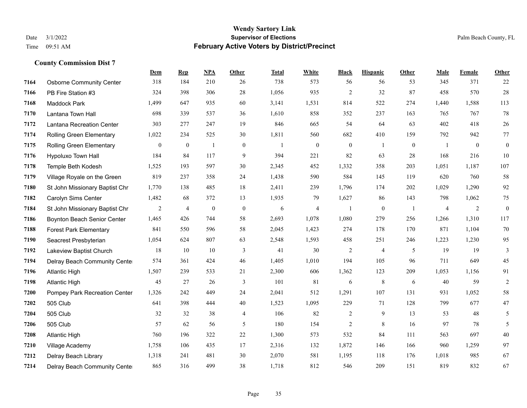|      |                                 | <b>Dem</b>   | <b>Rep</b>       | NPA              | <b>Other</b>     | <b>Total</b> | <b>White</b>     | <b>Black</b>     | <b>Hispanic</b>  | <b>Other</b> | <b>Male</b>    | <b>Female</b>  | <b>Other</b>     |
|------|---------------------------------|--------------|------------------|------------------|------------------|--------------|------------------|------------------|------------------|--------------|----------------|----------------|------------------|
| 7164 | <b>Osborne Community Center</b> | 318          | 184              | 210              | 26               | 738          | 573              | 56               | 56               | 53           | 345            | 371            | 22               |
| 7166 | PB Fire Station #3              | 324          | 398              | 306              | 28               | 1,056        | 935              | $\overline{2}$   | 32               | 87           | 458            | 570            | 28               |
| 7168 | <b>Maddock Park</b>             | 1,499        | 647              | 935              | 60               | 3,141        | 1,531            | 814              | 522              | 274          | 1,440          | 1,588          | 113              |
| 7170 | Lantana Town Hall               | 698          | 339              | 537              | 36               | 1,610        | 858              | 352              | 237              | 163          | 765            | 767            | 78               |
| 7172 | Lantana Recreation Center       | 303          | 277              | 247              | 19               | 846          | 665              | 54               | 64               | 63           | 402            | 418            | $26\,$           |
| 7174 | Rolling Green Elementary        | 1,022        | 234              | 525              | 30               | 1,811        | 560              | 682              | 410              | 159          | 792            | 942            | 77               |
| 7175 | Rolling Green Elementary        | $\mathbf{0}$ | $\boldsymbol{0}$ | $\mathbf{1}$     | $\boldsymbol{0}$ | $\mathbf{1}$ | $\boldsymbol{0}$ | $\boldsymbol{0}$ | $\mathbf{1}$     | $\mathbf{0}$ | $\overline{1}$ | $\mathbf{0}$   | $\boldsymbol{0}$ |
| 7176 | Hypoluxo Town Hall              | 184          | 84               | 117              | 9                | 394          | 221              | 82               | 63               | 28           | 168            | 216            | $10\,$           |
| 7178 | Temple Beth Kodesh              | 1,525        | 193              | 597              | 30               | 2,345        | 452              | 1,332            | 358              | 203          | 1,051          | 1,187          | 107              |
| 7179 | Village Royale on the Green     | 819          | 237              | 358              | 24               | 1,438        | 590              | 584              | 145              | 119          | 620            | 760            | 58               |
| 7180 | St John Missionary Baptist Chr  | 1,770        | 138              | 485              | 18               | 2,411        | 239              | 1,796            | 174              | 202          | 1,029          | 1,290          | 92               |
| 7182 | Carolyn Sims Center             | 1,482        | 68               | 372              | 13               | 1,935        | 79               | 1,627            | 86               | 143          | 798            | 1,062          | 75               |
| 7184 | St John Missionary Baptist Chr  | 2            | $\overline{4}$   | $\boldsymbol{0}$ | $\boldsymbol{0}$ | 6            | $\overline{4}$   |                  | $\boldsymbol{0}$ | -1           | 4              | $\overline{2}$ | $\boldsymbol{0}$ |
| 7186 | Boynton Beach Senior Center     | 1,465        | 426              | 744              | 58               | 2,693        | 1,078            | 1,080            | 279              | 256          | 1,266          | 1,310          | 117              |
| 7188 | <b>Forest Park Elementary</b>   | 841          | 550              | 596              | 58               | 2,045        | 1,423            | 274              | 178              | 170          | 871            | 1,104          | 70               |
| 7190 | Seacrest Presbyterian           | 1,054        | 624              | 807              | 63               | 2,548        | 1,593            | 458              | 251              | 246          | 1,223          | 1,230          | 95               |
| 7192 | Lakeview Baptist Church         | 18           | 10               | 10               | 3                | 41           | 30               | $\overline{c}$   | $\overline{4}$   | 5            | 19             | 19             | 3                |
| 7194 | Delray Beach Community Cente    | 574          | 361              | 424              | 46               | 1,405        | 1,010            | 194              | 105              | 96           | 711            | 649            | 45               |
| 7196 | <b>Atlantic High</b>            | 1,507        | 239              | 533              | 21               | 2,300        | 606              | 1,362            | 123              | 209          | 1,053          | 1,156          | 91               |
| 7198 | <b>Atlantic High</b>            | 45           | 27               | 26               | 3                | 101          | 81               | 6                | 8                | 6            | 40             | 59             | $\sqrt{2}$       |
| 7200 | Pompey Park Recreation Center   | 1,326        | 242              | 449              | 24               | 2,041        | 512              | 1,291            | 107              | 131          | 931            | 1,052          | 58               |
| 7202 | 505 Club                        | 641          | 398              | 444              | 40               | 1,523        | 1,095            | 229              | 71               | 128          | 799            | 677            | 47               |
| 7204 | 505 Club                        | 32           | 32               | 38               | 4                | 106          | 82               | $\overline{2}$   | 9                | 13           | 53             | 48             | 5                |
| 7206 | 505 Club                        | 57           | 62               | 56               | 5                | 180          | 154              | 2                | 8                | 16           | 97             | 78             | 5                |
| 7208 | <b>Atlantic High</b>            | 760          | 196              | 322              | 22               | 1,300        | 573              | 532              | 84               | 111          | 563            | 697            | 40               |
| 7210 | Village Academy                 | 1,758        | 106              | 435              | 17               | 2,316        | 132              | 1,872            | 146              | 166          | 960            | 1,259          | 97               |
| 7212 | Delray Beach Library            | 1,318        | 241              | 481              | 30               | 2,070        | 581              | 1,195            | 118              | 176          | 1,018          | 985            | 67               |
| 7214 | Delray Beach Community Cente    | 865          | 316              | 499              | 38               | 1,718        | 812              | 546              | 209              | 151          | 819            | 832            | 67               |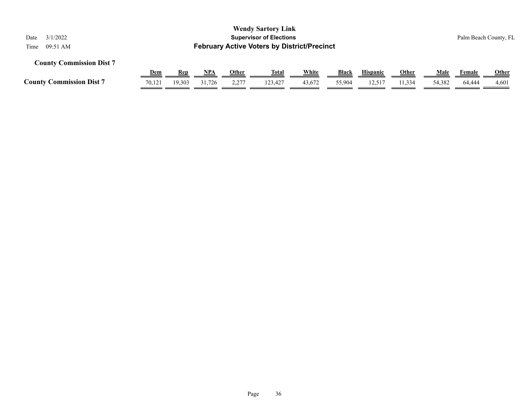| 3/1/2022<br>Date                                                       |            |        |            |              | <b>Wendy Sartory Link</b><br><b>Supervisor of Elections</b> |        |              |                 |              |             |        | Palm Beach County, FL |
|------------------------------------------------------------------------|------------|--------|------------|--------------|-------------------------------------------------------------|--------|--------------|-----------------|--------------|-------------|--------|-----------------------|
| <b>February Active Voters by District/Precinct</b><br>09:51 AM<br>Time |            |        |            |              |                                                             |        |              |                 |              |             |        |                       |
| <b>County Commission Dist 7</b>                                        |            |        |            |              |                                                             |        |              |                 |              |             |        |                       |
|                                                                        | <b>Dem</b> | Rep    | <u>NPA</u> | <u>Other</u> | <u>Total</u>                                                | White  | <b>Black</b> | <b>Hispanic</b> | <b>Other</b> | <b>Male</b> | Female | <b>Other</b>          |
| <b>County Commission Dist 7</b>                                        | 70.121     | 19,303 | 31,726     | 2,277        | 123.427                                                     | 43,672 | 55,904       | 12,517          | 11,334       | 54,382      | 64,444 | 4,601                 |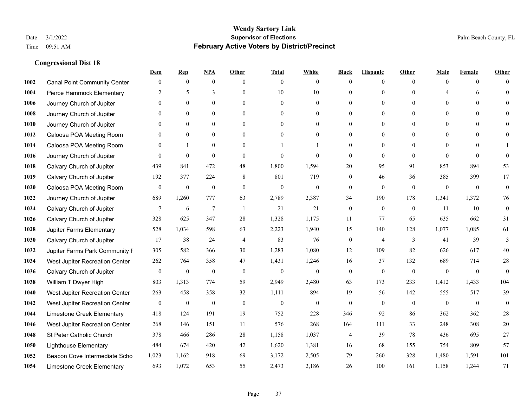|      |                                     | Dem              | <b>Rep</b>       | NPA              | <b>Other</b>   | <b>Total</b>     | <b>White</b>     | <b>Black</b>     | <b>Hispanic</b>  | <b>Other</b>   | <b>Male</b>  | <b>Female</b> | <b>Other</b>     |
|------|-------------------------------------|------------------|------------------|------------------|----------------|------------------|------------------|------------------|------------------|----------------|--------------|---------------|------------------|
| 1002 | <b>Canal Point Community Center</b> | $\mathbf{0}$     | $\mathbf{0}$     | $\boldsymbol{0}$ | $\theta$       | $\mathbf{0}$     | $\overline{0}$   | $\mathbf{0}$     | $\boldsymbol{0}$ | $\theta$       | $\theta$     | $\theta$      | $\Omega$         |
| 1004 | Pierce Hammock Elementary           | 2                | 5                | 3                | $\theta$       | 10               | 10               | $\overline{0}$   | $\mathbf{0}$     | $\Omega$       | 4            | 6             | $\theta$         |
| 1006 | Journey Church of Jupiter           | $\Omega$         | $\theta$         | $\theta$         | $\Omega$       | $\theta$         | $\overline{0}$   | $\Omega$         | $\theta$         | $\Omega$       | $\Omega$     | $\Omega$      | $\Omega$         |
| 1008 | Journey Church of Jupiter           | $\theta$         | $\mathbf{0}$     | $\mathbf{0}$     | $\overline{0}$ | $\theta$         | $\overline{0}$   | $\overline{0}$   | $\mathbf{0}$     | $\theta$       | $\mathbf{0}$ | $\mathbf{0}$  |                  |
| 1010 | Journey Church of Jupiter           | 0                | $\mathbf{0}$     | $\mathbf{0}$     | $\theta$       | $\Omega$         | $\overline{0}$   | $\overline{0}$   | $\mathbf{0}$     | $\theta$       | $\theta$     | $\theta$      | $\Omega$         |
| 1012 | Caloosa POA Meeting Room            | 0                | $\mathbf{0}$     | $\mathbf{0}$     | $\theta$       | $\Omega$         | $\mathbf{0}$     | $\overline{0}$   | $\mathbf{0}$     | $\Omega$       | $\theta$     | $\theta$      | $\Omega$         |
| 1014 | Caloosa POA Meeting Room            | $\theta$         |                  | $\mathbf{0}$     | $\overline{0}$ |                  | 1                | $\overline{0}$   | $\mathbf{0}$     | $\theta$       | $\mathbf{0}$ | $\theta$      |                  |
| 1016 | Journey Church of Jupiter           | 0                | $\mathbf{0}$     | $\mathbf{0}$     | $\theta$       | $\Omega$         | $\theta$         | $\mathbf{0}$     | $\theta$         | $\theta$       | $\Omega$     | $\theta$      | $\theta$         |
| 1018 | Calvary Church of Jupiter           | 439              | 841              | 472              | 48             | 1,800            | 1,594            | 20               | 95               | 91             | 853          | 894           | 53               |
| 1019 | Calvary Church of Jupiter           | 192              | 377              | 224              | 8              | 801              | 719              | $\overline{0}$   | 46               | 36             | 385          | 399           | 17               |
| 1020 | Caloosa POA Meeting Room            | $\boldsymbol{0}$ | $\boldsymbol{0}$ | $\boldsymbol{0}$ | $\theta$       | $\mathbf{0}$     | $\mathbf{0}$     | $\boldsymbol{0}$ | $\mathbf{0}$     | $\theta$       | $\mathbf{0}$ | $\mathbf{0}$  | $\mathbf{0}$     |
| 1022 | Journey Church of Jupiter           | 689              | 1,260            | 777              | 63             | 2,789            | 2,387            | 34               | 190              | 178            | 1,341        | 1,372         | 76               |
| 1024 | Calvary Church of Jupiter           | 7                | 6                | $\overline{7}$   | $\overline{1}$ | 21               | 21               | $\boldsymbol{0}$ | $\mathbf{0}$     | $\theta$       | 11           | 10            | $\boldsymbol{0}$ |
| 1026 | Calvary Church of Jupiter           | 328              | 625              | 347              | 28             | 1,328            | 1,175            | 11               | 77               | 65             | 635          | 662           | 31               |
| 1028 | Jupiter Farms Elementary            | 528              | 1,034            | 598              | 63             | 2,223            | 1,940            | 15               | 140              | 128            | 1,077        | 1,085         | 61               |
| 1030 | Calvary Church of Jupiter           | 17               | 38               | 24               | $\overline{4}$ | 83               | 76               | $\boldsymbol{0}$ | $\overline{4}$   | 3              | 41           | 39            | 3                |
| 1032 | Jupiter Farms Park Community I      | 305              | 582              | 366              | 30             | 1,283            | 1,080            | 12               | 109              | 82             | 626          | 617           | 40               |
| 1034 | West Jupiter Recreation Center      | 262              | 764              | 358              | 47             | 1,431            | 1,246            | 16               | 37               | 132            | 689          | 714           | 28               |
| 1036 | Calvary Church of Jupiter           | $\boldsymbol{0}$ | $\boldsymbol{0}$ | $\boldsymbol{0}$ | $\mathbf{0}$   | $\boldsymbol{0}$ | $\boldsymbol{0}$ | $\boldsymbol{0}$ | $\mathbf{0}$     | $\mathbf{0}$   | $\mathbf{0}$ | $\mathbf{0}$  | $\mathbf{0}$     |
| 1038 | William T Dwyer High                | 803              | 1,313            | 774              | 59             | 2,949            | 2,480            | 63               | 173              | 233            | 1,412        | 1,433         | 104              |
| 1040 | West Jupiter Recreation Center      | 263              | 458              | 358              | 32             | 1,111            | 894              | 19               | 56               | 142            | 555          | 517           | 39               |
| 1042 | West Jupiter Recreation Center      | $\boldsymbol{0}$ | $\boldsymbol{0}$ | $\boldsymbol{0}$ | $\mathbf{0}$   | $\boldsymbol{0}$ | $\mathbf{0}$     | $\boldsymbol{0}$ | $\boldsymbol{0}$ | $\overline{0}$ | $\mathbf{0}$ | $\mathbf{0}$  | $\mathbf{0}$     |
| 1044 | Limestone Creek Elementary          | 418              | 124              | 191              | 19             | 752              | 228              | 346              | 92               | 86             | 362          | 362           | 28               |
| 1046 | West Jupiter Recreation Center      | 268              | 146              | 151              | 11             | 576              | 268              | 164              | 111              | 33             | 248          | 308           | 20               |
| 1048 | St Peter Catholic Church            | 378              | 466              | 286              | $28\,$         | 1,158            | 1,037            | $\overline{4}$   | 39               | 78             | 436          | 695           | 27               |
| 1050 | <b>Lighthouse Elementary</b>        | 484              | 674              | 420              | 42             | 1,620            | 1,381            | 16               | 68               | 155            | 754          | 809           | 57               |
| 1052 | Beacon Cove Intermediate Scho       | 1,023            | 1,162            | 918              | 69             | 3,172            | 2,505            | 79               | 260              | 328            | 1,480        | 1,591         | 101              |
| 1054 | Limestone Creek Elementary          | 693              | 1,072            | 653              | 55             | 2,473            | 2,186            | 26               | 100              | 161            | 1,158        | 1,244         | 71               |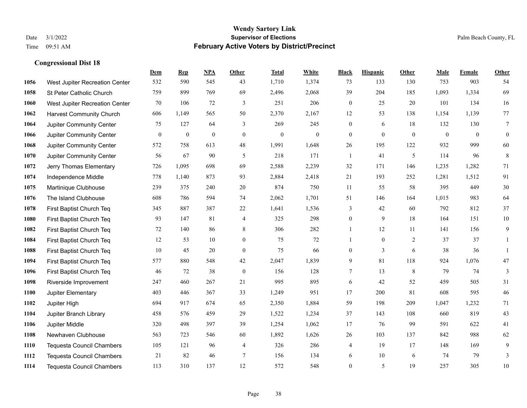**Congressional Dist 18**

#### **Wendy Sartory Link** Date 3/1/2022 **Supervisor of Elections** Palm Beach County, FL Time 09:51 AM **February Active Voters by District/Precinct**

# **Dem Rep NPA Other Total White Black Hispanic Other Male Female Other** West Jupiter Recreation Center 532 590 545 43 1,710 1,374 73 133 130 753 903 54 St Peter Catholic Church 759 899 769 69 2,496 2,068 39 204 185 1,093 1,334 69 West Jupiter Recreation Center 70 106 72 3 251 206 0 25 20 101 134 16 Harvest Community Church 606 1,149 565 50 2,370 2,167 12 53 138 1,154 1,139 77 Jupiter Community Center 75 127 64 3 269 245 0 6 18 132 130 7 Jupiter Community Center 0 0 0 0 0 0 0 0 0 0 0 0 Jupiter Community Center 572 758 613 48 1,991 1,648 26 195 122 932 999 60 Jupiter Community Center 56 67 90 5 218 171 1 41 5 114 96 8 Jerry Thomas Elementary 726 1,095 698 69 2,588 2,239 32 171 146 1,235 1,282 71 Independence Middle 778 1,140 873 93 2,884 2,418 21 193 252 1,281 1,512 91 Martinique Clubhouse 239 375 240 20 874 750 11 55 58 395 449 30 The Island Clubhouse 608 786 594 74 2,062 1,701 51 146 164 1,015 983 64 First Baptist Church Teq 345 887 387 22 1,641 1,536 3 42 60 792 812 37 First Baptist Church Teq 93 147 81 4 325 298 0 9 18 164 151 10 First Baptist Church Teq 72 140 86 8 306 282 1 12 11 141 156 9 First Baptist Church Teq 12 53 10 0 75 72 1 0 2 37 37 1 First Baptist Church Teq **10** 45 20 0 75 66 0 3 6 38 36 1 First Baptist Church Teq 577 880 548 42 2,047 1,839 9 81 118 924 1,076 47 First Baptist Church Teq 46 72 38 0 156 128 7 13 8 79 74 3 Riverside Improvement 247 460 267 21 995 895 6 42 52 459 505 31 Jupiter Elementary 403 446 367 33 1,249 951 17 200 81 608 595 46 Jupiter High 694 917 674 65 2,350 1,884 59 198 209 1,047 1,232 71 Jupiter Branch Library 458 576 459 29 1,522 1,234 37 143 108 660 819 43 Jupiter Middle 320 498 397 39 1,254 1,062 17 76 99 591 622 41 Newhaven Clubhouse 563 723 546 60 1,892 1,626 26 103 137 842 988 62 Tequesta Council Chambers 105 121 96 4 326 286 4 19 17 148 169 9 Tequesta Council Chambers 21 82 46 7 156 134 6 10 6 74 79 3

Tequesta Council Chambers 113 310 137 12 572 548 0 5 19 257 305 10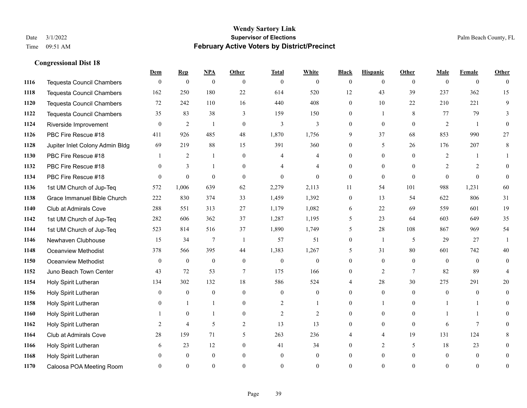**Congressional Dist 18**

#### **Wendy Sartory Link** Date 3/1/2022 **Supervisor of Elections** Palm Beach County, FL Time 09:51 AM **February Active Voters by District/Precinct**

# **Dem Rep NPA Other Total White Black Hispanic Other Male Female Other** Tequesta Council Chambers 0 0 0 0 0 0 0 0 0 0 0 0 Tequesta Council Chambers 162 250 180 22 614 520 12 43 39 237 362 15 Tequesta Council Chambers 72 242 110 16 440 408 0 10 22 210 221 9 Tequesta Council Chambers 35 83 38 3 159 150 0 1 8 77 79 3 Riverside Improvement 0 0 2 1 0 3 3 0 0 0 2 1 0 PBC Fire Rescue #18 411 926 485 48 1,870 1,756 9 37 68 853 990 27 Jupiter Inlet Colony Admin Bldg 69 219 88 15 391 360 0 5 26 176 207 8 PBC Fire Rescue #18 **1** 2 1 0 4 4 0 0 0 2 1 1 **1132 PBC Fire Rescue #18** 0 3 1 0 4 4 0 0 0 2 2 0 PBC Fire Rescue #18 0 0 0 0 0 0 0 0 0 0 0 0 1st UM Church of Jup-Teq 572 1,006 639 62 2,279 2,113 11 54 101 988 1,231 60 Grace Immanuel Bible Church 222 830 374 33 1,459 1,392 0 13 54 622 806 31 Club at Admirals Cove 288 551 313 27 1,179 1,082 6 22 69 559 601 19 1st UM Church of Jup-Teq 282 606 362 37 1,287 1,195 5 23 64 603 649 35 1st UM Church of Jup-Teq 523 814 516 37 1,890 1,749 5 28 108 867 969 54 Newhaven Clubhouse 15 34 7 1 57 51 0 1 5 29 27 1 Oceanview Methodist 378 566 395 44 1,383 1,267 5 31 80 601 742 40 Oceanview Methodist 0 0 0 0 0 0 0 0 0 0 0 0 Juno Beach Town Center 43 72 53 7 175 166 0 2 7 82 89 4 Holy Spirit Lutheran 134 302 132 18 586 524 4 28 30 275 291 20 Holy Spirit Lutheran 0 0 0 0 0 0 0 0 0 0 0 0 Holy Spirit Lutheran **0** 1 1 0 2 1 0 1 0 1 1 0 Holy Spirit Lutheran 1 0 1 0 2 2 0 0 0 1 1 0 Holy Spirit Lutheran **2** 4 5 2 13 13 0 0 0 6 7 0 Club at Admirals Cove 28 159 71 5 263 236 4 4 19 131 124 8 Holy Spirit Lutheran 6 23 12 0 41 34 0 2 5 18 23 0 Holy Spirit Lutheran 0 0 0 0 0 0 0 0 0 0 0 0

Caloosa POA Meeting Room 0 0 0 0 0 0 0 0 0 0 0 0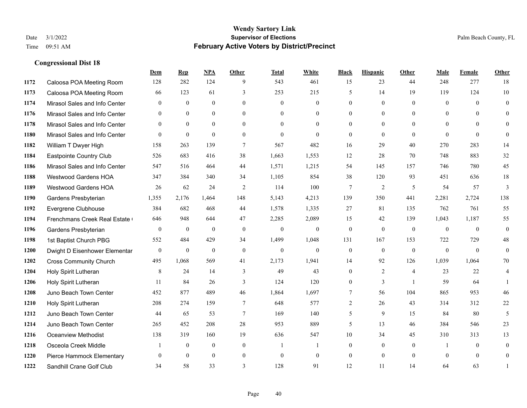|      |                               | Dem            | <b>Rep</b>       | NPA          | <b>Other</b>   | <b>Total</b> | <b>White</b>   | <b>Black</b>     | <b>Hispanic</b> | <b>Other</b>   | <b>Male</b>  | Female       | <b>Other</b> |
|------|-------------------------------|----------------|------------------|--------------|----------------|--------------|----------------|------------------|-----------------|----------------|--------------|--------------|--------------|
| 1172 | Caloosa POA Meeting Room      | 128            | 282              | 124          | 9              | 543          | 461            | 15               | 23              | 44             | 248          | 277          | 18           |
| 1173 | Caloosa POA Meeting Room      | 66             | 123              | 61           | 3              | 253          | 215            | 5                | 14              | 19             | 119          | 124          | 10           |
| 1174 | Mirasol Sales and Info Center | $\mathbf{0}$   | $\mathbf{0}$     | $\mathbf{0}$ | $\theta$       | $\mathbf{0}$ | $\overline{0}$ | $\mathbf{0}$     | $\mathbf{0}$    | $\theta$       | $\mathbf{0}$ | $\theta$     | $\mathbf{0}$ |
| 1176 | Mirasol Sales and Info Center | $\mathbf{0}$   | $\mathbf{0}$     | $\mathbf{0}$ | $\overline{0}$ | $\mathbf{0}$ | $\overline{0}$ | $\mathbf{0}$     | $\mathbf{0}$    | $\overline{0}$ | $\mathbf{0}$ | $\theta$     | $\theta$     |
| 1178 | Mirasol Sales and Info Center | $\theta$       | $\theta$         | $\theta$     | $\Omega$       | $\Omega$     | $\Omega$       | $\theta$         | $\theta$        | $\Omega$       | $\theta$     | $\Omega$     | $\theta$     |
| 1180 | Mirasol Sales and Info Center | $\overline{0}$ | $\boldsymbol{0}$ | $\mathbf{0}$ | $\theta$       | $\mathbf{0}$ | $\mathbf{0}$   | $\mathbf{0}$     | $\mathbf{0}$    | $\theta$       | $\mathbf{0}$ | $\mathbf{0}$ | $\mathbf{0}$ |
| 1182 | William T Dwyer High          | 158            | 263              | 139          | $\tau$         | 567          | 482            | 16               | 29              | 40             | 270          | 283          | 14           |
| 1184 | Eastpointe Country Club       | 526            | 683              | 416          | 38             | 1,663        | 1,553          | 12               | 28              | 70             | 748          | 883          | 32           |
| 1186 | Mirasol Sales and Info Center | 547            | 516              | 464          | 44             | 1,571        | 1,215          | 54               | 145             | 157            | 746          | 780          | 45           |
| 1188 | <b>Westwood Gardens HOA</b>   | 347            | 384              | 340          | 34             | 1,105        | 854            | 38               | 120             | 93             | 451          | 636          | 18           |
| 1189 | <b>Westwood Gardens HOA</b>   | 26             | 62               | 24           | 2              | 114          | 100            | $\tau$           | $\overline{2}$  | 5              | 54           | 57           | 3            |
| 1190 | Gardens Presbyterian          | 1,355          | 2,176            | 1,464        | 148            | 5,143        | 4,213          | 139              | 350             | 441            | 2,281        | 2,724        | 138          |
| 1192 | Evergrene Clubhouse           | 384            | 682              | 468          | 44             | 1,578        | 1,335          | 27               | 81              | 135            | 762          | 761          | 55           |
| 1194 | Frenchmans Creek Real Estate  | 646            | 948              | 644          | 47             | 2,285        | 2,089          | 15               | 42              | 139            | 1,043        | 1,187        | 55           |
| 1196 | Gardens Presbyterian          | $\mathbf{0}$   | $\mathbf{0}$     | $\mathbf{0}$ | $\theta$       | $\mathbf{0}$ | $\overline{0}$ | $\mathbf{0}$     | $\mathbf{0}$    | $\mathbf{0}$   | $\mathbf{0}$ | $\theta$     | $\mathbf{0}$ |
| 1198 | 1st Baptist Church PBG        | 552            | 484              | 429          | 34             | 1,499        | 1,048          | 131              | 167             | 153            | 722          | 729          | 48           |
| 1200 | Dwight D Eisenhower Elementar | $\mathbf{0}$   | $\mathbf{0}$     | $\mathbf{0}$ | $\mathbf{0}$   | $\mathbf{0}$ | $\overline{0}$ | $\boldsymbol{0}$ | $\mathbf{0}$    | $\theta$       | $\mathbf{0}$ | $\mathbf{0}$ | $\mathbf{0}$ |
| 1202 | <b>Cross Community Church</b> | 495            | 1.068            | 569          | 41             | 2,173        | 1,941          | 14               | 92              | 126            | 1,039        | 1.064        | 70           |
| 1204 | Holy Spirit Lutheran          | $\,8\,$        | 24               | 14           | 3              | 49           | 43             | $\boldsymbol{0}$ | $\overline{2}$  | $\overline{4}$ | 23           | 22           | 4            |
| 1206 | Holy Spirit Lutheran          | 11             | 84               | 26           | 3              | 124          | 120            | $\mathbf{0}$     | 3               | $\overline{1}$ | 59           | 64           | 1            |
| 1208 | Juno Beach Town Center        | 452            | 877              | 489          | 46             | 1,864        | 1,697          | $\tau$           | 56              | 104            | 865          | 953          | 46           |
| 1210 | Holy Spirit Lutheran          | 208            | 274              | 159          | $\tau$         | 648          | 577            | $\overline{c}$   | 26              | 43             | 314          | 312          | $22\,$       |
| 1212 | Juno Beach Town Center        | 44             | 65               | 53           | $\tau$         | 169          | 140            | 5                | 9               | 15             | 84           | 80           | 5            |
| 1214 | Juno Beach Town Center        | 265            | 452              | 208          | 28             | 953          | 889            | 5                | 13              | 46             | 384          | 546          | 23           |
| 1216 | <b>Oceanview Methodist</b>    | 138            | 319              | 160          | 19             | 636          | 547            | 10               | 34              | 45             | 310          | 313          | 13           |
| 1218 | Osceola Creek Middle          |                | $\mathbf{0}$     | $\mathbf{0}$ | $\mathbf{0}$   | -1           | 1              | $\mathbf{0}$     | $\mathbf{0}$    | $\theta$       |              | $\theta$     | $\mathbf{0}$ |
| 1220 | Pierce Hammock Elementary     | $\theta$       | $\theta$         | $\mathbf{0}$ | $\mathbf{0}$   | $\mathbf{0}$ | $\overline{0}$ | $\mathbf{0}$     | $\theta$        | $\theta$       | $\theta$     | $\theta$     | $\mathbf{0}$ |
| 1222 | Sandhill Crane Golf Club      | 34             | 58               | 33           | 3              | 128          | 91             | 12               | 11              | 14             | 64           | 63           | 1            |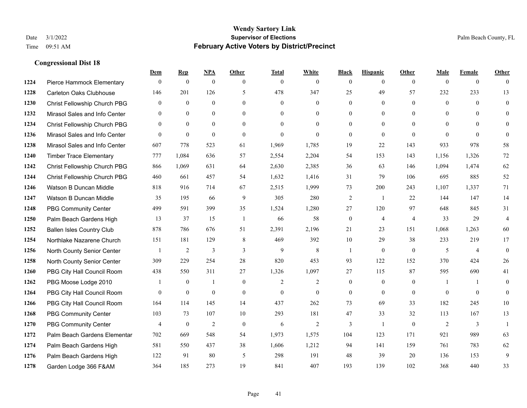|      |                                  | Dem            | <b>Rep</b>     | NPA              | <b>Other</b>   | <b>Total</b>   | <b>White</b>     | <b>Black</b>     | <b>Hispanic</b> | <b>Other</b>   | <b>Male</b>    | <b>Female</b>  | <b>Other</b>   |
|------|----------------------------------|----------------|----------------|------------------|----------------|----------------|------------------|------------------|-----------------|----------------|----------------|----------------|----------------|
| 1224 | Pierce Hammock Elementary        | $\mathbf{0}$   | $\mathbf{0}$   | $\boldsymbol{0}$ | $\theta$       | $\theta$       | $\overline{0}$   | $\mathbf{0}$     | $\overline{0}$  | $\theta$       | $\theta$       | $\overline{0}$ | $\Omega$       |
| 1228 | Carleton Oaks Clubhouse          | 146            | 201            | 126              | 5              | 478            | 347              | 25               | 49              | 57             | 232            | 233            | 13             |
| 1230 | Christ Fellowship Church PBG     | $\theta$       | $\mathbf{0}$   | $\theta$         | $\Omega$       | $\Omega$       | $\Omega$         | $\theta$         | $\Omega$        | $\Omega$       | $\Omega$       | $\Omega$       | $\theta$       |
| 1232 | Mirasol Sales and Info Center    | $\mathbf{0}$   | $\mathbf{0}$   | $\mathbf{0}$     | $\overline{0}$ | $\mathbf{0}$   | $\boldsymbol{0}$ | $\boldsymbol{0}$ | $\mathbf{0}$    | $\overline{0}$ | $\overline{0}$ | $\theta$       | $\theta$       |
| 1234 | Christ Fellowship Church PBG     | $\theta$       | $\theta$       | $\theta$         | $\theta$       | $\theta$       | $\Omega$         | $\overline{0}$   | $\overline{0}$  | $\theta$       | $\theta$       | $\theta$       | $\mathbf{0}$   |
| 1236 | Mirasol Sales and Info Center    | $\theta$       | $\mathbf{0}$   | $\mathbf{0}$     | $\theta$       | $\Omega$       | $\Omega$         | $\mathbf{0}$     | $\theta$        | $\Omega$       | $\Omega$       | $\Omega$       | $\theta$       |
| 1238 | Mirasol Sales and Info Center    | 607            | 778            | 523              | 61             | 1,969          | 1,785            | 19               | 22              | 143            | 933            | 978            | 58             |
| 1240 | <b>Timber Trace Elementary</b>   | 777            | 1,084          | 636              | 57             | 2,554          | 2,204            | 54               | 153             | 143            | 1,156          | 1,326          | 72             |
| 1242 | Christ Fellowship Church PBG     | 866            | 1,069          | 631              | 64             | 2,630          | 2,385            | 36               | 63              | 146            | 1,094          | 1,474          | 62             |
| 1244 | Christ Fellowship Church PBG     | 460            | 661            | 457              | 54             | 1,632          | 1,416            | 31               | 79              | 106            | 695            | 885            | 52             |
| 1246 | Watson B Duncan Middle           | 818            | 916            | 714              | 67             | 2,515          | 1,999            | 73               | 200             | 243            | 1,107          | 1,337          | 71             |
| 1247 | Watson B Duncan Middle           | 35             | 195            | 66               | 9              | 305            | 280              | $\overline{c}$   | 1               | 22             | 144            | 147            | 14             |
| 1248 | <b>PBG Community Center</b>      | 499            | 591            | 399              | 35             | 1,524          | 1,280            | 27               | 120             | 97             | 648            | 845            | 31             |
| 1250 | Palm Beach Gardens High          | 13             | 37             | 15               | -1             | 66             | 58               | $\boldsymbol{0}$ | $\overline{4}$  | 4              | 33             | 29             | $\overline{4}$ |
| 1252 | <b>Ballen Isles Country Club</b> | 878            | 786            | 676              | 51             | 2,391          | 2,196            | 21               | 23              | 151            | 1,068          | 1,263          | 60             |
| 1254 | Northlake Nazarene Church        | 151            | 181            | 129              | 8              | 469            | 392              | 10               | 29              | 38             | 233            | 219            | 17             |
| 1256 | North County Senior Center       | $\mathbf{1}$   | $\overline{2}$ | 3                | 3              | 9              | $\,$ 8 $\,$      | $\mathbf{1}$     | $\mathbf{0}$    | $\theta$       | 5              | $\overline{4}$ | $\mathbf{0}$   |
| 1258 | North County Senior Center       | 309            | 229            | 254              | 28             | 820            | 453              | 93               | 122             | 152            | 370            | 424            | 26             |
| 1260 | PBG City Hall Council Room       | 438            | 550            | 311              | 27             | 1,326          | 1,097            | 27               | 115             | 87             | 595            | 690            | 41             |
| 1262 | PBG Moose Lodge 2010             |                | $\mathbf{0}$   | 1                | $\mathbf{0}$   | $\overline{2}$ | $\overline{2}$   | $\mathbf{0}$     | $\mathbf{0}$    | $\overline{0}$ | -1             | $\overline{1}$ | $\mathbf{0}$   |
| 1264 | PBG City Hall Council Room       | $\Omega$       | $\mathbf{0}$   | $\theta$         | $\theta$       | $\theta$       | $\overline{0}$   | $\mathbf{0}$     | $\theta$        | $\theta$       | $\theta$       | $\Omega$       | $\theta$       |
| 1266 | PBG City Hall Council Room       | 164            | 114            | 145              | 14             | 437            | 262              | 73               | 69              | 33             | 182            | 245            | 10             |
| 1268 | <b>PBG Community Center</b>      | 103            | 73             | 107              | 10             | 293            | 181              | 47               | 33              | 32             | 113            | 167            | 13             |
| 1270 | <b>PBG Community Center</b>      | $\overline{4}$ | $\mathbf{0}$   | $\overline{2}$   | $\theta$       | 6              | $\overline{2}$   | 3                | $\mathbf{1}$    | $\Omega$       | $\overline{2}$ | 3              | $\mathbf{1}$   |
| 1272 | Palm Beach Gardens Elementar     | 702            | 669            | 548              | 54             | 1,973          | 1,575            | 104              | 123             | 171            | 921            | 989            | 63             |
| 1274 | Palm Beach Gardens High          | 581            | 550            | 437              | 38             | 1,606          | 1,212            | 94               | 141             | 159            | 761            | 783            | 62             |
| 1276 | Palm Beach Gardens High          | 122            | 91             | 80               | 5              | 298            | 191              | 48               | 39              | 20             | 136            | 153            | 9              |
| 1278 | Garden Lodge 366 F&AM            | 364            | 185            | 273              | 19             | 841            | 407              | 193              | 139             | 102            | 368            | 440            | 33             |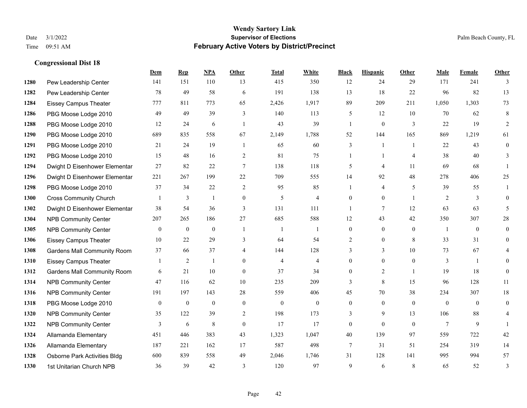|      |                                    | Dem            | <b>Rep</b>       | NPA          | <b>Other</b>     | <b>Total</b>   | <b>White</b>   | <b>Black</b>   | <b>Hispanic</b> | Other          | <b>Male</b>    | <b>Female</b>  | <b>Other</b>     |
|------|------------------------------------|----------------|------------------|--------------|------------------|----------------|----------------|----------------|-----------------|----------------|----------------|----------------|------------------|
| 1280 | Pew Leadership Center              | 141            | 151              | 110          | 13               | 415            | 350            | 12             | 24              | 29             | 171            | 241            | 3                |
| 1282 | Pew Leadership Center              | 78             | 49               | 58           | 6                | 191            | 138            | 13             | 18              | 22             | 96             | 82             | 13               |
| 1284 | <b>Eissey Campus Theater</b>       | 777            | 811              | 773          | 65               | 2,426          | 1,917          | 89             | 209             | 211            | 1,050          | 1,303          | 73               |
| 1286 | PBG Moose Lodge 2010               | 49             | 49               | 39           | $\overline{3}$   | 140            | 113            | 5              | 12              | 10             | 70             | 62             | 8                |
| 1288 | PBG Moose Lodge 2010               | 12             | 24               | 6            | $\overline{1}$   | 43             | 39             | $\mathbf{1}$   | $\overline{0}$  | 3              | 22             | 19             | 2                |
| 1290 | PBG Moose Lodge 2010               | 689            | 835              | 558          | 67               | 2,149          | 1,788          | 52             | 144             | 165            | 869            | 1,219          | 61               |
| 1291 | PBG Moose Lodge 2010               | 21             | 24               | 19           | $\mathbf{1}$     | 65             | 60             | 3              | 1               | $\overline{1}$ | 22             | 43             | $\boldsymbol{0}$ |
| 1292 | PBG Moose Lodge 2010               | 15             | 48               | 16           | 2                | 81             | 75             | $\mathbf{1}$   | $\mathbf{1}$    | $\overline{4}$ | 38             | 40             | 3                |
| 1294 | Dwight D Eisenhower Elementar      | 27             | 82               | 22           | $\tau$           | 138            | 118            | 5              | 4               | 11             | 69             | 68             |                  |
| 1296 | Dwight D Eisenhower Elementar      | 221            | 267              | 199          | 22               | 709            | 555            | 14             | 92              | 48             | 278            | 406            | 25               |
| 1298 | PBG Moose Lodge 2010               | 37             | 34               | 22           | 2                | 95             | 85             | 1              | 4               | 5              | 39             | 55             |                  |
| 1300 | <b>Cross Community Church</b>      |                | 3                | 1            | $\mathbf{0}$     | 5              | $\overline{4}$ | $\overline{0}$ | $\overline{0}$  | $\overline{1}$ | 2              | 3              | $\mathbf{0}$     |
| 1302 | Dwight D Eisenhower Elementar      | 38             | 54               | 36           | 3                | 131            | 111            | $\mathbf{1}$   | $\tau$          | 12             | 63             | 63             | 5                |
| 1304 | <b>NPB Community Center</b>        | 207            | 265              | 186          | 27               | 685            | 588            | 12             | 43              | 42             | 350            | 307            | $28\,$           |
| 1305 | <b>NPB Community Center</b>        | $\mathbf{0}$   | $\mathbf{0}$     | $\mathbf{0}$ | $\overline{1}$   | $\overline{1}$ | 1              | $\overline{0}$ | $\overline{0}$  | $\theta$       | $\overline{1}$ | $\theta$       | $\theta$         |
| 1306 | <b>Eissey Campus Theater</b>       | 10             | 22               | 29           | 3                | 64             | 54             | $\overline{2}$ | $\overline{0}$  | 8              | 33             | 31             | $\theta$         |
| 1308 | <b>Gardens Mall Community Room</b> | 37             | 66               | 37           | $\overline{4}$   | 144            | 128            | 3              | 3               | 10             | 73             | 67             | 4                |
| 1310 | <b>Eissey Campus Theater</b>       |                | $\overline{2}$   | $\mathbf{1}$ | $\Omega$         | $\overline{4}$ | $\overline{4}$ | $\overline{0}$ | $\Omega$        | $\Omega$       | 3              | $\overline{1}$ | $\Omega$         |
| 1312 | Gardens Mall Community Room        | 6              | 21               | 10           | $\boldsymbol{0}$ | 37             | 34             | $\overline{0}$ | $\overline{c}$  | $\overline{1}$ | 19             | 18             | $\mathbf{0}$     |
| 1314 | <b>NPB Community Center</b>        | 47             | 116              | 62           | 10               | 235            | 209            | 3              | 8               | 15             | 96             | 128            | 11               |
| 1316 | <b>NPB Community Center</b>        | 191            | 197              | 143          | 28               | 559            | 406            | 45             | 70              | 38             | 234            | 307            | 18               |
| 1318 | PBG Moose Lodge 2010               | $\overline{0}$ | $\boldsymbol{0}$ | $\mathbf{0}$ | $\mathbf{0}$     | $\mathbf{0}$   | $\overline{0}$ | $\overline{0}$ | $\mathbf{0}$    | $\theta$       | $\theta$       | $\theta$       | $\overline{0}$   |
| 1320 | <b>NPB Community Center</b>        | 35             | 122              | 39           | 2                | 198            | 173            | 3              | 9               | 13             | 106            | 88             | $\overline{4}$   |
| 1322 | <b>NPB Community Center</b>        | 3              | 6                | $\,8\,$      | $\mathbf{0}$     | 17             | 17             | $\overline{0}$ | $\overline{0}$  | $\mathbf{0}$   | 7              | 9              |                  |
| 1324 | Allamanda Elementary               | 451            | 446              | 383          | 43               | 1,323          | 1,047          | 40             | 139             | 97             | 559            | 722            | 42               |
| 1326 | Allamanda Elementary               | 187            | 221              | 162          | 17               | 587            | 498            | 7              | 31              | 51             | 254            | 319            | 14               |
| 1328 | Osborne Park Activities Bldg       | 600            | 839              | 558          | 49               | 2,046          | 1,746          | 31             | 128             | 141            | 995            | 994            | 57               |
| 1330 | 1st Unitarian Church NPB           | 36             | 39               | 42           | 3                | 120            | 97             | 9              | 6               | 8              | 65             | 52             | 3                |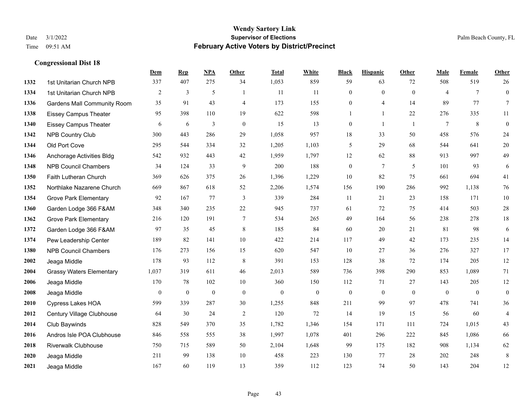|      |                                    | Dem          | <b>Rep</b>     | NPA          | <b>Other</b>   | <b>Total</b> | <b>White</b>   | <b>Black</b>     | <b>Hispanic</b> | <b>Other</b>   | <b>Male</b>    | <b>Female</b>   | <b>Other</b>     |
|------|------------------------------------|--------------|----------------|--------------|----------------|--------------|----------------|------------------|-----------------|----------------|----------------|-----------------|------------------|
| 1332 | 1st Unitarian Church NPB           | 337          | 407            | 275          | 34             | 1,053        | 859            | 59               | 63              | 72             | 508            | 519             | 26               |
| 1334 | 1st Unitarian Church NPB           | 2            | 3              | 5            | $\mathbf{1}$   | 11           | 11             | $\mathbf{0}$     | $\mathbf{0}$    | $\theta$       | $\overline{4}$ | $7\phantom{.0}$ | $\boldsymbol{0}$ |
| 1336 | <b>Gardens Mall Community Room</b> | 35           | 91             | 43           | $\overline{4}$ | 173          | 155            | $\boldsymbol{0}$ | 4               | 14             | 89             | 77              | $\boldsymbol{7}$ |
| 1338 | <b>Eissey Campus Theater</b>       | 95           | 398            | 110          | 19             | 622          | 598            | $\mathbf{1}$     | $\mathbf{1}$    | 22             | 276            | 335             | 11               |
| 1340 | <b>Eissey Campus Theater</b>       | 6            | 6              | 3            | $\mathbf{0}$   | 15           | 13             | $\mathbf{0}$     | $\mathbf{1}$    | $\overline{1}$ | $\tau$         | 8               | $\boldsymbol{0}$ |
| 1342 | <b>NPB Country Club</b>            | 300          | 443            | 286          | 29             | 1,058        | 957            | $18\,$           | 33              | 50             | 458            | 576             | 24               |
| 1344 | Old Port Cove                      | 295          | 544            | 334          | 32             | 1,205        | 1,103          | 5                | 29              | 68             | 544            | 641             | $20\,$           |
| 1346 | Anchorage Activities Bldg          | 542          | 932            | 443          | 42             | 1,959        | 1,797          | 12               | 62              | 88             | 913            | 997             | 49               |
| 1348 | <b>NPB Council Chambers</b>        | 34           | 124            | 33           | 9              | 200          | 188            | $\boldsymbol{0}$ | $\tau$          | 5              | 101            | 93              | 6                |
| 1350 | Faith Lutheran Church              | 369          | 626            | 375          | 26             | 1,396        | 1,229          | 10               | 82              | 75             | 661            | 694             | 41               |
| 1352 | Northlake Nazarene Church          | 669          | 867            | 618          | 52             | 2,206        | 1,574          | 156              | 190             | 286            | 992            | 1,138           | 76               |
| 1354 | <b>Grove Park Elementary</b>       | 92           | 167            | 77           | 3              | 339          | 284            | 11               | 21              | 23             | 158            | 171             | $10\,$           |
| 1360 | Garden Lodge 366 F&AM              | 348          | 340            | 235          | $22\,$         | 945          | 737            | 61               | 72              | 75             | 414            | 503             | $28\,$           |
| 1362 | <b>Grove Park Elementary</b>       | 216          | 120            | 191          | $\overline{7}$ | 534          | 265            | 49               | 164             | 56             | 238            | 278             | $18\,$           |
| 1372 | Garden Lodge 366 F&AM              | 97           | 35             | 45           | $\,8\,$        | 185          | 84             | 60               | 20              | 21             | 81             | 98              | $\sqrt{6}$       |
| 1374 | Pew Leadership Center              | 189          | 82             | 141          | 10             | 422          | 214            | 117              | 49              | 42             | 173            | 235             | 14               |
| 1380 | <b>NPB Council Chambers</b>        | 176          | 273            | 156          | 15             | 620          | 547            | 10               | 27              | 36             | 276            | 327             | 17               |
| 2002 | Jeaga Middle                       | 178          | 93             | 112          | 8              | 391          | 153            | 128              | 38              | 72             | 174            | 205             | 12               |
| 2004 | <b>Grassy Waters Elementary</b>    | 1,037        | 319            | 611          | $46\,$         | 2,013        | 589            | 736              | 398             | 290            | 853            | 1,089           | 71               |
| 2006 | Jeaga Middle                       | 170          | 78             | 102          | 10             | 360          | 150            | 112              | 71              | 27             | 143            | 205             | 12               |
| 2008 | Jeaga Middle                       | $\mathbf{0}$ | $\overline{0}$ | $\mathbf{0}$ | $\mathbf{0}$   | $\mathbf{0}$ | $\overline{0}$ | $\mathbf{0}$     | $\mathbf{0}$    | $\theta$       | $\theta$       | $\mathbf{0}$    | $\boldsymbol{0}$ |
| 2010 | Cypress Lakes HOA                  | 599          | 339            | 287          | 30             | 1,255        | 848            | 211              | 99              | 97             | 478            | 741             | 36               |
| 2012 | Century Village Clubhouse          | 64           | 30             | 24           | 2              | 120          | 72             | 14               | 19              | 15             | 56             | 60              | $\overline{4}$   |
| 2014 | Club Baywinds                      | 828          | 549            | 370          | 35             | 1,782        | 1,346          | 154              | 171             | 111            | 724            | 1,015           | 43               |
| 2016 | Andros Isle POA Clubhouse          | 846          | 558            | 555          | 38             | 1,997        | 1,078          | 401              | 296             | 222            | 845            | 1,086           | 66               |
| 2018 | <b>Riverwalk Clubhouse</b>         | 750          | 715            | 589          | 50             | 2,104        | 1,648          | 99               | 175             | 182            | 908            | 1,134           | 62               |
| 2020 | Jeaga Middle                       | 211          | 99             | 138          | 10             | 458          | 223            | 130              | 77              | 28             | 202            | 248             | $\,8\,$          |
| 2021 | Jeaga Middle                       | 167          | 60             | 119          | 13             | 359          | 112            | 123              | 74              | 50             | 143            | 204             | 12               |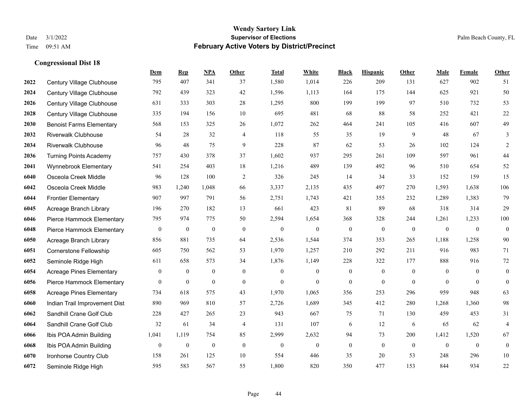|      |                                 | <b>Dem</b>       | <b>Rep</b>       | NPA              | <b>Other</b>     | <b>Total</b>     | <b>White</b>     | <b>Black</b>     | <b>Hispanic</b> | <b>Other</b> | <b>Male</b>    | Female       | <b>Other</b>     |
|------|---------------------------------|------------------|------------------|------------------|------------------|------------------|------------------|------------------|-----------------|--------------|----------------|--------------|------------------|
| 2022 | Century Village Clubhouse       | 795              | 407              | 341              | 37               | 1,580            | 1,014            | 226              | 209             | 131          | 627            | 902          | 51               |
| 2024 | Century Village Clubhouse       | 792              | 439              | 323              | 42               | 1,596            | 1,113            | 164              | 175             | 144          | 625            | 921          | 50               |
| 2026 | Century Village Clubhouse       | 631              | 333              | 303              | 28               | 1,295            | 800              | 199              | 199             | 97           | 510            | 732          | 53               |
| 2028 | Century Village Clubhouse       | 335              | 194              | 156              | 10               | 695              | 481              | 68               | 88              | 58           | 252            | 421          | 22               |
| 2030 | <b>Benoist Farms Elementary</b> | 568              | 153              | 325              | 26               | 1,072            | 262              | 464              | 241             | 105          | 416            | 607          | 49               |
| 2032 | <b>Riverwalk Clubhouse</b>      | 54               | 28               | 32               | 4                | 118              | 55               | 35               | 19              | 9            | 48             | 67           | 3                |
| 2034 | <b>Riverwalk Clubhouse</b>      | 96               | 48               | 75               | 9                | 228              | 87               | 62               | 53              | 26           | 102            | 124          | $\mathfrak{2}$   |
| 2036 | <b>Turning Points Academy</b>   | 757              | 430              | 378              | 37               | 1,602            | 937              | 295              | 261             | 109          | 597            | 961          | 44               |
| 2041 | Wynnebrook Elementary           | 541              | 254              | 403              | 18               | 1,216            | 489              | 139              | 492             | 96           | 510            | 654          | 52               |
| 6040 | Osceola Creek Middle            | 96               | 128              | 100              | 2                | 326              | 245              | 14               | 34              | 33           | 152            | 159          | 15               |
| 6042 | Osceola Creek Middle            | 983              | 1,240            | 1,048            | 66               | 3,337            | 2,135            | 435              | 497             | 270          | 1,593          | 1,638        | 106              |
| 6044 | <b>Frontier Elementary</b>      | 907              | 997              | 791              | 56               | 2,751            | 1,743            | 421              | 355             | 232          | 1,289          | 1,383        | 79               |
| 6045 | Acreage Branch Library          | 196              | 270              | 182              | 13               | 661              | 423              | 81               | 89              | 68           | 318            | 314          | 29               |
| 6046 | Pierce Hammock Elementary       | 795              | 974              | 775              | 50               | 2,594            | 1,654            | 368              | 328             | 244          | 1,261          | 1,233        | 100              |
| 6048 | Pierce Hammock Elementary       | $\boldsymbol{0}$ | $\boldsymbol{0}$ | $\boldsymbol{0}$ | $\boldsymbol{0}$ | $\boldsymbol{0}$ | $\boldsymbol{0}$ | $\boldsymbol{0}$ | $\mathbf{0}$    | $\mathbf{0}$ | $\mathbf{0}$   | $\mathbf{0}$ | $\boldsymbol{0}$ |
| 6050 | Acreage Branch Library          | 856              | 881              | 735              | 64               | 2,536            | 1,544            | 374              | 353             | 265          | 1,188          | 1,258        | 90               |
| 6051 | Cornerstone Fellowship          | 605              | 750              | 562              | 53               | 1,970            | 1,257            | 210              | 292             | 211          | 916            | 983          | 71               |
| 6052 | Seminole Ridge High             | 611              | 658              | 573              | 34               | 1,876            | 1,149            | 228              | 322             | 177          | 888            | 916          | 72               |
| 6054 | <b>Acreage Pines Elementary</b> | 0                | $\mathbf{0}$     | $\boldsymbol{0}$ | $\overline{0}$   | $\theta$         | $\boldsymbol{0}$ | $\boldsymbol{0}$ | $\mathbf{0}$    | $\mathbf{0}$ | $\overline{0}$ | $\theta$     | $\mathbf{0}$     |
| 6056 | Pierce Hammock Elementary       | $\boldsymbol{0}$ | $\boldsymbol{0}$ | $\mathbf{0}$     | $\boldsymbol{0}$ | $\mathbf{0}$     | $\overline{0}$   | $\boldsymbol{0}$ | $\mathbf{0}$    | $\mathbf{0}$ | $\mathbf{0}$   | $\mathbf{0}$ | $\boldsymbol{0}$ |
| 6058 | <b>Acreage Pines Elementary</b> | 734              | 618              | 575              | 43               | 1,970            | 1,065            | 356              | 253             | 296          | 959            | 948          | 63               |
| 6060 | Indian Trail Improvement Dist   | 890              | 969              | 810              | 57               | 2,726            | 1,689            | 345              | 412             | 280          | 1,268          | 1,360        | 98               |
| 6062 | Sandhill Crane Golf Club        | 228              | 427              | 265              | 23               | 943              | 667              | 75               | 71              | 130          | 459            | 453          | 31               |
| 6064 | Sandhill Crane Golf Club        | 32               | 61               | 34               | $\overline{4}$   | 131              | 107              | 6                | 12              | 6            | 65             | 62           | $\overline{4}$   |
| 6066 | Ibis POA Admin Building         | 1,041            | 1,119            | 754              | 85               | 2,999            | 2,632            | 94               | 73              | 200          | 1,412          | 1,520        | 67               |
| 6068 | Ibis POA Admin Building         | $\boldsymbol{0}$ | $\boldsymbol{0}$ | $\boldsymbol{0}$ | $\mathbf{0}$     | $\theta$         | $\boldsymbol{0}$ | $\mathbf{0}$     | $\mathbf{0}$    | $\mathbf{0}$ | $\mathbf{0}$   | $\mathbf{0}$ | $\mathbf{0}$     |
| 6070 | Ironhorse Country Club          | 158              | 261              | 125              | 10               | 554              | 446              | 35               | 20              | 53           | 248            | 296          | $10\,$           |
| 6072 | Seminole Ridge High             | 595              | 583              | 567              | 55               | 1,800            | 820              | 350              | 477             | 153          | 844            | 934          | 22               |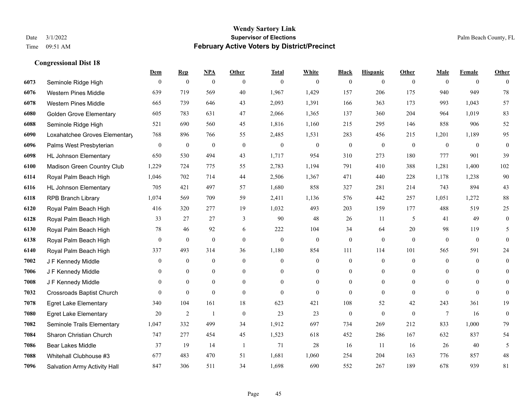|      |                                  | Dem              | <b>Rep</b>       | NPA              | <b>Other</b>     | <b>Total</b>     | <b>White</b>     | <b>Black</b>     | <b>Hispanic</b>  | <b>Other</b> | <b>Male</b>    | <b>Female</b>  | <b>Other</b>     |
|------|----------------------------------|------------------|------------------|------------------|------------------|------------------|------------------|------------------|------------------|--------------|----------------|----------------|------------------|
| 6073 | Seminole Ridge High              | $\mathbf{0}$     | $\bf{0}$         | $\boldsymbol{0}$ | $\theta$         | $\mathbf{0}$     | $\overline{0}$   | $\mathbf{0}$     | $\mathbf{0}$     | $\theta$     | $\mathbf{0}$   | $\overline{0}$ | $\theta$         |
| 6076 | <b>Western Pines Middle</b>      | 639              | 719              | 569              | 40               | 1,967            | 1,429            | 157              | 206              | 175          | 940            | 949            | 78               |
| 6078 | <b>Western Pines Middle</b>      | 665              | 739              | 646              | 43               | 2,093            | 1,391            | 166              | 363              | 173          | 993            | 1.043          | 57               |
| 6080 | <b>Golden Grove Elementary</b>   | 605              | 783              | 631              | 47               | 2,066            | 1,365            | 137              | 360              | 204          | 964            | 1,019          | 83               |
| 6088 | Seminole Ridge High              | 521              | 690              | 560              | 45               | 1,816            | 1,160            | 215              | 295              | 146          | 858            | 906            | 52               |
| 6090 | Loxahatchee Groves Elementary    | 768              | 896              | 766              | 55               | 2,485            | 1,531            | 283              | 456              | 215          | 1,201          | 1,189          | 95               |
| 6096 | Palms West Presbyterian          | $\boldsymbol{0}$ | $\boldsymbol{0}$ | $\boldsymbol{0}$ | $\boldsymbol{0}$ | $\boldsymbol{0}$ | $\boldsymbol{0}$ | $\boldsymbol{0}$ | $\boldsymbol{0}$ | $\mathbf{0}$ | $\mathbf{0}$   | $\mathbf{0}$   | $\boldsymbol{0}$ |
| 6098 | <b>HL Johnson Elementary</b>     | 650              | 530              | 494              | 43               | 1,717            | 954              | 310              | 273              | 180          | 777            | 901            | 39               |
| 6100 | Madison Green Country Club       | 1,229            | 724              | 775              | 55               | 2,783            | 1,194            | 791              | 410              | 388          | 1,281          | 1,400          | 102              |
| 6114 | Royal Palm Beach High            | 1,046            | 702              | 714              | 44               | 2,506            | 1,367            | 471              | 440              | 228          | 1,178          | 1,238          | 90               |
| 6116 | <b>HL Johnson Elementary</b>     | 705              | 421              | 497              | 57               | 1,680            | 858              | 327              | 281              | 214          | 743            | 894            | 43               |
| 6118 | <b>RPB Branch Library</b>        | 1,074            | 569              | 709              | 59               | 2,411            | 1,136            | 576              | 442              | 257          | 1,051          | 1,272          | $88\,$           |
| 6120 | Royal Palm Beach High            | 416              | 320              | 277              | 19               | 1,032            | 493              | 203              | 159              | 177          | 488            | 519            | 25               |
| 6128 | Royal Palm Beach High            | 33               | 27               | 27               | 3                | 90               | 48               | 26               | 11               | 5            | 41             | 49             | $\boldsymbol{0}$ |
| 6130 | Royal Palm Beach High            | 78               | 46               | 92               | 6                | 222              | 104              | 34               | 64               | 20           | 98             | 119            | 5                |
| 6138 | Royal Palm Beach High            | $\overline{0}$   | $\mathbf{0}$     | $\mathbf{0}$     | $\Omega$         | $\mathbf{0}$     | $\overline{0}$   | $\boldsymbol{0}$ | $\mathbf{0}$     | $\theta$     | $\theta$       | $\mathbf{0}$   | $\mathbf{0}$     |
| 6140 | Royal Palm Beach High            | 337              | 493              | 314              | 36               | 1,180            | 854              | 111              | 114              | 101          | 565            | 591            | 24               |
| 7002 | J F Kennedy Middle               | $\overline{0}$   | $\mathbf{0}$     | $\overline{0}$   | $\overline{0}$   | $\theta$         | $\boldsymbol{0}$ | $\boldsymbol{0}$ | $\overline{0}$   | $\theta$     | $\overline{0}$ | $\overline{0}$ | $\boldsymbol{0}$ |
| 7006 | J F Kennedy Middle               | $\mathbf{0}$     | $\mathbf{0}$     | $\overline{0}$   | $\overline{0}$   | $\theta$         | $\boldsymbol{0}$ | $\boldsymbol{0}$ | $\mathbf{0}$     | $\theta$     | $\overline{0}$ | $\theta$       | $\mathbf{0}$     |
| 7008 | J F Kennedy Middle               | $\theta$         | $\theta$         | $\overline{0}$   | $\overline{0}$   | $\theta$         | $\overline{0}$   | $\mathbf{0}$     | $\mathbf{0}$     | $\theta$     | $\theta$       | $\theta$       | $\theta$         |
| 7032 | <b>Crossroads Baptist Church</b> | $\Omega$         | $\mathbf{0}$     | $\boldsymbol{0}$ | $\Omega$         | $\Omega$         | $\Omega$         | $\theta$         | $\theta$         | $\Omega$     | $\Omega$       | $\Omega$       | $\theta$         |
| 7078 | <b>Egret Lake Elementary</b>     | 340              | 104              | 161              | 18               | 623              | 421              | 108              | 52               | 42           | 243            | 361            | 19               |
| 7080 | <b>Egret Lake Elementary</b>     | 20               | 2                | $\overline{1}$   | $\mathbf{0}$     | 23               | 23               | $\mathbf{0}$     | $\mathbf{0}$     | $\theta$     | $\tau$         | 16             | $\boldsymbol{0}$ |
| 7082 | Seminole Trails Elementary       | 1,047            | 332              | 499              | 34               | 1,912            | 697              | 734              | 269              | 212          | 833            | 1,000          | 79               |
| 7084 | Sharon Christian Church          | 747              | 277              | 454              | 45               | 1,523            | 618              | 452              | 286              | 167          | 632            | 837            | 54               |
| 7086 | Bear Lakes Middle                | 37               | 19               | 14               | -1               | 71               | 28               | 16               | 11               | 16           | 26             | 40             | 5                |
| 7088 | Whitehall Clubhouse #3           | 677              | 483              | 470              | 51               | 1,681            | 1,060            | 254              | 204              | 163          | 776            | 857            | $48\,$           |
| 7096 | Salvation Army Activity Hall     | 847              | 306              | 511              | 34               | 1,698            | 690              | 552              | 267              | 189          | 678            | 939            | 81               |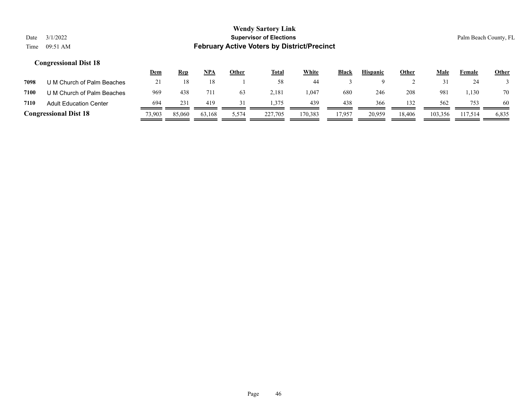|      |                               | <u>Dem</u> | <b>Rep</b> | <u>NPA</u> | <u>Other</u> | <b>Total</b> | White   | <b>Black</b> | <b>Hispanic</b> | <b>Other</b> | Male    | Female  | <b>Other</b> |
|------|-------------------------------|------------|------------|------------|--------------|--------------|---------|--------------|-----------------|--------------|---------|---------|--------------|
| 7098 | U M Church of Palm Beaches    | 21         |            |            |              | 58           | 44      |              |                 |              |         | 24      |              |
| 7100 | U M Church of Palm Beaches    | 969        | 438        | 711        | 63           | 2,181        | 1,047   | 680          | 246             | 208          | 981     | ,130    | 70           |
| 7110 | <b>Adult Education Center</b> | 694        | 231        | 419        | 31           | 1,375        | 439     | 438          | 366             | 132          | 562     | 753     | -60          |
|      | <b>Congressional Dist 18</b>  | 73,903     | 85,060     | 63.168     | 5,574        | 227,705      | 170,383 | 7,957        | 20.959          | 18.406       | 103,356 | 117,514 | 6,835        |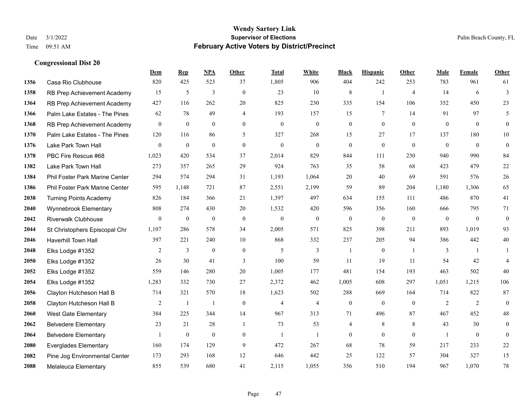|      |                                | Dem            | <b>Rep</b>       | NPA              | <b>Other</b>     | <b>Total</b>   | <b>White</b>   | <b>Black</b>     | <b>Hispanic</b>  | Other          | <b>Male</b>    | <b>Female</b>  | <b>Other</b>     |
|------|--------------------------------|----------------|------------------|------------------|------------------|----------------|----------------|------------------|------------------|----------------|----------------|----------------|------------------|
| 1356 | Casa Rio Clubhouse             | 820            | 425              | 523              | 37               | 1,805          | 906            | 404              | 242              | 253            | 783            | 961            | 61               |
| 1358 | RB Prep Achievement Academy    | 15             | 5                | 3                | $\theta$         | 23             | 10             | $\,8\,$          | $\mathbf{1}$     | $\overline{4}$ | 14             | 6              | 3                |
| 1364 | RB Prep Achievement Academy    | 427            | 116              | 262              | 20               | 825            | 230            | 335              | 154              | 106            | 352            | 450            | 23               |
| 1366 | Palm Lake Estates - The Pines  | 62             | 78               | 49               | $\overline{4}$   | 193            | 157            | 15               | $\tau$           | 14             | 91             | 97             | 5                |
| 1368 | RB Prep Achievement Academy    | $\mathbf{0}$   | $\mathbf{0}$     | $\theta$         | $\Omega$         | $\mathbf{0}$   | $\overline{0}$ | $\mathbf{0}$     | $\theta$         | $\theta$       | $\overline{0}$ | $\theta$       | $\overline{0}$   |
| 1370 | Palm Lake Estates - The Pines  | 120            | 116              | 86               | 5                | 327            | 268            | 15               | 27               | 17             | 137            | 180            | $10\,$           |
| 1376 | Lake Park Town Hall            | $\overline{0}$ | $\mathbf{0}$     | $\mathbf{0}$     | $\mathbf{0}$     | $\mathbf{0}$   | $\overline{0}$ | $\boldsymbol{0}$ | $\mathbf{0}$     | $\theta$       | $\mathbf{0}$   | $\mathbf{0}$   | $\boldsymbol{0}$ |
| 1378 | PBC Fire Rescue #68            | 1,023          | 420              | 534              | 37               | 2,014          | 829            | 844              | 111              | 230            | 940            | 990            | 84               |
| 1382 | Lake Park Town Hall            | 273            | 357              | 265              | 29               | 924            | 763            | 35               | 58               | 68             | 423            | 479            | 22               |
| 1384 | Phil Foster Park Marine Center | 294            | 574              | 294              | 31               | 1,193          | 1,064          | 20               | 40               | 69             | 591            | 576            | $26\,$           |
| 1386 | Phil Foster Park Marine Center | 595            | 1,148            | 721              | 87               | 2,551          | 2,199          | 59               | 89               | 204            | 1,180          | 1,306          | 65               |
| 2038 | <b>Turning Points Academy</b>  | 826            | 184              | 366              | 21               | 1,397          | 497            | 634              | 155              | 111            | 486            | 870            | 41               |
| 2040 | Wynnebrook Elementary          | 808            | 274              | 430              | 20               | 1,532          | 420            | 596              | 356              | 160            | 666            | 795            | 71               |
| 2042 | <b>Riverwalk Clubhouse</b>     | $\overline{0}$ | $\boldsymbol{0}$ | $\boldsymbol{0}$ | $\mathbf{0}$     | $\mathbf{0}$   | $\mathbf{0}$   | $\boldsymbol{0}$ | $\mathbf{0}$     | $\mathbf{0}$   | $\overline{0}$ | $\mathbf{0}$   | $\mathbf{0}$     |
| 2044 | St Christophers Episcopal Chr  | 1,107          | 286              | 578              | 34               | 2,005          | 571            | 825              | 398              | 211            | 893            | 1,019          | 93               |
| 2046 | Haverhill Town Hall            | 397            | 221              | 240              | 10               | 868            | 332            | 237              | 205              | 94             | 386            | 442            | 40               |
| 2048 | Elks Lodge #1352               | 2              | 3                | $\mathbf{0}$     | $\overline{0}$   | 5              | 3              | $\overline{1}$   | $\mathbf{0}$     | -1             | 3              | -1             |                  |
| 2050 | Elks Lodge #1352               | 26             | 30               | 41               | 3                | 100            | 59             | 11               | 19               | 11             | 54             | 42             | $\overline{4}$   |
| 2052 | Elks Lodge #1352               | 559            | 146              | 280              | 20               | 1,005          | 177            | 481              | 154              | 193            | 463            | 502            | 40               |
| 2054 | Elks Lodge #1352               | 1,283          | 332              | 730              | 27               | 2,372          | 462            | 1,005            | 608              | 297            | 1,051          | 1,215          | 106              |
| 2056 | Clayton Hutcheson Hall B       | 714            | 321              | 570              | 18               | 1,623          | 502            | 288              | 669              | 164            | 714            | 822            | 87               |
| 2058 | Clayton Hutcheson Hall B       | $\overline{c}$ | $\mathbf{1}$     | $\mathbf{1}$     | $\boldsymbol{0}$ | $\overline{4}$ | $\overline{4}$ | $\boldsymbol{0}$ | $\boldsymbol{0}$ | $\mathbf{0}$   | $\overline{2}$ | $\overline{2}$ | $\mathbf{0}$     |
| 2060 | West Gate Elementary           | 384            | 225              | 344              | 14               | 967            | 313            | 71               | 496              | 87             | 467            | 452            | 48               |
| 2062 | <b>Belvedere Elementary</b>    | 23             | 21               | 28               | $\overline{1}$   | 73             | 53             | 4                | 8                | 8              | 43             | 30             | $\overline{0}$   |
| 2064 | <b>Belvedere Elementary</b>    |                | $\mathbf{0}$     | $\theta$         | $\Omega$         | $\overline{1}$ | $\mathbf{1}$   | $\mathbf{0}$     | $\theta$         | $\theta$       | $\mathbf{1}$   | $\theta$       | $\theta$         |
| 2080 | <b>Everglades Elementary</b>   | 160            | 174              | 129              | 9                | 472            | 267            | 68               | 78               | 59             | 217            | 233            | $22\,$           |
| 2082 | Pine Jog Environmental Center  | 173            | 293              | 168              | 12               | 646            | 442            | 25               | 122              | 57             | 304            | 327            | 15               |
| 2088 | Melaleuca Elementary           | 855            | 539              | 680              | 41               | 2,115          | 1,055          | 356              | 510              | 194            | 967            | 1,070          | 78               |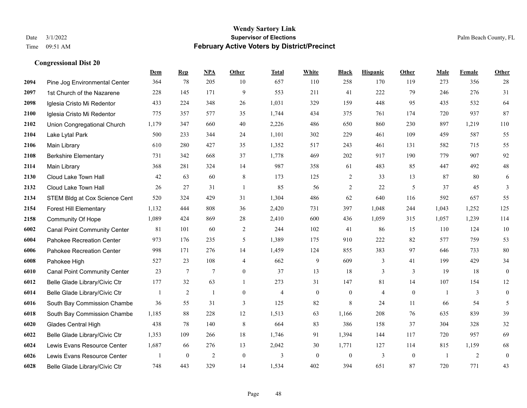**Congressional Dist 20**

#### **Wendy Sartory Link** Date 3/1/2022 **Supervisor of Elections** Palm Beach County, FL Time 09:51 AM **February Active Voters by District/Precinct**

## **Dem Rep NPA Other Total White Black Hispanic Other Male Female Other** Pine Jog Environmental Center 364 78 205 10 657 110 258 170 119 273 356 28 1st Church of the Nazarene 228 145 171 9 553 211 41 222 79 246 276 31 Iglesia Cristo Mi Redentor 433 224 348 26 1,031 329 159 448 95 435 532 64 Iglesia Cristo Mi Redentor 775 357 577 35 1,744 434 375 761 174 720 937 87 Union Congregational Church 1,179 347 660 40 2,226 486 650 860 230 897 1,219 110 Lake Lytal Park 500 233 344 24 1,101 302 229 461 109 459 587 55 Main Library 610 280 427 35 1,352 517 243 461 131 582 715 55 Berkshire Elementary 731 342 668 37 1,778 469 202 917 190 779 907 92 Main Library 368 281 324 14 987 358 61 483 85 447 492 48 Cloud Lake Town Hall 42 63 60 8 173 125 2 33 13 87 80 6 Cloud Lake Town Hall 26 27 31 1 85 56 2 22 5 37 45 3 2134 STEM Bldg at Cox Science Cent 520 324 429 31 1,304 486 62 640 116 592 657 55 Forest Hill Elementary 1,132 444 808 36 2,420 731 397 1,048 244 1,043 1,252 125 Community Of Hope 1,089 424 869 28 2,410 600 436 1,059 315 1,057 1,239 114 Canal Point Community Center 81 101 60 2 244 102 41 86 15 110 124 10 Pahokee Recreation Center 973 176 235 5 1,389 175 910 222 82 577 759 53 Pahokee Recreation Center 998 171 276 14 1,459 124 855 383 97 646 733 80 Pahokee High 527 23 108 4 662 9 609 3 41 199 429 34 Canal Point Community Center 23 7 7 0 37 13 18 3 3 3 19 18 0 Belle Glade Library/Civic Ctr 177 32 63 1 273 31 147 81 14 107 154 12 Belle Glade Library/Civic Ctr 1 2 1 0 4 0 0 4 0 1 3 0 South Bay Commission Chambe 36 55 31 3 125 82 8 24 11 66 54 5 South Bay Commission Chambe 1,185 88 228 12 1,513 63 1,166 208 76 635 839 39 Glades Central High 438 78 140 8 664 83 386 158 37 304 328 32 Belle Glade Library/Civic Ctr 1,353 109 266 18 1,746 91 1,394 144 117 720 957 69 Lewis Evans Resource Center 1,687 66 276 13 2,042 30 1,771 127 114 815 1,159 68 Lewis Evans Resource Center  $\begin{array}{ccccccccccccc} & 1 & 0 & 2 & 0 & 3 & 0 & 0 & 3 & 0 & 1 & 2 & 0 \end{array}$ Belle Glade Library/Civic Ctr 748 443 329 14 1,534 402 394 651 87 720 771 43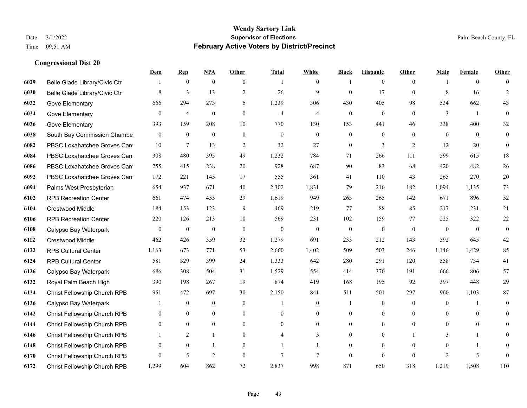|      |                                     | Dem              | <b>Rep</b>       | NPA              | <b>Other</b>     | <b>Total</b>   | <b>White</b>     | <b>Black</b>     | <b>Hispanic</b>  | <b>Other</b>   | <b>Male</b>    | <b>Female</b>  | <b>Other</b>     |
|------|-------------------------------------|------------------|------------------|------------------|------------------|----------------|------------------|------------------|------------------|----------------|----------------|----------------|------------------|
| 6029 | Belle Glade Library/Civic Ctr       |                  | $\bf{0}$         | $\mathbf{0}$     | $\overline{0}$   |                | $\overline{0}$   |                  | $\mathbf{0}$     | $\theta$       |                | $\overline{0}$ | $\Omega$         |
| 6030 | Belle Glade Library/Civic Ctr       | 8                | $\overline{3}$   | 13               | 2                | 26             | 9                | $\mathbf{0}$     | 17               | $\theta$       | 8              | 16             | $\overline{2}$   |
| 6032 | Gove Elementary                     | 666              | 294              | 273              | 6                | 1,239          | 306              | 430              | 405              | 98             | 534            | 662            | 43               |
| 6034 | Gove Elementary                     | $\boldsymbol{0}$ | $\overline{4}$   | $\boldsymbol{0}$ | $\boldsymbol{0}$ | $\overline{4}$ | $\overline{4}$   | $\boldsymbol{0}$ | $\boldsymbol{0}$ | $\mathbf{0}$   | $\mathfrak{Z}$ | -1             | $\boldsymbol{0}$ |
| 6036 | Gove Elementary                     | 393              | 159              | 208              | 10               | 770            | 130              | 153              | 441              | 46             | 338            | 400            | 32               |
| 6038 | South Bay Commission Chambe         | $\mathbf{0}$     | $\bf{0}$         | $\boldsymbol{0}$ | $\mathbf{0}$     | $\mathbf{0}$   | $\overline{0}$   | $\boldsymbol{0}$ | $\mathbf{0}$     | $\theta$       | $\mathbf{0}$   | $\theta$       | $\boldsymbol{0}$ |
| 6082 | PBSC Loxahatchee Groves Can         | 10               | $\tau$           | 13               | 2                | 32             | 27               | $\boldsymbol{0}$ | 3                | 2              | 12             | 20             | $\mathbf{0}$     |
| 6084 | PBSC Loxahatchee Groves Can         | 308              | 480              | 395              | 49               | 1,232          | 784              | 71               | 266              | 111            | 599            | 615            | 18               |
| 6086 | PBSC Loxahatchee Groves Can         | 255              | 415              | 238              | 20               | 928            | 687              | 90               | 83               | 68             | 420            | 482            | $26\,$           |
| 6092 | PBSC Loxahatchee Groves Can         | 172              | 221              | 145              | 17               | 555            | 361              | 41               | 110              | 43             | 265            | 270            | $20\,$           |
| 6094 | Palms West Presbyterian             | 654              | 937              | 671              | 40               | 2,302          | 1,831            | 79               | 210              | 182            | 1,094          | 1,135          | 73               |
| 6102 | <b>RPB Recreation Center</b>        | 661              | 474              | 455              | 29               | 1,619          | 949              | 263              | 265              | 142            | 671            | 896            | 52               |
| 6104 | Crestwood Middle                    | 184              | 153              | 123              | 9                | 469            | 219              | 77               | 88               | 85             | 217            | 231            | 21               |
| 6106 | <b>RPB Recreation Center</b>        | 220              | 126              | 213              | 10               | 569            | 231              | 102              | 159              | 77             | 225            | 322            | $22\,$           |
| 6108 | Calypso Bay Waterpark               | $\mathbf{0}$     | $\mathbf{0}$     | $\overline{0}$   | $\Omega$         | $\mathbf{0}$   | $\mathbf{0}$     | $\mathbf{0}$     | $\mathbf{0}$     | $\theta$       | $\theta$       | $\theta$       | $\mathbf{0}$     |
| 6112 | Crestwood Middle                    | 462              | 426              | 359              | 32               | 1,279          | 691              | 233              | 212              | 143            | 592            | 645            | $42\,$           |
| 6122 | <b>RPB Cultural Center</b>          | 1,163            | 673              | 771              | 53               | 2,660          | 1,402            | 509              | 503              | 246            | 1,146          | 1,429          | 85               |
| 6124 | <b>RPB Cultural Center</b>          | 581              | 329              | 399              | 24               | 1,333          | 642              | 280              | 291              | 120            | 558            | 734            | 41               |
| 6126 | Calypso Bay Waterpark               | 686              | 308              | 504              | 31               | 1,529          | 554              | 414              | 370              | 191            | 666            | 806            | 57               |
| 6132 | Royal Palm Beach High               | 390              | 198              | 267              | 19               | 874            | 419              | 168              | 195              | 92             | 397            | 448            | $29\,$           |
| 6134 | Christ Fellowship Church RPB        | 951              | 472              | 697              | 30               | 2,150          | 841              | 511              | 501              | 297            | 960            | 1,103          | 87               |
| 6136 | Calypso Bay Waterpark               |                  | $\boldsymbol{0}$ | $\boldsymbol{0}$ | $\boldsymbol{0}$ |                | $\boldsymbol{0}$ |                  | $\boldsymbol{0}$ | $\overline{0}$ | $\mathbf{0}$   |                | $\mathbf{0}$     |
| 6142 | Christ Fellowship Church RPB        | $\overline{0}$   | $\mathbf{0}$     | $\overline{0}$   | $\overline{0}$   | $\theta$       | $\overline{0}$   | $\mathbf{0}$     | $\mathbf{0}$     | $\theta$       | $\theta$       | $\theta$       | $\overline{0}$   |
| 6144 | <b>Christ Fellowship Church RPB</b> | $\theta$         | $\theta$         | $\theta$         | $\Omega$         | $\theta$       | $\Omega$         | $\mathbf{0}$     | $\theta$         | $\theta$       | $\Omega$       | $\theta$       | $\Omega$         |
| 6146 | Christ Fellowship Church RPB        |                  | 2                | 1                | $\overline{0}$   |                | 3                | $\boldsymbol{0}$ | $\boldsymbol{0}$ |                | 3              | 1              | $\theta$         |
| 6148 | Christ Fellowship Church RPB        | $\mathbf{0}$     | $\mathbf{0}$     | 1                | $\overline{0}$   |                |                  | $\mathbf{0}$     | $\mathbf{0}$     | $\theta$       | $\theta$       |                | $\overline{0}$   |
| 6170 | Christ Fellowship Church RPB        | $\overline{0}$   | 5                | $\overline{2}$   | $\theta$         | $\overline{7}$ | 7                | $\mathbf{0}$     | $\theta$         | $\theta$       | $\overline{c}$ | 5              | $\mathbf{0}$     |
| 6172 | <b>Christ Fellowship Church RPB</b> | 1,299            | 604              | 862              | 72               | 2,837          | 998              | 871              | 650              | 318            | 1,219          | 1,508          | 110              |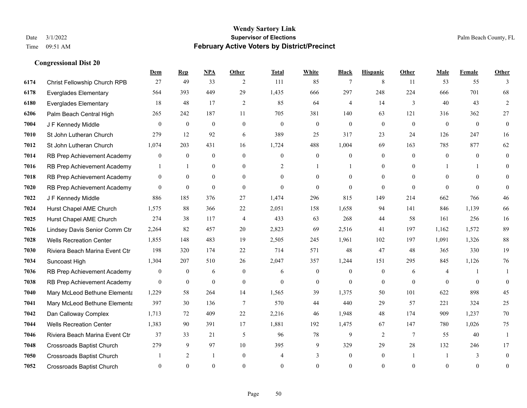|      |                                  | Dem            | <b>Rep</b>       | NPA          | Other            | Total        | White            | <b>Black</b>     | <b>Hispanic</b>  | Other          | <b>Male</b>    | <b>Female</b> | <b>Other</b>   |
|------|----------------------------------|----------------|------------------|--------------|------------------|--------------|------------------|------------------|------------------|----------------|----------------|---------------|----------------|
| 6174 | Christ Fellowship Church RPB     | 27             | 49               | 33           | 2                | 111          | 85               | 7                | 8                | 11             | 53             | 55            | 3              |
| 6178 | <b>Everglades Elementary</b>     | 564            | 393              | 449          | 29               | 1,435        | 666              | 297              | 248              | 224            | 666            | 701           | 68             |
| 6180 | <b>Everglades Elementary</b>     | 18             | 48               | 17           | 2                | 85           | 64               | 4                | 14               | 3              | 40             | 43            | 2              |
| 6206 | Palm Beach Central High          | 265            | 242              | 187          | 11               | 705          | 381              | 140              | 63               | 121            | 316            | 362           | 27             |
| 7004 | J F Kennedy Middle               | $\theta$       | $\theta$         | $\mathbf{0}$ | $\mathbf{0}$     | $\theta$     | $\mathbf{0}$     | $\theta$         | $\theta$         | $\Omega$       | $\theta$       | $\theta$      | $\mathbf{0}$   |
| 7010 | St John Lutheran Church          | 279            | 12               | 92           | 6                | 389          | 25               | 317              | 23               | 24             | 126            | 247           | 16             |
| 7012 | St John Lutheran Church          | 1,074          | 203              | 431          | 16               | 1,724        | 488              | 1,004            | 69               | 163            | 785            | 877           | 62             |
| 7014 | RB Prep Achievement Academy      | $\overline{0}$ | $\theta$         | $\theta$     | $\theta$         | $\Omega$     | $\theta$         | $\theta$         | $\theta$         | $\theta$       | $\Omega$       | $\Omega$      | $\theta$       |
| 7016 | RB Prep Achievement Academy      | 1              | -1               | $\mathbf{0}$ | $\boldsymbol{0}$ | 2            |                  |                  | $\mathbf{0}$     | $\theta$       |                |               | $\Omega$       |
| 7018 | RB Prep Achievement Academy      | $\overline{0}$ | $\overline{0}$   | $\mathbf{0}$ | $\overline{0}$   | $\theta$     | $\theta$         | $\Omega$         | $\Omega$         | $\theta$       | $\theta$       | $\Omega$      | $\Omega$       |
| 7020 | RB Prep Achievement Academy      | $\theta$       | $\theta$         | $\theta$     | $\theta$         | $\Omega$     | $\theta$         | $\theta$         | $\theta$         | $\Omega$       | $\Omega$       | $\Omega$      | $\Omega$       |
| 7022 | J F Kennedy Middle               | 886            | 185              | 376          | 27               | 1,474        | 296              | 815              | 149              | 214            | 662            | 766           | 46             |
| 7024 | Hurst Chapel AME Church          | 1,575          | 88               | 366          | 22               | 2,051        | 158              | 1,658            | 94               | 141            | 846            | 1,139         | 66             |
| 7025 | Hurst Chapel AME Church          | 274            | 38               | 117          | $\overline{4}$   | 433          | 63               | 268              | 44               | 58             | 161            | 256           | 16             |
| 7026 | Lindsey Davis Senior Comm Ctr    | 2,264          | 82               | 457          | 20               | 2,823        | 69               | 2,516            | 41               | 197            | 1,162          | 1,572         | 89             |
| 7028 | <b>Wells Recreation Center</b>   | 1,855          | 148              | 483          | 19               | 2,505        | 245              | 1,961            | 102              | 197            | 1,091          | 1,326         | $88\,$         |
| 7030 | Riviera Beach Marina Event Ctr   | 198            | 320              | 174          | 22               | 714          | 571              | 48               | 47               | 48             | 365            | 330           | 19             |
| 7034 | Suncoast High                    | 1,304          | 207              | 510          | 26               | 2,047        | 357              | 1,244            | 151              | 295            | 845            | 1,126         | 76             |
| 7036 | RB Prep Achievement Academy      | 0              | $\boldsymbol{0}$ | 6            | $\mathbf{0}$     | 6            | $\boldsymbol{0}$ | $\mathbf{0}$     | $\mathbf{0}$     | 6              | $\overline{4}$ |               |                |
| 7038 | RB Prep Achievement Academy      | $\overline{0}$ | $\overline{0}$   | $\mathbf{0}$ | $\boldsymbol{0}$ | $\mathbf{0}$ | $\boldsymbol{0}$ | $\mathbf{0}$     | $\mathbf{0}$     | $\theta$       | $\theta$       | $\mathbf{0}$  | $\mathbf{0}$   |
| 7040 | Mary McLeod Bethune Elementa     | 1,229          | 58               | 264          | 14               | 1,565        | 39               | 1,375            | 50               | 101            | 622            | 898           | 45             |
| 7041 | Mary McLeod Bethune Elementa     | 397            | 30               | 136          | $\tau$           | 570          | 44               | 440              | 29               | 57             | 221            | 324           | 25             |
| 7042 | Dan Calloway Complex             | 1,713          | 72               | 409          | $22\,$           | 2,216        | 46               | 1,948            | 48               | 174            | 909            | 1,237         | $70\,$         |
| 7044 | <b>Wells Recreation Center</b>   | 1,383          | 90               | 391          | 17               | 1,881        | 192              | 1,475            | 67               | 147            | 780            | 1,026         | 75             |
| 7046 | Riviera Beach Marina Event Ctr   | 37             | 33               | 21           | 5                | 96           | 78               | 9                | $\overline{2}$   | $\overline{7}$ | 55             | 40            | $\mathbf{1}$   |
| 7048 | Crossroads Baptist Church        | 279            | 9                | 97           | 10               | 395          | 9                | 329              | 29               | 28             | 132            | 246           | 17             |
| 7050 | <b>Crossroads Baptist Church</b> |                | $\overline{2}$   | -1           | $\mathbf{0}$     |              | 3                | $\boldsymbol{0}$ | $\boldsymbol{0}$ |                |                | 3             | $\overline{0}$ |
| 7052 | <b>Crossroads Baptist Church</b> | $\theta$       | $\Omega$         | $\theta$     | $\theta$         | $\Omega$     | $\Omega$         | $\theta$         | $\Omega$         | $\Omega$       | $\Omega$       | $\theta$      | $\overline{0}$ |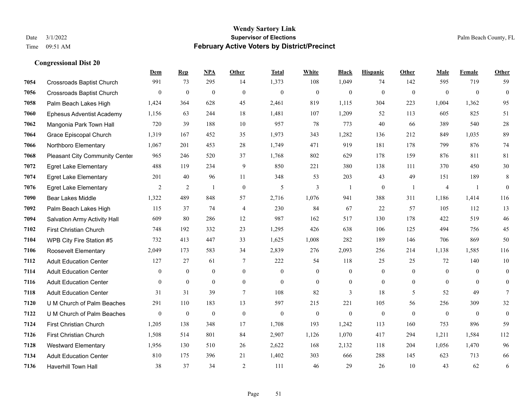|      |                                  | Dem          | <b>Rep</b>       | NPA            | <b>Other</b>   | <b>Total</b> | <b>White</b> | <b>Black</b>     | <b>Hispanic</b> | <b>Other</b>   | <b>Male</b>    | Female         | <b>Other</b>     |
|------|----------------------------------|--------------|------------------|----------------|----------------|--------------|--------------|------------------|-----------------|----------------|----------------|----------------|------------------|
| 7054 | <b>Crossroads Baptist Church</b> | 991          | 73               | 295            | 14             | 1,373        | 108          | 1,049            | 74              | 142            | 595            | 719            | 59               |
| 7056 | <b>Crossroads Baptist Church</b> | $\mathbf{0}$ | $\mathbf{0}$     | $\mathbf{0}$   | $\mathbf{0}$   | $\mathbf{0}$ | $\mathbf{0}$ | $\mathbf{0}$     | $\mathbf{0}$    | $\overline{0}$ | $\mathbf{0}$   | $\mathbf{0}$   | $\mathbf{0}$     |
| 7058 | Palm Beach Lakes High            | 1,424        | 364              | 628            | 45             | 2,461        | 819          | 1,115            | 304             | 223            | 1,004          | 1,362          | 95               |
| 7060 | <b>Ephesus Adventist Academy</b> | 1,156        | 63               | 244            | 18             | 1,481        | 107          | 1,209            | 52              | 113            | 605            | 825            | 51               |
| 7062 | Mangonia Park Town Hall          | 720          | 39               | 188            | 10             | 957          | 78           | 773              | 40              | 66             | 389            | 540            | 28               |
| 7064 | Grace Episcopal Church           | 1,319        | 167              | 452            | 35             | 1,973        | 343          | 1,282            | 136             | 212            | 849            | 1,035          | 89               |
| 7066 | Northboro Elementary             | 1,067        | 201              | 453            | 28             | 1,749        | 471          | 919              | 181             | 178            | 799            | 876            | 74               |
| 7068 | Pleasant City Community Center   | 965          | 246              | 520            | 37             | 1,768        | 802          | 629              | 178             | 159            | 876            | 811            | 81               |
| 7072 | <b>Egret Lake Elementary</b>     | 488          | 119              | 234            | 9              | 850          | 221          | 380              | 138             | 111            | 370            | 450            | 30               |
| 7074 | <b>Egret Lake Elementary</b>     | 201          | 40               | 96             | 11             | 348          | 53           | 203              | 43              | 49             | 151            | 189            | $\,$ 8 $\,$      |
| 7076 | <b>Egret Lake Elementary</b>     | 2            | 2                | $\mathbf{1}$   | $\mathbf{0}$   | 5            | 3            | $\mathbf{1}$     | $\mathbf{0}$    | $\overline{1}$ | $\overline{4}$ | -1             | $\overline{0}$   |
| 7090 | <b>Bear Lakes Middle</b>         | 1,322        | 489              | 848            | 57             | 2,716        | 1,076        | 941              | 388             | 311            | 1,186          | 1,414          | 116              |
| 7092 | Palm Beach Lakes High            | 115          | 37               | 74             | $\overline{4}$ | 230          | 84           | 67               | 22              | 57             | 105            | 112            | 13               |
| 7094 | Salvation Army Activity Hall     | 609          | 80               | 286            | 12             | 987          | 162          | 517              | 130             | 178            | 422            | 519            | 46               |
| 7102 | <b>First Christian Church</b>    | 748          | 192              | 332            | 23             | 1,295        | 426          | 638              | 106             | 125            | 494            | 756            | 45               |
| 7104 | WPB City Fire Station #5         | 732          | 413              | 447            | 33             | 1,625        | 1,008        | 282              | 189             | 146            | 706            | 869            | 50               |
| 7106 | Roosevelt Elementary             | 2,049        | 173              | 583            | 34             | 2,839        | 276          | 2,093            | 256             | 214            | 1,138          | 1,585          | 116              |
| 7112 | <b>Adult Education Center</b>    | 127          | 27               | 61             | 7              | 222          | 54           | 118              | 25              | 25             | 72             | 140            | $10\,$           |
| 7114 | <b>Adult Education Center</b>    | $\mathbf{0}$ | $\mathbf{0}$     | $\overline{0}$ | $\overline{0}$ | $\mathbf{0}$ | $\mathbf{0}$ | $\boldsymbol{0}$ | $\mathbf{0}$    | $\overline{0}$ | $\overline{0}$ | $\overline{0}$ | $\mathbf{0}$     |
| 7116 | <b>Adult Education Center</b>    | $\theta$     | $\theta$         | $\theta$       | $\overline{0}$ | $\theta$     | $\mathbf{0}$ | $\mathbf{0}$     | $\theta$        | $\overline{0}$ | $\theta$       | $\theta$       | $\overline{0}$   |
| 7118 | <b>Adult Education Center</b>    | 31           | 31               | 39             | $\tau$         | 108          | 82           | 3                | 18              | 5              | 52             | 49             | $\tau$           |
| 7120 | U M Church of Palm Beaches       | 291          | 110              | 183            | 13             | 597          | 215          | 221              | 105             | 56             | 256            | 309            | 32               |
| 7122 | U M Church of Palm Beaches       | $\mathbf{0}$ | $\boldsymbol{0}$ | $\overline{0}$ | $\mathbf{0}$   | $\theta$     | $\mathbf{0}$ | $\mathbf{0}$     | $\mathbf{0}$    | $\theta$       | $\mathbf{0}$   | $\theta$       | $\boldsymbol{0}$ |
| 7124 | <b>First Christian Church</b>    | 1,205        | 138              | 348            | 17             | 1,708        | 193          | 1,242            | 113             | 160            | 753            | 896            | 59               |
| 7126 | <b>First Christian Church</b>    | 1,508        | 514              | 801            | 84             | 2,907        | 1,126        | 1,070            | 417             | 294            | 1,211          | 1,584          | 112              |
| 7128 | <b>Westward Elementary</b>       | 1,956        | 130              | 510            | 26             | 2,622        | 168          | 2,132            | 118             | 204            | 1,056          | 1,470          | 96               |
| 7134 | <b>Adult Education Center</b>    | 810          | 175              | 396            | 21             | 1,402        | 303          | 666              | 288             | 145            | 623            | 713            | 66               |
| 7136 | Haverhill Town Hall              | 38           | 37               | 34             | $\overline{2}$ | 111          | 46           | 29               | 26              | 10             | 43             | 62             | 6                |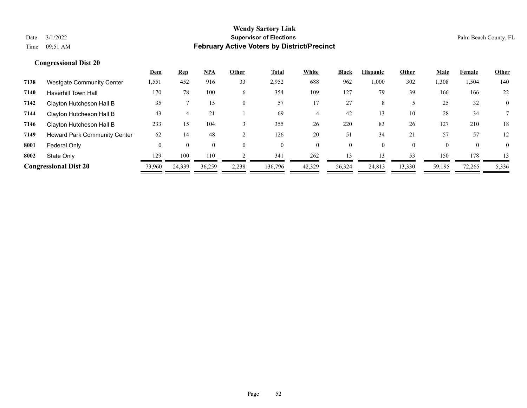|      |                                     | <u>Dem</u> | <u>Rep</u> | <u>NPA</u> | Other | <b>Total</b> | White  | <b>Black</b> | <b>Hispanic</b> | Other    | <u>Male</u> | Female         | <b>Other</b> |
|------|-------------------------------------|------------|------------|------------|-------|--------------|--------|--------------|-----------------|----------|-------------|----------------|--------------|
| 7138 | <b>Westgate Community Center</b>    | 1,551      | 452        | 916        | 33    | 2,952        | 688    | 962          | 1,000           | 302      | 1,308       | 1,504          | 140          |
| 7140 | Haverhill Town Hall                 | 170        | 78         | 100        | 6.    | 354          | 109    | 127          | 79              | 39       | 166         | 166            | 22           |
| 7142 | Clayton Hutcheson Hall B            | 35         |            | 15         |       | 57           | 17     | 27           | 8               |          | 25          | 32             | $\mathbf{0}$ |
| 7144 | Clayton Hutcheson Hall B            | 43         |            | 21         |       | 69           |        | 42           | 13 <sup>2</sup> | 10       | 28          | 34             |              |
| 7146 | Clayton Hutcheson Hall B            | 233        | 15         | 104        |       | 355          | 26     | 220          | 83              | 26       | 127         | 210            | 18           |
| 7149 | <b>Howard Park Community Center</b> | 62         | 14         | 48         |       | 126          | 20     | 51           | 34              | 21       | 57          | 57             | 12           |
| 8001 | Federal Only                        | $\Omega$   | $\theta$   |            |       | $\Omega$     |        | $\theta$     | $\theta$        | $\Omega$ |             | $\overline{0}$ | $\mathbf{0}$ |
| 8002 | State Only                          | 129        | 100        | 110        |       | 341          | 262    | 13           | 13              | 53       | 150         | 178            | 13           |
|      | <b>Congressional Dist 20</b>        | 73,960     | 24,339     | 36,259     | 2,238 | 136,796      | 42,329 | 56,324       | 24,813          | 13,330   | 59,195      | 72,265         | 5,336        |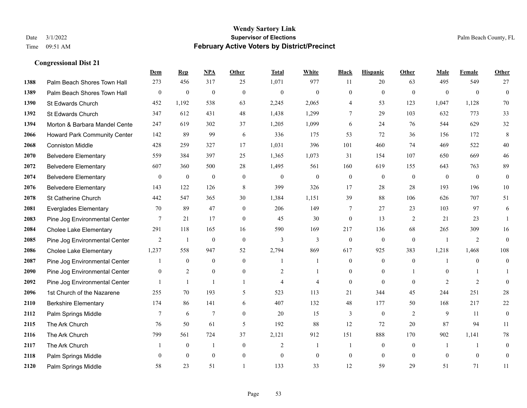|      |                               | Dem              | <b>Rep</b>       | NPA              | <b>Other</b>   | <b>Total</b>   | <b>White</b>     | <b>Black</b>     | <b>Hispanic</b>  | <b>Other</b>   | <b>Male</b>    | <b>Female</b> | Other            |
|------|-------------------------------|------------------|------------------|------------------|----------------|----------------|------------------|------------------|------------------|----------------|----------------|---------------|------------------|
| 1388 | Palm Beach Shores Town Hall   | 273              | 456              | 317              | 25             | 1,071          | 977              | 11               | 20               | 63             | 495            | 549           | 27               |
| 1389 | Palm Beach Shores Town Hall   | $\boldsymbol{0}$ | $\mathbf{0}$     | $\mathbf{0}$     | $\theta$       | $\mathbf{0}$   | $\mathbf{0}$     | $\mathbf{0}$     | $\mathbf{0}$     | $\theta$       | $\theta$       | $\theta$      | $\overline{0}$   |
| 1390 | St Edwards Church             | 452              | 1,192            | 538              | 63             | 2,245          | 2,065            | 4                | 53               | 123            | 1,047          | 1,128         | 70               |
| 1392 | St Edwards Church             | 347              | 612              | 431              | 48             | 1,438          | 1,299            | 7                | 29               | 103            | 632            | 773           | 33               |
| 1394 | Morton & Barbara Mandel Cente | 247              | 619              | 302              | 37             | 1,205          | 1,099            | 6                | 24               | 76             | 544            | 629           | 32               |
| 2066 | Howard Park Community Center  | 142              | 89               | 99               | 6              | 336            | 175              | 53               | 72               | 36             | 156            | 172           | 8                |
| 2068 | <b>Conniston Middle</b>       | 428              | 259              | 327              | 17             | 1,031          | 396              | 101              | 460              | 74             | 469            | 522           | 40               |
| 2070 | <b>Belvedere Elementary</b>   | 559              | 384              | 397              | 25             | 1,365          | 1,073            | 31               | 154              | 107            | 650            | 669           | 46               |
| 2072 | <b>Belvedere Elementary</b>   | 607              | 360              | 500              | $28\,$         | 1,495          | 561              | 160              | 619              | 155            | 643            | 763           | 89               |
| 2074 | <b>Belvedere Elementary</b>   | $\mathbf{0}$     | $\boldsymbol{0}$ | $\boldsymbol{0}$ | $\mathbf{0}$   | $\mathbf{0}$   | $\boldsymbol{0}$ | $\boldsymbol{0}$ | $\overline{0}$   | $\theta$       | $\mathbf{0}$   | $\theta$      | $\overline{0}$   |
| 2076 | <b>Belvedere Elementary</b>   | 143              | 122              | 126              | 8              | 399            | 326              | 17               | 28               | 28             | 193            | 196           | $10\,$           |
| 2078 | St Catherine Church           | 442              | 547              | 365              | 30             | 1,384          | 1,151            | 39               | 88               | 106            | 626            | 707           | 51               |
| 2081 | <b>Everglades Elementary</b>  | 70               | 89               | 47               | $\mathbf{0}$   | 206            | 149              | 7                | 27               | 23             | 103            | 97            | 6                |
| 2083 | Pine Jog Environmental Center | 7                | 21               | 17               | $\mathbf{0}$   | 45             | 30               | $\boldsymbol{0}$ | 13               | $\overline{2}$ | 21             | 23            | $\mathbf{1}$     |
| 2084 | <b>Cholee Lake Elementary</b> | 291              | 118              | 165              | 16             | 590            | 169              | 217              | 136              | 68             | 265            | 309           | 16               |
| 2085 | Pine Jog Environmental Center | 2                | -1               | $\mathbf{0}$     | $\theta$       | 3              | $\overline{3}$   | $\mathbf{0}$     | $\mathbf{0}$     | $\theta$       | $\overline{1}$ | 2             | $\overline{0}$   |
| 2086 | <b>Cholee Lake Elementary</b> | 1,237            | 558              | 947              | 52             | 2,794          | 869              | 617              | 925              | 383            | 1,218          | 1,468         | 108              |
| 2087 | Pine Jog Environmental Center |                  | $\mathbf{0}$     | $\mathbf{0}$     | $\theta$       | 1              | 1                | $\overline{0}$   | $\overline{0}$   | $\mathbf{0}$   |                | $\theta$      | $\overline{0}$   |
| 2090 | Pine Jog Environmental Center | $\bf{0}$         | $\overline{2}$   | $\mathbf{0}$     | $\mathbf{0}$   | $\overline{2}$ |                  | $\overline{0}$   | $\overline{0}$   |                | $\theta$       |               |                  |
| 2092 | Pine Jog Environmental Center |                  | $\mathbf{1}$     | $\overline{1}$   | $\mathbf{1}$   | $\overline{4}$ | $\overline{4}$   | $\mathbf{0}$     | $\mathbf{0}$     | $\mathbf{0}$   | $\overline{2}$ | 2             | $\overline{0}$   |
| 2096 | 1st Church of the Nazarene    | 255              | 70               | 193              | 5              | 523            | 113              | 21               | 344              | 45             | 244            | 251           | $28\,$           |
| 2110 | <b>Berkshire Elementary</b>   | 174              | 86               | 141              | 6              | 407            | 132              | 48               | 177              | 50             | 168            | 217           | $22\,$           |
| 2112 | Palm Springs Middle           | 7                | 6                | $\tau$           | $\overline{0}$ | 20             | 15               | 3                | $\boldsymbol{0}$ | 2              | 9              | 11            | $\boldsymbol{0}$ |
| 2115 | The Ark Church                | 76               | 50               | 61               | 5              | 192            | 88               | 12               | 72               | 20             | 87             | 94            | 11               |
| 2116 | The Ark Church                | 799              | 561              | 724              | 37             | 2,121          | 912              | 151              | 888              | 170            | 902            | 1,141         | 78               |
| 2117 | The Ark Church                |                  | $\mathbf{0}$     | $\mathbf{1}$     | $\mathbf{0}$   | $\overline{2}$ | 1                | $\mathbf{1}$     | $\overline{0}$   | $\overline{0}$ | -1             | $\mathbf{1}$  | $\boldsymbol{0}$ |
| 2118 | Palm Springs Middle           | $\mathbf{0}$     | $\mathbf{0}$     | $\mathbf{0}$     | $\mathbf{0}$   | $\theta$       | $\mathbf{0}$     | $\boldsymbol{0}$ | $\overline{0}$   | $\mathbf{0}$   | $\theta$       | $\mathbf{0}$  | $\overline{0}$   |
| 2120 | Palm Springs Middle           | 58               | 23               | 51               |                | 133            | 33               | 12               | 59               | 29             | 51             | 71            | 11               |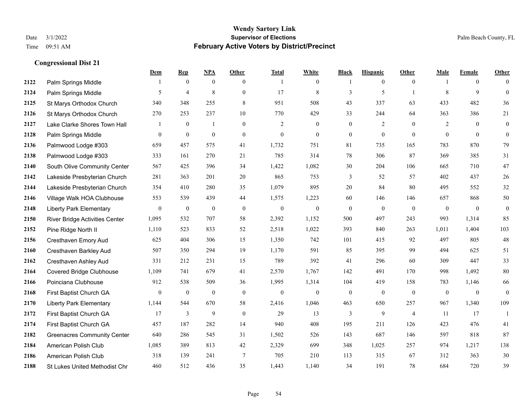|      |                                       | Dem            | <b>Rep</b>       | NPA              | <b>Other</b>   | <b>Total</b> | <b>White</b>     | <b>Black</b>     | <b>Hispanic</b>  | <b>Other</b>   | <b>Male</b>  | <b>Female</b>  | <b>Other</b>     |
|------|---------------------------------------|----------------|------------------|------------------|----------------|--------------|------------------|------------------|------------------|----------------|--------------|----------------|------------------|
| 2122 | Palm Springs Middle                   | -1             | $\mathbf{0}$     | $\mathbf{0}$     | $\overline{0}$ | -1           | $\boldsymbol{0}$ | -1               | $\boldsymbol{0}$ | $\overline{0}$ |              | $\overline{0}$ | $\theta$         |
| 2124 | Palm Springs Middle                   | 5              | $\overline{4}$   | 8                | $\overline{0}$ | 17           | $\,$ 8 $\,$      | 3                | 5                | $\overline{1}$ | 8            | 9              | $\mathbf{0}$     |
| 2125 | St Marys Orthodox Church              | 340            | 348              | 255              | 8              | 951          | 508              | 43               | 337              | 63             | 433          | 482            | 36               |
| 2126 | St Marys Orthodox Church              | 270            | 253              | 237              | 10             | 770          | 429              | 33               | 244              | 64             | 363          | 386            | 21               |
| 2127 | Lake Clarke Shores Town Hall          | 1              | $\bf{0}$         | $\mathbf{1}$     | $\Omega$       | 2            | $\overline{0}$   | $\mathbf{0}$     | 2                | $\theta$       | 2            | $\theta$       | $\boldsymbol{0}$ |
| 2128 | Palm Springs Middle                   | $\mathbf{0}$   | $\boldsymbol{0}$ | $\boldsymbol{0}$ | $\overline{0}$ | $\mathbf{0}$ | $\mathbf{0}$     | $\boldsymbol{0}$ | $\mathbf{0}$     | $\theta$       | $\mathbf{0}$ | $\mathbf{0}$   | $\mathbf{0}$     |
| 2136 | Palmwood Lodge #303                   | 659            | 457              | 575              | 41             | 1,732        | 751              | 81               | 735              | 165            | 783          | 870            | 79               |
| 2138 | Palmwood Lodge #303                   | 333            | 161              | 270              | 21             | 785          | 314              | 78               | 306              | 87             | 369          | 385            | 31               |
| 2140 | South Olive Community Center          | 567            | 425              | 396              | 34             | 1,422        | 1,082            | 30               | 204              | 106            | 665          | 710            | 47               |
| 2142 | Lakeside Presbyterian Church          | 281            | 363              | 201              | 20             | 865          | 753              | 3                | 52               | 57             | 402          | 437            | $26\,$           |
| 2144 | Lakeside Presbyterian Church          | 354            | 410              | 280              | 35             | 1,079        | 895              | 20               | 84               | 80             | 495          | 552            | $32\,$           |
| 2146 | Village Walk HOA Clubhouse            | 553            | 539              | 439              | 44             | 1,575        | 1,223            | 60               | 146              | 146            | 657          | 868            | 50               |
| 2148 | <b>Liberty Park Elementary</b>        | $\mathbf{0}$   | $\boldsymbol{0}$ | $\boldsymbol{0}$ | $\mathbf{0}$   | $\mathbf{0}$ | $\mathbf{0}$     | $\boldsymbol{0}$ | $\mathbf{0}$     | $\theta$       | $\mathbf{0}$ | $\theta$       | $\boldsymbol{0}$ |
| 2150 | <b>River Bridge Activities Center</b> | 1,095          | 532              | 707              | 58             | 2,392        | 1,152            | 500              | 497              | 243            | 993          | 1,314          | 85               |
| 2152 | Pine Ridge North II                   | 1,110          | 523              | 833              | 52             | 2,518        | 1,022            | 393              | 840              | 263            | 1,011        | 1,404          | 103              |
| 2156 | Cresthaven Emory Aud                  | 625            | 404              | 306              | 15             | 1,350        | 742              | 101              | 415              | 92             | 497          | 805            | 48               |
| 2160 | Cresthaven Barkley Aud                | 507            | 350              | 294              | 19             | 1,170        | 591              | 85               | 395              | 99             | 494          | 625            | 51               |
| 2162 | Cresthaven Ashley Aud                 | 331            | 212              | 231              | 15             | 789          | 392              | 41               | 296              | 60             | 309          | 447            | 33               |
| 2164 | <b>Covered Bridge Clubhouse</b>       | 1,109          | 741              | 679              | 41             | 2,570        | 1,767            | 142              | 491              | 170            | 998          | 1,492          | 80               |
| 2166 | Poinciana Clubhouse                   | 912            | 538              | 509              | 36             | 1,995        | 1,314            | 104              | 419              | 158            | 783          | 1,146          | 66               |
| 2168 | First Baptist Church GA               | $\overline{0}$ | $\boldsymbol{0}$ | $\mathbf{0}$     | $\theta$       | $\mathbf{0}$ | $\mathbf{0}$     | $\mathbf{0}$     | $\mathbf{0}$     | $\theta$       | $\theta$     | $\mathbf{0}$   | $\boldsymbol{0}$ |
| 2170 | <b>Liberty Park Elementary</b>        | 1,144          | 544              | 670              | 58             | 2,416        | 1,046            | 463              | 650              | 257            | 967          | 1,340          | 109              |
| 2172 | First Baptist Church GA               | 17             | 3                | 9                | $\mathbf{0}$   | 29           | 13               | 3                | 9                | $\overline{4}$ | 11           | 17             | 1                |
| 2174 | First Baptist Church GA               | 457            | 187              | 282              | 14             | 940          | 408              | 195              | 211              | 126            | 423          | 476            | 41               |
| 2182 | <b>Greenacres Community Center</b>    | 640            | 286              | 545              | 31             | 1,502        | 526              | 143              | 687              | 146            | 597          | 818            | 87               |
| 2184 | American Polish Club                  | 1,085          | 389              | 813              | 42             | 2,329        | 699              | 348              | 1,025            | 257            | 974          | 1,217          | 138              |
| 2186 | American Polish Club                  | 318            | 139              | 241              | $\tau$         | 705          | 210              | 113              | 315              | 67             | 312          | 363            | $30\,$           |
| 2188 | <b>St Lukes United Methodist Chr</b>  | 460            | 512              | 436              | 35             | 1,443        | 1,140            | 34               | 191              | 78             | 684          | 720            | 39               |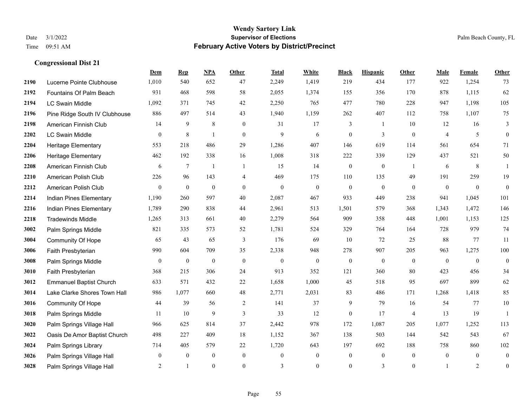**Congressional Dist 21**

#### **Wendy Sartory Link** Date 3/1/2022 **Supervisor of Elections** Palm Beach County, FL Time 09:51 AM **February Active Voters by District/Precinct**

**Dem Rep NPA Other Total White Black Hispanic Other Male Female Other**

# Lucerne Pointe Clubhouse 1,010 540 652 47 2,249 1,419 219 434 177 922 1,254 73 Fountains Of Palm Beach 931 468 598 58 2,055 1,374 155 356 170 878 1,115 62 LC Swain Middle 1,092 371 745 42 2,250 765 477 780 228 947 1,198 105 Pine Ridge South IV Clubhouse 886 497 514 43 1,940 1,159 262 407 112 758 1,107 75 American Finnish Club 14 9 8 0 31 17 3 1 10 12 16 3 LC Swain Middle 0 8 1 0 9 6 0 3 0 4 5 0 Heritage Elementary 553 218 486 29 1,286 407 146 619 114 561 654 71 Heritage Elementary 462 192 338 16 1,008 318 222 339 129 437 521 50 American Finnish Club 6 7 1 1 1 15 14 0 0 1 6 8 1 American Polish Club 226 96 143 4 469 175 110 135 49 191 259 19 American Polish Club 0 0 0 0 0 0 0 0 0 0 0 0 Indian Pines Elementary 1,190 260 597 40 2,087 467 933 449 238 941 1,045 101 Indian Pines Elementary 1,789 290 838 44 2,961 513 1,501 579 368 1,343 1,472 146 Tradewinds Middle 1,265 313 661 40 2,279 564 909 358 448 1,001 1,153 125 Palm Springs Middle 821 335 573 52 1,781 524 329 764 164 728 979 74 Community Of Hope 65 43 65 3 176 69 10 72 25 88 77 11 Faith Presbyterian 990 604 709 35 2,338 948 278 907 205 963 1,275 100 Palm Springs Middle  $\begin{pmatrix} 0 & 0 & 0 & 0 \\ 0 & 0 & 0 & 0 \\ 0 & 0 & 0 & 0 \end{pmatrix}$  Faith Presbyterian 368 215 306 24 913 352 121 360 80 423 456 34 Emmanuel Baptist Church 633 571 432 22 1,658 1,000 45 518 95 697 899 62 Lake Clarke Shores Town Hall 986 1,077 660 48 2,771 2,031 83 486 171 1,268 1,418 85 Community Of Hope **44** 39 56 2 141 37 9 79 16 54 77 10 Palm Springs Middle 1 11 10 9 3 33 12 0 17 4 13 19 1 Palm Springs Village Hall 966 625 814 37 2,442 978 172 1,087 205 1,077 1,252 113 Oasis De Amor Baptist Church 498 227 409 18 1,152 367 138 503 144 542 543 67

Palm Springs Library 714 405 579 22 1,720 643 197 692 188 758 860 102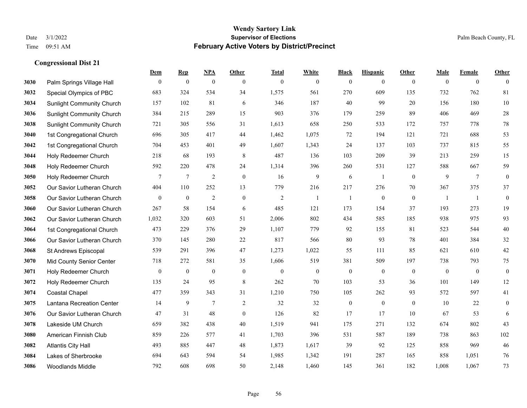|      |                                  | Dem              | <b>Rep</b>     | NPA              | <b>Other</b>     | <b>Total</b>     | <b>White</b>     | <b>Black</b>     | <b>Hispanic</b>  | <b>Other</b>   | <b>Male</b>    | Female         | <b>Other</b>     |
|------|----------------------------------|------------------|----------------|------------------|------------------|------------------|------------------|------------------|------------------|----------------|----------------|----------------|------------------|
| 3030 | Palm Springs Village Hall        | $\mathbf{0}$     | $\mathbf{0}$   | $\boldsymbol{0}$ | $\mathbf{0}$     | $\mathbf{0}$     | $\boldsymbol{0}$ | $\boldsymbol{0}$ | $\boldsymbol{0}$ | $\overline{0}$ | $\overline{0}$ | $\overline{0}$ | $\theta$         |
| 3032 | Special Olympics of PBC          | 683              | 324            | 534              | 34               | 1,575            | 561              | 270              | 609              | 135            | 732            | 762            | 81               |
| 3034 | <b>Sunlight Community Church</b> | 157              | 102            | 81               | 6                | 346              | 187              | 40               | 99               | 20             | 156            | 180            | $10\,$           |
| 3036 | <b>Sunlight Community Church</b> | 384              | 215            | 289              | 15               | 903              | 376              | 179              | 259              | 89             | 406            | 469            | $28\,$           |
| 3038 | <b>Sunlight Community Church</b> | 721              | 305            | 556              | 31               | 1,613            | 658              | 250              | 533              | 172            | 757            | 778            | 78               |
| 3040 | 1st Congregational Church        | 696              | 305            | 417              | 44               | 1,462            | 1,075            | 72               | 194              | 121            | 721            | 688            | 53               |
| 3042 | 1st Congregational Church        | 704              | 453            | 401              | 49               | 1,607            | 1,343            | 24               | 137              | 103            | 737            | 815            | 55               |
| 3044 | Holy Redeemer Church             | 218              | 68             | 193              | 8                | 487              | 136              | 103              | 209              | 39             | 213            | 259            | 15               |
| 3048 | Holy Redeemer Church             | 592              | 220            | 478              | 24               | 1,314            | 396              | 260              | 531              | 127            | 588            | 667            | 59               |
| 3050 | Holy Redeemer Church             | 7                | $\overline{7}$ | 2                | $\boldsymbol{0}$ | 16               | 9                | 6                | $\overline{1}$   | $\mathbf{0}$   | 9              | $\overline{7}$ | $\boldsymbol{0}$ |
| 3052 | Our Savior Lutheran Church       | 404              | 110            | 252              | 13               | 779              | 216              | 217              | 276              | 70             | 367            | 375            | 37               |
| 3058 | Our Savior Lutheran Church       | $\mathbf{0}$     | $\overline{0}$ | $\sqrt{2}$       | $\boldsymbol{0}$ | $\overline{2}$   | 1                | $\overline{1}$   | $\boldsymbol{0}$ | $\mathbf{0}$   | $\overline{1}$ | -1             | $\boldsymbol{0}$ |
| 3060 | Our Savior Lutheran Church       | 267              | 58             | 154              | 6                | 485              | 121              | 173              | 154              | 37             | 193            | 273            | 19               |
| 3062 | Our Savior Lutheran Church       | 1,032            | 320            | 603              | 51               | 2,006            | 802              | 434              | 585              | 185            | 938            | 975            | 93               |
| 3064 | 1st Congregational Church        | 473              | 229            | 376              | 29               | 1,107            | 779              | 92               | 155              | 81             | 523            | 544            | 40               |
| 3066 | Our Savior Lutheran Church       | 370              | 145            | 280              | 22               | 817              | 566              | 80               | 93               | 78             | 401            | 384            | $32\,$           |
| 3068 | St Andrews Episcopal             | 539              | 291            | 396              | 47               | 1,273            | 1,022            | 55               | 111              | 85             | 621            | 610            | 42               |
| 3070 | Mid County Senior Center         | 718              | 272            | 581              | 35               | 1,606            | 519              | 381              | 509              | 197            | 738            | 793            | 75               |
| 3071 | Holy Redeemer Church             | $\boldsymbol{0}$ | $\mathbf{0}$   | $\mathbf{0}$     | $\boldsymbol{0}$ | $\boldsymbol{0}$ | $\boldsymbol{0}$ | $\boldsymbol{0}$ | $\boldsymbol{0}$ | $\mathbf{0}$   | $\mathbf{0}$   | $\mathbf{0}$   | $\boldsymbol{0}$ |
| 3072 | Holy Redeemer Church             | 135              | 24             | 95               | $\,$ 8 $\,$      | 262              | 70               | 103              | 53               | 36             | 101            | 149            | 12               |
| 3074 | Coastal Chapel                   | 477              | 359            | 343              | 31               | 1,210            | 750              | 105              | 262              | 93             | 572            | 597            | 41               |
| 3075 | Lantana Recreation Center        | 14               | 9              | $7\phantom{.0}$  | $\overline{2}$   | 32               | 32               | $\boldsymbol{0}$ | $\mathbf{0}$     | $\mathbf{0}$   | 10             | 22             | $\boldsymbol{0}$ |
| 3076 | Our Savior Lutheran Church       | 47               | 31             | 48               | $\boldsymbol{0}$ | 126              | 82               | 17               | 17               | 10             | 67             | 53             | 6                |
| 3078 | Lakeside UM Church               | 659              | 382            | 438              | 40               | 1,519            | 941              | 175              | 271              | 132            | 674            | 802            | 43               |
| 3080 | American Finnish Club            | 859              | 226            | 577              | 41               | 1,703            | 396              | 531              | 587              | 189            | 738            | 863            | 102              |
| 3082 | <b>Atlantis City Hall</b>        | 493              | 885            | 447              | 48               | 1,873            | 1,617            | 39               | 92               | 125            | 858            | 969            | 46               |
| 3084 | Lakes of Sherbrooke              | 694              | 643            | 594              | 54               | 1,985            | 1,342            | 191              | 287              | 165            | 858            | 1,051          | 76               |
| 3086 | <b>Woodlands Middle</b>          | 792              | 608            | 698              | 50               | 2,148            | 1,460            | 145              | 361              | 182            | 1,008          | 1,067          | 73               |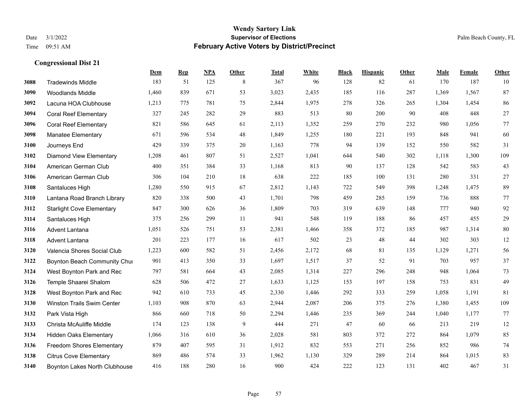|      |                                      | <b>Dem</b> | <b>Rep</b> | NPA | <b>Other</b> | <b>Total</b> | <b>White</b> | <b>Black</b> | <b>Hispanic</b> | <b>Other</b> | <b>Male</b> | Female | <b>Other</b> |
|------|--------------------------------------|------------|------------|-----|--------------|--------------|--------------|--------------|-----------------|--------------|-------------|--------|--------------|
| 3088 | <b>Tradewinds Middle</b>             | 183        | 51         | 125 | 8            | 367          | 96           | 128          | 82              | 61           | 170         | 187    | 10           |
| 3090 | <b>Woodlands Middle</b>              | 1,460      | 839        | 671 | 53           | 3,023        | 2,435        | 185          | 116             | 287          | 1,369       | 1,567  | 87           |
| 3092 | Lacuna HOA Clubhouse                 | 1,213      | 775        | 781 | 75           | 2,844        | 1,975        | 278          | 326             | 265          | 1,304       | 1,454  | 86           |
| 3094 | <b>Coral Reef Elementary</b>         | 327        | 245        | 282 | 29           | 883          | 513          | 80           | 200             | 90           | 408         | 448    | $27\,$       |
| 3096 | <b>Coral Reef Elementary</b>         | 821        | 586        | 645 | 61           | 2,113        | 1,352        | 259          | 270             | 232          | 980         | 1.056  | 77           |
| 3098 | <b>Manatee Elementary</b>            | 671        | 596        | 534 | 48           | 1,849        | 1,255        | 180          | 221             | 193          | 848         | 941    | 60           |
| 3100 | Journeys End                         | 429        | 339        | 375 | 20           | 1,163        | 778          | 94           | 139             | 152          | 550         | 582    | 31           |
| 3102 | <b>Diamond View Elementary</b>       | 1,208      | 461        | 807 | 51           | 2,527        | 1,041        | 644          | 540             | 302          | 1,118       | 1,300  | 109          |
| 3104 | American German Club                 | 400        | 351        | 384 | 33           | 1,168        | 813          | 90           | 137             | 128          | 542         | 583    | 43           |
| 3106 | American German Club                 | 306        | 104        | 210 | 18           | 638          | 222          | 185          | 100             | 131          | 280         | 331    | 27           |
| 3108 | Santaluces High                      | 1,280      | 550        | 915 | 67           | 2,812        | 1,143        | 722          | 549             | 398          | 1,248       | 1,475  | 89           |
| 3110 | Lantana Road Branch Library          | 820        | 338        | 500 | 43           | 1,701        | 798          | 459          | 285             | 159          | 736         | 888    | $77\,$       |
| 3112 | <b>Starlight Cove Elementary</b>     | 847        | 300        | 626 | 36           | 1,809        | 703          | 319          | 639             | 148          | 777         | 940    | 92           |
| 3114 | Santaluces High                      | 375        | 256        | 299 | 11           | 941          | 548          | 119          | 188             | 86           | 457         | 455    | $29\,$       |
| 3116 | <b>Advent Lantana</b>                | 1,051      | 526        | 751 | 53           | 2,381        | 1,466        | 358          | 372             | 185          | 987         | 1,314  | 80           |
| 3118 | Advent Lantana                       | 201        | 223        | 177 | 16           | 617          | 502          | 23           | 48              | 44           | 302         | 303    | $12\,$       |
| 3120 | Valencia Shores Social Club          | 1,223      | 600        | 582 | 51           | 2,456        | 2,172        | 68           | 81              | 135          | 1,129       | 1,271  | 56           |
| 3122 | Boynton Beach Community Chur         | 901        | 413        | 350 | 33           | 1,697        | 1,517        | 37           | 52              | 91           | 703         | 957    | 37           |
| 3124 | West Boynton Park and Rec            | 797        | 581        | 664 | 43           | 2,085        | 1,314        | 227          | 296             | 248          | 948         | 1,064  | 73           |
| 3126 | Temple Shaarei Shalom                | 628        | 506        | 472 | 27           | 1,633        | 1,125        | 153          | 197             | 158          | 753         | 831    | 49           |
| 3128 | West Boynton Park and Rec            | 942        | 610        | 733 | 45           | 2,330        | 1,446        | 292          | 333             | 259          | 1,058       | 1,191  | 81           |
| 3130 | <b>Winston Trails Swim Center</b>    | 1,103      | 908        | 870 | 63           | 2,944        | 2,087        | 206          | 375             | 276          | 1,380       | 1,455  | 109          |
| 3132 | Park Vista High                      | 866        | 660        | 718 | 50           | 2,294        | 1,446        | 235          | 369             | 244          | 1,040       | 1,177  | 77           |
| 3133 | Christa McAuliffe Middle             | 174        | 123        | 138 | 9            | 444          | 271          | 47           | 60              | 66           | 213         | 219    | 12           |
| 3134 | <b>Hidden Oaks Elementary</b>        | 1,066      | 316        | 610 | 36           | 2,028        | 581          | 803          | 372             | 272          | 864         | 1,079  | 85           |
| 3136 | Freedom Shores Elementary            | 879        | 407        | 595 | 31           | 1,912        | 832          | 553          | 271             | 256          | 852         | 986    | 74           |
| 3138 | <b>Citrus Cove Elementary</b>        | 869        | 486        | 574 | 33           | 1,962        | 1,130        | 329          | 289             | 214          | 864         | 1,015  | 83           |
| 3140 | <b>Boynton Lakes North Clubhouse</b> | 416        | 188        | 280 | 16           | 900          | 424          | 222          | 123             | 131          | 402         | 467    | 31           |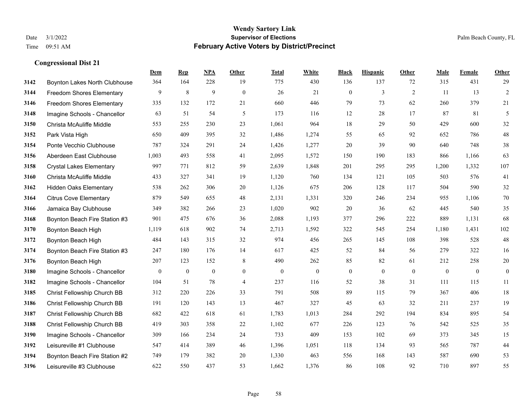|      |                                  | Dem          | <b>Rep</b> | NPA              | Other          | <b>Total</b>     | <b>White</b>     | <b>Black</b>     | <b>Hispanic</b> | <b>Other</b>   | <b>Male</b>  | <b>Female</b> | <b>Other</b>     |
|------|----------------------------------|--------------|------------|------------------|----------------|------------------|------------------|------------------|-----------------|----------------|--------------|---------------|------------------|
| 3142 | Boynton Lakes North Clubhouse    | 364          | 164        | 228              | 19             | 775              | 430              | 136              | 137             | 72             | 315          | 431           | 29               |
| 3144 | <b>Freedom Shores Elementary</b> | 9            | 8          | 9                | $\mathbf{0}$   | 26               | 21               | $\mathbf{0}$     | $\overline{3}$  | 2              | 11           | 13            | $\overline{2}$   |
| 3146 | Freedom Shores Elementary        | 335          | 132        | 172              | 21             | 660              | 446              | 79               | 73              | 62             | 260          | 379           | 21               |
| 3148 | Imagine Schools - Chancellor     | 63           | 51         | 54               | 5              | 173              | 116              | 12               | 28              | 17             | 87           | 81            | 5                |
| 3150 | Christa McAuliffe Middle         | 553          | 255        | 230              | 23             | 1.061            | 964              | 18               | 29              | 50             | 429          | 600           | $32\,$           |
| 3152 | Park Vista High                  | 650          | 409        | 395              | 32             | 1,486            | 1,274            | 55               | 65              | 92             | 652          | 786           | $48\,$           |
| 3154 | Ponte Vecchio Clubhouse          | 787          | 324        | 291              | 24             | 1,426            | 1,277            | 20               | 39              | 90             | 640          | 748           | 38               |
| 3156 | Aberdeen East Clubhouse          | 1,003        | 493        | 558              | 41             | 2,095            | 1,572            | 150              | 190             | 183            | 866          | 1,166         | 63               |
| 3158 | <b>Crystal Lakes Elementary</b>  | 997          | 771        | 812              | 59             | 2,639            | 1,848            | 201              | 295             | 295            | 1,200        | 1,332         | $107\,$          |
| 3160 | Christa McAuliffe Middle         | 433          | 327        | 341              | 19             | 1,120            | 760              | 134              | 121             | 105            | 503          | 576           | 41               |
| 3162 | <b>Hidden Oaks Elementary</b>    | 538          | 262        | 306              | 20             | 1,126            | 675              | 206              | 128             | 117            | 504          | 590           | $32\,$           |
| 3164 | <b>Citrus Cove Elementary</b>    | 879          | 549        | 655              | 48             | 2,131            | 1,331            | 320              | 246             | 234            | 955          | 1,106         | 70               |
| 3166 | Jamaica Bay Clubhouse            | 349          | 382        | 266              | 23             | 1,020            | 902              | 20               | 36              | 62             | 445          | 540           | 35               |
| 3168 | Boynton Beach Fire Station #3    | 901          | 475        | 676              | 36             | 2,088            | 1,193            | 377              | 296             | 222            | 889          | 1,131         | 68               |
| 3170 | Boynton Beach High               | 1,119        | 618        | 902              | 74             | 2,713            | 1,592            | 322              | 545             | 254            | 1,180        | 1,431         | 102              |
| 3172 | Boynton Beach High               | 484          | 143        | 315              | 32             | 974              | 456              | 265              | 145             | 108            | 398          | 528           | 48               |
| 3174 | Boynton Beach Fire Station #3    | 247          | 180        | 176              | 14             | 617              | 425              | 52               | 84              | 56             | 279          | 322           | 16               |
| 3176 | Boynton Beach High               | 207          | 123        | 152              | 8              | 490              | 262              | 85               | 82              | 61             | 212          | 258           | $20\,$           |
| 3180 | Imagine Schools - Chancellor     | $\mathbf{0}$ | $\bf{0}$   | $\boldsymbol{0}$ | $\mathbf{0}$   | $\boldsymbol{0}$ | $\boldsymbol{0}$ | $\boldsymbol{0}$ | $\mathbf{0}$    | $\overline{0}$ | $\mathbf{0}$ | $\mathbf{0}$  | $\boldsymbol{0}$ |
| 3182 | Imagine Schools - Chancellor     | 104          | 51         | 78               | $\overline{4}$ | 237              | 116              | 52               | 38              | 31             | 111          | 115           | 11               |
| 3185 | Christ Fellowship Church BB      | 312          | 220        | 226              | 33             | 791              | 508              | 89               | 115             | 79             | 367          | 406           | 18               |
| 3186 | Christ Fellowship Church BB      | 191          | 120        | 143              | 13             | 467              | 327              | 45               | 63              | 32             | 211          | 237           | 19               |
| 3187 | Christ Fellowship Church BB      | 682          | 422        | 618              | 61             | 1,783            | 1,013            | 284              | 292             | 194            | 834          | 895           | 54               |
| 3188 | Christ Fellowship Church BB      | 419          | 303        | 358              | 22             | 1,102            | 677              | 226              | 123             | 76             | 542          | 525           | 35               |
| 3190 | Imagine Schools - Chancellor     | 309          | 166        | 234              | 24             | 733              | 409              | 153              | 102             | 69             | 373          | 345           | 15               |
| 3192 | Leisureville #1 Clubhouse        | 547          | 414        | 389              | 46             | 1,396            | 1,051            | 118              | 134             | 93             | 565          | 787           | 44               |
| 3194 | Boynton Beach Fire Station #2    | 749          | 179        | 382              | 20             | 1,330            | 463              | 556              | 168             | 143            | 587          | 690           | 53               |
| 3196 | Leisureville #3 Clubhouse        | 622          | 550        | 437              | 53             | 1,662            | 1,376            | 86               | 108             | 92             | 710          | 897           | 55               |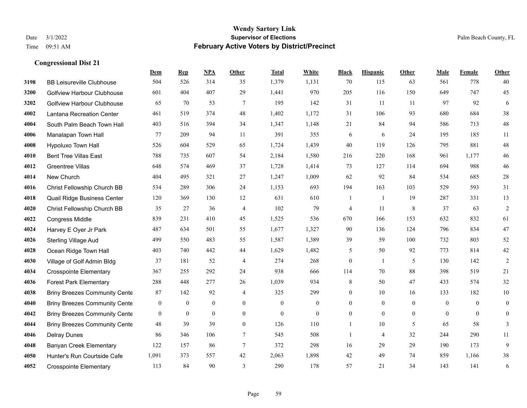|      |                                      | Dem              | <b>Rep</b>       | NPA              | <b>Other</b>   | <b>Total</b>     | White            | <b>Black</b>     | <b>Hispanic</b>  | <b>Other</b>    | <b>Male</b>    | <b>Female</b>  | <b>Other</b>     |
|------|--------------------------------------|------------------|------------------|------------------|----------------|------------------|------------------|------------------|------------------|-----------------|----------------|----------------|------------------|
| 3198 | <b>BB Leisureville Clubhouse</b>     | 504              | 526              | 314              | 35             | 1,379            | 1,131            | 70               | 115              | 63              | 561            | 778            | 40               |
| 3200 | <b>Golfview Harbour Clubhouse</b>    | 601              | 404              | 407              | 29             | 1,441            | 970              | 205              | 116              | 150             | 649            | 747            | 45               |
| 3202 | <b>Golfview Harbour Clubhouse</b>    | 65               | 70               | 53               | $\tau$         | 195              | 142              | 31               | 11               | <b>11</b>       | 97             | 92             | 6                |
| 4002 | Lantana Recreation Center            | 461              | 519              | 374              | $48\,$         | 1,402            | 1,172            | 31               | 106              | 93              | 680            | 684            | $38\,$           |
| 4004 | South Palm Beach Town Hall           | 403              | 516              | 394              | 34             | 1,347            | 1,148            | 21               | 84               | 94              | 586            | 713            | $48\,$           |
| 4006 | Manalapan Town Hall                  | 77               | 209              | 94               | 11             | 391              | 355              | 6                | 6                | 24              | 195            | 185            | 11               |
| 4008 | Hypoluxo Town Hall                   | 526              | 604              | 529              | 65             | 1,724            | 1,439            | 40               | 119              | 126             | 795            | 881            | $48\,$           |
| 4010 | <b>Bent Tree Villas East</b>         | 788              | 735              | 607              | 54             | 2,184            | 1,580            | 216              | 220              | 168             | 961            | 1,177          | $46\,$           |
| 4012 | <b>Greentree Villas</b>              | 648              | 574              | 469              | 37             | 1,728            | 1,414            | 73               | 127              | 114             | 694            | 988            | $46\,$           |
| 4014 | New Church                           | 404              | 495              | 321              | 27             | 1,247            | 1,009            | 62               | 92               | 84              | 534            | 685            | $28\,$           |
| 4016 | Christ Fellowship Church BB          | 534              | 289              | 306              | 24             | 1,153            | 693              | 194              | 163              | 103             | 529            | 593            | 31               |
| 4018 | Quail Ridge Business Center          | 120              | 369              | 130              | 12             | 631              | 610              | $\mathbf{1}$     | 1                | 19              | 287            | 331            | 13               |
| 4020 | Christ Fellowship Church BB          | 35               | 27               | 36               | $\overline{4}$ | 102              | 79               | $\overline{4}$   | 11               | $8\phantom{.0}$ | 37             | 63             | $\sqrt{2}$       |
| 4022 | <b>Congress Middle</b>               | 839              | 231              | 410              | 45             | 1,525            | 536              | 670              | 166              | 153             | 632            | 832            | 61               |
| 4024 | Harvey E Oyer Jr Park                | 487              | 634              | 501              | 55             | 1,677            | 1,327            | 90               | 136              | 124             | 796            | 834            | 47               |
| 4026 | <b>Sterling Village Aud</b>          | 499              | 550              | 483              | 55             | 1,587            | 1,389            | 39               | 59               | 100             | 732            | 803            | 52               |
| 4028 | Ocean Ridge Town Hall                | 403              | 740              | 442              | 44             | 1,629            | 1,482            | 5                | 50               | 92              | 773            | 814            | 42               |
| 4030 | Village of Golf Admin Bldg           | 37               | 181              | 52               | 4              | 274              | 268              | $\mathbf{0}$     | 1                | 5               | 130            | 142            | $\sqrt{2}$       |
| 4034 | <b>Crosspointe Elementary</b>        | 367              | 255              | 292              | 24             | 938              | 666              | 114              | 70               | 88              | 398            | 519            | 21               |
| 4036 | <b>Forest Park Elementary</b>        | 288              | 448              | 277              | 26             | 1,039            | 934              | 8                | 50               | 47              | 433            | 574            | 32               |
| 4038 | <b>Briny Breezes Community Cente</b> | 87               | 142              | 92               | $\overline{4}$ | 325              | 299              | $\mathbf{0}$     | 10               | 16              | 133            | 182            | $10\,$           |
| 4040 | <b>Briny Breezes Community Cente</b> | $\boldsymbol{0}$ | $\boldsymbol{0}$ | $\boldsymbol{0}$ | $\mathbf{0}$   | $\boldsymbol{0}$ | $\boldsymbol{0}$ | $\boldsymbol{0}$ | $\boldsymbol{0}$ | $\mathbf{0}$    | $\mathbf{0}$   | $\overline{0}$ | $\boldsymbol{0}$ |
| 4042 | <b>Briny Breezes Community Cente</b> | $\mathbf{0}$     | $\mathbf{0}$     | $\mathbf{0}$     | $\mathbf{0}$   | $\mathbf{0}$     | $\boldsymbol{0}$ | $\boldsymbol{0}$ | $\overline{0}$   | $\overline{0}$  | $\overline{0}$ | $\overline{0}$ | $\boldsymbol{0}$ |
| 4044 | <b>Briny Breezes Community Cente</b> | 48               | 39               | 39               | $\theta$       | 126              | 110              | $\mathbf{1}$     | 10               | 5               | 65             | 58             | 3                |
| 4046 | <b>Delray Dunes</b>                  | 86               | 346              | 106              | $\overline{7}$ | 545              | 508              | $\overline{1}$   | $\overline{4}$   | 32              | 244            | 290            | $11\,$           |
| 4048 | <b>Banyan Creek Elementary</b>       | 122              | 157              | 86               | $\tau$         | 372              | 298              | 16               | 29               | 29              | 190            | 173            | 9                |
| 4050 | Hunter's Run Courtside Cafe          | 1,091            | 373              | 557              | 42             | 2,063            | 1,898            | 42               | 49               | 74              | 859            | 1,166          | $38\,$           |
| 4052 | <b>Crosspointe Elementary</b>        | 113              | 84               | 90               | 3              | 290              | 178              | 57               | 21               | 34              | 143            | 141            | $\sqrt{6}$       |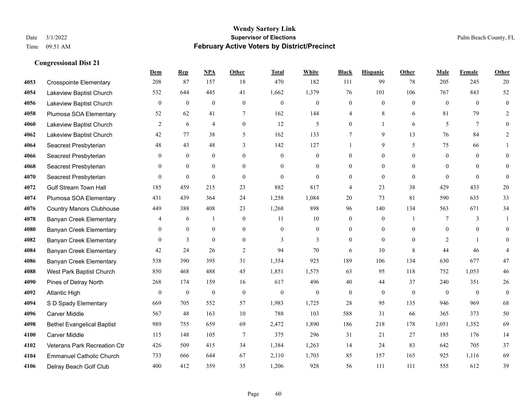|      |                                   | Dem          | <b>Rep</b>       | NPA            | <b>Other</b>     | <b>Total</b> | <b>White</b>   | <b>Black</b>     | <b>Hispanic</b>  | <b>Other</b> | <b>Male</b>    | <b>Female</b>   | <b>Other</b> |
|------|-----------------------------------|--------------|------------------|----------------|------------------|--------------|----------------|------------------|------------------|--------------|----------------|-----------------|--------------|
| 4053 | <b>Crosspointe Elementary</b>     | 208          | 87               | 157            | 18               | 470          | 182            | 111              | 99               | 78           | 205            | 245             | 20           |
| 4054 | Lakeview Baptist Church           | 532          | 644              | 445            | 41               | 1,662        | 1,379          | 76               | 101              | 106          | 767            | 843             | 52           |
| 4056 | Lakeview Baptist Church           | $\mathbf{0}$ | $\mathbf{0}$     | $\mathbf{0}$   | $\Omega$         | $\theta$     | $\overline{0}$ | $\mathbf{0}$     | $\mathbf{0}$     | $\Omega$     | $\overline{0}$ | $\theta$        | $\mathbf{0}$ |
| 4058 | Plumosa SOA Elementary            | 52           | 62               | 41             | $\tau$           | 162          | 144            | 4                | 8                | 6            | 81             | 79              | 2            |
| 4060 | Lakeview Baptist Church           | 2            | 6                | $\overline{4}$ | $\overline{0}$   | 12           | 5              | $\overline{0}$   | $\mathbf{1}$     | 6            | 5              | $7\phantom{.0}$ | $\Omega$     |
| 4062 | Lakeview Baptist Church           | 42           | 77               | 38             | 5                | 162          | 133            | 7                | 9                | 13           | 76             | 84              | 2            |
| 4064 | Seacrest Presbyterian             | 48           | 43               | 48             | 3                | 142          | 127            | $\mathbf{1}$     | 9                | 5            | 75             | 66              |              |
| 4066 | Seacrest Presbyterian             | $\theta$     | $\mathbf{0}$     | $\mathbf{0}$   | $\Omega$         | $\theta$     | $\overline{0}$ | $\mathbf{0}$     | $\overline{0}$   | $\theta$     | $\theta$       | $\theta$        | $\Omega$     |
| 4068 | Seacrest Presbyterian             | $\mathbf{0}$ | $\mathbf{0}$     | $\overline{0}$ | $\overline{0}$   | $\theta$     | $\overline{0}$ | $\mathbf{0}$     | $\mathbf{0}$     | $\theta$     | $\overline{0}$ | $\theta$        | $\mathbf{0}$ |
| 4070 | Seacrest Presbyterian             | $\mathbf{0}$ | $\mathbf{0}$     | $\mathbf{0}$   | $\Omega$         | $\theta$     | $\overline{0}$ | $\mathbf{0}$     | $\Omega$         | $\theta$     | $\theta$       | $\theta$        | $\mathbf{0}$ |
| 4072 | <b>Gulf Stream Town Hall</b>      | 185          | 459              | 215            | 23               | 882          | 817            | 4                | 23               | 38           | 429            | 433             | 20           |
| 4074 | Plumosa SOA Elementary            | 431          | 439              | 364            | 24               | 1,258        | 1,084          | 20               | 73               | 81           | 590            | 635             | 33           |
| 4076 | <b>Country Manors Clubhouse</b>   | 449          | 388              | 408            | 23               | 1,268        | 898            | 96               | 140              | 134          | 563            | 671             | 34           |
| 4078 | <b>Banyan Creek Elementary</b>    | 4            | 6                | 1              | $\boldsymbol{0}$ | 11           | $10\,$         | $\boldsymbol{0}$ | $\boldsymbol{0}$ | -1           | 7              | 3               |              |
| 4080 | <b>Banyan Creek Elementary</b>    | $\mathbf{0}$ | $\mathbf{0}$     | $\mathbf{0}$   | $\overline{0}$   | $\theta$     | $\overline{0}$ | $\boldsymbol{0}$ | $\mathbf{0}$     | $\theta$     | $\overline{0}$ | $\mathbf{0}$    | $\mathbf{0}$ |
| 4082 | <b>Banyan Creek Elementary</b>    | $\theta$     | 3                | $\theta$       | $\Omega$         | 3            | 3              | $\mathbf{0}$     | $\theta$         | $\Omega$     | 2              | $\overline{1}$  | $\Omega$     |
| 4084 | <b>Banyan Creek Elementary</b>    | 42           | 24               | 26             | $\overline{2}$   | 94           | 70             | 6                | 10               | 8            | 44             | 46              |              |
| 4086 | <b>Banyan Creek Elementary</b>    | 538          | 390              | 395            | 31               | 1,354        | 925            | 189              | 106              | 134          | 630            | 677             | 47           |
| 4088 | West Park Baptist Church          | 850          | 468              | 488            | 45               | 1,851        | 1,575          | 63               | 95               | 118          | 752            | 1,053           | 46           |
| 4090 | Pines of Delray North             | 268          | 174              | 159            | 16               | 617          | 496            | 40               | 44               | 37           | 240            | 351             | $26\,$       |
| 4092 | <b>Atlantic High</b>              | $\theta$     | $\boldsymbol{0}$ | $\mathbf{0}$   | $\theta$         | $\theta$     | $\overline{0}$ | $\mathbf{0}$     | $\theta$         | $\theta$     | $\theta$       | $\theta$        | $\theta$     |
| 4094 | S D Spady Elementary              | 669          | 705              | 552            | 57               | 1,983        | 1,725          | 28               | 95               | 135          | 946            | 969             | 68           |
| 4096 | <b>Carver Middle</b>              | 567          | 48               | 163            | 10               | 788          | 103            | 588              | 31               | 66           | 365            | 373             | 50           |
| 4098 | <b>Bethel Evangelical Baptist</b> | 989          | 755              | 659            | 69               | 2,472        | 1,890          | 186              | 218              | 178          | 1,051          | 1,352           | 69           |
| 4100 | <b>Carver Middle</b>              | 115          | 148              | 105            | $\overline{7}$   | 375          | 296            | 31               | 21               | 27           | 185            | 176             | 14           |
| 4102 | Veterans Park Recreation Ctr      | 426          | 509              | 415            | 34               | 1,384        | 1,263          | 14               | 24               | 83           | 642            | 705             | 37           |
| 4104 | <b>Emmanuel Catholic Church</b>   | 733          | 666              | 644            | 67               | 2,110        | 1,703          | 85               | 157              | 165          | 925            | 1,116           | 69           |
| 4106 | Delray Beach Golf Club            | 400          | 412              | 359            | 35               | 1,206        | 928            | 56               | 111              | 111          | 555            | 612             | 39           |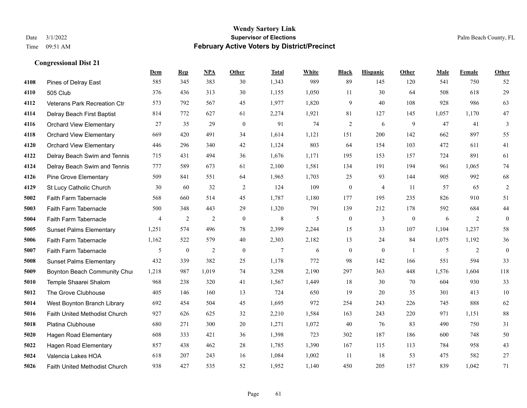|      |                                | Dem            | <b>Rep</b>       | NPA            | <b>Other</b>     | <b>Total</b>   | <b>White</b> | <b>Black</b>     | <b>Hispanic</b>  | Other          | <b>Male</b> | Female         | <b>Other</b>     |
|------|--------------------------------|----------------|------------------|----------------|------------------|----------------|--------------|------------------|------------------|----------------|-------------|----------------|------------------|
| 4108 | Pines of Delray East           | 585            | 345              | 383            | 30               | 1,343          | 989          | 89               | 145              | 120            | 541         | 750            | 52               |
| 4110 | 505 Club                       | 376            | 436              | 313            | 30               | 1,155          | 1,050        | 11               | 30               | 64             | 508         | 618            | 29               |
| 4112 | Veterans Park Recreation Ctr   | 573            | 792              | 567            | 45               | 1,977          | 1,820        | 9                | 40               | 108            | 928         | 986            | 63               |
| 4114 | Delray Beach First Baptist     | 814            | 772              | 627            | 61               | 2,274          | 1,921        | 81               | 127              | 145            | 1,057       | 1,170          | 47               |
| 4116 | <b>Orchard View Elementary</b> | 27             | 35               | 29             | $\theta$         | 91             | 74           | $\overline{2}$   | 6                | 9              | 47          | 41             | 3                |
| 4118 | <b>Orchard View Elementary</b> | 669            | 420              | 491            | 34               | 1,614          | 1,121        | 151              | 200              | 142            | 662         | 897            | 55               |
| 4120 | <b>Orchard View Elementary</b> | 446            | 296              | 340            | 42               | 1,124          | 803          | 64               | 154              | 103            | 472         | 611            | 41               |
| 4122 | Delray Beach Swim and Tennis   | 715            | 431              | 494            | 36               | 1,676          | 1,171        | 195              | 153              | 157            | 724         | 891            | 61               |
| 4124 | Delray Beach Swim and Tennis   | 777            | 589              | 673            | 61               | 2,100          | 1,581        | 134              | 191              | 194            | 961         | 1,065          | 74               |
| 4126 | <b>Pine Grove Elementary</b>   | 509            | 841              | 551            | 64               | 1,965          | 1,703        | 25               | 93               | 144            | 905         | 992            | 68               |
| 4129 | St Lucy Catholic Church        | 30             | 60               | 32             | 2                | 124            | 109          | $\mathbf{0}$     | $\overline{4}$   | 11             | 57          | 65             | $\overline{2}$   |
| 5002 | Faith Farm Tabernacle          | 568            | 660              | 514            | 45               | 1,787          | 1,180        | 177              | 195              | 235            | 826         | 910            | 51               |
| 5003 | Faith Farm Tabernacle          | 500            | 348              | 443            | 29               | 1,320          | 791          | 139              | 212              | 178            | 592         | 684            | 44               |
| 5004 | Faith Farm Tabernacle          | $\overline{4}$ | $\overline{2}$   | $\overline{2}$ | $\boldsymbol{0}$ | $\,8\,$        | 5            | $\boldsymbol{0}$ | $\mathfrak{Z}$   | $\overline{0}$ | 6           | 2              | $\mathbf{0}$     |
| 5005 | <b>Sunset Palms Elementary</b> | 1,251          | 574              | 496            | 78               | 2,399          | 2,244        | 15               | 33               | 107            | 1,104       | 1,237          | 58               |
| 5006 | Faith Farm Tabernacle          | 1,162          | 522              | 579            | 40               | 2,303          | 2,182        | 13               | 24               | 84             | 1,075       | 1,192          | 36               |
| 5007 | Faith Farm Tabernacle          | 5              | $\boldsymbol{0}$ | $\overline{2}$ | $\boldsymbol{0}$ | $\overline{7}$ | 6            | $\boldsymbol{0}$ | $\boldsymbol{0}$ | -1             | 5           | $\overline{2}$ | $\boldsymbol{0}$ |
| 5008 | <b>Sunset Palms Elementary</b> | 432            | 339              | 382            | 25               | 1,178          | 772          | 98               | 142              | 166            | 551         | 594            | 33               |
| 5009 | Boynton Beach Community Chur   | 1,218          | 987              | 1,019          | 74               | 3,298          | 2,190        | 297              | 363              | 448            | 1,576       | 1,604          | 118              |
| 5010 | Temple Shaarei Shalom          | 968            | 238              | 320            | 41               | 1,567          | 1,449        | 18               | 30               | 70             | 604         | 930            | 33               |
| 5012 | The Grove Clubhouse            | 405            | 146              | 160            | 13               | 724            | 650          | 19               | 20               | 35             | 301         | 413            | $10\,$           |
| 5014 | West Boynton Branch Library    | 692            | 454              | 504            | 45               | 1,695          | 972          | 254              | 243              | 226            | 745         | 888            | 62               |
| 5016 | Faith United Methodist Church  | 927            | 626              | 625            | 32               | 2,210          | 1,584        | 163              | 243              | 220            | 971         | 1,151          | 88               |
| 5018 | Platina Clubhouse              | 680            | 271              | 300            | 20               | 1,271          | 1,072        | 40               | 76               | 83             | 490         | 750            | 31               |
| 5020 | <b>Hagen Road Elementary</b>   | 608            | 333              | 421            | 36               | 1,398          | 723          | 302              | 187              | 186            | 600         | 748            | 50               |
| 5022 | <b>Hagen Road Elementary</b>   | 857            | 438              | 462            | 28               | 1,785          | 1,390        | 167              | 115              | 113            | 784         | 958            | 43               |
| 5024 | Valencia Lakes HOA             | 618            | 207              | 243            | 16               | 1,084          | 1,002        | 11               | 18               | 53             | 475         | 582            | 27               |
| 5026 | Faith United Methodist Church  | 938            | 427              | 535            | 52               | 1,952          | 1,140        | 450              | 205              | 157            | 839         | 1,042          | 71               |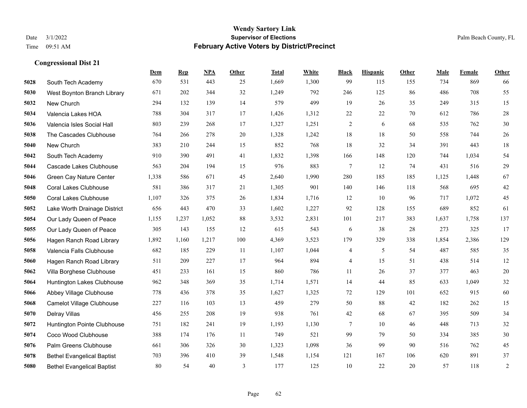|      |                                   | Dem   | <b>Rep</b> | NPA   | <b>Other</b> | <b>Total</b> | White | <b>Black</b>             | <b>Hispanic</b> | <b>Other</b> | <b>Male</b> | Female | <b>Other</b>   |
|------|-----------------------------------|-------|------------|-------|--------------|--------------|-------|--------------------------|-----------------|--------------|-------------|--------|----------------|
| 5028 | South Tech Academy                | 670   | 531        | 443   | 25           | 1,669        | 1,300 | 99                       | 115             | 155          | 734         | 869    | 66             |
| 5030 | West Boynton Branch Library       | 671   | 202        | 344   | 32           | 1,249        | 792   | 246                      | 125             | 86           | 486         | 708    | 55             |
| 5032 | New Church                        | 294   | 132        | 139   | 14           | 579          | 499   | 19                       | 26              | 35           | 249         | 315    | 15             |
| 5034 | Valencia Lakes HOA                | 788   | 304        | 317   | 17           | 1,426        | 1,312 | 22                       | 22              | 70           | 612         | 786    | $28\,$         |
| 5036 | Valencia Isles Social Hall        | 803   | 239        | 268   | 17           | 1,327        | 1,251 | $\overline{c}$           | 6               | 68           | 535         | 762    | $30\,$         |
| 5038 | The Cascades Clubhouse            | 764   | 266        | 278   | 20           | 1,328        | 1,242 | 18                       | 18              | 50           | 558         | 744    | $26\,$         |
| 5040 | New Church                        | 383   | 210        | 244   | 15           | 852          | 768   | 18                       | 32              | 34           | 391         | 443    | 18             |
| 5042 | South Tech Academy                | 910   | 390        | 491   | 41           | 1,832        | 1,398 | 166                      | 148             | 120          | 744         | 1,034  | 54             |
| 5044 | Cascade Lakes Clubhouse           | 563   | 204        | 194   | 15           | 976          | 883   | $\tau$                   | 12              | 74           | 431         | 516    | 29             |
| 5046 | Green Cay Nature Center           | 1,338 | 586        | 671   | 45           | 2,640        | 1,990 | 280                      | 185             | 185          | 1,125       | 1,448  | 67             |
| 5048 | <b>Coral Lakes Clubhouse</b>      | 581   | 386        | 317   | 21           | 1,305        | 901   | 140                      | 146             | 118          | 568         | 695    | $42\,$         |
| 5050 | <b>Coral Lakes Clubhouse</b>      | 1,107 | 326        | 375   | 26           | 1,834        | 1,716 | 12                       | 10              | 96           | 717         | 1.072  | 45             |
| 5052 | Lake Worth Drainage District      | 656   | 443        | 470   | 33           | 1,602        | 1,227 | 92                       | 128             | 155          | 689         | 852    | 61             |
| 5054 | Our Lady Queen of Peace           | 1,155 | 1,237      | 1,052 | 88           | 3,532        | 2,831 | 101                      | 217             | 383          | 1,637       | 1,758  | 137            |
| 5055 | Our Lady Queen of Peace           | 305   | 143        | 155   | 12           | 615          | 543   | 6                        | 38              | 28           | 273         | 325    | 17             |
| 5056 | Hagen Ranch Road Library          | 1,892 | 1,160      | 1,217 | 100          | 4,369        | 3,523 | 179                      | 329             | 338          | 1,854       | 2,386  | 129            |
| 5058 | Valencia Falls Clubhouse          | 682   | 185        | 229   | 11           | 1,107        | 1,044 | 4                        | 5               | 54           | 487         | 585    | 35             |
| 5060 | Hagen Ranch Road Library          | 511   | 209        | 227   | 17           | 964          | 894   | $\overline{\mathcal{A}}$ | 15              | 51           | 438         | 514    | $12\,$         |
| 5062 | Villa Borghese Clubhouse          | 451   | 233        | 161   | 15           | 860          | 786   | 11                       | 26              | 37           | 377         | 463    | $20\,$         |
| 5064 | Huntington Lakes Clubhouse        | 962   | 348        | 369   | 35           | 1,714        | 1,571 | 14                       | 44              | 85           | 633         | 1,049  | $32\,$         |
| 5066 | Abbey Village Clubhouse           | 778   | 436        | 378   | 35           | 1,627        | 1,325 | 72                       | 129             | 101          | 652         | 915    | 60             |
| 5068 | Camelot Village Clubhouse         | 227   | 116        | 103   | 13           | 459          | 279   | 50                       | 88              | 42           | 182         | 262    | 15             |
| 5070 | Delray Villas                     | 456   | 255        | 208   | 19           | 938          | 761   | 42                       | 68              | 67           | 395         | 509    | 34             |
| 5072 | Huntington Pointe Clubhouse       | 751   | 182        | 241   | 19           | 1,193        | 1,130 | 7                        | 10              | 46           | 448         | 713    | $32\,$         |
| 5074 | Coco Wood Clubhouse               | 388   | 174        | 176   | 11           | 749          | 521   | 99                       | 79              | 50           | 334         | 385    | 30             |
| 5076 | Palm Greens Clubhouse             | 661   | 306        | 326   | 30           | 1,323        | 1,098 | 36                       | 99              | 90           | 516         | 762    | 45             |
| 5078 | <b>Bethel Evangelical Baptist</b> | 703   | 396        | 410   | 39           | 1,548        | 1,154 | 121                      | 167             | 106          | 620         | 891    | 37             |
| 5080 | <b>Bethel Evangelical Baptist</b> | 80    | 54         | 40    | 3            | 177          | 125   | 10                       | 22              | 20           | 57          | 118    | $\overline{c}$ |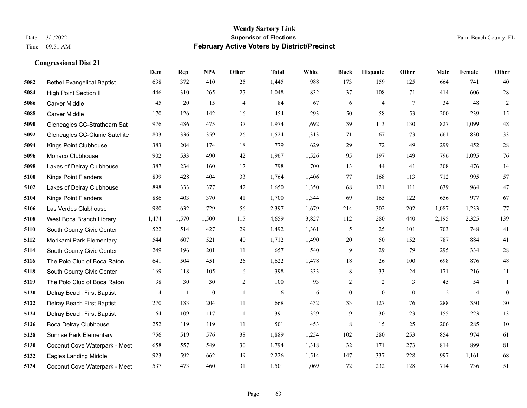|      |                                   | Dem            | <b>Rep</b>   | NPA          | <b>Other</b>   | <b>Total</b> | <b>White</b> | <b>Black</b>     | <b>Hispanic</b> | <b>Other</b> | <b>Male</b>    | <b>Female</b>  | <b>Other</b>   |
|------|-----------------------------------|----------------|--------------|--------------|----------------|--------------|--------------|------------------|-----------------|--------------|----------------|----------------|----------------|
| 5082 | <b>Bethel Evangelical Baptist</b> | 638            | 372          | 410          | 25             | 1,445        | 988          | 173              | 159             | 125          | 664            | 741            | 40             |
| 5084 | <b>High Point Section II</b>      | 446            | 310          | 265          | 27             | 1,048        | 832          | 37               | 108             | 71           | 414            | 606            | 28             |
| 5086 | <b>Carver Middle</b>              | 45             | 20           | 15           | $\overline{4}$ | 84           | 67           | 6                | $\overline{4}$  | $\tau$       | 34             | 48             | $\overline{c}$ |
| 5088 | <b>Carver Middle</b>              | 170            | 126          | 142          | 16             | 454          | 293          | 50               | 58              | 53           | 200            | 239            | 15             |
| 5090 | Gleneagles CC-Strathearn Sat      | 976            | 486          | 475          | 37             | 1,974        | 1,692        | 39               | 113             | 130          | 827            | 1.099          | 48             |
| 5092 | Gleneagles CC-Clunie Satellite    | 803            | 336          | 359          | 26             | 1,524        | 1,313        | 71               | 67              | 73           | 661            | 830            | 33             |
| 5094 | Kings Point Clubhouse             | 383            | 204          | 174          | 18             | 779          | 629          | 29               | 72              | 49           | 299            | 452            | $28\,$         |
| 5096 | Monaco Clubhouse                  | 902            | 533          | 490          | 42             | 1,967        | 1,526        | 95               | 197             | 149          | 796            | 1,095          | $76\,$         |
| 5098 | Lakes of Delray Clubhouse         | 387            | 234          | 160          | 17             | 798          | 700          | 13               | 44              | 41           | 308            | 476            | 14             |
| 5100 | <b>Kings Point Flanders</b>       | 899            | 428          | 404          | 33             | 1,764        | 1,406        | 77               | 168             | 113          | 712            | 995            | 57             |
| 5102 | Lakes of Delray Clubhouse         | 898            | 333          | 377          | 42             | 1,650        | 1,350        | 68               | 121             | 111          | 639            | 964            | $47\,$         |
| 5104 | <b>Kings Point Flanders</b>       | 886            | 403          | 370          | 41             | 1,700        | 1,344        | 69               | 165             | 122          | 656            | 977            | 67             |
| 5106 | Las Verdes Clubhouse              | 980            | 632          | 729          | 56             | 2,397        | 1,679        | 214              | 302             | 202          | 1,087          | 1,233          | 77             |
| 5108 | West Boca Branch Library          | 1,474          | 1,570        | 1,500        | 115            | 4,659        | 3,827        | 112              | 280             | 440          | 2,195          | 2,325          | 139            |
| 5110 | South County Civic Center         | 522            | 514          | 427          | 29             | 1,492        | 1,361        | 5                | 25              | 101          | 703            | 748            | 41             |
| 5112 | Morikami Park Elementary          | 544            | 607          | 521          | 40             | 1,712        | 1,490        | 20               | 50              | 152          | 787            | 884            | 41             |
| 5114 | South County Civic Center         | 249            | 196          | 201          | 11             | 657          | 540          | 9                | 29              | 79           | 295            | 334            | 28             |
| 5116 | The Polo Club of Boca Raton       | 641            | 504          | 451          | 26             | 1,622        | 1,478        | $18\,$           | 26              | 100          | 698            | 876            | $48\,$         |
| 5118 | South County Civic Center         | 169            | 118          | 105          | 6              | 398          | 333          | 8                | 33              | 24           | 171            | 216            | 11             |
| 5119 | The Polo Club of Boca Raton       | 38             | 30           | 30           | $\overline{c}$ | 100          | 93           | $\overline{c}$   | $\overline{2}$  | 3            | 45             | 54             | 1              |
| 5120 | Delray Beach First Baptist        | $\overline{4}$ | $\mathbf{1}$ | $\mathbf{0}$ | $\overline{1}$ | 6            | 6            | $\boldsymbol{0}$ | $\Omega$        | $\theta$     | $\overline{2}$ | $\overline{4}$ | $\mathbf{0}$   |
| 5122 | Delray Beach First Baptist        | 270            | 183          | 204          | 11             | 668          | 432          | 33               | 127             | 76           | 288            | 350            | $30\,$         |
| 5124 | Delray Beach First Baptist        | 164            | 109          | 117          | -1             | 391          | 329          | 9                | 30              | 23           | 155            | 223            | 13             |
| 5126 | Boca Delray Clubhouse             | 252            | 119          | 119          | 11             | 501          | 453          | $\,8\,$          | 15              | 25           | 206            | 285            | 10             |
| 5128 | <b>Sunrise Park Elementary</b>    | 756            | 519          | 576          | 38             | 1,889        | 1,254        | 102              | 280             | 253          | 854            | 974            | 61             |
| 5130 | Coconut Cove Waterpark - Meet     | 658            | 557          | 549          | 30             | 1,794        | 1,318        | 32               | 171             | 273          | 814            | 899            | 81             |
| 5132 | <b>Eagles Landing Middle</b>      | 923            | 592          | 662          | 49             | 2,226        | 1,514        | 147              | 337             | 228          | 997            | 1,161          | 68             |
| 5134 | Coconut Cove Waterpark - Meet     | 537            | 473          | 460          | 31             | 1,501        | 1,069        | 72               | 232             | 128          | 714            | 736            | 51             |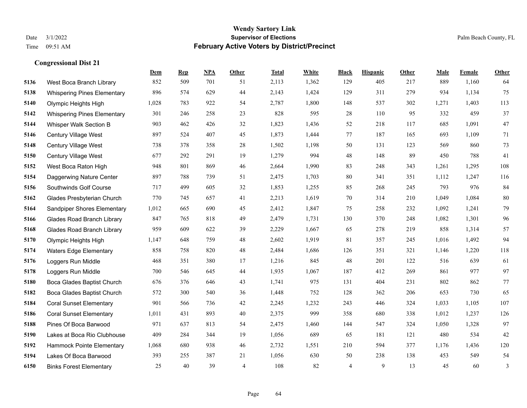|      |                                    | Dem   | <b>Rep</b> | NPA | <b>Other</b>   | <b>Total</b> | <b>White</b> | <b>Black</b> | <b>Hispanic</b> | <b>Other</b> | <b>Male</b> | Female | <b>Other</b>   |
|------|------------------------------------|-------|------------|-----|----------------|--------------|--------------|--------------|-----------------|--------------|-------------|--------|----------------|
| 5136 | West Boca Branch Library           | 852   | 509        | 701 | 51             | 2,113        | 1,362        | 129          | 405             | 217          | 889         | 1,160  | 64             |
| 5138 | <b>Whispering Pines Elementary</b> | 896   | 574        | 629 | 44             | 2,143        | 1,424        | 129          | 311             | 279          | 934         | 1,134  | 75             |
| 5140 | Olympic Heights High               | 1,028 | 783        | 922 | 54             | 2,787        | 1,800        | 148          | 537             | 302          | 1,271       | 1,403  | 113            |
| 5142 | <b>Whispering Pines Elementary</b> | 301   | 246        | 258 | 23             | 828          | 595          | 28           | 110             | 95           | 332         | 459    | 37             |
| 5144 | Whisper Walk Section B             | 903   | 462        | 426 | 32             | 1,823        | 1,436        | 52           | 218             | 117          | 685         | 1.091  | 47             |
| 5146 | Century Village West               | 897   | 524        | 407 | 45             | 1,873        | 1,444        | 77           | 187             | 165          | 693         | 1,109  | 71             |
| 5148 | Century Village West               | 738   | 378        | 358 | 28             | 1,502        | 1,198        | 50           | 131             | 123          | 569         | 860    | 73             |
| 5150 | <b>Century Village West</b>        | 677   | 292        | 291 | 19             | 1,279        | 994          | 48           | 148             | 89           | 450         | 788    | 41             |
| 5152 | West Boca Raton High               | 948   | 801        | 869 | 46             | 2,664        | 1,990        | 83           | 248             | 343          | 1,261       | 1,295  | 108            |
| 5154 | Daggerwing Nature Center           | 897   | 788        | 739 | 51             | 2,475        | 1,703        | 80           | 341             | 351          | 1,112       | 1,247  | 116            |
| 5156 | Southwinds Golf Course             | 717   | 499        | 605 | 32             | 1,853        | 1,255        | 85           | 268             | 245          | 793         | 976    | 84             |
| 5162 | Glades Presbyterian Church         | 770   | 745        | 657 | 41             | 2,213        | 1,619        | 70           | 314             | 210          | 1,049       | 1,084  | $80\,$         |
| 5164 | <b>Sandpiper Shores Elementary</b> | 1,012 | 665        | 690 | 45             | 2,412        | 1,847        | 75           | 258             | 232          | 1,092       | 1,241  | 79             |
| 5166 | <b>Glades Road Branch Library</b>  | 847   | 765        | 818 | 49             | 2,479        | 1,731        | 130          | 370             | 248          | 1,082       | 1,301  | 96             |
| 5168 | <b>Glades Road Branch Library</b>  | 959   | 609        | 622 | 39             | 2,229        | 1,667        | 65           | 278             | 219          | 858         | 1,314  | 57             |
| 5170 | Olympic Heights High               | 1,147 | 648        | 759 | 48             | 2,602        | 1,919        | 81           | 357             | 245          | 1,016       | 1,492  | 94             |
| 5174 | Waters Edge Elementary             | 858   | 758        | 820 | 48             | 2,484        | 1,686        | 126          | 351             | 321          | 1,146       | 1,220  | 118            |
| 5176 | Loggers Run Middle                 | 468   | 351        | 380 | 17             | 1,216        | 845          | 48           | 201             | 122          | 516         | 639    | 61             |
| 5178 | Loggers Run Middle                 | 700   | 546        | 645 | 44             | 1,935        | 1,067        | 187          | 412             | 269          | 861         | 977    | 97             |
| 5180 | Boca Glades Baptist Church         | 676   | 376        | 646 | 43             | 1,741        | 975          | 131          | 404             | 231          | 802         | 862    | 77             |
| 5182 | Boca Glades Baptist Church         | 572   | 300        | 540 | 36             | 1,448        | 752          | 128          | 362             | 206          | 653         | 730    | 65             |
| 5184 | <b>Coral Sunset Elementary</b>     | 901   | 566        | 736 | 42             | 2,245        | 1,232        | 243          | 446             | 324          | 1,033       | 1,105  | 107            |
| 5186 | <b>Coral Sunset Elementary</b>     | 1,011 | 431        | 893 | 40             | 2,375        | 999          | 358          | 680             | 338          | 1,012       | 1,237  | 126            |
| 5188 | Pines Of Boca Barwood              | 971   | 637        | 813 | 54             | 2,475        | 1,460        | 144          | 547             | 324          | 1,050       | 1,328  | 97             |
| 5190 | Lakes at Boca Rio Clubhouse        | 409   | 284        | 344 | 19             | 1,056        | 689          | 65           | 181             | 121          | 480         | 534    | 42             |
| 5192 | Hammock Pointe Elementary          | 1,068 | 680        | 938 | 46             | 2,732        | 1,551        | 210          | 594             | 377          | 1,176       | 1,436  | 120            |
| 5194 | Lakes Of Boca Barwood              | 393   | 255        | 387 | 21             | 1,056        | 630          | 50           | 238             | 138          | 453         | 549    | 54             |
| 6150 | <b>Binks Forest Elementary</b>     | 25    | 40         | 39  | $\overline{4}$ | 108          | 82           | 4            | 9               | 13           | 45          | 60     | $\mathfrak{Z}$ |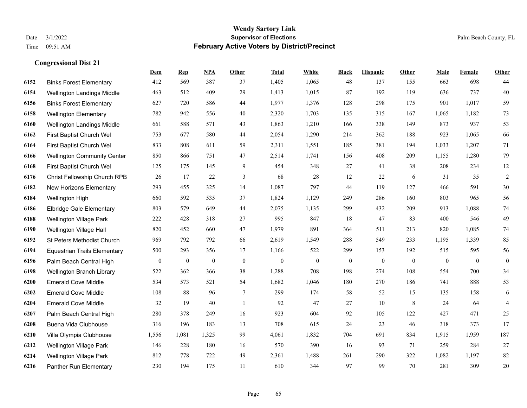|      |                                     | Dem          | <b>Rep</b>       | NPA          | <b>Other</b> | <b>Total</b> | <b>White</b>   | <b>Black</b>     | <b>Hispanic</b> | <b>Other</b> | <b>Male</b>    | <b>Female</b>  | <b>Other</b>   |
|------|-------------------------------------|--------------|------------------|--------------|--------------|--------------|----------------|------------------|-----------------|--------------|----------------|----------------|----------------|
| 6152 | <b>Binks Forest Elementary</b>      | 412          | 569              | 387          | 37           | 1,405        | 1,065          | 48               | 137             | 155          | 663            | 698            | 44             |
| 6154 | Wellington Landings Middle          | 463          | 512              | 409          | 29           | 1,413        | 1,015          | 87               | 192             | 119          | 636            | 737            | 40             |
| 6156 | <b>Binks Forest Elementary</b>      | 627          | 720              | 586          | 44           | 1,977        | 1,376          | 128              | 298             | 175          | 901            | 1,017          | 59             |
| 6158 | <b>Wellington Elementary</b>        | 782          | 942              | 556          | 40           | 2,320        | 1,703          | 135              | 315             | 167          | 1,065          | 1,182          | 73             |
| 6160 | Wellington Landings Middle          | 661          | 588              | 571          | 43           | 1,863        | 1,210          | 166              | 338             | 149          | 873            | 937            | 53             |
| 6162 | First Baptist Church Wel            | 753          | 677              | 580          | 44           | 2,054        | 1,290          | 214              | 362             | 188          | 923            | 1,065          | 66             |
| 6164 | First Baptist Church Wel            | 833          | 808              | 611          | 59           | 2,311        | 1,551          | 185              | 381             | 194          | 1,033          | 1,207          | 71             |
| 6166 | <b>Wellington Community Center</b>  | 850          | 866              | 751          | 47           | 2,514        | 1,741          | 156              | 408             | 209          | 1,155          | 1,280          | 79             |
| 6168 | First Baptist Church Wel            | 125          | 175              | 145          | 9            | 454          | 348            | 27               | 41              | 38           | 208            | 234            | 12             |
| 6176 | Christ Fellowship Church RPB        | 26           | 17               | 22           | 3            | 68           | 28             | 12               | 22              | 6            | 31             | 35             | $\overline{2}$ |
| 6182 | New Horizons Elementary             | 293          | 455              | 325          | 14           | 1,087        | 797            | 44               | 119             | 127          | 466            | 591            | 30             |
| 6184 | Wellington High                     | 660          | 592              | 535          | 37           | 1,824        | 1,129          | 249              | 286             | 160          | 803            | 965            | 56             |
| 6186 | <b>Elbridge Gale Elementary</b>     | 803          | 579              | 649          | 44           | 2,075        | 1,135          | 299              | 432             | 209          | 913            | 1,088          | 74             |
| 6188 | <b>Wellington Village Park</b>      | 222          | 428              | 318          | 27           | 995          | 847            | 18               | 47              | 83           | 400            | 546            | 49             |
| 6190 | Wellington Village Hall             | 820          | 452              | 660          | 47           | 1,979        | 891            | 364              | 511             | 213          | 820            | 1,085          | 74             |
| 6192 | St Peters Methodist Church          | 969          | 792              | 792          | 66           | 2,619        | 1,549          | 288              | 549             | 233          | 1,195          | 1,339          | 85             |
| 6194 | <b>Equestrian Trails Elementary</b> | 500          | 293              | 356          | 17           | 1,166        | 522            | 299              | 153             | 192          | 515            | 595            | 56             |
| 6196 | Palm Beach Central High             | $\mathbf{0}$ | $\boldsymbol{0}$ | $\mathbf{0}$ | $\mathbf{0}$ | $\mathbf{0}$ | $\overline{0}$ | $\boldsymbol{0}$ | $\mathbf{0}$    | $\theta$     | $\overline{0}$ | $\overline{0}$ | $\mathbf{0}$   |
| 6198 | Wellington Branch Library           | 522          | 362              | 366          | 38           | 1,288        | 708            | 198              | 274             | 108          | 554            | 700            | 34             |
| 6200 | <b>Emerald Cove Middle</b>          | 534          | 573              | 521          | 54           | 1,682        | 1,046          | 180              | 270             | 186          | 741            | 888            | 53             |
| 6202 | <b>Emerald Cove Middle</b>          | 108          | 88               | 96           | 7            | 299          | 174            | 58               | 52              | 15           | 135            | 158            | 6              |
| 6204 | <b>Emerald Cove Middle</b>          | 32           | 19               | $40\,$       | $\mathbf{1}$ | 92           | 47             | $27\,$           | 10              | $\,8\,$      | 24             | 64             | $\overline{4}$ |
| 6207 | Palm Beach Central High             | 280          | 378              | 249          | 16           | 923          | 604            | 92               | 105             | 122          | 427            | 471            | 25             |
| 6208 | Buena Vida Clubhouse                | 316          | 196              | 183          | 13           | 708          | 615            | 24               | 23              | 46           | 318            | 373            | 17             |
| 6210 | Villa Olympia Clubhouse             | 1,556        | 1,081            | 1,325        | 99           | 4,061        | 1,832          | 704              | 691             | 834          | 1,915          | 1.959          | 187            |
| 6212 | <b>Wellington Village Park</b>      | 146          | 228              | 180          | 16           | 570          | 390            | 16               | 93              | 71           | 259            | 284            | $27\,$         |
| 6214 | <b>Wellington Village Park</b>      | 812          | 778              | 722          | 49           | 2,361        | 1,488          | 261              | 290             | 322          | 1,082          | 1,197          | 82             |
| 6216 | Panther Run Elementary              | 230          | 194              | 175          | 11           | 610          | 344            | 97               | 99              | 70           | 281            | 309            | 20             |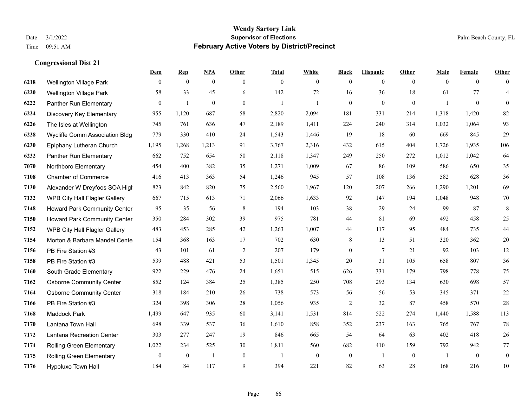|      |                                 | Dem            | <b>Rep</b>       | NPA              | <b>Other</b>   | <b>Total</b> | <b>White</b>     | <b>Black</b>     | <b>Hispanic</b> | <b>Other</b>   | <b>Male</b>  | <b>Female</b>  | <b>Other</b>     |
|------|---------------------------------|----------------|------------------|------------------|----------------|--------------|------------------|------------------|-----------------|----------------|--------------|----------------|------------------|
| 6218 | Wellington Village Park         | $\overline{0}$ | $\mathbf{0}$     | $\mathbf{0}$     | $\overline{0}$ | $\mathbf{0}$ | $\overline{0}$   | $\mathbf{0}$     | $\mathbf{0}$    | $\overline{0}$ | $\mathbf{0}$ | $\overline{0}$ | $\theta$         |
| 6220 | <b>Wellington Village Park</b>  | 58             | 33               | 45               | 6              | 142          | 72               | 16               | 36              | 18             | 61           | 77             | $\overline{4}$   |
| 6222 | Panther Run Elementary          | $\overline{0}$ | $\mathbf{1}$     | $\boldsymbol{0}$ | $\overline{0}$ | -1           | -1               | $\boldsymbol{0}$ | $\mathbf{0}$    | $\overline{0}$ | -1           | $\overline{0}$ | $\mathbf{0}$     |
| 6224 | Discovery Key Elementary        | 955            | 1,120            | 687              | 58             | 2,820        | 2,094            | 181              | 331             | 214            | 1,318        | 1,420          | 82               |
| 6226 | The Isles at Wellington         | 745            | 761              | 636              | 47             | 2,189        | 1,411            | 224              | 240             | 314            | 1,032        | 1,064          | 93               |
| 6228 | Wycliffe Comm Association Bldg  | 779            | 330              | 410              | 24             | 1,543        | 1,446            | 19               | 18              | 60             | 669          | 845            | 29               |
| 6230 | Epiphany Lutheran Church        | 1,195          | 1,268            | 1,213            | 91             | 3,767        | 2,316            | 432              | 615             | 404            | 1,726        | 1,935          | 106              |
| 6232 | Panther Run Elementary          | 662            | 752              | 654              | 50             | 2,118        | 1,347            | 249              | 250             | 272            | 1,012        | 1,042          | 64               |
| 7070 | Northboro Elementary            | 454            | 400              | 382              | 35             | 1,271        | 1,009            | 67               | 86              | 109            | 586          | 650            | 35               |
| 7108 | <b>Chamber of Commerce</b>      | 416            | 413              | 363              | 54             | 1,246        | 945              | 57               | 108             | 136            | 582          | 628            | 36               |
| 7130 | Alexander W Dreyfoos SOA High   | 823            | 842              | 820              | 75             | 2,560        | 1,967            | 120              | 207             | 266            | 1,290        | 1,201          | 69               |
| 7132 | WPB City Hall Flagler Gallery   | 667            | 715              | 613              | 71             | 2,066        | 1,633            | 92               | 147             | 194            | 1,048        | 948            | 70               |
| 7148 | Howard Park Community Center    | 95             | 35               | 56               | 8              | 194          | 103              | 38               | 29              | 24             | 99           | 87             | $\,8\,$          |
| 7150 | Howard Park Community Center    | 350            | 284              | 302              | 39             | 975          | 781              | 44               | 81              | 69             | 492          | 458            | $25\,$           |
| 7152 | WPB City Hall Flagler Gallery   | 483            | 453              | 285              | 42             | 1,263        | 1,007            | 44               | 117             | 95             | 484          | 735            | $44\,$           |
| 7154 | Morton & Barbara Mandel Cente   | 154            | 368              | 163              | 17             | 702          | 630              | 8                | 13              | 51             | 320          | 362            | $20\,$           |
| 7156 | PB Fire Station #3              | 43             | 101              | 61               | $\sqrt{2}$     | 207          | 179              | $\boldsymbol{0}$ | $\tau$          | 21             | 92           | 103            | $12\,$           |
| 7158 | PB Fire Station #3              | 539            | 488              | 421              | 53             | 1,501        | 1,345            | 20               | 31              | 105            | 658          | 807            | $36\,$           |
| 7160 | South Grade Elementary          | 922            | 229              | 476              | 24             | 1,651        | 515              | 626              | 331             | 179            | 798          | 778            | 75               |
| 7162 | <b>Osborne Community Center</b> | 852            | 124              | 384              | 25             | 1,385        | 250              | 708              | 293             | 134            | 630          | 698            | 57               |
| 7164 | <b>Osborne Community Center</b> | 318            | 184              | 210              | 26             | 738          | 573              | 56               | 56              | 53             | 345          | 371            | $22\,$           |
| 7166 | PB Fire Station #3              | 324            | 398              | 306              | 28             | 1,056        | 935              | $\overline{2}$   | 32              | 87             | 458          | 570            | $28\,$           |
| 7168 | <b>Maddock Park</b>             | 1,499          | 647              | 935              | 60             | 3,141        | 1,531            | 814              | 522             | 274            | 1,440        | 1,588          | 113              |
| 7170 | Lantana Town Hall               | 698            | 339              | 537              | 36             | 1,610        | 858              | 352              | 237             | 163            | 765          | 767            | 78               |
| 7172 | Lantana Recreation Center       | 303            | 277              | 247              | 19             | 846          | 665              | 54               | 64              | 63             | 402          | 418            | $26\,$           |
| 7174 | <b>Rolling Green Elementary</b> | 1,022          | 234              | 525              | 30             | 1,811        | 560              | 682              | 410             | 159            | 792          | 942            | 77               |
| 7175 | <b>Rolling Green Elementary</b> | $\mathbf{0}$   | $\boldsymbol{0}$ | $\overline{1}$   | $\mathbf{0}$   |              | $\boldsymbol{0}$ | $\boldsymbol{0}$ | -1              | $\mathbf{0}$   |              | $\mathbf{0}$   | $\boldsymbol{0}$ |
| 7176 | Hypoluxo Town Hall              | 184            | 84               | 117              | 9              | 394          | 221              | 82               | 63              | 28             | 168          | 216            | $10\,$           |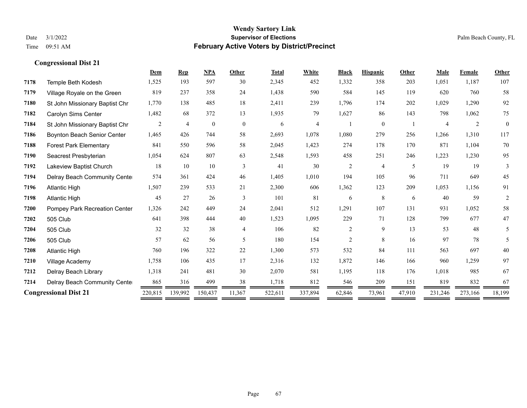|                              |                                | Dem     | <b>Rep</b>     | <b>NPA</b> | Other          | <b>Total</b> | White   | <b>Black</b>   | <b>Hispanic</b> | Other  | Male    | Female  | Other        |
|------------------------------|--------------------------------|---------|----------------|------------|----------------|--------------|---------|----------------|-----------------|--------|---------|---------|--------------|
| 7178                         | Temple Beth Kodesh             | 1,525   | 193            | 597        | 30             | 2,345        | 452     | 1,332          | 358             | 203    | 1,051   | 1,187   | 107          |
| 7179                         | Village Royale on the Green    | 819     | 237            | 358        | 24             | 1,438        | 590     | 584            | 145             | 119    | 620     | 760     | 58           |
| 7180                         | St John Missionary Baptist Chr | 1,770   | 138            | 485        | 18             | 2,411        | 239     | 1,796          | 174             | 202    | 1,029   | 1,290   | 92           |
| 7182                         | Carolyn Sims Center            | 1,482   | 68             | 372        | 13             | 1,935        | 79      | 1,627          | 86              | 143    | 798     | 1,062   | 75           |
| 7184                         | St John Missionary Baptist Chr | 2       | $\overline{4}$ | $\theta$   | $\overline{0}$ | 6            | 4       |                | $\mathbf{0}$    |        |         | 2       | $\mathbf{0}$ |
| 7186                         | Boynton Beach Senior Center    | 1,465   | 426            | 744        | 58             | 2,693        | 1,078   | 1,080          | 279             | 256    | 1,266   | 1,310   | 117          |
| 7188                         | <b>Forest Park Elementary</b>  | 841     | 550            | 596        | 58             | 2,045        | 1,423   | 274            | 178             | 170    | 871     | 1,104   | 70           |
| 7190                         | Seacrest Presbyterian          | 1,054   | 624            | 807        | 63             | 2,548        | 1,593   | 458            | 251             | 246    | 1,223   | 1,230   | 95           |
| 7192                         | Lakeview Baptist Church        | 18      | 10             | 10         | 3              | 41           | 30      | $\overline{c}$ | $\overline{4}$  | 5      | 19      | 19      | 3            |
| 7194                         | Delray Beach Community Cente   | 574     | 361            | 424        | 46             | 1,405        | 1,010   | 194            | 105             | 96     | 711     | 649     | 45           |
| 7196                         | <b>Atlantic High</b>           | 1,507   | 239            | 533        | 21             | 2,300        | 606     | 1,362          | 123             | 209    | 1,053   | 1,156   | 91           |
| 7198                         | <b>Atlantic High</b>           | 45      | 27             | 26         | 3              | 101          | 81      | 6              | $\,$ 8 $\,$     | 6      | 40      | 59      | 2            |
| 7200                         | Pompey Park Recreation Center  | 1,326   | 242            | 449        | 24             | 2,041        | 512     | 1,291          | 107             | 131    | 931     | 1,052   | 58           |
| 7202                         | 505 Club                       | 641     | 398            | 444        | 40             | 1,523        | 1,095   | 229            | 71              | 128    | 799     | 677     | 47           |
| 7204                         | 505 Club                       | 32      | 32             | 38         | $\overline{4}$ | 106          | 82      | $\overline{c}$ | 9               | 13     | 53      | 48      | 5            |
| 7206                         | 505 Club                       | 57      | 62             | 56         | 5              | 180          | 154     | $\overline{c}$ | 8               | 16     | 97      | 78      | 5            |
| 7208                         | <b>Atlantic High</b>           | 760     | 196            | 322        | 22             | 1,300        | 573     | 532            | 84              | 111    | 563     | 697     | 40           |
| 7210                         | Village Academy                | 1,758   | 106            | 435        | 17             | 2,316        | 132     | 1,872          | 146             | 166    | 960     | 1,259   | 97           |
| 7212                         | Delray Beach Library           | 1,318   | 241            | 481        | 30             | 2,070        | 581     | 1,195          | 118             | 176    | 1,018   | 985     | 67           |
| 7214                         | Delray Beach Community Cente   | 865     | 316            | 499        | 38             | 1,718        | 812     | 546            | 209             | 151    | 819     | 832     | 67           |
| <b>Congressional Dist 21</b> |                                | 220,815 | 139,992        | 150,437    | 11,367         | 522,611      | 337,894 | 62,846         | 73,961          | 47,910 | 231,246 | 273,166 | 18,199       |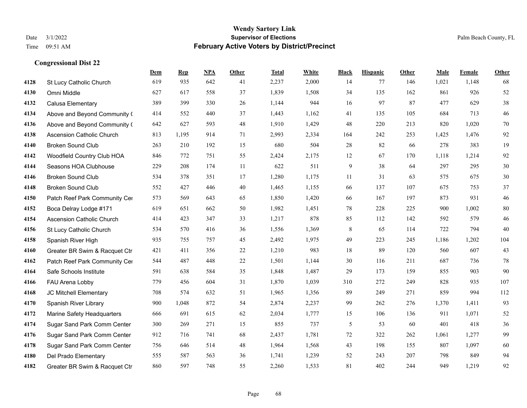|      |                                  | Dem | <b>Rep</b> | NPA | <b>Other</b> | <b>Total</b> | White | <b>Black</b>   | <b>Hispanic</b> | Other | <b>Male</b> | Female | <b>Other</b> |
|------|----------------------------------|-----|------------|-----|--------------|--------------|-------|----------------|-----------------|-------|-------------|--------|--------------|
| 4128 | St Lucy Catholic Church          | 619 | 935        | 642 | 41           | 2,237        | 2,000 | 14             | 77              | 146   | 1,021       | 1,148  | 68           |
| 4130 | Omni Middle                      | 627 | 617        | 558 | 37           | 1,839        | 1,508 | 34             | 135             | 162   | 861         | 926    | 52           |
| 4132 | Calusa Elementary                | 389 | 399        | 330 | 26           | 1,144        | 944   | 16             | 97              | 87    | 477         | 629    | 38           |
| 4134 | Above and Beyond Community (     | 414 | 552        | 440 | 37           | 1,443        | 1,162 | 41             | 135             | 105   | 684         | 713    | $46\,$       |
| 4136 | Above and Beyond Community (     | 642 | 627        | 593 | 48           | 1,910        | 1,429 | 48             | 220             | 213   | 820         | 1,020  | $70\,$       |
| 4138 | <b>Ascension Catholic Church</b> | 813 | 1,195      | 914 | 71           | 2,993        | 2,334 | 164            | 242             | 253   | 1,425       | 1,476  | 92           |
| 4140 | <b>Broken Sound Club</b>         | 263 | 210        | 192 | 15           | 680          | 504   | $28\,$         | 82              | 66    | 278         | 383    | 19           |
| 4142 | Woodfield Country Club HOA       | 846 | 772        | 751 | 55           | 2,424        | 2,175 | 12             | 67              | 170   | 1,118       | 1,214  | 92           |
| 4144 | Seasons HOA Clubhouse            | 229 | 208        | 174 | 11           | 622          | 511   | 9              | 38              | 64    | 297         | 295    | 30           |
| 4146 | <b>Broken Sound Club</b>         | 534 | 378        | 351 | 17           | 1,280        | 1,175 | 11             | 31              | 63    | 575         | 675    | 30           |
| 4148 | <b>Broken Sound Club</b>         | 552 | 427        | 446 | 40           | 1,465        | 1,155 | 66             | 137             | 107   | 675         | 753    | 37           |
| 4150 | Patch Reef Park Community Cer    | 573 | 569        | 643 | 65           | 1,850        | 1,420 | 66             | 167             | 197   | 873         | 931    | $46\,$       |
| 4152 | Boca Delray Lodge #171           | 619 | 651        | 662 | 50           | 1,982        | 1,451 | 78             | 228             | 225   | 900         | 1.002  | $80\,$       |
| 4154 | <b>Ascension Catholic Church</b> | 414 | 423        | 347 | 33           | 1,217        | 878   | 85             | 112             | 142   | 592         | 579    | $46\,$       |
| 4156 | St Lucy Catholic Church          | 534 | 570        | 416 | 36           | 1,556        | 1,369 | 8              | 65              | 114   | 722         | 794    | $40\,$       |
| 4158 | Spanish River High               | 935 | 755        | 757 | 45           | 2,492        | 1,975 | 49             | 223             | 245   | 1,186       | 1,202  | 104          |
| 4160 | Greater BR Swim & Racquet Ctr    | 421 | 411        | 356 | $22\,$       | 1,210        | 983   | 18             | 89              | 120   | 560         | 607    | 43           |
| 4162 | Patch Reef Park Community Cer    | 544 | 487        | 448 | 22           | 1,501        | 1,144 | 30             | 116             | 211   | 687         | 736    | 78           |
| 4164 | Safe Schools Institute           | 591 | 638        | 584 | 35           | 1,848        | 1,487 | 29             | 173             | 159   | 855         | 903    | 90           |
| 4166 | FAU Arena Lobby                  | 779 | 456        | 604 | 31           | 1,870        | 1,039 | 310            | 272             | 249   | 828         | 935    | 107          |
| 4168 | <b>JC Mitchell Elementary</b>    | 708 | 574        | 632 | 51           | 1,965        | 1,356 | 89             | 249             | 271   | 859         | 994    | 112          |
| 4170 | Spanish River Library            | 900 | 1,048      | 872 | 54           | 2,874        | 2,237 | 99             | 262             | 276   | 1,370       | 1,411  | 93           |
| 4172 | Marine Safety Headquarters       | 666 | 691        | 615 | 62           | 2,034        | 1,777 | 15             | 106             | 136   | 911         | 1,071  | 52           |
| 4174 | Sugar Sand Park Comm Center      | 300 | 269        | 271 | 15           | 855          | 737   | $\mathfrak{H}$ | 53              | 60    | 401         | 418    | 36           |
| 4176 | Sugar Sand Park Comm Center      | 912 | 716        | 741 | 68           | 2,437        | 1,781 | 72             | 322             | 262   | 1,061       | 1,277  | 99           |
| 4178 | Sugar Sand Park Comm Center      | 756 | 646        | 514 | 48           | 1,964        | 1,568 | 43             | 198             | 155   | 807         | 1,097  | 60           |
| 4180 | Del Prado Elementary             | 555 | 587        | 563 | 36           | 1,741        | 1,239 | 52             | 243             | 207   | 798         | 849    | 94           |
| 4182 | Greater BR Swim & Racquet Ctr    | 860 | 597        | 748 | 55           | 2,260        | 1,533 | 81             | 402             | 244   | 949         | 1,219  | 92           |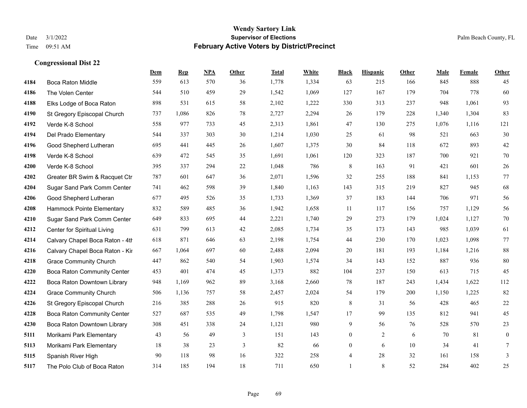|      |                                 | Dem | <b>Rep</b> | NPA | <b>Other</b> | <b>Total</b> | <b>White</b> | <b>Black</b>             | <b>Hispanic</b> | Other | <b>Male</b> | <b>Female</b> | <b>Other</b>     |
|------|---------------------------------|-----|------------|-----|--------------|--------------|--------------|--------------------------|-----------------|-------|-------------|---------------|------------------|
| 4184 | <b>Boca Raton Middle</b>        | 559 | 613        | 570 | 36           | 1,778        | 1,334        | 63                       | 215             | 166   | 845         | 888           | 45               |
| 4186 | The Volen Center                | 544 | 510        | 459 | 29           | 1,542        | 1,069        | 127                      | 167             | 179   | 704         | 778           | 60               |
| 4188 | Elks Lodge of Boca Raton        | 898 | 531        | 615 | 58           | 2,102        | 1,222        | 330                      | 313             | 237   | 948         | 1,061         | 93               |
| 4190 | St Gregory Episcopal Church     | 737 | 1,086      | 826 | 78           | 2,727        | 2,294        | 26                       | 179             | 228   | 1,340       | 1,304         | 83               |
| 4192 | Verde K-8 School                | 558 | 977        | 733 | 45           | 2,313        | 1,861        | 47                       | 130             | 275   | 1,076       | 1,116         | 121              |
| 4194 | Del Prado Elementary            | 544 | 337        | 303 | 30           | 1,214        | 1,030        | 25                       | 61              | 98    | 521         | 663           | $30\,$           |
| 4196 | Good Shepherd Lutheran          | 695 | 441        | 445 | 26           | 1,607        | 1,375        | 30                       | 84              | 118   | 672         | 893           | $42\,$           |
| 4198 | Verde K-8 School                | 639 | 472        | 545 | 35           | 1,691        | 1,061        | 120                      | 323             | 187   | 700         | 921           | 70               |
| 4200 | Verde K-8 School                | 395 | 337        | 294 | $22\,$       | 1,048        | 786          | $\,8\,$                  | 163             | 91    | 421         | 601           | $26\,$           |
| 4202 | Greater BR Swim & Racquet Ctr   | 787 | 601        | 647 | 36           | 2,071        | 1,596        | 32                       | 255             | 188   | 841         | 1,153         | 77               |
| 4204 | Sugar Sand Park Comm Center     | 741 | 462        | 598 | 39           | 1,840        | 1,163        | 143                      | 315             | 219   | 827         | 945           | 68               |
| 4206 | Good Shepherd Lutheran          | 677 | 495        | 526 | 35           | 1,733        | 1,369        | 37                       | 183             | 144   | 706         | 971           | 56               |
| 4208 | Hammock Pointe Elementary       | 832 | 589        | 485 | 36           | 1,942        | 1,658        | 11                       | 117             | 156   | 757         | 1,129         | 56               |
| 4210 | Sugar Sand Park Comm Center     | 649 | 833        | 695 | 44           | 2,221        | 1,740        | 29                       | 273             | 179   | 1,024       | 1,127         | $70\,$           |
| 4212 | Center for Spiritual Living     | 631 | 799        | 613 | 42           | 2,085        | 1,734        | 35                       | 173             | 143   | 985         | 1,039         | 61               |
| 4214 | Calvary Chapel Boca Raton - 4th | 618 | 871        | 646 | 63           | 2,198        | 1,754        | 44                       | 230             | 170   | 1,023       | 1,098         | 77               |
| 4216 | Calvary Chapel Boca Raton - Kir | 667 | 1,064      | 697 | 60           | 2,488        | 2,094        | $20\,$                   | 181             | 193   | 1,184       | 1,216         | $88\,$           |
| 4218 | <b>Grace Community Church</b>   | 447 | 862        | 540 | 54           | 1,903        | 1,574        | 34                       | 143             | 152   | 887         | 936           | $80\,$           |
| 4220 | Boca Raton Community Center     | 453 | 401        | 474 | 45           | 1,373        | 882          | 104                      | 237             | 150   | 613         | 715           | 45               |
| 4222 | Boca Raton Downtown Library     | 948 | 1,169      | 962 | 89           | 3,168        | 2,660        | 78                       | 187             | 243   | 1,434       | 1,622         | 112              |
| 4224 | <b>Grace Community Church</b>   | 506 | 1,136      | 757 | 58           | 2,457        | 2,024        | 54                       | 179             | 200   | 1,150       | 1,225         | 82               |
| 4226 | St Gregory Episcopal Church     | 216 | 385        | 288 | 26           | 915          | 820          | $\,$ 8 $\,$              | 31              | 56    | 428         | 465           | $22\,$           |
| 4228 | Boca Raton Community Center     | 527 | 687        | 535 | 49           | 1,798        | 1,547        | 17                       | 99              | 135   | 812         | 941           | 45               |
| 4230 | Boca Raton Downtown Library     | 308 | 451        | 338 | 24           | 1,121        | 980          | 9                        | 56              | 76    | 528         | 570           | 23               |
| 5111 | Morikami Park Elementary        | 43  | 56         | 49  | 3            | 151          | 143          | $\boldsymbol{0}$         | $\overline{2}$  | 6     | 70          | 81            | $\boldsymbol{0}$ |
| 5113 | Morikami Park Elementary        | 18  | 38         | 23  | 3            | 82           | 66           | $\boldsymbol{0}$         | 6               | 10    | 34          | 41            | $7\phantom{.0}$  |
| 5115 | Spanish River High              | 90  | 118        | 98  | 16           | 322          | 258          | $\overline{\mathcal{A}}$ | 28              | 32    | 161         | 158           | 3                |
| 5117 | The Polo Club of Boca Raton     | 314 | 185        | 194 | 18           | 711          | 650          | $\mathbf{1}$             | 8               | 52    | 284         | 402           | 25               |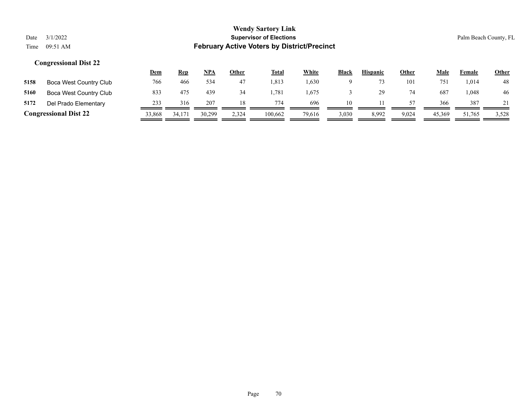|                              |                        | <u>Dem</u> | <b>Rep</b> | $NPA$  | <b>Other</b> | <b>Total</b> | <b>White</b> | <b>Black</b> | <b>Hispanic</b> | <b>Other</b> | Male            | Female | <u>Other</u> |
|------------------------------|------------------------|------------|------------|--------|--------------|--------------|--------------|--------------|-----------------|--------------|-----------------|--------|--------------|
| 5158                         | Boca West Country Club | 766        | 466        | 534    | 47           | 1.813        | .,630        |              |                 | 101          | 75 <sub>1</sub> | 1.014  | 48           |
| 5160                         | Boca West Country Club | 833        | 475        | 439    | 34           | .781         | .675         |              |                 | 74           | 687             | .048   | 46           |
| 5172                         | Del Prado Elementary   | 233        | 316        | 207    |              | 774          | 696          | 10           |                 | 57           | 366             | 387    |              |
| <b>Congressional Dist 22</b> |                        | 33,868     | 34.171     | 30,299 | 2,324        | 100,662      | 79,616       | 3,030        | 8,992           | 9,024        | 45,369          | 51,765 | 3,528        |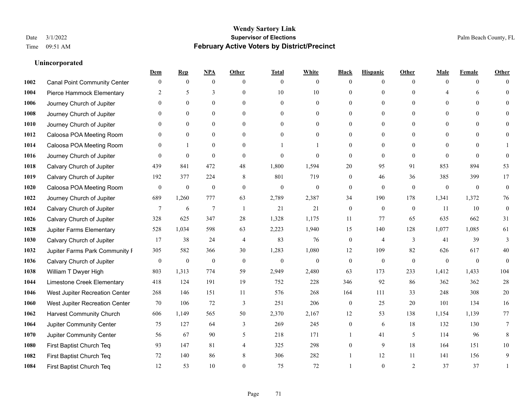### **Unincorporated**

|      |                                     | Dem              | <b>Rep</b>       | NPA              | <b>Other</b>   | <b>Total</b>     | <b>White</b>     | <b>Black</b>     | <b>Hispanic</b>  | <b>Other</b> | Male           | <b>Female</b>  | <b>Other</b>     |
|------|-------------------------------------|------------------|------------------|------------------|----------------|------------------|------------------|------------------|------------------|--------------|----------------|----------------|------------------|
| 1002 | <b>Canal Point Community Center</b> | $\mathbf{0}$     | $\mathbf{0}$     | $\mathbf{0}$     | $\theta$       | $\overline{0}$   | $\overline{0}$   | $\Omega$         | $\overline{0}$   | $\theta$     | $\theta$       | $\overline{0}$ | $\Omega$         |
| 1004 | Pierce Hammock Elementary           | 2                | 5                | 3                | $\theta$       | 10               | 10               | $\theta$         | $\overline{0}$   | $\Omega$     |                | 6              | $\theta$         |
| 1006 | Journey Church of Jupiter           | $\Omega$         | $\theta$         | $\theta$         | $\Omega$       | $\Omega$         | $\theta$         | $\Omega$         | $\Omega$         | $\Omega$     | $\Omega$       | $\Omega$       |                  |
| 1008 | Journey Church of Jupiter           |                  | $\mathbf{0}$     | $\mathbf{0}$     | $\mathbf{0}$   | $\mathbf{0}$     | $\overline{0}$   | $\theta$         | $\overline{0}$   | $\theta$     | $\mathbf{0}$   | $\theta$       |                  |
| 1010 | Journey Church of Jupiter           | $\Omega$         | $\theta$         | $\mathbf{0}$     | $\theta$       | $\theta$         | $\overline{0}$   | 0                | $\overline{0}$   | $\Omega$     | $\theta$       | $\theta$       | $\Omega$         |
| 1012 | Caloosa POA Meeting Room            | 0                | $\mathbf{0}$     | $\mathbf{0}$     | $\theta$       | $\theta$         | $\overline{0}$   | $\theta$         | $\overline{0}$   | $\Omega$     | $\overline{0}$ | $\Omega$       |                  |
| 1014 | Caloosa POA Meeting Room            | $\Omega$         | $\mathbf{1}$     | $\mathbf{0}$     | $\mathbf{0}$   |                  |                  | $\theta$         | $\mathbf{0}$     | $\theta$     | $\overline{0}$ | $\theta$       |                  |
| 1016 | Journey Church of Jupiter           | $\Omega$         | $\mathbf{0}$     | $\theta$         | $\theta$       | $\mathbf{0}$     | $\Omega$         | $\mathbf{0}$     | $\overline{0}$   | $\Omega$     | $\Omega$       | $\Omega$       | $\theta$         |
| 1018 | Calvary Church of Jupiter           | 439              | 841              | 472              | 48             | 1,800            | 1,594            | 20               | 95               | 91           | 853            | 894            | 53               |
| 1019 | Calvary Church of Jupiter           | 192              | 377              | 224              | 8              | 801              | 719              | $\theta$         | 46               | 36           | 385            | 399            | 17               |
| 1020 | Caloosa POA Meeting Room            | $\boldsymbol{0}$ | $\boldsymbol{0}$ | $\boldsymbol{0}$ | $\mathbf{0}$   | $\mathbf{0}$     | $\boldsymbol{0}$ | $\mathbf{0}$     | $\overline{0}$   | $\mathbf{0}$ | $\mathbf{0}$   | $\overline{0}$ | $\mathbf{0}$     |
| 1022 | Journey Church of Jupiter           | 689              | 1,260            | 777              | 63             | 2,789            | 2,387            | 34               | 190              | 178          | 1,341          | 1,372          | 76               |
| 1024 | Calvary Church of Jupiter           | 7                | 6                | $\overline{7}$   | $\overline{1}$ | 21               | 21               | $\mathbf{0}$     | $\mathbf{0}$     | $\theta$     | 11             | 10             | $\boldsymbol{0}$ |
| 1026 | Calvary Church of Jupiter           | 328              | 625              | 347              | $28\,$         | 1,328            | 1,175            | 11               | 77               | 65           | 635            | 662            | 31               |
| 1028 | Jupiter Farms Elementary            | 528              | 1,034            | 598              | 63             | 2,223            | 1,940            | 15               | 140              | 128          | 1,077          | 1,085          | 61               |
| 1030 | Calvary Church of Jupiter           | 17               | 38               | 24               | $\overline{4}$ | 83               | 76               | $\overline{0}$   | 4                | 3            | 41             | 39             | 3                |
| 1032 | Jupiter Farms Park Community I      | 305              | 582              | 366              | 30             | 1,283            | 1,080            | 12               | 109              | 82           | 626            | 617            | 40               |
| 1036 | Calvary Church of Jupiter           | $\boldsymbol{0}$ | $\boldsymbol{0}$ | $\boldsymbol{0}$ | $\mathbf{0}$   | $\boldsymbol{0}$ | $\boldsymbol{0}$ | $\boldsymbol{0}$ | $\boldsymbol{0}$ | $\mathbf{0}$ | $\mathbf{0}$   | $\overline{0}$ | $\mathbf{0}$     |
| 1038 | William T Dwyer High                | 803              | 1,313            | 774              | 59             | 2,949            | 2,480            | 63               | 173              | 233          | 1,412          | 1,433          | 104              |
| 1044 | Limestone Creek Elementary          | 418              | 124              | 191              | 19             | 752              | 228              | 346              | 92               | 86           | 362            | 362            | 28               |
| 1046 | West Jupiter Recreation Center      | 268              | 146              | 151              | 11             | 576              | 268              | 164              | 111              | 33           | 248            | 308            | $20\,$           |
| 1060 | West Jupiter Recreation Center      | 70               | 106              | 72               | 3              | 251              | 206              | $\boldsymbol{0}$ | 25               | 20           | 101            | 134            | 16               |
| 1062 | <b>Harvest Community Church</b>     | 606              | 1,149            | 565              | 50             | 2,370            | 2,167            | 12               | 53               | 138          | 1,154          | 1,139          | 77               |
| 1064 | Jupiter Community Center            | 75               | 127              | 64               | 3              | 269              | 245              | $\overline{0}$   | 6                | 18           | 132            | 130            | $\tau$           |
| 1070 | Jupiter Community Center            | 56               | 67               | 90               | 5              | 218              | 171              |                  | 41               | 5            | 114            | 96             | 8                |
| 1080 | First Baptist Church Teq            | 93               | 147              | 81               | $\overline{4}$ | 325              | 298              | $\theta$         | 9                | 18           | 164            | 151            | 10               |
| 1082 | First Baptist Church Teq            | 72               | 140              | 86               | 8              | 306              | 282              |                  | 12               | 11           | 141            | 156            | 9                |
| 1084 | First Baptist Church Teq            | 12               | 53               | 10               | $\Omega$       | 75               | 72               |                  | $\theta$         | 2            | 37             | 37             |                  |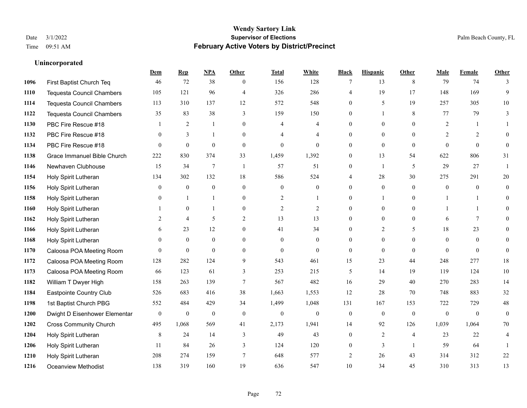**Unincorporated**

### **Wendy Sartory Link** Date 3/1/2022 **Supervisor of Elections** Palm Beach County, FL Time 09:51 AM **February Active Voters by District/Precinct**

|      |                                  | <b>Dem</b>     | <b>Rep</b>       | NPA              | <b>Other</b>     | <b>Total</b>     | White            | <b>Black</b>     | <b>Hispanic</b> | <b>Other</b>   | <b>Male</b>    | Female       | Other            |
|------|----------------------------------|----------------|------------------|------------------|------------------|------------------|------------------|------------------|-----------------|----------------|----------------|--------------|------------------|
| 1096 | First Baptist Church Teq         | 46             | 72               | 38               | $\theta$         | 156              | 128              | 7                | 13              | 8              | 79             | 74           | $\mathcal{E}$    |
| 1110 | <b>Tequesta Council Chambers</b> | 105            | 121              | 96               | $\overline{4}$   | 326              | 286              | 4                | 19              | 17             | 148            | 169          | 9                |
| 1114 | <b>Tequesta Council Chambers</b> | 113            | 310              | 137              | 12               | 572              | 548              | $\theta$         | 5               | 19             | 257            | 305          | 10               |
| 1122 | <b>Tequesta Council Chambers</b> | 35             | 83               | 38               | 3                | 159              | 150              | $\boldsymbol{0}$ | $\mathbf{1}$    | 8              | 77             | 79           | 3                |
| 1130 | PBC Fire Rescue #18              |                | $\overline{2}$   | 1                | $\theta$         | 4                | 4                | $\mathbf{0}$     | $\Omega$        | $\Omega$       | 2              |              |                  |
| 1132 | PBC Fire Rescue #18              | $\theta$       | 3                | 1                | $\overline{0}$   | 4                | 4                | $\boldsymbol{0}$ | $\mathbf{0}$    | $\theta$       | 2              | 2            | $\theta$         |
| 1134 | PBC Fire Rescue #18              | $\mathbf{0}$   | $\overline{0}$   | $\mathbf{0}$     | $\theta$         | $\mathbf{0}$     | $\overline{0}$   | $\boldsymbol{0}$ | $\mathbf{0}$    | $\overline{0}$ | $\theta$       | $\theta$     | $\theta$         |
| 1138 | Grace Immanuel Bible Church      | 222            | 830              | 374              | 33               | 1,459            | 1,392            | $\mathbf{0}$     | 13              | 54             | 622            | 806          | 31               |
| 1146 | Newhaven Clubhouse               | 15             | 34               | $7\phantom{.0}$  | -1               | 57               | 51               | $\boldsymbol{0}$ | 1               | 5              | 29             | 27           |                  |
| 1154 | Holy Spirit Lutheran             | 134            | 302              | 132              | 18               | 586              | 524              | 4                | 28              | 30             | 275            | 291          | 20               |
| 1156 | Holy Spirit Lutheran             | $\mathbf{0}$   | $\boldsymbol{0}$ | $\boldsymbol{0}$ | $\mathbf{0}$     | $\overline{0}$   | $\overline{0}$   | $\mathbf{0}$     | $\mathbf{0}$    | $\Omega$       | $\overline{0}$ | $\Omega$     | $\boldsymbol{0}$ |
| 1158 | Holy Spirit Lutheran             | $\overline{0}$ | 1                | 1                | $\mathbf{0}$     | $\overline{2}$   | 1                | $\boldsymbol{0}$ |                 | $\overline{0}$ |                |              | $\mathbf{0}$     |
| 1160 | Holy Spirit Lutheran             |                | $\overline{0}$   | 1                | $\overline{0}$   | $\overline{2}$   | $\overline{c}$   | $\boldsymbol{0}$ | $\overline{0}$  | $\theta$       | 1              |              | $\mathbf{0}$     |
| 1162 | Holy Spirit Lutheran             | 2              | 4                | 5                | 2                | 13               | 13               | $\mathbf{0}$     | $\overline{0}$  | $\Omega$       | 6              | 7            | $\Omega$         |
| 1166 | Holy Spirit Lutheran             | 6              | 23               | 12               | $\Omega$         | 41               | 34               | $\theta$         | $\overline{2}$  | 5              | 18             | 23           | $\mathbf{0}$     |
| 1168 | Holy Spirit Lutheran             | $\Omega$       | $\Omega$         | $\overline{0}$   | $\theta$         | $\Omega$         | $\overline{0}$   | $\theta$         | $\theta$        | $\Omega$       | $\theta$       | $\Omega$     | $\overline{0}$   |
| 1170 | Caloosa POA Meeting Room         | $\theta$       | $\boldsymbol{0}$ | $\boldsymbol{0}$ | $\boldsymbol{0}$ | $\boldsymbol{0}$ | $\boldsymbol{0}$ | $\boldsymbol{0}$ | $\mathbf{0}$    | $\overline{0}$ | $\overline{0}$ | $\theta$     | $\mathbf{0}$     |
| 1172 | Caloosa POA Meeting Room         | 128            | 282              | 124              | 9                | 543              | 461              | 15               | 23              | 44             | 248            | 277          | 18               |
| 1173 | Caloosa POA Meeting Room         | 66             | 123              | 61               | 3                | 253              | 215              | 5                | 14              | 19             | 119            | 124          | 10               |
| 1182 | William T Dwyer High             | 158            | 263              | 139              | $\tau$           | 567              | 482              | 16               | 29              | 40             | 270            | 283          | 14               |
| 1184 | Eastpointe Country Club          | 526            | 683              | 416              | 38               | 1,663            | 1,553            | 12               | 28              | 70             | 748            | 883          | 32               |
| 1198 | 1st Baptist Church PBG           | 552            | 484              | 429              | 34               | 1,499            | 1,048            | 131              | 167             | 153            | 722            | 729          | 48               |
| 1200 | Dwight D Eisenhower Elementar    | $\mathbf{0}$   | $\boldsymbol{0}$ | $\mathbf{0}$     | $\boldsymbol{0}$ | $\boldsymbol{0}$ | $\boldsymbol{0}$ | $\boldsymbol{0}$ | $\mathbf{0}$    | $\mathbf{0}$   | $\overline{0}$ | $\mathbf{0}$ | $\mathbf{0}$     |
| 1202 | <b>Cross Community Church</b>    | 495            | 1,068            | 569              | 41               | 2,173            | 1,941            | 14               | 92              | 126            | 1,039          | 1,064        | 70               |
| 1204 | Holy Spirit Lutheran             | 8              | 24               | 14               | 3                | 49               | 43               | $\boldsymbol{0}$ | $\overline{c}$  | 4              | 23             | 22           | $\overline{4}$   |
| 1206 | Holy Spirit Lutheran             | 11             | 84               | 26               | 3                | 124              | 120              | $\boldsymbol{0}$ | 3               | $\overline{1}$ | 59             | 64           |                  |
| 1210 | Holy Spirit Lutheran             | 208            | 274              | 159              | $\tau$           | 648              | 577              | $\overline{2}$   | 26              | 43             | 314            | 312          | $22\,$           |
| 1216 | Oceanview Methodist              | 138            | 319              | 160              | 19               | 636              | 547              | 10               | 34              | 45             | 310            | 313          | 13               |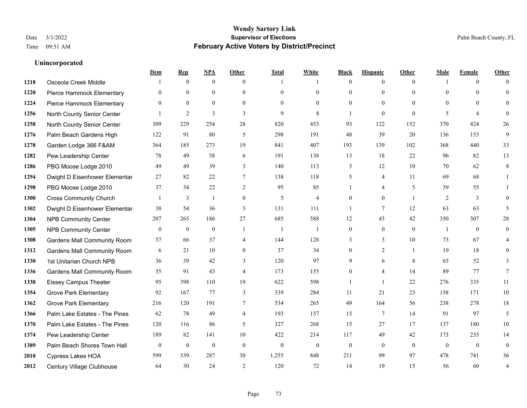|      |                                    | Dem              | <b>Rep</b>       | NPA              | <b>Other</b>   | <b>Total</b> | <b>White</b>   | <b>Black</b>   | <b>Hispanic</b> | <b>Other</b>   | <b>Male</b>    | <b>Female</b>  | <b>Other</b>     |
|------|------------------------------------|------------------|------------------|------------------|----------------|--------------|----------------|----------------|-----------------|----------------|----------------|----------------|------------------|
| 1218 | Osceola Creek Middle               |                  | $\mathbf{0}$     | $\boldsymbol{0}$ | $\theta$       | 1            | 1              | $\mathbf{0}$   | $\overline{0}$  | $\theta$       | $\mathbf{1}$   | $\overline{0}$ | $\Omega$         |
| 1220 | Pierce Hammock Elementary          | $\theta$         | $\mathbf{0}$     | $\mathbf{0}$     | $\Omega$       | $\theta$     | $\overline{0}$ | $\theta$       | $\mathbf{0}$    | $\Omega$       | $\theta$       | $\theta$       | $\theta$         |
| 1224 | Pierce Hammock Elementary          | $\Omega$         | $\theta$         | $\theta$         | $\theta$       | $\Omega$     | $\Omega$       | $\Omega$       | $\theta$        | $\Omega$       | $\Omega$       | $\Omega$       | $\Omega$         |
| 1256 | North County Senior Center         |                  | $\overline{2}$   | 3                | 3              | 9            | 8              | $\overline{1}$ | $\mathbf{0}$    | $\theta$       | 5              | $\overline{4}$ | $\theta$         |
| 1258 | North County Senior Center         | 309              | 229              | 254              | 28             | 820          | 453            | 93             | 122             | 152            | 370            | 424            | $26\,$           |
| 1276 | Palm Beach Gardens High            | 122              | 91               | 80               | 5              | 298          | 191            | 48             | 39              | 20             | 136            | 153            | 9                |
| 1278 | Garden Lodge 366 F&AM              | 364              | 185              | 273              | 19             | 841          | 407            | 193            | 139             | 102            | 368            | 440            | 33               |
| 1282 | Pew Leadership Center              | 78               | 49               | 58               | 6              | 191          | 138            | 13             | 18              | 22             | 96             | 82             | 13               |
| 1286 | PBG Moose Lodge 2010               | 49               | 49               | 39               | 3              | 140          | 113            | 5              | 12              | 10             | 70             | 62             | 8                |
| 1294 | Dwight D Eisenhower Elementar      | 27               | 82               | 22               | $\tau$         | 138          | 118            | 5              | 4               | 11             | 69             | 68             | 1                |
| 1298 | PBG Moose Lodge 2010               | 37               | 34               | 22               | 2              | 95           | 85             | $\mathbf{1}$   | $\overline{4}$  | 5              | 39             | 55             | 1                |
| 1300 | <b>Cross Community Church</b>      |                  | 3                | $\mathbf{1}$     | $\mathbf{0}$   | 5            | $\overline{4}$ | $\theta$       | $\theta$        | $\overline{1}$ | $\overline{2}$ | 3              | $\theta$         |
| 1302 | Dwight D Eisenhower Elementar      | 38               | 54               | 36               | 3              | 131          | 111            | $\mathbf{1}$   | $\tau$          | 12             | 63             | 63             | 5                |
| 1304 | <b>NPB Community Center</b>        | 207              | 265              | 186              | 27             | 685          | 588            | 12             | 43              | 42             | 350            | 307            | $28\,$           |
| 1305 | <b>NPB Community Center</b>        | $\boldsymbol{0}$ | $\mathbf{0}$     | $\mathbf{0}$     | -1             | $\mathbf{1}$ | $\mathbf{1}$   | $\mathbf{0}$   | $\mathbf{0}$    | $\mathbf{0}$   | -1             | $\theta$       | $\mathbf{0}$     |
| 1308 | <b>Gardens Mall Community Room</b> | 37               | 66               | 37               | 4              | 144          | 128            | 3              | 3               | 10             | 73             | 67             | 4                |
| 1312 | <b>Gardens Mall Community Room</b> | 6                | 21               | 10               | $\mathbf{0}$   | 37           | 34             | $\mathbf{0}$   | $\overline{2}$  | $\overline{1}$ | 19             | 18             | $\theta$         |
| 1330 | 1st Unitarian Church NPB           | 36               | 39               | 42               | 3              | 120          | 97             | 9              | 6               | 8              | 65             | 52             | 3                |
| 1336 | <b>Gardens Mall Community Room</b> | 35               | 91               | 43               | $\overline{4}$ | 173          | 155            | $\mathbf{0}$   | 4               | 14             | 89             | 77             | 7                |
| 1338 | <b>Eissey Campus Theater</b>       | 95               | 398              | 110              | 19             | 622          | 598            | $\mathbf{1}$   | $\mathbf{1}$    | 22             | 276            | 335            | 11               |
| 1354 | <b>Grove Park Elementary</b>       | 92               | 167              | 77               | 3              | 339          | 284            | 11             | 21              | 23             | 158            | 171            | 10               |
| 1362 | <b>Grove Park Elementary</b>       | 216              | 120              | 191              | 7              | 534          | 265            | 49             | 164             | 56             | 238            | 278            | $18\,$           |
| 1366 | Palm Lake Estates - The Pines      | 62               | 78               | 49               | $\overline{4}$ | 193          | 157            | 15             | $7\phantom{.0}$ | 14             | 91             | 97             | 5                |
| 1370 | Palm Lake Estates - The Pines      | 120              | 116              | 86               | 5              | 327          | 268            | 15             | 27              | 17             | 137            | 180            | 10               |
| 1374 | Pew Leadership Center              | 189              | 82               | 141              | 10             | 422          | 214            | 117            | 49              | 42             | 173            | 235            | 14               |
| 1389 | Palm Beach Shores Town Hall        | $\mathbf{0}$     | $\boldsymbol{0}$ | $\mathbf{0}$     | $\mathbf{0}$   | $\mathbf{0}$ | $\mathbf{0}$   | $\mathbf{0}$   | $\mathbf{0}$    | $\theta$       | $\mathbf{0}$   | $\mathbf{0}$   | $\boldsymbol{0}$ |
| 2010 | Cypress Lakes HOA                  | 599              | 339              | 287              | 30             | 1,255        | 848            | 211            | 99              | 97             | 478            | 741            | 36               |
| 2012 | Century Village Clubhouse          | 64               | 30               | 24               | $\overline{2}$ | 120          | 72             | 14             | 19              | 15             | 56             | 60             | 4                |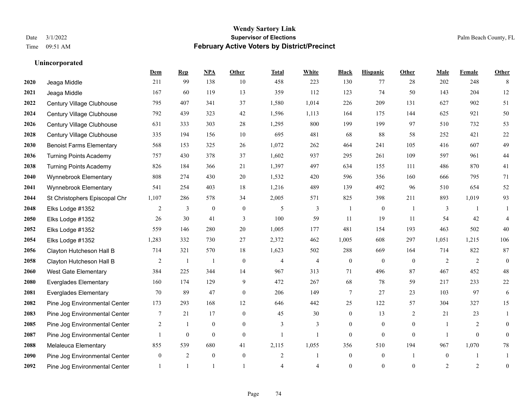|      |                                 | Dem            | <b>Rep</b>       | NPA              | <b>Other</b>   | <b>Total</b>   | <b>White</b>   | <b>Black</b>   | <b>Hispanic</b> | <b>Other</b>   | <b>Male</b>  | <b>Female</b>    | <b>Other</b>     |
|------|---------------------------------|----------------|------------------|------------------|----------------|----------------|----------------|----------------|-----------------|----------------|--------------|------------------|------------------|
| 2020 | Jeaga Middle                    | 211            | 99               | 138              | 10             | 458            | 223            | 130            | 77              | 28             | 202          | 248              | 8                |
| 2021 | Jeaga Middle                    | 167            | 60               | 119              | 13             | 359            | 112            | 123            | 74              | 50             | 143          | 204              | 12               |
| 2022 | Century Village Clubhouse       | 795            | 407              | 341              | 37             | 1,580          | 1,014          | 226            | 209             | 131            | 627          | 902              | 51               |
| 2024 | Century Village Clubhouse       | 792            | 439              | 323              | 42             | 1,596          | 1,113          | 164            | 175             | 144            | 625          | 921              | $50\,$           |
| 2026 | Century Village Clubhouse       | 631            | 333              | 303              | 28             | 1,295          | 800            | 199            | 199             | 97             | 510          | 732              | 53               |
| 2028 | Century Village Clubhouse       | 335            | 194              | 156              | $10\,$         | 695            | 481            | 68             | 88              | 58             | 252          | 421              | $22\,$           |
| 2030 | <b>Benoist Farms Elementary</b> | 568            | 153              | 325              | 26             | 1,072          | 262            | 464            | 241             | 105            | 416          | 607              | 49               |
| 2036 | <b>Turning Points Academy</b>   | 757            | 430              | 378              | 37             | 1,602          | 937            | 295            | 261             | 109            | 597          | 961              | 44               |
| 2038 | <b>Turning Points Academy</b>   | 826            | 184              | 366              | 21             | 1,397          | 497            | 634            | 155             | 111            | 486          | 870              | 41               |
| 2040 | Wynnebrook Elementary           | 808            | 274              | 430              | 20             | 1,532          | 420            | 596            | 356             | 160            | 666          | 795              | 71               |
| 2041 | Wynnebrook Elementary           | 541            | 254              | 403              | 18             | 1,216          | 489            | 139            | 492             | 96             | 510          | 654              | 52               |
| 2044 | St Christophers Episcopal Chr   | 1,107          | 286              | 578              | 34             | 2,005          | 571            | 825            | 398             | 211            | 893          | 1,019            | 93               |
| 2048 | Elks Lodge #1352                | $\overline{2}$ | 3                | $\mathbf{0}$     | $\overline{0}$ | 5              | 3              | 1              | $\mathbf{0}$    | $\overline{1}$ | 3            | $\mathbf{1}$     |                  |
| 2050 | Elks Lodge #1352                | 26             | 30               | 41               | 3              | 100            | 59             | 11             | 19              | 11             | 54           | 42               | 4                |
| 2052 | Elks Lodge #1352                | 559            | 146              | 280              | 20             | 1,005          | 177            | 481            | 154             | 193            | 463          | 502              | 40               |
| 2054 | Elks Lodge #1352                | 1,283          | 332              | 730              | 27             | 2,372          | 462            | 1,005          | 608             | 297            | 1,051        | 1,215            | 106              |
| 2056 | Clayton Hutcheson Hall B        | 714            | 321              | 570              | 18             | 1,623          | 502            | 288            | 669             | 164            | 714          | 822              | 87               |
| 2058 | Clayton Hutcheson Hall B        | 2              | -1               | $\overline{1}$   | $\overline{0}$ | 4              | 4              | $\mathbf{0}$   | $\overline{0}$  | $\overline{0}$ | 2            | 2                | $\overline{0}$   |
| 2060 | <b>West Gate Elementary</b>     | 384            | 225              | 344              | 14             | 967            | 313            | 71             | 496             | 87             | 467          | 452              | 48               |
| 2080 | <b>Everglades Elementary</b>    | 160            | 174              | 129              | 9              | 472            | 267            | 68             | 78              | 59             | 217          | 233              | 22               |
| 2081 | <b>Everglades Elementary</b>    | 70             | 89               | 47               | $\Omega$       | 206            | 149            | $\tau$         | 27              | 23             | 103          | 97               | 6                |
| 2082 | Pine Jog Environmental Center   | 173            | 293              | 168              | 12             | 646            | 442            | 25             | 122             | 57             | 304          | 327              | 15               |
| 2083 | Pine Jog Environmental Center   | 7              | 21               | 17               | $\overline{0}$ | 45             | 30             | $\mathbf{0}$   | 13              | 2              | 21           | 23               | 1                |
| 2085 | Pine Jog Environmental Center   | $\overline{2}$ | 1                | $\overline{0}$   | $\overline{0}$ | 3              | 3              | $\mathbf{0}$   | $\mathbf{0}$    | $\theta$       | 1            | 2                | $\overline{0}$   |
| 2087 | Pine Jog Environmental Center   |                | $\boldsymbol{0}$ | $\boldsymbol{0}$ | $\overline{0}$ |                | $\mathbf{1}$   | $\mathbf{0}$   | $\mathbf{0}$    | $\mathbf{0}$   | $\mathbf{1}$ | $\boldsymbol{0}$ | $\boldsymbol{0}$ |
| 2088 | Melaleuca Elementary            | 855            | 539              | 680              | 41             | 2,115          | 1,055          | 356            | 510             | 194            | 967          | 1,070            | $78\,$           |
| 2090 | Pine Jog Environmental Center   | 0              | 2                | $\mathbf{0}$     | $\overline{0}$ | 2              |                | $\mathbf{0}$   | $\mathbf{0}$    | -1             | $\mathbf{0}$ | $\mathbf{1}$     |                  |
| 2092 | Pine Jog Environmental Center   | 1              | 1                | $\overline{1}$   |                | $\overline{4}$ | $\overline{4}$ | $\overline{0}$ | $\theta$        | $\theta$       | 2            | 2                | $\mathbf{0}$     |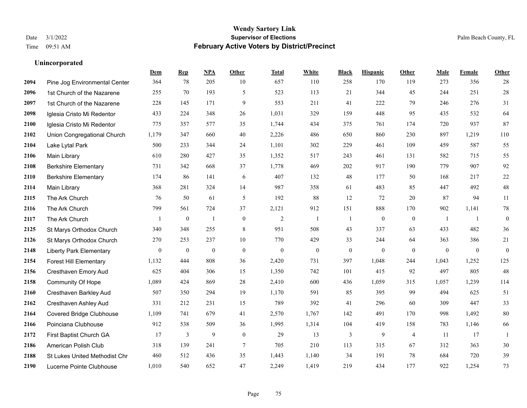#### **Wendy Sartory Link** Date 3/1/2022 **Supervisor of Elections** Palm Beach County, FL Time 09:51 AM **February Active Voters by District/Precinct**

# **Dem Rep NPA Other Total White Black Hispanic Other Male Female Other** Pine Jog Environmental Center 364 78 205 10 657 110 258 170 119 273 356 28 1st Church of the Nazarene 255 70 193 5 523 113 21 344 45 244 251 28 1st Church of the Nazarene 228 145 171 9 553 211 41 222 79 246 276 31 Iglesia Cristo Mi Redentor 433 224 348 26 1,031 329 159 448 95 435 532 64 Iglesia Cristo Mi Redentor 775 357 577 35 1,744 434 375 761 174 720 937 87 Union Congregational Church 1,179 347 660 40 2,226 486 650 860 230 897 1,219 110 Lake Lytal Park 500 233 344 24 1,101 302 229 461 109 459 587 55 Main Library 610 280 427 35 1,352 517 243 461 131 582 715 55 Berkshire Elementary 731 342 668 37 1,778 469 202 917 190 779 907 92 Berkshire Elementary 174 86 141 6 407 132 48 177 50 168 217 22 Main Library 368 281 324 14 987 358 61 483 85 447 492 48 The Ark Church 76 50 61 5 192 88 12 72 20 87 94 11 The Ark Church 799 561 724 37 2,121 912 151 888 170 902 1,141 78 The Ark Church 1 0 1 0 2 1 1 0 0 1 1 0 St Marys Orthodox Church 340 348 255 8 951 508 43 337 63 433 482 36 St Marys Orthodox Church 270 253 237 10 770 429 33 244 64 363 386 21 Liberty Park Elementary 0 0 0 0 0 0 0 0 0 0 0 0 Forest Hill Elementary 1,132 444 808 36 2,420 731 397 1,048 244 1,043 1,252 125 Cresthaven Emory Aud 625 404 306 15 1,350 742 101 415 92 497 805 48 Community Of Hope 1,089 424 869 28 2,410 600 436 1,059 315 1,057 1,239 114 Cresthaven Barkley Aud 507 350 294 19 1,170 591 85 395 99 494 625 51 Cresthaven Ashley Aud 331 212 231 15 789 392 41 296 60 309 447 33 Covered Bridge Clubhouse 1,109 741 679 41 2,570 1,767 142 491 170 998 1,492 80 Poinciana Clubhouse 912 538 509 36 1,995 1,314 104 419 158 783 1,146 66 First Baptist Church GA 17 3 9 0 29 13 3 9 4 11 17 1 American Polish Club 318 139 241 7 705 210 113 315 67 312 363 30 St Lukes United Methodist Chr 460 512 436 35 1,443 1,140 34 191 78 684 720 39 Lucerne Pointe Clubhouse 1,010 540 652 47 2,249 1,419 219 434 177 922 1,254 73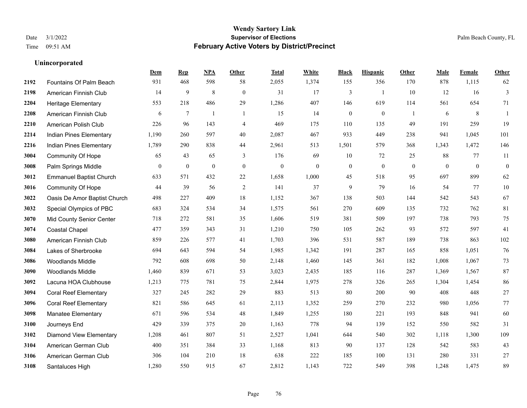#### **Wendy Sartory Link** Date 3/1/2022 **Supervisor of Elections** Palm Beach County, FL Time 09:51 AM **February Active Voters by District/Precinct**

# **Dem Rep NPA Other Total White Black Hispanic Other Male Female Other** Fountains Of Palm Beach 931 468 598 58 2,055 1,374 155 356 170 878 1,115 62 American Finnish Club 14 9 8 0 31 17 3 1 10 12 16 3 Heritage Elementary 553 218 486 29 1,286 407 146 619 114 561 654 71 American Finnish Club 6 7 1 1 15 14 0 0 1 6 8 1 American Polish Club 226 96 143 4 469 175 110 135 49 191 259 19 Indian Pines Elementary 1,190 260 597 40 2,087 467 933 449 238 941 1,045 101 Indian Pines Elementary 1,789 290 838 44 2,961 513 1,501 579 368 1,343 1,472 146 Community Of Hope 65 43 65 3 176 69 10 72 25 88 77 11 Palm Springs Middle 0 0 0 0 0 0 0 0 0 0 0 0 Emmanuel Baptist Church 633 571 432 22 1,658 1,000 45 518 95 697 899 62 Community Of Hope **44** 39 56 2 141 37 9 79 16 54 77 10 Oasis De Amor Baptist Church 498 227 409 18 1,152 367 138 503 144 542 543 67 Special Olympics of PBC 683 324 534 34 1,575 561 270 609 135 732 762 81 Mid County Senior Center 718 272 581 35 1,606 519 381 509 197 738 793 75 Coastal Chapel 477 359 343 31 1,210 750 105 262 93 572 597 41 American Finnish Club 859 226 577 41 1,703 396 531 587 189 738 863 102 Lakes of Sherbrooke 694 643 594 54 1,985 1,342 191 287 165 858 1,051 76 Woodlands Middle 792 608 698 50 2,148 1,460 145 361 182 1,008 1,067 73 Woodlands Middle 1,460 839 671 53 3,023 2,435 185 116 287 1,369 1,567 87 Lacuna HOA Clubhouse 1,213 775 781 75 2,844 1,975 278 326 265 1,304 1,454 86 Coral Reef Elementary 327 245 282 29 883 513 80 200 90 408 448 27 Coral Reef Elementary 821 586 645 61 2,113 1,352 259 270 232 980 1,056 77 Manatee Elementary 671 596 534 48 1,849 1,255 180 221 193 848 941 60 Journeys End 429 339 375 20 1,163 778 94 139 152 550 582 31 Diamond View Elementary 1,208 461 807 51 2,527 1,041 644 540 302 1,118 1,300 109 American German Club 400 351 384 33 1,168 813 90 137 128 542 583 43 American German Club 306 104 210 18 638 222 185 100 131 280 331 27 Santaluces High 1,280 550 915 67 2,812 1,143 722 549 398 1,248 1,475 89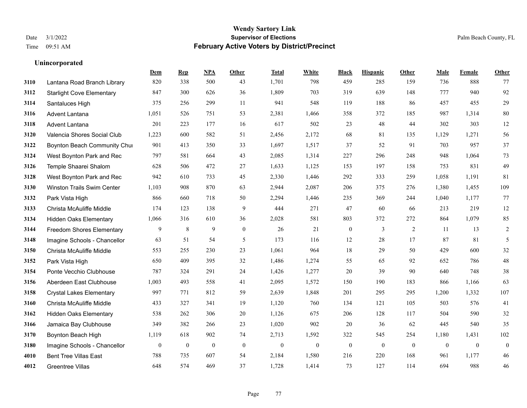#### **Wendy Sartory Link** Date 3/1/2022 **Supervisor of Elections** Palm Beach County, FL Time 09:51 AM **February Active Voters by District/Precinct**

Lantana Road Branch Library 820 338 500 43 1,701 798 459 285 159 736 888 77

**Dem Rep NPA Other Total White Black Hispanic Other Male Female Other**

# Starlight Cove Elementary 847 300 626 36 1,809 703 319 639 148 777 940 92 Santaluces High 375 256 299 11 941 548 119 188 86 457 455 29 Advent Lantana 1,051 526 751 53 2,381 1,466 358 372 185 987 1,314 80 Advent Lantana 201 223 177 16 617 502 23 48 44 302 303 12 Valencia Shores Social Club 1,223 600 582 51 2,456 2,172 68 81 135 1,129 1,271 56 **3122 Boynton Beach Community Chu**rch 901 413 350 33 1,697 1,517 37 52 91 703 957 37 West Boynton Park and Rec 797 581 664 43 2,085 1,314 227 296 248 948 1,064 73 Temple Shaarei Shalom 628 506 472 27 1,633 1,125 153 197 158 753 831 49 West Boynton Park and Rec 942 610 733 45 2,330 1,446 292 333 259 1,058 1,191 81 Winston Trails Swim Center 1,103 908 870 63 2,944 2,087 206 375 276 1,380 1,455 109 Park Vista High 866 660 718 50 2,294 1,446 235 369 244 1,040 1,177 77 Christa McAuliffe Middle 174 123 138 9 444 271 47 60 66 213 219 12 Hidden Oaks Elementary 1,066 316 610 36 2,028 581 803 372 272 864 1,079 85 Freedom Shores Elementary 0 8 9 0 26 21 0 3 2 11 13 2 Imagine Schools - Chancellor 63 51 54 5 173 116 12 28 17 87 81 5 Christa McAuliffe Middle 553 255 230 23 1,061 964 18 29 50 429 600 32 Park Vista High 650 409 395 32 1,486 1,274 55 65 92 652 786 48 Ponte Vecchio Clubhouse 787 324 291 24 1,426 1,277 20 39 90 640 748 38 Aberdeen East Clubhouse 1,003 493 558 41 2,095 1,572 150 190 183 866 1,166 63 Crystal Lakes Elementary 997 771 812 59 2,639 1,848 201 295 295 1,200 1,332 107 Christa McAuliffe Middle 433 327 341 19 1,120 760 134 121 105 503 576 41 Hidden Oaks Elementary 538 262 306 20 1,126 675 206 128 117 504 590 32 Jamaica Bay Clubhouse 349 382 266 23 1,020 902 20 36 62 445 540 35

 Boynton Beach High 1,119 618 902 74 2,713 1,592 322 545 254 1,180 1,431 102 Imagine Schools - Chancellor 0 0 0 0 0 0 0 0 0 0 0 0 Bent Tree Villas East 788 735 607 54 2,184 1,580 216 220 168 961 1,177 46 Greentree Villas 648 574 469 37 1,728 1,414 73 127 114 694 988 46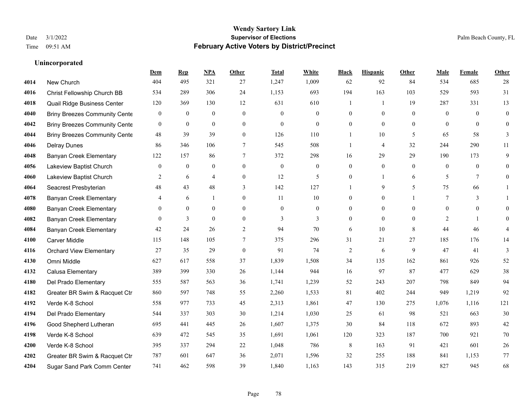#### **Wendy Sartory Link** Date 3/1/2022 **Supervisor of Elections** Palm Beach County, FL Time 09:51 AM **February Active Voters by District/Precinct**

# **Dem Rep NPA Other Total White Black Hispanic Other Male Female Other** New Church 404 495 321 27 1,247 1,009 62 92 84 534 685 28 Christ Fellowship Church BB 534 289 306 24 1,153 693 194 163 103 529 593 31 Quail Ridge Business Center 120 369 130 12 631 610 1 1 19 287 331 13 Briny Breezes Community Center 0 0 0 0 0 0 0 0 0 0 0 0 Briny Breezes Community Center 0 0 0 0 0 0 0 0 0 0 0 0 Briny Breezes Community Cente 48 39 39 0 126 110 1 10 5 65 58 3 Delray Dunes 86 346 106 7 545 508 1 4 32 244 290 11 Banyan Creek Elementary 122 157 86 7 372 298 16 29 29 190 173 9 Lakeview Baptist Church 0 0 0 0 0 0 0 0 0 0 0 0 Lakeview Baptist Church 2 6 4 0 12 5 0 1 6 5 7 0 Seacrest Presbyterian **48** 43 48 3 142 127 1 9 5 75 66 1 Banyan Creek Elementary 4 6 1 0 11 10 0 0 1 7 3 1 Banyan Creek Elementary 0 0 0 0 0 0 0 0 0 0 0 0 **4082 Banyan Creek Elementary 0 3 0 0 3 3 3 0 0 0 2 1 0**  Banyan Creek Elementary 42 24 26 2 94 70 6 10 8 44 46 4 Carver Middle 115 148 105 7 375 296 31 21 27 185 176 14 Orchard View Elementary 27 35 29 0 91 74 2 6 9 47 41 3 Omni Middle 627 617 558 37 1,839 1,508 34 135 162 861 926 52 Calusa Elementary 389 399 330 26 1,144 944 16 97 87 477 629 38 Del Prado Elementary 555 587 563 36 1,741 1,239 52 243 207 798 849 94 Greater BR Swim & Racquet Ctr 860 597 748 55 2,260 1,533 81 402 244 949 1,219 92 Verde K-8 School 558 977 733 45 2,313 1,861 47 130 275 1,076 1,116 121 Del Prado Elementary 544 337 303 30 1,214 1,030 25 61 98 521 663 30 Good Shepherd Lutheran 695 441 445 26 1,607 1,375 30 84 118 672 893 42 Verde K-8 School 639 472 545 35 1,691 1,061 120 323 187 700 921 70 Verde K-8 School 395 337 294 22 1,048 786 8 163 91 421 601 26 Greater BR Swim & Racquet Ctr 787 601 647 36 2,071 1,596 32 255 188 841 1,153 77 Sugar Sand Park Comm Center 741 462 598 39 1,840 1,163 143 315 219 827 945 68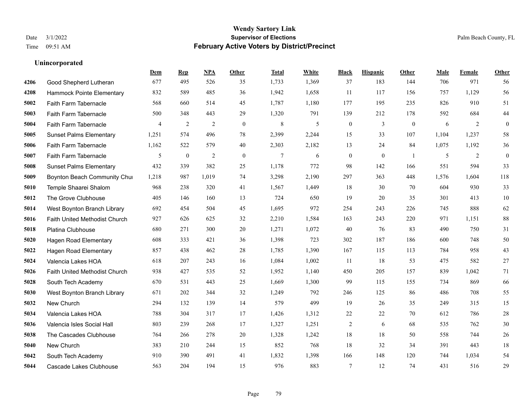#### **Wendy Sartory Link** Date 3/1/2022 **Supervisor of Elections** Palm Beach County, FL Time 09:51 AM **February Active Voters by District/Precinct**

# **Dem Rep NPA Other Total White Black Hispanic Other Male Female Other** Good Shepherd Lutheran 677 495 526 35 1,733 1,369 37 183 144 706 971 56 Hammock Pointe Elementary 832 589 485 36 1,942 1,658 11 117 156 757 1,129 56 Faith Farm Tabernacle 568 660 514 45 1,787 1,180 177 195 235 826 910 51 Faith Farm Tabernacle 500 348 443 29 1,320 791 139 212 178 592 684 44 Faith Farm Tabernacle 4 2 2 0 8 5 0 3 0 6 2 0 Sunset Palms Elementary 1,251 574 496 78 2,399 2,244 15 33 107 1,104 1,237 58 Faith Farm Tabernacle 1,162 522 579 40 2,303 2,182 13 24 84 1,075 1,192 36 Faith Farm Tabernacle 5 0 2 0 7 6 0 0 1 5 2 0 Sunset Palms Elementary 432 339 382 25 1,178 772 98 142 166 551 594 33 Boynton Beach Community Church 1,218 987 1,019 74 3,298 2,190 297 363 448 1,576 1,604 118 Temple Shaarei Shalom 968 238 320 41 1,567 1,449 18 30 70 604 930 33 The Grove Clubhouse 405 146 160 13 724 650 19 20 35 301 413 10 West Boynton Branch Library 692 454 504 45 1,695 972 254 243 226 745 888 62 Faith United Methodist Church 927 626 625 32 2,210 1,584 163 243 220 971 1,151 88 Platina Clubhouse 680 271 300 20 1,271 1,072 40 76 83 490 750 31 Hagen Road Elementary 608 333 421 36 1,398 723 302 187 186 600 748 50 Hagen Road Elementary 857 438 462 28 1,785 1,390 167 115 113 784 958 43 Valencia Lakes HOA 618 207 243 16 1,084 1,002 11 18 53 475 582 27 Faith United Methodist Church 938 427 535 52 1,952 1,140 450 205 157 839 1,042 71 South Tech Academy 670 531 443 25 1,669 1,300 99 115 155 734 869 66 West Boynton Branch Library 671 202 344 32 1,249 792 246 125 86 486 708 55 New Church 294 132 139 14 579 499 19 26 35 249 315 15 Valencia Lakes HOA 788 304 317 17 1,426 1,312 22 22 70 612 786 28 Valencia Isles Social Hall 803 239 268 17 1,327 1,251 2 6 68 535 762 30 The Cascades Clubhouse 764 266 278 20 1,328 1,242 18 18 50 558 744 26 New Church 383 210 244 15 852 768 18 32 34 391 443 18 South Tech Academy 910 390 491 41 1,832 1,398 166 148 120 744 1,034 54 Cascade Lakes Clubhouse 563 204 194 15 976 883 7 12 74 431 516 29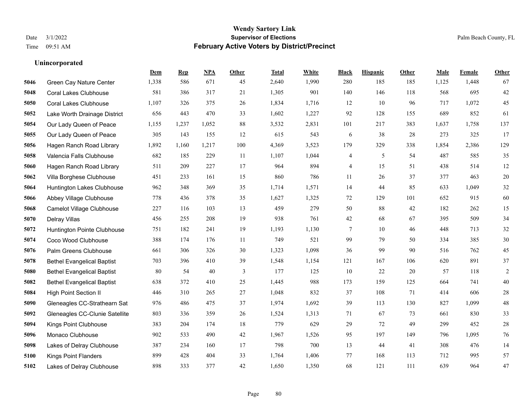|      |                                   | Dem   | <b>Rep</b> | NPA   | <b>Other</b> | <b>Total</b> | <b>White</b> | <b>Black</b>   | <b>Hispanic</b> | <b>Other</b> | <b>Male</b> | <b>Female</b> | <b>Other</b>   |
|------|-----------------------------------|-------|------------|-------|--------------|--------------|--------------|----------------|-----------------|--------------|-------------|---------------|----------------|
| 5046 | Green Cay Nature Center           | 1,338 | 586        | 671   | 45           | 2,640        | 1,990        | 280            | 185             | 185          | 1,125       | 1,448         | 67             |
| 5048 | <b>Coral Lakes Clubhouse</b>      | 581   | 386        | 317   | 21           | 1,305        | 901          | 140            | 146             | 118          | 568         | 695           | $42\,$         |
| 5050 | <b>Coral Lakes Clubhouse</b>      | 1,107 | 326        | 375   | 26           | 1,834        | 1,716        | 12             | 10              | 96           | 717         | 1.072         | 45             |
| 5052 | Lake Worth Drainage District      | 656   | 443        | 470   | 33           | 1,602        | 1,227        | 92             | 128             | 155          | 689         | 852           | 61             |
| 5054 | Our Lady Queen of Peace           | 1,155 | 1,237      | 1,052 | 88           | 3,532        | 2,831        | 101            | 217             | 383          | 1,637       | 1,758         | 137            |
| 5055 | Our Lady Queen of Peace           | 305   | 143        | 155   | 12           | 615          | 543          | 6              | 38              | 28           | 273         | 325           | 17             |
| 5056 | Hagen Ranch Road Library          | 1,892 | 1,160      | 1,217 | 100          | 4,369        | 3,523        | 179            | 329             | 338          | 1,854       | 2,386         | 129            |
| 5058 | Valencia Falls Clubhouse          | 682   | 185        | 229   | 11           | 1,107        | 1,044        | 4              | 5               | 54           | 487         | 585           | 35             |
| 5060 | Hagen Ranch Road Library          | 511   | 209        | 227   | 17           | 964          | 894          | $\overline{4}$ | 15              | 51           | 438         | 514           | $12\,$         |
| 5062 | Villa Borghese Clubhouse          | 451   | 233        | 161   | 15           | 860          | 786          | 11             | 26              | 37           | 377         | 463           | $20\,$         |
| 5064 | Huntington Lakes Clubhouse        | 962   | 348        | 369   | 35           | 1,714        | 1,571        | 14             | 44              | 85           | 633         | 1,049         | $32\,$         |
| 5066 | Abbey Village Clubhouse           | 778   | 436        | 378   | 35           | 1,627        | 1,325        | 72             | 129             | 101          | 652         | 915           | 60             |
| 5068 | <b>Camelot Village Clubhouse</b>  | 227   | 116        | 103   | 13           | 459          | 279          | 50             | 88              | 42           | 182         | 262           | 15             |
| 5070 | Delray Villas                     | 456   | 255        | 208   | 19           | 938          | 761          | $42\,$         | 68              | 67           | 395         | 509           | 34             |
| 5072 | Huntington Pointe Clubhouse       | 751   | 182        | 241   | 19           | 1,193        | 1,130        | 7              | 10              | 46           | 448         | 713           | $32\,$         |
| 5074 | Coco Wood Clubhouse               | 388   | 174        | 176   | 11           | 749          | 521          | 99             | 79              | 50           | 334         | 385           | $30\,$         |
| 5076 | Palm Greens Clubhouse             | 661   | 306        | 326   | 30           | 1,323        | 1,098        | 36             | 99              | 90           | 516         | 762           | 45             |
| 5078 | <b>Bethel Evangelical Baptist</b> | 703   | 396        | 410   | 39           | 1,548        | 1,154        | 121            | 167             | 106          | 620         | 891           | 37             |
| 5080 | <b>Bethel Evangelical Baptist</b> | 80    | 54         | 40    | 3            | 177          | 125          | 10             | 22              | 20           | 57          | 118           | $\overline{c}$ |
| 5082 | <b>Bethel Evangelical Baptist</b> | 638   | 372        | 410   | 25           | 1,445        | 988          | 173            | 159             | 125          | 664         | 741           | $40\,$         |
| 5084 | <b>High Point Section II</b>      | 446   | 310        | 265   | 27           | 1,048        | 832          | 37             | 108             | 71           | 414         | 606           | $28\,$         |
| 5090 | Gleneagles CC-Strathearn Sat      | 976   | 486        | 475   | 37           | 1,974        | 1,692        | 39             | 113             | 130          | 827         | 1,099         | $48\,$         |
| 5092 | Gleneagles CC-Clunie Satellite    | 803   | 336        | 359   | 26           | 1,524        | 1,313        | 71             | 67              | 73           | 661         | 830           | 33             |
| 5094 | Kings Point Clubhouse             | 383   | 204        | 174   | 18           | 779          | 629          | 29             | 72              | 49           | 299         | 452           | $28\,$         |
| 5096 | Monaco Clubhouse                  | 902   | 533        | 490   | 42           | 1,967        | 1,526        | 95             | 197             | 149          | 796         | 1,095         | $76\,$         |
| 5098 | Lakes of Delray Clubhouse         | 387   | 234        | 160   | 17           | 798          | 700          | 13             | 44              | 41           | 308         | 476           | 14             |
| 5100 | Kings Point Flanders              | 899   | 428        | 404   | 33           | 1,764        | 1,406        | 77             | 168             | 113          | 712         | 995           | 57             |
| 5102 | Lakes of Delray Clubhouse         | 898   | 333        | 377   | 42           | 1,650        | 1,350        | 68             | 121             | 111          | 639         | 964           | 47             |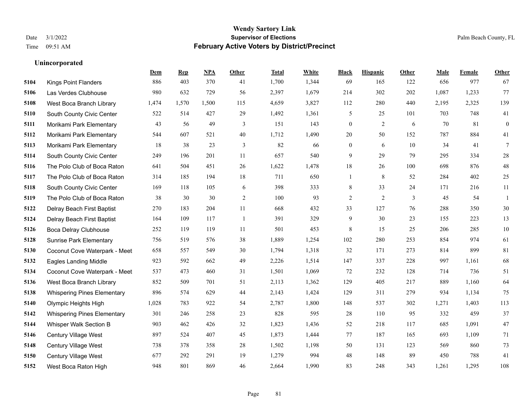|      |                                    | Dem   | <b>Rep</b> | NPA   | <b>Other</b>   | <b>Total</b> | <b>White</b> | <b>Black</b>     | <b>Hispanic</b> | <b>Other</b> | <b>Male</b> | <b>Female</b> | <b>Other</b>     |
|------|------------------------------------|-------|------------|-------|----------------|--------------|--------------|------------------|-----------------|--------------|-------------|---------------|------------------|
| 5104 | <b>Kings Point Flanders</b>        | 886   | 403        | 370   | 41             | 1,700        | 1,344        | 69               | 165             | 122          | 656         | 977           | 67               |
| 5106 | Las Verdes Clubhouse               | 980   | 632        | 729   | 56             | 2,397        | 1,679        | 214              | 302             | 202          | 1,087       | 1,233         | 77               |
| 5108 | West Boca Branch Library           | 1,474 | 1,570      | 1,500 | 115            | 4,659        | 3,827        | 112              | 280             | 440          | 2,195       | 2,325         | 139              |
| 5110 | South County Civic Center          | 522   | 514        | 427   | 29             | 1,492        | 1,361        | 5                | 25              | 101          | 703         | 748           | 41               |
| 5111 | Morikami Park Elementary           | 43    | 56         | 49    | 3              | 151          | 143          | $\overline{0}$   | $\overline{2}$  | 6            | 70          | 81            | $\boldsymbol{0}$ |
| 5112 | Morikami Park Elementary           | 544   | 607        | 521   | 40             | 1,712        | 1,490        | 20               | 50              | 152          | 787         | 884           | 41               |
| 5113 | Morikami Park Elementary           | 18    | 38         | 23    | 3              | 82           | 66           | $\boldsymbol{0}$ | 6               | 10           | 34          | 41            | $\tau$           |
| 5114 | South County Civic Center          | 249   | 196        | 201   | 11             | 657          | 540          | 9                | 29              | 79           | 295         | 334           | $28\,$           |
| 5116 | The Polo Club of Boca Raton        | 641   | 504        | 451   | 26             | 1,622        | 1,478        | 18               | 26              | 100          | 698         | 876           | $48\,$           |
| 5117 | The Polo Club of Boca Raton        | 314   | 185        | 194   | 18             | 711          | 650          | $\mathbf{1}$     | 8               | 52           | 284         | 402           | 25               |
| 5118 | South County Civic Center          | 169   | 118        | 105   | 6              | 398          | 333          | 8                | 33              | 24           | 171         | 216           | 11               |
| 5119 | The Polo Club of Boca Raton        | 38    | 30         | 30    | $\overline{c}$ | 100          | 93           | $\overline{c}$   | $\overline{2}$  | 3            | 45          | 54            | 1                |
| 5122 | Delray Beach First Baptist         | 270   | 183        | 204   | 11             | 668          | 432          | 33               | 127             | 76           | 288         | 350           | 30               |
| 5124 | Delray Beach First Baptist         | 164   | 109        | 117   | $\mathbf{1}$   | 391          | 329          | 9                | 30              | 23           | 155         | 223           | 13               |
| 5126 | Boca Delray Clubhouse              | 252   | 119        | 119   | 11             | 501          | 453          | 8                | 15              | 25           | 206         | 285           | $10\,$           |
| 5128 | <b>Sunrise Park Elementary</b>     | 756   | 519        | 576   | 38             | 1,889        | 1,254        | 102              | 280             | 253          | 854         | 974           | 61               |
| 5130 | Coconut Cove Waterpark - Meet      | 658   | 557        | 549   | 30             | 1,794        | 1,318        | 32               | 171             | 273          | 814         | 899           | $81\,$           |
| 5132 | <b>Eagles Landing Middle</b>       | 923   | 592        | 662   | 49             | 2,226        | 1,514        | 147              | 337             | 228          | 997         | 1,161         | 68               |
| 5134 | Coconut Cove Waterpark - Meet      | 537   | 473        | 460   | 31             | 1,501        | 1,069        | 72               | 232             | 128          | 714         | 736           | 51               |
| 5136 | West Boca Branch Library           | 852   | 509        | 701   | 51             | 2,113        | 1,362        | 129              | 405             | 217          | 889         | 1,160         | 64               |
| 5138 | <b>Whispering Pines Elementary</b> | 896   | 574        | 629   | 44             | 2,143        | 1,424        | 129              | 311             | 279          | 934         | 1,134         | 75               |
| 5140 | Olympic Heights High               | 1,028 | 783        | 922   | 54             | 2,787        | 1,800        | 148              | 537             | 302          | 1,271       | 1,403         | 113              |
| 5142 | <b>Whispering Pines Elementary</b> | 301   | 246        | 258   | 23             | 828          | 595          | 28               | 110             | 95           | 332         | 459           | 37               |
| 5144 | Whisper Walk Section B             | 903   | 462        | 426   | 32             | 1,823        | 1,436        | 52               | 218             | 117          | 685         | 1,091         | 47               |
| 5146 | Century Village West               | 897   | 524        | 407   | 45             | 1,873        | 1,444        | 77               | 187             | 165          | 693         | 1.109         | 71               |
| 5148 | Century Village West               | 738   | 378        | 358   | 28             | 1,502        | 1,198        | 50               | 131             | 123          | 569         | 860           | 73               |
| 5150 | <b>Century Village West</b>        | 677   | 292        | 291   | 19             | 1,279        | 994          | 48               | 148             | 89           | 450         | 788           | 41               |
| 5152 | West Boca Raton High               | 948   | 801        | 869   | 46             | 2,664        | 1,990        | 83               | 248             | 343          | 1,261       | 1,295         | 108              |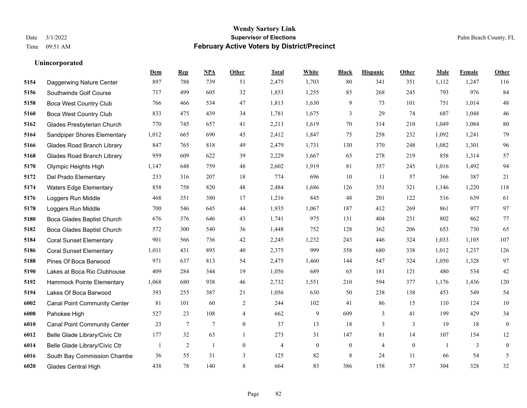#### **Wendy Sartory Link** Date 3/1/2022 **Supervisor of Elections** Palm Beach County, FL Time 09:51 AM **February Active Voters by District/Precinct**

# **Dem Rep NPA Other Total White Black Hispanic Other Male Female Other** Daggerwing Nature Center 897 788 739 51 2,475 1,703 80 341 351 1,112 1,247 116 Southwinds Golf Course 717 499 605 32 1,853 1,255 85 268 245 793 976 84 Boca West Country Club 766 466 534 47 1,813 1,630 9 73 101 751 1,014 48 Boca West Country Club 833 475 439 34 1,781 1,675 3 29 74 687 1,048 46 Glades Presbyterian Church 770 745 657 41 2,213 1,619 70 314 210 1,049 1,084 80 Sandpiper Shores Elementary 1,012 665 690 45 2,412 1,847 75 258 232 1,092 1,241 79 Glades Road Branch Library 847 765 818 49 2,479 1,731 130 370 248 1,082 1,301 96 Glades Road Branch Library 959 609 622 39 2,229 1,667 65 278 219 858 1,314 57 Olympic Heights High 1,147 648 759 48 2,602 1,919 81 357 245 1,016 1,492 94 Del Prado Elementary 233 316 207 18 774 696 10 11 57 366 387 21 Waters Edge Elementary 858 758 820 48 2,484 1,686 126 351 321 1,146 1,220 118 Loggers Run Middle 468 351 380 17 1,216 845 48 201 122 516 639 61 Loggers Run Middle 700 546 645 44 1,935 1,067 187 412 269 861 977 97 Boca Glades Baptist Church 676 376 646 43 1,741 975 131 404 231 802 862 77 Boca Glades Baptist Church 572 300 540 36 1,448 752 128 362 206 653 730 65 Coral Sunset Elementary 901 566 736 42 2,245 1,232 243 446 324 1,033 1,105 107 Coral Sunset Elementary 1,011 431 893 40 2,375 999 358 680 338 1,012 1,237 126 Pines Of Boca Barwood 971 637 813 54 2,475 1,460 144 547 324 1,050 1,328 97 Lakes at Boca Rio Clubhouse 409 284 344 19 1,056 689 65 181 121 480 534 42 Hammock Pointe Elementary 1,068 680 938 46 2,732 1,551 210 594 377 1,176 1,436 120 Lakes Of Boca Barwood 393 255 387 21 1,056 630 50 238 138 453 549 54 Canal Point Community Center 81 101 60 2 244 102 41 86 15 110 124 10 Pahokee High 527 23 108 4 662 9 609 3 41 199 429 34 Canal Point Community Center 23 7 7 0 37 13 18 3 3 19 18 0 Belle Glade Library/Civic Ctr 177 32 63 1 273 31 147 81 14 107 154 12 Belle Glade Library/Civic Ctr  $\begin{array}{cccccccc} 1 & 2 & 1 & 0 & 4 & 0 & 0 & 4 & 0 & 1 & 3 & 0 \end{array}$  South Bay Commission Chambe 36 55 31 3 125 82 8 24 11 66 54 5 Glades Central High 438 78 140 8 664 83 386 158 37 304 328 32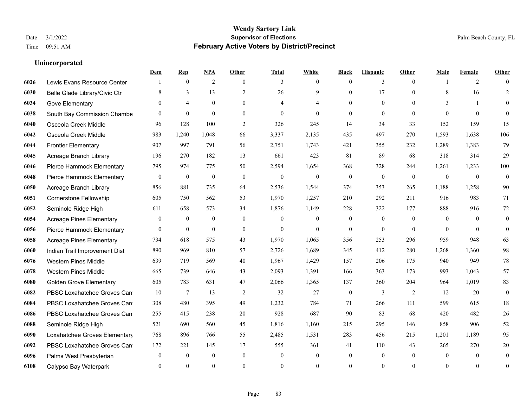|      |                                 | Dem            | <b>Rep</b>       | NPA              | <b>Other</b>   | <b>Total</b>             | <b>White</b>     | <b>Black</b>     | <b>Hispanic</b>  | <b>Other</b>   | <b>Male</b>    | <b>Female</b>  | <b>Other</b>     |
|------|---------------------------------|----------------|------------------|------------------|----------------|--------------------------|------------------|------------------|------------------|----------------|----------------|----------------|------------------|
| 6026 | Lewis Evans Resource Center     |                | $\mathbf{0}$     | 2                | $\theta$       | 3                        | $\overline{0}$   | $\mathbf{0}$     | 3                | $\theta$       |                | 2              | $\Omega$         |
| 6030 | Belle Glade Library/Civic Ctr   | 8              | 3                | 13               | 2              | 26                       | 9                | $\mathbf{0}$     | 17               | $\theta$       | 8              | 16             | $\overline{2}$   |
| 6034 | Gove Elementary                 | $\Omega$       | $\overline{4}$   | $\theta$         | $\Omega$       | $\overline{\mathcal{A}}$ | 4                | $\theta$         | $\theta$         | $\Omega$       | 3              | $\mathbf{1}$   | $\Omega$         |
| 6038 | South Bay Commission Chambe     | $\mathbf{0}$   | $\mathbf{0}$     | $\mathbf{0}$     | $\overline{0}$ | $\mathbf{0}$             | $\overline{0}$   | $\mathbf{0}$     | $\mathbf{0}$     | $\mathbf{0}$   | $\theta$       | $\mathbf{0}$   | $\Omega$         |
| 6040 | Osceola Creek Middle            | 96             | 128              | 100              | $\overline{2}$ | 326                      | 245              | 14               | 34               | 33             | 152            | 159            | 15               |
| 6042 | Osceola Creek Middle            | 983            | 1,240            | 1,048            | 66             | 3,337                    | 2,135            | 435              | 497              | 270            | 1,593          | 1,638          | 106              |
| 6044 | <b>Frontier Elementary</b>      | 907            | 997              | 791              | 56             | 2,751                    | 1,743            | 421              | 355              | 232            | 1,289          | 1,383          | 79               |
| 6045 | Acreage Branch Library          | 196            | 270              | 182              | 13             | 661                      | 423              | 81               | 89               | 68             | 318            | 314            | 29               |
| 6046 | Pierce Hammock Elementary       | 795            | 974              | 775              | 50             | 2,594                    | 1,654            | 368              | 328              | 244            | 1,261          | 1,233          | 100              |
| 6048 | Pierce Hammock Elementary       | $\mathbf{0}$   | $\mathbf{0}$     | $\mathbf{0}$     | $\theta$       | $\mathbf{0}$             | $\mathbf{0}$     | $\mathbf{0}$     | $\mathbf{0}$     | $\theta$       | $\overline{0}$ | $\mathbf{0}$   | $\mathbf{0}$     |
| 6050 | Acreage Branch Library          | 856            | 881              | 735              | 64             | 2,536                    | 1,544            | 374              | 353              | 265            | 1,188          | 1,258          | 90               |
| 6051 | Cornerstone Fellowship          | 605            | 750              | 562              | 53             | 1,970                    | 1,257            | 210              | 292              | 211            | 916            | 983            | 71               |
| 6052 | Seminole Ridge High             | 611            | 658              | 573              | 34             | 1,876                    | 1,149            | 228              | 322              | 177            | 888            | 916            | 72               |
| 6054 | <b>Acreage Pines Elementary</b> | $\mathbf{0}$   | $\boldsymbol{0}$ | $\boldsymbol{0}$ | $\overline{0}$ | $\mathbf{0}$             | $\boldsymbol{0}$ | $\boldsymbol{0}$ | $\boldsymbol{0}$ | $\overline{0}$ | $\overline{0}$ | $\overline{0}$ | $\mathbf{0}$     |
| 6056 | Pierce Hammock Elementary       | $\overline{0}$ | $\boldsymbol{0}$ | $\mathbf{0}$     | $\overline{0}$ | $\mathbf{0}$             | $\overline{0}$   | $\mathbf{0}$     | $\mathbf{0}$     | $\theta$       | $\theta$       | $\theta$       | $\mathbf{0}$     |
| 6058 | <b>Acreage Pines Elementary</b> | 734            | 618              | 575              | 43             | 1,970                    | 1,065            | 356              | 253              | 296            | 959            | 948            | 63               |
| 6060 | Indian Trail Improvement Dist   | 890            | 969              | 810              | 57             | 2,726                    | 1,689            | 345              | 412              | 280            | 1,268          | 1,360          | 98               |
| 6076 | <b>Western Pines Middle</b>     | 639            | 719              | 569              | 40             | 1,967                    | 1,429            | 157              | 206              | 175            | 940            | 949            | 78               |
| 6078 | <b>Western Pines Middle</b>     | 665            | 739              | 646              | 43             | 2,093                    | 1,391            | 166              | 363              | 173            | 993            | 1,043          | 57               |
| 6080 | <b>Golden Grove Elementary</b>  | 605            | 783              | 631              | 47             | 2,066                    | 1,365            | 137              | 360              | 204            | 964            | 1.019          | 83               |
| 6082 | PBSC Loxahatchee Groves Can     | 10             | $\tau$           | 13               | $\overline{2}$ | 32                       | 27               | $\mathbf{0}$     | 3                | 2              | 12             | 20             | $\theta$         |
| 6084 | PBSC Loxahatchee Groves Can     | 308            | 480              | 395              | 49             | 1,232                    | 784              | 71               | 266              | 111            | 599            | 615            | 18               |
| 6086 | PBSC Loxahatchee Groves Can     | 255            | 415              | 238              | 20             | 928                      | 687              | 90               | 83               | 68             | 420            | 482            | 26               |
| 6088 | Seminole Ridge High             | 521            | 690              | 560              | 45             | 1,816                    | 1,160            | 215              | 295              | 146            | 858            | 906            | 52               |
| 6090 | Loxahatchee Groves Elementary   | 768            | 896              | 766              | 55             | 2,485                    | 1,531            | 283              | 456              | 215            | 1,201          | 1,189          | 95               |
| 6092 | PBSC Loxahatchee Groves Can     | 172            | 221              | 145              | 17             | 555                      | 361              | 41               | 110              | 43             | 265            | 270            | 20               |
| 6096 | Palms West Presbyterian         | $\overline{0}$ | $\mathbf{0}$     | $\mathbf{0}$     | $\overline{0}$ | $\mathbf{0}$             | $\overline{0}$   | $\mathbf{0}$     | $\mathbf{0}$     | $\theta$       | $\theta$       | $\mathbf{0}$   | $\mathbf{0}$     |
| 6108 | Calypso Bay Waterpark           | $\theta$       | $\Omega$         | $\theta$         | $\Omega$       | $\Omega$                 | $\Omega$         | $\theta$         | $\theta$         | $\theta$       | $\Omega$       | $\theta$       | $\boldsymbol{0}$ |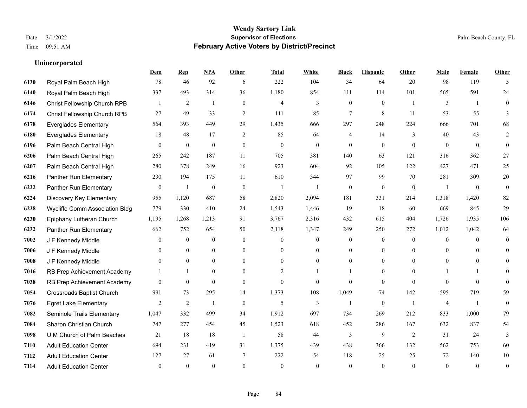#### **Wendy Sartory Link** Date 3/1/2022 **Supervisor of Elections** Palm Beach County, FL Time 09:51 AM **February Active Voters by District/Precinct**

# **Dem Rep NPA Other Total White Black Hispanic Other Male Female Other** Royal Palm Beach High 78 46 92 6 222 104 34 64 20 98 119 5 Royal Palm Beach High 337 493 314 36 1,180 854 111 114 101 565 591 24 Christ Fellowship Church RPB 1 2 1 0 4 3 0 0 1 3 1 0 Christ Fellowship Church RPB 27 49 33 2 111 85 7 8 11 53 55 3 Everglades Elementary 564 393 449 29 1,435 666 297 248 224 666 701 68 Everglades Elementary 18 48 17 2 85 64 4 14 3 40 43 2 Palm Beach Central High 0 0 0 0 0 0 0 0 0 0 0 0 Palm Beach Central High 265 242 187 11 705 381 140 63 121 316 362 27 Palm Beach Central High 280 378 249 16 923 604 92 105 122 427 471 25 Panther Run Elementary 230 194 175 11 610 344 97 99 70 281 309 20 Panther Run Elementary 0 1 0 0 1 1 0 0 0 1 0 0 Discovery Key Elementary 955 1,120 687 58 2,820 2,094 181 331 214 1,318 1,420 82 Wycliffe Comm Association Bldg 779 330 410 24 1,543 1,446 19 18 60 669 845 29 Epiphany Lutheran Church 1,195 1,268 1,213 91 3,767 2,316 432 615 404 1,726 1,935 106 Panther Run Elementary 662 752 654 50 2,118 1,347 249 250 272 1,012 1,042 64 J F Kennedy Middle 0 0 0 0 0 0 0 0 0 0 J F Kennedy Middle 0 0 0 0 0 0 0 0 0 0 J F Kennedy Middle 0 0 0 0 0 0 0 0 0 0 RB Prep Achievement Academy 1 1 0 0 0 2 1 1 0 1 0 0 1 1 0 RB Prep Achievement Academy 0 0 0 0 0 0 0 0 0 0 0 0 Crossroads Baptist Church 991 73 295 14 1,373 108 1,049 74 142 595 719 59 Egret Lake Elementary 2 2 1 0 5 3 1 0 1 4 1 0 Seminole Trails Elementary 1,047 332 499 34 1,912 697 734 269 212 833 1,000 79 Sharon Christian Church 747 277 454 45 1,523 618 452 286 167 632 837 54 U M Church of Palm Beaches 21 18 18 1 58 44 3 9 2 31 24 3 Adult Education Center 694 231 419 31 1,375 439 438 366 132 562 753 60 Adult Education Center 127 27 61 7 222 54 118 25 25 72 140 10 Adult Education Center 0 0 0 0 0 0 0 0 0 0 0 0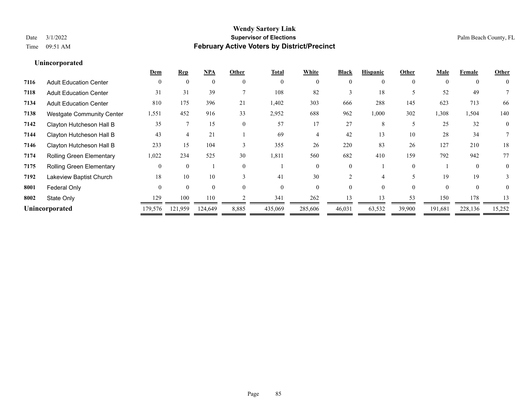|                                  | Dem            | Rep      | NPA      | Other         | <b>Total</b> | White    | <b>Black</b> | <b>Hispanic</b> | Other    | Male     | Female         | Other          |
|----------------------------------|----------------|----------|----------|---------------|--------------|----------|--------------|-----------------|----------|----------|----------------|----------------|
| <b>Adult Education Center</b>    | $\Omega$       | $\Omega$ | $\theta$ | $\theta$      | $\mathbf{0}$ | $\theta$ | 0            | 0               | $\theta$ | $\Omega$ | $\overline{0}$ | $\theta$       |
| <b>Adult Education Center</b>    | 31             | 31       | 39       |               | 108          | 82       |              | 18              |          | 52       | 49             |                |
| <b>Adult Education Center</b>    | 810            | 175      | 396      | 21            | 1,402        | 303      | 666          | 288             | 145      | 623      | 713            | 66             |
| <b>Westgate Community Center</b> | 1,551          | 452      | 916      | 33            | 2,952        | 688      | 962          | 1,000           | 302      | ,308     | 1,504          | 140            |
| Clayton Hutcheson Hall B         | 35             |          | 15       | $\theta$      | 57           | 17       | 27           | 8               |          | 25       | 32             | $\overline{0}$ |
| Clayton Hutcheson Hall B         | 43             |          | 21       |               | 69           |          | 42           | 13              | 10       | 28       | 34             |                |
| Clayton Hutcheson Hall B         | 233            | 15       | 104      | 3             | 355          | 26       | 220          | 83              | 26       | 127      | 210            | 18             |
| <b>Rolling Green Elementary</b>  | 1,022          | 234      | 525      | 30            | 1,811        | 560      | 682          | 410             | 159      | 792      | 942            | 77             |
| <b>Rolling Green Elementary</b>  |                | $\Omega$ |          | $\theta$      |              | 0        |              |                 | $\theta$ |          | $\Omega$       | $\theta$       |
| Lakeview Baptist Church          | 18             | 10       | 10       | $\mathcal{E}$ | 41           | 30       |              |                 |          | 19       | 19             |                |
| Federal Only                     | $\Omega$       | $\Omega$ | $\theta$ | $\theta$      | $\Omega$     | $\theta$ | 0            | $\Omega$        | $\Omega$ | $\Omega$ | $\theta$       | $\theta$       |
| State Only                       | 129            | 100      | 110      |               | 341          | 262      | 13           | 13              | 53       | 150      | 178            | 13             |
|                                  | 179,576        | 121,959  | 124,649  | 8,885         | 435,069      | 285,606  | 46,031       | 63,532          | 39,900   | 191,681  | 228,136        | 15,252         |
|                                  | Unincorporated |          |          |               |              |          |              |                 |          |          |                |                |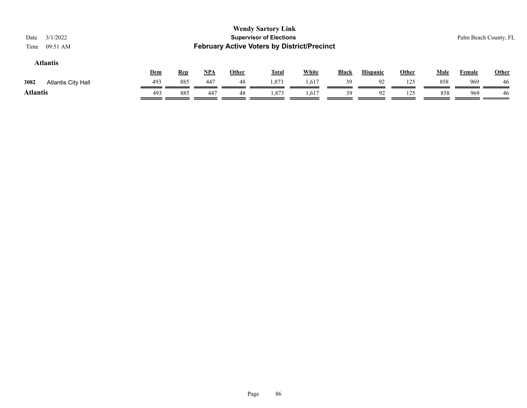|                                                                        |            |            |            |              | <b>Wendy Sartory Link</b>      |              |              |                 |       |             |               |                       |  |
|------------------------------------------------------------------------|------------|------------|------------|--------------|--------------------------------|--------------|--------------|-----------------|-------|-------------|---------------|-----------------------|--|
| 3/1/2022<br>Date                                                       |            |            |            |              | <b>Supervisor of Elections</b> |              |              |                 |       |             |               | Palm Beach County, FL |  |
| <b>February Active Voters by District/Precinct</b><br>09:51 AM<br>Time |            |            |            |              |                                |              |              |                 |       |             |               |                       |  |
| <b>Atlantis</b>                                                        |            |            |            |              |                                |              |              |                 |       |             |               |                       |  |
|                                                                        | <u>Dem</u> | <u>Rep</u> | <u>NPA</u> | <b>Other</b> | <u>Total</u>                   | <b>White</b> | <b>Black</b> | <b>Hispanic</b> | Other | <b>Male</b> | <b>Female</b> | <b>Other</b>          |  |
| 3082<br><b>Atlantis City Hall</b>                                      | 493        | 885        | 447        | 48           | 1,873                          | 1,617        | 39           | 92              | 125   | 858         | 969           | 46                    |  |
| <b>Atlantis</b>                                                        | 493        | 885        | 447        | 48           | 1,873                          | 1,617        | 39           | 92              | 125   | 858         | 969           | 46                    |  |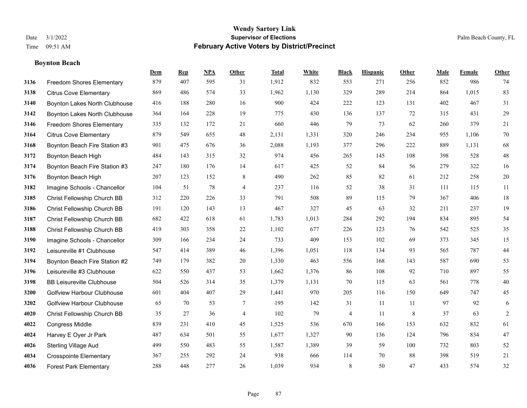#### **Boynton Beach**

|      |                                   | Dem | <b>Rep</b> | NPA | <b>Other</b>   | <b>Total</b> | <b>White</b> | <b>Black</b> | <b>Hispanic</b> | <b>Other</b> | <b>Male</b> | <b>Female</b> | Other  |
|------|-----------------------------------|-----|------------|-----|----------------|--------------|--------------|--------------|-----------------|--------------|-------------|---------------|--------|
| 3136 | Freedom Shores Elementary         | 879 | 407        | 595 | 31             | 1,912        | 832          | 553          | 271             | 256          | 852         | 986           | 74     |
| 3138 | <b>Citrus Cove Elementary</b>     | 869 | 486        | 574 | 33             | 1,962        | 1,130        | 329          | 289             | 214          | 864         | 1,015         | 83     |
| 3140 | Boynton Lakes North Clubhouse     | 416 | 188        | 280 | 16             | 900          | 424          | 222          | 123             | 131          | 402         | 467           | 31     |
| 3142 | Boynton Lakes North Clubhouse     | 364 | 164        | 228 | 19             | 775          | 430          | 136          | 137             | 72           | 315         | 431           | $29\,$ |
| 3146 | <b>Freedom Shores Elementary</b>  | 335 | 132        | 172 | 21             | 660          | 446          | 79           | 73              | 62           | 260         | 379           | $21\,$ |
| 3164 | <b>Citrus Cove Elementary</b>     | 879 | 549        | 655 | 48             | 2,131        | 1,331        | 320          | 246             | 234          | 955         | 1,106         | $70\,$ |
| 3168 | Boynton Beach Fire Station #3     | 901 | 475        | 676 | 36             | 2,088        | 1,193        | 377          | 296             | 222          | 889         | 1,131         | 68     |
| 3172 | Boynton Beach High                | 484 | 143        | 315 | 32             | 974          | 456          | 265          | 145             | 108          | 398         | 528           | $48\,$ |
| 3174 | Boynton Beach Fire Station #3     | 247 | 180        | 176 | 14             | 617          | 425          | 52           | 84              | 56           | 279         | 322           | 16     |
| 3176 | Boynton Beach High                | 207 | 123        | 152 | 8              | 490          | 262          | 85           | 82              | 61           | 212         | 258           | $20\,$ |
| 3182 | Imagine Schools - Chancellor      | 104 | 51         | 78  | $\overline{4}$ | 237          | 116          | 52           | 38              | 31           | 111         | 115           | 11     |
| 3185 | Christ Fellowship Church BB       | 312 | 220        | 226 | 33             | 791          | 508          | 89           | 115             | 79           | 367         | 406           | $18\,$ |
| 3186 | Christ Fellowship Church BB       | 191 | 120        | 143 | 13             | 467          | 327          | 45           | 63              | 32           | 211         | 237           | 19     |
| 3187 | Christ Fellowship Church BB       | 682 | 422        | 618 | 61             | 1,783        | 1,013        | 284          | 292             | 194          | 834         | 895           | 54     |
| 3188 | Christ Fellowship Church BB       | 419 | 303        | 358 | 22             | 1,102        | 677          | 226          | 123             | 76           | 542         | 525           | 35     |
| 3190 | Imagine Schools - Chancellor      | 309 | 166        | 234 | 24             | 733          | 409          | 153          | 102             | 69           | 373         | 345           | 15     |
| 3192 | Leisureville #1 Clubhouse         | 547 | 414        | 389 | 46             | 1,396        | 1,051        | 118          | 134             | 93           | 565         | 787           | 44     |
| 3194 | Boynton Beach Fire Station #2     | 749 | 179        | 382 | 20             | 1,330        | 463          | 556          | 168             | 143          | 587         | 690           | 53     |
| 3196 | Leisureville #3 Clubhouse         | 622 | 550        | 437 | 53             | 1,662        | 1,376        | 86           | 108             | 92           | 710         | 897           | 55     |
| 3198 | <b>BB Leisureville Clubhouse</b>  | 504 | 526        | 314 | 35             | 1,379        | 1,131        | 70           | 115             | 63           | 561         | 778           | $40\,$ |
| 3200 | <b>Golfview Harbour Clubhouse</b> | 601 | 404        | 407 | 29             | 1,441        | 970          | 205          | 116             | 150          | 649         | 747           | 45     |
| 3202 | <b>Golfview Harbour Clubhouse</b> | 65  | 70         | 53  | $\tau$         | 195          | 142          | 31           | 11              | 11           | 97          | 92            | 6      |
| 4020 | Christ Fellowship Church BB       | 35  | 27         | 36  | $\overline{4}$ | 102          | 79           | 4            | 11              | 8            | 37          | 63            | 2      |
| 4022 | <b>Congress Middle</b>            | 839 | 231        | 410 | 45             | 1,525        | 536          | 670          | 166             | 153          | 632         | 832           | 61     |
| 4024 | Harvey E Oyer Jr Park             | 487 | 634        | 501 | 55             | 1,677        | 1,327        | 90           | 136             | 124          | 796         | 834           | 47     |
| 4026 | <b>Sterling Village Aud</b>       | 499 | 550        | 483 | 55             | 1,587        | 1,389        | 39           | 59              | 100          | 732         | 803           | 52     |
| 4034 | <b>Crosspointe Elementary</b>     | 367 | 255        | 292 | 24             | 938          | 666          | 114          | 70              | 88           | 398         | 519           | 21     |
| 4036 | <b>Forest Park Elementary</b>     | 288 | 448        | 277 | 26             | 1,039        | 934          | $\,8\,$      | 50              | 47           | 433         | 574           | 32     |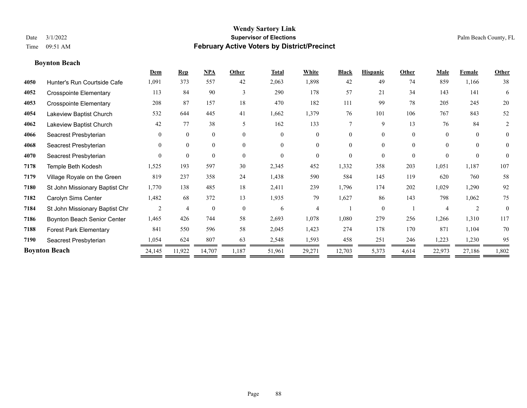**Boynton Beach**

#### **Wendy Sartory Link** Date 3/1/2022 **Supervisor of Elections** Palm Beach County, FL Time 09:51 AM **February Active Voters by District/Precinct**

|      |                                | Dem            | <b>Rep</b> | <b>NPA</b>     | Other                    | <b>Total</b> | White          | <b>Black</b> | <b>Hispanic</b> | Other    | Male           | <b>Female</b> | <b>Other</b>     |
|------|--------------------------------|----------------|------------|----------------|--------------------------|--------------|----------------|--------------|-----------------|----------|----------------|---------------|------------------|
| 4050 | Hunter's Run Courtside Cafe    | 1,091          | 373        | 557            | 42                       | 2,063        | 1,898          | 42           | 49              | 74       | 859            | 1,166         | 38               |
| 4052 | <b>Crosspointe Elementary</b>  | 113            | 84         | 90             | 3                        | 290          | 178            | 57           | 21              | 34       | 143            | 141           | 6                |
| 4053 | <b>Crosspointe Elementary</b>  | 208            | 87         | 157            | 18                       | 470          | 182            | 111          | 99              | 78       | 205            | 245           | $20\,$           |
| 4054 | Lakeview Baptist Church        | 532            | 644        | 445            | 41                       | 1,662        | 1,379          | 76           | 101             | 106      | 767            | 843           | 52               |
| 4062 | Lakeview Baptist Church        | 42             | 77         | 38             | $\overline{\phantom{0}}$ | 162          | 133            | 7            | 9               | 13       | 76             | 84            | 2                |
| 4066 | Seacrest Presbyterian          | $\overline{0}$ | 0          | $\mathbf{0}$   | $\theta$                 | $\theta$     | $\mathbf{0}$   | $\Omega$     | $\theta$        | $\theta$ | $\theta$       | $\theta$      | $\boldsymbol{0}$ |
| 4068 | Seacrest Presbyterian          | $\overline{0}$ | 0          | $\overline{0}$ | $\Omega$                 | $\Omega$     | $\theta$       | 0            | $\theta$        | $\Omega$ | $\Omega$       | $\Omega$      | $\mathbf{0}$     |
| 4070 | Seacrest Presbyterian          | $\Omega$       | $\Omega$   | $\Omega$       | $\theta$                 | $\theta$     | $\Omega$       | $\Omega$     | $\theta$        | $\Omega$ | $\Omega$       | $\theta$      | $\theta$         |
| 7178 | Temple Beth Kodesh             | 1,525          | 193        | 597            | 30                       | 2,345        | 452            | 1,332        | 358             | 203      | 1,051          | 1,187         | 107              |
| 7179 | Village Royale on the Green    | 819            | 237        | 358            | 24                       | 1,438        | 590            | 584          | 145             | 119      | 620            | 760           | 58               |
| 7180 | St John Missionary Baptist Chr | 1,770          | 138        | 485            | 18                       | 2,411        | 239            | 1,796        | 174             | 202      | 1,029          | 1,290         | 92               |
| 7182 | Carolyn Sims Center            | 1,482          | 68         | 372            | 13                       | 1,935        | 79             | 1,627        | 86              | 143      | 798            | 1,062         | 75               |
| 7184 | St John Missionary Baptist Chr | 2              | 4          | $\mathbf{0}$   | $\theta$                 | 6            | $\overline{4}$ |              | $\Omega$        |          | $\overline{4}$ | 2             | $\overline{0}$   |
| 7186 | Boynton Beach Senior Center    | 1,465          | 426        | 744            | 58                       | 2,693        | 1,078          | 1,080        | 279             | 256      | 1,266          | 1,310         | 117              |
| 7188 | <b>Forest Park Elementary</b>  | 841            | 550        | 596            | 58                       | 2,045        | 1,423          | 274          | 178             | 170      | 871            | 1,104         | 70               |
| 7190 | Seacrest Presbyterian          | 1,054          | 624        | 807            | 63                       | 2,548        | 1,593          | 458          | 251             | 246      | 1,223          | 1,230         | 95               |
|      | <b>Boynton Beach</b>           | 24,145         | 11,922     | 14,707         | 1,187                    | 51,961       | 29,271         | 12,703       | 5,373           | 4,614    | 22,973         | 27,186        | 1,802            |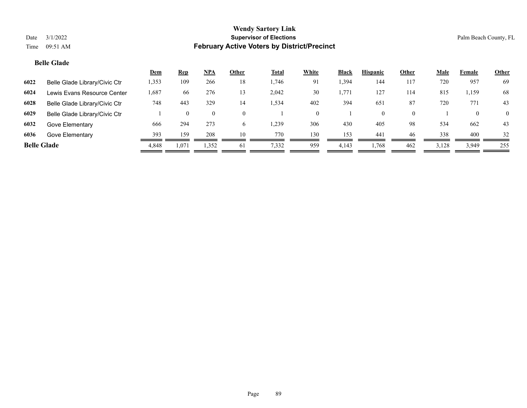### **Belle Glade**

|                    |                               | <u>Dem</u> | <u>Rep</u> | NPA   | Other    | <b>Total</b> | <b>White</b> | <b>Black</b> | <b>Hispanic</b> | Other    | <u>Male</u> | Female   | <b>Other</b>   |
|--------------------|-------------------------------|------------|------------|-------|----------|--------------|--------------|--------------|-----------------|----------|-------------|----------|----------------|
| 6022               | Belle Glade Library/Civic Ctr | 1,353      | 109        | 266   | 18       | .746         | 91           | 394.         | 144             | 117      | 720         | 957      | 69             |
| 6024               | Lewis Evans Resource Center   | 1,687      | -66        | 276   | 13       | 2,042        | 30           | 1,771        | 127             | 114      | 815         | 1,159    | 68             |
| 6028               | Belle Glade Library/Civic Ctr | 748        | 443        | 329   | 14       | .534         | 402          | 394          | 651             | 87       | 720         | 771      | 43             |
| 6029               | Belle Glade Library/Civic Ctr |            |            |       | $\Omega$ |              | $\Omega$     |              |                 | $\Omega$ |             | $\theta$ | $\overline{0}$ |
| 6032               | Gove Elementary               | 666        | 294        | 273   | 6        | ,239         | 306          | 430          | 405             | 98       | 534         | 662      | 43             |
| 6036               | Gove Elementary               | 393        | 159        | 208   | 10       | 770          | 130          | 153          | 441             | 46       | 338         | 400      | 32             |
| <b>Belle Glade</b> |                               | 4,848      | 1,071      | 1,352 | 61       | 7,332        | 959          | 4,143        | 1,768           | 462      | 3,128       | 3,949    | 255            |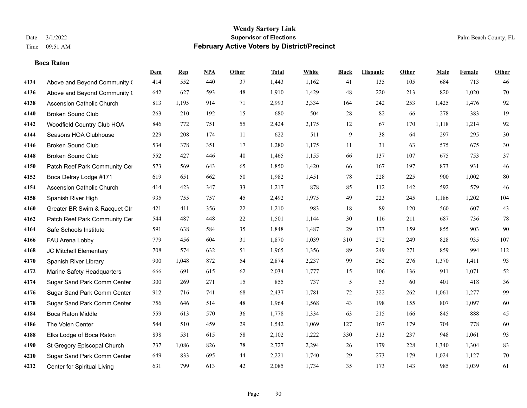# **Boca Raton**

|      |                                  | Dem | <b>Rep</b> | NPA | <b>Other</b> | <b>Total</b> | <b>White</b> | <b>Black</b> | <b>Hispanic</b> | <b>Other</b> | <b>Male</b> | <b>Female</b> | <b>Other</b> |
|------|----------------------------------|-----|------------|-----|--------------|--------------|--------------|--------------|-----------------|--------------|-------------|---------------|--------------|
| 4134 | Above and Beyond Community (     | 414 | 552        | 440 | 37           | 1,443        | 1,162        | 41           | 135             | 105          | 684         | 713           | 46           |
| 4136 | Above and Beyond Community (     | 642 | 627        | 593 | 48           | 1,910        | 1,429        | 48           | 220             | 213          | 820         | 1,020         | 70           |
| 4138 | <b>Ascension Catholic Church</b> | 813 | 1,195      | 914 | 71           | 2,993        | 2,334        | 164          | 242             | 253          | 1,425       | 1,476         | 92           |
| 4140 | <b>Broken Sound Club</b>         | 263 | 210        | 192 | 15           | 680          | 504          | 28           | 82              | 66           | 278         | 383           | 19           |
| 4142 | Woodfield Country Club HOA       | 846 | 772        | 751 | 55           | 2,424        | 2,175        | 12           | 67              | 170          | 1,118       | 1,214         | 92           |
| 4144 | Seasons HOA Clubhouse            | 229 | 208        | 174 | 11           | 622          | 511          | 9            | 38              | 64           | 297         | 295           | $30\,$       |
| 4146 | <b>Broken Sound Club</b>         | 534 | 378        | 351 | 17           | 1,280        | 1,175        | 11           | 31              | 63           | 575         | 675           | $30\,$       |
| 4148 | <b>Broken Sound Club</b>         | 552 | 427        | 446 | 40           | 1,465        | 1,155        | 66           | 137             | 107          | 675         | 753           | 37           |
| 4150 | Patch Reef Park Community Cer    | 573 | 569        | 643 | 65           | 1,850        | 1,420        | 66           | 167             | 197          | 873         | 931           | $46\,$       |
| 4152 | Boca Delray Lodge #171           | 619 | 651        | 662 | 50           | 1,982        | 1,451        | 78           | 228             | 225          | 900         | 1,002         | 80           |
| 4154 | <b>Ascension Catholic Church</b> | 414 | 423        | 347 | 33           | 1,217        | 878          | 85           | 112             | 142          | 592         | 579           | 46           |
| 4158 | Spanish River High               | 935 | 755        | 757 | 45           | 2,492        | 1,975        | 49           | 223             | 245          | 1,186       | 1,202         | 104          |
| 4160 | Greater BR Swim & Racquet Ctr    | 421 | 411        | 356 | 22           | 1,210        | 983          | 18           | 89              | 120          | 560         | 607           | 43           |
| 4162 | Patch Reef Park Community Cer    | 544 | 487        | 448 | $22\,$       | 1,501        | 1,144        | 30           | 116             | 211          | 687         | 736           | $78\,$       |
| 4164 | Safe Schools Institute           | 591 | 638        | 584 | 35           | 1,848        | 1,487        | 29           | 173             | 159          | 855         | 903           | 90           |
| 4166 | FAU Arena Lobby                  | 779 | 456        | 604 | 31           | 1,870        | 1,039        | 310          | 272             | 249          | 828         | 935           | 107          |
| 4168 | JC Mitchell Elementary           | 708 | 574        | 632 | 51           | 1,965        | 1,356        | 89           | 249             | 271          | 859         | 994           | 112          |
| 4170 | Spanish River Library            | 900 | 1,048      | 872 | 54           | 2,874        | 2,237        | 99           | 262             | 276          | 1,370       | 1,411         | 93           |
| 4172 | Marine Safety Headquarters       | 666 | 691        | 615 | 62           | 2,034        | 1,777        | 15           | 106             | 136          | 911         | 1,071         | 52           |
| 4174 | Sugar Sand Park Comm Center      | 300 | 269        | 271 | 15           | 855          | 737          | 5            | 53              | 60           | 401         | 418           | 36           |
| 4176 | Sugar Sand Park Comm Center      | 912 | 716        | 741 | 68           | 2,437        | 1,781        | 72           | 322             | 262          | 1,061       | 1,277         | 99           |
| 4178 | Sugar Sand Park Comm Center      | 756 | 646        | 514 | 48           | 1,964        | 1,568        | 43           | 198             | 155          | 807         | 1,097         | 60           |
| 4184 | <b>Boca Raton Middle</b>         | 559 | 613        | 570 | 36           | 1,778        | 1,334        | 63           | 215             | 166          | 845         | 888           | 45           |
| 4186 | The Volen Center                 | 544 | 510        | 459 | 29           | 1,542        | 1,069        | 127          | 167             | 179          | 704         | 778           | 60           |
| 4188 | Elks Lodge of Boca Raton         | 898 | 531        | 615 | 58           | 2,102        | 1,222        | 330          | 313             | 237          | 948         | 1.061         | 93           |
| 4190 | St Gregory Episcopal Church      | 737 | 1,086      | 826 | 78           | 2,727        | 2,294        | 26           | 179             | 228          | 1,340       | 1,304         | 83           |
| 4210 | Sugar Sand Park Comm Center      | 649 | 833        | 695 | 44           | 2,221        | 1,740        | 29           | 273             | 179          | 1,024       | 1,127         | $70\,$       |
| 4212 | Center for Spiritual Living      | 631 | 799        | 613 | 42           | 2,085        | 1,734        | 35           | 173             | 143          | 985         | 1,039         | 61           |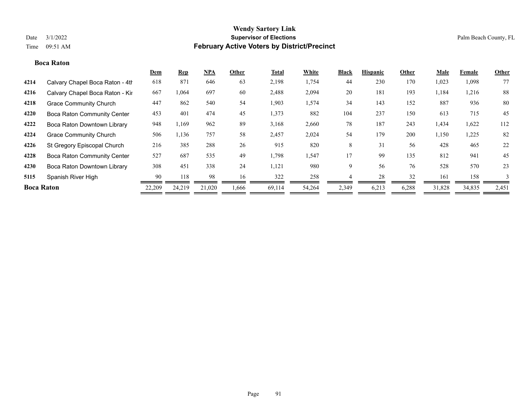#### **Boca Raton**

|                   |                                    | Dem    | <b>Rep</b> | <b>NPA</b> | Other | <b>Total</b> | White  | <b>Black</b> | <b>Hispanic</b> | Other | Male   | Female | Other |
|-------------------|------------------------------------|--------|------------|------------|-------|--------------|--------|--------------|-----------------|-------|--------|--------|-------|
| 4214              | Calvary Chapel Boca Raton - 4th    | 618    | 871        | 646        | 63    | 2,198        | 1,754  | 44           | 230             | 170   | 1,023  | 1,098  | 77    |
| 4216              | Calvary Chapel Boca Raton - Kir    | 667    | 1,064      | 697        | 60    | 2,488        | 2,094  | 20           | 181             | 193   | 1,184  | 1,216  | 88    |
| 4218              | <b>Grace Community Church</b>      | 447    | 862        | 540        | 54    | 1,903        | 1,574  | 34           | 143             | 152   | 887    | 936    | 80    |
| 4220              | <b>Boca Raton Community Center</b> | 453    | 401        | 474        | 45    | 1,373        | 882    | 104          | 237             | 150   | 613    | 715    | 45    |
| 4222              | Boca Raton Downtown Library        | 948    | 1,169      | 962        | 89    | 3,168        | 2,660  | 78           | 187             | 243   | 1,434  | 1,622  | 112   |
| 4224              | <b>Grace Community Church</b>      | 506    | 1,136      | 757        | 58    | 2,457        | 2,024  | 54           | 179             | 200   | 1,150  | 1,225  | 82    |
| 4226              | St Gregory Episcopal Church        | 216    | 385        | 288        | 26    | 915          | 820    | 8            | 31              | 56    | 428    | 465    | 22    |
| 4228              | <b>Boca Raton Community Center</b> | 527    | 687        | 535        | 49    | 1,798        | 1,547  | 17           | 99              | 135   | 812    | 941    | 45    |
| 4230              | Boca Raton Downtown Library        | 308    | 451        | 338        | 24    | 1,121        | 980    | 9            | 56              | 76    | 528    | 570    | 23    |
| 5115              | Spanish River High                 | 90     | 118        | 98         | 16    | 322          | 258    |              | 28              | 32    | 161    | 158    |       |
| <b>Boca Raton</b> |                                    | 22,209 | 24,219     | 21,020     | 1,666 | 69,114       | 54,264 | 2,349        | 6,213           | 6,288 | 31,828 | 34,835 | 2,451 |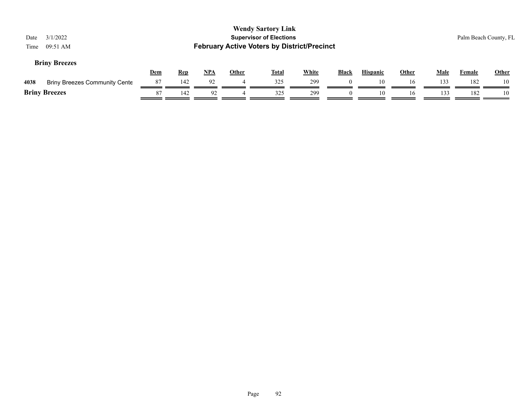| Date<br>Time | 3/1/2022<br>09:51 AM                 |            |            |       |              | <b>Wendy Sartory Link</b><br><b>Supervisor of Elections</b><br><b>February Active Voters by District/Precinct</b> |              |              |                 |              |      | Palm Beach County, FL |              |
|--------------|--------------------------------------|------------|------------|-------|--------------|-------------------------------------------------------------------------------------------------------------------|--------------|--------------|-----------------|--------------|------|-----------------------|--------------|
|              | <b>Briny Breezes</b>                 | <u>Dem</u> | <b>Rep</b> | $NPA$ | <b>Other</b> | <u>Total</u>                                                                                                      | <b>White</b> | <b>Black</b> | <b>Hispanic</b> | <b>Other</b> | Male | Female                | <b>Other</b> |
| 4038         | <b>Briny Breezes Community Cente</b> | 87         | 142        | 92    | 4            | 325                                                                                                               | 299          | $\theta$     | 10              | 16           | 133  | 182                   | 10           |
|              | <b>Briny Breezes</b>                 | 87         | 142        | 92    |              | 325                                                                                                               | 299          | $\theta$     | 10              | 16           | 133  | 182                   | 10           |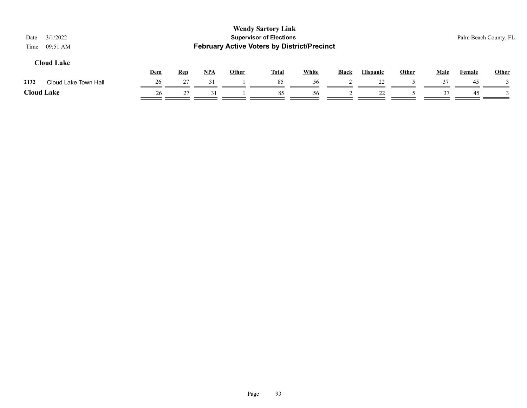| 3/1/2022<br>Date<br>09:51 AM<br>Time |     |            |            |              | <b>Wendy Sartory Link</b><br><b>Supervisor of Elections</b><br><b>February Active Voters by District/Precinct</b> |              |              |                 |              |             | Palm Beach County, FL |              |
|--------------------------------------|-----|------------|------------|--------------|-------------------------------------------------------------------------------------------------------------------|--------------|--------------|-----------------|--------------|-------------|-----------------------|--------------|
| <b>Cloud Lake</b>                    | Dem | <u>Rep</u> | <b>NPA</b> | <b>Other</b> | <u>Total</u>                                                                                                      | <b>White</b> | <b>Black</b> | <b>Hispanic</b> | <b>Other</b> | <b>Male</b> | <b>Female</b>         | <b>Other</b> |
| 2132<br>Cloud Lake Town Hall         | 26  | 27         | 31         |              | 85                                                                                                                | 56           |              | 22              |              | 37          | 45                    |              |
| <b>Cloud Lake</b>                    | 26  | 27         | 31         |              | 85                                                                                                                | 56           |              | 22              |              | 37          | 45                    |              |
|                                      |     |            |            |              |                                                                                                                   |              |              |                 |              |             |                       |              |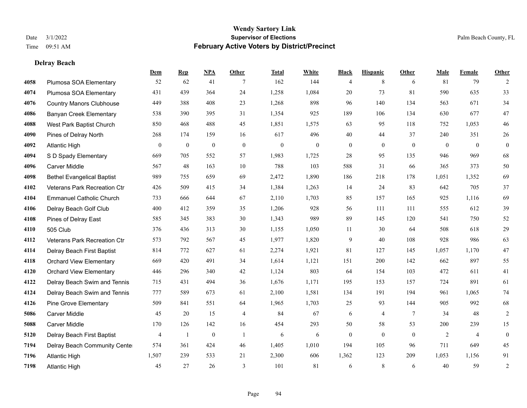**Delray Beach**

#### **Wendy Sartory Link** Date 3/1/2022 **Supervisor of Elections** Palm Beach County, FL Time 09:51 AM **February Active Voters by District/Precinct**

# **Dem Rep NPA Other Total White Black Hispanic Other Male Female Other** Plumosa SOA Elementary 52 62 41 7 162 144 4 8 6 81 79 2 Plumosa SOA Elementary 431 439 364 24 1,258 1,084 20 73 81 590 635 33 Country Manors Clubhouse 449 388 408 23 1,268 898 96 140 134 563 671 34 Banyan Creek Elementary 538 390 395 31 1,354 925 189 106 134 630 677 47 West Park Baptist Church 850 468 488 45 1,851 1,575 63 95 118 752 1,053 46 Pines of Delray North 268 174 159 16 617 496 40 44 37 240 351 26 Atlantic High 0 0 0 0 0 0 0 0 0 0 0 0 S D Spady Elementary 669 705 552 57 1,983 1,725 28 95 135 946 969 68 Carver Middle 567 48 163 10 788 103 588 31 66 365 373 50 Bethel Evangelical Baptist 989 755 659 69 2,472 1,890 186 218 178 1,051 1,352 69 Veterans Park Recreation Ctr 426 509 415 34 1,384 1,263 14 24 83 642 705 37 Emmanuel Catholic Church 733 666 644 67 2,110 1,703 85 157 165 925 1,116 69 Delray Beach Golf Club 400 412 359 35 1,206 928 56 111 111 555 612 39 Pines of Delray East 585 345 383 30 1,343 989 89 145 120 541 750 52 505 Club 376 436 313 30 1,155 1,050 11 30 64 508 618 29 Veterans Park Recreation Ctr 573 792 567 45 1,977 1,820 9 40 108 928 986 63 Delray Beach First Baptist 814 772 627 61 2,274 1,921 81 127 145 1,057 1,170 47 Orchard View Elementary 669 420 491 34 1,614 1,121 151 200 142 662 897 55 Orchard View Elementary 446 296 340 42 1,124 803 64 154 103 472 611 41 Delray Beach Swim and Tennis 715 431 494 36 1,676 1,171 195 153 157 724 891 61 Delray Beach Swim and Tennis 777 589 673 61 2,100 1,581 134 191 194 961 1,065 74 Pine Grove Elementary 509 841 551 64 1,965 1,703 25 93 144 905 992 68 Carver Middle 45 20 15 4 84 67 6 4 7 34 48 2 Carver Middle 170 126 142 16 454 293 50 58 53 200 239 15 Delray Beach First Baptist 4 1 0 1 6 6 0 0 0 2 4 0 Delray Beach Community Center 574 361 424 46 1,405 1,010 194 105 96 711 649 45 Atlantic High 1,507 239 533 21 2,300 606 1,362 123 209 1,053 1,156 91

Atlantic High 45 27 26 3 101 81 6 8 6 40 59 2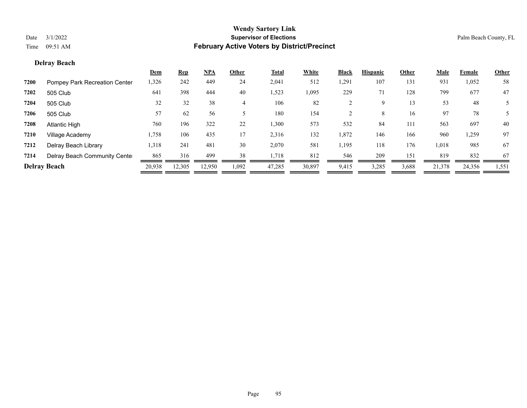#### **Delray Beach**

|      |                               | <u>Dem</u> | <b>Rep</b> | <u>NPA</u> | Other | Total  | White  | <b>Black</b> | <b>Hispanic</b> | Other | <b>Male</b> | Female | <b>Other</b> |
|------|-------------------------------|------------|------------|------------|-------|--------|--------|--------------|-----------------|-------|-------------|--------|--------------|
| 7200 | Pompey Park Recreation Center | 1,326      | 242        | 449        | 24    | 2,041  | 512    | 1,291        | 107             | 131   | 931         | 1,052  | 58           |
| 7202 | 505 Club                      | 641        | 398        | 444        | 40    | 1,523  | 1,095  | 229          | 71              | 128   | 799         | 677    | 47           |
| 7204 | 505 Club                      | 32         | 32         | 38         | 4     | 106    | 82     |              | 9               | 13    | 53          | 48     |              |
| 7206 | 505 Club                      | 57         | 62         | 56         |       | 180    | 154    |              | 8               | 16    | 97          | 78     |              |
| 7208 | Atlantic High                 | 760        | 196        | 322        | 22    | 1,300  | 573    | 532          | 84              | 111   | 563         | 697    | 40           |
| 7210 | Village Academy               | 1,758      | 106        | 435        | 17    | 2,316  | 132    | 1,872        | 146             | 166   | 960         | 1,259  | 97           |
| 7212 | Delray Beach Library          | 1,318      | 241        | 481        | 30    | 2,070  | 581    | 1,195        | 118             | 176   | 1,018       | 985    | 67           |
| 7214 | Delray Beach Community Cente  | 865        | 316        | 499        | 38    | 1,718  | 812    | 546          | 209             | 151   | 819         | 832    | 67           |
|      | <b>Delray Beach</b>           | 20,938     | 12.305     | 12,950     | 1,092 | 47,285 | 30,897 | 9,415        | 3,285           | 3,688 | 21,378      | 24,356 | 1,551        |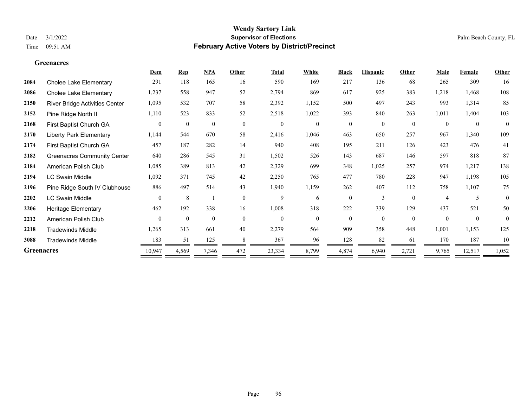**Greenacres**

#### **Wendy Sartory Link** Date 3/1/2022 **Supervisor of Elections** Palm Beach County, FL Time 09:51 AM **February Active Voters by District/Precinct**

|                   |                                    | Dem            | <b>Rep</b>   | NPA          | Other        | <b>Total</b> | White    | <b>Black</b>   | <b>Hispanic</b> | Other    | <b>Male</b> | <b>Female</b>  | <b>Other</b>     |
|-------------------|------------------------------------|----------------|--------------|--------------|--------------|--------------|----------|----------------|-----------------|----------|-------------|----------------|------------------|
| 2084              | <b>Cholee Lake Elementary</b>      | 291            | 118          | 165          | 16           | 590          | 169      | 217            | 136             | 68       | 265         | 309            | 16               |
| 2086              | <b>Cholee Lake Elementary</b>      | 1,237          | 558          | 947          | 52           | 2,794        | 869      | 617            | 925             | 383      | 1,218       | 1,468          | 108              |
| 2150              | River Bridge Activities Center     | 1,095          | 532          | 707          | 58           | 2,392        | 1,152    | 500            | 497             | 243      | 993         | 1,314          | 85               |
| 2152              | Pine Ridge North II                | 1,110          | 523          | 833          | 52           | 2,518        | 1,022    | 393            | 840             | 263      | 1,011       | 1,404          | 103              |
| 2168              | First Baptist Church GA            | $\theta$       | $\mathbf{0}$ | $\mathbf{0}$ | $\mathbf{0}$ | $\mathbf{0}$ | $\theta$ | $\overline{0}$ | $\theta$        | $\theta$ | $\theta$    | $\overline{0}$ | $\boldsymbol{0}$ |
| 2170              | <b>Liberty Park Elementary</b>     | 1,144          | 544          | 670          | 58           | 2,416        | 1,046    | 463            | 650             | 257      | 967         | 1,340          | 109              |
| 2174              | First Baptist Church GA            | 457            | 187          | 282          | 14           | 940          | 408      | 195            | 211             | 126      | 423         | 476            | 41               |
| 2182              | <b>Greenacres Community Center</b> | 640            | 286          | 545          | 31           | 1,502        | 526      | 143            | 687             | 146      | 597         | 818            | 87               |
| 2184              | American Polish Club               | 1,085          | 389          | 813          | 42           | 2,329        | 699      | 348            | 1,025           | 257      | 974         | 1,217          | 138              |
| 2194              | LC Swain Middle                    | 1,092          | 371          | 745          | 42           | 2,250        | 765      | 477            | 780             | 228      | 947         | 1,198          | 105              |
| 2196              | Pine Ridge South IV Clubhouse      | 886            | 497          | 514          | 43           | 1,940        | 1,159    | 262            | 407             | 112      | 758         | 1,107          | 75               |
| 2202              | <b>LC Swain Middle</b>             | $\overline{0}$ | 8            |              | $\theta$     | 9            | 6        | $\overline{0}$ | 3               | $\theta$ |             | 5              | $\overline{0}$   |
| 2206              | Heritage Elementary                | 462            | 192          | 338          | 16           | 1,008        | 318      | 222            | 339             | 129      | 437         | 521            | 50               |
| 2212              | American Polish Club               | $\Omega$       | $\mathbf{0}$ | $\theta$     | $\theta$     | $\mathbf{0}$ | $\Omega$ | $\theta$       | $\Omega$        | $\Omega$ | $\theta$    | $\theta$       | $\overline{0}$   |
| 2218              | <b>Tradewinds Middle</b>           | 1,265          | 313          | 661          | 40           | 2,279        | 564      | 909            | 358             | 448      | 1,001       | 1,153          | 125              |
| 3088              | <b>Tradewinds Middle</b>           | 183            | 51           | 125          |              | 367          | 96       | 128            | 82              | 61       | 170         | 187            | 10               |
| <b>Greenacres</b> |                                    | 10,947         | 4,569        | 7,346        | 472          | 23,334       | 8,799    | 4,874          | 6,940           | 2,721    | 9,765       | 12,517         | 1,052            |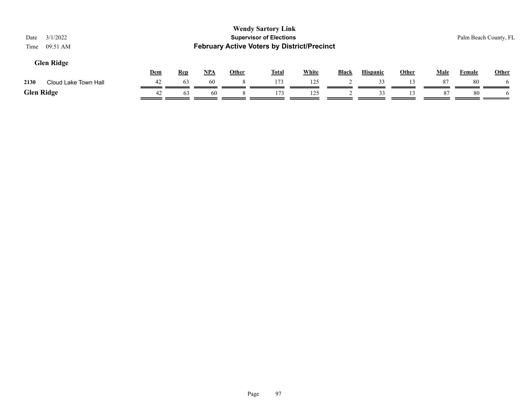| 3/1/2022<br>Date<br>09:51 AM<br>Time |     |            |            |              | <b>Wendy Sartory Link</b><br><b>Supervisor of Elections</b><br><b>February Active Voters by District/Precinct</b> |              |              |                 |              |             | Palm Beach County, FL |              |
|--------------------------------------|-----|------------|------------|--------------|-------------------------------------------------------------------------------------------------------------------|--------------|--------------|-----------------|--------------|-------------|-----------------------|--------------|
| <b>Glen Ridge</b>                    | Dem | <b>Rep</b> | <u>NPA</u> | <b>Other</b> | <b>Total</b>                                                                                                      | <b>White</b> | <b>Black</b> | <b>Hispanic</b> | <b>Other</b> | <u>Male</u> | <b>Female</b>         | <b>Other</b> |
| 2130<br>Cloud Lake Town Hall         | 42  | 63         | 60         |              | 173                                                                                                               | 125          |              | 33              | 13           | 87          | 80                    |              |
| <b>Glen Ridge</b>                    | 42  | 63         | 60         |              | 173                                                                                                               | 125          |              | 33              | 13           | 87          | 80                    |              |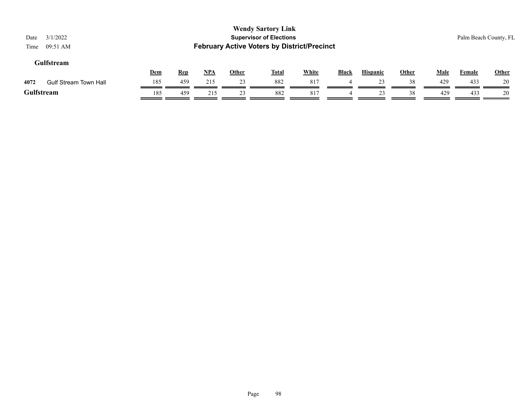| 3/1/2022<br>Date<br>09:51 AM<br>Time |            |            |            |              | <b>Wendy Sartory Link</b><br><b>Supervisor of Elections</b><br><b>February Active Voters by District/Precinct</b> |              |              |                 |              |             | Palm Beach County, FL |              |
|--------------------------------------|------------|------------|------------|--------------|-------------------------------------------------------------------------------------------------------------------|--------------|--------------|-----------------|--------------|-------------|-----------------------|--------------|
| Gulfstream                           | <u>Dem</u> | <b>Rep</b> | <u>NPA</u> | <b>Other</b> | <u>Total</u>                                                                                                      | <b>White</b> | <b>Black</b> | <b>Hispanic</b> | <b>Other</b> | <b>Male</b> | <b>Female</b>         | <b>Other</b> |
| 4072<br><b>Gulf Stream Town Hall</b> | 185        | 459        | 215        | 23           | 882                                                                                                               | 817          |              | 23              | 38           | 429         | 433                   | 20           |
| Gulfstream                           | 185        | 459        | 215        | 23           | 882                                                                                                               | 817          |              | 23              | 38           | 429         | 433                   | 20           |

#### Page 98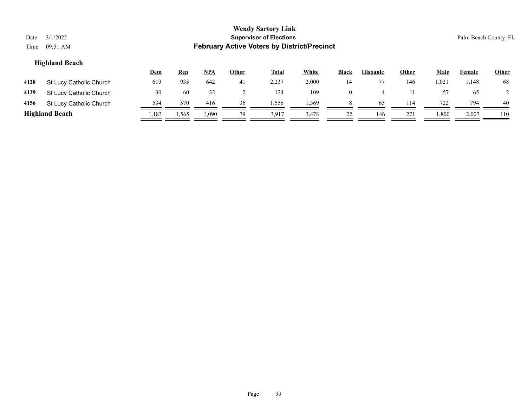| Date<br>Time | 3/1/2022<br>09:51 AM           |            |            |            |              | <b>Wendy Sartory Link</b><br><b>Supervisor of Elections</b><br><b>February Active Voters by District/Precinct</b> |              |                  |                 |       |             |        | Palm Beach County, FL |
|--------------|--------------------------------|------------|------------|------------|--------------|-------------------------------------------------------------------------------------------------------------------|--------------|------------------|-----------------|-------|-------------|--------|-----------------------|
|              | <b>Highland Beach</b>          | <u>Dem</u> | <b>Rep</b> | <u>NPA</u> | <u>Other</u> | <u>Total</u>                                                                                                      | <b>White</b> | Black            | <b>Hispanic</b> | Other | <b>Male</b> | Female | <b>Other</b>          |
| 4128         | St Lucy Catholic Church        | 619        | 935        | 642        | 41           | 2,237                                                                                                             | 2,000        | 14               | 77              | 146   | 1,021       | 1,148  | 68                    |
| 4129         | St Lucy Catholic Church        | 30         | 60         | 32         |              | 124                                                                                                               | 109          | $\boldsymbol{0}$ | 4               |       | 57          | 65     |                       |
| 4156         | <b>St Lucy Catholic Church</b> | 534        | 570        | 416        | 36           | 1,556                                                                                                             | 1,369        | 8                | 65              | 114   | 722         | 794    | 40                    |

# **Highland Beach** 1,183 1,565 1,090 79 3,917 3,478 22 146 271 1,800 2,007 110

Page 99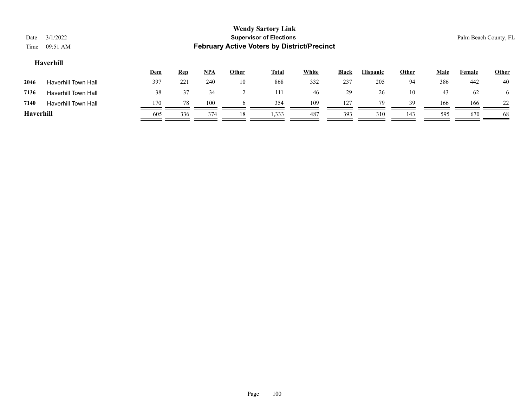| Date<br>Time     | 3/1/2022<br>09:51 AM       |            |            |       |              | <b>Wendy Sartory Link</b><br><b>Supervisor of Elections</b><br><b>February Active Voters by District/Precinct</b> |       |              |                 |              |             |               | Palm Beach County, FL |  |
|------------------|----------------------------|------------|------------|-------|--------------|-------------------------------------------------------------------------------------------------------------------|-------|--------------|-----------------|--------------|-------------|---------------|-----------------------|--|
| Haverhill        |                            |            |            |       |              |                                                                                                                   |       |              |                 |              |             |               |                       |  |
|                  |                            | <u>Dem</u> | <b>Rep</b> | $NPA$ | <b>Other</b> | <b>Total</b>                                                                                                      | White | <b>Black</b> | <b>Hispanic</b> | <b>Other</b> | <b>Male</b> | <b>Female</b> | Other                 |  |
| 2046             | <b>Haverhill Town Hall</b> | 397        | 221        | 240   | 10           | 868                                                                                                               | 332   | 237          | 205             | 94           | 386         | 442           | 40                    |  |
| 7136             | <b>Haverhill Town Hall</b> | 38         | 37         | 34    | ∠            | 111                                                                                                               | 46    | 29           | 26              | 10           | 43          | 62            | 6                     |  |
| 7140             | <b>Haverhill Town Hall</b> | 170        | 78         | 100   | $\sigma$     | 354                                                                                                               | 109   | 127          | 79              | 39           | 166         | 166           | 22                    |  |
| <b>Haverhill</b> |                            | 605        | 336        | 374   | 18           | 1,333                                                                                                             | 487   | 393          | 310             | 143          | 595         | 670           | 68                    |  |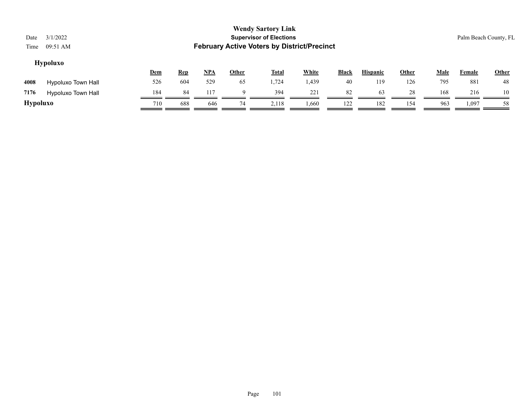| Date<br>Time    | 3/1/2022<br>09:51 AM |            |            |            |              | <b>Wendy Sartory Link</b><br><b>Supervisor of Elections</b><br><b>February Active Voters by District/Precinct</b> |              |              |                 |              |             |        | Palm Beach County, FL |
|-----------------|----------------------|------------|------------|------------|--------------|-------------------------------------------------------------------------------------------------------------------|--------------|--------------|-----------------|--------------|-------------|--------|-----------------------|
|                 | <b>Hypoluxo</b>      | <b>Dem</b> | <b>Rep</b> | <u>NPA</u> | <b>Other</b> | <b>Total</b>                                                                                                      | <b>White</b> | <b>Black</b> | <b>Hispanic</b> | <b>Other</b> | <u>Male</u> | Female | Other                 |
| 4008            | Hypoluxo Town Hall   | 526        | 604        | 529        | 65           | 1,724                                                                                                             | 1,439        | 40           | 119             | 126          | 795         | 881    | 48                    |
| 7176            | Hypoluxo Town Hall   | 184        | 84         | 117        |              | 394                                                                                                               | 221          | 82           | 63              | 28           | 168         | 216    | 10                    |
| <b>Hypoluxo</b> |                      | 710        | 688        | 646        | 74           | 2,118                                                                                                             | 1,660        | 122          | 182             | 154          | 963         | 1,097  | 58                    |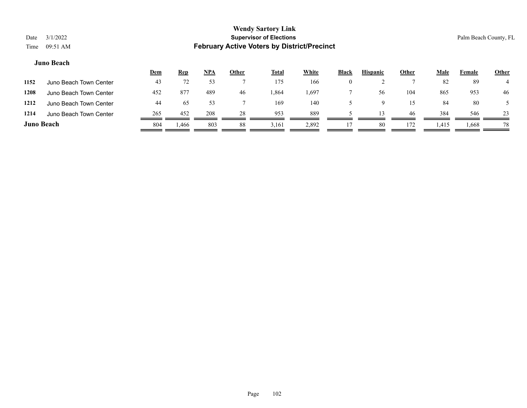#### **Juno Beach**

|                   |                        | <u>Dem</u> | <b>Rep</b> | <u>NPA</u> | <b>Other</b> | <b>Total</b> | <b>White</b> | <b>Black</b> | <b>Hispanic</b> | <u>Other</u> | Male  | Female | <b>Other</b> |
|-------------------|------------------------|------------|------------|------------|--------------|--------------|--------------|--------------|-----------------|--------------|-------|--------|--------------|
| 1152              | Juno Beach Town Center | 43         |            |            |              | 175          | 166          | $\theta$     |                 |              | 82    | 89     |              |
| 1208              | Juno Beach Town Center | 452        | -877       | 489        | 46           | .864         | . 697        |              | -56             | 104          | 865   | 953    | 46           |
| 1212              | Juno Beach Town Center | 44         | 65         |            |              | 169          | 140          |              |                 | 15           | 84    | 80     |              |
| 1214              | Juno Beach Town Center | 265        | 452        | 208        | 28           | 953          | 889          |              | $\mathcal{R}$   | -46          | 384   | 546    | 23           |
| <b>Juno Beach</b> |                        | 804        | 1,466      | 803        | 88           | 3,161        | 2,892        |              | 80              | 172          | 1,415 | 1,668  | 78           |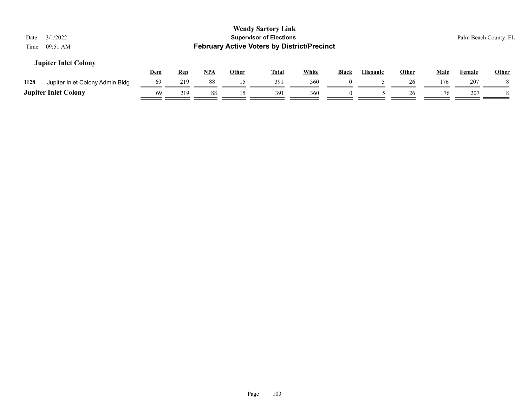| 3/1/2022<br>Date<br>09:51 AM<br>Time    |            |            |       |              | <b>Wendy Sartory Link</b><br><b>Supervisor of Elections</b><br><b>February Active Voters by District/Precinct</b> |              |              |                 |              |      |        | Palm Beach County, FL |
|-----------------------------------------|------------|------------|-------|--------------|-------------------------------------------------------------------------------------------------------------------|--------------|--------------|-----------------|--------------|------|--------|-----------------------|
| <b>Jupiter Inlet Colony</b>             | <u>Dem</u> | <b>Rep</b> | $NPA$ | <b>Other</b> | <b>Total</b>                                                                                                      | <b>White</b> | <b>Black</b> | <b>Hispanic</b> | <b>Other</b> | Male | Female | <b>Other</b>          |
| 1128<br>Jupiter Inlet Colony Admin Bldg | 69         | 219        | 88    | 15           | 391                                                                                                               | 360          | $\theta$     |                 | 26           | 176  | 207    |                       |
| <b>Jupiter Inlet Colony</b>             | 69         | 219        | 88    | 15           | 391                                                                                                               | 360          | 0            |                 | 26           | 176  | 207    |                       |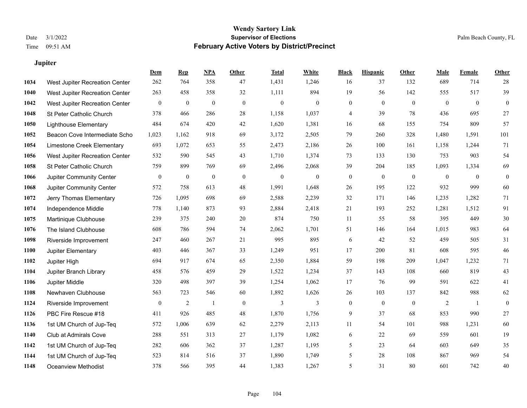**Jupiter**

#### **Wendy Sartory Link** Date 3/1/2022 **Supervisor of Elections** Palm Beach County, FL Time 09:51 AM **February Active Voters by District/Precinct**

# **Dem Rep NPA Other Total White Black Hispanic Other Male Female Other** West Jupiter Recreation Center 262 764 358 47 1,431 1,246 16 37 132 689 714 28 West Jupiter Recreation Center 263 458 358 32 1,111 894 19 56 142 555 517 39 West Jupiter Recreation Center 0 0 0 0 0 0 0 0 0 0 0 0 St Peter Catholic Church 378 466 286 28 1,158 1,037 4 39 78 436 695 27 Lighthouse Elementary 484 674 420 42 1,620 1,381 16 68 155 754 809 57 Beacon Cove Intermediate School 1,023 1,162 918 69 3,172 2,505 79 260 328 1,480 1,591 101 Limestone Creek Elementary 693 1,072 653 55 2,473 2,186 26 100 161 1,158 1,244 71 West Jupiter Recreation Center 532 590 545 43 1,710 1,374 73 133 130 753 903 54 St Peter Catholic Church 759 899 769 69 2,496 2,068 39 204 185 1,093 1,334 69 Jupiter Community Center 0 0 0 0 0 0 0 0 0 0 0 0 Jupiter Community Center 572 758 613 48 1,991 1,648 26 195 122 932 999 60 Jerry Thomas Elementary 726 1,095 698 69 2,588 2,239 32 171 146 1,235 1,282 71 Independence Middle 778 1,140 873 93 2,884 2,418 21 193 252 1,281 1,512 91 Martinique Clubhouse 239 375 240 20 874 750 11 55 58 395 449 30 The Island Clubhouse 608 786 594 74 2,062 1,701 51 146 164 1,015 983 64 Riverside Improvement 247 460 267 21 995 895 6 42 52 459 505 31 Jupiter Elementary 403 446 367 33 1,249 951 17 200 81 608 595 46 Jupiter High 694 917 674 65 2,350 1,884 59 198 209 1,047 1,232 71 Jupiter Branch Library 458 576 459 29 1,522 1,234 37 143 108 660 819 43 Jupiter Middle 320 498 397 39 1,254 1,062 17 76 99 591 622 41 Newhaven Clubhouse 563 723 546 60 1,892 1,626 26 103 137 842 988 62 Riverside Improvement 0 0 2 1 0 3 3 0 0 0 2 1 0 PBC Fire Rescue #18 **411** 926 485 48 1,870 1,756 9 37 68 853 990 27 1st UM Church of Jup-Teq 572 1,006 639 62 2,279 2,113 11 54 101 988 1,231 60 Club at Admirals Cove 288 551 313 27 1,179 1,082 6 22 69 559 601 19 1st UM Church of Jup-Teq 282 606 362 37 1,287 1,195 5 23 64 603 649 35 1st UM Church of Jup-Teq 523 814 516 37 1,890 1,749 5 28 108 867 969 54

Oceanview Methodist 378 566 395 44 1,383 1,267 5 31 80 601 742 40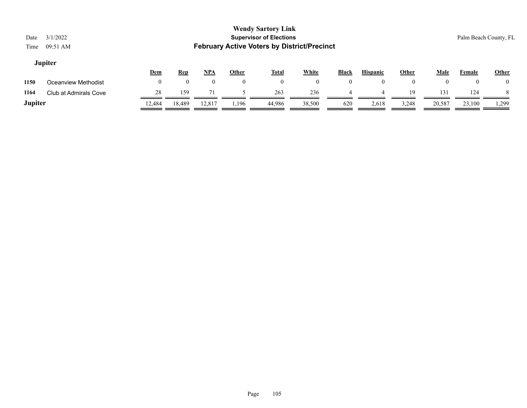|         |                       | Dem   | <u>Rep</u> | $NPA$  | Other | Total  | White      | <b>Black</b> | <b>Hispanic</b> | <u>Other</u> | Male   | Female | <b>Other</b> |
|---------|-----------------------|-------|------------|--------|-------|--------|------------|--------------|-----------------|--------------|--------|--------|--------------|
| 1150    | Oceanview Methodist   |       |            |        |       |        | $^{\circ}$ |              |                 |              |        |        |              |
| 1164    | Club at Admirals Cove | 28    | 159        |        |       | 263    | 236        |              |                 | 19           | 131    | 124    |              |
| Jupiter |                       | 2,484 | 18,489     | 12,817 | .196  | 44,986 | 38,500     | 620          | 2,618           | 3,248        | 20,587 | 23,100 | 1,299        |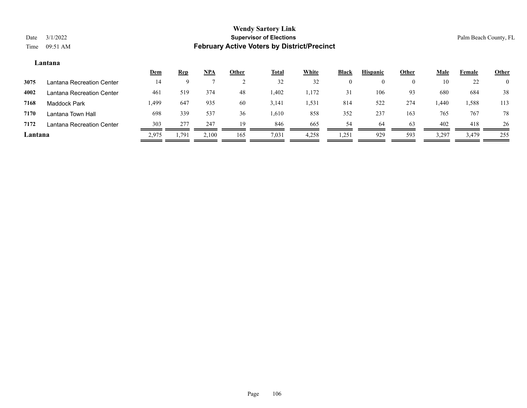#### **Lantana**

|         |                           | <u>Dem</u> | <b>Rep</b> | $NPA$ | <b>Other</b> | <b>Total</b> | White | <b>Black</b> | <b>Hispanic</b> | Other    | <u>Male</u> | Female | <b>Other</b>   |
|---------|---------------------------|------------|------------|-------|--------------|--------------|-------|--------------|-----------------|----------|-------------|--------|----------------|
| 3075    | Lantana Recreation Center | 14         |            |       |              | 32           | 32    |              |                 | $\theta$ | 10          | 22     | $\overline{0}$ |
| 4002    | Lantana Recreation Center | 461        | 519        | 374   | 48           | 1,402        | 1,172 | 31           | 106             | 93       | 680         | 684    | 38             |
| 7168    | <b>Maddock Park</b>       | 1,499      | 647        | 935   | 60           | 3,141        | 1,531 | 814          | 522             | 274      | 1.440       | 1,588  | 113            |
| 7170    | Lantana Town Hall         | 698        | 339        | 537   | 36           | 1,610        | 858   | 352          | 237             | 163      | 765         | 767    | 78             |
| 7172    | Lantana Recreation Center | 303        | 277        | 247   | 19           | 846          | 665   | 54           | 64              | 63       | 402         | 418    | 26             |
| Lantana |                           | 2,975      | 1,791      | 2,100 | 165          | 7,031        | 4,258 | 1,251        | 929             | 593      | 3,297       | 3,479  | 255            |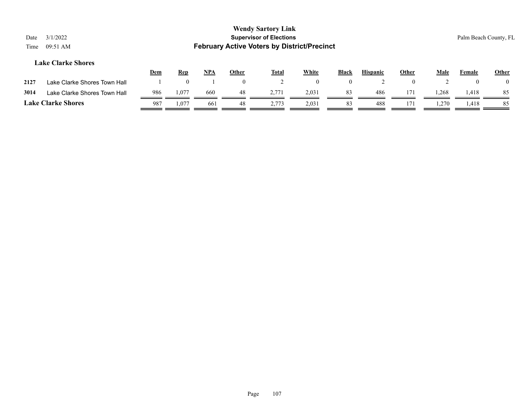| Date<br>Time | 3/1/2022<br>09:51 AM         |            |          |            |              | <b>Wendy Sartory Link</b><br><b>Supervisor of Elections</b><br><b>February Active Voters by District/Precinct</b> |                |              |                 |              |       |        | Palm Beach County, FL |
|--------------|------------------------------|------------|----------|------------|--------------|-------------------------------------------------------------------------------------------------------------------|----------------|--------------|-----------------|--------------|-------|--------|-----------------------|
|              | <b>Lake Clarke Shores</b>    | <b>Dem</b> | Rep      | <u>NPA</u> | <b>Other</b> | Total                                                                                                             | <u>White</u>   | <b>Black</b> | <b>Hispanic</b> | <b>Other</b> | Male  | Female | <b>Other</b>          |
| 2127         | Lake Clarke Shores Town Hall |            | $\left($ |            | $\theta$     |                                                                                                                   | $\overline{0}$ | $\theta$     |                 | $\Omega$     |       |        |                       |
| 3014         | Lake Clarke Shores Town Hall | 986        | 1,077    | 660        | 48           | 2.771                                                                                                             | 2,031          | 83           | 486             | 171          | . 268 | 1,418  | 85                    |

Ξ

=

=

═

**Lake Clarke Shores** 987 1,077 661 48 2,773 2,031 3 488 171 1,270 1,418 5 3

=

=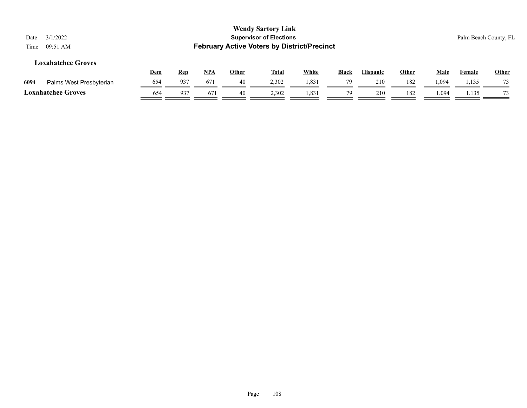| 3/1/2022<br>Date<br>09:51 AM<br>Time |            |            |            |              | <b>Wendy Sartory Link</b><br><b>Supervisor of Elections</b><br><b>February Active Voters by District/Precinct</b> |              |              |                 |              |             |               | Palm Beach County, FL |
|--------------------------------------|------------|------------|------------|--------------|-------------------------------------------------------------------------------------------------------------------|--------------|--------------|-----------------|--------------|-------------|---------------|-----------------------|
| <b>Loxahatchee Groves</b>            | <u>Dem</u> | <b>Rep</b> | <u>NPA</u> | <u>Other</u> | <b>Total</b>                                                                                                      | <b>White</b> | <b>Black</b> | <b>Hispanic</b> | <u>Other</u> | <b>Male</b> | <b>Female</b> | Other                 |
| Palms West Presbyterian<br>6094      | 654        | 937        | 671        | 40           | 2,302                                                                                                             | 1,831        | 79           | 210             | 182          | 1,094       | 1,135         | 73                    |
| <b>Loxahatchee Groves</b>            | 654        | 937        | 671        | 40           | 2,302                                                                                                             | 1,831        | 79           | 210             | 182          | 1,094       | 1,135         | 73                    |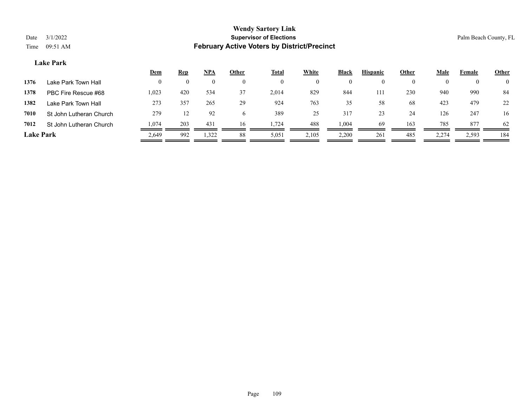#### **Lake Park**

|                  |                         | <u>Dem</u> | <b>Rep</b> | <u>NPA</u> | <u>Other</u> | <b>Total</b> | <b>White</b> | <b>Black</b> | <b>Hispanic</b> | Other    | <b>Male</b> | Female | <b>Other</b>   |
|------------------|-------------------------|------------|------------|------------|--------------|--------------|--------------|--------------|-----------------|----------|-------------|--------|----------------|
| 1376             | Lake Park Town Hall     | 0          | $\theta$   | $\theta$   | $\theta$     | $\theta$     | $\theta$     | $\theta$     | $\theta$        | $\theta$ |             |        | $\overline{0}$ |
| 1378             | PBC Fire Rescue #68     | 1,023      | 420        | 534        | 37           | 2.014        | 829          | 844          | 111             | 230      | 940         | 990    | 84             |
| 1382             | Lake Park Town Hall     | 273        | 357        | 265        | 29           | 924          | 763          | 35           | 58              | 68       | 423         | 479    | 22             |
| 7010             | St John Lutheran Church | 279        | 12         | 92         | <sub>0</sub> | 389          | 25           | 317          | 23              | 24       | 126         | 247    | 16             |
| 7012             | St John Lutheran Church | 1,074      | 203        | 431        | 16           | 1,724        | 488          | 1,004        | 69              | 163      | 785         | 877    | 62             |
| <b>Lake Park</b> |                         | 2,649      | 992        | 1,322      | 88           | 5,051        | 2,105        | 2,200        | 261             | 485      | 2,274       | 2,593  | 184            |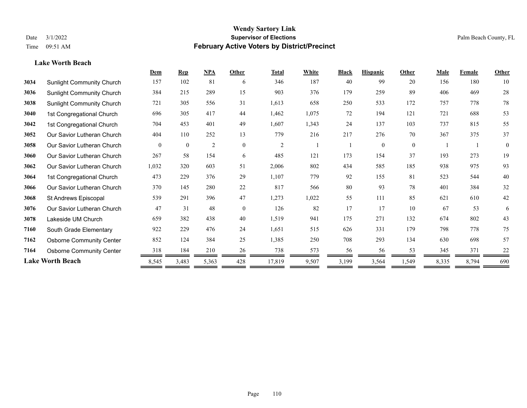#### **Lake Worth Beach**

|      |                                  | Dem      | <b>Rep</b>   | NPA            | Other          | <b>Total</b>   | White | <b>Black</b> | <b>Hispanic</b> | Other        | <b>Male</b> | Female | <b>Other</b> |
|------|----------------------------------|----------|--------------|----------------|----------------|----------------|-------|--------------|-----------------|--------------|-------------|--------|--------------|
| 3034 | <b>Sunlight Community Church</b> | 157      | 102          | 81             | 6              | 346            | 187   | 40           | 99              | 20           | 156         | 180    | 10           |
| 3036 | <b>Sunlight Community Church</b> | 384      | 215          | 289            | 15             | 903            | 376   | 179          | 259             | 89           | 406         | 469    | 28           |
| 3038 | <b>Sunlight Community Church</b> | 721      | 305          | 556            | 31             | 1,613          | 658   | 250          | 533             | 172          | 757         | 778    | 78           |
| 3040 | 1st Congregational Church        | 696      | 305          | 417            | 44             | 1,462          | 1,075 | 72           | 194             | 121          | 721         | 688    | 53           |
| 3042 | 1st Congregational Church        | 704      | 453          | 401            | 49             | 1,607          | 1,343 | 24           | 137             | 103          | 737         | 815    | 55           |
| 3052 | Our Savior Lutheran Church       | 404      | 110          | 252            | 13             | 779            | 216   | 217          | 276             | 70           | 367         | 375    | 37           |
| 3058 | Our Savior Lutheran Church       | $\theta$ | $\mathbf{0}$ | $\overline{2}$ | $\overline{0}$ | $\overline{2}$ |       |              | $\mathbf{0}$    | $\mathbf{0}$ |             |        | $\mathbf{0}$ |
| 3060 | Our Savior Lutheran Church       | 267      | 58           | 154            | 6              | 485            | 121   | 173          | 154             | 37           | 193         | 273    | 19           |
| 3062 | Our Savior Lutheran Church       | 1,032    | 320          | 603            | 51             | 2,006          | 802   | 434          | 585             | 185          | 938         | 975    | 93           |
| 3064 | 1st Congregational Church        | 473      | 229          | 376            | 29             | 1,107          | 779   | 92           | 155             | 81           | 523         | 544    | 40           |
| 3066 | Our Savior Lutheran Church       | 370      | 145          | 280            | 22             | 817            | 566   | 80           | 93              | 78           | 401         | 384    | 32           |
| 3068 | St Andrews Episcopal             | 539      | 291          | 396            | 47             | 1,273          | 1,022 | 55           | 111             | 85           | 621         | 610    | 42           |
| 3076 | Our Savior Lutheran Church       | 47       | 31           | 48             | $\theta$       | 126            | 82    | 17           | 17              | 10           | 67          | 53     | 6            |
| 3078 | Lakeside UM Church               | 659      | 382          | 438            | 40             | 1,519          | 941   | 175          | 271             | 132          | 674         | 802    | 43           |
| 7160 | South Grade Elementary           | 922      | 229          | 476            | 24             | 1,651          | 515   | 626          | 331             | 179          | 798         | 778    | 75           |
| 7162 | <b>Osborne Community Center</b>  | 852      | 124          | 384            | 25             | 1,385          | 250   | 708          | 293             | 134          | 630         | 698    | 57           |
| 7164 | <b>Osborne Community Center</b>  | 318      | 184          | 210            | 26             | 738            | 573   | 56           | 56              | 53           | 345         | 371    | 22           |
|      | <b>Lake Worth Beach</b>          | 8,545    | 3,483        | 5,363          | 428            | 17,819         | 9,507 | 3,199        | 3,564           | 1,549        | 8,335       | 8,794  | 690          |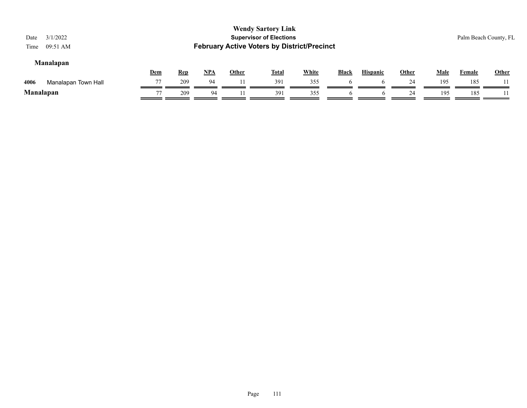| 3/1/2022<br>Date<br>09:51 AM<br>Time |            |            |     |              | <b>Wendy Sartory Link</b><br><b>Supervisor of Elections</b><br><b>February Active Voters by District/Precinct</b> |              |              |                 |              |             |        | Palm Beach County, FL |
|--------------------------------------|------------|------------|-----|--------------|-------------------------------------------------------------------------------------------------------------------|--------------|--------------|-----------------|--------------|-------------|--------|-----------------------|
| <b>Manalapan</b>                     | <u>Dem</u> | <b>Rep</b> | NPA | <b>Other</b> | <b>Total</b>                                                                                                      | <b>White</b> | <b>Black</b> | <b>Hispanic</b> | <b>Other</b> | <b>Male</b> | Female | <b>Other</b>          |
| 4006<br>Manalapan Town Hall          | 77         | 209        | 94  |              | 391                                                                                                               | 355          | <sub>0</sub> | $\sigma$        | 24           | 195         | 185    |                       |
| Manalapan                            | 77         | 209        | 94  |              | 391                                                                                                               | 355          | <sub>0</sub> | <sub>0</sub>    | 24           | 195         | 185    |                       |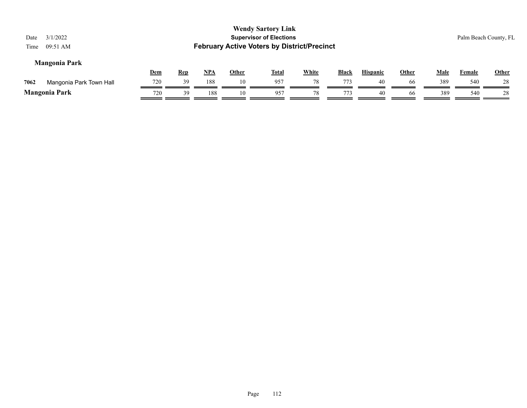| Date<br>Time | 3/1/2022<br>09:51 AM    |            |            |       |              | <b>Wendy Sartory Link</b><br><b>Supervisor of Elections</b><br><b>February Active Voters by District/Precinct</b> |              |       |                 |       |             |               | Palm Beach County, FL |
|--------------|-------------------------|------------|------------|-------|--------------|-------------------------------------------------------------------------------------------------------------------|--------------|-------|-----------------|-------|-------------|---------------|-----------------------|
|              | <b>Mangonia Park</b>    | <u>Dem</u> | <u>Rep</u> | $NPA$ | <b>Other</b> | <u>Total</u>                                                                                                      | <b>White</b> | Black | <b>Hispanic</b> | Other | <u>Male</u> | <u>Female</u> | <b>Other</b>          |
| 7062         | Mangonia Park Town Hall | 720        | 39         | 188   | 10           | 957                                                                                                               | 78           | 773   | 40              | -66   | 389         | 540           | 28                    |
|              | <b>Mangonia Park</b>    | 720        | 39         | 188   | 10           | 957                                                                                                               | 78           | 773   | 40              | -66   | 389         | 540           | 28                    |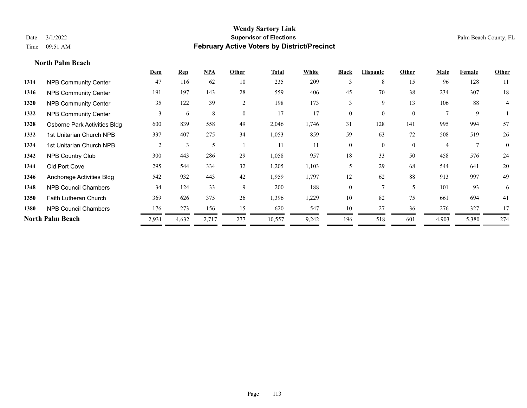#### **North Palm Beach**

|      |                              | Dem   | <b>Rep</b> | NPA   | Other    | <b>Total</b> | White | <b>Black</b> | <b>Hispanic</b> | Other    | Male           | Female | Other          |
|------|------------------------------|-------|------------|-------|----------|--------------|-------|--------------|-----------------|----------|----------------|--------|----------------|
| 1314 | <b>NPB Community Center</b>  | 47    | 116        | 62    | 10       | 235          | 209   | 3            | 8               | 15       | 96             | 128    | 11             |
| 1316 | <b>NPB Community Center</b>  | 191   | 197        | 143   | 28       | 559          | 406   | 45           | 70              | 38       | 234            | 307    | 18             |
| 1320 | <b>NPB Community Center</b>  | 35    | 122        | 39    | 2        | 198          | 173   | 3            | 9               | 13       | 106            | 88     | 4              |
| 1322 | <b>NPB Community Center</b>  | 3     | 6          | 8     | $\theta$ | 17           | 17    | $\Omega$     | $\Omega$        | $\theta$ |                | 9      |                |
| 1328 | Osborne Park Activities Bldg | 600   | 839        | 558   | 49       | 2,046        | 1,746 | 31           | 128             | 141      | 995            | 994    | 57             |
| 1332 | 1st Unitarian Church NPB     | 337   | 407        | 275   | 34       | 1,053        | 859   | 59           | 63              | 72       | 508            | 519    | 26             |
| 1334 | 1st Unitarian Church NPB     | 2     | 3          | 5     |          | 11           | 11    | $\mathbf{0}$ | $\theta$        | $\theta$ | $\overline{4}$ |        | $\overline{0}$ |
| 1342 | NPB Country Club             | 300   | 443        | 286   | 29       | 1,058        | 957   | 18           | 33              | 50       | 458            | 576    | 24             |
| 1344 | Old Port Cove                | 295   | 544        | 334   | 32       | 1,205        | 1,103 | 5            | 29              | 68       | 544            | 641    | 20             |
| 1346 | Anchorage Activities Bldg    | 542   | 932        | 443   | 42       | 1,959        | 1,797 | 12           | 62              | 88       | 913            | 997    | 49             |
| 1348 | <b>NPB Council Chambers</b>  | 34    | 124        | 33    | 9        | 200          | 188   | $\mathbf{0}$ |                 | 5        | 101            | 93     | 6              |
| 1350 | Faith Lutheran Church        | 369   | 626        | 375   | 26       | 1,396        | 1,229 | 10           | 82              | 75       | 661            | 694    | 41             |
| 1380 | <b>NPB Council Chambers</b>  | 176   | 273        | 156   | 15       | 620          | 547   | 10           | 27              | 36       | 276            | 327    | 17             |
|      | <b>North Palm Beach</b>      | 2,931 | 4,632      | 2,717 | 277      | 10,557       | 9,242 | 196          | 518             | 601      | 4,903          | 5,380  | 274            |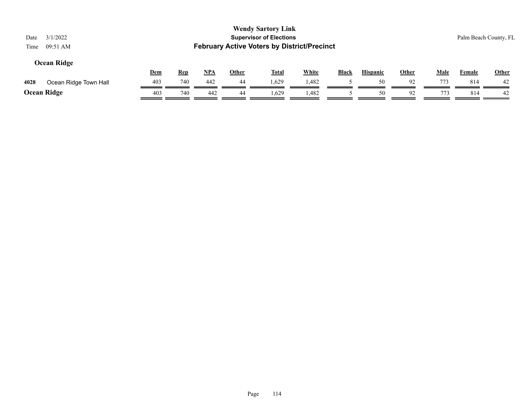| 3/1/2022<br>Date<br>09:51 AM<br>Time |     |            |            |              | <b>Wendy Sartory Link</b><br><b>Supervisor of Elections</b><br><b>February Active Voters by District/Precinct</b> |              |       |                 |              |             |               | Palm Beach County, FL |
|--------------------------------------|-----|------------|------------|--------------|-------------------------------------------------------------------------------------------------------------------|--------------|-------|-----------------|--------------|-------------|---------------|-----------------------|
| <b>Ocean Ridge</b>                   | Dem | <b>Rep</b> | <u>NPA</u> | <b>Other</b> | <b>Total</b>                                                                                                      | <b>White</b> | Black | <b>Hispanic</b> | <u>Other</u> | <u>Male</u> | <u>Female</u> | Other                 |
| 4028<br>Ocean Ridge Town Hall        | 403 | 740        | 442        | 44           | 1,629                                                                                                             | 1,482        |       | 50              | 92           | 773         | 814           | 42                    |
|                                      | 403 | 740        | 442        | 44           | 1,629                                                                                                             | 1,482        |       | 50              | 92           | 773         | 814           | 42                    |
| <b>Ocean Ridge</b>                   |     |            |            |              |                                                                                                                   |              |       |                 |              |             |               |                       |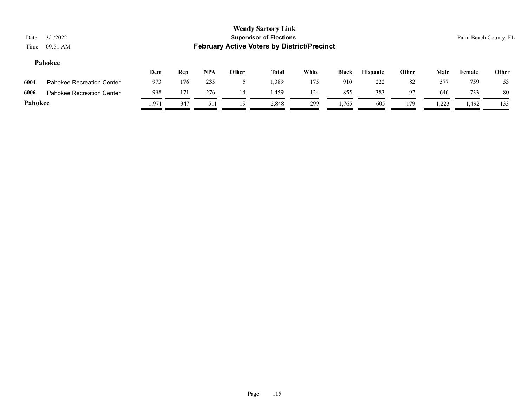## **Wendy Sartory Link** Date 3/1/2022 **Supervisor of Elections** Palm Beach County, FL Time 09:51 AM **February Active Voters by District/Precinct Dem Rep NPA Other Total White Black Hispanic Other Male Female Other Pahokee 6004** Pahokee Recreation Center 973 176 235 5 1,389 175 910 222 82 577 759 53

**6006** Pahokee Recreation Center <u>998 171 276</u> 14 1,459 124 855 383 97 646 733 80 **Pahokee** 1,971 347 511 19 2,848 299 1,765 605 179 1,223 1,492 133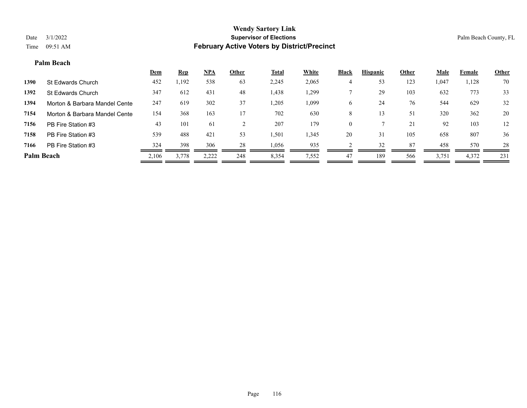#### **Palm Beach**

|                   |                               | <u>Dem</u> | <u>Rep</u> | $NPA$ | Other | <b>Total</b> | White | <b>Black</b> | <b>Hispanic</b> | Other | <b>Male</b> | Female | <b>Other</b> |
|-------------------|-------------------------------|------------|------------|-------|-------|--------------|-------|--------------|-----------------|-------|-------------|--------|--------------|
| 1390              | St Edwards Church             | 452        | ,192       | 538   | 63    | 2,245        | 2,065 |              | 53              | 123   | 1,047       | 1,128  | 70           |
| 1392              | St Edwards Church             | 347        | 612        | 431   | 48    | 1,438        | ,299  |              | 29              | 103   | 632         | 773    | 33           |
| 1394              | Morton & Barbara Mandel Cente | 247        | 619        | 302   | 37    | 1,205        | 1,099 | <sub>0</sub> | 24              | 76    | 544         | 629    | 32           |
| 7154              | Morton & Barbara Mandel Cente | 154        | 368        | 163   | 17    | 702          | 630   | 8            |                 | 51    | 320         | 362    | 20           |
| 7156              | PB Fire Station #3            | 43         | 101        | 61    |       | 207          | 179   | $\mathbf{0}$ |                 | 21    | 92          | 103    | 12           |
| 7158              | PB Fire Station #3            | 539        | 488        | 421   | 53    | 1,501        | 1,345 | 20           | 31              | 105   | 658         | 807    | 36           |
| 7166              | PB Fire Station #3            | 324        | 398        | 306   | 28    | 1,056        | 935   |              | 32              | 87    | 458         | 570    | 28           |
| <b>Palm Beach</b> |                               | 2.106      | 3.778      | 2,222 | 248   | 8,354        | 7,552 | 47           | 189             | 566   | 3,751       | 4,372  | 231          |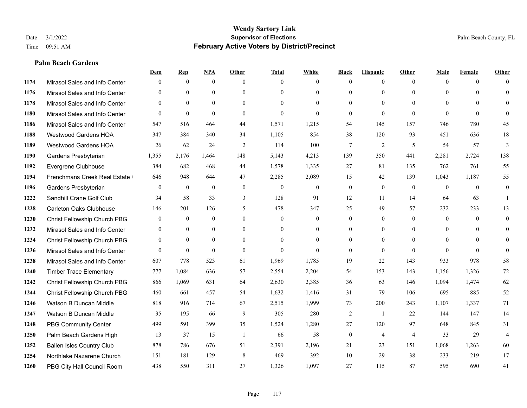#### **Palm Beach Gardens**

|      |                                  | Dem            | <b>Rep</b>   | NPA              | <b>Other</b>   | <b>Total</b>     | <b>White</b>     | <b>Black</b>     | <b>Hispanic</b> | <b>Other</b>   | <b>Male</b>    | <b>Female</b> | <b>Other</b>   |
|------|----------------------------------|----------------|--------------|------------------|----------------|------------------|------------------|------------------|-----------------|----------------|----------------|---------------|----------------|
| 1174 | Mirasol Sales and Info Center    | $\Omega$       | $\mathbf{0}$ | $\mathbf{0}$     | $\Omega$       | $\Omega$         | $\overline{0}$   | $\mathbf{0}$     | $\mathbf{0}$    | $\theta$       | $\theta$       | $\theta$      | $\Omega$       |
| 1176 | Mirasol Sales and Info Center    | $\theta$       | $\theta$     | $\theta$         | $\theta$       | $\Omega$         | $\overline{0}$   | $\theta$         | $\mathbf{0}$    | $\Omega$       | $\theta$       | $\Omega$      | $\theta$       |
| 1178 | Mirasol Sales and Info Center    | $\Omega$       | $\theta$     | $\theta$         | $\Omega$       | $\Omega$         | $\Omega$         | $\Omega$         | $\Omega$        | $\Omega$       | $\Omega$       | $\Omega$      | $\Omega$       |
| 1180 | Mirasol Sales and Info Center    | $\mathbf{0}$   | $\mathbf{0}$ | $\mathbf{0}$     | $\mathbf{0}$   | $\theta$         | $\overline{0}$   | $\mathbf{0}$     | $\mathbf{0}$    | $\theta$       | $\theta$       | $\theta$      | $\Omega$       |
| 1186 | Mirasol Sales and Info Center    | 547            | 516          | 464              | 44             | 1,571            | 1,215            | 54               | 145             | 157            | 746            | 780           | 45             |
| 1188 | <b>Westwood Gardens HOA</b>      | 347            | 384          | 340              | 34             | 1,105            | 854              | 38               | 120             | 93             | 451            | 636           | 18             |
| 1189 | Westwood Gardens HOA             | 26             | 62           | 24               | $\overline{2}$ | 114              | 100              | $\overline{7}$   | $\overline{2}$  | 5              | 54             | 57            | $\mathfrak{Z}$ |
| 1190 | Gardens Presbyterian             | 1,355          | 2,176        | 1,464            | 148            | 5,143            | 4,213            | 139              | 350             | 441            | 2,281          | 2,724         | 138            |
| 1192 | Evergrene Clubhouse              | 384            | 682          | 468              | 44             | 1,578            | 1,335            | 27               | 81              | 135            | 762            | 761           | 55             |
| 1194 | Frenchmans Creek Real Estate     | 646            | 948          | 644              | 47             | 2,285            | 2,089            | 15               | 42              | 139            | 1,043          | 1,187         | 55             |
| 1196 | Gardens Presbyterian             | $\overline{0}$ | $\mathbf{0}$ | $\mathbf{0}$     | $\mathbf{0}$   | $\mathbf{0}$     | $\overline{0}$   | $\mathbf{0}$     | $\mathbf{0}$    | $\overline{0}$ | $\overline{0}$ | $\theta$      | $\mathbf{0}$   |
| 1222 | Sandhill Crane Golf Club         | 34             | 58           | 33               | 3              | 128              | 91               | 12               | 11              | 14             | 64             | 63            | $\mathbf{1}$   |
| 1228 | <b>Carleton Oaks Clubhouse</b>   | 146            | 201          | 126              | 5              | 478              | 347              | 25               | 49              | 57             | 232            | 233           | 13             |
| 1230 | Christ Fellowship Church PBG     | $\mathbf{0}$   | $\mathbf{0}$ | $\boldsymbol{0}$ | $\mathbf{0}$   | $\boldsymbol{0}$ | $\boldsymbol{0}$ | $\boldsymbol{0}$ | $\mathbf{0}$    | $\mathbf{0}$   | $\mathbf{0}$   | $\mathbf{0}$  | $\mathbf{0}$   |
| 1232 | Mirasol Sales and Info Center    | $\mathbf{0}$   | $\mathbf{0}$ | $\mathbf{0}$     | $\theta$       | $\Omega$         | $\mathbf{0}$     | $\overline{0}$   | $\mathbf{0}$    | $\theta$       | $\theta$       | $\theta$      | $\mathbf{0}$   |
| 1234 | Christ Fellowship Church PBG     | $\theta$       | $\theta$     | $\theta$         | $\theta$       | $\Omega$         | $\theta$         | $\theta$         | $\theta$        | $\Omega$       | $\theta$       | $\Omega$      | $\theta$       |
| 1236 | Mirasol Sales and Info Center    | $\theta$       | $\mathbf{0}$ | $\theta$         | $\theta$       | $\theta$         | $\Omega$         | $\mathbf{0}$     | $\theta$        | $\theta$       | $\Omega$       | $\theta$      | $\theta$       |
| 1238 | Mirasol Sales and Info Center    | 607            | 778          | 523              | 61             | 1,969            | 1,785            | 19               | 22              | 143            | 933            | 978           | $58\,$         |
| 1240 | <b>Timber Trace Elementary</b>   | 777            | 1,084        | 636              | 57             | 2,554            | 2,204            | 54               | 153             | 143            | 1,156          | 1,326         | 72             |
| 1242 | Christ Fellowship Church PBG     | 866            | 1.069        | 631              | 64             | 2,630            | 2,385            | 36               | 63              | 146            | 1,094          | 1,474         | 62             |
| 1244 | Christ Fellowship Church PBG     | 460            | 661          | 457              | 54             | 1,632            | 1,416            | 31               | 79              | 106            | 695            | 885           | 52             |
| 1246 | Watson B Duncan Middle           | 818            | 916          | 714              | 67             | 2,515            | 1,999            | 73               | 200             | 243            | 1,107          | 1,337         | 71             |
| 1247 | Watson B Duncan Middle           | 35             | 195          | 66               | 9              | 305              | 280              | 2                | 1               | 22             | 144            | 147           | 14             |
| 1248 | <b>PBG Community Center</b>      | 499            | 591          | 399              | 35             | 1,524            | 1,280            | 27               | 120             | 97             | 648            | 845           | 31             |
| 1250 | Palm Beach Gardens High          | 13             | 37           | 15               | -1             | 66               | 58               | $\boldsymbol{0}$ | $\overline{4}$  | $\overline{4}$ | 33             | 29            | $\overline{4}$ |
| 1252 | <b>Ballen Isles Country Club</b> | 878            | 786          | 676              | 51             | 2,391            | 2,196            | 21               | 23              | 151            | 1,068          | 1,263         | 60             |
| 1254 | Northlake Nazarene Church        | 151            | 181          | 129              | 8              | 469              | 392              | 10               | 29              | 38             | 233            | 219           | 17             |
| 1260 | PBG City Hall Council Room       | 438            | 550          | 311              | 27             | 1,326            | 1,097            | 27               | 115             | 87             | 595            | 690           | 41             |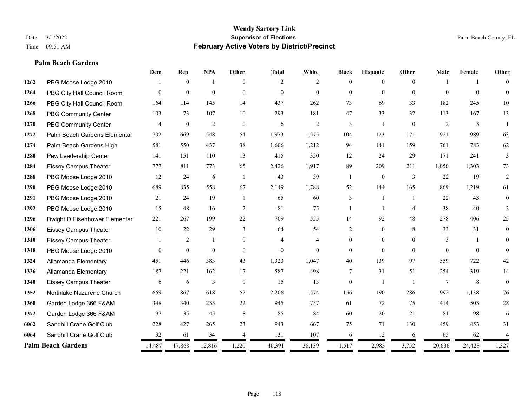#### **Palm Beach Gardens**

|      |                               | Dem      | <b>Rep</b>       | NPA            | Other          | <b>Total</b> | White          | <b>Black</b>   | <b>Hispanic</b> | <b>Other</b>   | <b>Male</b> | Female       | <b>Other</b>   |
|------|-------------------------------|----------|------------------|----------------|----------------|--------------|----------------|----------------|-----------------|----------------|-------------|--------------|----------------|
| 1262 | PBG Moose Lodge 2010          |          | $\theta$         | 1              | $\Omega$       | 2            | 2              | $\Omega$       | $\theta$        | $\theta$       |             |              |                |
| 1264 | PBG City Hall Council Room    | $\Omega$ | $\mathbf{0}$     | $\theta$       | $\Omega$       | $\Omega$     | $\Omega$       | $\Omega$       | $\Omega$        | $\theta$       | $\Omega$    | $\theta$     | $\theta$       |
| 1266 | PBG City Hall Council Room    | 164      | 114              | 145            | 14             | 437          | 262            | 73             | 69              | 33             | 182         | 245          | $10\,$         |
| 1268 | <b>PBG Community Center</b>   | 103      | 73               | 107            | 10             | 293          | 181            | 47             | 33              | 32             | 113         | 167          | 13             |
| 1270 | <b>PBG Community Center</b>   | 4        | $\boldsymbol{0}$ | $\overline{2}$ | $\theta$       | 6            | $\mathbf{2}$   | 3              | 1               | $\theta$       | 2           | 3            |                |
| 1272 | Palm Beach Gardens Elementar  | 702      | 669              | 548            | 54             | 1,973        | 1,575          | 104            | 123             | 171            | 921         | 989          | 63             |
| 1274 | Palm Beach Gardens High       | 581      | 550              | 437            | 38             | 1,606        | 1,212          | 94             | 141             | 159            | 761         | 783          | 62             |
| 1280 | Pew Leadership Center         | 141      | 151              | 110            | 13             | 415          | 350            | 12             | 24              | 29             | 171         | 241          | 3              |
| 1284 | <b>Eissey Campus Theater</b>  | 777      | 811              | 773            | 65             | 2,426        | 1,917          | 89             | 209             | 211            | 1,050       | 1,303        | 73             |
| 1288 | PBG Moose Lodge 2010          | 12       | 24               | 6              | $\overline{1}$ | 43           | 39             | $\mathbf{1}$   | $\mathbf{0}$    | 3              | 22          | 19           | 2              |
| 1290 | PBG Moose Lodge 2010          | 689      | 835              | 558            | 67             | 2,149        | 1,788          | 52             | 144             | 165            | 869         | 1,219        | 61             |
| 1291 | PBG Moose Lodge 2010          | 21       | 24               | 19             | $\overline{1}$ | 65           | 60             | 3              |                 |                | 22          | 43           | $\overline{0}$ |
| 1292 | PBG Moose Lodge 2010          | 15       | 48               | 16             | 2              | 81           | 75             |                | -1              | $\overline{4}$ | 38          | 40           | 3              |
| 1296 | Dwight D Eisenhower Elementar | 221      | 267              | 199            | 22             | 709          | 555            | 14             | 92              | 48             | 278         | 406          | 25             |
| 1306 | <b>Eissey Campus Theater</b>  | 10       | 22               | 29             | 3              | 64           | 54             | 2              | $\overline{0}$  | 8              | 33          | 31           | $\overline{0}$ |
| 1310 | <b>Eissey Campus Theater</b>  |          | $\overline{c}$   | 1              | $\theta$       | 4            | $\overline{4}$ | $\overline{0}$ | $\overline{0}$  | $\theta$       | 3           | $\mathbf{1}$ | $\Omega$       |
| 1318 | PBG Moose Lodge 2010          | $\Omega$ | $\mathbf{0}$     | $\theta$       | $\theta$       | $\mathbf{0}$ | $\theta$       | $\Omega$       | $\theta$        | $\Omega$       | $\Omega$    | $\Omega$     | $\Omega$       |
| 1324 | Allamanda Elementary          | 451      | 446              | 383            | 43             | 1,323        | 1,047          | 40             | 139             | 97             | 559         | 722          | 42             |
| 1326 | Allamanda Elementary          | 187      | 221              | 162            | 17             | 587          | 498            | 7              | 31              | 51             | 254         | 319          | 14             |
| 1340 | <b>Eissey Campus Theater</b>  | 6        | 6                | 3              | $\theta$       | 15           | 13             | $\theta$       | 1               | $\overline{1}$ | 7           | 8            | $\overline{0}$ |
| 1352 | Northlake Nazarene Church     | 669      | 867              | 618            | 52             | 2,206        | 1,574          | 156            | 190             | 286            | 992         | 1,138        | 76             |
| 1360 | Garden Lodge 366 F&AM         | 348      | 340              | 235            | $22\,$         | 945          | 737            | 61             | 72              | 75             | 414         | 503          | $28\,$         |
| 1372 | Garden Lodge 366 F&AM         | 97       | 35               | 45             | 8              | 185          | 84             | 60             | 20              | 21             | 81          | 98           | 6              |
| 6062 | Sandhill Crane Golf Club      | 228      | 427              | 265            | 23             | 943          | 667            | 75             | 71              | 130            | 459         | 453          | 31             |
| 6064 | Sandhill Crane Golf Club      | 32       | 61               | 34             |                | 131          | 107            | 6              | 12              | 6              | 65          | 62           |                |
|      | <b>Palm Beach Gardens</b>     | 14,487   | 17,868           | 12,816         | 1,220          | 46,391       | 38,139         | 1,517          | 2,983           | 3,752          | 20,636      | 24,428       | 1,327          |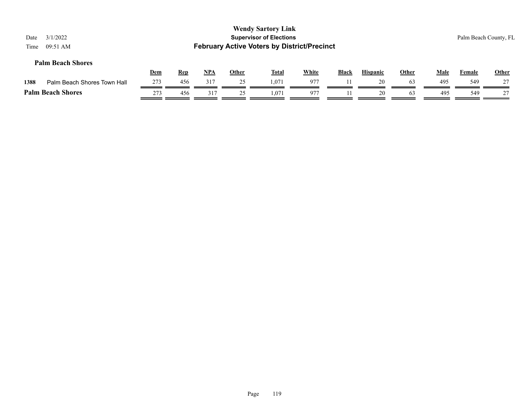| 3/1/2022<br>Date<br>09:51 AM<br>Time |            |            |            |              | <b>Wendy Sartory Link</b><br><b>Supervisor of Elections</b><br><b>February Active Voters by District/Precinct</b> |              |              |                 |              |             |               | Palm Beach County, FL |
|--------------------------------------|------------|------------|------------|--------------|-------------------------------------------------------------------------------------------------------------------|--------------|--------------|-----------------|--------------|-------------|---------------|-----------------------|
| <b>Palm Beach Shores</b>             | <b>Dem</b> | <b>Rep</b> | <u>NPA</u> | <b>Other</b> | <b>Total</b>                                                                                                      | <b>White</b> | <b>Black</b> | <b>Hispanic</b> | <b>Other</b> | <u>Male</u> | <b>Female</b> | <b>Other</b>          |
| 1388<br>Palm Beach Shores Town Hall  | 273        | 456        | 317        | 25           | 1.071                                                                                                             | 977          |              | 20              | 63           | 495         | 549           | 27                    |
| <b>Palm Beach Shores</b>             | 273        | 456        | 317        | 25           | .071                                                                                                              | 977          |              | 20              | 63           | 495         | 549           |                       |
|                                      |            |            |            |              |                                                                                                                   |              |              |                 |              |             |               |                       |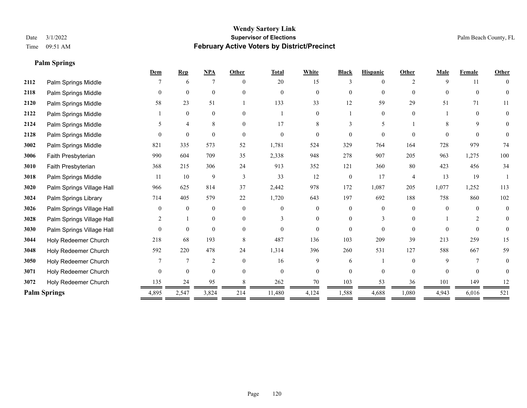**Palm Springs**

## **Wendy Sartory Link** Date 3/1/2022 **Supervisor of Elections** Palm Beach County, FL Time 09:51 AM **February Active Voters by District/Precinct**

|      |                           | Dem            | <b>Rep</b>     | <b>NPA</b>       | Other    | <b>Total</b> | White          | <b>Black</b> | <b>Hispanic</b> | Other          | Male     | Female   | Other          |
|------|---------------------------|----------------|----------------|------------------|----------|--------------|----------------|--------------|-----------------|----------------|----------|----------|----------------|
| 2112 | Palm Springs Middle       |                | 6              | 7                | $\Omega$ | 20           | 15             | 3            | 0               | $\mathcal{D}$  | 9        | 11       | $\mathbf{0}$   |
| 2118 | Palm Springs Middle       | $\theta$       | $\overline{0}$ | $\boldsymbol{0}$ | $\Omega$ | $\mathbf{0}$ | $\mathbf{0}$   | $\Omega$     | $\overline{0}$  | $\theta$       | $\theta$ | $\Omega$ | $\theta$       |
| 2120 | Palm Springs Middle       | 58             | 23             | 51               |          | 133          | 33             | 12           | 59              | 29             | 51       | 71       | 11             |
| 2122 | Palm Springs Middle       |                | $\overline{0}$ | $\overline{0}$   | $\theta$ |              | $\overline{0}$ |              | $\overline{0}$  | $\mathbf{0}$   |          | $\theta$ | $\overline{0}$ |
| 2124 | Palm Springs Middle       | 5              | 4              | 8                | $\theta$ | 17           | 8              |              | 5               |                | 8        | 9        | $\overline{0}$ |
| 2128 | Palm Springs Middle       | $\Omega$       | $\overline{0}$ | $\Omega$         | $\Omega$ | $\theta$     | $\Omega$       | 0            | 0               | $\Omega$       | $\Omega$ | $\Omega$ | $\theta$       |
| 3002 | Palm Springs Middle       | 821            | 335            | 573              | 52       | 1,781        | 524            | 329          | 764             | 164            | 728      | 979      | 74             |
| 3006 | Faith Presbyterian        | 990            | 604            | 709              | 35       | 2,338        | 948            | 278          | 907             | 205            | 963      | 1,275    | 100            |
| 3010 | Faith Presbyterian        | 368            | 215            | 306              | 24       | 913          | 352            | 121          | 360             | 80             | 423      | 456      | 34             |
| 3018 | Palm Springs Middle       | 11             | 10             | 9                | 3        | 33           | 12             | $\mathbf{0}$ | 17              | $\overline{4}$ | 13       | 19       |                |
| 3020 | Palm Springs Village Hall | 966            | 625            | 814              | 37       | 2,442        | 978            | 172          | 1,087           | 205            | 1,077    | 1,252    | 113            |
| 3024 | Palm Springs Library      | 714            | 405            | 579              | 22       | 1,720        | 643            | 197          | 692             | 188            | 758      | 860      | 102            |
| 3026 | Palm Springs Village Hall | $\theta$       | $\theta$       | $\mathbf{0}$     | $\theta$ | $\Omega$     | $\theta$       | $\Omega$     | $\theta$        | $\theta$       | $\Omega$ | $\Omega$ | $\mathbf{0}$   |
| 3028 | Palm Springs Village Hall |                |                | $\overline{0}$   | $\theta$ | 3            | $\Omega$       | 0            | 3               | $\Omega$       |          | 2        | $\theta$       |
| 3030 | Palm Springs Village Hall | 0              | $\overline{0}$ | $\mathbf{0}$     | $\Omega$ | $\Omega$     | $\theta$       | 0            | $\Omega$        | $\theta$       | $\Omega$ | $\theta$ | 0              |
| 3044 | Holy Redeemer Church      | 218            | 68             | 193              | 8        | 487          | 136            | 103          | 209             | 39             | 213      | 259      | 15             |
| 3048 | Holy Redeemer Church      | 592            | 220            | 478              | 24       | 1,314        | 396            | 260          | 531             | 127            | 588      | 667      | 59             |
| 3050 | Holy Redeemer Church      |                | 7              | $\overline{c}$   | $\theta$ | 16           | 9              | 6            |                 | $\theta$       | 9        | 7        | 0              |
| 3071 | Holy Redeemer Church      | $\overline{0}$ | $\overline{0}$ | $\overline{0}$   | $\theta$ | $\mathbf{0}$ | $\theta$       | $\Omega$     | $\Omega$        | $\theta$       | $\theta$ | $\Omega$ | $\theta$       |
| 3072 | Holy Redeemer Church      | 135            | 24             | 95               |          | 262          | 70             | 103          | 53              | 36             | 101      | 149      | 12             |
|      | <b>Palm Springs</b>       | 4,895          | 2,547          | 3,824            | 214      | 11,480       | 4,124          | 1,588        | 4,688           | 1,080          | 4,943    | 6,016    | 521            |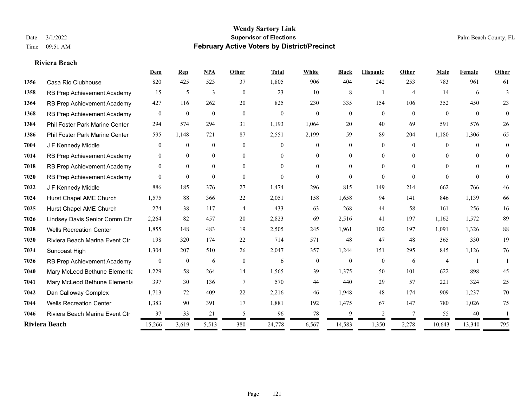#### **Riviera Beach**

|      |                                | Dem              | Rep              | <b>NPA</b>   | Other          | <b>Total</b> | White            | <b>Black</b>   | <b>Hispanic</b> | Other          | Male           | Female         | Other          |
|------|--------------------------------|------------------|------------------|--------------|----------------|--------------|------------------|----------------|-----------------|----------------|----------------|----------------|----------------|
| 1356 | Casa Rio Clubhouse             | 820              | 425              | 523          | 37             | 1,805        | 906              | 404            | 242             | 253            | 783            | 961            | 61             |
| 1358 | RB Prep Achievement Academy    | 15               | 5                | 3            | $\overline{0}$ | 23           | 10               | 8              |                 | $\overline{4}$ | 14             | 6              | 3              |
| 1364 | RB Prep Achievement Academy    | 427              | 116              | 262          | 20             | 825          | 230              | 335            | 154             | 106            | 352            | 450            | 23             |
| 1368 | RB Prep Achievement Academy    | $\mathbf{0}$     | $\mathbf{0}$     | $\mathbf{0}$ | $\overline{0}$ | $\mathbf{0}$ | $\overline{0}$   | $\overline{0}$ | $\overline{0}$  | $\theta$       | $\overline{0}$ | $\overline{0}$ | $\overline{0}$ |
| 1384 | Phil Foster Park Marine Center | 294              | 574              | 294          | 31             | 1,193        | 1,064            | 20             | 40              | 69             | 591            | 576            | 26             |
| 1386 | Phil Foster Park Marine Center | 595              | 1,148            | 721          | 87             | 2,551        | 2,199            | 59             | 89              | 204            | 1,180          | 1,306          | 65             |
| 7004 | J F Kennedy Middle             | $\mathbf{0}$     | $\mathbf{0}$     | $\mathbf{0}$ | $\mathbf{0}$   | $\Omega$     | $\overline{0}$   | $\overline{0}$ | $\overline{0}$  | $\Omega$       | $\overline{0}$ | $\Omega$       | $\theta$       |
| 7014 | RB Prep Achievement Academy    | $\mathbf{0}$     | $\theta$         | $\mathbf{0}$ | $\overline{0}$ | $\Omega$     | $\overline{0}$   | 0              | $\overline{0}$  | $\Omega$       | $\theta$       | $\Omega$       | $\theta$       |
| 7018 | RB Prep Achievement Academy    | $\mathbf{0}$     | $\overline{0}$   | $\mathbf{0}$ | $\Omega$       | $\Omega$     | $\overline{0}$   | $\Omega$       | $\overline{0}$  | $\Omega$       | $\Omega$       | $\Omega$       | $\Omega$       |
| 7020 | RB Prep Achievement Academy    | $\theta$         | $\theta$         | $\theta$     | $\theta$       | $\theta$     | $\theta$         | $\Omega$       | $\theta$        | $\theta$       | $\Omega$       | $\theta$       | $\theta$       |
| 7022 | J F Kennedy Middle             | 886              | 185              | 376          | 27             | 1,474        | 296              | 815            | 149             | 214            | 662            | 766            | 46             |
| 7024 | Hurst Chapel AME Church        | 1,575            | 88               | 366          | 22             | 2,051        | 158              | 1,658          | 94              | 141            | 846            | 1,139          | 66             |
| 7025 | Hurst Chapel AME Church        | 274              | 38               | 117          | $\overline{4}$ | 433          | 63               | 268            | 44              | 58             | 161            | 256            | 16             |
| 7026 | Lindsey Davis Senior Comm Ctr  | 2,264            | 82               | 457          | 20             | 2,823        | 69               | 2,516          | 41              | 197            | 1,162          | 1,572          | 89             |
| 7028 | <b>Wells Recreation Center</b> | 1,855            | 148              | 483          | 19             | 2,505        | 245              | 1,961          | 102             | 197            | 1,091          | 1,326          | $88\,$         |
| 7030 | Riviera Beach Marina Event Ctr | 198              | 320              | 174          | 22             | 714          | 571              | 48             | 47              | 48             | 365            | 330            | 19             |
| 7034 | Suncoast High                  | 1,304            | 207              | 510          | 26             | 2,047        | 357              | 1,244          | 151             | 295            | 845            | 1,126          | 76             |
| 7036 | RB Prep Achievement Academy    | $\boldsymbol{0}$ | $\boldsymbol{0}$ | 6            | $\mathbf{0}$   | 6            | $\boldsymbol{0}$ | $\mathbf{0}$   | $\mathbf{0}$    | 6              | $\overline{4}$ |                |                |
| 7040 | Mary McLeod Bethune Elementa   | 1,229            | 58               | 264          | 14             | 1,565        | 39               | 1,375          | 50              | 101            | 622            | 898            | 45             |
| 7041 | Mary McLeod Bethune Elementa   | 397              | 30               | 136          | $\overline{7}$ | 570          | 44               | 440            | 29              | 57             | 221            | 324            | 25             |
| 7042 | Dan Calloway Complex           | 1,713            | 72               | 409          | 22             | 2,216        | 46               | 1,948          | 48              | 174            | 909            | 1,237          | 70             |
| 7044 | <b>Wells Recreation Center</b> | 1,383            | 90               | 391          | 17             | 1,881        | 192              | 1,475          | 67              | 147            | 780            | 1,026          | 75             |
| 7046 | Riviera Beach Marina Event Ctr | 37               | 33               | 21           | 5              | 96           | 78               | 9              | 2               | 7              | 55             | 40             |                |
|      | Riviera Beach                  | 15,266           | 3,619            | 5,513        | 380            | 24,778       | 6,567            | 14,583         | 1,350           | 2,278          | 10,643         | 13,340         | 795            |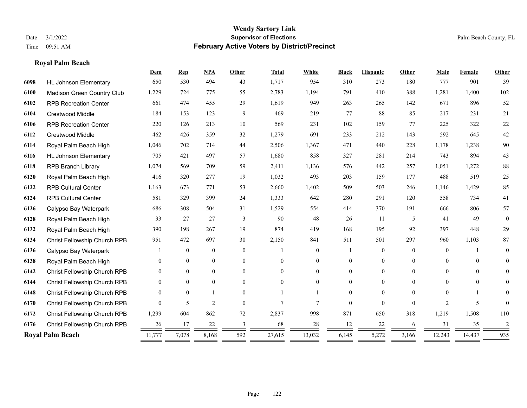## **Royal Palm Beach**

|      |                              | Dem      | $\mathbf{Rep}$ | <b>NPA</b>       | <b>Other</b>   | <b>Total</b> | White          | <b>Black</b>   | <b>Hispanic</b> | Other    | Male           | <b>Female</b> | Other          |
|------|------------------------------|----------|----------------|------------------|----------------|--------------|----------------|----------------|-----------------|----------|----------------|---------------|----------------|
| 6098 | <b>HL Johnson Elementary</b> | 650      | 530            | 494              | 43             | 1,717        | 954            | 310            | 273             | 180      | 777            | 901           | 39             |
| 6100 | Madison Green Country Club   | 1,229    | 724            | 775              | 55             | 2,783        | 1,194          | 791            | 410             | 388      | 1,281          | 1,400         | 102            |
| 6102 | <b>RPB Recreation Center</b> | 661      | 474            | 455              | 29             | 1,619        | 949            | 263            | 265             | 142      | 671            | 896           | 52             |
| 6104 | <b>Crestwood Middle</b>      | 184      | 153            | 123              | 9              | 469          | 219            | 77             | 88              | 85       | 217            | 231           | 21             |
| 6106 | <b>RPB Recreation Center</b> | 220      | 126            | 213              | 10             | 569          | 231            | 102            | 159             | 77       | 225            | 322           | 22             |
| 6112 | Crestwood Middle             | 462      | 426            | 359              | 32             | 1,279        | 691            | 233            | 212             | 143      | 592            | 645           | 42             |
| 6114 | Royal Palm Beach High        | 1,046    | 702            | 714              | 44             | 2,506        | 1,367          | 471            | 440             | 228      | 1,178          | 1,238         | 90             |
| 6116 | <b>HL Johnson Elementary</b> | 705      | 421            | 497              | 57             | 1,680        | 858            | 327            | 281             | 214      | 743            | 894           | 43             |
| 6118 | <b>RPB Branch Library</b>    | 1,074    | 569            | 709              | 59             | 2,411        | 1,136          | 576            | 442             | 257      | 1,051          | 1,272         | 88             |
| 6120 | Royal Palm Beach High        | 416      | 320            | 277              | 19             | 1,032        | 493            | 203            | 159             | 177      | 488            | 519           | 25             |
| 6122 | <b>RPB Cultural Center</b>   | 1,163    | 673            | 771              | 53             | 2,660        | 1,402          | 509            | 503             | 246      | 1,146          | 1,429         | 85             |
| 6124 | <b>RPB Cultural Center</b>   | 581      | 329            | 399              | 24             | 1,333        | 642            | 280            | 291             | 120      | 558            | 734           | 41             |
| 6126 | Calypso Bay Waterpark        | 686      | 308            | 504              | 31             | 1,529        | 554            | 414            | 370             | 191      | 666            | 806           | 57             |
| 6128 | Royal Palm Beach High        | 33       | 27             | 27               | 3              | 90           | 48             | 26             | 11              | 5        | 41             | 49            | $\theta$       |
| 6132 | Royal Palm Beach High        | 390      | 198            | 267              | 19             | 874          | 419            | 168            | 195             | 92       | 397            | 448           | 29             |
| 6134 | Christ Fellowship Church RPB | 951      | 472            | 697              | 30             | 2,150        | 841            | 511            | 501             | 297      | 960            | 1,103         | 87             |
| 6136 | Calypso Bay Waterpark        |          | $\mathbf{0}$   | $\boldsymbol{0}$ | $\theta$       |              | $\overline{0}$ |                | $\overline{0}$  | $\theta$ | $\theta$       |               | $\theta$       |
| 6138 | Royal Palm Beach High        | $\theta$ | $\mathbf{0}$   | $\boldsymbol{0}$ | $\overline{0}$ | $\theta$     | $\overline{0}$ | $\overline{0}$ | $\overline{0}$  | $\theta$ | $\overline{0}$ | $\mathbf{0}$  | $\overline{0}$ |
| 6142 | Christ Fellowship Church RPB | $\theta$ | $\mathbf{0}$   | $\overline{0}$   | $\theta$       | $\Omega$     | $\overline{0}$ | $\theta$       | $\overline{0}$  | $\Omega$ | $\theta$       | $\theta$      | $\overline{0}$ |
| 6144 | Christ Fellowship Church RPB | $\theta$ | $\theta$       | $\mathbf{0}$     | $\theta$       | $\theta$     | $\theta$       | 0              | $\theta$        | $\Omega$ | $\theta$       | $\theta$      | 0              |
| 6148 | Christ Fellowship Church RPB | $\Omega$ | $\Omega$       | -1               | $\Omega$       |              |                | $\Omega$       | $\Omega$        | $\Omega$ | $\Omega$       | 1             | $\Omega$       |
| 6170 | Christ Fellowship Church RPB | $\Omega$ | 5              | $\overline{2}$   | $\theta$       | $\tau$       | 7              | 0              | $\theta$        | $\Omega$ | 2              | 5             | $\Omega$       |
| 6172 | Christ Fellowship Church RPB | 1,299    | 604            | 862              | 72             | 2,837        | 998            | 871            | 650             | 318      | 1,219          | 1,508         | 110            |
| 6176 | Christ Fellowship Church RPB | 26       | 17             | 22               | 3              | 68           | 28             | 12             | 22              | 6        | 31             | 35            | 2              |
|      | <b>Royal Palm Beach</b>      | 11,777   | 7,078          | 8,168            | 592            | 27,615       | 13,032         | 6,145          | 5,272           | 3,166    | 12,243         | 14,437        | 935            |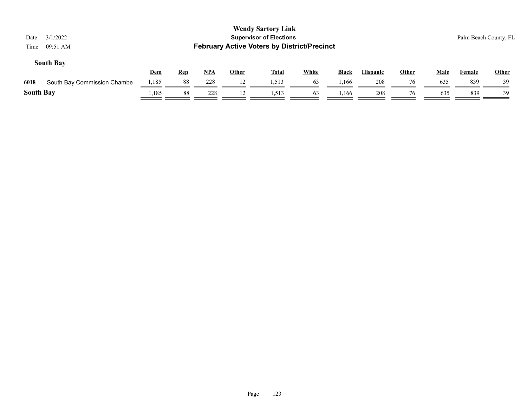| <b>Wendy Sartory Link</b><br><b>Supervisor of Elections</b><br>3/1/2022<br>Palm Beach County, FL<br>Date<br><b>February Active Voters by District/Precinct</b><br>09:51 AM<br>Time |       |            |     |              |              |              |       |                 |              |             |        |              |
|------------------------------------------------------------------------------------------------------------------------------------------------------------------------------------|-------|------------|-----|--------------|--------------|--------------|-------|-----------------|--------------|-------------|--------|--------------|
| <b>South Bay</b>                                                                                                                                                                   | Dem   | <b>Rep</b> | NPA | <b>Other</b> | <b>Total</b> | <b>White</b> | Black | <b>Hispanic</b> | <b>Other</b> | <b>Male</b> | Female | <b>Other</b> |
| 6018<br>South Bay Commission Chambe                                                                                                                                                | 1,185 | 88         | 228 | 12           | 1,513        | 63           | 1,166 | 208             | 76           | 635         | 839    | 39           |
| <b>South Bay</b>                                                                                                                                                                   | 1,185 | 88         | 228 | 12           | 1,513        | 63           | 1,166 | 208             | 76           | 635         | 839    | 39           |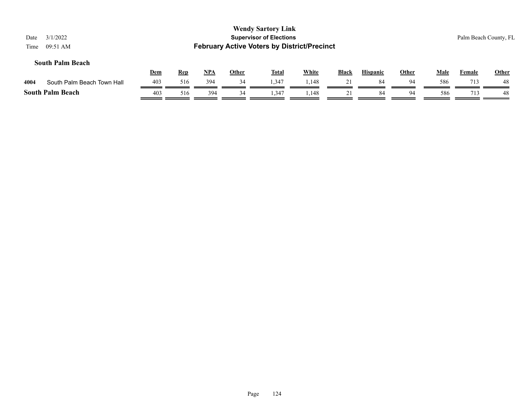| 3/1/2022<br>Date<br>09:51 AM<br>Time |     |            |            |              | <b>Wendy Sartory Link</b><br><b>Supervisor of Elections</b><br><b>February Active Voters by District/Precinct</b> |              |              |                 |              |             |               | Palm Beach County, FL |
|--------------------------------------|-----|------------|------------|--------------|-------------------------------------------------------------------------------------------------------------------|--------------|--------------|-----------------|--------------|-------------|---------------|-----------------------|
| <b>South Palm Beach</b>              | Dem | <b>Rep</b> | <u>NPA</u> | <b>Other</b> | <b>Total</b>                                                                                                      | <b>White</b> | <b>Black</b> | <b>Hispanic</b> | <b>Other</b> | <b>Male</b> | <b>Female</b> | <b>Other</b>          |
| 4004<br>South Palm Beach Town Hall   | 403 | 516        | 394        | 34           | 1,347                                                                                                             | 1,148        | 21           | 84              | 94           | 586         | 713           | 48                    |
| <b>South Palm Beach</b>              | 403 | 516        | 394        | 34           | 1.347                                                                                                             | 1.148        | 21           | 84              | 94           | 586         | 713           | 48                    |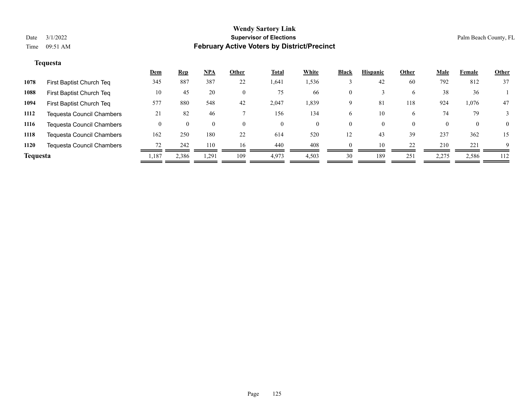## **Tequesta**

|                 |                                  | <u>Dem</u> | <b>Rep</b> | NPA                | Other        | <b>Total</b> | White    | <b>Black</b> | <b>Hispanic</b> | Other    | <u>Male</u> | Female   | <u>Other</u>   |
|-----------------|----------------------------------|------------|------------|--------------------|--------------|--------------|----------|--------------|-----------------|----------|-------------|----------|----------------|
| 1078            | First Baptist Church Teq         | 345        | 887        | 387                | 22           | 1,641        | 1,536    |              | 42              | 60       | 792         | 812      | 37             |
| 1088            | First Baptist Church Teq         | 10         | 45         | 20                 | $\mathbf{0}$ | 75           | 66       | 0            |                 | 6        | 38          | 36       |                |
| 1094            | First Baptist Church Teq         | 577        | 880        | 548                | 42           | 2,047        | 1,839    | 9            | 81              | 118      | 924         | 1,076    | 47             |
| 1112            | <b>Tequesta Council Chambers</b> | 21         | 82         | 46                 |              | 156          | 134      | b.           | 10              | 6        | 74          | 79       |                |
| 1116            | <b>Tequesta Council Chambers</b> | $\theta$   | $\theta$   | $\left( 0 \right)$ | $\theta$     | $\theta$     | $^{(1)}$ | 0            | 0               | $\theta$ | $\Omega$    | $\theta$ | $\overline{0}$ |
| 1118            | <b>Tequesta Council Chambers</b> | 162        | 250        | 180                | 22           | 614          | 520      | 12           | 43              | 39       | 237         | 362      | 15             |
| 1120            | <b>Tequesta Council Chambers</b> | 72         | 242        | 110                | 16           | 440          | 408      |              | 10              | 22       | 210         | 221      | 9              |
| <b>Tequesta</b> |                                  | 1,187      | 2,386      | 1.291              | 109          | 4,973        | 4,503    | 30           | 189             | 251      | 2,275       | 2,586    | 112            |
|                 |                                  |            |            |                    |              |              |          |              |                 |          |             |          |                |

#### Page 125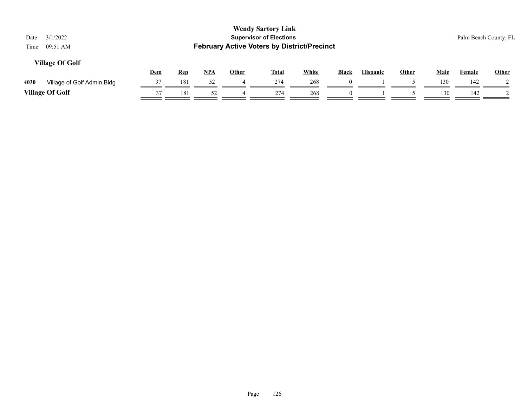| <b>Wendy Sartory Link</b><br><b>Supervisor of Elections</b><br>3/1/2022<br>Palm Beach County, FL<br>Date<br><b>February Active Voters by District/Precinct</b><br>09:51 AM<br>Time |                 |  |  |  |  |  |  |  |  |  |  |  |
|------------------------------------------------------------------------------------------------------------------------------------------------------------------------------------|-----------------|--|--|--|--|--|--|--|--|--|--|--|
| <b>Village Of Golf</b><br>NPA<br>White<br><b>Hispanic</b><br>Dem<br>Other<br><b>Total</b><br>Black<br>Other<br>Male<br><b>Rep</b>                                                  | Other<br>Female |  |  |  |  |  |  |  |  |  |  |  |
| 181<br>52<br>274<br>268<br>37<br>130<br>4030<br>Village of Golf Admin Bldg<br>$\Omega$<br>4                                                                                        | 142             |  |  |  |  |  |  |  |  |  |  |  |
| <b>Village Of Golf</b><br>130<br>37<br>268<br>181<br>52<br>274                                                                                                                     | 142             |  |  |  |  |  |  |  |  |  |  |  |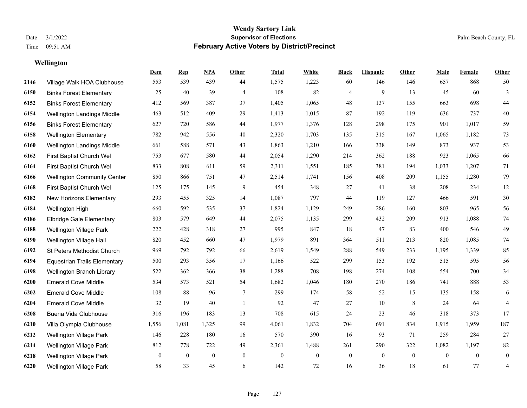## **Wellington**

|      |                                     | Dem          | <b>Rep</b>       | NPA              | <b>Other</b>   | <b>Total</b>     | <b>White</b> | <b>Black</b> | <b>Hispanic</b> | Other        | <b>Male</b>  | Female         | <b>Other</b>   |
|------|-------------------------------------|--------------|------------------|------------------|----------------|------------------|--------------|--------------|-----------------|--------------|--------------|----------------|----------------|
| 2146 | Village Walk HOA Clubhouse          | 553          | 539              | 439              | 44             | 1,575            | 1,223        | 60           | 146             | 146          | 657          | 868            | 50             |
| 6150 | <b>Binks Forest Elementary</b>      | 25           | 40               | 39               | $\overline{4}$ | 108              | 82           | 4            | 9               | 13           | 45           | 60             | 3              |
| 6152 | <b>Binks Forest Elementary</b>      | 412          | 569              | 387              | 37             | 1,405            | 1,065        | 48           | 137             | 155          | 663          | 698            | $44\,$         |
| 6154 | Wellington Landings Middle          | 463          | 512              | 409              | 29             | 1,413            | 1,015        | 87           | 192             | 119          | 636          | 737            | 40             |
| 6156 | <b>Binks Forest Elementary</b>      | 627          | 720              | 586              | 44             | 1,977            | 1,376        | 128          | 298             | 175          | 901          | 1,017          | 59             |
| 6158 | <b>Wellington Elementary</b>        | 782          | 942              | 556              | 40             | 2,320            | 1,703        | 135          | 315             | 167          | 1,065        | 1,182          | $73\,$         |
| 6160 | Wellington Landings Middle          | 661          | 588              | 571              | 43             | 1,863            | 1,210        | 166          | 338             | 149          | 873          | 937            | 53             |
| 6162 | First Baptist Church Wel            | 753          | 677              | 580              | 44             | 2,054            | 1,290        | 214          | 362             | 188          | 923          | 1,065          | 66             |
| 6164 | First Baptist Church Wel            | 833          | 808              | 611              | 59             | 2,311            | 1,551        | 185          | 381             | 194          | 1,033        | 1,207          | 71             |
| 6166 | <b>Wellington Community Center</b>  | 850          | 866              | 751              | 47             | 2,514            | 1,741        | 156          | 408             | 209          | 1,155        | 1,280          | 79             |
| 6168 | First Baptist Church Wel            | 125          | 175              | 145              | 9              | 454              | 348          | 27           | 41              | 38           | 208          | 234            | 12             |
| 6182 | New Horizons Elementary             | 293          | 455              | 325              | 14             | 1,087            | 797          | 44           | 119             | 127          | 466          | 591            | 30             |
| 6184 | Wellington High                     | 660          | 592              | 535              | 37             | 1,824            | 1,129        | 249          | 286             | 160          | 803          | 965            | 56             |
| 6186 | <b>Elbridge Gale Elementary</b>     | 803          | 579              | 649              | 44             | 2,075            | 1,135        | 299          | 432             | 209          | 913          | 1,088          | $74\,$         |
| 6188 | <b>Wellington Village Park</b>      | 222          | 428              | 318              | 27             | 995              | 847          | 18           | 47              | 83           | 400          | 546            | 49             |
| 6190 | Wellington Village Hall             | 820          | 452              | 660              | 47             | 1,979            | 891          | 364          | 511             | 213          | 820          | 1,085          | 74             |
| 6192 | St Peters Methodist Church          | 969          | 792              | 792              | 66             | 2,619            | 1,549        | 288          | 549             | 233          | 1,195        | 1,339          | 85             |
| 6194 | <b>Equestrian Trails Elementary</b> | 500          | 293              | 356              | 17             | 1,166            | 522          | 299          | 153             | 192          | 515          | 595            | 56             |
| 6198 | Wellington Branch Library           | 522          | 362              | 366              | 38             | 1,288            | 708          | 198          | 274             | 108          | 554          | 700            | 34             |
| 6200 | <b>Emerald Cove Middle</b>          | 534          | 573              | 521              | 54             | 1,682            | 1,046        | 180          | 270             | 186          | 741          | 888            | 53             |
| 6202 | <b>Emerald Cove Middle</b>          | 108          | 88               | 96               | 7              | 299              | 174          | 58           | 52              | 15           | 135          | 158            | 6              |
| 6204 | <b>Emerald Cove Middle</b>          | 32           | 19               | 40               | -1             | 92               | $47\,$       | $27\,$       | 10              | $\,8\,$      | 24           | 64             | $\overline{4}$ |
| 6208 | Buena Vida Clubhouse                | 316          | 196              | 183              | 13             | 708              | 615          | 24           | 23              | 46           | 318          | 373            | 17             |
| 6210 | Villa Olympia Clubhouse             | 1,556        | 1,081            | 1,325            | 99             | 4,061            | 1,832        | 704          | 691             | 834          | 1,915        | 1,959          | 187            |
| 6212 | Wellington Village Park             | 146          | 228              | 180              | 16             | 570              | 390          | 16           | 93              | 71           | 259          | 284            | 27             |
| 6214 | Wellington Village Park             | 812          | 778              | 722              | 49             | 2,361            | 1,488        | 261          | 290             | 322          | 1,082        | 1,197          | $82\,$         |
| 6218 | <b>Wellington Village Park</b>      | $\mathbf{0}$ | $\boldsymbol{0}$ | $\boldsymbol{0}$ | $\mathbf{0}$   | $\boldsymbol{0}$ | $\mathbf{0}$ | $\mathbf{0}$ | $\mathbf{0}$    | $\mathbf{0}$ | $\mathbf{0}$ | $\overline{0}$ | $\mathbf{0}$   |
| 6220 | <b>Wellington Village Park</b>      | 58           | 33               | 45               | 6              | 142              | 72           | 16           | 36              | 18           | 61           | 77             | 4              |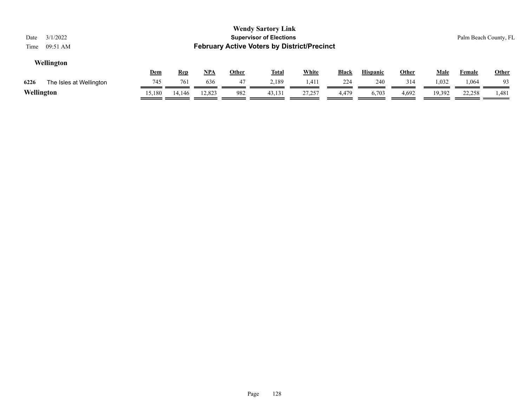| 3/1/2022<br>Date<br>09:51 AM<br>Time |        |            |            |              | <b>Wendy Sartory Link</b><br><b>Supervisor of Elections</b><br><b>February Active Voters by District/Precinct</b> |              |              |                 |       |             |               | Palm Beach County, FL |
|--------------------------------------|--------|------------|------------|--------------|-------------------------------------------------------------------------------------------------------------------|--------------|--------------|-----------------|-------|-------------|---------------|-----------------------|
| Wellington                           |        |            |            |              |                                                                                                                   |              |              |                 |       |             |               |                       |
|                                      | Dem    | <u>Rep</u> | <u>NPA</u> | <b>Other</b> | <u>Total</u>                                                                                                      | <b>White</b> | <b>Black</b> | <b>Hispanic</b> | Other | <u>Male</u> | <b>Female</b> | <b>Other</b>          |
| 6226<br>The Isles at Wellington      | 745    | 761        | 636        | 47           | 2,189                                                                                                             | 1,411        | 224          | 240             | 314   | 1,032       | 1,064         | 93                    |
| Wellington                           | 15,180 | 14.146     | 12,823     | 982          | 43,131                                                                                                            | 27,257       | 4.479        | 6,703           | 4,692 | 19.392      | 22,258        | 1,481                 |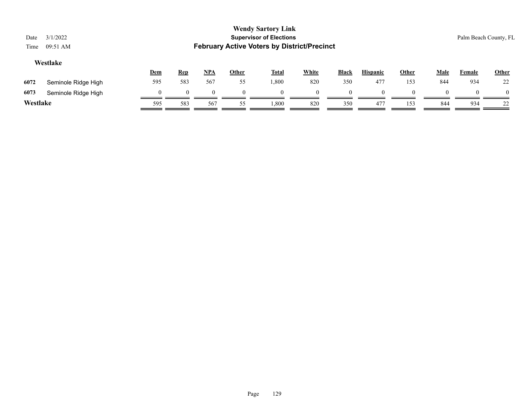| Date<br>Time | 3/1/2022<br>09:51 AM |     |            |            |              | <b>Wendy Sartory Link</b><br><b>Supervisor of Elections</b><br><b>February Active Voters by District/Precinct</b> |              |          |                 |              |             | Palm Beach County, FL |              |
|--------------|----------------------|-----|------------|------------|--------------|-------------------------------------------------------------------------------------------------------------------|--------------|----------|-----------------|--------------|-------------|-----------------------|--------------|
|              | Westlake             | Dem | <b>Rep</b> | <u>NPA</u> | <b>Other</b> | <u>Total</u>                                                                                                      | <b>White</b> | Black    | <b>Hispanic</b> | <b>Other</b> | <b>Male</b> | Female                | <b>Other</b> |
| 6072         | Seminole Ridge High  | 595 | 583        | 567        | 55           | 1,800                                                                                                             | 820          | 350      | 477             | 153          | 844         | 934                   | 22           |
| 6073         | Seminole Ridge High  |     | $\Omega$   | $\Omega$   | $\Omega$     | $\Omega$                                                                                                          | $\Omega$     | $\Omega$ | $\theta$        | $\Omega$     | $\theta$    | $\Omega$              |              |
| Westlake     |                      | 595 | 583        | 567        | 55           | 1.800                                                                                                             | 820          | 350      | 477             | 153          | 844         | 934                   | 22           |
|              |                      |     |            |            |              |                                                                                                                   |              |          |                 |              |             |                       |              |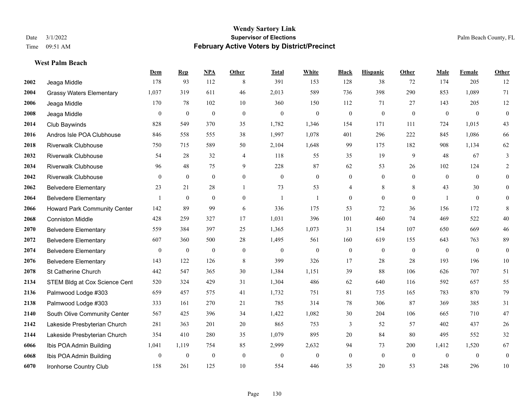**West Palm Beach**

#### **Wendy Sartory Link** Date 3/1/2022 **Supervisor of Elections** Palm Beach County, FL Time 09:51 AM **February Active Voters by District/Precinct**

# **Dem Rep NPA Other Total White Black Hispanic Other Male Female Other** Jeaga Middle 178 93 112 8 391 153 128 38 72 174 205 12 Grassy Waters Elementary 1,037 319 611 46 2,013 589 736 398 290 853 1,089 71 Jeaga Middle 170 78 102 10 360 150 112 71 27 143 205 12 Jeaga Middle 0 0 0 0 0 0 0 0 0 0 0 0 Club Baywinds 828 549 370 35 1,782 1,346 154 171 111 724 1,015 43 Andros Isle POA Clubhouse 846 558 555 38 1,997 1,078 401 296 222 845 1,086 66 Riverwalk Clubhouse 750 715 589 50 2,104 1,648 99 175 182 908 1,134 62 Riverwalk Clubhouse 54 28 32 4 118 55 35 19 9 48 67 3 Riverwalk Clubhouse 96 48 75 9 228 87 62 53 26 102 124 2 Riverwalk Clubhouse 0 0 0 0 0 0 0 0 0 0 0 0 Belvedere Elementary 23 21 28 1 73 53 4 8 8 43 30 0 Belvedere Elementary 1 0 0 0 1 1 0 0 0 1 0 0 Howard Park Community Center 142 89 99 6 336 175 53 72 36 156 172 8 Conniston Middle 428 259 327 17 1,031 396 101 460 74 469 522 40 Belvedere Elementary 559 384 397 25 1,365 1,073 31 154 107 650 669 46 Belvedere Elementary 607 360 500 28 1,495 561 160 619 155 643 763 89 Belvedere Elementary 0 0 0 0 0 0 0 0 0 0 0 0 Belvedere Elementary 143 122 126 8 399 326 17 28 28 193 196 10 St Catherine Church 442 547 365 30 1,384 1,151 39 88 106 626 707 51 2134 STEM Bldg at Cox Science Cent 520 324 429 31 1,304 486 62 640 116 592 657 55 Palmwood Lodge #303 659 457 575 41 1,732 751 81 735 165 783 870 79 Palmwood Lodge #303 333 161 270 21 785 314 78 306 87 369 385 31 South Olive Community Center 567 425 396 34 1,422 1,082 30 204 106 665 710 47 Lakeside Presbyterian Church 281 363 201 20 865 753 3 52 57 402 437 26 Lakeside Presbyterian Church 354 410 280 35 1,079 895 20 84 80 495 552 32 Ibis POA Admin Building 1,041 1,119 754 85 2,999 2,632 94 73 200 1,412 1,520 67 Ibis POA Admin Building 0 0 0 0 0 0 0 0 0 0 0 0 Ironhorse Country Club 158 261 125 10 554 446 35 20 53 248 296 10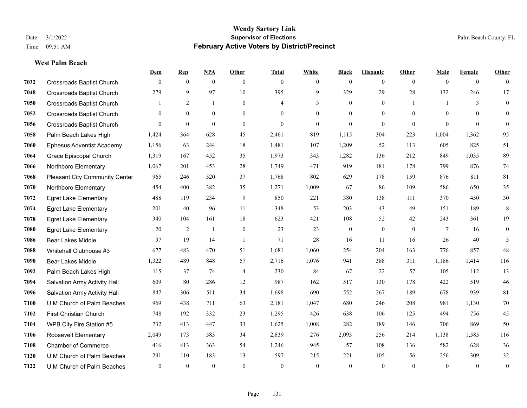#### **West Palm Beach**

|      |                                       | Dem          | <b>Rep</b>   | NPA            | <b>Other</b>   | <b>Total</b> | <b>White</b>   | <b>Black</b>     | <b>Hispanic</b> | <b>Other</b>   | <b>Male</b>  | <b>Female</b>  | <b>Other</b>     |
|------|---------------------------------------|--------------|--------------|----------------|----------------|--------------|----------------|------------------|-----------------|----------------|--------------|----------------|------------------|
| 7032 | <b>Crossroads Baptist Church</b>      | $\mathbf{0}$ | $\mathbf{0}$ | $\mathbf{0}$   | $\theta$       | $\theta$     | $\overline{0}$ | $\mathbf{0}$     | $\mathbf{0}$    | $\overline{0}$ | $\mathbf{0}$ | $\overline{0}$ | $\theta$         |
| 7048 | <b>Crossroads Baptist Church</b>      | 279          | 9            | 97             | 10             | 395          | 9              | 329              | 29              | 28             | 132          | 246            | 17               |
| 7050 | <b>Crossroads Baptist Church</b>      |              | 2            | $\mathbf{1}$   | $\overline{0}$ | 4            | 3              | $\mathbf{0}$     | $\mathbf{0}$    | $\overline{1}$ | $\mathbf{1}$ | 3              | $\mathbf{0}$     |
| 7052 | <b>Crossroads Baptist Church</b>      | $\mathbf{0}$ | $\mathbf{0}$ | $\mathbf{0}$   | $\overline{0}$ | $\theta$     | $\overline{0}$ | $\boldsymbol{0}$ | $\mathbf{0}$    | $\theta$       | $\Omega$     | $\theta$       | $\mathbf{0}$     |
| 7056 | <b>Crossroads Baptist Church</b>      | $\Omega$     | $\mathbf{0}$ | $\theta$       | $\Omega$       | $\theta$     | $\mathbf{0}$   | $\mathbf{0}$     | $\theta$        | $\theta$       | $\Omega$     | $\theta$       | $\mathbf{0}$     |
| 7058 | Palm Beach Lakes High                 | 1,424        | 364          | 628            | 45             | 2,461        | 819            | 1,115            | 304             | 223            | 1,004        | 1,362          | 95               |
| 7060 | <b>Ephesus Adventist Academy</b>      | 1,156        | 63           | 244            | 18             | 1,481        | 107            | 1,209            | 52              | 113            | 605          | 825            | 51               |
| 7064 | Grace Episcopal Church                | 1,319        | 167          | 452            | 35             | 1,973        | 343            | 1,282            | 136             | 212            | 849          | 1.035          | 89               |
| 7066 | Northboro Elementary                  | 1,067        | 201          | 453            | 28             | 1,749        | 471            | 919              | 181             | 178            | 799          | 876            | 74               |
| 7068 | <b>Pleasant City Community Center</b> | 965          | 246          | 520            | 37             | 1,768        | 802            | 629              | 178             | 159            | 876          | 811            | 81               |
| 7070 | Northboro Elementary                  | 454          | 400          | 382            | 35             | 1,271        | 1,009          | 67               | 86              | 109            | 586          | 650            | 35               |
| 7072 | <b>Egret Lake Elementary</b>          | 488          | 119          | 234            | 9              | 850          | 221            | 380              | 138             | 111            | 370          | 450            | $30\,$           |
| 7074 | <b>Egret Lake Elementary</b>          | 201          | 40           | 96             | 11             | 348          | 53             | 203              | 43              | 49             | 151          | 189            | 8                |
| 7078 | <b>Egret Lake Elementary</b>          | 340          | 104          | 161            | 18             | 623          | 421            | 108              | 52              | 42             | 243          | 361            | 19               |
| 7080 | <b>Egret Lake Elementary</b>          | 20           | 2            | $\overline{1}$ | $\overline{0}$ | 23           | 23             | $\boldsymbol{0}$ | $\mathbf{0}$    | $\theta$       | 7            | 16             | $\boldsymbol{0}$ |
| 7086 | <b>Bear Lakes Middle</b>              | 37           | 19           | 14             | $\overline{1}$ | 71           | 28             | 16               | 11              | 16             | 26           | 40             | 5                |
| 7088 | Whitehall Clubhouse #3                | 677          | 483          | 470            | 51             | 1,681        | 1,060          | 254              | 204             | 163            | 776          | 857            | 48               |
| 7090 | Bear Lakes Middle                     | 1,322        | 489          | 848            | 57             | 2,716        | 1,076          | 941              | 388             | 311            | 1,186        | 1,414          | 116              |
| 7092 | Palm Beach Lakes High                 | 115          | 37           | 74             | $\overline{4}$ | 230          | 84             | 67               | 22              | 57             | 105          | 112            | 13               |
| 7094 | Salvation Army Activity Hall          | 609          | 80           | 286            | 12             | 987          | 162            | 517              | 130             | 178            | 422          | 519            | $46\,$           |
| 7096 | Salvation Army Activity Hall          | 847          | 306          | 511            | 34             | 1,698        | 690            | 552              | 267             | 189            | 678          | 939            | 81               |
| 7100 | U M Church of Palm Beaches            | 969          | 438          | 711            | 63             | 2,181        | 1,047          | 680              | 246             | 208            | 981          | 1,130          | $70\,$           |
| 7102 | First Christian Church                | 748          | 192          | 332            | 23             | 1,295        | 426            | 638              | 106             | 125            | 494          | 756            | 45               |
| 7104 | WPB City Fire Station #5              | 732          | 413          | 447            | 33             | 1,625        | 1,008          | 282              | 189             | 146            | 706          | 869            | 50               |
| 7106 | <b>Roosevelt Elementary</b>           | 2,049        | 173          | 583            | 34             | 2,839        | 276            | 2,093            | 256             | 214            | 1,138        | 1.585          | 116              |
| 7108 | <b>Chamber of Commerce</b>            | 416          | 413          | 363            | 54             | 1,246        | 945            | 57               | 108             | 136            | 582          | 628            | $36\,$           |
| 7120 | U M Church of Palm Beaches            | 291          | 110          | 183            | 13             | 597          | 215            | 221              | 105             | 56             | 256          | 309            | $32\,$           |
| 7122 | U M Church of Palm Beaches            | $\mathbf{0}$ | $\theta$     | $\mathbf{0}$   | $\theta$       | $\theta$     | $\mathbf{0}$   | $\mathbf{0}$     | $\theta$        | $\theta$       | $\theta$     | $\theta$       | $\boldsymbol{0}$ |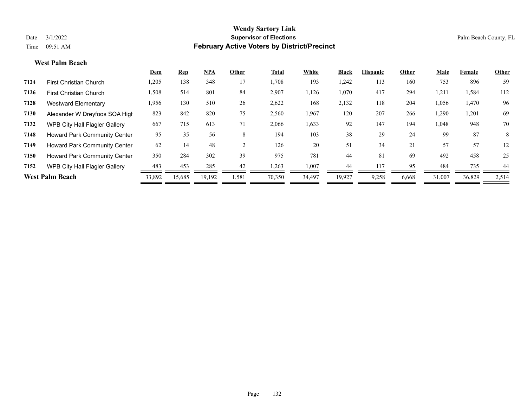#### **West Palm Beach**

|      |                                     | Dem    | <b>Rep</b> | <b>NPA</b> | Other | Total  | White  | <b>Black</b> | <b>Hispanic</b> | Other | Male   | Female | Other |
|------|-------------------------------------|--------|------------|------------|-------|--------|--------|--------------|-----------------|-------|--------|--------|-------|
| 7124 | <b>First Christian Church</b>       | 1,205  | 138        | 348        | 17    | 1,708  | 193    | .242         | 113             | 160   | 753    | 896    | 59    |
| 7126 | <b>First Christian Church</b>       | 1,508  | 514        | 801        | 84    | 2,907  | 1,126  | 1,070        | 417             | 294   | 1,211  | 1,584  | 112   |
| 7128 | <b>Westward Elementary</b>          | 1,956  | 130        | 510        | 26    | 2,622  | 168    | 2,132        | 118             | 204   | 1,056  | 1,470  | 96    |
| 7130 | Alexander W Dreyfoos SOA High       | 823    | 842        | 820        | 75    | 2,560  | 1,967  | 120          | 207             | 266   | 1,290  | 1,201  | 69    |
| 7132 | WPB City Hall Flagler Gallery       | 667    | 715        | 613        | 71    | 2,066  | 1,633  | 92           | 147             | 194   | 1,048  | 948    | 70    |
| 7148 | <b>Howard Park Community Center</b> | 95     | 35         | 56         | 8     | 194    | 103    | 38           | 29              | 24    | 99     | 87     | 8     |
| 7149 | <b>Howard Park Community Center</b> | 62     | 14         | 48         |       | 126    | 20     | 51           | 34              | 21    | 57     | 57     | 12    |
| 7150 | Howard Park Community Center        | 350    | 284        | 302        | 39    | 975    | 781    | 44           | 81              | 69    | 492    | 458    | 25    |
| 7152 | WPB City Hall Flagler Gallery       | 483    | 453        | 285        | 42    | 1,263  | 1,007  | 44           | 117             | 95    | 484    | 735    | 44    |
|      | <b>West Palm Beach</b>              | 33,892 | 15,685     | 19,192     | 1,581 | 70,350 | 34,497 | 19,927       | 9,258           | 6,668 | 31,007 | 36,829 | 2,514 |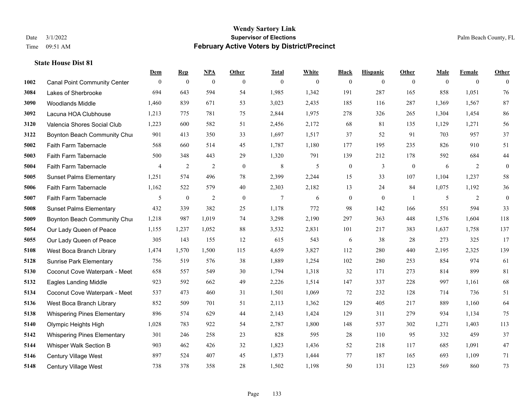|      |                                     | Dem          | <b>Rep</b>       | NPA              | <b>Other</b> | <b>Total</b> | <b>White</b>   | <b>Black</b>     | <b>Hispanic</b>  | <b>Other</b>   | <b>Male</b> | <b>Female</b>  | <b>Other</b> |
|------|-------------------------------------|--------------|------------------|------------------|--------------|--------------|----------------|------------------|------------------|----------------|-------------|----------------|--------------|
| 1002 | <b>Canal Point Community Center</b> | $\mathbf{0}$ | $\boldsymbol{0}$ | $\boldsymbol{0}$ | $\theta$     | $\mathbf{0}$ | $\overline{0}$ | $\overline{0}$   | $\overline{0}$   | $\overline{0}$ | $\theta$    | $\overline{0}$ | $\Omega$     |
| 3084 | Lakes of Sherbrooke                 | 694          | 643              | 594              | 54           | 1,985        | 1,342          | 191              | 287              | 165            | 858         | 1,051          | 76           |
| 3090 | <b>Woodlands Middle</b>             | 1,460        | 839              | 671              | 53           | 3,023        | 2,435          | 185              | 116              | 287            | 1,369       | 1,567          | 87           |
| 3092 | Lacuna HOA Clubhouse                | 1,213        | 775              | 781              | 75           | 2,844        | 1,975          | 278              | 326              | 265            | 1,304       | 1,454          | 86           |
| 3120 | Valencia Shores Social Club         | 1,223        | 600              | 582              | 51           | 2,456        | 2,172          | 68               | 81               | 135            | 1,129       | 1,271          | 56           |
| 3122 | Boynton Beach Community Chur        | 901          | 413              | 350              | 33           | 1,697        | 1,517          | 37               | 52               | 91             | 703         | 957            | 37           |
| 5002 | Faith Farm Tabernacle               | 568          | 660              | 514              | 45           | 1,787        | 1,180          | 177              | 195              | 235            | 826         | 910            | 51           |
| 5003 | Faith Farm Tabernacle               | 500          | 348              | 443              | 29           | 1,320        | 791            | 139              | 212              | 178            | 592         | 684            | 44           |
| 5004 | Faith Farm Tabernacle               | 4            | $\overline{c}$   | $\sqrt{2}$       | $\mathbf{0}$ | 8            | 5              | $\boldsymbol{0}$ | $\mathfrak{Z}$   | $\mathbf{0}$   | 6           | 2              | $\mathbf{0}$ |
| 5005 | <b>Sunset Palms Elementary</b>      | 1,251        | 574              | 496              | 78           | 2,399        | 2,244          | 15               | 33               | 107            | 1,104       | 1,237          | 58           |
| 5006 | Faith Farm Tabernacle               | 1,162        | 522              | 579              | 40           | 2,303        | 2,182          | 13               | 24               | 84             | 1,075       | 1,192          | 36           |
| 5007 | Faith Farm Tabernacle               | 5            | $\boldsymbol{0}$ | $\overline{2}$   | $\mathbf{0}$ | $\tau$       | 6              | $\boldsymbol{0}$ | $\boldsymbol{0}$ | $\overline{1}$ | 5           | 2              | $\mathbf{0}$ |
| 5008 | <b>Sunset Palms Elementary</b>      | 432          | 339              | 382              | 25           | 1,178        | 772            | 98               | 142              | 166            | 551         | 594            | 33           |
| 5009 | Boynton Beach Community Chur        | 1,218        | 987              | 1,019            | 74           | 3,298        | 2,190          | 297              | 363              | 448            | 1,576       | 1,604          | 118          |
| 5054 | Our Lady Queen of Peace             | 1,155        | 1,237            | 1,052            | 88           | 3,532        | 2,831          | 101              | 217              | 383            | 1,637       | 1,758          | 137          |
| 5055 | Our Lady Queen of Peace             | 305          | 143              | 155              | 12           | 615          | 543            | 6                | 38               | 28             | 273         | 325            | 17           |
| 5108 | West Boca Branch Library            | 1,474        | 1,570            | 1,500            | 115          | 4,659        | 3,827          | 112              | 280              | 440            | 2,195       | 2,325          | 139          |
| 5128 | <b>Sunrise Park Elementary</b>      | 756          | 519              | 576              | 38           | 1,889        | 1,254          | 102              | 280              | 253            | 854         | 974            | 61           |
| 5130 | Coconut Cove Waterpark - Meet       | 658          | 557              | 549              | 30           | 1,794        | 1,318          | 32               | 171              | 273            | 814         | 899            | $81\,$       |
| 5132 | Eagles Landing Middle               | 923          | 592              | 662              | 49           | 2,226        | 1,514          | 147              | 337              | 228            | 997         | 1,161          | 68           |
| 5134 | Coconut Cove Waterpark - Meet       | 537          | 473              | 460              | 31           | 1,501        | 1,069          | 72               | 232              | 128            | 714         | 736            | 51           |
| 5136 | West Boca Branch Library            | 852          | 509              | 701              | 51           | 2,113        | 1,362          | 129              | 405              | 217            | 889         | 1,160          | 64           |
| 5138 | <b>Whispering Pines Elementary</b>  | 896          | 574              | 629              | 44           | 2,143        | 1,424          | 129              | 311              | 279            | 934         | 1,134          | 75           |
| 5140 | Olympic Heights High                | 1,028        | 783              | 922              | 54           | 2,787        | 1,800          | 148              | 537              | 302            | 1,271       | 1,403          | 113          |
| 5142 | <b>Whispering Pines Elementary</b>  | 301          | 246              | 258              | 23           | 828          | 595            | 28               | 110              | 95             | 332         | 459            | 37           |
| 5144 | Whisper Walk Section B              | 903          | 462              | 426              | 32           | 1,823        | 1,436          | 52               | 218              | 117            | 685         | 1,091          | 47           |
| 5146 | <b>Century Village West</b>         | 897          | 524              | 407              | 45           | 1,873        | 1,444          | 77               | 187              | 165            | 693         | 1,109          | 71           |
| 5148 | <b>Century Village West</b>         | 738          | 378              | 358              | 28           | 1,502        | 1,198          | 50               | 131              | 123            | 569         | 860            | 73           |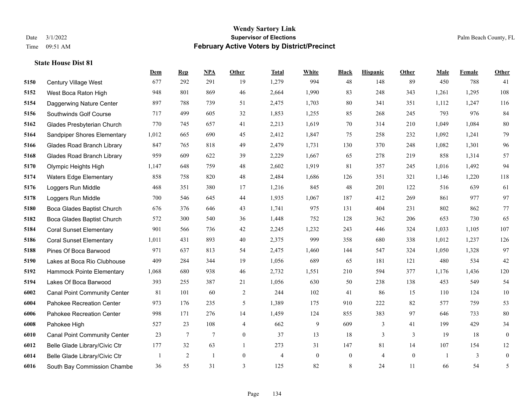|      |                                     | Dem   | <b>Rep</b> | NPA          | <b>Other</b>   | <b>Total</b> | <b>White</b> | <b>Black</b>     | <b>Hispanic</b> | Other        | <b>Male</b> | <b>Female</b> | <b>Other</b>     |
|------|-------------------------------------|-------|------------|--------------|----------------|--------------|--------------|------------------|-----------------|--------------|-------------|---------------|------------------|
| 5150 | Century Village West                | 677   | 292        | 291          | 19             | 1,279        | 994          | 48               | 148             | 89           | 450         | 788           | 41               |
| 5152 | West Boca Raton High                | 948   | 801        | 869          | 46             | 2,664        | 1,990        | 83               | 248             | 343          | 1,261       | 1,295         | 108              |
| 5154 | Daggerwing Nature Center            | 897   | 788        | 739          | 51             | 2,475        | 1,703        | 80               | 341             | 351          | 1,112       | 1,247         | 116              |
| 5156 | Southwinds Golf Course              | 717   | 499        | 605          | 32             | 1,853        | 1,255        | 85               | 268             | 245          | 793         | 976           | 84               |
| 5162 | Glades Presbyterian Church          | 770   | 745        | 657          | 41             | 2,213        | 1,619        | 70               | 314             | 210          | 1,049       | 1,084         | $80\,$           |
| 5164 | <b>Sandpiper Shores Elementary</b>  | 1,012 | 665        | 690          | 45             | 2,412        | 1,847        | 75               | 258             | 232          | 1,092       | 1,241         | 79               |
| 5166 | <b>Glades Road Branch Library</b>   | 847   | 765        | 818          | 49             | 2,479        | 1,731        | 130              | 370             | 248          | 1,082       | 1,301         | 96               |
| 5168 | <b>Glades Road Branch Library</b>   | 959   | 609        | 622          | 39             | 2,229        | 1,667        | 65               | 278             | 219          | 858         | 1,314         | 57               |
| 5170 | Olympic Heights High                | 1,147 | 648        | 759          | 48             | 2,602        | 1,919        | 81               | 357             | 245          | 1,016       | 1,492         | 94               |
| 5174 | <b>Waters Edge Elementary</b>       | 858   | 758        | 820          | 48             | 2,484        | 1,686        | 126              | 351             | 321          | 1,146       | 1,220         | 118              |
| 5176 | Loggers Run Middle                  | 468   | 351        | 380          | 17             | 1,216        | 845          | 48               | 201             | 122          | 516         | 639           | 61               |
| 5178 | Loggers Run Middle                  | 700   | 546        | 645          | 44             | 1,935        | 1,067        | 187              | 412             | 269          | 861         | 977           | 97               |
| 5180 | Boca Glades Baptist Church          | 676   | 376        | 646          | 43             | 1,741        | 975          | 131              | 404             | 231          | 802         | 862           | 77               |
| 5182 | Boca Glades Baptist Church          | 572   | 300        | 540          | 36             | 1,448        | 752          | 128              | 362             | 206          | 653         | 730           | 65               |
| 5184 | <b>Coral Sunset Elementary</b>      | 901   | 566        | 736          | 42             | 2,245        | 1,232        | 243              | 446             | 324          | 1,033       | 1,105         | 107              |
| 5186 | <b>Coral Sunset Elementary</b>      | 1,011 | 431        | 893          | 40             | 2,375        | 999          | 358              | 680             | 338          | 1,012       | 1,237         | 126              |
| 5188 | Pines Of Boca Barwood               | 971   | 637        | 813          | 54             | 2,475        | 1,460        | 144              | 547             | 324          | 1,050       | 1,328         | 97               |
| 5190 | Lakes at Boca Rio Clubhouse         | 409   | 284        | 344          | 19             | 1,056        | 689          | 65               | 181             | 121          | 480         | 534           | 42               |
| 5192 | Hammock Pointe Elementary           | 1,068 | 680        | 938          | 46             | 2,732        | 1,551        | 210              | 594             | 377          | 1,176       | 1,436         | 120              |
| 5194 | Lakes Of Boca Barwood               | 393   | 255        | 387          | 21             | 1,056        | 630          | 50               | 238             | 138          | 453         | 549           | 54               |
| 6002 | <b>Canal Point Community Center</b> | 81    | 101        | 60           | 2              | 244          | 102          | 41               | 86              | 15           | 110         | 124           | 10               |
| 6004 | Pahokee Recreation Center           | 973   | 176        | 235          | 5              | 1,389        | 175          | 910              | 222             | 82           | 577         | 759           | 53               |
| 6006 | Pahokee Recreation Center           | 998   | 171        | 276          | 14             | 1,459        | 124          | 855              | 383             | 97           | 646         | 733           | 80               |
| 6008 | Pahokee High                        | 527   | 23         | 108          | 4              | 662          | 9            | 609              | 3               | 41           | 199         | 429           | 34               |
| 6010 | <b>Canal Point Community Center</b> | 23    | 7          | $\tau$       | $\overline{0}$ | 37           | 13           | 18               | 3               | 3            | 19          | 18            | $\mathbf{0}$     |
| 6012 | Belle Glade Library/Civic Ctr       | 177   | 32         | 63           | $\mathbf{1}$   | 273          | 31           | 147              | 81              | 14           | 107         | 154           | 12               |
| 6014 | Belle Glade Library/Civic Ctr       |       | 2          | $\mathbf{1}$ | $\overline{0}$ | 4            | $\mathbf{0}$ | $\boldsymbol{0}$ | $\overline{4}$  | $\mathbf{0}$ | -1          | 3             | $\boldsymbol{0}$ |
| 6016 | South Bay Commission Chambe         | 36    | 55         | 31           | 3              | 125          | 82           | $\,$ 8 $\,$      | 24              | 11           | 66          | 54            | 5                |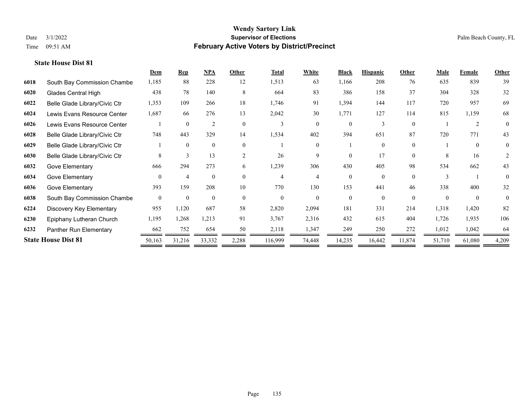|      |                               | Dem      | <b>Rep</b>     | <b>NPA</b>     | Other    | <b>Total</b> | White          | <b>Black</b> | <b>Hispanic</b> | Other    | <b>Male</b> | Female         | Other    |
|------|-------------------------------|----------|----------------|----------------|----------|--------------|----------------|--------------|-----------------|----------|-------------|----------------|----------|
| 6018 | South Bay Commission Chambe   | 1,185    | 88             | 228            | 12       | 1,513        | 63             | 1,166        | 208             | 76       | 635         | 839            | 39       |
| 6020 | Glades Central High           | 438      | 78             | 140            | 8        | 664          | 83             | 386          | 158             | 37       | 304         | 328            | 32       |
| 6022 | Belle Glade Library/Civic Ctr | 1,353    | 109            | 266            | 18       | 1,746        | 91             | 1,394        | 144             | 117      | 720         | 957            | 69       |
| 6024 | Lewis Evans Resource Center   | 1,687    | 66             | 276            | 13       | 2,042        | 30             | 1,771        | 127             | 114      | 815         | 1,159          | 68       |
| 6026 | Lewis Evans Resource Center   |          | $\theta$       | $\overline{2}$ | $\Omega$ | 3            | $\Omega$       | $\Omega$     | 3               | $\Omega$ |             | $\overline{2}$ | $\theta$ |
| 6028 | Belle Glade Library/Civic Ctr | 748      | 443            | 329            | 14       | 1,534        | 402            | 394          | 651             | 87       | 720         | 771            | 43       |
| 6029 | Belle Glade Library/Civic Ctr |          | $\theta$       | $\mathbf{0}$   | $\theta$ |              | $\Omega$       |              | $\theta$        | $\theta$ |             | $\theta$       | $\Omega$ |
| 6030 | Belle Glade Library/Civic Ctr | 8        | $\mathbf{3}$   | 13             | 2        | 26           | 9              | $\Omega$     | 17              | $\theta$ | 8           | 16             | 2        |
| 6032 | Gove Elementary               | 666      | 294            | 273            | 6        | 1,239        | 306            | 430          | 405             | 98       | 534         | 662            | 43       |
| 6034 | Gove Elementary               | $\Omega$ | $\overline{4}$ | $\theta$       | $\Omega$ | 4            | $\overline{4}$ | $\Omega$     | $\Omega$        | $\Omega$ |             |                | $\theta$ |
| 6036 | Gove Elementary               | 393      | 159            | 208            | 10       | 770          | 130            | 153          | 441             | 46       | 338         | 400            | 32       |
| 6038 | South Bay Commission Chambe   | $\theta$ | $\theta$       | $\Omega$       | $\Omega$ | $\Omega$     | $\theta$       | $\theta$     | $\Omega$        | $\Omega$ | $\Omega$    | $\theta$       | $\theta$ |
| 6224 | Discovery Key Elementary      | 955      | 1,120          | 687            | 58       | 2,820        | 2,094          | 181          | 331             | 214      | 1,318       | 1,420          | 82       |
| 6230 | Epiphany Lutheran Church      | 1,195    | 1,268          | 1,213          | 91       | 3,767        | 2,316          | 432          | 615             | 404      | 1,726       | 1,935          | 106      |
| 6232 | Panther Run Elementary        | 662      | 752            | 654            | 50       | 2,118        | 1,347          | 249          | 250             | 272      | 1,012       | 1,042          | 64       |
|      | <b>State House Dist 81</b>    | 50,163   | 31,216         | 33,332         | 2,288    | 116,999      | 74,448         | 14,235       | 16,442          | 11,874   | 51,710      | 61,080         | 4,209    |
|      |                               |          |                |                |          |              |                |              |                 |          |             |                |          |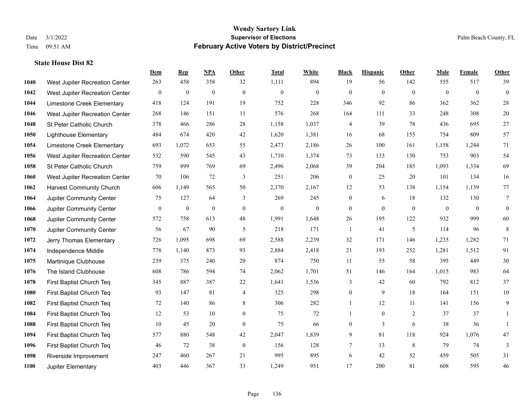|      |                                 | Dem          | <b>Rep</b>       | NPA          | <b>Other</b>   | <b>Total</b> | <b>White</b> | <b>Black</b>     | <b>Hispanic</b> | <b>Other</b> | <b>Male</b>  | Female       | <b>Other</b>   |
|------|---------------------------------|--------------|------------------|--------------|----------------|--------------|--------------|------------------|-----------------|--------------|--------------|--------------|----------------|
| 1040 | West Jupiter Recreation Center  | 263          | 458              | 358          | 32             | 1,111        | 894          | 19               | 56              | 142          | 555          | 517          | 39             |
| 1042 | West Jupiter Recreation Center  | $\mathbf{0}$ | $\mathbf{0}$     | $\mathbf{0}$ | $\theta$       | $\mathbf{0}$ | $\mathbf{0}$ | $\mathbf{0}$     | $\mathbf{0}$    | $\theta$     | $\mathbf{0}$ | $\mathbf{0}$ | $\mathbf{0}$   |
| 1044 | Limestone Creek Elementary      | 418          | 124              | 191          | 19             | 752          | 228          | 346              | 92              | 86           | 362          | 362          | $28\,$         |
| 1046 | West Jupiter Recreation Center  | 268          | 146              | 151          | 11             | 576          | 268          | 164              | 111             | 33           | 248          | 308          | $20\,$         |
| 1048 | St Peter Catholic Church        | 378          | 466              | 286          | 28             | 1,158        | 1,037        | 4                | 39              | 78           | 436          | 695          | 27             |
| 1050 | <b>Lighthouse Elementary</b>    | 484          | 674              | 420          | 42             | 1,620        | 1,381        | 16               | 68              | 155          | 754          | 809          | 57             |
| 1054 | Limestone Creek Elementary      | 693          | 1,072            | 653          | 55             | 2,473        | 2,186        | 26               | 100             | 161          | 1,158        | 1,244        | 71             |
| 1056 | West Jupiter Recreation Center  | 532          | 590              | 545          | 43             | 1,710        | 1,374        | 73               | 133             | 130          | 753          | 903          | 54             |
| 1058 | St Peter Catholic Church        | 759          | 899              | 769          | 69             | 2,496        | 2,068        | 39               | 204             | 185          | 1,093        | 1,334        | 69             |
| 1060 | West Jupiter Recreation Center  | 70           | 106              | 72           | 3              | 251          | 206          | $\boldsymbol{0}$ | 25              | 20           | 101          | 134          | 16             |
| 1062 | <b>Harvest Community Church</b> | 606          | 1,149            | 565          | 50             | 2,370        | 2,167        | 12               | 53              | 138          | 1,154        | 1,139        | 77             |
| 1064 | Jupiter Community Center        | 75           | 127              | 64           | 3              | 269          | 245          | $\boldsymbol{0}$ | 6               | 18           | 132          | 130          | $\overline{7}$ |
| 1066 | Jupiter Community Center        | $\mathbf{0}$ | $\boldsymbol{0}$ | $\mathbf{0}$ | $\theta$       | $\mathbf{0}$ | $\mathbf{0}$ | $\mathbf{0}$     | $\mathbf{0}$    | $\theta$     | $\mathbf{0}$ | $\mathbf{0}$ | $\mathbf{0}$   |
| 1068 | Jupiter Community Center        | 572          | 758              | 613          | 48             | 1,991        | 1,648        | $26\,$           | 195             | 122          | 932          | 999          | 60             |
| 1070 | Jupiter Community Center        | 56           | 67               | 90           | 5              | 218          | 171          | 1                | 41              | 5            | 114          | 96           | $\,8\,$        |
| 1072 | Jerry Thomas Elementary         | 726          | 1,095            | 698          | 69             | 2,588        | 2,239        | 32               | 171             | 146          | 1,235        | 1,282        | 71             |
| 1074 | Independence Middle             | 778          | 1,140            | 873          | 93             | 2,884        | 2,418        | 21               | 193             | 252          | 1,281        | 1,512        | 91             |
| 1075 | Martinique Clubhouse            | 239          | 375              | 240          | 20             | 874          | 750          | 11               | 55              | 58           | 395          | 449          | $30\,$         |
| 1076 | The Island Clubhouse            | 608          | 786              | 594          | 74             | 2,062        | 1,701        | 51               | 146             | 164          | 1,015        | 983          | 64             |
| 1078 | First Baptist Church Teq        | 345          | 887              | 387          | $22\,$         | 1,641        | 1,536        | 3                | 42              | 60           | 792          | 812          | 37             |
| 1080 | First Baptist Church Teq        | 93           | 147              | 81           | 4              | 325          | 298          | $\boldsymbol{0}$ | 9               | 18           | 164          | 151          | 10             |
| 1082 | First Baptist Church Teq        | 72           | 140              | 86           | $\,8\,$        | 306          | 282          | $\mathbf{1}$     | 12              | 11           | 141          | 156          | 9              |
| 1084 | First Baptist Church Teq        | 12           | 53               | 10           | $\overline{0}$ | 75           | 72           | $\mathbf{1}$     | $\mathbf{0}$    | 2            | 37           | 37           | 1              |
| 1088 | First Baptist Church Teq        | 10           | 45               | 20           | $\mathbf{0}$   | 75           | 66           | $\mathbf{0}$     | 3               | 6            | 38           | 36           | $\overline{1}$ |
| 1094 | First Baptist Church Teq        | 577          | 880              | 548          | 42             | 2,047        | 1,839        | 9                | 81              | 118          | 924          | 1,076        | 47             |
| 1096 | First Baptist Church Teq        | 46           | 72               | 38           | $\mathbf{0}$   | 156          | 128          | 7                | 13              | 8            | 79           | 74           | 3              |
| 1098 | Riverside Improvement           | 247          | 460              | 267          | 21             | 995          | 895          | 6                | 42              | 52           | 459          | 505          | 31             |
| 1100 | Jupiter Elementary              | 403          | 446              | 367          | 33             | 1,249        | 951          | 17               | 200             | 81           | 608          | 595          | 46             |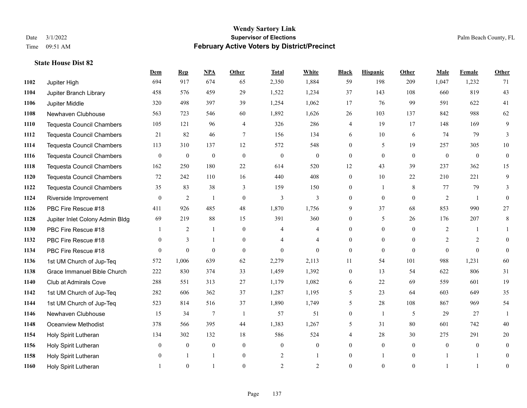|      |                                  | Dem            | <b>Rep</b>       | NPA          | <b>Other</b>   | <b>Total</b>   | <b>White</b>     | <b>Black</b>     | <b>Hispanic</b> | <b>Other</b>   | <b>Male</b> | <b>Female</b>  | Other        |
|------|----------------------------------|----------------|------------------|--------------|----------------|----------------|------------------|------------------|-----------------|----------------|-------------|----------------|--------------|
| 1102 | Jupiter High                     | 694            | 917              | 674          | 65             | 2,350          | 1,884            | 59               | 198             | 209            | 1,047       | 1,232          | 71           |
| 1104 | Jupiter Branch Library           | 458            | 576              | 459          | 29             | 1,522          | 1,234            | 37               | 143             | 108            | 660         | 819            | 43           |
| 1106 | Jupiter Middle                   | 320            | 498              | 397          | 39             | 1,254          | 1,062            | 17               | 76              | 99             | 591         | 622            | 41           |
| 1108 | Newhaven Clubhouse               | 563            | 723              | 546          | 60             | 1,892          | 1,626            | 26               | 103             | 137            | 842         | 988            | 62           |
| 1110 | <b>Tequesta Council Chambers</b> | 105            | 121              | 96           | $\overline{4}$ | 326            | 286              | 4                | 19              | 17             | 148         | 169            | 9            |
| 1112 | <b>Tequesta Council Chambers</b> | 21             | 82               | 46           | 7              | 156            | 134              | 6                | 10              | 6              | 74          | 79             | 3            |
| 1114 | <b>Tequesta Council Chambers</b> | 113            | 310              | 137          | 12             | 572            | 548              | $\mathbf{0}$     | 5               | 19             | 257         | 305            | 10           |
| 1116 | <b>Tequesta Council Chambers</b> | $\Omega$       | $\mathbf{0}$     | $\mathbf{0}$ | $\theta$       | $\theta$       | $\Omega$         | $\mathbf{0}$     | $\theta$        | $\theta$       | $\theta$    | $\theta$       | $\theta$     |
| 1118 | <b>Tequesta Council Chambers</b> | 162            | 250              | 180          | $22\,$         | 614            | 520              | 12               | 43              | 39             | 237         | 362            | 15           |
| 1120 | Tequesta Council Chambers        | 72             | 242              | 110          | 16             | 440            | 408              | $\overline{0}$   | 10              | 22             | 210         | 221            | 9            |
| 1122 | <b>Tequesta Council Chambers</b> | 35             | 83               | 38           | 3              | 159            | 150              | $\mathbf{0}$     | $\mathbf{1}$    | 8              | 77          | 79             | 3            |
| 1124 | Riverside Improvement            | $\overline{0}$ | $\overline{2}$   | $\mathbf{1}$ | $\overline{0}$ | 3              | 3                | $\overline{0}$   | $\theta$        | $\theta$       | 2           | $\mathbf{1}$   | $\theta$     |
| 1126 | PBC Fire Rescue #18              | 411            | 926              | 485          | 48             | 1,870          | 1,756            | 9                | 37              | 68             | 853         | 990            | 27           |
| 1128 | Jupiter Inlet Colony Admin Bldg  | 69             | 219              | 88           | 15             | 391            | 360              | $\boldsymbol{0}$ | 5               | 26             | 176         | 207            | 8            |
| 1130 | PBC Fire Rescue #18              |                | 2                | $\mathbf{1}$ | $\theta$       | 4              | 4                | $\overline{0}$   | $\mathbf{0}$    | $\theta$       | 2           | -1             | 1            |
| 1132 | PBC Fire Rescue #18              | $\Omega$       | 3                | $\mathbf{1}$ | $\overline{0}$ | 4              | $\overline{4}$   | $\mathbf{0}$     | $\theta$        | $\theta$       | 2           | 2              | $\theta$     |
| 1134 | PBC Fire Rescue #18              | $\overline{0}$ | $\boldsymbol{0}$ | $\mathbf{0}$ | $\mathbf{0}$   | $\mathbf{0}$   | $\mathbf{0}$     | $\boldsymbol{0}$ | $\mathbf{0}$    | $\theta$       | $\Omega$    | $\theta$       | $\theta$     |
| 1136 | 1st UM Church of Jup-Teq         | 572            | 1,006            | 639          | 62             | 2,279          | 2,113            | 11               | 54              | 101            | 988         | 1,231          | 60           |
| 1138 | Grace Immanuel Bible Church      | 222            | 830              | 374          | 33             | 1,459          | 1,392            | $\boldsymbol{0}$ | 13              | 54             | 622         | 806            | 31           |
| 1140 | Club at Admirals Cove            | 288            | 551              | 313          | 27             | 1,179          | 1,082            | 6                | 22              | 69             | 559         | 601            | 19           |
| 1142 | 1st UM Church of Jup-Teq         | 282            | 606              | 362          | 37             | 1,287          | 1,195            | 5                | 23              | 64             | 603         | 649            | 35           |
| 1144 | 1st UM Church of Jup-Teq         | 523            | 814              | 516          | 37             | 1,890          | 1,749            | 5                | 28              | 108            | 867         | 969            | 54           |
| 1146 | Newhaven Clubhouse               | 15             | 34               | $\tau$       | -1             | 57             | 51               | $\boldsymbol{0}$ | 1               | 5              | 29          | 27             | 1            |
| 1148 | <b>Oceanview Methodist</b>       | 378            | 566              | 395          | 44             | 1,383          | 1,267            | 5                | 31              | 80             | 601         | 742            | 40           |
| 1154 | Holy Spirit Lutheran             | 134            | 302              | 132          | 18             | 586            | 524              | 4                | 28              | 30             | 275         | 291            | 20           |
| 1156 | Holy Spirit Lutheran             | $\mathbf{0}$   | $\mathbf{0}$     | $\mathbf{0}$ | $\overline{0}$ | $\theta$       | $\boldsymbol{0}$ | $\overline{0}$   | $\mathbf{0}$    | $\theta$       | $\theta$    | $\overline{0}$ | $\mathbf{0}$ |
| 1158 | Holy Spirit Lutheran             | $\mathbf{0}$   | -1               | $\mathbf{1}$ | $\overline{0}$ | $\overline{2}$ |                  | $\boldsymbol{0}$ | 1               | $\overline{0}$ |             | 1              | $\mathbf{0}$ |
| 1160 | Holy Spirit Lutheran             |                | $\theta$         | $\mathbf{1}$ | $\Omega$       | $\overline{c}$ | 2                | $\theta$         | $\Omega$        | $\Omega$       |             | $\overline{1}$ | $\mathbf{0}$ |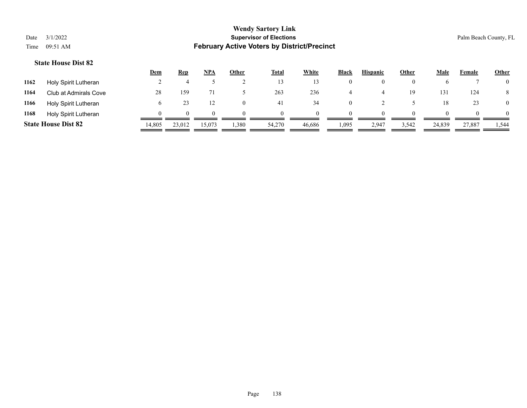|      |                            | Dem    | Rep          | <b>NPA</b> | Other | <b>Total</b> | White  | <b>Black</b> | <b>Hispanic</b> | Other | Male   | Female | <b>Other</b>   |
|------|----------------------------|--------|--------------|------------|-------|--------------|--------|--------------|-----------------|-------|--------|--------|----------------|
| 1162 | Holy Spirit Lutheran       |        |              |            |       | 13           |        | $\theta$     | $\theta$        |       |        |        | $\overline{0}$ |
| 1164 | Club at Admirals Cove      | 28     | 159          |            |       | 263          | 236    |              |                 | 19    | 131    | 124    | 8              |
| 1166 | Holy Spirit Lutheran       |        |              |            |       | 41           | 34     | 0            |                 |       | 18     | 23     | $\overline{0}$ |
| 1168 | Holy Spirit Lutheran       |        | $\mathbf{U}$ | 0          |       | $\theta$     |        | $\Omega$     | $\Omega$        |       |        |        | $\Omega$       |
|      | <b>State House Dist 82</b> | 14,805 | 23,012       | 15,073     | 1,380 | 54,270       | 46.686 | 1,095        | 2,947           | 3,542 | 24,839 | 27,887 | 1,544          |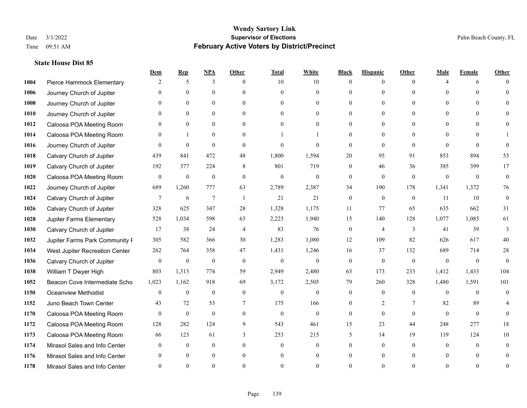|      |                                | Dem          | <b>Rep</b>       | NPA              | <b>Other</b>   | <b>Total</b>     | <b>White</b>   | <b>Black</b>     | <b>Hispanic</b>  | <b>Other</b> | <b>Male</b>  | <b>Female</b>  | <b>Other</b> |
|------|--------------------------------|--------------|------------------|------------------|----------------|------------------|----------------|------------------|------------------|--------------|--------------|----------------|--------------|
| 1004 | Pierce Hammock Elementary      | 2            | 5                | 3                | $\theta$       | 10               | 10             | $\overline{0}$   | $\mathbf{0}$     | $\theta$     | $\Delta$     | 6              | $\Omega$     |
| 1006 | Journey Church of Jupiter      |              | $\theta$         | $\mathbf{0}$     | $\Omega$       | $\theta$         | $\overline{0}$ | $\theta$         | $\mathbf{0}$     | $\Omega$     | $\Omega$     | $\Omega$       | $\Omega$     |
| 1008 | Journey Church of Jupiter      | $\Omega$     | $\theta$         | $\theta$         | $\Omega$       | $\Omega$         | $\theta$       | $\Omega$         | $\theta$         | $\Omega$     | $\Omega$     | $\Omega$       |              |
| 1010 | Journey Church of Jupiter      |              | $\mathbf{0}$     | $\mathbf{0}$     | $\overline{0}$ | $\theta$         | $\overline{0}$ | $\overline{0}$   | $\mathbf{0}$     | $\theta$     | $\mathbf{0}$ | $\theta$       |              |
| 1012 | Caloosa POA Meeting Room       |              | $\mathbf{0}$     | $\mathbf{0}$     | $\theta$       | $\Omega$         | $\Omega$       | $\theta$         | $\theta$         | $\Omega$     | $\theta$     | $\Omega$       | $\Omega$     |
| 1014 | Caloosa POA Meeting Room       |              |                  | $\mathbf{0}$     | $\Omega$       |                  |                | $\theta$         | $\mathbf{0}$     | $\Omega$     | $\theta$     | $\Omega$       |              |
| 1016 | Journey Church of Jupiter      | $\theta$     | $\mathbf{0}$     | $\mathbf{0}$     | $\overline{0}$ | $\mathbf{0}$     | $\overline{0}$ | $\overline{0}$   | $\mathbf{0}$     | $\mathbf{0}$ | $\theta$     | $\theta$       | $\theta$     |
| 1018 | Calvary Church of Jupiter      | 439          | 841              | 472              | 48             | 1,800            | 1,594          | 20               | 95               | 91           | 853          | 894            | 53           |
| 1019 | Calvary Church of Jupiter      | 192          | 377              | 224              | 8              | 801              | 719            | $\overline{0}$   | 46               | 36           | 385          | 399            | 17           |
| 1020 | Caloosa POA Meeting Room       | $\theta$     | $\mathbf{0}$     | $\mathbf{0}$     | $\theta$       | $\mathbf{0}$     | $\overline{0}$ | $\overline{0}$   | $\mathbf{0}$     | $\theta$     | $\mathbf{0}$ | $\mathbf{0}$   | $\mathbf{0}$ |
| 1022 | Journey Church of Jupiter      | 689          | 1,260            | 777              | 63             | 2,789            | 2,387          | 34               | 190              | 178          | 1,341        | 1,372          | 76           |
| 1024 | Calvary Church of Jupiter      | 7            | 6                | $\tau$           | $\mathbf{1}$   | 21               | 21             | $\boldsymbol{0}$ | $\mathbf{0}$     | $\mathbf{0}$ | 11           | 10             | $\mathbf{0}$ |
| 1026 | Calvary Church of Jupiter      | 328          | 625              | 347              | 28             | 1,328            | 1,175          | 11               | 77               | 65           | 635          | 662            | 31           |
| 1028 | Jupiter Farms Elementary       | 528          | 1,034            | 598              | 63             | 2,223            | 1,940          | 15               | 140              | 128          | 1,077        | 1,085          | 61           |
| 1030 | Calvary Church of Jupiter      | 17           | 38               | 24               | $\overline{4}$ | 83               | 76             | $\boldsymbol{0}$ | 4                | 3            | 41           | 39             | 3            |
| 1032 | Jupiter Farms Park Community I | 305          | 582              | 366              | 30             | 1,283            | 1,080          | 12               | 109              | 82           | 626          | 617            | 40           |
| 1034 | West Jupiter Recreation Center | 262          | 764              | 358              | 47             | 1,431            | 1,246          | 16               | 37               | 132          | 689          | 714            | $28\,$       |
| 1036 | Calvary Church of Jupiter      | $\mathbf{0}$ | $\boldsymbol{0}$ | $\boldsymbol{0}$ | $\mathbf{0}$   | $\boldsymbol{0}$ | $\overline{0}$ | $\boldsymbol{0}$ | $\boldsymbol{0}$ | $\mathbf{0}$ | $\mathbf{0}$ | $\overline{0}$ | $\mathbf{0}$ |
| 1038 | William T Dwyer High           | 803          | 1,313            | 774              | 59             | 2,949            | 2,480          | 63               | 173              | 233          | 1,412        | 1,433          | 104          |
| 1052 | Beacon Cove Intermediate Scho  | 1,023        | 1,162            | 918              | 69             | 3,172            | 2,505          | 79               | 260              | 328          | 1,480        | 1,591          | 101          |
| 1150 | <b>Oceanview Methodist</b>     | $\Omega$     | $\mathbf{0}$     | $\mathbf{0}$     | $\Omega$       | $\mathbf{0}$     | $\overline{0}$ | $\theta$         | $\theta$         | $\theta$     | $\Omega$     | $\Omega$       | $\theta$     |
| 1152 | Juno Beach Town Center         | 43           | 72               | 53               | 7              | 175              | 166            | 0                | 2                |              | 82           | 89             |              |
| 1170 | Caloosa POA Meeting Room       | $\theta$     | $\mathbf{0}$     | $\mathbf{0}$     | $\overline{0}$ | $\boldsymbol{0}$ | $\overline{0}$ | $\overline{0}$   | $\mathbf{0}$     | $\theta$     | $\theta$     | $\theta$       | $\theta$     |
| 1172 | Caloosa POA Meeting Room       | 128          | 282              | 124              | 9              | 543              | 461            | 15               | 23               | 44           | 248          | 277            | 18           |
| 1173 | Caloosa POA Meeting Room       | 66           | 123              | 61               | 3              | 253              | 215            | 5                | 14               | 19           | 119          | 124            | $10\,$       |
| 1174 | Mirasol Sales and Info Center  | $\theta$     | $\mathbf{0}$     | $\mathbf{0}$     | $\theta$       | $\mathbf{0}$     | $\overline{0}$ | $\Omega$         | $\mathbf{0}$     | $\theta$     | $\theta$     | $\theta$       | $\mathbf{0}$ |
| 1176 | Mirasol Sales and Info Center  |              | $\Omega$         | $\Omega$         | $\theta$       | $\theta$         | 0              | $\theta$         | $\theta$         | $\Omega$     |              | $\Omega$       | $\theta$     |
| 1178 | Mirasol Sales and Info Center  |              | $\Omega$         | $\Omega$         | $\Omega$       | $\Omega$         | 0              | $\Omega$         | $\Omega$         | $\Omega$     |              | $\Omega$       | $\theta$     |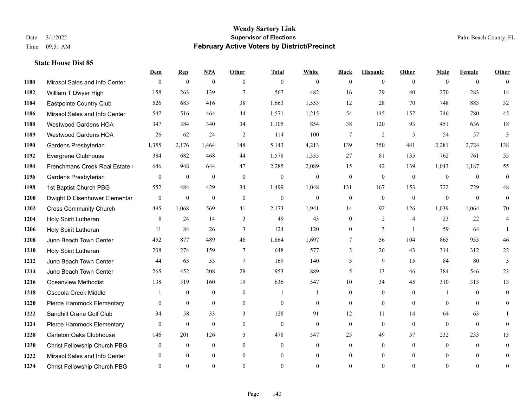**State House Dist 85**

#### **Wendy Sartory Link** Date 3/1/2022 **Supervisor of Elections** Palm Beach County, FL Time 09:51 AM **February Active Voters by District/Precinct**

# **Dem Rep NPA Other Total White Black Hispanic Other Male Female Other** Mirasol Sales and Info Center 0 0 0 0 0 0 0 0 0 0 0 0 William T Dwyer High 158 263 139 7 567 482 16 29 40 270 283 14 Eastpointe Country Club 526 683 416 38 1,663 1,553 12 28 70 748 883 32 Mirasol Sales and Info Center 547 516 464 44 1,571 1,215 54 145 157 746 780 45 Westwood Gardens HOA 347 384 340 34 1,105 854 38 120 93 451 636 18 Westwood Gardens HOA 26 62 24 2 114 100 7 2 5 54 57 3 Gardens Presbyterian 1,355 2,176 1,464 148 5,143 4,213 139 350 441 2,281 2,724 138 Evergrene Clubhouse 384 682 468 44 1,578 1,335 27 81 135 762 761 55 1194 Frenchmans Creek Real Estate 646 948 644 47 2,285 2,089 15 42 139 1,043 1,187 55 Gardens Presbyterian 0 0 0 0 0 0 0 0 0 0 0 0 1st Baptist Church PBG 552 484 429 34 1,499 1,048 131 167 153 722 729 48 Dwight D Eisenhower Elementary 0 0 0 0 0 0 0 0 0 0 0 0 Cross Community Church 495 1,068 569 41 2,173 1,941 14 92 126 1,039 1,064 70 Holy Spirit Lutheran 8 24 14 3 49 43 0 2 4 23 22 4 Holy Spirit Lutheran 11 84 26 3 124 120 0 3 1 59 64 1 Juno Beach Town Center 452 877 489 46 1,864 1,697 7 56 104 865 953 46 Holy Spirit Lutheran 208 274 159 7 648 577 2 26 43 314 312 22 Juno Beach Town Center 44 65 53 7 169 140 5 9 15 84 80 5 Juno Beach Town Center 265 452 208 28 953 889 5 13 46 384 546 23 Oceanview Methodist 138 319 160 19 636 547 10 34 45 310 313 13 Osceola Creek Middle  $\begin{array}{cccccccc} 1 & 0 & 0 & 0 & 1 & 1 & 0 & 0 & 0 \\ 0 & 0 & 0 & 1 & 0 & 0 & 0 & 0 \\ 0 & 0 & 0 & 0 & 0 & 0 & 0 & 0 \\ 0 & 0 & 0 & 0 & 0 & 0 & 0 & 0 \\ 0 & 0 & 0 & 0 & 0 & 0 & 0 & 0 \\ 0 & 0 & 0 & 0 & 0 & 0 & 0 & 0 \\ 0 & 0 & 0 & 0 & 0 & 0 & 0 & 0 \\ 0 & 0 & 0 & 0 & 0$  Pierce Hammock Elementary 0 0 0 0 0 0 0 0 0 0 0 0 Sandhill Crane Golf Club 34 58 33 3 128 91 12 11 14 64 63 1 Pierce Hammock Elementary 0 0 0 0 0 0 0 0 0 0 0 0 Carleton Oaks Clubhouse 146 201 126 5 478 347 25 49 57 232 233 13 Christ Fellowship Church PBG 0 0 0 0 0 0 0 0 0 0 0 0 Mirasol Sales and Info Center 0 0 0 0 0 0 0 0 0 0 0 0 Christ Fellowship Church PBG 0 0 0 0 0 0 0 0 0 0 0 0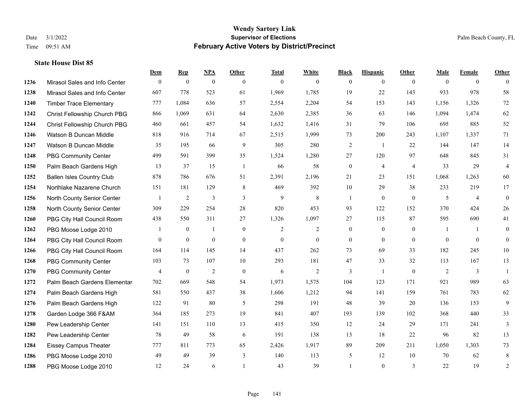|      |                                  | Dem            | <b>Rep</b>       | $NPA$          | <b>Other</b>   | <b>Total</b> | <b>White</b>   | <b>Black</b> | <b>Hispanic</b> | Other          | <b>Male</b> | <b>Female</b>  | <b>Other</b>   |
|------|----------------------------------|----------------|------------------|----------------|----------------|--------------|----------------|--------------|-----------------|----------------|-------------|----------------|----------------|
| 1236 | Mirasol Sales and Info Center    | $\mathbf{0}$   | $\boldsymbol{0}$ | $\mathbf{0}$   | $\theta$       | $\mathbf{0}$ | $\mathbf{0}$   | $\mathbf{0}$ | $\overline{0}$  | $\theta$       | $\theta$    | $\overline{0}$ | $\theta$       |
| 1238 | Mirasol Sales and Info Center    | 607            | 778              | 523            | 61             | 1,969        | 1,785          | 19           | 22              | 143            | 933         | 978            | 58             |
| 1240 | <b>Timber Trace Elementary</b>   | 777            | 1,084            | 636            | 57             | 2,554        | 2,204          | 54           | 153             | 143            | 1,156       | 1,326          | $72\,$         |
| 1242 | Christ Fellowship Church PBG     | 866            | 1,069            | 631            | 64             | 2,630        | 2,385          | 36           | 63              | 146            | 1,094       | 1,474          | 62             |
| 1244 | Christ Fellowship Church PBG     | 460            | 661              | 457            | 54             | 1,632        | 1,416          | 31           | 79              | 106            | 695         | 885            | 52             |
| 1246 | Watson B Duncan Middle           | 818            | 916              | 714            | 67             | 2,515        | 1,999          | 73           | 200             | 243            | 1,107       | 1,337          | 71             |
| 1247 | Watson B Duncan Middle           | 35             | 195              | 66             | 9              | 305          | 280            | $\sqrt{2}$   | -1              | 22             | 144         | 147            | 14             |
| 1248 | <b>PBG Community Center</b>      | 499            | 591              | 399            | 35             | 1,524        | 1,280          | 27           | 120             | 97             | 648         | 845            | 31             |
| 1250 | Palm Beach Gardens High          | 13             | 37               | 15             | $\mathbf{1}$   | 66           | 58             | $\mathbf{0}$ | $\overline{4}$  | $\overline{4}$ | 33          | 29             | $\overline{4}$ |
| 1252 | <b>Ballen Isles Country Club</b> | 878            | 786              | 676            | 51             | 2,391        | 2,196          | 21           | 23              | 151            | 1,068       | 1,263          | 60             |
| 1254 | Northlake Nazarene Church        | 151            | 181              | 129            | 8              | 469          | 392            | 10           | 29              | 38             | 233         | 219            | 17             |
| 1256 | North County Senior Center       | $\overline{1}$ | 2                | 3              | 3              | 9            | 8              | 1            | $\mathbf{0}$    | $\mathbf{0}$   | 5           | $\overline{4}$ | $\mathbf{0}$   |
| 1258 | North County Senior Center       | 309            | 229              | 254            | 28             | 820          | 453            | 93           | 122             | 152            | 370         | 424            | 26             |
| 1260 | PBG City Hall Council Room       | 438            | 550              | 311            | 27             | 1,326        | 1,097          | 27           | 115             | 87             | 595         | 690            | 41             |
| 1262 | PBG Moose Lodge 2010             |                | $\mathbf{0}$     | 1              | $\overline{0}$ | 2            | 2              | $\mathbf{0}$ | $\mathbf{0}$    | $\theta$       | -1          |                | $\overline{0}$ |
| 1264 | PBG City Hall Council Room       | $\theta$       | $\mathbf{0}$     | $\mathbf{0}$   | $\mathbf{0}$   | $\mathbf{0}$ | $\overline{0}$ | $\mathbf{0}$ | $\mathbf{0}$    | $\theta$       | $\theta$    | $\mathbf{0}$   | $\theta$       |
| 1266 | PBG City Hall Council Room       | 164            | 114              | 145            | 14             | 437          | 262            | 73           | 69              | 33             | 182         | 245            | 10             |
| 1268 | <b>PBG Community Center</b>      | 103            | 73               | 107            | 10             | 293          | 181            | 47           | 33              | 32             | 113         | 167            | 13             |
| 1270 | <b>PBG Community Center</b>      | $\overline{4}$ | $\mathbf{0}$     | $\mathfrak{2}$ | $\mathbf{0}$   | 6            | 2              | 3            | $\mathbf{1}$    | $\mathbf{0}$   | 2           | 3              | $\overline{1}$ |
| 1272 | Palm Beach Gardens Elementar     | 702            | 669              | 548            | 54             | 1,973        | 1,575          | 104          | 123             | 171            | 921         | 989            | 63             |
| 1274 | Palm Beach Gardens High          | 581            | 550              | 437            | 38             | 1,606        | 1,212          | 94           | 141             | 159            | 761         | 783            | 62             |
| 1276 | Palm Beach Gardens High          | 122            | 91               | 80             | 5              | 298          | 191            | 48           | 39              | 20             | 136         | 153            | 9              |
| 1278 | Garden Lodge 366 F&AM            | 364            | 185              | 273            | 19             | 841          | 407            | 193          | 139             | 102            | 368         | 440            | 33             |
| 1280 | Pew Leadership Center            | 141            | 151              | 110            | 13             | 415          | 350            | 12           | 24              | 29             | 171         | 241            | 3              |
| 1282 | Pew Leadership Center            | 78             | 49               | 58             | 6              | 191          | 138            | 13           | 18              | 22             | 96          | 82             | 13             |
| 1284 | <b>Eissey Campus Theater</b>     | 777            | 811              | 773            | 65             | 2,426        | 1,917          | 89           | 209             | 211            | 1,050       | 1,303          | 73             |
| 1286 | PBG Moose Lodge 2010             | 49             | 49               | 39             | 3              | 140          | 113            | 5            | 12              | 10             | 70          | 62             | 8              |
| 1288 | PBG Moose Lodge 2010             | 12             | 24               | 6              |                | 43           | 39             |              | $\overline{0}$  | 3              | 22          | 19             | 2              |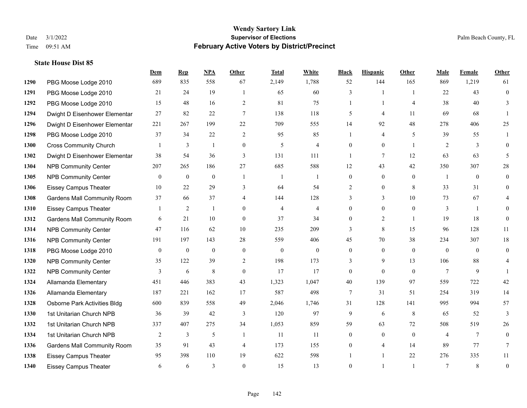**State House Dist 85**

#### **Wendy Sartory Link** Date 3/1/2022 **Supervisor of Elections** Palm Beach County, FL Time 09:51 AM **February Active Voters by District/Precinct**

**Dem Rep NPA Other Total White Black Hispanic Other Male Female Other**

# PBG Moose Lodge 2010 689 835 558 67 2,149 1,788 52 144 165 869 1,219 61 PBG Moose Lodge 2010 21 24 19 1 65 60 3 1 1 22 43 0 PBG Moose Lodge 2010 15 48 16 2 81 75 1 1 4 38 40 3 Dwight D Eisenhower Elementar 27 82 22 7 138 118 5 4 11 69 68 1 Dwight D Eisenhower Elementary 221 267 199 22 709 555 14 92 48 278 406 25 PBG Moose Lodge 2010 37 34 22 2 95 85 1 4 5 39 55 1 Cross Community Church 1 3 1 0 5 4 0 0 1 2 3 0 Dwight D Eisenhower Elementar 38 54 36 3 131 111 1 7 12 63 63 5 NPB Community Center 207 265 186 27 685 588 12 43 42 350 307 28 NPB Community Center 0 0 0 1 1 1 0 0 0 1 0 0 Eissey Campus Theater 10 22 29 3 64 54 2 0 8 33 31 0 Gardens Mall Community Room 37 66 37 4 144 128 3 3 10 73 67 4 Eissey Campus Theater 1 2 1 0 4 4 0 0 0 3 1 0 Gardens Mall Community Room 6 21 10 0 37 34 0 2 1 19 18 0 NPB Community Center 47 116 62 10 235 209 3 8 15 96 128 11 NPB Community Center 191 197 143 28 559 406 45 70 38 234 307 18 PBG Moose Lodge 2010 0 0 0 0 0 0 0 0 0 0 0 0 NPB Community Center 35 122 39 2 198 173 3 9 13 106 88 4 **1322 NPB Community Center** 3 6 8 0 17 17 0 0 0 7 9 1 Allamanda Elementary 451 446 383 43 1,323 1,047 40 139 97 559 722 42 Allamanda Elementary 187 221 162 17 587 498 7 31 51 254 319 14 Osborne Park Activities Bldg 600 839 558 49 2,046 1,746 31 128 141 995 994 57 1st Unitarian Church NPB 36 39 42 3 120 97 9 6 8 65 52 3 1st Unitarian Church NPB 337 407 275 34 1,053 859 59 63 72 508 519 26 **1334 1st Unitarian Church NPB** 2 3 5 1 11 11 0 0 0 4 7 0

 Gardens Mall Community Room 35 91 43 4 173 155 0 4 14 89 77 7 Eissey Campus Theater 95 398 110 19 622 598 1 1 22 276 335 11 Eissey Campus Theater 6 6 6 3 0 15 13 0 1 1 7 8 0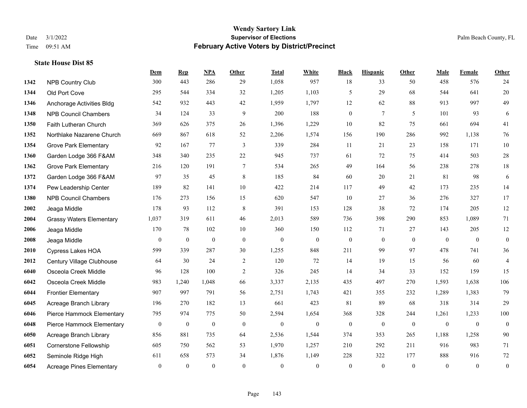|      |                                 | Dem              | <b>Rep</b>       | NPA              | <b>Other</b>   | <b>Total</b>     | <b>White</b>     | <b>Black</b>     | <b>Hispanic</b>  | <b>Other</b>   | <b>Male</b>      | Female           | <b>Other</b>     |
|------|---------------------------------|------------------|------------------|------------------|----------------|------------------|------------------|------------------|------------------|----------------|------------------|------------------|------------------|
| 1342 | <b>NPB Country Club</b>         | 300              | 443              | 286              | 29             | 1,058            | 957              | 18               | 33               | 50             | 458              | 576              | 24               |
| 1344 | Old Port Cove                   | 295              | 544              | 334              | 32             | 1,205            | 1,103            | 5                | 29               | 68             | 544              | 641              | $20\,$           |
| 1346 | Anchorage Activities Bldg       | 542              | 932              | 443              | 42             | 1,959            | 1,797            | 12               | 62               | 88             | 913              | 997              | 49               |
| 1348 | <b>NPB Council Chambers</b>     | 34               | 124              | 33               | 9              | 200              | 188              | $\boldsymbol{0}$ | $7\phantom{.0}$  | 5              | 101              | 93               | $\sqrt{6}$       |
| 1350 | Faith Lutheran Church           | 369              | 626              | 375              | 26             | 1,396            | 1,229            | 10               | 82               | 75             | 661              | 694              | 41               |
| 1352 | Northlake Nazarene Church       | 669              | 867              | 618              | 52             | 2,206            | 1,574            | 156              | 190              | 286            | 992              | 1,138            | 76               |
| 1354 | <b>Grove Park Elementary</b>    | 92               | 167              | 77               | 3              | 339              | 284              | 11               | 21               | 23             | 158              | 171              | $10\,$           |
| 1360 | Garden Lodge 366 F&AM           | 348              | 340              | 235              | 22             | 945              | 737              | 61               | 72               | 75             | 414              | 503              | $28\,$           |
| 1362 | <b>Grove Park Elementary</b>    | 216              | 120              | 191              | $\tau$         | 534              | 265              | 49               | 164              | 56             | 238              | 278              | $18\,$           |
| 1372 | Garden Lodge 366 F&AM           | 97               | 35               | 45               | $\,8\,$        | 185              | 84               | 60               | 20               | 21             | 81               | 98               | $\sqrt{6}$       |
| 1374 | Pew Leadership Center           | 189              | 82               | 141              | 10             | 422              | 214              | 117              | 49               | 42             | 173              | 235              | 14               |
| 1380 | <b>NPB Council Chambers</b>     | 176              | 273              | 156              | 15             | 620              | 547              | 10               | 27               | 36             | 276              | 327              | 17               |
| 2002 | Jeaga Middle                    | 178              | 93               | 112              | $\,8\,$        | 391              | 153              | 128              | 38               | 72             | 174              | 205              | 12               |
| 2004 | <b>Grassy Waters Elementary</b> | 1,037            | 319              | 611              | 46             | 2,013            | 589              | 736              | 398              | 290            | 853              | 1,089            | 71               |
| 2006 | Jeaga Middle                    | 170              | 78               | 102              | 10             | 360              | 150              | 112              | 71               | 27             | 143              | 205              | $12\,$           |
| 2008 | Jeaga Middle                    | $\mathbf{0}$     | $\mathbf{0}$     | $\boldsymbol{0}$ | $\mathbf{0}$   | $\boldsymbol{0}$ | $\mathbf{0}$     | $\boldsymbol{0}$ | $\boldsymbol{0}$ | $\overline{0}$ | $\boldsymbol{0}$ | $\mathbf{0}$     | $\boldsymbol{0}$ |
| 2010 | Cypress Lakes HOA               | 599              | 339              | 287              | 30             | 1,255            | 848              | 211              | 99               | 97             | 478              | 741              | 36               |
| 2012 | Century Village Clubhouse       | 64               | 30               | 24               | 2              | 120              | 72               | 14               | 19               | 15             | 56               | 60               | $\overline{4}$   |
| 6040 | Osceola Creek Middle            | 96               | 128              | 100              | $\overline{2}$ | 326              | 245              | 14               | 34               | 33             | 152              | 159              | 15               |
| 6042 | Osceola Creek Middle            | 983              | 1,240            | 1,048            | 66             | 3,337            | 2,135            | 435              | 497              | 270            | 1,593            | 1,638            | 106              |
| 6044 | <b>Frontier Elementary</b>      | 907              | 997              | 791              | 56             | 2,751            | 1,743            | 421              | 355              | 232            | 1,289            | 1,383            | 79               |
| 6045 | Acreage Branch Library          | 196              | 270              | 182              | 13             | 661              | 423              | 81               | 89               | 68             | 318              | 314              | 29               |
| 6046 | Pierce Hammock Elementary       | 795              | 974              | 775              | 50             | 2,594            | 1,654            | 368              | 328              | 244            | 1,261            | 1,233            | 100              |
| 6048 | Pierce Hammock Elementary       | $\boldsymbol{0}$ | $\boldsymbol{0}$ | $\boldsymbol{0}$ | $\mathbf{0}$   | $\boldsymbol{0}$ | $\boldsymbol{0}$ | $\boldsymbol{0}$ | $\boldsymbol{0}$ | $\mathbf{0}$   | $\boldsymbol{0}$ | $\boldsymbol{0}$ | $\boldsymbol{0}$ |
| 6050 | Acreage Branch Library          | 856              | 881              | 735              | 64             | 2,536            | 1,544            | 374              | 353              | 265            | 1,188            | 1,258            | 90               |
| 6051 | <b>Cornerstone Fellowship</b>   | 605              | 750              | 562              | 53             | 1,970            | 1,257            | 210              | 292              | 211            | 916              | 983              | 71               |
| 6052 | Seminole Ridge High             | 611              | 658              | 573              | 34             | 1,876            | 1,149            | 228              | 322              | 177            | 888              | 916              | $72\,$           |
| 6054 | <b>Acreage Pines Elementary</b> | $\mathbf{0}$     | $\mathbf{0}$     | $\mathbf{0}$     | $\Omega$       | $\mathbf{0}$     | $\mathbf{0}$     | $\mathbf{0}$     | $\theta$         | $\theta$       | $\theta$         | $\mathbf{0}$     | $\boldsymbol{0}$ |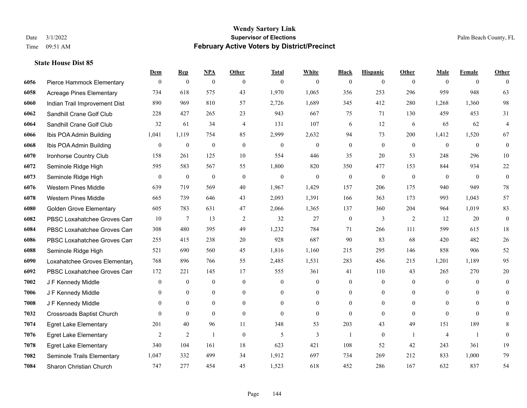**State House Dist 85**

#### **Wendy Sartory Link** Date 3/1/2022 **Supervisor of Elections** Palm Beach County, FL Time 09:51 AM **February Active Voters by District/Precinct**

# **Dem Rep NPA Other Total White Black Hispanic Other Male Female Other** Pierce Hammock Elementary 0 0 0 0 0 0 0 0 0 0 0 0 Acreage Pines Elementary 734 618 575 43 1,970 1,065 356 253 296 959 948 63 Indian Trail Improvement Dist 890 969 810 57 2,726 1,689 345 412 280 1,268 1,360 98 Sandhill Crane Golf Club 228 427 265 23 943 667 75 71 130 459 453 31 Sandhill Crane Golf Club 32 61 34 4 131 107 6 12 6 65 62 4 Ibis POA Admin Building 1,041 1,119 754 85 2,999 2,632 94 73 200 1,412 1,520 67 Ibis POA Admin Building 0 0 0 0 0 0 0 0 0 0 0 0 Ironhorse Country Club 158 261 125 10 554 446 35 20 53 248 296 10 Seminole Ridge High 595 583 567 55 1,800 820 350 477 153 844 934 22 Seminole Ridge High 0 0 0 0 0 0 0 0 0 0 0 0 Western Pines Middle 639 719 569 40 1,967 1,429 157 206 175 940 949 78 Western Pines Middle 665 739 646 43 2,093 1,391 166 363 173 993 1,043 57 Golden Grove Elementary 605 783 631 47 2,066 1,365 137 360 204 964 1,019 83 **6082** PBSC Loxahatchee Groves Can 7  $13$  2  $32$  27 0  $3$  2  $12$  20 0 PBSC Loxahatchee Groves Campus 308 480 395 49 1,232 784 71 266 111 599 615 18 PBSC Loxahatchee Groves Campus 255 415 238 20 928 687 90 83 68 420 482 26 Seminole Ridge High 521 690 560 45 1,816 1,160 215 295 146 858 906 52 Loxahatchee Groves Elementary 768 896 766 55 2,485 1,531 283 456 215 1,201 1,189 95 PBSC Loxahatchee Groves Campus 172 221 145 17 555 361 41 110 43 265 270 20 **7002 J F Kennedy Middle 0 0 0 0 0 0 0 0 0** 0 J F Kennedy Middle 0 0 0 0 0 0 0 0 0 0 0 0 J F Kennedy Middle 0 0 0 0 0 0 0 0 0 0 0 0 Crossroads Baptist Church 0 0 0 0 0 0 0 0 0 0 0 0 Egret Lake Elementary 201 40 96 11 348 53 203 43 49 151 189 8 Egret Lake Elementary 2 2 1 0 5 3 1 0 1 4 1 0 Egret Lake Elementary 340 104 161 18 623 421 108 52 42 243 361 19 Seminole Trails Elementary 1,047 332 499 34 1,912 697 734 269 212 833 1,000 79 Sharon Christian Church 747 277 454 45 1,523 618 452 286 167 632 837 54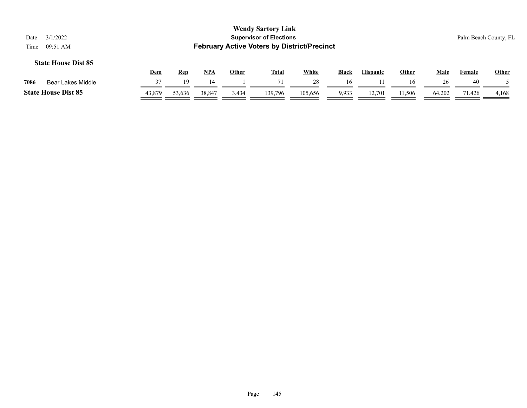|      |                            | Dem    | Rep    | NPA    | Other | <b>Total</b> | White   | <b>Black</b> | Hispanic | Other | Male   | Female | <b>Other</b> |
|------|----------------------------|--------|--------|--------|-------|--------------|---------|--------------|----------|-------|--------|--------|--------------|
| 7086 | Bear Lakes Middle          |        |        | 14     |       |              |         | 16           |          | 16    |        | 40     |              |
|      | <b>State House Dist 85</b> | 43.879 | 53,636 | 38,847 | 3,434 | 139,796      | 105,656 | 9.933        | 12,701   | 1.506 | 64,202 | 1,426  | 4,168        |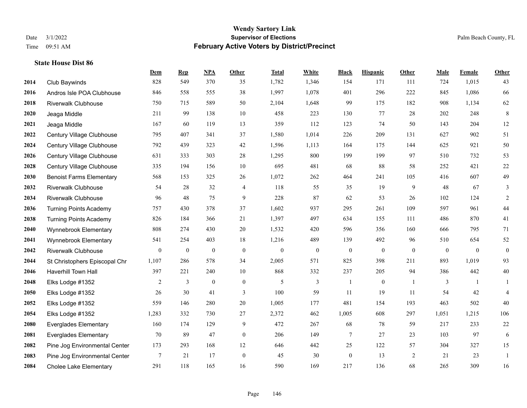|      |                                 | Dem              | <b>Rep</b>       | NPA              | <b>Other</b>   | <b>Total</b>     | <b>White</b>     | <b>Black</b>     | <b>Hispanic</b>  | <b>Other</b> | <b>Male</b>  | Female       | <b>Other</b>     |
|------|---------------------------------|------------------|------------------|------------------|----------------|------------------|------------------|------------------|------------------|--------------|--------------|--------------|------------------|
| 2014 | Club Baywinds                   | 828              | 549              | 370              | 35             | 1,782            | 1,346            | 154              | 171              | 111          | 724          | 1,015        | 43               |
| 2016 | Andros Isle POA Clubhouse       | 846              | 558              | 555              | 38             | 1,997            | 1,078            | 401              | 296              | 222          | 845          | 1,086        | 66               |
| 2018 | <b>Riverwalk Clubhouse</b>      | 750              | 715              | 589              | 50             | 2,104            | 1,648            | 99               | 175              | 182          | 908          | 1,134        | 62               |
| 2020 | Jeaga Middle                    | 211              | 99               | 138              | 10             | 458              | 223              | 130              | 77               | 28           | 202          | 248          | $\,8\,$          |
| 2021 | Jeaga Middle                    | 167              | 60               | 119              | 13             | 359              | 112              | 123              | 74               | 50           | 143          | 204          | 12               |
| 2022 | Century Village Clubhouse       | 795              | 407              | 341              | 37             | 1,580            | 1,014            | 226              | 209              | 131          | 627          | 902          | 51               |
| 2024 | Century Village Clubhouse       | 792              | 439              | 323              | 42             | 1,596            | 1,113            | 164              | 175              | 144          | 625          | 921          | 50               |
| 2026 | Century Village Clubhouse       | 631              | 333              | 303              | 28             | 1,295            | 800              | 199              | 199              | 97           | 510          | 732          | 53               |
| 2028 | Century Village Clubhouse       | 335              | 194              | 156              | 10             | 695              | 481              | 68               | 88               | 58           | 252          | 421          | $22\,$           |
| 2030 | <b>Benoist Farms Elementary</b> | 568              | 153              | 325              | 26             | 1,072            | 262              | 464              | 241              | 105          | 416          | 607          | 49               |
| 2032 | <b>Riverwalk Clubhouse</b>      | 54               | 28               | 32               | $\overline{4}$ | 118              | 55               | 35               | 19               | 9            | 48           | 67           | 3                |
| 2034 | <b>Riverwalk Clubhouse</b>      | 96               | 48               | 75               | 9              | 228              | 87               | 62               | 53               | 26           | 102          | 124          | 2                |
| 2036 | <b>Turning Points Academy</b>   | 757              | 430              | 378              | 37             | 1,602            | 937              | 295              | 261              | 109          | 597          | 961          | $44\,$           |
| 2038 | <b>Turning Points Academy</b>   | 826              | 184              | 366              | 21             | 1,397            | 497              | 634              | 155              | 111          | 486          | 870          | 41               |
| 2040 | Wynnebrook Elementary           | 808              | 274              | 430              | 20             | 1,532            | 420              | 596              | 356              | 160          | 666          | 795          | 71               |
| 2041 | Wynnebrook Elementary           | 541              | 254              | 403              | 18             | 1,216            | 489              | 139              | 492              | 96           | 510          | 654          | $52\,$           |
| 2042 | <b>Riverwalk Clubhouse</b>      | $\boldsymbol{0}$ | $\boldsymbol{0}$ | $\boldsymbol{0}$ | $\mathbf{0}$   | $\boldsymbol{0}$ | $\boldsymbol{0}$ | $\boldsymbol{0}$ | $\boldsymbol{0}$ | $\mathbf{0}$ | $\mathbf{0}$ | $\mathbf{0}$ | $\boldsymbol{0}$ |
| 2044 | St Christophers Episcopal Chr   | 1,107            | 286              | 578              | 34             | 2,005            | 571              | 825              | 398              | 211          | 893          | 1,019        | 93               |
| 2046 | <b>Haverhill Town Hall</b>      | 397              | 221              | 240              | 10             | 868              | 332              | 237              | 205              | 94           | 386          | 442          | 40               |
| 2048 | Elks Lodge #1352                | $\overline{2}$   | $\mathfrak{Z}$   | $\boldsymbol{0}$ | $\mathbf{0}$   | 5                | $\mathfrak{Z}$   | 1                | $\boldsymbol{0}$ | $\mathbf{1}$ | 3            | $\mathbf{1}$ | 1                |
| 2050 | Elks Lodge #1352                | 26               | 30               | 41               | 3              | 100              | 59               | 11               | 19               | 11           | 54           | 42           | $\overline{4}$   |
| 2052 | Elks Lodge #1352                | 559              | 146              | 280              | 20             | 1,005            | 177              | 481              | 154              | 193          | 463          | 502          | 40               |
| 2054 | Elks Lodge #1352                | 1,283            | 332              | 730              | $27\,$         | 2,372            | 462              | 1,005            | 608              | 297          | 1,051        | 1,215        | 106              |
| 2080 | <b>Everglades Elementary</b>    | 160              | 174              | 129              | 9              | 472              | 267              | 68               | 78               | 59           | 217          | 233          | $22\,$           |
| 2081 | <b>Everglades Elementary</b>    | 70               | 89               | 47               | $\overline{0}$ | 206              | 149              | $\overline{7}$   | 27               | 23           | 103          | 97           | 6                |
| 2082 | Pine Jog Environmental Center   | 173              | 293              | 168              | 12             | 646              | 442              | 25               | 122              | 57           | 304          | 327          | 15               |
| 2083 | Pine Jog Environmental Center   | 7                | 21               | 17               | $\overline{0}$ | 45               | 30               | $\boldsymbol{0}$ | 13               | 2            | 21           | 23           | $\mathbf{1}$     |
| 2084 | <b>Cholee Lake Elementary</b>   | 291              | 118              | 165              | 16             | 590              | 169              | 217              | 136              | 68           | 265          | 309          | 16               |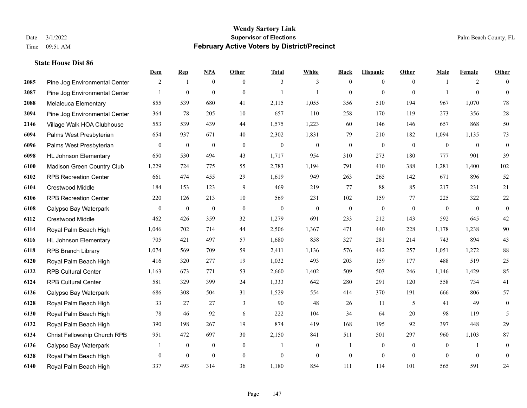|      |                               | Dem              | <b>Rep</b>       | NPA              | <b>Other</b> | <b>Total</b>     | <b>White</b>     | <b>Black</b>     | <b>Hispanic</b>  | <b>Other</b>   | <b>Male</b>    | <b>Female</b>  | <b>Other</b>     |
|------|-------------------------------|------------------|------------------|------------------|--------------|------------------|------------------|------------------|------------------|----------------|----------------|----------------|------------------|
| 2085 | Pine Jog Environmental Center | 2                | $\mathbf{1}$     | $\boldsymbol{0}$ | $\theta$     | 3                | 3                | $\overline{0}$   | $\overline{0}$   | $\overline{0}$ | -1             | 2              | $\Omega$         |
| 2087 | Pine Jog Environmental Center |                  | $\mathbf{0}$     | $\mathbf{0}$     | $\mathbf{0}$ | $\mathbf{1}$     | 1                | $\mathbf{0}$     | $\mathbf{0}$     | $\mathbf{0}$   |                | $\overline{0}$ | $\overline{0}$   |
| 2088 | Melaleuca Elementary          | 855              | 539              | 680              | 41           | 2,115            | 1,055            | 356              | 510              | 194            | 967            | 1,070          | 78               |
| 2094 | Pine Jog Environmental Center | 364              | 78               | 205              | 10           | 657              | 110              | 258              | 170              | 119            | 273            | 356            | $28\,$           |
| 2146 | Village Walk HOA Clubhouse    | 553              | 539              | 439              | 44           | 1,575            | 1,223            | 60               | 146              | 146            | 657            | 868            | 50               |
| 6094 | Palms West Presbyterian       | 654              | 937              | 671              | 40           | 2,302            | 1,831            | 79               | 210              | 182            | 1,094          | 1,135          | 73               |
| 6096 | Palms West Presbyterian       | $\boldsymbol{0}$ | $\boldsymbol{0}$ | $\boldsymbol{0}$ | $\mathbf{0}$ | $\boldsymbol{0}$ | $\boldsymbol{0}$ | $\boldsymbol{0}$ | $\boldsymbol{0}$ | $\mathbf{0}$   | $\overline{0}$ | $\overline{0}$ | $\boldsymbol{0}$ |
| 6098 | <b>HL Johnson Elementary</b>  | 650              | 530              | 494              | 43           | 1,717            | 954              | 310              | 273              | 180            | 777            | 901            | 39               |
| 6100 | Madison Green Country Club    | 1,229            | 724              | 775              | 55           | 2,783            | 1,194            | 791              | 410              | 388            | 1,281          | 1,400          | 102              |
| 6102 | <b>RPB Recreation Center</b>  | 661              | 474              | 455              | 29           | 1,619            | 949              | 263              | 265              | 142            | 671            | 896            | 52               |
| 6104 | <b>Crestwood Middle</b>       | 184              | 153              | 123              | 9            | 469              | 219              | 77               | 88               | 85             | 217            | 231            | 21               |
| 6106 | <b>RPB Recreation Center</b>  | 220              | 126              | 213              | 10           | 569              | 231              | 102              | 159              | 77             | 225            | 322            | 22               |
| 6108 | Calypso Bay Waterpark         | $\mathbf{0}$     | $\boldsymbol{0}$ | $\boldsymbol{0}$ | $\mathbf{0}$ | $\overline{0}$   | $\mathbf{0}$     | $\mathbf{0}$     | $\mathbf{0}$     | $\mathbf{0}$   | $\mathbf{0}$   | $\overline{0}$ | $\overline{0}$   |
| 6112 | Crestwood Middle              | 462              | 426              | 359              | 32           | 1,279            | 691              | 233              | 212              | 143            | 592            | 645            | $42\,$           |
| 6114 | Royal Palm Beach High         | 1,046            | 702              | 714              | 44           | 2,506            | 1,367            | 471              | 440              | 228            | 1,178          | 1,238          | 90               |
| 6116 | <b>HL Johnson Elementary</b>  | 705              | 421              | 497              | 57           | 1,680            | 858              | 327              | 281              | 214            | 743            | 894            | 43               |
| 6118 | <b>RPB Branch Library</b>     | 1,074            | 569              | 709              | 59           | 2,411            | 1,136            | 576              | 442              | 257            | 1,051          | 1,272          | 88               |
| 6120 | Royal Palm Beach High         | 416              | 320              | 277              | 19           | 1,032            | 493              | 203              | 159              | 177            | 488            | 519            | $25\,$           |
| 6122 | <b>RPB Cultural Center</b>    | 1,163            | 673              | 771              | 53           | 2,660            | 1,402            | 509              | 503              | 246            | 1,146          | 1,429          | 85               |
| 6124 | <b>RPB Cultural Center</b>    | 581              | 329              | 399              | 24           | 1,333            | 642              | 280              | 291              | 120            | 558            | 734            | 41               |
| 6126 | Calypso Bay Waterpark         | 686              | 308              | 504              | 31           | 1,529            | 554              | 414              | 370              | 191            | 666            | 806            | 57               |
| 6128 | Royal Palm Beach High         | 33               | 27               | 27               | 3            | 90               | $48\,$           | 26               | 11               | 5              | 41             | 49             | $\overline{0}$   |
| 6130 | Royal Palm Beach High         | 78               | 46               | 92               | 6            | 222              | 104              | 34               | 64               | 20             | 98             | 119            | 5                |
| 6132 | Royal Palm Beach High         | 390              | 198              | 267              | 19           | 874              | 419              | 168              | 195              | 92             | 397            | 448            | 29               |
| 6134 | Christ Fellowship Church RPB  | 951              | 472              | 697              | 30           | 2,150            | 841              | 511              | 501              | 297            | 960            | 1,103          | $87\,$           |
| 6136 | Calypso Bay Waterpark         |                  | $\boldsymbol{0}$ | $\boldsymbol{0}$ | $\mathbf{0}$ | $\mathbf{1}$     | $\boldsymbol{0}$ | $\mathbf{1}$     | $\overline{0}$   | $\overline{0}$ | $\mathbf{0}$   | $\mathbf{1}$   | $\boldsymbol{0}$ |
| 6138 | Royal Palm Beach High         | $\overline{0}$   | $\mathbf{0}$     | $\mathbf{0}$     | $\mathbf{0}$ | $\theta$         | $\mathbf{0}$     | $\boldsymbol{0}$ | $\overline{0}$   | $\mathbf{0}$   | $\theta$       | $\mathbf{0}$   | $\mathbf{0}$     |
| 6140 | Royal Palm Beach High         | 337              | 493              | 314              | 36           | 1,180            | 854              | 111              | 114              | 101            | 565            | 591            | 24               |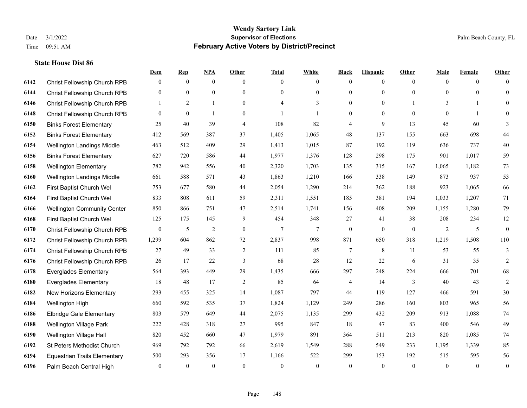|      |                                     | Dem            | <b>Rep</b>   | <u>NPA</u>     | <b>Other</b>   | <b>Total</b> | <b>White</b>             | <b>Black</b>     | <b>Hispanic</b> | Other        | <b>Male</b>  | <b>Female</b>  | <b>Other</b>     |
|------|-------------------------------------|----------------|--------------|----------------|----------------|--------------|--------------------------|------------------|-----------------|--------------|--------------|----------------|------------------|
| 6142 | Christ Fellowship Church RPB        | $\overline{0}$ | $\mathbf{0}$ | $\mathbf{0}$   | $\theta$       | $\theta$     | $\overline{0}$           | $\mathbf{0}$     | $\overline{0}$  | $\theta$     | $\theta$     | $\overline{0}$ | $\Omega$         |
| 6144 | Christ Fellowship Church RPB        | $\mathbf{0}$   | $\mathbf{0}$ | $\mathbf{0}$   | $\Omega$       | $\theta$     | $\overline{0}$           | $\mathbf{0}$     | $\mathbf{0}$    | $\theta$     | $\theta$     | $\theta$       | $\mathbf{0}$     |
| 6146 | <b>Christ Fellowship Church RPB</b> | $\mathbf{1}$   | 2            | $\mathbf{1}$   | $\Omega$       | 4            | 3                        | $\theta$         | $\Omega$        |              | 3            |                | $\Omega$         |
| 6148 | Christ Fellowship Church RPB        | $\overline{0}$ | $\mathbf{0}$ | 1              | $\overline{0}$ |              | $\overline{\phantom{a}}$ | $\boldsymbol{0}$ | $\mathbf{0}$    | $\mathbf{0}$ | $\mathbf{0}$ | $\overline{1}$ | $\Omega$         |
| 6150 | <b>Binks Forest Elementary</b>      | 25             | 40           | 39             | $\overline{4}$ | 108          | 82                       | 4                | 9               | 13           | 45           | 60             | 3                |
| 6152 | <b>Binks Forest Elementary</b>      | 412            | 569          | 387            | 37             | 1,405        | 1,065                    | 48               | 137             | 155          | 663          | 698            | 44               |
| 6154 | Wellington Landings Middle          | 463            | 512          | 409            | 29             | 1,413        | 1,015                    | 87               | 192             | 119          | 636          | 737            | $40\,$           |
| 6156 | <b>Binks Forest Elementary</b>      | 627            | 720          | 586            | 44             | 1,977        | 1,376                    | 128              | 298             | 175          | 901          | 1,017          | 59               |
| 6158 | <b>Wellington Elementary</b>        | 782            | 942          | 556            | 40             | 2,320        | 1,703                    | 135              | 315             | 167          | 1,065        | 1,182          | 73               |
| 6160 | Wellington Landings Middle          | 661            | 588          | 571            | 43             | 1,863        | 1,210                    | 166              | 338             | 149          | 873          | 937            | 53               |
| 6162 | First Baptist Church Wel            | 753            | 677          | 580            | 44             | 2,054        | 1,290                    | 214              | 362             | 188          | 923          | 1,065          | 66               |
| 6164 | First Baptist Church Wel            | 833            | 808          | 611            | 59             | 2,311        | 1,551                    | 185              | 381             | 194          | 1,033        | 1,207          | 71               |
| 6166 | <b>Wellington Community Center</b>  | 850            | 866          | 751            | 47             | 2,514        | 1,741                    | 156              | 408             | 209          | 1,155        | 1,280          | 79               |
| 6168 | First Baptist Church Wel            | 125            | 175          | 145            | 9              | 454          | 348                      | 27               | 41              | 38           | 208          | 234            | 12               |
| 6170 | Christ Fellowship Church RPB        | $\mathbf{0}$   | 5            | $\overline{2}$ | $\overline{0}$ | 7            | $\tau$                   | $\boldsymbol{0}$ | $\mathbf{0}$    | $\mathbf{0}$ | 2            | 5              | $\boldsymbol{0}$ |
| 6172 | Christ Fellowship Church RPB        | 1,299          | 604          | 862            | 72             | 2,837        | 998                      | 871              | 650             | 318          | 1,219        | 1,508          | 110              |
| 6174 | Christ Fellowship Church RPB        | 27             | 49           | 33             | $\sqrt{2}$     | 111          | 85                       | $\overline{7}$   | $\,8\,$         | 11           | 53           | 55             | 3                |
| 6176 | Christ Fellowship Church RPB        | 26             | 17           | 22             | 3              | 68           | 28                       | 12               | 22              | 6            | 31           | 35             | $\overline{c}$   |
| 6178 | <b>Everglades Elementary</b>        | 564            | 393          | 449            | 29             | 1,435        | 666                      | 297              | 248             | 224          | 666          | 701            | 68               |
| 6180 | <b>Everglades Elementary</b>        | 18             | 48           | 17             | $\overline{2}$ | 85           | 64                       | 4                | 14              | 3            | 40           | 43             | $\overline{2}$   |
| 6182 | New Horizons Elementary             | 293            | 455          | 325            | 14             | 1,087        | 797                      | 44               | 119             | 127          | 466          | 591            | 30               |
| 6184 | Wellington High                     | 660            | 592          | 535            | 37             | 1,824        | 1,129                    | 249              | 286             | 160          | 803          | 965            | 56               |
| 6186 | <b>Elbridge Gale Elementary</b>     | 803            | 579          | 649            | 44             | 2,075        | 1,135                    | 299              | 432             | 209          | 913          | 1,088          | 74               |
| 6188 | <b>Wellington Village Park</b>      | 222            | 428          | 318            | 27             | 995          | 847                      | 18               | 47              | 83           | 400          | 546            | 49               |
| 6190 | Wellington Village Hall             | 820            | 452          | 660            | 47             | 1,979        | 891                      | 364              | 511             | 213          | 820          | 1,085          | 74               |
| 6192 | St Peters Methodist Church          | 969            | 792          | 792            | 66             | 2,619        | 1,549                    | 288              | 549             | 233          | 1,195        | 1,339          | 85               |
| 6194 | <b>Equestrian Trails Elementary</b> | 500            | 293          | 356            | 17             | 1,166        | 522                      | 299              | 153             | 192          | 515          | 595            | 56               |
| 6196 | Palm Beach Central High             | $\mathbf{0}$   | $\mathbf{0}$ | $\mathbf{0}$   | $\theta$       | $\theta$     | $\mathbf{0}$             | $\theta$         | $\theta$        | $\theta$     | $\theta$     | $\mathbf{0}$   | $\boldsymbol{0}$ |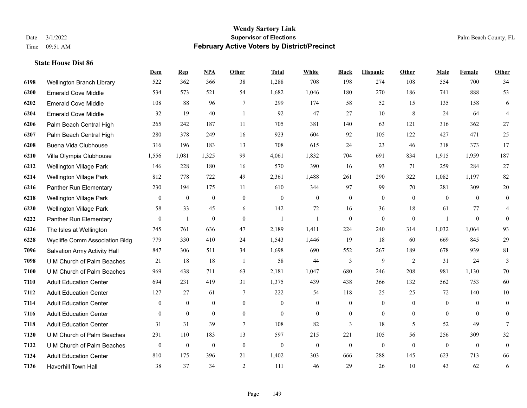|      |                                | Dem              | <b>Rep</b>       | NPA              | <b>Other</b>   | <b>Total</b>     | <b>White</b>     | <b>Black</b>     | <b>Hispanic</b> | Other            | <b>Male</b>    | <b>Female</b>    | <b>Other</b>   |
|------|--------------------------------|------------------|------------------|------------------|----------------|------------------|------------------|------------------|-----------------|------------------|----------------|------------------|----------------|
| 6198 | Wellington Branch Library      | 522              | 362              | 366              | 38             | 1,288            | 708              | 198              | 274             | 108              | 554            | 700              | 34             |
| 6200 | <b>Emerald Cove Middle</b>     | 534              | 573              | 521              | 54             | 1,682            | 1,046            | 180              | 270             | 186              | 741            | 888              | 53             |
| 6202 | <b>Emerald Cove Middle</b>     | 108              | 88               | 96               | 7              | 299              | 174              | 58               | 52              | 15               | 135            | 158              | 6              |
| 6204 | <b>Emerald Cove Middle</b>     | 32               | 19               | 40               | -1             | 92               | 47               | 27               | 10              | 8                | 24             | 64               | $\overline{4}$ |
| 6206 | Palm Beach Central High        | 265              | 242              | 187              | 11             | 705              | 381              | 140              | 63              | 121              | 316            | 362              | 27             |
| 6207 | Palm Beach Central High        | 280              | 378              | 249              | 16             | 923              | 604              | 92               | 105             | 122              | 427            | 471              | $25\,$         |
| 6208 | Buena Vida Clubhouse           | 316              | 196              | 183              | 13             | 708              | 615              | 24               | 23              | 46               | 318            | 373              | 17             |
| 6210 | Villa Olympia Clubhouse        | 1,556            | 1,081            | 1,325            | 99             | 4,061            | 1,832            | 704              | 691             | 834              | 1,915          | 1,959            | 187            |
| 6212 | Wellington Village Park        | 146              | 228              | 180              | 16             | 570              | 390              | 16               | 93              | 71               | 259            | 284              | $27\,$         |
| 6214 | Wellington Village Park        | 812              | 778              | 722              | 49             | 2,361            | 1,488            | 261              | 290             | 322              | 1,082          | 1,197            | 82             |
| 6216 | Panther Run Elementary         | 230              | 194              | 175              | 11             | 610              | 344              | 97               | 99              | 70               | 281            | 309              | 20             |
| 6218 | Wellington Village Park        | $\mathbf{0}$     | $\mathbf{0}$     | $\mathbf{0}$     | $\mathbf{0}$   | $\boldsymbol{0}$ | $\mathbf{0}$     | $\boldsymbol{0}$ | $\overline{0}$  | $\mathbf{0}$     | $\overline{0}$ | $\theta$         | $\mathbf{0}$   |
| 6220 | Wellington Village Park        | 58               | 33               | 45               | 6              | 142              | 72               | 16               | 36              | 18               | 61             | 77               | 4              |
| 6222 | Panther Run Elementary         | $\boldsymbol{0}$ | 1                | $\boldsymbol{0}$ | $\mathbf{0}$   | $\mathbf{1}$     |                  | $\boldsymbol{0}$ | $\overline{0}$  | $\boldsymbol{0}$ | $\overline{1}$ | $\boldsymbol{0}$ | $\mathbf{0}$   |
| 6226 | The Isles at Wellington        | 745              | 761              | 636              | 47             | 2,189            | 1,411            | 224              | 240             | 314              | 1,032          | 1,064            | 93             |
| 6228 | Wycliffe Comm Association Bldg | 779              | 330              | 410              | 24             | 1,543            | 1,446            | 19               | 18              | 60               | 669            | 845              | 29             |
| 7096 | Salvation Army Activity Hall   | 847              | 306              | 511              | 34             | 1,698            | 690              | 552              | 267             | 189              | 678            | 939              | $81\,$         |
| 7098 | U M Church of Palm Beaches     | 21               | 18               | 18               | $\overline{1}$ | 58               | 44               | 3                | 9               | 2                | 31             | 24               | 3              |
| 7100 | U M Church of Palm Beaches     | 969              | 438              | 711              | 63             | 2,181            | 1,047            | 680              | 246             | 208              | 981            | 1,130            | $70\,$         |
| 7110 | <b>Adult Education Center</b>  | 694              | 231              | 419              | 31             | 1,375            | 439              | 438              | 366             | 132              | 562            | 753              | $60\,$         |
| 7112 | <b>Adult Education Center</b>  | 127              | 27               | 61               | 7              | 222              | 54               | 118              | 25              | 25               | 72             | 140              | 10             |
| 7114 | <b>Adult Education Center</b>  | $\mathbf{0}$     | $\overline{0}$   | $\mathbf{0}$     | $\overline{0}$ | $\theta$         | $\overline{0}$   | $\mathbf{0}$     | $\overline{0}$  | $\theta$         | $\mathbf{0}$   | $\theta$         | $\theta$       |
| 7116 | <b>Adult Education Center</b>  | $\overline{0}$   | $\overline{0}$   | $\mathbf{0}$     | $\overline{0}$ | $\mathbf{0}$     | $\overline{0}$   | $\mathbf{0}$     | $\overline{0}$  | $\overline{0}$   | $\overline{0}$ | $\overline{0}$   | $\mathbf{0}$   |
| 7118 | <b>Adult Education Center</b>  | 31               | 31               | 39               | $\overline{7}$ | 108              | 82               | 3                | 18              | 5                | 52             | 49               | 7              |
| 7120 | U M Church of Palm Beaches     | 291              | 110              | 183              | 13             | 597              | 215              | 221              | 105             | 56               | 256            | 309              | 32             |
| 7122 | U M Church of Palm Beaches     | $\boldsymbol{0}$ | $\boldsymbol{0}$ | $\mathbf{0}$     | $\mathbf{0}$   | $\theta$         | $\boldsymbol{0}$ | $\mathbf{0}$     | $\overline{0}$  | $\theta$         | $\mathbf{0}$   | $\mathbf{0}$     | $\overline{0}$ |
| 7134 | <b>Adult Education Center</b>  | 810              | 175              | 396              | 21             | 1,402            | 303              | 666              | 288             | 145              | 623            | 713              | 66             |
| 7136 | <b>Haverhill Town Hall</b>     | 38               | 37               | 34               | 2              | 111              | 46               | 29               | 26              | 10               | 43             | 62               | 6              |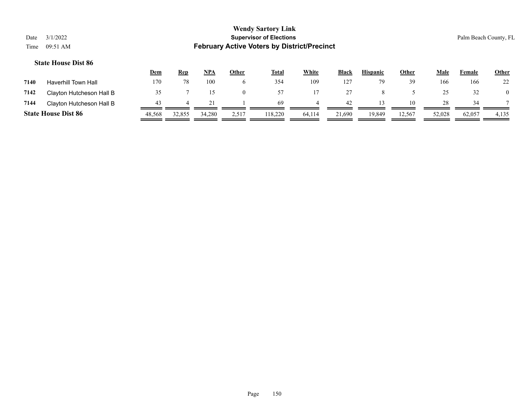|      |                            | <u>Dem</u> | Rep    | <b>NPA</b> | Other        | <b>Total</b> | White  | <b>Black</b> | <b>Hispanic</b> | Other  | Male   | Female | <b>Other</b>   |
|------|----------------------------|------------|--------|------------|--------------|--------------|--------|--------------|-----------------|--------|--------|--------|----------------|
| 7140 | <b>Haverhill Town Hall</b> | 170        | 78     | 100        | <sub>0</sub> | 354          | 109    | 127          |                 | 39     | 166    | 166    | 22             |
| 7142 | Clayton Hutcheson Hall B   |            |        |            | $\Omega$     | 57           |        |              |                 |        |        | 32     | $\overline{0}$ |
| 7144 | Clayton Hutcheson Hall B   | 43         |        |            |              | -69          |        | 42           |                 | 10     | 28     | 34     |                |
|      | <b>State House Dist 86</b> | 48,568     | 32,855 | 34,280     | 2,517        | 118,220      | 64,114 | 21,690       | 19,849          | 12,567 | 52,028 | 62,057 | 4,135          |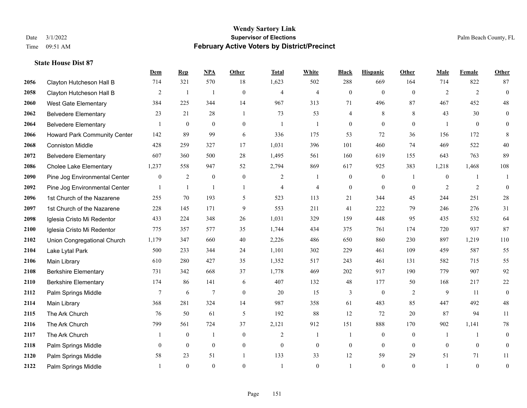|      |                               | Dem              | <b>Rep</b>     | NPA              | <b>Other</b>   | <b>Total</b>   | <b>White</b>   | <b>Black</b>     | <b>Hispanic</b>  | <b>Other</b>   | <b>Male</b>  | <b>Female</b> | Other            |
|------|-------------------------------|------------------|----------------|------------------|----------------|----------------|----------------|------------------|------------------|----------------|--------------|---------------|------------------|
| 2056 | Clayton Hutcheson Hall B      | 714              | 321            | 570              | 18             | 1,623          | 502            | 288              | 669              | 164            | 714          | 822           | 87               |
| 2058 | Clayton Hutcheson Hall B      | $\overline{c}$   | 1              | $\overline{1}$   | $\mathbf{0}$   | $\overline{4}$ | $\overline{4}$ | $\mathbf{0}$     | $\mathbf{0}$     | $\theta$       | 2            | 2             | $\mathbf{0}$     |
| 2060 | <b>West Gate Elementary</b>   | 384              | 225            | 344              | 14             | 967            | 313            | 71               | 496              | 87             | 467          | 452           | $48\,$           |
| 2062 | <b>Belvedere Elementary</b>   | 23               | 21             | 28               | $\mathbf{1}$   | 73             | 53             | 4                | $\,$ 8 $\,$      | 8              | 43           | 30            | $\boldsymbol{0}$ |
| 2064 | <b>Belvedere Elementary</b>   |                  | $\mathbf{0}$   | $\theta$         | $\theta$       | $\overline{1}$ | $\mathbf{1}$   | $\mathbf{0}$     | $\theta$         | $\Omega$       |              | $\theta$      | $\overline{0}$   |
| 2066 | Howard Park Community Center  | 142              | 89             | 99               | 6              | 336            | 175            | 53               | 72               | 36             | 156          | 172           | 8                |
| 2068 | <b>Conniston Middle</b>       | 428              | 259            | 327              | 17             | 1,031          | 396            | 101              | 460              | 74             | 469          | 522           | 40               |
| 2072 | <b>Belvedere Elementary</b>   | 607              | 360            | 500              | 28             | 1,495          | 561            | 160              | 619              | 155            | 643          | 763           | 89               |
| 2086 | <b>Cholee Lake Elementary</b> | 1,237            | 558            | 947              | 52             | 2,794          | 869            | 617              | 925              | 383            | 1,218        | 1,468         | 108              |
| 2090 | Pine Jog Environmental Center | $\boldsymbol{0}$ | 2              | $\boldsymbol{0}$ | $\overline{0}$ | $\overline{2}$ | 1              | $\boldsymbol{0}$ | $\mathbf{0}$     | $\overline{1}$ | $\mathbf{0}$ | $\mathbf{1}$  | 1                |
| 2092 | Pine Jog Environmental Center | 1                | $\overline{1}$ | $\mathbf{1}$     | $\mathbf{1}$   | $\overline{4}$ | $\overline{4}$ | $\mathbf{0}$     | $\theta$         | $\theta$       | 2            | 2             | $\theta$         |
| 2096 | 1st Church of the Nazarene    | 255              | 70             | 193              | 5              | 523            | 113            | 21               | 344              | 45             | 244          | 251           | $28\,$           |
| 2097 | 1st Church of the Nazarene    | 228              | 145            | 171              | 9              | 553            | 211            | 41               | 222              | 79             | 246          | 276           | 31               |
| 2098 | Iglesia Cristo Mi Redentor    | 433              | 224            | 348              | 26             | 1,031          | 329            | 159              | 448              | 95             | 435          | 532           | 64               |
| 2100 | Iglesia Cristo Mi Redentor    | 775              | 357            | 577              | 35             | 1,744          | 434            | 375              | 761              | 174            | 720          | 937           | 87               |
| 2102 | Union Congregational Church   | 1,179            | 347            | 660              | 40             | 2,226          | 486            | 650              | 860              | 230            | 897          | 1,219         | 110              |
| 2104 | Lake Lytal Park               | 500              | 233            | 344              | 24             | 1,101          | 302            | 229              | 461              | 109            | 459          | 587           | 55               |
| 2106 | Main Library                  | 610              | 280            | 427              | 35             | 1,352          | 517            | 243              | 461              | 131            | 582          | 715           | 55               |
| 2108 | <b>Berkshire Elementary</b>   | 731              | 342            | 668              | 37             | 1,778          | 469            | 202              | 917              | 190            | 779          | 907           | 92               |
| 2110 | <b>Berkshire Elementary</b>   | 174              | 86             | 141              | 6              | 407            | 132            | 48               | 177              | 50             | 168          | 217           | $22\,$           |
| 2112 | Palm Springs Middle           | 7                | 6              | $\overline{7}$   | $\mathbf{0}$   | 20             | 15             | 3                | $\boldsymbol{0}$ | 2              | 9            | 11            | $\mathbf{0}$     |
| 2114 | Main Library                  | 368              | 281            | 324              | 14             | 987            | 358            | 61               | 483              | 85             | 447          | 492           | $48\,$           |
| 2115 | The Ark Church                | 76               | 50             | 61               | 5              | 192            | 88             | 12               | 72               | 20             | 87           | 94            | $11\,$           |
| 2116 | The Ark Church                | 799              | 561            | 724              | 37             | 2,121          | 912            | 151              | 888              | 170            | 902          | 1,141         | 78               |
| 2117 | The Ark Church                |                  | $\mathbf{0}$   | $\mathbf{1}$     | $\mathbf{0}$   | 2              | $\mathbf{1}$   | 1                | $\mathbf{0}$     | $\theta$       |              | $\mathbf{1}$  | $\mathbf{0}$     |
| 2118 | Palm Springs Middle           | $\overline{0}$   | $\mathbf{0}$   | $\mathbf{0}$     | $\overline{0}$ | $\theta$       | $\overline{0}$ | $\boldsymbol{0}$ | $\mathbf{0}$     | $\theta$       | $\theta$     | $\theta$      | $\boldsymbol{0}$ |
| 2120 | Palm Springs Middle           | 58               | 23             | 51               |                | 133            | 33             | 12               | 59               | 29             | 51           | 71            | 11               |
| 2122 | Palm Springs Middle           |                  | $\theta$       | $\theta$         | $\Omega$       |                | $\Omega$       |                  | $\theta$         | $\theta$       |              | $\theta$      | $\boldsymbol{0}$ |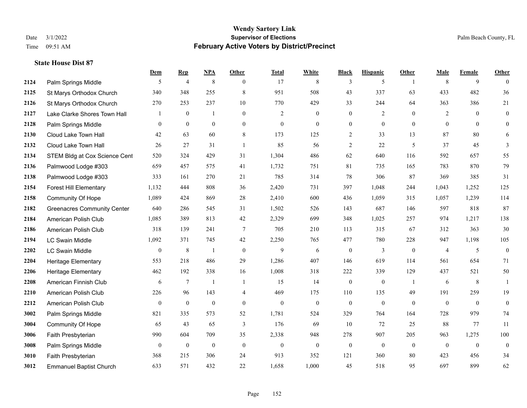**State House Dist 87**

## **Wendy Sartory Link** Date 3/1/2022 **Supervisor of Elections** Palm Beach County, FL Time 09:51 AM **February Active Voters by District/Precinct**

|      |                                    | Dem          | <b>Rep</b>       | NPA              | Other          | <b>Total</b> | White          | <b>Black</b>     | <b>Hispanic</b>  | Other          | Male           | Female         | Other            |
|------|------------------------------------|--------------|------------------|------------------|----------------|--------------|----------------|------------------|------------------|----------------|----------------|----------------|------------------|
| 2124 | Palm Springs Middle                | 5            | 4                | $\,8\,$          | $\theta$       | 17           | 8              | 3                | 5                | $\overline{1}$ | 8              | 9              | $\theta$         |
| 2125 | St Marys Orthodox Church           | 340          | 348              | 255              | 8              | 951          | 508            | 43               | 337              | 63             | 433            | 482            | 36               |
| 2126 | St Marys Orthodox Church           | 270          | 253              | 237              | 10             | 770          | 429            | 33               | 244              | 64             | 363            | 386            | 21               |
| 2127 | Lake Clarke Shores Town Hall       |              | $\boldsymbol{0}$ | -1               | $\mathbf{0}$   | 2            | $\mathbf{0}$   | $\boldsymbol{0}$ | $\overline{c}$   | $\theta$       | 2              | $\overline{0}$ | $\boldsymbol{0}$ |
| 2128 | Palm Springs Middle                | $\theta$     | $\mathbf{0}$     | $\mathbf{0}$     | $\mathbf{0}$   | $\mathbf{0}$ | $\overline{0}$ | $\boldsymbol{0}$ | $\mathbf{0}$     | $\mathbf{0}$   | $\theta$       | $\theta$       | $\overline{0}$   |
| 2130 | Cloud Lake Town Hall               | 42           | 63               | 60               | 8              | 173          | 125            | $\overline{2}$   | 33               | 13             | 87             | 80             | 6                |
| 2132 | Cloud Lake Town Hall               | 26           | 27               | 31               | -1             | 85           | 56             | $\sqrt{2}$       | 22               | 5              | 37             | 45             | 3                |
| 2134 | STEM Bldg at Cox Science Cent      | 520          | 324              | 429              | 31             | 1,304        | 486            | 62               | 640              | 116            | 592            | 657            | 55               |
| 2136 | Palmwood Lodge #303                | 659          | 457              | 575              | 41             | 1,732        | 751            | 81               | 735              | 165            | 783            | 870            | 79               |
| 2138 | Palmwood Lodge #303                | 333          | 161              | 270              | 21             | 785          | 314            | 78               | 306              | 87             | 369            | 385            | 31               |
| 2154 | <b>Forest Hill Elementary</b>      | 1,132        | 444              | 808              | 36             | 2,420        | 731            | 397              | 1,048            | 244            | 1,043          | 1,252          | 125              |
| 2158 | Community Of Hope                  | 1,089        | 424              | 869              | 28             | 2,410        | 600            | 436              | 1,059            | 315            | 1,057          | 1,239          | 114              |
| 2182 | <b>Greenacres Community Center</b> | 640          | 286              | 545              | 31             | 1,502        | 526            | 143              | 687              | 146            | 597            | 818            | 87               |
| 2184 | American Polish Club               | 1,085        | 389              | 813              | 42             | 2,329        | 699            | 348              | 1,025            | 257            | 974            | 1,217          | 138              |
| 2186 | American Polish Club               | 318          | 139              | 241              | $\tau$         | 705          | 210            | 113              | 315              | 67             | 312            | 363            | 30               |
| 2194 | <b>LC Swain Middle</b>             | 1,092        | 371              | 745              | 42             | 2,250        | 765            | 477              | 780              | 228            | 947            | 1,198          | 105              |
| 2202 | <b>LC Swain Middle</b>             | $\mathbf{0}$ | $\,8\,$          | $\mathbf{1}$     | $\theta$       | 9            | 6              | $\mathbf{0}$     | 3                | $\theta$       | $\overline{4}$ | 5              | $\mathbf{0}$     |
| 2204 | Heritage Elementary                | 553          | 218              | 486              | 29             | 1,286        | 407            | 146              | 619              | 114            | 561            | 654            | 71               |
| 2206 | Heritage Elementary                | 462          | 192              | 338              | 16             | 1,008        | 318            | 222              | 339              | 129            | 437            | 521            | 50               |
| 2208 | American Finnish Club              | 6            | 7                | $\overline{1}$   | -1             | 15           | 14             | $\boldsymbol{0}$ | $\boldsymbol{0}$ | $\overline{1}$ | 6              | 8              | $\mathbf{1}$     |
| 2210 | American Polish Club               | 226          | 96               | 143              | $\overline{4}$ | 469          | 175            | 110              | 135              | 49             | 191            | 259            | 19               |
| 2212 | American Polish Club               | $\mathbf{0}$ | $\boldsymbol{0}$ | $\boldsymbol{0}$ | $\mathbf{0}$   | $\theta$     | $\mathbf{0}$   | $\boldsymbol{0}$ | $\boldsymbol{0}$ | $\theta$       | $\mathbf{0}$   | $\mathbf{0}$   | $\boldsymbol{0}$ |
| 3002 | Palm Springs Middle                | 821          | 335              | 573              | 52             | 1,781        | 524            | 329              | 764              | 164            | 728            | 979            | 74               |
| 3004 | Community Of Hope                  | 65           | 43               | 65               | 3              | 176          | 69             | 10               | 72               | 25             | 88             | 77             | 11               |
| 3006 | Faith Presbyterian                 | 990          | 604              | 709              | 35             | 2,338        | 948            | 278              | 907              | 205            | 963            | 1,275          | 100              |
| 3008 | Palm Springs Middle                | $\theta$     | $\boldsymbol{0}$ | $\boldsymbol{0}$ | $\mathbf{0}$   | $\theta$     | $\mathbf{0}$   | $\boldsymbol{0}$ | $\mathbf{0}$     | $\mathbf{0}$   | $\mathbf{0}$   | $\mathbf{0}$   | $\boldsymbol{0}$ |
| 3010 | Faith Presbyterian                 | 368          | 215              | 306              | 24             | 913          | 352            | 121              | 360              | 80             | 423            | 456            | 34               |
| 3012 | <b>Emmanuel Baptist Church</b>     | 633          | 571              | 432              | 22             | 1.658        | 1,000          | 45               | 518              | 95             | 697            | 899            | 62               |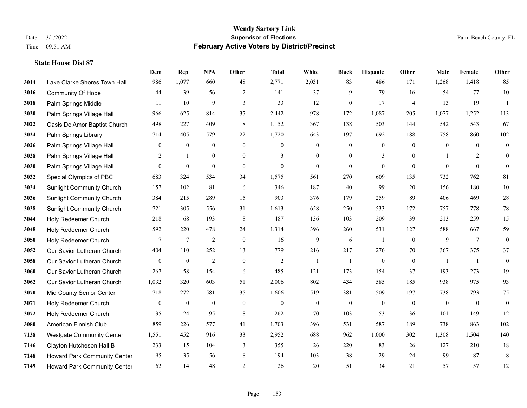|      |                                     | Dem              | <b>Rep</b>       | NPA              | <b>Other</b>     | <b>Total</b>     | White            | <b>Black</b>     | <b>Hispanic</b>  | <b>Other</b>   | <b>Male</b>      | <b>Female</b>  | <b>Other</b>     |
|------|-------------------------------------|------------------|------------------|------------------|------------------|------------------|------------------|------------------|------------------|----------------|------------------|----------------|------------------|
| 3014 | Lake Clarke Shores Town Hall        | 986              | 1,077            | 660              | 48               | 2,771            | 2,031            | 83               | 486              | 171            | 1,268            | 1,418          | 85               |
| 3016 | Community Of Hope                   | 44               | 39               | 56               | 2                | 141              | 37               | 9                | 79               | 16             | 54               | 77             | $10\,$           |
| 3018 | Palm Springs Middle                 | 11               | 10               | 9                | 3                | 33               | 12               | $\mathbf{0}$     | 17               | $\overline{4}$ | 13               | 19             | $\overline{1}$   |
| 3020 | Palm Springs Village Hall           | 966              | 625              | 814              | 37               | 2,442            | 978              | 172              | 1,087            | 205            | 1,077            | 1,252          | 113              |
| 3022 | Oasis De Amor Baptist Church        | 498              | 227              | 409              | 18               | 1,152            | 367              | 138              | 503              | 144            | 542              | 543            | 67               |
| 3024 | Palm Springs Library                | 714              | 405              | 579              | 22               | 1,720            | 643              | 197              | 692              | 188            | 758              | 860            | 102              |
| 3026 | Palm Springs Village Hall           | $\boldsymbol{0}$ | $\boldsymbol{0}$ | $\boldsymbol{0}$ | $\boldsymbol{0}$ | $\boldsymbol{0}$ | $\boldsymbol{0}$ | $\boldsymbol{0}$ | $\boldsymbol{0}$ | $\mathbf{0}$   | $\boldsymbol{0}$ | $\mathbf{0}$   | $\boldsymbol{0}$ |
| 3028 | Palm Springs Village Hall           | 2                | $\mathbf{1}$     | $\mathbf{0}$     | $\overline{0}$   | 3                | $\overline{0}$   | $\mathbf{0}$     | 3                | $\theta$       |                  | $\overline{2}$ | $\mathbf{0}$     |
| 3030 | Palm Springs Village Hall           | $\overline{0}$   | $\mathbf{0}$     | $\mathbf{0}$     | $\mathbf{0}$     | $\boldsymbol{0}$ | $\mathbf{0}$     | $\mathbf{0}$     | $\mathbf{0}$     | $\mathbf{0}$   | $\theta$         | $\mathbf{0}$   | $\mathbf{0}$     |
| 3032 | Special Olympics of PBC             | 683              | 324              | 534              | 34               | 1,575            | 561              | 270              | 609              | 135            | 732              | 762            | 81               |
| 3034 | <b>Sunlight Community Church</b>    | 157              | 102              | 81               | 6                | 346              | 187              | 40               | 99               | 20             | 156              | 180            | $10\,$           |
| 3036 | <b>Sunlight Community Church</b>    | 384              | 215              | 289              | 15               | 903              | 376              | 179              | 259              | 89             | 406              | 469            | $28\,$           |
| 3038 | <b>Sunlight Community Church</b>    | 721              | 305              | 556              | 31               | 1,613            | 658              | 250              | 533              | 172            | 757              | 778            | $78\,$           |
| 3044 | Holy Redeemer Church                | 218              | 68               | 193              | $\,$ 8 $\,$      | 487              | 136              | 103              | 209              | 39             | 213              | 259            | 15               |
| 3048 | Holy Redeemer Church                | 592              | 220              | 478              | 24               | 1,314            | 396              | 260              | 531              | 127            | 588              | 667            | 59               |
| 3050 | Holy Redeemer Church                | 7                | 7                | $\sqrt{2}$       | $\mathbf{0}$     | 16               | 9                | 6                | 1                | $\mathbf{0}$   | 9                | $\overline{7}$ | $\boldsymbol{0}$ |
| 3052 | Our Savior Lutheran Church          | 404              | 110              | 252              | 13               | 779              | 216              | 217              | 276              | 70             | 367              | 375            | 37               |
| 3058 | Our Savior Lutheran Church          | $\overline{0}$   | $\mathbf{0}$     | $\sqrt{2}$       | $\overline{0}$   | $\overline{2}$   | $\mathbf{1}$     | 1                | $\boldsymbol{0}$ | $\overline{0}$ |                  | -1             | $\boldsymbol{0}$ |
| 3060 | Our Savior Lutheran Church          | 267              | 58               | 154              | 6                | 485              | 121              | 173              | 154              | 37             | 193              | 273            | 19               |
| 3062 | Our Savior Lutheran Church          | 1,032            | 320              | 603              | 51               | 2,006            | 802              | 434              | 585              | 185            | 938              | 975            | 93               |
| 3070 | Mid County Senior Center            | 718              | 272              | 581              | 35               | 1,606            | 519              | 381              | 509              | 197            | 738              | 793            | 75               |
| 3071 | Holy Redeemer Church                | $\boldsymbol{0}$ | $\boldsymbol{0}$ | $\boldsymbol{0}$ | $\mathbf{0}$     | $\boldsymbol{0}$ | $\mathbf{0}$     | $\boldsymbol{0}$ | $\boldsymbol{0}$ | $\mathbf{0}$   | $\bf{0}$         | $\mathbf{0}$   | $\boldsymbol{0}$ |
| 3072 | Holy Redeemer Church                | 135              | 24               | 95               | 8                | 262              | 70               | 103              | 53               | 36             | 101              | 149            | 12               |
| 3080 | American Finnish Club               | 859              | 226              | 577              | 41               | 1,703            | 396              | 531              | 587              | 189            | 738              | 863            | 102              |
| 7138 | <b>Westgate Community Center</b>    | 1,551            | 452              | 916              | 33               | 2,952            | 688              | 962              | 1,000            | 302            | 1,308            | 1,504          | 140              |
| 7146 | Clayton Hutcheson Hall B            | 233              | 15               | 104              | 3                | 355              | 26               | 220              | 83               | 26             | 127              | 210            | 18               |
| 7148 | Howard Park Community Center        | 95               | 35               | 56               | 8                | 194              | 103              | 38               | 29               | 24             | 99               | 87             | 8                |
| 7149 | <b>Howard Park Community Center</b> | 62               | 14               | 48               | $\overline{2}$   | 126              | 20               | 51               | 34               | 21             | 57               | 57             | 12               |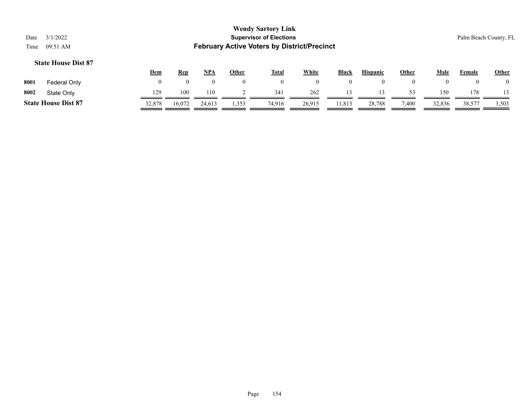|      |                            | <u>Dem</u> | Rep    | <b>NPA</b> | Other | <b>Total</b> | White  | <b>Black</b> | <b>Hispanic</b> | Other | Male   | Female | <b>Other</b> |
|------|----------------------------|------------|--------|------------|-------|--------------|--------|--------------|-----------------|-------|--------|--------|--------------|
| 8001 | Federal Only               |            |        |            |       |              |        | $\theta$     |                 |       |        |        |              |
| 8002 | State Only                 | 129        | 100    | 110        |       | 341          | 262    |              |                 |       | 150    | 178    |              |
|      | <b>State House Dist 87</b> | 32,878     | 16,072 | 24,613     | 1,353 | 74,916       | 26,915 | !1,813       | 28,788          | ,400  | 32,836 | 38,577 | 3,503        |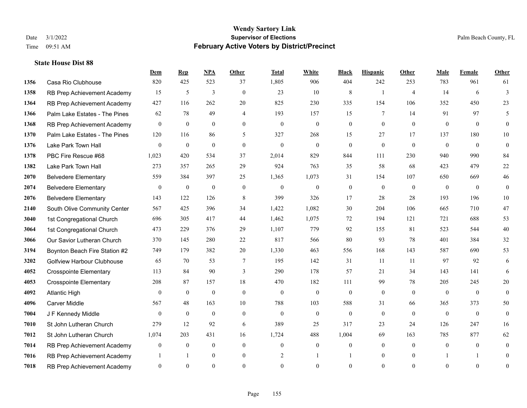**State House Dist 88**

#### **Wendy Sartory Link** Date 3/1/2022 **Supervisor of Elections** Palm Beach County, FL Time 09:51 AM **February Active Voters by District/Precinct**

# **Dem Rep NPA Other Total White Black Hispanic Other Male Female Other** Casa Rio Clubhouse 820 425 523 37 1,805 906 404 242 253 783 961 61 RB Prep Achievement Academy 15 5 3 0 23 10 8 1 4 14 6 3 RB Prep Achievement Academy 427 116 262 20 825 230 335 154 106 352 450 23 Palm Lake Estates - The Pines 62 78 49 4 193 157 15 7 14 91 97 5 RB Prep Achievement Academy 0 0 0 0 0 0 0 0 0 0 0 0 Palm Lake Estates - The Pines 120 116 86 5 327 268 15 27 17 137 180 10 Lake Park Town Hall 0 0 0 0 0 0 0 0 0 0 0 0 PBC Fire Rescue #68 1,023 420 534 37 2,014 829 844 111 230 940 990 84 Lake Park Town Hall 273 357 265 29 924 763 35 58 68 423 479 22 Belvedere Elementary 559 384 397 25 1,365 1,073 31 154 107 650 669 46 Belvedere Elementary 0 0 0 0 0 0 0 0 0 0 0 0 Belvedere Elementary 143 122 126 8 399 326 17 28 28 193 196 10 South Olive Community Center 567 425 396 34 1,422 1,082 30 204 106 665 710 47 1st Congregational Church 696 305 417 44 1,462 1,075 72 194 121 721 688 53 1st Congregational Church 473 229 376 29 1,107 779 92 155 81 523 544 40 Our Savior Lutheran Church 370 145 280 22 817 566 80 93 78 401 384 32 Boynton Beach Fire Station #2 749 179 382 20 1,330 463 556 168 143 587 690 53 Golfview Harbour Clubhouse 65 70 53 7 195 142 31 11 11 97 92 6 Crosspointe Elementary 113 84 90 3 290 178 57 21 34 143 141 6 Crosspointe Elementary 208 87 157 18 470 182 111 99 78 205 245 20 Atlantic High 0 0 0 0 0 0 0 0 0 0 0 0 Carver Middle 567 48 163 10 788 103 588 31 66 365 373 50 J F Kennedy Middle 0 0 0 0 0 0 0 0 0 0 0 0 St John Lutheran Church 279 12 92 6 389 25 317 23 24 126 247 16 St John Lutheran Church 1,074 203 431 16 1,724 488 1,004 69 163 785 877 62 RB Prep Achievement Academy 0 0 0 0 0 0 0 0 0 0 0 0 RB Prep Achievement Academy 1 1 0 0 0 2 1 1 0 1 0 0 1 1 0 RB Prep Achievement Academy 0 0 0 0 0 0 0 0 0 0 0 0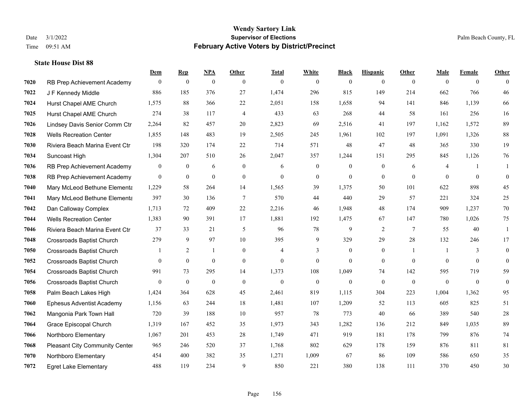|      |                                  | Dem          | <b>Rep</b>       | NPA              | <b>Other</b>   | <b>Total</b>   | <b>White</b>     | <b>Black</b>     | <b>Hispanic</b>  | <b>Other</b>   | <b>Male</b>  | Female         | <b>Other</b>     |
|------|----------------------------------|--------------|------------------|------------------|----------------|----------------|------------------|------------------|------------------|----------------|--------------|----------------|------------------|
| 7020 | RB Prep Achievement Academy      | $\mathbf{0}$ | $\mathbf{0}$     | $\boldsymbol{0}$ | $\theta$       | $\mathbf{0}$   | $\overline{0}$   | $\mathbf{0}$     | $\mathbf{0}$     | $\theta$       | $\theta$     | $\overline{0}$ | $\Omega$         |
| 7022 | J F Kennedy Middle               | 886          | 185              | 376              | 27             | 1,474          | 296              | 815              | 149              | 214            | 662          | 766            | 46               |
| 7024 | Hurst Chapel AME Church          | 1,575        | 88               | 366              | 22             | 2,051          | 158              | 1,658            | 94               | 141            | 846          | 1,139          | 66               |
| 7025 | Hurst Chapel AME Church          | 274          | 38               | 117              | $\overline{4}$ | 433            | 63               | 268              | 44               | 58             | 161          | 256            | 16               |
| 7026 | Lindsey Davis Senior Comm Ctr    | 2.264        | 82               | 457              | 20             | 2,823          | 69               | 2,516            | 41               | 197            | 1,162        | 1,572          | 89               |
| 7028 | <b>Wells Recreation Center</b>   | 1,855        | 148              | 483              | 19             | 2,505          | 245              | 1,961            | 102              | 197            | 1,091        | 1,326          | $88\,$           |
| 7030 | Riviera Beach Marina Event Ctr   | 198          | 320              | 174              | 22             | 714            | 571              | 48               | 47               | 48             | 365          | 330            | 19               |
| 7034 | Suncoast High                    | 1,304        | 207              | 510              | 26             | 2,047          | 357              | 1,244            | 151              | 295            | 845          | 1,126          | 76               |
| 7036 | RB Prep Achievement Academy      | $\mathbf{0}$ | $\boldsymbol{0}$ | 6                | $\mathbf{0}$   | 6              | $\mathbf{0}$     | $\boldsymbol{0}$ | $\boldsymbol{0}$ | 6              | 4            | -1             | 1                |
| 7038 | RB Prep Achievement Academy      | $\mathbf{0}$ | $\mathbf{0}$     | $\mathbf{0}$     | $\mathbf{0}$   | $\mathbf{0}$   | $\mathbf{0}$     | $\mathbf{0}$     | $\overline{0}$   | $\theta$       | $\theta$     | $\theta$       | $\mathbf{0}$     |
| 7040 | Mary McLeod Bethune Elementa     | 1,229        | 58               | 264              | 14             | 1,565          | 39               | 1,375            | 50               | 101            | 622          | 898            | 45               |
| 7041 | Mary McLeod Bethune Elementa     | 397          | 30               | 136              | $\tau$         | 570            | 44               | 440              | 29               | 57             | 221          | 324            | $25\,$           |
| 7042 | Dan Calloway Complex             | 1,713        | 72               | 409              | 22             | 2,216          | 46               | 1,948            | 48               | 174            | 909          | 1,237          | $70\,$           |
| 7044 | <b>Wells Recreation Center</b>   | 1,383        | 90               | 391              | 17             | 1,881          | 192              | 1,475            | 67               | 147            | 780          | 1,026          | 75               |
| 7046 | Riviera Beach Marina Event Ctr   | 37           | 33               | 21               | 5              | 96             | 78               | 9                | 2                | 7              | 55           | 40             | 1                |
| 7048 | <b>Crossroads Baptist Church</b> | 279          | 9                | 97               | 10             | 395            | 9                | 329              | 29               | 28             | 132          | 246            | 17               |
| 7050 | <b>Crossroads Baptist Church</b> |              | 2                | 1                | $\mathbf{0}$   | $\overline{4}$ | 3                | $\boldsymbol{0}$ | $\boldsymbol{0}$ | $\overline{1}$ | 1            | 3              | $\boldsymbol{0}$ |
| 7052 | <b>Crossroads Baptist Church</b> | $\theta$     | $\overline{0}$   | $\mathbf{0}$     | $\mathbf{0}$   | $\mathbf{0}$   | $\overline{0}$   | $\mathbf{0}$     | $\mathbf{0}$     | $\theta$       | $\theta$     | $\theta$       | $\mathbf{0}$     |
| 7054 | <b>Crossroads Baptist Church</b> | 991          | 73               | 295              | 14             | 1,373          | 108              | 1,049            | 74               | 142            | 595          | 719            | 59               |
| 7056 | <b>Crossroads Baptist Church</b> | $\mathbf{0}$ | $\boldsymbol{0}$ | $\mathbf{0}$     | $\mathbf{0}$   | $\theta$       | $\boldsymbol{0}$ | $\mathbf{0}$     | $\mathbf{0}$     | $\mathbf{0}$   | $\mathbf{0}$ | $\mathbf{0}$   | $\boldsymbol{0}$ |
| 7058 | Palm Beach Lakes High            | 1,424        | 364              | 628              | 45             | 2,461          | 819              | 1.115            | 304              | 223            | 1,004        | 1,362          | 95               |
| 7060 | <b>Ephesus Adventist Academy</b> | 1,156        | 63               | 244              | 18             | 1,481          | 107              | 1,209            | 52               | 113            | 605          | 825            | 51               |
| 7062 | Mangonia Park Town Hall          | 720          | 39               | 188              | 10             | 957            | 78               | 773              | 40               | 66             | 389          | 540            | $28\,$           |
| 7064 | Grace Episcopal Church           | 1,319        | 167              | 452              | 35             | 1,973          | 343              | 1,282            | 136              | 212            | 849          | 1,035          | 89               |
| 7066 | Northboro Elementary             | 1,067        | 201              | 453              | 28             | 1,749          | 471              | 919              | 181              | 178            | 799          | 876            | 74               |
| 7068 | Pleasant City Community Center   | 965          | 246              | 520              | 37             | 1,768          | 802              | 629              | 178              | 159            | 876          | 811            | 81               |
| 7070 | Northboro Elementary             | 454          | 400              | 382              | 35             | 1,271          | 1,009            | 67               | 86               | 109            | 586          | 650            | 35               |
| 7072 | <b>Egret Lake Elementary</b>     | 488          | 119              | 234              | 9              | 850            | 221              | 380              | 138              | 111            | 370          | 450            | 30               |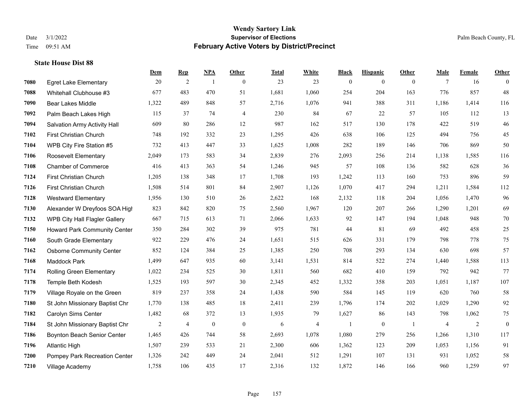|      |                                     | Dem   | <b>Rep</b>     | NPA              | <b>Other</b>   | <b>Total</b> | <b>White</b> | <b>Black</b>     | <b>Hispanic</b> | <b>Other</b>   | <b>Male</b>    | Female | <b>Other</b>     |
|------|-------------------------------------|-------|----------------|------------------|----------------|--------------|--------------|------------------|-----------------|----------------|----------------|--------|------------------|
| 7080 | <b>Egret Lake Elementary</b>        | 20    | 2              | $\overline{1}$   | $\overline{0}$ | 23           | 23           | $\boldsymbol{0}$ | $\mathbf{0}$    | $\overline{0}$ | 7              | 16     | $\theta$         |
| 7088 | Whitehall Clubhouse #3              | 677   | 483            | 470              | 51             | 1,681        | 1,060        | 254              | 204             | 163            | 776            | 857    | 48               |
| 7090 | <b>Bear Lakes Middle</b>            | 1,322 | 489            | 848              | 57             | 2,716        | 1,076        | 941              | 388             | 311            | 1,186          | 1,414  | 116              |
| 7092 | Palm Beach Lakes High               | 115   | 37             | 74               | $\overline{4}$ | 230          | 84           | 67               | 22              | 57             | 105            | 112    | 13               |
| 7094 | <b>Salvation Army Activity Hall</b> | 609   | 80             | 286              | 12             | 987          | 162          | 517              | 130             | 178            | 422            | 519    | $46\,$           |
| 7102 | First Christian Church              | 748   | 192            | 332              | 23             | 1,295        | 426          | 638              | 106             | 125            | 494            | 756    | 45               |
| 7104 | WPB City Fire Station #5            | 732   | 413            | 447              | 33             | 1,625        | 1,008        | 282              | 189             | 146            | 706            | 869    | 50               |
| 7106 | Roosevelt Elementary                | 2,049 | 173            | 583              | 34             | 2,839        | 276          | 2,093            | 256             | 214            | 1,138          | 1,585  | 116              |
| 7108 | <b>Chamber of Commerce</b>          | 416   | 413            | 363              | 54             | 1,246        | 945          | 57               | 108             | 136            | 582            | 628    | 36               |
| 7124 | First Christian Church              | 1,205 | 138            | 348              | 17             | 1,708        | 193          | 1,242            | 113             | 160            | 753            | 896    | 59               |
| 7126 | First Christian Church              | 1,508 | 514            | 801              | 84             | 2,907        | 1,126        | 1,070            | 417             | 294            | 1,211          | 1,584  | 112              |
| 7128 | <b>Westward Elementary</b>          | 1,956 | 130            | 510              | 26             | 2,622        | 168          | 2,132            | 118             | 204            | 1,056          | 1,470  | 96               |
| 7130 | Alexander W Dreyfoos SOA High       | 823   | 842            | 820              | 75             | 2,560        | 1,967        | 120              | 207             | 266            | 1,290          | 1,201  | 69               |
| 7132 | WPB City Hall Flagler Gallery       | 667   | 715            | 613              | 71             | 2,066        | 1,633        | 92               | 147             | 194            | 1,048          | 948    | $70\,$           |
| 7150 | Howard Park Community Center        | 350   | 284            | 302              | 39             | 975          | 781          | 44               | 81              | 69             | 492            | 458    | $25\,$           |
| 7160 | South Grade Elementary              | 922   | 229            | 476              | 24             | 1,651        | 515          | 626              | 331             | 179            | 798            | 778    | 75               |
| 7162 | <b>Osborne Community Center</b>     | 852   | 124            | 384              | 25             | 1,385        | 250          | 708              | 293             | 134            | 630            | 698    | 57               |
| 7168 | Maddock Park                        | 1,499 | 647            | 935              | 60             | 3,141        | 1,531        | 814              | 522             | 274            | 1,440          | 1,588  | 113              |
| 7174 | Rolling Green Elementary            | 1,022 | 234            | 525              | 30             | 1,811        | 560          | 682              | 410             | 159            | 792            | 942    | 77               |
| 7178 | Temple Beth Kodesh                  | 1,525 | 193            | 597              | 30             | 2,345        | 452          | 1,332            | 358             | 203            | 1,051          | 1,187  | 107              |
| 7179 | Village Royale on the Green         | 819   | 237            | 358              | 24             | 1,438        | 590          | 584              | 145             | 119            | 620            | 760    | 58               |
| 7180 | St John Missionary Baptist Chr      | 1,770 | 138            | 485              | 18             | 2,411        | 239          | 1,796            | 174             | 202            | 1,029          | 1,290  | 92               |
| 7182 | Carolyn Sims Center                 | 1,482 | 68             | 372              | 13             | 1,935        | 79           | 1,627            | 86              | 143            | 798            | 1,062  | $75\,$           |
| 7184 | St John Missionary Baptist Chr      | 2     | $\overline{4}$ | $\boldsymbol{0}$ | $\mathbf{0}$   | 6            | 4            | 1                | $\mathbf{0}$    | -1             | $\overline{4}$ | 2      | $\boldsymbol{0}$ |
| 7186 | Boynton Beach Senior Center         | 1,465 | 426            | 744              | 58             | 2,693        | 1,078        | 1,080            | 279             | 256            | 1.266          | 1,310  | 117              |
| 7196 | <b>Atlantic High</b>                | 1,507 | 239            | 533              | 21             | 2,300        | 606          | 1,362            | 123             | 209            | 1,053          | 1,156  | 91               |
| 7200 | Pompey Park Recreation Center       | 1,326 | 242            | 449              | 24             | 2,041        | 512          | 1,291            | 107             | 131            | 931            | 1,052  | 58               |
| 7210 | Village Academy                     | 1,758 | 106            | 435              | 17             | 2,316        | 132          | 1,872            | 146             | 166            | 960            | 1,259  | 97               |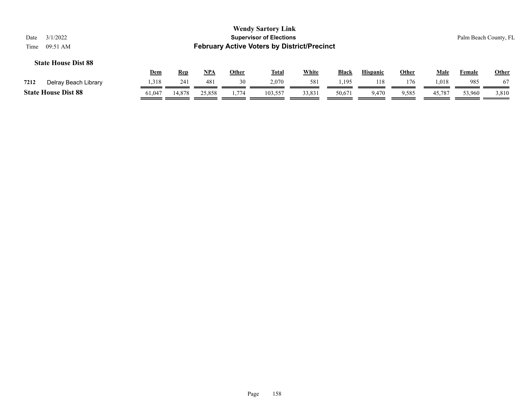|                            | <b>Wendy Sartory Link</b>                          |                       |
|----------------------------|----------------------------------------------------|-----------------------|
| Date 3/1/2022              | <b>Supervisor of Elections</b>                     | Palm Beach County, FL |
| Time $09:51 \text{ AM}$    | <b>February Active Voters by District/Precinct</b> |                       |
| <b>State House Dist 88</b> |                                                    |                       |

|      |                            | Dem    | Rep    | <b>NPA</b> | Other | <b>Total</b> | <b>White</b> | <b>Black</b> | <b>Hispanic</b> | Other | Male   | Female | <b>Other</b> |
|------|----------------------------|--------|--------|------------|-------|--------------|--------------|--------------|-----------------|-------|--------|--------|--------------|
| 7212 | Delray Beach Library       | 1.318  | 241    | 481        | 30    | 2,070        | 581          | 1.195        | 118             | '76   | .018   | 985    | $\sigma$     |
|      | <b>State House Dist 88</b> | 61,047 | 14.878 | 25,858     | 774   | 103,557      | 33,831       | 50,671       | 9.470           | 9,585 | 45,787 | 53,960 | 3,810        |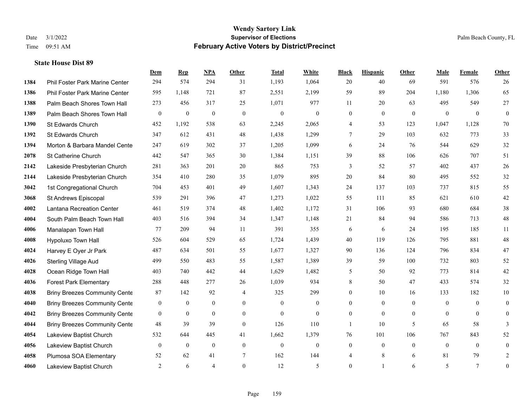**State House Dist 89**

#### **Wendy Sartory Link** Date 3/1/2022 **Supervisor of Elections** Palm Beach County, FL Time 09:51 AM **February Active Voters by District/Precinct**

# **Dem Rep NPA Other Total White Black Hispanic Other Male Female Other** Phil Foster Park Marine Center 294 574 294 31 1,193 1,064 20 40 69 591 576 26 Phil Foster Park Marine Center 595 1,148 721 87 2,551 2,199 59 89 204 1,180 1,306 65 Palm Beach Shores Town Hall 273 456 317 25 1,071 977 11 20 63 495 549 27 Palm Beach Shores Town Hall 0 0 0 0 0 0 0 0 0 0 0 0 St Edwards Church 452 1,192 538 63 2,245 2,065 4 53 123 1,047 1,128 70 St Edwards Church 347 612 431 48 1,438 1,299 7 29 103 632 773 33 Morton & Barbara Mandel Center 247 619 302 37 1,205 1,099 6 24 76 544 629 32 St Catherine Church 442 547 365 30 1,384 1,151 39 88 106 626 707 51 Lakeside Presbyterian Church 281 363 201 20 865 753 3 52 57 402 437 26 Lakeside Presbyterian Church 354 410 280 35 1,079 895 20 84 80 495 552 32 1st Congregational Church 704 453 401 49 1,607 1,343 24 137 103 737 815 55 St Andrews Episcopal 539 291 396 47 1,273 1,022 55 111 85 621 610 42 Lantana Recreation Center 461 519 374 48 1,402 1,172 31 106 93 680 684 38 South Palm Beach Town Hall 403 516 394 34 1,347 1,148 21 84 94 586 713 48 Manalapan Town Hall 77 209 94 11 391 355 6 6 24 195 185 11 Hypoluxo Town Hall 526 604 529 65 1,724 1,439 40 119 126 795 881 48 Harvey E Oyer Jr Park 487 634 501 55 1,677 1,327 90 136 124 796 834 47 Sterling Village Aud 499 550 483 55 1,587 1,389 39 59 100 732 803 52 Ocean Ridge Town Hall 403 740 442 44 1,629 1,482 5 50 92 773 814 42 Forest Park Elementary 288 448 277 26 1,039 934 8 50 47 433 574 32 Briny Breezes Community Cente 87 142 92 4 325 299 0 10 16 133 182 10 Briny Breezes Community Center 0 0 0 0 0 0 0 0 0 0 0 0 Briny Breezes Community Center 0 0 0 0 0 0 0 0 0 0 0 0 Briny Breezes Community Cente 48 39 39 0 126 110 1 10 5 65 58 3 Lakeview Baptist Church 532 644 445 41 1,662 1,379 76 101 106 767 843 52 Lakeview Baptist Church 0 0 0 0 0 0 0 0 0 0 0 0 Plumosa SOA Elementary 52 62 41 7 162 144 4 8 6 81 79 2 Lakeview Baptist Church 2 6 4 0 12 5 0 1 6 5 7 0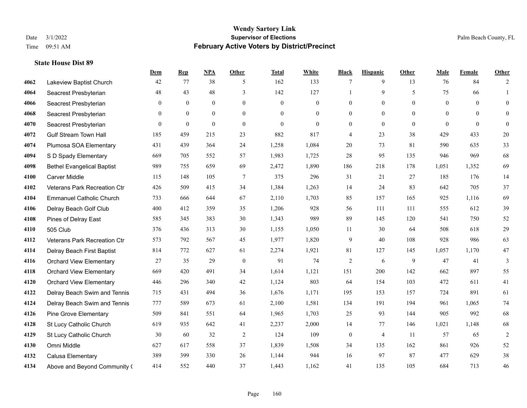|      |                                     | Dem            | <b>Rep</b>   | NPA          | <b>Other</b>   | <b>Total</b> | <b>White</b>     | <b>Black</b>     | <b>Hispanic</b> | <b>Other</b>   | <b>Male</b>    | Female   | <b>Other</b>   |
|------|-------------------------------------|----------------|--------------|--------------|----------------|--------------|------------------|------------------|-----------------|----------------|----------------|----------|----------------|
| 4062 | Lakeview Baptist Church             | 42             | 77           | 38           | 5              | 162          | 133              | 7                | 9               | 13             | 76             | 84       | 2              |
| 4064 | Seacrest Presbyterian               | 48             | 43           | 48           | $\overline{3}$ | 142          | 127              |                  | 9               | 5              | 75             | 66       | 1              |
| 4066 | Seacrest Presbyterian               | $\overline{0}$ | $\mathbf{0}$ | $\mathbf{0}$ | $\theta$       | $\mathbf{0}$ | $\boldsymbol{0}$ | $\mathbf{0}$     | $\mathbf{0}$    | $\theta$       | $\overline{0}$ | $\theta$ | $\mathbf{0}$   |
| 4068 | Seacrest Presbyterian               | $\mathbf{0}$   | $\mathbf{0}$ | $\mathbf{0}$ | $\overline{0}$ | $\mathbf{0}$ | $\mathbf{0}$     | $\mathbf{0}$     | $\mathbf{0}$    | $\overline{0}$ | $\mathbf{0}$   | $\theta$ | $\mathbf{0}$   |
| 4070 | Seacrest Presbyterian               | $\theta$       | $\mathbf{0}$ | $\theta$     | $\theta$       | $\theta$     | $\Omega$         | $\mathbf{0}$     | $\theta$        | $\theta$       | $\theta$       | $\theta$ | $\mathbf{0}$   |
| 4072 | <b>Gulf Stream Town Hall</b>        | 185            | 459          | 215          | 23             | 882          | 817              | 4                | 23              | 38             | 429            | 433      | $20\,$         |
| 4074 | Plumosa SOA Elementary              | 431            | 439          | 364          | 24             | 1,258        | 1,084            | 20               | 73              | 81             | 590            | 635      | 33             |
| 4094 | S D Spady Elementary                | 669            | 705          | 552          | 57             | 1,983        | 1,725            | 28               | 95              | 135            | 946            | 969      | 68             |
| 4098 | <b>Bethel Evangelical Baptist</b>   | 989            | 755          | 659          | 69             | 2,472        | 1,890            | 186              | 218             | 178            | 1,051          | 1,352    | 69             |
| 4100 | <b>Carver Middle</b>                | 115            | 148          | 105          | $\overline{7}$ | 375          | 296              | 31               | 21              | 27             | 185            | 176      | 14             |
| 4102 | <b>Veterans Park Recreation Ctr</b> | 426            | 509          | 415          | 34             | 1,384        | 1,263            | 14               | 24              | 83             | 642            | 705      | 37             |
| 4104 | <b>Emmanuel Catholic Church</b>     | 733            | 666          | 644          | 67             | 2,110        | 1,703            | 85               | 157             | 165            | 925            | 1,116    | 69             |
| 4106 | Delray Beach Golf Club              | 400            | 412          | 359          | 35             | 1,206        | 928              | 56               | 111             | 111            | 555            | 612      | 39             |
| 4108 | Pines of Delray East                | 585            | 345          | 383          | 30             | 1,343        | 989              | 89               | 145             | 120            | 541            | 750      | $52\,$         |
| 4110 | 505 Club                            | 376            | 436          | 313          | 30             | 1,155        | 1,050            | 11               | 30              | 64             | 508            | 618      | $29\,$         |
| 4112 | Veterans Park Recreation Ctr        | 573            | 792          | 567          | 45             | 1,977        | 1,820            | 9                | 40              | 108            | 928            | 986      | 63             |
| 4114 | Delray Beach First Baptist          | 814            | 772          | 627          | 61             | 2,274        | 1,921            | $81\,$           | 127             | 145            | 1,057          | 1,170    | $47\,$         |
| 4116 | <b>Orchard View Elementary</b>      | 27             | 35           | 29           | $\theta$       | 91           | 74               | 2                | 6               | 9              | 47             | 41       | 3              |
| 4118 | <b>Orchard View Elementary</b>      | 669            | 420          | 491          | 34             | 1,614        | 1,121            | 151              | 200             | 142            | 662            | 897      | 55             |
| 4120 | <b>Orchard View Elementary</b>      | 446            | 296          | 340          | 42             | 1,124        | 803              | 64               | 154             | 103            | 472            | 611      | 41             |
| 4122 | Delray Beach Swim and Tennis        | 715            | 431          | 494          | 36             | 1,676        | 1,171            | 195              | 153             | 157            | 724            | 891      | 61             |
| 4124 | Delray Beach Swim and Tennis        | 777            | 589          | 673          | 61             | 2,100        | 1,581            | 134              | 191             | 194            | 961            | 1,065    | $74\,$         |
| 4126 | <b>Pine Grove Elementary</b>        | 509            | 841          | 551          | 64             | 1,965        | 1,703            | 25               | 93              | 144            | 905            | 992      | 68             |
| 4128 | St Lucy Catholic Church             | 619            | 935          | 642          | 41             | 2,237        | 2,000            | 14               | 77              | 146            | 1,021          | 1,148    | 68             |
| 4129 | St Lucy Catholic Church             | 30             | 60           | 32           | 2              | 124          | 109              | $\boldsymbol{0}$ | $\overline{4}$  | <b>11</b>      | 57             | 65       | $\overline{2}$ |
| 4130 | Omni Middle                         | 627            | 617          | 558          | 37             | 1,839        | 1,508            | 34               | 135             | 162            | 861            | 926      | $52\,$         |
| 4132 | Calusa Elementary                   | 389            | 399          | 330          | 26             | 1,144        | 944              | 16               | 97              | 87             | 477            | 629      | 38             |
| 4134 | Above and Beyond Community (        | 414            | 552          | 440          | 37             | 1,443        | 1,162            | 41               | 135             | 105            | 684            | 713      | 46             |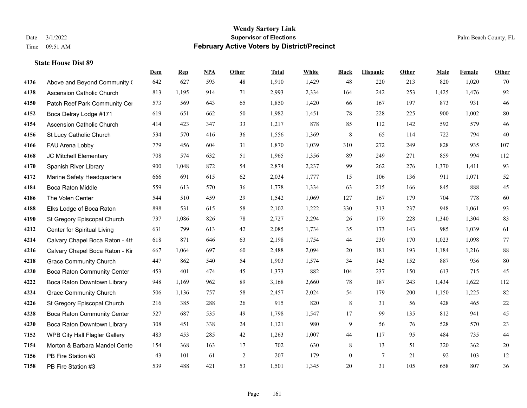|      |                                  | Dem | <b>Rep</b> | NPA | <b>Other</b> | <b>Total</b> | <b>White</b> | <b>Black</b>     | <b>Hispanic</b> | <b>Other</b> | <b>Male</b> | <b>Female</b> | <b>Other</b> |
|------|----------------------------------|-----|------------|-----|--------------|--------------|--------------|------------------|-----------------|--------------|-------------|---------------|--------------|
| 4136 | Above and Beyond Community (     | 642 | 627        | 593 | 48           | 1,910        | 1,429        | 48               | 220             | 213          | 820         | 1,020         | 70           |
| 4138 | <b>Ascension Catholic Church</b> | 813 | 1,195      | 914 | 71           | 2,993        | 2,334        | 164              | 242             | 253          | 1,425       | 1,476         | 92           |
| 4150 | Patch Reef Park Community Cer    | 573 | 569        | 643 | 65           | 1,850        | 1,420        | 66               | 167             | 197          | 873         | 931           | $46\,$       |
| 4152 | Boca Delray Lodge #171           | 619 | 651        | 662 | 50           | 1,982        | 1,451        | 78               | 228             | 225          | 900         | 1,002         | 80           |
| 4154 | Ascension Catholic Church        | 414 | 423        | 347 | 33           | 1,217        | 878          | 85               | 112             | 142          | 592         | 579           | $46\,$       |
| 4156 | St Lucy Catholic Church          | 534 | 570        | 416 | 36           | 1,556        | 1,369        | 8                | 65              | 114          | 722         | 794           | 40           |
| 4166 | FAU Arena Lobby                  | 779 | 456        | 604 | 31           | 1,870        | 1,039        | 310              | 272             | 249          | 828         | 935           | 107          |
| 4168 | JC Mitchell Elementary           | 708 | 574        | 632 | 51           | 1,965        | 1,356        | 89               | 249             | 271          | 859         | 994           | 112          |
| 4170 | Spanish River Library            | 900 | 1,048      | 872 | 54           | 2,874        | 2,237        | 99               | 262             | 276          | 1,370       | 1,411         | 93           |
| 4172 | Marine Safety Headquarters       | 666 | 691        | 615 | 62           | 2,034        | 1,777        | 15               | 106             | 136          | 911         | 1,071         | 52           |
| 4184 | Boca Raton Middle                | 559 | 613        | 570 | 36           | 1,778        | 1,334        | 63               | 215             | 166          | 845         | 888           | $45\,$       |
| 4186 | The Volen Center                 | 544 | 510        | 459 | 29           | 1,542        | 1,069        | 127              | 167             | 179          | 704         | 778           | 60           |
| 4188 | Elks Lodge of Boca Raton         | 898 | 531        | 615 | 58           | 2,102        | 1,222        | 330              | 313             | 237          | 948         | 1,061         | 93           |
| 4190 | St Gregory Episcopal Church      | 737 | 1,086      | 826 | 78           | 2,727        | 2,294        | 26               | 179             | 228          | 1,340       | 1,304         | 83           |
| 4212 | Center for Spiritual Living      | 631 | 799        | 613 | 42           | 2,085        | 1,734        | 35               | 173             | 143          | 985         | 1,039         | 61           |
| 4214 | Calvary Chapel Boca Raton - 4th  | 618 | 871        | 646 | 63           | 2,198        | 1,754        | 44               | 230             | 170          | 1,023       | 1,098         | 77           |
| 4216 | Calvary Chapel Boca Raton - Kir  | 667 | 1,064      | 697 | 60           | 2,488        | 2,094        | $20\,$           | 181             | 193          | 1,184       | 1,216         | $88\,$       |
| 4218 | <b>Grace Community Church</b>    | 447 | 862        | 540 | 54           | 1,903        | 1,574        | 34               | 143             | 152          | 887         | 936           | $80\,$       |
| 4220 | Boca Raton Community Center      | 453 | 401        | 474 | 45           | 1,373        | 882          | 104              | 237             | 150          | 613         | 715           | 45           |
| 4222 | Boca Raton Downtown Library      | 948 | 1,169      | 962 | 89           | 3,168        | 2,660        | 78               | 187             | 243          | 1,434       | 1,622         | 112          |
| 4224 | <b>Grace Community Church</b>    | 506 | 1,136      | 757 | 58           | 2,457        | 2,024        | 54               | 179             | 200          | 1,150       | 1,225         | 82           |
| 4226 | St Gregory Episcopal Church      | 216 | 385        | 288 | 26           | 915          | 820          | $\,$ 8 $\,$      | 31              | 56           | 428         | 465           | $22\,$       |
| 4228 | Boca Raton Community Center      | 527 | 687        | 535 | 49           | 1,798        | 1,547        | 17               | 99              | 135          | 812         | 941           | 45           |
| 4230 | Boca Raton Downtown Library      | 308 | 451        | 338 | 24           | 1,121        | 980          | 9                | 56              | 76           | 528         | 570           | 23           |
| 7152 | WPB City Hall Flagler Gallery    | 483 | 453        | 285 | 42           | 1,263        | 1,007        | 44               | 117             | 95           | 484         | 735           | $44\,$       |
| 7154 | Morton & Barbara Mandel Cente    | 154 | 368        | 163 | 17           | 702          | 630          | 8                | 13              | 51           | 320         | 362           | $20\,$       |
| 7156 | PB Fire Station #3               | 43  | 101        | 61  | $\sqrt{2}$   | 207          | 179          | $\boldsymbol{0}$ | $\overline{7}$  | 21           | 92          | 103           | $12\,$       |
| 7158 | PB Fire Station #3               | 539 | 488        | 421 | 53           | 1,501        | 1,345        | 20               | 31              | 105          | 658         | 807           | 36           |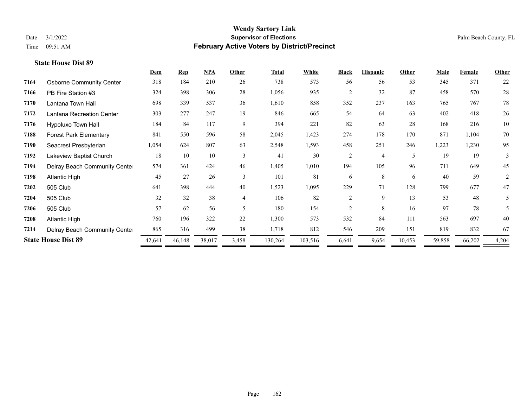**State House Dist 89**

## **Wendy Sartory Link** Date 3/1/2022 **Supervisor of Elections** Palm Beach County, FL Time 09:51 AM **February Active Voters by District/Precinct**

|      |                                  | <b>Dem</b> | <b>Rep</b> | $NPA$  | Other                    | <b>Total</b> | White   | <b>Black</b>   | <b>Hispanic</b> | Other  | <b>Male</b> | Female | Other          |
|------|----------------------------------|------------|------------|--------|--------------------------|--------------|---------|----------------|-----------------|--------|-------------|--------|----------------|
| 7164 | <b>Osborne Community Center</b>  | 318        | 184        | 210    | 26                       | 738          | 573     | 56             | 56              | 53     | 345         | 371    | 22             |
| 7166 | PB Fire Station #3               | 324        | 398        | 306    | 28                       | 1,056        | 935     |                | 32              | 87     | 458         | 570    | 28             |
| 7170 | Lantana Town Hall                | 698        | 339        | 537    | 36                       | 1,610        | 858     | 352            | 237             | 163    | 765         | 767    | 78             |
| 7172 | <b>Lantana Recreation Center</b> | 303        | 277        | 247    | 19                       | 846          | 665     | 54             | 64              | 63     | 402         | 418    | $26\,$         |
| 7176 | Hypoluxo Town Hall               | 184        | 84         | 117    | 9                        | 394          | 221     | 82             | 63              | 28     | 168         | 216    | 10             |
| 7188 | <b>Forest Park Elementary</b>    | 841        | 550        | 596    | 58                       | 2,045        | 1,423   | 274            | 178             | 170    | 871         | 1,104  | $70\,$         |
| 7190 | Seacrest Presbyterian            | 1,054      | 624        | 807    | 63                       | 2,548        | 1,593   | 458            | 251             | 246    | 1,223       | 1,230  | 95             |
| 7192 | Lakeview Baptist Church          | 18         | 10         | 10     | 3                        | 41           | 30      | $\overline{2}$ | 4               | 5      | 19          | 19     | 3              |
| 7194 | Delray Beach Community Cente     | 574        | 361        | 424    | 46                       | 1,405        | 1,010   | 194            | 105             | 96     | 711         | 649    | 45             |
| 7198 | Atlantic High                    | 45         | 27         | 26     | 3                        | 101          | 81      | 6              | 8               | 6      | 40          | 59     | $\overline{2}$ |
| 7202 | 505 Club                         | 641        | 398        | 444    | 40                       | 1,523        | 1,095   | 229            | 71              | 128    | 799         | 677    | 47             |
| 7204 | 505 Club                         | 32         | 32         | 38     | $\overline{4}$           | 106          | 82      | 2              | 9               | 13     | 53          | 48     | 5              |
| 7206 | 505 Club                         | 57         | 62         | 56     | $\overline{\phantom{0}}$ | 180          | 154     | $\overline{c}$ | 8               | 16     | 97          | 78     | 5              |
| 7208 | Atlantic High                    | 760        | 196        | 322    | 22                       | 1,300        | 573     | 532            | 84              | 111    | 563         | 697    | 40             |
| 7214 | Delray Beach Community Cente     | 865        | 316        | 499    | 38                       | 1,718        | 812     | 546            | 209             | 151    | 819         | 832    | 67             |
|      | <b>State House Dist 89</b>       | 42,641     | 46,148     | 38,017 | 3,458                    | 130,264      | 103,516 | 6,641          | 9,654           | 10,453 | 59,858      | 66,202 | 4,204          |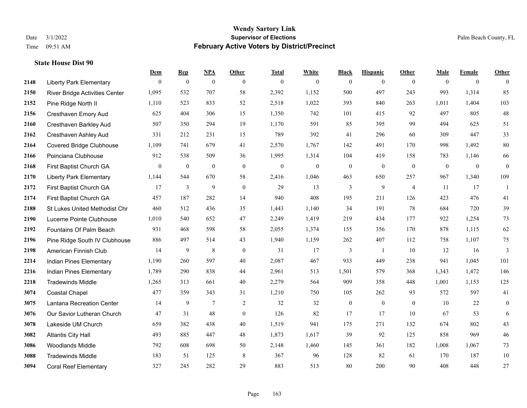|      |                                 | Dem          | <b>Rep</b>       | NPA              | <b>Other</b>     | <b>Total</b>     | <b>White</b>   | <b>Black</b>     | <b>Hispanic</b>  | <b>Other</b>   | <b>Male</b>  | <b>Female</b>  | <b>Other</b>     |
|------|---------------------------------|--------------|------------------|------------------|------------------|------------------|----------------|------------------|------------------|----------------|--------------|----------------|------------------|
| 2148 | <b>Liberty Park Elementary</b>  | $\mathbf{0}$ | $\boldsymbol{0}$ | $\boldsymbol{0}$ | $\overline{0}$   | $\mathbf{0}$     | $\overline{0}$ | $\mathbf{0}$     | $\mathbf{0}$     | $\overline{0}$ | $\mathbf{0}$ | $\overline{0}$ | $\theta$         |
| 2150 | River Bridge Activities Center  | 1,095        | 532              | 707              | 58               | 2,392            | 1,152          | 500              | 497              | 243            | 993          | 1,314          | 85               |
| 2152 | Pine Ridge North II             | 1,110        | 523              | 833              | 52               | 2,518            | 1,022          | 393              | 840              | 263            | 1,011        | 1,404          | 103              |
| 2156 | Cresthaven Emory Aud            | 625          | 404              | 306              | 15               | 1,350            | 742            | 101              | 415              | 92             | 497          | 805            | 48               |
| 2160 | Cresthaven Barkley Aud          | 507          | 350              | 294              | 19               | 1,170            | 591            | 85               | 395              | 99             | 494          | 625            | 51               |
| 2162 | Cresthaven Ashley Aud           | 331          | 212              | 231              | 15               | 789              | 392            | 41               | 296              | 60             | 309          | 447            | 33               |
| 2164 | <b>Covered Bridge Clubhouse</b> | 1,109        | 741              | 679              | 41               | 2,570            | 1,767          | 142              | 491              | 170            | 998          | 1,492          | $80\,$           |
| 2166 | Poinciana Clubhouse             | 912          | 538              | 509              | 36               | 1,995            | 1,314          | 104              | 419              | 158            | 783          | 1,146          | 66               |
| 2168 | First Baptist Church GA         | $\mathbf{0}$ | $\boldsymbol{0}$ | $\boldsymbol{0}$ | $\boldsymbol{0}$ | $\boldsymbol{0}$ | $\mathbf{0}$   | $\boldsymbol{0}$ | $\boldsymbol{0}$ | $\mathbf{0}$   | $\mathbf{0}$ | $\mathbf{0}$   | $\boldsymbol{0}$ |
| 2170 | <b>Liberty Park Elementary</b>  | 1,144        | 544              | 670              | 58               | 2,416            | 1,046          | 463              | 650              | 257            | 967          | 1,340          | 109              |
| 2172 | First Baptist Church GA         | 17           | 3                | 9                | $\theta$         | 29               | 13             | 3                | 9                | $\overline{4}$ | 11           | 17             | $\mathbf{1}$     |
| 2174 | First Baptist Church GA         | 457          | 187              | 282              | 14               | 940              | 408            | 195              | 211              | 126            | 423          | 476            | 41               |
| 2188 | St Lukes United Methodist Chr   | 460          | 512              | 436              | 35               | 1,443            | 1,140          | 34               | 191              | 78             | 684          | 720            | 39               |
| 2190 | Lucerne Pointe Clubhouse        | 1,010        | 540              | 652              | 47               | 2,249            | 1,419          | 219              | 434              | 177            | 922          | 1,254          | 73               |
| 2192 | Fountains Of Palm Beach         | 931          | 468              | 598              | 58               | 2,055            | 1,374          | 155              | 356              | 170            | 878          | 1,115          | 62               |
| 2196 | Pine Ridge South IV Clubhouse   | 886          | 497              | 514              | 43               | 1,940            | 1,159          | 262              | 407              | 112            | 758          | 1,107          | 75               |
| 2198 | American Finnish Club           | 14           | 9                | 8                | $\boldsymbol{0}$ | 31               | 17             | 3                | 1                | 10             | 12           | 16             | $\mathfrak{Z}$   |
| 2214 | Indian Pines Elementary         | 1,190        | 260              | 597              | 40               | 2,087            | 467            | 933              | 449              | 238            | 941          | 1,045          | 101              |
| 2216 | Indian Pines Elementary         | 1,789        | 290              | 838              | 44               | 2,961            | 513            | 1,501            | 579              | 368            | 1,343        | 1,472          | 146              |
| 2218 | <b>Tradewinds Middle</b>        | 1,265        | 313              | 661              | 40               | 2,279            | 564            | 909              | 358              | 448            | 1,001        | 1,153          | 125              |
| 3074 | <b>Coastal Chapel</b>           | 477          | 359              | 343              | 31               | 1,210            | 750            | 105              | 262              | 93             | 572          | 597            | 41               |
| 3075 | Lantana Recreation Center       | 14           | 9                | $\tau$           | 2                | 32               | 32             | $\boldsymbol{0}$ | $\mathbf{0}$     | $\mathbf{0}$   | 10           | 22             | $\boldsymbol{0}$ |
| 3076 | Our Savior Lutheran Church      | 47           | 31               | 48               | $\overline{0}$   | 126              | 82             | 17               | 17               | 10             | 67           | 53             | 6                |
| 3078 | Lakeside UM Church              | 659          | 382              | 438              | 40               | 1,519            | 941            | 175              | 271              | 132            | 674          | 802            | 43               |
| 3082 | <b>Atlantis City Hall</b>       | 493          | 885              | 447              | 48               | 1,873            | 1,617          | 39               | 92               | 125            | 858          | 969            | 46               |
| 3086 | <b>Woodlands Middle</b>         | 792          | 608              | 698              | 50               | 2,148            | 1,460          | 145              | 361              | 182            | 1,008        | 1,067          | 73               |
| 3088 | <b>Tradewinds Middle</b>        | 183          | 51               | 125              | 8                | 367              | 96             | 128              | 82               | 61             | 170          | 187            | $10\,$           |
| 3094 | <b>Coral Reef Elementary</b>    | 327          | 245              | 282              | 29               | 883              | 513            | 80               | 200              | 90             | 408          | 448            | 27               |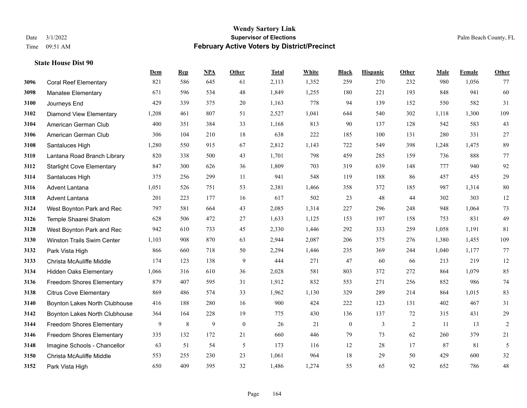|      |                                   | Dem   | <b>Rep</b> | NPA | <b>Other</b>     | <b>Total</b> | White | <b>Black</b>     | <b>Hispanic</b> | Other | <b>Male</b> | Female | <b>Other</b>   |
|------|-----------------------------------|-------|------------|-----|------------------|--------------|-------|------------------|-----------------|-------|-------------|--------|----------------|
| 3096 | <b>Coral Reef Elementary</b>      | 821   | 586        | 645 | 61               | 2,113        | 1,352 | 259              | 270             | 232   | 980         | 1,056  | 77             |
| 3098 | <b>Manatee Elementary</b>         | 671   | 596        | 534 | 48               | 1,849        | 1,255 | 180              | 221             | 193   | 848         | 941    | 60             |
| 3100 | Journeys End                      | 429   | 339        | 375 | 20               | 1,163        | 778   | 94               | 139             | 152   | 550         | 582    | 31             |
| 3102 | <b>Diamond View Elementary</b>    | 1,208 | 461        | 807 | 51               | 2,527        | 1,041 | 644              | 540             | 302   | 1,118       | 1,300  | 109            |
| 3104 | American German Club              | 400   | 351        | 384 | 33               | 1,168        | 813   | 90               | 137             | 128   | 542         | 583    | 43             |
| 3106 | American German Club              | 306   | 104        | 210 | 18               | 638          | 222   | 185              | 100             | 131   | 280         | 331    | $27\,$         |
| 3108 | Santaluces High                   | 1,280 | 550        | 915 | 67               | 2,812        | 1,143 | 722              | 549             | 398   | 1,248       | 1,475  | 89             |
| 3110 | Lantana Road Branch Library       | 820   | 338        | 500 | 43               | 1,701        | 798   | 459              | 285             | 159   | 736         | 888    | 77             |
| 3112 | <b>Starlight Cove Elementary</b>  | 847   | 300        | 626 | 36               | 1,809        | 703   | 319              | 639             | 148   | 777         | 940    | 92             |
| 3114 | Santaluces High                   | 375   | 256        | 299 | 11               | 941          | 548   | 119              | 188             | 86    | 457         | 455    | $29\,$         |
| 3116 | Advent Lantana                    | 1,051 | 526        | 751 | 53               | 2,381        | 1,466 | 358              | 372             | 185   | 987         | 1,314  | 80             |
| 3118 | Advent Lantana                    | 201   | 223        | 177 | 16               | 617          | 502   | 23               | 48              | 44    | 302         | 303    | 12             |
| 3124 | West Boynton Park and Rec         | 797   | 581        | 664 | 43               | 2,085        | 1,314 | 227              | 296             | 248   | 948         | 1,064  | 73             |
| 3126 | Temple Shaarei Shalom             | 628   | 506        | 472 | 27               | 1,633        | 1,125 | 153              | 197             | 158   | 753         | 831    | 49             |
| 3128 | West Boynton Park and Rec         | 942   | 610        | 733 | 45               | 2,330        | 1,446 | 292              | 333             | 259   | 1,058       | 1,191  | 81             |
| 3130 | <b>Winston Trails Swim Center</b> | 1,103 | 908        | 870 | 63               | 2,944        | 2,087 | 206              | 375             | 276   | 1,380       | 1,455  | 109            |
| 3132 | Park Vista High                   | 866   | 660        | 718 | 50               | 2,294        | 1,446 | 235              | 369             | 244   | 1,040       | 1,177  | 77             |
| 3133 | Christa McAuliffe Middle          | 174   | 123        | 138 | 9                | 444          | 271   | 47               | 60              | 66    | 213         | 219    | 12             |
| 3134 | <b>Hidden Oaks Elementary</b>     | 1,066 | 316        | 610 | 36               | 2,028        | 581   | 803              | 372             | 272   | 864         | 1,079  | 85             |
| 3136 | <b>Freedom Shores Elementary</b>  | 879   | 407        | 595 | 31               | 1,912        | 832   | 553              | 271             | 256   | 852         | 986    | 74             |
| 3138 | <b>Citrus Cove Elementary</b>     | 869   | 486        | 574 | 33               | 1,962        | 1,130 | 329              | 289             | 214   | 864         | 1.015  | 83             |
| 3140 | Boynton Lakes North Clubhouse     | 416   | 188        | 280 | 16               | 900          | 424   | 222              | 123             | 131   | 402         | 467    | 31             |
| 3142 | Boynton Lakes North Clubhouse     | 364   | 164        | 228 | 19               | 775          | 430   | 136              | 137             | 72    | 315         | 431    | 29             |
| 3144 | Freedom Shores Elementary         | 9     | $\,8\,$    | 9   | $\boldsymbol{0}$ | 26           | 21    | $\boldsymbol{0}$ | 3               | 2     | 11          | 13     | $\overline{c}$ |
| 3146 | <b>Freedom Shores Elementary</b>  | 335   | 132        | 172 | 21               | 660          | 446   | 79               | 73              | 62    | 260         | 379    | 21             |
| 3148 | Imagine Schools - Chancellor      | 63    | 51         | 54  | 5                | 173          | 116   | 12               | 28              | 17    | 87          | 81     | 5              |
| 3150 | Christa McAuliffe Middle          | 553   | 255        | 230 | 23               | 1,061        | 964   | 18               | 29              | 50    | 429         | 600    | $32\,$         |
| 3152 | Park Vista High                   | 650   | 409        | 395 | 32               | 1,486        | 1,274 | 55               | 65              | 92    | 652         | 786    | $48\,$         |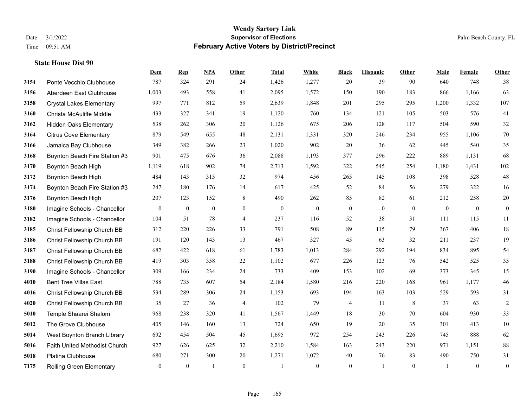|      |                                 | Dem          | <b>Rep</b>       | <b>NPA</b>     | Other          | <b>Total</b> | White          | <b>Black</b>     | <b>Hispanic</b> | Other    | Male         | Female       | Other            |
|------|---------------------------------|--------------|------------------|----------------|----------------|--------------|----------------|------------------|-----------------|----------|--------------|--------------|------------------|
| 3154 | Ponte Vecchio Clubhouse         | 787          | 324              | 291            | 24             | 1,426        | 1,277          | 20               | 39              | 90       | 640          | 748          | 38               |
| 3156 | Aberdeen East Clubhouse         | 1,003        | 493              | 558            | 41             | 2,095        | 1,572          | 150              | 190             | 183      | 866          | 1,166        | 63               |
| 3158 | <b>Crystal Lakes Elementary</b> | 997          | 771              | 812            | 59             | 2,639        | 1,848          | 201              | 295             | 295      | 1,200        | 1,332        | 107              |
| 3160 | Christa McAuliffe Middle        | 433          | 327              | 341            | 19             | 1,120        | 760            | 134              | 121             | 105      | 503          | 576          | 41               |
| 3162 | <b>Hidden Oaks Elementary</b>   | 538          | 262              | 306            | 20             | 1,126        | 675            | 206              | 128             | 117      | 504          | 590          | 32               |
| 3164 | <b>Citrus Cove Elementary</b>   | 879          | 549              | 655            | 48             | 2,131        | 1,331          | 320              | 246             | 234      | 955          | 1,106        | $70\,$           |
| 3166 | Jamaica Bay Clubhouse           | 349          | 382              | 266            | 23             | 1,020        | 902            | 20               | 36              | 62       | 445          | 540          | 35               |
| 3168 | Boynton Beach Fire Station #3   | 901          | 475              | 676            | 36             | 2,088        | 1,193          | 377              | 296             | 222      | 889          | 1,131        | 68               |
| 3170 | Boynton Beach High              | 1,119        | 618              | 902            | 74             | 2,713        | 1,592          | 322              | 545             | 254      | 1,180        | 1,431        | 102              |
| 3172 | Boynton Beach High              | 484          | 143              | 315            | 32             | 974          | 456            | 265              | 145             | 108      | 398          | 528          | 48               |
| 3174 | Boynton Beach Fire Station #3   | 247          | 180              | 176            | 14             | 617          | 425            | 52               | 84              | 56       | 279          | 322          | 16               |
| 3176 | Boynton Beach High              | 207          | 123              | 152            | $\,8\,$        | 490          | 262            | 85               | $82\,$          | 61       | 212          | 258          | $20\,$           |
| 3180 | Imagine Schools - Chancellor    | $\mathbf{0}$ | $\mathbf{0}$     | $\mathbf{0}$   | $\overline{0}$ | $\mathbf{0}$ | $\overline{0}$ | $\boldsymbol{0}$ | $\mathbf{0}$    | $\theta$ | $\mathbf{0}$ | $\mathbf{0}$ | $\boldsymbol{0}$ |
| 3182 | Imagine Schools - Chancellor    | 104          | 51               | 78             | $\overline{4}$ | 237          | 116            | 52               | 38              | 31       | 111          | 115          | 11               |
| 3185 | Christ Fellowship Church BB     | 312          | 220              | 226            | 33             | 791          | 508            | 89               | 115             | 79       | 367          | 406          | 18               |
| 3186 | Christ Fellowship Church BB     | 191          | 120              | 143            | 13             | 467          | 327            | 45               | 63              | 32       | 211          | 237          | 19               |
| 3187 | Christ Fellowship Church BB     | 682          | 422              | 618            | 61             | 1,783        | 1,013          | 284              | 292             | 194      | 834          | 895          | 54               |
| 3188 | Christ Fellowship Church BB     | 419          | 303              | 358            | 22             | 1,102        | 677            | 226              | 123             | 76       | 542          | 525          | 35               |
| 3190 | Imagine Schools - Chancellor    | 309          | 166              | 234            | 24             | 733          | 409            | 153              | 102             | 69       | 373          | 345          | 15               |
| 4010 | <b>Bent Tree Villas East</b>    | 788          | 735              | 607            | 54             | 2,184        | 1,580          | 216              | 220             | 168      | 961          | 1,177        | $46\,$           |
| 4016 | Christ Fellowship Church BB     | 534          | 289              | 306            | 24             | 1,153        | 693            | 194              | 163             | 103      | 529          | 593          | 31               |
| 4020 | Christ Fellowship Church BB     | 35           | 27               | 36             | $\overline{4}$ | 102          | 79             | 4                | 11              | 8        | 37           | 63           | $\sqrt{2}$       |
| 5010 | Temple Shaarei Shalom           | 968          | 238              | 320            | 41             | 1,567        | 1,449          | 18               | 30              | 70       | 604          | 930          | 33               |
| 5012 | The Grove Clubhouse             | 405          | 146              | 160            | 13             | 724          | 650            | 19               | 20              | 35       | 301          | 413          | $10\,$           |
| 5014 | West Boynton Branch Library     | 692          | 454              | 504            | 45             | 1,695        | 972            | 254              | 243             | 226      | 745          | 888          | 62               |
| 5016 | Faith United Methodist Church   | 927          | 626              | 625            | 32             | 2,210        | 1,584          | 163              | 243             | 220      | 971          | 1,151        | $88\,$           |
| 5018 | Platina Clubhouse               | 680          | 271              | 300            | 20             | 1,271        | 1,072          | 40               | 76              | 83       | 490          | 750          | 31               |
| 7175 | <b>Rolling Green Elementary</b> | $\mathbf{0}$ | $\boldsymbol{0}$ | $\overline{1}$ | $\theta$       |              | $\overline{0}$ | $\boldsymbol{0}$ | $\mathbf{1}$    | $\theta$ |              | $\mathbf{0}$ | $\boldsymbol{0}$ |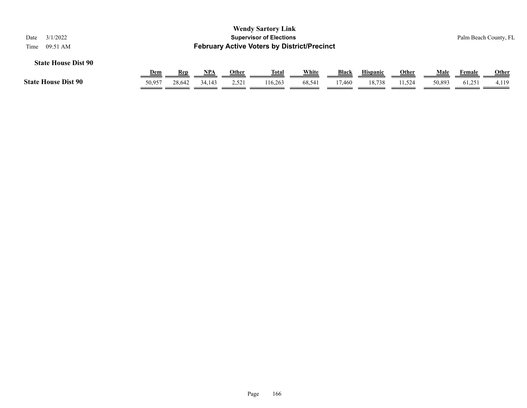| 3/1/2022<br>Date<br>09:51 AM<br>Time |                      |                      |                      |                       | <b>Wendy Sartory Link</b><br><b>Supervisor of Elections</b><br><b>February Active Voters by District/Precinct</b> |                        |                        |                           |                       |                       |                  | Palm Beach County, FL |
|--------------------------------------|----------------------|----------------------|----------------------|-----------------------|-------------------------------------------------------------------------------------------------------------------|------------------------|------------------------|---------------------------|-----------------------|-----------------------|------------------|-----------------------|
| <b>State House Dist 90</b>           |                      |                      |                      |                       |                                                                                                                   |                        |                        |                           |                       |                       |                  |                       |
| <b>State House Dist 90</b>           | <u>Dem</u><br>50,957 | <u>Rep</u><br>28,642 | <u>NPA</u><br>34.143 | <b>Other</b><br>2,521 | <u>Total</u><br>116.263                                                                                           | <b>White</b><br>68,541 | <b>Black</b><br>17.460 | <b>Hispanic</b><br>18,738 | <u>Other</u><br>1,524 | <u>Male</u><br>50,893 | Female<br>61,251 | <b>Other</b><br>4,119 |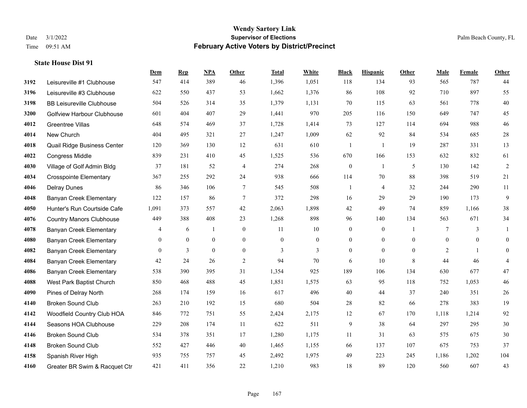|      |                                   | Dem      | <b>Rep</b>   | NPA          | <b>Other</b>   | <b>Total</b>   | White        | <b>Black</b>     | <b>Hispanic</b> | <b>Other</b>   | <b>Male</b>    | <b>Female</b> | <b>Other</b>   |
|------|-----------------------------------|----------|--------------|--------------|----------------|----------------|--------------|------------------|-----------------|----------------|----------------|---------------|----------------|
| 3192 | Leisureville #1 Clubhouse         | 547      | 414          | 389          | 46             | 1,396          | 1,051        | 118              | 134             | 93             | 565            | 787           | 44             |
| 3196 | Leisureville #3 Clubhouse         | 622      | 550          | 437          | 53             | 1,662          | 1,376        | 86               | 108             | 92             | 710            | 897           | 55             |
| 3198 | <b>BB Leisureville Clubhouse</b>  | 504      | 526          | 314          | 35             | 1,379          | 1,131        | 70               | 115             | 63             | 561            | 778           | 40             |
| 3200 | <b>Golfview Harbour Clubhouse</b> | 601      | 404          | 407          | 29             | 1,441          | 970          | 205              | 116             | 150            | 649            | 747           | 45             |
| 4012 | <b>Greentree Villas</b>           | 648      | 574          | 469          | 37             | 1,728          | 1,414        | 73               | 127             | 114            | 694            | 988           | $46\,$         |
| 4014 | New Church                        | 404      | 495          | 321          | 27             | 1,247          | 1,009        | 62               | 92              | 84             | 534            | 685           | $28\,$         |
| 4018 | Quail Ridge Business Center       | 120      | 369          | 130          | 12             | 631            | 610          | $\mathbf{1}$     | $\mathbf{1}$    | 19             | 287            | 331           | 13             |
| 4022 | <b>Congress Middle</b>            | 839      | 231          | 410          | 45             | 1,525          | 536          | 670              | 166             | 153            | 632            | 832           | 61             |
| 4030 | Village of Golf Admin Bldg        | 37       | 181          | 52           | $\overline{4}$ | 274            | 268          | $\boldsymbol{0}$ | 1               | 5              | 130            | 142           | $\sqrt{2}$     |
| 4034 | <b>Crosspointe Elementary</b>     | 367      | 255          | 292          | 24             | 938            | 666          | 114              | 70              | 88             | 398            | 519           | 21             |
| 4046 | <b>Delray Dunes</b>               | 86       | 346          | 106          | 7              | 545            | 508          | $\mathbf{1}$     | $\overline{4}$  | 32             | 244            | 290           | 11             |
| 4048 | <b>Banyan Creek Elementary</b>    | 122      | 157          | 86           | $\overline{7}$ | 372            | 298          | 16               | 29              | 29             | 190            | 173           | 9              |
| 4050 | Hunter's Run Courtside Cafe       | 1,091    | 373          | 557          | 42             | 2,063          | 1,898        | 42               | 49              | 74             | 859            | 1,166         | 38             |
| 4076 | <b>Country Manors Clubhouse</b>   | 449      | 388          | 408          | 23             | 1,268          | 898          | 96               | 140             | 134            | 563            | 671           | 34             |
| 4078 | <b>Banyan Creek Elementary</b>    | 4        | 6            | -1           | $\mathbf{0}$   | 11             | 10           | $\boldsymbol{0}$ | $\mathbf{0}$    |                | $\tau$         | 3             | 1              |
| 4080 | <b>Banyan Creek Elementary</b>    | $\theta$ | $\mathbf{0}$ | $\mathbf{0}$ | $\theta$       | $\mathbf{0}$   | $\mathbf{0}$ | $\mathbf{0}$     | $\mathbf{0}$    | $\theta$       | $\overline{0}$ | $\theta$      | $\mathbf{0}$   |
| 4082 | <b>Banyan Creek Elementary</b>    | $\theta$ | 3            | $\mathbf{0}$ | $\overline{0}$ | $\overline{3}$ | 3            | $\boldsymbol{0}$ | $\mathbf{0}$    | $\overline{0}$ | $\overline{2}$ | $\mathbf{1}$  | $\overline{0}$ |
| 4084 | <b>Banyan Creek Elementary</b>    | 42       | 24           | 26           | 2              | 94             | 70           | 6                | 10              | 8              | 44             | 46            | 4              |
| 4086 | <b>Banyan Creek Elementary</b>    | 538      | 390          | 395          | 31             | 1,354          | 925          | 189              | 106             | 134            | 630            | 677           | $47\,$         |
| 4088 | West Park Baptist Church          | 850      | 468          | 488          | 45             | 1,851          | 1,575        | 63               | 95              | 118            | 752            | 1,053         | $46\,$         |
| 4090 | Pines of Delray North             | 268      | 174          | 159          | 16             | 617            | 496          | 40               | 44              | 37             | 240            | 351           | 26             |
| 4140 | <b>Broken Sound Club</b>          | 263      | 210          | 192          | 15             | 680            | 504          | 28               | 82              | 66             | 278            | 383           | 19             |
| 4142 | Woodfield Country Club HOA        | 846      | 772          | 751          | 55             | 2,424          | 2,175        | 12               | 67              | 170            | 1,118          | 1,214         | 92             |
| 4144 | Seasons HOA Clubhouse             | 229      | 208          | 174          | 11             | 622            | 511          | 9                | 38              | 64             | 297            | 295           | $30\,$         |
| 4146 | <b>Broken Sound Club</b>          | 534      | 378          | 351          | 17             | 1,280          | 1,175        | 11               | 31              | 63             | 575            | 675           | $30\,$         |
| 4148 | <b>Broken Sound Club</b>          | 552      | 427          | 446          | 40             | 1,465          | 1,155        | 66               | 137             | 107            | 675            | 753           | 37             |
| 4158 | Spanish River High                | 935      | 755          | 757          | 45             | 2,492          | 1,975        | 49               | 223             | 245            | 1,186          | 1,202         | 104            |
| 4160 | Greater BR Swim & Racquet Ctr     | 421      | 411          | 356          | 22             | 1,210          | 983          | 18               | 89              | 120            | 560            | 607           | 43             |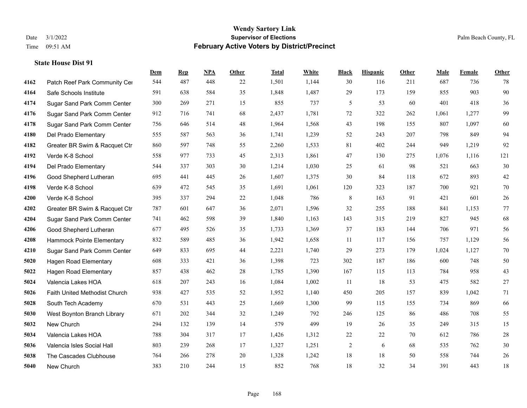|      |                               | Dem | <b>Rep</b> | NPA | <b>Other</b> | <b>Total</b> | White | <b>Black</b>   | <b>Hispanic</b> | <b>Other</b> | <b>Male</b> | Female | <b>Other</b> |
|------|-------------------------------|-----|------------|-----|--------------|--------------|-------|----------------|-----------------|--------------|-------------|--------|--------------|
| 4162 | Patch Reef Park Community Cer | 544 | 487        | 448 | 22           | 1,501        | 1,144 | 30             | 116             | 211          | 687         | 736    | 78           |
| 4164 | Safe Schools Institute        | 591 | 638        | 584 | 35           | 1,848        | 1,487 | 29             | 173             | 159          | 855         | 903    | 90           |
| 4174 | Sugar Sand Park Comm Center   | 300 | 269        | 271 | 15           | 855          | 737   | 5              | 53              | 60           | 401         | 418    | 36           |
| 4176 | Sugar Sand Park Comm Center   | 912 | 716        | 741 | 68           | 2,437        | 1,781 | 72             | 322             | 262          | 1,061       | 1,277  | 99           |
| 4178 | Sugar Sand Park Comm Center   | 756 | 646        | 514 | 48           | 1,964        | 1,568 | 43             | 198             | 155          | 807         | 1,097  | 60           |
| 4180 | Del Prado Elementary          | 555 | 587        | 563 | 36           | 1,741        | 1,239 | 52             | 243             | 207          | 798         | 849    | 94           |
| 4182 | Greater BR Swim & Racquet Ctr | 860 | 597        | 748 | 55           | 2,260        | 1,533 | 81             | 402             | 244          | 949         | 1,219  | 92           |
| 4192 | Verde K-8 School              | 558 | 977        | 733 | 45           | 2,313        | 1,861 | 47             | 130             | 275          | 1,076       | 1,116  | 121          |
| 4194 | Del Prado Elementary          | 544 | 337        | 303 | 30           | 1,214        | 1,030 | 25             | 61              | 98           | 521         | 663    | 30           |
| 4196 | Good Shepherd Lutheran        | 695 | 441        | 445 | 26           | 1,607        | 1,375 | 30             | 84              | 118          | 672         | 893    | $42\,$       |
| 4198 | Verde K-8 School              | 639 | 472        | 545 | 35           | 1,691        | 1,061 | 120            | 323             | 187          | 700         | 921    | $70\,$       |
| 4200 | Verde K-8 School              | 395 | 337        | 294 | 22           | 1,048        | 786   | $\,8\,$        | 163             | 91           | 421         | 601    | $26\,$       |
| 4202 | Greater BR Swim & Racquet Ctr | 787 | 601        | 647 | 36           | 2,071        | 1,596 | 32             | 255             | 188          | 841         | 1,153  | $77\,$       |
| 4204 | Sugar Sand Park Comm Center   | 741 | 462        | 598 | 39           | 1,840        | 1,163 | 143            | 315             | 219          | 827         | 945    | 68           |
| 4206 | Good Shepherd Lutheran        | 677 | 495        | 526 | 35           | 1,733        | 1,369 | 37             | 183             | 144          | 706         | 971    | 56           |
| 4208 | Hammock Pointe Elementary     | 832 | 589        | 485 | 36           | 1,942        | 1,658 | 11             | 117             | 156          | 757         | 1,129  | 56           |
| 4210 | Sugar Sand Park Comm Center   | 649 | 833        | 695 | 44           | 2,221        | 1,740 | 29             | 273             | 179          | 1,024       | 1,127  | $70\,$       |
| 5020 | <b>Hagen Road Elementary</b>  | 608 | 333        | 421 | 36           | 1,398        | 723   | 302            | 187             | 186          | 600         | 748    | $50\,$       |
| 5022 | Hagen Road Elementary         | 857 | 438        | 462 | 28           | 1,785        | 1,390 | 167            | 115             | 113          | 784         | 958    | $43\,$       |
| 5024 | Valencia Lakes HOA            | 618 | 207        | 243 | 16           | 1,084        | 1,002 | 11             | 18              | 53           | 475         | 582    | 27           |
| 5026 | Faith United Methodist Church | 938 | 427        | 535 | 52           | 1,952        | 1,140 | 450            | 205             | 157          | 839         | 1,042  | 71           |
| 5028 | South Tech Academy            | 670 | 531        | 443 | 25           | 1,669        | 1,300 | 99             | 115             | 155          | 734         | 869    | 66           |
| 5030 | West Boynton Branch Library   | 671 | 202        | 344 | 32           | 1,249        | 792   | 246            | 125             | 86           | 486         | 708    | 55           |
| 5032 | New Church                    | 294 | 132        | 139 | 14           | 579          | 499   | 19             | 26              | 35           | 249         | 315    | 15           |
| 5034 | Valencia Lakes HOA            | 788 | 304        | 317 | 17           | 1,426        | 1,312 | 22             | 22              | 70           | 612         | 786    | $28\,$       |
| 5036 | Valencia Isles Social Hall    | 803 | 239        | 268 | 17           | 1,327        | 1,251 | $\overline{c}$ | 6               | 68           | 535         | 762    | $30\,$       |
| 5038 | The Cascades Clubhouse        | 764 | 266        | 278 | 20           | 1,328        | 1,242 | 18             | 18              | 50           | 558         | 744    | $26\,$       |
| 5040 | New Church                    | 383 | 210        | 244 | 15           | 852          | 768   | 18             | 32              | 34           | 391         | 443    | 18           |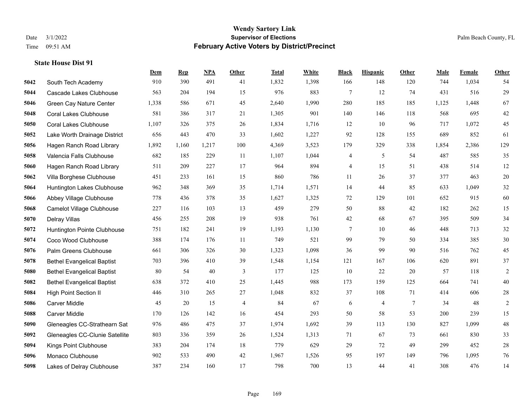|      |                                   | Dem   | <b>Rep</b> | NPA   | <b>Other</b>   | <b>Total</b> | White | <b>Black</b>   | <b>Hispanic</b> | Other          | <b>Male</b> | Female | <b>Other</b> |
|------|-----------------------------------|-------|------------|-------|----------------|--------------|-------|----------------|-----------------|----------------|-------------|--------|--------------|
| 5042 | South Tech Academy                | 910   | 390        | 491   | 41             | 1,832        | 1,398 | 166            | 148             | 120            | 744         | 1,034  | 54           |
| 5044 | Cascade Lakes Clubhouse           | 563   | 204        | 194   | 15             | 976          | 883   | $\overline{7}$ | 12              | 74             | 431         | 516    | 29           |
| 5046 | Green Cay Nature Center           | 1,338 | 586        | 671   | 45             | 2,640        | 1,990 | 280            | 185             | 185            | 1,125       | 1,448  | 67           |
| 5048 | <b>Coral Lakes Clubhouse</b>      | 581   | 386        | 317   | 21             | 1,305        | 901   | 140            | 146             | 118            | 568         | 695    | $42\,$       |
| 5050 | <b>Coral Lakes Clubhouse</b>      | 1,107 | 326        | 375   | 26             | 1,834        | 1,716 | 12             | 10              | 96             | 717         | 1.072  | 45           |
| 5052 | Lake Worth Drainage District      | 656   | 443        | 470   | 33             | 1,602        | 1,227 | 92             | 128             | 155            | 689         | 852    | 61           |
| 5056 | Hagen Ranch Road Library          | 1,892 | 1,160      | 1,217 | 100            | 4,369        | 3,523 | 179            | 329             | 338            | 1,854       | 2,386  | 129          |
| 5058 | Valencia Falls Clubhouse          | 682   | 185        | 229   | 11             | 1,107        | 1,044 | 4              | 5               | 54             | 487         | 585    | 35           |
| 5060 | Hagen Ranch Road Library          | 511   | 209        | 227   | 17             | 964          | 894   | 4              | 15              | 51             | 438         | 514    | 12           |
| 5062 | Villa Borghese Clubhouse          | 451   | 233        | 161   | 15             | 860          | 786   | 11             | 26              | 37             | 377         | 463    | $20\,$       |
| 5064 | Huntington Lakes Clubhouse        | 962   | 348        | 369   | 35             | 1,714        | 1,571 | 14             | 44              | 85             | 633         | 1.049  | 32           |
| 5066 | Abbey Village Clubhouse           | 778   | 436        | 378   | 35             | 1,627        | 1,325 | 72             | 129             | 101            | 652         | 915    | 60           |
| 5068 | Camelot Village Clubhouse         | 227   | 116        | 103   | 13             | 459          | 279   | 50             | 88              | 42             | 182         | 262    | 15           |
| 5070 | Delray Villas                     | 456   | 255        | 208   | 19             | 938          | 761   | 42             | 68              | 67             | 395         | 509    | 34           |
| 5072 | Huntington Pointe Clubhouse       | 751   | 182        | 241   | 19             | 1,193        | 1,130 | 7              | 10              | 46             | 448         | 713    | 32           |
| 5074 | Coco Wood Clubhouse               | 388   | 174        | 176   | 11             | 749          | 521   | 99             | 79              | 50             | 334         | 385    | 30           |
| 5076 | Palm Greens Clubhouse             | 661   | 306        | 326   | 30             | 1,323        | 1,098 | 36             | 99              | 90             | 516         | 762    | 45           |
| 5078 | <b>Bethel Evangelical Baptist</b> | 703   | 396        | 410   | 39             | 1,548        | 1,154 | 121            | 167             | 106            | 620         | 891    | 37           |
| 5080 | <b>Bethel Evangelical Baptist</b> | 80    | 54         | 40    | 3              | 177          | 125   | 10             | 22              | 20             | 57          | 118    | $\sqrt{2}$   |
| 5082 | <b>Bethel Evangelical Baptist</b> | 638   | 372        | 410   | 25             | 1,445        | 988   | 173            | 159             | 125            | 664         | 741    | $40\,$       |
| 5084 | <b>High Point Section II</b>      | 446   | 310        | 265   | 27             | 1,048        | 832   | 37             | 108             | 71             | 414         | 606    | $28\,$       |
| 5086 | <b>Carver Middle</b>              | 45    | 20         | 15    | $\overline{4}$ | 84           | 67    | 6              | $\overline{4}$  | $\overline{7}$ | 34          | 48     | $\sqrt{2}$   |
| 5088 | <b>Carver Middle</b>              | 170   | 126        | 142   | 16             | 454          | 293   | 50             | 58              | 53             | 200         | 239    | 15           |
| 5090 | Gleneagles CC-Strathearn Sat      | 976   | 486        | 475   | 37             | 1,974        | 1,692 | 39             | 113             | 130            | 827         | 1,099  | 48           |
| 5092 | Gleneagles CC-Clunie Satellite    | 803   | 336        | 359   | 26             | 1,524        | 1,313 | 71             | 67              | 73             | 661         | 830    | 33           |
| 5094 | Kings Point Clubhouse             | 383   | 204        | 174   | 18             | 779          | 629   | 29             | 72              | 49             | 299         | 452    | $28\,$       |
| 5096 | Monaco Clubhouse                  | 902   | 533        | 490   | 42             | 1,967        | 1,526 | 95             | 197             | 149            | 796         | 1.095  | 76           |
| 5098 | Lakes of Delray Clubhouse         | 387   | 234        | 160   | 17             | 798          | 700   | 13             | 44              | 41             | 308         | 476    | 14           |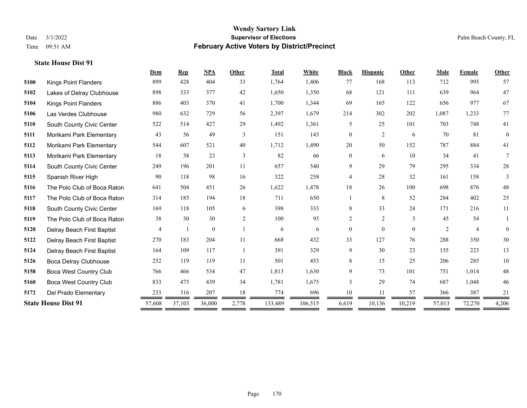|      |                               | Dem    | <b>Rep</b> | <b>NPA</b>   | Other  | <b>Total</b> | White   | <b>Black</b>     | <b>Hispanic</b> | Other    | Male   | Female         | Other    |
|------|-------------------------------|--------|------------|--------------|--------|--------------|---------|------------------|-----------------|----------|--------|----------------|----------|
| 5100 | <b>Kings Point Flanders</b>   | 899    | 428        | 404          | 33     | 1,764        | 1,406   | 77               | 168             | 113      | 712    | 995            | 57       |
| 5102 | Lakes of Delray Clubhouse     | 898    | 333        | 377          | 42     | 1,650        | 1,350   | 68               | 121             | 111      | 639    | 964            | 47       |
| 5104 | <b>Kings Point Flanders</b>   | 886    | 403        | 370          | 41     | 1,700        | 1,344   | 69               | 165             | 122      | 656    | 977            | 67       |
| 5106 | Las Verdes Clubhouse          | 980    | 632        | 729          | 56     | 2,397        | 1,679   | 214              | 302             | 202      | 1,087  | 1,233          | $77\,$   |
| 5110 | South County Civic Center     | 522    | 514        | 427          | 29     | 1,492        | 1,361   | 5                | 25              | 101      | 703    | 748            | 41       |
| 5111 | Morikami Park Elementary      | 43     | 56         | 49           | 3      | 151          | 143     | $\overline{0}$   | $\overline{c}$  | 6        | 70     | 81             | $\theta$ |
| 5112 | Morikami Park Elementary      | 544    | 607        | 521          | $40\,$ | 1,712        | 1,490   | 20               | 50              | 152      | 787    | 884            | 41       |
| 5113 | Morikami Park Elementary      | 18     | 38         | 23           | 3      | 82           | 66      | $\boldsymbol{0}$ | 6               | 10       | 34     | 41             | $\tau$   |
| 5114 | South County Civic Center     | 249    | 196        | 201          | 11     | 657          | 540     | 9                | 29              | 79       | 295    | 334            | $28\,$   |
| 5115 | Spanish River High            | 90     | 118        | 98           | 16     | 322          | 258     | 4                | 28              | 32       | 161    | 158            | 3        |
| 5116 | The Polo Club of Boca Raton   | 641    | 504        | 451          | 26     | 1,622        | 1,478   | 18               | 26              | 100      | 698    | 876            | 48       |
| 5117 | The Polo Club of Boca Raton   | 314    | 185        | 194          | 18     | 711          | 650     |                  | 8               | 52       | 284    | 402            | 25       |
| 5118 | South County Civic Center     | 169    | 118        | 105          | 6      | 398          | 333     | 8                | 33              | 24       | 171    | 216            | 11       |
| 5119 | The Polo Club of Boca Raton   | 38     | 30         | 30           | 2      | 100          | 93      | $\overline{2}$   | $\overline{2}$  | 3        | 45     | 54             |          |
| 5120 | Delray Beach First Baptist    | 4      |            | $\mathbf{0}$ |        | 6            | 6       | $\overline{0}$   | $\overline{0}$  | $\theta$ | 2      | $\overline{4}$ | $\theta$ |
| 5122 | Delray Beach First Baptist    | 270    | 183        | 204          | 11     | 668          | 432     | 33               | 127             | 76       | 288    | 350            | 30       |
| 5124 | Delray Beach First Baptist    | 164    | 109        | 117          | -1     | 391          | 329     | 9                | 30              | 23       | 155    | 223            | 13       |
| 5126 | Boca Delray Clubhouse         | 252    | 119        | 119          | 11     | 501          | 453     | 8                | 15              | 25       | 206    | 285            | 10       |
| 5158 | <b>Boca West Country Club</b> | 766    | 466        | 534          | 47     | 1,813        | 1,630   | 9                | 73              | 101      | 751    | 1,014          | 48       |
| 5160 | <b>Boca West Country Club</b> | 833    | 475        | 439          | 34     | 1,781        | 1,675   | 3                | 29              | 74       | 687    | 1,048          | $46\,$   |
| 5172 | Del Prado Elementary          | 233    | 316        | 207          | 18     | 774          | 696     | 10               | 11              | 57       | 366    | 387            | 21       |
|      | <b>State House Dist 91</b>    | 57,608 | 37,103     | 36,000       | 2,778  | 133,489      | 106,515 | 6,619            | 10,136          | 10,219   | 57,013 | 72,270         | 4,206    |
|      |                               |        |            |              |        |              |         |                  |                 |          |        |                |          |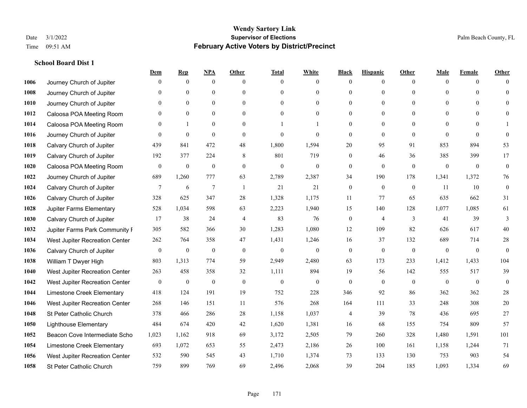|      |                                | Dem            | <b>Rep</b>       | NPA              | <b>Other</b>   | <b>Total</b>     | <b>White</b>   | <b>Black</b>     | <b>Hispanic</b> | <b>Other</b>   | <b>Male</b>    | <b>Female</b> | <b>Other</b> |
|------|--------------------------------|----------------|------------------|------------------|----------------|------------------|----------------|------------------|-----------------|----------------|----------------|---------------|--------------|
| 1006 | Journey Church of Jupiter      | $\overline{0}$ | $\mathbf{0}$     | $\mathbf{0}$     | $\Omega$       | $\theta$         | $\overline{0}$ | $\mathbf{0}$     | $\mathbf{0}$    | $\theta$       | $\theta$       | $\theta$      | $\Omega$     |
| 1008 | Journey Church of Jupiter      | $\Omega$       | $\theta$         | $\mathbf{0}$     | $\theta$       | $\Omega$         | $\overline{0}$ | $\theta$         | $\theta$        | $\theta$       | $\theta$       | $\Omega$      | $\theta$     |
| 1010 | Journey Church of Jupiter      | $\theta$       | $\theta$         | $\theta$         | $\Omega$       | $\Omega$         | $\Omega$       | $\Omega$         | $\theta$        | $\Omega$       | $\Omega$       | $\Omega$      | $\Omega$     |
| 1012 | Caloosa POA Meeting Room       | $\overline{0}$ | $\mathbf{0}$     | $\mathbf{0}$     | $\overline{0}$ | $\mathbf{0}$     | $\overline{0}$ | $\mathbf{0}$     | $\mathbf{0}$    | $\mathbf{0}$   | $\overline{0}$ | $\theta$      | $\theta$     |
| 1014 | Caloosa POA Meeting Room       | $\theta$       | -1               | $\mathbf{0}$     | $\theta$       |                  |                | $\mathbf{0}$     | $\mathbf{0}$    | $\theta$       | $\theta$       | $\theta$      |              |
| 1016 | Journey Church of Jupiter      | $\theta$       | $\mathbf{0}$     | $\mathbf{0}$     | $\theta$       | $\theta$         | $\Omega$       | $\theta$         | $\theta$        | $\Omega$       | $\theta$       | $\theta$      | $\theta$     |
| 1018 | Calvary Church of Jupiter      | 439            | 841              | 472              | 48             | 1,800            | 1,594          | $20\,$           | 95              | 91             | 853            | 894           | 53           |
| 1019 | Calvary Church of Jupiter      | 192            | 377              | 224              | 8              | 801              | 719            | $\mathbf{0}$     | 46              | 36             | 385            | 399           | 17           |
| 1020 | Caloosa POA Meeting Room       | $\bf{0}$       | $\boldsymbol{0}$ | $\boldsymbol{0}$ | $\overline{0}$ | $\boldsymbol{0}$ | $\mathbf{0}$   | $\boldsymbol{0}$ | $\mathbf{0}$    | $\overline{0}$ | $\mathbf{0}$   | $\mathbf{0}$  | $\mathbf{0}$ |
| 1022 | Journey Church of Jupiter      | 689            | 1,260            | 777              | 63             | 2,789            | 2,387          | 34               | 190             | 178            | 1,341          | 1,372         | 76           |
| 1024 | Calvary Church of Jupiter      | 7              | 6                | 7                | $\overline{1}$ | 21               | 21             | $\boldsymbol{0}$ | $\mathbf{0}$    | $\overline{0}$ | 11             | 10            | $\mathbf{0}$ |
| 1026 | Calvary Church of Jupiter      | 328            | 625              | 347              | 28             | 1,328            | 1,175          | 11               | 77              | 65             | 635            | 662           | 31           |
| 1028 | Jupiter Farms Elementary       | 528            | 1,034            | 598              | 63             | 2,223            | 1,940          | 15               | 140             | 128            | 1,077          | 1,085         | 61           |
| 1030 | Calvary Church of Jupiter      | 17             | 38               | 24               | 4              | 83               | 76             | $\boldsymbol{0}$ | $\overline{4}$  | 3              | 41             | 39            | 3            |
| 1032 | Jupiter Farms Park Community F | 305            | 582              | 366              | 30             | 1,283            | 1,080          | 12               | 109             | 82             | 626            | 617           | $40\,$       |
| 1034 | West Jupiter Recreation Center | 262            | 764              | 358              | 47             | 1,431            | 1,246          | 16               | 37              | 132            | 689            | 714           | $28\,$       |
| 1036 | Calvary Church of Jupiter      | $\mathbf{0}$   | $\boldsymbol{0}$ | $\mathbf{0}$     | $\mathbf{0}$   | $\mathbf{0}$     | $\mathbf{0}$   | $\boldsymbol{0}$ | $\mathbf{0}$    | $\mathbf{0}$   | $\mathbf{0}$   | $\mathbf{0}$  | $\mathbf{0}$ |
| 1038 | William T Dwyer High           | 803            | 1,313            | 774              | 59             | 2,949            | 2,480          | 63               | 173             | 233            | 1,412          | 1,433         | 104          |
| 1040 | West Jupiter Recreation Center | 263            | 458              | 358              | 32             | 1,111            | 894            | 19               | 56              | 142            | 555            | 517           | 39           |
| 1042 | West Jupiter Recreation Center | $\bf{0}$       | $\mathbf{0}$     | $\mathbf{0}$     | $\mathbf{0}$   | $\theta$         | $\overline{0}$ | $\mathbf{0}$     | $\theta$        | $\theta$       | $\mathbf{0}$   | $\mathbf{0}$  | $\mathbf{0}$ |
| 1044 | Limestone Creek Elementary     | 418            | 124              | 191              | 19             | 752              | 228            | 346              | 92              | 86             | 362            | 362           | 28           |
| 1046 | West Jupiter Recreation Center | 268            | 146              | 151              | 11             | 576              | 268            | 164              | 111             | 33             | 248            | 308           | 20           |
| 1048 | St Peter Catholic Church       | 378            | 466              | 286              | 28             | 1,158            | 1,037          | 4                | 39              | 78             | 436            | 695           | 27           |
| 1050 | <b>Lighthouse Elementary</b>   | 484            | 674              | 420              | 42             | 1,620            | 1,381          | 16               | 68              | 155            | 754            | 809           | 57           |
| 1052 | Beacon Cove Intermediate Scho  | 1,023          | 1,162            | 918              | 69             | 3,172            | 2,505          | 79               | 260             | 328            | 1,480          | 1,591         | 101          |
| 1054 | Limestone Creek Elementary     | 693            | 1,072            | 653              | 55             | 2,473            | 2,186          | 26               | 100             | 161            | 1,158          | 1,244         | 71           |
| 1056 | West Jupiter Recreation Center | 532            | 590              | 545              | 43             | 1,710            | 1,374          | 73               | 133             | 130            | 753            | 903           | 54           |
| 1058 | St Peter Catholic Church       | 759            | 899              | 769              | 69             | 2,496            | 2,068          | 39               | 204             | 185            | 1,093          | 1,334         | 69           |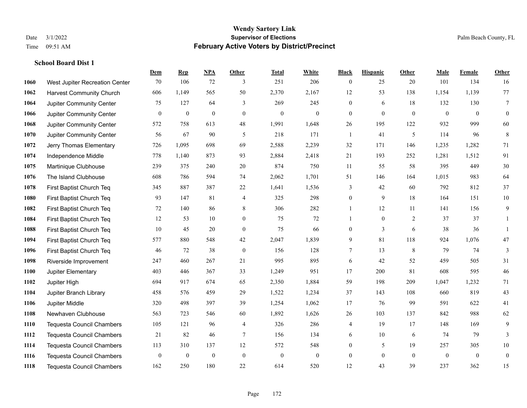**School Board Dist 1**

### **Wendy Sartory Link** Date 3/1/2022 **Supervisor of Elections** Palm Beach County, FL Time 09:51 AM **February Active Voters by District/Precinct**

**Dem Rep NPA Other Total White Black Hispanic Other Male Female Other**

# West Jupiter Recreation Center 70 106 72 3 251 206 0 25 20 101 134 16 Harvest Community Church 606 1,149 565 50 2,370 2,167 12 53 138 1,154 1,139 77 Jupiter Community Center 75 127 64 3 269 245 0 6 18 132 130 7 Jupiter Community Center  $\begin{array}{ccccccccccccc}\n0 & 0 & 0 & 0 & 0 & 0 & 0 & 0 & 0 & 0 & 0 & 0 & 0\n\end{array}$  Jupiter Community Center 572 758 613 48 1,991 1,648 26 195 122 932 999 60 Jupiter Community Center 56 67 90 5 218 171 1 41 5 114 96 8 Jerry Thomas Elementary 726 1,095 698 69 2,588 2,239 32 171 146 1,235 1,282 71 Independence Middle 778 1,140 873 93 2,884 2,418 21 193 252 1,281 1,512 91 Martinique Clubhouse 239 375 240 20 874 750 11 55 58 395 449 30 The Island Clubhouse 608 786 594 74 2,062 1,701 51 146 164 1,015 983 64 First Baptist Church Teq 345 887 387 22 1,641 1,536 3 42 60 792 812 37 First Baptist Church Teq 93 147 81 4 325 298 0 9 18 164 151 10 First Baptist Church Teq 72 140 86 8 306 282 1 12 11 141 156 9 First Baptist Church Teq 12 53 10 0 75 72 1 0 2 37 37 1 First Baptist Church Teq 10 45 20 0 75 66 0 3 6 38 36 1 First Baptist Church Teq 577 880 548 42 2,047 1,839 9 81 118 924 1,076 47 First Baptist Church Teq 46 72 38 0 156 128 7 13 8 79 74 3 Riverside Improvement 247 460 267 21 995 895 6 42 52 459 505 31 Jupiter Elementary 403 446 367 33 1,249 951 17 200 81 608 595 46 Jupiter High 694 917 674 65 2,350 1,884 59 198 209 1,047 1,232 71 Jupiter Branch Library 458 576 459 29 1,522 1,234 37 143 108 660 819 43 Jupiter Middle 320 498 397 39 1,254 1,062 17 76 99 591 622 41 Newhaven Clubhouse 563 723 546 60 1,892 1,626 26 103 137 842 988 62 Tequesta Council Chambers 105 121 96 4 326 286 4 19 17 148 169 9 Tequesta Council Chambers 21 82 46 7 156 134 6 10 6 74 79 3 Tequesta Council Chambers 113 310 137 12 572 548 0 5 19 257 305 10 Tequesta Council Chambers 0 0 0 0 0 0 0 0 0 0 0 0

Tequesta Council Chambers 162 250 180 22 614 520 12 43 39 237 362 15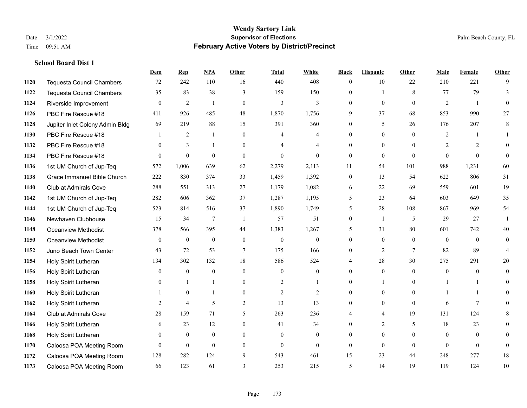|      |                                  | Dem            | <b>Rep</b>       | NPA              | <b>Other</b>   | <b>Total</b>     | <b>White</b>     | <b>Black</b>     | <b>Hispanic</b> | <b>Other</b>   | <b>Male</b>    | <b>Female</b>  | <b>Other</b>   |
|------|----------------------------------|----------------|------------------|------------------|----------------|------------------|------------------|------------------|-----------------|----------------|----------------|----------------|----------------|
| 1120 | <b>Tequesta Council Chambers</b> | 72             | 242              | 110              | 16             | 440              | 408              | $\overline{0}$   | 10              | 22             | 210            | 221            | 9              |
| 1122 | <b>Tequesta Council Chambers</b> | 35             | 83               | 38               | 3              | 159              | 150              | $\overline{0}$   | $\mathbf{1}$    | 8              | 77             | 79             | 3              |
| 1124 | Riverside Improvement            | $\theta$       | $\mathfrak{2}$   | $\overline{1}$   | $\theta$       | 3                | 3                | $\Omega$         | $\Omega$        | $\Omega$       | 2              | $\overline{1}$ | $\Omega$       |
| 1126 | PBC Fire Rescue #18              | 411            | 926              | 485              | 48             | 1,870            | 1,756            | 9                | 37              | 68             | 853            | 990            | 27             |
| 1128 | Jupiter Inlet Colony Admin Bldg  | 69             | 219              | 88               | 15             | 391              | 360              | $\overline{0}$   | 5               | 26             | 176            | 207            | 8              |
| 1130 | PBC Fire Rescue #18              |                | $\overline{2}$   | -1               | $\mathbf{0}$   | 4                | $\overline{4}$   | $\overline{0}$   | $\overline{0}$  | $\theta$       | 2              | -1             |                |
| 1132 | PBC Fire Rescue #18              | $\theta$       | 3                | $\overline{1}$   | $\theta$       | 4                | 4                | $\Omega$         | $\Omega$        | $\Omega$       | $\overline{2}$ | 2              | $\theta$       |
| 1134 | PBC Fire Rescue #18              | $\Omega$       | $\boldsymbol{0}$ | $\theta$         | $\theta$       | $\theta$         | $\theta$         | $\mathbf{0}$     | $\mathbf{0}$    | $\theta$       | $\theta$       | $\theta$       | $\overline{0}$ |
| 1136 | 1st UM Church of Jup-Teq         | 572            | 1,006            | 639              | 62             | 2,279            | 2,113            | 11               | 54              | 101            | 988            | 1,231          | 60             |
| 1138 | Grace Immanuel Bible Church      | 222            | 830              | 374              | 33             | 1,459            | 1,392            | $\overline{0}$   | 13              | 54             | 622            | 806            | 31             |
| 1140 | <b>Club at Admirals Cove</b>     | 288            | 551              | 313              | 27             | 1,179            | 1,082            | 6                | 22              | 69             | 559            | 601            | 19             |
| 1142 | 1st UM Church of Jup-Teq         | 282            | 606              | 362              | 37             | 1,287            | 1,195            | 5                | 23              | 64             | 603            | 649            | 35             |
| 1144 | 1st UM Church of Jup-Teq         | 523            | 814              | 516              | 37             | 1,890            | 1,749            | 5                | 28              | 108            | 867            | 969            | 54             |
| 1146 | Newhaven Clubhouse               | 15             | 34               | $\tau$           | $\overline{1}$ | 57               | 51               | $\boldsymbol{0}$ | $\overline{1}$  | 5              | 29             | 27             |                |
| 1148 | Oceanview Methodist              | 378            | 566              | 395              | 44             | 1,383            | 1,267            | 5                | 31              | 80             | 601            | 742            | 40             |
| 1150 | Oceanview Methodist              | $\mathbf{0}$   | $\boldsymbol{0}$ | $\boldsymbol{0}$ | $\overline{0}$ | $\boldsymbol{0}$ | $\boldsymbol{0}$ | $\overline{0}$   | $\overline{0}$  | $\theta$       | $\mathbf{0}$   | $\theta$       | $\overline{0}$ |
| 1152 | Juno Beach Town Center           | 43             | 72               | 53               | 7              | 175              | 166              | $\boldsymbol{0}$ | $\overline{c}$  | $\overline{7}$ | 82             | 89             | 4              |
| 1154 | Holy Spirit Lutheran             | 134            | 302              | 132              | 18             | 586              | 524              | 4                | 28              | 30             | 275            | 291            | 20             |
| 1156 | Holy Spirit Lutheran             | $\theta$       | $\mathbf{0}$     | $\mathbf{0}$     | $\theta$       | $\mathbf{0}$     | $\overline{0}$   | $\Omega$         | $\overline{0}$  | $\Omega$       | $\mathbf{0}$   | $\theta$       | $\overline{0}$ |
| 1158 | Holy Spirit Lutheran             | $\Omega$       | $\mathbf{1}$     |                  | $\theta$       | $\overline{2}$   |                  | $\Omega$         | 1               | $\Omega$       | 1              | $\mathbf{1}$   | $\Omega$       |
| 1160 | Holy Spirit Lutheran             |                | $\mathbf{0}$     |                  | $\theta$       | 2                | $\overline{2}$   | $\overline{0}$   | $\overline{0}$  | $\theta$       |                | $\mathbf{1}$   | 0              |
| 1162 | Holy Spirit Lutheran             | 2              | $\overline{4}$   | 5                | $\overline{c}$ | 13               | 13               | $\overline{0}$   | $\overline{0}$  | $\theta$       | 6              | $\overline{7}$ | 0              |
| 1164 | <b>Club at Admirals Cove</b>     | 28             | 159              | 71               | 5              | 263              | 236              | 4                | 4               | 19             | 131            | 124            | 8              |
| 1166 | Holy Spirit Lutheran             | 6              | 23               | 12               | $\theta$       | 41               | 34               | $\Omega$         | $\overline{2}$  | 5              | 18             | 23             | $\theta$       |
| 1168 | Holy Spirit Lutheran             | $\overline{0}$ | $\boldsymbol{0}$ | $\mathbf{0}$     | $\overline{0}$ | $\overline{0}$   | $\mathbf{0}$     | $\overline{0}$   | $\overline{0}$  | $\theta$       | $\mathbf{0}$   | $\theta$       | $\theta$       |
| 1170 | Caloosa POA Meeting Room         | $\theta$       | $\mathbf{0}$     | $\mathbf{0}$     | $\theta$       | $\mathbf{0}$     | $\overline{0}$   | $\overline{0}$   | $\overline{0}$  | $\theta$       | $\theta$       | $\theta$       | $\overline{0}$ |
| 1172 | Caloosa POA Meeting Room         | 128            | 282              | 124              | 9              | 543              | 461              | 15               | 23              | 44             | 248            | 277            | $18\,$         |
| 1173 | Caloosa POA Meeting Room         | 66             | 123              | 61               | $\mathcal{E}$  | 253              | 215              | 5                | 14              | 19             | 119            | 124            | $10\,$         |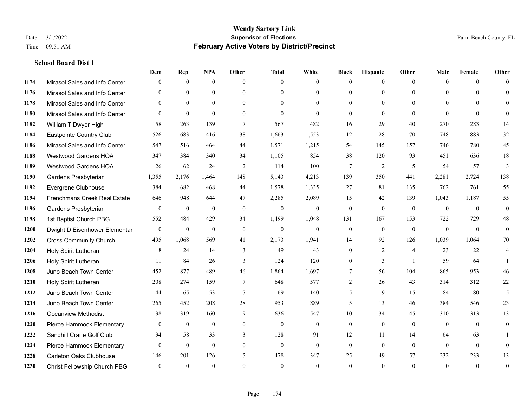|      |                                | Dem          | <b>Rep</b>       | NPA          | <b>Other</b> | <b>Total</b> | <b>White</b>   | <b>Black</b> | <b>Hispanic</b> | <b>Other</b>   | <b>Male</b>  | <b>Female</b> | <b>Other</b>     |
|------|--------------------------------|--------------|------------------|--------------|--------------|--------------|----------------|--------------|-----------------|----------------|--------------|---------------|------------------|
| 1174 | Mirasol Sales and Info Center  | $\Omega$     | $\mathbf{0}$     | $\mathbf{0}$ | $\Omega$     | $\Omega$     | $\overline{0}$ | $\mathbf{0}$ | $\overline{0}$  | $\theta$       | $\theta$     | $\theta$      | $\Omega$         |
| 1176 | Mirasol Sales and Info Center  | $\Omega$     | $\theta$         | $\theta$     | $\Omega$     | $\Omega$     | $\overline{0}$ | $\theta$     | $\theta$        | $\Omega$       | $\theta$     | $\Omega$      | $\theta$         |
| 1178 | Mirasol Sales and Info Center  | $\theta$     | $\mathbf{0}$     | $\mathbf{0}$ | $\theta$     | $\theta$     | $\overline{0}$ | $\theta$     | $\theta$        | $\Omega$       | $\Omega$     | $\Omega$      | $\Omega$         |
| 1180 | Mirasol Sales and Info Center  | $\theta$     | $\mathbf{0}$     | $\theta$     | $\mathbf{0}$ | $\theta$     | $\mathbf{0}$   | $\mathbf{0}$ | $\theta$        | $\theta$       | $\theta$     | $\theta$      | $\Omega$         |
| 1182 | William T Dwyer High           | 158          | 263              | 139          | $\tau$       | 567          | 482            | 16           | 29              | 40             | 270          | 283           | 14               |
| 1184 | Eastpointe Country Club        | 526          | 683              | 416          | 38           | 1,663        | 1,553          | 12           | 28              | 70             | 748          | 883           | $32\,$           |
| 1186 | Mirasol Sales and Info Center  | 547          | 516              | 464          | 44           | 1,571        | 1,215          | 54           | 145             | 157            | 746          | 780           | 45               |
| 1188 | <b>Westwood Gardens HOA</b>    | 347          | 384              | 340          | 34           | 1,105        | 854            | 38           | 120             | 93             | 451          | 636           | 18               |
| 1189 | <b>Westwood Gardens HOA</b>    | 26           | 62               | 24           | 2            | 114          | 100            | $\tau$       | $\overline{2}$  | 5              | 54           | 57            | $\overline{3}$   |
| 1190 | Gardens Presbyterian           | 1,355        | 2,176            | 1,464        | 148          | 5,143        | 4,213          | 139          | 350             | 441            | 2,281        | 2,724         | 138              |
| 1192 | Evergrene Clubhouse            | 384          | 682              | 468          | 44           | 1,578        | 1,335          | 27           | 81              | 135            | 762          | 761           | 55               |
| 1194 | Frenchmans Creek Real Estate   | 646          | 948              | 644          | 47           | 2,285        | 2,089          | 15           | 42              | 139            | 1,043        | 1,187         | 55               |
| 1196 | Gardens Presbyterian           | $\mathbf{0}$ | $\boldsymbol{0}$ | $\mathbf{0}$ | $\mathbf{0}$ | $\mathbf{0}$ | $\mathbf{0}$   | $\mathbf{0}$ | $\mathbf{0}$    | $\mathbf{0}$   | $\mathbf{0}$ | $\mathbf{0}$  | $\boldsymbol{0}$ |
| 1198 | 1st Baptist Church PBG         | 552          | 484              | 429          | 34           | 1,499        | 1,048          | 131          | 167             | 153            | 722          | 729           | 48               |
| 1200 | Dwight D Eisenhower Elementar  | $\mathbf{0}$ | $\mathbf{0}$     | $\mathbf{0}$ | $\theta$     | $\mathbf{0}$ | $\mathbf{0}$   | $\mathbf{0}$ | $\theta$        | $\theta$       | $\theta$     | $\theta$      | $\mathbf{0}$     |
| 1202 | <b>Cross Community Church</b>  | 495          | 1,068            | 569          | 41           | 2,173        | 1,941          | 14           | 92              | 126            | 1,039        | 1,064         | 70               |
| 1204 | Holy Spirit Lutheran           | 8            | 24               | 14           | 3            | 49           | 43             | $\mathbf{0}$ | 2               | $\overline{4}$ | 23           | 22            | 4                |
| 1206 | Holy Spirit Lutheran           | 11           | 84               | 26           | 3            | 124          | 120            | $\mathbf{0}$ | 3               | $\overline{1}$ | 59           | 64            |                  |
| 1208 | Juno Beach Town Center         | 452          | 877              | 489          | 46           | 1,864        | 1,697          | $\tau$       | 56              | 104            | 865          | 953           | 46               |
| 1210 | Holy Spirit Lutheran           | 208          | 274              | 159          | $\tau$       | 648          | 577            | 2            | 26              | 43             | 314          | 312           | 22               |
| 1212 | Juno Beach Town Center         | 44           | 65               | 53           | $\tau$       | 169          | 140            | 5            | 9               | 15             | 84           | 80            | 5                |
| 1214 | Juno Beach Town Center         | 265          | 452              | 208          | 28           | 953          | 889            | 5            | 13              | 46             | 384          | 546           | 23               |
| 1216 | <b>Oceanview Methodist</b>     | 138          | 319              | 160          | 19           | 636          | 547            | 10           | 34              | 45             | 310          | 313           | 13               |
| 1220 | Pierce Hammock Elementary      | $\mathbf{0}$ | $\mathbf{0}$     | $\mathbf{0}$ | $\mathbf{0}$ | $\mathbf{0}$ | $\mathbf{0}$   | $\mathbf{0}$ | $\overline{0}$  | $\theta$       | $\mathbf{0}$ | $\theta$      | $\mathbf{0}$     |
| 1222 | Sandhill Crane Golf Club       | 34           | 58               | 33           | 3            | 128          | 91             | 12           | 11              | 14             | 64           | 63            |                  |
| 1224 | Pierce Hammock Elementary      | $\theta$     | $\mathbf{0}$     | $\mathbf{0}$ | $\theta$     | $\mathbf{0}$ | $\mathbf{0}$   | $\mathbf{0}$ | $\mathbf{0}$    | $\theta$       | $\theta$     | $\mathbf{0}$  | $\mathbf{0}$     |
| 1228 | <b>Carleton Oaks Clubhouse</b> | 146          | 201              | 126          | 5            | 478          | 347            | 25           | 49              | 57             | 232          | 233           | 13               |
| 1230 | Christ Fellowship Church PBG   | $\theta$     | $\theta$         | $\theta$     | $\theta$     | $\theta$     | $\theta$       | $\theta$     | $\theta$        | $\Omega$       | $\Omega$     | $\theta$      | $\boldsymbol{0}$ |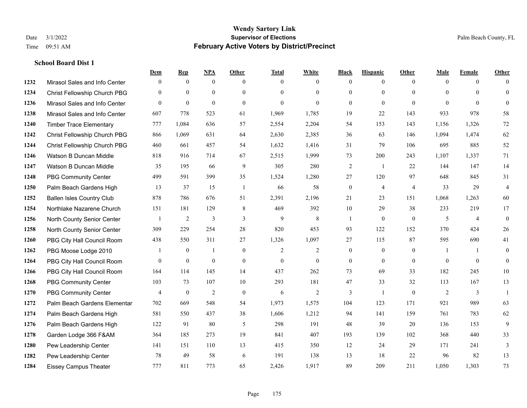|      |                                  | Dem            | <b>Rep</b>       | NPA              | <b>Other</b> | <b>Total</b>   | <b>White</b>   | <b>Black</b>     | <b>Hispanic</b>  | <b>Other</b>   | <b>Male</b>    | <b>Female</b>  | <b>Other</b>     |
|------|----------------------------------|----------------|------------------|------------------|--------------|----------------|----------------|------------------|------------------|----------------|----------------|----------------|------------------|
| 1232 | Mirasol Sales and Info Center    | $\mathbf{0}$   | $\mathbf{0}$     | $\boldsymbol{0}$ | $\theta$     | $\Omega$       | $\overline{0}$ | $\mathbf{0}$     | $\mathbf{0}$     | $\theta$       | $\mathbf{0}$   | $\overline{0}$ | $\Omega$         |
| 1234 | Christ Fellowship Church PBG     | $\theta$       | $\mathbf{0}$     | $\mathbf{0}$     | $\theta$     | $\Omega$       | $\overline{0}$ | $\theta$         | $\mathbf{0}$     | $\Omega$       | $\theta$       | $\Omega$       | $\mathbf{0}$     |
| 1236 | Mirasol Sales and Info Center    | $\Omega$       | $\mathbf{0}$     | $\theta$         | $\Omega$     | $\theta$       | $\Omega$       | $\theta$         | $\theta$         | $\Omega$       | $\Omega$       | $\Omega$       | $\Omega$         |
| 1238 | Mirasol Sales and Info Center    | 607            | 778              | 523              | 61           | 1,969          | 1,785          | 19               | 22               | 143            | 933            | 978            | 58               |
| 1240 | <b>Timber Trace Elementary</b>   | 777            | 1,084            | 636              | 57           | 2,554          | 2,204          | 54               | 153              | 143            | 1,156          | 1,326          | $72\,$           |
| 1242 | Christ Fellowship Church PBG     | 866            | 1,069            | 631              | 64           | 2,630          | 2,385          | 36               | 63               | 146            | 1,094          | 1,474          | 62               |
| 1244 | Christ Fellowship Church PBG     | 460            | 661              | 457              | 54           | 1,632          | 1,416          | 31               | 79               | 106            | 695            | 885            | 52               |
| 1246 | Watson B Duncan Middle           | 818            | 916              | 714              | 67           | 2,515          | 1,999          | 73               | 200              | 243            | 1,107          | 1,337          | 71               |
| 1247 | Watson B Duncan Middle           | 35             | 195              | 66               | 9            | 305            | 280            | 2                | -1               | 22             | 144            | 147            | 14               |
| 1248 | <b>PBG Community Center</b>      | 499            | 591              | 399              | 35           | 1,524          | 1,280          | 27               | 120              | 97             | 648            | 845            | 31               |
| 1250 | Palm Beach Gardens High          | 13             | 37               | 15               | -1           | 66             | 58             | $\boldsymbol{0}$ | 4                | $\overline{4}$ | 33             | 29             | $\overline{4}$   |
| 1252 | <b>Ballen Isles Country Club</b> | 878            | 786              | 676              | 51           | 2,391          | 2,196          | 21               | 23               | 151            | 1,068          | 1,263          | 60               |
| 1254 | Northlake Nazarene Church        | 151            | 181              | 129              | 8            | 469            | 392            | 10               | 29               | 38             | 233            | 219            | 17               |
| 1256 | North County Senior Center       |                | $\overline{c}$   | $\mathfrak{Z}$   | 3            | 9              | $\,$ 8 $\,$    | $\mathbf{1}$     | $\boldsymbol{0}$ | $\overline{0}$ | 5              | $\overline{4}$ | $\boldsymbol{0}$ |
| 1258 | North County Senior Center       | 309            | 229              | 254              | 28           | 820            | 453            | 93               | 122              | 152            | 370            | 424            | $26\,$           |
| 1260 | PBG City Hall Council Room       | 438            | 550              | 311              | 27           | 1,326          | 1,097          | 27               | 115              | 87             | 595            | 690            | 41               |
| 1262 | PBG Moose Lodge 2010             |                | $\boldsymbol{0}$ |                  | $\mathbf{0}$ | $\overline{c}$ | $\overline{c}$ | $\boldsymbol{0}$ | $\mathbf{0}$     | $\overline{0}$ | $\overline{1}$ | $\mathbf{1}$   | $\mathbf{0}$     |
| 1264 | PBG City Hall Council Room       | $\theta$       | $\boldsymbol{0}$ | $\boldsymbol{0}$ | $\mathbf{0}$ | $\mathbf{0}$   | $\overline{0}$ | $\mathbf{0}$     | $\overline{0}$   | $\overline{0}$ | $\overline{0}$ | $\overline{0}$ | $\mathbf{0}$     |
| 1266 | PBG City Hall Council Room       | 164            | 114              | 145              | 14           | 437            | 262            | 73               | 69               | 33             | 182            | 245            | 10               |
| 1268 | <b>PBG Community Center</b>      | 103            | 73               | 107              | 10           | 293            | 181            | 47               | 33               | 32             | 113            | 167            | 13               |
| 1270 | <b>PBG Community Center</b>      | $\overline{4}$ | $\mathbf{0}$     | $\overline{2}$   | $\theta$     | 6              | $\overline{2}$ | 3                | $\mathbf{1}$     | $\Omega$       | 2              | 3              | $\mathbf{1}$     |
| 1272 | Palm Beach Gardens Elementar     | 702            | 669              | 548              | 54           | 1,973          | 1,575          | 104              | 123              | 171            | 921            | 989            | 63               |
| 1274 | Palm Beach Gardens High          | 581            | 550              | 437              | 38           | 1,606          | 1,212          | 94               | 141              | 159            | 761            | 783            | 62               |
| 1276 | Palm Beach Gardens High          | 122            | 91               | 80               | 5            | 298            | 191            | 48               | 39               | 20             | 136            | 153            | 9                |
| 1278 | Garden Lodge 366 F&AM            | 364            | 185              | 273              | 19           | 841            | 407            | 193              | 139              | 102            | 368            | 440            | 33               |
| 1280 | Pew Leadership Center            | 141            | 151              | 110              | 13           | 415            | 350            | 12               | 24               | 29             | 171            | 241            | 3                |
| 1282 | Pew Leadership Center            | 78             | 49               | 58               | 6            | 191            | 138            | 13               | 18               | 22             | 96             | 82             | 13               |
| 1284 | <b>Eissey Campus Theater</b>     | 777            | 811              | 773              | 65           | 2,426          | 1,917          | 89               | 209              | 211            | 1,050          | 1,303          | 73               |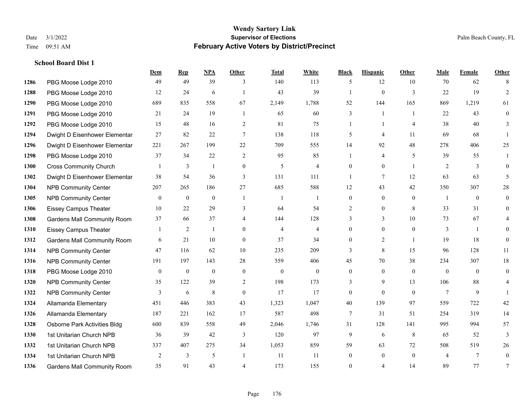**School Board Dist 1**

## **Wendy Sartory Link** Date 3/1/2022 **Supervisor of Elections** Palm Beach County, FL Time 09:51 AM **February Active Voters by District/Precinct**

|      |                                    | Dem            | <b>Rep</b>       | <u>NPA</u>     | Other          | <b>Total</b>   | White          | <b>Black</b>     | <b>Hispanic</b> | Other          | Male           | Female         | Other          |
|------|------------------------------------|----------------|------------------|----------------|----------------|----------------|----------------|------------------|-----------------|----------------|----------------|----------------|----------------|
| 1286 | PBG Moose Lodge 2010               | 49             | 49               | 39             | 3              | 140            | 113            | 5                | 12              | 10             | 70             | 62             | 8              |
| 1288 | PBG Moose Lodge 2010               | 12             | 24               | 6              |                | 43             | 39             | $\mathbf{1}$     | $\mathbf{0}$    | 3              | 22             | 19             | $\overline{2}$ |
| 1290 | PBG Moose Lodge 2010               | 689            | 835              | 558            | 67             | 2,149          | 1,788          | 52               | 144             | 165            | 869            | 1,219          | 61             |
| 1291 | PBG Moose Lodge 2010               | 21             | 24               | 19             | $\overline{1}$ | 65             | 60             | 3                | 1               | $\overline{1}$ | 22             | 43             | $\mathbf{0}$   |
| 1292 | PBG Moose Lodge 2010               | 15             | 48               | 16             | 2              | 81             | 75             |                  | 1               | $\overline{4}$ | 38             | 40             | 3              |
| 1294 | Dwight D Eisenhower Elementar      | 27             | 82               | 22             | $\tau$         | 138            | 118            | 5                | $\overline{4}$  | 11             | 69             | 68             | $\mathbf{1}$   |
| 1296 | Dwight D Eisenhower Elementar      | 221            | 267              | 199            | 22             | 709            | 555            | 14               | 92              | 48             | 278            | 406            | 25             |
| 1298 | PBG Moose Lodge 2010               | 37             | 34               | 22             | 2              | 95             | 85             |                  | 4               | 5              | 39             | 55             | $\mathbf{1}$   |
| 1300 | <b>Cross Community Church</b>      | $\overline{1}$ | 3                | $\mathbf{1}$   | $\mathbf{0}$   | 5              | $\overline{4}$ | $\theta$         | $\mathbf{0}$    | $\overline{1}$ | $\overline{2}$ | 3              | $\theta$       |
| 1302 | Dwight D Eisenhower Elementar      | 38             | 54               | 36             | 3              | 131            | 111            | $\mathbf{1}$     | $\tau$          | 12             | 63             | 63             | 5              |
| 1304 | <b>NPB Community Center</b>        | 207            | 265              | 186            | 27             | 685            | 588            | 12               | 43              | 42             | 350            | 307            | 28             |
| 1305 | <b>NPB Community Center</b>        | $\overline{0}$ | $\boldsymbol{0}$ | $\mathbf{0}$   | $\overline{1}$ | -1             | -1             | $\overline{0}$   | $\mathbf{0}$    | $\theta$       | -1             | $\overline{0}$ | $\mathbf{0}$   |
| 1306 | <b>Eissey Campus Theater</b>       | 10             | 22               | 29             | 3              | 64             | 54             | $\overline{2}$   | $\mathbf{0}$    | 8              | 33             | 31             | $\overline{0}$ |
| 1308 | <b>Gardens Mall Community Room</b> | 37             | 66               | 37             | $\overline{4}$ | 144            | 128            | 3                | 3               | 10             | 73             | 67             | $\overline{4}$ |
| 1310 | <b>Eissey Campus Theater</b>       | $\overline{1}$ | $\overline{2}$   | $\mathbf{1}$   | $\mathbf{0}$   | $\overline{4}$ | $\overline{4}$ | $\overline{0}$   | $\mathbf{0}$    | $\mathbf{0}$   | 3              | $\overline{1}$ | $\mathbf{0}$   |
| 1312 | <b>Gardens Mall Community Room</b> | 6              | 21               | 10             | $\mathbf{0}$   | 37             | 34             | $\overline{0}$   | $\overline{2}$  | $\overline{1}$ | 19             | 18             | $\mathbf{0}$   |
| 1314 | <b>NPB Community Center</b>        | 47             | 116              | 62             | 10             | 235            | 209            | 3                | 8               | 15             | 96             | 128            | 11             |
| 1316 | <b>NPB Community Center</b>        | 191            | 197              | 143            | 28             | 559            | 406            | 45               | 70              | 38             | 234            | 307            | 18             |
| 1318 | PBG Moose Lodge 2010               | $\overline{0}$ | $\boldsymbol{0}$ | $\overline{0}$ | $\mathbf{0}$   | $\mathbf{0}$   | $\overline{0}$ | $\overline{0}$   | $\mathbf{0}$    | $\theta$       | $\theta$       | $\theta$       | $\mathbf{0}$   |
| 1320 | <b>NPB Community Center</b>        | 35             | 122              | 39             | 2              | 198            | 173            | 3                | 9               | 13             | 106            | 88             | $\overline{4}$ |
| 1322 | <b>NPB Community Center</b>        | 3              | 6                | $8\,$          | $\theta$       | 17             | 17             | $\boldsymbol{0}$ | $\theta$        | $\Omega$       | $\tau$         | 9              |                |
| 1324 | Allamanda Elementary               | 451            | 446              | 383            | 43             | 1,323          | 1,047          | 40               | 139             | 97             | 559            | 722            | 42             |
| 1326 | Allamanda Elementary               | 187            | 221              | 162            | 17             | 587            | 498            | 7                | 31              | 51             | 254            | 319            | 14             |
| 1328 | Osborne Park Activities Bldg       | 600            | 839              | 558            | 49             | 2,046          | 1,746          | 31               | 128             | 141            | 995            | 994            | 57             |
| 1330 | 1st Unitarian Church NPB           | 36             | 39               | 42             | 3              | 120            | 97             | 9                | 6               | 8              | 65             | 52             | 3              |
| 1332 | 1st Unitarian Church NPB           | 337            | 407              | 275            | 34             | 1,053          | 859            | 59               | 63              | 72             | 508            | 519            | 26             |
| 1334 | 1st Unitarian Church NPB           | 2              | 3                | 5              | $\overline{1}$ | 11             | 11             | $\theta$         | $\theta$        | $\Omega$       | $\overline{4}$ | 7              | $\theta$       |
| 1336 | <b>Gardens Mall Community Room</b> | 35             | 91               | 43             | $\Delta$       | 173            | 155            | $\Omega$         | 4               | 14             | 89             | 77             | 7              |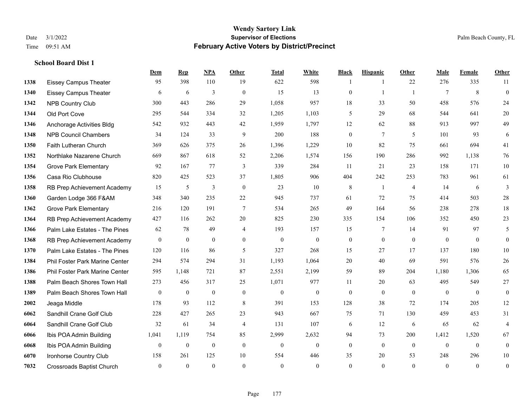|      |                                  | Dem            | <b>Rep</b>       | NPA              | <b>Other</b>   | <b>Total</b>     | <b>White</b>     | <b>Black</b>   | <b>Hispanic</b> | Other          | <b>Male</b>     | <b>Female</b> | <b>Other</b>     |
|------|----------------------------------|----------------|------------------|------------------|----------------|------------------|------------------|----------------|-----------------|----------------|-----------------|---------------|------------------|
| 1338 | <b>Eissey Campus Theater</b>     | 95             | 398              | 110              | 19             | 622              | 598              | 1              | 1               | 22             | 276             | 335           | 11               |
| 1340 | <b>Eissey Campus Theater</b>     | 6              | 6                | 3                | $\mathbf{0}$   | 15               | 13               | $\mathbf{0}$   | 1               | $\overline{1}$ | $7\phantom{.0}$ | 8             | $\mathbf{0}$     |
| 1342 | <b>NPB Country Club</b>          | 300            | 443              | 286              | 29             | 1,058            | 957              | 18             | 33              | 50             | 458             | 576           | 24               |
| 1344 | Old Port Cove                    | 295            | 544              | 334              | 32             | 1,205            | 1,103            | 5              | 29              | 68             | 544             | 641           | $20\,$           |
| 1346 | Anchorage Activities Bldg        | 542            | 932              | 443              | 42             | 1,959            | 1,797            | 12             | 62              | 88             | 913             | 997           | 49               |
| 1348 | <b>NPB Council Chambers</b>      | 34             | 124              | 33               | 9              | 200              | 188              | $\mathbf{0}$   | 7               | 5              | 101             | 93            | 6                |
| 1350 | Faith Lutheran Church            | 369            | 626              | 375              | 26             | 1,396            | 1,229            | 10             | 82              | 75             | 661             | 694           | 41               |
| 1352 | Northlake Nazarene Church        | 669            | 867              | 618              | 52             | 2,206            | 1,574            | 156            | 190             | 286            | 992             | 1,138         | 76               |
| 1354 | <b>Grove Park Elementary</b>     | 92             | 167              | 77               | 3              | 339              | 284              | 11             | 21              | 23             | 158             | 171           | $10\,$           |
| 1356 | Casa Rio Clubhouse               | 820            | 425              | 523              | 37             | 1,805            | 906              | 404            | 242             | 253            | 783             | 961           | 61               |
| 1358 | RB Prep Achievement Academy      | 15             | 5                | 3                | $\theta$       | 23               | 10               | 8              | $\mathbf{1}$    | $\overline{4}$ | 14              | 6             | $\mathfrak{Z}$   |
| 1360 | Garden Lodge 366 F&AM            | 348            | 340              | 235              | 22             | 945              | 737              | 61             | 72              | 75             | 414             | 503           | $28\,$           |
| 1362 | <b>Grove Park Elementary</b>     | 216            | 120              | 191              | $\tau$         | 534              | 265              | 49             | 164             | 56             | 238             | 278           | 18               |
| 1364 | RB Prep Achievement Academy      | 427            | 116              | 262              | 20             | 825              | 230              | 335            | 154             | 106            | 352             | 450           | $23\,$           |
| 1366 | Palm Lake Estates - The Pines    | 62             | 78               | 49               | $\overline{4}$ | 193              | 157              | 15             | 7               | 14             | 91              | 97            | 5                |
| 1368 | RB Prep Achievement Academy      | $\overline{0}$ | $\mathbf{0}$     | $\mathbf{0}$     | $\mathbf{0}$   | $\mathbf{0}$     | $\mathbf{0}$     | $\mathbf{0}$   | $\mathbf{0}$    | $\overline{0}$ | $\theta$        | $\mathbf{0}$  | $\theta$         |
| 1370 | Palm Lake Estates - The Pines    | 120            | 116              | 86               | 5              | 327              | 268              | 15             | 27              | 17             | 137             | 180           | $10\,$           |
| 1384 | Phil Foster Park Marine Center   | 294            | 574              | 294              | 31             | 1,193            | 1,064            | 20             | 40              | 69             | 591             | 576           | $26\,$           |
| 1386 | Phil Foster Park Marine Center   | 595            | 1,148            | 721              | 87             | 2,551            | 2,199            | 59             | 89              | 204            | 1,180           | 1,306         | 65               |
| 1388 | Palm Beach Shores Town Hall      | 273            | 456              | 317              | 25             | 1,071            | 977              | 11             | 20              | 63             | 495             | 549           | $27\,$           |
| 1389 | Palm Beach Shores Town Hall      | $\overline{0}$ | $\boldsymbol{0}$ | $\boldsymbol{0}$ | $\mathbf{0}$   | $\mathbf{0}$     | $\boldsymbol{0}$ | $\mathbf{0}$   | $\mathbf{0}$    | $\theta$       | $\overline{0}$  | $\mathbf{0}$  | $\mathbf{0}$     |
| 2002 | Jeaga Middle                     | 178            | 93               | 112              | 8              | 391              | 153              | 128            | 38              | 72             | 174             | 205           | 12               |
| 6062 | Sandhill Crane Golf Club         | 228            | 427              | 265              | 23             | 943              | 667              | 75             | 71              | 130            | 459             | 453           | 31               |
| 6064 | Sandhill Crane Golf Club         | 32             | 61               | 34               | $\overline{4}$ | 131              | 107              | 6              | 12              | 6              | 65              | 62            | $\overline{4}$   |
| 6066 | Ibis POA Admin Building          | 1,041          | 1.119            | 754              | 85             | 2,999            | 2,632            | 94             | 73              | 200            | 1,412           | 1,520         | 67               |
| 6068 | Ibis POA Admin Building          | $\overline{0}$ | $\boldsymbol{0}$ | $\boldsymbol{0}$ | $\mathbf{0}$   | $\boldsymbol{0}$ | $\overline{0}$   | $\mathbf{0}$   | $\overline{0}$  | $\theta$       | $\mathbf{0}$    | $\mathbf{0}$  | $\mathbf{0}$     |
| 6070 | Ironhorse Country Club           | 158            | 261              | 125              | 10             | 554              | 446              | 35             | 20              | 53             | 248             | 296           | $10\,$           |
| 7032 | <b>Crossroads Baptist Church</b> | $\mathbf{0}$   | $\mathbf{0}$     | $\theta$         | $\theta$       | $\theta$         | $\Omega$         | $\overline{0}$ | $\theta$        | $\theta$       | $\theta$        | $\theta$      | $\boldsymbol{0}$ |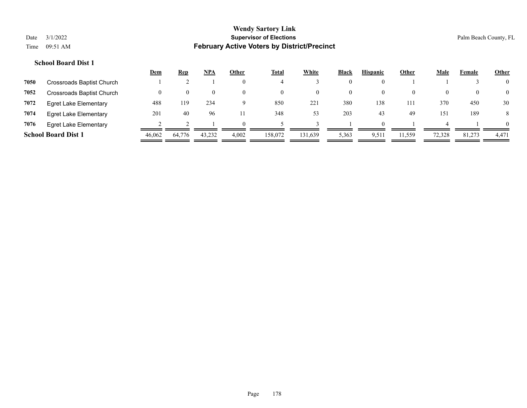|      |                              | <u>Dem</u> | <u>Rep</u> | <u>NPA</u> | Other    | <b>Total</b> | White    | <b>Black</b> | <b>Hispanic</b> | Other    | <b>Male</b> | Female | <b>Other</b>   |
|------|------------------------------|------------|------------|------------|----------|--------------|----------|--------------|-----------------|----------|-------------|--------|----------------|
| 7050 | Crossroads Baptist Church    |            |            |            | $\theta$ |              |          | 0            |                 |          |             |        | $\overline{0}$ |
| 7052 | Crossroads Baptist Church    |            | $\theta$   | $\theta$   | $\theta$ | $\theta$     | $\theta$ | 0            | $\theta$        | $\theta$ | 0           |        | $\overline{0}$ |
| 7072 | <b>Egret Lake Elementary</b> | 488        | 119        | 234        | 9        | 850          | 221      | 380          | 138             | 111      | 370         | 450    | 30             |
| 7074 | <b>Egret Lake Elementary</b> | 201        | 40         | 96         |          | 348          | 53       | 203          | 43              | 49       | 151         | 189    | 8              |
| 7076 | <b>Egret Lake Elementary</b> |            |            |            | $\Omega$ |              |          |              | 0               |          |             |        | $\Omega$       |
|      | <b>School Board Dist 1</b>   | 46,062     | 64,776     | 43,232     | 4,002    | 158,072      | 131,639  | 5,363        | 9,511           | 11,559   | 72,328      | 81,273 | 4,471          |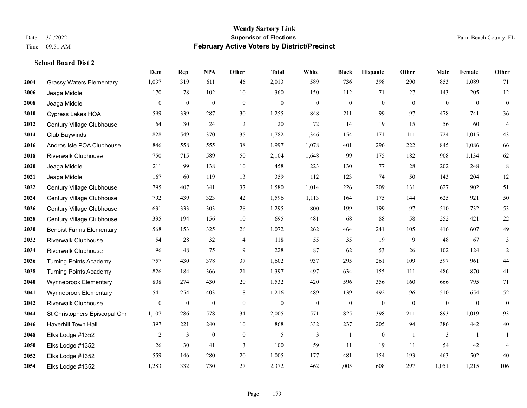**School Board Dist 2**

## **Wendy Sartory Link** Date 3/1/2022 **Supervisor of Elections** Palm Beach County, FL Time 09:51 AM **February Active Voters by District/Precinct**

|      |                                 | Dem              | <b>Rep</b>       | NPA              | Other            | <b>Total</b>     | White            | <b>Black</b>     | <b>Hispanic</b> | Other          | <b>Male</b>  | Female       | Other            |
|------|---------------------------------|------------------|------------------|------------------|------------------|------------------|------------------|------------------|-----------------|----------------|--------------|--------------|------------------|
| 2004 | <b>Grassy Waters Elementary</b> | 1,037            | 319              | 611              | 46               | 2,013            | 589              | 736              | 398             | 290            | 853          | 1,089        | 71               |
| 2006 | Jeaga Middle                    | 170              | 78               | 102              | 10               | 360              | 150              | 112              | 71              | 27             | 143          | 205          | 12               |
| 2008 | Jeaga Middle                    | $\mathbf{0}$     | $\boldsymbol{0}$ | $\mathbf{0}$     | $\mathbf{0}$     | $\mathbf{0}$     | $\mathbf{0}$     | $\boldsymbol{0}$ | $\mathbf{0}$    | $\theta$       | $\mathbf{0}$ | $\mathbf{0}$ | $\boldsymbol{0}$ |
| 2010 | <b>Cypress Lakes HOA</b>        | 599              | 339              | 287              | 30               | 1,255            | 848              | 211              | 99              | 97             | 478          | 741          | 36               |
| 2012 | Century Village Clubhouse       | 64               | 30               | 24               | $\overline{2}$   | 120              | 72               | 14               | 19              | 15             | 56           | 60           | $\overline{4}$   |
| 2014 | Club Baywinds                   | 828              | 549              | 370              | 35               | 1,782            | 1,346            | 154              | 171             | 111            | 724          | 1,015        | 43               |
| 2016 | Andros Isle POA Clubhouse       | 846              | 558              | 555              | 38               | 1,997            | 1,078            | 401              | 296             | 222            | 845          | 1,086        | 66               |
| 2018 | <b>Riverwalk Clubhouse</b>      | 750              | 715              | 589              | 50               | 2,104            | 1,648            | 99               | 175             | 182            | 908          | 1,134        | 62               |
| 2020 | Jeaga Middle                    | 211              | 99               | 138              | 10               | 458              | 223              | 130              | 77              | 28             | 202          | 248          | $\,$ 8 $\,$      |
| 2021 | Jeaga Middle                    | 167              | 60               | 119              | 13               | 359              | 112              | 123              | 74              | 50             | 143          | 204          | 12               |
| 2022 | Century Village Clubhouse       | 795              | 407              | 341              | 37               | 1,580            | 1,014            | 226              | 209             | 131            | 627          | 902          | 51               |
| 2024 | Century Village Clubhouse       | 792              | 439              | 323              | 42               | 1,596            | 1,113            | 164              | 175             | 144            | 625          | 921          | 50               |
| 2026 | Century Village Clubhouse       | 631              | 333              | 303              | 28               | 1,295            | 800              | 199              | 199             | 97             | 510          | 732          | 53               |
| 2028 | Century Village Clubhouse       | 335              | 194              | 156              | 10               | 695              | 481              | 68               | 88              | 58             | 252          | 421          | 22               |
| 2030 | <b>Benoist Farms Elementary</b> | 568              | 153              | 325              | 26               | 1,072            | 262              | 464              | 241             | 105            | 416          | 607          | 49               |
| 2032 | <b>Riverwalk Clubhouse</b>      | 54               | 28               | 32               | $\overline{4}$   | 118              | 55               | 35               | 19              | 9              | 48           | 67           | 3                |
| 2034 | <b>Riverwalk Clubhouse</b>      | 96               | 48               | 75               | 9                | 228              | 87               | 62               | 53              | 26             | 102          | 124          | $\overline{2}$   |
| 2036 | <b>Turning Points Academy</b>   | 757              | 430              | 378              | 37               | 1,602            | 937              | 295              | 261             | 109            | 597          | 961          | 44               |
| 2038 | <b>Turning Points Academy</b>   | 826              | 184              | 366              | 21               | 1,397            | 497              | 634              | 155             | 111            | 486          | 870          | 41               |
| 2040 | Wynnebrook Elementary           | 808              | 274              | 430              | 20               | 1,532            | 420              | 596              | 356             | 160            | 666          | 795          | 71               |
| 2041 | Wynnebrook Elementary           | 541              | 254              | 403              | 18               | 1,216            | 489              | 139              | 492             | 96             | 510          | 654          | 52               |
| 2042 | <b>Riverwalk Clubhouse</b>      | $\boldsymbol{0}$ | $\boldsymbol{0}$ | $\bf{0}$         | $\boldsymbol{0}$ | $\boldsymbol{0}$ | $\boldsymbol{0}$ | $\boldsymbol{0}$ | $\bf{0}$        | $\overline{0}$ | $\mathbf{0}$ | $\mathbf{0}$ | $\boldsymbol{0}$ |
| 2044 | St Christophers Episcopal Chr   | 1,107            | 286              | 578              | 34               | 2,005            | 571              | 825              | 398             | 211            | 893          | 1,019        | 93               |
| 2046 | <b>Haverhill Town Hall</b>      | 397              | 221              | 240              | 10               | 868              | 332              | 237              | 205             | 94             | 386          | 442          | $40\,$           |
| 2048 | Elks Lodge #1352                | 2                | 3                | $\boldsymbol{0}$ | $\boldsymbol{0}$ | 5                | 3                | -1               | $\mathbf{0}$    | -1             | 3            | -1           | -1               |
| 2050 | Elks Lodge #1352                | 26               | 30               | 41               | 3                | 100              | 59               | 11               | 19              | 11             | 54           | 42           | $\overline{4}$   |
| 2052 | Elks Lodge #1352                | 559              | 146              | 280              | 20               | 1,005            | 177              | 481              | 154             | 193            | 463          | 502          | 40               |
| 2054 | Elks Lodge #1352                | 1,283            | 332              | 730              | 27               | 2.372            | 462              | 1.005            | 608             | 297            | 1,051        | 1,215        | 106              |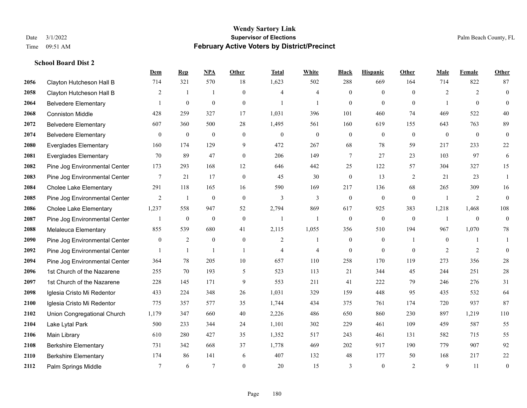|      |                               | Dem            | <b>Rep</b>   | NPA            | Other            | <b>Total</b>   | <b>White</b>     | <b>Black</b>     | <b>Hispanic</b> | <b>Other</b>   | <b>Male</b>      | Female         | <b>Other</b>     |
|------|-------------------------------|----------------|--------------|----------------|------------------|----------------|------------------|------------------|-----------------|----------------|------------------|----------------|------------------|
| 2056 | Clayton Hutcheson Hall B      | 714            | 321          | 570            | 18               | 1,623          | 502              | 288              | 669             | 164            | 714              | 822            | 87               |
| 2058 | Clayton Hutcheson Hall B      | 2              | $\mathbf{1}$ | $\mathbf{1}$   | $\theta$         | $\overline{4}$ | $\overline{4}$   | $\theta$         | $\theta$        | $\theta$       | 2                | 2              | $\overline{0}$   |
| 2064 | <b>Belvedere Elementary</b>   | $\mathbf{1}$   | $\mathbf{0}$ | $\mathbf{0}$   | $\overline{0}$   | $\overline{1}$ | $\mathbf{1}$     | $\mathbf{0}$     | $\mathbf{0}$    | $\theta$       |                  | $\theta$       | $\theta$         |
| 2068 | <b>Conniston Middle</b>       | 428            | 259          | 327            | 17               | 1,031          | 396              | 101              | 460             | 74             | 469              | 522            | 40               |
| 2072 | <b>Belvedere Elementary</b>   | 607            | 360          | 500            | 28               | 1,495          | 561              | 160              | 619             | 155            | 643              | 763            | 89               |
| 2074 | <b>Belvedere Elementary</b>   | 0              | $\mathbf{0}$ | $\mathbf{0}$   | $\boldsymbol{0}$ | $\mathbf{0}$   | $\boldsymbol{0}$ | $\boldsymbol{0}$ | $\mathbf{0}$    | $\mathbf{0}$   | $\overline{0}$   | $\overline{0}$ | $\overline{0}$   |
| 2080 | <b>Everglades Elementary</b>  | 160            | 174          | 129            | 9                | 472            | 267              | 68               | 78              | 59             | 217              | 233            | 22               |
| 2081 | <b>Everglades Elementary</b>  | 70             | 89           | 47             | $\overline{0}$   | 206            | 149              | 7                | 27              | 23             | 103              | 97             | 6                |
| 2082 | Pine Jog Environmental Center | 173            | 293          | 168            | 12               | 646            | 442              | 25               | 122             | 57             | 304              | 327            | 15               |
| 2083 | Pine Jog Environmental Center | 7              | 21           | 17             | $\overline{0}$   | 45             | 30               | $\mathbf{0}$     | 13              | $\overline{2}$ | 21               | 23             | 1                |
| 2084 | <b>Cholee Lake Elementary</b> | 291            | 118          | 165            | 16               | 590            | 169              | 217              | 136             | 68             | 265              | 309            | 16               |
| 2085 | Pine Jog Environmental Center | $\overline{2}$ | $\mathbf{1}$ | $\mathbf{0}$   | $\mathbf{0}$     | 3              | 3                | $\mathbf{0}$     | $\overline{0}$  | $\theta$       |                  | 2              | $\theta$         |
| 2086 | <b>Cholee Lake Elementary</b> | 1,237          | 558          | 947            | 52               | 2,794          | 869              | 617              | 925             | 383            | 1,218            | 1,468          | 108              |
| 2087 | Pine Jog Environmental Center | 1              | $\mathbf{0}$ | $\mathbf{0}$   | $\mathbf{0}$     |                | $\mathbf{1}$     | $\boldsymbol{0}$ | $\mathbf{0}$    | $\mathbf{0}$   |                  | $\mathbf{0}$   | $\boldsymbol{0}$ |
| 2088 | Melaleuca Elementary          | 855            | 539          | 680            | 41               | 2,115          | 1,055            | 356              | 510             | 194            | 967              | 1,070          | 78               |
| 2090 | Pine Jog Environmental Center | $\mathbf{0}$   | 2            | $\mathbf{0}$   | $\boldsymbol{0}$ | 2              | 1                | $\mathbf{0}$     | $\mathbf{0}$    | $\overline{1}$ | $\boldsymbol{0}$ | -1             | 1                |
| 2092 | Pine Jog Environmental Center | $\mathbf{1}$   | $\mathbf{1}$ | $\overline{1}$ | 1                | $\overline{4}$ | $\overline{4}$   | $\mathbf{0}$     | $\theta$        | $\theta$       | 2                | 2              | $\mathbf{0}$     |
| 2094 | Pine Jog Environmental Center | 364            | 78           | 205            | 10               | 657            | 110              | 258              | 170             | 119            | 273              | 356            | $28\,$           |
| 2096 | 1st Church of the Nazarene    | 255            | 70           | 193            | 5                | 523            | 113              | 21               | 344             | 45             | 244              | 251            | 28               |
| 2097 | 1st Church of the Nazarene    | 228            | 145          | 171            | 9                | 553            | 211              | 41               | 222             | 79             | 246              | 276            | 31               |
| 2098 | Iglesia Cristo Mi Redentor    | 433            | 224          | 348            | 26               | 1,031          | 329              | 159              | 448             | 95             | 435              | 532            | 64               |
| 2100 | Iglesia Cristo Mi Redentor    | 775            | 357          | 577            | 35               | 1,744          | 434              | 375              | 761             | 174            | 720              | 937            | 87               |
| 2102 | Union Congregational Church   | 1,179          | 347          | 660            | 40               | 2,226          | 486              | 650              | 860             | 230            | 897              | 1,219          | 110              |
| 2104 | Lake Lytal Park               | 500            | 233          | 344            | 24               | 1,101          | 302              | 229              | 461             | 109            | 459              | 587            | 55               |
| 2106 | Main Library                  | 610            | 280          | 427            | 35               | 1,352          | 517              | 243              | 461             | 131            | 582              | 715            | 55               |
| 2108 | <b>Berkshire Elementary</b>   | 731            | 342          | 668            | 37               | 1,778          | 469              | 202              | 917             | 190            | 779              | 907            | 92               |
| 2110 | <b>Berkshire Elementary</b>   | 174            | 86           | 141            | 6                | 407            | 132              | 48               | 177             | 50             | 168              | 217            | 22               |
| 2112 | Palm Springs Middle           | $\tau$         | 6            | $\overline{7}$ | $\theta$         | 20             | 15               | 3                | $\mathbf{0}$    | $\overline{2}$ | 9                | 11             | $\boldsymbol{0}$ |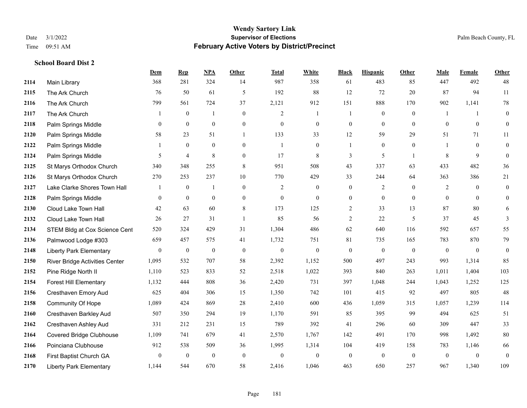# **Wendy Sartory Link** Date 3/1/2022 **Supervisor of Elections** Palm Beach County, FL Time 09:51 AM **February Active Voters by District/Precinct**

|      |                                 | Dem              | <b>Rep</b>       | <b>NPA</b>       | <b>Other</b>     | <b>Total</b>     | White            | <b>Black</b>     | <b>Hispanic</b>  | Other          | Male             | Female           | Other            |
|------|---------------------------------|------------------|------------------|------------------|------------------|------------------|------------------|------------------|------------------|----------------|------------------|------------------|------------------|
| 2114 | Main Library                    | 368              | 281              | 324              | 14               | 987              | 358              | 61               | 483              | 85             | 447              | 492              | 48               |
| 2115 | The Ark Church                  | 76               | 50               | 61               | 5                | 192              | $88\,$           | 12               | 72               | 20             | 87               | 94               | 11               |
| 2116 | The Ark Church                  | 799              | 561              | 724              | 37               | 2,121            | 912              | 151              | 888              | 170            | 902              | 1,141            | 78               |
| 2117 | The Ark Church                  | -1               | $\boldsymbol{0}$ | $\mathbf{1}$     | $\mathbf{0}$     | 2                | 1                | 1                | $\boldsymbol{0}$ | $\overline{0}$ | -1               | $\overline{1}$   | $\mathbf{0}$     |
| 2118 | Palm Springs Middle             | $\theta$         | $\mathbf{0}$     | $\overline{0}$   | $\mathbf{0}$     | $\overline{0}$   | $\overline{0}$   | $\mathbf{0}$     | $\mathbf{0}$     | $\theta$       | $\theta$         | $\theta$         | $\mathbf{0}$     |
| 2120 | Palm Springs Middle             | 58               | 23               | 51               | 1                | 133              | 33               | 12               | 59               | 29             | 51               | 71               | 11               |
| 2122 | Palm Springs Middle             | $\overline{1}$   | $\mathbf{0}$     | $\mathbf{0}$     | $\mathbf{0}$     | $\overline{1}$   | $\overline{0}$   | 1                | $\mathbf{0}$     | $\mathbf{0}$   |                  | $\theta$         | $\mathbf{0}$     |
| 2124 | Palm Springs Middle             | 5                | $\overline{4}$   | $\,8\,$          | $\overline{0}$   | 17               | 8                | 3                | 5                | $\mathbf{1}$   | 8                | 9                | $\mathbf{0}$     |
| 2125 | St Marys Orthodox Church        | 340              | 348              | 255              | 8                | 951              | 508              | 43               | 337              | 63             | 433              | 482              | 36               |
| 2126 | St Marys Orthodox Church        | 270              | 253              | 237              | 10               | 770              | 429              | 33               | 244              | 64             | 363              | 386              | 21               |
| 2127 | Lake Clarke Shores Town Hall    | $\mathbf{1}$     | $\boldsymbol{0}$ | $\mathbf{1}$     | $\theta$         | 2                | $\Omega$         | $\boldsymbol{0}$ | 2                | $\Omega$       | 2                | $\theta$         | $\theta$         |
| 2128 | Palm Springs Middle             | $\mathbf{0}$     | $\boldsymbol{0}$ | $\overline{0}$   | $\boldsymbol{0}$ | $\boldsymbol{0}$ | $\overline{0}$   | $\boldsymbol{0}$ | $\mathbf{0}$     | $\mathbf{0}$   | $\mathbf{0}$     | $\Omega$         | $\mathbf{0}$     |
| 2130 | Cloud Lake Town Hall            | 42               | 63               | 60               | $\,$ 8 $\,$      | 173              | 125              | $\overline{c}$   | 33               | 13             | 87               | 80               | 6                |
| 2132 | Cloud Lake Town Hall            | 26               | 27               | 31               | $\overline{1}$   | 85               | 56               | 2                | 22               | 5              | 37               | 45               | 3                |
| 2134 | STEM Bldg at Cox Science Cent   | 520              | 324              | 429              | 31               | 1,304            | 486              | 62               | 640              | 116            | 592              | 657              | 55               |
| 2136 | Palmwood Lodge #303             | 659              | 457              | 575              | 41               | 1,732            | 751              | 81               | 735              | 165            | 783              | 870              | 79               |
| 2148 | <b>Liberty Park Elementary</b>  | $\boldsymbol{0}$ | $\boldsymbol{0}$ | $\boldsymbol{0}$ | $\boldsymbol{0}$ | $\boldsymbol{0}$ | $\boldsymbol{0}$ | $\boldsymbol{0}$ | $\boldsymbol{0}$ | $\mathbf{0}$   | $\boldsymbol{0}$ | $\boldsymbol{0}$ | $\boldsymbol{0}$ |
| 2150 | River Bridge Activities Center  | 1,095            | 532              | 707              | 58               | 2,392            | 1,152            | 500              | 497              | 243            | 993              | 1,314            | 85               |
| 2152 | Pine Ridge North II             | 1,110            | 523              | 833              | 52               | 2,518            | 1,022            | 393              | 840              | 263            | 1,011            | 1,404            | 103              |
| 2154 | <b>Forest Hill Elementary</b>   | 1,132            | 444              | 808              | 36               | 2,420            | 731              | 397              | 1,048            | 244            | 1,043            | 1,252            | 125              |
| 2156 | Cresthaven Emory Aud            | 625              | 404              | 306              | 15               | 1,350            | 742              | 101              | 415              | 92             | 497              | 805              | 48               |
| 2158 | Community Of Hope               | 1,089            | 424              | 869              | 28               | 2,410            | 600              | 436              | 1,059            | 315            | 1,057            | 1,239            | 114              |
| 2160 | Cresthaven Barkley Aud          | 507              | 350              | 294              | 19               | 1,170            | 591              | 85               | 395              | 99             | 494              | 625              | 51               |
| 2162 | Cresthaven Ashley Aud           | 331              | 212              | 231              | 15               | 789              | 392              | 41               | 296              | 60             | 309              | 447              | 33               |
| 2164 | <b>Covered Bridge Clubhouse</b> | 1,109            | 741              | 679              | 41               | 2,570            | 1,767            | 142              | 491              | 170            | 998              | 1,492            | 80               |
| 2166 | Poinciana Clubhouse             | 912              | 538              | 509              | 36               | 1,995            | 1,314            | 104              | 419              | 158            | 783              | 1,146            | 66               |
| 2168 | First Baptist Church GA         | $\mathbf{0}$     | $\boldsymbol{0}$ | $\boldsymbol{0}$ | $\mathbf{0}$     | $\boldsymbol{0}$ | $\boldsymbol{0}$ | $\bf{0}$         | $\mathbf{0}$     | $\mathbf{0}$   | $\mathbf{0}$     | $\mathbf{0}$     | $\boldsymbol{0}$ |
| 2170 | <b>Liberty Park Elementary</b>  | 1,144            | 544              | 670              | 58               | 2,416            | 1,046            | 463              | 650              | 257            | 967              | 1,340            | 109              |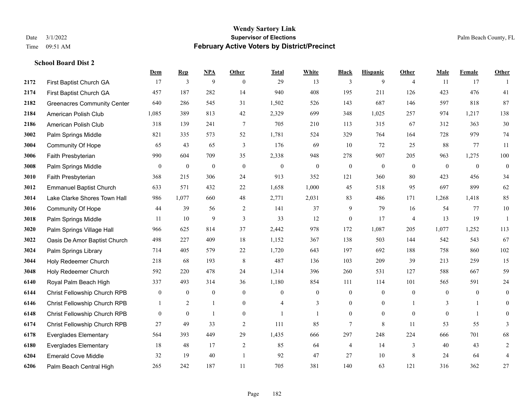# **Wendy Sartory Link** Date 3/1/2022 **Supervisor of Elections** Palm Beach County, FL Time 09:51 AM **February Active Voters by District/Precinct**

|      |                                    | Dem            | <b>Rep</b>       | <u>NPA</u>       | Other          | <b>Total</b>   | White          | <b>Black</b>     | <b>Hispanic</b>  | Other          | Male         | Female         | Other            |
|------|------------------------------------|----------------|------------------|------------------|----------------|----------------|----------------|------------------|------------------|----------------|--------------|----------------|------------------|
| 2172 | First Baptist Church GA            | 17             | 3                | 9                | $\theta$       | 29             | 13             | 3                | 9                | $\overline{4}$ | 11           | 17             | $\mathbf{1}$     |
| 2174 | First Baptist Church GA            | 457            | 187              | 282              | 14             | 940            | 408            | 195              | 211              | 126            | 423          | 476            | 41               |
| 2182 | <b>Greenacres Community Center</b> | 640            | 286              | 545              | 31             | 1,502          | 526            | 143              | 687              | 146            | 597          | 818            | 87               |
| 2184 | American Polish Club               | 1,085          | 389              | 813              | 42             | 2,329          | 699            | 348              | 1,025            | 257            | 974          | 1,217          | 138              |
| 2186 | American Polish Club               | 318            | 139              | 241              | $\tau$         | 705            | 210            | 113              | 315              | 67             | 312          | 363            | 30               |
| 3002 | Palm Springs Middle                | 821            | 335              | 573              | 52             | 1,781          | 524            | 329              | 764              | 164            | 728          | 979            | 74               |
| 3004 | <b>Community Of Hope</b>           | 65             | 43               | 65               | $\mathfrak{Z}$ | 176            | 69             | 10               | 72               | 25             | 88           | 77             | 11               |
| 3006 | Faith Presbyterian                 | 990            | 604              | 709              | 35             | 2,338          | 948            | 278              | 907              | 205            | 963          | 1,275          | 100              |
| 3008 | Palm Springs Middle                | $\mathbf{0}$   | $\boldsymbol{0}$ | $\boldsymbol{0}$ | $\mathbf{0}$   | $\mathbf{0}$   | $\mathbf{0}$   | $\mathbf{0}$     | $\mathbf{0}$     | $\mathbf{0}$   | $\mathbf{0}$ | $\mathbf{0}$   | $\boldsymbol{0}$ |
| 3010 | Faith Presbyterian                 | 368            | 215              | 306              | 24             | 913            | 352            | 121              | 360              | 80             | 423          | 456            | 34               |
| 3012 | <b>Emmanuel Baptist Church</b>     | 633            | 571              | 432              | 22             | 1,658          | 1,000          | 45               | 518              | 95             | 697          | 899            | 62               |
| 3014 | Lake Clarke Shores Town Hall       | 986            | 1,077            | 660              | 48             | 2,771          | 2,031          | 83               | 486              | 171            | 1,268        | 1,418          | 85               |
| 3016 | Community Of Hope                  | 44             | 39               | 56               | 2              | 141            | 37             | 9                | 79               | 16             | 54           | 77             | 10               |
| 3018 | Palm Springs Middle                | 11             | 10               | 9                | 3              | 33             | 12             | $\boldsymbol{0}$ | 17               | $\overline{4}$ | 13           | 19             | $\mathbf{1}$     |
| 3020 | Palm Springs Village Hall          | 966            | 625              | 814              | 37             | 2,442          | 978            | 172              | 1,087            | 205            | 1,077        | 1,252          | 113              |
| 3022 | Oasis De Amor Baptist Church       | 498            | 227              | 409              | 18             | 1,152          | 367            | 138              | 503              | 144            | 542          | 543            | 67               |
| 3024 | Palm Springs Library               | 714            | 405              | 579              | 22             | 1,720          | 643            | 197              | 692              | 188            | 758          | 860            | 102              |
| 3044 | Holy Redeemer Church               | 218            | 68               | 193              | 8              | 487            | 136            | 103              | 209              | 39             | 213          | 259            | 15               |
| 3048 | Holy Redeemer Church               | 592            | 220              | 478              | 24             | 1,314          | 396            | 260              | 531              | 127            | 588          | 667            | 59               |
| 6140 | Royal Palm Beach High              | 337            | 493              | 314              | 36             | 1,180          | 854            | 111              | 114              | 101            | 565          | 591            | 24               |
| 6144 | Christ Fellowship Church RPB       | $\overline{0}$ | $\boldsymbol{0}$ | $\mathbf{0}$     | $\theta$       | $\overline{0}$ | $\overline{0}$ | $\overline{0}$   | $\mathbf{0}$     | $\theta$       | $\theta$     | $\overline{0}$ | $\boldsymbol{0}$ |
| 6146 | Christ Fellowship Church RPB       |                | $\overline{2}$   | $\mathbf{1}$     | $\mathbf{0}$   | 4              | 3              | $\boldsymbol{0}$ | $\boldsymbol{0}$ |                | 3            | $\mathbf{1}$   | $\mathbf{0}$     |
| 6148 | Christ Fellowship Church RPB       | $\overline{0}$ | $\overline{0}$   | $\mathbf{1}$     | $\mathbf{0}$   | $\mathbf{1}$   | 1              | $\overline{0}$   | $\mathbf{0}$     | $\theta$       | $\mathbf{0}$ | $\overline{1}$ | $\mathbf{0}$     |
| 6174 | Christ Fellowship Church RPB       | 27             | 49               | 33               | $\overline{2}$ | 111            | 85             | $\tau$           | 8                | 11             | 53           | 55             | 3                |
| 6178 | <b>Everglades Elementary</b>       | 564            | 393              | 449              | 29             | 1,435          | 666            | 297              | 248              | 224            | 666          | 701            | 68               |
| 6180 | <b>Everglades Elementary</b>       | 18             | 48               | 17               | $\overline{2}$ | 85             | 64             | 4                | 14               | 3              | 40           | 43             | $\overline{2}$   |
| 6204 | <b>Emerald Cove Middle</b>         | 32             | 19               | 40               |                | 92             | 47             | 27               | 10               | 8              | 24           | 64             | $\overline{4}$   |
| 6206 | Palm Beach Central High            | 265            | 242              | 187              | 11             | 705            | 381            | 140              | 63               | 121            | 316          | 362            | 27               |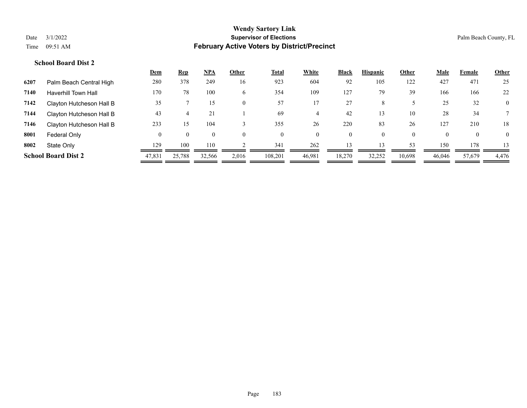|      |                            | <b>Dem</b> | <b>Rep</b> | <u>NPA</u> | Other    | <u>Total</u> | <b>White</b> | Black        | <b>Hispanic</b> | Other    | <u>Male</u> | Female       | <b>Other</b>   |
|------|----------------------------|------------|------------|------------|----------|--------------|--------------|--------------|-----------------|----------|-------------|--------------|----------------|
| 6207 | Palm Beach Central High    | 280        | 378        | 249        | 16       | 923          | 604          | 92           | 105             | 122      | 427         | 471          | 25             |
| 7140 | <b>Haverhill Town Hall</b> | 170        | 78         | 100        | 6        | 354          | 109          | 127          | 79              | 39       | 166         | 166          | 22             |
| 7142 | Clayton Hutcheson Hall B   | 35         |            | 15         | $\Omega$ | 57           |              | 27           | 8               |          | 25          | 32           | $\overline{0}$ |
| 7144 | Clayton Hutcheson Hall B   | 43         |            | 21         |          | 69           |              | 42           | 13              | 10       | 28          | 34           |                |
| 7146 | Clayton Hutcheson Hall B   | 233        | 15         | 104        |          | 355          | 26           | 220          | 83              | 26       | 127         | 210          | 18             |
| 8001 | Federal Only               | $\theta$   | $\theta$   | $\theta$   | $\Omega$ | $\theta$     | $\theta$     | $\mathbf{0}$ | $\Omega$        | $\theta$ |             | $\mathbf{0}$ | $\theta$       |
| 8002 | State Only                 | 129        | 100        | 110        |          | 341          | 262          | 13           | 13              | 53       | 150         | 178          | 13             |
|      | <b>School Board Dist 2</b> | 47,831     | 25,788     | 32,566     | 2,016    | 108,201      | 46,981       | 18,270       | 32,252          | 10,698   | 46,046      | 57,679       | 4,476          |
|      |                            |            |            |            |          |              |              |              |                 |          |             |              |                |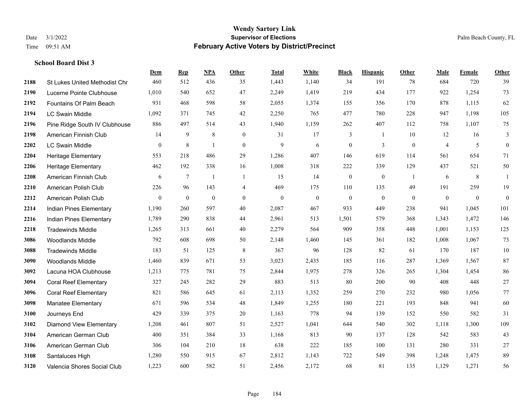#### **Wendy Sartory Link** Date 3/1/2022 **Supervisor of Elections** Palm Beach County, FL Time 09:51 AM **February Active Voters by District/Precinct**

# **Dem Rep NPA Other Total White Black Hispanic Other Male Female Other** St Lukes United Methodist Chr 460 512 436 35 1,443 1,140 34 191 78 684 720 39 Lucerne Pointe Clubhouse 1,010 540 652 47 2,249 1,419 219 434 177 922 1,254 73 Fountains Of Palm Beach 931 468 598 58 2,055 1,374 155 356 170 878 1,115 62 LC Swain Middle 1,092 371 745 42 2,250 765 477 780 228 947 1,198 105 Pine Ridge South IV Clubhouse 886 497 514 43 1,940 1,159 262 407 112 758 1,107 75 American Finnish Club 14 9 8 0 31 17 3 1 10 12 16 3 LC Swain Middle 0 8 1 0 9 6 0 3 0 4 5 0 Heritage Elementary 553 218 486 29 1,286 407 146 619 114 561 654 71 Heritage Elementary 462 192 338 16 1,008 318 222 339 129 437 521 50 American Finnish Club 6 7 1 1 1 15 14 0 0 1 6 8 1 American Polish Club 226 96 143 4 469 175 110 135 49 191 259 19 American Polish Club 0 0 0 0 0 0 0 0 0 0 0 0 Indian Pines Elementary 1,190 260 597 40 2,087 467 933 449 238 941 1,045 101 Indian Pines Elementary 1,789 290 838 44 2,961 513 1,501 579 368 1,343 1,472 146 Tradewinds Middle 1,265 313 661 40 2,279 564 909 358 448 1,001 1,153 125 Woodlands Middle 792 608 698 50 2,148 1,460 145 361 182 1,008 1,067 73 Tradewinds Middle 183 51 125 8 367 96 128 82 61 170 187 10 Woodlands Middle 1,460 839 671 53 3,023 2,435 185 116 287 1,369 1,567 87 Lacuna HOA Clubhouse 1,213 775 781 75 2,844 1,975 278 326 265 1,304 1,454 86 Coral Reef Elementary 327 245 282 29 883 513 80 200 90 408 448 27 Coral Reef Elementary 821 586 645 61 2,113 1,352 259 270 232 980 1,056 77 Manatee Elementary 671 596 534 48 1,849 1,255 180 221 193 848 941 60 Journeys End 429 339 375 20 1,163 778 94 139 152 550 582 31 Diamond View Elementary 1,208 461 807 51 2,527 1,041 644 540 302 1,118 1,300 109 American German Club 400 351 384 33 1,168 813 90 137 128 542 583 43 American German Club 306 104 210 18 638 222 185 100 131 280 331 27 Santaluces High 1,280 550 915 67 2,812 1,143 722 549 398 1,248 1,475 89 Valencia Shores Social Club 1,223 600 582 51 2,456 2,172 68 81 135 1,129 1,271 56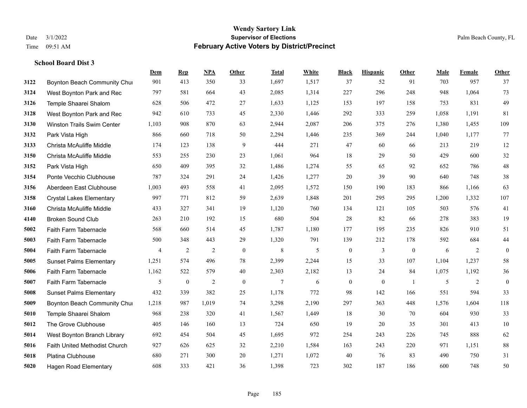|      |                                   | Dem   | <b>Rep</b>       | NPA            | <b>Other</b>     | <b>Total</b>   | White | <b>Black</b>     | <b>Hispanic</b> | <b>Other</b> | <b>Male</b> | Female         | <b>Other</b>     |
|------|-----------------------------------|-------|------------------|----------------|------------------|----------------|-------|------------------|-----------------|--------------|-------------|----------------|------------------|
| 3122 | Boynton Beach Community Chui      | 901   | 413              | 350            | 33               | 1,697          | 1,517 | 37               | 52              | 91           | 703         | 957            | 37               |
| 3124 | West Boynton Park and Rec         | 797   | 581              | 664            | 43               | 2,085          | 1,314 | 227              | 296             | 248          | 948         | 1.064          | 73               |
| 3126 | Temple Shaarei Shalom             | 628   | 506              | 472            | 27               | 1,633          | 1,125 | 153              | 197             | 158          | 753         | 831            | 49               |
| 3128 | West Boynton Park and Rec         | 942   | 610              | 733            | 45               | 2,330          | 1,446 | 292              | 333             | 259          | 1,058       | 1,191          | 81               |
| 3130 | <b>Winston Trails Swim Center</b> | 1,103 | 908              | 870            | 63               | 2,944          | 2,087 | 206              | 375             | 276          | 1.380       | 1,455          | 109              |
| 3132 | Park Vista High                   | 866   | 660              | 718            | 50               | 2,294          | 1,446 | 235              | 369             | 244          | 1,040       | 1,177          | 77               |
| 3133 | Christa McAuliffe Middle          | 174   | 123              | 138            | 9                | 444            | 271   | 47               | 60              | 66           | 213         | 219            | 12               |
| 3150 | Christa McAuliffe Middle          | 553   | 255              | 230            | 23               | 1,061          | 964   | 18               | 29              | 50           | 429         | 600            | 32               |
| 3152 | Park Vista High                   | 650   | 409              | 395            | 32               | 1,486          | 1,274 | 55               | 65              | 92           | 652         | 786            | $48\,$           |
| 3154 | Ponte Vecchio Clubhouse           | 787   | 324              | 291            | 24               | 1,426          | 1,277 | 20               | 39              | 90           | 640         | 748            | 38               |
| 3156 | Aberdeen East Clubhouse           | 1,003 | 493              | 558            | 41               | 2,095          | 1,572 | 150              | 190             | 183          | 866         | 1,166          | 63               |
| 3158 | <b>Crystal Lakes Elementary</b>   | 997   | 771              | 812            | 59               | 2,639          | 1,848 | 201              | 295             | 295          | 1,200       | 1,332          | 107              |
| 3160 | Christa McAuliffe Middle          | 433   | 327              | 341            | 19               | 1,120          | 760   | 134              | 121             | 105          | 503         | 576            | 41               |
| 4140 | <b>Broken Sound Club</b>          | 263   | 210              | 192            | 15               | 680            | 504   | 28               | 82              | 66           | 278         | 383            | 19               |
| 5002 | Faith Farm Tabernacle             | 568   | 660              | 514            | 45               | 1,787          | 1,180 | 177              | 195             | 235          | 826         | 910            | 51               |
| 5003 | Faith Farm Tabernacle             | 500   | 348              | 443            | 29               | 1,320          | 791   | 139              | 212             | 178          | 592         | 684            | $44\,$           |
| 5004 | Faith Farm Tabernacle             | 4     | 2                | $\overline{2}$ | $\boldsymbol{0}$ | 8              | 5     | $\boldsymbol{0}$ | 3               | $\mathbf{0}$ | 6           | 2              | $\boldsymbol{0}$ |
| 5005 | <b>Sunset Palms Elementary</b>    | 1,251 | 574              | 496            | 78               | 2,399          | 2,244 | 15               | 33              | 107          | 1,104       | 1,237          | 58               |
| 5006 | Faith Farm Tabernacle             | 1,162 | 522              | 579            | 40               | 2,303          | 2,182 | 13               | 24              | 84           | 1,075       | 1,192          | 36               |
| 5007 | Faith Farm Tabernacle             | 5     | $\boldsymbol{0}$ | $\overline{2}$ | $\boldsymbol{0}$ | $\overline{7}$ | 6     | $\boldsymbol{0}$ | $\mathbf{0}$    | -1           | 5           | $\overline{2}$ | $\boldsymbol{0}$ |
| 5008 | <b>Sunset Palms Elementary</b>    | 432   | 339              | 382            | 25               | 1,178          | 772   | 98               | 142             | 166          | 551         | 594            | 33               |
| 5009 | Boynton Beach Community Chui      | 1,218 | 987              | 1,019          | 74               | 3,298          | 2,190 | 297              | 363             | 448          | 1,576       | 1,604          | 118              |
| 5010 | Temple Shaarei Shalom             | 968   | 238              | 320            | 41               | 1,567          | 1,449 | 18               | 30              | 70           | 604         | 930            | 33               |
| 5012 | The Grove Clubhouse               | 405   | 146              | 160            | 13               | 724            | 650   | 19               | 20              | 35           | 301         | 413            | $10\,$           |
| 5014 | West Boynton Branch Library       | 692   | 454              | 504            | 45               | 1,695          | 972   | 254              | 243             | 226          | 745         | 888            | 62               |
| 5016 | Faith United Methodist Church     | 927   | 626              | 625            | 32               | 2,210          | 1,584 | 163              | 243             | 220          | 971         | 1,151          | $88\,$           |
| 5018 | Platina Clubhouse                 | 680   | 271              | 300            | 20               | 1,271          | 1,072 | 40               | 76              | 83           | 490         | 750            | 31               |
| 5020 | <b>Hagen Road Elementary</b>      | 608   | 333              | 421            | 36               | 1,398          | 723   | 302              | 187             | 186          | 600         | 748            | 50               |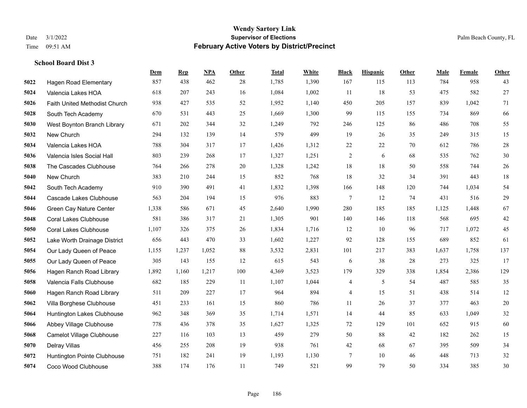|      |                               | Dem   | <b>Rep</b> | NPA   | <b>Other</b> | <b>Total</b> | <b>White</b> | <b>Black</b>             | <b>Hispanic</b> | <b>Other</b> | <b>Male</b> | Female | <b>Other</b> |
|------|-------------------------------|-------|------------|-------|--------------|--------------|--------------|--------------------------|-----------------|--------------|-------------|--------|--------------|
| 5022 | <b>Hagen Road Elementary</b>  | 857   | 438        | 462   | 28           | 1,785        | 1,390        | 167                      | 115             | 113          | 784         | 958    | 43           |
| 5024 | Valencia Lakes HOA            | 618   | 207        | 243   | 16           | 1,084        | 1,002        | 11                       | 18              | 53           | 475         | 582    | 27           |
| 5026 | Faith United Methodist Church | 938   | 427        | 535   | 52           | 1,952        | 1,140        | 450                      | 205             | 157          | 839         | 1,042  | 71           |
| 5028 | South Tech Academy            | 670   | 531        | 443   | 25           | 1,669        | 1,300        | 99                       | 115             | 155          | 734         | 869    | 66           |
| 5030 | West Boynton Branch Library   | 671   | 202        | 344   | 32           | 1,249        | 792          | 246                      | 125             | 86           | 486         | 708    | 55           |
| 5032 | New Church                    | 294   | 132        | 139   | 14           | 579          | 499          | 19                       | 26              | 35           | 249         | 315    | 15           |
| 5034 | Valencia Lakes HOA            | 788   | 304        | 317   | 17           | 1,426        | 1,312        | 22                       | 22              | 70           | 612         | 786    | $28\,$       |
| 5036 | Valencia Isles Social Hall    | 803   | 239        | 268   | 17           | 1,327        | 1,251        | $\overline{c}$           | 6               | 68           | 535         | 762    | 30           |
| 5038 | The Cascades Clubhouse        | 764   | 266        | 278   | 20           | 1,328        | 1,242        | 18                       | 18              | 50           | 558         | 744    | $26\,$       |
| 5040 | New Church                    | 383   | 210        | 244   | 15           | 852          | 768          | 18                       | 32              | 34           | 391         | 443    | 18           |
| 5042 | South Tech Academy            | 910   | 390        | 491   | 41           | 1,832        | 1,398        | 166                      | 148             | 120          | 744         | 1.034  | 54           |
| 5044 | Cascade Lakes Clubhouse       | 563   | 204        | 194   | 15           | 976          | 883          | 7                        | 12              | 74           | 431         | 516    | 29           |
| 5046 | Green Cay Nature Center       | 1,338 | 586        | 671   | 45           | 2,640        | 1,990        | 280                      | 185             | 185          | 1,125       | 1,448  | 67           |
| 5048 | <b>Coral Lakes Clubhouse</b>  | 581   | 386        | 317   | 21           | 1,305        | 901          | 140                      | 146             | 118          | 568         | 695    | $42\,$       |
| 5050 | <b>Coral Lakes Clubhouse</b>  | 1,107 | 326        | 375   | 26           | 1,834        | 1,716        | 12                       | 10              | 96           | 717         | 1,072  | 45           |
| 5052 | Lake Worth Drainage District  | 656   | 443        | 470   | 33           | 1,602        | 1,227        | 92                       | 128             | 155          | 689         | 852    | 61           |
| 5054 | Our Lady Queen of Peace       | 1,155 | 1,237      | 1,052 | 88           | 3,532        | 2,831        | 101                      | 217             | 383          | 1,637       | 1,758  | 137          |
| 5055 | Our Lady Queen of Peace       | 305   | 143        | 155   | 12           | 615          | 543          | 6                        | 38              | 28           | 273         | 325    | 17           |
| 5056 | Hagen Ranch Road Library      | 1,892 | 1,160      | 1,217 | 100          | 4,369        | 3,523        | 179                      | 329             | 338          | 1,854       | 2,386  | 129          |
| 5058 | Valencia Falls Clubhouse      | 682   | 185        | 229   | 11           | 1,107        | 1,044        | $\overline{\mathcal{A}}$ | $\mathfrak{H}$  | 54           | 487         | 585    | 35           |
| 5060 | Hagen Ranch Road Library      | 511   | 209        | 227   | 17           | 964          | 894          | 4                        | 15              | 51           | 438         | 514    | 12           |
| 5062 | Villa Borghese Clubhouse      | 451   | 233        | 161   | 15           | 860          | 786          | 11                       | 26              | 37           | 377         | 463    | $20\,$       |
| 5064 | Huntington Lakes Clubhouse    | 962   | 348        | 369   | 35           | 1,714        | 1,571        | 14                       | 44              | 85           | 633         | 1,049  | 32           |
| 5066 | Abbey Village Clubhouse       | 778   | 436        | 378   | 35           | 1,627        | 1,325        | 72                       | 129             | 101          | 652         | 915    | 60           |
| 5068 | Camelot Village Clubhouse     | 227   | 116        | 103   | 13           | 459          | 279          | 50                       | 88              | 42           | 182         | 262    | 15           |
| 5070 | Delray Villas                 | 456   | 255        | 208   | 19           | 938          | 761          | 42                       | 68              | 67           | 395         | 509    | 34           |
| 5072 | Huntington Pointe Clubhouse   | 751   | 182        | 241   | 19           | 1,193        | 1,130        | 7                        | 10              | 46           | 448         | 713    | 32           |
| 5074 | Coco Wood Clubhouse           | 388   | 174        | 176   | 11           | 749          | 521          | 99                       | 79              | 50           | 334         | 385    | 30           |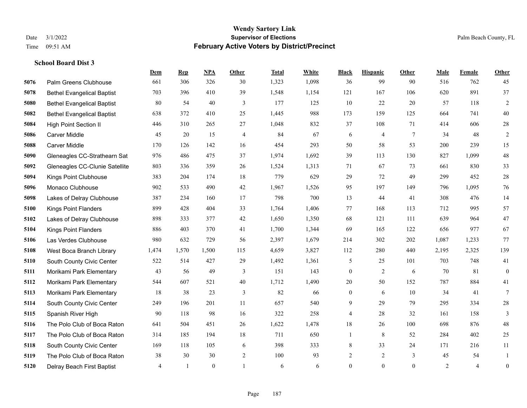|      |                                   | Dem   | <b>Rep</b>   | NPA      | <b>Other</b>   | <b>Total</b> | <b>White</b> | <b>Black</b>     | <b>Hispanic</b> | <b>Other</b> | <b>Male</b>    | <b>Female</b>  | <b>Other</b>     |
|------|-----------------------------------|-------|--------------|----------|----------------|--------------|--------------|------------------|-----------------|--------------|----------------|----------------|------------------|
| 5076 | Palm Greens Clubhouse             | 661   | 306          | 326      | 30             | 1,323        | 1,098        | 36               | 99              | 90           | 516            | 762            | 45               |
| 5078 | <b>Bethel Evangelical Baptist</b> | 703   | 396          | 410      | 39             | 1,548        | 1,154        | 121              | 167             | 106          | 620            | 891            | 37               |
| 5080 | <b>Bethel Evangelical Baptist</b> | 80    | 54           | 40       | 3              | 177          | 125          | 10               | 22              | 20           | 57             | 118            | $\overline{2}$   |
| 5082 | <b>Bethel Evangelical Baptist</b> | 638   | 372          | 410      | 25             | 1,445        | 988          | 173              | 159             | 125          | 664            | 741            | $40\,$           |
| 5084 | <b>High Point Section II</b>      | 446   | 310          | 265      | 27             | 1,048        | 832          | 37               | 108             | 71           | 414            | 606            | $28\,$           |
| 5086 | <b>Carver Middle</b>              | 45    | 20           | 15       | $\overline{4}$ | 84           | 67           | 6                | $\overline{4}$  | 7            | 34             | 48             | $\sqrt{2}$       |
| 5088 | Carver Middle                     | 170   | 126          | 142      | 16             | 454          | 293          | 50               | 58              | 53           | 200            | 239            | 15               |
| 5090 | Gleneagles CC-Strathearn Sat      | 976   | 486          | 475      | 37             | 1,974        | 1,692        | 39               | 113             | 130          | 827            | 1,099          | $48\,$           |
| 5092 | Gleneagles CC-Clunie Satellite    | 803   | 336          | 359      | 26             | 1,524        | 1,313        | 71               | 67              | 73           | 661            | 830            | 33               |
| 5094 | Kings Point Clubhouse             | 383   | 204          | 174      | 18             | 779          | 629          | 29               | 72              | 49           | 299            | 452            | $28\,$           |
| 5096 | Monaco Clubhouse                  | 902   | 533          | 490      | 42             | 1,967        | 1,526        | 95               | 197             | 149          | 796            | 1,095          | 76               |
| 5098 | Lakes of Delray Clubhouse         | 387   | 234          | 160      | 17             | 798          | 700          | 13               | 44              | 41           | 308            | 476            | 14               |
| 5100 | <b>Kings Point Flanders</b>       | 899   | 428          | 404      | 33             | 1,764        | 1,406        | 77               | 168             | 113          | 712            | 995            | 57               |
| 5102 | Lakes of Delray Clubhouse         | 898   | 333          | 377      | 42             | 1,650        | 1,350        | 68               | 121             | 111          | 639            | 964            | $47\,$           |
| 5104 | <b>Kings Point Flanders</b>       | 886   | 403          | 370      | 41             | 1,700        | 1,344        | 69               | 165             | 122          | 656            | 977            | 67               |
| 5106 | Las Verdes Clubhouse              | 980   | 632          | 729      | 56             | 2,397        | 1,679        | 214              | 302             | 202          | 1,087          | 1,233          | 77               |
| 5108 | West Boca Branch Library          | 1,474 | 1,570        | 1,500    | 115            | 4,659        | 3,827        | 112              | 280             | 440          | 2,195          | 2,325          | 139              |
| 5110 | South County Civic Center         | 522   | 514          | 427      | 29             | 1,492        | 1,361        | 5                | 25              | 101          | 703            | 748            | 41               |
| 5111 | Morikami Park Elementary          | 43    | 56           | 49       | 3              | 151          | 143          | $\boldsymbol{0}$ | 2               | 6            | 70             | 81             | $\boldsymbol{0}$ |
| 5112 | Morikami Park Elementary          | 544   | 607          | 521      | 40             | 1,712        | 1,490        | 20               | 50              | 152          | 787            | 884            | 41               |
| 5113 | Morikami Park Elementary          | 18    | 38           | 23       | 3              | 82           | 66           | $\mathbf{0}$     | 6               | 10           | 34             | 41             | $7\phantom{.0}$  |
| 5114 | South County Civic Center         | 249   | 196          | 201      | 11             | 657          | 540          | 9                | 29              | 79           | 295            | 334            | $28\,$           |
| 5115 | Spanish River High                | 90    | 118          | 98       | 16             | 322          | 258          | 4                | 28              | 32           | 161            | 158            | 3                |
| 5116 | The Polo Club of Boca Raton       | 641   | 504          | 451      | 26             | 1,622        | 1,478        | 18               | 26              | 100          | 698            | 876            | $48\,$           |
| 5117 | The Polo Club of Boca Raton       | 314   | 185          | 194      | 18             | 711          | 650          | $\mathbf{1}$     | $\,$ 8 $\,$     | 52           | 284            | 402            | $25\,$           |
| 5118 | South County Civic Center         | 169   | 118          | 105      | 6              | 398          | 333          | 8                | 33              | 24           | 171            | 216            | 11               |
| 5119 | The Polo Club of Boca Raton       | 38    | 30           | 30       | 2              | 100          | 93           | $\overline{2}$   | $\overline{2}$  | 3            | 45             | 54             | 1                |
| 5120 | Delray Beach First Baptist        | 4     | $\mathbf{1}$ | $\theta$ | $\mathbf{1}$   | 6            | 6            | $\mathbf{0}$     | $\theta$        | $\theta$     | $\overline{2}$ | $\overline{4}$ | $\boldsymbol{0}$ |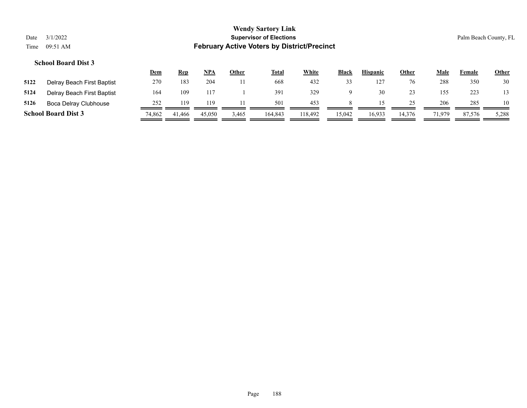|      |                            | <u>Dem</u> | Rep    | <u>NPA</u> | <u>Other</u> | <b>Total</b> | White   | <b>Black</b> | <b>Hispanic</b> | <u>Other</u> | Male   | Female | <b>Other</b> |
|------|----------------------------|------------|--------|------------|--------------|--------------|---------|--------------|-----------------|--------------|--------|--------|--------------|
| 5122 | Delray Beach First Baptist | 270        | 183    | 204        |              | 668          | 432     | 33           | 127             | 76           | 288    | 350    | 30           |
| 5124 | Delray Beach First Baptist | 164        | 109    | 117        |              | 391          | 329     |              | 30              | 23           | 155    | 223    | 13           |
| 5126 | Boca Delray Clubhouse      | 252        | 119    | 119        |              | 501          | 453     |              |                 | 25           | 206    | 285    | 10           |
|      | <b>School Board Dist 3</b> | 74,862     | 41,466 | 45,050     | 3,465        | 164.843      | 118.492 | 15.042       | 16.933          | 14.376       | 71.979 | 87,576 | 5,288        |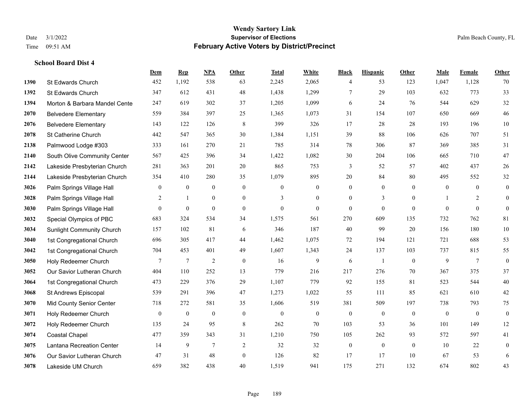# **Wendy Sartory Link** Date 3/1/2022 **Supervisor of Elections** Palm Beach County, FL Time 09:51 AM **February Active Voters by District/Precinct**

|      |                                  | Dem              | $\mathbf{Rep}$   | NPA              | Other          | <b>Total</b>     | White          | <b>Black</b>     | <b>Hispanic</b>  | Other          | Male             | Female         | Other            |
|------|----------------------------------|------------------|------------------|------------------|----------------|------------------|----------------|------------------|------------------|----------------|------------------|----------------|------------------|
| 1390 | St Edwards Church                | 452              | 1,192            | 538              | 63             | 2,245            | 2,065          | 4                | 53               | 123            | 1,047            | 1,128          | 70               |
| 1392 | St Edwards Church                | 347              | 612              | 431              | 48             | 1,438            | 1,299          | $\overline{7}$   | 29               | 103            | 632              | 773            | 33               |
| 1394 | Morton & Barbara Mandel Cente    | 247              | 619              | 302              | 37             | 1,205            | 1,099          | 6                | 24               | 76             | 544              | 629            | 32               |
| 2070 | <b>Belvedere Elementary</b>      | 559              | 384              | 397              | 25             | 1,365            | 1,073          | 31               | 154              | 107            | 650              | 669            | 46               |
| 2076 | <b>Belvedere Elementary</b>      | 143              | 122              | 126              | 8              | 399              | 326            | 17               | 28               | 28             | 193              | 196            | $10\,$           |
| 2078 | St Catherine Church              | 442              | 547              | 365              | 30             | 1,384            | 1,151          | 39               | 88               | 106            | 626              | 707            | 51               |
| 2138 | Palmwood Lodge #303              | 333              | 161              | 270              | 21             | 785              | 314            | 78               | 306              | 87             | 369              | 385            | 31               |
| 2140 | South Olive Community Center     | 567              | 425              | 396              | 34             | 1,422            | 1,082          | 30               | 204              | 106            | 665              | 710            | 47               |
| 2142 | Lakeside Presbyterian Church     | 281              | 363              | 201              | 20             | 865              | 753            | 3                | 52               | 57             | 402              | 437            | 26               |
| 2144 | Lakeside Presbyterian Church     | 354              | 410              | 280              | 35             | 1,079            | 895            | 20               | 84               | 80             | 495              | 552            | $32\,$           |
| 3026 | Palm Springs Village Hall        | $\mathbf{0}$     | $\boldsymbol{0}$ | $\boldsymbol{0}$ | $\mathbf{0}$   | $\mathbf{0}$     | $\overline{0}$ | $\boldsymbol{0}$ | $\boldsymbol{0}$ | $\overline{0}$ | $\mathbf{0}$     | $\overline{0}$ | $\boldsymbol{0}$ |
| 3028 | Palm Springs Village Hall        | 2                | 1                | $\mathbf{0}$     | $\overline{0}$ | 3                | $\mathbf{0}$   | $\mathbf{0}$     | 3                | $\theta$       | 1                | 2              | $\mathbf{0}$     |
| 3030 | Palm Springs Village Hall        | $\Omega$         | $\mathbf{0}$     | $\theta$         | $\mathbf{0}$   | $\mathbf{0}$     | $\overline{0}$ | $\mathbf{0}$     | $\theta$         | $\theta$       | $\theta$         | $\theta$       | $\mathbf{0}$     |
| 3032 | Special Olympics of PBC          | 683              | 324              | 534              | 34             | 1,575            | 561            | 270              | 609              | 135            | 732              | 762            | 81               |
| 3034 | <b>Sunlight Community Church</b> | 157              | 102              | 81               | 6              | 346              | 187            | 40               | 99               | 20             | 156              | 180            | $10\,$           |
| 3040 | 1st Congregational Church        | 696              | 305              | 417              | 44             | 1,462            | 1,075          | 72               | 194              | 121            | 721              | 688            | 53               |
| 3042 | 1st Congregational Church        | 704              | 453              | 401              | 49             | 1,607            | 1,343          | 24               | 137              | 103            | 737              | 815            | 55               |
| 3050 | Holy Redeemer Church             | $7\phantom{.0}$  | 7                | 2                | $\mathbf{0}$   | 16               | 9              | 6                | $\mathbf{1}$     | $\mathbf{0}$   | 9                | $\overline{7}$ | $\boldsymbol{0}$ |
| 3052 | Our Savior Lutheran Church       | 404              | 110              | 252              | 13             | 779              | 216            | 217              | 276              | 70             | 367              | 375            | 37               |
| 3064 | 1st Congregational Church        | 473              | 229              | 376              | 29             | 1,107            | 779            | 92               | 155              | 81             | 523              | 544            | $40\,$           |
| 3068 | St Andrews Episcopal             | 539              | 291              | 396              | 47             | 1,273            | 1,022          | 55               | 111              | 85             | 621              | 610            | 42               |
| 3070 | Mid County Senior Center         | 718              | 272              | 581              | 35             | 1,606            | 519            | 381              | 509              | 197            | 738              | 793            | 75               |
| 3071 | Holy Redeemer Church             | $\boldsymbol{0}$ | $\boldsymbol{0}$ | $\boldsymbol{0}$ | $\mathbf{0}$   | $\boldsymbol{0}$ | $\mathbf{0}$   | $\boldsymbol{0}$ | $\boldsymbol{0}$ | $\mathbf{0}$   | $\boldsymbol{0}$ | $\mathbf{0}$   | $\boldsymbol{0}$ |
| 3072 | Holy Redeemer Church             | 135              | 24               | 95               | 8              | 262              | 70             | 103              | 53               | 36             | 101              | 149            | 12               |
| 3074 | <b>Coastal Chapel</b>            | 477              | 359              | 343              | 31             | 1,210            | 750            | 105              | 262              | 93             | 572              | 597            | 41               |
| 3075 | Lantana Recreation Center        | 14               | 9                | $\overline{7}$   | 2              | 32               | 32             | $\boldsymbol{0}$ | $\mathbf{0}$     | $\mathbf{0}$   | 10               | 22             | $\mathbf{0}$     |
| 3076 | Our Savior Lutheran Church       | 47               | 31               | 48               | $\theta$       | 126              | 82             | 17               | 17               | 10             | 67               | 53             | 6                |
| 3078 | Lakeside UM Church               | 659              | 382              | 438              | 40             | 1.519            | 941            | 175              | 271              | 132            | 674              | 802            | 43               |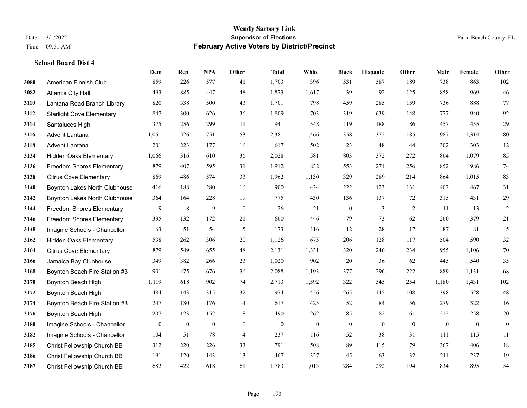|      |                                  | Dem          | <b>Rep</b>   | NPA            | <b>Other</b>   | <b>Total</b> | <b>White</b> | <b>Black</b>     | <b>Hispanic</b> | <b>Other</b> | <b>Male</b>  | <b>Female</b> | <b>Other</b>     |
|------|----------------------------------|--------------|--------------|----------------|----------------|--------------|--------------|------------------|-----------------|--------------|--------------|---------------|------------------|
| 3080 | American Finnish Club            | 859          | 226          | 577            | 41             | 1,703        | 396          | 531              | 587             | 189          | 738          | 863           | 102              |
| 3082 | <b>Atlantis City Hall</b>        | 493          | 885          | 447            | 48             | 1,873        | 1,617        | 39               | 92              | 125          | 858          | 969           | 46               |
| 3110 | Lantana Road Branch Library      | 820          | 338          | 500            | 43             | 1,701        | 798          | 459              | 285             | 159          | 736          | 888           | 77               |
| 3112 | <b>Starlight Cove Elementary</b> | 847          | 300          | 626            | 36             | 1,809        | 703          | 319              | 639             | 148          | 777          | 940           | 92               |
| 3114 | Santaluces High                  | 375          | 256          | 299            | 11             | 941          | 548          | 119              | 188             | 86           | 457          | 455           | 29               |
| 3116 | Advent Lantana                   | 1,051        | 526          | 751            | 53             | 2,381        | 1,466        | 358              | 372             | 185          | 987          | 1,314         | 80               |
| 3118 | Advent Lantana                   | 201          | 223          | 177            | 16             | 617          | 502          | 23               | 48              | 44           | 302          | 303           | 12               |
| 3134 | <b>Hidden Oaks Elementary</b>    | 1,066        | 316          | 610            | 36             | 2,028        | 581          | 803              | 372             | 272          | 864          | 1,079         | 85               |
| 3136 | <b>Freedom Shores Elementary</b> | 879          | 407          | 595            | 31             | 1,912        | 832          | 553              | 271             | 256          | 852          | 986           | $74\,$           |
| 3138 | <b>Citrus Cove Elementary</b>    | 869          | 486          | 574            | 33             | 1,962        | 1,130        | 329              | 289             | 214          | 864          | 1.015         | 83               |
| 3140 | Boynton Lakes North Clubhouse    | 416          | 188          | 280            | 16             | 900          | 424          | 222              | 123             | 131          | 402          | 467           | 31               |
| 3142 | Boynton Lakes North Clubhouse    | 364          | 164          | 228            | 19             | 775          | 430          | 136              | 137             | 72           | 315          | 431           | 29               |
| 3144 | <b>Freedom Shores Elementary</b> | 9            | 8            | 9              | $\mathbf{0}$   | 26           | 21           | $\boldsymbol{0}$ | 3               | 2            | 11           | 13            | $\overline{c}$   |
| 3146 | <b>Freedom Shores Elementary</b> | 335          | 132          | 172            | 21             | 660          | 446          | 79               | 73              | 62           | 260          | 379           | 21               |
| 3148 | Imagine Schools - Chancellor     | 63           | 51           | 54             | 5              | 173          | 116          | 12               | 28              | 17           | 87           | 81            | 5                |
| 3162 | <b>Hidden Oaks Elementary</b>    | 538          | 262          | 306            | 20             | 1,126        | 675          | 206              | 128             | 117          | 504          | 590           | $32\,$           |
| 3164 | <b>Citrus Cove Elementary</b>    | 879          | 549          | 655            | 48             | 2,131        | 1,331        | 320              | 246             | 234          | 955          | 1,106         | 70               |
| 3166 | Jamaica Bay Clubhouse            | 349          | 382          | 266            | 23             | 1,020        | 902          | 20               | 36              | 62           | 445          | 540           | 35               |
| 3168 | Boynton Beach Fire Station #3    | 901          | 475          | 676            | 36             | 2,088        | 1,193        | 377              | 296             | 222          | 889          | 1,131         | 68               |
| 3170 | Boynton Beach High               | 1,119        | 618          | 902            | 74             | 2,713        | 1,592        | 322              | 545             | 254          | 1,180        | 1,431         | 102              |
| 3172 | Boynton Beach High               | 484          | 143          | 315            | 32             | 974          | 456          | 265              | 145             | 108          | 398          | 528           | $48\,$           |
| 3174 | Boynton Beach Fire Station #3    | 247          | 180          | 176            | 14             | 617          | 425          | 52               | 84              | 56           | 279          | 322           | 16               |
| 3176 | Boynton Beach High               | 207          | 123          | 152            | 8              | 490          | 262          | 85               | 82              | 61           | 212          | 258           | $20\,$           |
| 3180 | Imagine Schools - Chancellor     | $\mathbf{0}$ | $\mathbf{0}$ | $\overline{0}$ | $\overline{0}$ | $\mathbf{0}$ | $\mathbf{0}$ | $\boldsymbol{0}$ | $\mathbf{0}$    | $\theta$     | $\mathbf{0}$ | $\mathbf{0}$  | $\boldsymbol{0}$ |
| 3182 | Imagine Schools - Chancellor     | 104          | 51           | 78             | $\overline{4}$ | 237          | 116          | 52               | 38              | 31           | 111          | 115           | $11\,$           |
| 3185 | Christ Fellowship Church BB      | 312          | 220          | 226            | 33             | 791          | 508          | 89               | 115             | 79           | 367          | 406           | $18\,$           |
| 3186 | Christ Fellowship Church BB      | 191          | 120          | 143            | 13             | 467          | 327          | 45               | 63              | 32           | 211          | 237           | 19               |
| 3187 | Christ Fellowship Church BB      | 682          | 422          | 618            | 61             | 1,783        | 1,013        | 284              | 292             | 194          | 834          | 895           | 54               |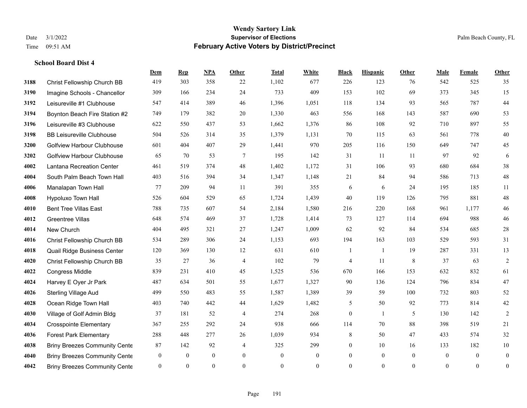#### **Wendy Sartory Link** Date 3/1/2022 **Supervisor of Elections** Palm Beach County, FL Time 09:51 AM **February Active Voters by District/Precinct**

# **Dem Rep NPA Other Total White Black Hispanic Other Male Female Other** Christ Fellowship Church BB 419 303 358 22 1,102 677 226 123 76 542 525 35 Imagine Schools - Chancellor 309 166 234 24 733 409 153 102 69 373 345 15 Leisureville #1 Clubhouse 547 414 389 46 1,396 1,051 118 134 93 565 787 44 Boynton Beach Fire Station #2 749 179 382 20 1,330 463 556 168 143 587 690 53 Leisureville #3 Clubhouse 622 550 437 53 1,662 1,376 86 108 92 710 897 55 BB Leisureville Clubhouse 504 526 314 35 1,379 1,131 70 115 63 561 778 40 Golfview Harbour Clubhouse 601 404 407 29 1,441 970 205 116 150 649 747 45 Golfview Harbour Clubhouse 65 70 53 7 195 142 31 11 11 97 92 6 Lantana Recreation Center 461 519 374 48 1,402 1,172 31 106 93 680 684 38 South Palm Beach Town Hall 403 516 394 34 1,347 1,148 21 84 94 586 713 48 Manalapan Town Hall 77 209 94 11 391 355 6 6 24 195 185 11 Hypoluxo Town Hall 526 604 529 65 1,724 1,439 40 119 126 795 881 48 Bent Tree Villas East 788 735 607 54 2,184 1,580 216 220 168 961 1,177 46 Greentree Villas 648 574 469 37 1,728 1,414 73 127 114 694 988 46 New Church 404 495 321 27 1,247 1,009 62 92 84 534 685 28 Christ Fellowship Church BB 534 289 306 24 1,153 693 194 163 103 529 593 31 Quail Ridge Business Center 120 369 130 12 631 610 1 1 19 287 331 13 Christ Fellowship Church BB 35 27 36 4 102 79 4 11 8 37 63 2 Congress Middle 839 231 410 45 1,525 536 670 166 153 632 832 61 Harvey E Oyer Jr Park 487 634 501 55 1,677 1,327 90 136 124 796 834 47 Sterling Village Aud 499 550 483 55 1,587 1,389 39 59 100 732 803 52 Ocean Ridge Town Hall 403 740 442 44 1,629 1,482 5 50 92 773 814 42 Village of Golf Admin Bldg 37 181 52 4 274 268 0 1 5 130 142 2 Crosspointe Elementary 367 255 292 24 938 666 114 70 88 398 519 21 Forest Park Elementary 288 448 277 26 1,039 934 8 50 47 433 574 32 **4038 Briny Breezes Community Cente** 87 142 92 4 325 299 0 10 16 133 182 10 Briny Breezes Community Center 0 0 0 0 0 0 0 0 0 0 0 0 Briny Breezes Community Center 0 0 0 0 0 0 0 0 0 0 0 0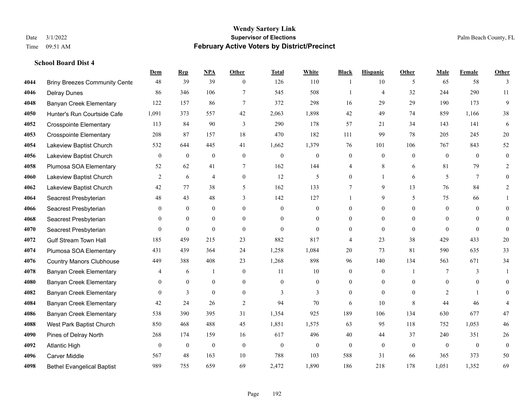#### **Wendy Sartory Link** Date 3/1/2022 **Supervisor of Elections** Palm Beach County, FL Time 09:51 AM **February Active Voters by District/Precinct**

# **Dem Rep NPA Other Total White Black Hispanic Other Male Female Other** Briny Breezes Community Cente  $\begin{array}{cccc} 48 & 39 & 39 & 0 & 126 & 110 & 1 & 10 & 5 & 65 & 58 & 3 \end{array}$  Delray Dunes 86 346 106 7 545 508 1 4 32 244 290 11 Banyan Creek Elementary 122 157 86 7 372 298 16 29 29 190 173 9 Hunter's Run Courtside Cafe 1,091 373 557 42 2,063 1,898 42 49 74 859 1,166 38 Crosspointe Elementary 113 84 90 3 290 178 57 21 34 143 141 6 Crosspointe Elementary 208 87 157 18 470 182 111 99 78 205 245 20 Lakeview Baptist Church 532 644 445 41 1,662 1,379 76 101 106 767 843 52 Lakeview Baptist Church 0 0 0 0 0 0 0 0 0 0 0 0 Plumosa SOA Elementary 52 62 41 7 162 144 4 8 6 81 79 2 Lakeview Baptist Church 2 6 4 0 12 5 0 1 6 5 7 0 Lakeview Baptist Church 42 77 38 5 162 133 7 9 13 76 84 2 Seacrest Presbyterian **48** 43 48 3 142 127 1 9 5 75 66 1 Seacrest Presbyterian 0 0 0 0 0 0 0 0 0 0 0 0 Seacrest Presbyterian 0 0 0 0 0 0 0 0 0 0 0 0 Seacrest Presbyterian 0 0 0 0 0 0 0 0 0 0 0 0 Gulf Stream Town Hall 185 459 215 23 882 817 4 23 38 429 433 20 Plumosa SOA Elementary 431 439 364 24 1,258 1,084 20 73 81 590 635 33 Country Manors Clubhouse 449 388 408 23 1,268 898 96 140 134 563 671 34 Banyan Creek Elementary 4 6 1 0 11 10 0 0 1 7 3 1 Banyan Creek Elementary 0 0 0 0 0 0 0 0 0 0 0 0 **4082 Banyan Creek Elementary 0 3 0 0 3 3 3 0 0 0 2 1 0**  Banyan Creek Elementary 42 24 26 2 94 70 6 10 8 44 46 4 Banyan Creek Elementary 538 390 395 31 1,354 925 189 106 134 630 677 47 West Park Baptist Church 850 468 488 45 1,851 1,575 63 95 118 752 1,053 46 Pines of Delray North 268 174 159 16 617 496 40 44 37 240 351 26 Atlantic High 0 0 0 0 0 0 0 0 0 0 0 0 Carver Middle 567 48 163 10 788 103 588 31 66 365 373 50 Bethel Evangelical Baptist 989 755 659 69 2,472 1,890 186 218 178 1,051 1,352 69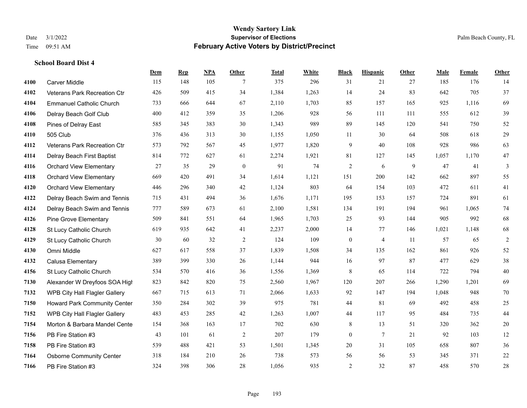|      |                                      | Dem | <b>Rep</b> | NPA | <b>Other</b>     | <b>Total</b> | <b>White</b> | <b>Black</b>     | <b>Hispanic</b> | <b>Other</b> | <b>Male</b> | Female | <b>Other</b> |
|------|--------------------------------------|-----|------------|-----|------------------|--------------|--------------|------------------|-----------------|--------------|-------------|--------|--------------|
| 4100 | Carver Middle                        | 115 | 148        | 105 | 7                | 375          | 296          | 31               | 21              | 27           | 185         | 176    | 14           |
| 4102 | Veterans Park Recreation Ctr         | 426 | 509        | 415 | 34               | 1,384        | 1,263        | 14               | 24              | 83           | 642         | 705    | 37           |
| 4104 | <b>Emmanuel Catholic Church</b>      | 733 | 666        | 644 | 67               | 2,110        | 1,703        | 85               | 157             | 165          | 925         | 1,116  | 69           |
| 4106 | Delray Beach Golf Club               | 400 | 412        | 359 | 35               | 1,206        | 928          | 56               | 111             | 111          | 555         | 612    | 39           |
| 4108 | Pines of Delray East                 | 585 | 345        | 383 | 30               | 1,343        | 989          | 89               | 145             | 120          | 541         | 750    | $52\,$       |
| 4110 | 505 Club                             | 376 | 436        | 313 | 30               | 1,155        | 1,050        | 11               | 30              | 64           | 508         | 618    | $29\,$       |
| 4112 | Veterans Park Recreation Ctr         | 573 | 792        | 567 | 45               | 1,977        | 1,820        | 9                | 40              | 108          | 928         | 986    | 63           |
| 4114 | Delray Beach First Baptist           | 814 | 772        | 627 | 61               | 2,274        | 1,921        | 81               | 127             | 145          | 1,057       | 1.170  | 47           |
| 4116 | <b>Orchard View Elementary</b>       | 27  | 35         | 29  | $\boldsymbol{0}$ | 91           | 74           | $\overline{c}$   | 6               | 9            | 47          | 41     | 3            |
| 4118 | <b>Orchard View Elementary</b>       | 669 | 420        | 491 | 34               | 1,614        | 1,121        | 151              | 200             | 142          | 662         | 897    | 55           |
| 4120 | <b>Orchard View Elementary</b>       | 446 | 296        | 340 | 42               | 1,124        | 803          | 64               | 154             | 103          | 472         | 611    | 41           |
| 4122 | Delray Beach Swim and Tennis         | 715 | 431        | 494 | 36               | 1,676        | 1,171        | 195              | 153             | 157          | 724         | 891    | 61           |
| 4124 | Delray Beach Swim and Tennis         | 777 | 589        | 673 | 61               | 2,100        | 1,581        | 134              | 191             | 194          | 961         | 1,065  | $74\,$       |
| 4126 | <b>Pine Grove Elementary</b>         | 509 | 841        | 551 | 64               | 1,965        | 1,703        | 25               | 93              | 144          | 905         | 992    | 68           |
| 4128 | St Lucy Catholic Church              | 619 | 935        | 642 | 41               | 2,237        | 2,000        | 14               | 77              | 146          | 1,021       | 1,148  | 68           |
| 4129 | St Lucy Catholic Church              | 30  | 60         | 32  | 2                | 124          | 109          | $\boldsymbol{0}$ | 4               | 11           | 57          | 65     | $\sqrt{2}$   |
| 4130 | Omni Middle                          | 627 | 617        | 558 | 37               | 1,839        | 1,508        | 34               | 135             | 162          | 861         | 926    | 52           |
| 4132 | Calusa Elementary                    | 389 | 399        | 330 | 26               | 1,144        | 944          | 16               | 97              | 87           | 477         | 629    | $38\,$       |
| 4156 | St Lucy Catholic Church              | 534 | 570        | 416 | 36               | 1,556        | 1,369        | $\,$ 8 $\,$      | 65              | 114          | 722         | 794    | $40\,$       |
| 7130 | Alexander W Dreyfoos SOA High        | 823 | 842        | 820 | 75               | 2,560        | 1,967        | 120              | 207             | 266          | 1,290       | 1,201  | 69           |
| 7132 | <b>WPB City Hall Flagler Gallery</b> | 667 | 715        | 613 | 71               | 2,066        | 1,633        | 92               | 147             | 194          | 1,048       | 948    | $70\,$       |
| 7150 | Howard Park Community Center         | 350 | 284        | 302 | 39               | 975          | 781          | 44               | 81              | 69           | 492         | 458    | 25           |
| 7152 | WPB City Hall Flagler Gallery        | 483 | 453        | 285 | 42               | 1,263        | 1,007        | 44               | 117             | 95           | 484         | 735    | $44\,$       |
| 7154 | Morton & Barbara Mandel Cente        | 154 | 368        | 163 | 17               | 702          | 630          | 8                | 13              | 51           | 320         | 362    | $20\,$       |
| 7156 | PB Fire Station #3                   | 43  | 101        | 61  | 2                | 207          | 179          | $\boldsymbol{0}$ | $\tau$          | 21           | 92          | 103    | 12           |
| 7158 | PB Fire Station #3                   | 539 | 488        | 421 | 53               | 1,501        | 1,345        | 20               | 31              | 105          | 658         | 807    | $36\,$       |
| 7164 | <b>Osborne Community Center</b>      | 318 | 184        | 210 | 26               | 738          | 573          | 56               | 56              | 53           | 345         | 371    | $22\,$       |
| 7166 | PB Fire Station #3                   | 324 | 398        | 306 | 28               | 1,056        | 935          | $\overline{2}$   | 32              | 87           | 458         | 570    | $28\,$       |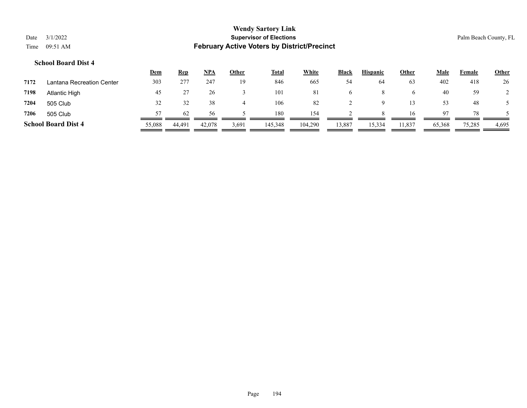|      |                            | <u>Dem</u> | <b>Rep</b> | NPA    | Other | <b>Total</b> | White   | <b>Black</b> | <b>Hispanic</b> | <b>Other</b> | Male   | Female | <b>Other</b> |
|------|----------------------------|------------|------------|--------|-------|--------------|---------|--------------|-----------------|--------------|--------|--------|--------------|
| 7172 | Lantana Recreation Center  | 303        | 277        | 247    | 19    | 846          | 665     | 54           | 64              | 63           | 402    | 418    | 26           |
| 7198 | Atlantic High              | 45         |            | 26     |       | 101          | 81      | $\sigma$     |                 |              | 40     | 59     |              |
| 7204 | 505 Club                   | 32         |            | 38     | 4     | 106          | 82      |              |                 |              | 53     | 48     |              |
| 7206 | 505 Club                   | 57         | 62         | 56     |       | 180          | 154     |              |                 | 16           | 97     | 78     |              |
|      | <b>School Board Dist 4</b> | 55,088     | 44.491     | 42,078 | 3,691 | 145,348      | 104,290 | 13,887       | 15,334          | 11,837       | 65,368 | 75,285 | 4,695        |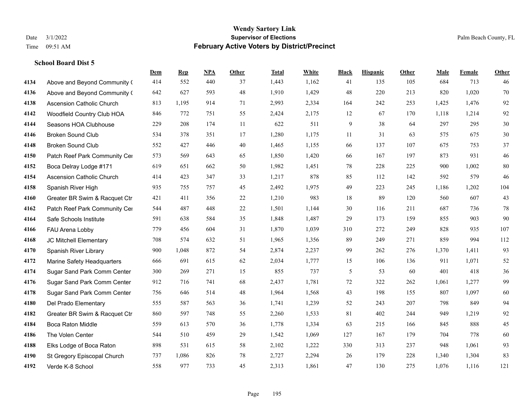|      |                                  | Dem | <b>Rep</b> | NPA | <b>Other</b> | <b>Total</b> | <b>White</b> | <b>Black</b> | <b>Hispanic</b> | <b>Other</b> | <b>Male</b> | <b>Female</b> | <b>Other</b> |
|------|----------------------------------|-----|------------|-----|--------------|--------------|--------------|--------------|-----------------|--------------|-------------|---------------|--------------|
| 4134 | Above and Beyond Community (     | 414 | 552        | 440 | 37           | 1,443        | 1,162        | 41           | 135             | 105          | 684         | 713           | 46           |
| 4136 | Above and Beyond Community (     | 642 | 627        | 593 | 48           | 1,910        | 1,429        | 48           | 220             | 213          | 820         | 1,020         | 70           |
| 4138 | <b>Ascension Catholic Church</b> | 813 | 1,195      | 914 | 71           | 2,993        | 2,334        | 164          | 242             | 253          | 1,425       | 1,476         | 92           |
| 4142 | Woodfield Country Club HOA       | 846 | 772        | 751 | 55           | 2,424        | 2,175        | 12           | 67              | 170          | 1,118       | 1,214         | 92           |
| 4144 | Seasons HOA Clubhouse            | 229 | 208        | 174 | 11           | 622          | 511          | 9            | 38              | 64           | 297         | 295           | $30\,$       |
| 4146 | <b>Broken Sound Club</b>         | 534 | 378        | 351 | 17           | 1,280        | 1,175        | 11           | 31              | 63           | 575         | 675           | $30\,$       |
| 4148 | <b>Broken Sound Club</b>         | 552 | 427        | 446 | 40           | 1,465        | 1,155        | 66           | 137             | 107          | 675         | 753           | 37           |
| 4150 | Patch Reef Park Community Cer    | 573 | 569        | 643 | 65           | 1,850        | 1,420        | 66           | 167             | 197          | 873         | 931           | $46\,$       |
| 4152 | Boca Delray Lodge #171           | 619 | 651        | 662 | 50           | 1,982        | 1,451        | 78           | 228             | 225          | 900         | 1,002         | $80\,$       |
| 4154 | <b>Ascension Catholic Church</b> | 414 | 423        | 347 | 33           | 1,217        | 878          | 85           | 112             | 142          | 592         | 579           | 46           |
| 4158 | Spanish River High               | 935 | 755        | 757 | 45           | 2,492        | 1,975        | 49           | 223             | 245          | 1,186       | 1,202         | 104          |
| 4160 | Greater BR Swim & Racquet Ctr    | 421 | 411        | 356 | 22           | 1,210        | 983          | 18           | 89              | 120          | 560         | 607           | 43           |
| 4162 | Patch Reef Park Community Cer    | 544 | 487        | 448 | 22           | 1,501        | 1,144        | 30           | 116             | 211          | 687         | 736           | $78\,$       |
| 4164 | Safe Schools Institute           | 591 | 638        | 584 | 35           | 1,848        | 1,487        | 29           | 173             | 159          | 855         | 903           | 90           |
| 4166 | FAU Arena Lobby                  | 779 | 456        | 604 | 31           | 1,870        | 1,039        | 310          | 272             | 249          | 828         | 935           | 107          |
| 4168 | JC Mitchell Elementary           | 708 | 574        | 632 | 51           | 1,965        | 1,356        | 89           | 249             | 271          | 859         | 994           | 112          |
| 4170 | Spanish River Library            | 900 | 1,048      | 872 | 54           | 2,874        | 2,237        | 99           | 262             | 276          | 1,370       | 1,411         | 93           |
| 4172 | Marine Safety Headquarters       | 666 | 691        | 615 | 62           | 2,034        | 1,777        | 15           | 106             | 136          | 911         | 1,071         | $52\,$       |
| 4174 | Sugar Sand Park Comm Center      | 300 | 269        | 271 | 15           | 855          | 737          | 5            | 53              | 60           | 401         | 418           | 36           |
| 4176 | Sugar Sand Park Comm Center      | 912 | 716        | 741 | 68           | 2,437        | 1,781        | 72           | 322             | 262          | 1,061       | 1,277         | 99           |
| 4178 | Sugar Sand Park Comm Center      | 756 | 646        | 514 | 48           | 1,964        | 1,568        | 43           | 198             | 155          | 807         | 1,097         | 60           |
| 4180 | Del Prado Elementary             | 555 | 587        | 563 | 36           | 1,741        | 1,239        | 52           | 243             | 207          | 798         | 849           | 94           |
| 4182 | Greater BR Swim & Racquet Ctr    | 860 | 597        | 748 | 55           | 2,260        | 1,533        | $81\,$       | 402             | 244          | 949         | 1,219         | 92           |
| 4184 | <b>Boca Raton Middle</b>         | 559 | 613        | 570 | 36           | 1,778        | 1,334        | 63           | 215             | 166          | 845         | 888           | 45           |
| 4186 | The Volen Center                 | 544 | 510        | 459 | 29           | 1,542        | 1,069        | 127          | 167             | 179          | 704         | 778           | 60           |
| 4188 | Elks Lodge of Boca Raton         | 898 | 531        | 615 | 58           | 2,102        | 1,222        | 330          | 313             | 237          | 948         | 1,061         | 93           |
| 4190 | St Gregory Episcopal Church      | 737 | 1,086      | 826 | 78           | 2,727        | 2,294        | 26           | 179             | 228          | 1,340       | 1,304         | 83           |
| 4192 | Verde K-8 School                 | 558 | 977        | 733 | 45           | 2,313        | 1,861        | 47           | 130             | 275          | 1,076       | 1,116         | 121          |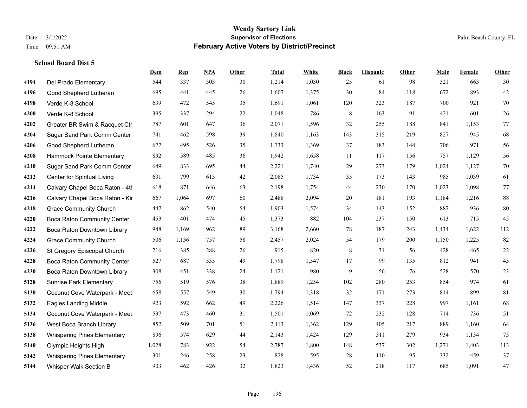|      |                                    | Dem   | <b>Rep</b> | NPA | <b>Other</b> | <b>Total</b> | White | <b>Black</b> | <b>Hispanic</b> | <b>Other</b> | <b>Male</b> | Female | <b>Other</b> |
|------|------------------------------------|-------|------------|-----|--------------|--------------|-------|--------------|-----------------|--------------|-------------|--------|--------------|
| 4194 | Del Prado Elementary               | 544   | 337        | 303 | 30           | 1,214        | 1,030 | 25           | 61              | 98           | 521         | 663    | 30           |
| 4196 | Good Shepherd Lutheran             | 695   | 441        | 445 | 26           | 1,607        | 1,375 | 30           | 84              | 118          | 672         | 893    | $42\,$       |
| 4198 | Verde K-8 School                   | 639   | 472        | 545 | 35           | 1,691        | 1,061 | 120          | 323             | 187          | 700         | 921    | $70\,$       |
| 4200 | Verde K-8 School                   | 395   | 337        | 294 | 22           | 1,048        | 786   | $\,$ 8 $\,$  | 163             | 91           | 421         | 601    | $26\,$       |
| 4202 | Greater BR Swim & Racquet Ctr      | 787   | 601        | 647 | 36           | 2,071        | 1,596 | 32           | 255             | 188          | 841         | 1,153  | $77\,$       |
| 4204 | Sugar Sand Park Comm Center        | 741   | 462        | 598 | 39           | 1,840        | 1,163 | 143          | 315             | 219          | 827         | 945    | 68           |
| 4206 | Good Shepherd Lutheran             | 677   | 495        | 526 | 35           | 1,733        | 1,369 | 37           | 183             | 144          | 706         | 971    | 56           |
| 4208 | Hammock Pointe Elementary          | 832   | 589        | 485 | 36           | 1,942        | 1,658 | 11           | 117             | 156          | 757         | 1,129  | 56           |
| 4210 | Sugar Sand Park Comm Center        | 649   | 833        | 695 | 44           | 2,221        | 1,740 | 29           | 273             | 179          | 1,024       | 1,127  | $70\,$       |
| 4212 | Center for Spiritual Living        | 631   | 799        | 613 | 42           | 2,085        | 1,734 | 35           | 173             | 143          | 985         | 1,039  | 61           |
| 4214 | Calvary Chapel Boca Raton - 4th    | 618   | 871        | 646 | 63           | 2,198        | 1,754 | 44           | 230             | 170          | 1,023       | 1,098  | 77           |
| 4216 | Calvary Chapel Boca Raton - Kir    | 667   | 1.064      | 697 | 60           | 2,488        | 2,094 | 20           | 181             | 193          | 1,184       | 1,216  | $88\,$       |
| 4218 | <b>Grace Community Church</b>      | 447   | 862        | 540 | 54           | 1,903        | 1,574 | 34           | 143             | 152          | 887         | 936    | $80\,$       |
| 4220 | Boca Raton Community Center        | 453   | 401        | 474 | 45           | 1,373        | 882   | 104          | 237             | 150          | 613         | 715    | 45           |
| 4222 | Boca Raton Downtown Library        | 948   | 1,169      | 962 | 89           | 3,168        | 2,660 | 78           | 187             | 243          | 1,434       | 1,622  | 112          |
| 4224 | <b>Grace Community Church</b>      | 506   | 1,136      | 757 | 58           | 2,457        | 2,024 | 54           | 179             | 200          | 1,150       | 1,225  | $82\,$       |
| 4226 | St Gregory Episcopal Church        | 216   | 385        | 288 | 26           | 915          | 820   | 8            | 31              | 56           | 428         | 465    | 22           |
| 4228 | <b>Boca Raton Community Center</b> | 527   | 687        | 535 | 49           | 1,798        | 1,547 | 17           | 99              | 135          | 812         | 941    | $45\,$       |
| 4230 | Boca Raton Downtown Library        | 308   | 451        | 338 | 24           | 1,121        | 980   | 9            | 56              | 76           | 528         | 570    | $23\,$       |
| 5128 | <b>Sunrise Park Elementary</b>     | 756   | 519        | 576 | 38           | 1,889        | 1,254 | 102          | 280             | 253          | 854         | 974    | 61           |
| 5130 | Coconut Cove Waterpark - Meet      | 658   | 557        | 549 | 30           | 1,794        | 1,318 | 32           | 171             | 273          | 814         | 899    | 81           |
| 5132 | <b>Eagles Landing Middle</b>       | 923   | 592        | 662 | 49           | 2,226        | 1,514 | 147          | 337             | 228          | 997         | 1,161  | 68           |
| 5134 | Coconut Cove Waterpark - Meet      | 537   | 473        | 460 | 31           | 1,501        | 1,069 | 72           | 232             | 128          | 714         | 736    | 51           |
| 5136 | West Boca Branch Library           | 852   | 509        | 701 | 51           | 2,113        | 1,362 | 129          | 405             | 217          | 889         | 1,160  | 64           |
| 5138 | <b>Whispering Pines Elementary</b> | 896   | 574        | 629 | 44           | 2,143        | 1,424 | 129          | 311             | 279          | 934         | 1,134  | 75           |
| 5140 | Olympic Heights High               | 1,028 | 783        | 922 | 54           | 2,787        | 1,800 | 148          | 537             | 302          | 1,271       | 1,403  | 113          |
| 5142 | <b>Whispering Pines Elementary</b> | 301   | 246        | 258 | 23           | 828          | 595   | 28           | 110             | 95           | 332         | 459    | 37           |
| 5144 | Whisper Walk Section B             | 903   | 462        | 426 | 32           | 1,823        | 1,436 | 52           | 218             | 117          | 685         | 1,091  | $47\,$       |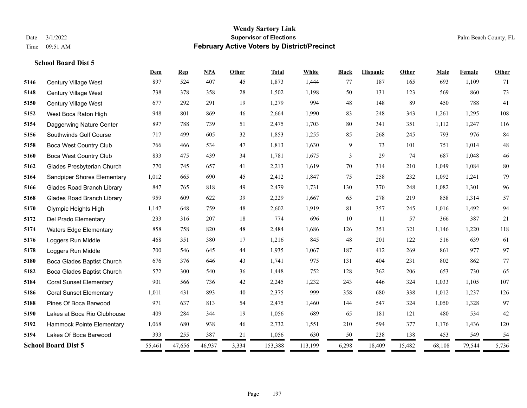## **Wendy Sartory Link** Date 3/1/2022 **Supervisor of Elections** Palm Beach County, FL Time 09:51 AM **February Active Voters by District/Precinct**

|      |                                   | Dem    | <b>Rep</b> | NPA    | <b>Other</b> | <b>Total</b> | White   | <b>Black</b> | <b>Hispanic</b> | Other  | Male   | <b>Female</b> | Other |
|------|-----------------------------------|--------|------------|--------|--------------|--------------|---------|--------------|-----------------|--------|--------|---------------|-------|
| 5146 | Century Village West              | 897    | 524        | 407    | 45           | 1,873        | 1,444   | 77           | 187             | 165    | 693    | 1,109         | 71    |
| 5148 | <b>Century Village West</b>       | 738    | 378        | 358    | 28           | 1,502        | 1,198   | 50           | 131             | 123    | 569    | 860           | 73    |
| 5150 | Century Village West              | 677    | 292        | 291    | 19           | 1,279        | 994     | 48           | 148             | 89     | 450    | 788           | 41    |
| 5152 | West Boca Raton High              | 948    | 801        | 869    | 46           | 2,664        | 1,990   | 83           | 248             | 343    | 1,261  | 1,295         | 108   |
| 5154 | Daggerwing Nature Center          | 897    | 788        | 739    | 51           | 2,475        | 1,703   | 80           | 341             | 351    | 1,112  | 1,247         | 116   |
| 5156 | Southwinds Golf Course            | 717    | 499        | 605    | 32           | 1,853        | 1,255   | 85           | 268             | 245    | 793    | 976           | 84    |
| 5158 | Boca West Country Club            | 766    | 466        | 534    | 47           | 1,813        | 1,630   | 9            | 73              | 101    | 751    | 1,014         | 48    |
| 5160 | Boca West Country Club            | 833    | 475        | 439    | 34           | 1,781        | 1,675   | 3            | 29              | 74     | 687    | 1,048         | 46    |
| 5162 | Glades Presbyterian Church        | 770    | 745        | 657    | 41           | 2,213        | 1,619   | 70           | 314             | 210    | 1,049  | 1,084         | 80    |
| 5164 | Sandpiper Shores Elementary       | 1,012  | 665        | 690    | 45           | 2,412        | 1,847   | 75           | 258             | 232    | 1.092  | 1,241         | 79    |
| 5166 | <b>Glades Road Branch Library</b> | 847    | 765        | 818    | 49           | 2,479        | 1,731   | 130          | 370             | 248    | 1,082  | 1,301         | 96    |
| 5168 | <b>Glades Road Branch Library</b> | 959    | 609        | 622    | 39           | 2,229        | 1,667   | 65           | 278             | 219    | 858    | 1,314         | 57    |
| 5170 | Olympic Heights High              | 1,147  | 648        | 759    | 48           | 2,602        | 1,919   | 81           | 357             | 245    | 1,016  | 1,492         | 94    |
| 5172 | Del Prado Elementary              | 233    | 316        | 207    | 18           | 774          | 696     | 10           | 11              | 57     | 366    | 387           | 21    |
| 5174 | <b>Waters Edge Elementary</b>     | 858    | 758        | 820    | 48           | 2,484        | 1,686   | 126          | 351             | 321    | 1,146  | 1,220         | 118   |
| 5176 | Loggers Run Middle                | 468    | 351        | 380    | 17           | 1,216        | 845     | 48           | 201             | 122    | 516    | 639           | 61    |
| 5178 | Loggers Run Middle                | 700    | 546        | 645    | 44           | 1,935        | 1,067   | 187          | 412             | 269    | 861    | 977           | 97    |
| 5180 | Boca Glades Baptist Church        | 676    | 376        | 646    | 43           | 1,741        | 975     | 131          | 404             | 231    | 802    | 862           | 77    |
| 5182 | Boca Glades Baptist Church        | 572    | 300        | 540    | 36           | 1,448        | 752     | 128          | 362             | 206    | 653    | 730           | 65    |
| 5184 | <b>Coral Sunset Elementary</b>    | 901    | 566        | 736    | 42           | 2,245        | 1,232   | 243          | 446             | 324    | 1,033  | 1,105         | 107   |
| 5186 | <b>Coral Sunset Elementary</b>    | 1,011  | 431        | 893    | 40           | 2,375        | 999     | 358          | 680             | 338    | 1,012  | 1,237         | 126   |
| 5188 | Pines Of Boca Barwood             | 971    | 637        | 813    | 54           | 2,475        | 1,460   | 144          | 547             | 324    | 1,050  | 1,328         | 97    |
| 5190 | Lakes at Boca Rio Clubhouse       | 409    | 284        | 344    | 19           | 1,056        | 689     | 65           | 181             | 121    | 480    | 534           | 42    |
| 5192 | Hammock Pointe Elementary         | 1,068  | 680        | 938    | 46           | 2,732        | 1,551   | 210          | 594             | 377    | 1,176  | 1,436         | 120   |
| 5194 | Lakes Of Boca Barwood             | 393    | 255        | 387    | 21           | 1,056        | 630     | 50           | 238             | 138    | 453    | 549           | 54    |
|      | <b>School Board Dist 5</b>        | 55,461 | 47,656     | 46,937 | 3,334        | 153,388      | 113,199 | 6,298        | 18,409          | 15.482 | 68,108 | 79.544        | 5,736 |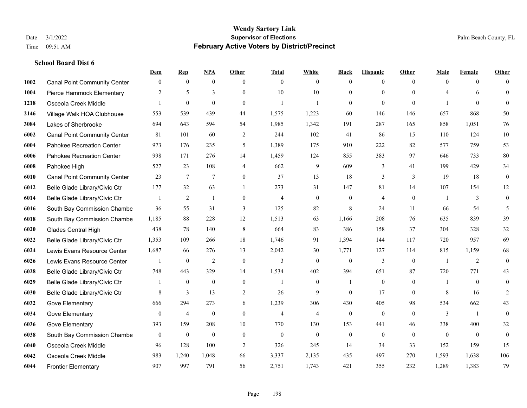|      |                                     | Dem          | <b>Rep</b>       | NPA              | <b>Other</b>   | <b>Total</b>   | <b>White</b>   | <b>Black</b>     | <b>Hispanic</b> | <b>Other</b>   | <b>Male</b>  | <b>Female</b>  | <b>Other</b>     |
|------|-------------------------------------|--------------|------------------|------------------|----------------|----------------|----------------|------------------|-----------------|----------------|--------------|----------------|------------------|
| 1002 | <b>Canal Point Community Center</b> | $\mathbf{0}$ | $\mathbf{0}$     | $\mathbf{0}$     | $\theta$       | $\theta$       | $\overline{0}$ | $\mathbf{0}$     | $\overline{0}$  | $\theta$       | $\mathbf{0}$ | $\overline{0}$ | $\Omega$         |
| 1004 | Pierce Hammock Elementary           | 2            | 5                | $\overline{3}$   | $\Omega$       | 10             | 10             | $\mathbf{0}$     | $\mathbf{0}$    | $\Omega$       | 4            | 6              | $\mathbf{0}$     |
| 1218 | Osceola Creek Middle                | $\mathbf{1}$ | $\boldsymbol{0}$ | $\mathbf{0}$     | $\Omega$       | $\mathbf{1}$   | $\mathbf{1}$   | $\mathbf{0}$     | $\mathbf{0}$    | $\theta$       |              | $\theta$       | $\theta$         |
| 2146 | Village Walk HOA Clubhouse          | 553          | 539              | 439              | 44             | 1,575          | 1,223          | 60               | 146             | 146            | 657          | 868            | 50               |
| 3084 | Lakes of Sherbrooke                 | 694          | 643              | 594              | 54             | 1,985          | 1,342          | 191              | 287             | 165            | 858          | 1.051          | 76               |
| 6002 | <b>Canal Point Community Center</b> | 81           | 101              | 60               | $\overline{2}$ | 244            | 102            | 41               | 86              | 15             | 110          | 124            | $10\,$           |
| 6004 | Pahokee Recreation Center           | 973          | 176              | 235              | 5              | 1,389          | 175            | 910              | 222             | 82             | 577          | 759            | 53               |
| 6006 | Pahokee Recreation Center           | 998          | 171              | 276              | 14             | 1,459          | 124            | 855              | 383             | 97             | 646          | 733            | $80\,$           |
| 6008 | Pahokee High                        | 527          | 23               | 108              | $\overline{4}$ | 662            | 9              | 609              | 3               | 41             | 199          | 429            | 34               |
| 6010 | <b>Canal Point Community Center</b> | 23           | $\tau$           | $\overline{7}$   | $\overline{0}$ | 37             | 13             | 18               | 3               | 3              | 19           | 18             | $\boldsymbol{0}$ |
| 6012 | Belle Glade Library/Civic Ctr       | 177          | 32               | 63               | $\mathbf{1}$   | 273            | 31             | 147              | 81              | 14             | 107          | 154            | 12               |
| 6014 | Belle Glade Library/Civic Ctr       |              | $\overline{2}$   | $\overline{1}$   | $\Omega$       | $\overline{4}$ | $\mathbf{0}$   | $\mathbf{0}$     | $\overline{4}$  | $\theta$       |              | 3              | $\boldsymbol{0}$ |
| 6016 | South Bay Commission Chambe         | 36           | 55               | 31               | 3              | 125            | 82             | 8                | 24              | 11             | 66           | 54             | 5                |
| 6018 | South Bay Commission Chambe         | 1,185        | 88               | 228              | 12             | 1,513          | 63             | 1,166            | 208             | 76             | 635          | 839            | 39               |
| 6020 | <b>Glades Central High</b>          | 438          | 78               | 140              | 8              | 664            | 83             | 386              | 158             | 37             | 304          | 328            | 32               |
| 6022 | Belle Glade Library/Civic Ctr       | 1,353        | 109              | 266              | 18             | 1,746          | 91             | 1,394            | 144             | 117            | 720          | 957            | 69               |
| 6024 | Lewis Evans Resource Center         | 1,687        | 66               | 276              | 13             | 2,042          | 30             | 1,771            | 127             | 114            | 815          | 1,159          | 68               |
| 6026 | Lewis Evans Resource Center         | 1            | $\bf{0}$         | 2                | $\theta$       | 3              | $\overline{0}$ | $\mathbf{0}$     | 3               | $\theta$       |              | 2              | $\mathbf{0}$     |
| 6028 | Belle Glade Library/Civic Ctr       | 748          | 443              | 329              | 14             | 1,534          | 402            | 394              | 651             | 87             | 720          | 771            | 43               |
| 6029 | Belle Glade Library/Civic Ctr       |              | $\mathbf{0}$     | $\mathbf{0}$     | $\overline{0}$ | $\mathbf{1}$   | $\overline{0}$ | 1                | $\mathbf{0}$    | $\overline{0}$ | -1           | $\theta$       | $\boldsymbol{0}$ |
| 6030 | Belle Glade Library/Civic Ctr       | 8            | 3                | 13               | $\overline{2}$ | 26             | 9              | $\theta$         | 17              | $\theta$       | 8            | 16             | $\overline{2}$   |
| 6032 | Gove Elementary                     | 666          | 294              | 273              | 6              | 1,239          | 306            | 430              | 405             | 98             | 534          | 662            | 43               |
| 6034 | Gove Elementary                     | $\mathbf{0}$ | $\overline{4}$   | $\boldsymbol{0}$ | $\overline{0}$ | $\overline{4}$ | 4              | $\boldsymbol{0}$ | $\mathbf{0}$    | $\theta$       | 3            | $\overline{1}$ | $\mathbf{0}$     |
| 6036 | Gove Elementary                     | 393          | 159              | 208              | 10             | 770            | 130            | 153              | 441             | 46             | 338          | 400            | 32               |
| 6038 | South Bay Commission Chambe         | $\mathbf{0}$ | $\mathbf{0}$     | $\overline{0}$   | $\Omega$       | $\theta$       | $\mathbf{0}$   | $\mathbf{0}$     | $\mathbf{0}$    | $\theta$       | $\theta$     | $\theta$       | $\mathbf{0}$     |
| 6040 | Osceola Creek Middle                | 96           | 128              | 100              | 2              | 326            | 245            | 14               | 34              | 33             | 152          | 159            | 15               |
| 6042 | Osceola Creek Middle                | 983          | 1,240            | 1,048            | 66             | 3,337          | 2,135          | 435              | 497             | 270            | 1,593        | 1,638          | 106              |
| 6044 | <b>Frontier Elementary</b>          | 907          | 997              | 791              | 56             | 2,751          | 1,743          | 421              | 355             | 232            | 1,289        | 1,383          | 79               |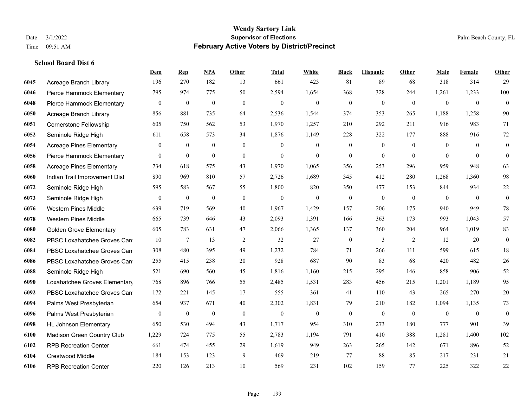#### **Wendy Sartory Link** Date 3/1/2022 **Supervisor of Elections** Palm Beach County, FL Time 09:51 AM **February Active Voters by District/Precinct**

# **Dem Rep NPA Other Total White Black Hispanic Other Male Female Other** Acreage Branch Library 196 270 182 13 661 423 81 89 68 318 314 29 Pierce Hammock Elementary 795 974 775 50 2,594 1,654 368 328 244 1,261 1,233 100 Pierce Hammock Elementary 0 0 0 0 0 0 0 0 0 0 0 0 Acreage Branch Library 856 881 735 64 2,536 1,544 374 353 265 1,188 1,258 90 Cornerstone Fellowship 605 750 562 53 1,970 1,257 210 292 211 916 983 71 Seminole Ridge High 611 658 573 34 1,876 1,149 228 322 177 888 916 72 Acreage Pines Elementary 0 0 0 0 0 0 0 0 0 0 0 0 Pierce Hammock Elementary 0 0 0 0 0 0 0 0 0 0 0 0 Acreage Pines Elementary 734 618 575 43 1,970 1,065 356 253 296 959 948 63 Indian Trail Improvement Dist 890 969 810 57 2,726 1,689 345 412 280 1,268 1,360 98 Seminole Ridge High 595 583 567 55 1,800 820 350 477 153 844 934 22 Seminole Ridge High 0 0 0 0 0 0 0 0 0 0 0 0 Western Pines Middle 639 719 569 40 1,967 1,429 157 206 175 940 949 78 Western Pines Middle 665 739 646 43 2,093 1,391 166 363 173 993 1,043 57 Golden Grove Elementary 605 783 631 47 2,066 1,365 137 360 204 964 1,019 83 **6082** PBSC Loxahatchee Groves Can  $\begin{array}{cccccccc} 10 & 7 & 13 & 2 & 32 & 27 & 0 & 3 & 2 & 12 & 20 & 0 \end{array}$  PBSC Loxahatchee Groves Campus 308 480 395 49 1,232 784 71 266 111 599 615 18 PBSC Loxahatchee Groves Campus 255 415 238 20 928 687 90 83 68 420 482 26 Seminole Ridge High 521 690 560 45 1,816 1,160 215 295 146 858 906 52 Loxahatchee Groves Elementary 768 896 766 55 2,485 1,531 283 456 215 1,201 1,189 95 PBSC Loxahatchee Groves Campus 172 221 145 17 555 361 41 110 43 265 270 20 Palms West Presbyterian 654 937 671 40 2,302 1,831 79 210 182 1,094 1,135 73 Palms West Presbyterian 0 0 0 0 0 0 0 0 0 0 0 0 HL Johnson Elementary 650 530 494 43 1,717 954 310 273 180 777 901 39 Madison Green Country Club 1,229 724 775 55 2,783 1,194 791 410 388 1,281 1,400 102 RPB Recreation Center 661 474 455 29 1,619 949 263 265 142 671 896 52 Crestwood Middle 184 153 123 9 469 219 77 88 85 217 231 21 RPB Recreation Center 220 126 213 10 569 231 102 159 77 225 322 22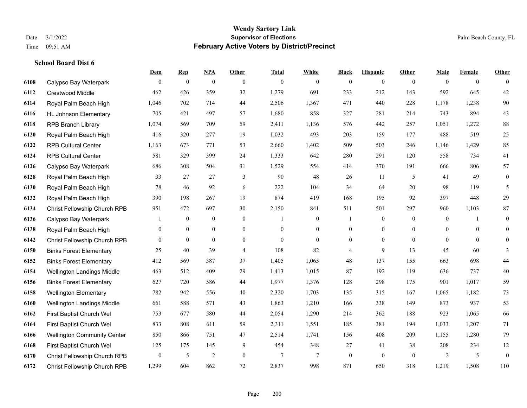|      |                                    | <b>Dem</b>       | <b>Rep</b>       | NPA              | Other            | <b>Total</b>   | <b>White</b>     | <b>Black</b>     | <b>Hispanic</b>  | <b>Other</b> | <b>Male</b>    | <b>Female</b>  | <b>Other</b>     |
|------|------------------------------------|------------------|------------------|------------------|------------------|----------------|------------------|------------------|------------------|--------------|----------------|----------------|------------------|
| 6108 | Calypso Bay Waterpark              | $\overline{0}$   | $\mathbf{0}$     | $\boldsymbol{0}$ | $\overline{0}$   | $\theta$       | $\overline{0}$   | $\mathbf{0}$     | $\overline{0}$   | $\theta$     | $\mathbf{0}$   | $\overline{0}$ | $\theta$         |
| 6112 | Crestwood Middle                   | 462              | 426              | 359              | 32               | 1,279          | 691              | 233              | 212              | 143          | 592            | 645            | $42\,$           |
| 6114 | Royal Palm Beach High              | 1,046            | 702              | 714              | 44               | 2,506          | 1,367            | 471              | 440              | 228          | 1,178          | 1,238          | $90\,$           |
| 6116 | <b>HL Johnson Elementary</b>       | 705              | 421              | 497              | 57               | 1,680          | 858              | 327              | 281              | 214          | 743            | 894            | 43               |
| 6118 | <b>RPB Branch Library</b>          | 1,074            | 569              | 709              | 59               | 2,411          | 1,136            | 576              | 442              | 257          | 1,051          | 1,272          | $88\,$           |
| 6120 | Royal Palm Beach High              | 416              | 320              | 277              | 19               | 1,032          | 493              | 203              | 159              | 177          | 488            | 519            | $25\,$           |
| 6122 | <b>RPB Cultural Center</b>         | 1,163            | 673              | 771              | 53               | 2,660          | 1,402            | 509              | 503              | 246          | 1,146          | 1,429          | 85               |
| 6124 | <b>RPB Cultural Center</b>         | 581              | 329              | 399              | 24               | 1,333          | 642              | 280              | 291              | 120          | 558            | 734            | 41               |
| 6126 | Calypso Bay Waterpark              | 686              | 308              | 504              | 31               | 1,529          | 554              | 414              | 370              | 191          | 666            | 806            | 57               |
| 6128 | Royal Palm Beach High              | 33               | 27               | 27               | 3                | 90             | 48               | 26               | 11               | 5            | 41             | 49             | $\boldsymbol{0}$ |
| 6130 | Royal Palm Beach High              | 78               | 46               | 92               | 6                | 222            | 104              | 34               | 64               | 20           | 98             | 119            | 5                |
| 6132 | Royal Palm Beach High              | 390              | 198              | 267              | 19               | 874            | 419              | 168              | 195              | 92           | 397            | 448            | 29               |
| 6134 | Christ Fellowship Church RPB       | 951              | 472              | 697              | 30               | 2,150          | 841              | 511              | 501              | 297          | 960            | 1,103          | $87\,$           |
| 6136 | Calypso Bay Waterpark              |                  | $\boldsymbol{0}$ | $\boldsymbol{0}$ | $\boldsymbol{0}$ | $\mathbf{1}$   | $\boldsymbol{0}$ |                  | $\boldsymbol{0}$ | $\mathbf{0}$ | $\mathbf{0}$   | 1              | $\boldsymbol{0}$ |
| 6138 | Royal Palm Beach High              | 0                | $\overline{0}$   | $\mathbf{0}$     | $\overline{0}$   | $\theta$       | $\overline{0}$   | $\boldsymbol{0}$ | $\overline{0}$   | $\theta$     | $\overline{0}$ | $\theta$       | $\mathbf{0}$     |
| 6142 | Christ Fellowship Church RPB       | $\overline{0}$   | $\mathbf{0}$     | $\mathbf{0}$     | $\overline{0}$   | $\theta$       | $\overline{0}$   | $\mathbf{0}$     | $\overline{0}$   | $\theta$     | $\mathbf{0}$   | $\theta$       | $\mathbf{0}$     |
| 6150 | <b>Binks Forest Elementary</b>     | 25               | 40               | 39               | 4                | 108            | 82               | 4                | 9                | 13           | 45             | 60             | 3                |
| 6152 | <b>Binks Forest Elementary</b>     | 412              | 569              | 387              | 37               | 1,405          | 1,065            | 48               | 137              | 155          | 663            | 698            | $44\,$           |
| 6154 | Wellington Landings Middle         | 463              | 512              | 409              | 29               | 1,413          | 1,015            | 87               | 192              | 119          | 636            | 737            | $40\,$           |
| 6156 | <b>Binks Forest Elementary</b>     | 627              | 720              | 586              | 44               | 1,977          | 1,376            | 128              | 298              | 175          | 901            | 1,017          | 59               |
| 6158 | <b>Wellington Elementary</b>       | 782              | 942              | 556              | 40               | 2,320          | 1,703            | 135              | 315              | 167          | 1,065          | 1,182          | 73               |
| 6160 | Wellington Landings Middle         | 661              | 588              | 571              | 43               | 1,863          | 1,210            | 166              | 338              | 149          | 873            | 937            | 53               |
| 6162 | First Baptist Church Wel           | 753              | 677              | 580              | 44               | 2,054          | 1,290            | 214              | 362              | 188          | 923            | 1,065          | 66               |
| 6164 | First Baptist Church Wel           | 833              | 808              | 611              | 59               | 2,311          | 1,551            | 185              | 381              | 194          | 1,033          | 1,207          | 71               |
| 6166 | <b>Wellington Community Center</b> | 850              | 866              | 751              | 47               | 2,514          | 1,741            | 156              | 408              | 209          | 1,155          | 1,280          | 79               |
| 6168 | First Baptist Church Wel           | 125              | 175              | 145              | 9                | 454            | 348              | 27               | 41               | 38           | 208            | 234            | 12               |
| 6170 | Christ Fellowship Church RPB       | $\boldsymbol{0}$ | 5                | $\overline{2}$   | $\overline{0}$   | $\overline{7}$ | $\tau$           | $\boldsymbol{0}$ | $\mathbf{0}$     | $\mathbf{0}$ | $\overline{2}$ | 5              | $\boldsymbol{0}$ |
| 6172 | Christ Fellowship Church RPB       | 1,299            | 604              | 862              | 72               | 2,837          | 998              | 871              | 650              | 318          | 1,219          | 1,508          | 110              |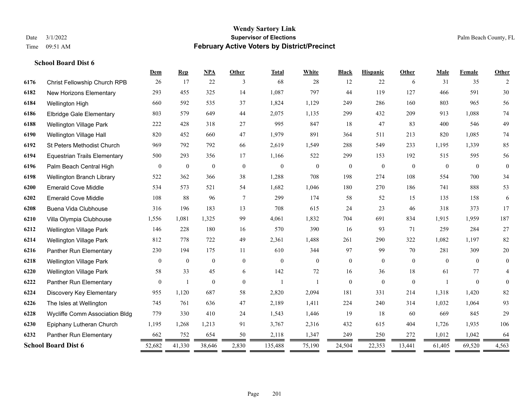#### **Wendy Sartory Link** Date 3/1/2022 **Supervisor of Elections** Palm Beach County, FL Time 09:51 AM **February Active Voters by District/Precinct**

# **Dem Rep NPA Other Total White Black Hispanic Other Male Female Other** Christ Fellowship Church RPB 26 17 22 3 68 28 12 22 6 31 35 2 New Horizons Elementary 293 455 325 14 1,087 797 44 119 127 466 591 30 Wellington High 660 592 535 37 1,824 1,129 249 286 160 803 965 56 Elbridge Gale Elementary 803 579 649 44 2,075 1,135 299 432 209 913 1,088 74 Wellington Village Park 222 428 318 27 995 847 18 47 83 400 546 49 Wellington Village Hall 820 452 660 47 1,979 891 364 511 213 820 1,085 74 St Peters Methodist Church 969 792 792 66 2,619 1,549 288 549 233 1,195 1,339 85 Equestrian Trails Elementary 500 293 356 17 1,166 522 299 153 192 515 595 56 Palm Beach Central High 0 0 0 0 0 0 0 0 0 0 0 0 Wellington Branch Library 522 362 366 38 1,288 708 198 274 108 554 700 34 Emerald Cove Middle 534 573 521 54 1,682 1,046 180 270 186 741 888 53 Emerald Cove Middle 108 88 96 7 299 174 58 52 15 135 158 6 Buena Vida Clubhouse 316 196 183 13 708 615 24 23 46 318 373 17 Villa Olympia Clubhouse 1,556 1,081 1,325 99 4,061 1,832 704 691 834 1,915 1,959 187 Wellington Village Park 146 228 180 16 570 390 16 93 71 259 284 27 Wellington Village Park 812 778 722 49 2,361 1,488 261 290 322 1,082 1,197 82 Panther Run Elementary 230 194 175 11 610 344 97 99 70 281 309 20 Wellington Village Park 0 0 0 0 0 0 0 0 0 0 0 0 Wellington Village Park 58 33 45 6 142 72 16 36 18 61 77 4 Panther Run Elementary 0 1 0 0 1 1 0 0 0 1 0 0 Discovery Key Elementary 955 1,120 687 58 2,820 2,094 181 331 214 1,318 1,420 82 The Isles at Wellington 745 761 636 47 2,189 1,411 224 240 314 1,032 1,064 93 Wycliffe Comm Association Bldg 779 330 410 24 1,543 1,446 19 18 60 669 845 29 Epiphany Lutheran Church 1,195 1,268 1,213 91 3,767 2,316 432 615 404 1,726 1,935 106 Panther Run Elementary 662 752 654 50 2,118 1,347 249 250 272 1,012 1,042 64 **School Board Dist 6** 52,682 41,330 38,646 2,830 135,488 75,190 24,504 22,353 13,441 61,405 69,520 4,563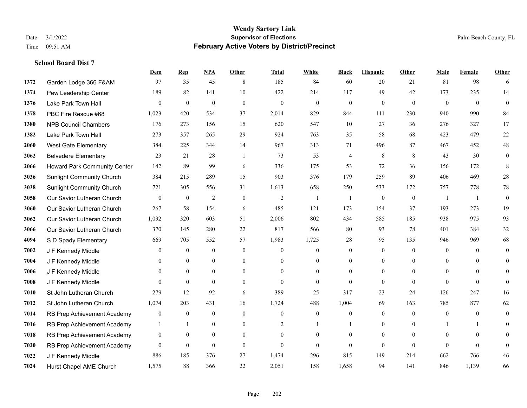|      |                                  | Dem              | <b>Rep</b>       | NPA              | <b>Other</b>   | <b>Total</b>   | <b>White</b>     | <b>Black</b>     | <b>Hispanic</b> | <b>Other</b> | <b>Male</b>    | <b>Female</b> | <b>Other</b>     |
|------|----------------------------------|------------------|------------------|------------------|----------------|----------------|------------------|------------------|-----------------|--------------|----------------|---------------|------------------|
| 1372 | Garden Lodge 366 F&AM            | 97               | 35               | 45               | 8              | 185            | 84               | 60               | 20              | 21           | 81             | 98            | 6                |
| 1374 | Pew Leadership Center            | 189              | 82               | 141              | 10             | 422            | 214              | 117              | 49              | 42           | 173            | 235           | 14               |
| 1376 | Lake Park Town Hall              | $\theta$         | $\mathbf{0}$     | $\mathbf{0}$     | $\theta$       | $\mathbf{0}$   | $\overline{0}$   | $\mathbf{0}$     | $\mathbf{0}$    | $\theta$     | $\theta$       | $\theta$      | $\theta$         |
| 1378 | PBC Fire Rescue #68              | 1,023            | 420              | 534              | 37             | 2,014          | 829              | 844              | 111             | 230          | 940            | 990           | 84               |
| 1380 | <b>NPB Council Chambers</b>      | 176              | 273              | 156              | 15             | 620            | 547              | 10               | 27              | 36           | 276            | 327           | 17               |
| 1382 | Lake Park Town Hall              | 273              | 357              | 265              | 29             | 924            | 763              | 35               | 58              | 68           | 423            | 479           | $22\,$           |
| 2060 | West Gate Elementary             | 384              | 225              | 344              | 14             | 967            | 313              | 71               | 496             | 87           | 467            | 452           | $48\,$           |
| 2062 | <b>Belvedere Elementary</b>      | 23               | 21               | 28               | $\mathbf{1}$   | 73             | 53               | $\overline{4}$   | 8               | 8            | 43             | 30            | $\mathbf{0}$     |
| 2066 | Howard Park Community Center     | 142              | 89               | 99               | 6              | 336            | 175              | 53               | 72              | 36           | 156            | 172           | 8                |
| 3036 | <b>Sunlight Community Church</b> | 384              | 215              | 289              | 15             | 903            | 376              | 179              | 259             | 89           | 406            | 469           | $28\,$           |
| 3038 | <b>Sunlight Community Church</b> | 721              | 305              | 556              | 31             | 1,613          | 658              | 250              | 533             | 172          | 757            | 778           | $78\,$           |
| 3058 | Our Savior Lutheran Church       | $\mathbf{0}$     | $\bf{0}$         | $\overline{2}$   | $\overline{0}$ | $\overline{2}$ | $\mathbf{1}$     | 1                | $\mathbf{0}$    | $\mathbf{0}$ | $\overline{1}$ | -1            | $\mathbf{0}$     |
| 3060 | Our Savior Lutheran Church       | 267              | 58               | 154              | 6              | 485            | 121              | 173              | 154             | 37           | 193            | 273           | 19               |
| 3062 | Our Savior Lutheran Church       | 1,032            | 320              | 603              | 51             | 2,006          | 802              | 434              | 585             | 185          | 938            | 975           | 93               |
| 3066 | Our Savior Lutheran Church       | 370              | 145              | 280              | 22             | 817            | 566              | 80               | 93              | 78           | 401            | 384           | 32               |
| 4094 | S D Spady Elementary             | 669              | 705              | 552              | 57             | 1,983          | 1,725            | 28               | 95              | 135          | 946            | 969           | 68               |
| 7002 | J F Kennedy Middle               | $\mathbf{0}$     | $\mathbf{0}$     | $\mathbf{0}$     | $\overline{0}$ | $\mathbf{0}$   | $\overline{0}$   | $\boldsymbol{0}$ | $\mathbf{0}$    | $\mathbf{0}$ | $\mathbf{0}$   | $\theta$      | $\mathbf{0}$     |
| 7004 | J F Kennedy Middle               | $\theta$         | $\overline{0}$   | $\overline{0}$   | $\overline{0}$ | $\theta$       | $\boldsymbol{0}$ | $\boldsymbol{0}$ | $\overline{0}$  | $\theta$     | $\theta$       | $\theta$      | $\overline{0}$   |
| 7006 | J F Kennedy Middle               | $\overline{0}$   | $\mathbf{0}$     | $\overline{0}$   | $\overline{0}$ | $\theta$       | $\overline{0}$   | $\mathbf{0}$     | $\mathbf{0}$    | $\theta$     | $\overline{0}$ | $\theta$      | $\theta$         |
| 7008 | J F Kennedy Middle               | $\theta$         | $\theta$         | $\theta$         | $\Omega$       | $\theta$       | $\overline{0}$   | $\mathbf{0}$     | $\theta$        | $\theta$     | $\theta$       | $\theta$      | $\theta$         |
| 7010 | St John Lutheran Church          | 279              | 12               | 92               | 6              | 389            | 25               | 317              | 23              | 24           | 126            | 247           | 16               |
| 7012 | St John Lutheran Church          | 1,074            | 203              | 431              | 16             | 1,724          | 488              | 1,004            | 69              | 163          | 785            | 877           | 62               |
| 7014 | RB Prep Achievement Academy      | $\boldsymbol{0}$ | $\bf{0}$         | $\mathbf{0}$     | $\overline{0}$ | $\mathbf{0}$   | $\boldsymbol{0}$ | $\mathbf{0}$     | $\mathbf{0}$    | $\theta$     | $\overline{0}$ | $\mathbf{0}$  | $\boldsymbol{0}$ |
| 7016 | RB Prep Achievement Academy      | 1                | $\mathbf{1}$     | $\overline{0}$   | $\Omega$       | $\overline{2}$ | 1                | -1               | $\mathbf{0}$    | $\theta$     |                | -1            | $\theta$         |
| 7018 | RB Prep Achievement Academy      | $\mathbf{0}$     | $\boldsymbol{0}$ | $\boldsymbol{0}$ | $\overline{0}$ | $\theta$       | $\overline{0}$   | $\mathbf{0}$     | $\mathbf{0}$    | $\Omega$     | $\mathbf{0}$   | $\theta$      | $\Omega$         |
| 7020 | RB Prep Achievement Academy      | $\mathbf{0}$     | $\mathbf{0}$     | $\mathbf{0}$     | $\Omega$       | $\theta$       | $\overline{0}$   | $\mathbf{0}$     | $\mathbf{0}$    | $\theta$     | $\theta$       | $\theta$      | $\overline{0}$   |
| 7022 | J F Kennedy Middle               | 886              | 185              | 376              | 27             | 1,474          | 296              | 815              | 149             | 214          | 662            | 766           | $46\,$           |
| 7024 | Hurst Chapel AME Church          | 1,575            | 88               | 366              | 22             | 2,051          | 158              | 1,658            | 94              | 141          | 846            | 1,139         | 66               |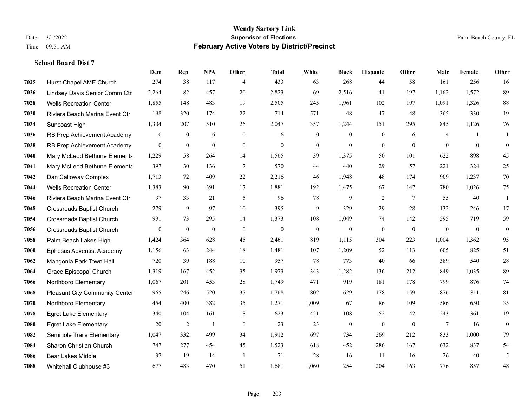## **Wendy Sartory Link** Date 3/1/2022 **Supervisor of Elections** Palm Beach County, FL Time 09:51 AM **February Active Voters by District/Precinct**

**Dem Rep NPA Other Total White Black Hispanic Other Male Female Other**

# Hurst Chapel AME Church 274 38 117 4 433 63 268 44 58 161 256 16 Lindsey Davis Senior Comm Ctr 2,264 82 457 20 2,823 69 2,516 41 197 1,162 1,572 89

| 7028 | <b>Wells Recreation Center</b>        | 1,855            | 148              | 483            | 19             | 2,505            | 245          | 1,961            | 102              | 197            | 1,091          | 1,326          | 88             |
|------|---------------------------------------|------------------|------------------|----------------|----------------|------------------|--------------|------------------|------------------|----------------|----------------|----------------|----------------|
| 7030 | Riviera Beach Marina Event Ctr        | 198              | 320              | 174            | 22             | 714              | 571          | 48               | 47               | 48             | 365            | 330            | 19             |
| 7034 | Suncoast High                         | 1,304            | 207              | 510            | 26             | 2,047            | 357          | 1,244            | 151              | 295            | 845            | 1,126          | 76             |
| 7036 | RB Prep Achievement Academy           | $\mathbf{0}$     | $\overline{0}$   | 6              | $\overline{0}$ | 6                | $\mathbf{0}$ | $\Omega$         | $\theta$         | 6              | $\overline{4}$ |                |                |
| 7038 | RB Prep Achievement Academy           | $\mathbf{0}$     | $\mathbf{0}$     | $\mathbf{0}$   | $\mathbf{0}$   | $\mathbf{0}$     | $\mathbf{0}$ | $\theta$         | $\mathbf{0}$     | $\overline{0}$ | $\mathbf{0}$   | $\overline{0}$ | $\theta$       |
| 7040 | Mary McLeod Bethune Elementa          | 1,229            | 58               | 264            | 14             | 1,565            | 39           | 1,375            | 50               | 101            | 622            | 898            | 45             |
| 7041 | Mary McLeod Bethune Elementa          | 397              | 30               | 136            | 7              | 570              | 44           | 440              | 29               | 57             | 221            | 324            | 25             |
| 7042 | Dan Calloway Complex                  | 1,713            | 72               | 409            | 22             | 2,216            | 46           | 1,948            | 48               | 174            | 909            | 1,237          | 70             |
| 7044 | <b>Wells Recreation Center</b>        | 1,383            | 90               | 391            | 17             | 1,881            | 192          | 1,475            | 67               | 147            | 780            | 1,026          | 75             |
| 7046 | Riviera Beach Marina Event Ctr        | 37               | 33               | 21             | 5              | 96               | 78           | 9                | $\overline{2}$   | $\tau$         | 55             | 40             |                |
| 7048 | <b>Crossroads Baptist Church</b>      | 279              | 9                | 97             | 10             | 395              | 9            | 329              | 29               | 28             | 132            | 246            | 17             |
| 7054 | <b>Crossroads Baptist Church</b>      | 991              | 73               | 295            | 14             | 1,373            | 108          | 1,049            | 74               | 142            | 595            | 719            | 59             |
| 7056 | <b>Crossroads Baptist Church</b>      | $\boldsymbol{0}$ | $\boldsymbol{0}$ | $\mathbf{0}$   | $\mathbf{0}$   | $\boldsymbol{0}$ | $\bf{0}$     | $\boldsymbol{0}$ | $\boldsymbol{0}$ | $\mathbf{0}$   | $\mathbf{0}$   | $\mathbf{0}$   | $\overline{0}$ |
| 7058 | Palm Beach Lakes High                 | 1,424            | 364              | 628            | 45             | 2,461            | 819          | 1,115            | 304              | 223            | 1,004          | 1,362          | 95             |
| 7060 | <b>Ephesus Adventist Academy</b>      | 1,156            | 63               | 244            | 18             | 1,481            | 107          | 1,209            | 52               | 113            | 605            | 825            | 51             |
| 7062 | Mangonia Park Town Hall               | 720              | 39               | 188            | 10             | 957              | 78           | 773              | 40               | 66             | 389            | 540            | 28             |
| 7064 | Grace Episcopal Church                | 1,319            | 167              | 452            | 35             | 1,973            | 343          | 1,282            | 136              | 212            | 849            | 1,035          | 89             |
| 7066 | Northboro Elementary                  | 1,067            | 201              | 453            | 28             | 1,749            | 471          | 919              | 181              | 178            | 799            | 876            | 74             |
| 7068 | <b>Pleasant City Community Center</b> | 965              | 246              | 520            | 37             | 1,768            | 802          | 629              | 178              | 159            | 876            | 811            | 81             |
| 7070 | Northboro Elementary                  | 454              | 400              | 382            | 35             | 1,271            | 1,009        | 67               | 86               | 109            | 586            | 650            | 35             |
| 7078 | <b>Egret Lake Elementary</b>          | 340              | 104              | 161            | 18             | 623              | 421          | 108              | 52               | 42             | 243            | 361            | 19             |
| 7080 | <b>Egret Lake Elementary</b>          | 20               | $\overline{2}$   | $\overline{1}$ | $\overline{0}$ | 23               | 23           | $\theta$         | $\theta$         | $\mathbf{0}$   | $\overline{7}$ | 16             | $\theta$       |
| 7082 | Seminole Trails Elementary            | 1,047            | 332              | 499            | 34             | 1,912            | 697          | 734              | 269              | 212            | 833            | 1,000          | 79             |
| 7084 | Sharon Christian Church               | 747              | 277              | 454            | 45             | 1,523            | 618          | 452              | 286              | 167            | 632            | 837            | 54             |
| 7086 | <b>Bear Lakes Middle</b>              | 37               | 19               | 14             | 1              | 71               | 28           | 16               | 11               | 16             | 26             | 40             | 5              |
| 7088 | Whitehall Clubhouse #3                | 677              | 483              | 470            | 51             | 1,681            | 1,060        | 254              | 204              | 163            | 776            | 857            | 48             |
|      |                                       |                  |                  |                |                |                  |              |                  |                  |                |                |                |                |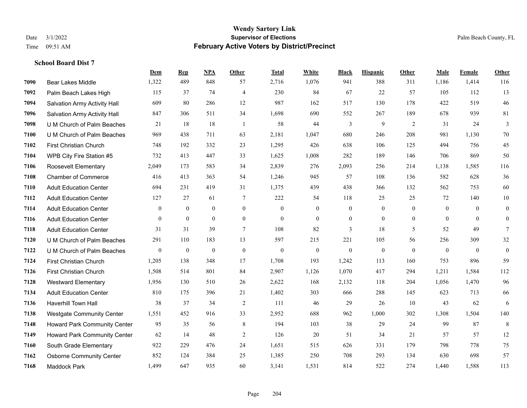|      |                                  | Dem              | <b>Rep</b>       | NPA              | <b>Other</b>     | <b>Total</b>     | White            | <b>Black</b>     | <b>Hispanic</b>  | <b>Other</b>     | <b>Male</b>  | Female       | <b>Other</b>     |
|------|----------------------------------|------------------|------------------|------------------|------------------|------------------|------------------|------------------|------------------|------------------|--------------|--------------|------------------|
| 7090 | Bear Lakes Middle                | 1,322            | 489              | 848              | 57               | 2,716            | 1,076            | 941              | 388              | 311              | 1,186        | 1,414        | 116              |
| 7092 | Palm Beach Lakes High            | 115              | 37               | 74               | $\overline{4}$   | 230              | 84               | 67               | 22               | 57               | 105          | 112          | 13               |
| 7094 | Salvation Army Activity Hall     | 609              | 80               | 286              | 12               | 987              | 162              | 517              | 130              | 178              | 422          | 519          | $46\,$           |
| 7096 | Salvation Army Activity Hall     | 847              | 306              | 511              | 34               | 1,698            | 690              | 552              | 267              | 189              | 678          | 939          | 81               |
| 7098 | U M Church of Palm Beaches       | 21               | 18               | 18               | $\overline{1}$   | 58               | 44               | 3                | 9                | 2                | 31           | 24           | 3                |
| 7100 | U M Church of Palm Beaches       | 969              | 438              | 711              | 63               | 2,181            | 1,047            | 680              | 246              | 208              | 981          | 1,130        | 70               |
| 7102 | First Christian Church           | 748              | 192              | 332              | 23               | 1,295            | 426              | 638              | 106              | 125              | 494          | 756          | 45               |
| 7104 | WPB City Fire Station #5         | 732              | 413              | 447              | 33               | 1,625            | 1,008            | 282              | 189              | 146              | 706          | 869          | 50               |
| 7106 | <b>Roosevelt Elementary</b>      | 2,049            | 173              | 583              | 34               | 2,839            | 276              | 2,093            | 256              | 214              | 1,138        | 1,585        | 116              |
| 7108 | <b>Chamber of Commerce</b>       | 416              | 413              | 363              | 54               | 1,246            | 945              | 57               | 108              | 136              | 582          | 628          | 36               |
| 7110 | <b>Adult Education Center</b>    | 694              | 231              | 419              | 31               | 1,375            | 439              | 438              | 366              | 132              | 562          | 753          | 60               |
| 7112 | <b>Adult Education Center</b>    | 127              | 27               | 61               | 7                | 222              | 54               | 118              | 25               | 25               | 72           | 140          | 10               |
| 7114 | <b>Adult Education Center</b>    | $\mathbf{0}$     | $\mathbf{0}$     | $\overline{0}$   | $\overline{0}$   | $\mathbf{0}$     | $\overline{0}$   | $\mathbf{0}$     | $\mathbf{0}$     | $\theta$         | $\theta$     | $\theta$     | $\boldsymbol{0}$ |
| 7116 | <b>Adult Education Center</b>    | $\mathbf{0}$     | $\overline{0}$   | $\overline{0}$   | $\boldsymbol{0}$ | $\boldsymbol{0}$ | $\boldsymbol{0}$ | $\boldsymbol{0}$ | $\boldsymbol{0}$ | $\boldsymbol{0}$ | $\mathbf{0}$ | $\mathbf{0}$ | $\overline{0}$   |
| 7118 | <b>Adult Education Center</b>    | 31               | 31               | 39               | 7                | 108              | 82               | 3                | 18               | 5                | 52           | 49           | $\tau$           |
| 7120 | U M Church of Palm Beaches       | 291              | 110              | 183              | 13               | 597              | 215              | 221              | 105              | 56               | 256          | 309          | 32               |
| 7122 | U M Church of Palm Beaches       | $\boldsymbol{0}$ | $\boldsymbol{0}$ | $\boldsymbol{0}$ | $\boldsymbol{0}$ | $\boldsymbol{0}$ | $\boldsymbol{0}$ | $\mathbf{0}$     | $\mathbf{0}$     | $\mathbf{0}$     | $\mathbf{0}$ | $\mathbf{0}$ | $\boldsymbol{0}$ |
| 7124 | <b>First Christian Church</b>    | 1,205            | 138              | 348              | 17               | 1,708            | 193              | 1,242            | 113              | 160              | 753          | 896          | 59               |
| 7126 | First Christian Church           | 1,508            | 514              | 801              | 84               | 2,907            | 1,126            | 1,070            | 417              | 294              | 1,211        | 1,584        | 112              |
| 7128 | <b>Westward Elementary</b>       | 1,956            | 130              | 510              | 26               | 2,622            | 168              | 2,132            | 118              | 204              | 1,056        | 1,470        | 96               |
| 7134 | <b>Adult Education Center</b>    | 810              | 175              | 396              | 21               | 1,402            | 303              | 666              | 288              | 145              | 623          | 713          | 66               |
| 7136 | <b>Haverhill Town Hall</b>       | 38               | 37               | 34               | $\overline{2}$   | 111              | 46               | 29               | 26               | 10               | 43           | 62           | 6                |
| 7138 | <b>Westgate Community Center</b> | 1,551            | 452              | 916              | 33               | 2,952            | 688              | 962              | 1,000            | 302              | 1,308        | 1,504        | 140              |
| 7148 | Howard Park Community Center     | 95               | 35               | 56               | 8                | 194              | 103              | 38               | 29               | 24               | 99           | 87           | 8                |
| 7149 | Howard Park Community Center     | 62               | 14               | 48               | 2                | 126              | 20               | 51               | 34               | 21               | 57           | 57           | 12               |
| 7160 | South Grade Elementary           | 922              | 229              | 476              | 24               | 1,651            | 515              | 626              | 331              | 179              | 798          | 778          | 75               |
| 7162 | <b>Osborne Community Center</b>  | 852              | 124              | 384              | 25               | 1,385            | 250              | 708              | 293              | 134              | 630          | 698          | 57               |
| 7168 | <b>Maddock Park</b>              | 1,499            | 647              | 935              | 60               | 3,141            | 1,531            | 814              | 522              | 274              | 1,440        | 1,588        | 113              |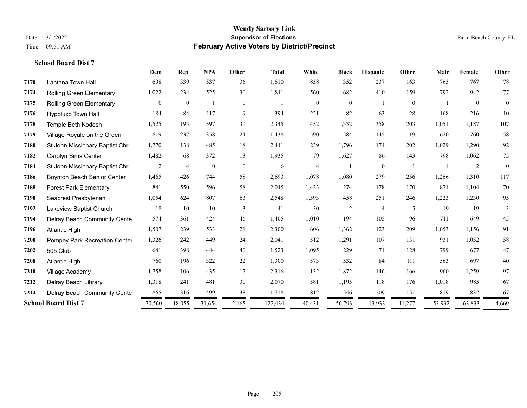| 352<br>698<br>339<br>537<br>36<br>1,610<br>858<br>237<br>163<br>765<br>767<br>7170<br>Lantana Town Hall<br>525<br>30<br>1,811<br>560<br>682<br>410<br>159<br>792<br>942<br>7174<br>1,022<br>234<br>Rolling Green Elementary<br>$\boldsymbol{0}$<br>7175<br>Rolling Green Elementary<br>$\overline{0}$<br>$\mathbf{0}$<br>$\overline{0}$<br>$\overline{0}$<br>$\mathbf{1}$<br>$\overline{0}$<br>221<br>82<br>184<br>84<br>117<br>9<br>394<br>28<br>168<br>216<br>7176<br>63<br>Hypoluxo Town Hall | 78<br>77<br>$\overline{0}$<br>$\overline{0}$<br>$10\,$<br>107<br>58 |
|--------------------------------------------------------------------------------------------------------------------------------------------------------------------------------------------------------------------------------------------------------------------------------------------------------------------------------------------------------------------------------------------------------------------------------------------------------------------------------------------------|---------------------------------------------------------------------|
|                                                                                                                                                                                                                                                                                                                                                                                                                                                                                                  |                                                                     |
|                                                                                                                                                                                                                                                                                                                                                                                                                                                                                                  |                                                                     |
|                                                                                                                                                                                                                                                                                                                                                                                                                                                                                                  |                                                                     |
|                                                                                                                                                                                                                                                                                                                                                                                                                                                                                                  |                                                                     |
| 30<br>452<br>1,332<br>1,525<br>193<br>597<br>2,345<br>358<br>203<br>1,051<br>1,187<br>7178<br>Temple Beth Kodesh                                                                                                                                                                                                                                                                                                                                                                                 |                                                                     |
| 819<br>24<br>237<br>358<br>1,438<br>590<br>584<br>145<br>119<br>620<br>760<br>7179<br>Village Royale on the Green                                                                                                                                                                                                                                                                                                                                                                                |                                                                     |
| 1,770<br>7180<br>138<br>485<br>18<br>2,411<br>239<br>1,796<br>174<br>202<br>1,029<br>1,290<br>St John Missionary Baptist Chr                                                                                                                                                                                                                                                                                                                                                                     | 92                                                                  |
| 1,482<br>1,627<br>68<br>372<br>13<br>1,935<br>79<br>86<br>143<br>798<br>1,062<br>7182<br>Carolyn Sims Center                                                                                                                                                                                                                                                                                                                                                                                     | 75                                                                  |
| $\boldsymbol{0}$<br>2<br>$\overline{4}$<br>$\mathbf{0}$<br>$\mathbf{0}$<br>St John Missionary Baptist Chr<br>6<br>4<br>$\overline{4}$<br>7184                                                                                                                                                                                                                                                                                                                                                    | $\overline{2}$<br>$\theta$                                          |
| 1,465<br>426<br>744<br>58<br>2,693<br>1,078<br>1,080<br>279<br>256<br>1,266<br>1,310<br>7186<br>Boynton Beach Senior Center                                                                                                                                                                                                                                                                                                                                                                      | 117                                                                 |
| 841<br>274<br>871<br>7188<br><b>Forest Park Elementary</b><br>550<br>596<br>58<br>2,045<br>1,423<br>178<br>170<br>1,104                                                                                                                                                                                                                                                                                                                                                                          | 70                                                                  |
| 807<br>63<br>1,593<br>458<br>1,223<br>1,054<br>624<br>2,548<br>251<br>246<br>1,230<br>7190<br>Seacrest Presbyterian                                                                                                                                                                                                                                                                                                                                                                              | 95                                                                  |
| 10<br>3<br>41<br>30<br>2<br>19<br>7192<br>18<br>10<br>$\overline{4}$<br>5<br>19<br>Lakeview Baptist Church                                                                                                                                                                                                                                                                                                                                                                                       | 3                                                                   |
| 46<br>1,405<br>1,010<br>194<br>96<br>711<br>649<br>7194<br>574<br>361<br>424<br>105<br>Delray Beach Community Cente                                                                                                                                                                                                                                                                                                                                                                              | 45                                                                  |
| 1,507<br>123<br>1,053<br>239<br>533<br>21<br>2,300<br>606<br>1,362<br>209<br>1,156<br>7196<br><b>Atlantic High</b>                                                                                                                                                                                                                                                                                                                                                                               | 91                                                                  |
| 242<br>449<br>24<br>2,041<br>512<br>1,291<br>107<br>131<br>931<br>1,326<br>1,052<br>7200<br>Pompey Park Recreation Center                                                                                                                                                                                                                                                                                                                                                                        | 58                                                                  |
| 444<br>40<br>1,095<br>229<br>128<br>677<br>7202<br>505 Club<br>641<br>398<br>1,523<br>71<br>799                                                                                                                                                                                                                                                                                                                                                                                                  | 47                                                                  |
| $22\,$<br>563<br>7208<br>760<br>196<br>322<br>1,300<br>573<br>532<br>84<br>111<br>697<br><b>Atlantic High</b>                                                                                                                                                                                                                                                                                                                                                                                    | 40                                                                  |
| 435<br>17<br>1,872<br>960<br>1,758<br>106<br>2,316<br>132<br>146<br>166<br>1,259<br>7210<br>Village Academy                                                                                                                                                                                                                                                                                                                                                                                      | 97                                                                  |
| 481<br>30<br>1,018<br>985<br>1,318<br>241<br>2,070<br>581<br>1,195<br>118<br>176<br>7212<br>Delray Beach Library                                                                                                                                                                                                                                                                                                                                                                                 | 67                                                                  |
| 209<br>316<br>499<br>38<br>1,718<br>812<br>819<br>832<br>7214<br>Delray Beach Community Cente<br>865<br>546<br>151                                                                                                                                                                                                                                                                                                                                                                               | 67                                                                  |
| <b>School Board Dist 7</b><br>18,055<br>31,654<br>40,431<br>56,793<br>13,933<br>11,277<br>53,932<br>63,833<br>70,560<br>2,165<br>122,434                                                                                                                                                                                                                                                                                                                                                         | 4,669                                                               |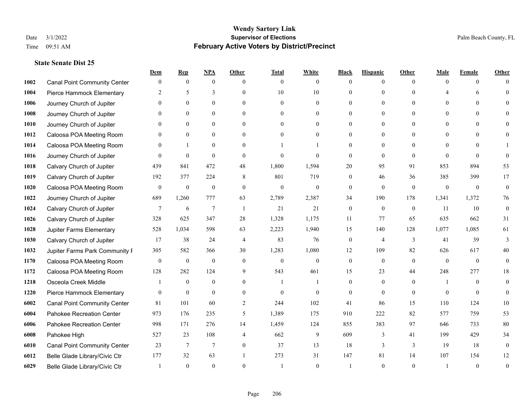|      |                                     | Dem              | <b>Rep</b>       | NPA              | <b>Other</b>   | <b>Total</b> | <b>White</b>     | <b>Black</b>   | <b>Hispanic</b> | <b>Other</b> | <b>Male</b>  | <b>Female</b>  | <b>Other</b> |
|------|-------------------------------------|------------------|------------------|------------------|----------------|--------------|------------------|----------------|-----------------|--------------|--------------|----------------|--------------|
| 1002 | <b>Canal Point Community Center</b> | $\mathbf{0}$     | $\mathbf{0}$     | $\mathbf{0}$     | $\Omega$       | $\theta$     | $\overline{0}$   | $\theta$       | $\mathbf{0}$    | $\Omega$     | $\theta$     | $\theta$       | $\Omega$     |
| 1004 | Pierce Hammock Elementary           | 2                | 5                | 3                | $\Omega$       | 10           | 10               | $\theta$       | $\mathbf{0}$    | $\Omega$     |              | 6              | $\Omega$     |
| 1006 | Journey Church of Jupiter           | $\Omega$         | $\theta$         | $\theta$         | $\Omega$       | $\Omega$     | $\Omega$         | $\Omega$       | $\theta$        | $\Omega$     | $\Omega$     | $\Omega$       |              |
| 1008 | Journey Church of Jupiter           |                  | $\mathbf{0}$     | $\mathbf{0}$     | $\mathbf{0}$   | $\theta$     | $\overline{0}$   | $\overline{0}$ | $\mathbf{0}$    | $\Omega$     | $\theta$     | $\theta$       |              |
| 1010 | Journey Church of Jupiter           | 0                | $\theta$         | $\mathbf{0}$     | $\Omega$       | $\Omega$     | $\overline{0}$   | $\Omega$       | $\theta$        | $\Omega$     | $\theta$     | $\Omega$       | $\Omega$     |
| 1012 | Caloosa POA Meeting Room            |                  | $\mathbf{0}$     | $\mathbf{0}$     | $\Omega$       | $\theta$     | $\mathbf{0}$     | $\Omega$       | $\mathbf{0}$    | $\Omega$     | $\theta$     | $\Omega$       |              |
| 1014 | Caloosa POA Meeting Room            | $\Omega$         | $\mathbf{1}$     | $\mathbf{0}$     | $\theta$       |              |                  | $\overline{0}$ | $\mathbf{0}$    | $\theta$     | $\theta$     | $\theta$       |              |
| 1016 | Journey Church of Jupiter           | $\Omega$         | $\mathbf{0}$     | $\theta$         | $\Omega$       | $\theta$     | $\theta$         | $\theta$       | $\theta$        | $\Omega$     | $\Omega$     | $\Omega$       | $\Omega$     |
| 1018 | Calvary Church of Jupiter           | 439              | 841              | 472              | 48             | 1,800        | 1,594            | 20             | 95              | 91           | 853          | 894            | 53           |
| 1019 | Calvary Church of Jupiter           | 192              | 377              | 224              | 8              | 801          | 719              | $\mathbf{0}$   | 46              | 36           | 385          | 399            | 17           |
| 1020 | Caloosa POA Meeting Room            | $\mathbf{0}$     | $\boldsymbol{0}$ | $\boldsymbol{0}$ | $\theta$       | $\mathbf{0}$ | $\mathbf{0}$     | $\mathbf{0}$   | $\mathbf{0}$    | $\theta$     | $\mathbf{0}$ | $\overline{0}$ | $\mathbf{0}$ |
| 1022 | Journey Church of Jupiter           | 689              | 1,260            | 777              | 63             | 2,789        | 2,387            | 34             | 190             | 178          | 1,341        | 1,372          | 76           |
| 1024 | Calvary Church of Jupiter           | 7                | 6                | $\overline{7}$   | $\overline{1}$ | 21           | 21               | $\mathbf{0}$   | $\mathbf{0}$    | $\theta$     | 11           | 10             | $\mathbf{0}$ |
| 1026 | Calvary Church of Jupiter           | 328              | 625              | 347              | 28             | 1,328        | 1,175            | 11             | 77              | 65           | 635          | 662            | 31           |
| 1028 | Jupiter Farms Elementary            | 528              | 1,034            | 598              | 63             | 2,223        | 1,940            | 15             | 140             | 128          | 1,077        | 1,085          | 61           |
| 1030 | Calvary Church of Jupiter           | 17               | 38               | 24               | $\overline{4}$ | 83           | 76               | $\mathbf{0}$   | $\overline{4}$  | 3            | 41           | 39             | 3            |
| 1032 | Jupiter Farms Park Community I      | 305              | 582              | 366              | 30             | 1,283        | 1,080            | 12             | 109             | 82           | 626          | 617            | 40           |
| 1170 | Caloosa POA Meeting Room            | $\boldsymbol{0}$ | $\boldsymbol{0}$ | $\boldsymbol{0}$ | $\theta$       | $\mathbf{0}$ | $\boldsymbol{0}$ | $\mathbf{0}$   | $\mathbf{0}$    | $\theta$     | $\theta$     | $\theta$       | $\mathbf{0}$ |
| 1172 | Caloosa POA Meeting Room            | 128              | 282              | 124              | 9              | 543          | 461              | 15             | 23              | 44           | 248          | 277            | 18           |
| 1218 | Osceola Creek Middle                |                  | $\theta$         | $\mathbf{0}$     | $\theta$       | 1            |                  | $\mathbf{0}$   | $\mathbf{0}$    | $\theta$     | -1           | $\theta$       | $\theta$     |
| 1220 | Pierce Hammock Elementary           | $\Omega$         | $\theta$         | $\theta$         | $\Omega$       | $\theta$     | $\theta$         | $\theta$       | $\theta$        | $\Omega$     | $\Omega$     | $\Omega$       | $\theta$     |
| 6002 | <b>Canal Point Community Center</b> | 81               | 101              | 60               | $\overline{2}$ | 244          | 102              | 41             | 86              | 15           | 110          | 124            | $10\,$       |
| 6004 | Pahokee Recreation Center           | 973              | 176              | 235              | 5              | 1,389        | 175              | 910            | 222             | 82           | 577          | 759            | 53           |
| 6006 | Pahokee Recreation Center           | 998              | 171              | 276              | 14             | 1,459        | 124              | 855            | 383             | 97           | 646          | 733            | 80           |
| 6008 | Pahokee High                        | 527              | 23               | 108              | $\overline{4}$ | 662          | 9                | 609            | 3               | 41           | 199          | 429            | 34           |
| 6010 | <b>Canal Point Community Center</b> | 23               | 7                | $7\phantom{.0}$  | $\mathbf{0}$   | 37           | 13               | 18             | 3               | 3            | 19           | 18             | $\mathbf{0}$ |
| 6012 | Belle Glade Library/Civic Ctr       | 177              | 32               | 63               |                | 273          | 31               | 147            | 81              | 14           | 107          | 154            | 12           |
| 6029 | Belle Glade Library/Civic Ctr       |                  | $\Omega$         | $\theta$         | $\Omega$       |              | $\theta$         |                | $\Omega$        | $\Omega$     |              | $\Omega$       | $\theta$     |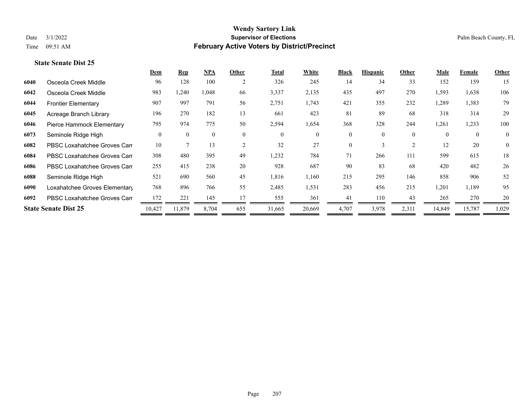**State Senate Dist 25**

#### **Wendy Sartory Link** Date 3/1/2022 **Supervisor of Elections** Palm Beach County, FL Time 09:51 AM **February Active Voters by District/Precinct**

# **Dem Rep NPA Other Total White Black Hispanic Other Male Female Other** Osceola Creek Middle 96 128 100 2 326 245 14 34 33 152 159 15 Osceola Creek Middle 983 1,240 1,048 66 3,337 2,135 435 497 270 1,593 1,638 106 Frontier Elementary 907 997 791 56 2,751 1,743 421 355 232 1,289 1,383 79 Acreage Branch Library 196 270 182 13 661 423 81 89 68 318 314 29 Pierce Hammock Elementary 795 974 775 50 2,594 1,654 368 328 244 1,261 1,233 100 Seminole Ridge High 0 0 0 0 0 0 0 0 0 0 0 0 **6082** PBSC Loxahatchee Groves Can 7  $13$  2  $32$  27 0  $3$  2  $12$  20 0 PBSC Loxahatchee Groves Campus 308 480 395 49 1,232 784 71 266 111 599 615 18 PBSC Loxahatchee Groves Campus 255 415 238 20 928 687 90 83 68 420 482 26 Seminole Ridge High 521 690 560 45 1,816 1,160 215 295 146 858 906 52 Loxahatchee Groves Elementary 768 896 766 55 2,485 1,531 283 456 215 1,201 1,189 95 PBSC Loxahatchee Groves Campus 172 221 145 17 555 361 41 110 43 265 270 20 **State Senate Dist 25** 10,427 11,879 8,704 655 31,665 20,669 4,707 3,978 2,311 14,849 15,787 1,029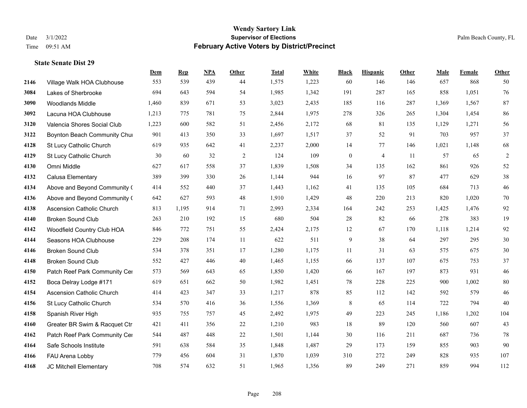|      |                                  | Dem   | <b>Rep</b> | NPA | <b>Other</b> | <b>Total</b> | <b>White</b> | <b>Black</b>   | <b>Hispanic</b> | Other | <b>Male</b> | <b>Female</b> | Other          |
|------|----------------------------------|-------|------------|-----|--------------|--------------|--------------|----------------|-----------------|-------|-------------|---------------|----------------|
| 2146 | Village Walk HOA Clubhouse       | 553   | 539        | 439 | 44           | 1,575        | 1,223        | 60             | 146             | 146   | 657         | 868           | 50             |
| 3084 | Lakes of Sherbrooke              | 694   | 643        | 594 | 54           | 1,985        | 1,342        | 191            | 287             | 165   | 858         | 1,051         | $76\,$         |
| 3090 | <b>Woodlands Middle</b>          | 1,460 | 839        | 671 | 53           | 3,023        | 2,435        | 185            | 116             | 287   | 1,369       | 1,567         | 87             |
| 3092 | Lacuna HOA Clubhouse             | 1,213 | 775        | 781 | 75           | 2,844        | 1,975        | 278            | 326             | 265   | 1,304       | 1,454         | $86\,$         |
| 3120 | Valencia Shores Social Club      | 1,223 | 600        | 582 | 51           | 2,456        | 2,172        | 68             | 81              | 135   | 1,129       | 1,271         | 56             |
| 3122 | Boynton Beach Community Chur     | 901   | 413        | 350 | 33           | 1,697        | 1,517        | 37             | 52              | 91    | 703         | 957           | 37             |
| 4128 | St Lucy Catholic Church          | 619   | 935        | 642 | 41           | 2,237        | 2,000        | 14             | 77              | 146   | 1,021       | 1,148         | 68             |
| 4129 | St Lucy Catholic Church          | 30    | 60         | 32  | 2            | 124          | 109          | $\overline{0}$ | 4               | -11   | 57          | 65            | $\overline{2}$ |
| 4130 | Omni Middle                      | 627   | 617        | 558 | 37           | 1,839        | 1,508        | 34             | 135             | 162   | 861         | 926           | 52             |
| 4132 | Calusa Elementary                | 389   | 399        | 330 | 26           | 1,144        | 944          | 16             | 97              | 87    | 477         | 629           | 38             |
| 4134 | Above and Beyond Community (     | 414   | 552        | 440 | 37           | 1,443        | 1,162        | 41             | 135             | 105   | 684         | 713           | $46\,$         |
| 4136 | Above and Beyond Community (     | 642   | 627        | 593 | 48           | 1,910        | 1,429        | 48             | 220             | 213   | 820         | 1,020         | $70\,$         |
| 4138 | <b>Ascension Catholic Church</b> | 813   | 1,195      | 914 | 71           | 2,993        | 2,334        | 164            | 242             | 253   | 1,425       | 1,476         | 92             |
| 4140 | <b>Broken Sound Club</b>         | 263   | 210        | 192 | 15           | 680          | 504          | 28             | 82              | 66    | 278         | 383           | 19             |
| 4142 | Woodfield Country Club HOA       | 846   | 772        | 751 | 55           | 2,424        | 2,175        | 12             | 67              | 170   | 1,118       | 1,214         | 92             |
| 4144 | Seasons HOA Clubhouse            | 229   | 208        | 174 | 11           | 622          | 511          | 9              | 38              | 64    | 297         | 295           | 30             |
| 4146 | <b>Broken Sound Club</b>         | 534   | 378        | 351 | 17           | 1,280        | 1,175        | 11             | 31              | 63    | 575         | 675           | $30\,$         |
| 4148 | <b>Broken Sound Club</b>         | 552   | 427        | 446 | 40           | 1,465        | 1,155        | 66             | 137             | 107   | 675         | 753           | 37             |
| 4150 | Patch Reef Park Community Cer    | 573   | 569        | 643 | 65           | 1,850        | 1,420        | 66             | 167             | 197   | 873         | 931           | 46             |
| 4152 | Boca Delray Lodge #171           | 619   | 651        | 662 | 50           | 1,982        | 1,451        | 78             | 228             | 225   | 900         | 1,002         | $80\,$         |
| 4154 | <b>Ascension Catholic Church</b> | 414   | 423        | 347 | 33           | 1,217        | 878          | 85             | 112             | 142   | 592         | 579           | 46             |
| 4156 | St Lucy Catholic Church          | 534   | 570        | 416 | 36           | 1,556        | 1,369        | $\,$ 8 $\,$    | 65              | 114   | 722         | 794           | $40\,$         |
| 4158 | Spanish River High               | 935   | 755        | 757 | 45           | 2,492        | 1,975        | 49             | 223             | 245   | 1,186       | 1,202         | 104            |
| 4160 | Greater BR Swim & Racquet Ctr    | 421   | 411        | 356 | 22           | 1,210        | 983          | 18             | 89              | 120   | 560         | 607           | 43             |
| 4162 | Patch Reef Park Community Cer    | 544   | 487        | 448 | 22           | 1,501        | 1.144        | 30             | 116             | 211   | 687         | 736           | 78             |
| 4164 | Safe Schools Institute           | 591   | 638        | 584 | 35           | 1,848        | 1,487        | 29             | 173             | 159   | 855         | 903           | 90             |
| 4166 | FAU Arena Lobby                  | 779   | 456        | 604 | 31           | 1,870        | 1,039        | 310            | 272             | 249   | 828         | 935           | 107            |
| 4168 | JC Mitchell Elementary           | 708   | 574        | 632 | 51           | 1,965        | 1,356        | 89             | 249             | 271   | 859         | 994           | 112            |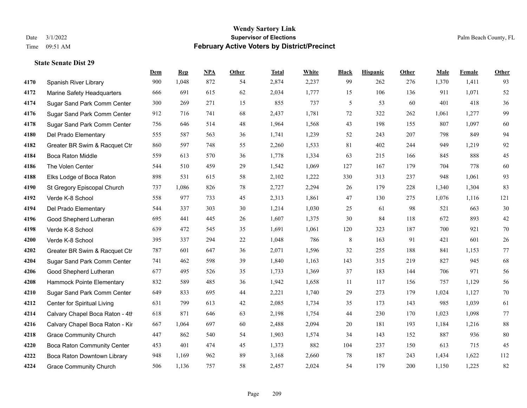**State Senate Dist 29**

# **Wendy Sartory Link** Date 3/1/2022 **Supervisor of Elections** Palm Beach County, FL Time 09:51 AM **February Active Voters by District/Precinct**

|      |                                 | Dem | $\mathbf{Rep}$ | NPA | Other | <b>Total</b> | White | <b>Black</b> | <b>Hispanic</b> | Other | Male  | Female | <b>Other</b> |
|------|---------------------------------|-----|----------------|-----|-------|--------------|-------|--------------|-----------------|-------|-------|--------|--------------|
| 4170 | Spanish River Library           | 900 | 1,048          | 872 | 54    | 2,874        | 2,237 | 99           | 262             | 276   | 1,370 | 1,411  | 93           |
| 4172 | Marine Safety Headquarters      | 666 | 691            | 615 | 62    | 2,034        | 1,777 | 15           | 106             | 136   | 911   | 1,071  | 52           |
| 4174 | Sugar Sand Park Comm Center     | 300 | 269            | 271 | 15    | 855          | 737   | 5            | 53              | 60    | 401   | 418    | 36           |
| 4176 | Sugar Sand Park Comm Center     | 912 | 716            | 741 | 68    | 2,437        | 1,781 | $72\,$       | 322             | 262   | 1,061 | 1,277  | 99           |
| 4178 | Sugar Sand Park Comm Center     | 756 | 646            | 514 | 48    | 1,964        | 1,568 | 43           | 198             | 155   | 807   | 1,097  | 60           |
| 4180 | Del Prado Elementary            | 555 | 587            | 563 | 36    | 1,741        | 1,239 | 52           | 243             | 207   | 798   | 849    | 94           |
| 4182 | Greater BR Swim & Racquet Ctr   | 860 | 597            | 748 | 55    | 2,260        | 1,533 | 81           | 402             | 244   | 949   | 1,219  | 92           |
| 4184 | Boca Raton Middle               | 559 | 613            | 570 | 36    | 1,778        | 1,334 | 63           | 215             | 166   | 845   | 888    | $45\,$       |
| 4186 | The Volen Center                | 544 | 510            | 459 | 29    | 1,542        | 1,069 | 127          | 167             | 179   | 704   | 778    | 60           |
| 4188 | Elks Lodge of Boca Raton        | 898 | 531            | 615 | 58    | 2,102        | 1,222 | 330          | 313             | 237   | 948   | 1,061  | 93           |
| 4190 | St Gregory Episcopal Church     | 737 | 1,086          | 826 | 78    | 2,727        | 2,294 | 26           | 179             | 228   | 1,340 | 1,304  | 83           |
| 4192 | Verde K-8 School                | 558 | 977            | 733 | 45    | 2,313        | 1,861 | 47           | 130             | 275   | 1,076 | 1,116  | 121          |
| 4194 | Del Prado Elementary            | 544 | 337            | 303 | 30    | 1,214        | 1,030 | 25           | 61              | 98    | 521   | 663    | 30           |
| 4196 | Good Shepherd Lutheran          | 695 | 441            | 445 | 26    | 1,607        | 1,375 | 30           | 84              | 118   | 672   | 893    | 42           |
| 4198 | Verde K-8 School                | 639 | 472            | 545 | 35    | 1,691        | 1,061 | 120          | 323             | 187   | 700   | 921    | 70           |
| 4200 | Verde K-8 School                | 395 | 337            | 294 | 22    | 1,048        | 786   | 8            | 163             | 91    | 421   | 601    | 26           |
| 4202 | Greater BR Swim & Racquet Ctr   | 787 | 601            | 647 | 36    | 2,071        | 1,596 | 32           | 255             | 188   | 841   | 1,153  | 77           |
| 4204 | Sugar Sand Park Comm Center     | 741 | 462            | 598 | 39    | 1,840        | 1,163 | 143          | 315             | 219   | 827   | 945    | 68           |
| 4206 | Good Shepherd Lutheran          | 677 | 495            | 526 | 35    | 1,733        | 1,369 | 37           | 183             | 144   | 706   | 971    | 56           |
| 4208 | Hammock Pointe Elementary       | 832 | 589            | 485 | 36    | 1,942        | 1,658 | 11           | 117             | 156   | 757   | 1,129  | 56           |
| 4210 | Sugar Sand Park Comm Center     | 649 | 833            | 695 | 44    | 2,221        | 1,740 | 29           | 273             | 179   | 1,024 | 1,127  | 70           |
| 4212 | Center for Spiritual Living     | 631 | 799            | 613 | 42    | 2,085        | 1,734 | 35           | 173             | 143   | 985   | 1,039  | 61           |
| 4214 | Calvary Chapel Boca Raton - 4th | 618 | 871            | 646 | 63    | 2,198        | 1,754 | 44           | 230             | 170   | 1,023 | 1,098  | 77           |
| 4216 | Calvary Chapel Boca Raton - Kir | 667 | 1,064          | 697 | 60    | 2,488        | 2,094 | 20           | 181             | 193   | 1,184 | 1,216  | $88\,$       |
| 4218 | <b>Grace Community Church</b>   | 447 | 862            | 540 | 54    | 1,903        | 1,574 | 34           | 143             | 152   | 887   | 936    | 80           |
| 4220 | Boca Raton Community Center     | 453 | 401            | 474 | 45    | 1,373        | 882   | 104          | 237             | 150   | 613   | 715    | 45           |
| 4222 | Boca Raton Downtown Library     | 948 | 1,169          | 962 | 89    | 3,168        | 2,660 | 78           | 187             | 243   | 1,434 | 1,622  | 112          |
| 4224 | <b>Grace Community Church</b>   | 506 | 1,136          | 757 | 58    | 2.457        | 2,024 | 54           | 179             | 200   | 1,150 | 1.225  | 82           |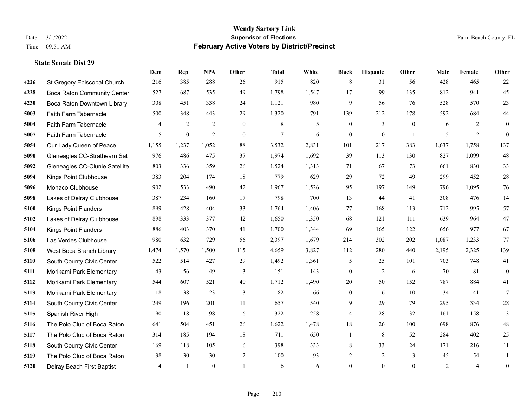**State Senate Dist 29**

#### **Wendy Sartory Link** Date 3/1/2022 **Supervisor of Elections** Palm Beach County, FL Time 09:51 AM **February Active Voters by District/Precinct**

# **Dem Rep NPA Other Total White Black Hispanic Other Male Female Other** St Gregory Episcopal Church 216 385 288 26 915 820 8 31 56 428 465 22 Boca Raton Community Center 527 687 535 49 1,798 1,547 17 99 135 812 941 45 Boca Raton Downtown Library 308 451 338 24 1,121 980 9 56 76 528 570 23 Faith Farm Tabernacle 500 348 443 29 1,320 791 139 212 178 592 684 44 Faith Farm Tabernacle 4 2 2 0 8 5 0 3 0 6 2 0 Faith Farm Tabernacle 5 0 2 0 7 6 0 0 1 5 2 0 Our Lady Queen of Peace 1,155 1,237 1,052 88 3,532 2,831 101 217 383 1,637 1,758 137 Gleneagles CC-Strathearn Sat 976 486 475 37 1,974 1,692 39 113 130 827 1,099 48 Gleneagles CC-Clunie Satellite 803 336 359 26 1,524 1,313 71 67 73 661 830 33 Kings Point Clubhouse 383 204 174 18 779 629 29 72 49 299 452 28 Monaco Clubhouse 902 533 490 42 1,967 1,526 95 197 149 796 1,095 76 Lakes of Delray Clubhouse 387 234 160 17 798 700 13 44 41 308 476 14 Kings Point Flanders 899 428 404 33 1,764 1,406 77 168 113 712 995 57 Lakes of Delray Clubhouse 898 333 377 42 1,650 1,350 68 121 11 639 964 47 Kings Point Flanders 886 403 370 41 1,700 1,344 69 165 122 656 977 67 Las Verdes Clubhouse 980 632 729 56 2,397 1,679 214 302 202 1,087 1,233 77 West Boca Branch Library 1,474 1,570 1,500 115 4,659 3,827 112 280 440 2,195 2,325 139 South County Civic Center 522 514 427 29 1,492 1,361 5 25 101 703 748 41 Morikami Park Elementary 43 56 49 3 151 143 0 2 6 70 81 0 Morikami Park Elementary 544 607 521 40 1,712 1,490 20 50 152 787 884 41 Morikami Park Elementary 18 38 23 3 82 66 0 6 10 34 41 7 South County Civic Center 249 196 201 11 657 540 9 29 79 295 334 28 Spanish River High 90 118 98 16 322 258 4 28 32 161 158 3 The Polo Club of Boca Raton 641 504 451 26 1,622 1,478 18 26 100 698 876 48 The Polo Club of Boca Raton 314 185 194 18 711 650 1 8 52 284 402 25 South County Civic Center 169 118 105 6 398 333 8 33 24 171 216 11 The Polo Club of Boca Raton 38 30 30 2 100 93 2 2 3 45 54 1 Delray Beach First Baptist 4 1 0 1 6 6 0 0 0 2 4 0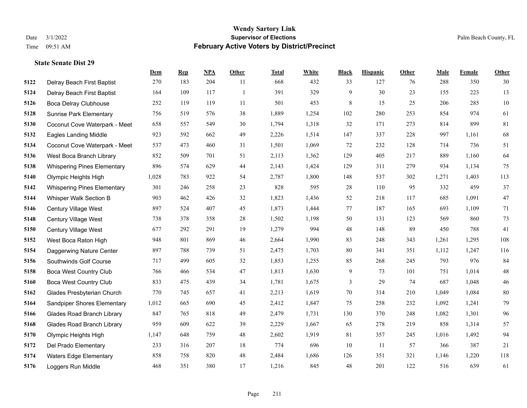|      |                                    | Dem   | <b>Rep</b> | <b>NPA</b> | Other | <b>Total</b> | White | <b>Black</b> | <b>Hispanic</b> | Other | Male  | Female | Other  |
|------|------------------------------------|-------|------------|------------|-------|--------------|-------|--------------|-----------------|-------|-------|--------|--------|
| 5122 | Delray Beach First Baptist         | 270   | 183        | 204        | 11    | 668          | 432   | 33           | 127             | 76    | 288   | 350    | 30     |
| 5124 | Delray Beach First Baptist         | 164   | 109        | 117        | -1    | 391          | 329   | 9            | 30              | 23    | 155   | 223    | 13     |
| 5126 | Boca Delray Clubhouse              | 252   | 119        | 119        | 11    | 501          | 453   | 8            | 15              | 25    | 206   | 285    | $10\,$ |
| 5128 | <b>Sunrise Park Elementary</b>     | 756   | 519        | 576        | 38    | 1,889        | 1,254 | 102          | 280             | 253   | 854   | 974    | 61     |
| 5130 | Coconut Cove Waterpark - Meet      | 658   | 557        | 549        | 30    | 1,794        | 1,318 | 32           | 171             | 273   | 814   | 899    | 81     |
| 5132 | <b>Eagles Landing Middle</b>       | 923   | 592        | 662        | 49    | 2,226        | 1,514 | 147          | 337             | 228   | 997   | 1,161  | 68     |
| 5134 | Coconut Cove Waterpark - Meet      | 537   | 473        | 460        | 31    | 1,501        | 1,069 | 72           | 232             | 128   | 714   | 736    | 51     |
| 5136 | West Boca Branch Library           | 852   | 509        | 701        | 51    | 2,113        | 1,362 | 129          | 405             | 217   | 889   | 1,160  | 64     |
| 5138 | <b>Whispering Pines Elementary</b> | 896   | 574        | 629        | 44    | 2,143        | 1,424 | 129          | 311             | 279   | 934   | 1,134  | 75     |
| 5140 | Olympic Heights High               | 1,028 | 783        | 922        | 54    | 2,787        | 1,800 | 148          | 537             | 302   | 1,271 | 1,403  | 113    |
| 5142 | <b>Whispering Pines Elementary</b> | 301   | 246        | 258        | 23    | 828          | 595   | 28           | 110             | 95    | 332   | 459    | 37     |
| 5144 | Whisper Walk Section B             | 903   | 462        | 426        | 32    | 1,823        | 1,436 | 52           | 218             | 117   | 685   | 1,091  | 47     |
| 5146 | Century Village West               | 897   | 524        | 407        | 45    | 1,873        | 1,444 | 77           | 187             | 165   | 693   | 1,109  | 71     |
| 5148 | Century Village West               | 738   | 378        | 358        | 28    | 1,502        | 1,198 | 50           | 131             | 123   | 569   | 860    | 73     |
| 5150 | Century Village West               | 677   | 292        | 291        | 19    | 1,279        | 994   | 48           | 148             | 89    | 450   | 788    | 41     |
| 5152 | West Boca Raton High               | 948   | 801        | 869        | 46    | 2,664        | 1,990 | 83           | 248             | 343   | 1,261 | 1,295  | 108    |
| 5154 | Daggerwing Nature Center           | 897   | 788        | 739        | 51    | 2,475        | 1,703 | 80           | 341             | 351   | 1,112 | 1,247  | 116    |
| 5156 | Southwinds Golf Course             | 717   | 499        | 605        | 32    | 1,853        | 1,255 | 85           | 268             | 245   | 793   | 976    | 84     |
| 5158 | <b>Boca West Country Club</b>      | 766   | 466        | 534        | 47    | 1,813        | 1,630 | 9            | 73              | 101   | 751   | 1,014  | $48\,$ |
| 5160 | <b>Boca West Country Club</b>      | 833   | 475        | 439        | 34    | 1,781        | 1,675 | 3            | 29              | 74    | 687   | 1,048  | $46\,$ |
| 5162 | Glades Presbyterian Church         | 770   | 745        | 657        | 41    | 2,213        | 1,619 | 70           | 314             | 210   | 1,049 | 1,084  | $80\,$ |
| 5164 | Sandpiper Shores Elementary        | 1,012 | 665        | 690        | 45    | 2,412        | 1,847 | 75           | 258             | 232   | 1,092 | 1,241  | 79     |
| 5166 | <b>Glades Road Branch Library</b>  | 847   | 765        | 818        | 49    | 2,479        | 1,731 | 130          | 370             | 248   | 1,082 | 1,301  | 96     |
| 5168 | <b>Glades Road Branch Library</b>  | 959   | 609        | 622        | 39    | 2,229        | 1,667 | 65           | 278             | 219   | 858   | 1,314  | 57     |
| 5170 | Olympic Heights High               | 1,147 | 648        | 759        | 48    | 2,602        | 1,919 | 81           | 357             | 245   | 1,016 | 1,492  | 94     |
| 5172 | Del Prado Elementary               | 233   | 316        | 207        | 18    | 774          | 696   | 10           | 11              | 57    | 366   | 387    | 21     |
| 5174 | <b>Waters Edge Elementary</b>      | 858   | 758        | 820        | 48    | 2,484        | 1,686 | 126          | 351             | 321   | 1,146 | 1,220  | 118    |
| 5176 | Loggers Run Middle                 | 468   | 351        | 380        | 17    | 1,216        | 845   | 48           | 201             | 122   | 516   | 639    | 61     |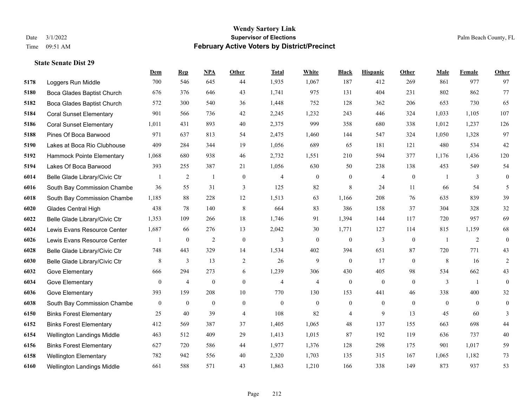|      |                                | Dem          | <b>Rep</b>     | NPA              | <b>Other</b>     | <b>Total</b>   | White            | <b>Black</b>     | <b>Hispanic</b>  | Other          | <b>Male</b>    | Female         | <b>Other</b>     |
|------|--------------------------------|--------------|----------------|------------------|------------------|----------------|------------------|------------------|------------------|----------------|----------------|----------------|------------------|
| 5178 | Loggers Run Middle             | 700          | 546            | 645              | 44               | 1,935          | 1,067            | 187              | 412              | 269            | 861            | 977            | 97               |
| 5180 | Boca Glades Baptist Church     | 676          | 376            | 646              | 43               | 1,741          | 975              | 131              | 404              | 231            | 802            | 862            | 77               |
| 5182 | Boca Glades Baptist Church     | 572          | 300            | 540              | 36               | 1,448          | 752              | 128              | 362              | 206            | 653            | 730            | 65               |
| 5184 | <b>Coral Sunset Elementary</b> | 901          | 566            | 736              | 42               | 2,245          | 1,232            | 243              | 446              | 324            | 1,033          | 1,105          | 107              |
| 5186 | <b>Coral Sunset Elementary</b> | 1,011        | 431            | 893              | 40               | 2,375          | 999              | 358              | 680              | 338            | 1,012          | 1,237          | 126              |
| 5188 | Pines Of Boca Barwood          | 971          | 637            | 813              | 54               | 2,475          | 1,460            | 144              | 547              | 324            | 1,050          | 1,328          | 97               |
| 5190 | Lakes at Boca Rio Clubhouse    | 409          | 284            | 344              | 19               | 1,056          | 689              | 65               | 181              | 121            | 480            | 534            | 42               |
| 5192 | Hammock Pointe Elementary      | 1,068        | 680            | 938              | 46               | 2,732          | 1,551            | 210              | 594              | 377            | 1,176          | 1,436          | 120              |
| 5194 | Lakes Of Boca Barwood          | 393          | 255            | 387              | 21               | 1,056          | 630              | 50               | 238              | 138            | 453            | 549            | 54               |
| 6014 | Belle Glade Library/Civic Ctr  | $\mathbf{1}$ | 2              | $\mathbf{1}$     | $\theta$         | $\overline{4}$ | $\overline{0}$   | $\mathbf{0}$     | $\overline{4}$   | $\theta$       | $\overline{1}$ | 3              | $\boldsymbol{0}$ |
| 6016 | South Bay Commission Chambe    | 36           | 55             | 31               | 3                | 125            | 82               | 8                | 24               | 11             | 66             | 54             | 5                |
| 6018 | South Bay Commission Chambe    | 1,185        | 88             | 228              | 12               | 1,513          | 63               | 1,166            | 208              | 76             | 635            | 839            | 39               |
| 6020 | Glades Central High            | 438          | 78             | 140              | 8                | 664            | 83               | 386              | 158              | 37             | 304            | 328            | 32               |
| 6022 | Belle Glade Library/Civic Ctr  | 1,353        | 109            | 266              | 18               | 1,746          | 91               | 1,394            | 144              | 117            | 720            | 957            | 69               |
| 6024 | Lewis Evans Resource Center    | 1,687        | 66             | 276              | 13               | 2,042          | 30               | 1,771            | 127              | 114            | 815            | 1,159          | 68               |
| 6026 | Lewis Evans Resource Center    |              | $\bf{0}$       | $\overline{2}$   | $\mathbf{0}$     | 3              | $\overline{0}$   | $\mathbf{0}$     | 3                | $\theta$       | $\overline{1}$ | 2              | $\mathbf{0}$     |
| 6028 | Belle Glade Library/Civic Ctr  | 748          | 443            | 329              | 14               | 1,534          | 402              | 394              | 651              | 87             | 720            | 771            | 43               |
| 6030 | Belle Glade Library/Civic Ctr  | 8            | 3              | 13               | $\overline{c}$   | 26             | 9                | $\mathbf{0}$     | 17               | $\overline{0}$ | 8              | 16             | $\overline{c}$   |
| 6032 | Gove Elementary                | 666          | 294            | 273              | 6                | 1,239          | 306              | 430              | 405              | 98             | 534            | 662            | 43               |
| 6034 | Gove Elementary                | $\mathbf{0}$ | $\overline{4}$ | $\overline{0}$   | $\overline{0}$   | 4              | $\overline{4}$   | $\mathbf{0}$     | $\mathbf{0}$     | $\theta$       | 3              | $\overline{1}$ | $\mathbf{0}$     |
| 6036 | Gove Elementary                | 393          | 159            | 208              | 10               | 770            | 130              | 153              | 441              | 46             | 338            | 400            | $32\,$           |
| 6038 | South Bay Commission Chambe    | $\mathbf{0}$ | $\bf{0}$       | $\boldsymbol{0}$ | $\boldsymbol{0}$ | $\mathbf{0}$   | $\boldsymbol{0}$ | $\boldsymbol{0}$ | $\boldsymbol{0}$ | $\mathbf{0}$   | $\mathbf{0}$   | $\overline{0}$ | $\boldsymbol{0}$ |
| 6150 | <b>Binks Forest Elementary</b> | 25           | 40             | 39               | $\overline{4}$   | 108            | 82               | 4                | 9                | 13             | 45             | 60             | 3                |
| 6152 | <b>Binks Forest Elementary</b> | 412          | 569            | 387              | 37               | 1,405          | 1,065            | 48               | 137              | 155            | 663            | 698            | 44               |
| 6154 | Wellington Landings Middle     | 463          | 512            | 409              | 29               | 1,413          | 1,015            | 87               | 192              | 119            | 636            | 737            | $40\,$           |
| 6156 | <b>Binks Forest Elementary</b> | 627          | 720            | 586              | 44               | 1,977          | 1,376            | 128              | 298              | 175            | 901            | 1,017          | 59               |
| 6158 | <b>Wellington Elementary</b>   | 782          | 942            | 556              | 40               | 2,320          | 1,703            | 135              | 315              | 167            | 1,065          | 1,182          | 73               |
| 6160 | Wellington Landings Middle     | 661          | 588            | 571              | 43               | 1,863          | 1,210            | 166              | 338              | 149            | 873            | 937            | 53               |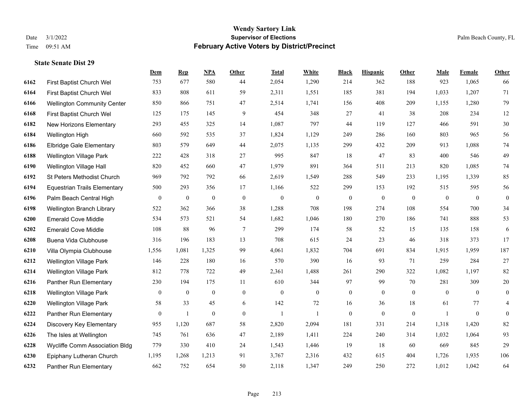|      |                                     | Dem              | <b>Rep</b>       | <b>NPA</b>       | Other            | <b>Total</b> | White            | <b>Black</b>     | <b>Hispanic</b>  | Other        | Male             | Female       | <b>Other</b>     |
|------|-------------------------------------|------------------|------------------|------------------|------------------|--------------|------------------|------------------|------------------|--------------|------------------|--------------|------------------|
| 6162 | First Baptist Church Wel            | 753              | 677              | 580              | 44               | 2,054        | 1,290            | 214              | 362              | 188          | 923              | 1,065        | 66               |
| 6164 | First Baptist Church Wel            | 833              | 808              | 611              | 59               | 2,311        | 1,551            | 185              | 381              | 194          | 1,033            | 1,207        | 71               |
| 6166 | <b>Wellington Community Center</b>  | 850              | 866              | 751              | 47               | 2,514        | 1,741            | 156              | 408              | 209          | 1,155            | 1,280        | 79               |
| 6168 | First Baptist Church Wel            | 125              | 175              | 145              | 9                | 454          | 348              | 27               | 41               | 38           | 208              | 234          | 12               |
| 6182 | New Horizons Elementary             | 293              | 455              | 325              | 14               | 1,087        | 797              | 44               | 119              | 127          | 466              | 591          | $30\,$           |
| 6184 | Wellington High                     | 660              | 592              | 535              | 37               | 1,824        | 1,129            | 249              | 286              | 160          | 803              | 965          | 56               |
| 6186 | <b>Elbridge Gale Elementary</b>     | 803              | 579              | 649              | 44               | 2,075        | 1,135            | 299              | 432              | 209          | 913              | 1,088        | 74               |
| 6188 | Wellington Village Park             | 222              | 428              | 318              | 27               | 995          | 847              | 18               | 47               | 83           | 400              | 546          | 49               |
| 6190 | Wellington Village Hall             | 820              | 452              | 660              | 47               | 1,979        | 891              | 364              | 511              | 213          | 820              | 1,085        | 74               |
| 6192 | St Peters Methodist Church          | 969              | 792              | 792              | 66               | 2,619        | 1,549            | 288              | 549              | 233          | 1,195            | 1,339        | 85               |
| 6194 | <b>Equestrian Trails Elementary</b> | 500              | 293              | 356              | 17               | 1,166        | 522              | 299              | 153              | 192          | 515              | 595          | 56               |
| 6196 | Palm Beach Central High             | $\boldsymbol{0}$ | $\boldsymbol{0}$ | $\boldsymbol{0}$ | $\boldsymbol{0}$ | $\mathbf{0}$ | $\boldsymbol{0}$ | $\boldsymbol{0}$ | $\boldsymbol{0}$ | $\mathbf{0}$ | $\boldsymbol{0}$ | $\mathbf{0}$ | $\boldsymbol{0}$ |
| 6198 | Wellington Branch Library           | 522              | 362              | 366              | 38               | 1,288        | 708              | 198              | 274              | 108          | 554              | 700          | 34               |
| 6200 | <b>Emerald Cove Middle</b>          | 534              | 573              | 521              | 54               | 1,682        | 1,046            | 180              | 270              | 186          | 741              | 888          | 53               |
| 6202 | <b>Emerald Cove Middle</b>          | 108              | 88               | 96               | $\tau$           | 299          | 174              | 58               | 52               | 15           | 135              | 158          | $\sqrt{6}$       |
| 6208 | Buena Vida Clubhouse                | 316              | 196              | 183              | 13               | 708          | 615              | 24               | 23               | 46           | 318              | 373          | 17               |
| 6210 | Villa Olympia Clubhouse             | 1,556            | 1,081            | 1,325            | 99               | 4,061        | 1,832            | 704              | 691              | 834          | 1,915            | 1,959        | 187              |
| 6212 | Wellington Village Park             | 146              | 228              | 180              | 16               | 570          | 390              | 16               | 93               | 71           | 259              | 284          | 27               |
| 6214 | <b>Wellington Village Park</b>      | 812              | 778              | 722              | 49               | 2,361        | 1,488            | 261              | 290              | 322          | 1,082            | 1,197        | $82\,$           |
| 6216 | Panther Run Elementary              | 230              | 194              | 175              | 11               | 610          | 344              | 97               | 99               | 70           | 281              | 309          | $20\,$           |
| 6218 | <b>Wellington Village Park</b>      | $\mathbf{0}$     | $\mathbf{0}$     | $\overline{0}$   | $\overline{0}$   | $\mathbf{0}$ | $\overline{0}$   | $\boldsymbol{0}$ | $\mathbf{0}$     | $\theta$     | $\theta$         | $\theta$     | $\boldsymbol{0}$ |
| 6220 | Wellington Village Park             | 58               | 33               | 45               | 6                | 142          | 72               | 16               | 36               | 18           | 61               | 77           | 4                |
| 6222 | Panther Run Elementary              | $\overline{0}$   | $\mathbf{1}$     | $\mathbf{0}$     | $\mathbf{0}$     | $\mathbf{1}$ | $\mathbf{1}$     | $\mathbf{0}$     | $\mathbf{0}$     | $\mathbf{0}$ | -1               | $\mathbf{0}$ | $\mathbf{0}$     |
| 6224 | Discovery Key Elementary            | 955              | 1,120            | 687              | 58               | 2,820        | 2,094            | 181              | 331              | 214          | 1,318            | 1,420        | 82               |
| 6226 | The Isles at Wellington             | 745              | 761              | 636              | 47               | 2,189        | 1,411            | 224              | 240              | 314          | 1,032            | 1,064        | 93               |
| 6228 | Wycliffe Comm Association Bldg      | 779              | 330              | 410              | 24               | 1,543        | 1,446            | 19               | 18               | 60           | 669              | 845          | 29               |
| 6230 | Epiphany Lutheran Church            | 1,195            | 1,268            | 1,213            | 91               | 3,767        | 2,316            | 432              | 615              | 404          | 1,726            | 1,935        | 106              |
| 6232 | Panther Run Elementary              | 662              | 752              | 654              | 50               | 2,118        | 1,347            | 249              | 250              | 272          | 1,012            | 1,042        | 64               |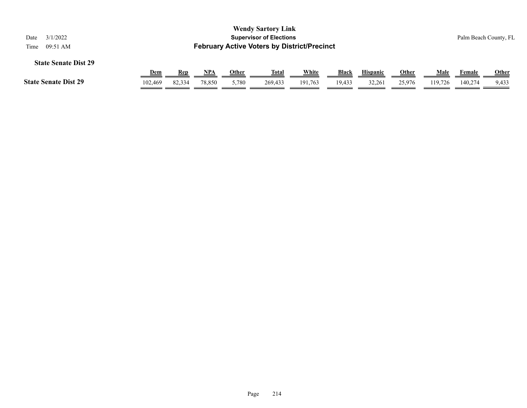| <b>Wendy Sartory Link</b><br>3/1/2022<br><b>Supervisor of Elections</b><br>Date |                                                    |            |        |       |              |         |              |                 |              |         |         | Palm Beach County, FL |  |  |
|---------------------------------------------------------------------------------|----------------------------------------------------|------------|--------|-------|--------------|---------|--------------|-----------------|--------------|---------|---------|-----------------------|--|--|
| 09:51 AM<br>Time                                                                | <b>February Active Voters by District/Precinct</b> |            |        |       |              |         |              |                 |              |         |         |                       |  |  |
| <b>State Senate Dist 29</b>                                                     | <u>Dem</u>                                         | <b>Rep</b> | NPA    | Other | <u>Total</u> | White   | <b>Black</b> | <b>Hispanic</b> | <u>Other</u> | Male    | Female  | <b>Other</b>          |  |  |
| <b>State Senate Dist 29</b>                                                     | 102,469                                            | 82,334     | 78.850 | 5,780 | 269,433      | 191.763 | 19,433       | 32,261          | 25,976       | 119.726 | 140,274 | 9,433                 |  |  |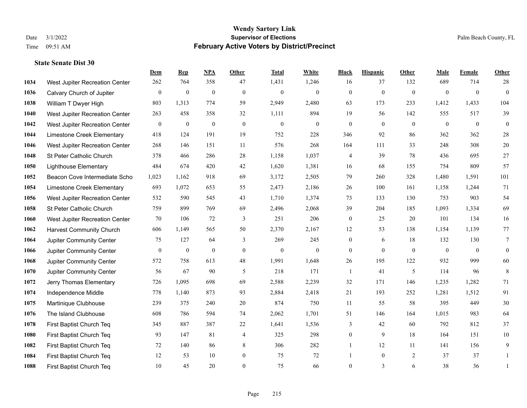|      |                                 | Dem              | <b>Rep</b>       | NPA          | <b>Other</b>     | <b>Total</b>     | <b>White</b>   | <b>Black</b>     | <b>Hispanic</b> | Other          | <b>Male</b>    | <b>Female</b>  | <b>Other</b> |
|------|---------------------------------|------------------|------------------|--------------|------------------|------------------|----------------|------------------|-----------------|----------------|----------------|----------------|--------------|
| 1034 | West Jupiter Recreation Center  | 262              | 764              | 358          | 47               | 1,431            | 1,246          | 16               | 37              | 132            | 689            | 714            | 28           |
| 1036 | Calvary Church of Jupiter       | $\boldsymbol{0}$ | $\mathbf{0}$     | $\mathbf{0}$ | $\mathbf{0}$     | $\mathbf{0}$     | $\overline{0}$ | $\mathbf{0}$     | $\mathbf{0}$    | $\overline{0}$ | $\overline{0}$ | $\overline{0}$ | $\mathbf{0}$ |
| 1038 | William T Dwyer High            | 803              | 1,313            | 774          | 59               | 2,949            | 2,480          | 63               | 173             | 233            | 1,412          | 1,433          | 104          |
| 1040 | West Jupiter Recreation Center  | 263              | 458              | 358          | 32               | 1,111            | 894            | 19               | 56              | 142            | 555            | 517            | 39           |
| 1042 | West Jupiter Recreation Center  | $\mathbf{0}$     | $\boldsymbol{0}$ | $\mathbf{0}$ | $\theta$         | $\mathbf{0}$     | $\overline{0}$ | $\overline{0}$   | $\mathbf{0}$    | $\Omega$       | $\theta$       | $\theta$       | $\mathbf{0}$ |
| 1044 | Limestone Creek Elementary      | 418              | 124              | 191          | 19               | 752              | 228            | 346              | 92              | 86             | 362            | 362            | $28\,$       |
| 1046 | West Jupiter Recreation Center  | 268              | 146              | 151          | 11               | 576              | 268            | 164              | 111             | 33             | 248            | 308            | $20\,$       |
| 1048 | St Peter Catholic Church        | 378              | 466              | 286          | 28               | 1,158            | 1,037          | 4                | 39              | 78             | 436            | 695            | $27\,$       |
| 1050 | <b>Lighthouse Elementary</b>    | 484              | 674              | 420          | 42               | 1,620            | 1,381          | 16               | 68              | 155            | 754            | 809            | 57           |
| 1052 | Beacon Cove Intermediate Scho   | 1,023            | 1,162            | 918          | 69               | 3,172            | 2,505          | 79               | 260             | 328            | 1,480          | 1,591          | 101          |
| 1054 | Limestone Creek Elementary      | 693              | 1,072            | 653          | 55               | 2,473            | 2,186          | 26               | 100             | 161            | 1,158          | 1,244          | 71           |
| 1056 | West Jupiter Recreation Center  | 532              | 590              | 545          | 43               | 1,710            | 1,374          | 73               | 133             | 130            | 753            | 903            | 54           |
| 1058 | St Peter Catholic Church        | 759              | 899              | 769          | 69               | 2,496            | 2,068          | 39               | 204             | 185            | 1,093          | 1,334          | 69           |
| 1060 | West Jupiter Recreation Center  | 70               | 106              | 72           | 3                | 251              | 206            | $\boldsymbol{0}$ | 25              | 20             | 101            | 134            | 16           |
| 1062 | <b>Harvest Community Church</b> | 606              | 1,149            | 565          | 50               | 2,370            | 2,167          | 12               | 53              | 138            | 1,154          | 1,139          | $77\,$       |
| 1064 | Jupiter Community Center        | 75               | 127              | 64           | 3                | 269              | 245            | $\mathbf{0}$     | 6               | 18             | 132            | 130            | 7            |
| 1066 | Jupiter Community Center        | $\mathbf{0}$     | $\boldsymbol{0}$ | $\mathbf{0}$ | $\mathbf{0}$     | $\boldsymbol{0}$ | $\mathbf{0}$   | $\boldsymbol{0}$ | $\mathbf{0}$    | $\mathbf{0}$   | $\overline{0}$ | $\mathbf{0}$   | $\mathbf{0}$ |
| 1068 | Jupiter Community Center        | 572              | 758              | 613          | 48               | 1,991            | 1,648          | 26               | 195             | 122            | 932            | 999            | 60           |
| 1070 | Jupiter Community Center        | 56               | 67               | 90           | 5                | 218              | 171            | $\mathbf{1}$     | 41              | 5              | 114            | 96             | $8\,$        |
| 1072 | Jerry Thomas Elementary         | 726              | 1,095            | 698          | 69               | 2,588            | 2,239          | 32               | 171             | 146            | 1,235          | 1,282          | 71           |
| 1074 | Independence Middle             | 778              | 1,140            | 873          | 93               | 2,884            | 2,418          | 21               | 193             | 252            | 1,281          | 1,512          | 91           |
| 1075 | Martinique Clubhouse            | 239              | 375              | 240          | $20\,$           | 874              | 750            | 11               | 55              | 58             | 395            | 449            | $30\,$       |
| 1076 | The Island Clubhouse            | 608              | 786              | 594          | 74               | 2,062            | 1,701          | 51               | 146             | 164            | 1,015          | 983            | 64           |
| 1078 | First Baptist Church Teq        | 345              | 887              | 387          | $22\,$           | 1,641            | 1,536          | 3                | 42              | 60             | 792            | 812            | 37           |
| 1080 | First Baptist Church Teq        | 93               | 147              | 81           | $\overline{4}$   | 325              | 298            | $\overline{0}$   | 9               | 18             | 164            | 151            | 10           |
| 1082 | First Baptist Church Teq        | 72               | 140              | 86           | 8                | 306              | 282            | 1                | 12              | 11             | 141            | 156            | 9            |
| 1084 | First Baptist Church Teq        | 12               | 53               | 10           | $\boldsymbol{0}$ | 75               | 72             |                  | $\mathbf{0}$    | 2              | 37             | 37             | 1            |
| 1088 | First Baptist Church Teq        | 10               | 45               | 20           | $\theta$         | 75               | 66             | $\overline{0}$   | $\overline{3}$  | 6              | 38             | 36             | 1            |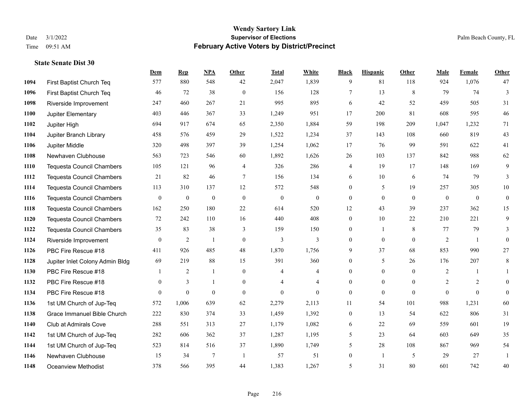|      |                                  | Dem          | <b>Rep</b>       | <b>NPA</b>       | <b>Other</b>   | <b>Total</b>     | White            | <b>Black</b>     | <b>Hispanic</b>  | Other    | Male           | Female       | <b>Other</b> |
|------|----------------------------------|--------------|------------------|------------------|----------------|------------------|------------------|------------------|------------------|----------|----------------|--------------|--------------|
| 1094 | First Baptist Church Teq         | 577          | 880              | 548              | 42             | 2,047            | 1,839            | 9                | 81               | 118      | 924            | 1.076        | 47           |
| 1096 | First Baptist Church Teq         | 46           | 72               | 38               | $\mathbf{0}$   | 156              | 128              | 7                | 13               | 8        | 79             | 74           | 3            |
| 1098 | Riverside Improvement            | 247          | 460              | 267              | 21             | 995              | 895              | 6                | 42               | 52       | 459            | 505          | 31           |
| 1100 | Jupiter Elementary               | 403          | 446              | 367              | 33             | 1,249            | 951              | 17               | 200              | 81       | 608            | 595          | 46           |
| 1102 | Jupiter High                     | 694          | 917              | 674              | 65             | 2,350            | 1,884            | 59               | 198              | 209      | 1,047          | 1,232        | 71           |
| 1104 | Jupiter Branch Library           | 458          | 576              | 459              | 29             | 1,522            | 1,234            | 37               | 143              | 108      | 660            | 819          | 43           |
| 1106 | Jupiter Middle                   | 320          | 498              | 397              | 39             | 1,254            | 1,062            | 17               | 76               | 99       | 591            | 622          | 41           |
| 1108 | Newhaven Clubhouse               | 563          | 723              | 546              | 60             | 1,892            | 1,626            | 26               | 103              | 137      | 842            | 988          | 62           |
| 1110 | <b>Tequesta Council Chambers</b> | 105          | 121              | 96               | $\overline{4}$ | 326              | 286              | 4                | 19               | 17       | 148            | 169          | 9            |
| 1112 | Tequesta Council Chambers        | 21           | 82               | 46               | $\tau$         | 156              | 134              | 6                | 10               | 6        | 74             | 79           | 3            |
| 1114 | <b>Tequesta Council Chambers</b> | 113          | 310              | 137              | 12             | 572              | 548              | $\overline{0}$   | 5                | 19       | 257            | 305          | $10\,$       |
| 1116 | <b>Tequesta Council Chambers</b> | $\mathbf{0}$ | $\boldsymbol{0}$ | $\boldsymbol{0}$ | $\mathbf{0}$   | $\boldsymbol{0}$ | $\boldsymbol{0}$ | $\boldsymbol{0}$ | $\mathbf{0}$     | $\theta$ | $\mathbf{0}$   | $\mathbf{0}$ | $\mathbf{0}$ |
| 1118 | <b>Tequesta Council Chambers</b> | 162          | 250              | 180              | 22             | 614              | 520              | 12               | 43               | 39       | 237            | 362          | 15           |
| 1120 | <b>Tequesta Council Chambers</b> | 72           | 242              | 110              | 16             | 440              | 408              | $\boldsymbol{0}$ | 10               | 22       | 210            | 221          | 9            |
| 1122 | <b>Tequesta Council Chambers</b> | 35           | 83               | 38               | 3              | 159              | 150              | $\boldsymbol{0}$ | $\mathbf{1}$     | 8        | 77             | 79           | 3            |
| 1124 | Riverside Improvement            | $\mathbf{0}$ | 2                | 1                | $\mathbf{0}$   | 3                | 3                | $\overline{0}$   | $\mathbf{0}$     | $\theta$ | 2              | -1           | $\mathbf{0}$ |
| 1126 | PBC Fire Rescue #18              | 411          | 926              | 485              | 48             | 1,870            | 1,756            | 9                | 37               | 68       | 853            | 990          | 27           |
| 1128 | Jupiter Inlet Colony Admin Bldg  | 69           | 219              | 88               | 15             | 391              | 360              | $\mathbf{0}$     | 5                | 26       | 176            | 207          | 8            |
| 1130 | PBC Fire Rescue #18              |              | $\overline{2}$   | 1                | $\mathbf{0}$   | $\overline{4}$   | 4                | $\boldsymbol{0}$ | $\boldsymbol{0}$ | $\theta$ | $\overline{2}$ | 1            | $\mathbf{1}$ |
| 1132 | PBC Fire Rescue #18              | $\theta$     | 3                | $\mathbf{1}$     | $\Omega$       | $\overline{4}$   | $\overline{4}$   | $\mathbf{0}$     | $\mathbf{0}$     | $\theta$ | 2              | 2            | $\theta$     |
| 1134 | PBC Fire Rescue #18              | $\Omega$     | $\mathbf{0}$     | $\mathbf{0}$     | $\Omega$       | $\theta$         | $\Omega$         | $\mathbf{0}$     | $\theta$         | $\theta$ | $\Omega$       | $\theta$     | $\theta$     |
| 1136 | 1st UM Church of Jup-Teq         | 572          | 1,006            | 639              | 62             | 2,279            | 2,113            | 11               | 54               | 101      | 988            | 1,231        | 60           |
| 1138 | Grace Immanuel Bible Church      | 222          | 830              | 374              | 33             | 1,459            | 1,392            | $\boldsymbol{0}$ | 13               | 54       | 622            | 806          | 31           |
| 1140 | <b>Club at Admirals Cove</b>     | 288          | 551              | 313              | 27             | 1,179            | 1,082            | 6                | 22               | 69       | 559            | 601          | 19           |
| 1142 | 1st UM Church of Jup-Teq         | 282          | 606              | 362              | 37             | 1,287            | 1,195            | 5                | 23               | 64       | 603            | 649          | 35           |
| 1144 | 1st UM Church of Jup-Teq         | 523          | 814              | 516              | 37             | 1,890            | 1,749            | 5                | 28               | 108      | 867            | 969          | 54           |
| 1146 | Newhaven Clubhouse               | 15           | 34               | $\overline{7}$   | -1             | 57               | 51               | $\boldsymbol{0}$ | 1                | 5        | 29             | 27           | 1            |
| 1148 | <b>Oceanview Methodist</b>       | 378          | 566              | 395              | 44             | 1,383            | 1,267            | 5                | 31               | 80       | 601            | 742          | 40           |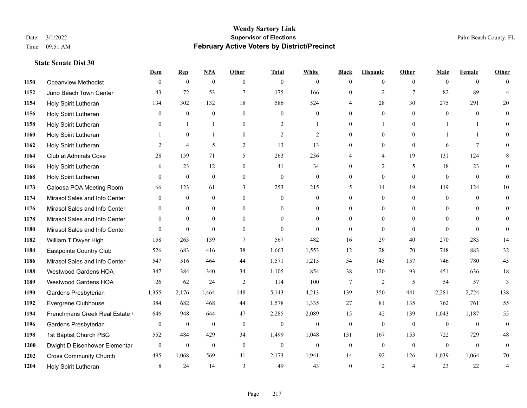#### **Wendy Sartory Link** Date 3/1/2022 **Supervisor of Elections** Palm Beach County, FL Time 09:51 AM **February Active Voters by District/Precinct**

|      |                               | Dem            | <b>Rep</b>       | NPA              | Other            | <b>Total</b>     | White          | <b>Black</b>     | <b>Hispanic</b> | Other           | Male           | Female          | Other            |
|------|-------------------------------|----------------|------------------|------------------|------------------|------------------|----------------|------------------|-----------------|-----------------|----------------|-----------------|------------------|
| 1150 | <b>Oceanview Methodist</b>    | $\Omega$       | $\overline{0}$   | $\mathbf{0}$     | $\theta$         | $\mathbf{0}$     | $\Omega$       | $\Omega$         | $\theta$        | $\theta$        | $\theta$       | $\theta$        | $\theta$         |
| 1152 | Juno Beach Town Center        | 43             | 72               | 53               | $\overline{7}$   | 175              | 166            | $\theta$         | $\overline{2}$  | $7\phantom{.0}$ | 82             | 89              | $\Delta$         |
| 1154 | Holy Spirit Lutheran          | 134            | 302              | 132              | 18               | 586              | 524            | 4                | 28              | 30              | 275            | 291             | 20               |
| 1156 | Holy Spirit Lutheran          | $\Omega$       | $\overline{0}$   | $\Omega$         | $\theta$         | $\theta$         | $\Omega$       | $\Omega$         | $\theta$        | $\Omega$        | $\theta$       | $\Omega$        | $\theta$         |
| 1158 | Holy Spirit Lutheran          | $\overline{0}$ | 1                | 1                | $\mathbf{0}$     | $\mathfrak{2}$   |                | $\overline{0}$   | 1               | $\theta$        |                |                 | $\theta$         |
| 1160 | Holy Spirit Lutheran          |                | $\overline{0}$   | 1                | $\theta$         | $\overline{2}$   | $\overline{2}$ | $\theta$         | $\mathbf{0}$    | $\Omega$        | $\mathbf{1}$   | $\mathbf{1}$    | $\theta$         |
| 1162 | Holy Spirit Lutheran          | $\overline{2}$ | $\overline{4}$   | 5                | 2                | 13               | 13             | $\Omega$         | $\theta$        | $\theta$        | 6              | $7\phantom{.0}$ | $\Omega$         |
| 1164 | <b>Club at Admirals Cove</b>  | 28             | 159              | 71               | 5                | 263              | 236            | 4                | 4               | 19              | 131            | 124             | 8                |
| 1166 | Holy Spirit Lutheran          | 6              | 23               | 12               | $\theta$         | 41               | 34             | $\theta$         | $\overline{2}$  | 5               | 18             | 23              | $\theta$         |
| 1168 | Holy Spirit Lutheran          | $\overline{0}$ | $\mathbf{0}$     | $\overline{0}$   | $\boldsymbol{0}$ | $\boldsymbol{0}$ | $\overline{0}$ | $\overline{0}$   | $\mathbf{0}$    | $\mathbf{0}$    | $\mathbf{0}$   | $\mathbf{0}$    | $\theta$         |
| 1173 | Caloosa POA Meeting Room      | 66             | 123              | 61               | 3                | 253              | 215            | 5                | 14              | 19              | 119            | 124             | 10               |
| 1174 | Mirasol Sales and Info Center | $\theta$       | $\overline{0}$   | $\overline{0}$   | $\theta$         | $\overline{0}$   | $\overline{0}$ | $\theta$         | $\mathbf{0}$    | $\theta$        | $\theta$       | $\theta$        | $\theta$         |
| 1176 | Mirasol Sales and Info Center | 0              | $\overline{0}$   | $\overline{0}$   | $\overline{0}$   | $\theta$         | $\overline{0}$ | $\overline{0}$   | $\mathbf{0}$    | $\theta$        | $\overline{0}$ | $\theta$        | $\theta$         |
| 1178 | Mirasol Sales and Info Center | $\Omega$       | $\Omega$         | $\Omega$         | $\Omega$         | $\Omega$         | $\theta$       | $\Omega$         | $\theta$        | $\Omega$        | $\Omega$       | $\Omega$        | $\Omega$         |
| 1180 | Mirasol Sales and Info Center | $\theta$       | $\mathbf{0}$     | $\theta$         | $\theta$         | $\theta$         | $\Omega$       | $\theta$         | $\theta$        | $\Omega$        | $\theta$       | $\theta$        | $\Omega$         |
| 1182 | William T Dwyer High          | 158            | 263              | 139              | $\overline{7}$   | 567              | 482            | 16               | 29              | 40              | 270            | 283             | 14               |
| 1184 | Eastpointe Country Club       | 526            | 683              | 416              | 38               | 1,663            | 1,553          | 12               | 28              | 70              | 748            | 883             | 32               |
| 1186 | Mirasol Sales and Info Center | 547            | 516              | 464              | 44               | 1,571            | 1,215          | 54               | 145             | 157             | 746            | 780             | 45               |
| 1188 | Westwood Gardens HOA          | 347            | 384              | 340              | 34               | 1,105            | 854            | 38               | 120             | 93              | 451            | 636             | 18               |
| 1189 | <b>Westwood Gardens HOA</b>   | 26             | 62               | 24               | $\overline{2}$   | 114              | 100            | $\overline{7}$   | $\overline{2}$  | 5               | 54             | 57              | 3                |
| 1190 | Gardens Presbyterian          | 1,355          | 2,176            | 1,464            | 148              | 5,143            | 4,213          | 139              | 350             | 441             | 2,281          | 2,724           | 138              |
| 1192 | Evergrene Clubhouse           | 384            | 682              | 468              | 44               | 1,578            | 1,335          | 27               | 81              | 135             | 762            | 761             | 55               |
| 1194 | Frenchmans Creek Real Estate  | 646            | 948              | 644              | 47               | 2,285            | 2,089          | 15               | 42              | 139             | 1,043          | 1,187           | 55               |
| 1196 | Gardens Presbyterian          | $\overline{0}$ | $\boldsymbol{0}$ | $\mathbf{0}$     | $\mathbf{0}$     | $\mathbf{0}$     | $\overline{0}$ | $\boldsymbol{0}$ | $\mathbf{0}$    | $\mathbf{0}$    | $\mathbf{0}$   | $\mathbf{0}$    | $\mathbf{0}$     |
| 1198 | 1st Baptist Church PBG        | 552            | 484              | 429              | 34               | 1,499            | 1,048          | 131              | 167             | 153             | 722            | 729             | 48               |
| 1200 | Dwight D Eisenhower Elementar | $\overline{0}$ | $\mathbf{0}$     | $\boldsymbol{0}$ | $\mathbf{0}$     | $\mathbf{0}$     | $\overline{0}$ | $\boldsymbol{0}$ | $\mathbf{0}$    | $\mathbf{0}$    | $\mathbf{0}$   | $\mathbf{0}$    | $\boldsymbol{0}$ |
| 1202 | <b>Cross Community Church</b> | 495            | 1,068            | 569              | 41               | 2,173            | 1,941          | 14               | 92              | 126             | 1,039          | 1,064           | 70               |
| 1204 | Holy Spirit Lutheran          | 8              | 24               | 14               | 3                | 49               | 43             | $\Omega$         | 2               | $\overline{4}$  | 23             | 22              | $\overline{4}$   |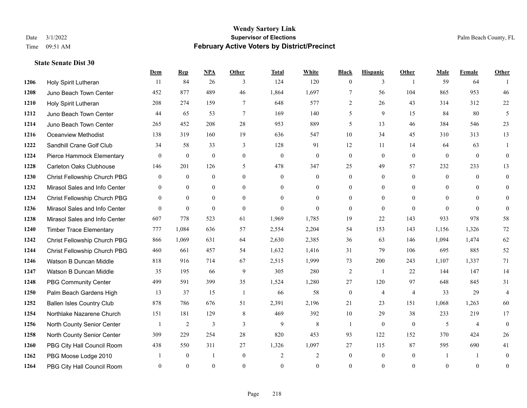## **Dem Rep NPA Other Total White Black Hispanic Other Male Female Other State Senate Dist 30**

| 1206 | Holy Spirit Lutheran                | 11             | 84             | 26             | 3                | 124            | 120          | 0              | 3              |                | 59           | 64             |                  |
|------|-------------------------------------|----------------|----------------|----------------|------------------|----------------|--------------|----------------|----------------|----------------|--------------|----------------|------------------|
| 1208 | Juno Beach Town Center              | 452            | 877            | 489            | 46               | 1,864          | 1,697        | $\tau$         | 56             | 104            | 865          | 953            | 46               |
| 1210 | Holy Spirit Lutheran                | 208            | 274            | 159            | $\tau$           | 648            | 577          | $\overline{2}$ | 26             | 43             | 314          | 312            | 22               |
| 1212 | Juno Beach Town Center              | 44             | 65             | 53             | $\tau$           | 169            | 140          | 5              | 9              | 15             | 84           | 80             | 5                |
| 1214 | Juno Beach Town Center              | 265            | 452            | 208            | 28               | 953            | 889          | 5              | 13             | 46             | 384          | 546            | 23               |
| 1216 | <b>Oceanview Methodist</b>          | 138            | 319            | 160            | 19               | 636            | 547          | 10             | 34             | 45             | 310          | 313            | 13               |
| 1222 | Sandhill Crane Golf Club            | 34             | 58             | 33             | 3                | 128            | 91           | 12             | 11             | 14             | 64           | 63             |                  |
| 1224 | Pierce Hammock Elementary           | $\theta$       | $\overline{0}$ | $\overline{0}$ | $\theta$         | $\theta$       | $\theta$     | $\Omega$       | $\theta$       | $\theta$       | $\theta$     | $\theta$       | $\theta$         |
| 1228 | <b>Carleton Oaks Clubhouse</b>      | 146            | 201            | 126            | 5                | 478            | 347          | 25             | 49             | 57             | 232          | 233            | 13               |
| 1230 | <b>Christ Fellowship Church PBG</b> | $\overline{0}$ | $\overline{0}$ | $\overline{0}$ | $\mathbf{0}$     | $\mathbf{0}$   | $\mathbf{0}$ | $\overline{0}$ | $\overline{0}$ | $\theta$       | $\mathbf{0}$ | $\theta$       | $\theta$         |
| 1232 | Mirasol Sales and Info Center       | $\Omega$       | $\Omega$       | $\overline{0}$ | $\Omega$         | $\Omega$       | $\theta$     | 0              | $\theta$       | $\Omega$       | $\Omega$     | $\Omega$       | $\theta$         |
| 1234 | Christ Fellowship Church PBG        | $\theta$       | $\Omega$       | $\Omega$       | $\theta$         | $\Omega$       | $\theta$     | 0              | $\Omega$       | $\Omega$       | $\Omega$     | $\Omega$       | $\Omega$         |
| 1236 | Mirasol Sales and Info Center       | $\Omega$       | $\Omega$       | $\theta$       | $\theta$         | $\Omega$       | $\theta$     | $\theta$       | $\Omega$       | $\theta$       | $\Omega$     | $\Omega$       | $\Omega$         |
| 1238 | Mirasol Sales and Info Center       | 607            | 778            | 523            | 61               | 1,969          | 1,785        | 19             | 22             | 143            | 933          | 978            | 58               |
| 1240 | <b>Timber Trace Elementary</b>      | 777            | 1,084          | 636            | 57               | 2,554          | 2,204        | 54             | 153            | 143            | 1,156        | 1,326          | 72               |
| 1242 | <b>Christ Fellowship Church PBG</b> | 866            | 1,069          | 631            | 64               | 2,630          | 2,385        | 36             | 63             | 146            | 1,094        | 1,474          | 62               |
| 1244 | Christ Fellowship Church PBG        | 460            | 661            | 457            | 54               | 1,632          | 1,416        | 31             | 79             | 106            | 695          | 885            | 52               |
| 1246 | Watson B Duncan Middle              | 818            | 916            | 714            | 67               | 2,515          | 1,999        | 73             | 200            | 243            | 1,107        | 1,337          | 71               |
| 1247 | Watson B Duncan Middle              | 35             | 195            | 66             | 9                | 305            | 280          | $\overline{c}$ | -1             | 22             | 144          | 147            | 14               |
| 1248 | <b>PBG Community Center</b>         | 499            | 591            | 399            | 35               | 1,524          | 1,280        | 27             | 120            | 97             | 648          | 845            | 31               |
| 1250 | Palm Beach Gardens High             | 13             | 37             | 15             | -1               | 66             | 58           | $\overline{0}$ | $\overline{4}$ | $\overline{4}$ | 33           | 29             | $\overline{4}$   |
| 1252 | <b>Ballen Isles Country Club</b>    | 878            | 786            | 676            | 51               | 2,391          | 2,196        | 21             | 23             | 151            | 1,068        | 1,263          | 60               |
| 1254 | Northlake Nazarene Church           | 151            | 181            | 129            | 8                | 469            | 392          | 10             | 29             | 38             | 233          | 219            | 17               |
| 1256 | North County Senior Center          | $\overline{1}$ | $\overline{2}$ | 3              | 3                | 9              | 8            | $\overline{1}$ | $\overline{0}$ | $\mathbf{0}$   | 5            | $\overline{4}$ | $\mathbf{0}$     |
| 1258 | North County Senior Center          | 309            | 229            | 254            | 28               | 820            | 453          | 93             | 122            | 152            | 370          | 424            | $26\,$           |
| 1260 | PBG City Hall Council Room          | 438            | 550            | 311            | 27               | 1,326          | 1,097        | 27             | 115            | 87             | 595          | 690            | 41               |
| 1262 | PBG Moose Lodge 2010                |                | $\mathbf{0}$   |                | $\boldsymbol{0}$ | 2              | 2            | $\overline{0}$ | $\overline{0}$ | $\mathbf{0}$   |              |                | $\mathbf{0}$     |
| 1264 | PBG City Hall Council Room          | $\overline{0}$ | $\overline{0}$ | $\overline{0}$ | $\mathbf{0}$     | $\overline{0}$ | $\mathbf{0}$ | $\overline{0}$ | $\overline{0}$ | $\mathbf{0}$   | $\theta$     | $\overline{0}$ | $\boldsymbol{0}$ |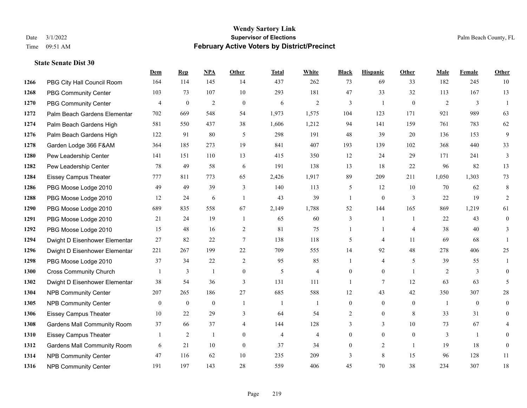|      |                                    | Dem              | <b>Rep</b>       | NPA              | <b>Other</b>   | <b>Total</b>   | <b>White</b>   | <b>Black</b>   | <b>Hispanic</b> | <b>Other</b>   | <b>Male</b>    | <b>Female</b>  | <b>Other</b>     |
|------|------------------------------------|------------------|------------------|------------------|----------------|----------------|----------------|----------------|-----------------|----------------|----------------|----------------|------------------|
| 1266 | PBG City Hall Council Room         | 164              | 114              | 145              | 14             | 437            | 262            | 73             | 69              | 33             | 182            | 245            | 10               |
| 1268 | <b>PBG Community Center</b>        | 103              | 73               | 107              | 10             | 293            | 181            | 47             | 33              | 32             | 113            | 167            | 13               |
| 1270 | <b>PBG Community Center</b>        | $\overline{4}$   | $\mathbf{0}$     | $\overline{c}$   | $\theta$       | 6              | $\overline{2}$ | 3              | $\mathbf{1}$    | $\Omega$       | 2              | 3              | $\overline{1}$   |
| 1272 | Palm Beach Gardens Elementar       | 702              | 669              | 548              | 54             | 1,973          | 1,575          | 104            | 123             | 171            | 921            | 989            | 63               |
| 1274 | Palm Beach Gardens High            | 581              | 550              | 437              | 38             | 1,606          | 1,212          | 94             | 141             | 159            | 761            | 783            | 62               |
| 1276 | Palm Beach Gardens High            | 122              | 91               | 80               | 5              | 298            | 191            | 48             | 39              | 20             | 136            | 153            | 9                |
| 1278 | Garden Lodge 366 F&AM              | 364              | 185              | 273              | 19             | 841            | 407            | 193            | 139             | 102            | 368            | 440            | 33               |
| 1280 | Pew Leadership Center              | 141              | 151              | 110              | 13             | 415            | 350            | 12             | 24              | 29             | 171            | 241            | 3                |
| 1282 | Pew Leadership Center              | 78               | 49               | 58               | 6              | 191            | 138            | 13             | 18              | 22             | 96             | 82             | 13               |
| 1284 | <b>Eissey Campus Theater</b>       | 777              | 811              | 773              | 65             | 2,426          | 1,917          | 89             | 209             | 211            | 1,050          | 1,303          | 73               |
| 1286 | PBG Moose Lodge 2010               | 49               | 49               | 39               | 3              | 140            | 113            | 5              | 12              | 10             | 70             | 62             | 8                |
| 1288 | PBG Moose Lodge 2010               | 12               | 24               | 6                | $\overline{1}$ | 43             | 39             | 1              | $\overline{0}$  | 3              | 22             | 19             | 2                |
| 1290 | PBG Moose Lodge 2010               | 689              | 835              | 558              | 67             | 2,149          | 1,788          | 52             | 144             | 165            | 869            | 1,219          | 61               |
| 1291 | PBG Moose Lodge 2010               | 21               | 24               | 19               | $\overline{1}$ | 65             | 60             | 3              | 1               |                | $22\,$         | 43             | $\boldsymbol{0}$ |
| 1292 | PBG Moose Lodge 2010               | 15               | 48               | 16               | 2              | 81             | 75             | 1              |                 | $\overline{4}$ | 38             | 40             | 3                |
| 1294 | Dwight D Eisenhower Elementar      | 27               | 82               | 22               | $\tau$         | 138            | 118            | 5              | $\overline{4}$  | 11             | 69             | 68             | 1                |
| 1296 | Dwight D Eisenhower Elementar      | 221              | 267              | 199              | 22             | 709            | 555            | 14             | 92              | 48             | 278            | 406            | 25               |
| 1298 | PBG Moose Lodge 2010               | 37               | 34               | 22               | 2              | 95             | 85             |                | $\overline{4}$  | 5              | 39             | 55             |                  |
| 1300 | <b>Cross Community Church</b>      | $\overline{1}$   | 3                | $\mathbf{1}$     | $\mathbf{0}$   | 5              | $\overline{4}$ | $\overline{0}$ | $\overline{0}$  | $\overline{1}$ | 2              | 3              | $\mathbf{0}$     |
| 1302 | Dwight D Eisenhower Elementar      | 38               | 54               | 36               | 3              | 131            | 111            | $\mathbf{1}$   | $\tau$          | 12             | 63             | 63             | 5                |
| 1304 | <b>NPB Community Center</b>        | 207              | 265              | 186              | 27             | 685            | 588            | 12             | 43              | 42             | 350            | 307            | $28\,$           |
| 1305 | <b>NPB Community Center</b>        | $\boldsymbol{0}$ | $\boldsymbol{0}$ | $\boldsymbol{0}$ | -1             | -1             |                | 0              | $\overline{0}$  | $\theta$       | -1             | $\overline{0}$ | $\mathbf{0}$     |
| 1306 | <b>Eissey Campus Theater</b>       | 10               | 22               | 29               | 3              | 64             | 54             | $\overline{2}$ | $\mathbf{0}$    | 8              | 33             | 31             | $\overline{0}$   |
| 1308 | <b>Gardens Mall Community Room</b> | 37               | 66               | 37               | $\overline{4}$ | 144            | 128            | 3              | $\overline{3}$  | 10             | 73             | 67             |                  |
| 1310 | <b>Eissey Campus Theater</b>       | 1                | $\sqrt{2}$       | $\mathbf{1}$     | $\mathbf{0}$   | $\overline{4}$ | $\overline{4}$ | $\overline{0}$ | $\overline{0}$  | $\mathbf{0}$   | $\mathfrak{Z}$ | $\mathbf{1}$   | $\Omega$         |
| 1312 | <b>Gardens Mall Community Room</b> | 6                | 21               | 10               | $\mathbf{0}$   | 37             | 34             | 0              | 2               |                | 19             | 18             | $\mathbf{0}$     |
| 1314 | <b>NPB Community Center</b>        | 47               | 116              | 62               | 10             | 235            | 209            | 3              | 8               | 15             | 96             | 128            | 11               |
| 1316 | <b>NPB Community Center</b>        | 191              | 197              | 143              | 28             | 559            | 406            | 45             | 70              | 38             | 234            | 307            | $18\,$           |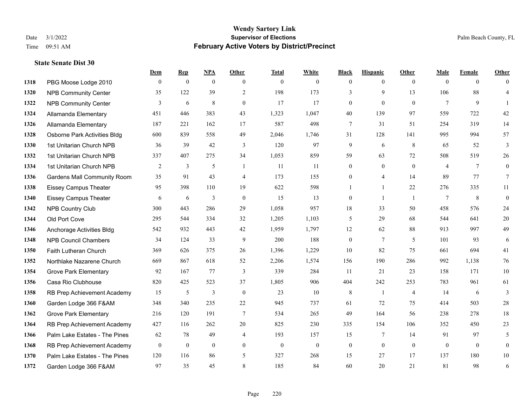#### **Wendy Sartory Link** Date 3/1/2022 **Supervisor of Elections** Palm Beach County, FL Time 09:51 AM **February Active Voters by District/Precinct**

|      |                                    | Dem            | <b>Rep</b>     | NPA            | Other            | <b>Total</b> | White            | <b>Black</b>     | <b>Hispanic</b> | Other           | Male           | Female       | Other           |
|------|------------------------------------|----------------|----------------|----------------|------------------|--------------|------------------|------------------|-----------------|-----------------|----------------|--------------|-----------------|
| 1318 | PBG Moose Lodge 2010               | $\Omega$       | $\mathbf{0}$   | $\overline{0}$ | $\theta$         | $\mathbf{0}$ | $\overline{0}$   | $\mathbf{0}$     | $\overline{0}$  | $\theta$        | $\theta$       | $\theta$     | $\theta$        |
| 1320 | <b>NPB Community Center</b>        | 35             | 122            | 39             | 2                | 198          | 173              | 3                | 9               | 13              | 106            | 88           | $\overline{4}$  |
| 1322 | <b>NPB Community Center</b>        | 3              | 6              | 8              | $\theta$         | 17           | 17               | $\mathbf{0}$     | $\theta$        | $\theta$        | $\tau$         | 9            | $\overline{1}$  |
| 1324 | Allamanda Elementary               | 451            | 446            | 383            | 43               | 1,323        | 1,047            | 40               | 139             | 97              | 559            | 722          | $42\,$          |
| 1326 | Allamanda Elementary               | 187            | 221            | 162            | 17               | 587          | 498              | 7                | 31              | 51              | 254            | 319          | 14              |
| 1328 | Osborne Park Activities Bldg       | 600            | 839            | 558            | 49               | 2,046        | 1,746            | 31               | 128             | 141             | 995            | 994          | 57              |
| 1330 | 1st Unitarian Church NPB           | 36             | 39             | 42             | $\mathfrak{Z}$   | 120          | 97               | 9                | 6               | $8\phantom{.0}$ | 65             | 52           | $\mathfrak{Z}$  |
| 1332 | 1st Unitarian Church NPB           | 337            | 407            | 275            | 34               | 1,053        | 859              | 59               | 63              | 72              | 508            | 519          | 26              |
| 1334 | 1st Unitarian Church NPB           | $\overline{2}$ | 3              | 5              | $\overline{1}$   | 11           | 11               | $\boldsymbol{0}$ | $\overline{0}$  | $\theta$        | $\overline{4}$ | $\tau$       | $\mathbf{0}$    |
| 1336 | <b>Gardens Mall Community Room</b> | 35             | 91             | 43             | $\overline{4}$   | 173          | 155              | $\mathbf{0}$     | $\overline{4}$  | 14              | 89             | 77           | $7\phantom{.0}$ |
| 1338 | <b>Eissey Campus Theater</b>       | 95             | 398            | 110            | 19               | 622          | 598              |                  | $\mathbf{1}$    | 22              | 276            | 335          | 11              |
| 1340 | <b>Eissey Campus Theater</b>       | 6              | 6              | 3              | $\mathbf{0}$     | 15           | 13               | $\mathbf{0}$     | 1               | $\overline{1}$  | $\tau$         | 8            | $\mathbf{0}$    |
| 1342 | <b>NPB Country Club</b>            | 300            | 443            | 286            | 29               | 1,058        | 957              | 18               | 33              | 50              | 458            | 576          | 24              |
| 1344 | Old Port Cove                      | 295            | 544            | 334            | 32               | 1,205        | 1,103            | 5                | 29              | 68              | 544            | 641          | $20\,$          |
| 1346 | Anchorage Activities Bldg          | 542            | 932            | 443            | 42               | 1,959        | 1,797            | 12               | 62              | 88              | 913            | 997          | 49              |
| 1348 | <b>NPB Council Chambers</b>        | 34             | 124            | 33             | 9                | 200          | 188              | $\mathbf{0}$     | $\overline{7}$  | 5               | 101            | 93           | 6               |
| 1350 | Faith Lutheran Church              | 369            | 626            | 375            | 26               | 1,396        | 1,229            | 10               | 82              | 75              | 661            | 694          | 41              |
| 1352 | Northlake Nazarene Church          | 669            | 867            | 618            | 52               | 2,206        | 1,574            | 156              | 190             | 286             | 992            | 1,138        | 76              |
| 1354 | <b>Grove Park Elementary</b>       | 92             | 167            | 77             | 3                | 339          | 284              | 11               | 21              | 23              | 158            | 171          | $10\,$          |
| 1356 | Casa Rio Clubhouse                 | 820            | 425            | 523            | 37               | 1,805        | 906              | 404              | 242             | 253             | 783            | 961          | 61              |
| 1358 | RB Prep Achievement Academy        | 15             | 5              | 3              | $\boldsymbol{0}$ | 23           | 10               | 8                | $\mathbf{1}$    | $\overline{4}$  | 14             | 6            | $\mathfrak{Z}$  |
| 1360 | Garden Lodge 366 F&AM              | 348            | 340            | 235            | 22               | 945          | 737              | 61               | 72              | 75              | 414            | 503          | $28\,$          |
| 1362 | <b>Grove Park Elementary</b>       | 216            | 120            | 191            | $\tau$           | 534          | 265              | 49               | 164             | 56              | 238            | 278          | $18\,$          |
| 1364 | RB Prep Achievement Academy        | 427            | 116            | 262            | 20               | 825          | 230              | 335              | 154             | 106             | 352            | 450          | 23              |
| 1366 | Palm Lake Estates - The Pines      | 62             | $78\,$         | 49             | $\overline{4}$   | 193          | 157              | 15               | 7               | 14              | 91             | 97           | 5               |
| 1368 | RB Prep Achievement Academy        | $\mathbf{0}$   | $\overline{0}$ | $\overline{0}$ | $\mathbf{0}$     | $\mathbf{0}$ | $\boldsymbol{0}$ | $\boldsymbol{0}$ | $\mathbf{0}$    | $\overline{0}$  | $\mathbf{0}$   | $\mathbf{0}$ | $\mathbf{0}$    |
| 1370 | Palm Lake Estates - The Pines      | 120            | 116            | 86             | 5                | 327          | 268              | 15               | 27              | 17              | 137            | 180          | $10\,$          |
| 1372 | Garden Lodge 366 F&AM              | 97             | 35             | 45             | 8                | 185          | 84               | 60               | 20              | 21              | 81             | 98           | 6               |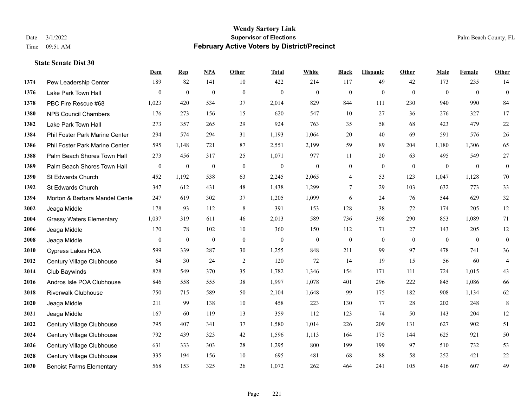#### **Wendy Sartory Link** Date 3/1/2022 **Supervisor of Elections** Palm Beach County, FL Time 09:51 AM **February Active Voters by District/Precinct**

## **Dem Rep NPA Other Total White Black Hispanic Other Male Female Other** Pew Leadership Center 189 82 141 10 422 214 117 49 42 173 235 14 Lake Park Town Hall 0 0 0 0 0 0 0 0 0 0 0 0 PBC Fire Rescue #68 1,023 420 534 37 2,014 829 844 111 230 940 990 84 NPB Council Chambers 176 273 156 15 620 547 10 27 36 276 327 17 Lake Park Town Hall 273 357 265 29 924 763 35 58 68 423 479 22 Phil Foster Park Marine Center 294 574 294 31 1,193 1,064 20 40 69 591 576 26 Phil Foster Park Marine Center 595 1,148 721 87 2,551 2,199 59 89 204 1,180 1,306 65 Palm Beach Shores Town Hall 273 456 317 25 1,071 977 11 20 63 495 549 27 Palm Beach Shores Town Hall 0 0 0 0 0 0 0 0 0 0 0 0 St Edwards Church 452 1,192 538 63 2,245 2,065 4 53 123 1,047 1,128 70 St Edwards Church 347 612 431 48 1,438 1,299 7 29 103 632 773 33 **1394 Morton & Barbara Mandel Cente** 247 619 302 37 1,205 1,099 6 24 76 544 629 32 Jeaga Middle 178 93 112 8 391 153 128 38 72 174 205 12 Grassy Waters Elementary 1,037 319 611 46 2,013 589 736 398 290 853 1,089 71 Jeaga Middle 170 78 102 10 360 150 112 71 27 143 205 12 Jeaga Middle 0 0 0 0 0 0 0 0 0 0 0 0 Cypress Lakes HOA 599 339 287 30 1,255 848 211 99 97 478 741 36 Century Village Clubhouse 64 30 24 2 120 72 14 19 15 56 60 4 Club Baywinds 828 549 370 35 1,782 1,346 154 171 111 724 1,015 43 Andros Isle POA Clubhouse 846 558 555 38 1,997 1,078 401 296 222 845 1,086 66 Riverwalk Clubhouse 750 715 589 50 2,104 1,648 99 175 182 908 1,134 62 Jeaga Middle 211 99 138 10 458 223 130 77 28 202 248 8 Jeaga Middle 167 60 119 13 359 112 123 74 50 143 204 12 Century Village Clubhouse 795 407 341 37 1,580 1,014 226 209 131 627 902 51 Century Village Clubhouse 792 439 323 42 1,596 1,113 164 175 144 625 921 50 Century Village Clubhouse 631 333 303 28 1,295 800 199 199 97 510 732 53 Century Village Clubhouse 335 194 156 10 695 481 68 88 58 252 421 22 Benoist Farms Elementary 568 153 325 26 1,072 262 464 241 105 416 607 49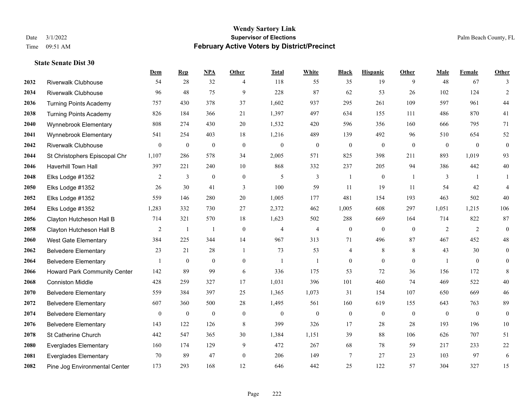|      |                               | Dem              | <b>Rep</b>       | NPA              | <b>Other</b>     | <b>Total</b> | <b>White</b>     | <b>Black</b>     | <b>Hispanic</b>  | <b>Other</b>   | <b>Male</b>    | <b>Female</b>  | <b>Other</b>     |
|------|-------------------------------|------------------|------------------|------------------|------------------|--------------|------------------|------------------|------------------|----------------|----------------|----------------|------------------|
| 2032 | <b>Riverwalk Clubhouse</b>    | 54               | 28               | 32               | $\overline{4}$   | 118          | 55               | 35               | 19               | 9              | 48             | 67             | 3                |
| 2034 | <b>Riverwalk Clubhouse</b>    | 96               | 48               | 75               | 9                | 228          | 87               | 62               | 53               | 26             | 102            | 124            | $\overline{2}$   |
| 2036 | <b>Turning Points Academy</b> | 757              | 430              | 378              | 37               | 1,602        | 937              | 295              | 261              | 109            | 597            | 961            | 44               |
| 2038 | <b>Turning Points Academy</b> | 826              | 184              | 366              | 21               | 1,397        | 497              | 634              | 155              | 111            | 486            | 870            | 41               |
| 2040 | Wynnebrook Elementary         | 808              | 274              | 430              | 20               | 1,532        | 420              | 596              | 356              | 160            | 666            | 795            | 71               |
| 2041 | Wynnebrook Elementary         | 541              | 254              | 403              | 18               | 1,216        | 489              | 139              | 492              | 96             | 510            | 654            | 52               |
| 2042 | <b>Riverwalk Clubhouse</b>    | $\mathbf{0}$     | $\boldsymbol{0}$ | $\boldsymbol{0}$ | $\mathbf{0}$     | $\mathbf{0}$ | $\boldsymbol{0}$ | $\boldsymbol{0}$ | $\mathbf{0}$     | $\mathbf{0}$   | $\mathbf{0}$   | $\mathbf{0}$   | $\boldsymbol{0}$ |
| 2044 | St Christophers Episcopal Chr | 1,107            | 286              | 578              | 34               | 2,005        | 571              | 825              | 398              | 211            | 893            | 1,019          | 93               |
| 2046 | Haverhill Town Hall           | 397              | 221              | 240              | 10               | 868          | 332              | 237              | 205              | 94             | 386            | 442            | $40\,$           |
| 2048 | Elks Lodge #1352              | 2                | 3                | $\mathbf{0}$     | $\overline{0}$   | 5            | 3                | $\mathbf{1}$     | $\mathbf{0}$     | $\overline{1}$ | 3              | $\overline{1}$ | 1                |
| 2050 | Elks Lodge #1352              | 26               | 30               | 41               | $\overline{3}$   | 100          | 59               | 11               | 19               | 11             | 54             | 42             | 4                |
| 2052 | Elks Lodge #1352              | 559              | 146              | 280              | 20               | 1,005        | 177              | 481              | 154              | 193            | 463            | 502            | 40               |
| 2054 | Elks Lodge #1352              | 1,283            | 332              | 730              | 27               | 2,372        | 462              | 1,005            | 608              | 297            | 1,051          | 1,215          | 106              |
| 2056 | Clayton Hutcheson Hall B      | 714              | 321              | 570              | 18               | 1,623        | 502              | 288              | 669              | 164            | 714            | 822            | 87               |
| 2058 | Clayton Hutcheson Hall B      | 2                | 1                | $\overline{1}$   | $\overline{0}$   | 4            | $\overline{4}$   | $\boldsymbol{0}$ | $\mathbf{0}$     | $\overline{0}$ | $\overline{2}$ | 2              | $\boldsymbol{0}$ |
| 2060 | <b>West Gate Elementary</b>   | 384              | 225              | 344              | 14               | 967          | 313              | 71               | 496              | 87             | 467            | 452            | 48               |
| 2062 | <b>Belvedere Elementary</b>   | 23               | 21               | 28               | -1               | 73           | 53               | 4                | $\,8\,$          | $\,8\,$        | 43             | 30             | $\boldsymbol{0}$ |
| 2064 | <b>Belvedere Elementary</b>   |                  | $\mathbf{0}$     | $\overline{0}$   | $\overline{0}$   |              | $\mathbf{1}$     | $\boldsymbol{0}$ | $\mathbf{0}$     | $\theta$       |                | $\theta$       | $\mathbf{0}$     |
| 2066 | Howard Park Community Center  | 142              | 89               | 99               | 6                | 336          | 175              | 53               | 72               | 36             | 156            | 172            | 8                |
| 2068 | <b>Conniston Middle</b>       | 428              | 259              | 327              | 17               | 1,031        | 396              | 101              | 460              | 74             | 469            | 522            | $40\,$           |
| 2070 | <b>Belvedere Elementary</b>   | 559              | 384              | 397              | 25               | 1,365        | 1,073            | 31               | 154              | 107            | 650            | 669            | $46\,$           |
| 2072 | <b>Belvedere Elementary</b>   | 607              | 360              | 500              | 28               | 1,495        | 561              | 160              | 619              | 155            | 643            | 763            | 89               |
| 2074 | <b>Belvedere Elementary</b>   | $\boldsymbol{0}$ | $\boldsymbol{0}$ | $\boldsymbol{0}$ | $\boldsymbol{0}$ | $\mathbf{0}$ | $\boldsymbol{0}$ | $\boldsymbol{0}$ | $\boldsymbol{0}$ | $\overline{0}$ | $\mathbf{0}$   | $\overline{0}$ | $\boldsymbol{0}$ |
| 2076 | <b>Belvedere Elementary</b>   | 143              | 122              | 126              | 8                | 399          | 326              | 17               | 28               | 28             | 193            | 196            | $10\,$           |
| 2078 | St Catherine Church           | 442              | 547              | 365              | 30               | 1,384        | 1,151            | 39               | 88               | 106            | 626            | 707            | 51               |
| 2080 | <b>Everglades Elementary</b>  | 160              | 174              | 129              | 9                | 472          | 267              | 68               | 78               | 59             | 217            | 233            | $22\,$           |
| 2081 | <b>Everglades Elementary</b>  | 70               | 89               | 47               | $\overline{0}$   | 206          | 149              | $\overline{7}$   | 27               | 23             | 103            | 97             | 6                |
| 2082 | Pine Jog Environmental Center | 173              | 293              | 168              | 12               | 646          | 442              | 25               | 122              | 57             | 304            | 327            | 15               |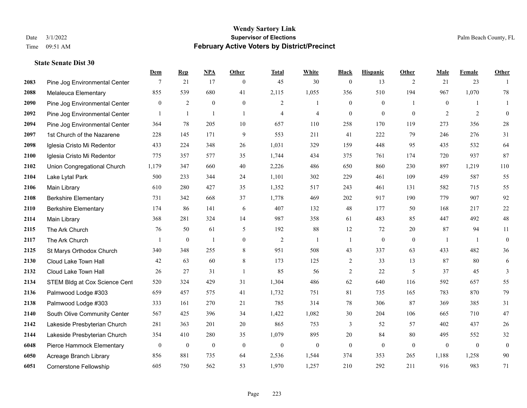|      |                               | Dem              | <b>Rep</b>       | NPA              | <b>Other</b>   | <b>Total</b>   | <b>White</b>     | <b>Black</b>     | <b>Hispanic</b>  | <b>Other</b>   | <b>Male</b>    | <b>Female</b>  | <b>Other</b>     |
|------|-------------------------------|------------------|------------------|------------------|----------------|----------------|------------------|------------------|------------------|----------------|----------------|----------------|------------------|
| 2083 | Pine Jog Environmental Center | 7                | 21               | 17               | $\overline{0}$ | 45             | 30               | $\boldsymbol{0}$ | 13               | 2              | 21             | 23             | $\mathbf{1}$     |
| 2088 | Melaleuca Elementary          | 855              | 539              | 680              | 41             | 2,115          | 1,055            | 356              | 510              | 194            | 967            | 1,070          | 78               |
| 2090 | Pine Jog Environmental Center | $\overline{0}$   | $\overline{2}$   | $\boldsymbol{0}$ | $\overline{0}$ | 2              | $\mathbf{1}$     | $\boldsymbol{0}$ | $\boldsymbol{0}$ | $\overline{1}$ | $\mathbf{0}$   | -1             | $\mathbf{1}$     |
| 2092 | Pine Jog Environmental Center | $\mathbf{1}$     | $\mathbf{1}$     | $\overline{1}$   | $\overline{1}$ | $\overline{4}$ | $\overline{4}$   | $\boldsymbol{0}$ | $\mathbf{0}$     | $\mathbf{0}$   | $\overline{2}$ | $\overline{2}$ | $\boldsymbol{0}$ |
| 2094 | Pine Jog Environmental Center | 364              | 78               | 205              | 10             | 657            | 110              | 258              | 170              | 119            | 273            | 356            | $28\,$           |
| 2097 | 1st Church of the Nazarene    | 228              | 145              | 171              | 9              | 553            | 211              | 41               | 222              | 79             | 246            | 276            | 31               |
| 2098 | Iglesia Cristo Mi Redentor    | 433              | 224              | 348              | 26             | 1,031          | 329              | 159              | 448              | 95             | 435            | 532            | 64               |
| 2100 | Iglesia Cristo Mi Redentor    | 775              | 357              | 577              | 35             | 1,744          | 434              | 375              | 761              | 174            | 720            | 937            | 87               |
| 2102 | Union Congregational Church   | 1,179            | 347              | 660              | 40             | 2,226          | 486              | 650              | 860              | 230            | 897            | 1,219          | $110\,$          |
| 2104 | Lake Lytal Park               | 500              | 233              | 344              | 24             | 1,101          | 302              | 229              | 461              | 109            | 459            | 587            | 55               |
| 2106 | Main Library                  | 610              | 280              | 427              | 35             | 1,352          | 517              | 243              | 461              | 131            | 582            | 715            | 55               |
| 2108 | <b>Berkshire Elementary</b>   | 731              | 342              | 668              | 37             | 1,778          | 469              | 202              | 917              | 190            | 779            | 907            | 92               |
| 2110 | <b>Berkshire Elementary</b>   | 174              | 86               | 141              | 6              | 407            | 132              | 48               | 177              | 50             | 168            | 217            | $22\,$           |
| 2114 | Main Library                  | 368              | 281              | 324              | 14             | 987            | 358              | 61               | 483              | 85             | 447            | 492            | $48\,$           |
| 2115 | The Ark Church                | 76               | 50               | 61               | 5              | 192            | 88               | 12               | 72               | 20             | 87             | 94             | 11               |
| 2117 | The Ark Church                | 1                | $\boldsymbol{0}$ | $\mathbf{1}$     | $\mathbf{0}$   | $\overline{2}$ | $\mathbf{1}$     | $\mathbf{1}$     | $\mathbf{0}$     | $\mathbf{0}$   | $\overline{1}$ | $\mathbf{1}$   | $\boldsymbol{0}$ |
| 2125 | St Marys Orthodox Church      | 340              | 348              | 255              | $8\,$          | 951            | 508              | 43               | 337              | 63             | 433            | 482            | 36               |
| 2130 | Cloud Lake Town Hall          | 42               | 63               | 60               | 8              | 173            | 125              | $\overline{c}$   | 33               | 13             | 87             | 80             | 6                |
| 2132 | Cloud Lake Town Hall          | 26               | 27               | 31               | $\overline{1}$ | 85             | 56               | $\overline{c}$   | 22               | 5              | 37             | 45             | 3                |
| 2134 | STEM Bldg at Cox Science Cent | 520              | 324              | 429              | 31             | 1,304          | 486              | 62               | 640              | 116            | 592            | 657            | 55               |
| 2136 | Palmwood Lodge #303           | 659              | 457              | 575              | 41             | 1,732          | 751              | 81               | 735              | 165            | 783            | 870            | 79               |
| 2138 | Palmwood Lodge #303           | 333              | 161              | 270              | 21             | 785            | 314              | 78               | 306              | 87             | 369            | 385            | 31               |
| 2140 | South Olive Community Center  | 567              | 425              | 396              | 34             | 1,422          | 1,082            | 30               | 204              | 106            | 665            | 710            | $47\,$           |
| 2142 | Lakeside Presbyterian Church  | 281              | 363              | 201              | 20             | 865            | 753              | 3                | 52               | 57             | 402            | 437            | $26\,$           |
| 2144 | Lakeside Presbyterian Church  | 354              | 410              | 280              | 35             | 1,079          | 895              | 20               | 84               | 80             | 495            | 552            | $32\,$           |
| 6048 | Pierce Hammock Elementary     | $\boldsymbol{0}$ | $\boldsymbol{0}$ | $\boldsymbol{0}$ | $\mathbf{0}$   | $\mathbf{0}$   | $\boldsymbol{0}$ | $\boldsymbol{0}$ | $\boldsymbol{0}$ | $\theta$       | $\overline{0}$ | $\mathbf{0}$   | $\boldsymbol{0}$ |
| 6050 | Acreage Branch Library        | 856              | 881              | 735              | 64             | 2,536          | 1,544            | 374              | 353              | 265            | 1,188          | 1,258          | $90\,$           |
| 6051 | <b>Cornerstone Fellowship</b> | 605              | 750              | 562              | 53             | 1,970          | 1,257            | 210              | 292              | 211            | 916            | 983            | 71               |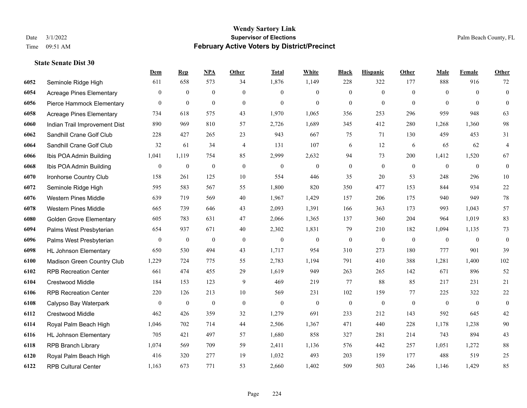|      |                                 | <b>Dem</b>       | <b>Rep</b>       | NPA              | <b>Other</b>     | <b>Total</b>     | <b>White</b>     | <b>Black</b>     | <b>Hispanic</b>  | <b>Other</b>   | <b>Male</b>      | <b>Female</b>    | <b>Other</b>     |
|------|---------------------------------|------------------|------------------|------------------|------------------|------------------|------------------|------------------|------------------|----------------|------------------|------------------|------------------|
| 6052 | Seminole Ridge High             | 611              | 658              | 573              | 34               | 1,876            | 1,149            | 228              | 322              | 177            | 888              | 916              | 72               |
| 6054 | <b>Acreage Pines Elementary</b> | $\mathbf{0}$     | $\mathbf{0}$     | $\mathbf{0}$     | $\mathbf{0}$     | $\Omega$         | $\mathbf{0}$     | $\mathbf{0}$     | $\mathbf{0}$     | $\theta$       | $\theta$         | $\Omega$         | $\mathbf{0}$     |
| 6056 | Pierce Hammock Elementary       | $\boldsymbol{0}$ | $\boldsymbol{0}$ | $\boldsymbol{0}$ | $\overline{0}$   | $\mathbf{0}$     | $\mathbf{0}$     | $\mathbf{0}$     | $\mathbf{0}$     | $\theta$       | $\mathbf{0}$     | $\theta$         | $\mathbf{0}$     |
| 6058 | <b>Acreage Pines Elementary</b> | 734              | 618              | 575              | 43               | 1,970            | 1,065            | 356              | 253              | 296            | 959              | 948              | 63               |
| 6060 | Indian Trail Improvement Dist   | 890              | 969              | 810              | 57               | 2,726            | 1,689            | 345              | 412              | 280            | 1,268            | 1,360            | 98               |
| 6062 | Sandhill Crane Golf Club        | 228              | 427              | 265              | 23               | 943              | 667              | 75               | 71               | 130            | 459              | 453              | 31               |
| 6064 | Sandhill Crane Golf Club        | 32               | 61               | 34               | $\overline{4}$   | 131              | 107              | 6                | 12               | 6              | 65               | 62               | $\overline{4}$   |
| 6066 | Ibis POA Admin Building         | 1,041            | 1,119            | 754              | 85               | 2,999            | 2,632            | 94               | 73               | 200            | 1,412            | 1,520            | 67               |
| 6068 | Ibis POA Admin Building         | $\mathbf{0}$     | $\boldsymbol{0}$ | $\boldsymbol{0}$ | $\mathbf{0}$     | $\boldsymbol{0}$ | $\boldsymbol{0}$ | $\boldsymbol{0}$ | $\mathbf{0}$     | $\overline{0}$ | $\mathbf{0}$     | $\mathbf{0}$     | $\mathbf{0}$     |
| 6070 | Ironhorse Country Club          | 158              | 261              | 125              | 10               | 554              | 446              | 35               | 20               | 53             | 248              | 296              | 10               |
| 6072 | Seminole Ridge High             | 595              | 583              | 567              | 55               | 1,800            | 820              | 350              | 477              | 153            | 844              | 934              | $22\,$           |
| 6076 | <b>Western Pines Middle</b>     | 639              | 719              | 569              | 40               | 1,967            | 1,429            | 157              | 206              | 175            | 940              | 949              | 78               |
| 6078 | Western Pines Middle            | 665              | 739              | 646              | 43               | 2,093            | 1,391            | 166              | 363              | 173            | 993              | 1,043            | 57               |
| 6080 | <b>Golden Grove Elementary</b>  | 605              | 783              | 631              | 47               | 2,066            | 1,365            | 137              | 360              | 204            | 964              | 1,019            | 83               |
| 6094 | Palms West Presbyterian         | 654              | 937              | 671              | 40               | 2,302            | 1,831            | 79               | 210              | 182            | 1,094            | 1,135            | 73               |
| 6096 | Palms West Presbyterian         | $\mathbf{0}$     | $\boldsymbol{0}$ | $\boldsymbol{0}$ | $\boldsymbol{0}$ | $\theta$         | $\boldsymbol{0}$ | $\boldsymbol{0}$ | $\boldsymbol{0}$ | $\overline{0}$ | $\boldsymbol{0}$ | $\mathbf{0}$     | $\boldsymbol{0}$ |
| 6098 | <b>HL Johnson Elementary</b>    | 650              | 530              | 494              | 43               | 1,717            | 954              | 310              | 273              | 180            | 777              | 901              | 39               |
| 6100 | Madison Green Country Club      | 1,229            | 724              | 775              | 55               | 2,783            | 1,194            | 791              | 410              | 388            | 1,281            | 1.400            | 102              |
| 6102 | <b>RPB Recreation Center</b>    | 661              | 474              | 455              | 29               | 1,619            | 949              | 263              | 265              | 142            | 671              | 896              | 52               |
| 6104 | <b>Crestwood Middle</b>         | 184              | 153              | 123              | 9                | 469              | 219              | 77               | 88               | 85             | 217              | 231              | 21               |
| 6106 | <b>RPB Recreation Center</b>    | 220              | 126              | 213              | 10               | 569              | 231              | 102              | 159              | 77             | 225              | 322              | $22\,$           |
| 6108 | Calypso Bay Waterpark           | $\boldsymbol{0}$ | $\boldsymbol{0}$ | $\boldsymbol{0}$ | $\boldsymbol{0}$ | $\boldsymbol{0}$ | $\boldsymbol{0}$ | $\boldsymbol{0}$ | $\boldsymbol{0}$ | $\mathbf{0}$   | $\boldsymbol{0}$ | $\boldsymbol{0}$ | $\boldsymbol{0}$ |
| 6112 | Crestwood Middle                | 462              | 426              | 359              | 32               | 1,279            | 691              | 233              | 212              | 143            | 592              | 645              | $42\,$           |
| 6114 | Royal Palm Beach High           | 1,046            | 702              | 714              | 44               | 2,506            | 1,367            | 471              | 440              | 228            | 1,178            | 1,238            | 90               |
| 6116 | <b>HL Johnson Elementary</b>    | 705              | 421              | 497              | 57               | 1,680            | 858              | 327              | 281              | 214            | 743              | 894              | 43               |
| 6118 | <b>RPB Branch Library</b>       | 1,074            | 569              | 709              | 59               | 2,411            | 1,136            | 576              | 442              | 257            | 1,051            | 1,272            | $88\,$           |
| 6120 | Royal Palm Beach High           | 416              | 320              | 277              | 19               | 1,032            | 493              | 203              | 159              | 177            | 488              | 519              | 25               |
| 6122 | <b>RPB Cultural Center</b>      | 1,163            | 673              | 771              | 53               | 2,660            | 1,402            | 509              | 503              | 246            | 1,146            | 1,429            | 85               |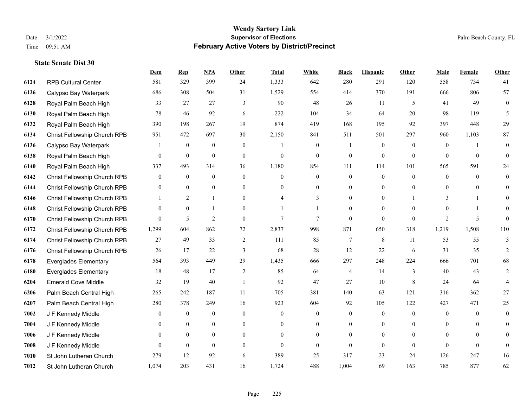#### **Wendy Sartory Link** Date 3/1/2022 **Supervisor of Elections** Palm Beach County, FL Time 09:51 AM **February Active Voters by District/Precinct**

**Dem Rep NPA Other Total White Black Hispanic Other Male Female Other**

## RPB Cultural Center 581 329 399 24 1,333 642 280 291 120 558 734 41 Calypso Bay Waterpark 686 308 504 31 1,529 554 414 370 191 666 806 57 Royal Palm Beach High 33 27 27 3 90 48 26 11 5 41 49 0 Royal Palm Beach High 78 46 92 6 222 104 34 64 20 98 119 5 Royal Palm Beach High 390 198 267 19 874 419 168 195 92 397 448 29 Christ Fellowship Church RPB 951 472 697 30 2,150 841 511 501 297 960 1,103 87 Calypso Bay Waterpark 1 0 0 0 0 1 0 0 1 0 0 0 1 0 0 0 1 0 Royal Palm Beach High 0 0 0 0 0 0 0 0 0 0 0 0 Royal Palm Beach High 337 493 314 36 1,180 854 111 114 101 565 591 24 Christ Fellowship Church RPB 0 0 0 0 0 0 0 0 0 0 0 0 Christ Fellowship Church RPB 0 0 0 0 0 0 0 0 0 0 0 0 Christ Fellowship Church RPB 1 2 1 0 4 3 0 0 1 3 1 0 Christ Fellowship Church RPB 0 0 1 0 1 1 0 0 0 0 1 0 Christ Fellowship Church RPB 0 5 2 0 7 7 0 0 0 2 5 0 Christ Fellowship Church RPB 1,299 604 862 72 2,837 998 871 650 318 1,219 1,508 110 Christ Fellowship Church RPB 27 49 33 2 111 85 7 8 11 53 55 3 Christ Fellowship Church RPB 26 17 22 3 68 28 12 22 6 31 35 2 Everglades Elementary 564 393 449 29 1,435 666 297 248 224 666 701 68 Everglades Elementary 18 48 17 2 85 64 4 14 3 40 43 2 Emerald Cove Middle 32 19 40 1 92 47 27 10 8 24 64 4 Palm Beach Central High 265 242 187 11 705 381 140 63 121 316 362 27 Palm Beach Central High 280 378 249 16 923 604 92 105 122 427 471 25 J F Kennedy Middle 0 0 0 0 0 0 0 0 0 0 0 0 J F Kennedy Middle 0 0 0 0 0 0 0 0 0 0 0 0 J F Kennedy Middle 0 0 0 0 0 0 0 0 0 0 0 0

 J F Kennedy Middle 0 0 0 0 0 0 0 0 0 0 0 0 St John Lutheran Church 279 12 92 6 389 25 317 23 24 126 247 16 St John Lutheran Church 1,074 203 431 16 1,724 488 1,004 69 163 785 877 62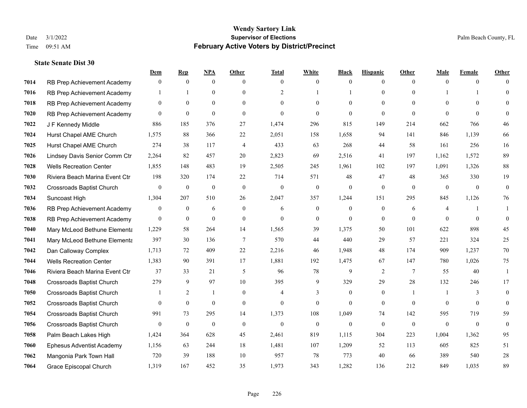|      |                                  | Dem              | <b>Rep</b>       | NPA              | <b>Other</b>   | <b>Total</b>   | <b>White</b>   | <b>Black</b> | <b>Hispanic</b> | <b>Other</b>   | <b>Male</b>    | <b>Female</b>  | <b>Other</b> |
|------|----------------------------------|------------------|------------------|------------------|----------------|----------------|----------------|--------------|-----------------|----------------|----------------|----------------|--------------|
| 7014 | RB Prep Achievement Academy      | $\boldsymbol{0}$ | $\mathbf{0}$     | $\mathbf{0}$     | $\Omega$       | $\overline{0}$ | $\overline{0}$ | $\mathbf{0}$ | $\mathbf{0}$    | $\theta$       | $\theta$       | $\mathbf{0}$   | $\Omega$     |
| 7016 | RB Prep Achievement Academy      |                  | 1                | $\mathbf{0}$     | $\Omega$       | $\overline{2}$ |                |              | $\mathbf{0}$    | $\Omega$       |                |                | $\theta$     |
| 7018 | RB Prep Achievement Academy      | $\theta$         | $\theta$         | $\theta$         | $\Omega$       | $\Omega$       | $\Omega$       | $\Omega$     | $\Omega$        | $\Omega$       | $\Omega$       | $\Omega$       | $\Omega$     |
| 7020 | RB Prep Achievement Academy      | $\mathbf{0}$     | $\mathbf{0}$     | $\mathbf{0}$     | $\mathbf{0}$   | $\theta$       | $\overline{0}$ | $\mathbf{0}$ | $\mathbf{0}$    | $\theta$       | $\theta$       | $\theta$       |              |
| 7022 | J F Kennedy Middle               | 886              | 185              | 376              | 27             | 1,474          | 296            | 815          | 149             | 214            | 662            | 766            | 46           |
| 7024 | Hurst Chapel AME Church          | 1,575            | 88               | 366              | 22             | 2,051          | 158            | 1,658        | 94              | 141            | 846            | 1,139          | 66           |
| 7025 | Hurst Chapel AME Church          | 274              | 38               | 117              | $\overline{4}$ | 433            | 63             | 268          | 44              | 58             | 161            | 256            | 16           |
| 7026 | Lindsey Davis Senior Comm Ctr    | 2,264            | 82               | 457              | 20             | 2,823          | 69             | 2,516        | 41              | 197            | 1,162          | 1,572          | 89           |
| 7028 | <b>Wells Recreation Center</b>   | 1,855            | 148              | 483              | 19             | 2,505          | 245            | 1,961        | 102             | 197            | 1,091          | 1,326          | $88\,$       |
| 7030 | Riviera Beach Marina Event Ctr   | 198              | 320              | 174              | 22             | 714            | 571            | 48           | 47              | 48             | 365            | 330            | 19           |
| 7032 | <b>Crossroads Baptist Church</b> | $\overline{0}$   | $\boldsymbol{0}$ | $\boldsymbol{0}$ | $\mathbf{0}$   | $\mathbf{0}$   | $\mathbf{0}$   | $\mathbf{0}$ | $\mathbf{0}$    | $\theta$       | $\overline{0}$ | $\overline{0}$ | $\mathbf{0}$ |
| 7034 | Suncoast High                    | 1,304            | 207              | 510              | 26             | 2,047          | 357            | 1,244        | 151             | 295            | 845            | 1,126          | 76           |
| 7036 | RB Prep Achievement Academy      | $\mathbf{0}$     | $\mathbf{0}$     | 6                | $\Omega$       | 6              | $\overline{0}$ | $\theta$     | $\mathbf{0}$    | 6              | 4              |                | 1            |
| 7038 | RB Prep Achievement Academy      | $\mathbf{0}$     | $\boldsymbol{0}$ | $\mathbf{0}$     | $\mathbf{0}$   | $\mathbf{0}$   | $\overline{0}$ | $\mathbf{0}$ | $\mathbf{0}$    | $\mathbf{0}$   | $\mathbf{0}$   | $\mathbf{0}$   | $\theta$     |
| 7040 | Mary McLeod Bethune Elementa     | 1,229            | 58               | 264              | 14             | 1,565          | 39             | 1,375        | 50              | 101            | 622            | 898            | 45           |
| 7041 | Mary McLeod Bethune Elementa     | 397              | 30               | 136              | $\tau$         | 570            | 44             | 440          | 29              | 57             | 221            | 324            | 25           |
| 7042 | Dan Calloway Complex             | 1,713            | 72               | 409              | 22             | 2,216          | 46             | 1,948        | 48              | 174            | 909            | 1,237          | 70           |
| 7044 | <b>Wells Recreation Center</b>   | 1,383            | 90               | 391              | 17             | 1,881          | 192            | 1,475        | 67              | 147            | 780            | 1,026          | 75           |
| 7046 | Riviera Beach Marina Event Ctr   | 37               | 33               | 21               | 5              | 96             | 78             | 9            | 2               | 7              | 55             | 40             | 1            |
| 7048 | <b>Crossroads Baptist Church</b> | 279              | 9                | 97               | 10             | 395            | 9              | 329          | 29              | 28             | 132            | 246            | 17           |
| 7050 | <b>Crossroads Baptist Church</b> |                  | 2                | $\mathbf{1}$     | $\Omega$       | $\overline{4}$ | 3              | $\theta$     | $\theta$        | $\overline{1}$ | 1              | 3              | $\theta$     |
| 7052 | Crossroads Baptist Church        | $\mathbf{0}$     | $\boldsymbol{0}$ | $\mathbf{0}$     | $\mathbf{0}$   | $\theta$       | $\overline{0}$ | $\mathbf{0}$ | $\mathbf{0}$    | $\mathbf{0}$   | $\mathbf{0}$   | $\mathbf{0}$   | $\theta$     |
| 7054 | <b>Crossroads Baptist Church</b> | 991              | 73               | 295              | 14             | 1,373          | 108            | 1,049        | 74              | 142            | 595            | 719            | 59           |
| 7056 | <b>Crossroads Baptist Church</b> | $\theta$         | $\mathbf{0}$     | $\mathbf{0}$     | $\theta$       | $\overline{0}$ | $\overline{0}$ | $\mathbf{0}$ | $\theta$        | $\theta$       | $\theta$       | $\theta$       | $\mathbf{0}$ |
| 7058 | Palm Beach Lakes High            | 1,424            | 364              | 628              | 45             | 2,461          | 819            | 1,115        | 304             | 223            | 1,004          | 1,362          | 95           |
| 7060 | <b>Ephesus Adventist Academy</b> | 1,156            | 63               | 244              | 18             | 1,481          | 107            | 1,209        | 52              | 113            | 605            | 825            | 51           |
| 7062 | Mangonia Park Town Hall          | 720              | 39               | 188              | 10             | 957            | 78             | 773          | 40              | 66             | 389            | 540            | $28\,$       |
| 7064 | Grace Episcopal Church           | 1,319            | 167              | 452              | 35             | 1,973          | 343            | 1,282        | 136             | 212            | 849            | 1.035          | 89           |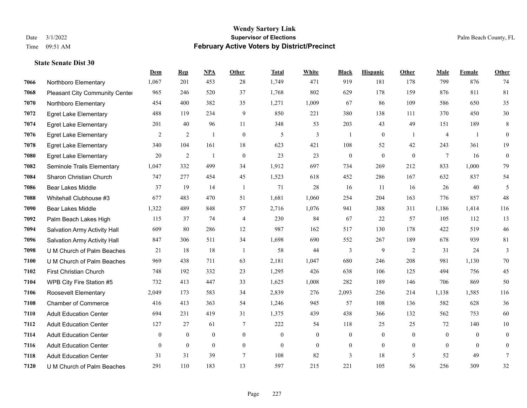#### **Wendy Sartory Link** Date 3/1/2022 **Supervisor of Elections** Palm Beach County, FL Time 09:51 AM **February Active Voters by District/Precinct**

|      |                                       | Dem              | <b>Rep</b>       | <b>NPA</b>       | Other          | <b>Total</b>     | White            | <b>Black</b>     | <b>Hispanic</b>  | Other          | <b>Male</b>    | Female   | Other            |
|------|---------------------------------------|------------------|------------------|------------------|----------------|------------------|------------------|------------------|------------------|----------------|----------------|----------|------------------|
| 7066 | Northboro Elementary                  | 1,067            | 201              | 453              | 28             | 1,749            | 471              | 919              | 181              | 178            | 799            | 876      | 74               |
| 7068 | <b>Pleasant City Community Center</b> | 965              | 246              | 520              | 37             | 1,768            | 802              | 629              | 178              | 159            | 876            | 811      | 81               |
| 7070 | Northboro Elementary                  | 454              | 400              | 382              | 35             | 1,271            | 1,009            | 67               | 86               | 109            | 586            | 650      | 35               |
| 7072 | <b>Egret Lake Elementary</b>          | 488              | 119              | 234              | 9              | 850              | 221              | 380              | 138              | 111            | 370            | 450      | 30               |
| 7074 | <b>Egret Lake Elementary</b>          | 201              | 40               | 96               | 11             | 348              | 53               | 203              | 43               | 49             | 151            | 189      | 8                |
| 7076 | <b>Egret Lake Elementary</b>          | $\overline{2}$   | 2                | $\mathbf{1}$     | $\mathbf{0}$   | 5                | $\overline{3}$   | $\overline{1}$   | $\mathbf{0}$     | $\overline{1}$ | $\overline{4}$ | -1       | $\mathbf{0}$     |
| 7078 | <b>Egret Lake Elementary</b>          | 340              | 104              | 161              | $18\,$         | 623              | 421              | 108              | 52               | 42             | 243            | 361      | 19               |
| 7080 | <b>Egret Lake Elementary</b>          | 20               | 2                | $\mathbf{1}$     | $\mathbf{0}$   | 23               | 23               | $\overline{0}$   | $\mathbf{0}$     | $\theta$       | $\tau$         | 16       | $\boldsymbol{0}$ |
| 7082 | Seminole Trails Elementary            | 1,047            | 332              | 499              | 34             | 1,912            | 697              | 734              | 269              | 212            | 833            | 1,000    | 79               |
| 7084 | Sharon Christian Church               | 747              | 277              | 454              | 45             | 1,523            | 618              | 452              | 286              | 167            | 632            | 837      | 54               |
| 7086 | Bear Lakes Middle                     | 37               | 19               | 14               | $\overline{1}$ | 71               | 28               | 16               | 11               | 16             | 26             | 40       | 5                |
| 7088 | Whitehall Clubhouse #3                | 677              | 483              | 470              | 51             | 1,681            | 1,060            | 254              | 204              | 163            | 776            | 857      | 48               |
| 7090 | <b>Bear Lakes Middle</b>              | 1,322            | 489              | 848              | 57             | 2,716            | 1,076            | 941              | 388              | 311            | 1,186          | 1,414    | 116              |
| 7092 | Palm Beach Lakes High                 | 115              | 37               | 74               | $\overline{4}$ | 230              | 84               | 67               | 22               | 57             | 105            | 112      | 13               |
| 7094 | Salvation Army Activity Hall          | 609              | 80               | 286              | 12             | 987              | 162              | 517              | 130              | 178            | 422            | 519      | 46               |
| 7096 | Salvation Army Activity Hall          | 847              | 306              | 511              | 34             | 1,698            | 690              | 552              | 267              | 189            | 678            | 939      | 81               |
| 7098 | U M Church of Palm Beaches            | 21               | 18               | 18               | $\overline{1}$ | 58               | 44               | 3                | 9                | 2              | 31             | 24       | 3                |
| 7100 | U M Church of Palm Beaches            | 969              | 438              | 711              | 63             | 2,181            | 1,047            | 680              | 246              | 208            | 981            | 1,130    | 70               |
| 7102 | <b>First Christian Church</b>         | 748              | 192              | 332              | 23             | 1,295            | 426              | 638              | 106              | 125            | 494            | 756      | 45               |
| 7104 | WPB City Fire Station #5              | 732              | 413              | 447              | 33             | 1,625            | 1,008            | 282              | 189              | 146            | 706            | 869      | 50               |
| 7106 | Roosevelt Elementary                  | 2,049            | 173              | 583              | 34             | 2,839            | 276              | 2,093            | 256              | 214            | 1,138          | 1,585    | 116              |
| 7108 | <b>Chamber of Commerce</b>            | 416              | 413              | 363              | 54             | 1,246            | 945              | 57               | 108              | 136            | 582            | 628      | 36               |
| 7110 | <b>Adult Education Center</b>         | 694              | 231              | 419              | 31             | 1,375            | 439              | 438              | 366              | 132            | 562            | 753      | 60               |
| 7112 | <b>Adult Education Center</b>         | 127              | 27               | 61               | $\tau$         | 222              | 54               | 118              | 25               | 25             | 72             | 140      | 10               |
| 7114 | <b>Adult Education Center</b>         | $\boldsymbol{0}$ | $\boldsymbol{0}$ | $\boldsymbol{0}$ | $\mathbf{0}$   | $\boldsymbol{0}$ | $\boldsymbol{0}$ | $\boldsymbol{0}$ | $\boldsymbol{0}$ | $\overline{0}$ | $\overline{0}$ | $\bf{0}$ | $\boldsymbol{0}$ |
| 7116 | <b>Adult Education Center</b>         | $\mathbf{0}$     | $\mathbf{0}$     | $\mathbf{0}$     | $\mathbf{0}$   | $\mathbf{0}$     | $\mathbf{0}$     | $\boldsymbol{0}$ | $\mathbf{0}$     | $\overline{0}$ | $\mathbf{0}$   | $\theta$ | $\mathbf{0}$     |
| 7118 | <b>Adult Education Center</b>         | 31               | 31               | 39               | $\tau$         | 108              | 82               | 3                | 18               | 5              | 52             | 49       | $7\phantom{.0}$  |
| 7120 | U M Church of Palm Beaches            | 291              | 110              | 183              | 13             | 597              | 215              | 221              | 105              | 56             | 256            | 309      | 32               |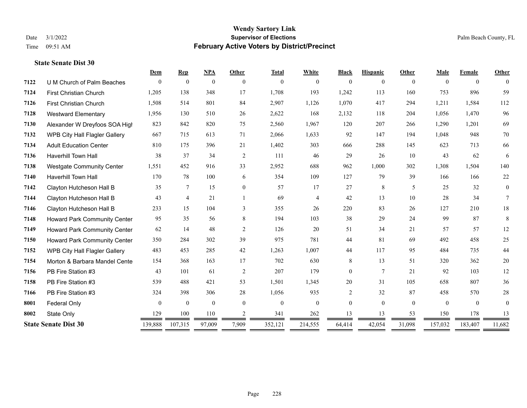#### **Wendy Sartory Link** Date 3/1/2022 **Supervisor of Elections** Palm Beach County, FL Time 09:51 AM **February Active Voters by District/Precinct**

|      |                                      | Dem          | <b>Rep</b>       | <b>NPA</b>       | Other            | <b>Total</b>     | White            | <b>Black</b>     | <b>Hispanic</b> | Other            | Male         | Female         | <b>Other</b> |
|------|--------------------------------------|--------------|------------------|------------------|------------------|------------------|------------------|------------------|-----------------|------------------|--------------|----------------|--------------|
| 7122 | U M Church of Palm Beaches           | $\mathbf{0}$ | $\mathbf{0}$     | $\boldsymbol{0}$ | $\boldsymbol{0}$ | $\boldsymbol{0}$ | $\mathbf{0}$     | $\boldsymbol{0}$ | $\mathbf{0}$    | $\boldsymbol{0}$ | $\mathbf{0}$ | $\mathbf{0}$   | $\theta$     |
| 7124 | <b>First Christian Church</b>        | 1,205        | 138              | 348              | 17               | 1,708            | 193              | 1,242            | 113             | 160              | 753          | 896            | 59           |
| 7126 | <b>First Christian Church</b>        | 1,508        | 514              | 801              | 84               | 2,907            | 1,126            | 1,070            | 417             | 294              | 1,211        | 1,584          | 112          |
| 7128 | <b>Westward Elementary</b>           | 1,956        | 130              | 510              | 26               | 2,622            | 168              | 2,132            | 118             | 204              | 1,056        | 1,470          | 96           |
| 7130 | Alexander W Dreyfoos SOA High        | 823          | 842              | 820              | 75               | 2,560            | 1,967            | 120              | 207             | 266              | 1,290        | 1,201          | 69           |
| 7132 | <b>WPB City Hall Flagler Gallery</b> | 667          | 715              | 613              | 71               | 2,066            | 1,633            | 92               | 147             | 194              | 1,048        | 948            | 70           |
| 7134 | <b>Adult Education Center</b>        | 810          | 175              | 396              | 21               | 1,402            | 303              | 666              | 288             | 145              | 623          | 713            | 66           |
| 7136 | <b>Haverhill Town Hall</b>           | 38           | 37               | 34               | $\overline{2}$   | 111              | 46               | 29               | 26              | 10               | 43           | 62             | 6            |
| 7138 | <b>Westgate Community Center</b>     | 1,551        | 452              | 916              | 33               | 2,952            | 688              | 962              | 1,000           | 302              | 1,308        | 1,504          | 140          |
| 7140 | <b>Haverhill Town Hall</b>           | 170          | 78               | 100              | 6                | 354              | 109              | 127              | 79              | 39               | 166          | 166            | 22           |
| 7142 | Clayton Hutcheson Hall B             | 35           | 7                | 15               | $\mathbf{0}$     | 57               | 17               | 27               | 8               | 5                | 25           | 32             | $\mathbf{0}$ |
| 7144 | Clayton Hutcheson Hall B             | 43           | 4                | 21               |                  | 69               | $\overline{4}$   | 42               | 13              | 10               | 28           | 34             | 7            |
| 7146 | Clayton Hutcheson Hall B             | 233          | 15               | 104              | 3                | 355              | 26               | 220              | 83              | 26               | 127          | 210            | $18\,$       |
| 7148 | <b>Howard Park Community Center</b>  | 95           | 35               | 56               | 8                | 194              | 103              | 38               | 29              | 24               | 99           | 87             | 8            |
| 7149 | <b>Howard Park Community Center</b>  | 62           | 14               | 48               | 2                | 126              | 20               | 51               | 34              | 21               | 57           | 57             | 12           |
| 7150 | Howard Park Community Center         | 350          | 284              | 302              | 39               | 975              | 781              | 44               | 81              | 69               | 492          | 458            | 25           |
| 7152 | <b>WPB City Hall Flagler Gallery</b> | 483          | 453              | 285              | 42               | 1,263            | 1,007            | 44               | 117             | 95               | 484          | 735            | 44           |
| 7154 | Morton & Barbara Mandel Cente        | 154          | 368              | 163              | 17               | 702              | 630              | 8                | 13              | 51               | 320          | 362            | $20\,$       |
| 7156 | PB Fire Station #3                   | 43           | 101              | 61               | 2                | 207              | 179              | $\overline{0}$   | 7               | 21               | 92           | 103            | 12           |
| 7158 | PB Fire Station #3                   | 539          | 488              | 421              | 53               | 1,501            | 1,345            | 20               | 31              | 105              | 658          | 807            | 36           |
| 7166 | PB Fire Station #3                   | 324          | 398              | 306              | 28               | 1,056            | 935              | 2                | 32              | 87               | 458          | 570            | 28           |
| 8001 | <b>Federal Only</b>                  | $\mathbf{0}$ | $\boldsymbol{0}$ | $\boldsymbol{0}$ | $\mathbf{0}$     | $\mathbf{0}$     | $\boldsymbol{0}$ | $\overline{0}$   | $\mathbf{0}$    | $\mathbf{0}$     | $\mathbf{0}$ | $\overline{0}$ | $\mathbf{0}$ |
| 8002 | State Only                           | 129          | 100              | 110              | 2                | 341              | 262              | 13               | 13              | 53               | 150          | 178            | 13           |
|      | <b>State Senate Dist 30</b>          | 139,888      | 107,315          | 97,009           | 7,909            | 352,121          | 214,555          | 64,414           | 42,054          | 31,098           | 157,032      | 183,407        | 11,682       |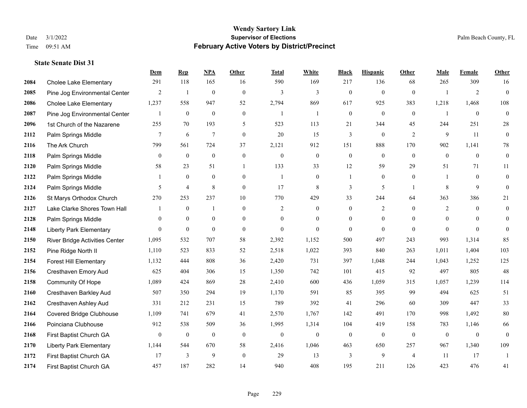|      |                                | Dem            | <b>Rep</b>       | NPA              | <b>Other</b>   | <b>Total</b>   | <b>White</b>   | <b>Black</b>     | <b>Hispanic</b>  | <b>Other</b>   | <b>Male</b>    | Female       | <b>Other</b>   |
|------|--------------------------------|----------------|------------------|------------------|----------------|----------------|----------------|------------------|------------------|----------------|----------------|--------------|----------------|
| 2084 | <b>Cholee Lake Elementary</b>  | 291            | 118              | 165              | 16             | 590            | 169            | 217              | 136              | 68             | 265            | 309          | 16             |
| 2085 | Pine Jog Environmental Center  | 2              | $\mathbf{1}$     | $\mathbf{0}$     | $\theta$       | 3              | 3              | $\mathbf{0}$     | $\mathbf{0}$     | $\theta$       |                | 2            | $\mathbf{0}$   |
| 2086 | <b>Cholee Lake Elementary</b>  | 1,237          | 558              | 947              | 52             | 2,794          | 869            | 617              | 925              | 383            | 1,218          | 1,468        | 108            |
| 2087 | Pine Jog Environmental Center  | $\mathbf{1}$   | $\boldsymbol{0}$ | $\boldsymbol{0}$ | $\mathbf{0}$   | $\overline{1}$ | $\mathbf{1}$   | $\boldsymbol{0}$ | $\mathbf{0}$     | $\mathbf{0}$   |                | $\mathbf{0}$ | $\mathbf{0}$   |
| 2096 | 1st Church of the Nazarene     | 255            | 70               | 193              | 5              | 523            | 113            | 21               | 344              | 45             | 244            | 251          | $28\,$         |
| 2112 | Palm Springs Middle            | 7              | 6                | $\overline{7}$   | $\overline{0}$ | 20             | 15             | 3                | $\boldsymbol{0}$ | $\overline{2}$ | 9              | 11           | $\mathbf{0}$   |
| 2116 | The Ark Church                 | 799            | 561              | 724              | 37             | 2,121          | 912            | 151              | 888              | 170            | 902            | 1,141        | 78             |
| 2118 | Palm Springs Middle            | $\theta$       | $\theta$         | $\mathbf{0}$     | $\Omega$       | $\theta$       | $\mathbf{0}$   | $\mathbf{0}$     | $\theta$         | $\theta$       | $\theta$       | $\theta$     | $\mathbf{0}$   |
| 2120 | Palm Springs Middle            | 58             | 23               | 51               | $\overline{1}$ | 133            | 33             | 12               | 59               | 29             | 51             | 71           | 11             |
| 2122 | Palm Springs Middle            | 1              | $\mathbf{0}$     | $\overline{0}$   | $\theta$       | $\mathbf{1}$   | $\overline{0}$ | 1                | $\mathbf{0}$     | $\theta$       |                | $\theta$     | $\mathbf{0}$   |
| 2124 | Palm Springs Middle            | 5              | $\overline{4}$   | 8                | $\Omega$       | 17             | 8              | 3                | 5                | $\overline{1}$ | 8              | 9            | $\theta$       |
| 2126 | St Marys Orthodox Church       | 270            | 253              | 237              | 10             | 770            | 429            | 33               | 244              | 64             | 363            | 386          | 21             |
| 2127 | Lake Clarke Shores Town Hall   |                | $\mathbf{0}$     | $\mathbf{1}$     | $\overline{0}$ | $\overline{2}$ | $\mathbf{0}$   | $\mathbf{0}$     | $\overline{c}$   | $\theta$       | $\overline{2}$ | $\theta$     | $\overline{0}$ |
| 2128 | Palm Springs Middle            | $\mathbf{0}$   | $\boldsymbol{0}$ | $\boldsymbol{0}$ | $\overline{0}$ | $\theta$       | $\mathbf{0}$   | $\boldsymbol{0}$ | $\boldsymbol{0}$ | $\overline{0}$ | $\mathbf{0}$   | $\mathbf{0}$ | $\mathbf{0}$   |
| 2148 | <b>Liberty Park Elementary</b> | $\theta$       | $\mathbf{0}$     | $\mathbf{0}$     | $\theta$       | $\theta$       | $\overline{0}$ | $\mathbf{0}$     | $\theta$         | $\theta$       | $\Omega$       | $\Omega$     | $\theta$       |
| 2150 | River Bridge Activities Center | 1,095          | 532              | 707              | 58             | 2,392          | 1,152          | 500              | 497              | 243            | 993            | 1,314        | 85             |
| 2152 | Pine Ridge North II            | 1,110          | 523              | 833              | 52             | 2,518          | 1,022          | 393              | 840              | 263            | 1,011          | 1,404        | 103            |
| 2154 | <b>Forest Hill Elementary</b>  | 1,132          | 444              | 808              | 36             | 2,420          | 731            | 397              | 1,048            | 244            | 1,043          | 1,252        | 125            |
| 2156 | Cresthaven Emory Aud           | 625            | 404              | 306              | 15             | 1,350          | 742            | 101              | 415              | 92             | 497            | 805          | 48             |
| 2158 | Community Of Hope              | 1,089          | 424              | 869              | 28             | 2,410          | 600            | 436              | 1,059            | 315            | 1,057          | 1,239        | 114            |
| 2160 | Cresthaven Barkley Aud         | 507            | 350              | 294              | 19             | 1,170          | 591            | 85               | 395              | 99             | 494            | 625          | 51             |
| 2162 | Cresthaven Ashley Aud          | 331            | 212              | 231              | 15             | 789            | 392            | 41               | 296              | 60             | 309            | 447          | 33             |
| 2164 | Covered Bridge Clubhouse       | 1,109          | 741              | 679              | 41             | 2,570          | 1,767          | 142              | 491              | 170            | 998            | 1,492        | $80\,$         |
| 2166 | Poinciana Clubhouse            | 912            | 538              | 509              | 36             | 1,995          | 1,314          | 104              | 419              | 158            | 783            | 1,146        | 66             |
| 2168 | First Baptist Church GA        | $\overline{0}$ | $\mathbf{0}$     | $\mathbf{0}$     | $\mathbf{0}$   | $\mathbf{0}$   | $\overline{0}$ | $\boldsymbol{0}$ | $\mathbf{0}$     | $\mathbf{0}$   | $\mathbf{0}$   | $\theta$     | $\mathbf{0}$   |
| 2170 | <b>Liberty Park Elementary</b> | 1,144          | 544              | 670              | 58             | 2,416          | 1,046          | 463              | 650              | 257            | 967            | 1,340        | 109            |
| 2172 | First Baptist Church GA        | 17             | $\mathfrak{Z}$   | 9                | $\mathbf{0}$   | 29             | 13             | 3                | 9                | $\overline{4}$ | 11             | 17           |                |
| 2174 | First Baptist Church GA        | 457            | 187              | 282              | 14             | 940            | 408            | 195              | 211              | 126            | 423            | 476          | 41             |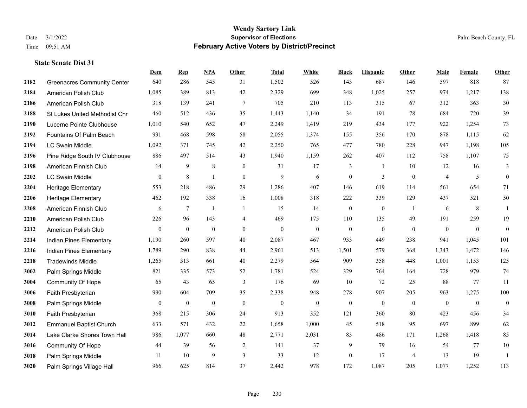|      |                                    | Dem              | <b>Rep</b>       | NPA              | <b>Other</b>   | <b>Total</b> | <b>White</b>     | <b>Black</b>     | <b>Hispanic</b>  | Other          | <b>Male</b>    | <b>Female</b> | <b>Other</b>     |
|------|------------------------------------|------------------|------------------|------------------|----------------|--------------|------------------|------------------|------------------|----------------|----------------|---------------|------------------|
| 2182 | <b>Greenacres Community Center</b> | 640              | 286              | 545              | 31             | 1,502        | 526              | 143              | 687              | 146            | 597            | 818           | 87               |
| 2184 | American Polish Club               | 1,085            | 389              | 813              | 42             | 2,329        | 699              | 348              | 1,025            | 257            | 974            | 1,217         | 138              |
| 2186 | American Polish Club               | 318              | 139              | 241              | 7              | 705          | 210              | 113              | 315              | 67             | 312            | 363           | $30\,$           |
| 2188 | St Lukes United Methodist Chr      | 460              | 512              | 436              | 35             | 1,443        | 1,140            | 34               | 191              | 78             | 684            | 720           | 39               |
| 2190 | Lucerne Pointe Clubhouse           | 1.010            | 540              | 652              | 47             | 2,249        | 1,419            | 219              | 434              | 177            | 922            | 1,254         | 73               |
| 2192 | Fountains Of Palm Beach            | 931              | 468              | 598              | 58             | 2,055        | 1,374            | 155              | 356              | 170            | 878            | 1,115         | 62               |
| 2194 | <b>LC Swain Middle</b>             | 1,092            | 371              | 745              | 42             | 2,250        | 765              | 477              | 780              | 228            | 947            | 1,198         | 105              |
| 2196 | Pine Ridge South IV Clubhouse      | 886              | 497              | 514              | 43             | 1,940        | 1,159            | 262              | 407              | 112            | 758            | 1,107         | 75               |
| 2198 | American Finnish Club              | 14               | 9                | $\,$ 8 $\,$      | $\mathbf{0}$   | 31           | 17               | 3                | -1               | 10             | 12             | 16            | 3                |
| 2202 | <b>LC Swain Middle</b>             | $\mathbf{0}$     | 8                |                  | $\mathbf{0}$   | 9            | 6                | $\overline{0}$   | 3                | $\mathbf{0}$   | $\overline{4}$ | 5             | $\boldsymbol{0}$ |
| 2204 | Heritage Elementary                | 553              | 218              | 486              | 29             | 1,286        | 407              | 146              | 619              | 114            | 561            | 654           | 71               |
| 2206 | Heritage Elementary                | 462              | 192              | 338              | 16             | 1,008        | 318              | 222              | 339              | 129            | 437            | 521           | 50               |
| 2208 | American Finnish Club              | 6                | $\tau$           | $\overline{1}$   | $\overline{1}$ | 15           | 14               | $\boldsymbol{0}$ | $\boldsymbol{0}$ | $\overline{1}$ | 6              | 8             | $\mathbf{1}$     |
| 2210 | American Polish Club               | 226              | 96               | 143              | $\overline{4}$ | 469          | 175              | 110              | 135              | 49             | 191            | 259           | 19               |
| 2212 | American Polish Club               | $\mathbf{0}$     | $\boldsymbol{0}$ | $\boldsymbol{0}$ | $\mathbf{0}$   | $\mathbf{0}$ | $\boldsymbol{0}$ | $\boldsymbol{0}$ | $\mathbf{0}$     | $\mathbf{0}$   | $\overline{0}$ | $\mathbf{0}$  | $\mathbf{0}$     |
| 2214 | Indian Pines Elementary            | 1,190            | 260              | 597              | 40             | 2,087        | 467              | 933              | 449              | 238            | 941            | 1,045         | 101              |
| 2216 | Indian Pines Elementary            | 1,789            | 290              | 838              | 44             | 2,961        | 513              | 1,501            | 579              | 368            | 1,343          | 1,472         | 146              |
| 2218 | <b>Tradewinds Middle</b>           | 1,265            | 313              | 661              | 40             | 2,279        | 564              | 909              | 358              | 448            | 1,001          | 1,153         | 125              |
| 3002 | Palm Springs Middle                | 821              | 335              | 573              | 52             | 1,781        | 524              | 329              | 764              | 164            | 728            | 979           | 74               |
| 3004 | <b>Community Of Hope</b>           | 65               | 43               | 65               | $\mathfrak{Z}$ | 176          | 69               | 10               | 72               | 25             | 88             | 77            | 11               |
| 3006 | Faith Presbyterian                 | 990              | 604              | 709              | 35             | 2,338        | 948              | 278              | 907              | 205            | 963            | 1,275         | $100\,$          |
| 3008 | Palm Springs Middle                | $\boldsymbol{0}$ | $\boldsymbol{0}$ | $\boldsymbol{0}$ | $\mathbf{0}$   | $\mathbf{0}$ | $\mathbf{0}$     | $\boldsymbol{0}$ | $\boldsymbol{0}$ | $\mathbf{0}$   | $\overline{0}$ | $\mathbf{0}$  | $\mathbf{0}$     |
| 3010 | Faith Presbyterian                 | 368              | 215              | 306              | 24             | 913          | 352              | 121              | 360              | 80             | 423            | 456           | 34               |
| 3012 | <b>Emmanuel Baptist Church</b>     | 633              | 571              | 432              | 22             | 1,658        | 1,000            | 45               | 518              | 95             | 697            | 899           | 62               |
| 3014 | Lake Clarke Shores Town Hall       | 986              | 1,077            | 660              | 48             | 2,771        | 2,031            | 83               | 486              | 171            | 1,268          | 1,418         | 85               |
| 3016 | Community Of Hope                  | 44               | 39               | 56               | 2              | 141          | 37               | 9                | 79               | 16             | 54             | 77            | $10\,$           |
| 3018 | Palm Springs Middle                | 11               | 10               | 9                | 3              | 33           | 12               | $\boldsymbol{0}$ | 17               | $\overline{4}$ | 13             | 19            | -1               |
| 3020 | Palm Springs Village Hall          | 966              | 625              | 814              | 37             | 2,442        | 978              | 172              | 1,087            | 205            | 1,077          | 1,252         | 113              |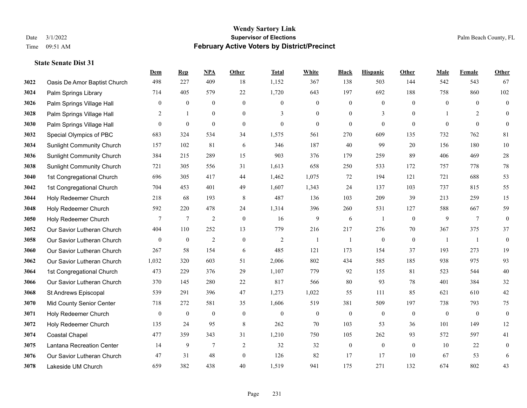|      |                                  | Dem            | <b>Rep</b>       | NPA              | <b>Other</b>     | <b>Total</b>   | <b>White</b>     | <b>Black</b>     | <b>Hispanic</b>  | <b>Other</b>   | <b>Male</b>    | <b>Female</b>  | Other            |
|------|----------------------------------|----------------|------------------|------------------|------------------|----------------|------------------|------------------|------------------|----------------|----------------|----------------|------------------|
| 3022 | Oasis De Amor Baptist Church     | 498            | 227              | 409              | 18               | 1,152          | 367              | 138              | 503              | 144            | 542            | 543            | 67               |
| 3024 | Palm Springs Library             | 714            | 405              | 579              | 22               | 1,720          | 643              | 197              | 692              | 188            | 758            | 860            | 102              |
| 3026 | Palm Springs Village Hall        | $\overline{0}$ | $\mathbf{0}$     | $\mathbf{0}$     | $\mathbf{0}$     | $\Omega$       | $\mathbf{0}$     | $\mathbf{0}$     | $\mathbf{0}$     | $\theta$       | $\theta$       | $\theta$       | $\mathbf{0}$     |
| 3028 | Palm Springs Village Hall        | 2              | -1               | $\boldsymbol{0}$ | $\boldsymbol{0}$ | 3              | $\boldsymbol{0}$ | $\boldsymbol{0}$ | 3                | $\overline{0}$ |                | $\overline{c}$ | $\mathbf{0}$     |
| 3030 | Palm Springs Village Hall        | $\overline{0}$ | $\mathbf{0}$     | $\mathbf{0}$     | $\mathbf{0}$     | $\mathbf{0}$   | $\mathbf{0}$     | $\mathbf{0}$     | $\mathbf{0}$     | $\theta$       | $\theta$       | $\theta$       | $\mathbf{0}$     |
| 3032 | Special Olympics of PBC          | 683            | 324              | 534              | 34               | 1,575          | 561              | 270              | 609              | 135            | 732            | 762            | 81               |
| 3034 | <b>Sunlight Community Church</b> | 157            | 102              | 81               | 6                | 346            | 187              | 40               | 99               | 20             | 156            | 180            | 10               |
| 3036 | <b>Sunlight Community Church</b> | 384            | 215              | 289              | 15               | 903            | 376              | 179              | 259              | 89             | 406            | 469            | 28               |
| 3038 | <b>Sunlight Community Church</b> | 721            | 305              | 556              | 31               | 1,613          | 658              | 250              | 533              | 172            | 757            | 778            | 78               |
| 3040 | 1st Congregational Church        | 696            | 305              | 417              | 44               | 1,462          | 1,075            | 72               | 194              | 121            | 721            | 688            | 53               |
| 3042 | 1st Congregational Church        | 704            | 453              | 401              | 49               | 1,607          | 1,343            | 24               | 137              | 103            | 737            | 815            | 55               |
| 3044 | Holy Redeemer Church             | 218            | 68               | 193              | 8                | 487            | 136              | 103              | 209              | 39             | 213            | 259            | 15               |
| 3048 | Holy Redeemer Church             | 592            | 220              | 478              | 24               | 1,314          | 396              | 260              | 531              | 127            | 588            | 667            | 59               |
| 3050 | Holy Redeemer Church             | 7              | $\overline{7}$   | $\overline{2}$   | $\boldsymbol{0}$ | 16             | 9                | 6                | $\mathbf{1}$     | $\mathbf{0}$   | 9              | $\overline{7}$ | $\boldsymbol{0}$ |
| 3052 | Our Savior Lutheran Church       | 404            | 110              | 252              | 13               | 779            | 216              | 217              | 276              | 70             | 367            | 375            | 37               |
| 3058 | Our Savior Lutheran Church       | $\mathbf{0}$   | $\boldsymbol{0}$ | $\overline{2}$   | $\boldsymbol{0}$ | $\overline{2}$ | 1                | $\mathbf{1}$     | $\boldsymbol{0}$ | $\overline{0}$ | $\overline{1}$ | -1             | $\boldsymbol{0}$ |
| 3060 | Our Savior Lutheran Church       | 267            | 58               | 154              | 6                | 485            | 121              | 173              | 154              | 37             | 193            | 273            | 19               |
| 3062 | Our Savior Lutheran Church       | 1,032          | 320              | 603              | 51               | 2,006          | 802              | 434              | 585              | 185            | 938            | 975            | 93               |
| 3064 | 1st Congregational Church        | 473            | 229              | 376              | 29               | 1,107          | 779              | 92               | 155              | 81             | 523            | 544            | $40\,$           |
| 3066 | Our Savior Lutheran Church       | 370            | 145              | 280              | 22               | 817            | 566              | 80               | 93               | 78             | 401            | 384            | 32               |
| 3068 | St Andrews Episcopal             | 539            | 291              | 396              | 47               | 1,273          | 1,022            | 55               | 111              | 85             | 621            | 610            | $42\,$           |
| 3070 | Mid County Senior Center         | 718            | 272              | 581              | 35               | 1,606          | 519              | 381              | 509              | 197            | 738            | 793            | 75               |
| 3071 | Holy Redeemer Church             | $\mathbf{0}$   | $\boldsymbol{0}$ | $\boldsymbol{0}$ | $\boldsymbol{0}$ | $\theta$       | $\boldsymbol{0}$ | $\boldsymbol{0}$ | $\theta$         | $\mathbf{0}$   | $\mathbf{0}$   | $\mathbf{0}$   | $\boldsymbol{0}$ |
| 3072 | Holy Redeemer Church             | 135            | 24               | 95               | $\,8\,$          | 262            | 70               | 103              | 53               | 36             | 101            | 149            | 12               |
| 3074 | <b>Coastal Chapel</b>            | 477            | 359              | 343              | 31               | 1,210          | 750              | 105              | 262              | 93             | 572            | 597            | 41               |
| 3075 | Lantana Recreation Center        | 14             | 9                | $\overline{7}$   | $\overline{2}$   | 32             | 32               | $\boldsymbol{0}$ | $\mathbf{0}$     | $\mathbf{0}$   | 10             | 22             | $\boldsymbol{0}$ |
| 3076 | Our Savior Lutheran Church       | 47             | 31               | 48               | $\mathbf{0}$     | 126            | 82               | 17               | 17               | 10             | 67             | 53             | 6                |
| 3078 | Lakeside UM Church               | 659            | 382              | 438              | 40               | 1,519          | 941              | 175              | 271              | 132            | 674            | 802            | 43               |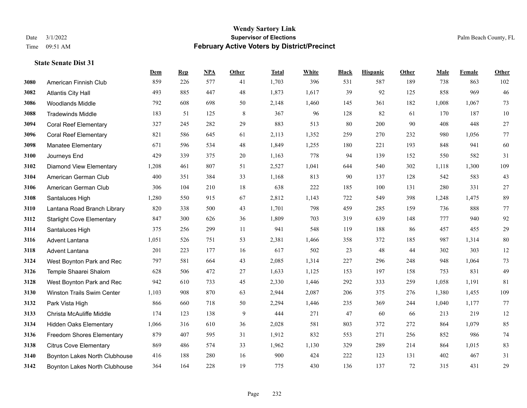|      |                                   | Dem   | <b>Rep</b> | <b>NPA</b> | <b>Other</b> | <b>Total</b> | White | <b>Black</b> | <b>Hispanic</b> | Other | Male  | Female | Other  |
|------|-----------------------------------|-------|------------|------------|--------------|--------------|-------|--------------|-----------------|-------|-------|--------|--------|
| 3080 | American Finnish Club             | 859   | 226        | 577        | 41           | 1,703        | 396   | 531          | 587             | 189   | 738   | 863    | 102    |
| 3082 | <b>Atlantis City Hall</b>         | 493   | 885        | 447        | 48           | 1,873        | 1,617 | 39           | 92              | 125   | 858   | 969    | 46     |
| 3086 | <b>Woodlands Middle</b>           | 792   | 608        | 698        | 50           | 2,148        | 1,460 | 145          | 361             | 182   | 1,008 | 1,067  | 73     |
| 3088 | <b>Tradewinds Middle</b>          | 183   | 51         | 125        | 8            | 367          | 96    | 128          | 82              | 61    | 170   | 187    | 10     |
| 3094 | <b>Coral Reef Elementary</b>      | 327   | 245        | 282        | 29           | 883          | 513   | 80           | 200             | 90    | 408   | 448    | $27\,$ |
| 3096 | <b>Coral Reef Elementary</b>      | 821   | 586        | 645        | 61           | 2,113        | 1,352 | 259          | 270             | 232   | 980   | 1.056  | $77\,$ |
| 3098 | <b>Manatee Elementary</b>         | 671   | 596        | 534        | 48           | 1,849        | 1,255 | 180          | 221             | 193   | 848   | 941    | 60     |
| 3100 | Journeys End                      | 429   | 339        | 375        | 20           | 1,163        | 778   | 94           | 139             | 152   | 550   | 582    | 31     |
| 3102 | <b>Diamond View Elementary</b>    | 1,208 | 461        | 807        | 51           | 2,527        | 1,041 | 644          | 540             | 302   | 1,118 | 1,300  | 109    |
| 3104 | American German Club              | 400   | 351        | 384        | 33           | 1,168        | 813   | 90           | 137             | 128   | 542   | 583    | 43     |
| 3106 | American German Club              | 306   | 104        | 210        | 18           | 638          | 222   | 185          | 100             | 131   | 280   | 331    | $27\,$ |
| 3108 | Santaluces High                   | 1,280 | 550        | 915        | 67           | 2,812        | 1,143 | 722          | 549             | 398   | 1,248 | 1,475  | 89     |
| 3110 | Lantana Road Branch Library       | 820   | 338        | 500        | 43           | 1,701        | 798   | 459          | 285             | 159   | 736   | 888    | 77     |
| 3112 | <b>Starlight Cove Elementary</b>  | 847   | 300        | 626        | 36           | 1,809        | 703   | 319          | 639             | 148   | 777   | 940    | 92     |
| 3114 | Santaluces High                   | 375   | 256        | 299        | 11           | 941          | 548   | 119          | 188             | 86    | 457   | 455    | $29\,$ |
| 3116 | Advent Lantana                    | 1,051 | 526        | 751        | 53           | 2,381        | 1,466 | 358          | 372             | 185   | 987   | 1,314  | $80\,$ |
| 3118 | <b>Advent Lantana</b>             | 201   | 223        | 177        | 16           | 617          | 502   | 23           | 48              | 44    | 302   | 303    | 12     |
| 3124 | West Boynton Park and Rec         | 797   | 581        | 664        | 43           | 2,085        | 1,314 | 227          | 296             | 248   | 948   | 1.064  | 73     |
| 3126 | Temple Shaarei Shalom             | 628   | 506        | 472        | 27           | 1,633        | 1,125 | 153          | 197             | 158   | 753   | 831    | 49     |
| 3128 | West Boynton Park and Rec         | 942   | 610        | 733        | 45           | 2,330        | 1,446 | 292          | 333             | 259   | 1,058 | 1,191  | 81     |
| 3130 | <b>Winston Trails Swim Center</b> | 1,103 | 908        | 870        | 63           | 2,944        | 2,087 | 206          | 375             | 276   | 1,380 | 1,455  | 109    |
| 3132 | Park Vista High                   | 866   | 660        | 718        | 50           | 2,294        | 1,446 | 235          | 369             | 244   | 1,040 | 1,177  | 77     |
| 3133 | Christa McAuliffe Middle          | 174   | 123        | 138        | 9            | 444          | 271   | 47           | 60              | 66    | 213   | 219    | 12     |
| 3134 | <b>Hidden Oaks Elementary</b>     | 1,066 | 316        | 610        | 36           | 2,028        | 581   | 803          | 372             | 272   | 864   | 1,079  | 85     |
| 3136 | <b>Freedom Shores Elementary</b>  | 879   | 407        | 595        | 31           | 1,912        | 832   | 553          | 271             | 256   | 852   | 986    | $74\,$ |
| 3138 | <b>Citrus Cove Elementary</b>     | 869   | 486        | 574        | 33           | 1,962        | 1,130 | 329          | 289             | 214   | 864   | 1,015  | 83     |
| 3140 | Boynton Lakes North Clubhouse     | 416   | 188        | 280        | 16           | 900          | 424   | 222          | 123             | 131   | 402   | 467    | 31     |
| 3142 | Boynton Lakes North Clubhouse     | 364   | 164        | 228        | 19           | 775          | 430   | 136          | 137             | 72    | 315   | 431    | 29     |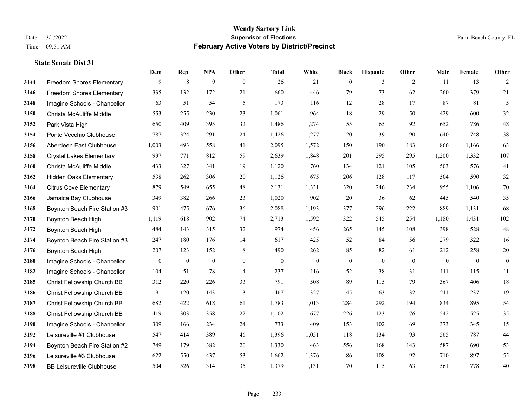#### **Wendy Sartory Link** Date 3/1/2022 **Supervisor of Elections** Palm Beach County, FL Time 09:51 AM **February Active Voters by District/Precinct**

|      |                                  | Dem          | <b>Rep</b>   | <b>NPA</b> | Other            | <b>Total</b>     | White        | <b>Black</b>     | <b>Hispanic</b> | <b>Other</b> | Male         | Female           | <b>Other</b> |
|------|----------------------------------|--------------|--------------|------------|------------------|------------------|--------------|------------------|-----------------|--------------|--------------|------------------|--------------|
| 3144 | <b>Freedom Shores Elementary</b> | 9            | 8            | 9          | $\theta$         | 26               | 21           | $\mathbf{0}$     | 3               | 2            | -11          | 13               | 2            |
| 3146 | <b>Freedom Shores Elementary</b> | 335          | 132          | 172        | 21               | 660              | 446          | 79               | 73              | 62           | 260          | 379              | 21           |
| 3148 | Imagine Schools - Chancellor     | 63           | 51           | 54         | 5                | 173              | 116          | 12               | 28              | 17           | 87           | 81               | 5            |
| 3150 | Christa McAuliffe Middle         | 553          | 255          | 230        | 23               | 1,061            | 964          | 18               | 29              | 50           | 429          | 600              | 32           |
| 3152 | Park Vista High                  | 650          | 409          | 395        | 32               | 1,486            | 1,274        | 55               | 65              | 92           | 652          | 786              | 48           |
| 3154 | Ponte Vecchio Clubhouse          | 787          | 324          | 291        | 24               | 1,426            | 1,277        | $20\,$           | 39              | 90           | 640          | 748              | 38           |
| 3156 | Aberdeen East Clubhouse          | 1,003        | 493          | 558        | 41               | 2,095            | 1,572        | 150              | 190             | 183          | 866          | 1,166            | 63           |
| 3158 | <b>Crystal Lakes Elementary</b>  | 997          | 771          | 812        | 59               | 2,639            | 1,848        | 201              | 295             | 295          | 1,200        | 1,332            | 107          |
| 3160 | Christa McAuliffe Middle         | 433          | 327          | 341        | 19               | 1,120            | 760          | 134              | 121             | 105          | 503          | 576              | 41           |
| 3162 | <b>Hidden Oaks Elementary</b>    | 538          | 262          | 306        | 20               | 1,126            | 675          | 206              | 128             | 117          | 504          | 590              | 32           |
| 3164 | <b>Citrus Cove Elementary</b>    | 879          | 549          | 655        | 48               | 2,131            | 1,331        | 320              | 246             | 234          | 955          | 1,106            | 70           |
| 3166 | Jamaica Bay Clubhouse            | 349          | 382          | 266        | 23               | 1,020            | 902          | 20               | 36              | 62           | 445          | 540              | 35           |
| 3168 | Boynton Beach Fire Station #3    | 901          | 475          | 676        | 36               | 2,088            | 1,193        | 377              | 296             | 222          | 889          | 1,131            | 68           |
| 3170 | Boynton Beach High               | 1,119        | 618          | 902        | 74               | 2,713            | 1,592        | 322              | 545             | 254          | 1,180        | 1,431            | 102          |
| 3172 | Boynton Beach High               | 484          | 143          | 315        | 32               | 974              | 456          | 265              | 145             | 108          | 398          | 528              | 48           |
| 3174 | Boynton Beach Fire Station #3    | 247          | 180          | 176        | 14               | 617              | 425          | 52               | 84              | 56           | 279          | 322              | 16           |
| 3176 | Boynton Beach High               | 207          | 123          | 152        | 8                | 490              | 262          | 85               | 82              | 61           | 212          | 258              | $20\,$       |
| 3180 | Imagine Schools - Chancellor     | $\mathbf{0}$ | $\mathbf{0}$ | $\bf{0}$   | $\boldsymbol{0}$ | $\boldsymbol{0}$ | $\mathbf{0}$ | $\boldsymbol{0}$ | $\mathbf{0}$    | $\mathbf{0}$ | $\mathbf{0}$ | $\boldsymbol{0}$ | $\mathbf{0}$ |
| 3182 | Imagine Schools - Chancellor     | 104          | 51           | 78         | $\overline{4}$   | 237              | 116          | 52               | 38              | 31           | 111          | 115              | 11           |
| 3185 | Christ Fellowship Church BB      | 312          | 220          | 226        | 33               | 791              | 508          | 89               | 115             | 79           | 367          | 406              | 18           |
| 3186 | Christ Fellowship Church BB      | 191          | 120          | 143        | 13               | 467              | 327          | 45               | 63              | 32           | 211          | 237              | 19           |
| 3187 | Christ Fellowship Church BB      | 682          | 422          | 618        | 61               | 1,783            | 1,013        | 284              | 292             | 194          | 834          | 895              | 54           |
| 3188 | Christ Fellowship Church BB      | 419          | 303          | 358        | 22               | 1,102            | 677          | 226              | 123             | 76           | 542          | 525              | 35           |
| 3190 | Imagine Schools - Chancellor     | 309          | 166          | 234        | 24               | 733              | 409          | 153              | 102             | 69           | 373          | 345              | 15           |
| 3192 | Leisureville #1 Clubhouse        | 547          | 414          | 389        | 46               | 1,396            | 1,051        | 118              | 134             | 93           | 565          | 787              | 44           |
| 3194 | Boynton Beach Fire Station #2    | 749          | 179          | 382        | 20               | 1,330            | 463          | 556              | 168             | 143          | 587          | 690              | 53           |
| 3196 | Leisureville #3 Clubhouse        | 622          | 550          | 437        | 53               | 1,662            | 1,376        | 86               | 108             | 92           | 710          | 897              | 55           |
| 3198 | <b>BB Leisureville Clubhouse</b> | 504          | 526          | 314        | 35               | 1,379            | 1,131        | 70               | 115             | 63           | 561          | 778              | 40           |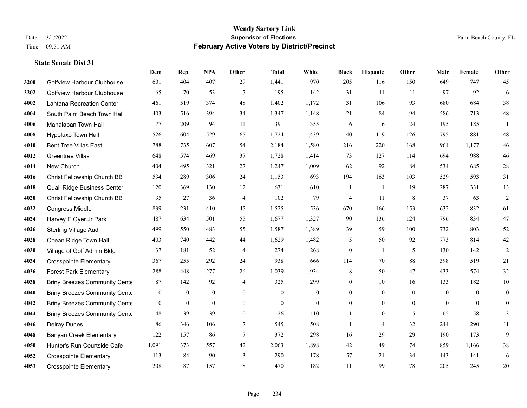#### **Wendy Sartory Link** Date 3/1/2022 **Supervisor of Elections** Palm Beach County, FL Time 09:51 AM **February Active Voters by District/Precinct**

## **Dem Rep NPA Other Total White Black Hispanic Other Male Female Other** Golfview Harbour Clubhouse 601 404 407 29 1,441 970 205 116 150 649 747 45 Golfview Harbour Clubhouse 65 70 53 7 195 142 31 11 11 97 92 6 Lantana Recreation Center 461 519 374 48 1,402 1,172 31 106 93 680 684 38 South Palm Beach Town Hall 403 516 394 34 1,347 1,148 21 84 94 586 713 48 Manalapan Town Hall 77 209 94 11 391 355 6 6 24 195 185 11 Hypoluxo Town Hall 526 604 529 65 1,724 1,439 40 119 126 795 881 48 Bent Tree Villas East 788 735 607 54 2,184 1,580 216 220 168 961 1,177 46 Greentree Villas 648 574 469 37 1,728 1,414 73 127 114 694 988 46 New Church 404 495 321 27 1,247 1,009 62 92 84 534 685 28 Christ Fellowship Church BB 534 289 306 24 1,153 693 194 163 103 529 593 31 Quail Ridge Business Center 120 369 130 12 631 610 1 1 19 287 331 13 Christ Fellowship Church BB 35 27 36 4 102 79 4 11 8 37 63 2 Congress Middle 839 231 410 45 1,525 536 670 166 153 632 832 61 Harvey E Oyer Jr Park 487 634 501 55 1,677 1,327 90 136 124 796 834 47 Sterling Village Aud 499 550 483 55 1,587 1,389 39 59 100 732 803 52 Ocean Ridge Town Hall 403 740 442 44 1,629 1,482 5 50 92 773 814 42 Village of Golf Admin Bldg 37 181 52 4 274 268 0 1 5 130 142 2 Crosspointe Elementary 367 255 292 24 938 666 114 70 88 398 519 21 Forest Park Elementary 288 448 277 26 1,039 934 8 50 47 433 574 32 **4038 Briny Breezes Community Cente** 87 142 92 4 325 299 0 10 16 133 182 10 Briny Breezes Community Center 0 0 0 0 0 0 0 0 0 0 0 0 Briny Breezes Community Center 0 0 0 0 0 0 0 0 0 0 0 0 Briny Breezes Community Cente 48 39 39 0 126 110 1 10 5 65 58 3 Delray Dunes 86 346 106 7 545 508 1 4 32 244 290 11 Banyan Creek Elementary 122 157 86 7 372 298 16 29 29 190 173 9 Hunter's Run Courtside Cafe 1,091 373 557 42 2,063 1,898 42 49 74 859 1,166 38 Crosspointe Elementary 113 84 90 3 290 178 57 21 34 143 141 6 Crosspointe Elementary 208 87 157 18 470 182 111 99 78 205 245 20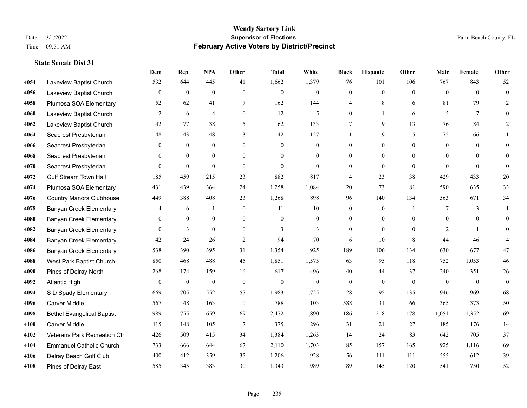|      |                                   | Dem              | <b>Rep</b>       | NPA              | <b>Other</b>     | <b>Total</b>     | <b>White</b>     | <b>Black</b>     | <b>Hispanic</b>  | <b>Other</b>   | <b>Male</b>      | Female           | <b>Other</b>     |
|------|-----------------------------------|------------------|------------------|------------------|------------------|------------------|------------------|------------------|------------------|----------------|------------------|------------------|------------------|
| 4054 | Lakeview Baptist Church           | 532              | 644              | 445              | 41               | 1,662            | 1,379            | 76               | 101              | 106            | 767              | 843              | 52               |
| 4056 | Lakeview Baptist Church           | $\mathbf{0}$     | $\mathbf{0}$     | $\mathbf{0}$     | $\theta$         | $\Omega$         | $\mathbf{0}$     | $\mathbf{0}$     | $\mathbf{0}$     | $\Omega$       | $\theta$         | $\theta$         | $\mathbf{0}$     |
| 4058 | Plumosa SOA Elementary            | 52               | 62               | 41               | 7                | 162              | 144              | 4                | 8                | 6              | 81               | 79               | 2                |
| 4060 | Lakeview Baptist Church           | 2                | 6                | $\overline{4}$   | $\mathbf{0}$     | 12               | 5                | $\boldsymbol{0}$ | $\mathbf{1}$     | 6              | 5                | $\tau$           | $\theta$         |
| 4062 | Lakeview Baptist Church           | 42               | 77               | 38               | 5                | 162              | 133              | $\tau$           | 9                | 13             | 76               | 84               | $\overline{2}$   |
| 4064 | Seacrest Presbyterian             | 48               | 43               | 48               | 3                | 142              | 127              | 1                | 9                | 5              | 75               | 66               |                  |
| 4066 | Seacrest Presbyterian             | $\mathbf{0}$     | $\mathbf{0}$     | $\mathbf{0}$     | $\overline{0}$   | $\mathbf{0}$     | $\boldsymbol{0}$ | $\overline{0}$   | $\overline{0}$   | $\Omega$       | $\mathbf{0}$     | $\theta$         | $\overline{0}$   |
| 4068 | Seacrest Presbyterian             | $\Omega$         | $\theta$         | $\theta$         | $\Omega$         | $\Omega$         | $\theta$         | $\theta$         | $\theta$         | $\Omega$       | $\Omega$         | $\Omega$         | $\theta$         |
| 4070 | Seacrest Presbyterian             | $\mathbf{0}$     | $\boldsymbol{0}$ | $\mathbf{0}$     | $\mathbf{0}$     | $\theta$         | $\mathbf{0}$     | $\boldsymbol{0}$ | $\mathbf{0}$     | $\mathbf{0}$   | $\theta$         | $\theta$         | $\theta$         |
| 4072 | <b>Gulf Stream Town Hall</b>      | 185              | 459              | 215              | 23               | 882              | 817              | 4                | 23               | 38             | 429              | 433              | $20\,$           |
| 4074 | Plumosa SOA Elementary            | 431              | 439              | 364              | 24               | 1,258            | 1,084            | 20               | 73               | 81             | 590              | 635              | 33               |
| 4076 | <b>Country Manors Clubhouse</b>   | 449              | 388              | 408              | 23               | 1,268            | 898              | 96               | 140              | 134            | 563              | 671              | 34               |
| 4078 | <b>Banyan Creek Elementary</b>    | 4                | 6                | $\overline{1}$   | $\mathbf{0}$     | 11               | 10               | $\mathbf{0}$     | $\mathbf{0}$     | $\overline{1}$ | 7                | 3                | $\mathbf{1}$     |
| 4080 | <b>Banyan Creek Elementary</b>    | $\mathbf{0}$     | $\boldsymbol{0}$ | $\boldsymbol{0}$ | $\mathbf{0}$     | $\boldsymbol{0}$ | $\boldsymbol{0}$ | $\boldsymbol{0}$ | $\boldsymbol{0}$ | $\mathbf{0}$   | $\boldsymbol{0}$ | $\boldsymbol{0}$ | $\overline{0}$   |
| 4082 | <b>Banyan Creek Elementary</b>    | $\theta$         | 3                | $\mathbf{0}$     | $\theta$         | 3                | 3                | $\mathbf{0}$     | $\mathbf{0}$     | $\theta$       | 2                |                  | $\overline{0}$   |
| 4084 | <b>Banyan Creek Elementary</b>    | 42               | 24               | 26               | 2                | 94               | 70               | 6                | 10               | 8              | 44               | 46               | 4                |
| 4086 | <b>Banyan Creek Elementary</b>    | 538              | 390              | 395              | 31               | 1,354            | 925              | 189              | 106              | 134            | 630              | 677              | $47\,$           |
| 4088 | West Park Baptist Church          | 850              | 468              | 488              | 45               | 1,851            | 1,575            | 63               | 95               | 118            | 752              | 1,053            | $46\,$           |
| 4090 | Pines of Delray North             | 268              | 174              | 159              | 16               | 617              | 496              | 40               | 44               | 37             | 240              | 351              | $26\,$           |
| 4092 | <b>Atlantic High</b>              | $\boldsymbol{0}$ | $\boldsymbol{0}$ | $\boldsymbol{0}$ | $\boldsymbol{0}$ | $\boldsymbol{0}$ | $\boldsymbol{0}$ | $\boldsymbol{0}$ | $\boldsymbol{0}$ | $\mathbf{0}$   | $\mathbf{0}$     | $\mathbf{0}$     | $\boldsymbol{0}$ |
| 4094 | S D Spady Elementary              | 669              | 705              | 552              | 57               | 1,983            | 1,725            | 28               | 95               | 135            | 946              | 969              | 68               |
| 4096 | <b>Carver Middle</b>              | 567              | 48               | 163              | 10               | 788              | 103              | 588              | 31               | 66             | 365              | 373              | 50               |
| 4098 | <b>Bethel Evangelical Baptist</b> | 989              | 755              | 659              | 69               | 2,472            | 1,890            | 186              | 218              | 178            | 1,051            | 1,352            | 69               |
| 4100 | <b>Carver Middle</b>              | 115              | 148              | 105              | 7                | 375              | 296              | 31               | 21               | 27             | 185              | 176              | 14               |
| 4102 | Veterans Park Recreation Ctr      | 426              | 509              | 415              | 34               | 1,384            | 1,263            | 14               | 24               | 83             | 642              | 705              | 37               |
| 4104 | <b>Emmanuel Catholic Church</b>   | 733              | 666              | 644              | 67               | 2,110            | 1,703            | 85               | 157              | 165            | 925              | 1,116            | 69               |
| 4106 | Delray Beach Golf Club            | 400              | 412              | 359              | 35               | 1,206            | 928              | 56               | 111              | 111            | 555              | 612              | 39               |
| 4108 | Pines of Delray East              | 585              | 345              | 383              | 30               | 1,343            | 989              | 89               | 145              | 120            | 541              | 750              | 52               |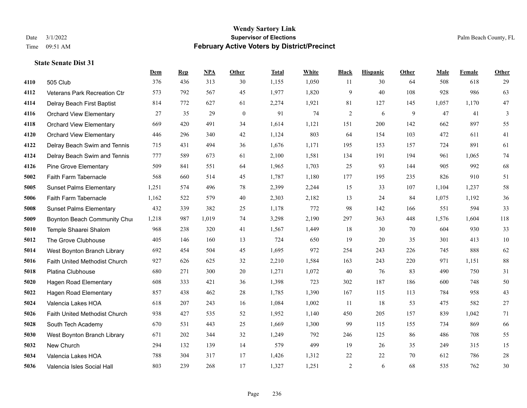#### **Wendy Sartory Link** Date 3/1/2022 **Supervisor of Elections** Palm Beach County, FL Time 09:51 AM **February Active Voters by District/Precinct**

## **Dem Rep NPA Other Total White Black Hispanic Other Male Female Other** 505 Club 376 436 313 30 1,155 1,050 11 30 64 508 618 29 Veterans Park Recreation Ctr 573 792 567 45 1,977 1,820 9 40 108 928 986 63 Delray Beach First Baptist 814 772 627 61 2,274 1,921 81 127 145 1,057 1,170 47 Orchard View Elementary 27 35 29 0 91 74 2 6 9 47 41 3 Orchard View Elementary 669 420 491 34 1,614 1,121 151 200 142 662 897 55 Orchard View Elementary 446 296 340 42 1,124 803 64 154 103 472 611 41 Delray Beach Swim and Tennis 715 431 494 36 1,676 1,171 195 153 157 724 891 61 Delray Beach Swim and Tennis 777 589 673 61 2,100 1,581 134 191 194 961 1,065 74 Pine Grove Elementary 509 841 551 64 1,965 1,703 25 93 144 905 992 68 Faith Farm Tabernacle 568 660 514 45 1,787 1,180 177 195 235 826 910 51 Sunset Palms Elementary 1,251 574 496 78 2,399 2,244 15 33 107 1,104 1,237 58 Faith Farm Tabernacle 1,162 522 579 40 2,303 2,182 13 24 84 1,075 1,192 36 Sunset Palms Elementary 432 339 382 25 1,178 772 98 142 166 551 594 33 Boynton Beach Community Church 1,218 987 1,019 74 3,298 2,190 297 363 448 1,576 1,604 118 Temple Shaarei Shalom 968 238 320 41 1,567 1,449 18 30 70 604 930 33 The Grove Clubhouse 405 146 160 13 724 650 19 20 35 301 413 10 West Boynton Branch Library 692 454 504 45 1,695 972 254 243 226 745 888 62 Faith United Methodist Church 927 626 625 32 2,210 1,584 163 243 220 971 1,151 88 Platina Clubhouse 680 271 300 20 1,271 1,072 40 76 83 490 750 31 Hagen Road Elementary 608 333 421 36 1,398 723 302 187 186 600 748 50 Hagen Road Elementary 857 438 462 28 1,785 1,390 167 115 113 784 958 43 Valencia Lakes HOA 618 207 243 16 1,084 1,002 11 18 53 475 582 27 Faith United Methodist Church 938 427 535 52 1,952 1,140 450 205 157 839 1,042 71 South Tech Academy 670 531 443 25 1,669 1,300 99 115 155 734 869 66 West Boynton Branch Library 671 202 344 32 1,249 792 246 125 86 486 708 55 New Church 294 132 139 14 579 499 19 26 35 249 315 15 Valencia Lakes HOA 788 304 317 17 1,426 1,312 22 22 70 612 786 28

Valencia Isles Social Hall 803 239 268 17 1,327 1,251 2 6 68 535 762 30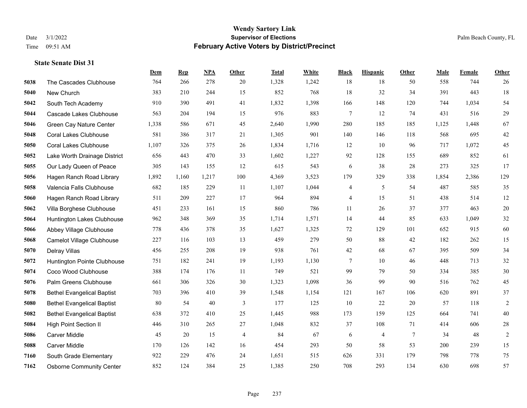|      |                                   | Dem   | <b>Rep</b> | NPA   | <b>Other</b>   | <b>Total</b> | White | <b>Black</b> | <b>Hispanic</b> | <b>Other</b>    | <b>Male</b> | Female | <b>Other</b>   |
|------|-----------------------------------|-------|------------|-------|----------------|--------------|-------|--------------|-----------------|-----------------|-------------|--------|----------------|
| 5038 | The Cascades Clubhouse            | 764   | 266        | 278   | 20             | 1,328        | 1,242 | 18           | 18              | 50              | 558         | 744    | 26             |
| 5040 | New Church                        | 383   | 210        | 244   | 15             | 852          | 768   | 18           | 32              | 34              | 391         | 443    | 18             |
| 5042 | South Tech Academy                | 910   | 390        | 491   | 41             | 1,832        | 1,398 | 166          | 148             | 120             | 744         | 1,034  | 54             |
| 5044 | Cascade Lakes Clubhouse           | 563   | 204        | 194   | 15             | 976          | 883   | 7            | 12              | 74              | 431         | 516    | 29             |
| 5046 | Green Cay Nature Center           | 1,338 | 586        | 671   | 45             | 2,640        | 1,990 | 280          | 185             | 185             | 1,125       | 1.448  | 67             |
| 5048 | <b>Coral Lakes Clubhouse</b>      | 581   | 386        | 317   | 21             | 1,305        | 901   | 140          | 146             | 118             | 568         | 695    | $42\,$         |
| 5050 | <b>Coral Lakes Clubhouse</b>      | 1,107 | 326        | 375   | 26             | 1,834        | 1,716 | 12           | 10              | 96              | 717         | 1,072  | 45             |
| 5052 | Lake Worth Drainage District      | 656   | 443        | 470   | 33             | 1,602        | 1,227 | 92           | 128             | 155             | 689         | 852    | 61             |
| 5055 | Our Lady Queen of Peace           | 305   | 143        | 155   | 12             | 615          | 543   | 6            | 38              | 28              | 273         | 325    | 17             |
| 5056 | Hagen Ranch Road Library          | 1,892 | 1,160      | 1,217 | 100            | 4,369        | 3,523 | 179          | 329             | 338             | 1,854       | 2,386  | 129            |
| 5058 | Valencia Falls Clubhouse          | 682   | 185        | 229   | 11             | 1,107        | 1,044 | 4            | 5               | 54              | 487         | 585    | 35             |
| 5060 | Hagen Ranch Road Library          | 511   | 209        | 227   | 17             | 964          | 894   | 4            | 15              | 51              | 438         | 514    | $12\,$         |
| 5062 | Villa Borghese Clubhouse          | 451   | 233        | 161   | 15             | 860          | 786   | 11           | 26              | 37              | 377         | 463    | $20\,$         |
| 5064 | Huntington Lakes Clubhouse        | 962   | 348        | 369   | 35             | 1,714        | 1,571 | 14           | 44              | 85              | 633         | 1,049  | $32\,$         |
| 5066 | Abbey Village Clubhouse           | 778   | 436        | 378   | 35             | 1,627        | 1,325 | 72           | 129             | 101             | 652         | 915    | 60             |
| 5068 | Camelot Village Clubhouse         | 227   | 116        | 103   | 13             | 459          | 279   | 50           | 88              | 42              | 182         | 262    | 15             |
| 5070 | Delray Villas                     | 456   | 255        | 208   | 19             | 938          | 761   | $42\,$       | 68              | 67              | 395         | 509    | 34             |
| 5072 | Huntington Pointe Clubhouse       | 751   | 182        | 241   | 19             | 1,193        | 1,130 | 7            | 10              | 46              | 448         | 713    | $32\,$         |
| 5074 | Coco Wood Clubhouse               | 388   | 174        | 176   | 11             | 749          | 521   | 99           | 79              | 50              | 334         | 385    | 30             |
| 5076 | Palm Greens Clubhouse             | 661   | 306        | 326   | 30             | 1,323        | 1,098 | 36           | 99              | 90              | 516         | 762    | $45\,$         |
| 5078 | <b>Bethel Evangelical Baptist</b> | 703   | 396        | 410   | 39             | 1,548        | 1,154 | 121          | 167             | 106             | 620         | 891    | 37             |
| 5080 | <b>Bethel Evangelical Baptist</b> | 80    | 54         | 40    | 3              | 177          | 125   | 10           | 22              | 20              | 57          | 118    | $\overline{c}$ |
| 5082 | <b>Bethel Evangelical Baptist</b> | 638   | 372        | 410   | 25             | 1,445        | 988   | 173          | 159             | 125             | 664         | 741    | $40\,$         |
| 5084 | <b>High Point Section II</b>      | 446   | 310        | 265   | 27             | 1,048        | 832   | 37           | 108             | 71              | 414         | 606    | $28\,$         |
| 5086 | <b>Carver Middle</b>              | 45    | 20         | 15    | $\overline{4}$ | 84           | 67    | 6            | $\overline{4}$  | $7\phantom{.0}$ | 34          | 48     | $\overline{2}$ |
| 5088 | <b>Carver Middle</b>              | 170   | 126        | 142   | 16             | 454          | 293   | 50           | 58              | 53              | 200         | 239    | 15             |
| 7160 | South Grade Elementary            | 922   | 229        | 476   | 24             | 1,651        | 515   | 626          | 331             | 179             | 798         | 778    | 75             |
| 7162 | <b>Osborne Community Center</b>   | 852   | 124        | 384   | 25             | 1,385        | 250   | 708          | 293             | 134             | 630         | 698    | 57             |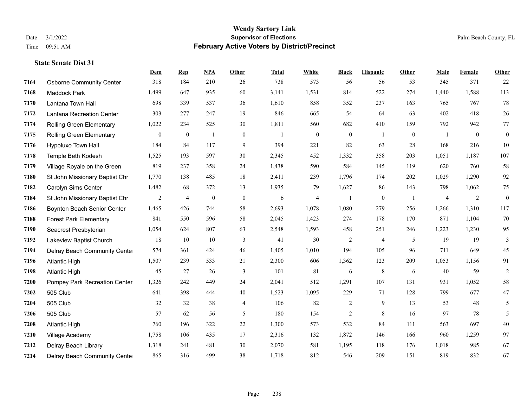# **Dem Rep NPA Other Total White Black Hispanic Other Male Female Other State Senate Dist 31**

| 7164 | <b>Osborne Community Center</b> | 318            | 184              | 210              | 26             | 738          | 573              | 56               | 56             | 53             | 345            | 371            | 22               |
|------|---------------------------------|----------------|------------------|------------------|----------------|--------------|------------------|------------------|----------------|----------------|----------------|----------------|------------------|
| 7168 | <b>Maddock Park</b>             | 1,499          | 647              | 935              | 60             | 3,141        | 1,531            | 814              | 522            | 274            | 1,440          | 1,588          | 113              |
| 7170 | Lantana Town Hall               | 698            | 339              | 537              | 36             | 1,610        | 858              | 352              | 237            | 163            | 765            | 767            | $78\,$           |
| 7172 | Lantana Recreation Center       | 303            | 277              | 247              | 19             | 846          | 665              | 54               | 64             | 63             | 402            | 418            | $26\,$           |
| 7174 | <b>Rolling Green Elementary</b> | 1,022          | 234              | 525              | 30             | 1,811        | 560              | 682              | 410            | 159            | 792            | 942            | $77\,$           |
| 7175 | <b>Rolling Green Elementary</b> | $\overline{0}$ | $\boldsymbol{0}$ | $\overline{1}$   | $\mathbf{0}$   | $\mathbf{1}$ | $\boldsymbol{0}$ | $\boldsymbol{0}$ | $\overline{1}$ | $\mathbf{0}$   | $\overline{1}$ | $\overline{0}$ | $\boldsymbol{0}$ |
| 7176 | Hypoluxo Town Hall              | 184            | 84               | 117              | 9              | 394          | 221              | 82               | 63             | 28             | 168            | 216            | $10\,$           |
| 7178 | Temple Beth Kodesh              | 1,525          | 193              | 597              | 30             | 2,345        | 452              | 1,332            | 358            | 203            | 1,051          | 1,187          | 107              |
| 7179 | Village Royale on the Green     | 819            | 237              | 358              | 24             | 1,438        | 590              | 584              | 145            | 119            | 620            | 760            | 58               |
| 7180 | St John Missionary Baptist Chr  | 1,770          | 138              | 485              | 18             | 2,411        | 239              | 1,796            | 174            | 202            | 1,029          | 1,290          | 92               |
| 7182 | Carolyn Sims Center             | 1,482          | 68               | 372              | 13             | 1,935        | 79               | 1,627            | 86             | 143            | 798            | 1,062          | 75               |
| 7184 | St John Missionary Baptist Chr  | $\overline{2}$ | 4                | $\boldsymbol{0}$ | $\mathbf{0}$   | 6            | 4                | $\mathbf{1}$     | $\mathbf{0}$   | $\overline{1}$ | $\overline{4}$ | 2              | $\boldsymbol{0}$ |
| 7186 | Boynton Beach Senior Center     | 1,465          | 426              | 744              | 58             | 2,693        | 1,078            | 1,080            | 279            | 256            | 1,266          | 1,310          | 117              |
| 7188 | <b>Forest Park Elementary</b>   | 841            | 550              | 596              | 58             | 2,045        | 1,423            | 274              | 178            | 170            | 871            | 1,104          | $70\,$           |
| 7190 | Seacrest Presbyterian           | 1,054          | 624              | 807              | 63             | 2,548        | 1,593            | 458              | 251            | 246            | 1,223          | 1,230          | 95               |
| 7192 | Lakeview Baptist Church         | 18             | 10               | 10               | 3              | 41           | 30               | 2                | $\overline{4}$ | 5              | 19             | 19             | 3                |
| 7194 | Delray Beach Community Cente    | 574            | 361              | 424              | 46             | 1,405        | 1,010            | 194              | 105            | 96             | 711            | 649            | 45               |
| 7196 | <b>Atlantic High</b>            | 1,507          | 239              | 533              | 21             | 2,300        | 606              | 1,362            | 123            | 209            | 1,053          | 1,156          | 91               |
| 7198 | <b>Atlantic High</b>            | 45             | 27               | 26               | 3              | 101          | 81               | 6                | 8              | 6              | 40             | 59             | $\overline{2}$   |
| 7200 | Pompey Park Recreation Center   | 1,326          | 242              | 449              | 24             | 2,041        | 512              | 1,291            | 107            | 131            | 931            | 1,052          | $58\,$           |
| 7202 | 505 Club                        | 641            | 398              | 444              | 40             | 1,523        | 1,095            | 229              | 71             | 128            | 799            | 677            | $47\,$           |
| 7204 | 505 Club                        | 32             | 32               | 38               | $\overline{4}$ | 106          | 82               | 2                | 9              | 13             | 53             | 48             | 5                |
| 7206 | 505 Club                        | 57             | 62               | 56               | 5              | 180          | 154              | $\overline{c}$   | 8              | 16             | 97             | 78             | 5                |
| 7208 | <b>Atlantic High</b>            | 760            | 196              | 322              | 22             | 1,300        | 573              | 532              | 84             | 111            | 563            | 697            | 40               |
| 7210 | Village Academy                 | 1,758          | 106              | 435              | 17             | 2,316        | 132              | 1,872            | 146            | 166            | 960            | 1,259          | 97               |
| 7212 | Delray Beach Library            | 1,318          | 241              | 481              | 30             | 2,070        | 581              | 1,195            | 118            | 176            | 1,018          | 985            | 67               |
| 7214 | Delray Beach Community Cente    | 865            | 316              | 499              | 38             | 1,718        | 812              | 546              | 209            | 151            | 819            | 832            | 67               |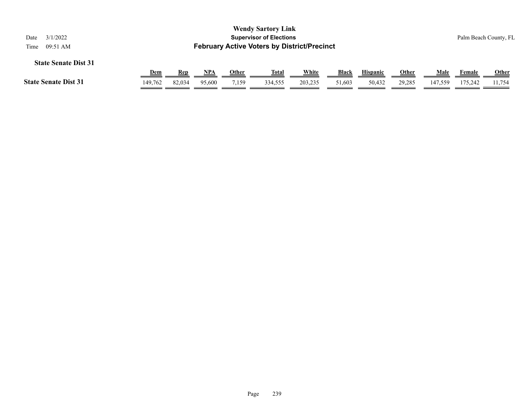| 3/1/2022<br>Date            |                                                                                                                                        |        |        |       | <b>Wendy Sartory Link</b><br><b>Supervisor of Elections</b> |         |        |        |        |         |         | Palm Beach County, FL |  |
|-----------------------------|----------------------------------------------------------------------------------------------------------------------------------------|--------|--------|-------|-------------------------------------------------------------|---------|--------|--------|--------|---------|---------|-----------------------|--|
| 09:51 AM<br>Time            | <b>February Active Voters by District/Precinct</b>                                                                                     |        |        |       |                                                             |         |        |        |        |         |         |                       |  |
| <b>State Senate Dist 31</b> | White<br><b>Black</b><br>NPA<br><b>Other</b><br><b>Hispanic</b><br><b>Other</b><br>Male<br><u>Total</u><br><u>Dem</u><br>Rep<br>Female |        |        |       |                                                             |         |        |        |        |         |         |                       |  |
| <b>State Senate Dist 31</b> | 149,762                                                                                                                                | 82,034 | 95,600 | 7,159 | 334,555                                                     | 203,235 | 51,603 | 50,432 | 29,285 | 147,559 | 175.242 | 11,754                |  |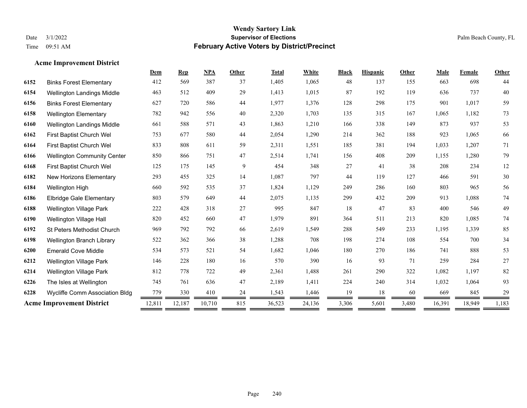#### **Acme Improvement District**

|      |                                    | Dem    | <b>Rep</b> | <b>NPA</b> | Other  | <b>Total</b> | White  | <b>Black</b> | <b>Hispanic</b> | Other | Male   | Female | Other  |
|------|------------------------------------|--------|------------|------------|--------|--------------|--------|--------------|-----------------|-------|--------|--------|--------|
| 6152 | <b>Binks Forest Elementary</b>     | 412    | 569        | 387        | 37     | 1,405        | 1,065  | 48           | 137             | 155   | 663    | 698    | 44     |
| 6154 | Wellington Landings Middle         | 463    | 512        | 409        | 29     | 1,413        | 1,015  | 87           | 192             | 119   | 636    | 737    | 40     |
| 6156 | <b>Binks Forest Elementary</b>     | 627    | 720        | 586        | $44\,$ | 1,977        | 1,376  | 128          | 298             | 175   | 901    | 1,017  | 59     |
| 6158 | <b>Wellington Elementary</b>       | 782    | 942        | 556        | 40     | 2,320        | 1,703  | 135          | 315             | 167   | 1,065  | 1,182  | 73     |
| 6160 | Wellington Landings Middle         | 661    | 588        | 571        | 43     | 1,863        | 1,210  | 166          | 338             | 149   | 873    | 937    | 53     |
| 6162 | First Baptist Church Wel           | 753    | 677        | 580        | 44     | 2,054        | 1,290  | 214          | 362             | 188   | 923    | 1,065  | 66     |
| 6164 | First Baptist Church Wel           | 833    | 808        | 611        | 59     | 2,311        | 1,551  | 185          | 381             | 194   | 1,033  | 1,207  | 71     |
| 6166 | <b>Wellington Community Center</b> | 850    | 866        | 751        | 47     | 2,514        | 1,741  | 156          | 408             | 209   | 1,155  | 1,280  | 79     |
| 6168 | First Baptist Church Wel           | 125    | 175        | 145        | 9      | 454          | 348    | 27           | 41              | 38    | 208    | 234    | 12     |
| 6182 | <b>New Horizons Elementary</b>     | 293    | 455        | 325        | 14     | 1,087        | 797    | 44           | 119             | 127   | 466    | 591    | 30     |
| 6184 | Wellington High                    | 660    | 592        | 535        | 37     | 1,824        | 1,129  | 249          | 286             | 160   | 803    | 965    | 56     |
| 6186 | <b>Elbridge Gale Elementary</b>    | 803    | 579        | 649        | $44\,$ | 2,075        | 1,135  | 299          | 432             | 209   | 913    | 1,088  | 74     |
| 6188 | <b>Wellington Village Park</b>     | 222    | 428        | 318        | 27     | 995          | 847    | 18           | 47              | 83    | 400    | 546    | 49     |
| 6190 | Wellington Village Hall            | 820    | 452        | 660        | 47     | 1,979        | 891    | 364          | 511             | 213   | 820    | 1,085  | 74     |
| 6192 | <b>St Peters Methodist Church</b>  | 969    | 792        | 792        | 66     | 2,619        | 1,549  | 288          | 549             | 233   | 1,195  | 1,339  | 85     |
| 6198 | Wellington Branch Library          | 522    | 362        | 366        | 38     | 1,288        | 708    | 198          | 274             | 108   | 554    | 700    | 34     |
| 6200 | <b>Emerald Cove Middle</b>         | 534    | 573        | 521        | 54     | 1,682        | 1,046  | 180          | 270             | 186   | 741    | 888    | 53     |
| 6212 | <b>Wellington Village Park</b>     | 146    | 228        | 180        | 16     | 570          | 390    | 16           | 93              | 71    | 259    | 284    | 27     |
| 6214 | <b>Wellington Village Park</b>     | 812    | 778        | 722        | 49     | 2,361        | 1,488  | 261          | 290             | 322   | 1,082  | 1,197  | $82\,$ |
| 6226 | The Isles at Wellington            | 745    | 761        | 636        | 47     | 2,189        | 1,411  | 224          | 240             | 314   | 1,032  | 1,064  | 93     |
| 6228 | Wycliffe Comm Association Bldg     | 779    | 330        | 410        | 24     | 1,543        | 1,446  | 19           | 18              | 60    | 669    | 845    | 29     |
|      | <b>Acme Improvement District</b>   | 12,811 | 12,187     | 10,710     | 815    | 36,523       | 24,136 | 3,306        | 5,601           | 3,480 | 16,391 | 18,949 | 1,183  |
|      |                                    |        |            |            |        |              |        |              |                 |       |        |        |        |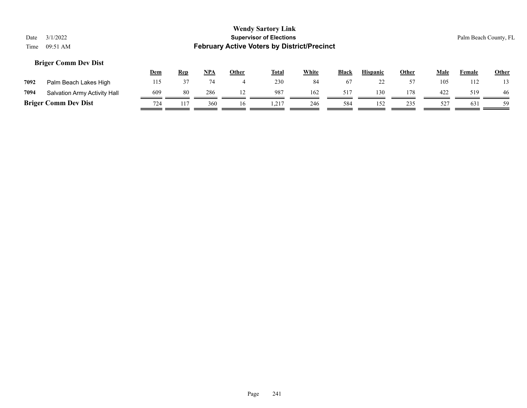#### **Briger Comm Dev Dist**

|      |                              | <b>Dem</b> | <b>Rep</b> | <b>NPA</b> | Other | <b>Total</b> | <b>White</b> | <b>Black</b> | <b>Hispanic</b> | Other | Male | Female | <b>Other</b> |
|------|------------------------------|------------|------------|------------|-------|--------------|--------------|--------------|-----------------|-------|------|--------|--------------|
| 7092 | Palm Beach Lakes High        | 115        |            |            |       | 230          | 84           |              | ىس              |       | 105  | 112    | 13           |
| 7094 | Salvation Army Activity Hall | 609        | 80         | 286        |       | 987          | 162          | 517          | 130             | 178   | 422  | 519    | 46           |
|      | <b>Briger Comm Dev Dist</b>  | 724        |            | 360        | 16    | .217         | 246          | 584          | 152             | 235   | 527  | 631    | 59           |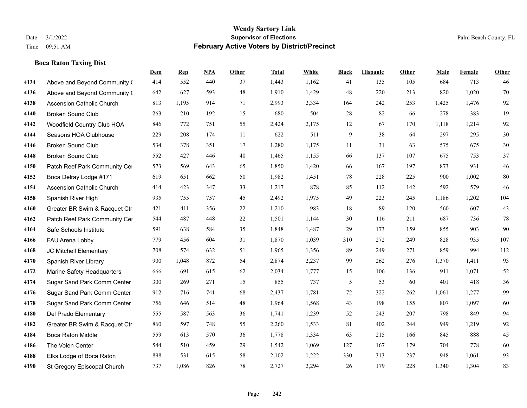#### **Boca Raton Taxing Dist**

|      |                                  | Dem | <b>Rep</b> | NPA | <b>Other</b> | <b>Total</b> | White | <b>Black</b>   | <b>Hispanic</b> | <b>Other</b> | <b>Male</b> | <b>Female</b> | <b>Other</b> |
|------|----------------------------------|-----|------------|-----|--------------|--------------|-------|----------------|-----------------|--------------|-------------|---------------|--------------|
| 4134 | Above and Beyond Community (     | 414 | 552        | 440 | 37           | 1,443        | 1,162 | 41             | 135             | 105          | 684         | 713           | 46           |
| 4136 | Above and Beyond Community (     | 642 | 627        | 593 | 48           | 1,910        | 1,429 | 48             | 220             | 213          | 820         | 1,020         | 70           |
| 4138 | <b>Ascension Catholic Church</b> | 813 | 1,195      | 914 | 71           | 2,993        | 2,334 | 164            | 242             | 253          | 1,425       | 1,476         | 92           |
| 4140 | <b>Broken Sound Club</b>         | 263 | 210        | 192 | 15           | 680          | 504   | 28             | 82              | 66           | 278         | 383           | 19           |
| 4142 | Woodfield Country Club HOA       | 846 | 772        | 751 | 55           | 2,424        | 2,175 | 12             | 67              | 170          | 1,118       | 1,214         | 92           |
| 4144 | Seasons HOA Clubhouse            | 229 | 208        | 174 | 11           | 622          | 511   | 9              | 38              | 64           | 297         | 295           | $30\,$       |
| 4146 | Broken Sound Club                | 534 | 378        | 351 | 17           | 1,280        | 1,175 | 11             | 31              | 63           | 575         | 675           | 30           |
| 4148 | <b>Broken Sound Club</b>         | 552 | 427        | 446 | 40           | 1,465        | 1,155 | 66             | 137             | 107          | 675         | 753           | 37           |
| 4150 | Patch Reef Park Community Cer    | 573 | 569        | 643 | 65           | 1,850        | 1,420 | 66             | 167             | 197          | 873         | 931           | $46\,$       |
| 4152 | Boca Delray Lodge #171           | 619 | 651        | 662 | 50           | 1,982        | 1,451 | 78             | 228             | 225          | 900         | 1,002         | 80           |
| 4154 | <b>Ascension Catholic Church</b> | 414 | 423        | 347 | 33           | 1,217        | 878   | 85             | 112             | 142          | 592         | 579           | 46           |
| 4158 | Spanish River High               | 935 | 755        | 757 | 45           | 2,492        | 1,975 | 49             | 223             | 245          | 1,186       | 1,202         | 104          |
| 4160 | Greater BR Swim & Racquet Ctr    | 421 | 411        | 356 | 22           | 1,210        | 983   | 18             | 89              | 120          | 560         | 607           | 43           |
| 4162 | Patch Reef Park Community Cer    | 544 | 487        | 448 | $22\,$       | 1,501        | 1,144 | 30             | 116             | 211          | 687         | 736           | $78\,$       |
| 4164 | Safe Schools Institute           | 591 | 638        | 584 | 35           | 1,848        | 1,487 | 29             | 173             | 159          | 855         | 903           | 90           |
| 4166 | FAU Arena Lobby                  | 779 | 456        | 604 | 31           | 1,870        | 1,039 | 310            | 272             | 249          | 828         | 935           | 107          |
| 4168 | JC Mitchell Elementary           | 708 | 574        | 632 | 51           | 1,965        | 1,356 | 89             | 249             | 271          | 859         | 994           | 112          |
| 4170 | Spanish River Library            | 900 | 1,048      | 872 | 54           | 2,874        | 2,237 | 99             | 262             | 276          | 1,370       | 1,411         | 93           |
| 4172 | Marine Safety Headquarters       | 666 | 691        | 615 | 62           | 2,034        | 1,777 | 15             | 106             | 136          | 911         | 1,071         | 52           |
| 4174 | Sugar Sand Park Comm Center      | 300 | 269        | 271 | 15           | 855          | 737   | $\mathfrak{H}$ | 53              | 60           | 401         | 418           | 36           |
| 4176 | Sugar Sand Park Comm Center      | 912 | 716        | 741 | 68           | 2,437        | 1,781 | 72             | 322             | 262          | 1,061       | 1,277         | 99           |
| 4178 | Sugar Sand Park Comm Center      | 756 | 646        | 514 | 48           | 1,964        | 1,568 | 43             | 198             | 155          | 807         | 1,097         | 60           |
| 4180 | Del Prado Elementary             | 555 | 587        | 563 | 36           | 1,741        | 1,239 | 52             | 243             | 207          | 798         | 849           | 94           |
| 4182 | Greater BR Swim & Racquet Ctr    | 860 | 597        | 748 | 55           | 2,260        | 1,533 | 81             | 402             | 244          | 949         | 1,219         | 92           |
| 4184 | <b>Boca Raton Middle</b>         | 559 | 613        | 570 | 36           | 1,778        | 1,334 | 63             | 215             | 166          | 845         | 888           | 45           |
| 4186 | The Volen Center                 | 544 | 510        | 459 | 29           | 1,542        | 1,069 | 127            | 167             | 179          | 704         | 778           | 60           |
| 4188 | Elks Lodge of Boca Raton         | 898 | 531        | 615 | 58           | 2,102        | 1,222 | 330            | 313             | 237          | 948         | 1,061         | 93           |
| 4190 | St Gregory Episcopal Church      | 737 | 1,086      | 826 | 78           | 2,727        | 2,294 | 26             | 179             | 228          | 1,340       | 1,304         | 83           |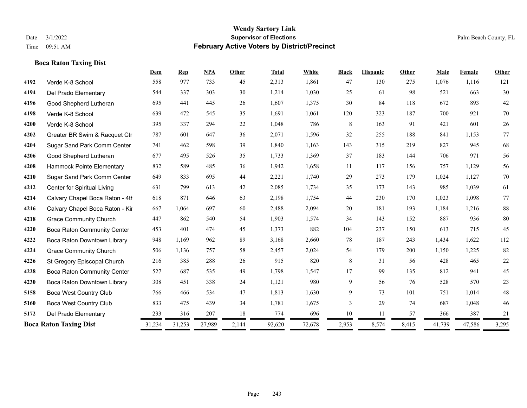#### **Boca Raton Taxing Dist**

|      |                                    | Dem    | <b>Rep</b> | <b>NPA</b> | <b>Other</b> | <b>Total</b> | White  | <b>Black</b> | <b>Hispanic</b> | Other | Male   | Female | Other  |
|------|------------------------------------|--------|------------|------------|--------------|--------------|--------|--------------|-----------------|-------|--------|--------|--------|
| 4192 | Verde K-8 School                   | 558    | 977        | 733        | 45           | 2,313        | 1,861  | 47           | 130             | 275   | 1,076  | 1,116  | 121    |
| 4194 | Del Prado Elementary               | 544    | 337        | 303        | 30           | 1,214        | 1,030  | 25           | 61              | 98    | 521    | 663    | 30     |
| 4196 | Good Shepherd Lutheran             | 695    | 441        | 445        | 26           | 1,607        | 1,375  | 30           | 84              | 118   | 672    | 893    | $42\,$ |
| 4198 | Verde K-8 School                   | 639    | 472        | 545        | 35           | 1,691        | 1,061  | 120          | 323             | 187   | 700    | 921    | 70     |
| 4200 | Verde K-8 School                   | 395    | 337        | 294        | 22           | 1,048        | 786    | 8            | 163             | 91    | 421    | 601    | 26     |
| 4202 | Greater BR Swim & Racquet Ctr      | 787    | 601        | 647        | 36           | 2,071        | 1,596  | 32           | 255             | 188   | 841    | 1,153  | 77     |
| 4204 | Sugar Sand Park Comm Center        | 741    | 462        | 598        | 39           | 1,840        | 1,163  | 143          | 315             | 219   | 827    | 945    | 68     |
| 4206 | Good Shepherd Lutheran             | 677    | 495        | 526        | 35           | 1,733        | 1,369  | 37           | 183             | 144   | 706    | 971    | 56     |
| 4208 | Hammock Pointe Elementary          | 832    | 589        | 485        | 36           | 1,942        | 1,658  | 11           | 117             | 156   | 757    | 1,129  | 56     |
| 4210 | Sugar Sand Park Comm Center        | 649    | 833        | 695        | 44           | 2,221        | 1,740  | 29           | 273             | 179   | 1,024  | 1,127  | $70\,$ |
| 4212 | Center for Spiritual Living        | 631    | 799        | 613        | 42           | 2,085        | 1,734  | 35           | 173             | 143   | 985    | 1,039  | 61     |
| 4214 | Calvary Chapel Boca Raton - 4th    | 618    | 871        | 646        | 63           | 2,198        | 1,754  | 44           | 230             | 170   | 1,023  | 1,098  | 77     |
| 4216 | Calvary Chapel Boca Raton - Kir    | 667    | 1,064      | 697        | 60           | 2,488        | 2,094  | 20           | 181             | 193   | 1,184  | 1,216  | $88\,$ |
| 4218 | <b>Grace Community Church</b>      | 447    | 862        | 540        | 54           | 1,903        | 1,574  | 34           | 143             | 152   | 887    | 936    | $80\,$ |
| 4220 | <b>Boca Raton Community Center</b> | 453    | 401        | 474        | 45           | 1,373        | 882    | 104          | 237             | 150   | 613    | 715    | 45     |
| 4222 | Boca Raton Downtown Library        | 948    | 1,169      | 962        | 89           | 3,168        | 2,660  | 78           | 187             | 243   | 1,434  | 1,622  | 112    |
| 4224 | <b>Grace Community Church</b>      | 506    | 1,136      | 757        | 58           | 2,457        | 2,024  | 54           | 179             | 200   | 1,150  | 1,225  | $82\,$ |
| 4226 | St Gregory Episcopal Church        | 216    | 385        | 288        | 26           | 915          | 820    | 8            | 31              | 56    | 428    | 465    | $22\,$ |
| 4228 | <b>Boca Raton Community Center</b> | 527    | 687        | 535        | 49           | 1,798        | 1,547  | 17           | 99              | 135   | 812    | 941    | 45     |
| 4230 | Boca Raton Downtown Library        | 308    | 451        | 338        | 24           | 1,121        | 980    | 9            | 56              | 76    | 528    | 570    | 23     |
| 5158 | <b>Boca West Country Club</b>      | 766    | 466        | 534        | 47           | 1,813        | 1,630  | 9            | 73              | 101   | 751    | 1,014  | 48     |
| 5160 | <b>Boca West Country Club</b>      | 833    | 475        | 439        | 34           | 1,781        | 1,675  | 3            | 29              | 74    | 687    | 1,048  | 46     |
| 5172 | Del Prado Elementary               | 233    | 316        | 207        | 18           | 774          | 696    | 10           | 11              | 57    | 366    | 387    | 21     |
|      | <b>Boca Raton Taxing Dist</b>      | 31,234 | 31,253     | 27,989     | 2,144        | 92,620       | 72,678 | 2,953        | 8,574           | 8,415 | 41,739 | 47,586 | 3,295  |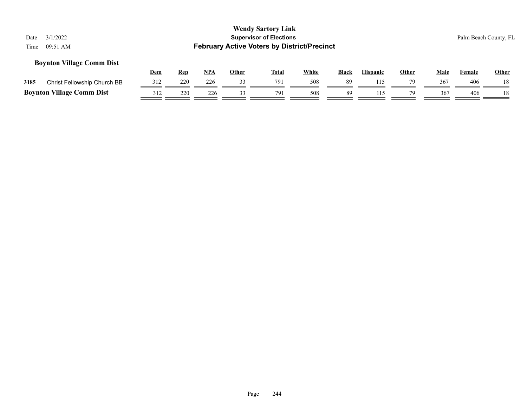#### **Boynton Village Comm Dist**

|      |                                  | Dem | Rep | NPA | Other | <b>Total</b> | White | <b>Black</b> | <b>Hispanic</b> | Other | Male            | Female | <b>Other</b> |
|------|----------------------------------|-----|-----|-----|-------|--------------|-------|--------------|-----------------|-------|-----------------|--------|--------------|
| 3185 | Christ Fellowship Church BB      | 312 | 220 | 226 |       | 791          | 508   | 89           |                 | 79    | 367             | 406    | 18           |
|      | <b>Boynton Village Comm Dist</b> |     | 220 | 226 |       | 791          | 508   | 89           |                 | 79    | 36 <sup>7</sup> | 406    | 18           |

#### Page 244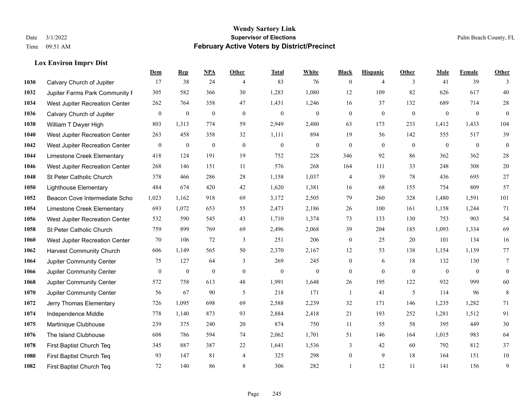**Lox Environ Imprv Dist**

#### **Wendy Sartory Link** Date 3/1/2022 **Supervisor of Elections** Palm Beach County, FL Time 09:51 AM **February Active Voters by District/Precinct**

## **Dem Rep NPA Other Total White Black Hispanic Other Male Female Other** Calvary Church of Jupiter 17 38 24 4 83 76 0 4 3 41 39 3 Jupiter Farms Park Community Favilion 305 582 366 30 1,283 1,080 12 109 82 626 617 40 West Jupiter Recreation Center 262 764 358 47 1,431 1,246 16 37 132 689 714 28 Calvary Church of Jupiter 0 0 0 0 0 0 0 0 0 0 0 0 William T Dwyer High 803 1,313 774 59 2,949 2,480 63 173 233 1,412 1,433 104 West Jupiter Recreation Center 263 458 358 32 1,111 894 19 56 142 555 517 39 West Jupiter Recreation Center 0 0 0 0 0 0 0 0 0 0 0 0 Limestone Creek Elementary 418 124 191 19 752 228 346 92 86 362 362 28 West Jupiter Recreation Center 268 146 151 11 576 268 164 111 33 248 308 20 St Peter Catholic Church 378 466 286 28 1,158 1,037 4 39 78 436 695 27 Lighthouse Elementary 484 674 420 42 1,620 1,381 16 68 155 754 809 57 Beacon Cove Intermediate School 1,023 1,162 918 69 3,172 2,505 79 260 328 1,480 1,591 101 Limestone Creek Elementary 693 1,072 653 55 2,473 2,186 26 100 161 1,158 1,244 71 West Jupiter Recreation Center 532 590 545 43 1,710 1,374 73 133 130 753 903 54 St Peter Catholic Church 759 899 769 69 2,496 2,068 39 204 185 1,093 1,334 69 West Jupiter Recreation Center 70 106 72 3 251 206 0 25 20 101 134 16 Harvest Community Church 606 1,149 565 50 2,370 2,167 12 53 138 1,154 1,139 77 Jupiter Community Center 75 127 64 3 269 245 0 6 18 132 130 7 Jupiter Community Center 0 0 0 0 0 0 0 0 0 0 0 0 Jupiter Community Center 572 758 613 48 1,991 1,648 26 195 122 932 999 60 Jupiter Community Center 56 67 90 5 218 171 1 41 5 114 96 8 Jerry Thomas Elementary 726 1,095 698 69 2,588 2,239 32 171 146 1,235 1,282 71 Independence Middle 778 1,140 873 93 2,884 2,418 21 193 252 1,281 1,512 91 Martinique Clubhouse 239 375 240 20 874 750 11 55 58 395 449 30 The Island Clubhouse 608 786 594 74 2,062 1,701 51 146 164 1,015 983 64 First Baptist Church Teq 345 887 387 22 1,641 1,536 3 42 60 792 812 37 First Baptist Church Teq 93 147 81 4 325 298 0 9 18 164 151 10 First Baptist Church Teq 72 140 86 8 306 282 1 12 11 141 156 9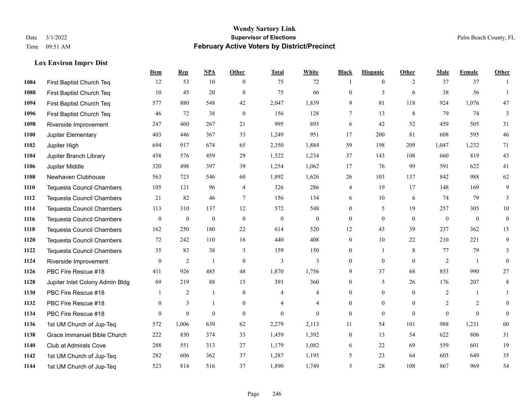#### **Lox Environ Imprv Dist**

|      |                                  | Dem              | <b>Rep</b>       | NPA              | <b>Other</b>     | <b>Total</b>             | <b>White</b>     | <b>Black</b>     | <b>Hispanic</b> | <b>Other</b> | <b>Male</b>      | <b>Female</b>    | <b>Other</b>     |
|------|----------------------------------|------------------|------------------|------------------|------------------|--------------------------|------------------|------------------|-----------------|--------------|------------------|------------------|------------------|
| 1084 | First Baptist Church Teq         | 12               | 53               | 10               | $\theta$         | 75                       | 72               | 1                | $\mathbf{0}$    | 2            | 37               | 37               | $\mathbf{1}$     |
| 1088 | First Baptist Church Teq         | 10               | 45               | 20               | $\overline{0}$   | 75                       | 66               | $\boldsymbol{0}$ | 3               | 6            | 38               | 36               | $\mathbf{1}$     |
| 1094 | First Baptist Church Teq         | 577              | 880              | 548              | 42               | 2,047                    | 1,839            | 9                | 81              | 118          | 924              | 1,076            | 47               |
| 1096 | First Baptist Church Teq         | 46               | 72               | 38               | $\mathbf{0}$     | 156                      | 128              | $7\phantom{.0}$  | 13              | 8            | 79               | 74               | 3                |
| 1098 | Riverside Improvement            | 247              | 460              | 267              | 21               | 995                      | 895              | 6                | 42              | 52           | 459              | 505              | 31               |
| 1100 | Jupiter Elementary               | 403              | 446              | 367              | 33               | 1,249                    | 951              | 17               | 200             | 81           | 608              | 595              | $46\,$           |
| 1102 | Jupiter High                     | 694              | 917              | 674              | 65               | 2,350                    | 1,884            | 59               | 198             | 209          | 1,047            | 1,232            | 71               |
| 1104 | Jupiter Branch Library           | 458              | 576              | 459              | 29               | 1,522                    | 1,234            | 37               | 143             | 108          | 660              | 819              | 43               |
| 1106 | Jupiter Middle                   | 320              | 498              | 397              | 39               | 1,254                    | 1,062            | 17               | 76              | 99           | 591              | 622              | 41               |
| 1108 | Newhaven Clubhouse               | 563              | 723              | 546              | 60               | 1,892                    | 1,626            | 26               | 103             | 137          | 842              | 988              | 62               |
| 1110 | <b>Tequesta Council Chambers</b> | 105              | 121              | 96               | $\overline{4}$   | 326                      | 286              | 4                | 19              | 17           | 148              | 169              | 9                |
| 1112 | <b>Tequesta Council Chambers</b> | 21               | 82               | 46               | $\tau$           | 156                      | 134              | 6                | 10              | 6            | 74               | 79               | 3                |
| 1114 | Tequesta Council Chambers        | 113              | 310              | 137              | 12               | 572                      | 548              | $\mathbf{0}$     | 5               | 19           | 257              | 305              | 10               |
| 1116 | <b>Tequesta Council Chambers</b> | $\boldsymbol{0}$ | $\boldsymbol{0}$ | $\boldsymbol{0}$ | $\boldsymbol{0}$ | $\boldsymbol{0}$         | $\boldsymbol{0}$ | $\boldsymbol{0}$ | $\mathbf{0}$    | $\mathbf{0}$ | $\boldsymbol{0}$ | $\boldsymbol{0}$ | $\boldsymbol{0}$ |
| 1118 | Tequesta Council Chambers        | 162              | 250              | 180              | 22               | 614                      | 520              | 12               | 43              | 39           | 237              | 362              | 15               |
| 1120 | <b>Tequesta Council Chambers</b> | 72               | 242              | 110              | 16               | 440                      | 408              | $\boldsymbol{0}$ | 10              | 22           | 210              | 221              | 9                |
| 1122 | <b>Tequesta Council Chambers</b> | 35               | 83               | 38               | 3                | 159                      | 150              | $\boldsymbol{0}$ | $\mathbf{1}$    | 8            | 77               | 79               | 3                |
| 1124 | Riverside Improvement            | $\mathbf{0}$     | $\overline{2}$   | $\mathbf{1}$     | $\Omega$         | 3                        | 3                | $\mathbf{0}$     | $\theta$        | $\Omega$     | 2                | $\overline{1}$   | $\mathbf{0}$     |
| 1126 | PBC Fire Rescue #18              | 411              | 926              | 485              | 48               | 1,870                    | 1,756            | 9                | 37              | 68           | 853              | 990              | $27\,$           |
| 1128 | Jupiter Inlet Colony Admin Bldg  | 69               | 219              | 88               | 15               | 391                      | 360              | $\boldsymbol{0}$ | 5               | 26           | 176              | 207              | 8                |
| 1130 | PBC Fire Rescue #18              | 1                | 2                | $\mathbf{1}$     | $\Omega$         | $\overline{4}$           | $\overline{4}$   | $\mathbf{0}$     | $\theta$        | $\Omega$     | 2                | $\mathbf{1}$     | $\mathbf{1}$     |
| 1132 | PBC Fire Rescue #18              | $\overline{0}$   | 3                | $\mathbf{1}$     | $\overline{0}$   | $\overline{\mathcal{A}}$ | $\overline{4}$   | $\boldsymbol{0}$ | $\mathbf{0}$    | $\theta$     | $\overline{2}$   | 2                | $\mathbf{0}$     |
| 1134 | PBC Fire Rescue #18              | $\Omega$         | $\mathbf{0}$     | $\mathbf{0}$     | $\Omega$         | $\theta$                 | $\Omega$         | $\mathbf{0}$     | $\theta$        | $\Omega$     | $\theta$         | $\theta$         | $\mathbf{0}$     |
| 1136 | 1st UM Church of Jup-Teq         | 572              | 1,006            | 639              | 62               | 2,279                    | 2,113            | 11               | 54              | 101          | 988              | 1,231            | 60               |
| 1138 | Grace Immanuel Bible Church      | 222              | 830              | 374              | 33               | 1,459                    | 1,392            | $\boldsymbol{0}$ | 13              | 54           | 622              | 806              | 31               |
| 1140 | Club at Admirals Cove            | 288              | 551              | 313              | 27               | 1,179                    | 1,082            | 6                | 22              | 69           | 559              | 601              | 19               |
| 1142 | 1st UM Church of Jup-Teq         | 282              | 606              | 362              | 37               | 1,287                    | 1,195            | 5                | 23              | 64           | 603              | 649              | 35               |
| 1144 | 1st UM Church of Jup-Teq         | 523              | 814              | 516              | 37               | 1,890                    | 1,749            | 5                | 28              | 108          | 867              | 969              | 54               |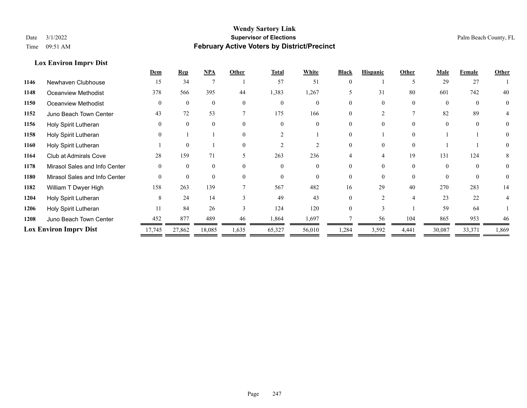**Lox Environ Imprv Dist**

#### **Wendy Sartory Link** Date 3/1/2022 **Supervisor of Elections** Palm Beach County, FL Time 09:51 AM **February Active Voters by District/Precinct**

|                               |                               | Dem          | <b>Rep</b> | <b>NPA</b>   | Other        | Total    | White          | <b>Black</b> | <b>Hispanic</b> | Other          | Male     | Female       | Other          |
|-------------------------------|-------------------------------|--------------|------------|--------------|--------------|----------|----------------|--------------|-----------------|----------------|----------|--------------|----------------|
| 1146                          | Newhaven Clubhouse            | 15           | 34         |              |              | 57       | 51             | $\Omega$     |                 | ╮              | 29       | 27           |                |
| 1148                          | <b>Oceanview Methodist</b>    | 378          | 566        | 395          | 44           | 1,383    | 1,267          |              | 31              | 80             | 601      | 742          | 40             |
| 1150                          | Oceanview Methodist           | $\mathbf{0}$ | $\theta$   | $\mathbf{0}$ | $\theta$     | $\theta$ | $\theta$       |              | $\theta$        | $\theta$       | $\theta$ | $\mathbf{0}$ | $\overline{0}$ |
| 1152                          | Juno Beach Town Center        | 43           | 72         | 53           |              | 175      | 166            | $\Omega$     | $\mathfrak{D}$  |                | 82       | 89           |                |
| 1156                          | Holy Spirit Lutheran          | $\Omega$     |            | $\Omega$     | $\Omega$     | $\Omega$ | $\Omega$       | 0            | $\Omega$        | $\Omega$       | $\Omega$ | $\Omega$     | $\theta$       |
| 1158                          | Holy Spirit Lutheran          | $\theta$     |            |              | $\Omega$     |          |                | 0            |                 | $\theta$       |          |              | $\theta$       |
| 1160                          | Holy Spirit Lutheran          |              | $\Omega$   |              | $\Omega$     |          | $\mathfrak{D}$ | 0            | $\Omega$        | $\Omega$       |          |              | $\theta$       |
| 1164                          | <b>Club at Admirals Cove</b>  | 28           | 159        | 71           |              | 263      | 236            |              | 4               | 19             | 131      | 124          |                |
| 1178                          | Mirasol Sales and Info Center | $\theta$     | $\Omega$   | $\theta$     | $\Omega$     | $\Omega$ | $\Omega$       | 0            | $\Omega$        | $\Omega$       | $\Omega$ | $\Omega$     | $\theta$       |
| 1180                          | Mirasol Sales and Info Center | $\Omega$     | $\Omega$   | $\Omega$     | $\Omega$     | $\Omega$ | $\Omega$       | $\Omega$     | $\Omega$        | $\Omega$       | $\Omega$ | $\Omega$     | $\theta$       |
| 1182                          | William T Dwyer High          | 158          | 263        | 139          |              | 567      | 482            | 16           | 29              | 40             | 270      | 283          | 14             |
| 1204                          | Holy Spirit Lutheran          | 8            | 24         | 14           | $\mathbf{3}$ | 49       | 43             | $\Omega$     |                 | $\overline{4}$ | 23       | 22           |                |
| 1206                          | Holy Spirit Lutheran          | 11           | 84         | 26           | 3            | 124      | 120            | 0            |                 |                | 59       | 64           |                |
| 1208                          | Juno Beach Town Center        | 452          | 877        | 489          | 46           | 1,864    | 1,697          |              | 56              | 104            | 865      | 953          | 46             |
| <b>Lox Environ Imprv Dist</b> |                               | 17,745       | 27,862     | 18,085       | 1,635        | 65,327   | 56,010         | 1,284        | 3,592           | 4,441          | 30,087   | 33,371       | 1,869          |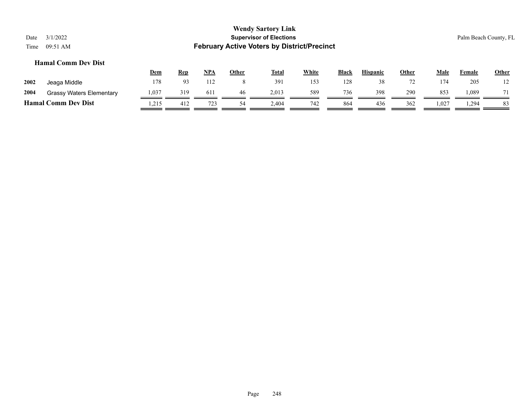#### **Hamal Comm Dev Dist**

|      |                                 | Dem   | <b>Rep</b> | <b>NPA</b> | Other | <b>Total</b> | White | <b>Black</b> | <b>Hispanic</b> | Other | Male | Female | <b>Other</b> |
|------|---------------------------------|-------|------------|------------|-------|--------------|-------|--------------|-----------------|-------|------|--------|--------------|
| 2002 | Jeaga Middle                    | 178   | ۵2         |            |       | 391          | 153   | 128          | 38              |       | 174  | 205    |              |
| 2004 | <b>Grassy Waters Elementary</b> | 1,037 | 319        | 611        | 46    | 2.013        | 589   | 736          | 398             | 290   | 853  | 1,089  | 71           |
|      | <b>Hamal Comm Dev Dist</b>      | 1,215 | 412        | 723        | 54    | 2.404        | 742   | 864          | 436             | 362   | .027 | . 294  | 83           |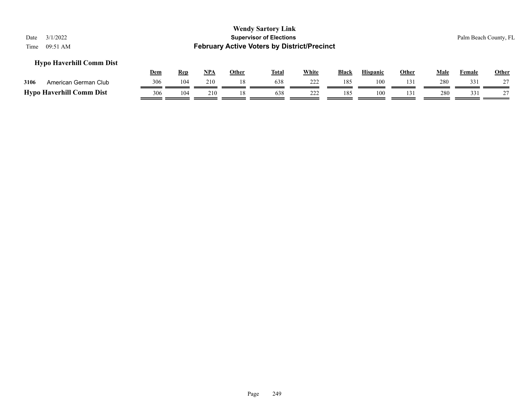#### **Hypo Haverhill Comm Dist**

|                                 | Dem | Ren | NPA | Other | <b>Total</b> | White     | <b>Black</b> | <b>Hispanic</b> | Other | Male | $\mathbf{r}$<br>Female | Other           |
|---------------------------------|-----|-----|-----|-------|--------------|-----------|--------------|-----------------|-------|------|------------------------|-----------------|
| 3106<br>American German Club    | 306 | 104 | 210 |       | 638          | 22<br>∠∠∠ | 185          | 100             | 131   | 280  | 331                    | $\gamma$        |
| <b>Hypo Haverhill Comm Dist</b> | 306 | 104 | 210 |       | 638          | 222       | 185          | 100             | 131   | 280  | 331                    | $\gamma$ $\tau$ |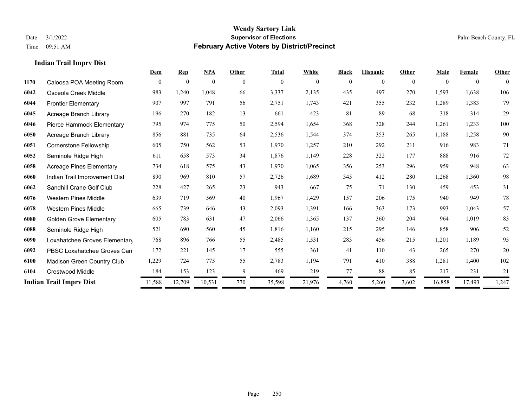#### **Indian Trail Imprv Dist**

| 1170 |                                 |              |                  |              |             |              |          |              |          |          |          |                | Other          |
|------|---------------------------------|--------------|------------------|--------------|-------------|--------------|----------|--------------|----------|----------|----------|----------------|----------------|
|      | Caloosa POA Meeting Room        | $\mathbf{0}$ | $\boldsymbol{0}$ | $\mathbf{0}$ | $\theta$    | $\mathbf{0}$ | $\theta$ | $\mathbf{0}$ | $\theta$ | $\theta$ | $\Omega$ | $\overline{0}$ | $\overline{0}$ |
| 6042 | Osceola Creek Middle            | 983          | 1,240            | 1,048        | 66          | 3,337        | 2,135    | 435          | 497      | 270      | 1,593    | 1,638          | 106            |
| 6044 | <b>Frontier Elementary</b>      | 907          | 997              | 791          | 56          | 2,751        | 1,743    | 421          | 355      | 232      | 1,289    | 1,383          | 79             |
| 6045 | Acreage Branch Library          | 196          | 270              | 182          | 13          | 661          | 423      | 81           | 89       | 68       | 318      | 314            | 29             |
| 6046 | Pierce Hammock Elementary       | 795          | 974              | 775          | 50          | 2,594        | 1,654    | 368          | 328      | 244      | 1,261    | 1,233          | 100            |
| 6050 | Acreage Branch Library          | 856          | 881              | 735          | 64          | 2,536        | 1,544    | 374          | 353      | 265      | 1,188    | 1,258          | 90             |
| 6051 | Cornerstone Fellowship          | 605          | 750              | 562          | 53          | 1,970        | 1,257    | 210          | 292      | 211      | 916      | 983            | 71             |
| 6052 | Seminole Ridge High             | 611          | 658              | 573          | 34          | 1,876        | 1,149    | 228          | 322      | 177      | 888      | 916            | 72             |
| 6058 | <b>Acreage Pines Elementary</b> | 734          | 618              | 575          | 43          | 1,970        | 1,065    | 356          | 253      | 296      | 959      | 948            | 63             |
| 6060 | Indian Trail Improvement Dist   | 890          | 969              | 810          | 57          | 2,726        | 1,689    | 345          | 412      | 280      | 1,268    | 1,360          | 98             |
| 6062 | Sandhill Crane Golf Club        | 228          | 427              | 265          | 23          | 943          | 667      | 75           | 71       | 130      | 459      | 453            | 31             |
| 6076 | <b>Western Pines Middle</b>     | 639          | 719              | 569          | 40          | 1,967        | 1,429    | 157          | 206      | 175      | 940      | 949            | 78             |
| 6078 | <b>Western Pines Middle</b>     | 665          | 739              | 646          | 43          | 2,093        | 1,391    | 166          | 363      | 173      | 993      | 1.043          | 57             |
| 6080 | <b>Golden Grove Elementary</b>  | 605          | 783              | 631          | 47          | 2,066        | 1,365    | 137          | 360      | 204      | 964      | 1.019          | 83             |
| 6088 | Seminole Ridge High             | 521          | 690              | 560          | 45          | 1,816        | 1,160    | 215          | 295      | 146      | 858      | 906            | 52             |
| 6090 | Loxahatchee Groves Elementary   | 768          | 896              | 766          | 55          | 2,485        | 1,531    | 283          | 456      | 215      | 1,201    | 1,189          | 95             |
| 6092 | PBSC Loxahatchee Groves Can     | 172          | 221              | 145          | 17          | 555          | 361      | 41           | 110      | 43       | 265      | 270            | 20             |
| 6100 | Madison Green Country Club      | 1,229        | 724              | 775          | 55          | 2,783        | 1,194    | 791          | 410      | 388      | 1,281    | 1.400          | 102            |
| 6104 | <b>Crestwood Middle</b>         | 184          | 153              | 123          | $\mathbf Q$ | 469          | 219      | 77           | 88       | 85       | 217      | 231            | 21             |
|      | <b>Indian Trail Imprv Dist</b>  | 11,588       | 12,709           | 10,531       | 770         | 35,598       | 21,976   | 4,760        | 5,260    | 3,602    | 16,858   | 17,493         | 1,247          |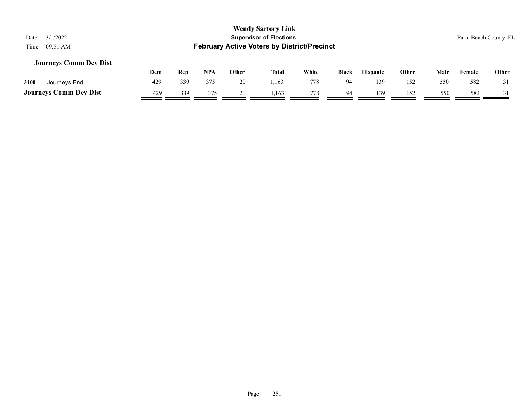#### **Journeys Comm Dev Dist**

|                               | Dem | Rep | NPA | Other | Total | <b>White</b> | Black | Hispanic | Other | Male | Female | <b>Other</b> |
|-------------------------------|-----|-----|-----|-------|-------|--------------|-------|----------|-------|------|--------|--------------|
| 3100<br>Journeys End          | 429 | 339 | 375 | 20    | .163  | 778          | 94    | 139      | 152   | 550  | 582    |              |
| <b>Journeys Comm Dev Dist</b> | 429 | 339 | 375 | 20    | .,163 | 778          | 94    | 139      | 152   | 550  | 582    |              |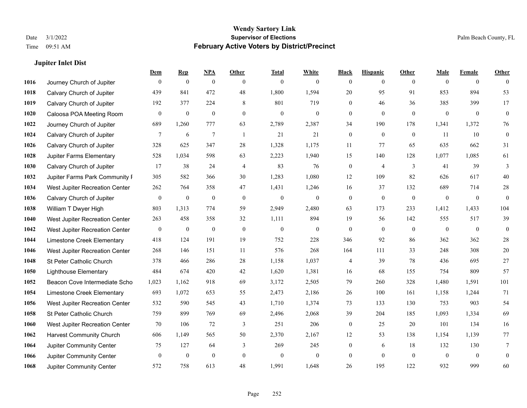**Jupiter Inlet Dist**

#### **Wendy Sartory Link** Date 3/1/2022 **Supervisor of Elections** Palm Beach County, FL Time 09:51 AM **February Active Voters by District/Precinct**

## **Dem Rep NPA Other Total White Black Hispanic Other Male Female Other** Journey Church of Jupiter 0 0 0 0 0 0 0 0 0 0 0 0 Calvary Church of Jupiter 439 841 472 48 1,800 1,594 20 95 91 853 894 53 Calvary Church of Jupiter 192 377 224 8 801 719 0 46 36 385 399 17 Caloosa POA Meeting Room 0 0 0 0 0 0 0 0 0 0 0 0 Journey Church of Jupiter 689 1,260 777 63 2,789 2,387 34 190 178 1,341 1,372 76 Calvary Church of Jupiter  $\begin{array}{cccccccc} 7 & 6 & 7 & 1 & 21 & 21 & 0 & 0 & 0 & 11 & 10 & 0 \\ 1 & 2 & 2 & 2 & 2 & 0 & 0 & 0 & 11 & 10 & 0 \\ 1 & 0 & 0 & 0 & 0 & 0 & 0 & 0 & 0 & 0 \end{array}$  Calvary Church of Jupiter 328 625 347 28 1,328 1,175 11 77 65 635 662 31 Jupiter Farms Elementary 528 1,034 598 63 2,223 1,940 15 140 128 1,077 1,085 61 Calvary Church of Jupiter 17 38 24 4 83 76 0 4 3 41 39 3 Jupiter Farms Park Community F 305 582 366 30 1,283 1,080 12 109 82 626 617 40 West Jupiter Recreation Center 262 764 358 47 1,431 1,246 16 37 132 689 714 28 Calvary Church of Jupiter 0 0 0 0 0 0 0 0 0 0 0 0 William T Dwyer High 803 1,313 774 59 2,949 2,480 63 173 233 1,412 1,433 104 West Jupiter Recreation Center 263 458 358 32 1,111 894 19 56 142 555 517 39 West Jupiter Recreation Center 0 0 0 0 0 0 0 0 0 0 0 0 Limestone Creek Elementary 418 124 191 19 752 228 346 92 86 362 362 28 West Jupiter Recreation Center 268 146 151 11 576 268 164 111 33 248 308 20 St Peter Catholic Church 378 466 286 28 1,158 1,037 4 39 78 436 695 27 Lighthouse Elementary 484 674 420 42 1,620 1,381 16 68 155 754 809 57 Beacon Cove Intermediate School 1,023 1,162 918 69 3,172 2,505 79 260 328 1,480 1,591 101 Limestone Creek Elementary 693 1,072 653 55 2,473 2,186 26 100 161 1,158 1,244 71 West Jupiter Recreation Center 532 590 545 43 1,710 1,374 73 133 130 753 903 54 St Peter Catholic Church 759 899 769 69 2,496 2,068 39 204 185 1,093 1,334 69 West Jupiter Recreation Center 70 106 72 3 251 206 0 25 20 101 134 16 Harvest Community Church 606 1,149 565 50 2,370 2,167 12 53 138 1,154 1,139 77 Jupiter Community Center 75 127 64 3 269 245 0 6 18 132 130 7 Jupiter Community Center 0 0 0 0 0 0 0 0 0 0 0 0 Jupiter Community Center 572 758 613 48 1,991 1,648 26 195 122 932 999 60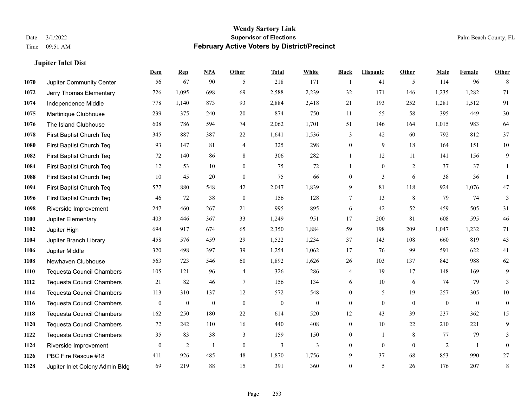### **Jupiter Inlet Dist**

|      |                                  | <b>Dem</b>       | <b>Rep</b>       | NPA              | <b>Other</b>     | <b>Total</b>     | <b>White</b>     | <b>Black</b>     | <b>Hispanic</b> | <b>Other</b> | <b>Male</b>  | <b>Female</b> | Other            |
|------|----------------------------------|------------------|------------------|------------------|------------------|------------------|------------------|------------------|-----------------|--------------|--------------|---------------|------------------|
| 1070 | Jupiter Community Center         | 56               | 67               | 90               | 5                | 218              | 171              | $\overline{1}$   | 41              | 5            | 114          | 96            | 8                |
| 1072 | Jerry Thomas Elementary          | 726              | 1,095            | 698              | 69               | 2,588            | 2,239            | 32               | 171             | 146          | 1,235        | 1,282         | 71               |
| 1074 | Independence Middle              | 778              | 1,140            | 873              | 93               | 2,884            | 2,418            | 21               | 193             | 252          | 1,281        | 1,512         | 91               |
| 1075 | Martinique Clubhouse             | 239              | 375              | 240              | $20\,$           | 874              | 750              | 11               | 55              | 58           | 395          | 449           | $30\,$           |
| 1076 | The Island Clubhouse             | 608              | 786              | 594              | 74               | 2,062            | 1,701            | 51               | 146             | 164          | 1,015        | 983           | 64               |
| 1078 | First Baptist Church Teq         | 345              | 887              | 387              | 22               | 1,641            | 1,536            | 3                | 42              | 60           | 792          | 812           | 37               |
| 1080 | First Baptist Church Teq         | 93               | 147              | 81               | $\overline{4}$   | 325              | 298              | $\boldsymbol{0}$ | 9               | 18           | 164          | 151           | $10\,$           |
| 1082 | First Baptist Church Teq         | 72               | 140              | 86               | 8                | 306              | 282              | 1                | 12              | 11           | 141          | 156           | 9                |
| 1084 | First Baptist Church Teq         | 12               | 53               | 10               | $\boldsymbol{0}$ | 75               | 72               | 1                | $\overline{0}$  | 2            | 37           | 37            | -1               |
| 1088 | First Baptist Church Teq         | 10               | 45               | 20               | $\mathbf{0}$     | 75               | 66               | $\overline{0}$   | $\overline{3}$  | 6            | 38           | 36            | $\overline{1}$   |
| 1094 | First Baptist Church Teq         | 577              | 880              | 548              | 42               | 2,047            | 1,839            | 9                | 81              | 118          | 924          | 1,076         | 47               |
| 1096 | First Baptist Church Teq         | 46               | 72               | 38               | $\mathbf{0}$     | 156              | 128              | $\tau$           | 13              | 8            | 79           | 74            | 3                |
| 1098 | Riverside Improvement            | 247              | 460              | 267              | 21               | 995              | 895              | 6                | 42              | 52           | 459          | 505           | 31               |
| 1100 | Jupiter Elementary               | 403              | 446              | 367              | 33               | 1,249            | 951              | 17               | 200             | 81           | 608          | 595           | $46\,$           |
| 1102 | Jupiter High                     | 694              | 917              | 674              | 65               | 2,350            | 1,884            | 59               | 198             | 209          | 1,047        | 1,232         | 71               |
| 1104 | Jupiter Branch Library           | 458              | 576              | 459              | 29               | 1,522            | 1,234            | 37               | 143             | 108          | 660          | 819           | 43               |
| 1106 | Jupiter Middle                   | 320              | 498              | 397              | 39               | 1,254            | 1,062            | 17               | 76              | 99           | 591          | 622           | 41               |
| 1108 | Newhaven Clubhouse               | 563              | 723              | 546              | 60               | 1,892            | 1,626            | 26               | 103             | 137          | 842          | 988           | 62               |
| 1110 | <b>Tequesta Council Chambers</b> | 105              | 121              | 96               | $\overline{4}$   | 326              | 286              | 4                | 19              | 17           | 148          | 169           | 9                |
| 1112 | <b>Tequesta Council Chambers</b> | 21               | 82               | 46               | $\tau$           | 156              | 134              | 6                | 10              | 6            | 74           | 79            | 3                |
| 1114 | <b>Tequesta Council Chambers</b> | 113              | 310              | 137              | 12               | 572              | 548              | $\overline{0}$   | 5               | 19           | 257          | 305           | $10\,$           |
| 1116 | <b>Tequesta Council Chambers</b> | $\boldsymbol{0}$ | $\boldsymbol{0}$ | $\boldsymbol{0}$ | $\mathbf{0}$     | $\boldsymbol{0}$ | $\boldsymbol{0}$ | $\overline{0}$   | $\overline{0}$  | $\mathbf{0}$ | $\mathbf{0}$ | $\mathbf{0}$  | $\boldsymbol{0}$ |
| 1118 | <b>Tequesta Council Chambers</b> | 162              | 250              | 180              | 22               | 614              | 520              | 12               | 43              | 39           | 237          | 362           | 15               |
| 1120 | <b>Tequesta Council Chambers</b> | 72               | 242              | 110              | 16               | 440              | 408              | $\overline{0}$   | 10              | 22           | 210          | 221           | 9                |
| 1122 | Tequesta Council Chambers        | 35               | 83               | 38               | 3                | 159              | 150              | $\overline{0}$   | 1               | $\,8\,$      | 77           | 79            | 3                |
| 1124 | Riverside Improvement            | $\mathbf{0}$     | $\overline{2}$   | 1                | $\mathbf{0}$     | 3                | 3                | $\overline{0}$   | $\overline{0}$  | $\mathbf{0}$ | 2            | $\mathbf{1}$  | $\overline{0}$   |
| 1126 | PBC Fire Rescue #18              | 411              | 926              | 485              | 48               | 1,870            | 1,756            | 9                | 37              | 68           | 853          | 990           | $27\,$           |
| 1128 | Jupiter Inlet Colony Admin Bldg  | 69               | 219              | 88               | 15               | 391              | 360              | $\mathbf{0}$     | 5               | 26           | 176          | 207           | $\,$ 8 $\,$      |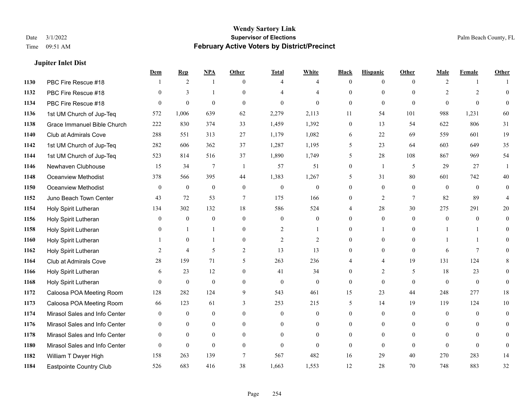### **Jupiter Inlet Dist**

|      |                               | Dem            | <b>Rep</b>     | NPA          | <b>Other</b>   | <b>Total</b>   | <b>White</b>     | <b>Black</b>   | <b>Hispanic</b> | <b>Other</b>   | <b>Male</b>    | <b>Female</b>   | <b>Other</b>   |
|------|-------------------------------|----------------|----------------|--------------|----------------|----------------|------------------|----------------|-----------------|----------------|----------------|-----------------|----------------|
| 1130 | PBC Fire Rescue #18           |                | 2              | 1            | $\theta$       | 4              | $\overline{4}$   | $\mathbf{0}$   | $\overline{0}$  | $\theta$       | $\overline{2}$ | $\mathbf{1}$    |                |
| 1132 | PBC Fire Rescue #18           | $\theta$       | 3              | 1            | $\Omega$       |                | $\overline{4}$   | $\theta$       | $\mathbf{0}$    | $\Omega$       | 2              | $\overline{2}$  | $\theta$       |
| 1134 | PBC Fire Rescue #18           | $\Omega$       | $\theta$       | $\theta$     | $\Omega$       | $\theta$       | $\Omega$         | $\Omega$       | $\theta$        | $\Omega$       | $\Omega$       | $\Omega$        | $\theta$       |
| 1136 | 1st UM Church of Jup-Teq      | 572            | 1,006          | 639          | 62             | 2,279          | 2,113            | 11             | 54              | 101            | 988            | 1,231           | 60             |
| 1138 | Grace Immanuel Bible Church   | 222            | 830            | 374          | 33             | 1,459          | 1,392            | $\mathbf{0}$   | 13              | 54             | 622            | 806             | 31             |
| 1140 | Club at Admirals Cove         | 288            | 551            | 313          | 27             | 1,179          | 1,082            | 6              | 22              | 69             | 559            | 601             | 19             |
| 1142 | 1st UM Church of Jup-Teq      | 282            | 606            | 362          | 37             | 1,287          | 1,195            | 5              | 23              | 64             | 603            | 649             | 35             |
| 1144 | 1st UM Church of Jup-Teq      | 523            | 814            | 516          | 37             | 1,890          | 1,749            | 5              | 28              | 108            | 867            | 969             | 54             |
| 1146 | Newhaven Clubhouse            | 15             | 34             | 7            | -1             | 57             | 51               | $\mathbf{0}$   | 1               | 5              | 29             | 27              |                |
| 1148 | Oceanview Methodist           | 378            | 566            | 395          | 44             | 1,383          | 1,267            | 5              | 31              | 80             | 601            | 742             | 40             |
| 1150 | Oceanview Methodist           | $\theta$       | $\overline{0}$ | $\mathbf{0}$ | $\theta$       | $\mathbf{0}$   | $\mathbf{0}$     | $\theta$       | $\theta$        | $\Omega$       | $\theta$       | $\theta$        | $\theta$       |
| 1152 | Juno Beach Town Center        | 43             | 72             | 53           | $\tau$         | 175            | 166              | $\mathbf{0}$   | $\overline{2}$  | $\tau$         | 82             | 89              |                |
| 1154 | Holy Spirit Lutheran          | 134            | 302            | 132          | 18             | 586            | 524              | 4              | 28              | 30             | 275            | 291             | 20             |
| 1156 | Holy Spirit Lutheran          | $\mathbf{0}$   | $\mathbf{0}$   | $\mathbf{0}$ | $\mathbf{0}$   | $\mathbf{0}$   | $\boldsymbol{0}$ | $\mathbf{0}$   | $\overline{0}$  | $\theta$       | $\mathbf{0}$   | $\overline{0}$  | $\theta$       |
| 1158 | Holy Spirit Lutheran          | $\Omega$       | $\mathbf{1}$   | $\mathbf{1}$ | $\theta$       | $\overline{c}$ | 1                | $\theta$       |                 | $\Omega$       |                |                 | $\theta$       |
| 1160 | Holy Spirit Lutheran          |                | $\mathbf{0}$   | $\mathbf{1}$ | $\theta$       | $\overline{2}$ | $\overline{c}$   | $\theta$       | $\theta$        | $\theta$       | $\mathbf{1}$   | $\mathbf{1}$    | $\theta$       |
| 1162 | Holy Spirit Lutheran          | 2              | $\overline{4}$ | 5            | $\overline{2}$ | 13             | 13               | $\mathbf{0}$   | $\mathbf{0}$    | $\overline{0}$ | 6              | $7\phantom{.0}$ | 0              |
| 1164 | Club at Admirals Cove         | 28             | 159            | 71           | 5              | 263            | 236              | 4              | 4               | 19             | 131            | 124             | 8              |
| 1166 | Holy Spirit Lutheran          | 6              | 23             | 12           | $\theta$       | 41             | 34               | $\theta$       | $\overline{2}$  | 5              | 18             | 23              | $\theta$       |
| 1168 | Holy Spirit Lutheran          | $\Omega$       | $\theta$       | $\theta$     | $\theta$       | $\mathbf{0}$   | $\mathbf{0}$     | $\theta$       | $\theta$        | $\Omega$       | $\theta$       | $\theta$        | $\theta$       |
| 1172 | Caloosa POA Meeting Room      | 128            | 282            | 124          | 9              | 543            | 461              | 15             | 23              | 44             | 248            | 277             | $18\,$         |
| 1173 | Caloosa POA Meeting Room      | 66             | 123            | 61           | 3              | 253            | 215              | 5              | 14              | 19             | 119            | 124             | 10             |
| 1174 | Mirasol Sales and Info Center | $\Omega$       | $\mathbf{0}$   | $\mathbf{0}$ | $\mathbf{0}$   | $\theta$       | $\overline{0}$   | $\mathbf{0}$   | $\mathbf{0}$    | $\theta$       | $\theta$       | $\theta$        | $\mathbf{0}$   |
| 1176 | Mirasol Sales and Info Center | $\theta$       | $\theta$       | $\theta$     | $\theta$       | $\theta$       | $\Omega$         | $\theta$       | $\theta$        | $\Omega$       | $\theta$       | $\Omega$        | $\Omega$       |
| 1178 | Mirasol Sales and Info Center | $\overline{0}$ | $\mathbf{0}$   | $\mathbf{0}$ | $\theta$       | $\theta$       | $\overline{0}$   | $\overline{0}$ | $\mathbf{0}$    | $\Omega$       | $\overline{0}$ | $\theta$        |                |
| 1180 | Mirasol Sales and Info Center | $\Omega$       | $\mathbf{0}$   | $\mathbf{0}$ | $\theta$       | $\theta$       | $\Omega$         | $\theta$       | $\mathbf{0}$    | $\theta$       | $\theta$       | $\theta$        | $\overline{0}$ |
| 1182 | William T Dwyer High          | 158            | 263            | 139          | $\tau$         | 567            | 482              | 16             | 29              | 40             | 270            | 283             | 14             |
| 1184 | Eastpointe Country Club       | 526            | 683            | 416          | 38             | 1,663          | 1,553            | 12             | 28              | 70             | 748            | 883             | 32             |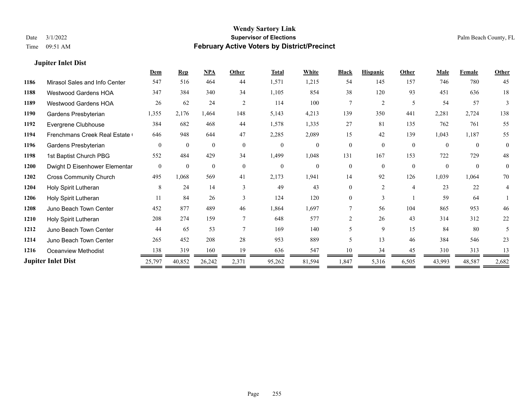### **Jupiter Inlet Dist**

|      |                               | Dem          | <b>Rep</b>   | NPA          | Other        | <b>Total</b> | White          | <b>Black</b> | <b>Hispanic</b> | Other          | <b>Male</b> | Female   | Other        |
|------|-------------------------------|--------------|--------------|--------------|--------------|--------------|----------------|--------------|-----------------|----------------|-------------|----------|--------------|
| 1186 | Mirasol Sales and Info Center | 547          | 516          | 464          | 44           | 1,571        | 1,215          | 54           | 145             | 157            | 746         | 780      | 45           |
| 1188 | <b>Westwood Gardens HOA</b>   | 347          | 384          | 340          | 34           | 1,105        | 854            | 38           | 120             | 93             | 451         | 636      | 18           |
| 1189 | <b>Westwood Gardens HOA</b>   | 26           | 62           | 24           | 2            | 114          | 100            | 7            | 2               | 5              | 54          | 57       | 3            |
| 1190 | Gardens Presbyterian          | 1,355        | 2,176        | 1,464        | 148          | 5,143        | 4,213          | 139          | 350             | 441            | 2,281       | 2,724    | 138          |
| 1192 | Evergrene Clubhouse           | 384          | 682          | 468          | 44           | 1,578        | 1,335          | 27           | 81              | 135            | 762         | 761      | 55           |
| 1194 | Frenchmans Creek Real Estate  | 646          | 948          | 644          | 47           | 2,285        | 2,089          | 15           | 42              | 139            | 1,043       | 1,187    | 55           |
| 1196 | Gardens Presbyterian          | $\theta$     | $\theta$     | $\Omega$     | $\theta$     | $\theta$     | $\Omega$       | $\theta$     | $\theta$        | $\theta$       | $\theta$    | $\theta$ | $\mathbf{0}$ |
| 1198 | 1st Baptist Church PBG        | 552          | 484          | 429          | 34           | 1,499        | 1,048          | 131          | 167             | 153            | 722         | 729      | 48           |
| 1200 | Dwight D Eisenhower Elementar | $\mathbf{0}$ | $\mathbf{0}$ | $\mathbf{0}$ | $\theta$     | $\theta$     | $\overline{0}$ | $\mathbf{0}$ | $\theta$        | $\theta$       | $\Omega$    | $\theta$ | $\mathbf{0}$ |
| 1202 | <b>Cross Community Church</b> | 495          | 1,068        | 569          | 41           | 2,173        | 1,941          | 14           | 92              | 126            | 1,039       | 1,064    | 70           |
| 1204 | Holy Spirit Lutheran          | 8            | 24           | 14           | $\mathbf{3}$ | 49           | 43             | $\theta$     | $\overline{2}$  | $\overline{4}$ | 23          | 22       | 4            |
| 1206 | Holy Spirit Lutheran          | 11           | 84           | 26           | 3            | 124          | 120            | $\theta$     | 3               |                | 59          | 64       |              |
| 1208 | Juno Beach Town Center        | 452          | 877          | 489          | 46           | 1,864        | 1,697          |              | 56              | 104            | 865         | 953      | 46           |
| 1210 | Holy Spirit Lutheran          | 208          | 274          | 159          |              | 648          | 577            | 2            | 26              | 43             | 314         | 312      | 22           |
| 1212 | Juno Beach Town Center        | 44           | 65           | 53           |              | 169          | 140            |              | 9               | 15             | 84          | 80       | 5            |
| 1214 | Juno Beach Town Center        | 265          | 452          | 208          | 28           | 953          | 889            | 5            | 13              | 46             | 384         | 546      | 23           |
| 1216 | <b>Oceanview Methodist</b>    | 138          | 319          | 160          | 19           | 636          | 547            | 10           | 34              | 45             | 310         | 313      | 13           |
|      | <b>Jupiter Inlet Dist</b>     | 25,797       | 40,852       | 26,242       | 2,371        | 95,262       | 81,594         | 1,847        | 5,316           | 6,505          | 43,993      | 48,587   | 2,682        |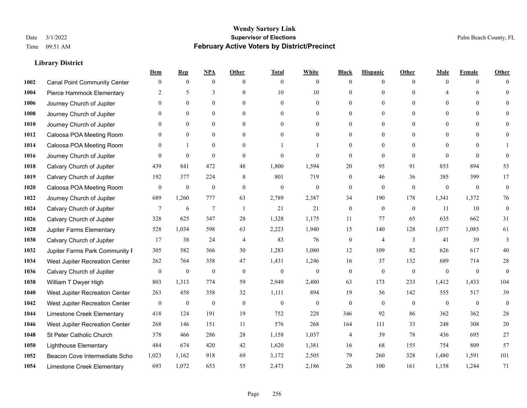|      |                                     | Dem              | <b>Rep</b>       | NPA              | <b>Other</b>   | <b>Total</b>     | <b>White</b>     | <b>Black</b>     | <b>Hispanic</b>  | <b>Other</b> | <b>Male</b>              | <b>Female</b> | <b>Other</b> |
|------|-------------------------------------|------------------|------------------|------------------|----------------|------------------|------------------|------------------|------------------|--------------|--------------------------|---------------|--------------|
| 1002 | <b>Canal Point Community Center</b> | $\mathbf{0}$     | $\mathbf{0}$     | $\boldsymbol{0}$ | $\theta$       | $\theta$         | $\overline{0}$   | $\mathbf{0}$     | $\boldsymbol{0}$ | $\theta$     | $\theta$                 | $\theta$      | $\Omega$     |
| 1004 | Pierce Hammock Elementary           | 2                | 5                | 3                | $\Omega$       | 10               | $10\,$           | $\mathbf{0}$     | $\mathbf{0}$     | $\Omega$     | $\boldsymbol{\varDelta}$ | 6             | $\theta$     |
| 1006 | Journey Church of Jupiter           | $\Omega$         | $\theta$         | $\theta$         | $\Omega$       | $\Omega$         | $\overline{0}$   | $\theta$         | $\theta$         | $\Omega$     | $\Omega$                 | $\Omega$      | $\Omega$     |
| 1008 | Journey Church of Jupiter           | $\mathbf{0}$     | $\mathbf{0}$     | $\mathbf{0}$     | $\overline{0}$ | $\theta$         | $\boldsymbol{0}$ | $\boldsymbol{0}$ | $\mathbf{0}$     | $\mathbf{0}$ | $\mathbf{0}$             | $\mathbf{0}$  | $\theta$     |
| 1010 | Journey Church of Jupiter           | $\Omega$         | $\mathbf{0}$     | $\mathbf{0}$     | $\theta$       | $\theta$         | $\overline{0}$   | $\mathbf{0}$     | $\overline{0}$   | $\theta$     | $\theta$                 | $\theta$      | $\theta$     |
| 1012 | Caloosa POA Meeting Room            | $\mathbf{0}$     | $\mathbf{0}$     | $\mathbf{0}$     | $\theta$       | $\theta$         | $\overline{0}$   | $\mathbf{0}$     | $\mathbf{0}$     | $\Omega$     | $\mathbf{0}$             | $\theta$      | $\mathbf{0}$ |
| 1014 | Caloosa POA Meeting Room            | $\Omega$         | $\mathbf{1}$     | $\theta$         | $\theta$       |                  | 1                | $\mathbf{0}$     | $\mathbf{0}$     | $\Omega$     | $\Omega$                 | $\Omega$      |              |
| 1016 | Journey Church of Jupiter           | $\Omega$         | $\mathbf{0}$     | $\mathbf{0}$     | $\theta$       | $\theta$         | $\mathbf{0}$     | $\mathbf{0}$     | $\mathbf{0}$     | $\theta$     | $\theta$                 | $\theta$      | $\theta$     |
| 1018 | Calvary Church of Jupiter           | 439              | 841              | 472              | 48             | 1,800            | 1,594            | 20               | 95               | 91           | 853                      | 894           | 53           |
| 1019 | Calvary Church of Jupiter           | 192              | 377              | 224              | 8              | 801              | 719              | $\boldsymbol{0}$ | 46               | 36           | 385                      | 399           | 17           |
| 1020 | Caloosa POA Meeting Room            | $\mathbf{0}$     | $\boldsymbol{0}$ | $\mathbf{0}$     | $\theta$       | $\theta$         | $\mathbf{0}$     | $\mathbf{0}$     | $\theta$         | $\theta$     | $\theta$                 | $\theta$      | $\theta$     |
| 1022 | Journey Church of Jupiter           | 689              | 1,260            | 777              | 63             | 2,789            | 2,387            | 34               | 190              | 178          | 1,341                    | 1,372         | 76           |
| 1024 | Calvary Church of Jupiter           | 7                | 6                | $\overline{7}$   | -1             | 21               | 21               | $\boldsymbol{0}$ | $\mathbf{0}$     | $\mathbf{0}$ | 11                       | 10            | $\mathbf{0}$ |
| 1026 | Calvary Church of Jupiter           | 328              | 625              | 347              | 28             | 1,328            | 1,175            | 11               | 77               | 65           | 635                      | 662           | 31           |
| 1028 | Jupiter Farms Elementary            | 528              | 1,034            | 598              | 63             | 2,223            | 1,940            | 15               | 140              | 128          | 1,077                    | 1.085         | 61           |
| 1030 | Calvary Church of Jupiter           | 17               | 38               | $24\,$           | $\overline{4}$ | 83               | 76               | $\boldsymbol{0}$ | $\overline{4}$   | 3            | 41                       | 39            | 3            |
| 1032 | Jupiter Farms Park Community I      | 305              | 582              | 366              | 30             | 1,283            | 1,080            | 12               | 109              | 82           | 626                      | 617           | $40\,$       |
| 1034 | West Jupiter Recreation Center      | 262              | 764              | 358              | 47             | 1,431            | 1,246            | 16               | 37               | 132          | 689                      | 714           | $28\,$       |
| 1036 | Calvary Church of Jupiter           | $\mathbf{0}$     | $\boldsymbol{0}$ | $\mathbf{0}$     | $\mathbf{0}$   | $\mathbf{0}$     | $\mathbf{0}$     | $\mathbf{0}$     | $\mathbf{0}$     | $\theta$     | $\mathbf{0}$             | $\mathbf{0}$  | $\mathbf{0}$ |
| 1038 | William T Dwyer High                | 803              | 1,313            | 774              | 59             | 2,949            | 2,480            | 63               | 173              | 233          | 1,412                    | 1,433         | 104          |
| 1040 | West Jupiter Recreation Center      | 263              | 458              | 358              | 32             | 1,111            | 894              | 19               | 56               | 142          | 555                      | 517           | 39           |
| 1042 | West Jupiter Recreation Center      | $\boldsymbol{0}$ | $\boldsymbol{0}$ | $\boldsymbol{0}$ | $\mathbf{0}$   | $\boldsymbol{0}$ | $\mathbf{0}$     | $\boldsymbol{0}$ | $\mathbf{0}$     | $\mathbf{0}$ | $\mathbf{0}$             | $\mathbf{0}$  | $\mathbf{0}$ |
| 1044 | Limestone Creek Elementary          | 418              | 124              | 191              | 19             | 752              | 228              | 346              | 92               | 86           | 362                      | 362           | 28           |
| 1046 | West Jupiter Recreation Center      | 268              | 146              | 151              | 11             | 576              | 268              | 164              | 111              | 33           | 248                      | 308           | 20           |
| 1048 | St Peter Catholic Church            | 378              | 466              | 286              | 28             | 1,158            | 1,037            | 4                | 39               | 78           | 436                      | 695           | 27           |
| 1050 | <b>Lighthouse Elementary</b>        | 484              | 674              | 420              | 42             | 1,620            | 1,381            | 16               | 68               | 155          | 754                      | 809           | 57           |
| 1052 | Beacon Cove Intermediate Scho       | 1,023            | 1,162            | 918              | 69             | 3,172            | 2,505            | 79               | 260              | 328          | 1,480                    | 1,591         | 101          |
| 1054 | Limestone Creek Elementary          | 693              | 1,072            | 653              | 55             | 2,473            | 2,186            | 26               | 100              | 161          | 1.158                    | 1,244         | 71           |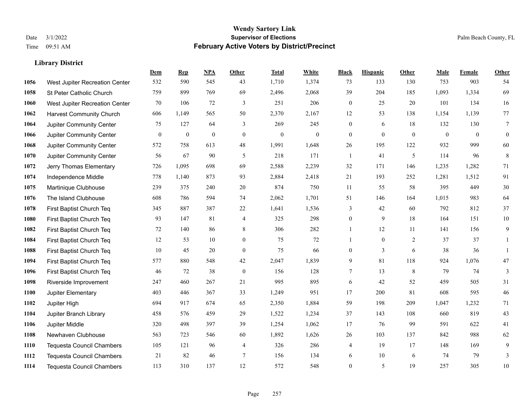|      |                                  | Dem          | <b>Rep</b>       | NPA              | <b>Other</b>     | <b>Total</b> | <b>White</b>     | <b>Black</b>     | <b>Hispanic</b>  | <b>Other</b>   | <b>Male</b>  | <b>Female</b> | Other        |
|------|----------------------------------|--------------|------------------|------------------|------------------|--------------|------------------|------------------|------------------|----------------|--------------|---------------|--------------|
| 1056 | West Jupiter Recreation Center   | 532          | 590              | 545              | 43               | 1,710        | 1,374            | 73               | 133              | 130            | 753          | 903           | 54           |
| 1058 | St Peter Catholic Church         | 759          | 899              | 769              | 69               | 2,496        | 2,068            | 39               | 204              | 185            | 1,093        | 1,334         | 69           |
| 1060 | West Jupiter Recreation Center   | 70           | 106              | 72               | 3                | 251          | 206              | $\mathbf{0}$     | 25               | 20             | 101          | 134           | 16           |
| 1062 | <b>Harvest Community Church</b>  | 606          | 1,149            | 565              | 50               | 2,370        | 2,167            | 12               | 53               | 138            | 1,154        | 1,139         | 77           |
| 1064 | Jupiter Community Center         | 75           | 127              | 64               | 3                | 269          | 245              | $\mathbf{0}$     | 6                | 18             | 132          | 130           | $\tau$       |
| 1066 | Jupiter Community Center         | $\mathbf{0}$ | $\boldsymbol{0}$ | $\boldsymbol{0}$ | $\mathbf{0}$     | $\mathbf{0}$ | $\boldsymbol{0}$ | $\mathbf{0}$     | $\boldsymbol{0}$ | $\overline{0}$ | $\mathbf{0}$ | $\mathbf{0}$  | $\mathbf{0}$ |
| 1068 | Jupiter Community Center         | 572          | 758              | 613              | 48               | 1,991        | 1,648            | 26               | 195              | 122            | 932          | 999           | 60           |
| 1070 | Jupiter Community Center         | 56           | 67               | 90               | 5                | 218          | 171              | $\mathbf{1}$     | 41               | 5              | 114          | 96            | 8            |
| 1072 | Jerry Thomas Elementary          | 726          | 1,095            | 698              | 69               | 2,588        | 2,239            | 32               | 171              | 146            | 1,235        | 1,282         | 71           |
| 1074 | Independence Middle              | 778          | 1,140            | 873              | 93               | 2,884        | 2,418            | 21               | 193              | 252            | 1,281        | 1,512         | 91           |
| 1075 | Martinique Clubhouse             | 239          | 375              | 240              | 20               | 874          | 750              | 11               | 55               | 58             | 395          | 449           | $30\,$       |
| 1076 | The Island Clubhouse             | 608          | 786              | 594              | 74               | 2,062        | 1,701            | 51               | 146              | 164            | 1,015        | 983           | 64           |
| 1078 | First Baptist Church Teq         | 345          | 887              | 387              | 22               | 1,641        | 1,536            | 3                | 42               | 60             | 792          | 812           | 37           |
| 1080 | First Baptist Church Teq         | 93           | 147              | 81               | $\overline{4}$   | 325          | 298              | $\boldsymbol{0}$ | 9                | 18             | 164          | 151           | $10\,$       |
| 1082 | First Baptist Church Teq         | 72           | 140              | 86               | 8                | 306          | 282              |                  | 12               | 11             | 141          | 156           | 9            |
| 1084 | First Baptist Church Teq         | 12           | 53               | 10               | $\overline{0}$   | 75           | 72               | -1               | $\mathbf{0}$     | 2              | 37           | 37            | -1           |
| 1088 | First Baptist Church Teq         | 10           | 45               | 20               | $\boldsymbol{0}$ | 75           | 66               | $\boldsymbol{0}$ | 3                | 6              | 38           | 36            | $\mathbf{1}$ |
| 1094 | First Baptist Church Teq         | 577          | 880              | 548              | 42               | 2,047        | 1,839            | 9                | 81               | 118            | 924          | 1,076         | 47           |
| 1096 | First Baptist Church Teq         | 46           | 72               | 38               | $\mathbf{0}$     | 156          | 128              | 7                | 13               | 8              | 79           | 74            | 3            |
| 1098 | Riverside Improvement            | 247          | 460              | 267              | 21               | 995          | 895              | 6                | 42               | 52             | 459          | 505           | $31\,$       |
| 1100 | Jupiter Elementary               | 403          | 446              | 367              | 33               | 1,249        | 951              | 17               | 200              | 81             | 608          | 595           | 46           |
| 1102 | Jupiter High                     | 694          | 917              | 674              | 65               | 2,350        | 1,884            | 59               | 198              | 209            | 1,047        | 1,232         | 71           |
| 1104 | Jupiter Branch Library           | 458          | 576              | 459              | 29               | 1,522        | 1,234            | 37               | 143              | 108            | 660          | 819           | 43           |
| 1106 | Jupiter Middle                   | 320          | 498              | 397              | 39               | 1,254        | 1,062            | 17               | 76               | 99             | 591          | 622           | 41           |
| 1108 | Newhaven Clubhouse               | 563          | 723              | 546              | 60               | 1,892        | 1,626            | 26               | 103              | 137            | 842          | 988           | 62           |
| 1110 | <b>Tequesta Council Chambers</b> | 105          | 121              | 96               | 4                | 326          | 286              | 4                | 19               | 17             | 148          | 169           | 9            |
| 1112 | <b>Tequesta Council Chambers</b> | 21           | 82               | 46               | $7\phantom{.0}$  | 156          | 134              | 6                | 10               | 6              | 74           | 79            | 3            |
| 1114 | <b>Tequesta Council Chambers</b> | 113          | 310              | 137              | 12               | 572          | 548              | $\mathbf{0}$     | 5                | 19             | 257          | 305           | $10\,$       |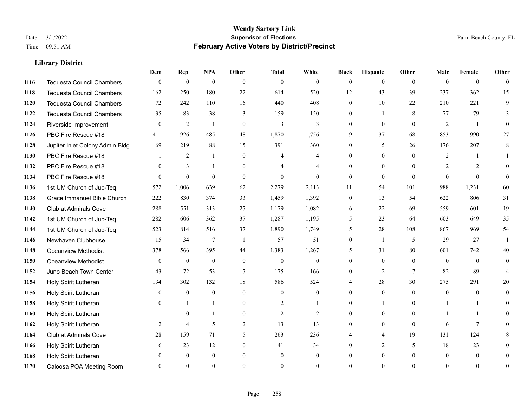|      |                                  | Dem            | <b>Rep</b>     | NPA              | <b>Other</b>   | <b>Total</b>   | <b>White</b>   | <b>Black</b>   | <b>Hispanic</b> | <b>Other</b> | <b>Male</b>    | <b>Female</b>  | <b>Other</b>   |
|------|----------------------------------|----------------|----------------|------------------|----------------|----------------|----------------|----------------|-----------------|--------------|----------------|----------------|----------------|
| 1116 | <b>Tequesta Council Chambers</b> | $\overline{0}$ | $\mathbf{0}$   | $\boldsymbol{0}$ | $\theta$       | $\mathbf{0}$   | $\overline{0}$ | $\overline{0}$ | $\overline{0}$  | $\theta$     | $\theta$       | $\overline{0}$ | $\theta$       |
| 1118 | <b>Tequesta Council Chambers</b> | 162            | 250            | 180              | 22             | 614            | 520            | 12             | 43              | 39           | 237            | 362            | 15             |
| 1120 | <b>Tequesta Council Chambers</b> | 72             | 242            | 110              | 16             | 440            | 408            | $\Omega$       | 10              | 22           | 210            | 221            | 9              |
| 1122 | Tequesta Council Chambers        | 35             | 83             | 38               | 3              | 159            | 150            | $\overline{0}$ | 1               | 8            | 77             | 79             | 3              |
| 1124 | Riverside Improvement            | $\theta$       | 2              | 1                | $\theta$       | 3              | 3              | $\theta$       | $\theta$        | $\theta$     | 2              | $\overline{1}$ | $\theta$       |
| 1126 | PBC Fire Rescue #18              | 411            | 926            | 485              | 48             | 1,870          | 1,756          | 9              | 37              | 68           | 853            | 990            | 27             |
| 1128 | Jupiter Inlet Colony Admin Bldg  | 69             | 219            | 88               | 15             | 391            | 360            | $\overline{0}$ | 5               | 26           | 176            | 207            | $\,8\,$        |
| 1130 | PBC Fire Rescue #18              |                | 2              | $\mathbf{1}$     | $\theta$       | 4              | 4              | $\theta$       | $\Omega$        | $\Omega$     | 2              |                |                |
| 1132 | PBC Fire Rescue #18              | $\Omega$       | 3              | 1                | $\Omega$       |                | 4              | $\Omega$       | $\overline{0}$  | $\Omega$     | $\overline{2}$ | 2              | $\Omega$       |
| 1134 | PBC Fire Rescue #18              | $\Omega$       | $\theta$       | $\theta$         | $\theta$       | $\theta$       | $\Omega$       | $\overline{0}$ | $\overline{0}$  | $\theta$     | $\Omega$       | $\theta$       | $\theta$       |
| 1136 | 1st UM Church of Jup-Teq         | 572            | 1,006          | 639              | 62             | 2,279          | 2,113          | 11             | 54              | 101          | 988            | 1,231          | 60             |
| 1138 | Grace Immanuel Bible Church      | 222            | 830            | 374              | 33             | 1,459          | 1,392          | $\overline{0}$ | 13              | 54           | 622            | 806            | 31             |
| 1140 | Club at Admirals Cove            | 288            | 551            | 313              | 27             | 1,179          | 1,082          | 6              | 22              | 69           | 559            | 601            | 19             |
| 1142 | 1st UM Church of Jup-Teq         | 282            | 606            | 362              | 37             | 1,287          | 1,195          | 5              | 23              | 64           | 603            | 649            | 35             |
| 1144 | 1st UM Church of Jup-Teq         | 523            | 814            | 516              | 37             | 1,890          | 1,749          | 5              | 28              | 108          | 867            | 969            | 54             |
| 1146 | Newhaven Clubhouse               | 15             | 34             | $7\overline{ }$  | -1             | 57             | 51             | $\overline{0}$ | $\mathbf{1}$    | 5            | 29             | 27             | -1             |
| 1148 | <b>Oceanview Methodist</b>       | 378            | 566            | 395              | 44             | 1,383          | 1,267          | 5              | 31              | 80           | 601            | 742            | 40             |
| 1150 | Oceanview Methodist              | $\theta$       | $\mathbf{0}$   | $\boldsymbol{0}$ | $\overline{0}$ | $\mathbf{0}$   | $\mathbf{0}$   | $\overline{0}$ | $\overline{0}$  | $\theta$     | $\theta$       | $\theta$       | $\theta$       |
| 1152 | Juno Beach Town Center           | 43             | 72             | 53               | $\tau$         | 175            | 166            | $\mathbf{0}$   | 2               | $\tau$       | 82             | 89             |                |
| 1154 | Holy Spirit Lutheran             | 134            | 302            | 132              | 18             | 586            | 524            | 4              | 28              | 30           | 275            | 291            | 20             |
| 1156 | Holy Spirit Lutheran             | $\theta$       | $\mathbf{0}$   | $\theta$         | $\Omega$       | $\theta$       | $\theta$       | $\Omega$       | $\Omega$        | $\Omega$     | $\Omega$       | $\Omega$       | $\Omega$       |
| 1158 | Holy Spirit Lutheran             | $\Omega$       | 1              | 1                | $\overline{0}$ | 2              | 1              | $\overline{0}$ | 1               | $\theta$     |                |                | 0              |
| 1160 | Holy Spirit Lutheran             |                | $\mathbf{0}$   | 1                | $\overline{0}$ | $\overline{2}$ | 2              | $\overline{0}$ | $\overline{0}$  | $\Omega$     |                |                | 0              |
| 1162 | Holy Spirit Lutheran             | 2              | $\overline{4}$ | 5                | 2              | 13             | 13             | $\Omega$       | $\Omega$        | $\theta$     | 6              | $\tau$         | 0              |
| 1164 | <b>Club at Admirals Cove</b>     | 28             | 159            | 71               | 5              | 263            | 236            |                | $\overline{4}$  | 19           | 131            | 124            | 8              |
| 1166 | Holy Spirit Lutheran             | 6              | 23             | 12               | $\theta$       | 41             | 34             | 0              | 2               | 5            | 18             | 23             | 0              |
| 1168 | Holy Spirit Lutheran             | $\Omega$       | $\mathbf{0}$   | $\mathbf{0}$     | $\theta$       | $\mathbf{0}$   | $\overline{0}$ | 0              | $\overline{0}$  | $\theta$     | $\theta$       | $\overline{0}$ | 0              |
| 1170 | Caloosa POA Meeting Room         |                | $\Omega$       | $\theta$         | $\Omega$       | $\Omega$       | $\theta$       | $\Omega$       | $\Omega$        | $\Omega$     | $\Omega$       | $\Omega$       | $\overline{0}$ |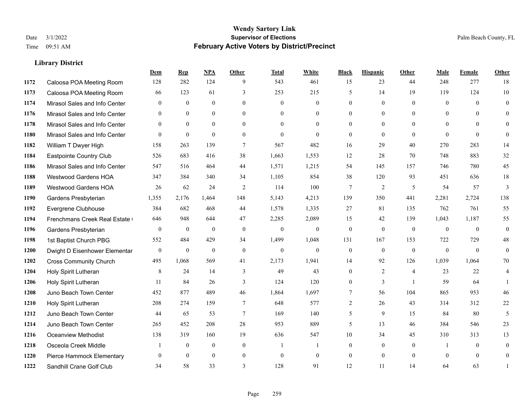|      |                               | Dem              | <b>Rep</b>       | NPA              | Other          | <b>Total</b>     | White          | <b>Black</b>     | <b>Hispanic</b> | <b>Other</b>   | Male           | Female         | Other            |
|------|-------------------------------|------------------|------------------|------------------|----------------|------------------|----------------|------------------|-----------------|----------------|----------------|----------------|------------------|
| 1172 | Caloosa POA Meeting Room      | 128              | 282              | 124              | 9              | 543              | 461            | 15               | 23              | 44             | 248            | 277            | 18               |
| 1173 | Caloosa POA Meeting Room      | 66               | 123              | 61               | 3              | 253              | 215            | 5                | 14              | 19             | 119            | 124            | 10               |
| 1174 | Mirasol Sales and Info Center | $\theta$         | $\theta$         | $\mathbf{0}$     | $\theta$       | $\theta$         | $\overline{0}$ | $\overline{0}$   | $\overline{0}$  | $\theta$       | $\theta$       | $\Omega$       | $\overline{0}$   |
| 1176 | Mirasol Sales and Info Center | $\overline{0}$   | $\mathbf{0}$     | $\mathbf{0}$     | $\theta$       | $\overline{0}$   | $\overline{0}$ | $\overline{0}$   | $\overline{0}$  | $\theta$       | $\overline{0}$ | $\mathbf{0}$   | $\overline{0}$   |
| 1178 | Mirasol Sales and Info Center | $\theta$         | $\theta$         | $\theta$         | $\theta$       | $\Omega$         | $\Omega$       | $\Omega$         | $\Omega$        | $\Omega$       | $\theta$       | $\Omega$       | $\Omega$         |
| 1180 | Mirasol Sales and Info Center | $\theta$         | $\mathbf{0}$     | $\theta$         | $\Omega$       | $\theta$         | $\theta$       | $\Omega$         | $\Omega$        | $\Omega$       | $\theta$       | $\Omega$       | $\Omega$         |
| 1182 | William T Dwyer High          | 158              | 263              | 139              | $\overline{7}$ | 567              | 482            | 16               | 29              | 40             | 270            | 283            | 14               |
| 1184 | Eastpointe Country Club       | 526              | 683              | 416              | 38             | 1,663            | 1,553          | 12               | 28              | 70             | 748            | 883            | 32               |
| 1186 | Mirasol Sales and Info Center | 547              | 516              | 464              | 44             | 1,571            | 1,215          | 54               | 145             | 157            | 746            | 780            | 45               |
| 1188 | Westwood Gardens HOA          | 347              | 384              | 340              | 34             | 1,105            | 854            | 38               | 120             | 93             | 451            | 636            | 18               |
| 1189 | <b>Westwood Gardens HOA</b>   | 26               | 62               | 24               | 2              | 114              | 100            | 7                | $\overline{c}$  | 5              | 54             | 57             | $\mathfrak{Z}$   |
| 1190 | Gardens Presbyterian          | 1,355            | 2,176            | 1,464            | 148            | 5,143            | 4,213          | 139              | 350             | 441            | 2,281          | 2,724          | 138              |
| 1192 | Evergrene Clubhouse           | 384              | 682              | 468              | 44             | 1,578            | 1,335          | 27               | 81              | 135            | 762            | 761            | 55               |
| 1194 | Frenchmans Creek Real Estate  | 646              | 948              | 644              | 47             | 2,285            | 2,089          | 15               | 42              | 139            | 1,043          | 1,187          | 55               |
| 1196 | Gardens Presbyterian          | $\mathbf{0}$     | $\boldsymbol{0}$ | $\mathbf{0}$     | $\mathbf{0}$   | $\mathbf{0}$     | $\overline{0}$ | $\boldsymbol{0}$ | $\mathbf{0}$    | $\mathbf{0}$   | $\mathbf{0}$   | $\overline{0}$ | $\boldsymbol{0}$ |
| 1198 | 1st Baptist Church PBG        | 552              | 484              | 429              | 34             | 1,499            | 1,048          | 131              | 167             | 153            | 722            | 729            | 48               |
| 1200 | Dwight D Eisenhower Elementar | $\boldsymbol{0}$ | $\mathbf{0}$     | $\boldsymbol{0}$ | $\mathbf{0}$   | $\boldsymbol{0}$ | $\overline{0}$ | $\boldsymbol{0}$ | $\mathbf{0}$    | $\mathbf{0}$   | $\overline{0}$ | $\mathbf{0}$   | $\overline{0}$   |
| 1202 | <b>Cross Community Church</b> | 495              | 1,068            | 569              | 41             | 2,173            | 1,941          | 14               | 92              | 126            | 1,039          | 1,064          | 70               |
| 1204 | Holy Spirit Lutheran          | $\,8\,$          | 24               | 14               | 3              | 49               | 43             | $\overline{0}$   | $\overline{c}$  | $\overline{4}$ | 23             | 22             | 4                |
| 1206 | Holy Spirit Lutheran          | 11               | 84               | 26               | 3              | 124              | 120            | $\overline{0}$   | 3               | $\overline{1}$ | 59             | 64             |                  |
| 1208 | Juno Beach Town Center        | 452              | 877              | 489              | 46             | 1,864            | 1,697          | 7                | 56              | 104            | 865            | 953            | 46               |
| 1210 | Holy Spirit Lutheran          | 208              | 274              | 159              | $\overline{7}$ | 648              | 577            | $\overline{2}$   | 26              | 43             | 314            | 312            | 22               |
| 1212 | Juno Beach Town Center        | 44               | 65               | 53               | $\overline{7}$ | 169              | 140            | 5                | 9               | 15             | 84             | 80             | 5                |
| 1214 | Juno Beach Town Center        | 265              | 452              | 208              | 28             | 953              | 889            | 5                | 13              | 46             | 384            | 546            | 23               |
| 1216 | <b>Oceanview Methodist</b>    | 138              | 319              | 160              | 19             | 636              | 547            | 10               | 34              | 45             | 310            | 313            | 13               |
| 1218 | Osceola Creek Middle          |                  | $\mathbf{0}$     | $\theta$         | $\theta$       | $\overline{1}$   | 1              | $\overline{0}$   | $\overline{0}$  | $\theta$       | -1             | $\theta$       | $\mathbf{0}$     |
| 1220 | Pierce Hammock Elementary     | $\mathbf{0}$     | $\mathbf{0}$     | $\mathbf{0}$     | $\mathbf{0}$   | $\theta$         | $\mathbf{0}$   | $\boldsymbol{0}$ | $\overline{0}$  | $\mathbf{0}$   | $\mathbf{0}$   | $\mathbf{0}$   | $\mathbf{0}$     |
| 1222 | Sandhill Crane Golf Club      | 34               | 58               | 33               | 3              | 128              | 91             | 12               | 11              | 14             | 64             | 63             |                  |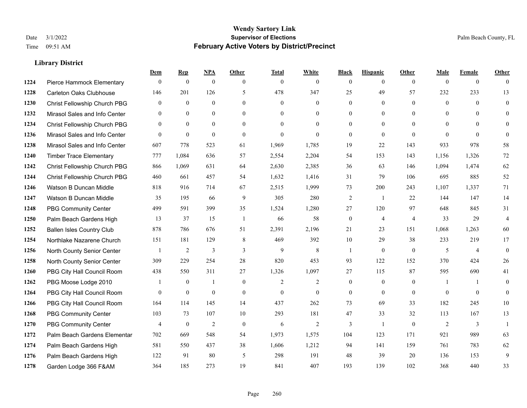|      |                                  | Dem            | <b>Rep</b>     | NPA            | <b>Other</b>   | <b>Total</b>   | <b>White</b>     | <b>Black</b>     | <b>Hispanic</b> | Other          | <b>Male</b>    | <b>Female</b>  | <b>Other</b>   |
|------|----------------------------------|----------------|----------------|----------------|----------------|----------------|------------------|------------------|-----------------|----------------|----------------|----------------|----------------|
| 1224 | Pierce Hammock Elementary        | $\mathbf{0}$   | $\mathbf{0}$   | $\overline{0}$ | $\mathbf{0}$   | $\mathbf{0}$   | $\overline{0}$   | $\mathbf{0}$     | $\overline{0}$  | $\mathbf{0}$   | $\theta$       | $\overline{0}$ | $\theta$       |
| 1228 | <b>Carleton Oaks Clubhouse</b>   | 146            | 201            | 126            | 5              | 478            | 347              | 25               | 49              | 57             | 232            | 233            | 13             |
| 1230 | Christ Fellowship Church PBG     | $\theta$       | $\mathbf{0}$   | $\Omega$       | $\Omega$       | $\theta$       | $\theta$         | $\Omega$         | $\Omega$        | $\Omega$       | $\theta$       | $\Omega$       | $\theta$       |
| 1232 | Mirasol Sales and Info Center    | $\overline{0}$ | $\mathbf{0}$   | $\overline{0}$ | $\mathbf{0}$   | $\mathbf{0}$   | $\boldsymbol{0}$ | $\overline{0}$   | $\overline{0}$  | $\mathbf{0}$   | $\overline{0}$ | $\overline{0}$ | $\theta$       |
| 1234 | Christ Fellowship Church PBG     | $\theta$       | $\theta$       | $\Omega$       | $\theta$       | $\Omega$       | $\theta$         | $\overline{0}$   | $\overline{0}$  | $\theta$       | $\theta$       | $\theta$       | $\theta$       |
| 1236 | Mirasol Sales and Info Center    | $\theta$       | $\mathbf{0}$   | $\overline{0}$ | $\Omega$       | $\mathbf{0}$   | $\Omega$         | $\Omega$         | $\overline{0}$  | $\theta$       | $\Omega$       | $\theta$       | $\theta$       |
| 1238 | Mirasol Sales and Info Center    | 607            | 778            | 523            | 61             | 1,969          | 1,785            | 19               | 22              | 143            | 933            | 978            | 58             |
| 1240 | <b>Timber Trace Elementary</b>   | 777            | 1,084          | 636            | 57             | 2,554          | 2,204            | 54               | 153             | 143            | 1,156          | 1,326          | $72\,$         |
| 1242 | Christ Fellowship Church PBG     | 866            | 1,069          | 631            | 64             | 2,630          | 2,385            | 36               | 63              | 146            | 1,094          | 1,474          | 62             |
| 1244 | Christ Fellowship Church PBG     | 460            | 661            | 457            | 54             | 1,632          | 1,416            | 31               | 79              | 106            | 695            | 885            | 52             |
| 1246 | Watson B Duncan Middle           | 818            | 916            | 714            | 67             | 2,515          | 1,999            | 73               | 200             | 243            | 1,107          | 1,337          | 71             |
| 1247 | Watson B Duncan Middle           | 35             | 195            | 66             | 9              | 305            | 280              | $\overline{c}$   | -1              | 22             | 144            | 147            | 14             |
| 1248 | <b>PBG Community Center</b>      | 499            | 591            | 399            | 35             | 1,524          | 1,280            | 27               | 120             | 97             | 648            | 845            | 31             |
| 1250 | Palm Beach Gardens High          | 13             | 37             | 15             | -1             | 66             | 58               | $\boldsymbol{0}$ | $\overline{4}$  | $\overline{4}$ | 33             | 29             | $\overline{4}$ |
| 1252 | <b>Ballen Isles Country Club</b> | 878            | 786            | 676            | 51             | 2,391          | 2,196            | 21               | 23              | 151            | 1,068          | 1,263          | 60             |
| 1254 | Northlake Nazarene Church        | 151            | 181            | 129            | 8              | 469            | 392              | 10               | 29              | 38             | 233            | 219            | 17             |
| 1256 | North County Senior Center       | $\overline{1}$ | $\overline{2}$ | 3              | $\overline{3}$ | 9              | 8                |                  | $\theta$        | $\mathbf{0}$   | 5              | $\overline{4}$ | $\mathbf{0}$   |
| 1258 | North County Senior Center       | 309            | 229            | 254            | 28             | 820            | 453              | 93               | 122             | 152            | 370            | 424            | 26             |
| 1260 | PBG City Hall Council Room       | 438            | 550            | 311            | 27             | 1,326          | 1,097            | 27               | 115             | 87             | 595            | 690            | 41             |
| 1262 | PBG Moose Lodge 2010             |                | $\mathbf{0}$   | $\mathbf{1}$   | $\mathbf{0}$   | $\overline{2}$ | $\overline{2}$   | $\overline{0}$   | $\overline{0}$  | $\theta$       | -1             | $\overline{1}$ | $\theta$       |
| 1264 | PBG City Hall Council Room       | $\Omega$       | $\mathbf{0}$   | $\mathbf{0}$   | $\theta$       | $\mathbf{0}$   | $\theta$         | $\Omega$         | $\theta$        | $\theta$       | $\Omega$       | $\theta$       | $\theta$       |
| 1266 | PBG City Hall Council Room       | 164            | 114            | 145            | 14             | 437            | 262              | 73               | 69              | 33             | 182            | 245            | 10             |
| 1268 | <b>PBG Community Center</b>      | 103            | 73             | 107            | 10             | 293            | 181              | 47               | 33              | 32             | 113            | 167            | 13             |
| 1270 | <b>PBG Community Center</b>      | $\overline{4}$ | $\mathbf{0}$   | $\overline{c}$ | $\mathbf{0}$   | 6              | 2                | 3                | $\mathbf{1}$    | $\theta$       | 2              | 3              | $\overline{1}$ |
| 1272 | Palm Beach Gardens Elementar     | 702            | 669            | 548            | 54             | 1,973          | 1,575            | 104              | 123             | 171            | 921            | 989            | 63             |
| 1274 | Palm Beach Gardens High          | 581            | 550            | 437            | 38             | 1,606          | 1,212            | 94               | 141             | 159            | 761            | 783            | 62             |
| 1276 | Palm Beach Gardens High          | 122            | 91             | 80             | 5              | 298            | 191              | 48               | 39              | 20             | 136            | 153            | 9              |
| 1278 | Garden Lodge 366 F&AM            | 364            | 185            | 273            | 19             | 841            | 407              | 193              | 139             | 102            | 368            | 440            | 33             |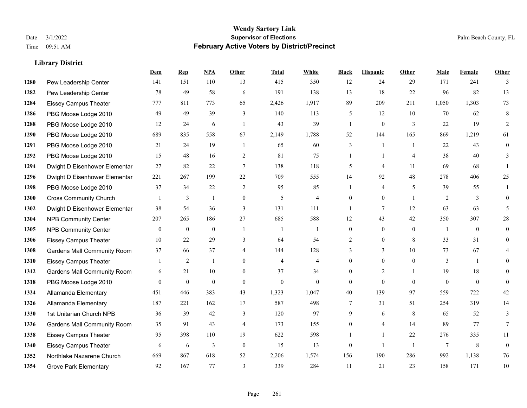|      |                                    | Dem            | <b>Rep</b>     | NPA          | <b>Other</b>     | <b>Total</b>   | <b>White</b>   | <b>Black</b>   | <b>Hispanic</b> | Other          | <b>Male</b>    | <b>Female</b> | <b>Other</b>   |
|------|------------------------------------|----------------|----------------|--------------|------------------|----------------|----------------|----------------|-----------------|----------------|----------------|---------------|----------------|
| 1280 | Pew Leadership Center              | 141            | 151            | 110          | 13               | 415            | 350            | 12             | 24              | 29             | 171            | 241           | 3              |
| 1282 | Pew Leadership Center              | 78             | 49             | 58           | 6                | 191            | 138            | 13             | 18              | 22             | 96             | 82            | 13             |
| 1284 | <b>Eissey Campus Theater</b>       | 777            | 811            | 773          | 65               | 2,426          | 1,917          | 89             | 209             | 211            | 1,050          | 1,303         | 73             |
| 1286 | PBG Moose Lodge 2010               | 49             | 49             | 39           | $\overline{3}$   | 140            | 113            | 5              | 12              | 10             | 70             | 62            | 8              |
| 1288 | PBG Moose Lodge 2010               | 12             | 24             | 6            | $\overline{1}$   | 43             | 39             | 1              | $\overline{0}$  | 3              | 22             | 19            | 2              |
| 1290 | PBG Moose Lodge 2010               | 689            | 835            | 558          | 67               | 2,149          | 1,788          | 52             | 144             | 165            | 869            | 1,219         | 61             |
| 1291 | PBG Moose Lodge 2010               | 21             | 24             | 19           | $\overline{1}$   | 65             | 60             | 3              | 1               | $\overline{1}$ | 22             | 43            | $\mathbf{0}$   |
| 1292 | PBG Moose Lodge 2010               | 15             | 48             | 16           | 2                | 81             | 75             | 1              | $\mathbf{1}$    | $\overline{4}$ | 38             | 40            | 3              |
| 1294 | Dwight D Eisenhower Elementar      | 27             | 82             | 22           | $7\phantom{.0}$  | 138            | 118            | 5              | 4               | 11             | 69             | 68            |                |
| 1296 | Dwight D Eisenhower Elementar      | 221            | 267            | 199          | 22               | 709            | 555            | 14             | 92              | 48             | 278            | 406           | 25             |
| 1298 | PBG Moose Lodge 2010               | 37             | 34             | 22           | 2                | 95             | 85             | $\mathbf{1}$   | 4               | 5              | 39             | 55            | $\mathbf{1}$   |
| 1300 | <b>Cross Community Church</b>      |                | 3              | $\mathbf{1}$ | $\boldsymbol{0}$ | 5              | $\overline{4}$ | $\overline{0}$ | $\overline{0}$  | $\overline{1}$ | 2              | 3             | $\theta$       |
| 1302 | Dwight D Eisenhower Elementar      | 38             | 54             | 36           | 3                | 131            | 111            | $\mathbf{1}$   | 7               | 12             | 63             | 63            | 5              |
| 1304 | <b>NPB Community Center</b>        | 207            | 265            | 186          | 27               | 685            | 588            | 12             | 43              | 42             | 350            | 307           | 28             |
| 1305 | <b>NPB Community Center</b>        | $\overline{0}$ | $\mathbf{0}$   | $\mathbf{0}$ | $\overline{1}$   | $\overline{1}$ | $\mathbf{1}$   | $\overline{0}$ | $\mathbf{0}$    | $\theta$       | $\overline{1}$ | $\theta$      | $\theta$       |
| 1306 | Eissey Campus Theater              | 10             | 22             | 29           | 3                | 64             | 54             | 2              | $\overline{0}$  | 8              | 33             | 31            | $\theta$       |
| 1308 | <b>Gardens Mall Community Room</b> | 37             | 66             | 37           | $\overline{4}$   | 144            | 128            | 3              | 3               | 10             | 73             | 67            | 4              |
| 1310 | <b>Eissey Campus Theater</b>       |                | $\overline{2}$ | 1            | $\theta$         | $\overline{4}$ | $\overline{4}$ | $\overline{0}$ | $\overline{0}$  | $\theta$       | 3              | $\mathbf{1}$  | $\theta$       |
| 1312 | <b>Gardens Mall Community Room</b> | 6              | 21             | 10           | $\theta$         | 37             | 34             | $\Omega$       | $\overline{2}$  | $\mathbf{1}$   | 19             | 18            | $\Omega$       |
| 1318 | PBG Moose Lodge 2010               | $\Omega$       | $\theta$       | $\theta$     | $\theta$         | $\theta$       | $\theta$       | $\theta$       | $\theta$        | $\Omega$       | $\theta$       | $\theta$      | $\Omega$       |
| 1324 | Allamanda Elementary               | 451            | 446            | 383          | 43               | 1,323          | 1,047          | 40             | 139             | 97             | 559            | 722           | $42\,$         |
| 1326 | Allamanda Elementary               | 187            | 221            | 162          | 17               | 587            | 498            | 7              | 31              | 51             | 254            | 319           | 14             |
| 1330 | 1st Unitarian Church NPB           | 36             | 39             | 42           | 3                | 120            | 97             | 9              | 6               | 8              | 65             | 52            | $\mathfrak{Z}$ |
| 1336 | <b>Gardens Mall Community Room</b> | 35             | 91             | 43           | $\overline{4}$   | 173            | 155            | $\Omega$       | 4               | 14             | 89             | 77            | $\tau$         |
| 1338 | <b>Eissey Campus Theater</b>       | 95             | 398            | 110          | 19               | 622            | 598            |                | $\mathbf{1}$    | 22             | 276            | 335           | 11             |
| 1340 | <b>Eissey Campus Theater</b>       | 6              | 6              | 3            | $\mathbf{0}$     | 15             | 13             | $\Omega$       | 1               | $\overline{1}$ | $\tau$         | 8             | $\mathbf{0}$   |
| 1352 | Northlake Nazarene Church          | 669            | 867            | 618          | 52               | 2,206          | 1,574          | 156            | 190             | 286            | 992            | 1,138         | 76             |
| 1354 | <b>Grove Park Elementary</b>       | 92             | 167            | 77           | 3                | 339            | 284            | 11             | 21              | 23             | 158            | 171           | 10             |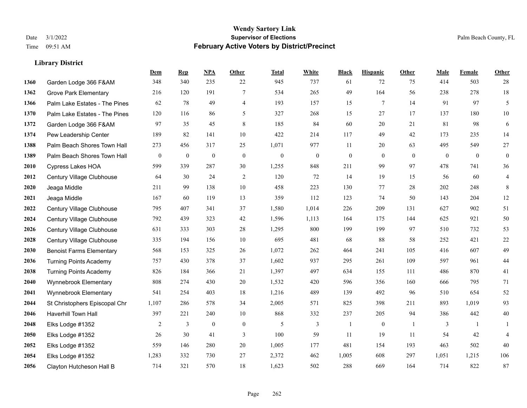**Library District**

#### **Wendy Sartory Link** Date 3/1/2022 **Supervisor of Elections** Palm Beach County, FL Time 09:51 AM **February Active Voters by District/Precinct**

# **Dem Rep NPA Other Total White Black Hispanic Other Male Female Other** Garden Lodge 366 F&AM 348 340 235 22 945 737 61 72 75 414 503 28 Grove Park Elementary 216 120 191 7 534 265 49 164 56 238 278 18 Palm Lake Estates - The Pines 62 78 49 4 193 157 15 7 14 91 97 5 Palm Lake Estates - The Pines 120 116 86 5 327 268 15 27 17 137 180 10 Garden Lodge 366 F&AM 97 35 45 8 185 84 60 20 21 81 98 6 Pew Leadership Center 189 82 141 10 422 214 117 49 42 173 235 14 Palm Beach Shores Town Hall 273 456 317 25 1,071 977 11 20 63 495 549 27 Palm Beach Shores Town Hall 0 0 0 0 0 0 0 0 0 0 0 0 Cypress Lakes HOA 599 339 287 30 1,255 848 211 99 97 478 741 36 Century Village Clubhouse 64 30 24 2 120 72 14 19 15 56 60 4 Jeaga Middle 211 99 138 10 458 223 130 77 28 202 248 8 Jeaga Middle 167 60 119 13 359 112 123 74 50 143 204 12 Century Village Clubhouse 795 407 341 37 1,580 1,014 226 209 131 627 902 51 Century Village Clubhouse 792 439 323 42 1,596 1,113 164 175 144 625 921 50 Century Village Clubhouse 631 333 303 28 1,295 800 199 199 97 510 732 53 Century Village Clubhouse 335 194 156 10 695 481 68 88 58 252 421 22 Benoist Farms Elementary 568 153 325 26 1,072 262 464 241 105 416 607 49 Turning Points Academy 757 430 378 37 1,602 937 295 261 109 597 961 44 Turning Points Academy 826 184 366 21 1,397 497 634 155 111 486 870 41 Wynnebrook Elementary 808 274 430 20 1,532 420 596 356 160 666 795 71 Wynnebrook Elementary 541 254 403 18 1,216 489 139 492 96 510 654 52 St Christophers Episcopal Chr 1,107 286 578 34 2,005 571 825 398 211 893 1,019 93 Haverhill Town Hall 397 221 240 10 868 332 237 205 94 386 442 40 Elks Lodge #1352 2 3 0 0 5 3 1 0 1 3 1 1 Elks Lodge #1352 26 30 41 3 100 59 11 19 11 54 42 4 Elks Lodge #1352 559 146 280 20 1,005 177 481 154 193 463 502 40 Elks Lodge #1352 1,283 332 730 27 2,372 462 1,005 608 297 1,051 1,215 106 Clayton Hutcheson Hall B 714 321 570 18 1,623 502 288 669 164 714 822 87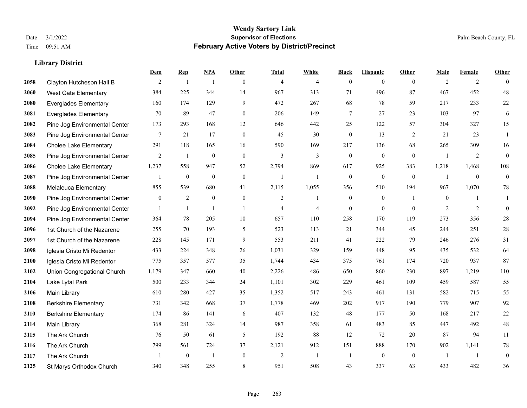**Library District**

#### **Wendy Sartory Link** Date 3/1/2022 **Supervisor of Elections** Palm Beach County, FL Time 09:51 AM **February Active Voters by District/Precinct**

Clayton Hutcheson Hall B 2 1 1 0 4 4 0 0 0 2 2 0

**Dem Rep NPA Other Total White Black Hispanic Other Male Female Other**

# West Gate Elementary 384 225 344 14 967 313 71 496 87 467 452 48 Everglades Elementary 160 174 129 9 472 267 68 78 59 217 233 22 Everglades Elementary 70 89 47 0 206 149 7 27 23 103 97 6 Pine Jog Environmental Center 173 293 168 12 646 442 25 122 57 304 327 15 Pine Jog Environmental Center 7 21 17 0 45 30 0 13 2 21 23 1 Cholee Lake Elementary 291 118 165 16 590 169 217 136 68 265 309 16 Pine Jog Environmental Center 2 1 0 0 3 3 0 0 0 1 2 0 Cholee Lake Elementary 1,237 558 947 52 2,794 869 617 925 383 1,218 1,468 108 Pine Jog Environmental Center  $\begin{array}{cccccccc} 1 & 0 & 0 & 0 & 1 & 1 & 0 & 0 & 0 \end{array}$  Melaleuca Elementary 855 539 680 41 2,115 1,055 356 510 194 967 1,070 78 Pine Jog Environmental Center  $\begin{array}{cccccccc} 0 & 2 & 0 & 0 & 2 & 1 & 0 & 1 & 0 & 1 \end{array}$ **2092** Pine Jog Environmental Center  $\begin{array}{ccccccccccccc} & 1 & 1 & 1 & 1 & 4 & 4 & 0 & 0 & 0 & 2 & 2 & 0 \end{array}$  Pine Jog Environmental Center 364 78 205 10 657 110 258 170 119 273 356 28 1st Church of the Nazarene 255 70 193 5 523 113 21 344 45 244 251 28 1st Church of the Nazarene 228 145 171 9 553 211 41 222 79 246 276 31 Iglesia Cristo Mi Redentor 433 224 348 26 1,031 329 159 448 95 435 532 64 Iglesia Cristo Mi Redentor 775 357 577 35 1,744 434 375 761 174 720 937 87 Union Congregational Church 1,179 347 660 40 2,226 486 650 860 230 897 1,219 110 Lake Lytal Park 500 233 344 24 1,101 302 229 461 109 459 587 55 Main Library 610 280 427 35 1,352 517 243 461 131 582 715 55 Berkshire Elementary 731 342 668 37 1,778 469 202 917 190 779 907 92 Berkshire Elementary 174 86 141 6 407 132 48 177 50 168 217 22 Main Library 368 281 324 14 987 358 61 483 85 447 492 48 The Ark Church 76 50 61 5 192 88 12 72 20 87 94 11

 The Ark Church 799 561 724 37 2,121 912 151 888 170 902 1,141 78 The Ark Church 1 0 1 0 2 1 1 0 0 1 1 0 St Marys Orthodox Church 340 348 255 8 951 508 43 337 63 433 482 36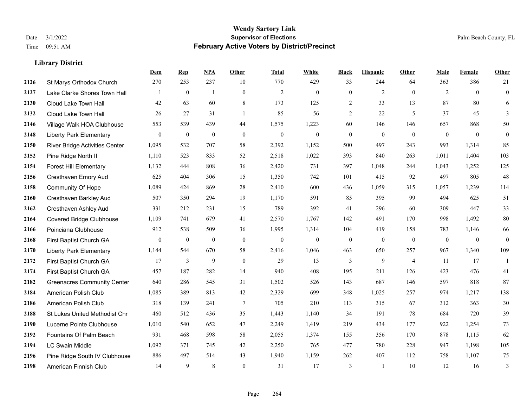|      |                                       | Dem              | <b>Rep</b>       | NPA              | <b>Other</b>     | <b>Total</b>     | <b>White</b>     | <b>Black</b>     | <b>Hispanic</b>  | <b>Other</b>   | <b>Male</b>    | Female         | Other            |
|------|---------------------------------------|------------------|------------------|------------------|------------------|------------------|------------------|------------------|------------------|----------------|----------------|----------------|------------------|
| 2126 | St Marys Orthodox Church              | 270              | 253              | 237              | 10               | 770              | 429              | 33               | 244              | 64             | 363            | 386            | 21               |
| 2127 | Lake Clarke Shores Town Hall          |                  | $\mathbf{0}$     | $\overline{1}$   | $\mathbf{0}$     | $\overline{2}$   | $\mathbf{0}$     | $\mathbf{0}$     | $\overline{c}$   | $\theta$       | 2              | $\theta$       | $\boldsymbol{0}$ |
| 2130 | Cloud Lake Town Hall                  | 42               | 63               | 60               | 8                | 173              | 125              | 2                | 33               | 13             | 87             | 80             | 6                |
| 2132 | Cloud Lake Town Hall                  | 26               | 27               | 31               | -1               | 85               | 56               | $\overline{c}$   | 22               | 5              | 37             | 45             | 3                |
| 2146 | Village Walk HOA Clubhouse            | 553              | 539              | 439              | 44               | 1,575            | 1,223            | 60               | 146              | 146            | 657            | 868            | 50               |
| 2148 | <b>Liberty Park Elementary</b>        | $\boldsymbol{0}$ | $\boldsymbol{0}$ | $\boldsymbol{0}$ | $\boldsymbol{0}$ | $\boldsymbol{0}$ | $\boldsymbol{0}$ | $\boldsymbol{0}$ | $\boldsymbol{0}$ | $\mathbf{0}$   | $\mathbf{0}$   | $\mathbf{0}$   | $\boldsymbol{0}$ |
| 2150 | <b>River Bridge Activities Center</b> | 1,095            | 532              | 707              | 58               | 2,392            | 1,152            | 500              | 497              | 243            | 993            | 1,314          | 85               |
| 2152 | Pine Ridge North II                   | 1,110            | 523              | 833              | 52               | 2,518            | 1,022            | 393              | 840              | 263            | 1,011          | 1,404          | 103              |
| 2154 | <b>Forest Hill Elementary</b>         | 1,132            | 444              | 808              | 36               | 2,420            | 731              | 397              | 1,048            | 244            | 1,043          | 1,252          | 125              |
| 2156 | Cresthaven Emory Aud                  | 625              | 404              | 306              | 15               | 1,350            | 742              | 101              | 415              | 92             | 497            | 805            | 48               |
| 2158 | Community Of Hope                     | 1,089            | 424              | 869              | 28               | 2,410            | 600              | 436              | 1,059            | 315            | 1,057          | 1,239          | 114              |
| 2160 | Cresthaven Barkley Aud                | 507              | 350              | 294              | 19               | 1,170            | 591              | 85               | 395              | 99             | 494            | 625            | 51               |
| 2162 | Cresthaven Ashley Aud                 | 331              | 212              | 231              | 15               | 789              | 392              | 41               | 296              | 60             | 309            | 447            | 33               |
| 2164 | Covered Bridge Clubhouse              | 1,109            | 741              | 679              | 41               | 2,570            | 1,767            | 142              | 491              | 170            | 998            | 1,492          | $80\,$           |
| 2166 | Poinciana Clubhouse                   | 912              | 538              | 509              | 36               | 1,995            | 1,314            | 104              | 419              | 158            | 783            | 1,146          | 66               |
| 2168 | First Baptist Church GA               | $\overline{0}$   | $\boldsymbol{0}$ | $\mathbf{0}$     | $\mathbf{0}$     | $\mathbf{0}$     | $\mathbf{0}$     | $\overline{0}$   | $\overline{0}$   | $\mathbf{0}$   | $\overline{0}$ | $\overline{0}$ | $\overline{0}$   |
| 2170 | <b>Liberty Park Elementary</b>        | 1,144            | 544              | 670              | 58               | 2,416            | 1,046            | 463              | 650              | 257            | 967            | 1,340          | 109              |
| 2172 | First Baptist Church GA               | 17               | 3                | 9                | $\theta$         | 29               | 13               | 3                | 9                | $\overline{4}$ | 11             | 17             |                  |
| 2174 | First Baptist Church GA               | 457              | 187              | 282              | 14               | 940              | 408              | 195              | 211              | 126            | 423            | 476            | 41               |
| 2182 | <b>Greenacres Community Center</b>    | 640              | 286              | 545              | 31               | 1,502            | 526              | 143              | 687              | 146            | 597            | 818            | 87               |
| 2184 | American Polish Club                  | 1,085            | 389              | 813              | 42               | 2,329            | 699              | 348              | 1,025            | 257            | 974            | 1,217          | 138              |
| 2186 | American Polish Club                  | 318              | 139              | 241              | $\overline{7}$   | 705              | 210              | 113              | 315              | 67             | 312            | 363            | 30               |
| 2188 | St Lukes United Methodist Chr         | 460              | 512              | 436              | 35               | 1,443            | 1,140            | 34               | 191              | 78             | 684            | 720            | 39               |
| 2190 | Lucerne Pointe Clubhouse              | 1,010            | 540              | 652              | 47               | 2,249            | 1,419            | 219              | 434              | 177            | 922            | 1,254          | 73               |
| 2192 | Fountains Of Palm Beach               | 931              | 468              | 598              | 58               | 2,055            | 1,374            | 155              | 356              | 170            | 878            | 1,115          | 62               |
| 2194 | <b>LC Swain Middle</b>                | 1,092            | 371              | 745              | 42               | 2,250            | 765              | 477              | 780              | 228            | 947            | 1,198          | 105              |
| 2196 | Pine Ridge South IV Clubhouse         | 886              | 497              | 514              | 43               | 1,940            | 1,159            | 262              | 407              | 112            | 758            | 1,107          | 75               |
| 2198 | American Finnish Club                 | 14               | 9                | 8                | $\Omega$         | 31               | 17               | 3                | 1                | 10             | 12             | 16             | $\mathfrak{Z}$   |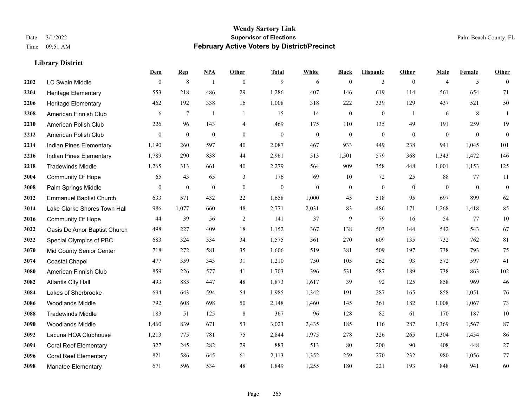|      |                                | Dem          | <b>Rep</b>       | NPA              | <b>Other</b>   | <b>Total</b>     | <b>White</b> | <b>Black</b>     | <b>Hispanic</b> | <b>Other</b>   | <b>Male</b>    | <b>Female</b> | <b>Other</b>     |
|------|--------------------------------|--------------|------------------|------------------|----------------|------------------|--------------|------------------|-----------------|----------------|----------------|---------------|------------------|
| 2202 | <b>LC Swain Middle</b>         | $\mathbf{0}$ | $\,$ 8 $\,$      | $\overline{1}$   | $\theta$       | 9                | 6            | $\mathbf{0}$     | 3               | $\overline{0}$ | $\overline{4}$ | 5             | $\theta$         |
| 2204 | <b>Heritage Elementary</b>     | 553          | 218              | 486              | 29             | 1,286            | 407          | 146              | 619             | 114            | 561            | 654           | 71               |
| 2206 | <b>Heritage Elementary</b>     | 462          | 192              | 338              | 16             | 1,008            | 318          | 222              | 339             | 129            | 437            | 521           | 50               |
| 2208 | American Finnish Club          | 6            | $7\phantom{.0}$  | -1               | $\overline{1}$ | 15               | 14           | $\boldsymbol{0}$ | $\bf{0}$        | -1             | 6              | 8             | 1                |
| 2210 | American Polish Club           | 226          | 96               | 143              | $\overline{4}$ | 469              | 175          | 110              | 135             | 49             | 191            | 259           | 19               |
| 2212 | American Polish Club           | $\mathbf{0}$ | $\boldsymbol{0}$ | $\boldsymbol{0}$ | $\bf{0}$       | $\boldsymbol{0}$ | $\mathbf{0}$ | $\boldsymbol{0}$ | $\bf{0}$        | $\mathbf{0}$   | $\mathbf{0}$   | $\mathbf{0}$  | $\boldsymbol{0}$ |
| 2214 | Indian Pines Elementary        | 1,190        | 260              | 597              | 40             | 2,087            | 467          | 933              | 449             | 238            | 941            | 1,045         | 101              |
| 2216 | Indian Pines Elementary        | 1,789        | 290              | 838              | 44             | 2,961            | 513          | 1,501            | 579             | 368            | 1,343          | 1,472         | 146              |
| 2218 | <b>Tradewinds Middle</b>       | 1,265        | 313              | 661              | $40\,$         | 2,279            | 564          | 909              | 358             | 448            | 1,001          | 1,153         | 125              |
| 3004 | <b>Community Of Hope</b>       | 65           | 43               | 65               | 3              | 176              | 69           | 10               | 72              | 25             | 88             | 77            | 11               |
| 3008 | Palm Springs Middle            | $\mathbf{0}$ | $\mathbf{0}$     | $\mathbf{0}$     | $\theta$       | $\mathbf{0}$     | $\mathbf{0}$ | $\mathbf{0}$     | $\mathbf{0}$    | $\theta$       | $\theta$       | $\theta$      | $\boldsymbol{0}$ |
| 3012 | <b>Emmanuel Baptist Church</b> | 633          | 571              | 432              | 22             | 1,658            | 1,000        | 45               | 518             | 95             | 697            | 899           | 62               |
| 3014 | Lake Clarke Shores Town Hall   | 986          | 1,077            | 660              | 48             | 2,771            | 2,031        | 83               | 486             | 171            | 1,268          | 1,418         | 85               |
| 3016 | Community Of Hope              | 44           | 39               | 56               | $\sqrt{2}$     | 141              | 37           | 9                | 79              | 16             | 54             | 77            | $10\,$           |
| 3022 | Oasis De Amor Baptist Church   | 498          | 227              | 409              | 18             | 1,152            | 367          | 138              | 503             | 144            | 542            | 543           | 67               |
| 3032 | Special Olympics of PBC        | 683          | 324              | 534              | 34             | 1,575            | 561          | 270              | 609             | 135            | 732            | 762           | 81               |
| 3070 | Mid County Senior Center       | 718          | 272              | 581              | 35             | 1,606            | 519          | 381              | 509             | 197            | 738            | 793           | $75\,$           |
| 3074 | <b>Coastal Chapel</b>          | 477          | 359              | 343              | 31             | 1,210            | 750          | 105              | 262             | 93             | 572            | 597           | 41               |
| 3080 | American Finnish Club          | 859          | 226              | 577              | 41             | 1,703            | 396          | 531              | 587             | 189            | 738            | 863           | 102              |
| 3082 | <b>Atlantis City Hall</b>      | 493          | 885              | 447              | 48             | 1,873            | 1,617        | 39               | 92              | 125            | 858            | 969           | $46\,$           |
| 3084 | Lakes of Sherbrooke            | 694          | 643              | 594              | 54             | 1,985            | 1,342        | 191              | 287             | 165            | 858            | 1,051         | 76               |
| 3086 | <b>Woodlands Middle</b>        | 792          | 608              | 698              | 50             | 2,148            | 1,460        | 145              | 361             | 182            | 1,008          | 1,067         | 73               |
| 3088 | <b>Tradewinds Middle</b>       | 183          | 51               | 125              | 8              | 367              | 96           | 128              | 82              | 61             | 170            | 187           | $10\,$           |
| 3090 | <b>Woodlands Middle</b>        | 1,460        | 839              | 671              | 53             | 3,023            | 2,435        | 185              | 116             | 287            | 1,369          | 1,567         | 87               |
| 3092 | Lacuna HOA Clubhouse           | 1,213        | 775              | 781              | 75             | 2,844            | 1,975        | 278              | 326             | 265            | 1,304          | 1,454         | 86               |
| 3094 | <b>Coral Reef Elementary</b>   | 327          | 245              | 282              | 29             | 883              | 513          | 80               | 200             | 90             | 408            | 448           | $27\,$           |
| 3096 | <b>Coral Reef Elementary</b>   | 821          | 586              | 645              | 61             | 2,113            | 1,352        | 259              | 270             | 232            | 980            | 1,056         | $77\,$           |
| 3098 | <b>Manatee Elementary</b>      | 671          | 596              | 534              | 48             | 1,849            | 1,255        | 180              | 221             | 193            | 848            | 941           | 60               |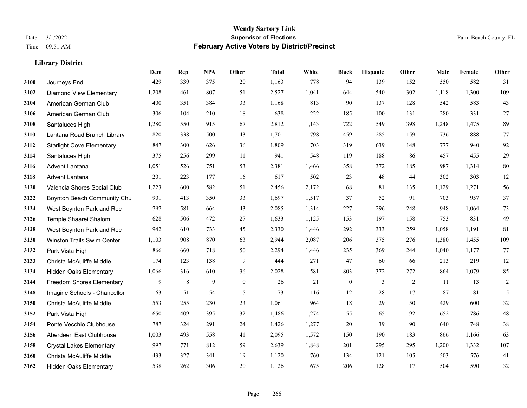|      |                                  | Dem   | <b>Rep</b> | NPA | <b>Other</b>     | <b>Total</b> | <b>White</b> | <b>Black</b>     | <b>Hispanic</b> | Other | <b>Male</b> | <b>Female</b> | <b>Other</b> |
|------|----------------------------------|-------|------------|-----|------------------|--------------|--------------|------------------|-----------------|-------|-------------|---------------|--------------|
| 3100 | Journeys End                     | 429   | 339        | 375 | 20               | 1,163        | 778          | 94               | 139             | 152   | 550         | 582           | 31           |
| 3102 | <b>Diamond View Elementary</b>   | 1,208 | 461        | 807 | 51               | 2,527        | 1,041        | 644              | 540             | 302   | 1,118       | 1,300         | 109          |
| 3104 | American German Club             | 400   | 351        | 384 | 33               | 1,168        | 813          | 90               | 137             | 128   | 542         | 583           | 43           |
| 3106 | American German Club             | 306   | 104        | 210 | 18               | 638          | 222          | 185              | 100             | 131   | 280         | 331           | $27\,$       |
| 3108 | Santaluces High                  | 1,280 | 550        | 915 | 67               | 2,812        | 1,143        | 722              | 549             | 398   | 1,248       | 1.475         | 89           |
| 3110 | Lantana Road Branch Library      | 820   | 338        | 500 | 43               | 1,701        | 798          | 459              | 285             | 159   | 736         | 888           | 77           |
| 3112 | <b>Starlight Cove Elementary</b> | 847   | 300        | 626 | 36               | 1,809        | 703          | 319              | 639             | 148   | 777         | 940           | 92           |
| 3114 | Santaluces High                  | 375   | 256        | 299 | 11               | 941          | 548          | 119              | 188             | 86    | 457         | 455           | 29           |
| 3116 | <b>Advent Lantana</b>            | 1,051 | 526        | 751 | 53               | 2,381        | 1,466        | 358              | 372             | 185   | 987         | 1,314         | 80           |
| 3118 | <b>Advent Lantana</b>            | 201   | 223        | 177 | 16               | 617          | 502          | 23               | 48              | 44    | 302         | 303           | 12           |
| 3120 | Valencia Shores Social Club      | 1,223 | 600        | 582 | 51               | 2,456        | 2,172        | 68               | 81              | 135   | 1,129       | 1,271         | 56           |
| 3122 | Boynton Beach Community Chur     | 901   | 413        | 350 | 33               | 1,697        | 1,517        | 37               | 52              | 91    | 703         | 957           | 37           |
| 3124 | West Boynton Park and Rec        | 797   | 581        | 664 | 43               | 2,085        | 1,314        | 227              | 296             | 248   | 948         | 1,064         | 73           |
| 3126 | Temple Shaarei Shalom            | 628   | 506        | 472 | 27               | 1,633        | 1,125        | 153              | 197             | 158   | 753         | 831           | 49           |
| 3128 | West Boynton Park and Rec        | 942   | 610        | 733 | 45               | 2,330        | 1,446        | 292              | 333             | 259   | 1,058       | 1,191         | 81           |
| 3130 | Winston Trails Swim Center       | 1,103 | 908        | 870 | 63               | 2,944        | 2,087        | 206              | 375             | 276   | 1,380       | 1,455         | 109          |
| 3132 | Park Vista High                  | 866   | 660        | 718 | 50               | 2,294        | 1,446        | 235              | 369             | 244   | 1,040       | 1,177         | 77           |
| 3133 | Christa McAuliffe Middle         | 174   | 123        | 138 | 9                | 444          | 271          | 47               | 60              | 66    | 213         | 219           | 12           |
| 3134 | Hidden Oaks Elementary           | 1,066 | 316        | 610 | 36               | 2,028        | 581          | 803              | 372             | 272   | 864         | 1,079         | 85           |
| 3144 | <b>Freedom Shores Elementary</b> | 9     | 8          | 9   | $\boldsymbol{0}$ | 26           | 21           | $\boldsymbol{0}$ | 3               | 2     | 11          | 13            | 2            |
| 3148 | Imagine Schools - Chancellor     | 63    | 51         | 54  | 5                | 173          | 116          | 12               | 28              | 17    | 87          | 81            | 5            |
| 3150 | Christa McAuliffe Middle         | 553   | 255        | 230 | 23               | 1,061        | 964          | $18\,$           | 29              | 50    | 429         | 600           | 32           |
| 3152 | Park Vista High                  | 650   | 409        | 395 | 32               | 1,486        | 1,274        | 55               | 65              | 92    | 652         | 786           | $48\,$       |
| 3154 | Ponte Vecchio Clubhouse          | 787   | 324        | 291 | 24               | 1,426        | 1,277        | 20               | 39              | 90    | 640         | 748           | 38           |
| 3156 | Aberdeen East Clubhouse          | 1,003 | 493        | 558 | 41               | 2,095        | 1,572        | 150              | 190             | 183   | 866         | 1,166         | 63           |
| 3158 | <b>Crystal Lakes Elementary</b>  | 997   | 771        | 812 | 59               | 2,639        | 1,848        | 201              | 295             | 295   | 1,200       | 1,332         | 107          |
| 3160 | Christa McAuliffe Middle         | 433   | 327        | 341 | 19               | 1,120        | 760          | 134              | 121             | 105   | 503         | 576           | 41           |
| 3162 | <b>Hidden Oaks Elementary</b>    | 538   | 262        | 306 | 20               | 1,126        | 675          | 206              | 128             | 117   | 504         | 590           | 32           |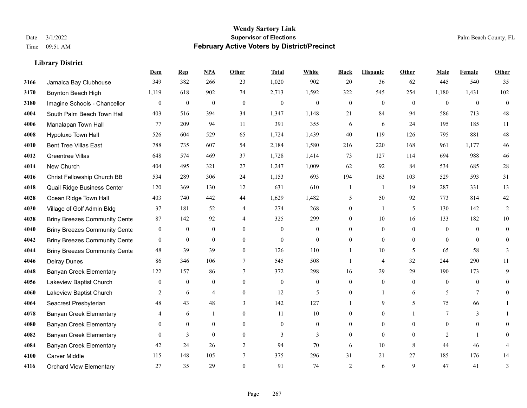|      |                                      | Dem            | <b>Rep</b>       | NPA              | <b>Other</b>   | <b>Total</b>     | <b>White</b>     | <b>Black</b>     | <b>Hispanic</b>  | <b>Other</b>   | <b>Male</b>    | <b>Female</b>  | <b>Other</b>     |
|------|--------------------------------------|----------------|------------------|------------------|----------------|------------------|------------------|------------------|------------------|----------------|----------------|----------------|------------------|
| 3166 | Jamaica Bay Clubhouse                | 349            | 382              | 266              | 23             | 1,020            | 902              | 20               | 36               | 62             | 445            | 540            | 35               |
| 3170 | Boynton Beach High                   | 1,119          | 618              | 902              | 74             | 2,713            | 1,592            | 322              | 545              | 254            | 1,180          | 1,431          | 102              |
| 3180 | Imagine Schools - Chancellor         | $\mathbf{0}$   | $\boldsymbol{0}$ | $\boldsymbol{0}$ | $\mathbf{0}$   | $\boldsymbol{0}$ | $\boldsymbol{0}$ | $\boldsymbol{0}$ | $\boldsymbol{0}$ | $\theta$       | $\mathbf{0}$   | $\overline{0}$ | $\boldsymbol{0}$ |
| 4004 | South Palm Beach Town Hall           | 403            | 516              | 394              | 34             | 1,347            | 1,148            | 21               | 84               | 94             | 586            | 713            | 48               |
| 4006 | Manalapan Town Hall                  | 77             | 209              | 94               | 11             | 391              | 355              | 6                | 6                | 24             | 195            | 185            | 11               |
| 4008 | Hypoluxo Town Hall                   | 526            | 604              | 529              | 65             | 1,724            | 1,439            | 40               | 119              | 126            | 795            | 881            | $48\,$           |
| 4010 | <b>Bent Tree Villas East</b>         | 788            | 735              | 607              | 54             | 2,184            | 1,580            | 216              | 220              | 168            | 961            | 1,177          | 46               |
| 4012 | <b>Greentree Villas</b>              | 648            | 574              | 469              | 37             | 1,728            | 1,414            | 73               | 127              | 114            | 694            | 988            | 46               |
| 4014 | New Church                           | 404            | 495              | 321              | 27             | 1,247            | 1,009            | 62               | 92               | 84             | 534            | 685            | $28\,$           |
| 4016 | Christ Fellowship Church BB          | 534            | 289              | 306              | 24             | 1,153            | 693              | 194              | 163              | 103            | 529            | 593            | 31               |
| 4018 | Quail Ridge Business Center          | 120            | 369              | 130              | 12             | 631              | 610              | $\mathbf{1}$     | $\overline{1}$   | 19             | 287            | 331            | 13               |
| 4028 | Ocean Ridge Town Hall                | 403            | 740              | 442              | 44             | 1,629            | 1,482            | 5                | 50               | 92             | 773            | 814            | 42               |
| 4030 | Village of Golf Admin Bldg           | 37             | 181              | 52               | 4              | 274              | 268              | $\boldsymbol{0}$ | $\mathbf{1}$     | 5              | 130            | 142            | 2                |
| 4038 | <b>Briny Breezes Community Cente</b> | 87             | 142              | 92               | $\overline{4}$ | 325              | 299              | $\boldsymbol{0}$ | 10               | 16             | 133            | 182            | 10               |
| 4040 | <b>Briny Breezes Community Cente</b> | $\bf{0}$       | $\mathbf{0}$     | $\mathbf{0}$     | $\Omega$       | $\theta$         | $\mathbf{0}$     | $\overline{0}$   | $\overline{0}$   | $\Omega$       | $\theta$       | $\Omega$       | $\overline{0}$   |
| 4042 | <b>Briny Breezes Community Cente</b> | $\mathbf{0}$   | $\mathbf{0}$     | $\mathbf{0}$     | $\theta$       | $\mathbf{0}$     | $\mathbf{0}$     | $\overline{0}$   | $\overline{0}$   | $\theta$       | $\mathbf{0}$   | $\theta$       | $\overline{0}$   |
| 4044 | <b>Briny Breezes Community Cente</b> | 48             | 39               | 39               | $\overline{0}$ | 126              | 110              | $\mathbf{1}$     | 10               | 5              | 65             | 58             | 3                |
| 4046 | <b>Delray Dunes</b>                  | 86             | 346              | 106              | 7              | 545              | 508              | $\mathbf{1}$     | 4                | 32             | 244            | 290            | 11               |
| 4048 | <b>Banyan Creek Elementary</b>       | 122            | 157              | 86               | 7              | 372              | 298              | 16               | 29               | 29             | 190            | 173            | 9                |
| 4056 | Lakeview Baptist Church              | $\overline{0}$ | $\mathbf{0}$     | $\mathbf{0}$     | $\mathbf{0}$   | $\theta$         | $\boldsymbol{0}$ | $\overline{0}$   | $\overline{0}$   | $\overline{0}$ | $\mathbf{0}$   | $\overline{0}$ | $\overline{0}$   |
| 4060 | Lakeview Baptist Church              | 2              | 6                | $\overline{4}$   | $\Omega$       | 12               | 5                | $\theta$         | $\mathbf{1}$     | 6              | 5              | $\tau$         | $\overline{0}$   |
| 4064 | Seacrest Presbyterian                | 48             | 43               | 48               | 3              | 142              | 127              |                  | 9                | 5              | 75             | 66             |                  |
| 4078 | <b>Banyan Creek Elementary</b>       | 4              | 6                |                  | $\mathbf{0}$   | 11               | 10               | $\overline{0}$   | $\overline{0}$   |                | 7              | 3              |                  |
| 4080 | <b>Banyan Creek Elementary</b>       | $\mathbf{0}$   | $\mathbf{0}$     | $\mathbf{0}$     | $\overline{0}$ | $\mathbf{0}$     | $\boldsymbol{0}$ | $\overline{0}$   | $\overline{0}$   | $\mathbf{0}$   | $\overline{0}$ | $\overline{0}$ | $\theta$         |
| 4082 | <b>Banyan Creek Elementary</b>       | $\Omega$       | 3                | $\theta$         | $\theta$       | 3                | 3                | $\overline{0}$   | $\theta$         | $\Omega$       | 2              | $\mathbf{1}$   | $\Omega$         |
| 4084 | <b>Banyan Creek Elementary</b>       | 42             | 24               | 26               | $\overline{2}$ | 94               | 70               | 6                | 10               | 8              | 44             | 46             | 4                |
| 4100 | <b>Carver Middle</b>                 | 115            | 148              | 105              | 7              | 375              | 296              | 31               | 21               | 27             | 185            | 176            | 14               |
| 4116 | <b>Orchard View Elementary</b>       | 27             | 35               | 29               | $\theta$       | 91               | 74               | $\overline{2}$   | 6                | $\mathbf Q$    | 47             | 41             | 3                |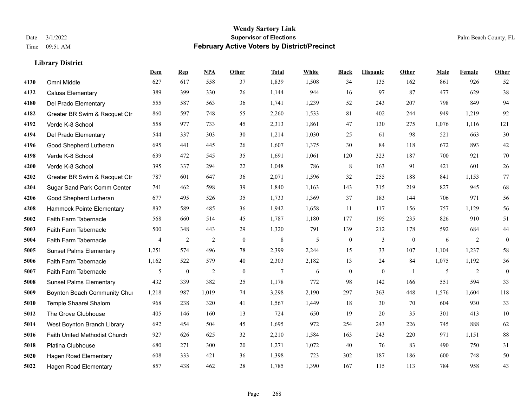|      |                                | Dem            | <b>Rep</b>       | NPA            | <b>Other</b> | <b>Total</b> | <b>White</b> | <b>Black</b>     | <b>Hispanic</b>  | <b>Other</b>   | <b>Male</b> | <b>Female</b> | Other            |
|------|--------------------------------|----------------|------------------|----------------|--------------|--------------|--------------|------------------|------------------|----------------|-------------|---------------|------------------|
| 4130 | Omni Middle                    | 627            | 617              | 558            | 37           | 1,839        | 1,508        | 34               | 135              | 162            | 861         | 926           | 52               |
| 4132 | Calusa Elementary              | 389            | 399              | 330            | 26           | 1,144        | 944          | 16               | 97               | 87             | 477         | 629           | 38               |
| 4180 | Del Prado Elementary           | 555            | 587              | 563            | 36           | 1,741        | 1,239        | 52               | 243              | 207            | 798         | 849           | 94               |
| 4182 | Greater BR Swim & Racquet Ctr  | 860            | 597              | 748            | 55           | 2,260        | 1,533        | $81\,$           | 402              | 244            | 949         | 1,219         | 92               |
| 4192 | Verde K-8 School               | 558            | 977              | 733            | 45           | 2,313        | 1,861        | 47               | 130              | 275            | 1,076       | 1,116         | 121              |
| 4194 | Del Prado Elementary           | 544            | 337              | 303            | 30           | 1,214        | 1,030        | 25               | 61               | 98             | 521         | 663           | 30               |
| 4196 | Good Shepherd Lutheran         | 695            | 441              | 445            | 26           | 1,607        | 1,375        | $30\,$           | 84               | 118            | 672         | 893           | $42\,$           |
| 4198 | Verde K-8 School               | 639            | 472              | 545            | 35           | 1,691        | 1,061        | 120              | 323              | 187            | 700         | 921           | $70\,$           |
| 4200 | Verde K-8 School               | 395            | 337              | 294            | 22           | 1,048        | 786          | $\,$ 8 $\,$      | 163              | 91             | 421         | 601           | $26\,$           |
| 4202 | Greater BR Swim & Racquet Ctr  | 787            | 601              | 647            | 36           | 2,071        | 1,596        | 32               | 255              | 188            | 841         | 1,153         | 77               |
| 4204 | Sugar Sand Park Comm Center    | 741            | 462              | 598            | 39           | 1,840        | 1,163        | 143              | 315              | 219            | 827         | 945           | 68               |
| 4206 | Good Shepherd Lutheran         | 677            | 495              | 526            | 35           | 1,733        | 1,369        | 37               | 183              | 144            | 706         | 971           | 56               |
| 4208 | Hammock Pointe Elementary      | 832            | 589              | 485            | 36           | 1,942        | 1,658        | 11               | 117              | 156            | 757         | 1,129         | 56               |
| 5002 | Faith Farm Tabernacle          | 568            | 660              | 514            | 45           | 1,787        | 1,180        | 177              | 195              | 235            | 826         | 910           | 51               |
| 5003 | Faith Farm Tabernacle          | 500            | 348              | 443            | 29           | 1,320        | 791          | 139              | 212              | 178            | 592         | 684           | $44\,$           |
| 5004 | Faith Farm Tabernacle          | $\overline{4}$ | 2                | $\overline{2}$ | $\mathbf{0}$ | $\,8\,$      | 5            | $\boldsymbol{0}$ | 3                | $\mathbf{0}$   | 6           | 2             | $\boldsymbol{0}$ |
| 5005 | <b>Sunset Palms Elementary</b> | 1,251          | 574              | 496            | 78           | 2,399        | 2,244        | 15               | 33               | 107            | 1,104       | 1,237         | 58               |
| 5006 | Faith Farm Tabernacle          | 1,162          | 522              | 579            | 40           | 2,303        | 2,182        | 13               | 24               | 84             | 1,075       | 1,192         | $36\,$           |
| 5007 | Faith Farm Tabernacle          | 5              | $\boldsymbol{0}$ | $\overline{2}$ | $\mathbf{0}$ | $\tau$       | 6            | $\boldsymbol{0}$ | $\boldsymbol{0}$ | $\overline{1}$ | 5           | 2             | $\boldsymbol{0}$ |
| 5008 | <b>Sunset Palms Elementary</b> | 432            | 339              | 382            | 25           | 1,178        | 772          | 98               | 142              | 166            | 551         | 594           | 33               |
| 5009 | Boynton Beach Community Chur   | 1,218          | 987              | 1,019          | 74           | 3,298        | 2,190        | 297              | 363              | 448            | 1,576       | 1.604         | 118              |
| 5010 | Temple Shaarei Shalom          | 968            | 238              | 320            | 41           | 1,567        | 1,449        | 18               | 30               | 70             | 604         | 930           | 33               |
| 5012 | The Grove Clubhouse            | 405            | 146              | 160            | 13           | 724          | 650          | 19               | 20               | 35             | 301         | 413           | $10\,$           |
| 5014 | West Boynton Branch Library    | 692            | 454              | 504            | 45           | 1,695        | 972          | 254              | 243              | 226            | 745         | 888           | 62               |
| 5016 | Faith United Methodist Church  | 927            | 626              | 625            | 32           | 2,210        | 1,584        | 163              | 243              | 220            | 971         | 1,151         | $88\,$           |
| 5018 | Platina Clubhouse              | 680            | 271              | 300            | 20           | 1,271        | 1,072        | 40               | 76               | 83             | 490         | 750           | 31               |
| 5020 | <b>Hagen Road Elementary</b>   | 608            | 333              | 421            | 36           | 1,398        | 723          | 302              | 187              | 186            | 600         | 748           | 50               |
| 5022 | <b>Hagen Road Elementary</b>   | 857            | 438              | 462            | 28           | 1,785        | 1,390        | 167              | 115              | 113            | 784         | 958           | 43               |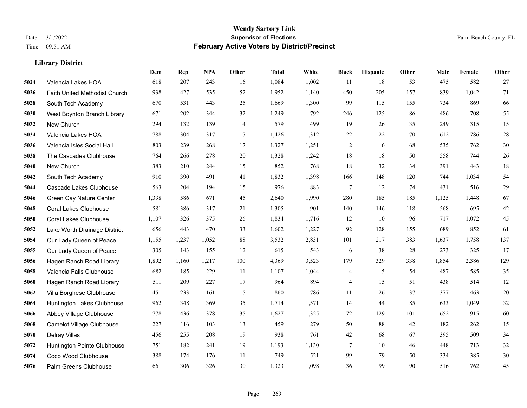|      |                               | Dem   | <b>Rep</b> | NPA   | <b>Other</b> | <b>Total</b> | White | <b>Black</b>   | <b>Hispanic</b> | <b>Other</b> | <b>Male</b> | Female | <b>Other</b> |
|------|-------------------------------|-------|------------|-------|--------------|--------------|-------|----------------|-----------------|--------------|-------------|--------|--------------|
| 5024 | Valencia Lakes HOA            | 618   | 207        | 243   | 16           | 1,084        | 1,002 | 11             | 18              | 53           | 475         | 582    | 27           |
| 5026 | Faith United Methodist Church | 938   | 427        | 535   | 52           | 1,952        | 1,140 | 450            | 205             | 157          | 839         | 1,042  | 71           |
| 5028 | South Tech Academy            | 670   | 531        | 443   | 25           | 1,669        | 1,300 | 99             | 115             | 155          | 734         | 869    | 66           |
| 5030 | West Boynton Branch Library   | 671   | 202        | 344   | 32           | 1,249        | 792   | 246            | 125             | 86           | 486         | 708    | 55           |
| 5032 | New Church                    | 294   | 132        | 139   | 14           | 579          | 499   | 19             | 26              | 35           | 249         | 315    | 15           |
| 5034 | Valencia Lakes HOA            | 788   | 304        | 317   | 17           | 1,426        | 1,312 | 22             | 22              | 70           | 612         | 786    | $28\,$       |
| 5036 | Valencia Isles Social Hall    | 803   | 239        | 268   | 17           | 1,327        | 1,251 | $\overline{c}$ | 6               | 68           | 535         | 762    | 30           |
| 5038 | The Cascades Clubhouse        | 764   | 266        | 278   | 20           | 1,328        | 1,242 | 18             | 18              | 50           | 558         | 744    | $26\,$       |
| 5040 | New Church                    | 383   | 210        | 244   | 15           | 852          | 768   | 18             | 32              | 34           | 391         | 443    | 18           |
| 5042 | South Tech Academy            | 910   | 390        | 491   | 41           | 1,832        | 1,398 | 166            | 148             | 120          | 744         | 1.034  | 54           |
| 5044 | Cascade Lakes Clubhouse       | 563   | 204        | 194   | 15           | 976          | 883   | $\tau$         | 12              | 74           | 431         | 516    | 29           |
| 5046 | Green Cay Nature Center       | 1,338 | 586        | 671   | 45           | 2,640        | 1,990 | 280            | 185             | 185          | 1,125       | 1.448  | 67           |
| 5048 | <b>Coral Lakes Clubhouse</b>  | 581   | 386        | 317   | 21           | 1,305        | 901   | 140            | 146             | 118          | 568         | 695    | $42\,$       |
| 5050 | <b>Coral Lakes Clubhouse</b>  | 1,107 | 326        | 375   | 26           | 1,834        | 1,716 | 12             | 10              | 96           | 717         | 1,072  | 45           |
| 5052 | Lake Worth Drainage District  | 656   | 443        | 470   | 33           | 1,602        | 1,227 | 92             | 128             | 155          | 689         | 852    | 61           |
| 5054 | Our Lady Queen of Peace       | 1,155 | 1,237      | 1,052 | 88           | 3,532        | 2,831 | 101            | 217             | 383          | 1,637       | 1,758  | 137          |
| 5055 | Our Lady Queen of Peace       | 305   | 143        | 155   | 12           | 615          | 543   | 6              | 38              | 28           | 273         | 325    | 17           |
| 5056 | Hagen Ranch Road Library      | 1,892 | 1,160      | 1,217 | 100          | 4,369        | 3,523 | 179            | 329             | 338          | 1,854       | 2,386  | 129          |
| 5058 | Valencia Falls Clubhouse      | 682   | 185        | 229   | 11           | 1,107        | 1,044 | 4              | 5               | 54           | 487         | 585    | 35           |
| 5060 | Hagen Ranch Road Library      | 511   | 209        | 227   | 17           | 964          | 894   | 4              | 15              | 51           | 438         | 514    | 12           |
| 5062 | Villa Borghese Clubhouse      | 451   | 233        | 161   | 15           | 860          | 786   | 11             | 26              | 37           | 377         | 463    | $20\,$       |
| 5064 | Huntington Lakes Clubhouse    | 962   | 348        | 369   | 35           | 1,714        | 1,571 | 14             | 44              | 85           | 633         | 1,049  | 32           |
| 5066 | Abbey Village Clubhouse       | 778   | 436        | 378   | 35           | 1,627        | 1,325 | 72             | 129             | 101          | 652         | 915    | 60           |
| 5068 | Camelot Village Clubhouse     | 227   | 116        | 103   | 13           | 459          | 279   | 50             | 88              | 42           | 182         | 262    | 15           |
| 5070 | Delray Villas                 | 456   | 255        | 208   | 19           | 938          | 761   | 42             | 68              | 67           | 395         | 509    | 34           |
| 5072 | Huntington Pointe Clubhouse   | 751   | 182        | 241   | 19           | 1,193        | 1,130 | 7              | 10              | 46           | 448         | 713    | 32           |
| 5074 | Coco Wood Clubhouse           | 388   | 174        | 176   | 11           | 749          | 521   | 99             | 79              | 50           | 334         | 385    | 30           |
| 5076 | Palm Greens Clubhouse         | 661   | 306        | 326   | 30           | 1,323        | 1,098 | 36             | 99              | 90           | 516         | 762    | 45           |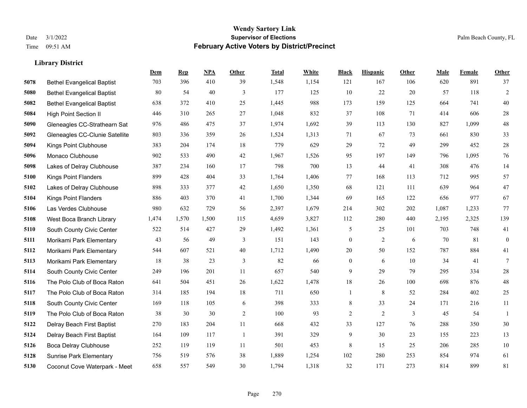|      |                                   | Dem   | <b>Rep</b> | NPA   | <b>Other</b>   | <b>Total</b> | White | <b>Black</b>     | <b>Hispanic</b> | <b>Other</b> | <b>Male</b> | <b>Female</b> | <b>Other</b>     |
|------|-----------------------------------|-------|------------|-------|----------------|--------------|-------|------------------|-----------------|--------------|-------------|---------------|------------------|
| 5078 | <b>Bethel Evangelical Baptist</b> | 703   | 396        | 410   | 39             | 1,548        | 1,154 | 121              | 167             | 106          | 620         | 891           | 37               |
| 5080 | <b>Bethel Evangelical Baptist</b> | 80    | 54         | 40    | 3              | 177          | 125   | 10               | 22              | 20           | 57          | 118           | $\overline{2}$   |
| 5082 | <b>Bethel Evangelical Baptist</b> | 638   | 372        | 410   | 25             | 1,445        | 988   | 173              | 159             | 125          | 664         | 741           | 40               |
| 5084 | <b>High Point Section II</b>      | 446   | 310        | 265   | 27             | 1,048        | 832   | 37               | 108             | 71           | 414         | 606           | $28\,$           |
| 5090 | Gleneagles CC-Strathearn Sat      | 976   | 486        | 475   | 37             | 1,974        | 1,692 | 39               | 113             | 130          | 827         | 1.099         | $48\,$           |
| 5092 | Gleneagles CC-Clunie Satellite    | 803   | 336        | 359   | 26             | 1,524        | 1,313 | 71               | 67              | 73           | 661         | 830           | 33               |
| 5094 | Kings Point Clubhouse             | 383   | 204        | 174   | 18             | 779          | 629   | 29               | 72              | 49           | 299         | 452           | $28\,$           |
| 5096 | Monaco Clubhouse                  | 902   | 533        | 490   | 42             | 1,967        | 1,526 | 95               | 197             | 149          | 796         | 1.095         | 76               |
| 5098 | Lakes of Delray Clubhouse         | 387   | 234        | 160   | 17             | 798          | 700   | 13               | 44              | 41           | 308         | 476           | 14               |
| 5100 | Kings Point Flanders              | 899   | 428        | 404   | 33             | 1,764        | 1,406 | 77               | 168             | 113          | 712         | 995           | 57               |
| 5102 | Lakes of Delray Clubhouse         | 898   | 333        | 377   | 42             | 1,650        | 1,350 | 68               | 121             | 111          | 639         | 964           | 47               |
| 5104 | <b>Kings Point Flanders</b>       | 886   | 403        | 370   | 41             | 1,700        | 1,344 | 69               | 165             | 122          | 656         | 977           | 67               |
| 5106 | Las Verdes Clubhouse              | 980   | 632        | 729   | 56             | 2,397        | 1,679 | 214              | 302             | 202          | 1,087       | 1,233         | 77               |
| 5108 | West Boca Branch Library          | 1,474 | 1,570      | 1,500 | 115            | 4,659        | 3,827 | 112              | 280             | 440          | 2,195       | 2,325         | 139              |
| 5110 | South County Civic Center         | 522   | 514        | 427   | 29             | 1,492        | 1,361 | 5                | 25              | 101          | 703         | 748           | 41               |
| 5111 | Morikami Park Elementary          | 43    | 56         | 49    | 3              | 151          | 143   | $\boldsymbol{0}$ | 2               | 6            | 70          | 81            | $\boldsymbol{0}$ |
| 5112 | Morikami Park Elementary          | 544   | 607        | 521   | $40\,$         | 1,712        | 1,490 | $20\,$           | 50              | 152          | 787         | 884           | 41               |
| 5113 | Morikami Park Elementary          | 18    | 38         | 23    | 3              | 82           | 66    | $\boldsymbol{0}$ | 6               | 10           | 34          | 41            | 7                |
| 5114 | South County Civic Center         | 249   | 196        | 201   | 11             | 657          | 540   | 9                | 29              | 79           | 295         | 334           | $28\,$           |
| 5116 | The Polo Club of Boca Raton       | 641   | 504        | 451   | 26             | 1,622        | 1,478 | $18\,$           | 26              | 100          | 698         | 876           | $48\,$           |
| 5117 | The Polo Club of Boca Raton       | 314   | 185        | 194   | 18             | 711          | 650   | $\mathbf{1}$     | 8               | 52           | 284         | 402           | 25               |
| 5118 | South County Civic Center         | 169   | 118        | 105   | 6              | 398          | 333   | 8                | 33              | 24           | 171         | 216           | 11               |
| 5119 | The Polo Club of Boca Raton       | 38    | 30         | 30    | $\overline{2}$ | 100          | 93    | $\overline{c}$   | $\overline{2}$  | 3            | 45          | 54            | $\mathbf{1}$     |
| 5122 | Delray Beach First Baptist        | 270   | 183        | 204   | 11             | 668          | 432   | 33               | 127             | 76           | 288         | 350           | 30               |
| 5124 | Delray Beach First Baptist        | 164   | 109        | 117   | $\overline{1}$ | 391          | 329   | 9                | 30              | 23           | 155         | 223           | 13               |
| 5126 | Boca Delray Clubhouse             | 252   | 119        | 119   | 11             | 501          | 453   | 8                | 15              | 25           | 206         | 285           | $10\,$           |
| 5128 | <b>Sunrise Park Elementary</b>    | 756   | 519        | 576   | 38             | 1,889        | 1,254 | 102              | 280             | 253          | 854         | 974           | 61               |
| 5130 | Coconut Cove Waterpark - Meet     | 658   | 557        | 549   | 30             | 1,794        | 1,318 | 32               | 171             | 273          | 814         | 899           | 81               |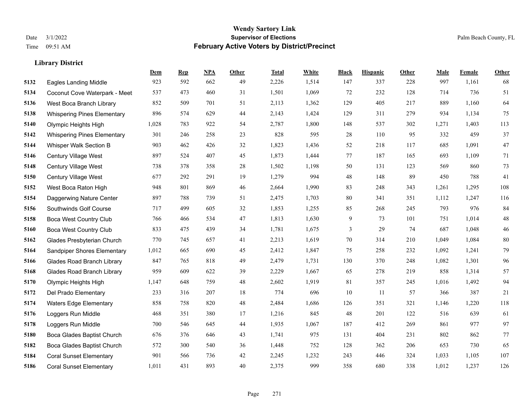**Library District**

#### **Wendy Sartory Link** Date 3/1/2022 **Supervisor of Elections** Palm Beach County, FL Time 09:51 AM **February Active Voters by District/Precinct**

# **Dem Rep NPA Other Total White Black Hispanic Other Male Female Other** Eagles Landing Middle 923 592 662 49 2,226 1,514 147 337 228 997 1,161 68 Coconut Cove Waterpark - Meet 537 473 460 31 1,501 1,069 72 232 128 714 736 51 West Boca Branch Library 852 509 701 51 2,113 1,362 129 405 217 889 1,160 64 Whispering Pines Elementary 896 574 629 44 2,143 1,424 129 311 279 934 1,134 75 Olympic Heights High 1,028 783 922 54 2,787 1,800 148 537 302 1,271 1,403 113 Whispering Pines Elementary 301 246 258 23 828 595 28 110 95 332 459 37 Whisper Walk Section B 903 462 426 32 1,823 1,436 52 218 117 685 1,091 47 Century Village West 897 524 407 45 1,873 1,444 77 187 165 693 1,109 71 Century Village West 738 378 358 28 1,502 1,198 50 131 123 569 860 73 Century Village West 677 292 291 19 1,279 994 48 148 89 450 788 41 West Boca Raton High 948 801 869 46 2,664 1,990 83 248 343 1,261 1,295 108 Daggerwing Nature Center 897 788 739 51 2,475 1,703 80 341 351 1,112 1,247 116 Southwinds Golf Course 717 499 605 32 1,853 1,255 85 268 245 793 976 84 Boca West Country Club 766 466 534 47 1,813 1,630 9 73 101 751 1,014 48 Boca West Country Club 833 475 439 34 1,781 1,675 3 29 74 687 1,048 46 Glades Presbyterian Church 770 745 657 41 2,213 1,619 70 314 210 1,049 1,084 80 Sandpiper Shores Elementary 1,012 665 690 45 2,412 1,847 75 258 232 1,092 1,241 79 Glades Road Branch Library 847 765 818 49 2,479 1,731 130 370 248 1,082 1,301 96 Glades Road Branch Library 959 609 622 39 2,229 1,667 65 278 219 858 1,314 57 Olympic Heights High 1,147 648 759 48 2,602 1,919 81 357 245 1,016 1,492 94 Del Prado Elementary 233 316 207 18 774 696 10 11 57 366 387 21 Waters Edge Elementary 858 758 820 48 2,484 1,686 126 351 321 1,146 1,220 118 Loggers Run Middle 468 351 380 17 1,216 845 48 201 122 516 639 61 Loggers Run Middle 700 546 645 44 1,935 1,067 187 412 269 861 977 97 Boca Glades Baptist Church 676 376 646 43 1,741 975 131 404 231 802 862 77 Boca Glades Baptist Church 572 300 540 36 1,448 752 128 362 206 653 730 65 Coral Sunset Elementary 901 566 736 42 2,245 1,232 243 446 324 1,033 1,105 107 Coral Sunset Elementary 1,011 431 893 40 2,375 999 358 680 338 1,012 1,237 126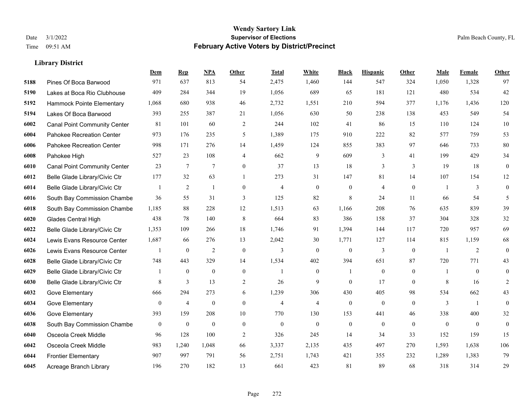**Library District**

#### **Wendy Sartory Link** Date 3/1/2022 **Supervisor of Elections** Palm Beach County, FL Time 09:51 AM **February Active Voters by District/Precinct**

# **Dem Rep NPA Other Total White Black Hispanic Other Male Female Other** Pines Of Boca Barwood 971 637 813 54 2,475 1,460 144 547 324 1,050 1,328 97 Lakes at Boca Rio Clubhouse 409 284 344 19 1,056 689 65 181 121 480 534 42 Hammock Pointe Elementary 1,068 680 938 46 2,732 1,551 210 594 377 1,176 1,436 120 Lakes Of Boca Barwood 393 255 387 21 1,056 630 50 238 138 453 549 54 Canal Point Community Center 81 101 60 2 244 102 41 86 15 110 124 10 Pahokee Recreation Center 973 176 235 5 1,389 175 910 222 82 577 759 53 Pahokee Recreation Center 998 171 276 14 1,459 124 855 383 97 646 733 80 Pahokee High 527 23 108 4 662 9 609 3 41 199 429 34 Canal Point Community Center 23 7 7 0 37 13 18 3 3 19 18 0 Belle Glade Library/Civic Ctr 177 32 63 1 273 31 147 81 14 107 154 12 Belle Glade Library/Civic Ctr 1 2 1 0 4 0 0 4 0 1 3 0 South Bay Commission Chambe 36 55 31 3 125 82 8 24 11 66 54 5 South Bay Commission Chambe 1,185 88 228 12 1,513 63 1,166 208 76 635 839 39 Glades Central High 438 78 140 8 664 83 386 158 37 304 328 32 Belle Glade Library/Civic Ctr 1,353 109 266 18 1,746 91 1,394 144 117 720 957 69 Lewis Evans Resource Center 1,687 66 276 13 2,042 30 1,771 127 114 815 1,159 68 Lewis Evans Resource Center  $\begin{array}{ccccccccccccc} & 1 & 0 & 2 & 0 & 3 & 0 & 0 & 3 & 0 & 1 & 2 & 0 \end{array}$  Belle Glade Library/Civic Ctr 748 443 329 14 1,534 402 394 651 87 720 771 43 Belle Glade Library/Civic Ctr 1 0 0 0 1 0 1 0 0 1 0 0 Belle Glade Library/Civic Ctr 8 3 13 2 26 9 0 17 0 8 16 2 Gove Elementary 666 294 273 6 1,239 306 430 405 98 534 662 43 Gove Elementary 0 4 0 4 4 0 0 0 3 1 0 Gove Elementary 393 159 208 10 770 130 153 441 46 338 400 32 South Bay Commission Chambers 0 0 0 0 0 0 0 0 0 0 0 0 Osceola Creek Middle 96 128 100 2 326 245 14 34 33 152 159 15 Osceola Creek Middle 983 1,240 1,048 66 3,337 2,135 435 497 270 1,593 1,638 106 Frontier Elementary 907 997 791 56 2,751 1,743 421 355 232 1,289 1,383 79

Acreage Branch Library 196 270 182 13 661 423 81 89 68 318 314 29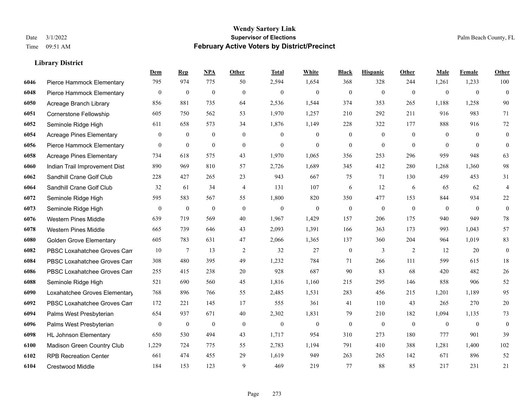|      |                                 | Dem              | <b>Rep</b>       | NPA              | Other            | <b>Total</b>   | <b>White</b>     | <b>Black</b>     | <b>Hispanic</b>  | Other          | <b>Male</b>    | <b>Female</b>  | <b>Other</b>            |
|------|---------------------------------|------------------|------------------|------------------|------------------|----------------|------------------|------------------|------------------|----------------|----------------|----------------|-------------------------|
| 6046 | Pierce Hammock Elementary       | 795              | 974              | 775              | 50               | 2,594          | 1,654            | 368              | 328              | 244            | 1,261          | 1,233          | 100                     |
| 6048 | Pierce Hammock Elementary       | $\mathbf{0}$     | $\mathbf{0}$     | $\mathbf{0}$     | $\mathbf{0}$     | $\mathbf{0}$   | $\mathbf{0}$     | $\mathbf{0}$     | $\mathbf{0}$     | $\mathbf{0}$   | $\overline{0}$ | $\mathbf{0}$   | $\mathbf{0}$            |
| 6050 | Acreage Branch Library          | 856              | 881              | 735              | 64               | 2,536          | 1,544            | 374              | 353              | 265            | 1,188          | 1,258          | 90                      |
| 6051 | <b>Cornerstone Fellowship</b>   | 605              | 750              | 562              | 53               | 1,970          | 1,257            | 210              | 292              | 211            | 916            | 983            | 71                      |
| 6052 | Seminole Ridge High             | 611              | 658              | 573              | 34               | 1,876          | 1,149            | 228              | 322              | 177            | 888            | 916            | 72                      |
| 6054 | <b>Acreage Pines Elementary</b> | $\mathbf{0}$     | $\mathbf{0}$     | $\boldsymbol{0}$ | $\boldsymbol{0}$ | $\overline{0}$ | $\boldsymbol{0}$ | $\boldsymbol{0}$ | $\boldsymbol{0}$ | $\overline{0}$ | $\overline{0}$ | $\overline{0}$ | $\boldsymbol{0}$        |
| 6056 | Pierce Hammock Elementary       | $\mathbf{0}$     | $\mathbf{0}$     | $\mathbf{0}$     | $\boldsymbol{0}$ | $\theta$       | $\mathbf{0}$     | $\theta$         | $\mathbf{0}$     | $\theta$       | $\mathbf{0}$   | $\theta$       | $\mathbf{0}$            |
| 6058 | <b>Acreage Pines Elementary</b> | 734              | 618              | 575              | 43               | 1,970          | 1,065            | 356              | 253              | 296            | 959            | 948            | 63                      |
| 6060 | Indian Trail Improvement Dist   | 890              | 969              | 810              | 57               | 2,726          | 1,689            | 345              | 412              | 280            | 1,268          | 1,360          | 98                      |
| 6062 | Sandhill Crane Golf Club        | 228              | 427              | 265              | 23               | 943            | 667              | 75               | 71               | 130            | 459            | 453            | 31                      |
| 6064 | Sandhill Crane Golf Club        | 32               | 61               | 34               | $\overline{4}$   | 131            | 107              | 6                | 12               | 6              | 65             | 62             | $\overline{\mathbf{4}}$ |
| 6072 | Seminole Ridge High             | 595              | 583              | 567              | 55               | 1,800          | 820              | 350              | 477              | 153            | 844            | 934            | 22                      |
| 6073 | Seminole Ridge High             | $\mathbf{0}$     | $\boldsymbol{0}$ | $\boldsymbol{0}$ | $\mathbf{0}$     | $\mathbf{0}$   | $\mathbf{0}$     | $\mathbf{0}$     | $\mathbf{0}$     | $\theta$       | $\overline{0}$ | $\mathbf{0}$   | $\mathbf{0}$            |
| 6076 | Western Pines Middle            | 639              | 719              | 569              | 40               | 1,967          | 1,429            | 157              | 206              | 175            | 940            | 949            | 78                      |
| 6078 | <b>Western Pines Middle</b>     | 665              | 739              | 646              | 43               | 2,093          | 1,391            | 166              | 363              | 173            | 993            | 1,043          | 57                      |
| 6080 | <b>Golden Grove Elementary</b>  | 605              | 783              | 631              | 47               | 2,066          | 1,365            | 137              | 360              | 204            | 964            | 1,019          | 83                      |
| 6082 | PBSC Loxahatchee Groves Can     | 10               | $\tau$           | 13               | $\overline{2}$   | 32             | 27               | $\boldsymbol{0}$ | 3                | 2              | 12             | 20             | $\boldsymbol{0}$        |
| 6084 | PBSC Loxahatchee Groves Can     | 308              | 480              | 395              | 49               | 1,232          | 784              | 71               | 266              | 111            | 599            | 615            | 18                      |
| 6086 | PBSC Loxahatchee Groves Can     | 255              | 415              | 238              | 20               | 928            | 687              | 90               | 83               | 68             | 420            | 482            | 26                      |
| 6088 | Seminole Ridge High             | 521              | 690              | 560              | 45               | 1,816          | 1,160            | 215              | 295              | 146            | 858            | 906            | 52                      |
| 6090 | Loxahatchee Groves Elementary   | 768              | 896              | 766              | 55               | 2,485          | 1,531            | 283              | 456              | 215            | 1,201          | 1,189          | 95                      |
| 6092 | PBSC Loxahatchee Groves Can     | 172              | 221              | 145              | 17               | 555            | 361              | 41               | 110              | 43             | 265            | 270            | $20\,$                  |
| 6094 | Palms West Presbyterian         | 654              | 937              | 671              | 40               | 2,302          | 1,831            | 79               | 210              | 182            | 1,094          | 1,135          | 73                      |
| 6096 | Palms West Presbyterian         | $\boldsymbol{0}$ | $\boldsymbol{0}$ | $\boldsymbol{0}$ | $\boldsymbol{0}$ | $\theta$       | $\boldsymbol{0}$ | $\boldsymbol{0}$ | $\boldsymbol{0}$ | $\overline{0}$ | $\overline{0}$ | $\mathbf{0}$   | $\mathbf{0}$            |
| 6098 | <b>HL Johnson Elementary</b>    | 650              | 530              | 494              | 43               | 1.717          | 954              | 310              | 273              | 180            | 777            | 901            | 39                      |
| 6100 | Madison Green Country Club      | 1,229            | 724              | 775              | 55               | 2,783          | 1,194            | 791              | 410              | 388            | 1,281          | 1,400          | $102\,$                 |
| 6102 | <b>RPB Recreation Center</b>    | 661              | 474              | 455              | 29               | 1,619          | 949              | 263              | 265              | 142            | 671            | 896            | 52                      |
| 6104 | Crestwood Middle                | 184              | 153              | 123              | 9                | 469            | 219              | 77               | 88               | 85             | 217            | 231            | 21                      |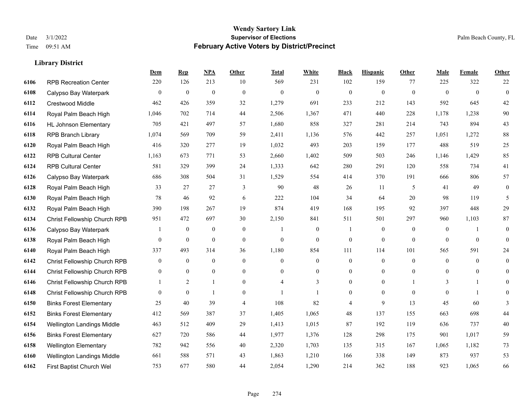|      |                                   | Dem              | <b>Rep</b>       | NPA              | <b>Other</b>   | <b>Total</b>   | <b>White</b>     | <b>Black</b>     | <b>Hispanic</b>  | <b>Other</b>   | <b>Male</b>    | <b>Female</b>  | <b>Other</b>     |
|------|-----------------------------------|------------------|------------------|------------------|----------------|----------------|------------------|------------------|------------------|----------------|----------------|----------------|------------------|
| 6106 | <b>RPB Recreation Center</b>      | 220              | 126              | 213              | 10             | 569            | 231              | 102              | 159              | 77             | 225            | 322            | 22               |
| 6108 | Calypso Bay Waterpark             | $\overline{0}$   | $\mathbf{0}$     | $\mathbf{0}$     | $\mathbf{0}$   | $\mathbf{0}$   | $\mathbf{0}$     | $\mathbf{0}$     | $\mathbf{0}$     | $\theta$       | $\mathbf{0}$   | $\theta$       | $\mathbf{0}$     |
| 6112 | <b>Crestwood Middle</b>           | 462              | 426              | 359              | 32             | 1,279          | 691              | 233              | 212              | 143            | 592            | 645            | $42\,$           |
| 6114 | Royal Palm Beach High             | 1,046            | 702              | 714              | 44             | 2,506          | 1,367            | 471              | 440              | 228            | 1,178          | 1,238          | 90               |
| 6116 | <b>HL Johnson Elementary</b>      | 705              | 421              | 497              | 57             | 1,680          | 858              | 327              | 281              | 214            | 743            | 894            | 43               |
| 6118 | <b>RPB Branch Library</b>         | 1,074            | 569              | 709              | 59             | 2,411          | 1,136            | 576              | 442              | 257            | 1,051          | 1,272          | 88               |
| 6120 | Royal Palm Beach High             | 416              | 320              | 277              | 19             | 1,032          | 493              | 203              | 159              | 177            | 488            | 519            | $25\,$           |
| 6122 | <b>RPB Cultural Center</b>        | 1,163            | 673              | 771              | 53             | 2,660          | 1,402            | 509              | 503              | 246            | 1,146          | 1,429          | 85               |
| 6124 | <b>RPB Cultural Center</b>        | 581              | 329              | 399              | 24             | 1,333          | 642              | 280              | 291              | 120            | 558            | 734            | 41               |
| 6126 | Calypso Bay Waterpark             | 686              | 308              | 504              | 31             | 1,529          | 554              | 414              | 370              | 191            | 666            | 806            | 57               |
| 6128 | Royal Palm Beach High             | 33               | 27               | 27               | 3              | 90             | 48               | 26               | 11               | 5              | 41             | 49             | $\boldsymbol{0}$ |
| 6130 | Royal Palm Beach High             | 78               | 46               | 92               | 6              | 222            | 104              | 34               | 64               | 20             | 98             | 119            | 5                |
| 6132 | Royal Palm Beach High             | 390              | 198              | 267              | 19             | 874            | 419              | 168              | 195              | 92             | 397            | 448            | 29               |
| 6134 | Christ Fellowship Church RPB      | 951              | 472              | 697              | 30             | 2,150          | 841              | 511              | 501              | 297            | 960            | 1,103          | 87               |
| 6136 | Calypso Bay Waterpark             |                  | $\bf{0}$         | $\boldsymbol{0}$ | $\overline{0}$ |                | $\boldsymbol{0}$ | 1                | $\boldsymbol{0}$ | $\overline{0}$ | $\mathbf{0}$   |                | $\boldsymbol{0}$ |
| 6138 | Royal Palm Beach High             | $\overline{0}$   | $\boldsymbol{0}$ | $\mathbf{0}$     | $\overline{0}$ | $\theta$       | $\overline{0}$   | $\boldsymbol{0}$ | $\mathbf{0}$     | $\theta$       | $\theta$       | $\theta$       | $\mathbf{0}$     |
| 6140 | Royal Palm Beach High             | 337              | 493              | 314              | 36             | 1,180          | 854              | 111              | 114              | 101            | 565            | 591            | 24               |
| 6142 | Christ Fellowship Church RPB      | $\mathbf{0}$     | $\mathbf{0}$     | $\mathbf{0}$     | $\overline{0}$ | $\theta$       | $\mathbf{0}$     | $\boldsymbol{0}$ | $\overline{0}$   | $\theta$       | $\overline{0}$ | $\overline{0}$ | $\boldsymbol{0}$ |
| 6144 | Christ Fellowship Church RPB      | $\boldsymbol{0}$ | $\bf{0}$         | $\boldsymbol{0}$ | $\overline{0}$ | $\theta$       | $\boldsymbol{0}$ | $\boldsymbol{0}$ | $\boldsymbol{0}$ | $\theta$       | $\mathbf{0}$   | $\mathbf{0}$   | $\mathbf{0}$     |
| 6146 | Christ Fellowship Church RPB      | 1                | 2                | $\mathbf{1}$     | $\overline{0}$ | $\overline{4}$ | 3                | $\boldsymbol{0}$ | $\mathbf{0}$     |                | 3              | $\mathbf{1}$   | $\mathbf{0}$     |
| 6148 | Christ Fellowship Church RPB      | $\Omega$         | $\mathbf{0}$     | $\mathbf{1}$     | $\Omega$       |                | $\mathbf{1}$     | $\mathbf{0}$     | $\theta$         | $\Omega$       | $\Omega$       |                | $\theta$         |
| 6150 | <b>Binks Forest Elementary</b>    | 25               | 40               | 39               | $\overline{4}$ | 108            | 82               | 4                | 9                | 13             | 45             | 60             | 3                |
| 6152 | <b>Binks Forest Elementary</b>    | 412              | 569              | 387              | 37             | 1,405          | 1,065            | 48               | 137              | 155            | 663            | 698            | $44\,$           |
| 6154 | <b>Wellington Landings Middle</b> | 463              | 512              | 409              | 29             | 1,413          | 1,015            | 87               | 192              | 119            | 636            | 737            | 40               |
| 6156 | <b>Binks Forest Elementary</b>    | 627              | 720              | 586              | 44             | 1,977          | 1,376            | 128              | 298              | 175            | 901            | 1,017          | 59               |
| 6158 | <b>Wellington Elementary</b>      | 782              | 942              | 556              | 40             | 2,320          | 1,703            | 135              | 315              | 167            | 1,065          | 1,182          | 73               |
| 6160 | <b>Wellington Landings Middle</b> | 661              | 588              | 571              | 43             | 1,863          | 1,210            | 166              | 338              | 149            | 873            | 937            | 53               |
| 6162 | First Baptist Church Wel          | 753              | 677              | 580              | 44             | 2,054          | 1,290            | 214              | 362              | 188            | 923            | 1,065          | 66               |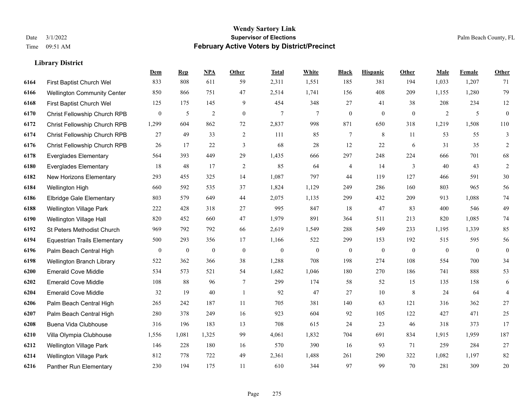**Library District**

### **Wendy Sartory Link** Date 3/1/2022 **Supervisor of Elections** Palm Beach County, FL Time 09:51 AM **February Active Voters by District/Precinct**

# **Dem Rep NPA Other Total White Black Hispanic Other Male Female Other** First Baptist Church Wel 833 808 611 59 2,311 1,551 185 381 194 1,033 1,207 71 Wellington Community Center 850 866 751 47 2,514 1,741 156 408 209 1,155 1,280 79 First Baptist Church Wel 125 175 145 9 454 348 27 41 38 208 234 12 Christ Fellowship Church RPB 0 5 2 0 7 7 0 0 0 2 5 0 Christ Fellowship Church RPB 1,299 604 862 72 2,837 998 871 650 318 1,219 1,508 110 Christ Fellowship Church RPB 27 49 33 2 111 85 7 8 11 53 55 3 Christ Fellowship Church RPB 26 17 22 3 68 28 12 22 6 31 35 2 Everglades Elementary 564 393 449 29 1,435 666 297 248 224 666 701 68 Everglades Elementary 18 48 17 2 85 64 4 14 3 40 43 2 New Horizons Elementary 293 455 325 14 1,087 797 44 119 127 466 591 30 Wellington High 660 592 535 37 1,824 1,129 249 286 160 803 965 56 Elbridge Gale Elementary 803 579 649 44 2,075 1,135 299 432 209 913 1,088 74 Wellington Village Park 222 428 318 27 995 847 18 47 83 400 546 49 Wellington Village Hall 820 452 660 47 1,979 891 364 511 213 820 1,085 74 St Peters Methodist Church 969 792 792 66 2,619 1,549 288 549 233 1,195 1,339 85 Equestrian Trails Elementary 500 293 356 17 1,166 522 299 153 192 515 595 56 Palm Beach Central High 0 0 0 0 0 0 0 0 0 0 0 0 Wellington Branch Library 522 362 366 38 1,288 708 198 274 108 554 700 34 Emerald Cove Middle 534 573 521 54 1,682 1,046 180 270 186 741 888 53 Emerald Cove Middle 108 88 96 7 299 174 58 52 15 135 158 6 Emerald Cove Middle 32 19 40 1 92 47 27 10 8 24 64 4 Palm Beach Central High 265 242 187 11 705 381 140 63 121 316 362 27 Palm Beach Central High 280 378 249 16 923 604 92 105 122 427 471 25 Buena Vida Clubhouse 316 196 183 13 708 615 24 23 46 318 373 17 Villa Olympia Clubhouse 1,556 1,081 1,325 99 4,061 1,832 704 691 834 1,915 1,959 187 Wellington Village Park 146 228 180 16 570 390 16 93 71 259 284 27 Wellington Village Park 812 778 722 49 2,361 1,488 261 290 322 1,082 1,197 82 Panther Run Elementary 230 194 175 11 610 344 97 99 70 281 309 20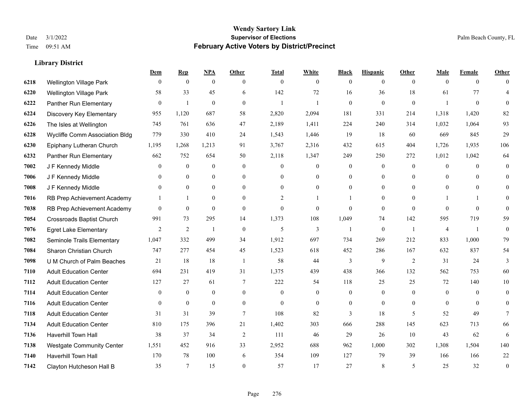|      |                                  | Dem          | <b>Rep</b>       | NPA              | <b>Other</b>   | <b>Total</b>   | <b>White</b>     | <b>Black</b>     | <b>Hispanic</b> | <b>Other</b>   | <b>Male</b>    | <b>Female</b>  | <b>Other</b>     |
|------|----------------------------------|--------------|------------------|------------------|----------------|----------------|------------------|------------------|-----------------|----------------|----------------|----------------|------------------|
| 6218 | Wellington Village Park          | $\mathbf{0}$ | $\mathbf{0}$     | $\boldsymbol{0}$ | $\theta$       | $\mathbf{0}$   | $\overline{0}$   | $\overline{0}$   | $\overline{0}$  | $\theta$       | $\theta$       | $\overline{0}$ | $\Omega$         |
| 6220 | <b>Wellington Village Park</b>   | 58           | 33               | 45               | 6              | 142            | 72               | 16               | 36              | 18             | 61             | 77             | 4                |
| 6222 | Panther Run Elementary           | $\mathbf{0}$ | $\mathbf{1}$     | $\mathbf{0}$     | $\theta$       | 1              | 1                | $\mathbf{0}$     | $\overline{0}$  | $\mathbf{0}$   | $\overline{1}$ | $\mathbf{0}$   | $\theta$         |
| 6224 | Discovery Key Elementary         | 955          | 1,120            | 687              | 58             | 2,820          | 2,094            | 181              | 331             | 214            | 1,318          | 1,420          | 82               |
| 6226 | The Isles at Wellington          | 745          | 761              | 636              | 47             | 2,189          | 1,411            | 224              | 240             | 314            | 1,032          | 1,064          | 93               |
| 6228 | Wycliffe Comm Association Bldg   | 779          | 330              | 410              | 24             | 1,543          | 1,446            | 19               | 18              | 60             | 669            | 845            | 29               |
| 6230 | Epiphany Lutheran Church         | 1,195        | 1,268            | 1,213            | 91             | 3,767          | 2,316            | 432              | 615             | 404            | 1,726          | 1,935          | 106              |
| 6232 | Panther Run Elementary           | 662          | 752              | 654              | 50             | 2,118          | 1,347            | 249              | 250             | 272            | 1,012          | 1,042          | 64               |
| 7002 | J F Kennedy Middle               | $\mathbf{0}$ | $\boldsymbol{0}$ | $\boldsymbol{0}$ | $\mathbf{0}$   | $\overline{0}$ | $\boldsymbol{0}$ | $\boldsymbol{0}$ | $\overline{0}$  | $\mathbf{0}$   | $\overline{0}$ | $\theta$       | $\mathbf{0}$     |
| 7006 | J F Kennedy Middle               | $\theta$     | $\overline{0}$   | $\mathbf{0}$     | $\mathbf{0}$   | $\Omega$       | 0                | $\mathbf{0}$     | $\overline{0}$  | $\theta$       | $\theta$       | $\Omega$       | $\Omega$         |
| 7008 | J F Kennedy Middle               | $\theta$     | $\theta$         | $\theta$         | $\theta$       | $\theta$       | $\overline{0}$   | $\Omega$         | $\Omega$        | $\theta$       | $\Omega$       | $\theta$       | $\Omega$         |
| 7016 | RB Prep Achievement Academy      |              | $\mathbf{1}$     | $\theta$         | $\Omega$       | $\overline{2}$ |                  |                  | $\overline{0}$  | $\Omega$       |                |                | $\theta$         |
| 7038 | RB Prep Achievement Academy      | $\mathbf{0}$ | $\mathbf{0}$     | $\theta$         | $\theta$       | $\theta$       | $\overline{0}$   | $\theta$         | $\overline{0}$  | $\theta$       | $\Omega$       | $\theta$       | $\Omega$         |
| 7054 | Crossroads Baptist Church        | 991          | 73               | 295              | 14             | 1,373          | 108              | 1,049            | 74              | 142            | 595            | 719            | 59               |
| 7076 | <b>Egret Lake Elementary</b>     | 2            | $\overline{2}$   |                  | $\mathbf{0}$   | 5              | 3                |                  | $\mathbf{0}$    | $\overline{1}$ | $\overline{4}$ | $\overline{1}$ | $\mathbf{0}$     |
| 7082 | Seminole Trails Elementary       | 1,047        | 332              | 499              | 34             | 1,912          | 697              | 734              | 269             | 212            | 833            | 1,000          | 79               |
| 7084 | Sharon Christian Church          | 747          | 277              | 454              | 45             | 1,523          | 618              | 452              | 286             | 167            | 632            | 837            | 54               |
| 7098 | U M Church of Palm Beaches       | 21           | 18               | 18               | $\overline{1}$ | 58             | 44               | 3                | 9               | $\overline{2}$ | 31             | 24             | 3                |
| 7110 | <b>Adult Education Center</b>    | 694          | 231              | 419              | 31             | 1,375          | 439              | 438              | 366             | 132            | 562            | 753            | 60               |
| 7112 | <b>Adult Education Center</b>    | 127          | 27               | 61               | $\tau$         | 222            | 54               | 118              | 25              | 25             | 72             | 140            | $10\,$           |
| 7114 | <b>Adult Education Center</b>    | $\theta$     | $\mathbf{0}$     | $\mathbf{0}$     | $\theta$       | $\theta$       | $\overline{0}$   | $\mathbf{0}$     | $\overline{0}$  | $\theta$       | $\theta$       | $\theta$       | $\theta$         |
| 7116 | <b>Adult Education Center</b>    | $\theta$     | $\mathbf{0}$     | $\theta$         | $\mathbf{0}$   | $\theta$       | $\overline{0}$   | $\overline{0}$   | $\mathbf{0}$    | $\theta$       | $\Omega$       | $\Omega$       | $\Omega$         |
| 7118 | <b>Adult Education Center</b>    | 31           | 31               | 39               | 7              | 108            | 82               | 3                | 18              | 5              | 52             | 49             | 7                |
| 7134 | <b>Adult Education Center</b>    | 810          | 175              | 396              | 21             | 1,402          | 303              | 666              | 288             | 145            | 623            | 713            | 66               |
| 7136 | Haverhill Town Hall              | 38           | 37               | 34               | $\overline{2}$ | 111            | 46               | 29               | 26              | 10             | 43             | 62             | 6                |
| 7138 | <b>Westgate Community Center</b> | 1,551        | 452              | 916              | 33             | 2,952          | 688              | 962              | 1,000           | 302            | 1,308          | 1,504          | 140              |
| 7140 | Haverhill Town Hall              | 170          | 78               | 100              | 6              | 354            | 109              | 127              | 79              | 39             | 166            | 166            | $22\,$           |
| 7142 | Clayton Hutcheson Hall B         | 35           | $\tau$           | 15               | $\Omega$       | 57             | 17               | 27               | 8               | 5              | 25             | 32             | $\boldsymbol{0}$ |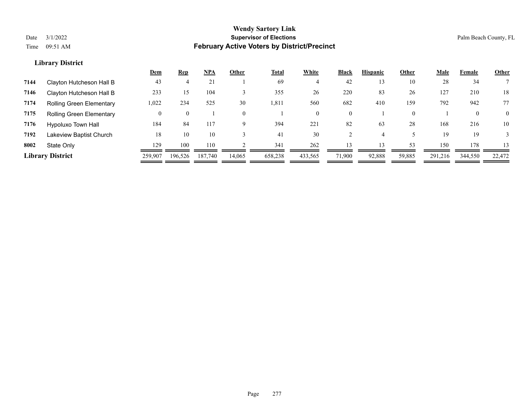|      |                                 | <u>Dem</u> | <b>Rep</b> | <b>NPA</b> | Other    | <b>Total</b> | White    | Black        | <b>Hispanic</b> | Other    | <b>Male</b> | Female       | <b>Other</b> |
|------|---------------------------------|------------|------------|------------|----------|--------------|----------|--------------|-----------------|----------|-------------|--------------|--------------|
| 7144 | Clayton Hutcheson Hall B        | 43         |            | 21         |          | 69           | 4        | 42           | 13              | 10       | 28          | 34           |              |
| 7146 | Clayton Hutcheson Hall B        | 233        | 15         | 104        |          | 355          | 26       | 220          | 83              | 26       | 127         | 210          | 18           |
| 7174 | Rolling Green Elementary        | 1,022      | 234        | 525        | 30       | 1,811        | 560      | 682          | 410             | 159      | 792         | 942          | 77           |
| 7175 | <b>Rolling Green Elementary</b> | 0          |            |            | $\Omega$ |              | $\theta$ | $\mathbf{0}$ |                 | $\Omega$ |             | $\mathbf{0}$ | $\Omega$     |
| 7176 | Hypoluxo Town Hall              | 184        | 84         | 117        |          | 394          | 221      | 82           | 63              | 28       | 168         | 216          | 10           |
| 7192 | Lakeview Baptist Church         | 18         | 10         | 10         |          | 41           | 30       |              |                 |          | 19          | 19           |              |
| 8002 | State Only                      | 129        | 100        | 110        |          | 341          | 262      | 13           | 13              | 53       | 150         | 178          | 13           |
|      | <b>Library District</b>         | 259,907    | 196,526    | 187,740    | 14,065   | 658,238      | 433,565  | 71,900       | 92,888          | 59,885   | 291,216     | 344,550      | 22,472       |
|      |                                 |            |            |            |          |              |          |              |                 |          |             |              |              |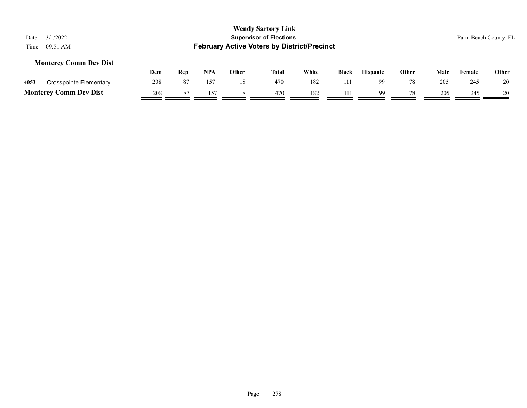### **Monterey Comm Dev Dist**

|      |                                         | Dem | Ren | <b>NPA</b> | Other | <b>Total</b> | White | <b>Black</b> | <b>Hispanic</b> | Other | Male | Female | <b>Other</b> |
|------|-----------------------------------------|-----|-----|------------|-------|--------------|-------|--------------|-----------------|-------|------|--------|--------------|
| 4053 | Crosspointe Elementary                  | 208 |     |            |       | 470          | 182   |              | QQ              | 78    | 205  | 245    | 20           |
|      | <b>Comm Dev Dist</b><br><b>Monterey</b> | 208 |     | ۰ ج ۱      |       | 470          | 182   |              | QQ              | 78    | 205  | 245    | 20           |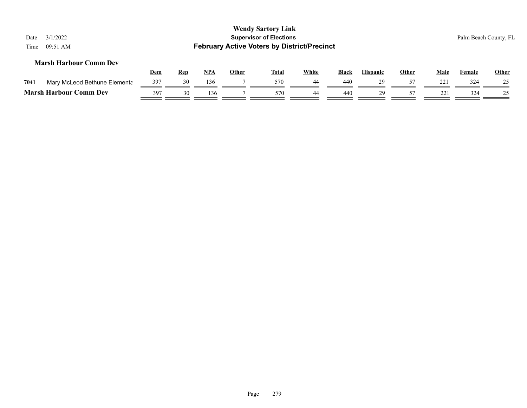| 3/1/2022<br>Date<br>09:51 AM<br>Time |            |            |            |              | <b>Wendy Sartory Link</b><br><b>Supervisor of Elections</b><br><b>February Active Voters by District/Precinct</b> |              |              |                 |              |      |               | Palm Beach County, FL |
|--------------------------------------|------------|------------|------------|--------------|-------------------------------------------------------------------------------------------------------------------|--------------|--------------|-----------------|--------------|------|---------------|-----------------------|
| <b>Marsh Harbour Comm Dev</b>        | <u>Dem</u> | <u>Rep</u> | <u>NPA</u> | <b>Other</b> | <b>Total</b>                                                                                                      | <b>White</b> | <b>Black</b> | <b>Hispanic</b> | <b>Other</b> | Male | <b>Female</b> | <b>Other</b>          |
| 7041<br>Mary McLeod Bethune Elementa | 397        | 30         | 136        |              | 570                                                                                                               | 44           | 440          | 29              | 57           | 221  | 324           | 25                    |
| <b>Marsh Harbour Comm Dev</b>        | 397        | 30         | 136        |              | 570                                                                                                               | 44           | 440          | 29              |              | 221  | 324           | 25                    |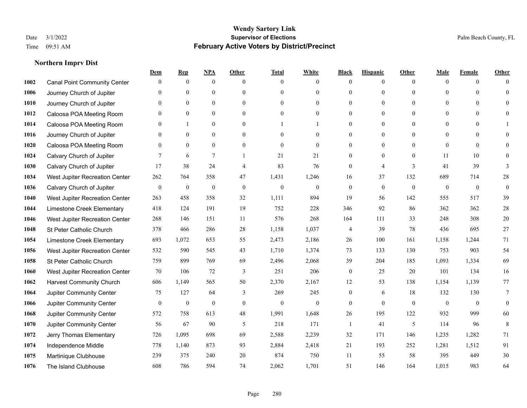|      |                                     | Dem            | <b>Rep</b>       | NPA            | <b>Other</b>   | <b>Total</b> | <b>White</b>   | <b>Black</b>     | <b>Hispanic</b>  | <b>Other</b>   | <b>Male</b>    | <b>Female</b> | <b>Other</b> |
|------|-------------------------------------|----------------|------------------|----------------|----------------|--------------|----------------|------------------|------------------|----------------|----------------|---------------|--------------|
| 1002 | <b>Canal Point Community Center</b> | $\mathbf{0}$   | $\mathbf{0}$     | $\mathbf{0}$   | $\theta$       | $\theta$     | $\overline{0}$ | $\Omega$         | $\overline{0}$   | $\theta$       | $\mathbf{0}$   | $\theta$      | $\Omega$     |
| 1006 | Journey Church of Jupiter           | $\Omega$       | $\theta$         | $\theta$       | $\theta$       | $\theta$     | $\overline{0}$ | $\theta$         | $\overline{0}$   | $\Omega$       | $\Omega$       | $\Omega$      | $\theta$     |
| 1010 | Journey Church of Jupiter           | $\theta$       | $\mathbf{0}$     | $\mathbf{0}$   | $\theta$       | $\theta$     | $\overline{0}$ | $\theta$         | $\overline{0}$   | $\Omega$       | $\theta$       | $\Omega$      | $\Omega$     |
| 1012 | Caloosa POA Meeting Room            | $\mathbf{0}$   | $\mathbf{0}$     | $\mathbf{0}$   | $\mathbf{0}$   | $\mathbf{0}$ | $\overline{0}$ | $\theta$         | $\overline{0}$   | $\theta$       | $\overline{0}$ | $\Omega$      | $\Omega$     |
| 1014 | Caloosa POA Meeting Room            | $\Omega$       | 1                | $\theta$       | $\theta$       |              |                | $\overline{0}$   | $\Omega$         | $\Omega$       | $\Omega$       | $\Omega$      |              |
| 1016 | Journey Church of Jupiter           | $\bf{0}$       | $\mathbf{0}$     | $\mathbf{0}$   | $\mathbf{0}$   | $\theta$     | 0              | $\theta$         | $\boldsymbol{0}$ | $\theta$       | $\mathbf{0}$   | $\Omega$      | $\Omega$     |
| 1020 | Caloosa POA Meeting Room            | $\theta$       | $\mathbf{0}$     | $\mathbf{0}$   | $\theta$       | $\theta$     | $\overline{0}$ | $\overline{0}$   | $\overline{0}$   | $\theta$       | $\theta$       | $\theta$      | $\Omega$     |
| 1024 | Calvary Church of Jupiter           | 7              | 6                | $\overline{7}$ | $\overline{1}$ | 21           | 21             | $\Omega$         | $\Omega$         | $\Omega$       | 11             | 10            | $\Omega$     |
| 1030 | Calvary Church of Jupiter           | 17             | 38               | 24             | $\overline{4}$ | 83           | 76             | $\theta$         | 4                | $\overline{3}$ | 41             | 39            | 3            |
| 1034 | West Jupiter Recreation Center      | 262            | 764              | 358            | 47             | 1,431        | 1,246          | 16               | 37               | 132            | 689            | 714           | $28\,$       |
| 1036 | Calvary Church of Jupiter           | $\mathbf{0}$   | $\mathbf{0}$     | $\mathbf{0}$   | $\theta$       | $\mathbf{0}$ | $\overline{0}$ | $\mathbf{0}$     | $\mathbf{0}$     | $\theta$       | $\theta$       | $\theta$      | $\mathbf{0}$ |
| 1040 | West Jupiter Recreation Center      | 263            | 458              | 358            | 32             | 1,111        | 894            | 19               | 56               | 142            | 555            | 517           | 39           |
| 1044 | Limestone Creek Elementary          | 418            | 124              | 191            | 19             | 752          | 228            | 346              | 92               | 86             | 362            | 362           | $28\,$       |
| 1046 | West Jupiter Recreation Center      | 268            | 146              | 151            | 11             | 576          | 268            | 164              | 111              | 33             | 248            | 308           | $20\,$       |
| 1048 | St Peter Catholic Church            | 378            | 466              | 286            | 28             | 1,158        | 1,037          | 4                | 39               | 78             | 436            | 695           | 27           |
| 1054 | Limestone Creek Elementary          | 693            | 1,072            | 653            | 55             | 2,473        | 2,186          | 26               | 100              | 161            | 1,158          | 1,244         | 71           |
| 1056 | West Jupiter Recreation Center      | 532            | 590              | 545            | 43             | 1,710        | 1,374          | 73               | 133              | 130            | 753            | 903           | 54           |
| 1058 | St Peter Catholic Church            | 759            | 899              | 769            | 69             | 2,496        | 2,068          | 39               | 204              | 185            | 1,093          | 1,334         | 69           |
| 1060 | West Jupiter Recreation Center      | 70             | 106              | 72             | 3              | 251          | 206            | $\boldsymbol{0}$ | 25               | 20             | 101            | 134           | 16           |
| 1062 | <b>Harvest Community Church</b>     | 606            | 1,149            | 565            | 50             | 2,370        | 2,167          | 12               | 53               | 138            | 1,154          | 1,139         | 77           |
| 1064 | Jupiter Community Center            | 75             | 127              | 64             | 3              | 269          | 245            | $\overline{0}$   | 6                | 18             | 132            | 130           | 7            |
| 1066 | Jupiter Community Center            | $\overline{0}$ | $\boldsymbol{0}$ | $\mathbf{0}$   | $\mathbf{0}$   | $\mathbf{0}$ | $\overline{0}$ | $\overline{0}$   | $\mathbf{0}$     | $\mathbf{0}$   | $\mathbf{0}$   | $\theta$      | $\theta$     |
| 1068 | Jupiter Community Center            | 572            | 758              | 613            | 48             | 1,991        | 1,648          | 26               | 195              | 122            | 932            | 999           | 60           |
| 1070 | Jupiter Community Center            | 56             | 67               | 90             | 5              | 218          | 171            | -1               | 41               | 5              | 114            | 96            | 8            |
| 1072 | Jerry Thomas Elementary             | 726            | 1.095            | 698            | 69             | 2,588        | 2,239          | 32               | 171              | 146            | 1.235          | 1,282         | 71           |
| 1074 | Independence Middle                 | 778            | 1,140            | 873            | 93             | 2,884        | 2,418          | 21               | 193              | 252            | 1,281          | 1,512         | 91           |
| 1075 | Martinique Clubhouse                | 239            | 375              | 240            | 20             | 874          | 750            | 11               | 55               | 58             | 395            | 449           | $30\,$       |
| 1076 | The Island Clubhouse                | 608            | 786              | 594            | 74             | 2,062        | 1,701          | 51               | 146              | 164            | 1,015          | 983           | 64           |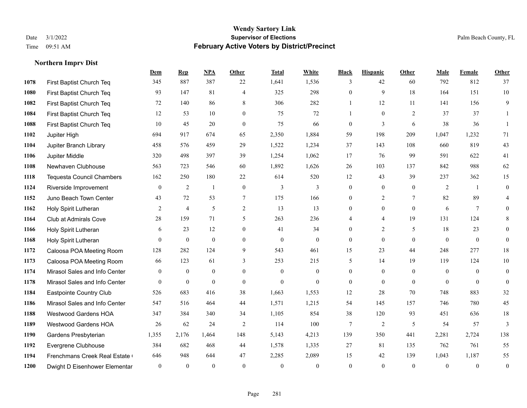**Northern Imprv Dist**

#### **Wendy Sartory Link** Date 3/1/2022 **Supervisor of Elections** Palm Beach County, FL Time 09:51 AM **February Active Voters by District/Precinct**

# **Dem Rep NPA Other Total White Black Hispanic Other Male Female Other** First Baptist Church Teq 345 887 387 22 1,641 1,536 3 42 60 792 812 37 First Baptist Church Teq 93 147 81 4 325 298 0 9 18 164 151 10 First Baptist Church Teq 72 140 86 8 306 282 1 12 11 141 156 9 First Baptist Church Teq **12** 53 10 0 75 72 1 0 2 37 37 1 First Baptist Church Teq 10 45 20 0 75 66 0 3 6 38 36 1 Jupiter High 694 917 674 65 2,350 1,884 59 198 209 1,047 1,232 71 Jupiter Branch Library 458 576 459 29 1,522 1,234 37 143 108 660 819 43 Jupiter Middle 320 498 397 39 1,254 1,062 17 76 99 591 622 41 Newhaven Clubhouse 563 723 546 60 1,892 1,626 26 103 137 842 988 62 Tequesta Council Chambers 162 250 180 22 614 520 12 43 39 237 362 15 Riverside Improvement 0 0 2 1 0 3 3 0 0 0 2 1 0 Juno Beach Town Center 43 72 53 7 175 166 0 2 7 82 89 4 Holy Spirit Lutheran **2** 4 5 2 13 13 0 0 0 6 7 0 Club at Admirals Cove 28 159 71 5 263 236 4 4 19 131 124 8 Holy Spirit Lutheran 6 23 12 0 41 34 0 2 5 18 23 0 Holy Spirit Lutheran 0 0 0 0 0 0 0 0 0 0 0 0 Caloosa POA Meeting Room 128 282 124 9 543 461 15 23 44 248 277 18 Caloosa POA Meeting Room 66 123 61 3 253 215 5 14 19 119 124 10 Mirasol Sales and Info Center 0 0 0 0 0 0 0 0 0 0 0 0 Mirasol Sales and Info Center 0 0 0 0 0 0 0 0 0 0 0 0 Eastpointe Country Club 526 683 416 38 1,663 1,553 12 28 70 748 883 32 Mirasol Sales and Info Center 547 516 464 44 1,571 1,215 54 145 157 746 780 45 Westwood Gardens HOA 347 384 340 34 1,105 854 38 120 93 451 636 18 Westwood Gardens HOA 26 62 24 2 114 100 7 2 5 54 57 3 Gardens Presbyterian 1,355 2,176 1,464 148 5,143 4,213 139 350 441 2,281 2,724 138 Evergrene Clubhouse 384 682 468 44 1,578 1,335 27 81 135 762 761 55 1194 Frenchmans Creek Real Estate 646 948 644 47 2,285 2,089 15 42 139 1,043 1,187 55

Dwight D Eisenhower Elementary 0 0 0 0 0 0 0 0 0 0 0 0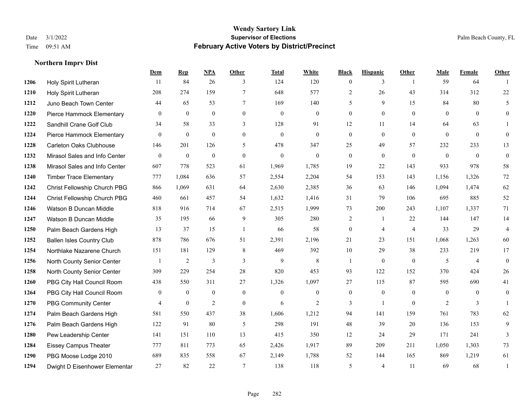|      |                                  | Dem            | <b>Rep</b>     | NPA            | <b>Other</b>   | <b>Total</b> | <b>White</b>     | <b>Black</b>     | <b>Hispanic</b> | <b>Other</b>   | <b>Male</b>    | Female         | <b>Other</b>     |
|------|----------------------------------|----------------|----------------|----------------|----------------|--------------|------------------|------------------|-----------------|----------------|----------------|----------------|------------------|
| 1206 | Holy Spirit Lutheran             | 11             | 84             | 26             | 3              | 124          | 120              | $\mathbf{0}$     | 3               | $\overline{1}$ | 59             | 64             | $\mathbf{1}$     |
| 1210 | Holy Spirit Lutheran             | 208            | 274            | 159            | $\tau$         | 648          | 577              | $\overline{2}$   | 26              | 43             | 314            | 312            | $22\,$           |
| 1212 | Juno Beach Town Center           | 44             | 65             | 53             | $\tau$         | 169          | 140              | 5                | 9               | 15             | 84             | 80             | 5                |
| 1220 | Pierce Hammock Elementary        | $\mathbf{0}$   | $\mathbf{0}$   | $\mathbf{0}$   | $\mathbf{0}$   | $\mathbf{0}$ | $\mathbf{0}$     | $\boldsymbol{0}$ | $\mathbf{0}$    | $\overline{0}$ | $\theta$       | $\theta$       | $\mathbf{0}$     |
| 1222 | Sandhill Crane Golf Club         | 34             | 58             | 33             | 3              | 128          | 91               | 12               | 11              | 14             | 64             | 63             | 1                |
| 1224 | Pierce Hammock Elementary        | $\overline{0}$ | $\mathbf{0}$   | $\mathbf{0}$   | $\mathbf{0}$   | $\mathbf{0}$ | $\boldsymbol{0}$ | $\mathbf{0}$     | $\overline{0}$  | $\overline{0}$ | $\mathbf{0}$   | $\overline{0}$ | $\mathbf{0}$     |
| 1228 | <b>Carleton Oaks Clubhouse</b>   | 146            | 201            | 126            | 5              | 478          | 347              | 25               | 49              | 57             | 232            | 233            | 13               |
| 1232 | Mirasol Sales and Info Center    | $\theta$       | $\overline{0}$ | $\theta$       | $\Omega$       | $\theta$     | $\theta$         | $\theta$         | $\theta$        | $\Omega$       | $\Omega$       | $\theta$       | $\boldsymbol{0}$ |
| 1238 | Mirasol Sales and Info Center    | 607            | 778            | 523            | 61             | 1,969        | 1,785            | 19               | 22              | 143            | 933            | 978            | 58               |
| 1240 | <b>Timber Trace Elementary</b>   | 777            | 1,084          | 636            | 57             | 2,554        | 2,204            | 54               | 153             | 143            | 1,156          | 1,326          | $72\,$           |
| 1242 | Christ Fellowship Church PBG     | 866            | 1,069          | 631            | 64             | 2,630        | 2,385            | 36               | 63              | 146            | 1,094          | 1,474          | 62               |
| 1244 | Christ Fellowship Church PBG     | 460            | 661            | 457            | 54             | 1,632        | 1,416            | 31               | 79              | 106            | 695            | 885            | $52\,$           |
| 1246 | Watson B Duncan Middle           | 818            | 916            | 714            | 67             | 2,515        | 1,999            | 73               | 200             | 243            | 1,107          | 1,337          | 71               |
| 1247 | Watson B Duncan Middle           | 35             | 195            | 66             | $\overline{9}$ | 305          | 280              | 2                | 1               | 22             | 144            | 147            | 14               |
| 1250 | Palm Beach Gardens High          | 13             | 37             | 15             | $\overline{1}$ | 66           | 58               | $\boldsymbol{0}$ | $\overline{4}$  | $\overline{4}$ | 33             | 29             | $\overline{4}$   |
| 1252 | <b>Ballen Isles Country Club</b> | 878            | 786            | 676            | 51             | 2,391        | 2,196            | 21               | 23              | 151            | 1,068          | 1,263          | 60               |
| 1254 | Northlake Nazarene Church        | 151            | 181            | 129            | $\,8\,$        | 469          | 392              | 10               | 29              | 38             | 233            | 219            | 17               |
| 1256 | North County Senior Center       | -1             | 2              | 3              | 3              | 9            | 8                | $\mathbf{1}$     | $\mathbf{0}$    | $\theta$       | 5              | $\overline{4}$ | $\mathbf{0}$     |
| 1258 | North County Senior Center       | 309            | 229            | 254            | 28             | 820          | 453              | 93               | 122             | 152            | 370            | 424            | 26               |
| 1260 | PBG City Hall Council Room       | 438            | 550            | 311            | 27             | 1,326        | 1,097            | 27               | 115             | 87             | 595            | 690            | 41               |
| 1264 | PBG City Hall Council Room       | $\overline{0}$ | $\mathbf{0}$   | $\mathbf{0}$   | $\theta$       | $\theta$     | $\overline{0}$   | $\mathbf{0}$     | $\mathbf{0}$    | $\theta$       | $\theta$       | $\theta$       | $\mathbf{0}$     |
| 1270 | PBG Community Center             | 4              | $\mathbf{0}$   | $\overline{2}$ | $\mathbf{0}$   | 6            | $\overline{2}$   | 3                | $\overline{1}$  | $\theta$       | $\overline{2}$ | 3              | $\mathbf{1}$     |
| 1274 | Palm Beach Gardens High          | 581            | 550            | 437            | 38             | 1,606        | 1,212            | 94               | 141             | 159            | 761            | 783            | 62               |
| 1276 | Palm Beach Gardens High          | 122            | 91             | 80             | 5              | 298          | 191              | 48               | 39              | 20             | 136            | 153            | 9                |
| 1280 | Pew Leadership Center            | 141            | 151            | 110            | 13             | 415          | 350              | 12               | 24              | 29             | 171            | 241            | 3                |
| 1284 | <b>Eissey Campus Theater</b>     | 777            | 811            | 773            | 65             | 2,426        | 1,917            | 89               | 209             | 211            | 1,050          | 1,303          | 73               |
| 1290 | PBG Moose Lodge 2010             | 689            | 835            | 558            | 67             | 2,149        | 1,788            | 52               | 144             | 165            | 869            | 1,219          | 61               |
| 1294 | Dwight D Eisenhower Elementar    | 27             | 82             | 22             | $\tau$         | 138          | 118              | 5                | 4               | 11             | 69             | 68             | 1                |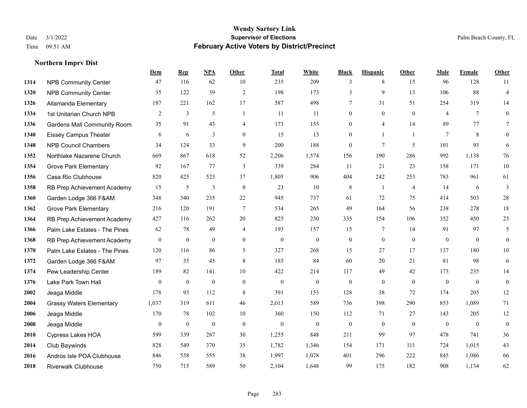|      |                                    | Dem            | <b>Rep</b>       | NPA              | <b>Other</b>   | <b>Total</b>     | <b>White</b>     | <b>Black</b>     | <b>Hispanic</b> | <b>Other</b>   | <b>Male</b>    | Female         | <b>Other</b>     |
|------|------------------------------------|----------------|------------------|------------------|----------------|------------------|------------------|------------------|-----------------|----------------|----------------|----------------|------------------|
| 1314 | <b>NPB Community Center</b>        | 47             | 116              | 62               | 10             | 235              | 209              | 3                | 8               | 15             | 96             | 128            | 11               |
| 1320 | <b>NPB Community Center</b>        | 35             | 122              | 39               | $\overline{2}$ | 198              | 173              | 3                | 9               | 13             | 106            | 88             | $\overline{4}$   |
| 1326 | Allamanda Elementary               | 187            | 221              | 162              | 17             | 587              | 498              | 7                | 31              | 51             | 254            | 319            | 14               |
| 1334 | 1st Unitarian Church NPB           | $\overline{2}$ | $\mathfrak{Z}$   | 5                | $\mathbf{1}$   | 11               | 11               | $\boldsymbol{0}$ | $\mathbf{0}$    | $\theta$       | $\overline{4}$ | $\tau$         | $\mathbf{0}$     |
| 1336 | <b>Gardens Mall Community Room</b> | 35             | 91               | 43               | $\overline{4}$ | 173              | 155              | $\boldsymbol{0}$ | 4               | 14             | 89             | 77             | 7                |
| 1340 | <b>Eissey Campus Theater</b>       | 6              | 6                | 3                | $\overline{0}$ | 15               | 13               | $\boldsymbol{0}$ | $\mathbf{1}$    | $\overline{1}$ | 7              | 8              | $\mathbf{0}$     |
| 1348 | <b>NPB Council Chambers</b>        | 34             | 124              | 33               | 9              | 200              | 188              | $\boldsymbol{0}$ | $\overline{7}$  | 5              | 101            | 93             | 6                |
| 1352 | Northlake Nazarene Church          | 669            | 867              | 618              | 52             | 2,206            | 1,574            | 156              | 190             | 286            | 992            | 1,138          | 76               |
| 1354 | <b>Grove Park Elementary</b>       | 92             | 167              | 77               | $\overline{3}$ | 339              | 284              | 11               | 21              | 23             | 158            | 171            | $10\,$           |
| 1356 | Casa Rio Clubhouse                 | 820            | 425              | 523              | 37             | 1,805            | 906              | 404              | 242             | 253            | 783            | 961            | 61               |
| 1358 | RB Prep Achievement Academy        | 15             | 5                | $\overline{3}$   | $\theta$       | 23               | 10               | 8                | $\mathbf{1}$    | $\overline{4}$ | 14             | 6              | 3                |
| 1360 | Garden Lodge 366 F&AM              | 348            | 340              | 235              | 22             | 945              | 737              | 61               | 72              | 75             | 414            | 503            | $28\,$           |
| 1362 | <b>Grove Park Elementary</b>       | 216            | 120              | 191              | $\tau$         | 534              | 265              | 49               | 164             | 56             | 238            | 278            | 18               |
| 1364 | RB Prep Achievement Academy        | 427            | 116              | 262              | 20             | 825              | 230              | 335              | 154             | 106            | 352            | 450            | $23\,$           |
| 1366 | Palm Lake Estates - The Pines      | 62             | 78               | 49               | $\overline{4}$ | 193              | 157              | 15               | $\tau$          | 14             | 91             | 97             | 5                |
| 1368 | RB Prep Achievement Academy        | $\overline{0}$ | $\boldsymbol{0}$ | $\overline{0}$   | $\overline{0}$ | $\mathbf{0}$     | $\mathbf{0}$     | $\boldsymbol{0}$ | $\mathbf{0}$    | $\mathbf{0}$   | $\mathbf{0}$   | $\mathbf{0}$   | $\mathbf{0}$     |
| 1370 | Palm Lake Estates - The Pines      | 120            | 116              | 86               | 5              | 327              | 268              | 15               | 27              | 17             | 137            | 180            | 10               |
| 1372 | Garden Lodge 366 F&AM              | 97             | 35               | 45               | 8              | 185              | 84               | 60               | 20              | 21             | 81             | 98             | 6                |
| 1374 | Pew Leadership Center              | 189            | 82               | 141              | $10\,$         | 422              | 214              | 117              | 49              | 42             | 173            | 235            | 14               |
| 1376 | Lake Park Town Hall                | $\mathbf{0}$   | $\boldsymbol{0}$ | $\theta$         | $\overline{0}$ | $\mathbf{0}$     | $\boldsymbol{0}$ | $\boldsymbol{0}$ | $\mathbf{0}$    | $\theta$       | $\mathbf{0}$   | $\overline{0}$ | $\boldsymbol{0}$ |
| 2002 | Jeaga Middle                       | 178            | 93               | 112              | 8              | 391              | 153              | 128              | 38              | 72             | 174            | 205            | 12               |
| 2004 | <b>Grassy Waters Elementary</b>    | 1,037          | 319              | 611              | 46             | 2,013            | 589              | 736              | 398             | 290            | 853            | 1,089          | 71               |
| 2006 | Jeaga Middle                       | 170            | 78               | 102              | 10             | 360              | 150              | 112              | 71              | 27             | 143            | 205            | 12               |
| 2008 | Jeaga Middle                       | $\mathbf{0}$   | $\boldsymbol{0}$ | $\boldsymbol{0}$ | $\mathbf{0}$   | $\boldsymbol{0}$ | $\boldsymbol{0}$ | $\boldsymbol{0}$ | $\mathbf{0}$    | $\mathbf{0}$   | $\mathbf{0}$   | $\mathbf{0}$   | $\boldsymbol{0}$ |
| 2010 | Cypress Lakes HOA                  | 599            | 339              | 287              | 30             | 1,255            | 848              | 211              | 99              | 97             | 478            | 741            | 36               |
| 2014 | Club Baywinds                      | 828            | 549              | 370              | 35             | 1,782            | 1,346            | 154              | 171             | 111            | 724            | 1,015          | 43               |
| 2016 | Andros Isle POA Clubhouse          | 846            | 558              | 555              | 38             | 1,997            | 1,078            | 401              | 296             | 222            | 845            | 1,086          | 66               |
| 2018 | <b>Riverwalk Clubhouse</b>         | 750            | 715              | 589              | 50             | 2,104            | 1,648            | 99               | 175             | 182            | 908            | 1,134          | 62               |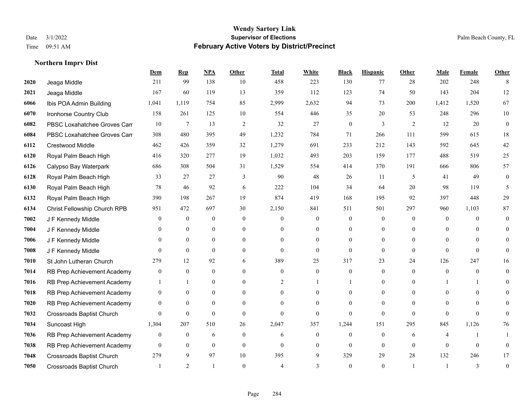|      |                                  | Dem              | <b>Rep</b>       | NPA              | <b>Other</b>   | <b>Total</b>   | <b>White</b>     | <b>Black</b>     | <b>Hispanic</b>  | <b>Other</b> | <b>Male</b>    | <b>Female</b>  | <b>Other</b>   |
|------|----------------------------------|------------------|------------------|------------------|----------------|----------------|------------------|------------------|------------------|--------------|----------------|----------------|----------------|
| 2020 | Jeaga Middle                     | 211              | 99               | 138              | 10             | 458            | 223              | 130              | 77               | 28           | 202            | 248            | 8              |
| 2021 | Jeaga Middle                     | 167              | 60               | 119              | 13             | 359            | 112              | 123              | 74               | 50           | 143            | 204            | 12             |
| 6066 | Ibis POA Admin Building          | 1,041            | 1,119            | 754              | 85             | 2,999          | 2,632            | 94               | 73               | 200          | 1,412          | 1,520          | 67             |
| 6070 | Ironhorse Country Club           | 158              | 261              | 125              | 10             | 554            | 446              | 35               | 20               | 53           | 248            | 296            | 10             |
| 6082 | PBSC Loxahatchee Groves Can      | 10               | 7                | 13               | 2              | 32             | 27               | $\overline{0}$   | 3                | 2            | 12             | 20             | $\mathbf{0}$   |
| 6084 | PBSC Loxahatchee Groves Can      | 308              | 480              | 395              | 49             | 1,232          | 784              | 71               | 266              | 111          | 599            | 615            | 18             |
| 6112 | Crestwood Middle                 | 462              | 426              | 359              | 32             | 1,279          | 691              | 233              | 212              | 143          | 592            | 645            | 42             |
| 6120 | Royal Palm Beach High            | 416              | 320              | 277              | 19             | 1,032          | 493              | 203              | 159              | 177          | 488            | 519            | 25             |
| 6126 | Calypso Bay Waterpark            | 686              | 308              | 504              | 31             | 1,529          | 554              | 414              | 370              | 191          | 666            | 806            | 57             |
| 6128 | Royal Palm Beach High            | 33               | 27               | 27               | 3              | 90             | 48               | 26               | 11               | 5            | 41             | 49             | $\mathbf{0}$   |
| 6130 | Royal Palm Beach High            | 78               | 46               | 92               | 6              | 222            | 104              | 34               | 64               | 20           | 98             | 119            | 5              |
| 6132 | Royal Palm Beach High            | 390              | 198              | 267              | 19             | 874            | 419              | 168              | 195              | 92           | 397            | 448            | 29             |
| 6134 | Christ Fellowship Church RPB     | 951              | 472              | 697              | 30             | 2,150          | 841              | 511              | 501              | 297          | 960            | 1,103          | $87\,$         |
| 7002 | J F Kennedy Middle               | $\mathbf{0}$     | $\boldsymbol{0}$ | $\boldsymbol{0}$ | $\mathbf{0}$   | $\overline{0}$ | $\mathbf{0}$     | $\boldsymbol{0}$ | $\overline{0}$   | $\mathbf{0}$ | $\overline{0}$ | $\mathbf{0}$   | $\theta$       |
| 7004 | J F Kennedy Middle               | $\theta$         | $\overline{0}$   | $\mathbf{0}$     | $\overline{0}$ | $\Omega$       | $\overline{0}$   | $\mathbf{0}$     | $\overline{0}$   | $\theta$     | $\theta$       | $\Omega$       | 0              |
| 7006 | J F Kennedy Middle               | $\theta$         | $\theta$         | $\theta$         | $\theta$       | $\Omega$       | $\Omega$         | 0                | $\theta$         | $\Omega$     | $\theta$       | $\theta$       | 0              |
| 7008 | J F Kennedy Middle               | $\theta$         | $\overline{0}$   | $\mathbf{0}$     | $\overline{0}$ | $\theta$       | $\overline{0}$   | $\mathbf{0}$     | $\overline{0}$   | $\theta$     | $\Omega$       | $\theta$       | $\Omega$       |
| 7010 | St John Lutheran Church          | 279              | 12               | 92               | 6              | 389            | 25               | 317              | 23               | 24           | 126            | 247            | 16             |
| 7014 | RB Prep Achievement Academy      | $\mathbf{0}$     | $\mathbf{0}$     | $\mathbf{0}$     | $\theta$       | $\overline{0}$ | $\overline{0}$   | $\mathbf{0}$     | $\overline{0}$   | $\theta$     | $\overline{0}$ | $\overline{0}$ | $\theta$       |
| 7016 | RB Prep Achievement Academy      |                  | $\mathbf{1}$     | $\mathbf{0}$     | $\theta$       | 2              | $\mathbf{1}$     |                  | $\overline{0}$   | $\theta$     |                |                | $\Omega$       |
| 7018 | RB Prep Achievement Academy      | $\overline{0}$   | $\theta$         | $\theta$         | $\Omega$       | $\Omega$       | $\theta$         | $\Omega$         | $\Omega$         | $\Omega$     | $\Omega$       | $\Omega$       | $\Omega$       |
| 7020 | RB Prep Achievement Academy      | $\mathbf{0}$     | $\mathbf{0}$     | $\boldsymbol{0}$ | $\theta$       | $\theta$       | $\overline{0}$   | $\theta$         | $\overline{0}$   | $\Omega$     | $\theta$       | $\Omega$       | 0              |
| 7032 | <b>Crossroads Baptist Church</b> | $\theta$         | $\mathbf{0}$     | $\mathbf{0}$     | $\theta$       | $\theta$       | $\overline{0}$   | $\theta$         | $\overline{0}$   | $\Omega$     | $\Omega$       | $\Omega$       | 0              |
| 7034 | Suncoast High                    | 1,304            | 207              | 510              | 26             | 2,047          | 357              | 1,244            | 151              | 295          | 845            | 1,126          | 76             |
| 7036 | RB Prep Achievement Academy      | $\boldsymbol{0}$ | $\boldsymbol{0}$ | 6                | $\mathbf{0}$   | 6              | $\boldsymbol{0}$ | $\boldsymbol{0}$ | $\boldsymbol{0}$ | 6            | 4              |                |                |
| 7038 | RB Prep Achievement Academy      | $\overline{0}$   | $\overline{0}$   | $\mathbf{0}$     | $\theta$       | $\theta$       | $\overline{0}$   | $\Omega$         | $\overline{0}$   | $\theta$     | $\theta$       | $\theta$       | 0              |
| 7048 | <b>Crossroads Baptist Church</b> | 279              | 9                | 97               | 10             | 395            | 9                | 329              | 29               | 28           | 132            | 246            | 17             |
| 7050 | <b>Crossroads Baptist Church</b> |                  | 2                |                  | $\Omega$       |                | 3                | $\Omega$         | $\theta$         |              | $\overline{1}$ | 3              | $\overline{0}$ |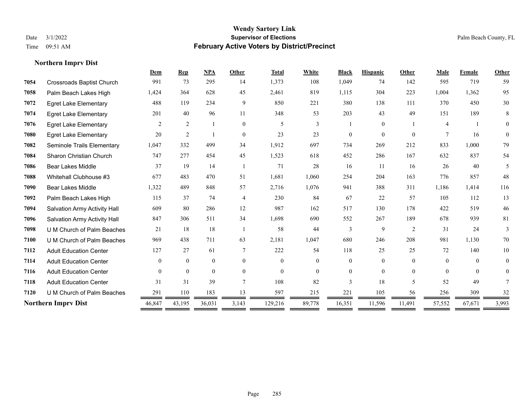|      |                                     | Dem            | <b>Rep</b>     | <b>NPA</b>       | Other          | <b>Total</b> | White          | <b>Black</b>   | <b>Hispanic</b> | Other          | Male           | Female   | Other          |
|------|-------------------------------------|----------------|----------------|------------------|----------------|--------------|----------------|----------------|-----------------|----------------|----------------|----------|----------------|
| 7054 | <b>Crossroads Baptist Church</b>    | 991            | 73             | 295              | 14             | 1,373        | 108            | 1,049          | 74              | 142            | 595            | 719      | 59             |
| 7058 | Palm Beach Lakes High               | 1,424          | 364            | 628              | 45             | 2,461        | 819            | 1,115          | 304             | 223            | 1.004          | 1,362    | 95             |
| 7072 | <b>Egret Lake Elementary</b>        | 488            | 119            | 234              | 9              | 850          | 221            | 380            | 138             | 111            | 370            | 450      | 30             |
| 7074 | <b>Egret Lake Elementary</b>        | 201            | 40             | 96               | 11             | 348          | 53             | 203            | 43              | 49             | 151            | 189      | 8              |
| 7076 | <b>Egret Lake Elementary</b>        | 2              | $\overline{c}$ |                  | $\theta$       | 5            | 3              |                | $\Omega$        |                | 4              |          | $\theta$       |
| 7080 | <b>Egret Lake Elementary</b>        | 20             | $\overline{2}$ |                  | $\theta$       | 23           | 23             | 0              | $\Omega$        | $\Omega$       | $\overline{7}$ | 16       | $\theta$       |
| 7082 | Seminole Trails Elementary          | 1,047          | 332            | 499              | 34             | 1,912        | 697            | 734            | 269             | 212            | 833            | 1,000    | 79             |
| 7084 | <b>Sharon Christian Church</b>      | 747            | 277            | 454              | 45             | 1,523        | 618            | 452            | 286             | 167            | 632            | 837      | 54             |
| 7086 | <b>Bear Lakes Middle</b>            | 37             | 19             | 14               | - 1            | 71           | 28             | 16             | 11              | 16             | 26             | 40       | 5              |
| 7088 | Whitehall Clubhouse #3              | 677            | 483            | 470              | 51             | 1,681        | 1,060          | 254            | 204             | 163            | 776            | 857      | 48             |
| 7090 | <b>Bear Lakes Middle</b>            | 1,322          | 489            | 848              | 57             | 2,716        | 1,076          | 941            | 388             | 311            | 1,186          | 1,414    | 116            |
| 7092 | Palm Beach Lakes High               | 115            | 37             | 74               | $\overline{4}$ | 230          | 84             | 67             | 22              | 57             | 105            | 112      | 13             |
| 7094 | Salvation Army Activity Hall        | 609            | 80             | 286              | 12             | 987          | 162            | 517            | 130             | 178            | 422            | 519      | 46             |
| 7096 | <b>Salvation Army Activity Hall</b> | 847            | 306            | 511              | 34             | 1,698        | 690            | 552            | 267             | 189            | 678            | 939      | 81             |
| 7098 | U M Church of Palm Beaches          | 21             | 18             | 18               |                | 58           | 44             | 3              | 9               | $\overline{2}$ | 31             | 24       | 3              |
| 7100 | U M Church of Palm Beaches          | 969            | 438            | 711              | 63             | 2,181        | 1,047          | 680            | 246             | 208            | 981            | 1,130    | 70             |
| 7112 | <b>Adult Education Center</b>       | 127            | 27             | 61               | 7              | 222          | 54             | 118            | 25              | 25             | 72             | 140      | 10             |
| 7114 | <b>Adult Education Center</b>       | $\overline{0}$ | $\overline{0}$ | $\boldsymbol{0}$ | $\theta$       | $\theta$     | $\overline{0}$ | $\overline{0}$ | 0               | $\theta$       | $\theta$       | $\theta$ | $\overline{0}$ |
| 7116 | <b>Adult Education Center</b>       | $\Omega$       | $\theta$       | $\theta$         | $\theta$       | $\Omega$     | $\theta$       | $\overline{0}$ | $\theta$        | $\Omega$       | $\Omega$       | $\Omega$ | $\Omega$       |
| 7118 | <b>Adult Education Center</b>       | 31             | 31             | 39               | $\tau$         | 108          | 82             | 3              | 18              | 5              | 52             | 49       |                |
| 7120 | U M Church of Palm Beaches          | 291            | 110            | 183              | 13             | 597          | 215            | 221            | 105             | 56             | 256            | 309      | 32             |
|      | <b>Northern Imprv Dist</b>          | 46,847         | 43,195         | 36,031           | 3,143          | 129,216      | 89,778         | 16,351         | 11,596          | 11,491         | 57,552         | 67,671   | 3,993          |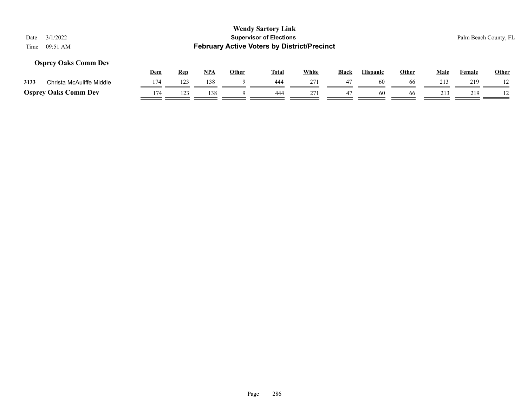### **Osprey Oaks Comm Dev**

|      |                             | Dem | Rep | <b>NPA</b> | Other | <b>Total</b> | White | <b>Black</b> | <b>Hispanic</b> | Other | Male | Female | <b>Other</b> |
|------|-----------------------------|-----|-----|------------|-------|--------------|-------|--------------|-----------------|-------|------|--------|--------------|
| 3133 | Christa McAuliffe Middle    | 17/ | 123 | 138        |       | 444          | 271   | 47           | 60              | 66    | 213  | 219    |              |
|      | <b>Osprey Oaks Comm Dev</b> | 174 |     | 138        |       | 444          | 271   |              | 60              | 66    | 213  | 219    |              |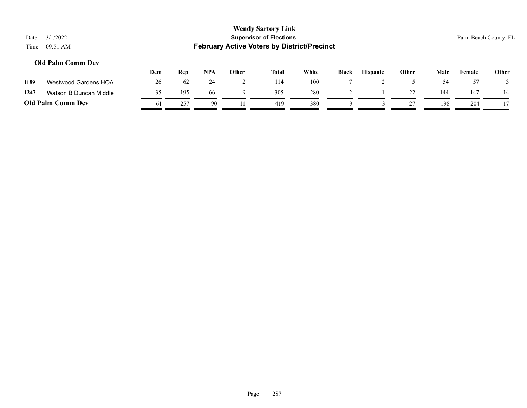### **Wendy Sartory Link** Date 3/1/2022 **Supervisor of Elections** Palm Beach County, FL Time 09:51 AM **February Active Voters by District/Precinct Dem Rep NPA Other Total White Black Hispanic Other Male Female Other Old Palm Comm Dev 1189** Westwood Gardens HOA 26 62 24 2 114 100 7 2 5 54 57 3

**1247** Watson B Duncan Middle  $\frac{35}{2} = \frac{195}{2} = \frac{66}{2} = \frac{9}{2} = \frac{305}{2} = \frac{280}{2} = \frac{2}{2} = \frac{1}{2} = \frac{22}{2} = \frac{144}{2} = \frac{147}{2} = \frac{147}{2} = \frac{147}{2} = \frac{147}{2} = \frac{147}{2} = \frac{147}{2} = \frac{147}{2} = \frac{147}{2} = \frac{147}{2} = \frac{147}{2}$ **Old Palm Comm Dev**  $\frac{61}{257} = \frac{257}{257} = \frac{90}{257} = \frac{11}{257} = \frac{419}{257} = \frac{380}{257} = \frac{9}{257} = \frac{3}{257} = \frac{27}{257} = \frac{198}{257} = \frac{204}{257} = \frac{17}{257} = \frac{1}{257} = \frac{2}{257} = \frac{1}{257} = \frac{2}{257} = \frac{1}{257} = \frac{2}{257} = \frac{1}{$ 

÷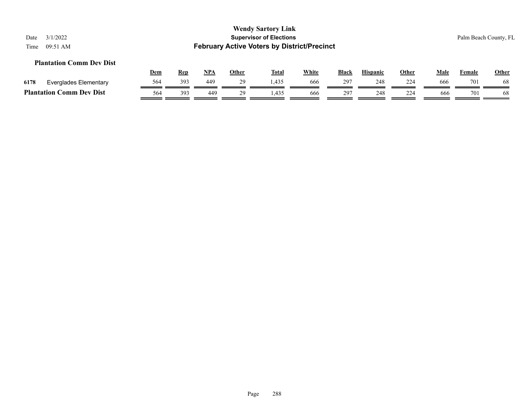#### **Plantation Comm Dev Dist**

|      |                                             | <u>Dem</u> | Rep | <b>NPA</b> | Other | <b>Total</b> | White | <b>Black</b> | <b>Hispanic</b> | Other | Male | Female | <b>Other</b> |
|------|---------------------------------------------|------------|-----|------------|-------|--------------|-------|--------------|-----------------|-------|------|--------|--------------|
| 6178 | Everglades Elementary                       | 564        | 393 | 449        |       | 435. ا       | 666   | 297          | 248             | 224   | 666  | 701    | 68           |
|      | <b>Comm Dev Dist</b><br><b>Plantation (</b> | 564        | 393 | 449        |       | :43.         | 666   | 297          | 248             | 224   | 666  | 701    | 68           |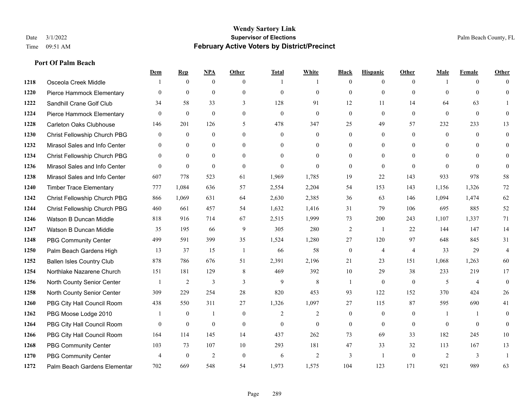**Port Of Palm Beach**

#### **Wendy Sartory Link** Date 3/1/2022 **Supervisor of Elections** Palm Beach County, FL Time 09:51 AM **February Active Voters by District/Precinct**

|      |                                  | Dem                      | <b>Rep</b>     | NPA            | Other        | <b>Total</b>     | White            | <b>Black</b>     | <b>Hispanic</b>  | Other          | Male         | Female         | Other          |
|------|----------------------------------|--------------------------|----------------|----------------|--------------|------------------|------------------|------------------|------------------|----------------|--------------|----------------|----------------|
| 1218 | Osceola Creek Middle             |                          | $\overline{0}$ | $\overline{0}$ | $\theta$     | 1                |                  | $\Omega$         | $\overline{0}$   | $\Omega$       |              | $\theta$       | $\Omega$       |
| 1220 | Pierce Hammock Elementary        | $\theta$                 | $\overline{0}$ | $\overline{0}$ | $\mathbf{0}$ | $\mathbf{0}$     | $\mathbf{0}$     | $\mathbf{0}$     | $\mathbf{0}$     | $\theta$       | $\theta$     | $\theta$       | $\theta$       |
| 1222 | Sandhill Crane Golf Club         | 34                       | 58             | 33             | 3            | 128              | 91               | 12               | 11               | 14             | 64           | 63             | -1             |
| 1224 | Pierce Hammock Elementary        | $\mathbf{0}$             | $\mathbf{0}$   | $\mathbf{0}$   | $\mathbf{0}$ | $\boldsymbol{0}$ | $\boldsymbol{0}$ | $\overline{0}$   | $\mathbf{0}$     | $\mathbf{0}$   | $\mathbf{0}$ | $\mathbf{0}$   | $\theta$       |
| 1228 | <b>Carleton Oaks Clubhouse</b>   | 146                      | 201            | 126            | 5            | 478              | 347              | 25               | 49               | 57             | 232          | 233            | 13             |
| 1230 | Christ Fellowship Church PBG     | $\theta$                 | $\overline{0}$ | 0              | $\theta$     | $\mathbf{0}$     | $\theta$         | $\overline{0}$   | $\overline{0}$   | $\Omega$       | $\theta$     | $\Omega$       | $\theta$       |
| 1232 | Mirasol Sales and Info Center    | $\Omega$                 | $\overline{0}$ | $\overline{0}$ | $\mathbf{0}$ | $\theta$         | $\mathbf{0}$     | $\theta$         | $\mathbf{0}$     | $\theta$       | $\Omega$     | $\theta$       | $\Omega$       |
| 1234 | Christ Fellowship Church PBG     | $\theta$                 | $\overline{0}$ | 0              | $\theta$     | $\theta$         | $\theta$         | $\overline{0}$   | $\overline{0}$   | $\theta$       | $\Omega$     | $\Omega$       | $\theta$       |
| 1236 | Mirasol Sales and Info Center    | $\theta$                 | $\overline{0}$ | 0              | $\theta$     | $\mathbf{0}$     | $\overline{0}$   | $\Omega$         | $\overline{0}$   | $\theta$       | $\theta$     | $\theta$       | $\theta$       |
| 1238 | Mirasol Sales and Info Center    | 607                      | 778            | 523            | 61           | 1,969            | 1,785            | 19               | 22               | 143            | 933          | 978            | 58             |
| 1240 | <b>Timber Trace Elementary</b>   | 777                      | 1,084          | 636            | 57           | 2,554            | 2,204            | 54               | 153              | 143            | 1,156        | 1,326          | 72             |
| 1242 | Christ Fellowship Church PBG     | 866                      | 1,069          | 631            | 64           | 2,630            | 2,385            | 36               | 63               | 146            | 1,094        | 1,474          | 62             |
| 1244 | Christ Fellowship Church PBG     | 460                      | 661            | 457            | 54           | 1,632            | 1,416            | 31               | 79               | 106            | 695          | 885            | 52             |
| 1246 | Watson B Duncan Middle           | 818                      | 916            | 714            | 67           | 2,515            | 1,999            | 73               | 200              | 243            | 1,107        | 1,337          | 71             |
| 1247 | Watson B Duncan Middle           | 35                       | 195            | 66             | 9            | 305              | 280              | $\overline{c}$   | -1               | 22             | 144          | 147            | 14             |
| 1248 | PBG Community Center             | 499                      | 591            | 399            | 35           | 1,524            | 1,280            | 27               | 120              | 97             | 648          | 845            | 31             |
| 1250 | Palm Beach Gardens High          | 13                       | 37             | 15             | -1           | 66               | 58               | $\boldsymbol{0}$ | $\overline{4}$   | $\overline{4}$ | 33           | 29             | $\overline{4}$ |
| 1252 | <b>Ballen Isles Country Club</b> | 878                      | 786            | 676            | 51           | 2,391            | 2,196            | 21               | 23               | 151            | 1,068        | 1,263          | 60             |
| 1254 | Northlake Nazarene Church        | 151                      | 181            | 129            | 8            | 469              | 392              | 10               | 29               | 38             | 233          | 219            | 17             |
| 1256 | North County Senior Center       | $\overline{\phantom{a}}$ | $\overline{2}$ | $\mathfrak{Z}$ | 3            | 9                | 8                | $\mathbf{1}$     | $\boldsymbol{0}$ | $\mathbf{0}$   | 5            | $\overline{4}$ | $\mathbf{0}$   |
| 1258 | North County Senior Center       | 309                      | 229            | 254            | 28           | 820              | 453              | 93               | 122              | 152            | 370          | 424            | 26             |
| 1260 | PBG City Hall Council Room       | 438                      | 550            | 311            | 27           | 1,326            | 1,097            | 27               | 115              | 87             | 595          | 690            | 41             |
| 1262 | PBG Moose Lodge 2010             |                          | $\mathbf{0}$   | $\mathbf{1}$   | $\mathbf{0}$ | $\overline{2}$   | $\overline{2}$   | $\mathbf{0}$     | $\overline{0}$   | $\theta$       |              |                | $\Omega$       |
| 1264 | PBG City Hall Council Room       | $\Omega$                 | $\mathbf{0}$   | $\theta$       | $\theta$     | $\theta$         | $\theta$         | $\Omega$         | $\theta$         | $\Omega$       | $\Omega$     | $\Omega$       | $\theta$       |
| 1266 | PBG City Hall Council Room       | 164                      | 114            | 145            | 14           | 437              | 262              | 73               | 69               | 33             | 182          | 245            | 10             |
| 1268 | <b>PBG Community Center</b>      | 103                      | 73             | 107            | 10           | 293              | 181              | 47               | 33               | 32             | 113          | 167            | 13             |
| 1270 | PBG Community Center             | $\Delta$                 | $\Omega$       | 2              | $\theta$     | 6                | 2                | 3                | $\mathbf{1}$     | $\Omega$       | 2            | 3              |                |
| 1272 | Palm Beach Gardens Elementar     | 702                      | 669            | 548            | 54           | 1,973            | 1,575            | 104              | 123              | 171            | 921          | 989            | 63             |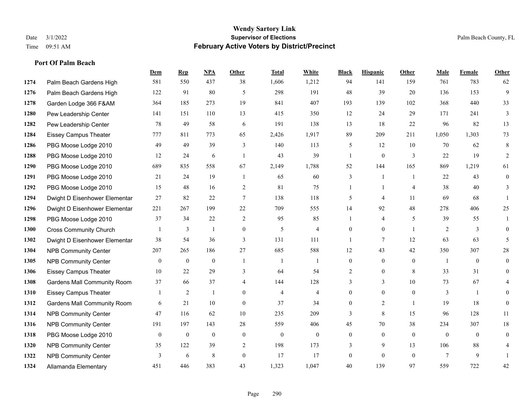|      |                                    | Dem          | <b>Rep</b>       | NPA              | <b>Other</b>    | <b>Total</b>   | <b>White</b>     | <b>Black</b>     | <b>Hispanic</b> | <b>Other</b>   | <b>Male</b>  | <b>Female</b>  | <b>Other</b>     |
|------|------------------------------------|--------------|------------------|------------------|-----------------|----------------|------------------|------------------|-----------------|----------------|--------------|----------------|------------------|
| 1274 | Palm Beach Gardens High            | 581          | 550              | 437              | 38              | 1,606          | 1,212            | 94               | 141             | 159            | 761          | 783            | 62               |
| 1276 | Palm Beach Gardens High            | 122          | 91               | 80               | 5               | 298            | 191              | 48               | 39              | 20             | 136          | 153            | 9                |
| 1278 | Garden Lodge 366 F&AM              | 364          | 185              | 273              | 19              | 841            | 407              | 193              | 139             | 102            | 368          | 440            | 33               |
| 1280 | Pew Leadership Center              | 141          | 151              | 110              | 13              | 415            | 350              | 12               | 24              | 29             | 171          | 241            | 3                |
| 1282 | Pew Leadership Center              | 78           | 49               | 58               | 6               | 191            | 138              | 13               | 18              | 22             | 96           | 82             | 13               |
| 1284 | <b>Eissey Campus Theater</b>       | 777          | 811              | 773              | 65              | 2,426          | 1,917            | 89               | 209             | 211            | 1,050        | 1,303          | 73               |
| 1286 | PBG Moose Lodge 2010               | 49           | 49               | 39               | 3               | 140            | 113              | 5                | 12              | 10             | 70           | 62             | 8                |
| 1288 | PBG Moose Lodge 2010               | 12           | 24               | 6                | $\overline{1}$  | 43             | 39               | $\mathbf{1}$     | $\mathbf{0}$    | 3              | 22           | 19             | $\overline{2}$   |
| 1290 | PBG Moose Lodge 2010               | 689          | 835              | 558              | 67              | 2,149          | 1,788            | 52               | 144             | 165            | 869          | 1,219          | 61               |
| 1291 | PBG Moose Lodge 2010               | 21           | 24               | 19               | -1              | 65             | 60               | 3                | 1               | $\overline{1}$ | 22           | 43             | $\boldsymbol{0}$ |
| 1292 | PBG Moose Lodge 2010               | 15           | 48               | 16               | 2               | 81             | 75               | $\mathbf{1}$     | $\mathbf{1}$    | $\overline{4}$ | 38           | 40             | 3                |
| 1294 | Dwight D Eisenhower Elementar      | 27           | 82               | 22               | $7\phantom{.0}$ | 138            | 118              | 5                | $\overline{4}$  | 11             | 69           | 68             | 1                |
| 1296 | Dwight D Eisenhower Elementar      | 221          | 267              | 199              | 22              | 709            | 555              | 14               | 92              | 48             | 278          | 406            | 25               |
| 1298 | PBG Moose Lodge 2010               | 37           | 34               | 22               | $\overline{2}$  | 95             | 85               | 1                | 4               | 5              | 39           | 55             | 1                |
| 1300 | <b>Cross Community Church</b>      |              | 3                | $\mathbf{1}$     | $\overline{0}$  | 5              | $\overline{4}$   | $\mathbf{0}$     | $\mathbf{0}$    | $\overline{1}$ | 2            | 3              | $\mathbf{0}$     |
| 1302 | Dwight D Eisenhower Elementar      | 38           | 54               | 36               | 3               | 131            | 111              | $\mathbf{1}$     | $\overline{7}$  | 12             | 63           | 63             | 5                |
| 1304 | <b>NPB Community Center</b>        | 207          | 265              | 186              | 27              | 685            | 588              | 12               | 43              | 42             | 350          | 307            | $28\,$           |
| 1305 | <b>NPB Community Center</b>        | $\mathbf{0}$ | $\mathbf{0}$     | $\mathbf{0}$     | $\overline{1}$  | $\overline{1}$ | 1                | $\mathbf{0}$     | $\mathbf{0}$    | $\theta$       | -1           | $\theta$       | $\mathbf{0}$     |
| 1306 | <b>Eissey Campus Theater</b>       | 10           | 22               | 29               | 3               | 64             | 54               | 2                | $\mathbf{0}$    | 8              | 33           | 31             | $\mathbf{0}$     |
| 1308 | <b>Gardens Mall Community Room</b> | 37           | 66               | 37               | 4               | 144            | 128              | 3                | 3               | 10             | 73           | 67             | 4                |
| 1310 | <b>Eissey Campus Theater</b>       |              | $\overline{2}$   | 1                | $\theta$        | $\overline{4}$ | $\overline{4}$   | $\overline{0}$   | $\mathbf{0}$    | $\theta$       | 3            | $\overline{1}$ | $\Omega$         |
| 1312 | <b>Gardens Mall Community Room</b> | 6            | 21               | 10               | $\overline{0}$  | 37             | 34               | $\overline{0}$   | $\overline{c}$  | $\overline{1}$ | 19           | 18             | $\mathbf{0}$     |
| 1314 | <b>NPB Community Center</b>        | 47           | 116              | 62               | 10              | 235            | 209              | 3                | 8               | 15             | 96           | 128            | 11               |
| 1316 | <b>NPB Community Center</b>        | 191          | 197              | 143              | 28              | 559            | 406              | 45               | 70              | 38             | 234          | 307            | 18               |
| 1318 | PBG Moose Lodge 2010               | $\mathbf{0}$ | $\boldsymbol{0}$ | $\boldsymbol{0}$ | $\mathbf{0}$    | $\theta$       | $\boldsymbol{0}$ | $\boldsymbol{0}$ | $\mathbf{0}$    | $\mathbf{0}$   | $\mathbf{0}$ | $\mathbf{0}$   | $\mathbf{0}$     |
| 1320 | <b>NPB Community Center</b>        | 35           | 122              | 39               | 2               | 198            | 173              | 3                | 9               | 13             | 106          | 88             | 4                |
| 1322 | <b>NPB Community Center</b>        | 3            | 6                | 8                | $\theta$        | 17             | 17               | $\mathbf{0}$     | $\theta$        | $\theta$       | $\tau$       | 9              |                  |
| 1324 | Allamanda Elementary               | 451          | 446              | 383              | 43              | 1,323          | 1,047            | 40               | 139             | 97             | 559          | 722            | 42               |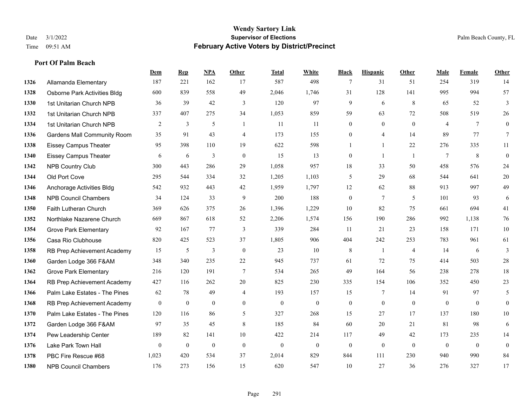**Port Of Palm Beach**

#### **Wendy Sartory Link** Date 3/1/2022 **Supervisor of Elections** Palm Beach County, FL Time 09:51 AM **February Active Voters by District/Precinct**

## **Dem Rep NPA Other Total White Black Hispanic Other Male Female Other** Allamanda Elementary 187 221 162 17 587 498 7 31 51 254 319 14 Osborne Park Activities Bldg 600 839 558 49 2,046 1,746 31 128 141 995 994 57 1st Unitarian Church NPB 36 39 42 3 120 97 9 6 8 65 52 3 1st Unitarian Church NPB 337 407 275 34 1,053 859 59 63 72 508 519 26 1st Unitarian Church NPB 2 3 5 1 11 11 0 0 0 4 7 0 Gardens Mall Community Room 35 91 43 4 173 155 0 4 14 89 77 7 Eissey Campus Theater **95** 998 110 19 622 598 1 1 1 22 276 335 11 Eissey Campus Theater 6 6 6 3 0 15 13 0 1 1 7 8 0 NPB Country Club 300 443 286 29 1,058 957 18 33 50 458 576 24 Old Port Cove 295 544 334 32 1,205 1,103 5 29 68 544 641 20 Anchorage Activities Bldg 542 932 443 42 1,959 1,797 12 62 88 913 997 49 NPB Council Chambers 34 124 33 9 200 188 0 7 5 101 93 6 Faith Lutheran Church 369 626 375 26 1,396 1,229 10 82 75 661 694 41 Northlake Nazarene Church 669 867 618 52 2,206 1,574 156 190 286 992 1,138 76 **1354 Grove Park Elementary 02 167 77 3 339 284 11 21 23 158 171 10**  Casa Rio Clubhouse 820 425 523 37 1,805 906 404 242 253 783 961 61 RB Prep Achievement Academy 15 5 3 0 23 10 8 1 4 14 6 3 Garden Lodge 366 F&AM 348 340 235 22 945 737 61 72 75 414 503 28 Grove Park Elementary 216 120 191 7 534 265 49 164 56 238 278 18 RB Prep Achievement Academy 427 116 262 20 825 230 335 154 106 352 450 23 Palm Lake Estates - The Pines 62 78 49 4 193 157 15 7 14 91 97 5 RB Prep Achievement Academy 0 0 0 0 0 0 0 0 0 0 0 0 Palm Lake Estates - The Pines 120 116 86 5 327 268 15 27 17 137 180 10 Garden Lodge 366 F&AM 97 35 45 8 185 84 60 20 21 81 98 6 Pew Leadership Center 189 82 141 10 422 214 117 49 42 173 235 14 Lake Park Town Hall 0 0 0 0 0 0 0 0 0 0 0 0 PBC Fire Rescue #68 1,023 420 534 37 2,014 829 844 111 230 940 990 84 NPB Council Chambers 176 273 156 15 620 547 10 27 36 276 327 17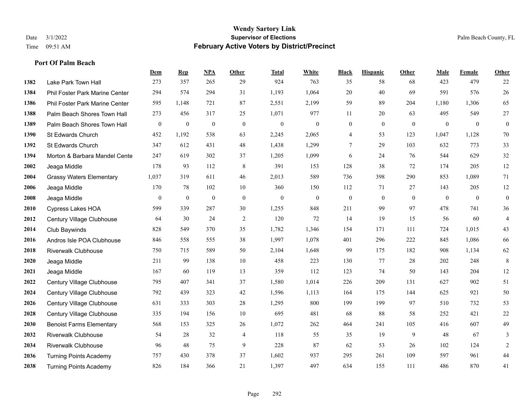|      |                                 | Dem          | <b>Rep</b>       | NPA              | <b>Other</b>   | <b>Total</b> | <b>White</b>     | <b>Black</b>     | <b>Hispanic</b> | <b>Other</b>   | <b>Male</b>    | Female         | <b>Other</b>     |
|------|---------------------------------|--------------|------------------|------------------|----------------|--------------|------------------|------------------|-----------------|----------------|----------------|----------------|------------------|
| 1382 | Lake Park Town Hall             | 273          | 357              | 265              | 29             | 924          | 763              | 35               | 58              | 68             | 423            | 479            | 22               |
| 1384 | Phil Foster Park Marine Center  | 294          | 574              | 294              | 31             | 1,193        | 1,064            | 20               | 40              | 69             | 591            | 576            | 26               |
| 1386 | Phil Foster Park Marine Center  | 595          | 1,148            | 721              | 87             | 2,551        | 2,199            | 59               | 89              | 204            | 1,180          | 1,306          | 65               |
| 1388 | Palm Beach Shores Town Hall     | 273          | 456              | 317              | 25             | 1,071        | 977              | 11               | 20              | 63             | 495            | 549            | $27\,$           |
| 1389 | Palm Beach Shores Town Hall     | $\mathbf{0}$ | $\boldsymbol{0}$ | $\boldsymbol{0}$ | $\theta$       | $\mathbf{0}$ | $\overline{0}$   | $\boldsymbol{0}$ | $\mathbf{0}$    | $\theta$       | $\mathbf{0}$   | $\mathbf{0}$   | $\boldsymbol{0}$ |
| 1390 | St Edwards Church               | 452          | 1,192            | 538              | 63             | 2,245        | 2,065            | 4                | 53              | 123            | 1,047          | 1,128          | 70               |
| 1392 | St Edwards Church               | 347          | 612              | 431              | 48             | 1,438        | 1,299            | $\overline{7}$   | 29              | 103            | 632            | 773            | 33               |
| 1394 | Morton & Barbara Mandel Cente   | 247          | 619              | 302              | 37             | 1,205        | 1,099            | 6                | 24              | 76             | 544            | 629            | 32               |
| 2002 | Jeaga Middle                    | 178          | 93               | 112              | 8              | 391          | 153              | 128              | 38              | 72             | 174            | 205            | $12\,$           |
| 2004 | <b>Grassy Waters Elementary</b> | 1,037        | 319              | 611              | 46             | 2,013        | 589              | 736              | 398             | 290            | 853            | 1.089          | 71               |
| 2006 | Jeaga Middle                    | 170          | 78               | 102              | 10             | 360          | 150              | 112              | 71              | 27             | 143            | 205            | $12\,$           |
| 2008 | Jeaga Middle                    | $\mathbf{0}$ | $\boldsymbol{0}$ | $\boldsymbol{0}$ | $\mathbf{0}$   | $\mathbf{0}$ | $\boldsymbol{0}$ | $\boldsymbol{0}$ | $\mathbf{0}$    | $\overline{0}$ | $\overline{0}$ | $\overline{0}$ | $\boldsymbol{0}$ |
| 2010 | <b>Cypress Lakes HOA</b>        | 599          | 339              | 287              | 30             | 1,255        | 848              | 211              | 99              | 97             | 478            | 741            | 36               |
| 2012 | Century Village Clubhouse       | 64           | 30               | 24               | $\overline{2}$ | 120          | 72               | 14               | 19              | 15             | 56             | 60             | $\overline{4}$   |
| 2014 | Club Baywinds                   | 828          | 549              | 370              | 35             | 1,782        | 1,346            | 154              | 171             | 111            | 724            | 1,015          | 43               |
| 2016 | Andros Isle POA Clubhouse       | 846          | 558              | 555              | 38             | 1,997        | 1,078            | 401              | 296             | 222            | 845            | 1,086          | 66               |
| 2018 | <b>Riverwalk Clubhouse</b>      | 750          | 715              | 589              | 50             | 2,104        | 1,648            | 99               | 175             | 182            | 908            | 1,134          | 62               |
| 2020 | Jeaga Middle                    | 211          | 99               | 138              | 10             | 458          | 223              | 130              | 77              | 28             | 202            | 248            | $\,8\,$          |
| 2021 | Jeaga Middle                    | 167          | 60               | 119              | 13             | 359          | 112              | 123              | 74              | 50             | 143            | 204            | 12               |
| 2022 | Century Village Clubhouse       | 795          | 407              | 341              | 37             | 1,580        | 1,014            | 226              | 209             | 131            | 627            | 902            | 51               |
| 2024 | Century Village Clubhouse       | 792          | 439              | 323              | 42             | 1,596        | 1,113            | 164              | 175             | 144            | 625            | 921            | 50               |
| 2026 | Century Village Clubhouse       | 631          | 333              | 303              | 28             | 1,295        | 800              | 199              | 199             | 97             | 510            | 732            | 53               |
| 2028 | Century Village Clubhouse       | 335          | 194              | 156              | 10             | 695          | 481              | 68               | 88              | 58             | 252            | 421            | $22\,$           |
| 2030 | <b>Benoist Farms Elementary</b> | 568          | 153              | 325              | 26             | 1,072        | 262              | 464              | 241             | 105            | 416            | 607            | 49               |
| 2032 | <b>Riverwalk Clubhouse</b>      | 54           | 28               | 32               | $\overline{4}$ | 118          | 55               | 35               | 19              | 9              | 48             | 67             | 3                |
| 2034 | <b>Riverwalk Clubhouse</b>      | 96           | 48               | 75               | 9              | 228          | 87               | 62               | 53              | 26             | 102            | 124            | $\overline{c}$   |
| 2036 | <b>Turning Points Academy</b>   | 757          | 430              | 378              | 37             | 1,602        | 937              | 295              | 261             | 109            | 597            | 961            | $44\,$           |
| 2038 | <b>Turning Points Academy</b>   | 826          | 184              | 366              | 21             | 1,397        | 497              | 634              | 155             | 111            | 486            | 870            | 41               |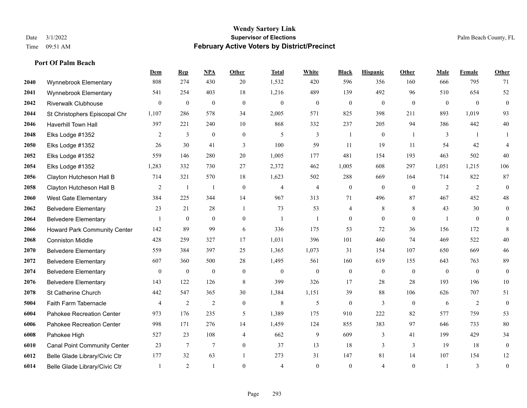|      |                                     | Dem            | <b>Rep</b>   | NPA              | <b>Other</b>     | <b>Total</b>   | <b>White</b>     | <b>Black</b>     | <b>Hispanic</b> | Other          | <b>Male</b>  | <b>Female</b>    | <b>Other</b>     |
|------|-------------------------------------|----------------|--------------|------------------|------------------|----------------|------------------|------------------|-----------------|----------------|--------------|------------------|------------------|
| 2040 | Wynnebrook Elementary               | 808            | 274          | 430              | 20               | 1,532          | 420              | 596              | 356             | 160            | 666          | 795              | 71               |
| 2041 | Wynnebrook Elementary               | 541            | 254          | 403              | 18               | 1,216          | 489              | 139              | 492             | 96             | 510          | 654              | 52               |
| 2042 | <b>Riverwalk Clubhouse</b>          | $\overline{0}$ | $\mathbf{0}$ | $\mathbf{0}$     | $\theta$         | $\theta$       | $\mathbf{0}$     | $\mathbf{0}$     | $\mathbf{0}$    | $\theta$       | $\theta$     | $\theta$         | $\boldsymbol{0}$ |
| 2044 | St Christophers Episcopal Chr       | 1,107          | 286          | 578              | 34               | 2,005          | 571              | 825              | 398             | 211            | 893          | 1,019            | 93               |
| 2046 | <b>Haverhill Town Hall</b>          | 397            | 221          | 240              | 10               | 868            | 332              | 237              | 205             | 94             | 386          | 442              | $40\,$           |
| 2048 | Elks Lodge #1352                    | 2              | 3            | $\mathbf{0}$     | $\boldsymbol{0}$ | 5              | 3                | -1               | $\mathbf{0}$    | $\overline{1}$ | 3            | $\overline{1}$   |                  |
| 2050 | Elks Lodge #1352                    | 26             | 30           | 41               | 3                | 100            | 59               | 11               | 19              | 11             | 54           | 42               | $\overline{4}$   |
| 2052 | Elks Lodge #1352                    | 559            | 146          | 280              | 20               | 1,005          | 177              | 481              | 154             | 193            | 463          | 502              | 40               |
| 2054 | Elks Lodge #1352                    | 1,283          | 332          | 730              | 27               | 2,372          | 462              | 1,005            | 608             | 297            | 1,051        | 1,215            | 106              |
| 2056 | Clayton Hutcheson Hall B            | 714            | 321          | 570              | 18               | 1,623          | 502              | 288              | 669             | 164            | 714          | 822              | 87               |
| 2058 | Clayton Hutcheson Hall B            | $\overline{c}$ | -1           | $\mathbf{1}$     | $\mathbf{0}$     | $\overline{4}$ | $\overline{4}$   | $\boldsymbol{0}$ | $\mathbf{0}$    | $\theta$       | 2            | 2                | $\boldsymbol{0}$ |
| 2060 | <b>West Gate Elementary</b>         | 384            | 225          | 344              | 14               | 967            | 313              | 71               | 496             | 87             | 467          | 452              | $48\,$           |
| 2062 | <b>Belvedere Elementary</b>         | 23             | 21           | 28               | $\mathbf{1}$     | 73             | 53               | 4                | $\,8\,$         | 8              | 43           | 30               | $\boldsymbol{0}$ |
| 2064 | <b>Belvedere Elementary</b>         | 1              | $\mathbf{0}$ | $\boldsymbol{0}$ | $\mathbf{0}$     | $\overline{1}$ | 1                | $\boldsymbol{0}$ | $\mathbf{0}$    | $\mathbf{0}$   |              | $\boldsymbol{0}$ | $\overline{0}$   |
| 2066 | <b>Howard Park Community Center</b> | 142            | 89           | 99               | 6                | 336            | 175              | 53               | 72              | 36             | 156          | 172              | 8                |
| 2068 | <b>Conniston Middle</b>             | 428            | 259          | 327              | 17               | 1,031          | 396              | 101              | 460             | 74             | 469          | 522              | 40               |
| 2070 | <b>Belvedere Elementary</b>         | 559            | 384          | 397              | 25               | 1,365          | 1,073            | 31               | 154             | 107            | 650          | 669              | 46               |
| 2072 | <b>Belvedere Elementary</b>         | 607            | 360          | 500              | 28               | 1,495          | 561              | 160              | 619             | 155            | 643          | 763              | 89               |
| 2074 | <b>Belvedere Elementary</b>         | 0              | $\mathbf{0}$ | $\boldsymbol{0}$ | $\boldsymbol{0}$ | $\mathbf{0}$   | $\boldsymbol{0}$ | $\boldsymbol{0}$ | $\mathbf{0}$    | $\mathbf{0}$   | $\mathbf{0}$ | $\overline{0}$   | $\boldsymbol{0}$ |
| 2076 | <b>Belvedere Elementary</b>         | 143            | 122          | 126              | 8                | 399            | 326              | 17               | 28              | 28             | 193          | 196              | 10               |
| 2078 | St Catherine Church                 | 442            | 547          | 365              | 30               | 1,384          | 1,151            | 39               | 88              | 106            | 626          | 707              | 51               |
| 5004 | Faith Farm Tabernacle               | 4              | 2            | $\overline{2}$   | $\boldsymbol{0}$ | 8              | $\mathfrak{S}$   | $\boldsymbol{0}$ | 3               | $\mathbf{0}$   | 6            | 2                | $\boldsymbol{0}$ |
| 6004 | Pahokee Recreation Center           | 973            | 176          | 235              | 5                | 1,389          | 175              | 910              | 222             | 82             | 577          | 759              | 53               |
| 6006 | Pahokee Recreation Center           | 998            | 171          | 276              | 14               | 1,459          | 124              | 855              | 383             | 97             | 646          | 733              | 80               |
| 6008 | Pahokee High                        | 527            | 23           | 108              | $\overline{4}$   | 662            | 9                | 609              | 3               | 41             | 199          | 429              | 34               |
| 6010 | <b>Canal Point Community Center</b> | 23             | $\tau$       | $\overline{7}$   | $\overline{0}$   | 37             | 13               | 18               | 3               | 3              | 19           | 18               | $\boldsymbol{0}$ |
| 6012 | Belle Glade Library/Civic Ctr       | 177            | 32           | 63               | 1                | 273            | 31               | 147              | 81              | 14             | 107          | 154              | 12               |
| 6014 | Belle Glade Library/Civic Ctr       |                | 2            | $\mathbf{1}$     | $\Omega$         | $\overline{4}$ | $\theta$         | $\theta$         | $\overline{4}$  | $\theta$       |              | $\overline{3}$   | $\boldsymbol{0}$ |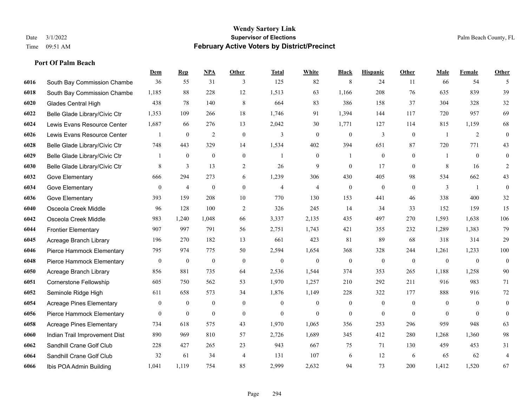|      |                                 | Dem              | <b>Rep</b>       | NPA              | <b>Other</b>   | <b>Total</b> | <b>White</b>   | <b>Black</b>     | <b>Hispanic</b>  | <b>Other</b>   | <b>Male</b>    | <b>Female</b>    | <b>Other</b>     |
|------|---------------------------------|------------------|------------------|------------------|----------------|--------------|----------------|------------------|------------------|----------------|----------------|------------------|------------------|
| 6016 | South Bay Commission Chambe     | 36               | 55               | 31               | 3              | 125          | 82             | 8                | 24               | 11             | 66             | 54               | 5                |
| 6018 | South Bay Commission Chambe     | 1,185            | 88               | 228              | 12             | 1,513        | 63             | 1.166            | 208              | 76             | 635            | 839              | 39               |
| 6020 | <b>Glades Central High</b>      | 438              | 78               | 140              | 8              | 664          | 83             | 386              | 158              | 37             | 304            | 328              | 32               |
| 6022 | Belle Glade Library/Civic Ctr   | 1,353            | 109              | 266              | 18             | 1,746        | 91             | 1,394            | 144              | 117            | 720            | 957              | 69               |
| 6024 | Lewis Evans Resource Center     | 1,687            | 66               | 276              | 13             | 2,042        | 30             | 1,771            | 127              | 114            | 815            | 1,159            | 68               |
| 6026 | Lewis Evans Resource Center     |                  | $\boldsymbol{0}$ | 2                | $\mathbf{0}$   | 3            | $\overline{0}$ | $\boldsymbol{0}$ | 3                | $\mathbf{0}$   | $\overline{1}$ | 2                | $\mathbf{0}$     |
| 6028 | Belle Glade Library/Civic Ctr   | 748              | 443              | 329              | 14             | 1,534        | 402            | 394              | 651              | 87             | 720            | 771              | 43               |
| 6029 | Belle Glade Library/Civic Ctr   | 1                | $\mathbf{0}$     | $\mathbf{0}$     | $\Omega$       | $\mathbf{1}$ | $\overline{0}$ | $\mathbf{1}$     | $\mathbf{0}$     | $\theta$       | $\mathbf{1}$   | $\theta$         | $\mathbf{0}$     |
| 6030 | Belle Glade Library/Civic Ctr   | 8                | $\mathfrak{Z}$   | 13               | $\overline{c}$ | 26           | 9              | $\boldsymbol{0}$ | 17               | $\mathbf{0}$   | 8              | 16               | 2                |
| 6032 | Gove Elementary                 | 666              | 294              | 273              | 6              | 1,239        | 306            | 430              | 405              | 98             | 534            | 662              | 43               |
| 6034 | Gove Elementary                 | $\mathbf{0}$     | $\overline{4}$   | $\boldsymbol{0}$ | $\overline{0}$ | 4            | $\overline{4}$ | $\boldsymbol{0}$ | $\mathbf{0}$     | $\theta$       | 3              | -1               | $\mathbf{0}$     |
| 6036 | Gove Elementary                 | 393              | 159              | 208              | 10             | 770          | 130            | 153              | 441              | 46             | 338            | 400              | 32               |
| 6040 | Osceola Creek Middle            | 96               | 128              | 100              | $\overline{2}$ | 326          | 245            | 14               | 34               | 33             | 152            | 159              | 15               |
| 6042 | Osceola Creek Middle            | 983              | 1,240            | 1,048            | 66             | 3,337        | 2,135          | 435              | 497              | 270            | 1,593          | 1,638            | 106              |
| 6044 | <b>Frontier Elementary</b>      | 907              | 997              | 791              | 56             | 2,751        | 1,743          | 421              | 355              | 232            | 1,289          | 1,383            | 79               |
| 6045 | Acreage Branch Library          | 196              | 270              | 182              | 13             | 661          | 423            | 81               | 89               | 68             | 318            | 314              | 29               |
| 6046 | Pierce Hammock Elementary       | 795              | 974              | 775              | 50             | 2,594        | 1,654          | 368              | 328              | 244            | 1,261          | 1,233            | 100              |
| 6048 | Pierce Hammock Elementary       | $\boldsymbol{0}$ | $\boldsymbol{0}$ | $\boldsymbol{0}$ | $\overline{0}$ | $\mathbf{0}$ | $\mathbf{0}$   | $\boldsymbol{0}$ | $\boldsymbol{0}$ | $\overline{0}$ | $\overline{0}$ | $\boldsymbol{0}$ | $\boldsymbol{0}$ |
| 6050 | Acreage Branch Library          | 856              | 881              | 735              | 64             | 2,536        | 1,544          | 374              | 353              | 265            | 1,188          | 1,258            | 90               |
| 6051 | <b>Cornerstone Fellowship</b>   | 605              | 750              | 562              | 53             | 1,970        | 1,257          | 210              | 292              | 211            | 916            | 983              | 71               |
| 6052 | Seminole Ridge High             | 611              | 658              | 573              | 34             | 1,876        | 1,149          | 228              | 322              | 177            | 888            | 916              | $72\,$           |
| 6054 | <b>Acreage Pines Elementary</b> | $\boldsymbol{0}$ | $\boldsymbol{0}$ | $\boldsymbol{0}$ | $\mathbf{0}$   | $\mathbf{0}$ | $\mathbf{0}$   | $\boldsymbol{0}$ | $\boldsymbol{0}$ | $\overline{0}$ | $\overline{0}$ | $\overline{0}$   | $\mathbf{0}$     |
| 6056 | Pierce Hammock Elementary       | $\overline{0}$   | $\mathbf{0}$     | $\mathbf{0}$     | $\overline{0}$ | $\mathbf{0}$ | $\overline{0}$ | $\mathbf{0}$     | $\mathbf{0}$     | $\theta$       | $\theta$       | $\theta$         | $\mathbf{0}$     |
| 6058 | <b>Acreage Pines Elementary</b> | 734              | 618              | 575              | 43             | 1,970        | 1,065          | 356              | 253              | 296            | 959            | 948              | 63               |
| 6060 | Indian Trail Improvement Dist   | 890              | 969              | 810              | 57             | 2,726        | 1,689          | 345              | 412              | 280            | 1,268          | 1,360            | 98               |
| 6062 | Sandhill Crane Golf Club        | 228              | 427              | 265              | 23             | 943          | 667            | 75               | 71               | 130            | 459            | 453              | 31               |
| 6064 | Sandhill Crane Golf Club        | 32               | 61               | 34               | $\overline{4}$ | 131          | 107            | 6                | 12               | 6              | 65             | 62               | $\overline{4}$   |
| 6066 | Ibis POA Admin Building         | 1,041            | 1.119            | 754              | 85             | 2,999        | 2,632          | 94               | 73               | 200            | 1,412          | 1,520            | 67               |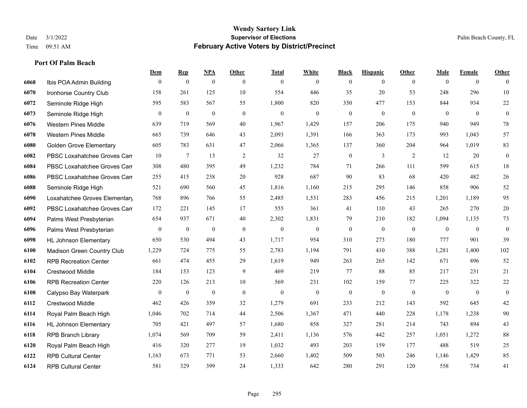|      |                                | Dem              | <b>Rep</b>       | <b>NPA</b>   | <b>Other</b> | <b>Total</b>     | White            | <b>Black</b>     | <b>Hispanic</b>  | Other        | Male           | Female         | <b>Other</b>     |
|------|--------------------------------|------------------|------------------|--------------|--------------|------------------|------------------|------------------|------------------|--------------|----------------|----------------|------------------|
| 6068 | Ibis POA Admin Building        | $\theta$         | $\mathbf{0}$     | $\mathbf{0}$ | $\Omega$     | $\theta$         | $\theta$         | $\theta$         | $\Omega$         | $\theta$     | $\theta$       | $\theta$       | $\theta$         |
| 6070 | Ironhorse Country Club         | 158              | 261              | 125          | 10           | 554              | 446              | 35               | 20               | 53           | 248            | 296            | 10               |
| 6072 | Seminole Ridge High            | 595              | 583              | 567          | 55           | 1,800            | 820              | 350              | 477              | 153          | 844            | 934            | $22\,$           |
| 6073 | Seminole Ridge High            | $\mathbf{0}$     | $\mathbf{0}$     | $\mathbf{0}$ | $\theta$     | $\mathbf{0}$     | $\theta$         | $\mathbf{0}$     | $\overline{0}$   | $\theta$     | $\theta$       | $\theta$       | $\overline{0}$   |
| 6076 | Western Pines Middle           | 639              | 719              | 569          | 40           | 1,967            | 1,429            | 157              | 206              | 175          | 940            | 949            | $78\,$           |
| 6078 | <b>Western Pines Middle</b>    | 665              | 739              | 646          | 43           | 2,093            | 1,391            | 166              | 363              | 173          | 993            | 1,043          | 57               |
| 6080 | <b>Golden Grove Elementary</b> | 605              | 783              | 631          | 47           | 2,066            | 1,365            | 137              | 360              | 204          | 964            | 1,019          | 83               |
| 6082 | PBSC Loxahatchee Groves Can    | 10               | $\tau$           | 13           | 2            | 32               | 27               | $\boldsymbol{0}$ | 3                | 2            | 12             | 20             | $\boldsymbol{0}$ |
| 6084 | PBSC Loxahatchee Groves Can    | 308              | 480              | 395          | 49           | 1,232            | 784              | 71               | 266              | 111          | 599            | 615            | 18               |
| 6086 | PBSC Loxahatchee Groves Can    | 255              | 415              | 238          | 20           | 928              | 687              | 90               | 83               | 68           | 420            | 482            | 26               |
| 6088 | Seminole Ridge High            | 521              | 690              | 560          | 45           | 1,816            | 1,160            | 215              | 295              | 146          | 858            | 906            | 52               |
| 6090 | Loxahatchee Groves Elementary  | 768              | 896              | 766          | 55           | 2,485            | 1,531            | 283              | 456              | 215          | 1,201          | 1,189          | 95               |
| 6092 | PBSC Loxahatchee Groves Can    | 172              | 221              | 145          | 17           | 555              | 361              | 41               | 110              | 43           | 265            | 270            | $20\,$           |
| 6094 | Palms West Presbyterian        | 654              | 937              | 671          | 40           | 2,302            | 1,831            | 79               | 210              | 182          | 1,094          | 1,135          | 73               |
| 6096 | Palms West Presbyterian        | $\boldsymbol{0}$ | $\boldsymbol{0}$ | $\mathbf{0}$ | $\mathbf{0}$ | $\boldsymbol{0}$ | $\boldsymbol{0}$ | $\overline{0}$   | $\boldsymbol{0}$ | $\mathbf{0}$ | $\overline{0}$ | $\overline{0}$ | $\boldsymbol{0}$ |
| 6098 | <b>HL Johnson Elementary</b>   | 650              | 530              | 494          | 43           | 1,717            | 954              | 310              | 273              | 180          | 777            | 901            | 39               |
| 6100 | Madison Green Country Club     | 1,229            | 724              | 775          | 55           | 2,783            | 1,194            | 791              | 410              | 388          | 1,281          | 1,400          | 102              |
| 6102 | <b>RPB Recreation Center</b>   | 661              | 474              | 455          | 29           | 1,619            | 949              | 263              | 265              | 142          | 671            | 896            | 52               |
| 6104 | <b>Crestwood Middle</b>        | 184              | 153              | 123          | 9            | 469              | 219              | 77               | 88               | 85           | 217            | 231            | 21               |
| 6106 | <b>RPB Recreation Center</b>   | 220              | 126              | 213          | 10           | 569              | 231              | 102              | 159              | 77           | 225            | 322            | $22\,$           |
| 6108 | Calypso Bay Waterpark          | $\mathbf{0}$     | $\mathbf{0}$     | $\mathbf{0}$ | $\theta$     | $\mathbf{0}$     | $\mathbf{0}$     | $\mathbf{0}$     | $\mathbf{0}$     | $\theta$     | $\theta$       | $\theta$       | $\overline{0}$   |
| 6112 | Crestwood Middle               | 462              | 426              | 359          | 32           | 1,279            | 691              | 233              | 212              | 143          | 592            | 645            | 42               |
| 6114 | Royal Palm Beach High          | 1,046            | 702              | 714          | 44           | 2,506            | 1,367            | 471              | 440              | 228          | 1,178          | 1,238          | 90               |
| 6116 | <b>HL Johnson Elementary</b>   | 705              | 421              | 497          | 57           | 1,680            | 858              | 327              | 281              | 214          | 743            | 894            | 43               |
| 6118 | <b>RPB Branch Library</b>      | 1,074            | 569              | 709          | 59           | 2,411            | 1,136            | 576              | 442              | 257          | 1,051          | 1,272          | $88\,$           |
| 6120 | Royal Palm Beach High          | 416              | 320              | 277          | 19           | 1,032            | 493              | 203              | 159              | 177          | 488            | 519            | 25               |
| 6122 | <b>RPB Cultural Center</b>     | 1,163            | 673              | 771          | 53           | 2,660            | 1,402            | 509              | 503              | 246          | 1,146          | 1,429          | 85               |
| 6124 | <b>RPB Cultural Center</b>     | 581              | 329              | 399          | 24           | 1,333            | 642              | 280              | 291              | 120          | 558            | 734            | 41               |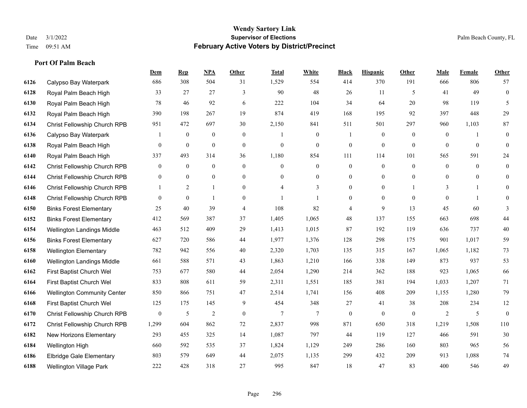|      |                                    | Dem              | <b>Rep</b>       | NPA              | <b>Other</b>     | <b>Total</b>   | <b>White</b>     | <b>Black</b>     | <b>Hispanic</b>  | <b>Other</b>   | <b>Male</b>    | Female       | <b>Other</b>     |
|------|------------------------------------|------------------|------------------|------------------|------------------|----------------|------------------|------------------|------------------|----------------|----------------|--------------|------------------|
| 6126 | Calypso Bay Waterpark              | 686              | 308              | 504              | 31               | 1,529          | 554              | 414              | 370              | 191            | 666            | 806          | 57               |
| 6128 | Royal Palm Beach High              | 33               | 27               | 27               | 3                | 90             | 48               | 26               | 11               | 5              | 41             | 49           | $\boldsymbol{0}$ |
| 6130 | Royal Palm Beach High              | 78               | 46               | 92               | 6                | 222            | 104              | 34               | 64               | 20             | 98             | 119          | 5                |
| 6132 | Royal Palm Beach High              | 390              | 198              | 267              | 19               | 874            | 419              | 168              | 195              | 92             | 397            | 448          | 29               |
| 6134 | Christ Fellowship Church RPB       | 951              | 472              | 697              | 30               | 2,150          | 841              | 511              | 501              | 297            | 960            | 1,103        | $87\,$           |
| 6136 | Calypso Bay Waterpark              |                  | $\bf{0}$         | $\boldsymbol{0}$ | $\overline{0}$   |                | $\boldsymbol{0}$ | 1                | $\boldsymbol{0}$ | $\overline{0}$ | $\overline{0}$ |              | $\mathbf{0}$     |
| 6138 | Royal Palm Beach High              | $\overline{0}$   | $\boldsymbol{0}$ | $\boldsymbol{0}$ | $\boldsymbol{0}$ | $\mathbf{0}$   | $\boldsymbol{0}$ | $\boldsymbol{0}$ | $\boldsymbol{0}$ | $\mathbf{0}$   | $\mathbf{0}$   | $\mathbf{0}$ | $\boldsymbol{0}$ |
| 6140 | Royal Palm Beach High              | 337              | 493              | 314              | 36               | 1,180          | 854              | 111              | 114              | 101            | 565            | 591          | 24               |
| 6142 | Christ Fellowship Church RPB       | $\overline{0}$   | $\boldsymbol{0}$ | $\mathbf{0}$     | $\overline{0}$   | $\theta$       | $\mathbf{0}$     | $\boldsymbol{0}$ | $\mathbf{0}$     | $\theta$       | $\overline{0}$ | $\theta$     | $\mathbf{0}$     |
| 6144 | Christ Fellowship Church RPB       | $\boldsymbol{0}$ | $\mathbf{0}$     | $\boldsymbol{0}$ | $\overline{0}$   | $\theta$       | $\boldsymbol{0}$ | $\boldsymbol{0}$ | $\mathbf{0}$     | $\overline{0}$ | $\overline{0}$ | $\mathbf{0}$ | $\mathbf{0}$     |
| 6146 | Christ Fellowship Church RPB       |                  | 2                | $\mathbf{1}$     | $\overline{0}$   | $\overline{4}$ | 3                | $\boldsymbol{0}$ | $\overline{0}$   |                | 3              |              | $\theta$         |
| 6148 | Christ Fellowship Church RPB       | $\overline{0}$   | $\mathbf{0}$     | $\mathbf{1}$     | $\overline{0}$   |                | $\mathbf{1}$     | $\boldsymbol{0}$ | $\mathbf{0}$     | $\theta$       | $\mathbf{0}$   | $\mathbf{1}$ | $\mathbf{0}$     |
| 6150 | <b>Binks Forest Elementary</b>     | 25               | 40               | 39               | 4                | 108            | 82               | 4                | 9                | 13             | 45             | 60           | 3                |
| 6152 | <b>Binks Forest Elementary</b>     | 412              | 569              | 387              | 37               | 1,405          | 1,065            | 48               | 137              | 155            | 663            | 698          | $44\,$           |
| 6154 | Wellington Landings Middle         | 463              | 512              | 409              | 29               | 1,413          | 1,015            | 87               | 192              | 119            | 636            | 737          | $40\,$           |
| 6156 | <b>Binks Forest Elementary</b>     | 627              | 720              | 586              | 44               | 1,977          | 1,376            | 128              | 298              | 175            | 901            | 1,017        | 59               |
| 6158 | <b>Wellington Elementary</b>       | 782              | 942              | 556              | 40               | 2,320          | 1,703            | 135              | 315              | 167            | 1,065          | 1,182        | 73               |
| 6160 | Wellington Landings Middle         | 661              | 588              | 571              | 43               | 1,863          | 1,210            | 166              | 338              | 149            | 873            | 937          | 53               |
| 6162 | First Baptist Church Wel           | 753              | 677              | 580              | 44               | 2,054          | 1,290            | 214              | 362              | 188            | 923            | 1,065        | 66               |
| 6164 | First Baptist Church Wel           | 833              | 808              | 611              | 59               | 2,311          | 1,551            | 185              | 381              | 194            | 1,033          | 1,207        | 71               |
| 6166 | <b>Wellington Community Center</b> | 850              | 866              | 751              | 47               | 2,514          | 1,741            | 156              | 408              | 209            | 1,155          | 1,280        | 79               |
| 6168 | First Baptist Church Wel           | 125              | 175              | 145              | 9                | 454            | 348              | 27               | 41               | 38             | 208            | 234          | 12               |
| 6170 | Christ Fellowship Church RPB       | $\mathbf{0}$     | 5                | $\overline{2}$   | $\overline{0}$   | $\overline{7}$ | $\tau$           | $\mathbf{0}$     | $\mathbf{0}$     | $\theta$       | $\overline{2}$ | 5            | $\mathbf{0}$     |
| 6172 | Christ Fellowship Church RPB       | 1,299            | 604              | 862              | $72\,$           | 2,837          | 998              | 871              | 650              | 318            | 1,219          | 1,508        | 110              |
| 6182 | New Horizons Elementary            | 293              | 455              | 325              | 14               | 1,087          | 797              | 44               | 119              | 127            | 466            | 591          | $30\,$           |
| 6184 | Wellington High                    | 660              | 592              | 535              | 37               | 1,824          | 1,129            | 249              | 286              | 160            | 803            | 965          | 56               |
| 6186 | <b>Elbridge Gale Elementary</b>    | 803              | 579              | 649              | 44               | 2,075          | 1,135            | 299              | 432              | 209            | 913            | 1,088        | $74\,$           |
| 6188 | Wellington Village Park            | 222              | 428              | 318              | 27               | 995            | 847              | 18               | 47               | 83             | 400            | 546          | 49               |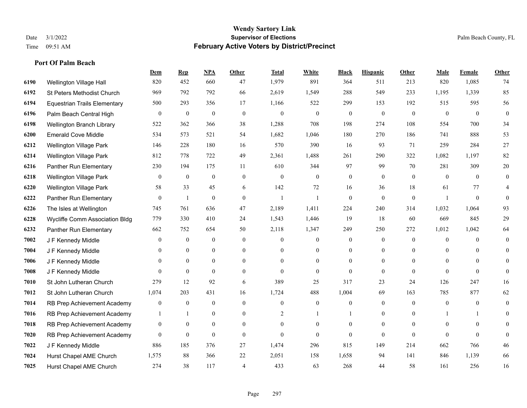|      |                                     | Dem              | <b>Rep</b>       | NPA              | <b>Other</b>   | <b>Total</b>     | <b>White</b>   | <b>Black</b>     | <b>Hispanic</b>  | Other        | <b>Male</b>      | <b>Female</b>    | <b>Other</b>   |
|------|-------------------------------------|------------------|------------------|------------------|----------------|------------------|----------------|------------------|------------------|--------------|------------------|------------------|----------------|
| 6190 | Wellington Village Hall             | 820              | 452              | 660              | 47             | 1,979            | 891            | 364              | 511              | 213          | 820              | 1,085            | 74             |
| 6192 | St Peters Methodist Church          | 969              | 792              | 792              | 66             | 2,619            | 1,549          | 288              | 549              | 233          | 1,195            | 1,339            | 85             |
| 6194 | <b>Equestrian Trails Elementary</b> | 500              | 293              | 356              | 17             | 1,166            | 522            | 299              | 153              | 192          | 515              | 595              | 56             |
| 6196 | Palm Beach Central High             | $\boldsymbol{0}$ | $\boldsymbol{0}$ | $\boldsymbol{0}$ | $\mathbf{0}$   | $\boldsymbol{0}$ | $\mathbf{0}$   | $\boldsymbol{0}$ | $\overline{0}$   | $\mathbf{0}$ | $\mathbf{0}$     | $\mathbf{0}$     | $\overline{0}$ |
| 6198 | Wellington Branch Library           | 522              | 362              | 366              | 38             | 1,288            | 708            | 198              | 274              | 108          | 554              | 700              | 34             |
| 6200 | <b>Emerald Cove Middle</b>          | 534              | 573              | 521              | 54             | 1,682            | 1,046          | 180              | 270              | 186          | 741              | 888              | 53             |
| 6212 | Wellington Village Park             | 146              | 228              | 180              | 16             | 570              | 390            | 16               | 93               | 71           | 259              | 284              | $27\,$         |
| 6214 | Wellington Village Park             | 812              | 778              | 722              | 49             | 2,361            | 1,488          | 261              | 290              | 322          | 1,082            | 1,197            | $82\,$         |
| 6216 | Panther Run Elementary              | 230              | 194              | 175              | 11             | 610              | 344            | 97               | 99               | 70           | 281              | 309              | $20\,$         |
| 6218 | <b>Wellington Village Park</b>      | $\mathbf{0}$     | $\mathbf{0}$     | $\mathbf{0}$     | $\mathbf{0}$   | $\mathbf{0}$     | $\mathbf{0}$   | $\boldsymbol{0}$ | $\overline{0}$   | $\mathbf{0}$ | $\theta$         | $\mathbf{0}$     | $\mathbf{0}$   |
| 6220 | Wellington Village Park             | 58               | 33               | 45               | 6              | 142              | 72             | 16               | 36               | 18           | 61               | 77               | 4              |
| 6222 | Panther Run Elementary              | $\mathbf{0}$     | 1                | $\mathbf{0}$     | $\mathbf{0}$   | $\mathbf{1}$     |                | $\mathbf{0}$     | $\overline{0}$   | $\mathbf{0}$ | -1               | $\theta$         | $\Omega$       |
| 6226 | The Isles at Wellington             | 745              | 761              | 636              | 47             | 2,189            | 1,411          | 224              | 240              | 314          | 1,032            | 1,064            | 93             |
| 6228 | Wycliffe Comm Association Bldg      | 779              | 330              | 410              | 24             | 1,543            | 1,446          | 19               | 18               | 60           | 669              | 845              | 29             |
| 6232 | Panther Run Elementary              | 662              | 752              | 654              | 50             | 2,118            | 1,347          | 249              | 250              | 272          | 1,012            | 1,042            | 64             |
| 7002 | J F Kennedy Middle                  | $\theta$         | $\boldsymbol{0}$ | $\mathbf{0}$     | $\theta$       | $\overline{0}$   | $\overline{0}$ | $\mathbf{0}$     | $\overline{0}$   | $\theta$     | $\overline{0}$   | $\theta$         | $\theta$       |
| 7004 | J F Kennedy Middle                  | $\theta$         | $\overline{0}$   | $\mathbf{0}$     | $\overline{0}$ | $\theta$         | $\overline{0}$ | $\theta$         | $\overline{0}$   | $\theta$     | $\Omega$         | $\theta$         | $\Omega$       |
| 7006 | J F Kennedy Middle                  | $\theta$         | $\overline{0}$   | $\mathbf{0}$     | $\overline{0}$ | $\Omega$         | $\overline{0}$ | $\overline{0}$   | $\overline{0}$   | $\theta$     | $\theta$         | $\theta$         | 0              |
| 7008 | J F Kennedy Middle                  | $\theta$         | $\mathbf{0}$     | $\mathbf{0}$     | $\theta$       | $\theta$         | $\overline{0}$ | $\mathbf{0}$     | $\mathbf{0}$     | $\theta$     | $\Omega$         | $\mathbf{0}$     | $\theta$       |
| 7010 | St John Lutheran Church             | 279              | 12               | 92               | 6              | 389              | 25             | 317              | 23               | 24           | 126              | 247              | 16             |
| 7012 | St John Lutheran Church             | 1,074            | 203              | 431              | 16             | 1,724            | 488            | 1,004            | 69               | 163          | 785              | 877              | 62             |
| 7014 | RB Prep Achievement Academy         | $\boldsymbol{0}$ | $\boldsymbol{0}$ | $\boldsymbol{0}$ | $\mathbf{0}$   | $\theta$         | $\mathbf{0}$   | 0                | $\boldsymbol{0}$ | $\mathbf{0}$ | $\boldsymbol{0}$ | $\boldsymbol{0}$ | $\mathbf{0}$   |
| 7016 | RB Prep Achievement Academy         |                  | $\mathbf{1}$     | $\mathbf{0}$     | $\mathbf{0}$   | 2                |                |                  | $\overline{0}$   | $\theta$     |                  |                  | 0              |
| 7018 | RB Prep Achievement Academy         | $\mathbf{0}$     | $\mathbf{0}$     | $\theta$         | $\theta$       | $\mathbf{0}$     | $\overline{0}$ | $\overline{0}$   | $\overline{0}$   | $\theta$     | $\Omega$         | $\theta$         | $\Omega$       |
| 7020 | RB Prep Achievement Academy         | $\mathbf{0}$     | $\boldsymbol{0}$ | $\mathbf{0}$     | $\mathbf{0}$   | $\theta$         | $\overline{0}$ | $\mathbf{0}$     | $\mathbf{0}$     | $\mathbf{0}$ | $\Omega$         | $\theta$         | $\Omega$       |
| 7022 | J F Kennedy Middle                  | 886              | 185              | 376              | 27             | 1,474            | 296            | 815              | 149              | 214          | 662              | 766              | 46             |
| 7024 | Hurst Chapel AME Church             | 1,575            | 88               | 366              | 22             | 2,051            | 158            | 1,658            | 94               | 141          | 846              | 1,139            | 66             |
| 7025 | Hurst Chapel AME Church             | 274              | 38               | 117              | $\overline{4}$ | 433              | 63             | 268              | 44               | 58           | 161              | 256              | 16             |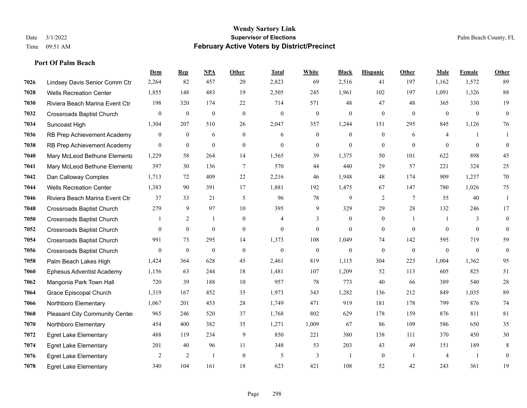|      |                                       | Dem              | <b>Rep</b>       | NPA              | <b>Other</b>   | <b>Total</b>     | <b>White</b>     | <b>Black</b>     | <b>Hispanic</b>  | Other        | <b>Male</b>    | Female       | <b>Other</b> |
|------|---------------------------------------|------------------|------------------|------------------|----------------|------------------|------------------|------------------|------------------|--------------|----------------|--------------|--------------|
| 7026 | Lindsey Davis Senior Comm Ctr         | 2,264            | 82               | 457              | 20             | 2,823            | 69               | 2,516            | 41               | 197          | 1,162          | 1,572        | 89           |
| 7028 | <b>Wells Recreation Center</b>        | 1,855            | 148              | 483              | 19             | 2,505            | 245              | 1,961            | 102              | 197          | 1,091          | 1,326        | 88           |
| 7030 | Riviera Beach Marina Event Ctr        | 198              | 320              | 174              | 22             | 714              | 571              | 48               | 47               | 48           | 365            | 330          | 19           |
| 7032 | <b>Crossroads Baptist Church</b>      | $\overline{0}$   | $\boldsymbol{0}$ | $\boldsymbol{0}$ | $\mathbf{0}$   | $\boldsymbol{0}$ | $\mathbf{0}$     | $\mathbf{0}$     | $\mathbf{0}$     | $\theta$     | $\mathbf{0}$   | $\mathbf{0}$ | $\mathbf{0}$ |
| 7034 | Suncoast High                         | 1,304            | 207              | 510              | 26             | 2,047            | 357              | 1.244            | 151              | 295          | 845            | 1,126        | 76           |
| 7036 | RB Prep Achievement Academy           | $\boldsymbol{0}$ | $\mathbf{0}$     | 6                | $\overline{0}$ | 6                | $\mathbf{0}$     | $\boldsymbol{0}$ | $\boldsymbol{0}$ | 6            | 4              |              |              |
| 7038 | RB Prep Achievement Academy           | $\overline{0}$   | $\mathbf{0}$     | $\mathbf{0}$     | $\overline{0}$ | $\theta$         | $\mathbf{0}$     | $\mathbf{0}$     | $\overline{0}$   | $\theta$     | $\theta$       | $\theta$     | $\mathbf{0}$ |
| 7040 | Mary McLeod Bethune Elementa          | 1,229            | 58               | 264              | 14             | 1,565            | 39               | 1.375            | 50               | 101          | 622            | 898          | 45           |
| 7041 | Mary McLeod Bethune Elementa          | 397              | 30               | 136              | 7              | 570              | 44               | 440              | 29               | 57           | 221            | 324          | $25\,$       |
| 7042 | Dan Calloway Complex                  | 1,713            | 72               | 409              | 22             | 2,216            | 46               | 1,948            | 48               | 174          | 909            | 1,237        | 70           |
| 7044 | <b>Wells Recreation Center</b>        | 1,383            | 90               | 391              | 17             | 1,881            | 192              | 1,475            | 67               | 147          | 780            | 1,026        | 75           |
| 7046 | Riviera Beach Marina Event Ctr        | 37               | 33               | 21               | 5              | 96               | 78               | 9                | 2                | 7            | 55             | 40           | 1            |
| 7048 | <b>Crossroads Baptist Church</b>      | 279              | 9                | 97               | 10             | 395              | 9                | 329              | 29               | 28           | 132            | 246          | 17           |
| 7050 | Crossroads Baptist Church             |                  | $\overline{2}$   | 1                | $\mathbf{0}$   | $\overline{4}$   | 3                | $\boldsymbol{0}$ | $\boldsymbol{0}$ | -1           |                | 3            | $\mathbf{0}$ |
| 7052 | <b>Crossroads Baptist Church</b>      | $\overline{0}$   | $\mathbf{0}$     | $\mathbf{0}$     | $\overline{0}$ | $\theta$         | $\overline{0}$   | $\mathbf{0}$     | $\overline{0}$   | $\theta$     | $\theta$       | $\theta$     | $\mathbf{0}$ |
| 7054 | <b>Crossroads Baptist Church</b>      | 991              | 73               | 295              | 14             | 1,373            | 108              | 1,049            | 74               | 142          | 595            | 719          | 59           |
| 7056 | <b>Crossroads Baptist Church</b>      | $\overline{0}$   | $\boldsymbol{0}$ | $\boldsymbol{0}$ | $\mathbf{0}$   | $\overline{0}$   | $\boldsymbol{0}$ | $\mathbf{0}$     | $\mathbf{0}$     | $\mathbf{0}$ | $\mathbf{0}$   | $\mathbf{0}$ | $\mathbf{0}$ |
| 7058 | Palm Beach Lakes High                 | 1,424            | 364              | 628              | 45             | 2,461            | 819              | 1,115            | 304              | 223          | 1,004          | 1,362        | 95           |
| 7060 | Ephesus Adventist Academy             | 1,156            | 63               | 244              | 18             | 1,481            | 107              | 1,209            | 52               | 113          | 605            | 825          | 51           |
| 7062 | Mangonia Park Town Hall               | 720              | 39               | 188              | $10\,$         | 957              | 78               | 773              | 40               | 66           | 389            | 540          | $28\,$       |
| 7064 | Grace Episcopal Church                | 1,319            | 167              | 452              | 35             | 1,973            | 343              | 1,282            | 136              | 212          | 849            | 1,035        | 89           |
| 7066 | Northboro Elementary                  | 1,067            | 201              | 453              | 28             | 1,749            | 471              | 919              | 181              | 178          | 799            | 876          | 74           |
| 7068 | <b>Pleasant City Community Center</b> | 965              | 246              | 520              | 37             | 1,768            | 802              | 629              | 178              | 159          | 876            | 811          | 81           |
| 7070 | Northboro Elementary                  | 454              | 400              | 382              | 35             | 1,271            | 1,009            | 67               | 86               | 109          | 586            | 650          | 35           |
| 7072 | <b>Egret Lake Elementary</b>          | 488              | 119              | 234              | 9              | 850              | 221              | 380              | 138              | 111          | 370            | 450          | 30           |
| 7074 | <b>Egret Lake Elementary</b>          | 201              | 40               | 96               | 11             | 348              | 53               | 203              | 43               | 49           | 151            | 189          | 8            |
| 7076 | <b>Egret Lake Elementary</b>          | 2                | $\overline{2}$   | $\mathbf{1}$     | $\mathbf{0}$   | 5                | 3                | -1               | $\mathbf{0}$     | -1           | $\overline{4}$ | -1           | $\mathbf{0}$ |
| 7078 | <b>Egret Lake Elementary</b>          | 340              | 104              | 161              | 18             | 623              | 421              | 108              | 52               | 42           | 243            | 361          | 19           |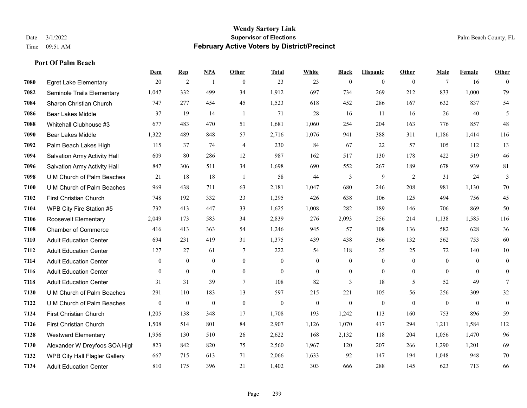|      |                                      | <b>Dem</b>     | <b>Rep</b>       | NPA              | <b>Other</b>   | <b>Total</b>   | <b>White</b>   | <b>Black</b>     | <b>Hispanic</b> | <b>Other</b> | <b>Male</b>  | <b>Female</b> | <b>Other</b>     |
|------|--------------------------------------|----------------|------------------|------------------|----------------|----------------|----------------|------------------|-----------------|--------------|--------------|---------------|------------------|
| 7080 | <b>Egret Lake Elementary</b>         | 20             | 2                | $\overline{1}$   | $\overline{0}$ | 23             | 23             | $\mathbf{0}$     | $\overline{0}$  | $\theta$     | 7            | 16            | $\theta$         |
| 7082 | Seminole Trails Elementary           | 1,047          | 332              | 499              | 34             | 1,912          | 697            | 734              | 269             | 212          | 833          | 1,000         | 79               |
| 7084 | Sharon Christian Church              | 747            | 277              | 454              | 45             | 1,523          | 618            | 452              | 286             | 167          | 632          | 837           | 54               |
| 7086 | <b>Bear Lakes Middle</b>             | 37             | 19               | 14               | -1             | 71             | 28             | 16               | 11              | 16           | 26           | 40            | 5                |
| 7088 | Whitehall Clubhouse #3               | 677            | 483              | 470              | 51             | 1,681          | 1,060          | 254              | 204             | 163          | 776          | 857           | 48               |
| 7090 | <b>Bear Lakes Middle</b>             | 1,322          | 489              | 848              | 57             | 2,716          | 1,076          | 941              | 388             | 311          | 1,186        | 1,414         | 116              |
| 7092 | Palm Beach Lakes High                | 115            | 37               | 74               | $\overline{4}$ | 230            | 84             | 67               | 22              | 57           | 105          | 112           | 13               |
| 7094 | Salvation Army Activity Hall         | 609            | 80               | 286              | 12             | 987            | 162            | 517              | 130             | 178          | 422          | 519           | 46               |
| 7096 | Salvation Army Activity Hall         | 847            | 306              | 511              | 34             | 1,698          | 690            | 552              | 267             | 189          | 678          | 939           | 81               |
| 7098 | U M Church of Palm Beaches           | 21             | 18               | 18               | -1             | 58             | 44             | 3                | 9               | 2            | 31           | 24            | 3                |
| 7100 | U M Church of Palm Beaches           | 969            | 438              | 711              | 63             | 2,181          | 1,047          | 680              | 246             | 208          | 981          | 1,130         | 70               |
| 7102 | First Christian Church               | 748            | 192              | 332              | 23             | 1,295          | 426            | 638              | 106             | 125          | 494          | 756           | 45               |
| 7104 | WPB City Fire Station #5             | 732            | 413              | 447              | 33             | 1,625          | 1,008          | 282              | 189             | 146          | 706          | 869           | 50               |
| 7106 | Roosevelt Elementary                 | 2,049          | 173              | 583              | 34             | 2,839          | 276            | 2,093            | 256             | 214          | 1,138        | 1,585         | 116              |
| 7108 | <b>Chamber of Commerce</b>           | 416            | 413              | 363              | 54             | 1,246          | 945            | 57               | 108             | 136          | 582          | 628           | $36\,$           |
| 7110 | <b>Adult Education Center</b>        | 694            | 231              | 419              | 31             | 1,375          | 439            | 438              | 366             | 132          | 562          | 753           | 60               |
| 7112 | <b>Adult Education Center</b>        | 127            | 27               | 61               | $\tau$         | 222            | 54             | 118              | 25              | 25           | 72           | 140           | $10\,$           |
| 7114 | <b>Adult Education Center</b>        | $\overline{0}$ | $\mathbf{0}$     | $\mathbf{0}$     | $\overline{0}$ | $\theta$       | $\overline{0}$ | $\boldsymbol{0}$ | $\overline{0}$  | $\theta$     | $\mathbf{0}$ | $\theta$      | $\boldsymbol{0}$ |
| 7116 | <b>Adult Education Center</b>        | $\overline{0}$ | $\mathbf{0}$     | $\mathbf{0}$     | $\overline{0}$ | $\mathbf{0}$   | $\overline{0}$ | $\mathbf{0}$     | $\mathbf{0}$    | $\theta$     | $\mathbf{0}$ | $\theta$      | $\mathbf{0}$     |
| 7118 | <b>Adult Education Center</b>        | 31             | 31               | 39               | $\tau$         | 108            | 82             | 3                | 18              | 5            | 52           | 49            | $7\phantom{.0}$  |
| 7120 | U M Church of Palm Beaches           | 291            | 110              | 183              | 13             | 597            | 215            | 221              | 105             | 56           | 256          | 309           | $32\,$           |
| 7122 | U M Church of Palm Beaches           | $\overline{0}$ | $\boldsymbol{0}$ | $\boldsymbol{0}$ | $\mathbf{0}$   | $\overline{0}$ | $\overline{0}$ | $\theta$         | $\mathbf{0}$    | $\theta$     | $\mathbf{0}$ | $\mathbf{0}$  | $\mathbf{0}$     |
| 7124 | First Christian Church               | 1,205          | 138              | 348              | 17             | 1,708          | 193            | 1,242            | 113             | 160          | 753          | 896           | 59               |
| 7126 | <b>First Christian Church</b>        | 1,508          | 514              | 801              | 84             | 2,907          | 1,126          | 1,070            | 417             | 294          | 1,211        | 1,584         | 112              |
| 7128 | <b>Westward Elementary</b>           | 1,956          | 130              | 510              | 26             | 2,622          | 168            | 2,132            | 118             | 204          | 1.056        | 1,470         | 96               |
| 7130 | Alexander W Dreyfoos SOA High        | 823            | 842              | 820              | 75             | 2,560          | 1,967          | 120              | 207             | 266          | 1,290        | 1,201         | 69               |
| 7132 | <b>WPB City Hall Flagler Gallery</b> | 667            | 715              | 613              | 71             | 2,066          | 1,633          | 92               | 147             | 194          | 1,048        | 948           | $70\,$           |
| 7134 | <b>Adult Education Center</b>        | 810            | 175              | 396              | 21             | 1,402          | 303            | 666              | 288             | 145          | 623          | 713           | 66               |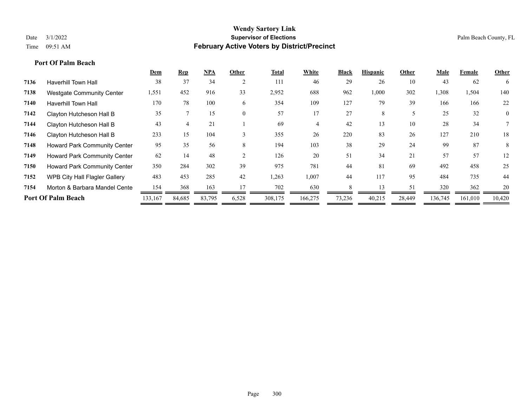|      |                                      | Dem     | <b>Rep</b> | <b>NPA</b> | Other          | Total   | White   | <b>Black</b> | <b>Hispanic</b> | Other  | Male    | Female  | Other          |
|------|--------------------------------------|---------|------------|------------|----------------|---------|---------|--------------|-----------------|--------|---------|---------|----------------|
| 7136 | <b>Haverhill Town Hall</b>           | 38      | 37         | 34         |                | 111     | 46      | 29           | 26              | 10     | 43      | 62      | 6              |
| 7138 | <b>Westgate Community Center</b>     | 1,551   | 452        | 916        | 33             | 2,952   | 688     | 962          | 1,000           | 302    | 1,308   | 1,504   | 140            |
| 7140 | <b>Haverhill Town Hall</b>           | 170     | 78         | 100        | 6              | 354     | 109     | 127          | 79              | 39     | 166     | 166     | 22             |
| 7142 | Clayton Hutcheson Hall B             | 35      |            | 15         | $\overline{0}$ | 57      | 17      | 27           | 8               |        | 25      | 32      | $\overline{0}$ |
| 7144 | Clayton Hutcheson Hall B             | 43      | 4          | 21         |                | 69      | 4       | 42           | 13              | 10     | 28      | 34      |                |
| 7146 | Clayton Hutcheson Hall B             | 233     | 15         | 104        |                | 355     | 26      | 220          | 83              | 26     | 127     | 210     | 18             |
| 7148 | Howard Park Community Center         | 95      | 35         | 56         | 8              | 194     | 103     | 38           | 29              | 24     | 99      | 87      | 8              |
| 7149 | Howard Park Community Center         | 62      | 14         | 48         |                | 126     | 20      | 51           | 34              | 21     | 57      | 57      | 12             |
| 7150 | Howard Park Community Center         | 350     | 284        | 302        | 39             | 975     | 781     | 44           | 81              | 69     | 492     | 458     | 25             |
| 7152 | <b>WPB City Hall Flagler Gallery</b> | 483     | 453        | 285        | 42             | 1,263   | 1,007   | 44           | 117             | 95     | 484     | 735     | 44             |
| 7154 | Morton & Barbara Mandel Cente        | 154     | 368        | 163        | 17             | 702     | 630     | 8            | 13              | 51     | 320     | 362     | 20             |
|      | <b>Port Of Palm Beach</b>            | 133,167 | 84,685     | 83,795     | 6,528          | 308,175 | 166,275 | 73,236       | 40,215          | 28,449 | 136,745 | 161,010 | 10,420         |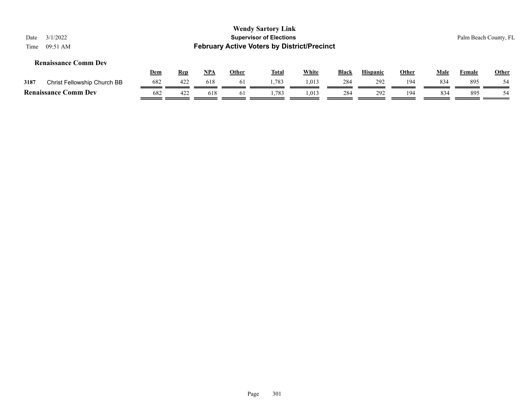| 3/1/2022<br>Date<br>09:51 AM<br>Time |            |            |     |               | <b>Wendy Sartory Link</b><br><b>Supervisor of Elections</b><br><b>February Active Voters by District/Precinct</b> |              |              |                 |              |      |        | Palm Beach County, FL |
|--------------------------------------|------------|------------|-----|---------------|-------------------------------------------------------------------------------------------------------------------|--------------|--------------|-----------------|--------------|------|--------|-----------------------|
| <b>Renaissance Comm Dev</b>          | <u>Dem</u> | <u>Rep</u> | NPA | <b>Other</b>  | <u>Total</u>                                                                                                      | <u>White</u> | <b>Black</b> | <b>Hispanic</b> | <b>Other</b> | Male | Female | Other                 |
| Christ Fellowship Church BB<br>3187  | 682        | 422        | 618 | 61            | 1,783                                                                                                             | 1,013        | 284          | 292             | 194          | 834  | 895    | 54                    |
| <b>Renaissance Comm Dev</b>          | 682        | 422        | 618 | <sup>61</sup> | 1,783                                                                                                             | 1,013        | 284          | 292             | 194          | 834  | 895    | 54                    |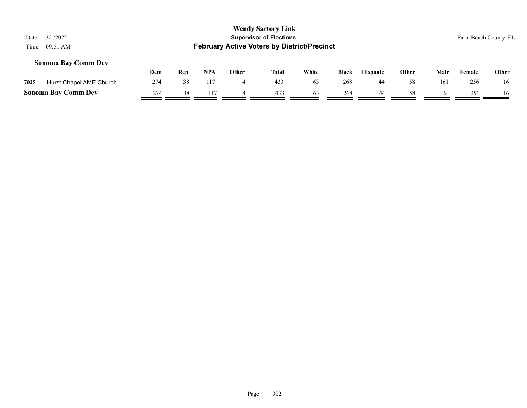#### **Sonoma Bay Comm Dev**

|      |                            | Dem | Rep | <b>NPA</b> | Other | <b>Total</b> | <b>White</b> | <b>Black</b> | <b>Hispanic</b> | Other | Male | Female | <u>Other</u> |
|------|----------------------------|-----|-----|------------|-------|--------------|--------------|--------------|-----------------|-------|------|--------|--------------|
| 7025 | Hurst Chapel AME Church    | 274 |     |            |       |              |              | 268          |                 |       | 161  | 256    |              |
|      | <b>Sonoma Bay Comm Dev</b> | 274 |     |            |       |              |              | 268          | 44              |       | 161  | 256    |              |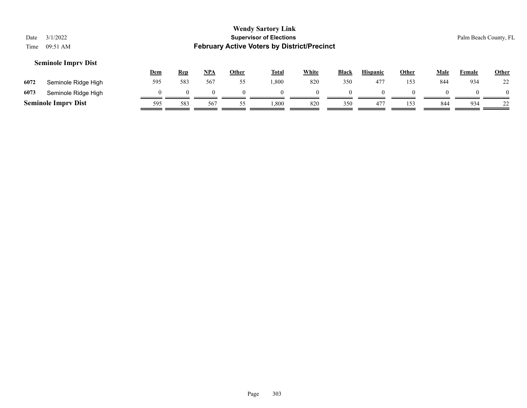#### **Seminole Imprv Dist**

|      |                            | <b>Dem</b> | <b>Rep</b> | <b>NPA</b> | <b>Other</b> | <b>Total</b> | White | <b>Black</b> | <b>Hispanic</b> | <u>Other</u> | Male | Female | <u>Other</u> |
|------|----------------------------|------------|------------|------------|--------------|--------------|-------|--------------|-----------------|--------------|------|--------|--------------|
| 6072 | Seminole Ridge High        | 595        | 583        | 567        | ss           | 1,800        | 820   | 350          | 477             | 153          | 844  | 934    | ົາ<br>∠∠     |
| 6073 | Seminole Ridge High        |            |            |            |              |              |       |              |                 |              |      |        |              |
|      | <b>Seminole Imprv Dist</b> | 595        | 583        | 567        |              | ,800         | 820   | 350          | $47^{\circ}$    | 153          | 844  | 934    | ∠∠           |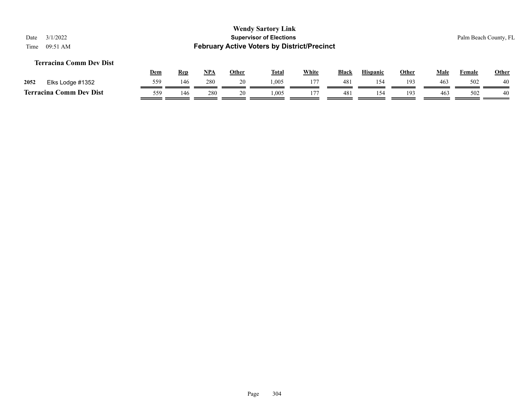#### **Terracina Comm Dev Dist**

|                            |                  | <b>Dem</b> | <b>Rep</b> | <b>NPA</b> | Other | <b>Total</b> | White | <b>Black</b> | <b>Hispanic</b> | Other | Male            | Female | <b>Other</b> |
|----------------------------|------------------|------------|------------|------------|-------|--------------|-------|--------------|-----------------|-------|-----------------|--------|--------------|
| 2052                       | Elks Lodge #1352 | 559        | 146        | 280        | 20    | .005         | 177   | 481          |                 | 193   | 46 <sub>3</sub> | 502    | 40           |
| Comm Dev Dist<br>Terracina |                  | 559        | 146        | 280        | ∠∪    | 1,005        | 177   | 481          | 154             | 193   | 463             | 502    | 40           |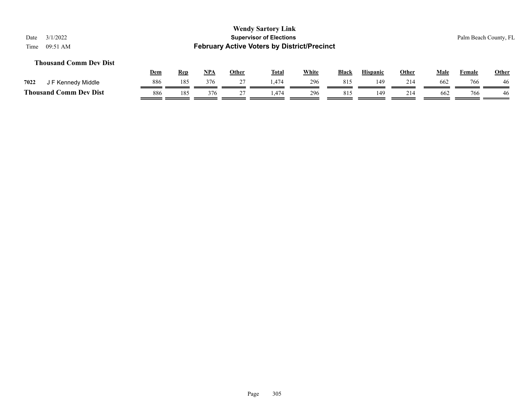#### **Thousand Comm Dev Dist**

|                               | Dem | Rep | <b>NPA</b> | Other   | <b>Total</b> | White | <b>Black</b> | <b>Hispanic</b> | Other | Male | Female | <b>Other</b> |
|-------------------------------|-----|-----|------------|---------|--------------|-------|--------------|-----------------|-------|------|--------|--------------|
| 7022<br>I F Kennedy Middle    | 886 | 185 | 376        | 27<br>- | 1.474        | 296   | 815          | 149             | 214   | 662  | 766    | 46           |
| <b>Thousand Comm Dev Dist</b> | 886 | 185 | 376        |         | ,474         | 296   | 815          | 149             | 214   | 662  | 766    | 46           |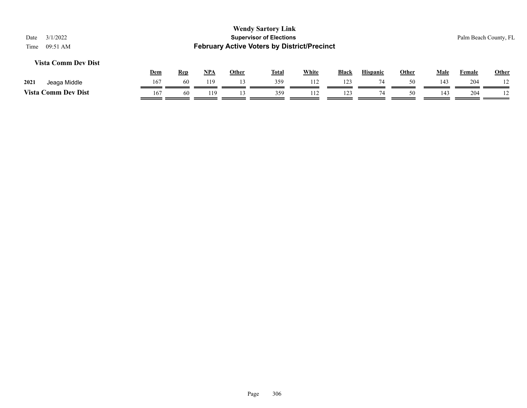#### **Vista Comm Dev Dist**

|                            | Dem | <b>Rep</b> | NPA  | Other | Tota. | White | Black | <b>Hispanic</b> | Other | Male | Female | <b>Other</b> |
|----------------------------|-----|------------|------|-------|-------|-------|-------|-----------------|-------|------|--------|--------------|
| 2021<br>Jeaga Middle       | 167 | 60         | 119  |       | 359   | 112   | 123   |                 | 50    | 143  | 204    |              |
| <b>Vista Comm Dev Dist</b> | 167 |            | ' 19 |       | 359   | 112   | 123   |                 | 50    | 143  | 204    | $\perp$      |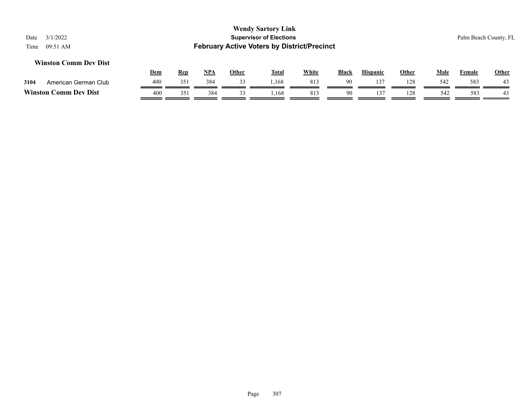#### **Winston Comm Dev Dist**

|     |                      | <b>NPA</b> | Other | <b>Total</b> | White | <b>Black</b> | <b>Hispanic</b> | Other | Male | Female | <b>Other</b>     |
|-----|----------------------|------------|-------|--------------|-------|--------------|-----------------|-------|------|--------|------------------|
| 400 | 351                  | 384        |       | .168         | 813   | 90           | 1 <sub>2</sub>  | 128   | 542  | 583    | $\Lambda$<br>45  |
| 400 | 351                  | 384        |       | .168         | -813  | 90           | 15              | 128   | 542  | 583    | $\sqrt{2}$<br>43 |
|     | American German Club |            |       |              |       |              |                 |       |      |        |                  |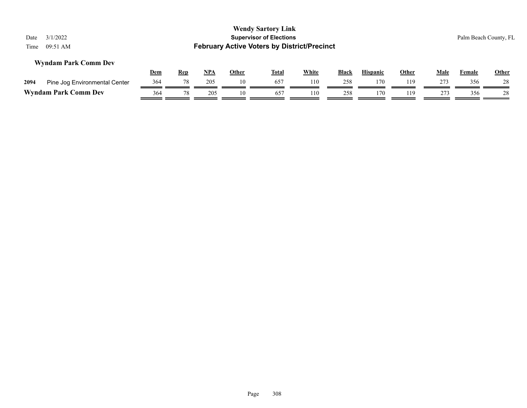#### **Wyndam Park Comm Dev**

|                             |                               | <u>Dem</u> | Rep | <b>NPA</b> | Other | <b>Total</b> | White | <b>Black</b> | <b>Hispanic</b> | Other | Male | Female | <b>Other</b> |
|-----------------------------|-------------------------------|------------|-----|------------|-------|--------------|-------|--------------|-----------------|-------|------|--------|--------------|
| 2094                        | Pine Jog Environmental Center | 364        |     | 205        | 10    | 657          | 110   | 258          | $170^{-1}$      | 119   | 273  | 356    | 28           |
| <b>Wyndam Park Comm Dev</b> |                               | 364        |     |            | 10    | $65^\circ$   | .10   | 258          | 170             | 119   | າາາ  | 356    | 28           |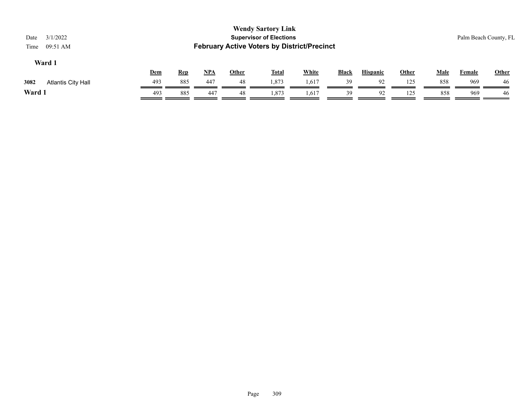| Other |
|-------|
| 46    |
| 46    |
|       |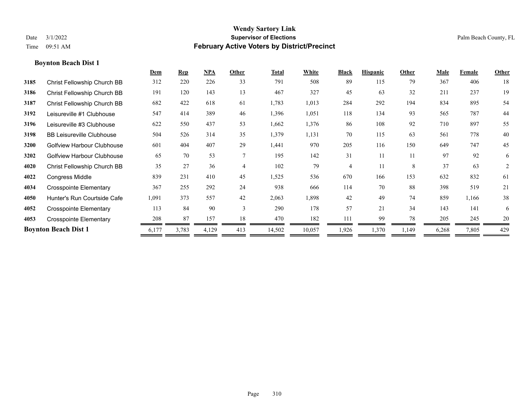**Boynton Beach Dist 1**

#### **Wendy Sartory Link** Date 3/1/2022 **Supervisor of Elections** Palm Beach County, FL Time 09:51 AM **February Active Voters by District/Precinct**

|      |                                   | Dem   | <b>Rep</b> | NPA   | Other          | Total  | White  | <b>Black</b> | <b>Hispanic</b> | Other | Male  | Female | <b>Other</b> |
|------|-----------------------------------|-------|------------|-------|----------------|--------|--------|--------------|-----------------|-------|-------|--------|--------------|
| 3185 | Christ Fellowship Church BB       | 312   | 220        | 226   | 33             | 791    | 508    | 89           | 115             | 79    | 367   | 406    | 18           |
| 3186 | Christ Fellowship Church BB       | 191   | 120        | 143   | 13             | 467    | 327    | 45           | 63              | 32    | 211   | 237    | 19           |
| 3187 | Christ Fellowship Church BB       | 682   | 422        | 618   | 61             | 1,783  | 1,013  | 284          | 292             | 194   | 834   | 895    | 54           |
| 3192 | Leisureville #1 Clubhouse         | 547   | 414        | 389   | 46             | 1,396  | 1,051  | 118          | 134             | 93    | 565   | 787    | 44           |
| 3196 | Leisureville #3 Clubhouse         | 622   | 550        | 437   | 53             | 1,662  | 1,376  | 86           | 108             | 92    | 710   | 897    | 55           |
| 3198 | <b>BB Leisureville Clubhouse</b>  | 504   | 526        | 314   | 35             | 1,379  | 1,131  | 70           | 115             | 63    | 561   | 778    | 40           |
| 3200 | Golfview Harbour Clubhouse        | 601   | 404        | 407   | 29             | 1,441  | 970    | 205          | 116             | 150   | 649   | 747    | 45           |
| 3202 | <b>Golfview Harbour Clubhouse</b> | 65    | 70         | 53    | 7              | 195    | 142    | 31           | 11              | 11    | 97    | 92     | 6            |
| 4020 | Christ Fellowship Church BB       | 35    | 27         | 36    | $\overline{4}$ | 102    | 79     | 4            | 11              | 8     | 37    | 63     | 2            |
| 4022 | Congress Middle                   | 839   | 231        | 410   | 45             | 1,525  | 536    | 670          | 166             | 153   | 632   | 832    | 61           |
| 4034 | <b>Crosspointe Elementary</b>     | 367   | 255        | 292   | 24             | 938    | 666    | 114          | 70              | 88    | 398   | 519    | 21           |
| 4050 | Hunter's Run Courtside Cafe       | 1,091 | 373        | 557   | 42             | 2,063  | 1,898  | 42           | 49              | 74    | 859   | 1,166  | 38           |
| 4052 | <b>Crosspointe Elementary</b>     | 113   | 84         | 90    | 3              | 290    | 178    | 57           | 21              | 34    | 143   | 141    | 6            |
| 4053 | <b>Crosspointe Elementary</b>     | 208   | 87         | 157   | 18             | 470    | 182    | 111          | 99              | 78    | 205   | 245    | 20           |
|      | <b>Boynton Beach Dist 1</b>       | 6,177 | 3,783      | 4,129 | 413            | 14,502 | 10,057 | 1,926        | 1,370           | 1,149 | 6,268 | 7,805  | 429          |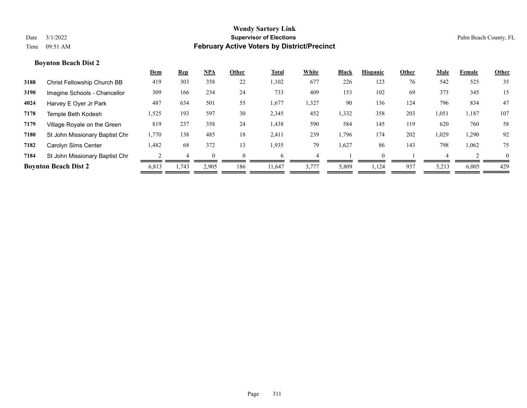#### **Boynton Beach Dist 2**

|      |                                | <u>Dem</u> | <b>Rep</b> | $NPA$    | Other    | Total  | White | <b>Black</b> | <b>Hispanic</b> | Other | Male     | Female | Other    |
|------|--------------------------------|------------|------------|----------|----------|--------|-------|--------------|-----------------|-------|----------|--------|----------|
| 3188 | Christ Fellowship Church BB    | 419        | 303        | 358      | 22       | 1,102  | 677   | 226          | 123             | 76    | 542      | 525    | 35       |
| 3190 | Imagine Schools - Chancellor   | 309        | 166        | 234      | 24       | 733    | 409   | 153          | 102             | 69    | 373      | 345    | 15       |
| 4024 | Harvey E Oyer Jr Park          | 487        | 634        | 501      | 55       | 1,677  | 1,327 | 90           | 136             | 124   | 796      | 834    | 47       |
| 7178 | Temple Beth Kodesh             | 1,525      | 193        | 597      | 30       | 2,345  | 452   | 1,332        | 358             | 203   | 1,051    | 1,187  | 107      |
| 7179 | Village Royale on the Green    | 819        | 237        | 358      | 24       | 1,438  | 590   | 584          | 145             | 119   | 620      | 760    | 58       |
| 7180 | St John Missionary Baptist Chr | 1,770      | 138        | 485      | 18       | 2,411  | 239   | 1,796        | 174             | 202   | 1,029    | 1,290  | 92       |
| 7182 | Carolyn Sims Center            | 1,482      | 68         | 372      | 13       | 1,935  | 79    | 1,627        | 86              | 143   | 798      | 1,062  | 75       |
| 7184 | St John Missionary Baptist Chr |            |            | $\Omega$ | $\Omega$ | 6      | 4     |              | $\Omega$        |       | $\Delta$ |        | $\theta$ |
|      | <b>Boynton Beach Dist 2</b>    | 6,813      | 1,743      | 2,905    | 186      | 11,647 | 3,777 | 5,809        | 1,124           | 937   | 5,213    | 6,005  | 429      |
|      |                                |            |            |          |          |        |       |              |                 |       |          |        |          |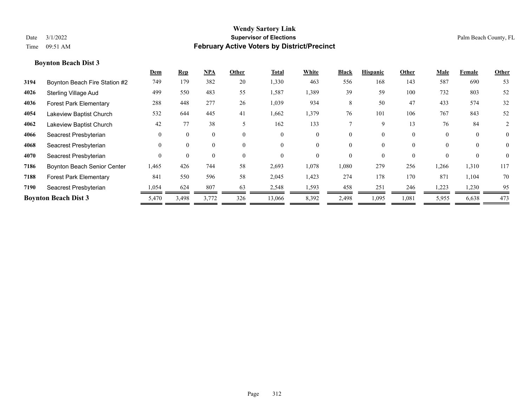#### **Boynton Beach Dist 3**

|      |                               | Dem      | <b>Rep</b> | <u>NPA</u> | Other                    | Total    | White    | <b>Black</b> | <b>Hispanic</b> | Other    | <b>Male</b> | Female   | Other          |
|------|-------------------------------|----------|------------|------------|--------------------------|----------|----------|--------------|-----------------|----------|-------------|----------|----------------|
| 3194 | Boynton Beach Fire Station #2 | 749      | 179        | 382        | 20                       | 1,330    | 463      | 556          | 168             | 143      | 587         | 690      | 53             |
| 4026 | <b>Sterling Village Aud</b>   | 499      | 550        | 483        | 55                       | 1,587    | 1,389    | 39           | 59              | 100      | 732         | 803      | 52             |
| 4036 | <b>Forest Park Elementary</b> | 288      | 448        | 277        | 26                       | 1,039    | 934      | 8            | 50              | 47       | 433         | 574      | 32             |
| 4054 | Lakeview Baptist Church       | 532      | 644        | 445        | 41                       | 1,662    | 1,379    | 76           | 101             | 106      | 767         | 843      | 52             |
| 4062 | Lakeview Baptist Church       | 42       | 77         | 38         | $\overline{\phantom{0}}$ | 162      | 133      |              | q               | 13       | 76          | 84       | 2              |
| 4066 | Seacrest Presbyterian         | $\Omega$ | $\theta$   | $\Omega$   | $\theta$                 | $\Omega$ | $\theta$ | 0            | $\theta$        | $\theta$ | $\Omega$    | $\theta$ | $\overline{0}$ |
| 4068 | Seacrest Presbyterian         | $\Omega$ | $\theta$   | $\Omega$   | $\theta$                 | $\Omega$ | $\theta$ | 0            | $\theta$        | $\Omega$ | $\Omega$    | $\theta$ | $\overline{0}$ |
| 4070 | Seacrest Presbyterian         | $\Omega$ | $\theta$   | $\Omega$   | $\theta$                 | $\Omega$ | $\theta$ | 0            | 0               | $\Omega$ |             |          | $\theta$       |
| 7186 | Boynton Beach Senior Center   | 1,465    | 426        | 744        | 58                       | 2,693    | 1,078    | 1,080        | 279             | 256      | 1,266       | 1,310    | 117            |
| 7188 | <b>Forest Park Elementary</b> | 841      | 550        | 596        | 58                       | 2,045    | 1,423    | 274          | 178             | 170      | 871         | 1,104    | 70             |
| 7190 | Seacrest Presbyterian         | 1,054    | 624        | 807        | 63                       | 2,548    | 1,593    | 458          | 251             | 246      | 1,223       | 1,230    | 95             |
|      | <b>Boynton Beach Dist 3</b>   | 5,470    | 3,498      | 3,772      | 326                      | 13,066   | 8,392    | 2,498        | 1,095           | 1,081    | 5,955       | 6,638    | 473            |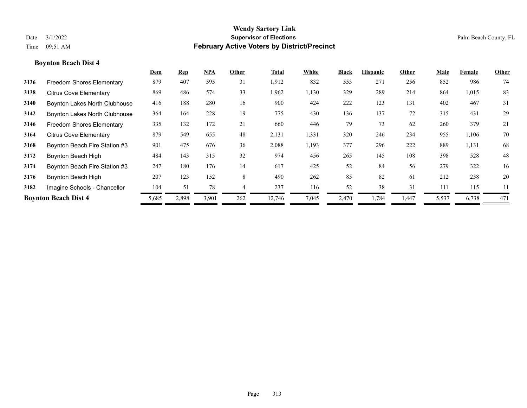# Date 3/1/2022 **Supervisor of Elections** Palm Beach County, FL

# **Wendy Sartory Link** Time 09:51 AM **February Active Voters by District/Precinct**

#### **Boynton Beach Dist 4**

|      |                                  | Dem   | <u>Rep</u> | NPA   | Other | Total  | White | <b>Black</b> | <b>Hispanic</b> | Other | Male  | Female | Other |
|------|----------------------------------|-------|------------|-------|-------|--------|-------|--------------|-----------------|-------|-------|--------|-------|
| 3136 | <b>Freedom Shores Elementary</b> | 879   | 407        | 595   | 31    | 1,912  | 832   | 553          | 271             | 256   | 852   | 986    | 74    |
| 3138 | <b>Citrus Cove Elementary</b>    | 869   | 486        | 574   | 33    | 1,962  | 1,130 | 329          | 289             | 214   | 864   | 1,015  | 83    |
| 3140 | Boynton Lakes North Clubhouse    | 416   | 188        | 280   | 16    | 900    | 424   | 222          | 123             | 131   | 402   | 467    | 31    |
| 3142 | Boynton Lakes North Clubhouse    | 364   | 164        | 228   | 19    | 775    | 430   | 136          | 137             | 72    | 315   | 431    | 29    |
| 3146 | <b>Freedom Shores Elementary</b> | 335   | 132        | 172   | 21    | 660    | 446   | 79           | 73              | 62    | 260   | 379    | 21    |
| 3164 | <b>Citrus Cove Elementary</b>    | 879   | 549        | 655   | 48    | 2,131  | 1,331 | 320          | 246             | 234   | 955   | 1,106  | 70    |
| 3168 | Boynton Beach Fire Station #3    | 901   | 475        | 676   | 36    | 2,088  | 1,193 | 377          | 296             | 222   | 889   | 1,131  | 68    |
| 3172 | Boynton Beach High               | 484   | 143        | 315   | 32    | 974    | 456   | 265          | 145             | 108   | 398   | 528    | 48    |
| 3174 | Boynton Beach Fire Station #3    | 247   | 180        | 176   | 14    | 617    | 425   | 52           | 84              | 56    | 279   | 322    | 16    |
| 3176 | Boynton Beach High               | 207   | 123        | 152   | 8     | 490    | 262   | 85           | 82              | 61    | 212   | 258    | 20    |
| 3182 | Imagine Schools - Chancellor     | 104   | 51         | 78    |       | 237    | 116   | 52           | 38              | 31    | 111   | 115    | 11    |
|      | <b>Boynton Beach Dist 4</b>      | 5,685 | 2,898      | 3,901 | 262   | 12,746 | 7,045 | 2,470        | 1,784           | 1,447 | 5,537 | 6,738  | 471   |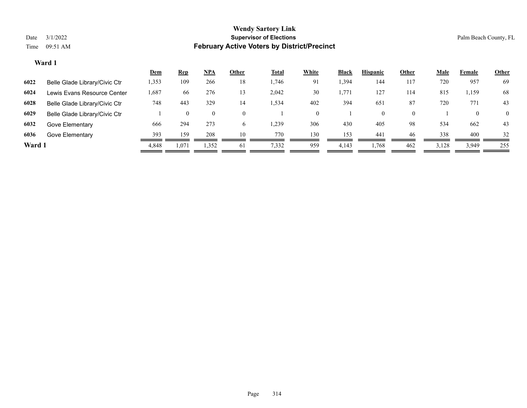|        |                               | <b>Dem</b> | <b>Rep</b>     | $NPA$          | Other        | <b>Total</b> | <b>White</b> | Black | <b>Hispanic</b> | Other    | <b>Male</b> | Female | <b>Other</b>   |
|--------|-------------------------------|------------|----------------|----------------|--------------|--------------|--------------|-------|-----------------|----------|-------------|--------|----------------|
| 6022   | Belle Glade Library/Civic Ctr | 1,353      | 109            | 266            | 18           | 1,746        | 91           | 394.  | 144             | 117      | 720         | 957    | 69             |
| 6024   | Lewis Evans Resource Center   | 687ء       | 66             | 276            |              | 2,042        | 30           | 1,771 | 127             | 114      | 815         | 1,159  | 68             |
| 6028   | Belle Glade Library/Civic Ctr | 748        | 443            | 329            | 14           | 1,534        | 402          | 394   | 651             | 87       | 720         | 771    | 43             |
| 6029   | Belle Glade Library/Civic Ctr |            | $\overline{0}$ | $\overline{0}$ | $\theta$     |              |              |       | $\overline{0}$  | $\Omega$ |             |        | $\overline{0}$ |
| 6032   | Gove Elementary               | 666        | 294            | 273            | <sub>0</sub> | 1,239        | 306          | 430   | 405             | 98       | 534         | 662    | 43             |
| 6036   | Gove Elementary               | 393        | 159            | 208            | 10           | 770          | 130          | 153   | 441             | 46       | 338         | 400    | 32             |
| Ward 1 |                               | 4,848      | 1,071          | 1,352          | 61           | 7,332        | 959          | 4,143 | 1,768           | 462      | 3,128       | 3,949  | 255            |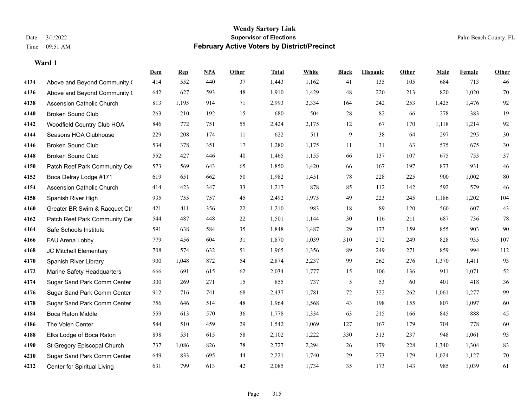|      |                                  | Dem | <b>Rep</b> | NPA | <b>Other</b> | <b>Total</b> | <b>White</b> | <b>Black</b> | <b>Hispanic</b> | <b>Other</b> | <b>Male</b> | <b>Female</b> | <b>Other</b> |
|------|----------------------------------|-----|------------|-----|--------------|--------------|--------------|--------------|-----------------|--------------|-------------|---------------|--------------|
| 4134 | Above and Beyond Community (     | 414 | 552        | 440 | 37           | 1,443        | 1,162        | 41           | 135             | 105          | 684         | 713           | 46           |
| 4136 | Above and Beyond Community (     | 642 | 627        | 593 | 48           | 1,910        | 1,429        | 48           | 220             | 213          | 820         | 1,020         | 70           |
| 4138 | <b>Ascension Catholic Church</b> | 813 | 1,195      | 914 | 71           | 2,993        | 2,334        | 164          | 242             | 253          | 1,425       | 1,476         | 92           |
| 4140 | <b>Broken Sound Club</b>         | 263 | 210        | 192 | 15           | 680          | 504          | 28           | 82              | 66           | 278         | 383           | 19           |
| 4142 | Woodfield Country Club HOA       | 846 | 772        | 751 | 55           | 2,424        | 2,175        | 12           | 67              | 170          | 1,118       | 1,214         | 92           |
| 4144 | Seasons HOA Clubhouse            | 229 | 208        | 174 | 11           | 622          | 511          | 9            | 38              | 64           | 297         | 295           | $30\,$       |
| 4146 | <b>Broken Sound Club</b>         | 534 | 378        | 351 | 17           | 1,280        | 1,175        | 11           | 31              | 63           | 575         | 675           | $30\,$       |
| 4148 | <b>Broken Sound Club</b>         | 552 | 427        | 446 | 40           | 1,465        | 1,155        | 66           | 137             | 107          | 675         | 753           | 37           |
| 4150 | Patch Reef Park Community Cer    | 573 | 569        | 643 | 65           | 1,850        | 1,420        | 66           | 167             | 197          | 873         | 931           | $46\,$       |
| 4152 | Boca Delray Lodge #171           | 619 | 651        | 662 | 50           | 1,982        | 1,451        | 78           | 228             | 225          | 900         | 1,002         | $80\,$       |
| 4154 | Ascension Catholic Church        | 414 | 423        | 347 | 33           | 1,217        | 878          | 85           | 112             | 142          | 592         | 579           | 46           |
| 4158 | Spanish River High               | 935 | 755        | 757 | 45           | 2,492        | 1,975        | 49           | 223             | 245          | 1,186       | 1,202         | 104          |
| 4160 | Greater BR Swim & Racquet Ctr    | 421 | 411        | 356 | 22           | 1,210        | 983          | 18           | 89              | 120          | 560         | 607           | 43           |
| 4162 | Patch Reef Park Community Cer    | 544 | 487        | 448 | $22\,$       | 1,501        | 1,144        | $30\,$       | 116             | 211          | 687         | 736           | $78\,$       |
| 4164 | Safe Schools Institute           | 591 | 638        | 584 | 35           | 1,848        | 1,487        | 29           | 173             | 159          | 855         | 903           | 90           |
| 4166 | FAU Arena Lobby                  | 779 | 456        | 604 | 31           | 1,870        | 1,039        | 310          | 272             | 249          | 828         | 935           | 107          |
| 4168 | JC Mitchell Elementary           | 708 | 574        | 632 | 51           | 1,965        | 1,356        | 89           | 249             | 271          | 859         | 994           | 112          |
| 4170 | Spanish River Library            | 900 | 1,048      | 872 | 54           | 2,874        | 2,237        | 99           | 262             | 276          | 1,370       | 1,411         | 93           |
| 4172 | Marine Safety Headquarters       | 666 | 691        | 615 | 62           | 2,034        | 1,777        | 15           | 106             | 136          | 911         | 1,071         | 52           |
| 4174 | Sugar Sand Park Comm Center      | 300 | 269        | 271 | 15           | 855          | 737          | 5            | 53              | 60           | 401         | 418           | $36\,$       |
| 4176 | Sugar Sand Park Comm Center      | 912 | 716        | 741 | 68           | 2,437        | 1,781        | 72           | 322             | 262          | 1,061       | 1,277         | 99           |
| 4178 | Sugar Sand Park Comm Center      | 756 | 646        | 514 | 48           | 1,964        | 1,568        | 43           | 198             | 155          | 807         | 1,097         | 60           |
| 4184 | Boca Raton Middle                | 559 | 613        | 570 | 36           | 1,778        | 1,334        | 63           | 215             | 166          | 845         | 888           | 45           |
| 4186 | The Volen Center                 | 544 | 510        | 459 | 29           | 1,542        | 1,069        | 127          | 167             | 179          | 704         | 778           | 60           |
| 4188 | Elks Lodge of Boca Raton         | 898 | 531        | 615 | 58           | 2,102        | 1,222        | 330          | 313             | 237          | 948         | 1,061         | 93           |
| 4190 | St Gregory Episcopal Church      | 737 | 1,086      | 826 | 78           | 2,727        | 2,294        | 26           | 179             | 228          | 1,340       | 1,304         | 83           |
| 4210 | Sugar Sand Park Comm Center      | 649 | 833        | 695 | 44           | 2,221        | 1,740        | 29           | 273             | 179          | 1,024       | 1,127         | 70           |
| 4212 | Center for Spiritual Living      | 631 | 799        | 613 | 42           | 2,085        | 1,734        | 35           | 173             | 143          | 985         | 1,039         | 61           |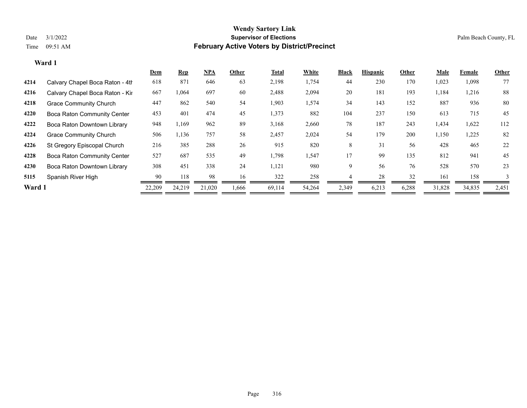|        |                                    | Dem    | <b>Rep</b> | <u>NPA</u> | Other | Total  | White  | <b>Black</b> | <b>Hispanic</b> | Other | <b>Male</b> | Female | Other |
|--------|------------------------------------|--------|------------|------------|-------|--------|--------|--------------|-----------------|-------|-------------|--------|-------|
| 4214   | Calvary Chapel Boca Raton - 4th    | 618    | 871        | 646        | 63    | 2,198  | 1,754  | 44           | 230             | 170   | 1,023       | 1,098  | 77    |
| 4216   | Calvary Chapel Boca Raton - Kir    | 667    | 1,064      | 697        | 60    | 2,488  | 2,094  | 20           | 181             | 193   | 1,184       | 1,216  | 88    |
| 4218   | <b>Grace Community Church</b>      | 447    | 862        | 540        | 54    | 1,903  | 1,574  | 34           | 143             | 152   | 887         | 936    | 80    |
| 4220   | <b>Boca Raton Community Center</b> | 453    | 401        | 474        | 45    | 1,373  | 882    | 104          | 237             | 150   | 613         | 715    | 45    |
| 4222   | Boca Raton Downtown Library        | 948    | 1,169      | 962        | 89    | 3,168  | 2,660  | 78           | 187             | 243   | 1,434       | 1,622  | 112   |
| 4224   | <b>Grace Community Church</b>      | 506    | 1,136      | 757        | 58    | 2,457  | 2,024  | 54           | 179             | 200   | 1,150       | 1,225  | 82    |
| 4226   | St Gregory Episcopal Church        | 216    | 385        | 288        | 26    | 915    | 820    | 8            | 31              | 56    | 428         | 465    | 22    |
| 4228   | <b>Boca Raton Community Center</b> | 527    | 687        | 535        | 49    | 1,798  | 1,547  | 17           | 99              | 135   | 812         | 941    | 45    |
| 4230   | Boca Raton Downtown Library        | 308    | 451        | 338        | 24    | 1,121  | 980    | 9            | 56              | 76    | 528         | 570    | 23    |
| 5115   | Spanish River High                 | 90     | 118        | 98         | 16    | 322    | 258    |              | 28              | 32    | 161         | 158    |       |
| Ward 1 |                                    | 22,209 | 24,219     | 21,020     | 1.666 | 69,114 | 54,264 | 2,349        | 6,213           | 6,288 | 31,828      | 34,835 | 2,451 |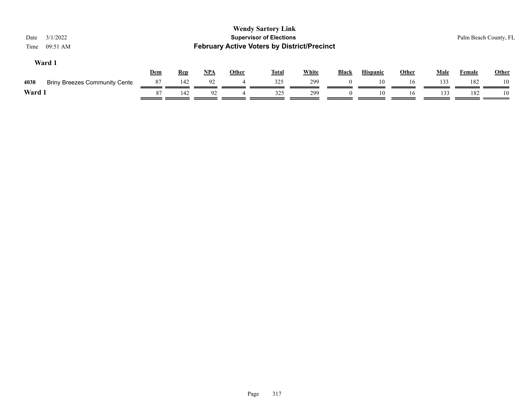| 3/1/2022<br>Date<br>09:51 AM<br>Time         |     |            |       |              | <b>Wendy Sartory Link</b><br><b>Supervisor of Elections</b><br><b>February Active Voters by District/Precinct</b> |              |              |                 |              |             |               | Palm Beach County, FL |
|----------------------------------------------|-----|------------|-------|--------------|-------------------------------------------------------------------------------------------------------------------|--------------|--------------|-----------------|--------------|-------------|---------------|-----------------------|
| Ward 1                                       | Dem | <b>Rep</b> | $NPA$ | <b>Other</b> | <b>Total</b>                                                                                                      | <b>White</b> | <b>Black</b> | <b>Hispanic</b> | <b>Other</b> | <b>Male</b> | <b>Female</b> | <b>Other</b>          |
| 4038<br><b>Briny Breezes Community Cente</b> | 87  | 142        | 92    | 4            | 325                                                                                                               | 299          | $\theta$     | 10              | 16           | 133         | 182           | 10                    |
| Ward 1                                       | 87  | 142        | 92    |              | 325                                                                                                               | 299          |              | 10              | 16           | 133         | 182           | 10                    |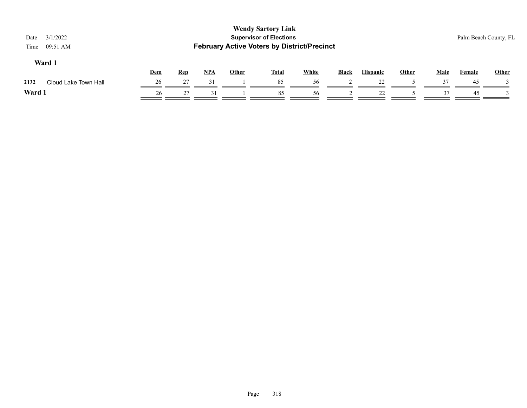| 3/1/2022<br>Date<br>09:51 AM<br>Time |     |            |            |              | <b>Wendy Sartory Link</b><br><b>Supervisor of Elections</b><br><b>February Active Voters by District/Precinct</b> |              |              |                 |              |             | Palm Beach County, FL |              |
|--------------------------------------|-----|------------|------------|--------------|-------------------------------------------------------------------------------------------------------------------|--------------|--------------|-----------------|--------------|-------------|-----------------------|--------------|
| Ward 1                               | Dem | <b>Rep</b> | <u>NPA</u> | <b>Other</b> | <b>Total</b>                                                                                                      | <b>White</b> | <b>Black</b> | <b>Hispanic</b> | <b>Other</b> | <b>Male</b> | Female                | <b>Other</b> |
| Cloud Lake Town Hall<br>2132         | 26  | 27         | 31         |              | 85                                                                                                                | 56           |              | 22              |              | 37          | 45                    |              |
| Ward 1                               | 26  | 27         | 31         |              | 85                                                                                                                | 56           |              | 22              |              | 37          | 45                    |              |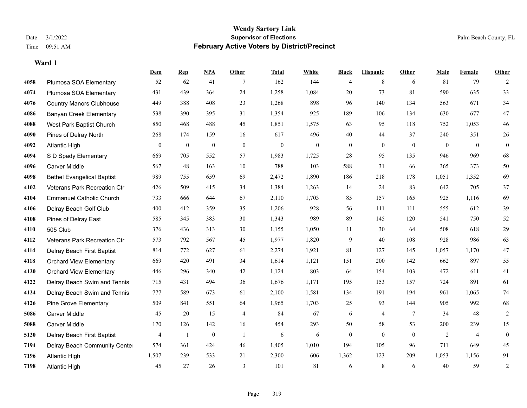**Ward 1**

#### **Wendy Sartory Link** Date 3/1/2022 **Supervisor of Elections** Palm Beach County, FL Time 09:51 AM **February Active Voters by District/Precinct**

|      |                                   | <u>Dem</u>   | <b>Rep</b>       | NPA              | <b>Other</b>     | <b>Total</b>     | <b>White</b>     | <b>Black</b>     | <b>Hispanic</b>  | <b>Other</b> | <b>Male</b>      | <b>Female</b>    | Other            |
|------|-----------------------------------|--------------|------------------|------------------|------------------|------------------|------------------|------------------|------------------|--------------|------------------|------------------|------------------|
| 4058 | Plumosa SOA Elementary            | 52           | 62               | 41               | 7                | 162              | 144              | 4                | 8                | 6            | 81               | 79               | $\overline{2}$   |
| 4074 | Plumosa SOA Elementary            | 431          | 439              | 364              | 24               | 1,258            | 1,084            | $20\,$           | 73               | 81           | 590              | 635              | 33               |
| 4076 | <b>Country Manors Clubhouse</b>   | 449          | 388              | 408              | 23               | 1,268            | 898              | 96               | 140              | 134          | 563              | 671              | 34               |
| 4086 | Banyan Creek Elementary           | 538          | 390              | 395              | 31               | 1,354            | 925              | 189              | 106              | 134          | 630              | 677              | 47               |
| 4088 | West Park Baptist Church          | 850          | 468              | 488              | 45               | 1,851            | 1,575            | 63               | 95               | 118          | 752              | 1.053            | 46               |
| 4090 | Pines of Delray North             | 268          | 174              | 159              | 16               | 617              | 496              | 40               | 44               | 37           | 240              | 351              | 26               |
| 4092 | <b>Atlantic High</b>              | $\mathbf{0}$ | $\boldsymbol{0}$ | $\boldsymbol{0}$ | $\boldsymbol{0}$ | $\boldsymbol{0}$ | $\boldsymbol{0}$ | $\boldsymbol{0}$ | $\boldsymbol{0}$ | $\bf{0}$     | $\boldsymbol{0}$ | $\boldsymbol{0}$ | $\boldsymbol{0}$ |
| 4094 | S D Spady Elementary              | 669          | 705              | 552              | 57               | 1,983            | 1,725            | $28\,$           | 95               | 135          | 946              | 969              | 68               |
| 4096 | <b>Carver Middle</b>              | 567          | 48               | 163              | 10               | 788              | 103              | 588              | 31               | 66           | 365              | 373              | 50               |
| 4098 | <b>Bethel Evangelical Baptist</b> | 989          | 755              | 659              | 69               | 2,472            | 1,890            | 186              | 218              | 178          | 1,051            | 1,352            | 69               |
| 4102 | Veterans Park Recreation Ctr      | 426          | 509              | 415              | 34               | 1,384            | 1,263            | 14               | 24               | 83           | 642              | 705              | 37               |
| 4104 | <b>Emmanuel Catholic Church</b>   | 733          | 666              | 644              | 67               | 2,110            | 1,703            | 85               | 157              | 165          | 925              | 1,116            | 69               |
| 4106 | Delray Beach Golf Club            | 400          | 412              | 359              | 35               | 1,206            | 928              | 56               | 111              | 111          | 555              | 612              | 39               |
| 4108 | Pines of Delray East              | 585          | 345              | 383              | 30               | 1,343            | 989              | 89               | 145              | 120          | 541              | 750              | 52               |
| 4110 | 505 Club                          | 376          | 436              | 313              | 30               | 1,155            | 1,050            | 11               | 30               | 64           | 508              | 618              | 29               |
| 4112 | Veterans Park Recreation Ctr      | 573          | 792              | 567              | 45               | 1,977            | 1,820            | 9                | 40               | 108          | 928              | 986              | 63               |
| 4114 | Delray Beach First Baptist        | 814          | 772              | 627              | 61               | 2,274            | 1,921            | 81               | 127              | 145          | 1,057            | 1,170            | 47               |
| 4118 | <b>Orchard View Elementary</b>    | 669          | 420              | 491              | 34               | 1,614            | 1,121            | 151              | 200              | 142          | 662              | 897              | 55               |
| 4120 | <b>Orchard View Elementary</b>    | 446          | 296              | 340              | 42               | 1,124            | 803              | 64               | 154              | 103          | 472              | 611              | 41               |
| 4122 | Delray Beach Swim and Tennis      | 715          | 431              | 494              | 36               | 1,676            | 1,171            | 195              | 153              | 157          | 724              | 891              | 61               |
| 4124 | Delray Beach Swim and Tennis      | 777          | 589              | 673              | 61               | 2,100            | 1,581            | 134              | 191              | 194          | 961              | 1,065            | 74               |
| 4126 | <b>Pine Grove Elementary</b>      | 509          | 841              | 551              | 64               | 1,965            | 1,703            | 25               | 93               | 144          | 905              | 992              | 68               |
| 5086 | <b>Carver Middle</b>              | 45           | 20               | 15               | $\overline{4}$   | 84               | 67               | 6                | 4                | 7            | 34               | 48               | 2                |
| 5088 | <b>Carver Middle</b>              | 170          | 126              | 142              | 16               | 454              | 293              | 50               | 58               | 53           | 200              | 239              | 15               |
| 5120 | Delray Beach First Baptist        | 4            | -1               | $\bf{0}$         | -1               | 6                | 6                | $\boldsymbol{0}$ | $\mathbf{0}$     | $\mathbf{0}$ | 2                | $\overline{4}$   | $\boldsymbol{0}$ |
| 7194 | Delray Beach Community Cente      | 574          | 361              | 424              | 46               | 1,405            | 1,010            | 194              | 105              | 96           | 711              | 649              | 45               |
| 7196 | <b>Atlantic High</b>              | 1,507        | 239              | 533              | 21               | 2,300            | 606              | 1,362            | 123              | 209          | 1,053            | 1,156            | 91               |
| 7198 | <b>Atlantic High</b>              | 45           | 27               | 26               | 3                | 101              | 81               | 6                | 8                | 6            | 40               | 59               | $\overline{2}$   |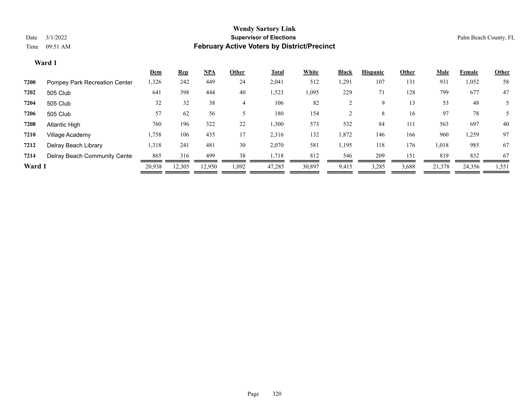|        |                               | Dem    | <b>Rep</b> | <u>NPA</u> | Other | <u>Total</u> | White  | <b>Black</b> | <b>Hispanic</b> | Other | <b>Male</b> | Female | <b>Other</b> |
|--------|-------------------------------|--------|------------|------------|-------|--------------|--------|--------------|-----------------|-------|-------------|--------|--------------|
| 7200   | Pompey Park Recreation Center | 1,326  | 242        | 449        | 24    | 2,041        | 512    | ,291         | 107             | 131   | 931         | 1,052  | 58           |
| 7202   | 505 Club                      | 641    | 398        | 444        | 40    | 1,523        | 1,095  | 229          | 71              | 128   | 799         | 677    | 47           |
| 7204   | 505 Club                      | 32     | 32         | 38         | 4     | 106          | 82     |              | 9.              | 13    | 53          | 48     |              |
| 7206   | 505 Club                      | 57     | 62         | 56         |       | 180          | 154    |              | 8               | 16    | 97          | 78     |              |
| 7208   | Atlantic High                 | 760    | 196        | 322        | 22    | 1,300        | 573    | 532          | 84              | 111   | 563         | 697    | 40           |
| 7210   | Village Academy               | 1,758  | 106        | 435        | 17    | 2,316        | 132    | 1,872        | 146             | 166   | 960         | 1,259  | 97           |
| 7212   | Delray Beach Library          | 1,318  | 241        | 481        | 30    | 2,070        | 581    | 1,195        | 118             | 176   | 1,018       | 985    | 67           |
| 7214   | Delray Beach Community Cente  | 865    | 316        | 499        | 38    | 1,718        | 812    | 546          | 209             | 151   | 819         | 832    | 67           |
| Ward 1 |                               | 20,938 | 12,305     | 12,950     | 1,092 | 47,285       | 30,897 | 9,415        | 3,285           | 3,688 | 21,378      | 24,356 | 1,551        |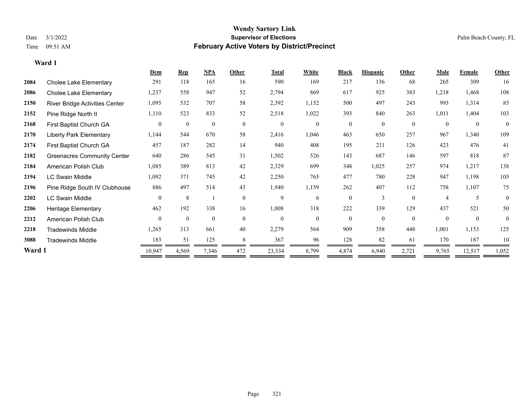|        |                                    | Dem            | <b>Rep</b>   | NPA          | Other        | <b>Total</b>     | White        | <b>Black</b>   | <b>Hispanic</b> | Other          | Male           | Female         | <b>Other</b>   |
|--------|------------------------------------|----------------|--------------|--------------|--------------|------------------|--------------|----------------|-----------------|----------------|----------------|----------------|----------------|
| 2084   | <b>Cholee Lake Elementary</b>      | 291            | 118          | 165          | 16           | 590              | 169          | 217            | 136             | 68             | 265            | 309            | 16             |
| 2086   | <b>Cholee Lake Elementary</b>      | 1,237          | 558          | 947          | 52           | 2,794            | 869          | 617            | 925             | 383            | 1,218          | 1,468          | 108            |
| 2150   | River Bridge Activities Center     | 1,095          | 532          | 707          | 58           | 2,392            | 1,152        | 500            | 497             | 243            | 993            | 1,314          | 85             |
| 2152   | Pine Ridge North II                | 1,110          | 523          | 833          | 52           | 2,518            | 1,022        | 393            | 840             | 263            | 1,011          | 1,404          | 103            |
| 2168   | First Baptist Church GA            | $\overline{0}$ | $\theta$     | $\mathbf{0}$ | $\mathbf{0}$ | $\boldsymbol{0}$ | $\mathbf{0}$ | $\overline{0}$ | $\overline{0}$  | $\overline{0}$ | $\theta$       | $\overline{0}$ | $\overline{0}$ |
| 2170   | <b>Liberty Park Elementary</b>     | 1,144          | 544          | 670          | 58           | 2,416            | 1,046        | 463            | 650             | 257            | 967            | 1,340          | 109            |
| 2174   | First Baptist Church GA            | 457            | 187          | 282          | 14           | 940              | 408          | 195            | 211             | 126            | 423            | 476            | 41             |
| 2182   | <b>Greenacres Community Center</b> | 640            | 286          | 545          | 31           | 1,502            | 526          | 143            | 687             | 146            | 597            | 818            | 87             |
| 2184   | American Polish Club               | 1,085          | 389          | 813          | 42           | 2,329            | 699          | 348            | 1,025           | 257            | 974            | 1,217          | 138            |
| 2194   | <b>LC Swain Middle</b>             | 1,092          | 371          | 745          | 42           | 2,250            | 765          | 477            | 780             | 228            | 947            | 1,198          | 105            |
| 2196   | Pine Ridge South IV Clubhouse      | 886            | 497          | 514          | 43           | 1,940            | 1,159        | 262            | 407             | 112            | 758            | 1,107          | 75             |
| 2202   | <b>LC Swain Middle</b>             | $\theta$       | 8            |              | $\theta$     | 9                | 6            | $\overline{0}$ | 3               | $\theta$       | $\overline{4}$ | 5              | $\theta$       |
| 2206   | <b>Heritage Elementary</b>         | 462            | 192          | 338          | 16           | 1,008            | 318          | 222            | 339             | 129            | 437            | 521            | 50             |
| 2212   | American Polish Club               | $\theta$       | $\mathbf{0}$ | $\mathbf{0}$ | $\theta$     | $\mathbf{0}$     | $\theta$     | $\theta$       | $\theta$        | $\overline{0}$ | $\theta$       | $\overline{0}$ | $\Omega$       |
| 2218   | <b>Tradewinds Middle</b>           | 1,265          | 313          | 661          | 40           | 2,279            | 564          | 909            | 358             | 448            | 1,001          | 1,153          | 125            |
| 3088   | <b>Tradewinds Middle</b>           | 183            | 51           | 125          | 8            | 367              | 96           | 128            | 82              | 61             | 170            | 187            | 10             |
| Ward 1 |                                    | 10,947         | 4,569        | 7,346        | 472          | 23,334           | 8,799        | 4,874          | 6,940           | 2,721          | 9,765          | 12,517         | 1,052          |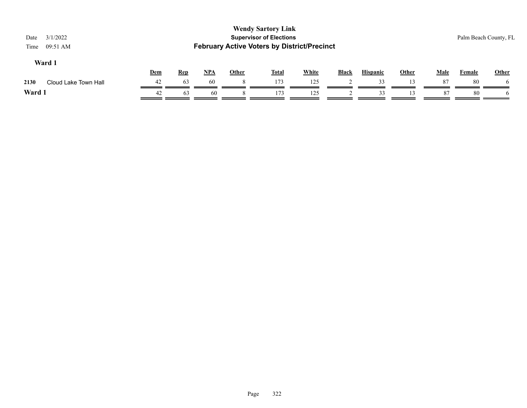| 3/1/2022<br>Date<br>09:51 AM<br>Time |     |            |     |              | <b>Wendy Sartory Link</b><br><b>Supervisor of Elections</b><br><b>February Active Voters by District/Precinct</b> |              |              |                 |       |             |               | Palm Beach County, FL |
|--------------------------------------|-----|------------|-----|--------------|-------------------------------------------------------------------------------------------------------------------|--------------|--------------|-----------------|-------|-------------|---------------|-----------------------|
| Ward 1                               | Dem | <u>Rep</u> | NPA | <b>Other</b> | <u>Total</u>                                                                                                      | <b>White</b> | <b>Black</b> | <b>Hispanic</b> | Other | <b>Male</b> | <b>Female</b> | Other                 |
| Cloud Lake Town Hall<br>2130         | 42  | 63         | 60  |              | 173                                                                                                               | 125          |              | 33              | 13    | 87          | 80            | <sub>0</sub>          |
| Ward 1                               | 42  | 63         | 60  |              | 173                                                                                                               | 125          |              | 33              | 13    | 87          | 80            |                       |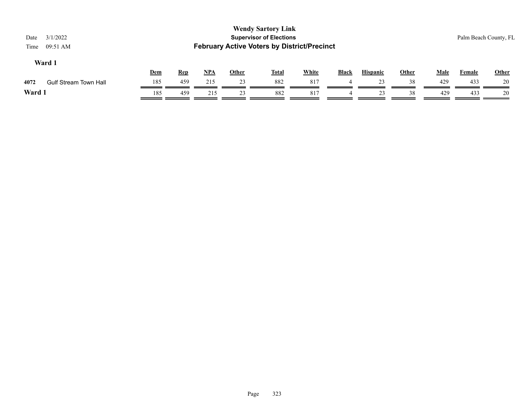| 3/1/2022<br>Date<br>09:51 AM<br>Time |     |            |     |              | <b>Wendy Sartory Link</b><br><b>Supervisor of Elections</b><br><b>February Active Voters by District/Precinct</b> |              |              |                 |              |             | Palm Beach County, FL |              |
|--------------------------------------|-----|------------|-----|--------------|-------------------------------------------------------------------------------------------------------------------|--------------|--------------|-----------------|--------------|-------------|-----------------------|--------------|
| Ward 1                               | Dem | <b>Rep</b> | NPA | <b>Other</b> | <b>Total</b>                                                                                                      | <b>White</b> | <b>Black</b> | <b>Hispanic</b> | <b>Other</b> | <b>Male</b> | Female                | <b>Other</b> |
| 4072<br><b>Gulf Stream Town Hall</b> | 185 | 459        | 215 | 23           | 882                                                                                                               | 817          |              | 23              | 38           | 429         | 433                   | 20           |
| Ward 1                               | 185 | 459        | 215 | 23           | 882                                                                                                               | 817          | 4            | 23              | 38           | 429         | 433                   | 20           |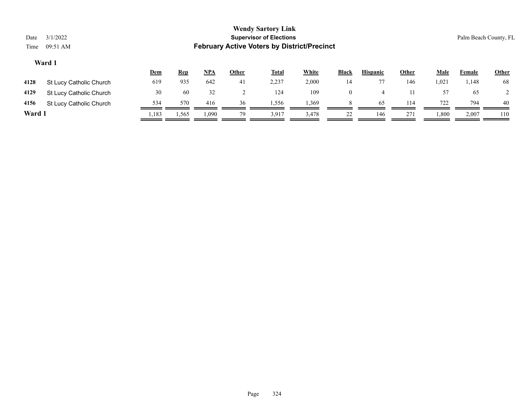| <b>Supervisor of Elections</b><br>3/1/2022<br>Date<br><b>February Active Voters by District/Precinct</b><br>09:51 AM<br>Time |                  |       |            |     |              |              |                                           |              |                 |       |             |                                 |  |
|------------------------------------------------------------------------------------------------------------------------------|------------------|-------|------------|-----|--------------|--------------|-------------------------------------------|--------------|-----------------|-------|-------------|---------------------------------|--|
|                                                                                                                              |                  |       |            |     |              |              |                                           |              |                 |       |             | <b>Other</b>                    |  |
| St Lucy Catholic Church                                                                                                      | 619              | 935   | 642        | 41  | 2,237        | 2,000        | 14                                        | 77           | 146             | 1,021 | 1,148       | 68                              |  |
| St Lucy Catholic Church                                                                                                      | 30               | 60    | 32         |     | 124          | 109          | $\overline{0}$                            | 4            | 11              | 57    | 65          |                                 |  |
| St Lucy Catholic Church                                                                                                      | 534              | 570   | 416        | 36  | 1,556        | 1,369        | 8                                         | 65           | 114             | 722   | 794         | 40                              |  |
|                                                                                                                              | 1,183            | 1,565 | 1,090      | 79  | 3,917        | 3,478        | 22                                        | 146          | 271             | 1,800 | 2,007       | 110                             |  |
|                                                                                                                              | Ward 1<br>Ward 1 | Dem   | <b>Rep</b> | NPA | <b>Other</b> | <b>Total</b> | <b>Wendy Sartory Link</b><br><b>White</b> | <b>Black</b> | <b>Hispanic</b> | Other | <b>Male</b> | Palm Beach County, FL<br>Female |  |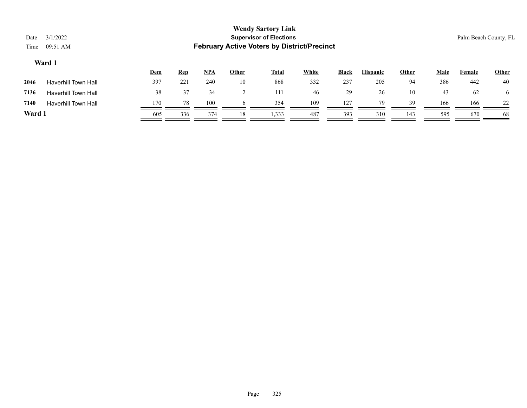| Date<br>Time | <b>Wendy Sartory Link</b><br><b>Supervisor of Elections</b><br>3/1/2022<br>Palm Beach County, FL<br><b>February Active Voters by District/Precinct</b><br>09:51 AM<br>Ward 1 |            |            |            |              |              |       |              |                 |       |             |        |              |  |
|--------------|------------------------------------------------------------------------------------------------------------------------------------------------------------------------------|------------|------------|------------|--------------|--------------|-------|--------------|-----------------|-------|-------------|--------|--------------|--|
|              |                                                                                                                                                                              |            |            |            |              |              |       |              |                 |       |             |        |              |  |
|              |                                                                                                                                                                              | <b>Dem</b> | <u>Rep</u> | <u>NPA</u> | <b>Other</b> | <u>Total</u> | White | <b>Black</b> | <b>Hispanic</b> | Other | <b>Male</b> | Female | <b>Other</b> |  |
| 2046         | <b>Haverhill Town Hall</b>                                                                                                                                                   | 397        | 221        | 240        | 10           | 868          | 332   | 237          | 205             | 94    | 386         | 442    | 40           |  |
| 7136         | <b>Haverhill Town Hall</b>                                                                                                                                                   | 38         | 37         | 34         | $\sim$<br>∠  | 111          | 46    | 29           | 26              | 10    | 43          | 62     | 6            |  |
| 7140         | <b>Haverhill Town Hall</b>                                                                                                                                                   | 170        | 78         | 100        | $\sigma$     | 354          | 109   | 127          | 79              | 39    | 166         | 166    | 22           |  |
| Ward 1       |                                                                                                                                                                              | 605        | 336        | 374        | 18           | 1,333        | 487   | 393          | 310             | 143   | 595         | 670    | 68           |  |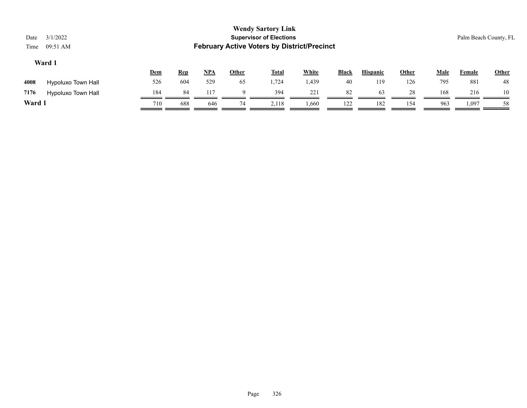| Date<br>Time | 3/1/2022<br>09:51 AM |     |            |            |              | <b>Wendy Sartory Link</b><br><b>Supervisor of Elections</b><br><b>February Active Voters by District/Precinct</b> |              |              |                 |       |             | Palm Beach County, FL |       |
|--------------|----------------------|-----|------------|------------|--------------|-------------------------------------------------------------------------------------------------------------------|--------------|--------------|-----------------|-------|-------------|-----------------------|-------|
|              | Ward 1               | Dem | <b>Rep</b> | <u>NPA</u> | <b>Other</b> | <b>Total</b>                                                                                                      | <b>White</b> | <b>Black</b> | <b>Hispanic</b> | Other | <b>Male</b> | Female                | Other |
| 4008         | Hypoluxo Town Hall   | 526 | 604        | 529        | 65           | 1,724                                                                                                             | 1,439        | 40           | 119             | 126   | 795         | 881                   | 48    |
| 7176         | Hypoluxo Town Hall   | 184 | 84         | 117        |              | 394                                                                                                               | 221          | 82           | 63              | 28    | 168         | 216                   | 10    |
| Ward 1       |                      | 710 | 688        | 646        | 74           | 2,118                                                                                                             | 1,660        | 122          | 182             | 154   | 963         | 1,097                 | 58    |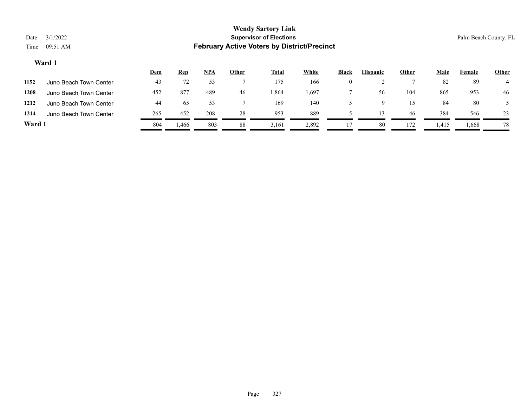|        |                        | <u>Dem</u> | <u>Rep</u> | <u>NPA</u> | <u>Other</u> | <b>Total</b> | <b>White</b> | <b>Black</b> | <b>Hispanic</b> | <u>Other</u> | <u>Male</u> | Female | <b>Other</b> |
|--------|------------------------|------------|------------|------------|--------------|--------------|--------------|--------------|-----------------|--------------|-------------|--------|--------------|
| 1152   | Juno Beach Town Center | 43         |            |            |              | 175          | 166          | $\theta$     |                 |              | 82          | 89     |              |
| 1208   | Juno Beach Town Center | 452        | -877       | 489        | 46           | 1,864        | 1,697        |              | 56              | 104          | 865         | 953    | 46           |
| 1212   | Juno Beach Town Center | 44         | 65         |            |              | 169          | 140          |              |                 | 15           | 84          | 80     |              |
| 1214   | Juno Beach Town Center | 265        | 452        | 208        | 28           | 953          | 889          |              |                 | 46           | 384         | 546    | 23           |
| Ward 1 |                        | 804        | 1,466      | 803        | 88           | 3,161        | 2,892        |              | 80              | 172          | 1,415       | 1,668  | 78           |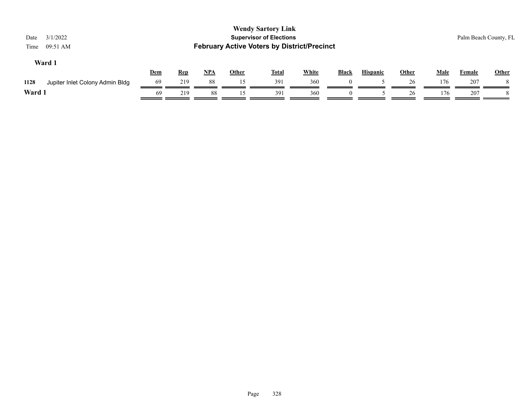| 3/1/2022<br>Date<br>09:51 AM<br>Time    |     |            |       |              | <b>Wendy Sartory Link</b><br><b>Supervisor of Elections</b><br><b>February Active Voters by District/Precinct</b> |              |              |                 |       |             | Palm Beach County, FL |              |
|-----------------------------------------|-----|------------|-------|--------------|-------------------------------------------------------------------------------------------------------------------|--------------|--------------|-----------------|-------|-------------|-----------------------|--------------|
| Ward 1                                  | Dem | <b>Rep</b> | $NPA$ | <b>Other</b> | <b>Total</b>                                                                                                      | <b>White</b> | <b>Black</b> | <b>Hispanic</b> | Other | <b>Male</b> | Female                | <b>Other</b> |
| 1128<br>Jupiter Inlet Colony Admin Bldg | 69  | 219        | -88   | 15           | 391                                                                                                               | 360          |              |                 | 26    | 176         | 207                   |              |
| Ward 1                                  | 69  | 219        | 88    | 15           | 391                                                                                                               | 360          | $\Omega$     |                 | 26    | 176         | 207                   |              |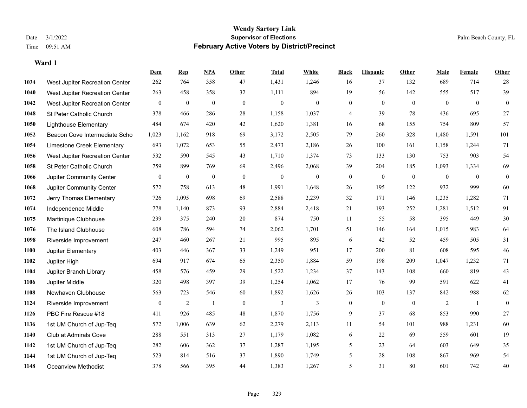|      |                                | Dem              | <b>Rep</b>       | <b>NPA</b>       | Other            | <b>Total</b>     | White            | <b>Black</b>     | <b>Hispanic</b>  | Other            | Male             | Female       | Other            |
|------|--------------------------------|------------------|------------------|------------------|------------------|------------------|------------------|------------------|------------------|------------------|------------------|--------------|------------------|
| 1034 | West Jupiter Recreation Center | 262              | 764              | 358              | 47               | 1,431            | 1,246            | 16               | 37               | 132              | 689              | 714          | 28               |
| 1040 | West Jupiter Recreation Center | 263              | 458              | 358              | 32               | 1,111            | 894              | 19               | 56               | 142              | 555              | 517          | 39               |
| 1042 | West Jupiter Recreation Center | $\boldsymbol{0}$ | $\boldsymbol{0}$ | $\boldsymbol{0}$ | $\boldsymbol{0}$ | $\boldsymbol{0}$ | $\boldsymbol{0}$ | $\boldsymbol{0}$ | $\boldsymbol{0}$ | $\mathbf{0}$     | $\boldsymbol{0}$ | $\mathbf{0}$ | $\boldsymbol{0}$ |
| 1048 | St Peter Catholic Church       | 378              | 466              | 286              | 28               | 1,158            | 1,037            | 4                | 39               | 78               | 436              | 695          | 27               |
| 1050 | <b>Lighthouse Elementary</b>   | 484              | 674              | 420              | 42               | 1,620            | 1,381            | 16               | 68               | 155              | 754              | 809          | 57               |
| 1052 | Beacon Cove Intermediate Scho  | 1,023            | 1,162            | 918              | 69               | 3,172            | 2,505            | 79               | 260              | 328              | 1,480            | 1,591        | 101              |
| 1054 | Limestone Creek Elementary     | 693              | 1,072            | 653              | 55               | 2,473            | 2,186            | 26               | 100              | 161              | 1,158            | 1,244        | 71               |
| 1056 | West Jupiter Recreation Center | 532              | 590              | 545              | 43               | 1,710            | 1,374            | 73               | 133              | 130              | 753              | 903          | 54               |
| 1058 | St Peter Catholic Church       | 759              | 899              | 769              | 69               | 2,496            | 2,068            | 39               | 204              | 185              | 1,093            | 1,334        | 69               |
| 1066 | Jupiter Community Center       | $\boldsymbol{0}$ | $\boldsymbol{0}$ | $\boldsymbol{0}$ | $\mathbf{0}$     | $\boldsymbol{0}$ | $\boldsymbol{0}$ | $\boldsymbol{0}$ | $\boldsymbol{0}$ | $\boldsymbol{0}$ | $\mathbf{0}$     | $\mathbf{0}$ | $\boldsymbol{0}$ |
| 1068 | Jupiter Community Center       | 572              | 758              | 613              | 48               | 1,991            | 1,648            | 26               | 195              | 122              | 932              | 999          | 60               |
| 1072 | Jerry Thomas Elementary        | 726              | 1,095            | 698              | 69               | 2,588            | 2,239            | 32               | 171              | 146              | 1,235            | 1,282        | 71               |
| 1074 | Independence Middle            | 778              | 1,140            | 873              | 93               | 2,884            | 2,418            | 21               | 193              | 252              | 1,281            | 1,512        | 91               |
| 1075 | Martinique Clubhouse           | 239              | 375              | 240              | 20               | 874              | 750              | 11               | 55               | 58               | 395              | 449          | $30\,$           |
| 1076 | The Island Clubhouse           | 608              | 786              | 594              | 74               | 2,062            | 1,701            | 51               | 146              | 164              | 1,015            | 983          | 64               |
| 1098 | Riverside Improvement          | 247              | 460              | 267              | 21               | 995              | 895              | 6                | 42               | 52               | 459              | 505          | 31               |
| 1100 | Jupiter Elementary             | 403              | 446              | 367              | 33               | 1,249            | 951              | 17               | 200              | 81               | 608              | 595          | $46\,$           |
| 1102 | Jupiter High                   | 694              | 917              | 674              | 65               | 2,350            | 1,884            | 59               | 198              | 209              | 1,047            | 1,232        | 71               |
| 1104 | Jupiter Branch Library         | 458              | 576              | 459              | 29               | 1,522            | 1,234            | 37               | 143              | 108              | 660              | 819          | 43               |
| 1106 | Jupiter Middle                 | 320              | 498              | 397              | 39               | 1,254            | 1,062            | 17               | 76               | 99               | 591              | 622          | 41               |
| 1108 | Newhaven Clubhouse             | 563              | 723              | 546              | 60               | 1,892            | 1,626            | 26               | 103              | 137              | 842              | 988          | 62               |
| 1124 | Riverside Improvement          | $\boldsymbol{0}$ | $\sqrt{2}$       | -1               | $\mathbf{0}$     | 3                | 3                | $\boldsymbol{0}$ | $\boldsymbol{0}$ | $\boldsymbol{0}$ | $\overline{c}$   | -1           | $\boldsymbol{0}$ |
| 1126 | PBC Fire Rescue #18            | 411              | 926              | 485              | 48               | 1,870            | 1,756            | 9                | 37               | 68               | 853              | 990          | 27               |
| 1136 | 1st UM Church of Jup-Teq       | 572              | 1,006            | 639              | 62               | 2,279            | 2,113            | 11               | 54               | 101              | 988              | 1,231        | 60               |
| 1140 | Club at Admirals Cove          | 288              | 551              | 313              | 27               | 1,179            | 1,082            | 6                | 22               | 69               | 559              | 601          | 19               |
| 1142 | 1st UM Church of Jup-Teq       | 282              | 606              | 362              | 37               | 1,287            | 1,195            | 5                | 23               | 64               | 603              | 649          | 35               |
| 1144 | 1st UM Church of Jup-Teq       | 523              | 814              | 516              | 37               | 1,890            | 1,749            | 5                | 28               | 108              | 867              | 969          | 54               |
| 1148 | Oceanview Methodist            | 378              | 566              | 395              | 44               | 1,383            | 1,267            | 5                | 31               | 80               | 601              | 742          | 40               |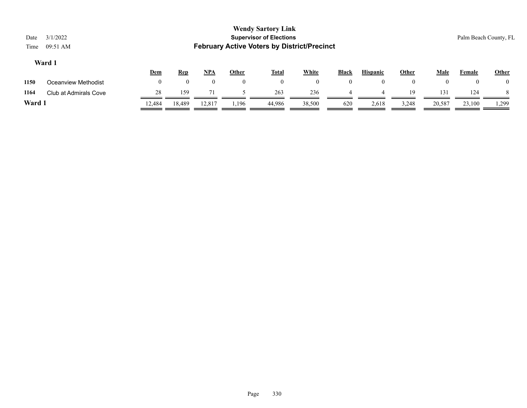| Date<br>Time | 3/1/2022<br>09:51 AM         |                |            |          |              | <b>Wendy Sartory Link</b><br><b>Supervisor of Elections</b><br><b>February Active Voters by District/Precinct</b> |                |                |                 |                |      |        | Palm Beach County, FL |
|--------------|------------------------------|----------------|------------|----------|--------------|-------------------------------------------------------------------------------------------------------------------|----------------|----------------|-----------------|----------------|------|--------|-----------------------|
|              | Ward 1                       | <u>Dem</u>     | <b>Rep</b> | $NPA$    | <u>Other</u> | <u>Total</u>                                                                                                      | <b>White</b>   | <b>Black</b>   | <b>Hispanic</b> | <b>Other</b>   | Male | Female | <u>Other</u>          |
| 1150         | Oceanview Methodist          | $\overline{0}$ | 0          | $\theta$ | 0            | $\overline{0}$                                                                                                    | $\overline{0}$ | $\overline{0}$ | $\overline{0}$  | $\overline{0}$ |      |        | $\bf{0}$              |
| 1164         | <b>Club at Admirals Cove</b> | 28             | 159        | 71       |              | 263                                                                                                               | 236            |                |                 | 19             | 131  | 124    |                       |

**Ward 1** 12,484 18,489 12,817 1,196 44,986 38,500 620 2,618 3,248 20,587 23,100 1,299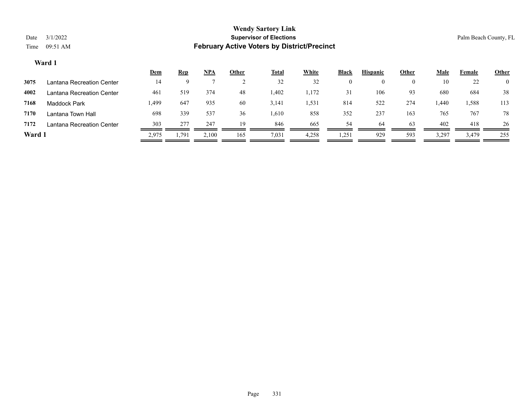|        |                           | <u>Dem</u> | <b>Rep</b> | <u>NPA</u> | <b>Other</b> | <b>Total</b> | <b>White</b> | <b>Black</b> | <b>Hispanic</b> | Other    | Male  | Female | <b>Other</b>   |
|--------|---------------------------|------------|------------|------------|--------------|--------------|--------------|--------------|-----------------|----------|-------|--------|----------------|
| 3075   | Lantana Recreation Center | 14         | Ω          |            |              | 32           | 32           |              |                 | $\Omega$ | 10    | 22     | $\overline{0}$ |
| 4002   | Lantana Recreation Center | 461        | 519        | 374        | 48           | 1,402        | 1,172        | 31           | 106             | 93       | 680   | 684    | 38             |
| 7168   | <b>Maddock Park</b>       | .499.      | 647        | 935        | 60           | 3,141        | 1.53         | 814          | 522             | 274      | 1,440 | 1,588  | 113            |
| 7170   | Lantana Town Hall         | 698        | 339        | 537        | 36           | 1,610        | 858          | 352          | 237             | 163      | 765   | 767    | 78             |
| 7172   | Lantana Recreation Center | 303        | 277        | 247        | 19           | 846          | 665          | 54           | -64             | 63       | 402   | 418    | 26             |
| Ward 1 |                           | 2,975      | 1,791      | 2,100      | 165          | 7,031        | 4,258        | 1,251        | 929             | 593      | 3,297 | 3,479  | 255            |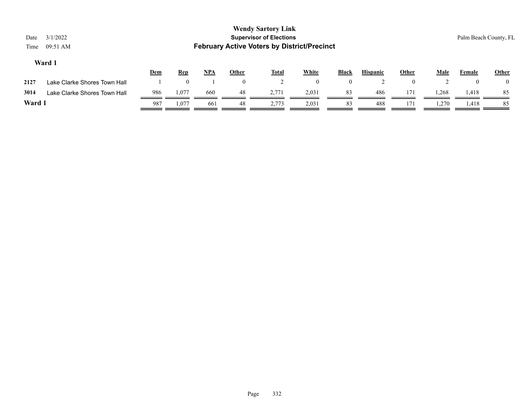| Date<br>Time | 3/1/2022<br>09:51 AM         |            |            |            |          | <b>Wendy Sartory Link</b><br><b>Supervisor of Elections</b><br><b>February Active Voters by District/Precinct</b> |                |                |                 |              |       |          | Palm Beach County, FL |
|--------------|------------------------------|------------|------------|------------|----------|-------------------------------------------------------------------------------------------------------------------|----------------|----------------|-----------------|--------------|-------|----------|-----------------------|
|              | Ward 1                       | <b>Dem</b> | <u>Rep</u> | <u>NPA</u> | Other    | <u>Total</u>                                                                                                      | <b>White</b>   | <b>Black</b>   | <b>Hispanic</b> | <b>Other</b> | Male  | Female   | <b>Other</b>          |
| 2127         | Lake Clarke Shores Town Hall |            |            |            | $\theta$ |                                                                                                                   | $\overline{0}$ | $\overline{0}$ |                 | $\Omega$     |       | $\left($ | $\theta$              |
| 3014         | Lake Clarke Shores Town Hall | 986        | 1,077      | 660        | 48       | 2,771                                                                                                             | 2,031          | 83             | 486             | 171          | 1,268 | 1,418    | 85                    |
| Ward 1       |                              | 987        | 1.077      | 661        | 48       | 2.773                                                                                                             | 2,031          | 83             | 488             | 171          | 1,270 | 1,418    | 85                    |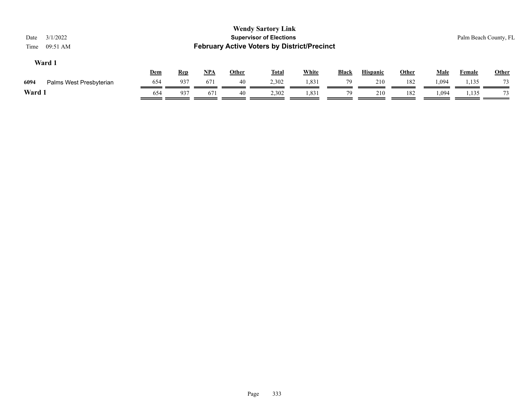| 3/1/2022<br>Date<br>09:51 AM<br>Time |     |            |            |       | <b>Wendy Sartory Link</b><br><b>Supervisor of Elections</b><br><b>February Active Voters by District/Precinct</b> |              |              |                 |       |             |               | Palm Beach County, FL |
|--------------------------------------|-----|------------|------------|-------|-------------------------------------------------------------------------------------------------------------------|--------------|--------------|-----------------|-------|-------------|---------------|-----------------------|
| Ward 1                               | Dem | <b>Rep</b> | <u>NPA</u> | Other | <u>Total</u>                                                                                                      | <b>White</b> | <b>Black</b> | <b>Hispanic</b> | Other | <b>Male</b> | <b>Female</b> | <b>Other</b>          |
| 6094<br>Palms West Presbyterian      | 654 | 937        | 671        | 40    | 2,302                                                                                                             | 1,831        | 79           | 210             | 182   | 1,094       | 1,135         | 73                    |
| Ward 1                               | 654 | 937        | 671        | 40    | 2,302                                                                                                             | 1,831        | 79           | 210             | 182   | 1,094       | 1,135         |                       |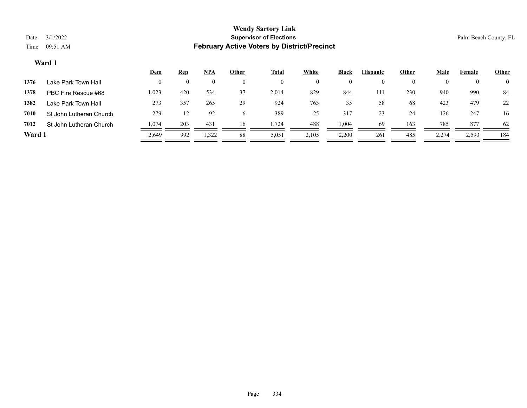|        |                         | <u>Dem</u> | <u>Rep</u> | NPA   | Other        | <u>Total</u> | White | <b>Black</b> | <b>Hispanic</b> | Other    | Male  | Female | <b>Other</b> |
|--------|-------------------------|------------|------------|-------|--------------|--------------|-------|--------------|-----------------|----------|-------|--------|--------------|
| 1376   | Lake Park Town Hall     |            |            |       | 0            |              | 0     |              |                 | $\theta$ |       |        | $\mathbf{0}$ |
| 1378   | PBC Fire Rescue #68     | 1,023      | 420        | 534   | 37           | 2,014        | 829   | 844          | 111             | 230      | 940   | 990    | 84           |
| 1382   | Lake Park Town Hall     | 273        | 357        | 265   | 29           | 924          | 763   | 35           | 58              | 68       | 423   | 479    | 22           |
| 7010   | St John Lutheran Church | 279        | 12         | 92    | <sub>0</sub> | 389          | 25    | 317          | 23              | 24       | 126   | 247    | 16           |
| 7012   | St John Lutheran Church | .074       | 203        | 431   | 16           | .,724        | 488   | .004         | 69              | 163      | 785   | 877    | 62           |
| Ward 1 |                         | 2,649      | 992        | 1,322 | 88           | 5,051        | 2,105 | 2,200        | 261             | 485      | 2,274 | 2,593  | 184          |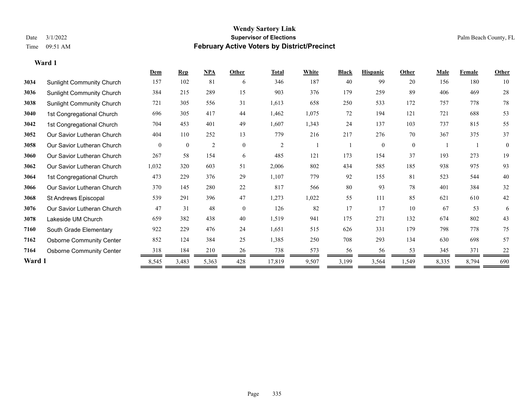#### **Wendy Sartory Link** Date 3/1/2022 **Supervisor of Elections** Palm Beach County, FL Time 09:51 AM **February Active Voters by District/Precinct**

|        |                                  | Dem      | <b>Rep</b>     | NPA   | Other        | Total          | White | <b>Black</b> | <b>Hispanic</b> | Other        | Male  | Female | Other        |
|--------|----------------------------------|----------|----------------|-------|--------------|----------------|-------|--------------|-----------------|--------------|-------|--------|--------------|
| 3034   | <b>Sunlight Community Church</b> | 157      | 102            | 81    | 6            | 346            | 187   | 40           | 99              | 20           | 156   | 180    | 10           |
| 3036   | Sunlight Community Church        | 384      | 215            | 289   | 15           | 903            | 376   | 179          | 259             | 89           | 406   | 469    | 28           |
| 3038   | <b>Sunlight Community Church</b> | 721      | 305            | 556   | 31           | 1,613          | 658   | 250          | 533             | 172          | 757   | 778    | 78           |
| 3040   | 1st Congregational Church        | 696      | 305            | 417   | 44           | 1,462          | 1,075 | 72           | 194             | 121          | 721   | 688    | 53           |
| 3042   | 1st Congregational Church        | 704      | 453            | 401   | 49           | 1,607          | 1,343 | 24           | 137             | 103          | 737   | 815    | 55           |
| 3052   | Our Savior Lutheran Church       | 404      | 110            | 252   | 13           | 779            | 216   | 217          | 276             | 70           | 367   | 375    | 37           |
| 3058   | Our Savior Lutheran Church       | $\theta$ | $\overline{0}$ | 2     | $\mathbf{0}$ | $\mathfrak{2}$ |       |              | $\overline{0}$  | $\mathbf{0}$ |       |        | $\mathbf{0}$ |
| 3060   | Our Savior Lutheran Church       | 267      | 58             | 154   | 6            | 485            | 121   | 173          | 154             | 37           | 193   | 273    | 19           |
| 3062   | Our Savior Lutheran Church       | 1,032    | 320            | 603   | 51           | 2,006          | 802   | 434          | 585             | 185          | 938   | 975    | 93           |
| 3064   | 1st Congregational Church        | 473      | 229            | 376   | 29           | 1,107          | 779   | 92           | 155             | 81           | 523   | 544    | $40\,$       |
| 3066   | Our Savior Lutheran Church       | 370      | 145            | 280   | 22           | 817            | 566   | 80           | 93              | 78           | 401   | 384    | 32           |
| 3068   | St Andrews Episcopal             | 539      | 291            | 396   | 47           | 1,273          | 1,022 | 55           | 111             | 85           | 621   | 610    | 42           |
| 3076   | Our Savior Lutheran Church       | 47       | 31             | 48    | $\mathbf{0}$ | 126            | 82    | 17           | 17              | 10           | 67    | 53     | 6            |
| 3078   | Lakeside UM Church               | 659      | 382            | 438   | 40           | 1,519          | 941   | 175          | 271             | 132          | 674   | 802    | 43           |
| 7160   | South Grade Elementary           | 922      | 229            | 476   | 24           | 1,651          | 515   | 626          | 331             | 179          | 798   | 778    | 75           |
| 7162   | <b>Osborne Community Center</b>  | 852      | 124            | 384   | 25           | 1,385          | 250   | 708          | 293             | 134          | 630   | 698    | 57           |
| 7164   | <b>Osborne Community Center</b>  | 318      | 184            | 210   | 26           | 738            | 573   | 56           | 56              | 53           | 345   | 371    | 22           |
| Ward 1 |                                  | 8,545    | 3,483          | 5,363 | 428          | 17,819         | 9,507 | 3,199        | 3,564           | 1,549        | 8,335 | 8,794  | 690          |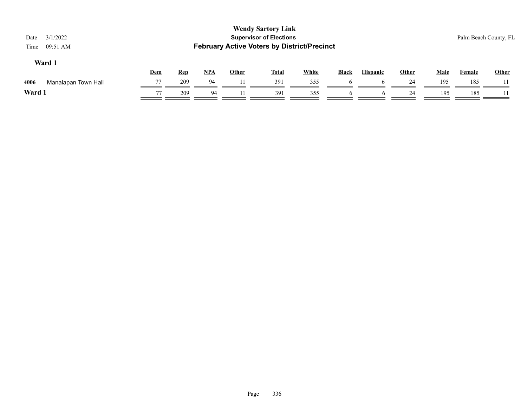| 3/1/2022<br>Date<br>09:51 AM<br>Time |     |            |            |              | <b>Wendy Sartory Link</b><br><b>Supervisor of Elections</b><br><b>February Active Voters by District/Precinct</b> |              |              |                 |       |             |               | Palm Beach County, FL |
|--------------------------------------|-----|------------|------------|--------------|-------------------------------------------------------------------------------------------------------------------|--------------|--------------|-----------------|-------|-------------|---------------|-----------------------|
| Ward 1                               | Dem | <b>Rep</b> | <u>NPA</u> | <b>Other</b> | <b>Total</b>                                                                                                      | <b>White</b> | <b>Black</b> | <b>Hispanic</b> | Other | <b>Male</b> | <b>Female</b> | <b>Other</b>          |
| 4006<br>Manalapan Town Hall          | 77  | 209        | 94         |              | 391                                                                                                               | 355          | <sub>0</sub> | O               | 24    | 195         | 185           |                       |
| Ward 1                               | 77  | 209        | 94         |              | 391                                                                                                               | 355          |              | O               | 24    | 195         | 185           |                       |
|                                      |     |            |            |              |                                                                                                                   |              |              |                 |       |             |               |                       |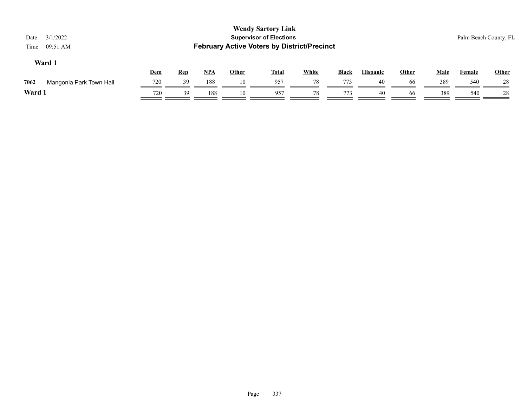| 3/1/2022<br>Date<br>09:51 AM<br>Time |     |            |            |              | <b>Wendy Sartory Link</b><br><b>Supervisor of Elections</b><br><b>February Active Voters by District/Precinct</b> |              |              |                 |              |             | Palm Beach County, FL |              |
|--------------------------------------|-----|------------|------------|--------------|-------------------------------------------------------------------------------------------------------------------|--------------|--------------|-----------------|--------------|-------------|-----------------------|--------------|
| Ward 1                               | Dem | <u>Rep</u> | <u>NPA</u> | <b>Other</b> | <b>Total</b>                                                                                                      | <b>White</b> | <b>Black</b> | <b>Hispanic</b> | <b>Other</b> | <b>Male</b> | <b>Female</b>         | <b>Other</b> |
| 7062<br>Mangonia Park Town Hall      | 720 | 39         | 188        | 10           | 957                                                                                                               | 78           | 773          | 40              | 66           | 389         | 540                   | 28           |
| Ward 1                               | 720 | 39         | 188        | 10           | 957                                                                                                               | 78           | 773          | 40              | 66           | 389         | 540                   | 28           |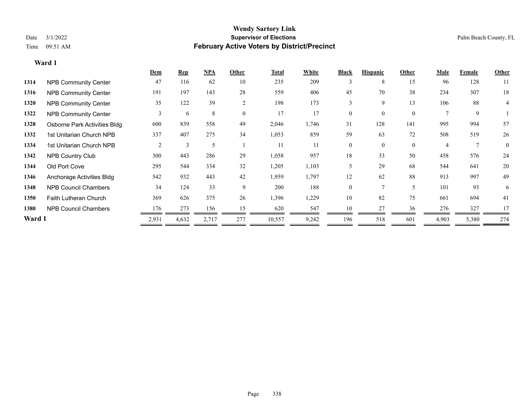|        |                              | <b>Dem</b>     | <b>Rep</b> | NPA   | Other          | <b>Total</b> | White | <b>Black</b> | <b>Hispanic</b> | Other        | <b>Male</b>    | Female | Other          |
|--------|------------------------------|----------------|------------|-------|----------------|--------------|-------|--------------|-----------------|--------------|----------------|--------|----------------|
| 1314   | <b>NPB Community Center</b>  | 47             | 116        | 62    | 10             | 235          | 209   |              | 8               | 15           | 96             | 128    | 11             |
| 1316   | <b>NPB Community Center</b>  | 191            | 197        | 143   | 28             | 559          | 406   | 45           | 70              | 38           | 234            | 307    | 18             |
| 1320   | <b>NPB Community Center</b>  | 35             | 122        | 39    | $\overline{2}$ | 198          | 173   | 3            | 9               | 13           | 106            | 88     | 4              |
| 1322   | <b>NPB Community Center</b>  | 3              | 6          | 8     | $\theta$       | 17           | 17    | $\Omega$     | $\Omega$        | $\Omega$     |                | 9      |                |
| 1328   | Osborne Park Activities Bldg | 600            | 839        | 558   | 49             | 2,046        | 1,746 | 31           | 128             | 141          | 995            | 994    | 57             |
| 1332   | 1st Unitarian Church NPB     | 337            | 407        | 275   | 34             | 1,053        | 859   | 59           | 63              | 72           | 508            | 519    | 26             |
| 1334   | 1st Unitarian Church NPB     | $\overline{2}$ | 3          | 5     |                | 11           | 11    | $\theta$     | $\theta$        | $\mathbf{0}$ | $\overline{4}$ |        | $\overline{0}$ |
| 1342   | <b>NPB Country Club</b>      | 300            | 443        | 286   | 29             | 1,058        | 957   | 18           | 33              | 50           | 458            | 576    | 24             |
| 1344   | Old Port Cove                | 295            | 544        | 334   | 32             | 1,205        | 1,103 | 5            | 29              | 68           | 544            | 641    | 20             |
| 1346   | Anchorage Activities Bldg    | 542            | 932        | 443   | 42             | 1,959        | 1,797 | 12           | 62              | 88           | 913            | 997    | 49             |
| 1348   | <b>NPB Council Chambers</b>  | 34             | 124        | 33    | 9              | 200          | 188   | $\theta$     |                 | 5            | 101            | 93     | 6              |
| 1350   | Faith Lutheran Church        | 369            | 626        | 375   | 26             | 1,396        | 1,229 | 10           | 82              | 75           | 661            | 694    | 41             |
| 1380   | <b>NPB Council Chambers</b>  | 176            | 273        | 156   | 15             | 620          | 547   | 10           | 27              | 36           | 276            | 327    | 17             |
| Ward 1 |                              | 2,931          | 4,632      | 2,717 | 277            | 10,557       | 9,242 | 196          | 518             | 601          | 4,903          | 5,380  | 274            |
|        |                              |                |            |       |                |              |       |              |                 |              |                |        |                |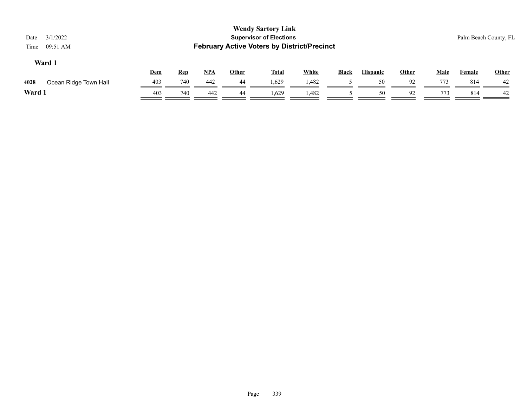| 3/1/2022<br>Date<br>09:51 AM<br>Time |     |            |       |              | <b>Wendy Sartory Link</b><br><b>Supervisor of Elections</b><br><b>February Active Voters by District/Precinct</b> |              |       |                 |              |             | Palm Beach County, FL |       |
|--------------------------------------|-----|------------|-------|--------------|-------------------------------------------------------------------------------------------------------------------|--------------|-------|-----------------|--------------|-------------|-----------------------|-------|
| Ward 1                               | Dem | <b>Rep</b> | $NPA$ | <b>Other</b> | <b>Total</b>                                                                                                      | <b>White</b> | Black | <b>Hispanic</b> | <b>Other</b> | <b>Male</b> | Female                | Other |
| 4028<br>Ocean Ridge Town Hall        | 403 | 740        | 442   | 44           | 1.629                                                                                                             | l.482        |       | 50              | 92           | 773         | 814                   | 42    |
| Ward 1                               | 403 | 740        | 442   | 44           | 1,629                                                                                                             | 1,482        |       | 50              | 92           | 773         | 814                   | 42    |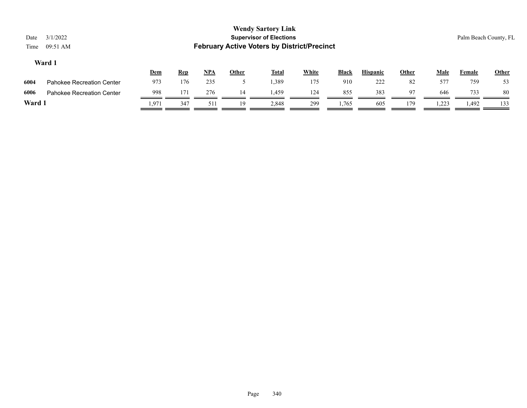| Date<br>Time | 3/1/2022<br>09:51 AM             |            |            |            |              | <b>Wendy Sartory Link</b><br><b>Supervisor of Elections</b><br><b>February Active Voters by District/Precinct</b> |              |              |                 |              |             |        | Palm Beach County, FL |
|--------------|----------------------------------|------------|------------|------------|--------------|-------------------------------------------------------------------------------------------------------------------|--------------|--------------|-----------------|--------------|-------------|--------|-----------------------|
|              | Ward 1                           | <u>Dem</u> | <b>Rep</b> | <u>NPA</u> | <b>Other</b> | <u>Total</u>                                                                                                      | <b>White</b> | <b>Black</b> | <b>Hispanic</b> | <b>Other</b> | <b>Male</b> | Female | <b>Other</b>          |
| 6004         | <b>Pahokee Recreation Center</b> | 973        | 176        | 235        |              | 1,389                                                                                                             | 175          | 910          | 222             | 82           | 577         | 759    | 53                    |
| 6006         | Pahokee Recreation Center        | 998        | 171        | 276        | 14           | 1.459                                                                                                             | 124          | 855          | 383             | 97           | 646         | 733    | 80                    |
| ______       |                                  |            |            |            |              |                                                                                                                   |              |              |                 |              |             |        |                       |

**Ward 1** 1,971 347 511 19 2,848 299 1,765 605 179 1,223 1,492 133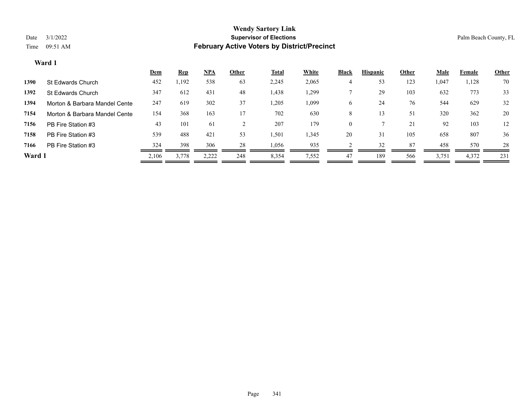|        |                               | <u>Dem</u> | <b>Rep</b> | <u>NPA</u> | Other | <b>Total</b> | White | <b>Black</b> | <b>Hispanic</b> | Other | <b>Male</b> | Female | <b>Other</b> |
|--------|-------------------------------|------------|------------|------------|-------|--------------|-------|--------------|-----------------|-------|-------------|--------|--------------|
| 1390   | St Edwards Church             | 452        | 1,192      | 538        | 63    | 2,245        | 2,065 |              | 53              | 123   | 1,047       | 1,128  | 70           |
| 1392   | St Edwards Church             | 347        | 612        | 431        | 48    | 1,438        | 1,299 |              | 29              | 103   | 632         | 773    | 33           |
| 1394   | Morton & Barbara Mandel Cente | 247        | 619        | 302        | 37    | 1,205        | 1,099 | O            | 24              | 76    | 544         | 629    | 32           |
| 7154   | Morton & Barbara Mandel Cente | 154        | 368        | 163        | 17    | 702          | 630   | 8            | 13              | 51    | 320         | 362    | 20           |
| 7156   | PB Fire Station #3            | 43         | 101        | 61         |       | 207          | 179   |              |                 | 21    | 92          | 103    | 12           |
| 7158   | PB Fire Station #3            | 539        | 488        | 421        | 53    | 1,501        | 1,345 | 20           | 3 <sup>1</sup>  | 105   | 658         | 807    | 36           |
| 7166   | PB Fire Station #3            | 324        | 398        | 306        | 28    | 1,056        | 935   |              | 32              | 87    | 458         | 570    | 28           |
| Ward 1 |                               | 2,106      | 3,778      | 2,222      | 248   | 8,354        | 7,552 | 47           | 189             | 566   | 3,751       | 4,372  | 231          |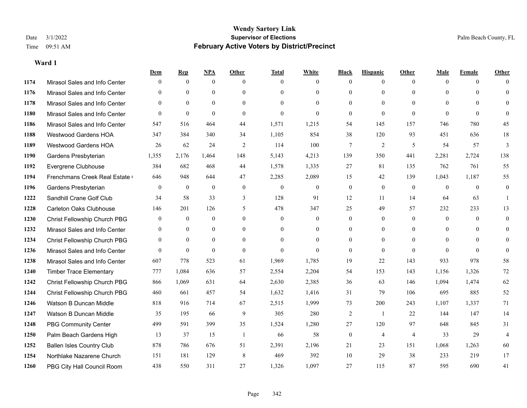|      |                                  | Dem            | <b>Rep</b>       | NPA          | <b>Other</b>   | <b>Total</b> | <b>White</b>     | <b>Black</b>     | <b>Hispanic</b>  | Other          | <b>Male</b>  | <b>Female</b> | <b>Other</b>   |
|------|----------------------------------|----------------|------------------|--------------|----------------|--------------|------------------|------------------|------------------|----------------|--------------|---------------|----------------|
| 1174 | Mirasol Sales and Info Center    | $\theta$       | $\mathbf{0}$     | $\mathbf{0}$ | $\theta$       | $\theta$     | $\overline{0}$   | $\Omega$         | $\overline{0}$   | $\theta$       | $\theta$     | $\theta$      | $\Omega$       |
| 1176 | Mirasol Sales and Info Center    | $\theta$       | $\theta$         | $\theta$     | $\theta$       | $\Omega$     | $\overline{0}$   | $\theta$         | $\overline{0}$   | $\Omega$       | $\Omega$     | $\Omega$      | $\theta$       |
| 1178 | Mirasol Sales and Info Center    | $\Omega$       | $\theta$         | $\theta$     | $\Omega$       | $\Omega$     | $\Omega$         | $\Omega$         | $\Omega$         | $\Omega$       | $\Omega$     | $\Omega$      | $\Omega$       |
| 1180 | Mirasol Sales and Info Center    | $\mathbf{0}$   | $\mathbf{0}$     | $\mathbf{0}$ | $\mathbf{0}$   | $\mathbf{0}$ | $\overline{0}$   | $\mathbf{0}$     | $\overline{0}$   | $\theta$       | $\Omega$     | $\theta$      | $\theta$       |
| 1186 | Mirasol Sales and Info Center    | 547            | 516              | 464          | 44             | 1,571        | 1,215            | 54               | 145              | 157            | 746          | 780           | 45             |
| 1188 | <b>Westwood Gardens HOA</b>      | 347            | 384              | 340          | 34             | 1,105        | 854              | 38               | 120              | 93             | 451          | 636           | 18             |
| 1189 | Westwood Gardens HOA             | 26             | 62               | 24           | $\overline{2}$ | 114          | 100              | 7                | $\overline{2}$   | 5              | 54           | 57            | $\overline{3}$ |
| 1190 | Gardens Presbyterian             | 1,355          | 2,176            | 1,464        | 148            | 5,143        | 4,213            | 139              | 350              | 441            | 2,281        | 2,724         | 138            |
| 1192 | Evergrene Clubhouse              | 384            | 682              | 468          | 44             | 1,578        | 1,335            | 27               | 81               | 135            | 762          | 761           | 55             |
| 1194 | Frenchmans Creek Real Estate     | 646            | 948              | 644          | 47             | 2,285        | 2,089            | 15               | 42               | 139            | 1,043        | 1,187         | 55             |
| 1196 | Gardens Presbyterian             | $\overline{0}$ | $\mathbf{0}$     | $\mathbf{0}$ | $\mathbf{0}$   | $\mathbf{0}$ | $\mathbf{0}$     | $\mathbf{0}$     | $\mathbf{0}$     | $\overline{0}$ | $\theta$     | $\theta$      | $\overline{0}$ |
| 1222 | Sandhill Crane Golf Club         | 34             | 58               | 33           | 3              | 128          | 91               | 12               | 11               | 14             | 64           | 63            |                |
| 1228 | <b>Carleton Oaks Clubhouse</b>   | 146            | 201              | 126          | 5              | 478          | 347              | 25               | 49               | 57             | 232          | 233           | 13             |
| 1230 | Christ Fellowship Church PBG     | $\mathbf{0}$   | $\boldsymbol{0}$ | $\mathbf{0}$ | $\mathbf{0}$   | $\mathbf{0}$ | $\boldsymbol{0}$ | $\boldsymbol{0}$ | $\boldsymbol{0}$ | $\mathbf{0}$   | $\mathbf{0}$ | $\mathbf{0}$  | $\overline{0}$ |
| 1232 | Mirasol Sales and Info Center    | $\theta$       | $\mathbf{0}$     | $\mathbf{0}$ | $\theta$       | $\theta$     | $\overline{0}$   | $\overline{0}$   | $\overline{0}$   | $\theta$       | $\theta$     | $\theta$      | $\overline{0}$ |
| 1234 | Christ Fellowship Church PBG     | $\overline{0}$ | $\mathbf{0}$     | $\theta$     | $\theta$       | $\theta$     | $\theta$         | $\Omega$         | $\Omega$         | $\Omega$       | $\theta$     | $\Omega$      | $\theta$       |
| 1236 | Mirasol Sales and Info Center    | $\theta$       | $\theta$         | $\theta$     | $\theta$       | $\theta$     | $\theta$         | $\overline{0}$   | $\theta$         | $\theta$       | $\Omega$     | $\Omega$      | $\theta$       |
| 1238 | Mirasol Sales and Info Center    | 607            | 778              | 523          | 61             | 1,969        | 1,785            | 19               | 22               | 143            | 933          | 978           | 58             |
| 1240 | <b>Timber Trace Elementary</b>   | 777            | 1,084            | 636          | 57             | 2,554        | 2,204            | 54               | 153              | 143            | 1,156        | 1,326         | $72\,$         |
| 1242 | Christ Fellowship Church PBG     | 866            | 1.069            | 631          | 64             | 2,630        | 2,385            | 36               | 63               | 146            | 1,094        | 1,474         | 62             |
| 1244 | Christ Fellowship Church PBG     | 460            | 661              | 457          | 54             | 1,632        | 1,416            | 31               | 79               | 106            | 695          | 885           | 52             |
| 1246 | Watson B Duncan Middle           | 818            | 916              | 714          | 67             | 2,515        | 1,999            | 73               | 200              | 243            | 1,107        | 1,337         | 71             |
| 1247 | Watson B Duncan Middle           | 35             | 195              | 66           | 9              | 305          | 280              | 2                | -1               | 22             | 144          | 147           | 14             |
| 1248 | <b>PBG Community Center</b>      | 499            | 591              | 399          | 35             | 1,524        | 1,280            | 27               | 120              | 97             | 648          | 845           | 31             |
| 1250 | Palm Beach Gardens High          | 13             | 37               | 15           | $\overline{1}$ | 66           | 58               | $\boldsymbol{0}$ | $\overline{4}$   | $\overline{4}$ | 33           | 29            | $\overline{4}$ |
| 1252 | <b>Ballen Isles Country Club</b> | 878            | 786              | 676          | 51             | 2,391        | 2,196            | 21               | 23               | 151            | 1,068        | 1,263         | 60             |
| 1254 | Northlake Nazarene Church        | 151            | 181              | 129          | 8              | 469          | 392              | 10               | 29               | 38             | 233          | 219           | 17             |
| 1260 | PBG City Hall Council Room       | 438            | 550              | 311          | 27             | 1,326        | 1,097            | 27               | 115              | 87             | 595          | 690           | 41             |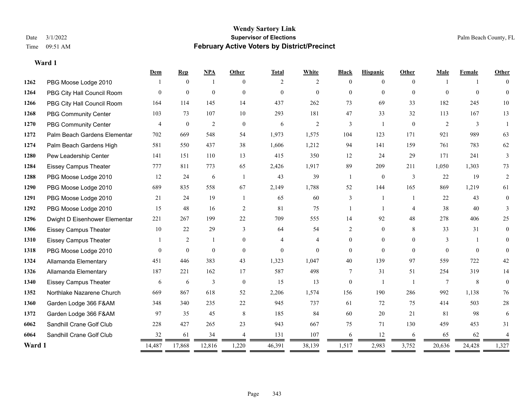|        |                               | Dem          | $\mathbf{Rep}$   | NPA            | Other        | <b>Total</b>   | White          | <b>Black</b>   | <b>Hispanic</b> | <b>Other</b>   | Male     | Female       | Other          |
|--------|-------------------------------|--------------|------------------|----------------|--------------|----------------|----------------|----------------|-----------------|----------------|----------|--------------|----------------|
| 1262   | PBG Moose Lodge 2010          |              | $\theta$         |                | $\Omega$     | 2              | $\overline{2}$ | $\Omega$       | $\theta$        | $\theta$       |          |              | $\Omega$       |
| 1264   | PBG City Hall Council Room    | $\theta$     | $\boldsymbol{0}$ | $\mathbf{0}$   | $\theta$     | $\mathbf{0}$   | $\mathbf{0}$   | $\overline{0}$ | $\overline{0}$  | $\theta$       | $\Omega$ | $\mathbf{0}$ | $\Omega$       |
| 1266   | PBG City Hall Council Room    | 164          | 114              | 145            | 14           | 437            | 262            | 73             | 69              | 33             | 182      | 245          | 10             |
| 1268   | <b>PBG Community Center</b>   | 103          | 73               | 107            | 10           | 293            | 181            | 47             | 33              | 32             | 113      | 167          | 13             |
| 1270   | PBG Community Center          | 4            | $\boldsymbol{0}$ | $\overline{2}$ | $\theta$     | 6              | $\overline{2}$ | 3              | 1               | $\theta$       | 2        | 3            |                |
| 1272   | Palm Beach Gardens Elementar  | 702          | 669              | 548            | 54           | 1,973          | 1,575          | 104            | 123             | 171            | 921      | 989          | 63             |
| 1274   | Palm Beach Gardens High       | 581          | 550              | 437            | 38           | 1,606          | 1,212          | 94             | 141             | 159            | 761      | 783          | 62             |
| 1280   | Pew Leadership Center         | 141          | 151              | 110            | 13           | 415            | 350            | 12             | 24              | 29             | 171      | 241          | $\overline{3}$ |
| 1284   | <b>Eissey Campus Theater</b>  | 777          | 811              | 773            | 65           | 2,426          | 1,917          | 89             | 209             | 211            | 1,050    | 1,303        | 73             |
| 1288   | PBG Moose Lodge 2010          | 12           | 24               | 6              | -1           | 43             | 39             |                | $\mathbf{0}$    | 3              | 22       | 19           | 2              |
| 1290   | PBG Moose Lodge 2010          | 689          | 835              | 558            | 67           | 2,149          | 1,788          | 52             | 144             | 165            | 869      | 1,219        | 61             |
| 1291   | PBG Moose Lodge 2010          | 21           | 24               | 19             | -1           | 65             | 60             | 3              |                 |                | 22       | 43           | $\theta$       |
| 1292   | PBG Moose Lodge 2010          | 15           | 48               | 16             | 2            | 81             | 75             |                |                 | $\overline{4}$ | 38       | 40           | 3              |
| 1296   | Dwight D Eisenhower Elementar | 221          | 267              | 199            | 22           | 709            | 555            | 14             | 92              | 48             | 278      | 406          | 25             |
| 1306   | <b>Eissey Campus Theater</b>  | 10           | 22               | 29             | 3            | 64             | 54             | $\overline{2}$ | $\overline{0}$  | 8              | 33       | 31           | $\theta$       |
| 1310   | <b>Eissey Campus Theater</b>  |              | 2                |                | $\theta$     | $\overline{4}$ | 4              | $\overline{0}$ | $\overline{0}$  | $\Omega$       | 3        |              | $\Omega$       |
| 1318   | PBG Moose Lodge 2010          | $\mathbf{0}$ | $\boldsymbol{0}$ | $\mathbf{0}$   | $\mathbf{0}$ | $\mathbf{0}$   | $\theta$       | $\overline{0}$ | $\mathbf{0}$    | $\theta$       | $\Omega$ | $\Omega$     | $\Omega$       |
| 1324   | Allamanda Elementary          | 451          | 446              | 383            | 43           | 1,323          | 1,047          | 40             | 139             | 97             | 559      | 722          | 42             |
| 1326   | Allamanda Elementary          | 187          | 221              | 162            | 17           | 587            | 498            | 7              | 31              | 51             | 254      | 319          | 14             |
| 1340   | <b>Eissey Campus Theater</b>  | 6            | 6                | 3              | $\theta$     | 15             | 13             | $\Omega$       | $\mathbf{1}$    | $\overline{1}$ | $\tau$   | 8            | $\theta$       |
| 1352   | Northlake Nazarene Church     | 669          | 867              | 618            | 52           | 2,206          | 1,574          | 156            | 190             | 286            | 992      | 1,138        | 76             |
| 1360   | Garden Lodge 366 F&AM         | 348          | 340              | 235            | 22           | 945            | 737            | 61             | 72              | 75             | 414      | 503          | $28\,$         |
| 1372   | Garden Lodge 366 F&AM         | 97           | 35               | 45             | 8            | 185            | 84             | 60             | 20              | 21             | 81       | 98           | 6              |
| 6062   | Sandhill Crane Golf Club      | 228          | 427              | 265            | 23           | 943            | 667            | 75             | 71              | 130            | 459      | 453          | 31             |
| 6064   | Sandhill Crane Golf Club      | 32           | 61               | 34             |              | 131            | 107            | 6              | 12              | 6              | 65       | 62           |                |
| Ward 1 |                               | 14,487       | 17,868           | 12,816         | 1,220        | 46,391         | 38,139         | 1,517          | 2,983           | 3,752          | 20,636   | 24,428       | 1,327          |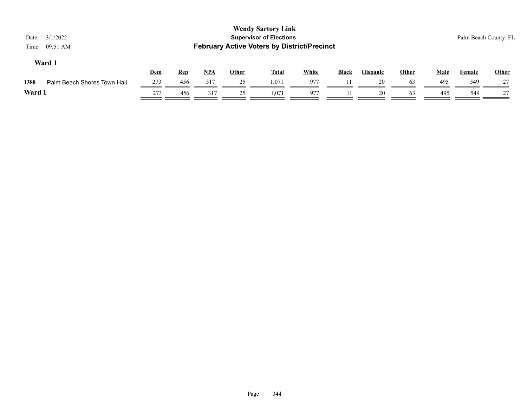| 3/1/2022<br>Date<br>09:51 AM<br>Time |            |            |       |              | <b>Wendy Sartory Link</b><br><b>Supervisor of Elections</b><br><b>February Active Voters by District/Precinct</b> |              |              |                 |       |             |               | Palm Beach County, FL |
|--------------------------------------|------------|------------|-------|--------------|-------------------------------------------------------------------------------------------------------------------|--------------|--------------|-----------------|-------|-------------|---------------|-----------------------|
| Ward 1                               | <b>Dem</b> | <u>Rep</u> | $NPA$ | <u>Other</u> | <b>Total</b>                                                                                                      | <b>White</b> | <b>Black</b> | <b>Hispanic</b> | Other | <b>Male</b> | <b>Female</b> | <b>Other</b>          |
| 1388<br>Palm Beach Shores Town Hall  | 273        | 456        | 317   | 25           | 1.071                                                                                                             | 977          |              | 20              | 63    | 495         | 549           | 27                    |
| Ward 1                               | 273        | 456        | 317   | 25           | 1,071                                                                                                             | 977          |              | 20              | 63    | 495         | 549           | 27                    |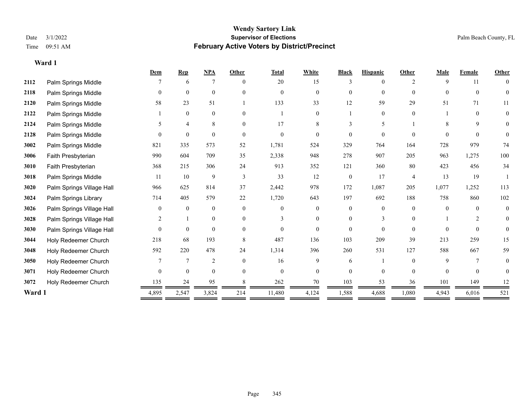|        |                           | Dem      | <b>Rep</b>     | NPA              | Other        | <b>Total</b>   | White            | <b>Black</b> | <b>Hispanic</b> | Other          | Male     | Female   | Other          |
|--------|---------------------------|----------|----------------|------------------|--------------|----------------|------------------|--------------|-----------------|----------------|----------|----------|----------------|
| 2112   | Palm Springs Middle       |          | 6              | $\overline{7}$   | $\theta$     | 20             | 15               |              |                 | $\mathcal{L}$  | 9        | 11       |                |
| 2118   | Palm Springs Middle       |          | $\Omega$       | $\mathbf{0}$     | $\Omega$     | $\Omega$       | $\theta$         | 0            | $\Omega$        | $\Omega$       | $\Omega$ | $\theta$ | $\theta$       |
| 2120   | Palm Springs Middle       | 58       | 23             | 51               |              | 133            | 33               | 12           | 59              | 29             | 51       | 71       | 11             |
| 2122   | Palm Springs Middle       |          | $\mathbf{0}$   | $\boldsymbol{0}$ | $\Omega$     |                | $\Omega$         |              | $\Omega$        | $\Omega$       |          | $\Omega$ | 0              |
| 2124   | Palm Springs Middle       |          | 4              | 8                | $\Omega$     | 17             | 8                |              | 5               |                | 8        | 9        | $\theta$       |
| 2128   | Palm Springs Middle       | $\Omega$ | $\theta$       | $\theta$         | $\theta$     | $\theta$       | $\theta$         | 0            | $\theta$        | $\Omega$       | $\Omega$ | $\theta$ | 0              |
| 3002   | Palm Springs Middle       | 821      | 335            | 573              | 52           | 1,781          | 524              | 329          | 764             | 164            | 728      | 979      | 74             |
| 3006   | Faith Presbyterian        | 990      | 604            | 709              | 35           | 2,338          | 948              | 278          | 907             | 205            | 963      | 1,275    | $100\,$        |
| 3010   | Faith Presbyterian        | 368      | 215            | 306              | 24           | 913            | 352              | 121          | 360             | 80             | 423      | 456      | 34             |
| 3018   | Palm Springs Middle       | 11       | 10             | 9                | 3            | 33             | 12               | $\mathbf{0}$ | 17              | $\overline{4}$ | 13       | 19       |                |
| 3020   | Palm Springs Village Hall | 966      | 625            | 814              | 37           | 2,442          | 978              | 172          | 1,087           | 205            | 1,077    | 1,252    | 113            |
| 3024   | Palm Springs Library      | 714      | 405            | 579              | 22           | 1,720          | 643              | 197          | 692             | 188            | 758      | 860      | 102            |
| 3026   | Palm Springs Village Hall | $\Omega$ | $\mathbf{0}$   | $\boldsymbol{0}$ | $\mathbf{0}$ | $\theta$       | $\boldsymbol{0}$ | $\theta$     | $\overline{0}$  | $\theta$       | $\theta$ | $\theta$ | $\overline{0}$ |
| 3028   | Palm Springs Village Hall | 2        |                | $\mathbf{0}$     | $\Omega$     | 3              | $\Omega$         |              | 3               |                |          |          | 0              |
| 3030   | Palm Springs Village Hall |          | $\mathbf{0}$   | $\theta$         | $\Omega$     | $\Omega$       | $\theta$         | $\theta$     | $\Omega$        | $\Omega$       | $\Omega$ | $\Omega$ | 0              |
| 3044   | Holy Redeemer Church      | 218      | 68             | 193              | 8            | 487            | 136              | 103          | 209             | 39             | 213      | 259      | 15             |
| 3048   | Holy Redeemer Church      | 592      | 220            | 478              | 24           | 1,314          | 396              | 260          | 531             | 127            | 588      | 667      | 59             |
| 3050   | Holy Redeemer Church      |          | $\overline{7}$ | $\overline{c}$   | $\theta$     | 16             | 9                | 6            |                 | $\Omega$       | 9        |          |                |
| 3071   | Holy Redeemer Church      | $\Omega$ | $\mathbf{0}$   | $\mathbf{0}$     | $\theta$     | $\overline{0}$ | $\theta$         | $\theta$     | $\Omega$        | $\Omega$       | $\Omega$ | $\theta$ | 0              |
| 3072   | Holy Redeemer Church      | 135      | 24             | 95               |              | 262            | 70               | 103          | 53              | 36             | 101      | 149      | 12             |
| Ward 1 |                           | 4,895    | 2,547          | 3,824            | 214          | 11,480         | 4,124            | 1,588        | 4,688           | 1,080          | 4,943    | 6,016    | 521            |
|        |                           |          |                |                  |              |                |                  |              |                 |                |          |          |                |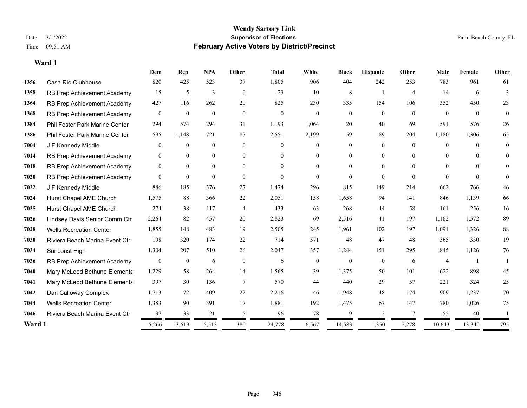#### **Wendy Sartory Link** Date 3/1/2022 **Supervisor of Elections** Palm Beach County, FL Time 09:51 AM **February Active Voters by District/Precinct**

**Dem Rep NPA Other Total White Black Hispanic Other Male Female Other**

| 1356   | Casa Rio Clubhouse                    | 820            | 425            | 523              | 37             | 1,805        | 906          | 404            | 242            | 253            | 783      | 961      | 61             |
|--------|---------------------------------------|----------------|----------------|------------------|----------------|--------------|--------------|----------------|----------------|----------------|----------|----------|----------------|
| 1358   | RB Prep Achievement Academy           | 15             | 5              | 3                | $\mathbf{0}$   | 23           | 10           | 8              |                | $\overline{4}$ | 14       | 6        | 3              |
| 1364   | RB Prep Achievement Academy           | 427            | 116            | 262              | 20             | 825          | 230          | 335            | 154            | 106            | 352      | 450      | 23             |
| 1368   | RB Prep Achievement Academy           | $\overline{0}$ | $\bf{0}$       | $\bf{0}$         | $\mathbf{0}$   | $\mathbf{0}$ | $\theta$     | $\overline{0}$ | $\theta$       | $\Omega$       | $\theta$ | $\theta$ | $\theta$       |
| 1384   | Phil Foster Park Marine Center        | 294            | 574            | 294              | 31             | 1,193        | 1,064        | 20             | 40             | 69             | 591      | 576      | 26             |
| 1386   | <b>Phil Foster Park Marine Center</b> | 595            | 1,148          | 721              | 87             | 2,551        | 2,199        | 59             | 89             | 204            | 1,180    | 1,306    | 65             |
| 7004   | J F Kennedy Middle                    | $\theta$       | $\overline{0}$ | $\boldsymbol{0}$ | $\Omega$       | $\Omega$     | $\theta$     | 0              | $\overline{0}$ | $\Omega$       | $\theta$ | $\Omega$ | $\overline{0}$ |
| 7014   | RB Prep Achievement Academy           | $\theta$       | $\overline{0}$ | $\overline{0}$   | $\theta$       | $\Omega$     | $\theta$     | 0              | $\overline{0}$ | $\Omega$       | $\theta$ | $\Omega$ | $\overline{0}$ |
| 7018   | RB Prep Achievement Academy           | $\mathbf{0}$   | $\theta$       | $\overline{0}$   | $\Omega$       | 0            | $\Omega$     | 0              | $\Omega$       | $\Omega$       | $\Omega$ | $\Omega$ | 0              |
| 7020   | RB Prep Achievement Academy           | $\theta$       | $\overline{0}$ | $\overline{0}$   | $\Omega$       | $\Omega$     | $\Omega$     | 0              | $\Omega$       | $\Omega$       | $\Omega$ | $\Omega$ | $\Omega$       |
| 7022   | J F Kennedy Middle                    | 886            | 185            | 376              | 27             | 1,474        | 296          | 815            | 149            | 214            | 662      | 766      | 46             |
| 7024   | Hurst Chapel AME Church               | 1,575          | 88             | 366              | 22             | 2,051        | 158          | 1,658          | 94             | 141            | 846      | 1,139    | 66             |
| 7025   | Hurst Chapel AME Church               | 274            | 38             | 117              | $\overline{4}$ | 433          | 63           | 268            | 44             | 58             | 161      | 256      | 16             |
| 7026   | Lindsey Davis Senior Comm Ctr         | 2,264          | 82             | 457              | 20             | 2,823        | 69           | 2,516          | 41             | 197            | 1,162    | 1,572    | 89             |
| 7028   | <b>Wells Recreation Center</b>        | 1,855          | 148            | 483              | 19             | 2,505        | 245          | 1,961          | 102            | 197            | 1,091    | 1,326    | 88             |
| 7030   | Riviera Beach Marina Event Ctr        | 198            | 320            | 174              | 22             | 714          | 571          | 48             | 47             | 48             | 365      | 330      | 19             |
| 7034   | Suncoast High                         | 1,304          | 207            | 510              | 26             | 2,047        | 357          | 1,244          | 151            | 295            | 845      | 1,126    | 76             |
| 7036   | RB Prep Achievement Academy           | $\Omega$       | $\mathbf{0}$   | 6                | $\mathbf{0}$   | 6            | $\mathbf{0}$ | $\overline{0}$ | $\theta$       | 6              |          |          |                |
| 7040   | Mary McLeod Bethune Elementa          | 1,229          | 58             | 264              | 14             | 1,565        | 39           | 1,375          | 50             | 101            | 622      | 898      | 45             |
| 7041   | Mary McLeod Bethune Elementa          | 397            | 30             | 136              | $\tau$         | 570          | 44           | 440            | 29             | 57             | 221      | 324      | 25             |
| 7042   | Dan Calloway Complex                  | 1,713          | 72             | 409              | 22             | 2,216        | 46           | 1,948          | 48             | 174            | 909      | 1,237    | 70             |
| 7044   | <b>Wells Recreation Center</b>        | 1,383          | 90             | 391              | 17             | 1,881        | 192          | 1,475          | 67             | 147            | 780      | 1,026    | 75             |
| 7046   | Riviera Beach Marina Event Ctr        | 37             | 33             | 21               |                | 96           | 78           |                |                |                | 55       | 40       |                |
| Ward 1 |                                       | 15,266         | 3,619          | 5,513            | 380            | 24,778       | 6,567        | 14,583         | 1,350          | 2,278          | 10,643   | 13,340   | 795            |
|        |                                       |                |                |                  |                |              |              |                |                |                |          |          |                |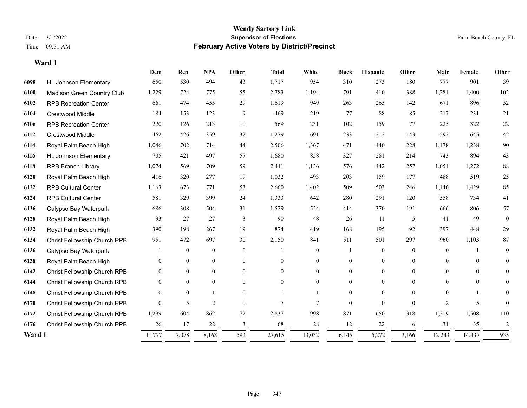|        |                              | Dem            | <b>Rep</b>     | <b>NPA</b>       | <b>Other</b>   | <b>Total</b> | White          | <b>Black</b>   | <b>Hispanic</b> | <b>Other</b> | Male           | Female         | Other          |
|--------|------------------------------|----------------|----------------|------------------|----------------|--------------|----------------|----------------|-----------------|--------------|----------------|----------------|----------------|
| 6098   | <b>HL Johnson Elementary</b> | 650            | 530            | 494              | 43             | 1,717        | 954            | 310            | 273             | 180          | 777            | 901            | 39             |
| 6100   | Madison Green Country Club   | 1,229          | 724            | 775              | 55             | 2,783        | 1,194          | 791            | 410             | 388          | 1,281          | 1,400          | 102            |
| 6102   | <b>RPB Recreation Center</b> | 661            | 474            | 455              | 29             | 1,619        | 949            | 263            | 265             | 142          | 671            | 896            | 52             |
| 6104   | <b>Crestwood Middle</b>      | 184            | 153            | 123              | 9              | 469          | 219            | 77             | 88              | 85           | 217            | 231            | 21             |
| 6106   | <b>RPB Recreation Center</b> | 220            | 126            | 213              | 10             | 569          | 231            | 102            | 159             | 77           | 225            | 322            | 22             |
| 6112   | Crestwood Middle             | 462            | 426            | 359              | 32             | 1,279        | 691            | 233            | 212             | 143          | 592            | 645            | $42\,$         |
| 6114   | Royal Palm Beach High        | 1,046          | 702            | 714              | 44             | 2,506        | 1,367          | 471            | 440             | 228          | 1,178          | 1,238          | 90             |
| 6116   | <b>HL Johnson Elementary</b> | 705            | 421            | 497              | 57             | 1,680        | 858            | 327            | 281             | 214          | 743            | 894            | 43             |
| 6118   | <b>RPB Branch Library</b>    | 1,074          | 569            | 709              | 59             | 2,411        | 1,136          | 576            | 442             | 257          | 1,051          | 1,272          | $88\,$         |
| 6120   | Royal Palm Beach High        | 416            | 320            | 277              | 19             | 1,032        | 493            | 203            | 159             | 177          | 488            | 519            | 25             |
| 6122   | <b>RPB Cultural Center</b>   | 1,163          | 673            | 771              | 53             | 2,660        | 1,402          | 509            | 503             | 246          | 1,146          | 1,429          | 85             |
| 6124   | <b>RPB Cultural Center</b>   | 581            | 329            | 399              | 24             | 1,333        | 642            | 280            | 291             | 120          | 558            | 734            | 41             |
| 6126   | Calypso Bay Waterpark        | 686            | 308            | 504              | 31             | 1,529        | 554            | 414            | 370             | 191          | 666            | 806            | 57             |
| 6128   | Royal Palm Beach High        | 33             | 27             | 27               | 3              | 90           | 48             | 26             | 11              | 5            | 41             | 49             | $\theta$       |
| 6132   | Royal Palm Beach High        | 390            | 198            | 267              | 19             | 874          | 419            | 168            | 195             | 92           | 397            | 448            | 29             |
| 6134   | Christ Fellowship Church RPB | 951            | 472            | 697              | 30             | 2,150        | 841            | 511            | 501             | 297          | 960            | 1,103          | 87             |
| 6136   | Calypso Bay Waterpark        |                | $\mathbf{0}$   | $\boldsymbol{0}$ | $\theta$       |              | $\overline{0}$ |                | $\overline{0}$  | $\theta$     | $\theta$       |                | $\theta$       |
| 6138   | Royal Palm Beach High        | $\overline{0}$ | $\mathbf{0}$   | $\boldsymbol{0}$ | $\overline{0}$ | $\theta$     | $\mathbf{0}$   | $\overline{0}$ | $\mathbf{0}$    | $\Omega$     | $\theta$       | $\overline{0}$ | $\overline{0}$ |
| 6142   | Christ Fellowship Church RPB | $\theta$       | $\overline{0}$ | $\overline{0}$   | $\theta$       | $\Omega$     | $\theta$       | $\theta$       | $\overline{0}$  | $\Omega$     | $\theta$       | $\Omega$       | $\theta$       |
| 6144   | Christ Fellowship Church RPB | $\theta$       | $\theta$       | $\theta$         | $\theta$       | $\theta$     | $\Omega$       | 0              | 0               | $\Omega$     | $\theta$       | $\Omega$       | $\theta$       |
| 6148   | Christ Fellowship Church RPB | $\Omega$       | $\theta$       | -1               | $\Omega$       |              |                | $\Omega$       | 0               | $\Omega$     | $\Omega$       |                | $\Omega$       |
| 6170   | Christ Fellowship Church RPB | $\Omega$       | 5              | $\overline{2}$   | $\theta$       | $\tau$       | 7              | 0              | 0               | $\Omega$     | $\overline{2}$ | 5              |                |
| 6172   | Christ Fellowship Church RPB | 1,299          | 604            | 862              | 72             | 2,837        | 998            | 871            | 650             | 318          | 1,219          | 1,508          | 110            |
| 6176   | Christ Fellowship Church RPB | 26             | 17             | 22               | 3              | 68           | 28             | 12             | 22              | 6            | 31             | 35             | 2              |
| Ward 1 |                              | 11,777         | 7,078          | 8,168            | 592            | 27,615       | 13,032         | 6,145          | 5,272<br>=      | 3,166        | 12,243         | 14,437         | 935            |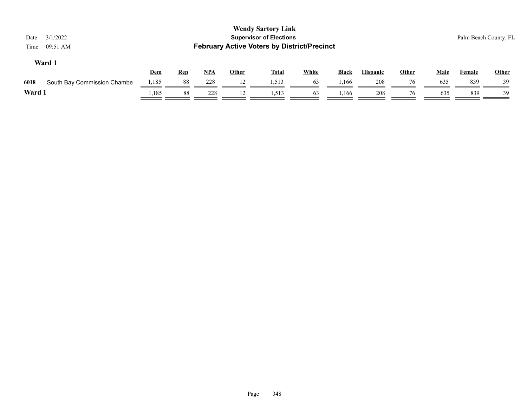| 3/1/2022<br>Date<br>09:51 AM<br>Time |       |            |            |              | <b>Wendy Sartory Link</b><br><b>Supervisor of Elections</b><br><b>February Active Voters by District/Precinct</b> |              |              |                 |              |             | Palm Beach County, FL |              |
|--------------------------------------|-------|------------|------------|--------------|-------------------------------------------------------------------------------------------------------------------|--------------|--------------|-----------------|--------------|-------------|-----------------------|--------------|
| Ward 1                               | Dem   | <b>Rep</b> | <u>NPA</u> | <b>Other</b> | <u>Total</u>                                                                                                      | <b>White</b> | <b>Black</b> | <b>Hispanic</b> | <b>Other</b> | <u>Male</u> | <b>Female</b>         | <b>Other</b> |
| 6018<br>South Bay Commission Chambe  | 1,185 | 88         | 228        | 12           | 1,513                                                                                                             | 63           | 1,166        | 208             | 76           | 635         | 839                   | 39           |
| Ward 1                               | ,185  | 88         | 228        | 12           | 1,513                                                                                                             | 63           | . 166.،      | 208             | 76           | 635         | 839                   | 39           |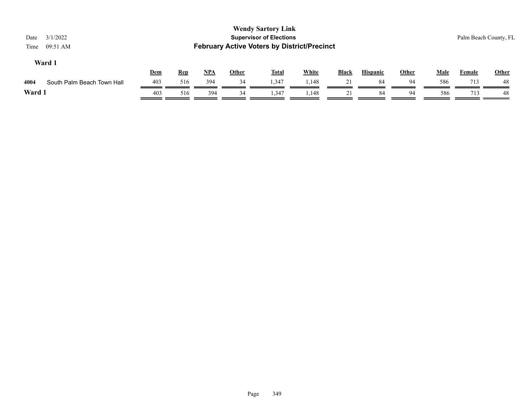| 3/1/2022<br>Date<br>09:51 AM<br>Time |     |            |       |              | <b>Wendy Sartory Link</b><br><b>Supervisor of Elections</b><br><b>February Active Voters by District/Precinct</b> |              |       |                 |              |             | Palm Beach County, FL |       |
|--------------------------------------|-----|------------|-------|--------------|-------------------------------------------------------------------------------------------------------------------|--------------|-------|-----------------|--------------|-------------|-----------------------|-------|
| Ward 1                               | Dem | <b>Rep</b> | $NPA$ | <b>Other</b> | <b>Total</b>                                                                                                      | <b>White</b> | Black | <b>Hispanic</b> | <b>Other</b> | <b>Male</b> | <b>Female</b>         | Other |
| 4004<br>South Palm Beach Town Hall   | 403 | 516        | 394   | 34           | 1.347                                                                                                             | 1,148        | 21    | 84              | -94          | 586         | 713                   | 48    |
| Ward 1                               | 403 | 516        | 394   | 34           | 1,347                                                                                                             | 1,148        | 21    | 84              | 94           | 586         | 713                   | -48   |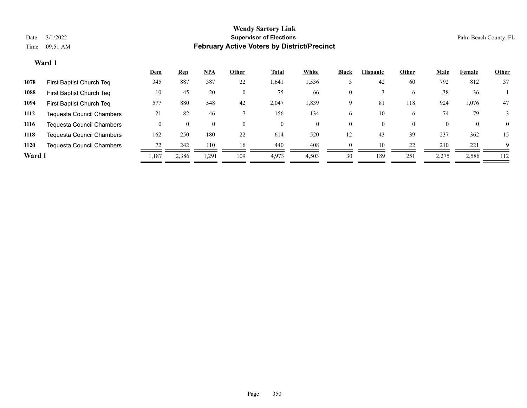|        |                                  | Dem   | <b>Rep</b> | <u>NPA</u> | Other    | <u>Total</u> | White | <b>Black</b>   | <b>Hispanic</b> | Other    | <b>Male</b> | Female   | <b>Other</b>   |
|--------|----------------------------------|-------|------------|------------|----------|--------------|-------|----------------|-----------------|----------|-------------|----------|----------------|
| 1078   | First Baptist Church Teq         | 345   | 887        | 387        | 22       | 1,641        | 1,536 |                | 42              | 60       | 792         | 812      | 37             |
| 1088   | First Baptist Church Teq         | 10    | 45         | 20         | $\Omega$ | 75           | 66    | $\overline{0}$ |                 | 6        | 38          | 36       |                |
| 1094   | First Baptist Church Teq         | 577   | 880        | 548        | 42       | 2,047        | 1,839 | 9              | 81              | 118      | 924         | 1,076    | 47             |
| 1112   | <b>Tequesta Council Chambers</b> | 21    | 82         | 46         |          | 156          | 134   | O              | 10              | 6        | 74          | 79       |                |
| 1116   | <b>Tequesta Council Chambers</b> |       |            | $\Omega$   | $\Omega$ | $\theta$     | O.    | $\theta$       | $\theta$        | $\theta$ | 0           | $\bf{0}$ | $\overline{0}$ |
| 1118   | Tequesta Council Chambers        | 162   | 250        | 180        | 22       | 614          | 520   | 12             | 43              | 39       | 237         | 362      | 15             |
| 1120   | Tequesta Council Chambers        | 72    | 242        | 110        | 16       | 440          | 408   | $\theta$       | 10              | 22       | 210         | 221      | 9              |
| Ward 1 |                                  | 1,187 | 2,386      | 1,291      | 109      | 4,973        | 4,503 | 30             | 189             | 251      | 2,275       | 2,586    | 112            |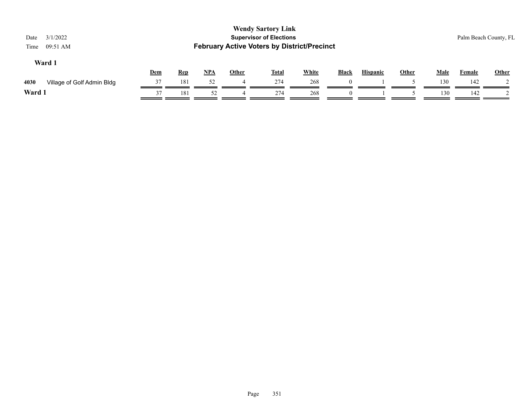| 3/1/2022<br>Date<br>09:51 AM<br>Time |     |            |       |              | <b>Wendy Sartory Link</b><br><b>Supervisor of Elections</b><br><b>February Active Voters by District/Precinct</b> |              |              |                 |              |             | Palm Beach County, FL |              |
|--------------------------------------|-----|------------|-------|--------------|-------------------------------------------------------------------------------------------------------------------|--------------|--------------|-----------------|--------------|-------------|-----------------------|--------------|
| Ward 1                               | Dem | <b>Rep</b> | $NPA$ | <b>Other</b> | <u>Total</u>                                                                                                      | <b>White</b> | <b>Black</b> | <b>Hispanic</b> | <b>Other</b> | <b>Male</b> | Female                | <b>Other</b> |
| 4030<br>Village of Golf Admin Bldg   | 37  | 181        | 52    |              | 274                                                                                                               | 268          | $\theta$     |                 |              | 130         | 142                   |              |
| Ward 1                               | 37  | 181        | 52    |              | 274                                                                                                               | 268          | $\theta$     |                 |              | 130         | 142                   |              |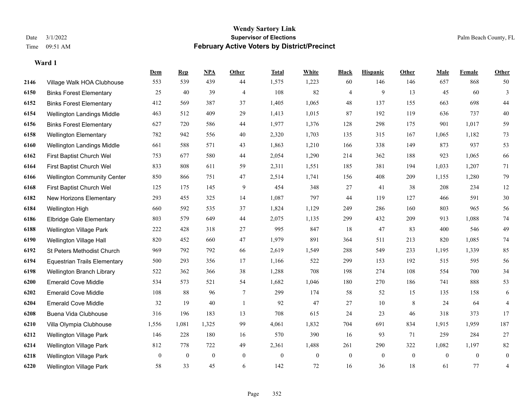|      |                                     | <b>Dem</b>     | <b>Rep</b>   | NPA              | <b>Other</b> | <b>Total</b> | <b>White</b>   | <b>Black</b>     | <b>Hispanic</b> | <b>Other</b> | <b>Male</b>  | <b>Female</b>  | <b>Other</b>   |
|------|-------------------------------------|----------------|--------------|------------------|--------------|--------------|----------------|------------------|-----------------|--------------|--------------|----------------|----------------|
| 2146 | Village Walk HOA Clubhouse          | 553            | 539          | 439              | 44           | 1,575        | 1,223          | 60               | 146             | 146          | 657          | 868            | 50             |
| 6150 | <b>Binks Forest Elementary</b>      | 25             | 40           | 39               | 4            | 108          | 82             | 4                | 9               | 13           | 45           | 60             | 3              |
| 6152 | <b>Binks Forest Elementary</b>      | 412            | 569          | 387              | 37           | 1,405        | 1,065          | 48               | 137             | 155          | 663          | 698            | 44             |
| 6154 | Wellington Landings Middle          | 463            | 512          | 409              | 29           | 1,413        | 1,015          | 87               | 192             | 119          | 636          | 737            | 40             |
| 6156 | <b>Binks Forest Elementary</b>      | 627            | 720          | 586              | 44           | 1,977        | 1,376          | 128              | 298             | 175          | 901          | 1,017          | 59             |
| 6158 | <b>Wellington Elementary</b>        | 782            | 942          | 556              | 40           | 2,320        | 1,703          | 135              | 315             | 167          | 1,065        | 1,182          | $73\,$         |
| 6160 | Wellington Landings Middle          | 661            | 588          | 571              | 43           | 1,863        | 1,210          | 166              | 338             | 149          | 873          | 937            | 53             |
| 6162 | First Baptist Church Wel            | 753            | 677          | 580              | 44           | 2,054        | 1,290          | 214              | 362             | 188          | 923          | 1,065          | 66             |
| 6164 | First Baptist Church Wel            | 833            | 808          | 611              | 59           | 2,311        | 1,551          | 185              | 381             | 194          | 1,033        | 1,207          | 71             |
| 6166 | <b>Wellington Community Center</b>  | 850            | 866          | 751              | 47           | 2,514        | 1,741          | 156              | 408             | 209          | 1,155        | 1,280          | 79             |
| 6168 | First Baptist Church Wel            | 125            | 175          | 145              | 9            | 454          | 348            | 27               | 41              | 38           | 208          | 234            | 12             |
| 6182 | New Horizons Elementary             | 293            | 455          | 325              | 14           | 1,087        | 797            | 44               | 119             | 127          | 466          | 591            | $30\,$         |
| 6184 | Wellington High                     | 660            | 592          | 535              | 37           | 1,824        | 1,129          | 249              | 286             | 160          | 803          | 965            | 56             |
| 6186 | <b>Elbridge Gale Elementary</b>     | 803            | 579          | 649              | 44           | 2,075        | 1,135          | 299              | 432             | 209          | 913          | 1,088          | $74\,$         |
| 6188 | <b>Wellington Village Park</b>      | 222            | 428          | 318              | 27           | 995          | 847            | 18               | 47              | 83           | 400          | 546            | 49             |
| 6190 | Wellington Village Hall             | 820            | 452          | 660              | 47           | 1,979        | 891            | 364              | 511             | 213          | 820          | 1,085          | $74\,$         |
| 6192 | St Peters Methodist Church          | 969            | 792          | 792              | 66           | 2,619        | 1,549          | 288              | 549             | 233          | 1,195        | 1,339          | 85             |
| 6194 | <b>Equestrian Trails Elementary</b> | 500            | 293          | 356              | 17           | 1,166        | 522            | 299              | 153             | 192          | 515          | 595            | 56             |
| 6198 | Wellington Branch Library           | 522            | 362          | 366              | 38           | 1,288        | 708            | 198              | 274             | 108          | 554          | 700            | 34             |
| 6200 | <b>Emerald Cove Middle</b>          | 534            | 573          | 521              | 54           | 1,682        | 1,046          | 180              | 270             | 186          | 741          | 888            | 53             |
| 6202 | <b>Emerald Cove Middle</b>          | 108            | 88           | 96               | $\tau$       | 299          | 174            | 58               | 52              | 15           | 135          | 158            | 6              |
| 6204 | <b>Emerald Cove Middle</b>          | 32             | 19           | 40               | -1           | 92           | 47             | 27               | 10              | 8            | 24           | 64             | $\overline{4}$ |
| 6208 | Buena Vida Clubhouse                | 316            | 196          | 183              | 13           | 708          | 615            | 24               | 23              | 46           | 318          | 373            | 17             |
| 6210 | Villa Olympia Clubhouse             | 1,556          | 1,081        | 1,325            | 99           | 4,061        | 1,832          | 704              | 691             | 834          | 1,915        | 1,959          | 187            |
| 6212 | <b>Wellington Village Park</b>      | 146            | 228          | 180              | 16           | 570          | 390            | 16               | 93              | 71           | 259          | 284            | $27\,$         |
| 6214 | <b>Wellington Village Park</b>      | 812            | 778          | 722              | 49           | 2,361        | 1,488          | 261              | 290             | 322          | 1,082        | 1,197          | $82\,$         |
| 6218 | <b>Wellington Village Park</b>      | $\overline{0}$ | $\mathbf{0}$ | $\boldsymbol{0}$ | $\mathbf{0}$ | $\theta$     | $\overline{0}$ | $\boldsymbol{0}$ | $\overline{0}$  | $\mathbf{0}$ | $\mathbf{0}$ | $\overline{0}$ | $\mathbf{0}$   |
| 6220 | <b>Wellington Village Park</b>      | 58             | 33           | 45               | 6            | 142          | 72             | 16               | 36              | 18           | 61           | 77             | 4              |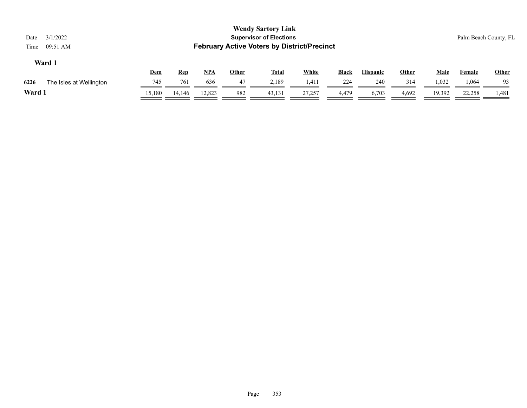| 3/1/2022<br>Date<br>09:51 AM<br>Time |                         |            |            |            |              | <b>Wendy Sartory Link</b><br><b>Supervisor of Elections</b><br><b>February Active Voters by District/Precinct</b> |              |              |                 |              |             |               | Palm Beach County, FL |
|--------------------------------------|-------------------------|------------|------------|------------|--------------|-------------------------------------------------------------------------------------------------------------------|--------------|--------------|-----------------|--------------|-------------|---------------|-----------------------|
| Ward 1                               |                         | <u>Dem</u> | <b>Rep</b> | <u>NPA</u> | <u>Other</u> | <u>Total</u>                                                                                                      | <b>White</b> | <b>Black</b> | <b>Hispanic</b> | <b>Other</b> | <u>Male</u> | <b>Female</b> | <b>Other</b>          |
| 6226                                 | The Isles at Wellington | 745        | 761        | 636        | 47           | 2.189                                                                                                             | 1,411        | 224          | 240             | 314          | 1,032       | 1,064         | 93                    |
| Ward 1                               |                         | 15,180     | 14.146     | 12.823     | 982          | 43,131                                                                                                            | 27,257       | 4.479        | 6,703           | 4,692        | 19,392      | 22,258        | 1,481                 |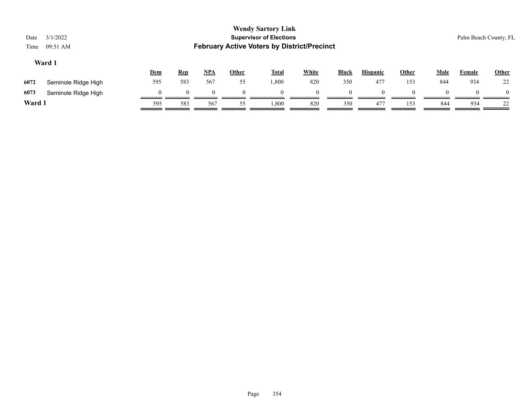| Date<br>Time | 3/1/2022<br>09:51 AM |          |            |            |              | <b>Wendy Sartory Link</b><br><b>Supervisor of Elections</b><br><b>February Active Voters by District/Precinct</b> |              |              |                 |       |             |               | Palm Beach County, FL |
|--------------|----------------------|----------|------------|------------|--------------|-------------------------------------------------------------------------------------------------------------------|--------------|--------------|-----------------|-------|-------------|---------------|-----------------------|
|              | Ward 1               | Dem      | <b>Rep</b> | <u>NPA</u> | <b>Other</b> | <b>Total</b>                                                                                                      | <b>White</b> | <b>Black</b> | <b>Hispanic</b> | Other | <b>Male</b> | <b>Female</b> | <b>Other</b>          |
| 6072         | Seminole Ridge High  | 595      | 583        | 567        | 55           | 1,800                                                                                                             | 820          | 350          | 477             | 153   | 844         | 934           | 22                    |
| 6073         | Seminole Ridge High  | $\theta$ |            | $\Omega$   | $\Omega$     | $\Omega$                                                                                                          | $\theta$     | $\Omega$     | $\Omega$        |       | $\Omega$    | $\Omega$      | $\Omega$              |
| Ward 1       |                      | 595      | 583        | 567        | 55           | 1,800                                                                                                             | 820          | 350          | 477             | 153   | 844         | 934           | 22                    |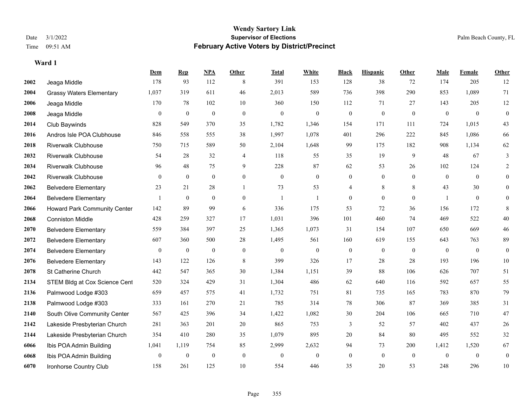#### **Wendy Sartory Link** Date 3/1/2022 **Supervisor of Elections** Palm Beach County, FL Time 09:51 AM **February Active Voters by District/Precinct**

|      |                                 | <b>Dem</b>       | <b>Rep</b>     | NPA              | <b>Other</b>     | <b>Total</b> | White            | <b>Black</b>     | <b>Hispanic</b>  | Other            | Male         | Female           | Other            |
|------|---------------------------------|------------------|----------------|------------------|------------------|--------------|------------------|------------------|------------------|------------------|--------------|------------------|------------------|
| 2002 | Jeaga Middle                    | 178              | 93             | 112              | 8                | 391          | 153              | 128              | 38               | 72               | 174          | 205              | 12               |
| 2004 | <b>Grassy Waters Elementary</b> | 1,037            | 319            | 611              | 46               | 2,013        | 589              | 736              | 398              | 290              | 853          | 1,089            | 71               |
| 2006 | Jeaga Middle                    | 170              | 78             | 102              | 10               | 360          | 150              | 112              | 71               | 27               | 143          | 205              | 12               |
| 2008 | Jeaga Middle                    | $\mathbf{0}$     | $\bf{0}$       | $\bf{0}$         | $\boldsymbol{0}$ | $\mathbf{0}$ | $\boldsymbol{0}$ | $\boldsymbol{0}$ | $\overline{0}$   | $\mathbf{0}$     | $\mathbf{0}$ | $\boldsymbol{0}$ | $\boldsymbol{0}$ |
| 2014 | Club Baywinds                   | 828              | 549            | 370              | 35               | 1,782        | 1,346            | 154              | 171              | 111              | 724          | 1,015            | 43               |
| 2016 | Andros Isle POA Clubhouse       | 846              | 558            | 555              | 38               | 1,997        | 1,078            | 401              | 296              | 222              | 845          | 1,086            | 66               |
| 2018 | <b>Riverwalk Clubhouse</b>      | 750              | 715            | 589              | 50               | 2,104        | 1,648            | 99               | 175              | 182              | 908          | 1,134            | 62               |
| 2032 | <b>Riverwalk Clubhouse</b>      | 54               | 28             | 32               | $\overline{4}$   | 118          | 55               | 35               | 19               | 9                | 48           | 67               | 3                |
| 2034 | <b>Riverwalk Clubhouse</b>      | 96               | 48             | 75               | 9                | 228          | 87               | 62               | 53               | 26               | 102          | 124              | 2                |
| 2042 | <b>Riverwalk Clubhouse</b>      | $\theta$         | $\overline{0}$ | $\overline{0}$   | $\mathbf{0}$     | $\mathbf{0}$ | $\overline{0}$   | $\mathbf{0}$     | $\overline{0}$   | $\mathbf{0}$     | $\theta$     | $\theta$         | $\overline{0}$   |
| 2062 | <b>Belvedere Elementary</b>     | 23               | 21             | 28               | $\mathbf{1}$     | 73           | 53               | 4                | 8                | 8                | 43           | 30               | $\mathbf{0}$     |
| 2064 | <b>Belvedere Elementary</b>     | -1               | $\bf{0}$       | $\overline{0}$   | $\boldsymbol{0}$ | -1           |                  | $\boldsymbol{0}$ | $\boldsymbol{0}$ | $\mathbf{0}$     |              | $\boldsymbol{0}$ | $\overline{0}$   |
| 2066 | Howard Park Community Center    | 142              | 89             | 99               | 6                | 336          | 175              | 53               | 72               | 36               | 156          | 172              | 8                |
| 2068 | <b>Conniston Middle</b>         | 428              | 259            | 327              | 17               | 1,031        | 396              | 101              | 460              | 74               | 469          | 522              | 40               |
| 2070 | <b>Belvedere Elementary</b>     | 559              | 384            | 397              | 25               | 1,365        | 1,073            | 31               | 154              | 107              | 650          | 669              | $46\,$           |
| 2072 | <b>Belvedere Elementary</b>     | 607              | 360            | 500              | 28               | 1,495        | 561              | 160              | 619              | 155              | 643          | 763              | 89               |
| 2074 | <b>Belvedere Elementary</b>     | $\boldsymbol{0}$ | $\bf{0}$       | $\boldsymbol{0}$ | $\mathbf{0}$     | $\mathbf{0}$ | $\boldsymbol{0}$ | $\mathbf{0}$     | $\boldsymbol{0}$ | $\boldsymbol{0}$ | $\mathbf{0}$ | $\mathbf{0}$     | $\boldsymbol{0}$ |
| 2076 | <b>Belvedere Elementary</b>     | 143              | 122            | 126              | 8                | 399          | 326              | 17               | 28               | 28               | 193          | 196              | 10               |
| 2078 | St Catherine Church             | 442              | 547            | 365              | 30               | 1,384        | 1,151            | 39               | 88               | 106              | 626          | 707              | 51               |
| 2134 | STEM Bldg at Cox Science Cent   | 520              | 324            | 429              | 31               | 1,304        | 486              | 62               | 640              | 116              | 592          | 657              | 55               |
| 2136 | Palmwood Lodge #303             | 659              | 457            | 575              | 41               | 1,732        | 751              | 81               | 735              | 165              | 783          | 870              | 79               |
| 2138 | Palmwood Lodge #303             | 333              | 161            | 270              | 21               | 785          | 314              | 78               | 306              | 87               | 369          | 385              | 31               |
| 2140 | South Olive Community Center    | 567              | 425            | 396              | 34               | 1,422        | 1,082            | 30               | 204              | 106              | 665          | 710              | 47               |
| 2142 | Lakeside Presbyterian Church    | 281              | 363            | 201              | 20               | 865          | 753              | 3                | 52               | 57               | 402          | 437              | $26\,$           |
| 2144 | Lakeside Presbyterian Church    | 354              | 410            | 280              | 35               | 1,079        | 895              | 20               | 84               | 80               | 495          | 552              | 32               |
| 6066 | Ibis POA Admin Building         | 1,041            | 1,119          | 754              | 85               | 2,999        | 2,632            | 94               | 73               | 200              | 1,412        | 1,520            | 67               |
| 6068 | Ibis POA Admin Building         | $\theta$         | $\mathbf{0}$   | $\overline{0}$   | $\theta$         | $\mathbf{0}$ | $\theta$         | $\mathbf{0}$     | $\Omega$         | $\theta$         | $\theta$     | $\theta$         | $\mathbf{0}$     |
| 6070 | Ironhorse Country Club          | 158              | 261            | 125              | 10               | 554          | 446              | 35               | 20               | 53               | 248          | 296              | 10               |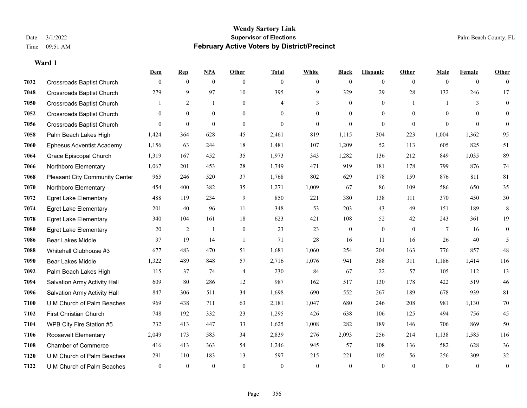#### **Wendy Sartory Link** Date 3/1/2022 **Supervisor of Elections** Palm Beach County, FL Time 09:51 AM **February Active Voters by District/Precinct**

# **Dem Rep NPA Other Total White Black Hispanic Other Male Female Other** Crossroads Baptist Church 0 0 0 0 0 0 0 0 0 0 0 0 Crossroads Baptist Church 279 9 97 10 395 9 329 29 28 132 246 17 Crossroads Baptist Church 1 2 1 0 4 3 0 1 1 3 0 Crossroads Baptist Church 0 0 0 0 0 0 0 0 0 0 0 0 Crossroads Baptist Church 0 0 0 0 0 0 0 0 0 0 0 0 Palm Beach Lakes High 1,424 364 628 45 2,461 819 1,115 304 223 1,004 1,362 95 Ephesus Adventist Academy 1,156 63 244 18 1,481 107 1,209 52 113 605 825 51 Grace Episcopal Church 1,319 167 452 35 1,973 343 1,282 136 212 849 1,035 89 Northboro Elementary 1,067 201 453 28 1,749 471 919 181 178 799 876 74 Pleasant City Community Center 965 246 520 37 1,768 802 629 178 159 876 811 81 Northboro Elementary 454 400 382 35 1,271 1,009 67 86 109 586 650 35 Egret Lake Elementary 488 119 234 9 850 221 380 138 111 370 450 30 Egret Lake Elementary 201 40 96 11 348 53 203 43 49 151 189 8 Egret Lake Elementary 340 104 161 18 623 421 108 52 42 243 361 19 Egret Lake Elementary 20 2 1 0 23 23 0 0 0 7 16 0 Bear Lakes Middle 37 19 14 1 71 28 16 11 16 26 40 5 Whitehall Clubhouse #3 677 483 470 51 1,681 1,060 254 204 163 776 857 48 Bear Lakes Middle 1,322 489 848 57 2,716 1,076 941 388 311 1,186 1,414 116 Palm Beach Lakes High 115 37 74 4 230 84 67 22 57 105 112 13 Salvation Army Activity Hall 609 80 286 12 987 162 517 130 178 422 519 46 Salvation Army Activity Hall 847 306 511 34 1,698 690 552 267 189 678 939 81 U M Church of Palm Beaches 969 438 711 63 2,181 1,047 680 246 208 981 1,130 70 First Christian Church 748 192 332 23 1,295 426 638 106 125 494 756 45 WPB City Fire Station #5 732 413 447 33 1,625 1,008 282 189 146 706 869 50 Roosevelt Elementary 2,049 173 583 34 2,839 276 2,093 256 214 1,138 1,585 116 Chamber of Commerce 416 413 363 54 1,246 945 57 108 136 582 628 36 U M Church of Palm Beaches 291 110 183 13 597 215 221 105 56 256 309 32 U M Church of Palm Beaches 0 0 0 0 0 0 0 0 0 0 0 0